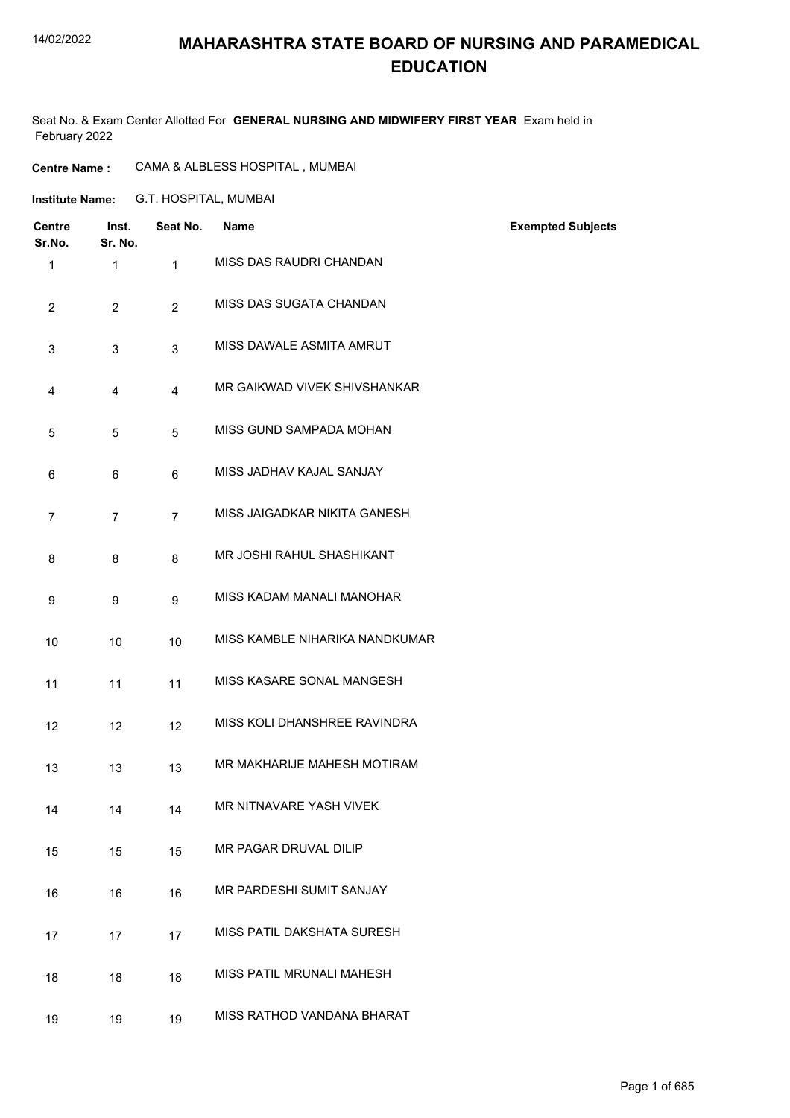### **MAHARASHTRA STATE BOARD OF NURSING AND PARAMEDICAL EDUCATION**

Seat No. & Exam Center Allotted For **GENERAL NURSING AND MIDWIFERY FIRST YEAR** Exam held in February 2022

| <b>Centre Name :</b> | CAMA & ALBLESS HOSPITAL, MUMBAI |  |
|----------------------|---------------------------------|--|
|                      |                                 |  |

G.T. HOSPITAL, MUMBAI **Institute Name:**

| <b>Centre</b><br>Sr.No. | Inst.<br>Sr. No. | Seat No.       | <b>Name</b>                    | <b>Exempted Subjects</b> |
|-------------------------|------------------|----------------|--------------------------------|--------------------------|
| $\mathbf{1}$            | $\mathbf{1}$     | $\mathbf{1}$   | MISS DAS RAUDRI CHANDAN        |                          |
| $\overline{c}$          | $\overline{2}$   | $\overline{2}$ | MISS DAS SUGATA CHANDAN        |                          |
| 3                       | 3                | 3              | MISS DAWALE ASMITA AMRUT       |                          |
| 4                       | 4                | $\overline{4}$ | MR GAIKWAD VIVEK SHIVSHANKAR   |                          |
| 5                       | $\overline{5}$   | 5              | MISS GUND SAMPADA MOHAN        |                          |
| 6                       | 6                | 6              | MISS JADHAV KAJAL SANJAY       |                          |
| 7                       | $\overline{7}$   | $\overline{7}$ | MISS JAIGADKAR NIKITA GANESH   |                          |
| 8                       | 8                | 8              | MR JOSHI RAHUL SHASHIKANT      |                          |
| 9                       | 9                | 9              | MISS KADAM MANALI MANOHAR      |                          |
| 10                      | 10               | 10             | MISS KAMBLE NIHARIKA NANDKUMAR |                          |
| 11                      | 11               | 11             | MISS KASARE SONAL MANGESH      |                          |
| 12                      | 12               | 12             | MISS KOLI DHANSHREE RAVINDRA   |                          |
| 13                      | 13               | 13             | MR MAKHARIJE MAHESH MOTIRAM    |                          |
| 14                      | 14               | 14             | MR NITNAVARE YASH VIVEK        |                          |
| 15                      | 15               | 15             | MR PAGAR DRUVAL DILIP          |                          |
| 16                      | 16               | 16             | MR PARDESHI SUMIT SANJAY       |                          |
| 17                      | 17               | 17             | MISS PATIL DAKSHATA SURESH     |                          |
| 18                      | 18               | 18             | MISS PATIL MRUNALI MAHESH      |                          |
| 19                      | 19               | 19             | MISS RATHOD VANDANA BHARAT     |                          |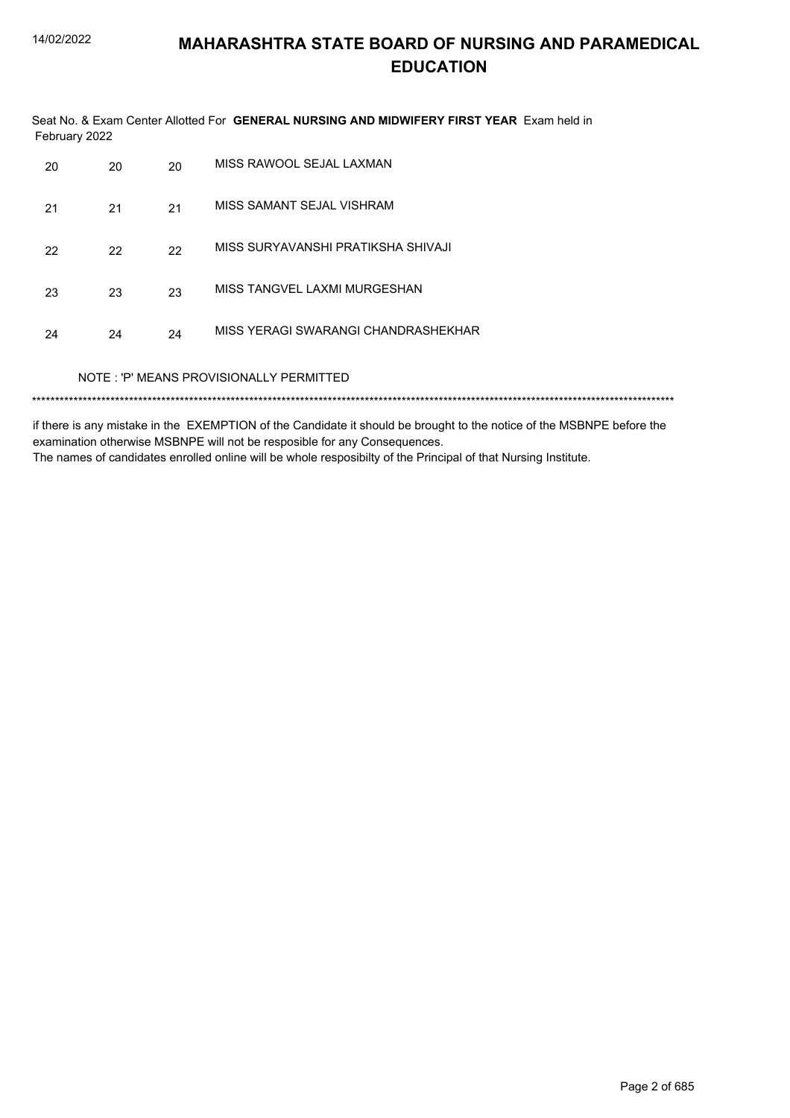Seat No. & Exam Center Allotted For GENERAL NURSING AND MIDWIFERY FIRST YEAR Exam held in February 2022

| NOTE: 'P' MEANS PROVISIONALLY PERMITTED |                                                 |    |                                    |  |  |
|-----------------------------------------|-------------------------------------------------|----|------------------------------------|--|--|
| 24                                      | MISS YERAGI SWARANGI CHANDRASHEKHAR<br>24<br>24 |    |                                    |  |  |
| 23                                      | 23                                              | 23 | MISS TANGVEL LAXMI MURGESHAN       |  |  |
| 22                                      | 22                                              | 22 | MISS SURYAVANSHI PRATIKSHA SHIVAJI |  |  |
| 21                                      | 21                                              | 21 | MISS SAMANT SEJAL VISHRAM          |  |  |
| 20                                      | 20                                              | 20 | MISS RAWOOL SEJAL LAXMAN           |  |  |

if there is any mistake in the EXEMPTION of the Candidate it should be brought to the notice of the MSBNPE before the examination otherwise MSBNPE will not be resposible for any Consequences. The names of candidates enrolled online will be whole resposibilty of the Principal of that Nursing Institute.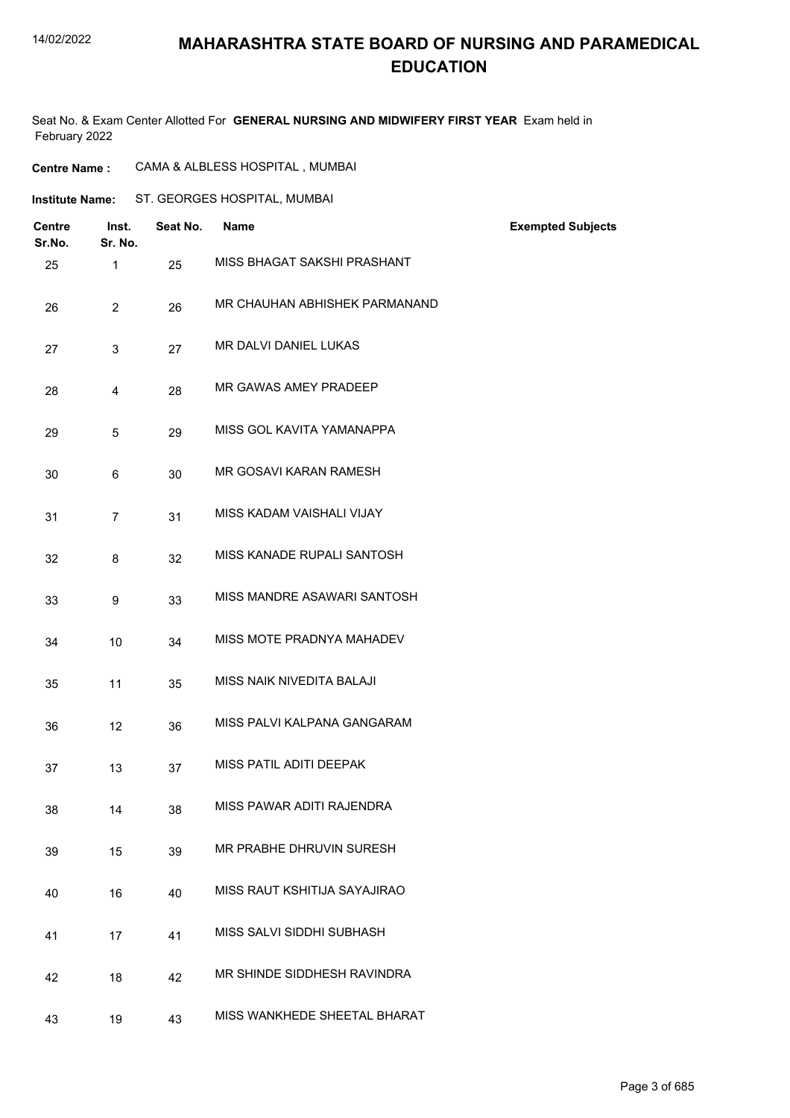### **MAHARASHTRA STATE BOARD OF NURSING AND PARAMEDICAL EDUCATION**

Seat No. & Exam Center Allotted For **GENERAL NURSING AND MIDWIFERY FIRST YEAR** Exam held in February 2022

| <b>Institute Name:</b>  |                  |          | ST. GEORGES HOSPITAL, MUMBAI  |                          |
|-------------------------|------------------|----------|-------------------------------|--------------------------|
| <b>Centre</b><br>Sr.No. | Inst.<br>Sr. No. | Seat No. | <b>Name</b>                   | <b>Exempted Subjects</b> |
| 25                      | $\mathbf{1}$     | 25       | MISS BHAGAT SAKSHI PRASHANT   |                          |
| 26                      | $\overline{2}$   | 26       | MR CHAUHAN ABHISHEK PARMANAND |                          |
| 27                      | 3                | 27       | MR DALVI DANIEL LUKAS         |                          |
| 28                      | 4                | 28       | MR GAWAS AMEY PRADEEP         |                          |
| 29                      | 5                | 29       | MISS GOL KAVITA YAMANAPPA     |                          |
| 30                      | 6                | 30       | MR GOSAVI KARAN RAMESH        |                          |
| 31                      | $\overline{7}$   | 31       | MISS KADAM VAISHALI VIJAY     |                          |
| 32                      | 8                | 32       | MISS KANADE RUPALI SANTOSH    |                          |
| 33                      | 9                | 33       | MISS MANDRE ASAWARI SANTOSH   |                          |
| 34                      | 10               | 34       | MISS MOTE PRADNYA MAHADEV     |                          |
| 35                      | 11               | 35       | MISS NAIK NIVEDITA BALAJI     |                          |
| 36                      | 12               | 36       | MISS PALVI KALPANA GANGARAM   |                          |
| 37                      | 13               | 37       | MISS PATIL ADITI DEEPAK       |                          |
| 38                      | 14               | 38       | MISS PAWAR ADITI RAJENDRA     |                          |
| 39                      | 15               | 39       | MR PRABHE DHRUVIN SURESH      |                          |
| 40                      | 16               | 40       | MISS RAUT KSHITIJA SAYAJIRAO  |                          |
| 41                      | 17               | 41       | MISS SALVI SIDDHI SUBHASH     |                          |
| 42                      | 18               | 42       | MR SHINDE SIDDHESH RAVINDRA   |                          |
| 43                      | 19               | 43       | MISS WANKHEDE SHEETAL BHARAT  |                          |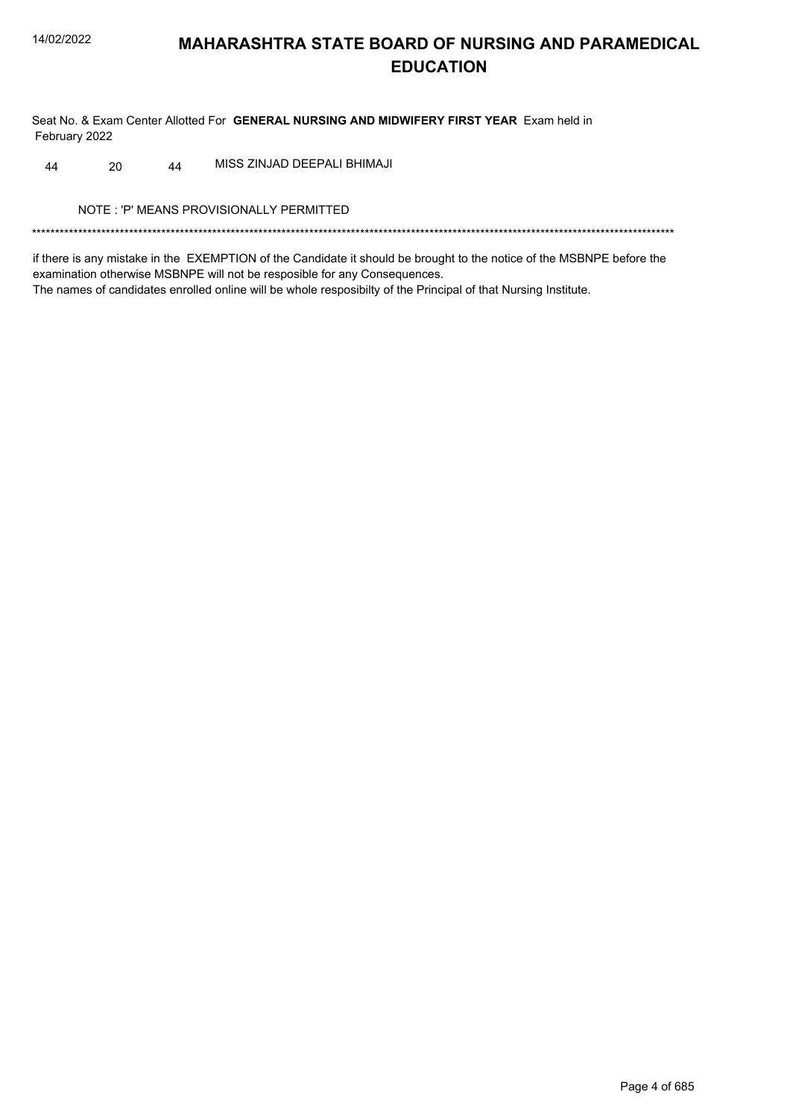Seat No. & Exam Center Allotted For GENERAL NURSING AND MIDWIFERY FIRST YEAR Exam held in February 2022

44 MISS ZINJAD DEEPALI BHIMAJI 44 20

NOTE: 'P' MEANS PROVISIONALLY PERMITTED

if there is any mistake in the EXEMPTION of the Candidate it should be brought to the notice of the MSBNPE before the examination otherwise MSBNPE will not be resposible for any Consequences. The names of candidates enrolled online will be whole resposibilty of the Principal of that Nursing Institute.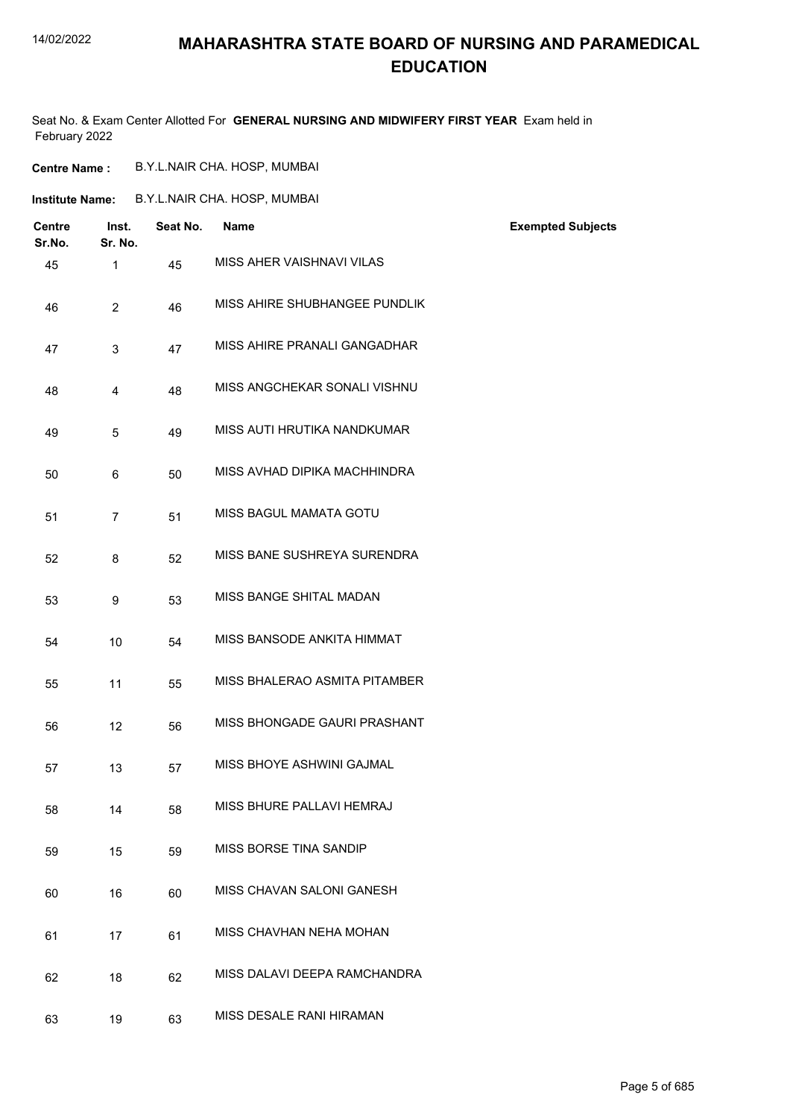### **MAHARASHTRA STATE BOARD OF NURSING AND PARAMEDICAL EDUCATION**

Seat No. & Exam Center Allotted For **GENERAL NURSING AND MIDWIFERY FIRST YEAR** Exam held in February 2022

| B.Y.L.NAIR CHA. HOSP, MUMBAI |
|------------------------------|
|                              |

| B.Y.L.NAIR CHA. HOSP, MUMBAI<br>Institute Name: |
|-------------------------------------------------|
|-------------------------------------------------|

| Centre<br>Sr.No. | Inst.<br>Sr. No. | Seat No. | <b>Name</b>                   | <b>Exempted Subjects</b> |
|------------------|------------------|----------|-------------------------------|--------------------------|
| 45               | $\mathbf{1}$     | 45       | MISS AHER VAISHNAVI VILAS     |                          |
| 46               | $\overline{2}$   | 46       | MISS AHIRE SHUBHANGEE PUNDLIK |                          |
| 47               | 3                | 47       | MISS AHIRE PRANALI GANGADHAR  |                          |
| 48               | 4                | 48       | MISS ANGCHEKAR SONALI VISHNU  |                          |
| 49               | 5                | 49       | MISS AUTI HRUTIKA NANDKUMAR   |                          |
| 50               | 6                | 50       | MISS AVHAD DIPIKA MACHHINDRA  |                          |
| 51               | $\overline{7}$   | 51       | MISS BAGUL MAMATA GOTU        |                          |
| 52               | 8                | 52       | MISS BANE SUSHREYA SURENDRA   |                          |
| 53               | 9                | 53       | MISS BANGE SHITAL MADAN       |                          |
| 54               | 10               | 54       | MISS BANSODE ANKITA HIMMAT    |                          |
| 55               | 11               | 55       | MISS BHALERAO ASMITA PITAMBER |                          |
| 56               | 12               | 56       | MISS BHONGADE GAURI PRASHANT  |                          |
| 57               | 13               | 57       | MISS BHOYE ASHWINI GAJMAL     |                          |
| 58               | 14               | 58       | MISS BHURE PALLAVI HEMRAJ     |                          |
| 59               | 15               | 59       | MISS BORSE TINA SANDIP        |                          |
| 60               | 16               | 60       | MISS CHAVAN SALONI GANESH     |                          |
| 61               | 17               | 61       | MISS CHAVHAN NEHA MOHAN       |                          |
| 62               | 18               | 62       | MISS DALAVI DEEPA RAMCHANDRA  |                          |
| 63               | 19               | 63       | MISS DESALE RANI HIRAMAN      |                          |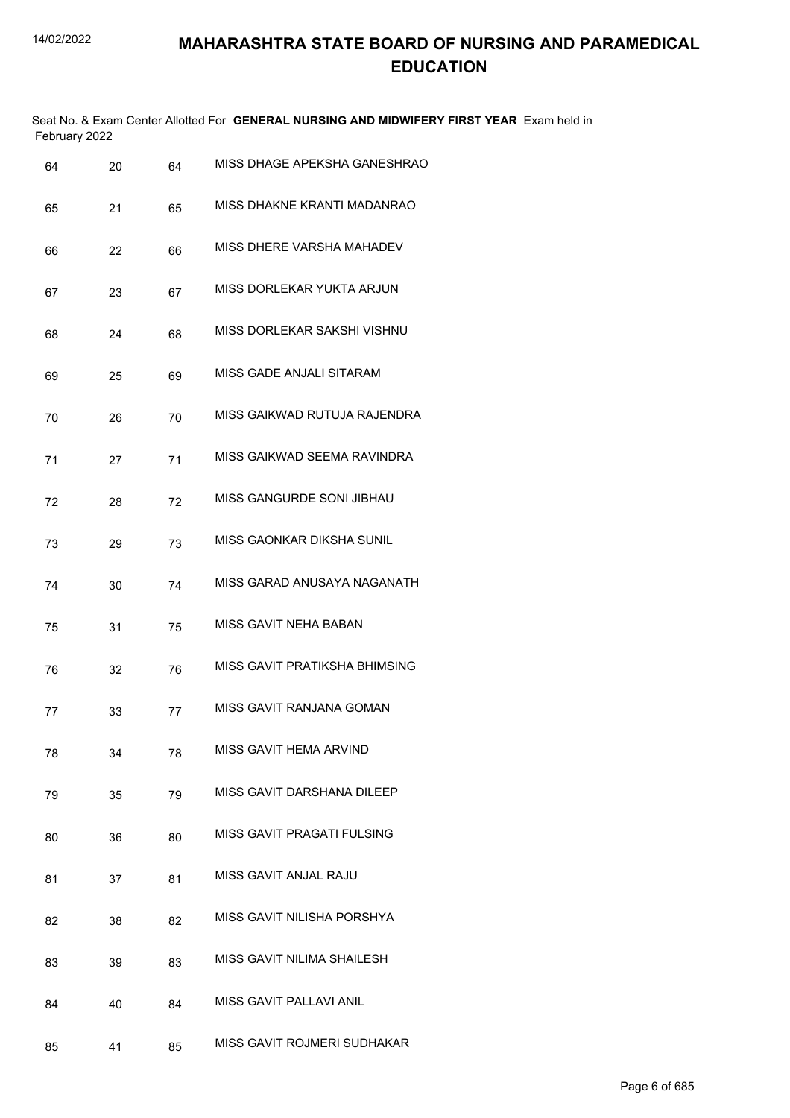Seat No. & Exam Center Allotted For **GENERAL NURSING AND MIDWIFERY FIRST YEAR** Exam held in February 2022

| 64 | 20 | 64 | MISS DHAGE APEKSHA GANESHRAO     |
|----|----|----|----------------------------------|
| 65 | 21 | 65 | MISS DHAKNE KRANTI MADANRAO      |
| 66 | 22 | 66 | MISS DHERE VARSHA MAHADEV        |
| 67 | 23 | 67 | MISS DORLEKAR YUKTA ARJUN        |
| 68 | 24 | 68 | MISS DORLEKAR SAKSHI VISHNU      |
| 69 | 25 | 69 | MISS GADE ANJALI SITARAM         |
| 70 | 26 | 70 | MISS GAIKWAD RUTUJA RAJENDRA     |
| 71 | 27 | 71 | MISS GAIKWAD SEEMA RAVINDRA      |
| 72 | 28 | 72 | MISS GANGURDE SONI JIBHAU        |
| 73 | 29 | 73 | <b>MISS GAONKAR DIKSHA SUNIL</b> |
| 74 | 30 | 74 | MISS GARAD ANUSAYA NAGANATH      |
| 75 | 31 | 75 | <b>MISS GAVIT NEHA BABAN</b>     |
| 76 | 32 | 76 | MISS GAVIT PRATIKSHA BHIMSING    |
| 77 | 33 | 77 | <b>MISS GAVIT RANJANA GOMAN</b>  |
| 78 | 34 | 78 | MISS GAVIT HEMA ARVIND           |
| 79 | 35 | 79 | MISS GAVIT DARSHANA DILEEP       |
| 80 | 36 | 80 | MISS GAVIT PRAGATI FULSING       |
| 81 | 37 | 81 | MISS GAVIT ANJAL RAJU            |
| 82 | 38 | 82 | MISS GAVIT NILISHA PORSHYA       |
| 83 | 39 | 83 | MISS GAVIT NILIMA SHAILESH       |
| 84 | 40 | 84 | MISS GAVIT PALLAVI ANIL          |
| 85 | 41 | 85 | MISS GAVIT ROJMERI SUDHAKAR      |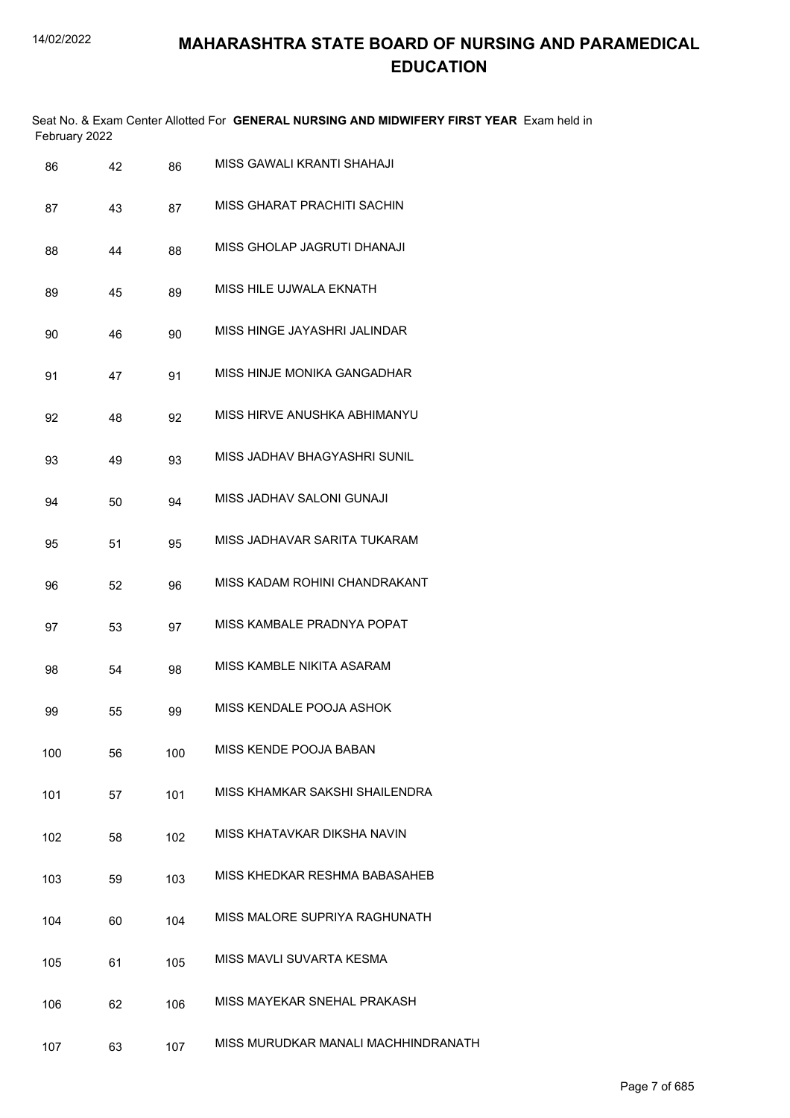|               | Seat No. & Exam Center Allotted For GENERAL NURSING AND MIDWIFERY FIRST YEAR Exam held in |
|---------------|-------------------------------------------------------------------------------------------|
| February 2022 |                                                                                           |

| 86  | 42 | 86  | MISS GAWALI KRANTI SHAHAJI          |
|-----|----|-----|-------------------------------------|
| 87  | 43 | 87  | MISS GHARAT PRACHITI SACHIN         |
| 88  | 44 | 88  | MISS GHOLAP JAGRUTI DHANAJI         |
| 89  | 45 | 89  | MISS HILE UJWALA EKNATH             |
| 90  | 46 | 90  | MISS HINGE JAYASHRI JALINDAR        |
| 91  | 47 | 91  | MISS HINJE MONIKA GANGADHAR         |
| 92  | 48 | 92  | MISS HIRVE ANUSHKA ABHIMANYU        |
| 93  | 49 | 93  | MISS JADHAV BHAGYASHRI SUNIL        |
| 94  | 50 | 94  | MISS JADHAV SALONI GUNAJI           |
| 95  | 51 | 95  | MISS JADHAVAR SARITA TUKARAM        |
| 96  | 52 | 96  | MISS KADAM ROHINI CHANDRAKANT       |
| 97  | 53 | 97  | MISS KAMBALE PRADNYA POPAT          |
| 98  | 54 | 98  | MISS KAMBLE NIKITA ASARAM           |
| 99  | 55 | 99  | MISS KENDALE POOJA ASHOK            |
| 100 | 56 | 100 | MISS KENDE POOJA BABAN              |
| 101 | 57 | 101 | MISS KHAMKAR SAKSHI SHAILENDRA      |
| 102 | 58 | 102 | MISS KHATAVKAR DIKSHA NAVIN         |
| 103 | 59 | 103 | MISS KHEDKAR RESHMA BABASAHEB       |
| 104 | 60 | 104 | MISS MALORE SUPRIYA RAGHUNATH       |
| 105 | 61 | 105 | MISS MAVLI SUVARTA KESMA            |
| 106 | 62 | 106 | MISS MAYEKAR SNEHAL PRAKASH         |
| 107 | 63 | 107 | MISS MURUDKAR MANALI MACHHINDRANATH |
|     |    |     |                                     |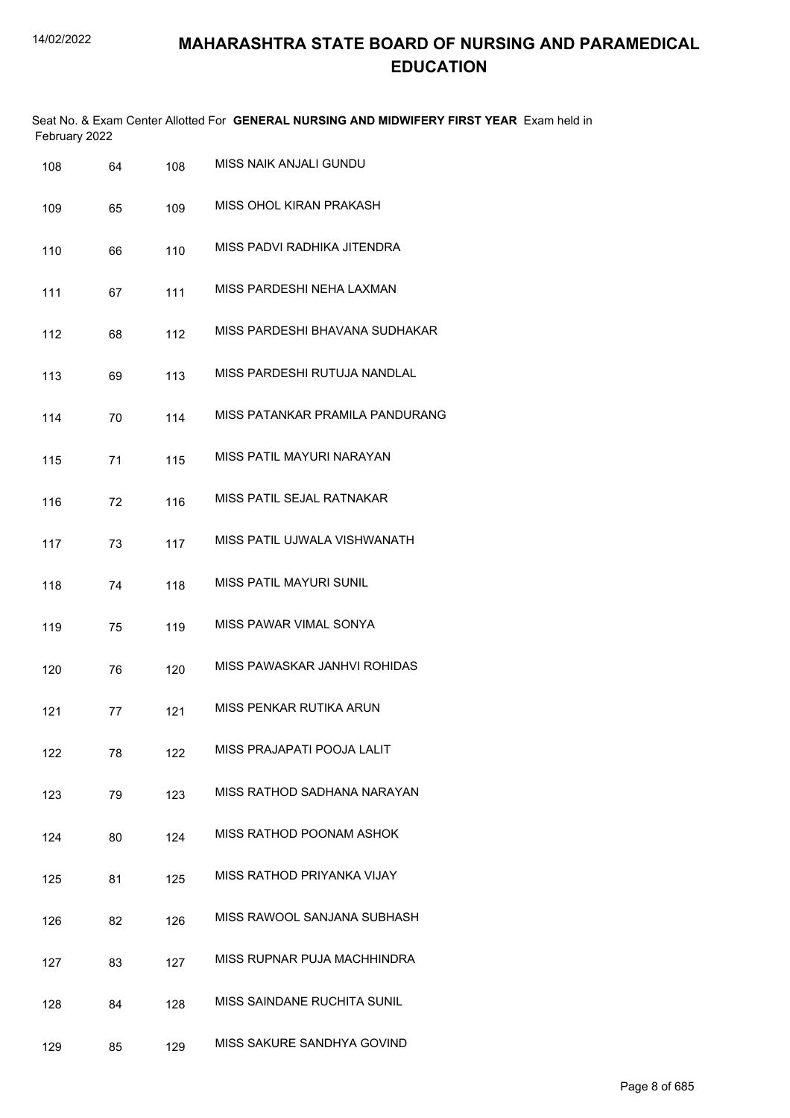|               | Seat No. & Exam Center Allotted For GENERAL NURSING AND MIDWIFERY FIRST YEAR Exam held in |
|---------------|-------------------------------------------------------------------------------------------|
| February 2022 |                                                                                           |

| 108 | 64 | 108 | MISS NAIK ANJALI GUNDU             |
|-----|----|-----|------------------------------------|
| 109 | 65 | 109 | MISS OHOL KIRAN PRAKASH            |
| 110 | 66 | 110 | MISS PADVI RADHIKA JITENDRA        |
| 111 | 67 | 111 | MISS PARDESHI NEHA LAXMAN          |
| 112 | 68 | 112 | MISS PARDESHI BHAVANA SUDHAKAR     |
| 113 | 69 | 113 | MISS PARDESHI RUTUJA NANDLAL       |
| 114 | 70 | 114 | MISS PATANKAR PRAMILA PANDURANG    |
| 115 | 71 | 115 | MISS PATIL MAYURI NARAYAN          |
| 116 | 72 | 116 | MISS PATIL SEJAL RATNAKAR          |
| 117 | 73 | 117 | MISS PATIL UJWALA VISHWANATH       |
| 118 | 74 | 118 | <b>MISS PATIL MAYURI SUNIL</b>     |
| 119 | 75 | 119 | MISS PAWAR VIMAL SONYA             |
| 120 | 76 | 120 | MISS PAWASKAR JANHVI ROHIDAS       |
| 121 | 77 | 121 | MISS PENKAR RUTIKA ARUN            |
| 122 | 78 | 122 | MISS PRAJAPATI POOJA LALIT         |
| 123 | 79 | 123 | MISS RATHOD SADHANA NARAYAN        |
| 124 | 80 | 124 | MISS RATHOD POONAM ASHOK           |
| 125 | 81 | 125 | MISS RATHOD PRIYANKA VIJAY         |
| 126 | 82 | 126 | MISS RAWOOL SANJANA SUBHASH        |
| 127 | 83 | 127 | MISS RUPNAR PUJA MACHHINDRA        |
| 128 | 84 | 128 | <b>MISS SAINDANE RUCHITA SUNIL</b> |
| 129 | 85 | 129 | MISS SAKURE SANDHYA GOVIND         |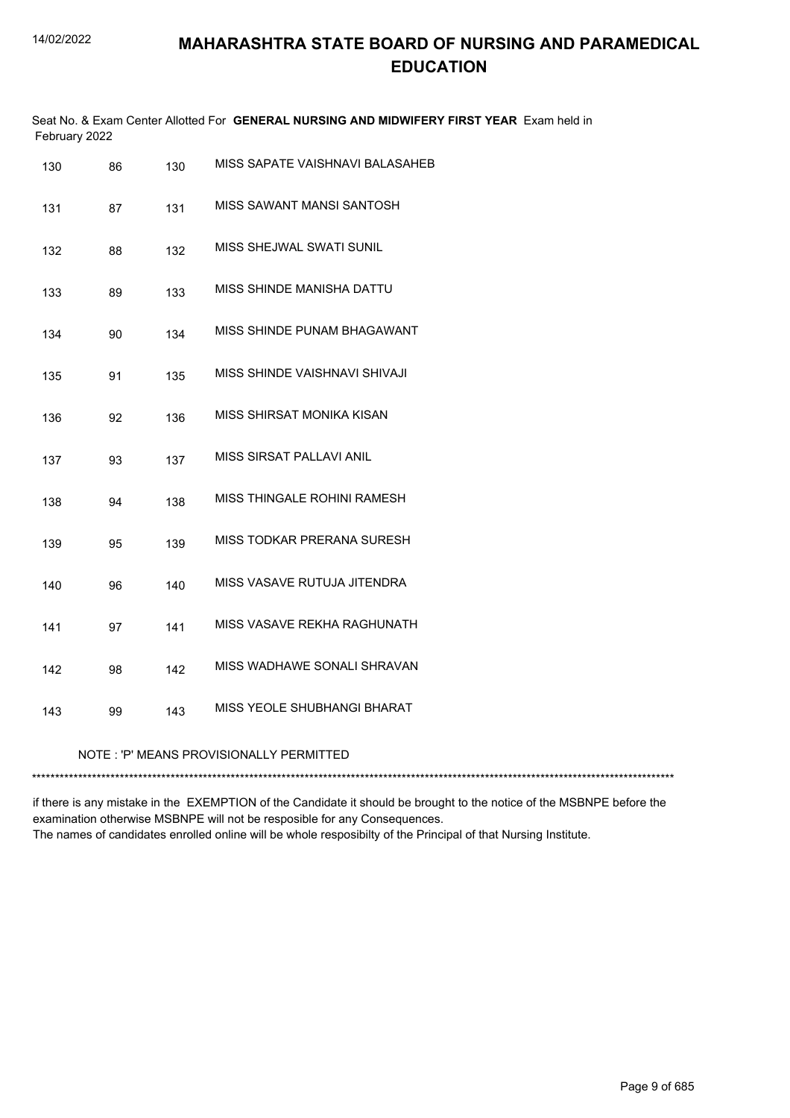| February 2022 |    |     | Seat No. & Exam Center Allotted For GENERAL NURSING AND MIDWIFERY FIRST YEAR Exam held in |  |
|---------------|----|-----|-------------------------------------------------------------------------------------------|--|
| 130           | 86 | 130 | MISS SAPATE VAISHNAVI BALASAHEB                                                           |  |

| 131 | 87 | 131 | MISS SAWANT MANSI SANTOSH               |
|-----|----|-----|-----------------------------------------|
| 132 | 88 | 132 | MISS SHEJWAL SWATI SUNIL                |
| 133 | 89 | 133 | MISS SHINDE MANISHA DATTU               |
| 134 | 90 | 134 | MISS SHINDE PUNAM BHAGAWANT             |
| 135 | 91 | 135 | MISS SHINDE VAISHNAVI SHIVAJI           |
| 136 | 92 | 136 | MISS SHIRSAT MONIKA KISAN               |
| 137 | 93 | 137 | MISS SIRSAT PALLAVI ANIL                |
| 138 | 94 | 138 | MISS THINGALE ROHINI RAMESH             |
| 139 | 95 | 139 | MISS TODKAR PRERANA SURESH              |
| 140 | 96 | 140 | MISS VASAVE RUTUJA JITENDRA             |
| 141 | 97 | 141 | MISS VASAVE REKHA RAGHUNATH             |
| 142 | 98 | 142 | MISS WADHAWE SONALI SHRAVAN             |
| 143 | 99 | 143 | MISS YEOLE SHUBHANGI BHARAT             |
|     |    |     | NOTE: 'P' MEANS PROVISIONALLY PERMITTED |
|     |    |     |                                         |

if there is any mistake in the EXEMPTION of the Candidate it should be brought to the notice of the MSBNPE before the examination otherwise MSBNPE will not be resposible for any Consequences. The names of candidates enrolled online will be whole resposibilty of the Principal of that Nursing Institute.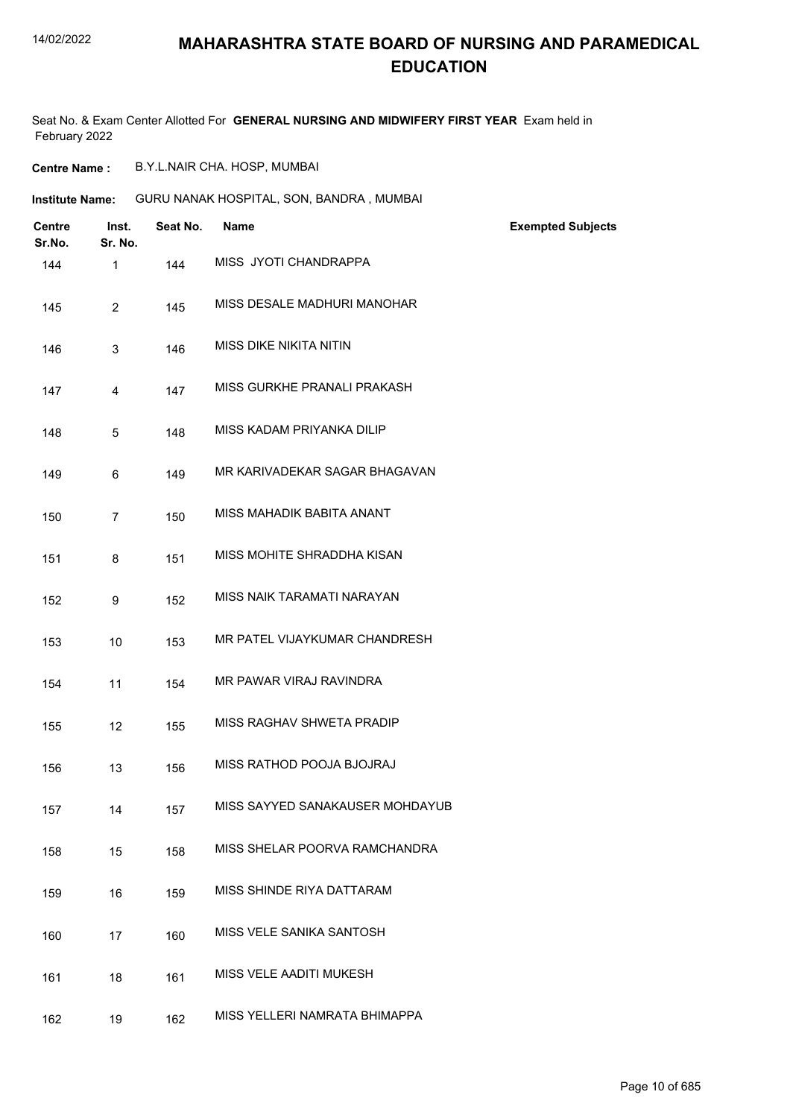### **MAHARASHTRA STATE BOARD OF NURSING AND PARAMEDICAL EDUCATION**

Seat No. & Exam Center Allotted For **GENERAL NURSING AND MIDWIFERY FIRST YEAR** Exam held in February 2022

**Centre Name :** B.Y.L.NAIR CHA. HOSP, MUMBAI

**Institute Name:** GURU NANAK HOSPITAL, SON, BANDRA , MUMBAI

| <b>Centre</b><br>Sr.No. | Inst.<br>Sr. No. | Seat No. | <b>Name</b>                     | <b>Exempted Subjects</b> |
|-------------------------|------------------|----------|---------------------------------|--------------------------|
| 144                     | 1                | 144      | MISS JYOTI CHANDRAPPA           |                          |
| 145                     | $\overline{a}$   | 145      | MISS DESALE MADHURI MANOHAR     |                          |
| 146                     | 3                | 146      | <b>MISS DIKE NIKITA NITIN</b>   |                          |
| 147                     | 4                | 147      | MISS GURKHE PRANALI PRAKASH     |                          |
| 148                     | 5                | 148      | MISS KADAM PRIYANKA DILIP       |                          |
| 149                     | 6                | 149      | MR KARIVADEKAR SAGAR BHAGAVAN   |                          |
| 150                     | $\overline{7}$   | 150      | MISS MAHADIK BABITA ANANT       |                          |
| 151                     | 8                | 151      | MISS MOHITE SHRADDHA KISAN      |                          |
| 152                     | 9                | 152      | MISS NAIK TARAMATI NARAYAN      |                          |
| 153                     | 10               | 153      | MR PATEL VIJAYKUMAR CHANDRESH   |                          |
| 154                     | 11               | 154      | MR PAWAR VIRAJ RAVINDRA         |                          |
| 155                     | 12               | 155      | MISS RAGHAV SHWETA PRADIP       |                          |
| 156                     | 13               | 156      | MISS RATHOD POOJA BJOJRAJ       |                          |
| 157                     | 14               | 157      | MISS SAYYED SANAKAUSER MOHDAYUB |                          |
| 158                     | 15               | 158      | MISS SHELAR POORVA RAMCHANDRA   |                          |
| 159                     | 16               | 159      | MISS SHINDE RIYA DATTARAM       |                          |
| 160                     | 17               | 160      | MISS VELE SANIKA SANTOSH        |                          |
| 161                     | 18               | 161      | MISS VELE AADITI MUKESH         |                          |
| 162                     | 19               | 162      | MISS YELLERI NAMRATA BHIMAPPA   |                          |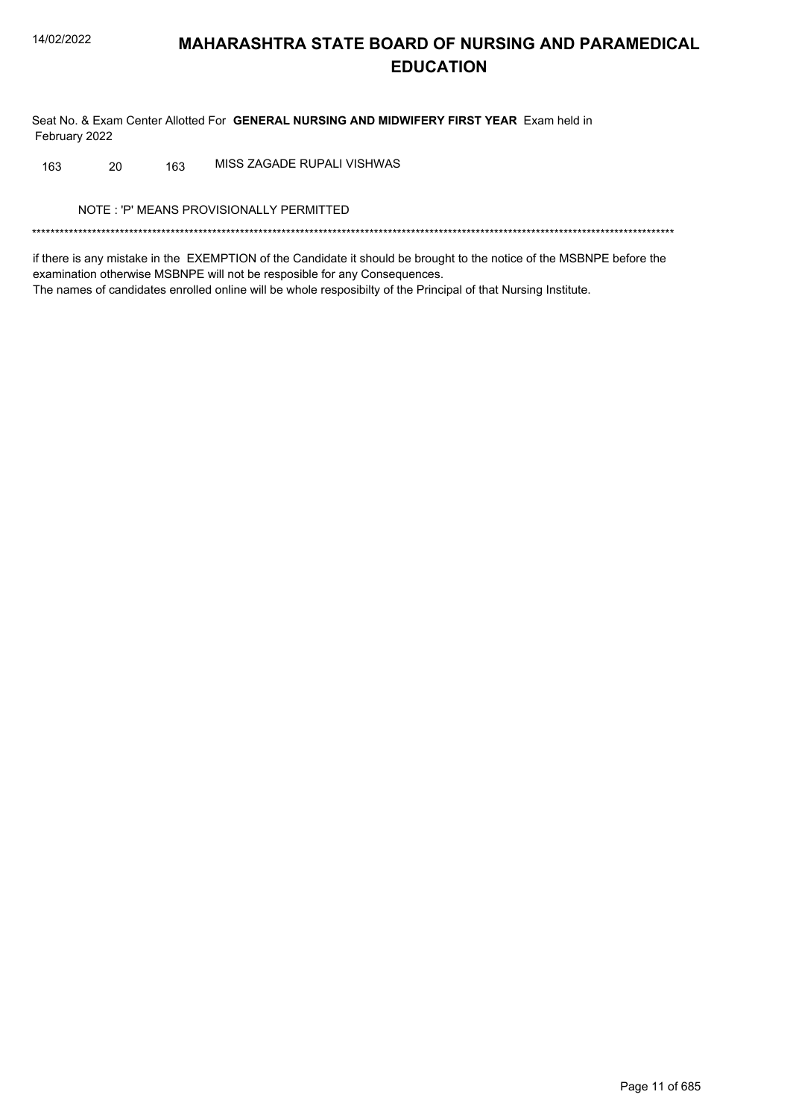Seat No. & Exam Center Allotted For GENERAL NURSING AND MIDWIFERY FIRST YEAR Exam held in February 2022

MISS ZAGADE RUPALI VISHWAS 20 163 163

NOTE: 'P' MEANS PROVISIONALLY PERMITTED

if there is any mistake in the EXEMPTION of the Candidate it should be brought to the notice of the MSBNPE before the examination otherwise MSBNPE will not be resposible for any Consequences. The names of candidates enrolled online will be whole resposibilty of the Principal of that Nursing Institute.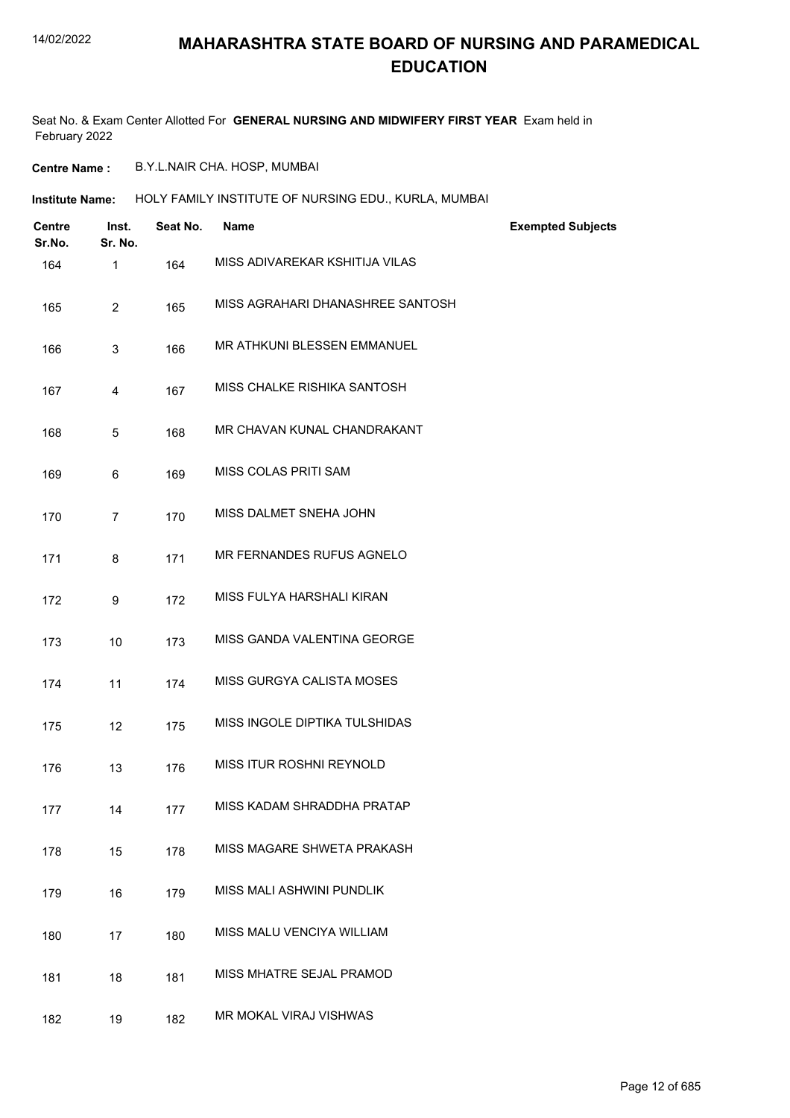Seat No. & Exam Center Allotted For **GENERAL NURSING AND MIDWIFERY FIRST YEAR** Exam held in February 2022

**Centre Name :** B.Y.L.NAIR CHA. HOSP, MUMBAI

**Institute Name: HOLY FAMILY INSTITUTE OF NURSING EDU., KURLA, MUMBAI** 

| <b>Centre</b><br>Sr.No. | Inst.<br>Sr. No. | Seat No. | <b>Name</b>                      | <b>Exempted Subjects</b> |
|-------------------------|------------------|----------|----------------------------------|--------------------------|
| 164                     | 1                | 164      | MISS ADIVAREKAR KSHITIJA VILAS   |                          |
| 165                     | $\overline{2}$   | 165      | MISS AGRAHARI DHANASHREE SANTOSH |                          |
| 166                     | $\mathbf{3}$     | 166      | MR ATHKUNI BLESSEN EMMANUEL      |                          |
| 167                     | 4                | 167      | MISS CHALKE RISHIKA SANTOSH      |                          |
| 168                     | 5                | 168      | MR CHAVAN KUNAL CHANDRAKANT      |                          |
| 169                     | 6                | 169      | MISS COLAS PRITI SAM             |                          |
| 170                     | $\overline{7}$   | 170      | MISS DALMET SNEHA JOHN           |                          |
| 171                     | 8                | 171      | MR FERNANDES RUFUS AGNELO        |                          |
| 172                     | 9                | 172      | MISS FULYA HARSHALI KIRAN        |                          |
| 173                     | 10               | 173      | MISS GANDA VALENTINA GEORGE      |                          |
| 174                     | 11               | 174      | MISS GURGYA CALISTA MOSES        |                          |
| 175                     | 12               | 175      | MISS INGOLE DIPTIKA TULSHIDAS    |                          |
| 176                     | 13               | 176      | MISS ITUR ROSHNI REYNOLD         |                          |
| 177                     | 14               | 177      | MISS KADAM SHRADDHA PRATAP       |                          |
| 178                     | 15               | 178      | MISS MAGARE SHWETA PRAKASH       |                          |
| 179                     | 16               | 179      | MISS MALI ASHWINI PUNDLIK        |                          |
| 180                     | 17               | 180      | MISS MALU VENCIYA WILLIAM        |                          |
| 181                     | 18               | 181      | MISS MHATRE SEJAL PRAMOD         |                          |
| 182                     | 19               | 182      | MR MOKAL VIRAJ VISHWAS           |                          |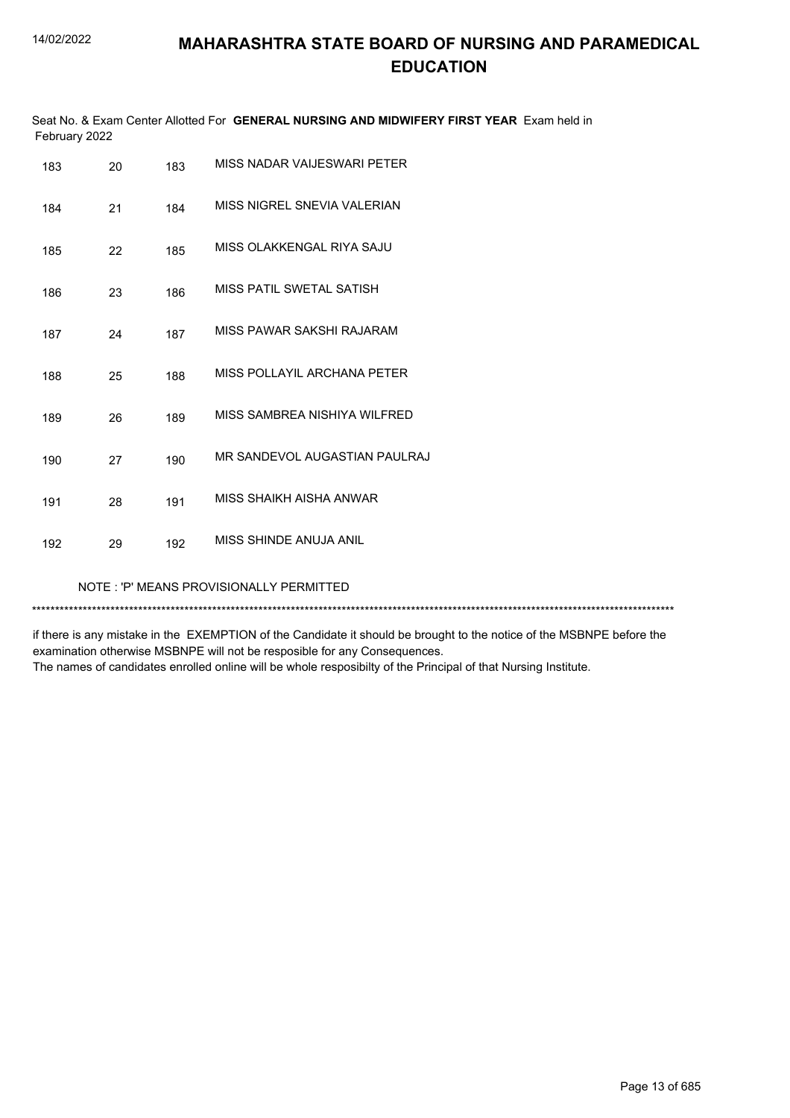|               | Seat No. & Exam Center Allotted For GENERAL NURSING AND MIDWIFERY FIRST YEAR Exam held in |  |
|---------------|-------------------------------------------------------------------------------------------|--|
| February 2022 |                                                                                           |  |

| 183 | 20                                      | 183 | MISS NADAR VAIJESWARI PETER   |  |  |  |
|-----|-----------------------------------------|-----|-------------------------------|--|--|--|
| 184 | 21                                      | 184 | MISS NIGREL SNEVIA VALERIAN   |  |  |  |
| 185 | 22                                      | 185 | MISS OLAKKENGAL RIYA SAJU     |  |  |  |
| 186 | 23                                      | 186 | MISS PATIL SWETAL SATISH      |  |  |  |
| 187 | 24                                      | 187 | MISS PAWAR SAKSHI RAJARAM     |  |  |  |
| 188 | 25                                      | 188 | MISS POLLAYIL ARCHANA PETER   |  |  |  |
| 189 | 26                                      | 189 | MISS SAMBREA NISHIYA WILFRED  |  |  |  |
| 190 | 27                                      | 190 | MR SANDEVOL AUGASTIAN PAULRAJ |  |  |  |
| 191 | 28                                      | 191 | MISS SHAIKH AISHA ANWAR       |  |  |  |
| 192 | 29                                      | 192 | MISS SHINDE ANUJA ANIL        |  |  |  |
|     | NOTE: 'P' MEANS PROVISIONALLY PERMITTED |     |                               |  |  |  |

\*\*\*\*\*\*\*\*\*\*\*\*\*\*\*\*\*\*\*\*\*\*\*\*\*\*\*\*\*\*\*\*\*\*\*\*\*\*\*\*\*\*\*\*\*\*\*\*\*\*\*\*\*\*\*\*\*\*\*\*\*\*\*\*\*\*\*\*\*\*\*\*\*\*\*\*\*\*\*\*\*\*\*\*\*\*\*\*\*\*\*\*\*\*\*\*\*\*\*\*\*\*\*\*\*\*\*\*\*\*\*\*\*\*\*\*\*\*\*\*\*\*\*\*\*\*\*\*\*\*\*\*\*\*\*\*\*\*\*

if there is any mistake in the EXEMPTION of the Candidate it should be brought to the notice of the MSBNPE before the examination otherwise MSBNPE will not be resposible for any Consequences.

The names of candidates enrolled online will be whole resposibilty of the Principal of that Nursing Institute.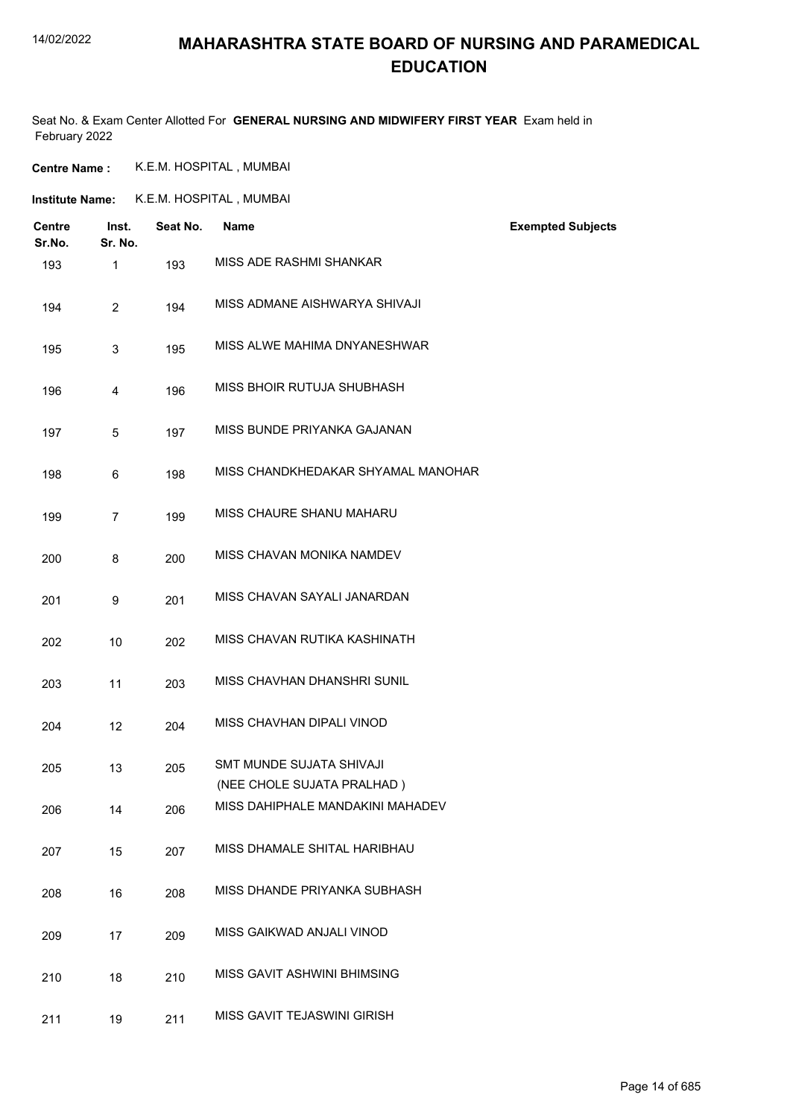### **MAHARASHTRA STATE BOARD OF NURSING AND PARAMEDICAL EDUCATION**

Seat No. & Exam Center Allotted For **GENERAL NURSING AND MIDWIFERY FIRST YEAR** Exam held in February 2022

**Centre Name :** K.E.M. HOSPITAL , MUMBAI

**Institute Name:** K.E.M. HOSPITAL , MUMBAI

| <b>Centre</b><br>Sr.No. | Inst.<br>Sr. No. | Seat No. | <b>Name</b>                                            | <b>Exempted Subjects</b> |
|-------------------------|------------------|----------|--------------------------------------------------------|--------------------------|
| 193                     | 1                | 193      | MISS ADE RASHMI SHANKAR                                |                          |
| 194                     | $\overline{2}$   | 194      | MISS ADMANE AISHWARYA SHIVAJI                          |                          |
| 195                     | 3                | 195      | MISS ALWE MAHIMA DNYANESHWAR                           |                          |
| 196                     | 4                | 196      | MISS BHOIR RUTUJA SHUBHASH                             |                          |
| 197                     | 5                | 197      | MISS BUNDE PRIYANKA GAJANAN                            |                          |
| 198                     | 6                | 198      | MISS CHANDKHEDAKAR SHYAMAL MANOHAR                     |                          |
| 199                     | $\overline{7}$   | 199      | MISS CHAURE SHANU MAHARU                               |                          |
| 200                     | 8                | 200      | MISS CHAVAN MONIKA NAMDEV                              |                          |
| 201                     | 9                | 201      | MISS CHAVAN SAYALI JANARDAN                            |                          |
| 202                     | 10               | 202      | MISS CHAVAN RUTIKA KASHINATH                           |                          |
| 203                     | 11               | 203      | MISS CHAVHAN DHANSHRI SUNIL                            |                          |
| 204                     | 12               | 204      | MISS CHAVHAN DIPALI VINOD                              |                          |
| 205                     | 13               | 205      | SMT MUNDE SUJATA SHIVAJI<br>(NEE CHOLE SUJATA PRALHAD) |                          |
| 206                     | 14               | 206      | MISS DAHIPHALE MANDAKINI MAHADEV                       |                          |
| 207                     | 15               | 207      | MISS DHAMALE SHITAL HARIBHAU                           |                          |
| 208                     | 16               | 208      | MISS DHANDE PRIYANKA SUBHASH                           |                          |
| 209                     | 17               | 209      | MISS GAIKWAD ANJALI VINOD                              |                          |
| 210                     | 18               | 210      | MISS GAVIT ASHWINI BHIMSING                            |                          |
| 211                     | 19               | 211      | MISS GAVIT TEJASWINI GIRISH                            |                          |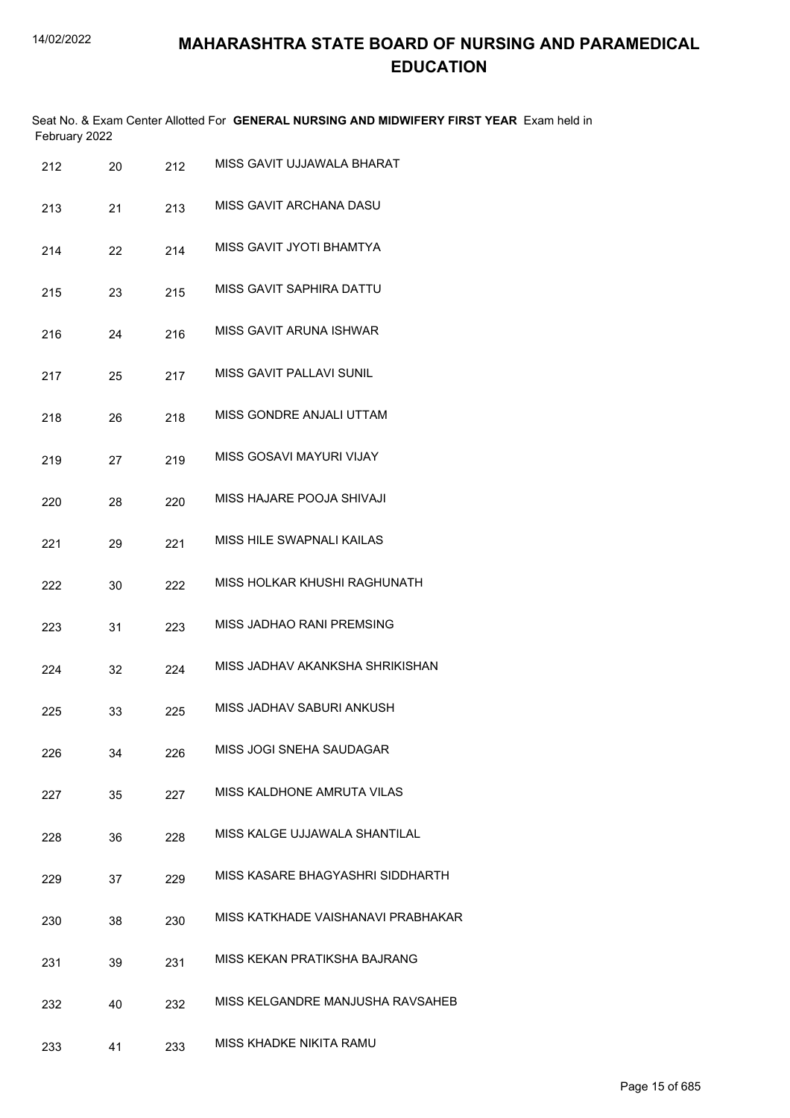Seat No. & Exam Center Allotted For **GENERAL NURSING AND MIDWIFERY FIRST YEAR** Exam held in February 2022

| 212 | 20 | 212 | MISS GAVIT UJJAWALA BHARAT         |
|-----|----|-----|------------------------------------|
| 213 | 21 | 213 | MISS GAVIT ARCHANA DASU            |
| 214 | 22 | 214 | MISS GAVIT JYOTI BHAMTYA           |
| 215 | 23 | 215 | MISS GAVIT SAPHIRA DATTU           |
| 216 | 24 | 216 | MISS GAVIT ARUNA ISHWAR            |
| 217 | 25 | 217 | MISS GAVIT PALLAVI SUNIL           |
| 218 | 26 | 218 | MISS GONDRE ANJALI UTTAM           |
| 219 | 27 | 219 | MISS GOSAVI MAYURI VIJAY           |
| 220 | 28 | 220 | MISS HAJARE POOJA SHIVAJI          |
| 221 | 29 | 221 | MISS HILE SWAPNALI KAILAS          |
| 222 | 30 | 222 | MISS HOLKAR KHUSHI RAGHUNATH       |
| 223 | 31 | 223 | MISS JADHAO RANI PREMSING          |
| 224 | 32 | 224 | MISS JADHAV AKANKSHA SHRIKISHAN    |
| 225 | 33 | 225 | MISS JADHAV SABURI ANKUSH          |
| 226 | 34 | 226 | MISS JOGI SNEHA SAUDAGAR           |
| 227 | 35 | 227 | MISS KALDHONE AMRUTA VILAS         |
| 228 | 36 | 228 | MISS KALGE UJJAWALA SHANTILAL      |
| 229 | 37 | 229 | MISS KASARE BHAGYASHRI SIDDHARTH   |
| 230 | 38 | 230 | MISS KATKHADE VAISHANAVI PRABHAKAR |
| 231 | 39 | 231 | MISS KEKAN PRATIKSHA BAJRANG       |
| 232 | 40 | 232 | MISS KELGANDRE MANJUSHA RAVSAHEB   |
| 233 | 41 | 233 | MISS KHADKE NIKITA RAMU            |
|     |    |     |                                    |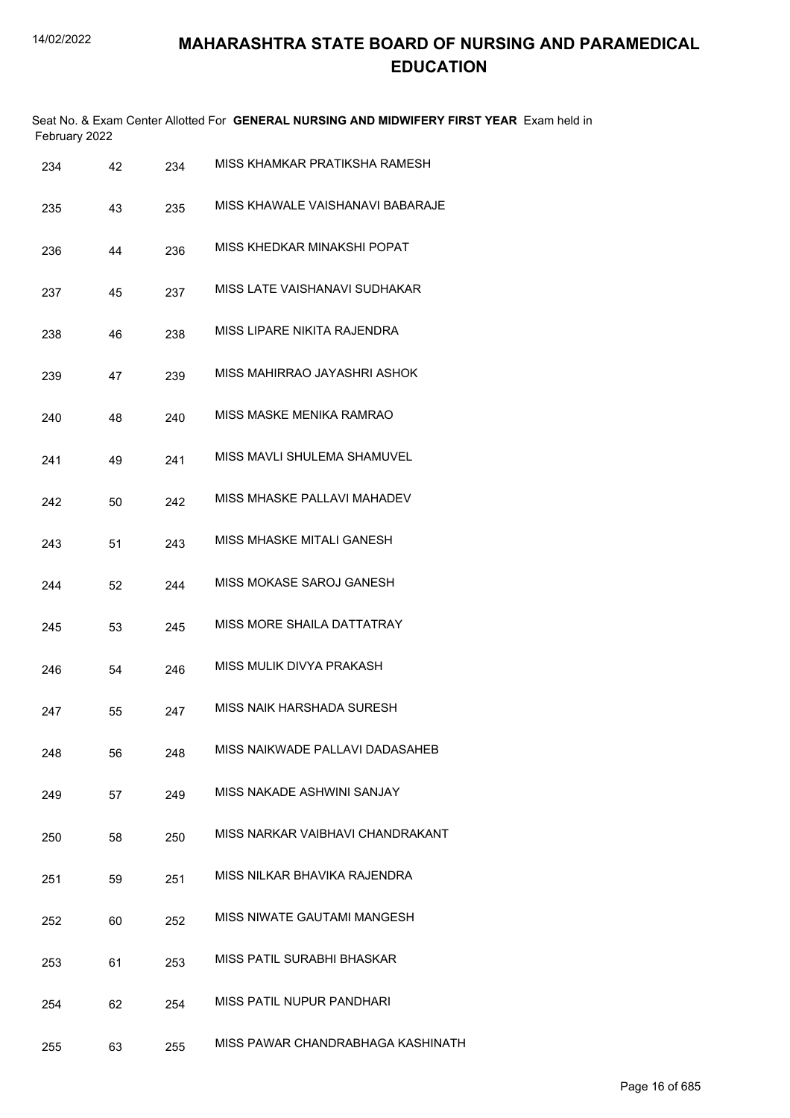| February 2022 |    |     | Seat No. & Exam Center Allotted For GENERAL NURSING AND MIDWIFERY FIRST YEAR Exam held in |
|---------------|----|-----|-------------------------------------------------------------------------------------------|
| 234           | 42 | 234 | MISS KHAMKAR PRATIKSHA RAMESH                                                             |
| 235           | 43 | 235 | MISS KHAWALE VAISHANAVI BABARAJE                                                          |
| 236           | 44 | 236 | MISS KHEDKAR MINAKSHI POPAT                                                               |
| 237           | 45 | 237 | MISS LATE VAISHANAVI SUDHAKAR                                                             |
| 238           | 46 | 238 | MISS LIPARE NIKITA RAJENDRA                                                               |
| 239           | 47 | 239 | MISS MAHIRRAO JAYASHRI ASHOK                                                              |
| 240           | 48 | 240 | MISS MASKE MENIKA RAMRAO                                                                  |
| 241           | 49 | 241 | MISS MAVLI SHULEMA SHAMUVEL                                                               |
| 242           | 50 | 242 | MISS MHASKE PALLAVI MAHADEV                                                               |
| 243           | 51 | 243 | MISS MHASKE MITALI GANESH                                                                 |
| 244           | 52 | 244 | MISS MOKASE SAROJ GANESH                                                                  |
| 245           | 53 | 245 | MISS MORE SHAILA DATTATRAY                                                                |
| 246           | 54 | 246 | MISS MULIK DIVYA PRAKASH                                                                  |
| 247           | 55 | 247 | MISS NAIK HARSHADA SURESH                                                                 |
| 248           | 56 | 248 | MISS NAIKWADE PALLAVI DADASAHEB                                                           |
| 249           | 57 | 249 | MISS NAKADE ASHWINI SANJAY                                                                |
| 250           | 58 | 250 | MISS NARKAR VAIBHAVI CHANDRAKANT                                                          |
| 251           | 59 | 251 | MISS NILKAR BHAVIKA RAJENDRA                                                              |
| 252           | 60 | 252 | MISS NIWATE GAUTAMI MANGESH                                                               |
| 253           | 61 | 253 | MISS PATIL SURABHI BHASKAR                                                                |
| 254           | 62 | 254 | MISS PATIL NUPUR PANDHARI                                                                 |
| 255           | 63 | 255 | MISS PAWAR CHANDRABHAGA KASHINATH                                                         |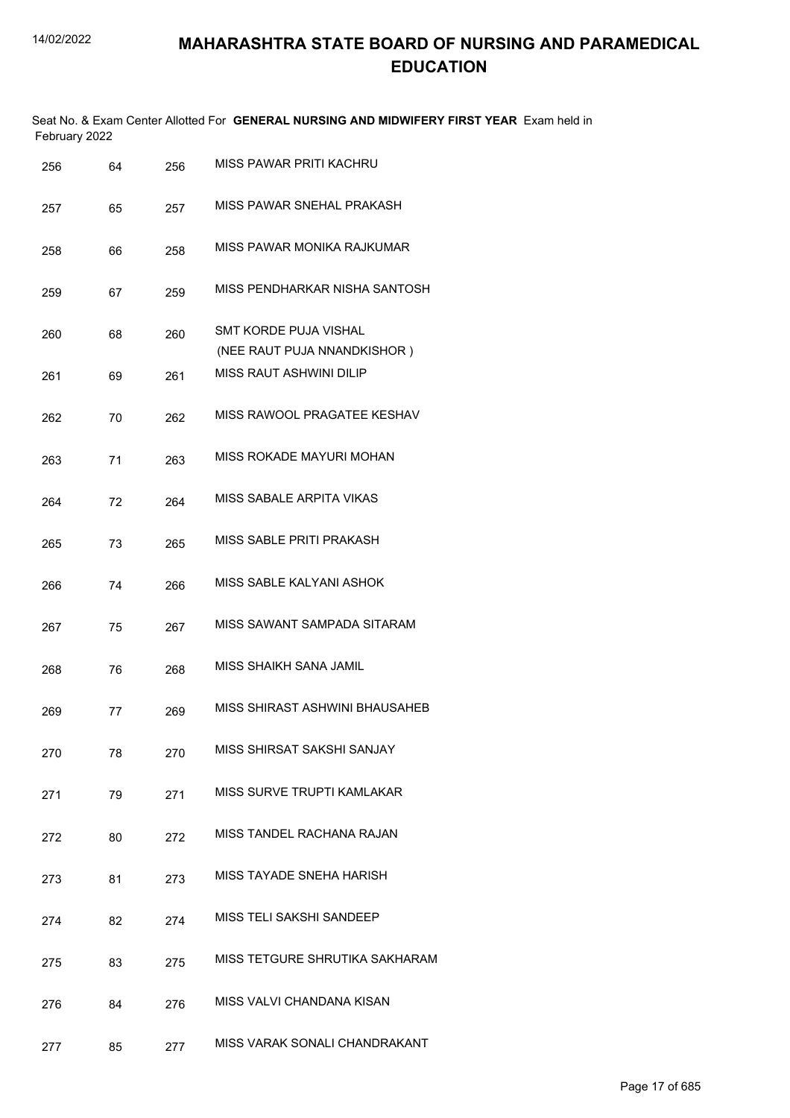|               |  | Seat No. & Exam Center Allotted For GENERAL NURSING AND MIDWIFERY FIRST YEAR Exam held in |  |
|---------------|--|-------------------------------------------------------------------------------------------|--|
| February 2022 |  |                                                                                           |  |

| 256 | 64 | 256 | MISS PAWAR PRITI KACHRU                              |
|-----|----|-----|------------------------------------------------------|
| 257 | 65 | 257 | MISS PAWAR SNEHAL PRAKASH                            |
| 258 | 66 | 258 | MISS PAWAR MONIKA RAJKUMAR                           |
| 259 | 67 | 259 | MISS PENDHARKAR NISHA SANTOSH                        |
| 260 | 68 | 260 | SMT KORDE PUJA VISHAL<br>(NEE RAUT PUJA NNANDKISHOR) |
| 261 | 69 | 261 | <b>MISS RAUT ASHWINI DILIP</b>                       |
| 262 | 70 | 262 | MISS RAWOOL PRAGATEE KESHAV                          |
| 263 | 71 | 263 | MISS ROKADE MAYURI MOHAN                             |
| 264 | 72 | 264 | MISS SABALE ARPITA VIKAS                             |
| 265 | 73 | 265 | MISS SABLE PRITI PRAKASH                             |
| 266 | 74 | 266 | MISS SABLE KALYANI ASHOK                             |
| 267 | 75 | 267 | MISS SAWANT SAMPADA SITARAM                          |
| 268 | 76 | 268 | MISS SHAIKH SANA JAMIL                               |
| 269 | 77 | 269 | MISS SHIRAST ASHWINI BHAUSAHEB                       |
| 270 | 78 | 270 | MISS SHIRSAT SAKSHI SANJAY                           |
| 271 | 79 | 271 | MISS SURVE TRUPTI KAMLAKAR                           |
| 272 | 80 | 272 | MISS TANDEL RACHANA RAJAN                            |
| 273 | 81 | 273 | MISS TAYADE SNEHA HARISH                             |
| 274 | 82 | 274 | MISS TELI SAKSHI SANDEEP                             |
| 275 | 83 | 275 | MISS TETGURE SHRUTIKA SAKHARAM                       |
| 276 | 84 | 276 | MISS VALVI CHANDANA KISAN                            |
| 277 | 85 | 277 | MISS VARAK SONALI CHANDRAKANT                        |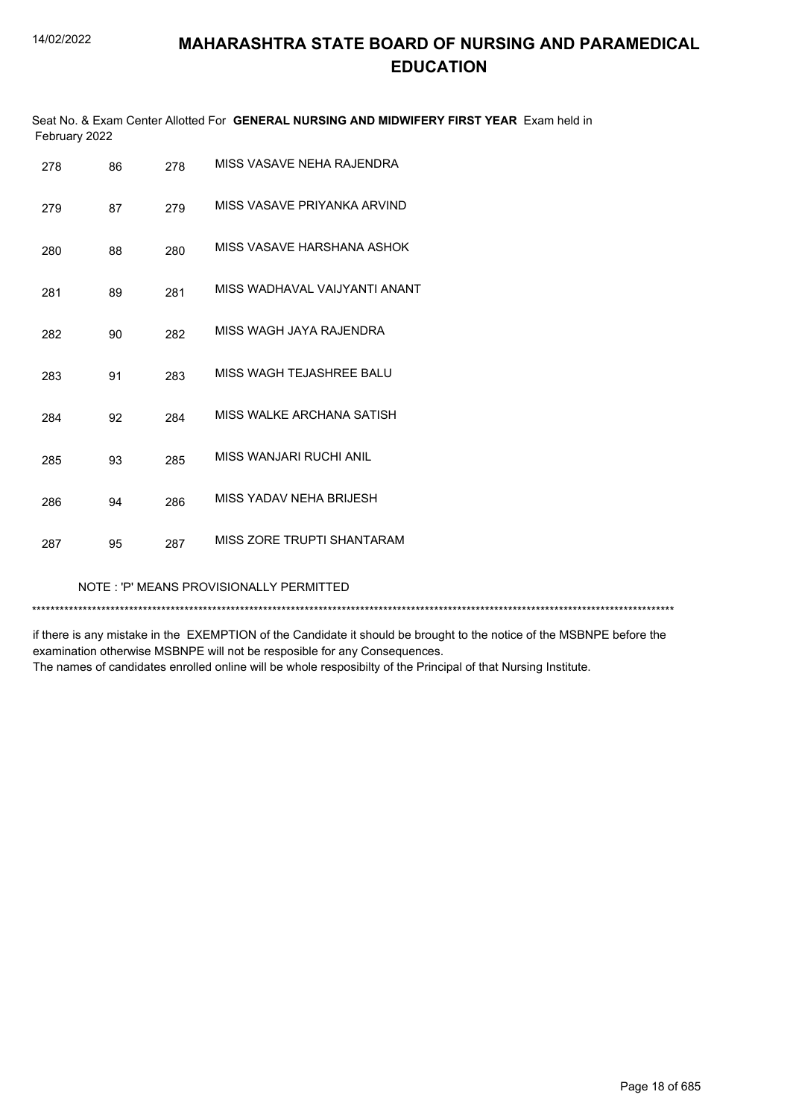|               | Seat No. & Exam Center Allotted For GENERAL NURSING AND MIDWIFERY FIRST YEAR Exam held in |  |
|---------------|-------------------------------------------------------------------------------------------|--|
| February 2022 |                                                                                           |  |

| 278 | 86 | 278 | MISS VASAVE NEHA RAJENDRA               |
|-----|----|-----|-----------------------------------------|
| 279 | 87 | 279 | MISS VASAVE PRIYANKA ARVIND             |
| 280 | 88 | 280 | MISS VASAVE HARSHANA ASHOK              |
| 281 | 89 | 281 | MISS WADHAVAL VAIJYANTI ANANT           |
| 282 | 90 | 282 | MISS WAGH JAYA RAJENDRA                 |
| 283 | 91 | 283 | MISS WAGH TEJASHREE BALU                |
| 284 | 92 | 284 | MISS WALKE ARCHANA SATISH               |
| 285 | 93 | 285 | MISS WANJARI RUCHI ANIL                 |
| 286 | 94 | 286 | MISS YADAV NEHA BRIJESH                 |
| 287 | 95 | 287 | MISS ZORE TRUPTI SHANTARAM              |
|     |    |     | NOTE: 'P' MEANS PROVISIONALLY PERMITTED |

\*\*\*\*\*\*\*\*\*\*\*\*\*\*\*\*\*\*\*\*\*\*\*\*\*\*\*\*\*\*\*\*\*\*\*\*\*\*\*\*\*\*\*\*\*\*\*\*\*\*\*\*\*\*\*\*\*\*\*\*\*\*\*\*\*\*\*\*\*\*\*\*\*\*\*\*\*\*\*\*\*\*\*\*\*\*\*\*\*\*\*\*\*\*\*\*\*\*\*\*\*\*\*\*\*\*\*\*\*\*\*\*\*\*\*\*\*\*\*\*\*\*\*\*\*\*\*\*\*\*\*\*\*\*\*\*\*\*\*

if there is any mistake in the EXEMPTION of the Candidate it should be brought to the notice of the MSBNPE before the examination otherwise MSBNPE will not be resposible for any Consequences.

The names of candidates enrolled online will be whole resposibilty of the Principal of that Nursing Institute.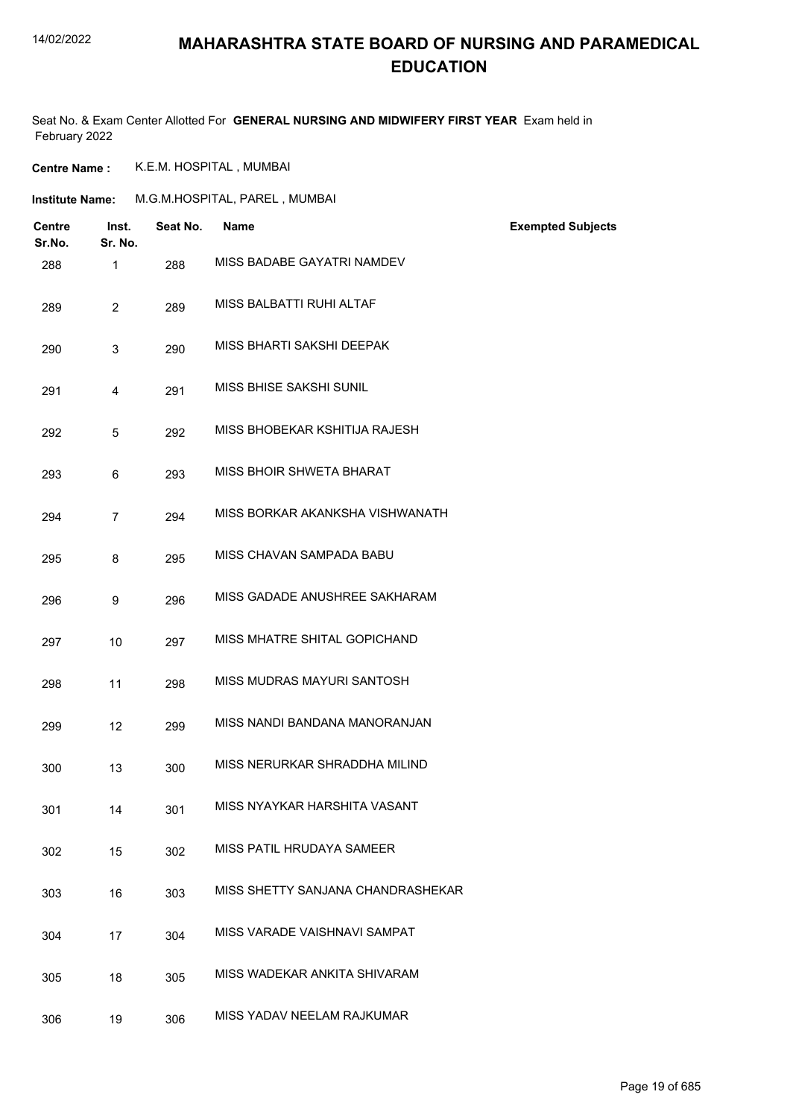### **MAHARASHTRA STATE BOARD OF NURSING AND PARAMEDICAL EDUCATION**

Seat No. & Exam Center Allotted For **GENERAL NURSING AND MIDWIFERY FIRST YEAR** Exam held in February 2022

**Centre Name :** K.E.M. HOSPITAL , MUMBAI

| <b>Institute Name:</b>  |                  |          | M.G.M.HOSPITAL, PAREL, MUMBAI     |                          |
|-------------------------|------------------|----------|-----------------------------------|--------------------------|
| <b>Centre</b><br>Sr.No. | Inst.<br>Sr. No. | Seat No. | <b>Name</b>                       | <b>Exempted Subjects</b> |
| 288                     | $\mathbf{1}$     | 288      | MISS BADABE GAYATRI NAMDEV        |                          |
| 289                     | $\overline{2}$   | 289      | MISS BALBATTI RUHI ALTAF          |                          |
| 290                     | 3                | 290      | MISS BHARTI SAKSHI DEEPAK         |                          |
| 291                     | 4                | 291      | MISS BHISE SAKSHI SUNIL           |                          |
| 292                     | 5                | 292      | MISS BHOBEKAR KSHITIJA RAJESH     |                          |
| 293                     | 6                | 293      | MISS BHOIR SHWETA BHARAT          |                          |
| 294                     | $\overline{7}$   | 294      | MISS BORKAR AKANKSHA VISHWANATH   |                          |
| 295                     | 8                | 295      | MISS CHAVAN SAMPADA BABU          |                          |
| 296                     | 9                | 296      | MISS GADADE ANUSHREE SAKHARAM     |                          |
| 297                     | 10               | 297      | MISS MHATRE SHITAL GOPICHAND      |                          |
| 298                     | 11               | 298      | MISS MUDRAS MAYURI SANTOSH        |                          |
| 299                     | 12               | 299      | MISS NANDI BANDANA MANORANJAN     |                          |
| 300                     | 13               | 300      | MISS NERURKAR SHRADDHA MILIND     |                          |
| 301                     | 14               | 301      | MISS NYAYKAR HARSHITA VASANT      |                          |
| 302                     | 15               | 302      | MISS PATIL HRUDAYA SAMEER         |                          |
| 303                     | 16               | 303      | MISS SHETTY SANJANA CHANDRASHEKAR |                          |
| 304                     | 17               | 304      | MISS VARADE VAISHNAVI SAMPAT      |                          |
| 305                     | 18               | 305      | MISS WADEKAR ANKITA SHIVARAM      |                          |
| 306                     | 19               | 306      | MISS YADAV NEELAM RAJKUMAR        |                          |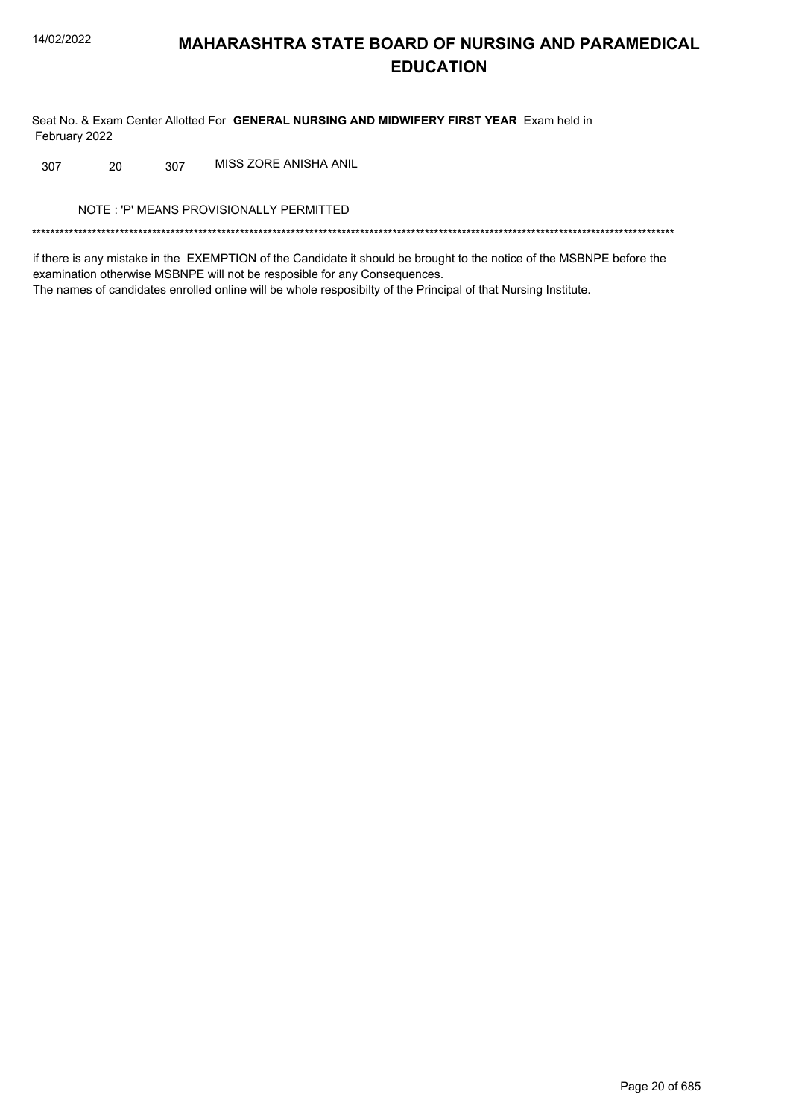Seat No. & Exam Center Allotted For GENERAL NURSING AND MIDWIFERY FIRST YEAR Exam held in February 2022

MISS ZORE ANISHA ANIL 20 307 307

NOTE: 'P' MEANS PROVISIONALLY PERMITTED

if there is any mistake in the EXEMPTION of the Candidate it should be brought to the notice of the MSBNPE before the examination otherwise MSBNPE will not be resposible for any Consequences. The names of candidates enrolled online will be whole resposibilty of the Principal of that Nursing Institute.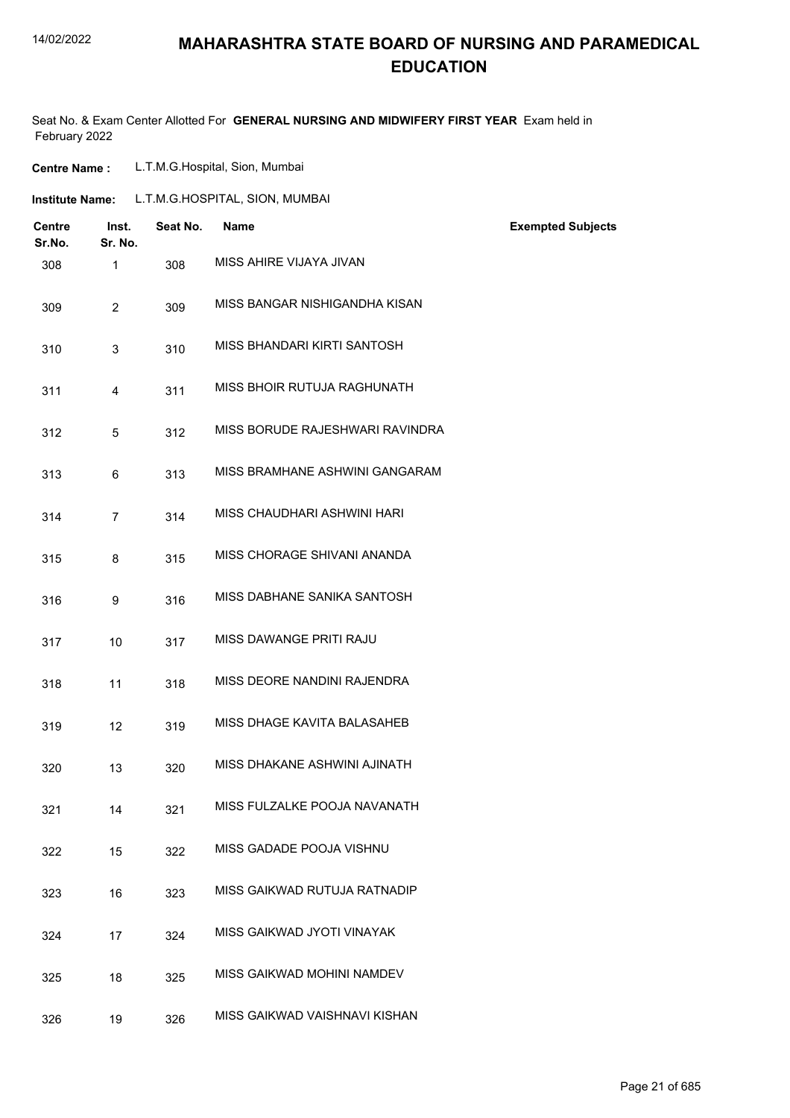### **MAHARASHTRA STATE BOARD OF NURSING AND PARAMEDICAL EDUCATION**

Seat No. & Exam Center Allotted For **GENERAL NURSING AND MIDWIFERY FIRST YEAR** Exam held in February 2022

| <b>Centre Name :</b> | L.T.M.G.Hospital, Sion, Mumbai |  |
|----------------------|--------------------------------|--|
|----------------------|--------------------------------|--|

| Institute Name: | L.T.M.G.HOSPITAL, SION, MUMBAI |  |
|-----------------|--------------------------------|--|
|                 |                                |  |

| <b>Centre</b><br>Sr.No. | Inst.<br>Sr. No. | Seat No. | <b>Name</b>                     | <b>Exempted Subjects</b> |
|-------------------------|------------------|----------|---------------------------------|--------------------------|
| 308                     | 1                | 308      | MISS AHIRE VIJAYA JIVAN         |                          |
| 309                     | $\overline{2}$   | 309      | MISS BANGAR NISHIGANDHA KISAN   |                          |
| 310                     | 3                | 310      | MISS BHANDARI KIRTI SANTOSH     |                          |
| 311                     | 4                | 311      | MISS BHOIR RUTUJA RAGHUNATH     |                          |
| 312                     | 5                | 312      | MISS BORUDE RAJESHWARI RAVINDRA |                          |
| 313                     | 6                | 313      | MISS BRAMHANE ASHWINI GANGARAM  |                          |
| 314                     | $\overline{7}$   | 314      | MISS CHAUDHARI ASHWINI HARI     |                          |
| 315                     | 8                | 315      | MISS CHORAGE SHIVANI ANANDA     |                          |
| 316                     | 9                | 316      | MISS DABHANE SANIKA SANTOSH     |                          |
| 317                     | 10               | 317      | MISS DAWANGE PRITI RAJU         |                          |
| 318                     | 11               | 318      | MISS DEORE NANDINI RAJENDRA     |                          |
| 319                     | 12               | 319      | MISS DHAGE KAVITA BALASAHEB     |                          |
| 320                     | 13               | 320      | MISS DHAKANE ASHWINI AJINATH    |                          |
| 321                     | 14               | 321      | MISS FULZALKE POOJA NAVANATH    |                          |
| 322                     | 15               | 322      | MISS GADADE POOJA VISHNU        |                          |
| 323                     | 16               | 323      | MISS GAIKWAD RUTUJA RATNADIP    |                          |
| 324                     | 17               | 324      | MISS GAIKWAD JYOTI VINAYAK      |                          |
| 325                     | 18               | 325      | MISS GAIKWAD MOHINI NAMDEV      |                          |
| 326                     | 19               | 326      | MISS GAIKWAD VAISHNAVI KISHAN   |                          |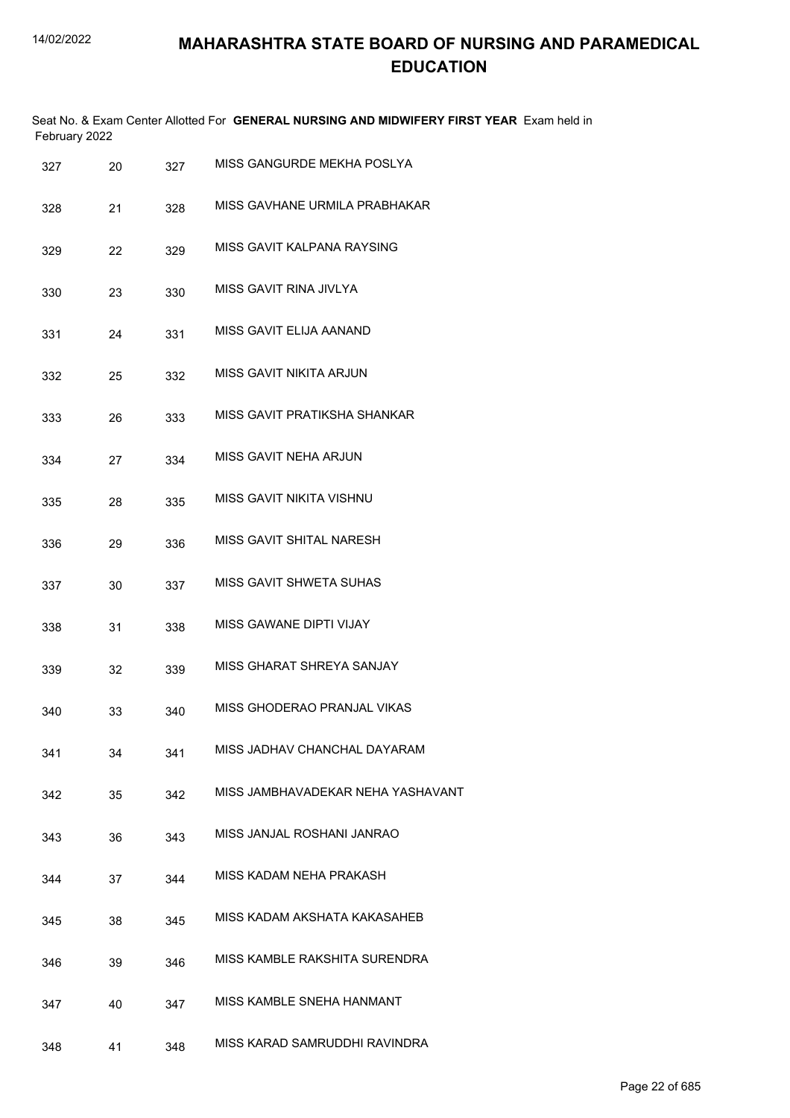| February 2022 |    |     | Seat No. & Exam Center Allotted For GENERAL NURSING AND MIDWIFERY FIRST YEAR Exam held in |
|---------------|----|-----|-------------------------------------------------------------------------------------------|
| 327           | 20 | 327 | MISS GANGURDE MEKHA POSLYA                                                                |
| 328           | 21 | 328 | MISS GAVHANE URMILA PRABHAKAR                                                             |
| 329           | 22 | 329 | MISS GAVIT KALPANA RAYSING                                                                |
| 330           | 23 | 330 | MISS GAVIT RINA JIVLYA                                                                    |
| 331           | 24 | 331 | MISS GAVIT ELIJA AANAND                                                                   |
| 332           | 25 | 332 | MISS GAVIT NIKITA ARJUN                                                                   |
| 333           | 26 | 333 | MISS GAVIT PRATIKSHA SHANKAR                                                              |
| 334           | 27 | 334 | MISS GAVIT NEHA ARJUN                                                                     |
| 335           | 28 | 335 | MISS GAVIT NIKITA VISHNU                                                                  |
| 336           | 29 | 336 | MISS GAVIT SHITAL NARESH                                                                  |
| 337           | 30 | 337 | MISS GAVIT SHWETA SUHAS                                                                   |
| 338           | 31 | 338 | MISS GAWANE DIPTI VIJAY                                                                   |
| 339           | 32 | 339 | MISS GHARAT SHREYA SANJAY                                                                 |
| 340           | 33 | 340 | MISS GHODERAO PRANJAL VIKAS                                                               |
| 341           | 34 | 341 | MISS JADHAV CHANCHAL DAYARAM                                                              |
| 342           | 35 | 342 | MISS JAMBHAVADEKAR NEHA YASHAVANT                                                         |
| 343           | 36 | 343 | MISS JANJAL ROSHANI JANRAO                                                                |
| 344           | 37 | 344 | MISS KADAM NEHA PRAKASH                                                                   |
| 345           | 38 | 345 | MISS KADAM AKSHATA KAKASAHEB                                                              |
| 346           | 39 | 346 | MISS KAMBLE RAKSHITA SURENDRA                                                             |
| 347           | 40 | 347 | MISS KAMBLE SNEHA HANMANT                                                                 |
| 348           | 41 | 348 | MISS KARAD SAMRUDDHI RAVINDRA                                                             |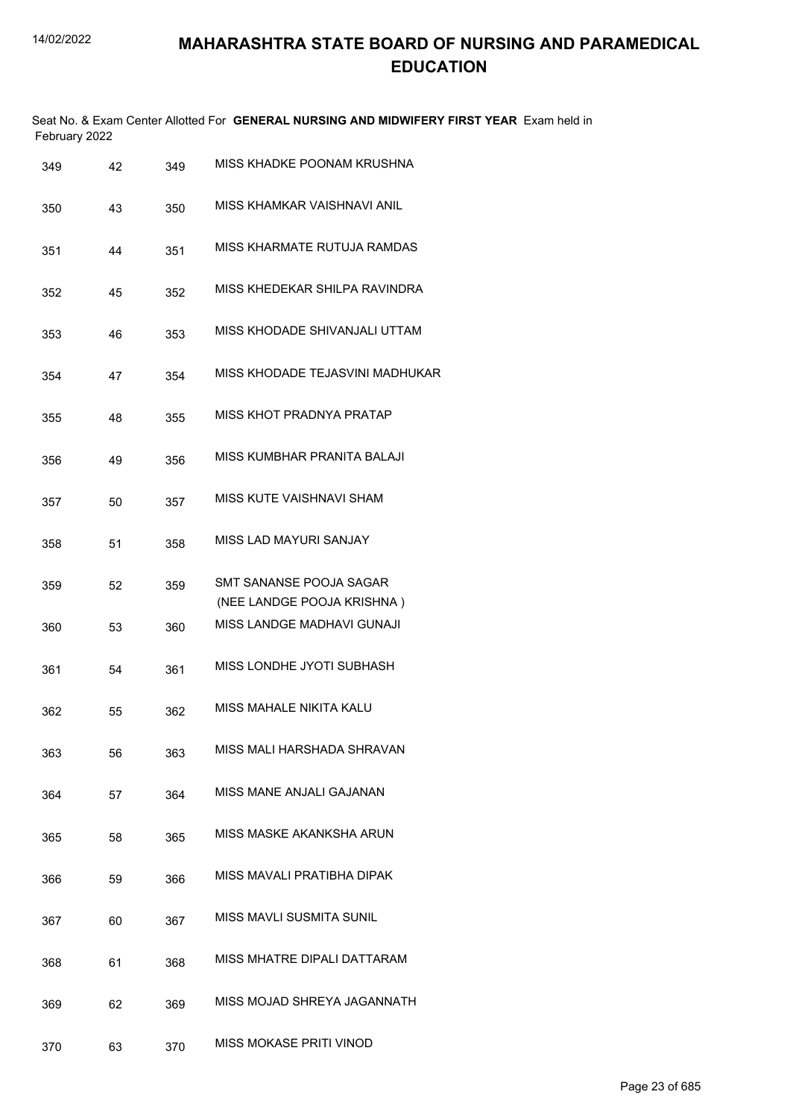|               | Seat No. & Exam Center Allotted For GENERAL NURSING AND MIDWIFERY FIRST YEAR Exam held in |
|---------------|-------------------------------------------------------------------------------------------|
| February 2022 |                                                                                           |

| 349 | 42 | 349 | MISS KHADKE POONAM KRUSHNA                            |
|-----|----|-----|-------------------------------------------------------|
| 350 | 43 | 350 | MISS KHAMKAR VAISHNAVI ANIL                           |
| 351 | 44 | 351 | MISS KHARMATE RUTUJA RAMDAS                           |
| 352 | 45 | 352 | MISS KHEDEKAR SHILPA RAVINDRA                         |
| 353 | 46 | 353 | MISS KHODADE SHIVANJALI UTTAM                         |
| 354 | 47 | 354 | MISS KHODADE TEJASVINI MADHUKAR                       |
| 355 | 48 | 355 | MISS KHOT PRADNYA PRATAP                              |
| 356 | 49 | 356 | MISS KUMBHAR PRANITA BALAJI                           |
| 357 | 50 | 357 | MISS KUTE VAISHNAVI SHAM                              |
| 358 | 51 | 358 | <b>MISS LAD MAYURI SANJAY</b>                         |
| 359 | 52 | 359 | SMT SANANSE POOJA SAGAR<br>(NEE LANDGE POOJA KRISHNA) |
| 360 | 53 | 360 | MISS LANDGE MADHAVI GUNAJI                            |
| 361 | 54 | 361 | MISS LONDHE JYOTI SUBHASH                             |
| 362 | 55 | 362 | MISS MAHALE NIKITA KALU                               |
| 363 | 56 | 363 | MISS MALI HARSHADA SHRAVAN                            |
| 364 | 57 | 364 | MISS MANE ANJALI GAJANAN                              |
| 365 | 58 | 365 | MISS MASKE AKANKSHA ARUN                              |
| 366 | 59 | 366 | MISS MAVALI PRATIBHA DIPAK                            |
| 367 | 60 | 367 | <b>MISS MAVLI SUSMITA SUNIL</b>                       |
| 368 | 61 | 368 | MISS MHATRE DIPALI DATTARAM                           |
| 369 | 62 | 369 | MISS MOJAD SHREYA JAGANNATH                           |
| 370 | 63 | 370 | MISS MOKASE PRITI VINOD                               |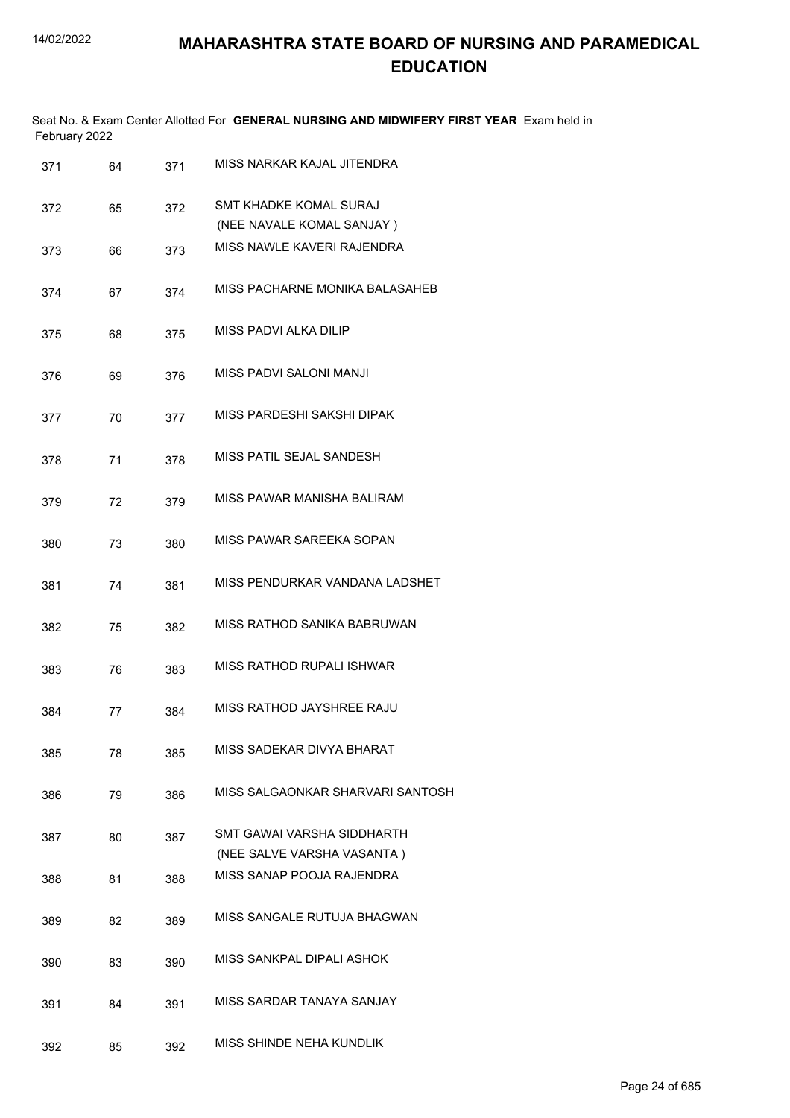| February 2022 |    |     | Seat No. & Exam Center Allotted For GENERAL NURSING AND MIDWIFERY FIRST YEAR Exam held in |
|---------------|----|-----|-------------------------------------------------------------------------------------------|
| 371           | 64 | 371 | MISS NARKAR KAJAL JITENDRA                                                                |
| 372           | 65 | 372 | SMT KHADKE KOMAL SURAJ<br>(NEE NAVALE KOMAL SANJAY)                                       |
| 373           | 66 | 373 | MISS NAWLE KAVERI RAJENDRA                                                                |
| 374           | 67 | 374 | MISS PACHARNE MONIKA BALASAHEB                                                            |
| 375           | 68 | 375 | MISS PADVI ALKA DILIP                                                                     |
| 376           | 69 | 376 | MISS PADVI SALONI MANJI                                                                   |
| 377           | 70 | 377 | MISS PARDESHI SAKSHI DIPAK                                                                |
| 378           | 71 | 378 | MISS PATIL SEJAL SANDESH                                                                  |
| 379           | 72 | 379 | MISS PAWAR MANISHA BALIRAM                                                                |
| 380           | 73 | 380 | MISS PAWAR SAREEKA SOPAN                                                                  |
| 381           | 74 | 381 | MISS PENDURKAR VANDANA LADSHET                                                            |
| 382           | 75 | 382 | MISS RATHOD SANIKA BABRUWAN                                                               |
| 383           | 76 | 383 | MISS RATHOD RUPALI ISHWAR                                                                 |
| 384           | 77 | 384 | MISS RATHOD JAYSHREE RAJU                                                                 |
| 385           | 78 | 385 | MISS SADEKAR DIVYA BHARAT                                                                 |
| 386           | 79 | 386 | MISS SALGAONKAR SHARVARI SANTOSH                                                          |
| 387           | 80 | 387 | SMT GAWAI VARSHA SIDDHARTH<br>(NEE SALVE VARSHA VASANTA)                                  |
| 388           | 81 | 388 | MISS SANAP POOJA RAJENDRA                                                                 |
| 389           | 82 | 389 | MISS SANGALE RUTUJA BHAGWAN                                                               |
| 390           | 83 | 390 | MISS SANKPAL DIPALI ASHOK                                                                 |
| 391           | 84 | 391 | MISS SARDAR TANAYA SANJAY                                                                 |
| 392           | 85 | 392 | MISS SHINDE NEHA KUNDLIK                                                                  |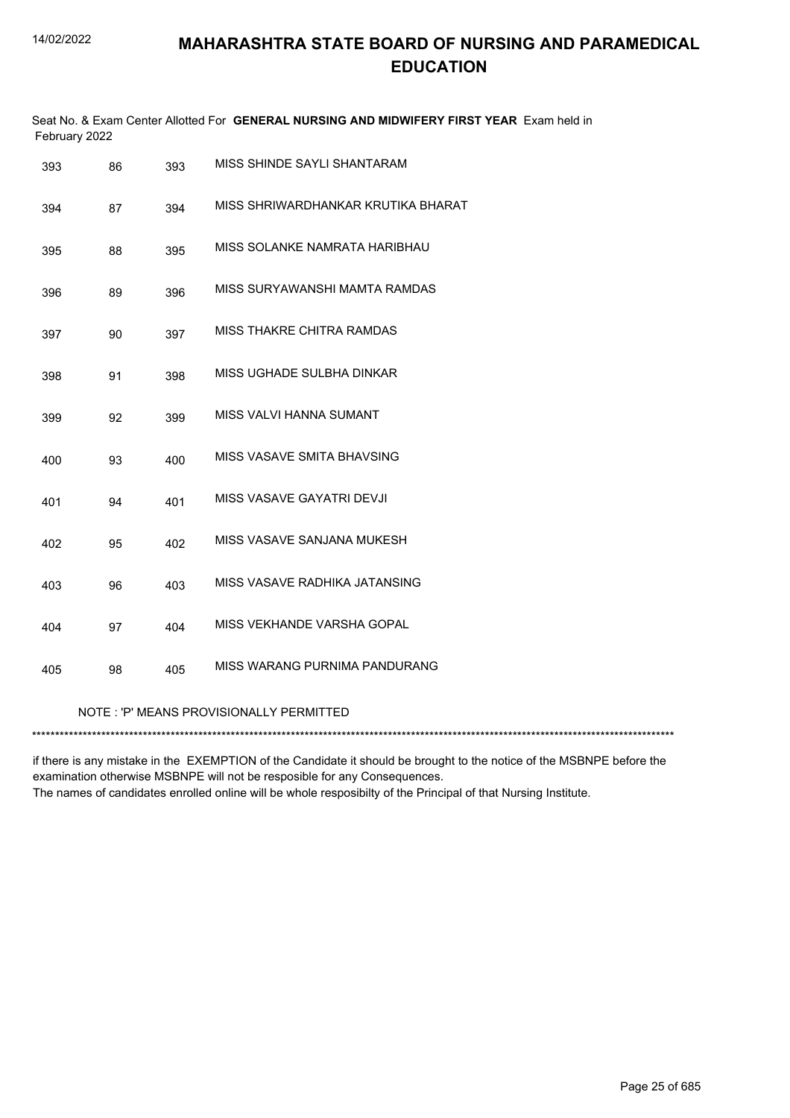| February 2022 |    |     | Seat No. & Exam Center Allotted For GENERAL NURSING AND MIDWIFERY FIRST YEAR Exam held in |
|---------------|----|-----|-------------------------------------------------------------------------------------------|
| 393           | 86 | 393 | MISS SHINDE SAYLI SHANTARAM                                                               |
| 394           | 87 | 394 | MISS SHRIWARDHANKAR KRUTIKA BHARAT                                                        |
| 395           | 88 | 395 | MISS SOLANKE NAMRATA HARIBHAU                                                             |
| 396           | 89 | 396 | MISS SURYAWANSHI MAMTA RAMDAS                                                             |
| 397           | 90 | 397 | MISS THAKRE CHITRA RAMDAS                                                                 |
| 398           | 91 | 398 | MISS UGHADE SULBHA DINKAR                                                                 |
| 399           | 92 | 399 | MISS VALVI HANNA SUMANT                                                                   |
| 400           | 93 | 400 | MISS VASAVE SMITA BHAVSING                                                                |
| 401           | 94 | 401 | MISS VASAVE GAYATRI DEVJI                                                                 |
| 402           | 95 | 402 | MISS VASAVE SANJANA MUKESH                                                                |
| 403           | 96 | 403 | MISS VASAVE RADHIKA JATANSING                                                             |
| 404           | 97 | 404 | MISS VEKHANDE VARSHA GOPAL                                                                |
| 405           | 98 | 405 | MISS WARANG PURNIMA PANDURANG                                                             |
|               |    |     | NOTE: 'P' MEANS PROVISIONALLY PERMITTED                                                   |
|               |    |     |                                                                                           |

if there is any mistake in the EXEMPTION of the Candidate it should be brought to the notice of the MSBNPE before the examination otherwise MSBNPE will not be resposible for any Consequences. The names of candidates enrolled online will be whole resposibilty of the Principal of that Nursing Institute.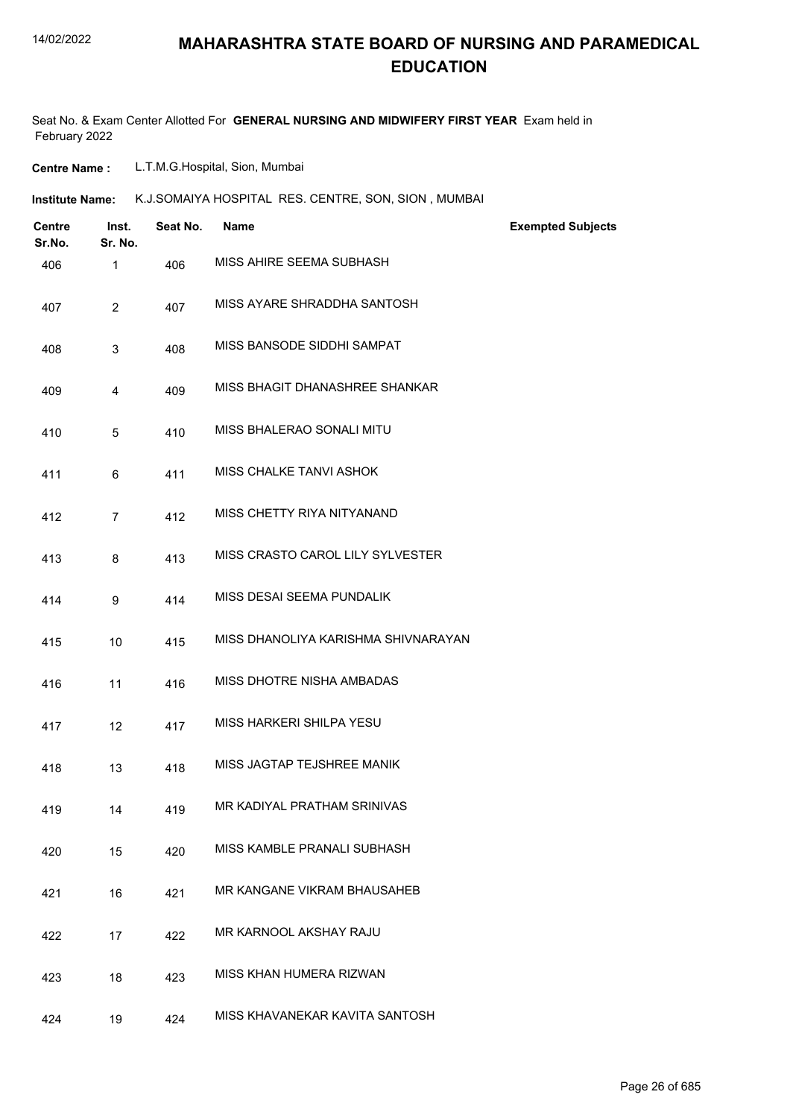### **MAHARASHTRA STATE BOARD OF NURSING AND PARAMEDICAL EDUCATION**

Seat No. & Exam Center Allotted For **GENERAL NURSING AND MIDWIFERY FIRST YEAR** Exam held in February 2022

**Centre Name :** L.T.M.G.Hospital, Sion, Mumbai

| K.J.SOMAIYA HOSPITAL RES. CENTRE, SON, SION, MUMBAI<br>Institute Name: |
|------------------------------------------------------------------------|
|------------------------------------------------------------------------|

| <b>Centre</b><br>Sr.No. | Inst.<br>Sr. No. | Seat No. | <b>Name</b>                         | <b>Exempted Subjects</b> |
|-------------------------|------------------|----------|-------------------------------------|--------------------------|
| 406                     | 1                | 406      | MISS AHIRE SEEMA SUBHASH            |                          |
| 407                     | $\overline{2}$   | 407      | MISS AYARE SHRADDHA SANTOSH         |                          |
| 408                     | 3                | 408      | MISS BANSODE SIDDHI SAMPAT          |                          |
| 409                     | 4                | 409      | MISS BHAGIT DHANASHREE SHANKAR      |                          |
| 410                     | 5                | 410      | MISS BHALERAO SONALI MITU           |                          |
| 411                     | 6                | 411      | MISS CHALKE TANVI ASHOK             |                          |
| 412                     | $\overline{7}$   | 412      | MISS CHETTY RIYA NITYANAND          |                          |
| 413                     | 8                | 413      | MISS CRASTO CAROL LILY SYLVESTER    |                          |
| 414                     | 9                | 414      | MISS DESAI SEEMA PUNDALIK           |                          |
| 415                     | 10               | 415      | MISS DHANOLIYA KARISHMA SHIVNARAYAN |                          |
| 416                     | 11               | 416      | MISS DHOTRE NISHA AMBADAS           |                          |
| 417                     | 12               | 417      | <b>MISS HARKERI SHILPA YESU</b>     |                          |
| 418                     | 13               | 418      | MISS JAGTAP TEJSHREE MANIK          |                          |
| 419                     | 14               | 419      | MR KADIYAL PRATHAM SRINIVAS         |                          |
| 420                     | 15               | 420      | MISS KAMBLE PRANALI SUBHASH         |                          |
| 421                     | 16               | 421      | MR KANGANE VIKRAM BHAUSAHEB         |                          |
| 422                     | 17               | 422      | MR KARNOOL AKSHAY RAJU              |                          |
| 423                     | 18               | 423      | MISS KHAN HUMERA RIZWAN             |                          |
| 424                     | 19               | 424      | MISS KHAVANEKAR KAVITA SANTOSH      |                          |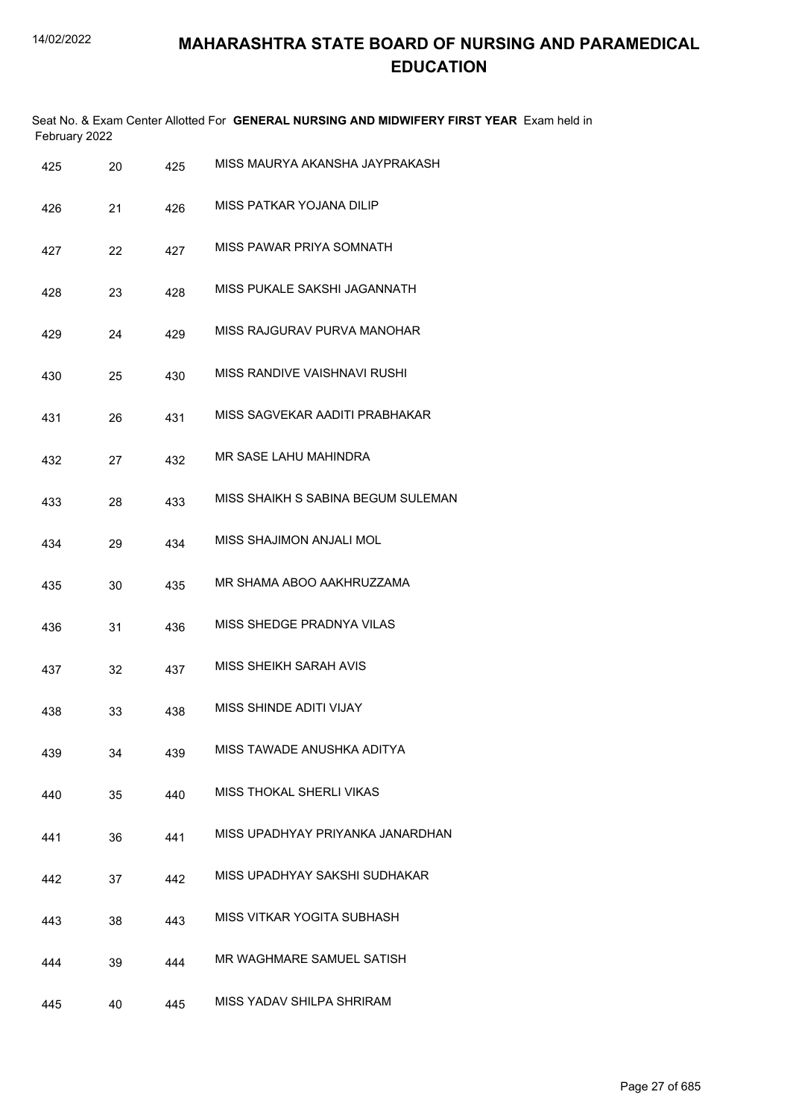|     | February 2022 |     | Seat No. & Exam Center Allotted For GENERAL NURSING AND MIDWIFERY FIRST YEAR Exam held in |
|-----|---------------|-----|-------------------------------------------------------------------------------------------|
| 425 | 20            | 425 | MISS MAURYA AKANSHA JAYPRAKASH                                                            |
| 426 | 21            | 426 | MISS PATKAR YOJANA DILIP                                                                  |
| 427 | 22            | 427 | MISS PAWAR PRIYA SOMNATH                                                                  |
| 428 | 23            | 428 | MISS PUKALE SAKSHI JAGANNATH                                                              |
| 429 | 24            | 429 | MISS RAJGURAV PURVA MANOHAR                                                               |
| 430 | 25            | 430 | MISS RANDIVE VAISHNAVI RUSHI                                                              |
| 431 | 26            | 431 | MISS SAGVEKAR AADITI PRABHAKAR                                                            |
| 432 | 27            | 432 | MR SASE LAHU MAHINDRA                                                                     |
| 433 | 28            | 433 | MISS SHAIKH S SABINA BEGUM SULEMAN                                                        |
| 434 | 29            | 434 | MISS SHAJIMON ANJALI MOL                                                                  |
| 435 | 30            | 435 | MR SHAMA ABOO AAKHRUZZAMA                                                                 |
| 436 | 31            | 436 | MISS SHEDGE PRADNYA VILAS                                                                 |
| 437 | 32            | 437 | <b>MISS SHEIKH SARAH AVIS</b>                                                             |
| 438 | 33            | 438 | MISS SHINDE ADITI VIJAY                                                                   |
| 439 | 34            | 439 | MISS TAWADE ANUSHKA ADITYA                                                                |
| 440 | 35            | 440 | MISS THOKAL SHERLI VIKAS                                                                  |
| 441 | 36            | 441 | MISS UPADHYAY PRIYANKA JANARDHAN                                                          |
| 442 | 37            | 442 | MISS UPADHYAY SAKSHI SUDHAKAR                                                             |
| 443 | 38            | 443 | MISS VITKAR YOGITA SUBHASH                                                                |
| 444 | 39            | 444 | MR WAGHMARE SAMUEL SATISH                                                                 |
| 445 | 40            | 445 | MISS YADAV SHILPA SHRIRAM                                                                 |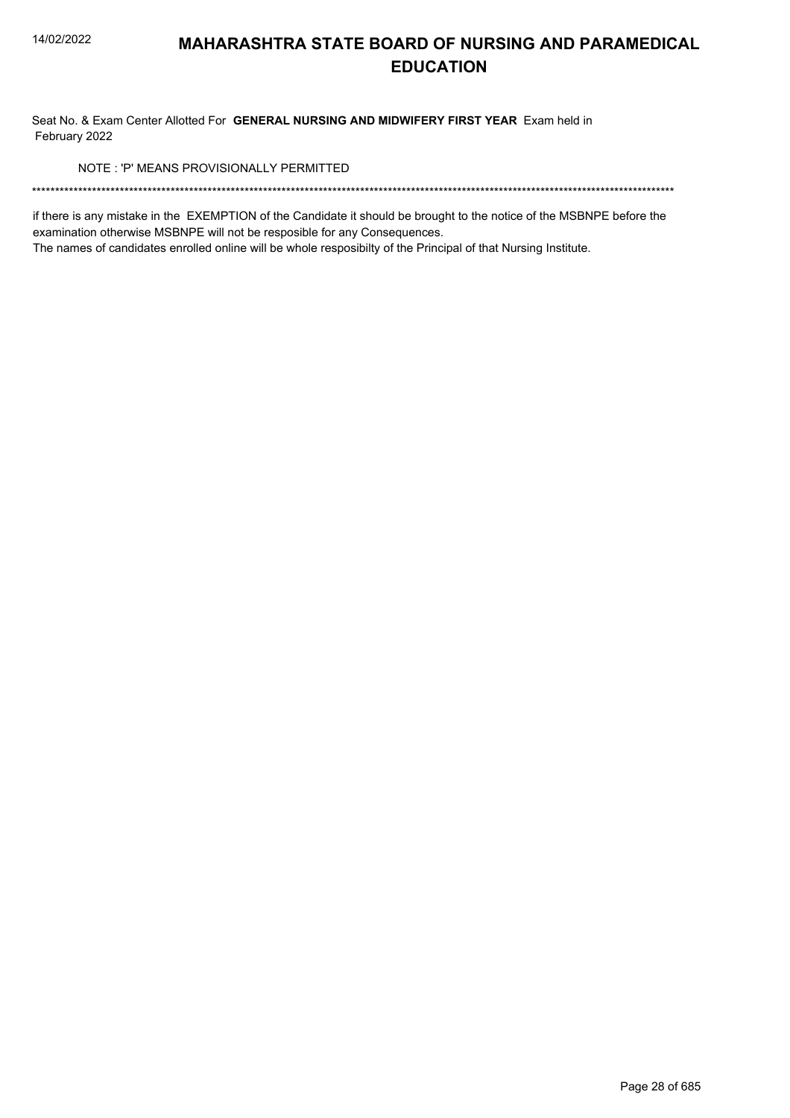Seat No. & Exam Center Allotted For GENERAL NURSING AND MIDWIFERY FIRST YEAR Exam held in February 2022

NOTE: 'P' MEANS PROVISIONALLY PERMITTED

if there is any mistake in the EXEMPTION of the Candidate it should be brought to the notice of the MSBNPE before the examination otherwise MSBNPE will not be resposible for any Consequences.

The names of candidates enrolled online will be whole resposibilty of the Principal of that Nursing Institute.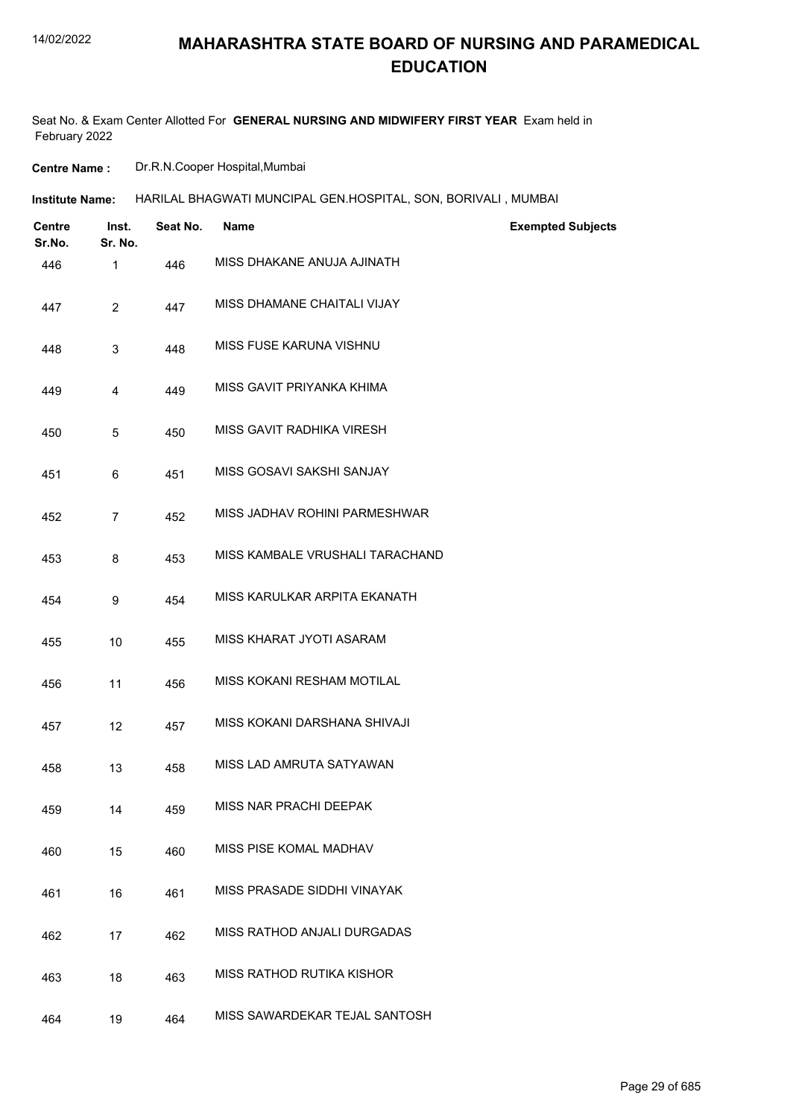### **MAHARASHTRA STATE BOARD OF NURSING AND PARAMEDICAL EDUCATION**

Seat No. & Exam Center Allotted For **GENERAL NURSING AND MIDWIFERY FIRST YEAR** Exam held in February 2022

**Centre Name :** Dr.R.N.Cooper Hospital,Mumbai

| Institute Name: | HARILAL BHAGWATI MUNCIPAL GEN.HOSPITAL, SON, BORIVALI , MUMBAI |  |  |
|-----------------|----------------------------------------------------------------|--|--|
|                 |                                                                |  |  |

| <b>Centre</b><br>Sr.No. | Inst.<br>Sr. No. | Seat No. | <b>Name</b>                      | <b>Exempted Subjects</b> |
|-------------------------|------------------|----------|----------------------------------|--------------------------|
| 446                     | $\mathbf{1}$     | 446      | MISS DHAKANE ANUJA AJINATH       |                          |
| 447                     | $\overline{2}$   | 447      | MISS DHAMANE CHAITALI VIJAY      |                          |
| 448                     | 3                | 448      | MISS FUSE KARUNA VISHNU          |                          |
| 449                     | 4                | 449      | MISS GAVIT PRIYANKA KHIMA        |                          |
| 450                     | 5                | 450      | MISS GAVIT RADHIKA VIRESH        |                          |
| 451                     | 6                | 451      | MISS GOSAVI SAKSHI SANJAY        |                          |
| 452                     | $\overline{7}$   | 452      | MISS JADHAV ROHINI PARMESHWAR    |                          |
| 453                     | 8                | 453      | MISS KAMBALE VRUSHALI TARACHAND  |                          |
| 454                     | 9                | 454      | MISS KARULKAR ARPITA EKANATH     |                          |
| 455                     | 10               | 455      | MISS KHARAT JYOTI ASARAM         |                          |
| 456                     | 11               | 456      | MISS KOKANI RESHAM MOTILAL       |                          |
| 457                     | 12               | 457      | MISS KOKANI DARSHANA SHIVAJI     |                          |
| 458                     | 13               | 458      | MISS LAD AMRUTA SATYAWAN         |                          |
| 459                     | 14               | 459      | MISS NAR PRACHI DEEPAK           |                          |
| 460                     | 15               | 460      | MISS PISE KOMAL MADHAV           |                          |
| 461                     | 16               | 461      | MISS PRASADE SIDDHI VINAYAK      |                          |
| 462                     | 17               | 462      | MISS RATHOD ANJALI DURGADAS      |                          |
| 463                     | 18               | 463      | <b>MISS RATHOD RUTIKA KISHOR</b> |                          |
| 464                     | 19               | 464      | MISS SAWARDEKAR TEJAL SANTOSH    |                          |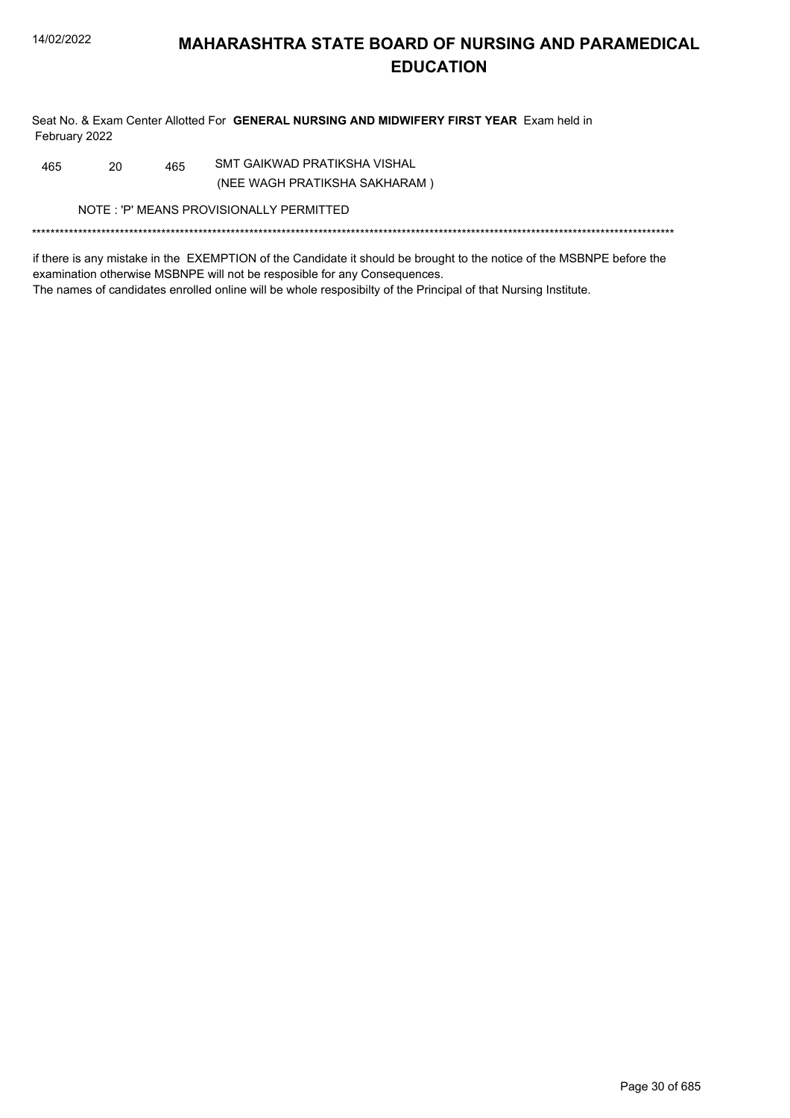Seat No. & Exam Center Allotted For GENERAL NURSING AND MIDWIFERY FIRST YEAR Exam held in February 2022

SMT GAIKWAD PRATIKSHA VISHAL 20 465 465

(NEE WAGH PRATIKSHA SAKHARAM)

NOTE: 'P' MEANS PROVISIONALLY PERMITTED

if there is any mistake in the EXEMPTION of the Candidate it should be brought to the notice of the MSBNPE before the examination otherwise MSBNPE will not be resposible for any Consequences. The names of candidates enrolled online will be whole resposibilty of the Principal of that Nursing Institute.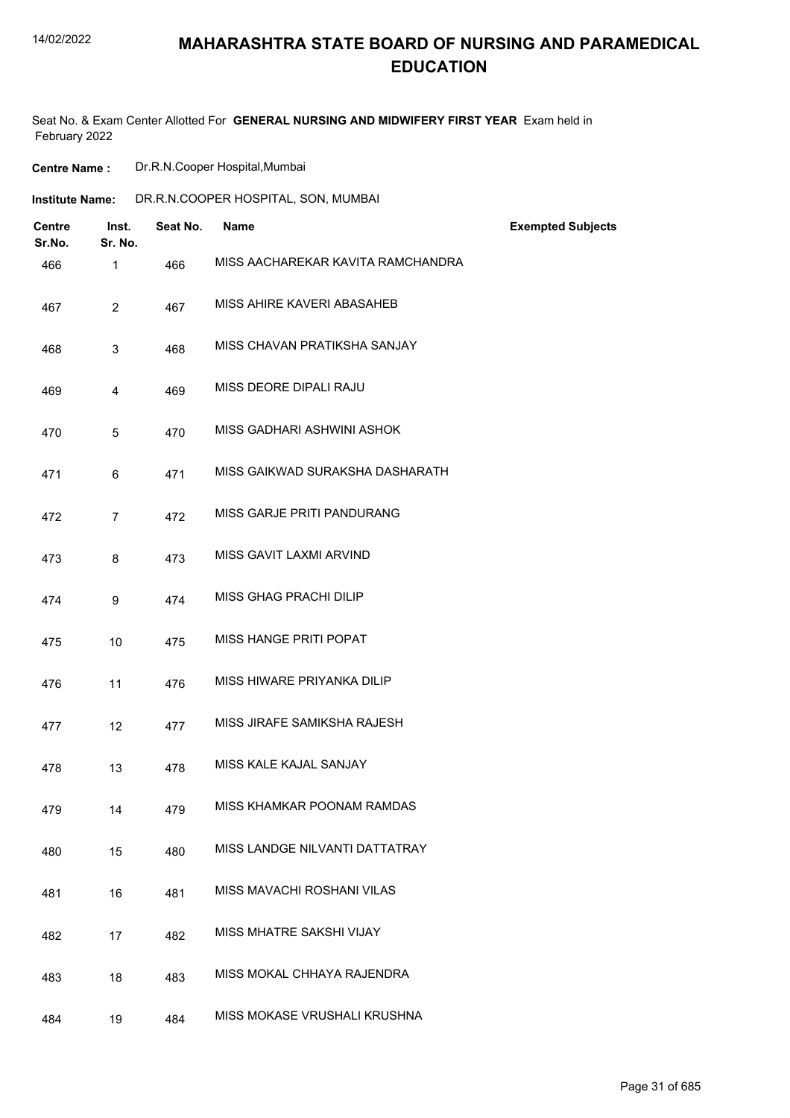### **MAHARASHTRA STATE BOARD OF NURSING AND PARAMEDICAL EDUCATION**

Seat No. & Exam Center Allotted For **GENERAL NURSING AND MIDWIFERY FIRST YEAR** Exam held in February 2022

**Centre Name :** Dr.R.N.Cooper Hospital,Mumbai

| <b>Institute Name:</b>  |                  |          | DR.R.N.COOPER HOSPITAL, SON, MUMBAI |                          |
|-------------------------|------------------|----------|-------------------------------------|--------------------------|
| <b>Centre</b><br>Sr.No. | Inst.<br>Sr. No. | Seat No. | Name                                | <b>Exempted Subjects</b> |
| 466                     | $\mathbf{1}$     | 466      | MISS AACHAREKAR KAVITA RAMCHANDRA   |                          |
| 467                     | $\overline{2}$   | 467      | MISS AHIRE KAVERI ABASAHEB          |                          |
| 468                     | 3                | 468      | MISS CHAVAN PRATIKSHA SANJAY        |                          |
| 469                     | 4                | 469      | MISS DEORE DIPALI RAJU              |                          |
| 470                     | 5                | 470      | MISS GADHARI ASHWINI ASHOK          |                          |
| 471                     | 6                | 471      | MISS GAIKWAD SURAKSHA DASHARATH     |                          |
| 472                     | $\overline{7}$   | 472      | MISS GARJE PRITI PANDURANG          |                          |
| 473                     | 8                | 473      | MISS GAVIT LAXMI ARVIND             |                          |
| 474                     | 9                | 474      | MISS GHAG PRACHI DILIP              |                          |
| 475                     | 10               | 475      | MISS HANGE PRITI POPAT              |                          |
| 476                     | 11               | 476      | MISS HIWARE PRIYANKA DILIP          |                          |
| 477                     | 12               | 477      | MISS JIRAFE SAMIKSHA RAJESH         |                          |
| 478                     | 13               | 478      | MISS KALE KAJAL SANJAY              |                          |
| 479                     | 14               | 479      | MISS KHAMKAR POONAM RAMDAS          |                          |
| 480                     | 15               | 480      | MISS LANDGE NILVANTI DATTATRAY      |                          |
| 481                     | 16               | 481      | MISS MAVACHI ROSHANI VILAS          |                          |
| 482                     | 17               | 482      | MISS MHATRE SAKSHI VIJAY            |                          |
| 483                     | 18               | 483      | MISS MOKAL CHHAYA RAJENDRA          |                          |
| 484                     | 19               | 484      | MISS MOKASE VRUSHALI KRUSHNA        |                          |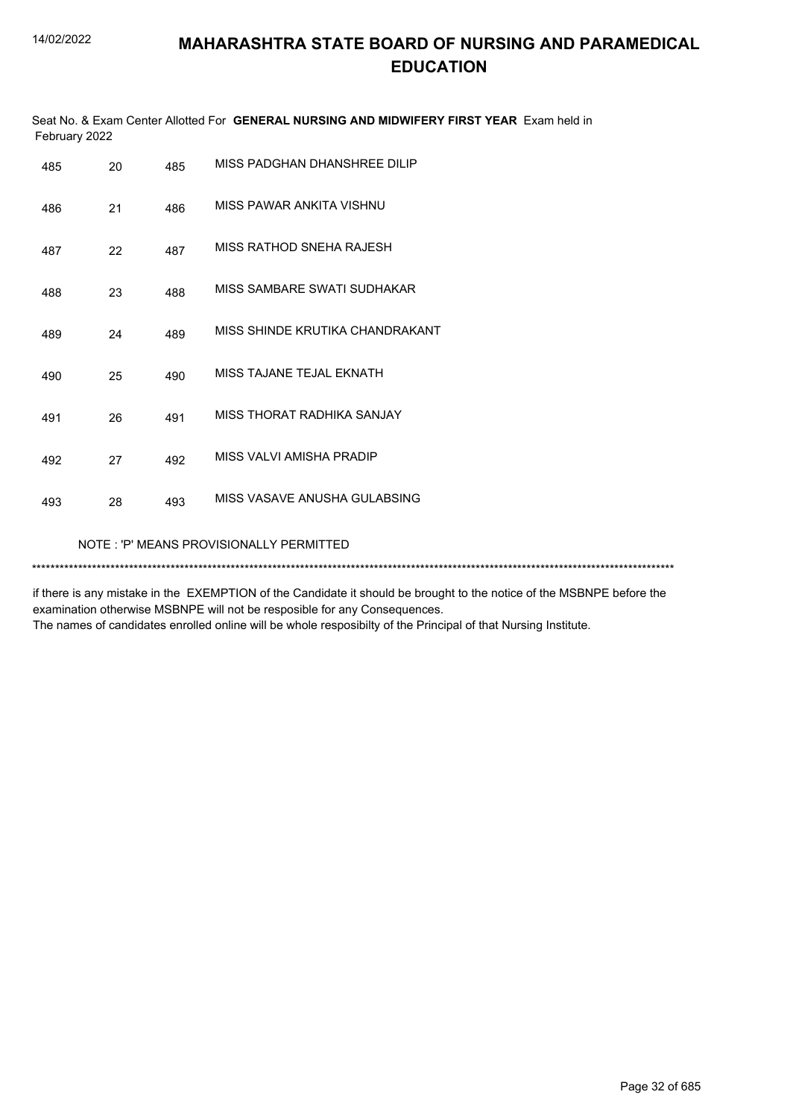|               | Seat No. & Exam Center Allotted For GENERAL NURSING AND MIDWIFERY FIRST YEAR Exam held in |  |
|---------------|-------------------------------------------------------------------------------------------|--|
| February 2022 |                                                                                           |  |

| 485 | 20                                      | 485 | MISS PADGHAN DHANSHREE DILIP    |  |  |  |
|-----|-----------------------------------------|-----|---------------------------------|--|--|--|
| 486 | 21                                      | 486 | MISS PAWAR ANKITA VISHNU        |  |  |  |
| 487 | 22                                      | 487 | MISS RATHOD SNEHA RAJESH        |  |  |  |
| 488 | 23                                      | 488 | MISS SAMBARE SWATI SUDHAKAR     |  |  |  |
| 489 | 24                                      | 489 | MISS SHINDE KRUTIKA CHANDRAKANT |  |  |  |
| 490 | 25                                      | 490 | MISS TAJANE TEJAL EKNATH        |  |  |  |
| 491 | 26                                      | 491 | MISS THORAT RADHIKA SANJAY      |  |  |  |
| 492 | 27                                      | 492 | MISS VALVI AMISHA PRADIP        |  |  |  |
| 493 | 28                                      | 493 | MISS VASAVE ANUSHA GULABSING    |  |  |  |
|     | NOTE: 'P' MEANS PROVISIONALLY PERMITTED |     |                                 |  |  |  |
|     |                                         |     |                                 |  |  |  |

if there is any mistake in the EXEMPTION of the Candidate it should be brought to the notice of the MSBNPE before the examination otherwise MSBNPE will not be resposible for any Consequences. The names of candidates enrolled online will be whole resposibilty of the Principal of that Nursing Institute.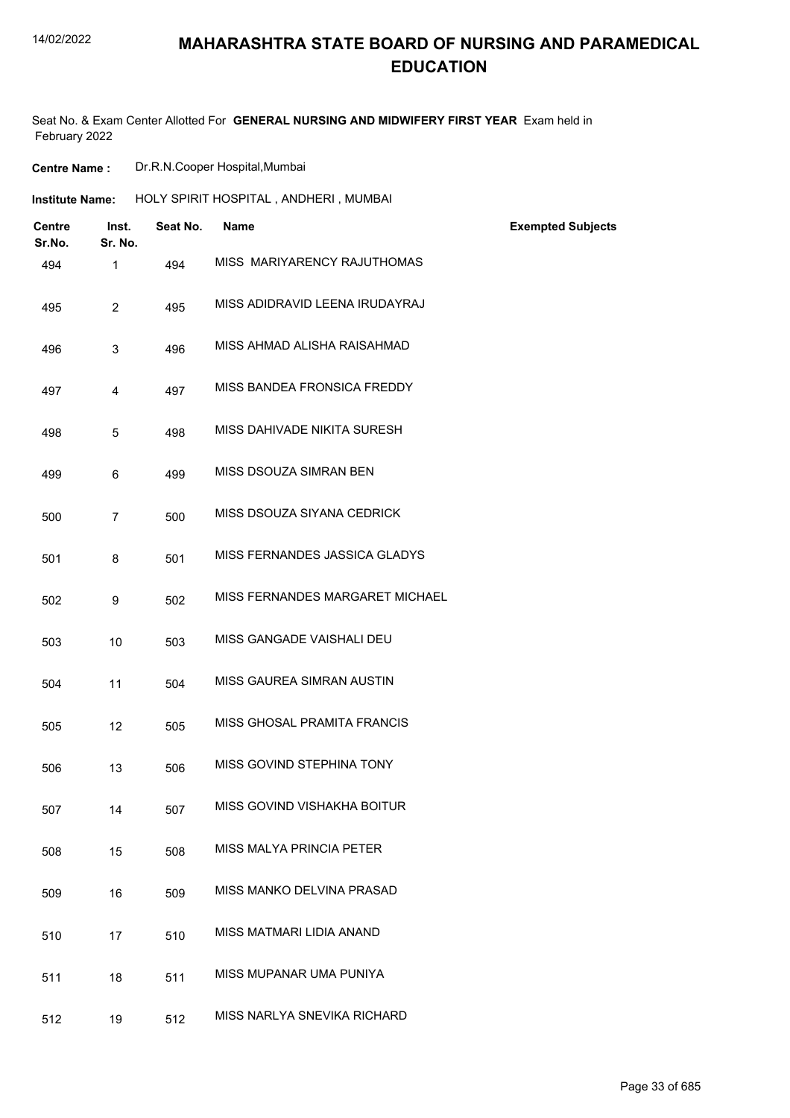## **MAHARASHTRA STATE BOARD OF NURSING AND PARAMEDICAL EDUCATION**

Seat No. & Exam Center Allotted For **GENERAL NURSING AND MIDWIFERY FIRST YEAR** Exam held in February 2022

| <b>Centre Name:</b>     |                  | Dr.R.N.Cooper Hospital, Mumbai |                                       |                          |  |
|-------------------------|------------------|--------------------------------|---------------------------------------|--------------------------|--|
| <b>Institute Name:</b>  |                  |                                | HOLY SPIRIT HOSPITAL, ANDHERI, MUMBAI |                          |  |
| <b>Centre</b><br>Sr.No. | Inst.<br>Sr. No. | Seat No.                       | Name                                  | <b>Exempted Subjects</b> |  |
| 494                     | $\mathbf{1}$     | 494                            | MISS MARIYARENCY RAJUTHOMAS           |                          |  |
| 495                     | $\overline{2}$   | 495                            | MISS ADIDRAVID LEENA IRUDAYRAJ        |                          |  |
| 496                     | 3                | 496                            | MISS AHMAD ALISHA RAISAHMAD           |                          |  |
| 497                     | 4                | 497                            | MISS BANDEA FRONSICA FREDDY           |                          |  |
| 498                     | 5                | 498                            | MISS DAHIVADE NIKITA SURESH           |                          |  |
| 499                     | 6                | 499                            | MISS DSOUZA SIMRAN BEN                |                          |  |
| 500                     | $\overline{7}$   | 500                            | MISS DSOUZA SIYANA CEDRICK            |                          |  |
| 501                     | 8                | 501                            | MISS FERNANDES JASSICA GLADYS         |                          |  |
| 502                     | 9                | 502                            | MISS FERNANDES MARGARET MICHAEL       |                          |  |
| 503                     | 10               | 503                            | MISS GANGADE VAISHALI DEU             |                          |  |
| 504                     | 11               | 504                            | MISS GAUREA SIMRAN AUSTIN             |                          |  |
| 505                     | 12               | 505                            | MISS GHOSAL PRAMITA FRANCIS           |                          |  |
| 506                     | 13               | 506                            | MISS GOVIND STEPHINA TONY             |                          |  |
| 507                     | 14               | 507                            | MISS GOVIND VISHAKHA BOITUR           |                          |  |
| 508                     | 15               | 508                            | MISS MALYA PRINCIA PETER              |                          |  |
| 509                     | 16               | 509                            | MISS MANKO DELVINA PRASAD             |                          |  |
| 510                     | 17               | 510                            | MISS MATMARI LIDIA ANAND              |                          |  |
| 511                     | 18               | 511                            | MISS MUPANAR UMA PUNIYA               |                          |  |
| 512                     | 19               | 512                            | MISS NARLYA SNEVIKA RICHARD           |                          |  |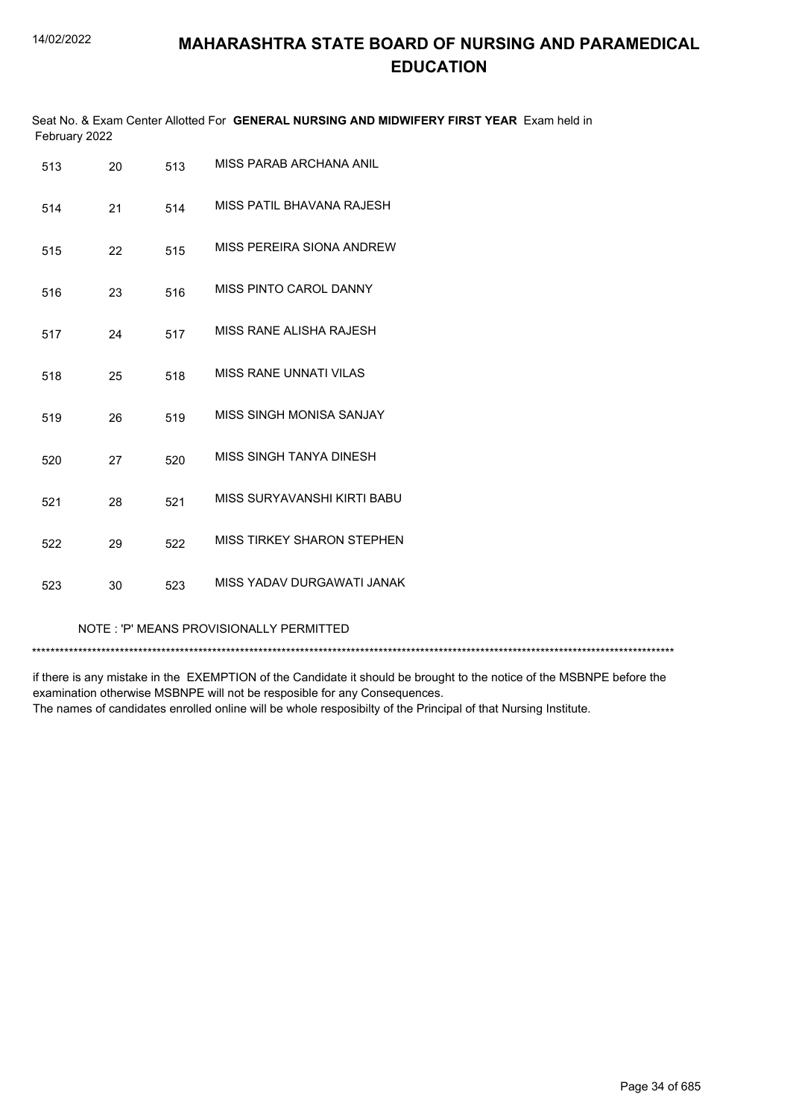| Seat No. & Exam Center Allotted For GENERAL NURSING AND MIDWIFERY FIRST YEAR Exam held in<br>February 2022 |    |     |                                         |  |  |
|------------------------------------------------------------------------------------------------------------|----|-----|-----------------------------------------|--|--|
| 513                                                                                                        | 20 | 513 | MISS PARAB ARCHANA ANIL                 |  |  |
| 514                                                                                                        | 21 | 514 | MISS PATIL BHAVANA RAJESH               |  |  |
| 515                                                                                                        | 22 | 515 | MISS PEREIRA SIONA ANDREW               |  |  |
| 516                                                                                                        | 23 | 516 | MISS PINTO CAROL DANNY                  |  |  |
| 517                                                                                                        | 24 | 517 | MISS RANE ALISHA RAJESH                 |  |  |
| 518                                                                                                        | 25 | 518 | <b>MISS RANE UNNATI VILAS</b>           |  |  |
| 519                                                                                                        | 26 | 519 | MISS SINGH MONISA SANJAY                |  |  |
| 520                                                                                                        | 27 | 520 | MISS SINGH TANYA DINESH                 |  |  |
| 521                                                                                                        | 28 | 521 | MISS SURYAVANSHI KIRTI BABU             |  |  |
| 522                                                                                                        | 29 | 522 | <b>MISS TIRKEY SHARON STEPHEN</b>       |  |  |
| 523                                                                                                        | 30 | 523 | MISS YADAV DURGAWATI JANAK              |  |  |
|                                                                                                            |    |     | NOTE: 'P' MEANS PROVISIONALLY PERMITTED |  |  |

\*\*\*\*\*\*\*\*\*\*\*\*\*\*\*\*\*\*\*\*\*\*\*\*\*\*\*\*\*\*\*\*\*\*\*\*\*\*\*\*\*\*\*\*\*\*\*\*\*\*\*\*\*\*\*\*\*\*\*\*\*\*\*\*\*\*\*\*\*\*\*\*\*\*\*\*\*\*\*\*\*\*\*\*\*\*\*\*\*\*\*\*\*\*\*\*\*\*\*\*\*\*\*\*\*\*\*\*\*\*\*\*\*\*\*\*\*\*\*\*\*\*\*\*\*\*\*\*\*\*\*\*\*\*\*\*\*\*\*

if there is any mistake in the EXEMPTION of the Candidate it should be brought to the notice of the MSBNPE before the examination otherwise MSBNPE will not be resposible for any Consequences. The names of candidates enrolled online will be whole resposibilty of the Principal of that Nursing Institute.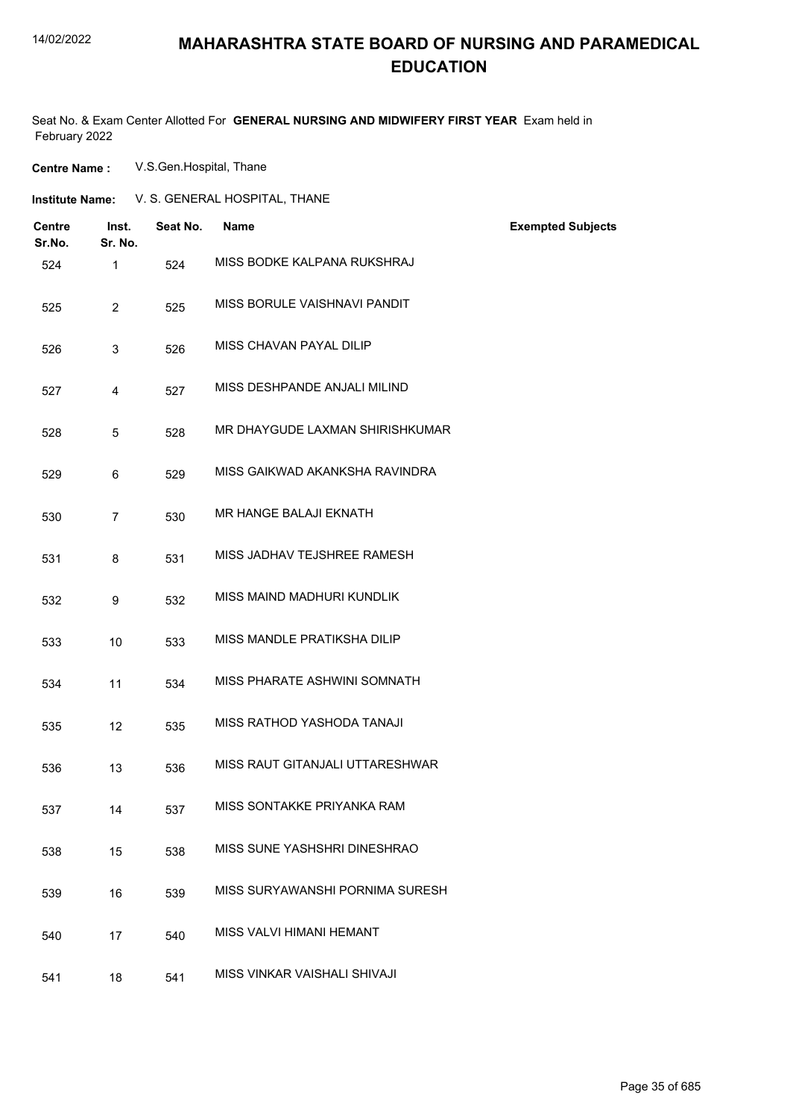### **MAHARASHTRA STATE BOARD OF NURSING AND PARAMEDICAL EDUCATION**

Seat No. & Exam Center Allotted For **GENERAL NURSING AND MIDWIFERY FIRST YEAR** Exam held in February 2022

**Centre Name :** V.S.Gen.Hospital, Thane

| Institute Name: | V. S. GENERAL HOSPITAL, THANE |
|-----------------|-------------------------------|
|-----------------|-------------------------------|

| <b>Centre</b><br>Sr.No. | Inst.<br>Sr. No. | Seat No. | <b>Name</b>                     | <b>Exempted Subjects</b> |
|-------------------------|------------------|----------|---------------------------------|--------------------------|
| 524                     | $\mathbf 1$      | 524      | MISS BODKE KALPANA RUKSHRAJ     |                          |
| 525                     | $\overline{2}$   | 525      | MISS BORULE VAISHNAVI PANDIT    |                          |
| 526                     | 3                | 526      | MISS CHAVAN PAYAL DILIP         |                          |
| 527                     | 4                | 527      | MISS DESHPANDE ANJALI MILIND    |                          |
| 528                     | 5                | 528      | MR DHAYGUDE LAXMAN SHIRISHKUMAR |                          |
| 529                     | 6                | 529      | MISS GAIKWAD AKANKSHA RAVINDRA  |                          |
| 530                     | $\overline{7}$   | 530      | MR HANGE BALAJI EKNATH          |                          |
| 531                     | 8                | 531      | MISS JADHAV TEJSHREE RAMESH     |                          |
| 532                     | 9                | 532      | MISS MAIND MADHURI KUNDLIK      |                          |
| 533                     | 10               | 533      | MISS MANDLE PRATIKSHA DILIP     |                          |
| 534                     | 11               | 534      | MISS PHARATE ASHWINI SOMNATH    |                          |
| 535                     | 12               | 535      | MISS RATHOD YASHODA TANAJI      |                          |
| 536                     | 13               | 536      | MISS RAUT GITANJALI UTTARESHWAR |                          |
| 537                     | 14               | 537      | MISS SONTAKKE PRIYANKA RAM      |                          |
| 538                     | 15               | 538      | MISS SUNE YASHSHRI DINESHRAO    |                          |
| 539                     | 16               | 539      | MISS SURYAWANSHI PORNIMA SURESH |                          |
| 540                     | 17               | 540      | MISS VALVI HIMANI HEMANT        |                          |
| 541                     | 18               | 541      | MISS VINKAR VAISHALI SHIVAJI    |                          |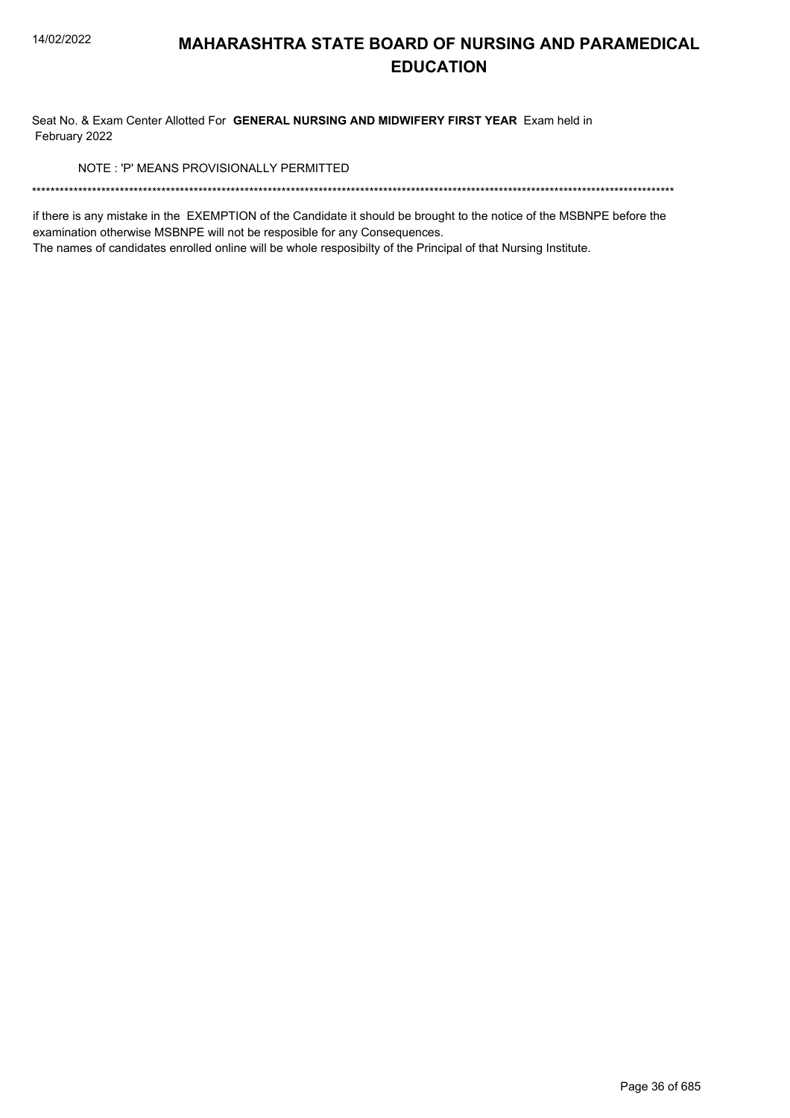Seat No. & Exam Center Allotted For GENERAL NURSING AND MIDWIFERY FIRST YEAR Exam held in February 2022

NOTE: 'P' MEANS PROVISIONALLY PERMITTED

if there is any mistake in the EXEMPTION of the Candidate it should be brought to the notice of the MSBNPE before the examination otherwise MSBNPE will not be resposible for any Consequences.

The names of candidates enrolled online will be whole resposibilty of the Principal of that Nursing Institute.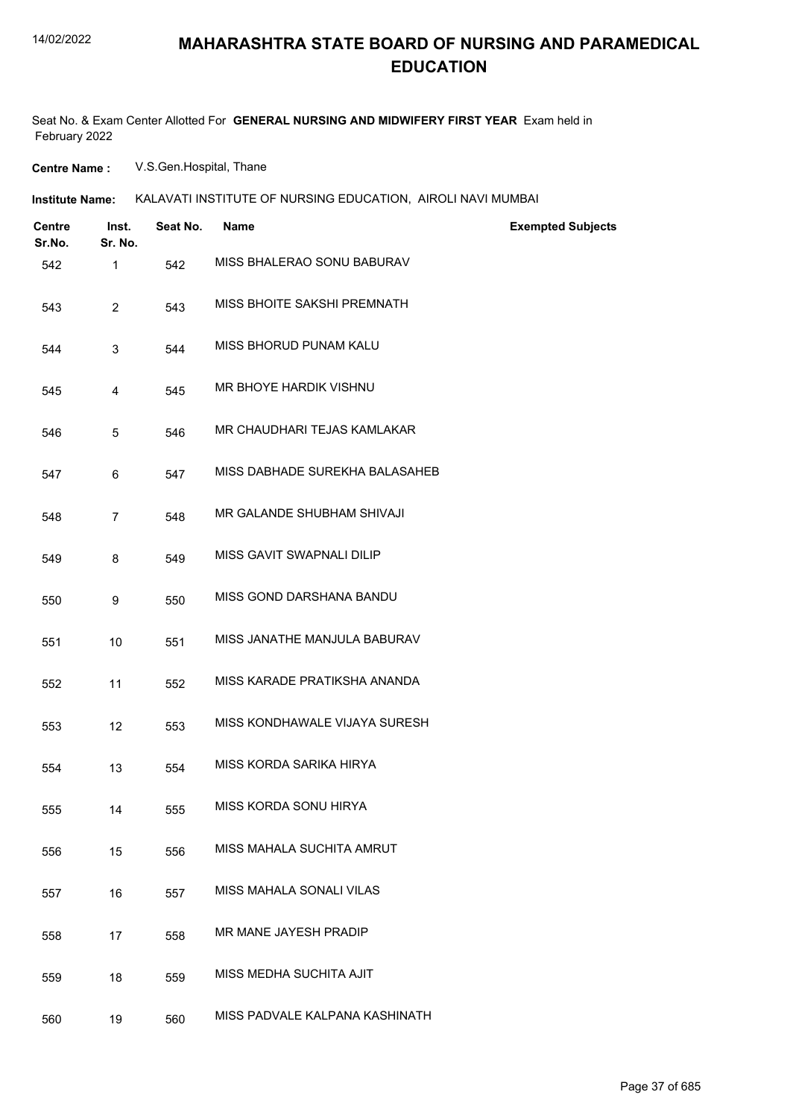Seat No. & Exam Center Allotted For **GENERAL NURSING AND MIDWIFERY FIRST YEAR** Exam held in February 2022

**Centre Name :** V.S.Gen.Hospital, Thane

| Institute Name: | KALAVATI INSTITUTE OF NURSING EDUCATION. AIROLI NAVI MUMBAI |  |
|-----------------|-------------------------------------------------------------|--|
|                 |                                                             |  |

| <b>Centre</b><br>Sr.No. | Inst.<br>Sr. No. | Seat No. | <b>Name</b>                    | <b>Exempted Subjects</b> |
|-------------------------|------------------|----------|--------------------------------|--------------------------|
| 542                     | 1                | 542      | MISS BHALERAO SONU BABURAV     |                          |
| 543                     | $\overline{2}$   | 543      | MISS BHOITE SAKSHI PREMNATH    |                          |
| 544                     | 3                | 544      | MISS BHORUD PUNAM KALU         |                          |
| 545                     | 4                | 545      | MR BHOYE HARDIK VISHNU         |                          |
| 546                     | 5                | 546      | MR CHAUDHARI TEJAS KAMLAKAR    |                          |
| 547                     | 6                | 547      | MISS DABHADE SUREKHA BALASAHEB |                          |
| 548                     | $\overline{7}$   | 548      | MR GALANDE SHUBHAM SHIVAJI     |                          |
| 549                     | 8                | 549      | MISS GAVIT SWAPNALI DILIP      |                          |
| 550                     | 9                | 550      | MISS GOND DARSHANA BANDU       |                          |
| 551                     | 10               | 551      | MISS JANATHE MANJULA BABURAV   |                          |
| 552                     | 11               | 552      | MISS KARADE PRATIKSHA ANANDA   |                          |
| 553                     | 12               | 553      | MISS KONDHAWALE VIJAYA SURESH  |                          |
| 554                     | 13               | 554      | MISS KORDA SARIKA HIRYA        |                          |
| 555                     | 14               | 555      | MISS KORDA SONU HIRYA          |                          |
| 556                     | 15               | 556      | MISS MAHALA SUCHITA AMRUT      |                          |
| 557                     | 16               | 557      | MISS MAHALA SONALI VILAS       |                          |
| 558                     | 17               | 558      | MR MANE JAYESH PRADIP          |                          |
| 559                     | 18               | 559      | MISS MEDHA SUCHITA AJIT        |                          |
| 560                     | 19               | 560      | MISS PADVALE KALPANA KASHINATH |                          |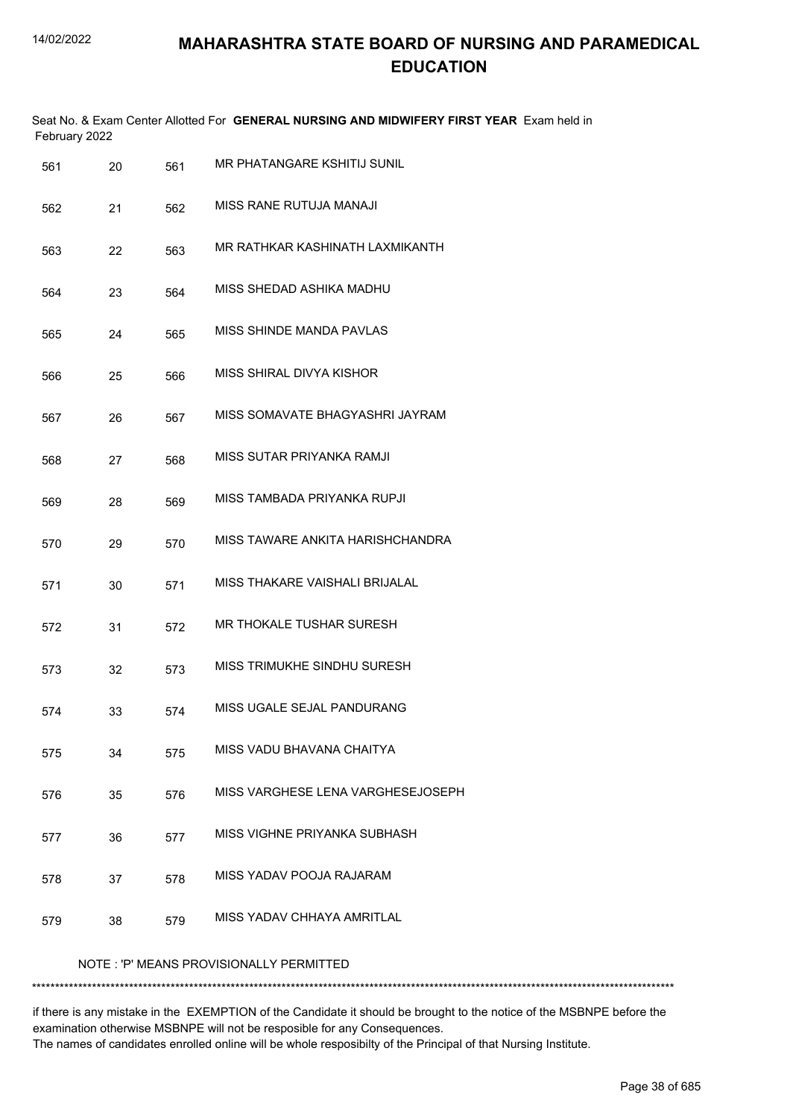| February 2022 |    |     | Seat No. & Exam Center Allotted For GENERAL NURSING AND MIDWIFERY FIRST YEAR Exam held in |
|---------------|----|-----|-------------------------------------------------------------------------------------------|
| 561           | 20 | 561 | MR PHATANGARE KSHITIJ SUNIL                                                               |
| 562           | 21 | 562 | MISS RANE RUTUJA MANAJI                                                                   |
| 563           | 22 | 563 | MR RATHKAR KASHINATH LAXMIKANTH                                                           |
| 564           | 23 | 564 | MISS SHEDAD ASHIKA MADHU                                                                  |
| 565           | 24 | 565 | MISS SHINDE MANDA PAVLAS                                                                  |
| 566           | 25 | 566 | MISS SHIRAL DIVYA KISHOR                                                                  |
| 567           | 26 | 567 | MISS SOMAVATE BHAGYASHRI JAYRAM                                                           |
| 568           | 27 | 568 | MISS SUTAR PRIYANKA RAMJI                                                                 |
| 569           | 28 | 569 | MISS TAMBADA PRIYANKA RUPJI                                                               |
| 570           | 29 | 570 | MISS TAWARE ANKITA HARISHCHANDRA                                                          |
| 571           | 30 | 571 | MISS THAKARE VAISHALI BRIJALAL                                                            |
| 572           | 31 | 572 | MR THOKALE TUSHAR SURESH                                                                  |
| 573           | 32 | 573 | MISS TRIMUKHE SINDHU SURESH                                                               |
| 574           | 33 | 574 | MISS UGALE SEJAL PANDURANG                                                                |
| 575           | 34 | 575 | MISS VADU BHAVANA CHAITYA                                                                 |
| 576           | 35 | 576 | MISS VARGHESE LENA VARGHESEJOSEPH                                                         |
| 577           | 36 | 577 | MISS VIGHNE PRIYANKA SUBHASH                                                              |
| 578           | 37 | 578 | MISS YADAV POOJA RAJARAM                                                                  |
| 579           | 38 | 579 | MISS YADAV CHHAYA AMRITLAL                                                                |
|               |    |     | NOTE: 'P' MEANS PROVISIONALLY PERMITTED                                                   |
|               |    |     |                                                                                           |

if there is any mistake in the EXEMPTION of the Candidate it should be brought to the notice of the MSBNPE before the examination otherwise MSBNPE will not be resposible for any Consequences. The names of candidates enrolled online will be whole resposibilty of the Principal of that Nursing Institute.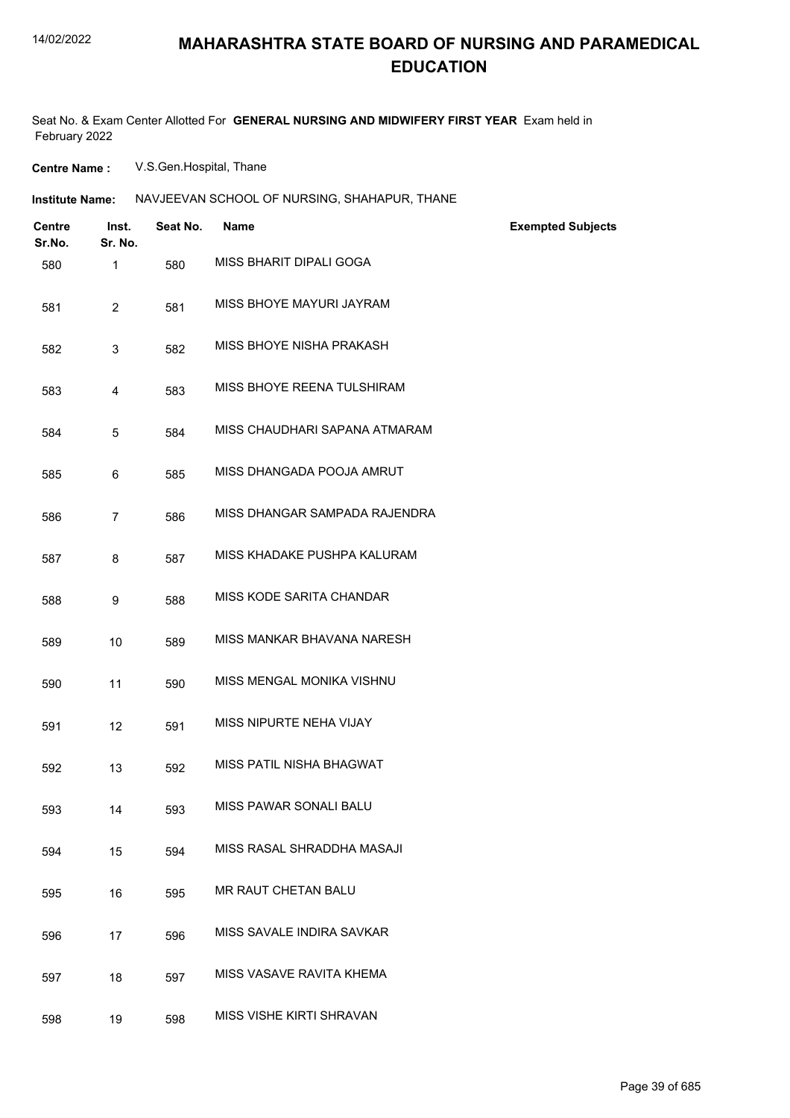Seat No. & Exam Center Allotted For **GENERAL NURSING AND MIDWIFERY FIRST YEAR** Exam held in February 2022

**Centre Name :** V.S.Gen.Hospital, Thane

| <b>Centre</b><br>Sr.No. | Inst.<br>Sr. No. | Seat No. | <b>Name</b>                   | <b>Exempted Subjects</b> |
|-------------------------|------------------|----------|-------------------------------|--------------------------|
| 580                     | 1                | 580      | MISS BHARIT DIPALI GOGA       |                          |
| 581                     | $\overline{2}$   | 581      | MISS BHOYE MAYURI JAYRAM      |                          |
| 582                     | $\mathbf{3}$     | 582      | MISS BHOYE NISHA PRAKASH      |                          |
| 583                     | 4                | 583      | MISS BHOYE REENA TULSHIRAM    |                          |
| 584                     | 5                | 584      | MISS CHAUDHARI SAPANA ATMARAM |                          |
| 585                     | 6                | 585      | MISS DHANGADA POOJA AMRUT     |                          |
| 586                     | $\overline{7}$   | 586      | MISS DHANGAR SAMPADA RAJENDRA |                          |
| 587                     | 8                | 587      | MISS KHADAKE PUSHPA KALURAM   |                          |
| 588                     | 9                | 588      | MISS KODE SARITA CHANDAR      |                          |
| 589                     | 10               | 589      | MISS MANKAR BHAVANA NARESH    |                          |
| 590                     | 11               | 590      | MISS MENGAL MONIKA VISHNU     |                          |
| 591                     | 12               | 591      | MISS NIPURTE NEHA VIJAY       |                          |
| 592                     | 13               | 592      | MISS PATIL NISHA BHAGWAT      |                          |
| 593                     | 14               | 593      | MISS PAWAR SONALI BALU        |                          |
| 594                     | 15               | 594      | MISS RASAL SHRADDHA MASAJI    |                          |
| 595                     | 16               | 595      | MR RAUT CHETAN BALU           |                          |
| 596                     | 17               | 596      | MISS SAVALE INDIRA SAVKAR     |                          |
| 597                     | 18               | 597      | MISS VASAVE RAVITA KHEMA      |                          |
| 598                     | 19               | 598      | MISS VISHE KIRTI SHRAVAN      |                          |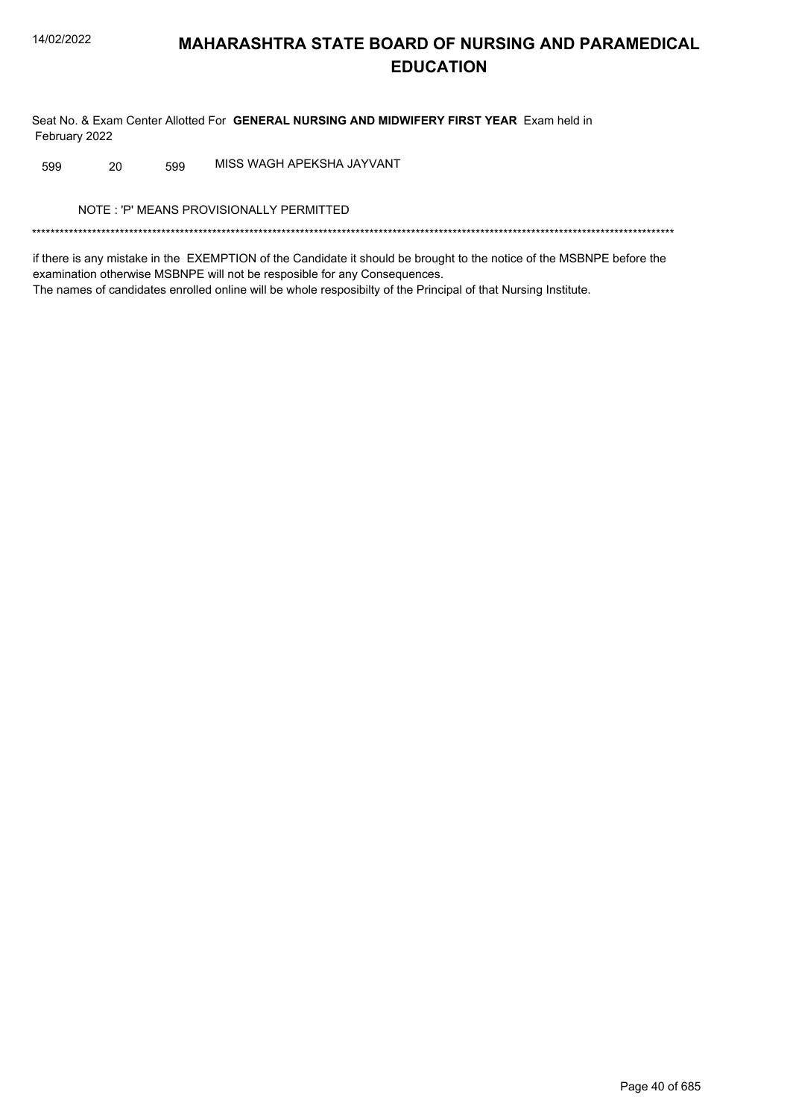Seat No. & Exam Center Allotted For GENERAL NURSING AND MIDWIFERY FIRST YEAR Exam held in February 2022

MISS WAGH APEKSHA JAYVANT 20 599 599

NOTE: 'P' MEANS PROVISIONALLY PERMITTED

if there is any mistake in the EXEMPTION of the Candidate it should be brought to the notice of the MSBNPE before the examination otherwise MSBNPE will not be resposible for any Consequences. The names of candidates enrolled online will be whole resposibilty of the Principal of that Nursing Institute.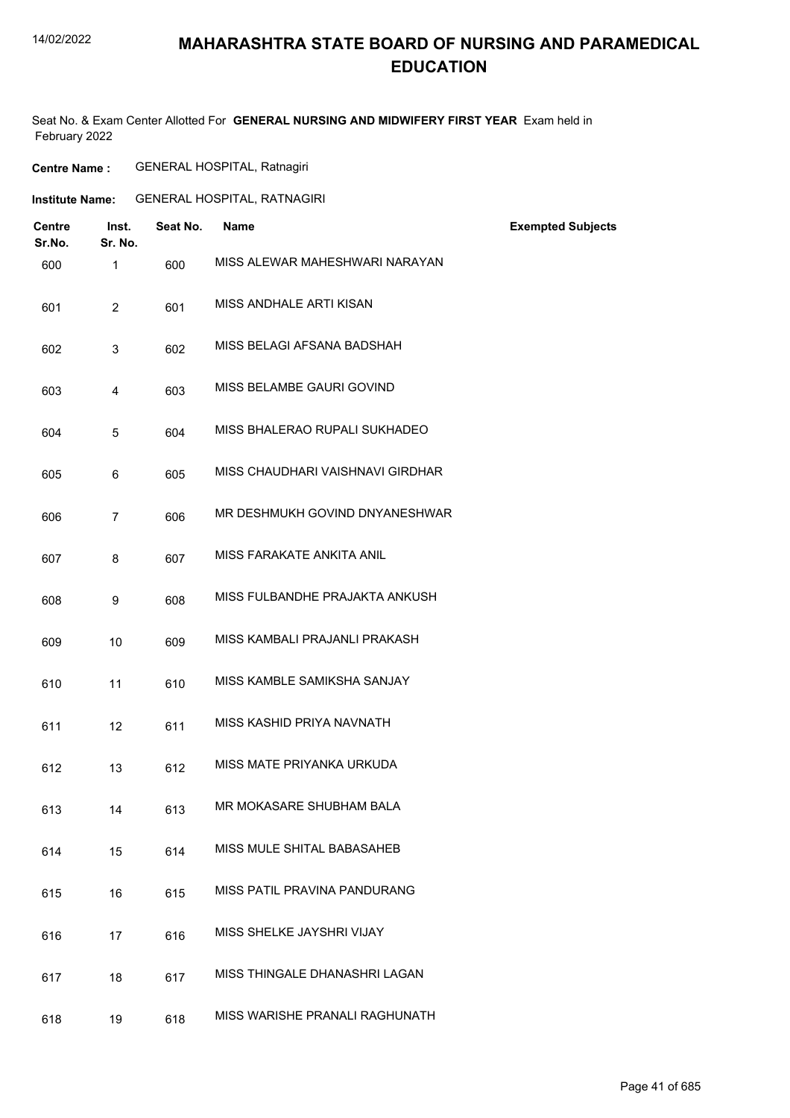# **MAHARASHTRA STATE BOARD OF NURSING AND PARAMEDICAL EDUCATION**

Seat No. & Exam Center Allotted For **GENERAL NURSING AND MIDWIFERY FIRST YEAR** Exam held in February 2022

| <b>GENERAL HOSPITAL, Ratnagiri</b><br><b>Centre Name :</b> |
|------------------------------------------------------------|
|------------------------------------------------------------|

| <b>Institute Name:</b> | <b>GENERAL HOSPITAL, RATNAGIRI</b> |  |
|------------------------|------------------------------------|--|
|                        |                                    |  |

| <b>Centre</b><br>Sr.No. | Inst.<br>Sr. No. | Seat No. | <b>Name</b>                      | <b>Exempted Subjects</b> |
|-------------------------|------------------|----------|----------------------------------|--------------------------|
| 600                     | $\mathbf{1}$     | 600      | MISS ALEWAR MAHESHWARI NARAYAN   |                          |
| 601                     | $\overline{2}$   | 601      | MISS ANDHALE ARTI KISAN          |                          |
| 602                     | 3                | 602      | MISS BELAGI AFSANA BADSHAH       |                          |
| 603                     | 4                | 603      | MISS BELAMBE GAURI GOVIND        |                          |
| 604                     | 5                | 604      | MISS BHALERAO RUPALI SUKHADEO    |                          |
| 605                     | 6                | 605      | MISS CHAUDHARI VAISHNAVI GIRDHAR |                          |
| 606                     | $\overline{7}$   | 606      | MR DESHMUKH GOVIND DNYANESHWAR   |                          |
| 607                     | 8                | 607      | MISS FARAKATE ANKITA ANIL        |                          |
| 608                     | 9                | 608      | MISS FULBANDHE PRAJAKTA ANKUSH   |                          |
| 609                     | 10               | 609      | MISS KAMBALI PRAJANLI PRAKASH    |                          |
| 610                     | 11               | 610      | MISS KAMBLE SAMIKSHA SANJAY      |                          |
| 611                     | 12               | 611      | MISS KASHID PRIYA NAVNATH        |                          |
| 612                     | 13               | 612      | MISS MATE PRIYANKA URKUDA        |                          |
| 613                     | 14               | 613      | MR MOKASARE SHUBHAM BALA         |                          |
| 614                     | 15               | 614      | MISS MULE SHITAL BABASAHEB       |                          |
| 615                     | 16               | 615      | MISS PATIL PRAVINA PANDURANG     |                          |
| 616                     | 17               | 616      | MISS SHELKE JAYSHRI VIJAY        |                          |
| 617                     | 18               | 617      | MISS THINGALE DHANASHRI LAGAN    |                          |
| 618                     | 19               | 618      | MISS WARISHE PRANALI RAGHUNATH   |                          |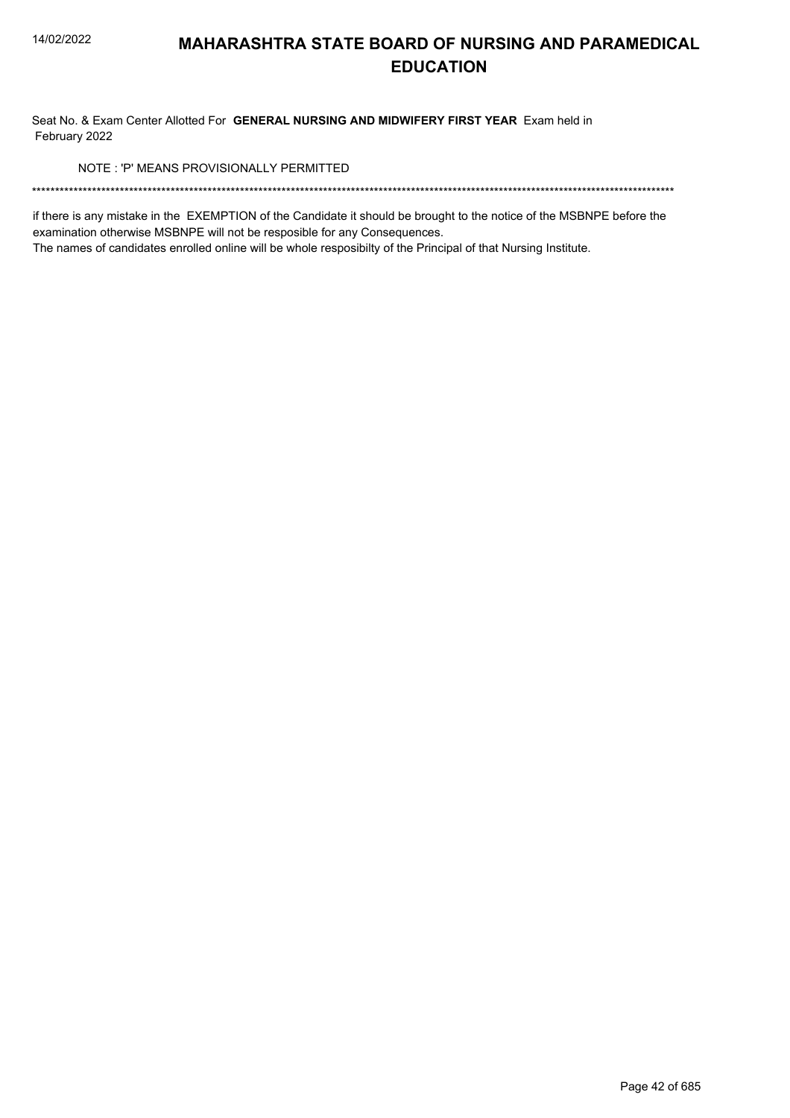Seat No. & Exam Center Allotted For GENERAL NURSING AND MIDWIFERY FIRST YEAR Exam held in February 2022

NOTE: 'P' MEANS PROVISIONALLY PERMITTED

if there is any mistake in the EXEMPTION of the Candidate it should be brought to the notice of the MSBNPE before the examination otherwise MSBNPE will not be resposible for any Consequences.

The names of candidates enrolled online will be whole resposibilty of the Principal of that Nursing Institute.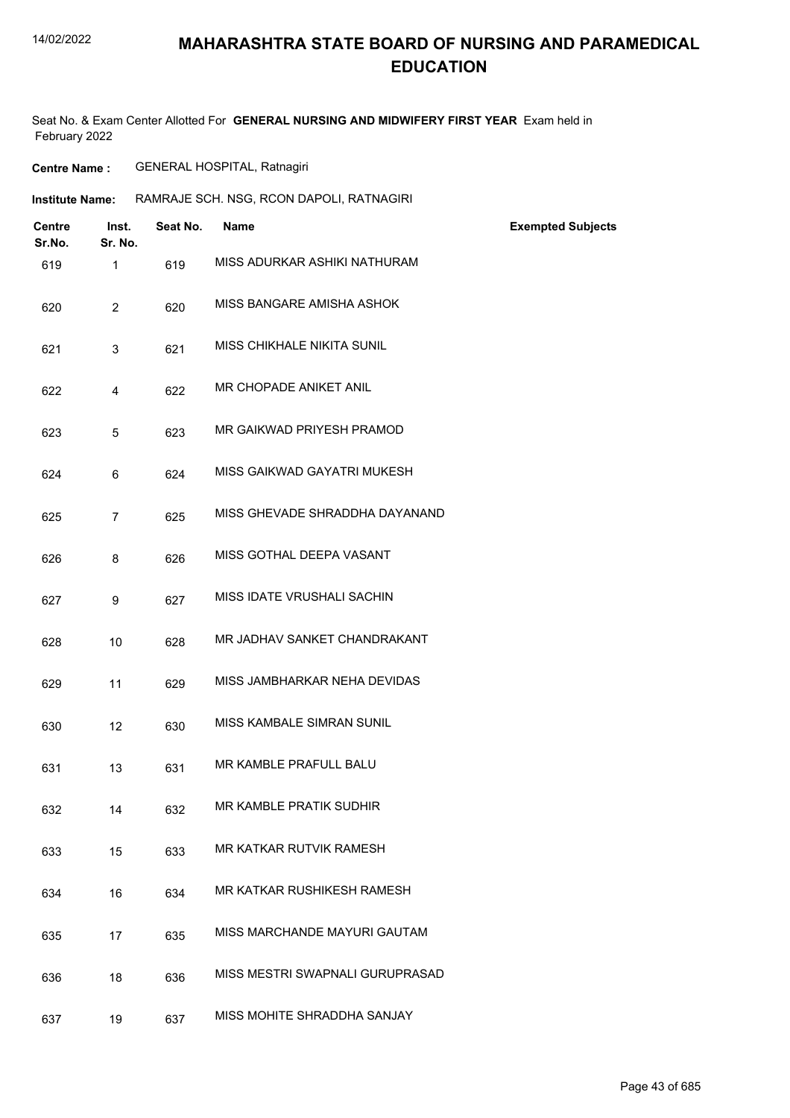# **MAHARASHTRA STATE BOARD OF NURSING AND PARAMEDICAL EDUCATION**

Seat No. & Exam Center Allotted For **GENERAL NURSING AND MIDWIFERY FIRST YEAR** Exam held in February 2022

| <b>GENERAL HOSPITAL, Ratnagiri</b> |
|------------------------------------|
|                                    |

| <b>Institute Name:</b> | RAMRAJE SCH. NSG, RCON DAPOLI, RATNAGIRI |  |  |
|------------------------|------------------------------------------|--|--|
|                        |                                          |  |  |

| <b>Centre</b><br>Sr.No. | Inst.<br>Sr. No. | Seat No. | <b>Name</b>                     | <b>Exempted Subjects</b> |
|-------------------------|------------------|----------|---------------------------------|--------------------------|
| 619                     | $\mathbf{1}$     | 619      | MISS ADURKAR ASHIKI NATHURAM    |                          |
| 620                     | $\overline{2}$   | 620      | MISS BANGARE AMISHA ASHOK       |                          |
| 621                     | 3                | 621      | MISS CHIKHALE NIKITA SUNIL      |                          |
| 622                     | 4                | 622      | MR CHOPADE ANIKET ANIL          |                          |
| 623                     | 5                | 623      | MR GAIKWAD PRIYESH PRAMOD       |                          |
| 624                     | 6                | 624      | MISS GAIKWAD GAYATRI MUKESH     |                          |
| 625                     | $\overline{7}$   | 625      | MISS GHEVADE SHRADDHA DAYANAND  |                          |
| 626                     | 8                | 626      | MISS GOTHAL DEEPA VASANT        |                          |
| 627                     | 9                | 627      | MISS IDATE VRUSHALI SACHIN      |                          |
| 628                     | 10               | 628      | MR JADHAV SANKET CHANDRAKANT    |                          |
| 629                     | 11               | 629      | MISS JAMBHARKAR NEHA DEVIDAS    |                          |
| 630                     | 12               | 630      | MISS KAMBALE SIMRAN SUNIL       |                          |
| 631                     | 13               | 631      | MR KAMBLE PRAFULL BALU          |                          |
| 632                     | 14               | 632      | MR KAMBLE PRATIK SUDHIR         |                          |
| 633                     | 15               | 633      | MR KATKAR RUTVIK RAMESH         |                          |
| 634                     | 16               | 634      | MR KATKAR RUSHIKESH RAMESH      |                          |
| 635                     | 17               | 635      | MISS MARCHANDE MAYURI GAUTAM    |                          |
| 636                     | 18               | 636      | MISS MESTRI SWAPNALI GURUPRASAD |                          |
| 637                     | 19               | 637      | MISS MOHITE SHRADDHA SANJAY     |                          |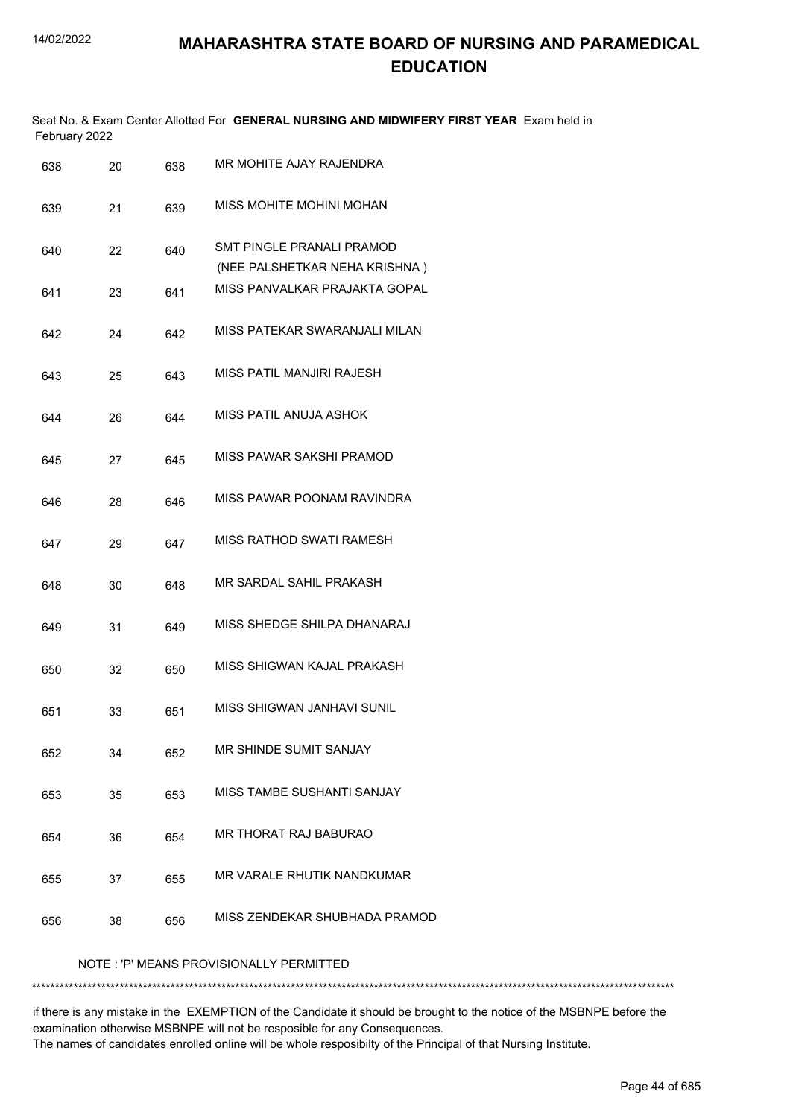|               | Seat No. & Exam Center Allotted For GENERAL NURSING AND MIDWIFERY FIRST YEAR Exam held in |  |
|---------------|-------------------------------------------------------------------------------------------|--|
| February 2022 |                                                                                           |  |

| 638 | 20 | 638 | MR MOHITE AJAY RAJENDRA                                    |
|-----|----|-----|------------------------------------------------------------|
| 639 | 21 | 639 | MISS MOHITE MOHINI MOHAN                                   |
| 640 | 22 | 640 | SMT PINGLE PRANALI PRAMOD<br>(NEE PALSHETKAR NEHA KRISHNA) |
| 641 | 23 | 641 | MISS PANVALKAR PRAJAKTA GOPAL                              |
| 642 | 24 | 642 | MISS PATEKAR SWARANJALI MILAN                              |
| 643 | 25 | 643 | MISS PATIL MANJIRI RAJESH                                  |
| 644 | 26 | 644 | MISS PATIL ANUJA ASHOK                                     |
| 645 | 27 | 645 | MISS PAWAR SAKSHI PRAMOD                                   |
| 646 | 28 | 646 | MISS PAWAR POONAM RAVINDRA                                 |
| 647 | 29 | 647 | <b>MISS RATHOD SWATI RAMESH</b>                            |
| 648 | 30 | 648 | MR SARDAL SAHIL PRAKASH                                    |
| 649 | 31 | 649 | MISS SHEDGE SHILPA DHANARAJ                                |
| 650 | 32 | 650 | MISS SHIGWAN KAJAL PRAKASH                                 |
| 651 | 33 | 651 | MISS SHIGWAN JANHAVI SUNIL                                 |
| 652 | 34 | 652 | MR SHINDE SUMIT SANJAY                                     |
| 653 | 35 | 653 | MISS TAMBE SUSHANTI SANJAY                                 |
| 654 | 36 | 654 | MR THORAT RAJ BABURAO                                      |
| 655 | 37 | 655 | MR VARALE RHUTIK NANDKUMAR                                 |
| 656 | 38 | 656 | MISS ZENDEKAR SHUBHADA PRAMOD                              |
|     |    |     | NOTE: 'P' MEANS PROVISIONALLY PERMITTED                    |

\*\*\*\*\*\*\*\*\*\*\*\*\*\*\*\*\*\*\*\*\*\*\*\*\*\*\*\*\*\*\*\*\*\*\*\*\*\*\*\*\*\*\*\*\*\*\*\*\*\*\*\*\*\*\*\*\*\*\*\*\*\*\*\*\*\*\*\*\*\*\*\*\*\*\*\*\*\*\*\*\*\*\*\*\*\*\*\*\*\*\*\*\*\*\*\*\*\*\*\*\*\*\*\*\*\*\*\*\*\*\*\*\*\*\*\*\*\*\*\*\*\*\*\*\*\*\*\*\*\*\*\*\*\*\*\*\*\*\*

if there is any mistake in the EXEMPTION of the Candidate it should be brought to the notice of the MSBNPE before the examination otherwise MSBNPE will not be resposible for any Consequences. The names of candidates enrolled online will be whole resposibilty of the Principal of that Nursing Institute.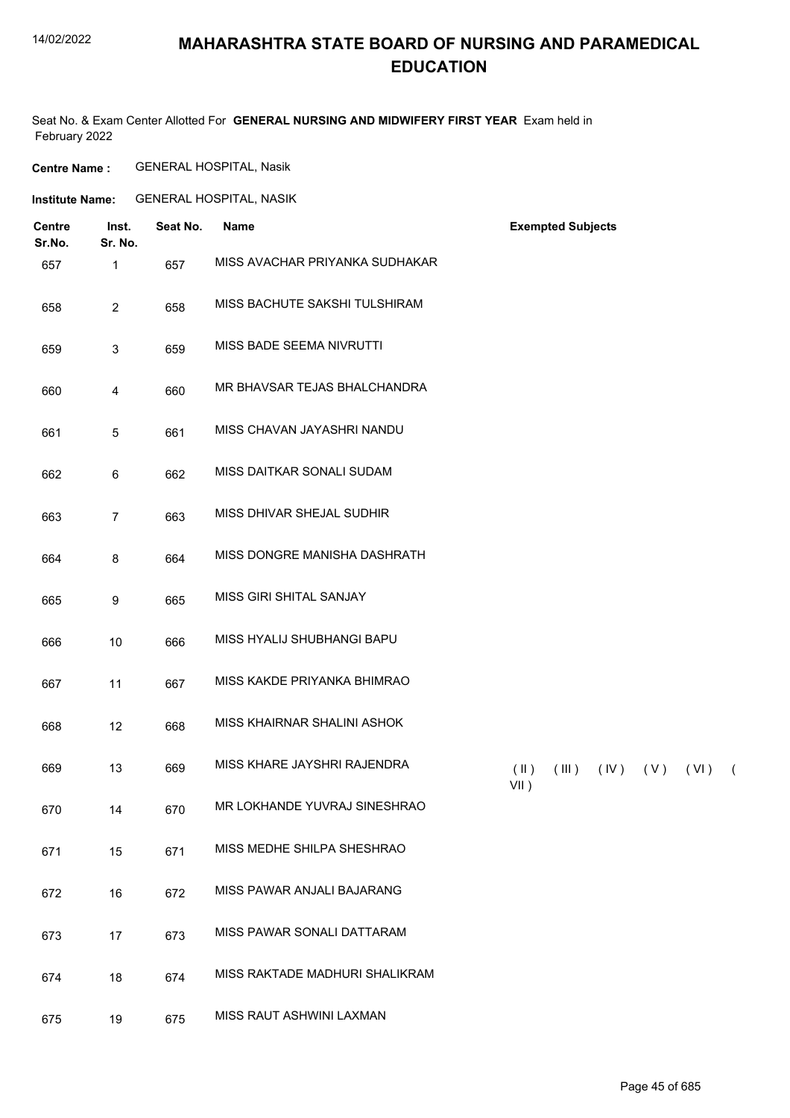# **MAHARASHTRA STATE BOARD OF NURSING AND PARAMEDICAL EDUCATION**

Seat No. & Exam Center Allotted For **GENERAL NURSING AND MIDWIFERY FIRST YEAR** Exam held in February 2022

**Centre Name :** GENERAL HOSPITAL, Nasik

**Institute Name:** GENERAL HOSPITAL, NASIK

| <b>Centre</b><br>Sr.No. | Inst.<br>Sr. No.          | Seat No. | <b>Name</b>                    | <b>Exempted Subjects</b>                                                     |
|-------------------------|---------------------------|----------|--------------------------------|------------------------------------------------------------------------------|
| 657                     | 1                         | 657      | MISS AVACHAR PRIYANKA SUDHAKAR |                                                                              |
| 658                     | $\overline{2}$            | 658      | MISS BACHUTE SAKSHI TULSHIRAM  |                                                                              |
| 659                     | $\ensuremath{\mathsf{3}}$ | 659      | MISS BADE SEEMA NIVRUTTI       |                                                                              |
| 660                     | 4                         | 660      | MR BHAVSAR TEJAS BHALCHANDRA   |                                                                              |
| 661                     | $\sqrt{5}$                | 661      | MISS CHAVAN JAYASHRI NANDU     |                                                                              |
| 662                     | 6                         | 662      | MISS DAITKAR SONALI SUDAM      |                                                                              |
| 663                     | $\overline{7}$            | 663      | MISS DHIVAR SHEJAL SUDHIR      |                                                                              |
| 664                     | 8                         | 664      | MISS DONGRE MANISHA DASHRATH   |                                                                              |
| 665                     | 9                         | 665      | MISS GIRI SHITAL SANJAY        |                                                                              |
| 666                     | 10                        | 666      | MISS HYALIJ SHUBHANGI BAPU     |                                                                              |
| 667                     | 11                        | 667      | MISS KAKDE PRIYANKA BHIMRAO    |                                                                              |
| 668                     | 12                        | 668      | MISS KHAIRNAR SHALINI ASHOK    |                                                                              |
| 669                     | 13                        | 669      | MISS KHARE JAYSHRI RAJENDRA    | $(\parallel)$<br>$($ IV $)$<br>(V)<br>(III)<br>(VI)<br>$\sqrt{2}$<br>$VII$ ) |
| 670                     | 14                        | 670      | MR LOKHANDE YUVRAJ SINESHRAO   |                                                                              |
| 671                     | 15                        | 671      | MISS MEDHE SHILPA SHESHRAO     |                                                                              |
| 672                     | 16                        | 672      | MISS PAWAR ANJALI BAJARANG     |                                                                              |
| 673                     | 17                        | 673      | MISS PAWAR SONALI DATTARAM     |                                                                              |
| 674                     | 18                        | 674      | MISS RAKTADE MADHURI SHALIKRAM |                                                                              |
| 675                     | 19                        | 675      | MISS RAUT ASHWINI LAXMAN       |                                                                              |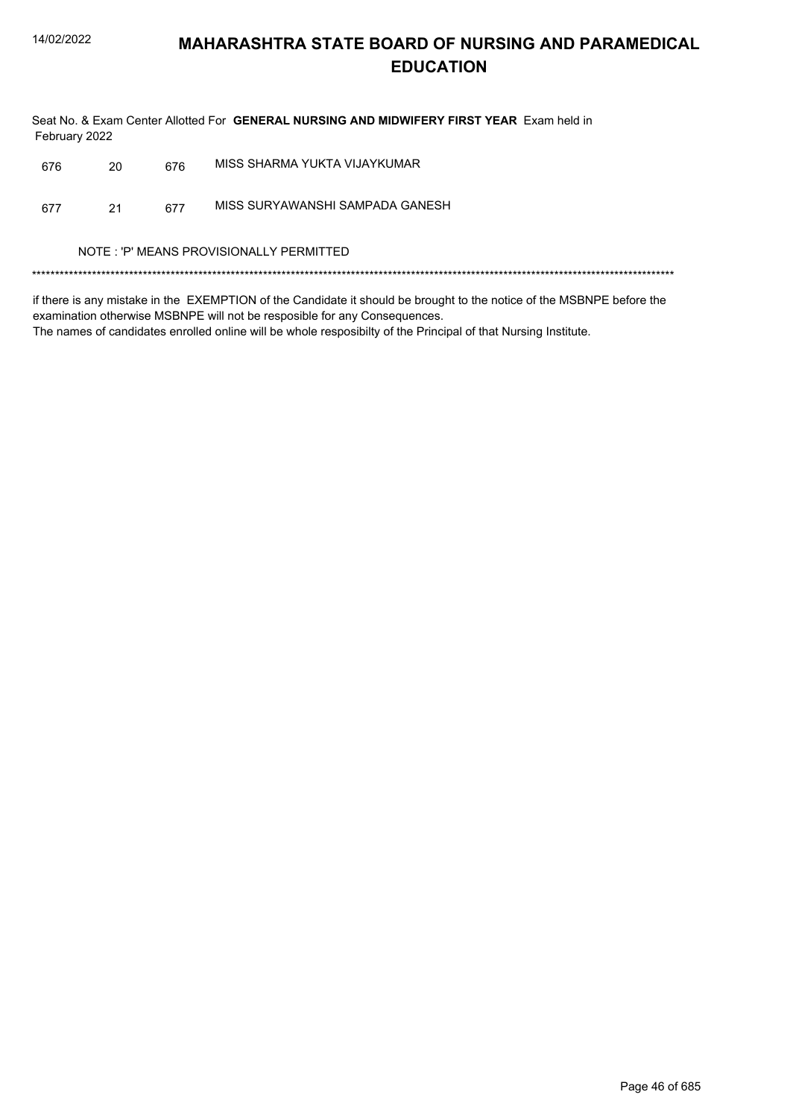Seat No. & Exam Center Allotted For GENERAL NURSING AND MIDWIFERY FIRST YEAR Exam held in February 2022

| 676 | 20 | 676 | MISS SHARMA YUKTA VIJAYKUMAR            |  |
|-----|----|-----|-----------------------------------------|--|
| 677 | 21 | 677 | MISS SURYAWANSHI SAMPADA GANESH         |  |
|     |    |     | NOTE: 'P' MEANS PROVISIONALLY PERMITTED |  |
|     |    |     |                                         |  |

if there is any mistake in the EXEMPTION of the Candidate it should be brought to the notice of the MSBNPE before the examination otherwise MSBNPE will not be resposible for any Consequences.

The names of candidates enrolled online will be whole resposibilty of the Principal of that Nursing Institute.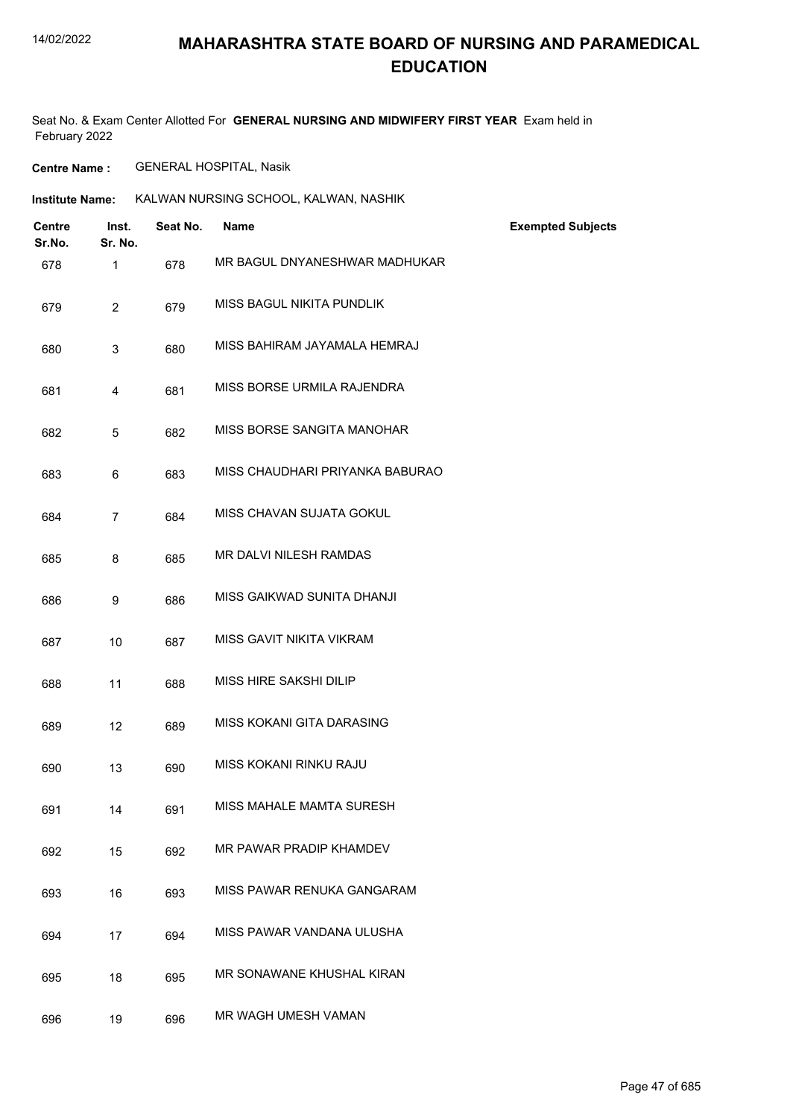# **MAHARASHTRA STATE BOARD OF NURSING AND PARAMEDICAL EDUCATION**

Seat No. & Exam Center Allotted For **GENERAL NURSING AND MIDWIFERY FIRST YEAR** Exam held in February 2022

**Centre Name :** GENERAL HOSPITAL, Nasik

| <b>Institute Name:</b> | KALWAN NURSING SCHOOL, KALWAN, NASHIK |
|------------------------|---------------------------------------|
|                        |                                       |

| <b>Centre</b><br>Sr.No. | Inst.<br>Sr. No. | Seat No. | <b>Name</b>                     | <b>Exempted Subjects</b> |
|-------------------------|------------------|----------|---------------------------------|--------------------------|
| 678                     | $\mathbf{1}$     | 678      | MR BAGUL DNYANESHWAR MADHUKAR   |                          |
| 679                     | $\overline{2}$   | 679      | MISS BAGUL NIKITA PUNDLIK       |                          |
| 680                     | 3                | 680      | MISS BAHIRAM JAYAMALA HEMRAJ    |                          |
| 681                     | 4                | 681      | MISS BORSE URMILA RAJENDRA      |                          |
| 682                     | 5                | 682      | MISS BORSE SANGITA MANOHAR      |                          |
| 683                     | 6                | 683      | MISS CHAUDHARI PRIYANKA BABURAO |                          |
| 684                     | $\overline{7}$   | 684      | MISS CHAVAN SUJATA GOKUL        |                          |
| 685                     | 8                | 685      | MR DALVI NILESH RAMDAS          |                          |
| 686                     | 9                | 686      | MISS GAIKWAD SUNITA DHANJI      |                          |
| 687                     | 10               | 687      | MISS GAVIT NIKITA VIKRAM        |                          |
| 688                     | 11               | 688      | MISS HIRE SAKSHI DILIP          |                          |
| 689                     | 12               | 689      | MISS KOKANI GITA DARASING       |                          |
| 690                     | 13               | 690      | MISS KOKANI RINKU RAJU          |                          |
| 691                     | 14               | 691      | MISS MAHALE MAMTA SURESH        |                          |
| 692                     | 15               | 692      | MR PAWAR PRADIP KHAMDEV         |                          |
| 693                     | 16               | 693      | MISS PAWAR RENUKA GANGARAM      |                          |
| 694                     | 17               | 694      | MISS PAWAR VANDANA ULUSHA       |                          |
| 695                     | 18               | 695      | MR SONAWANE KHUSHAL KIRAN       |                          |
| 696                     | 19               | 696      | MR WAGH UMESH VAMAN             |                          |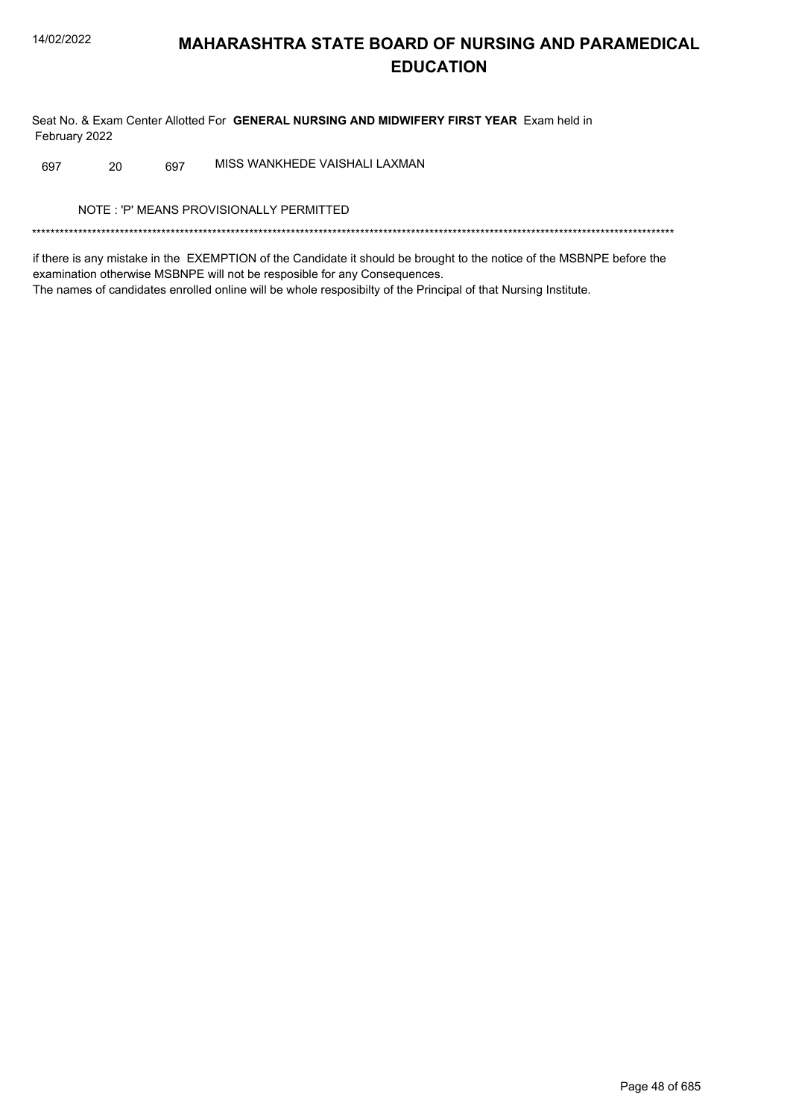Seat No. & Exam Center Allotted For GENERAL NURSING AND MIDWIFERY FIRST YEAR Exam held in February 2022

MISS WANKHEDE VAISHALI LAXMAN 20 697 697

NOTE: 'P' MEANS PROVISIONALLY PERMITTED

if there is any mistake in the EXEMPTION of the Candidate it should be brought to the notice of the MSBNPE before the examination otherwise MSBNPE will not be resposible for any Consequences. The names of candidates enrolled online will be whole resposibilty of the Principal of that Nursing Institute.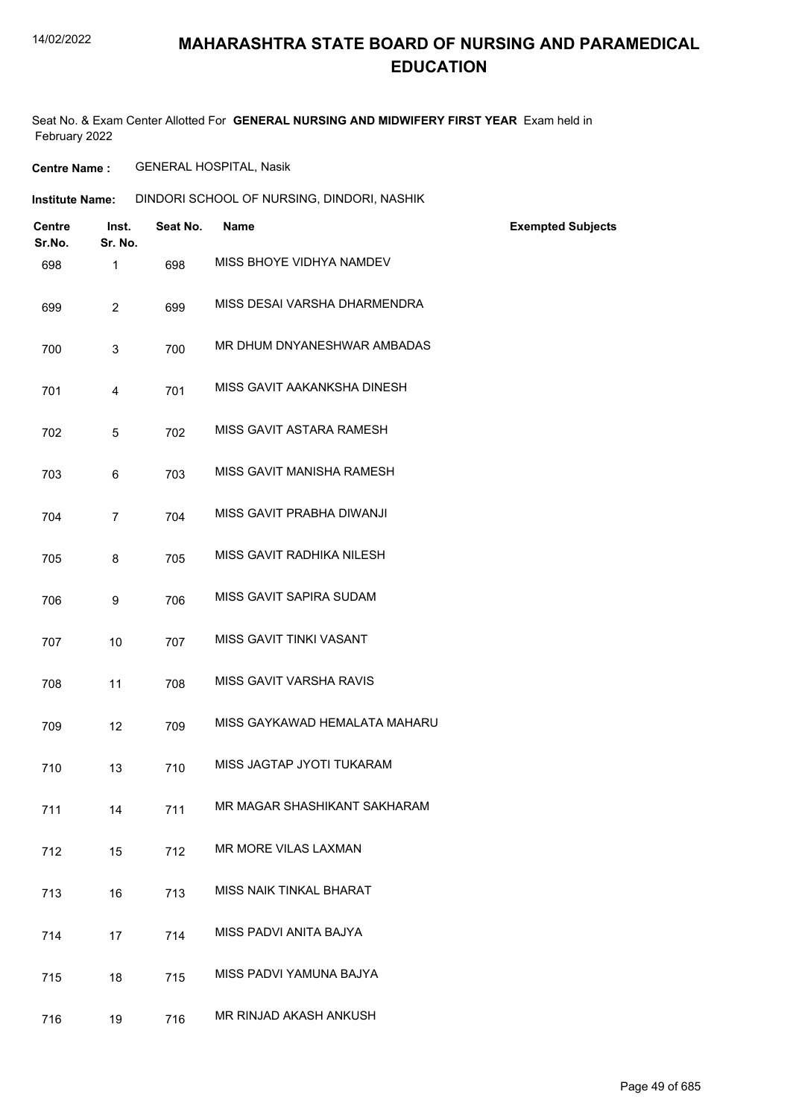# **MAHARASHTRA STATE BOARD OF NURSING AND PARAMEDICAL EDUCATION**

Seat No. & Exam Center Allotted For **GENERAL NURSING AND MIDWIFERY FIRST YEAR** Exam held in February 2022

**Centre Name :** GENERAL HOSPITAL, Nasik

| Institute Name: |  |  | DINDORI SCHOOL OF NURSING, DINDORI, NASHIK |
|-----------------|--|--|--------------------------------------------|
|-----------------|--|--|--------------------------------------------|

| <b>Centre</b><br>Sr.No. | Inst.<br>Sr. No. | Seat No. | <b>Name</b>                   | <b>Exempted Subjects</b> |
|-------------------------|------------------|----------|-------------------------------|--------------------------|
| 698                     | $\mathbf{1}$     | 698      | MISS BHOYE VIDHYA NAMDEV      |                          |
| 699                     | $\overline{2}$   | 699      | MISS DESAI VARSHA DHARMENDRA  |                          |
| 700                     | $\mathfrak{S}$   | 700      | MR DHUM DNYANESHWAR AMBADAS   |                          |
| 701                     | $\overline{4}$   | 701      | MISS GAVIT AAKANKSHA DINESH   |                          |
| 702                     | 5                | 702      | MISS GAVIT ASTARA RAMESH      |                          |
| 703                     | 6                | 703      | MISS GAVIT MANISHA RAMESH     |                          |
| 704                     | $\overline{7}$   | 704      | MISS GAVIT PRABHA DIWANJI     |                          |
| 705                     | 8                | 705      | MISS GAVIT RADHIKA NILESH     |                          |
| 706                     | 9                | 706      | MISS GAVIT SAPIRA SUDAM       |                          |
| 707                     | 10               | 707      | MISS GAVIT TINKI VASANT       |                          |
| 708                     | 11               | 708      | MISS GAVIT VARSHA RAVIS       |                          |
| 709                     | 12               | 709      | MISS GAYKAWAD HEMALATA MAHARU |                          |
| 710                     | 13               | 710      | MISS JAGTAP JYOTI TUKARAM     |                          |
| 711                     | 14               | 711      | MR MAGAR SHASHIKANT SAKHARAM  |                          |
| 712                     | 15               | 712      | MR MORE VILAS LAXMAN          |                          |
| 713                     | 16               | 713      | MISS NAIK TINKAL BHARAT       |                          |
| 714                     | 17               | 714      | MISS PADVI ANITA BAJYA        |                          |
| 715                     | 18               | 715      | MISS PADVI YAMUNA BAJYA       |                          |
| 716                     | 19               | 716      | MR RINJAD AKASH ANKUSH        |                          |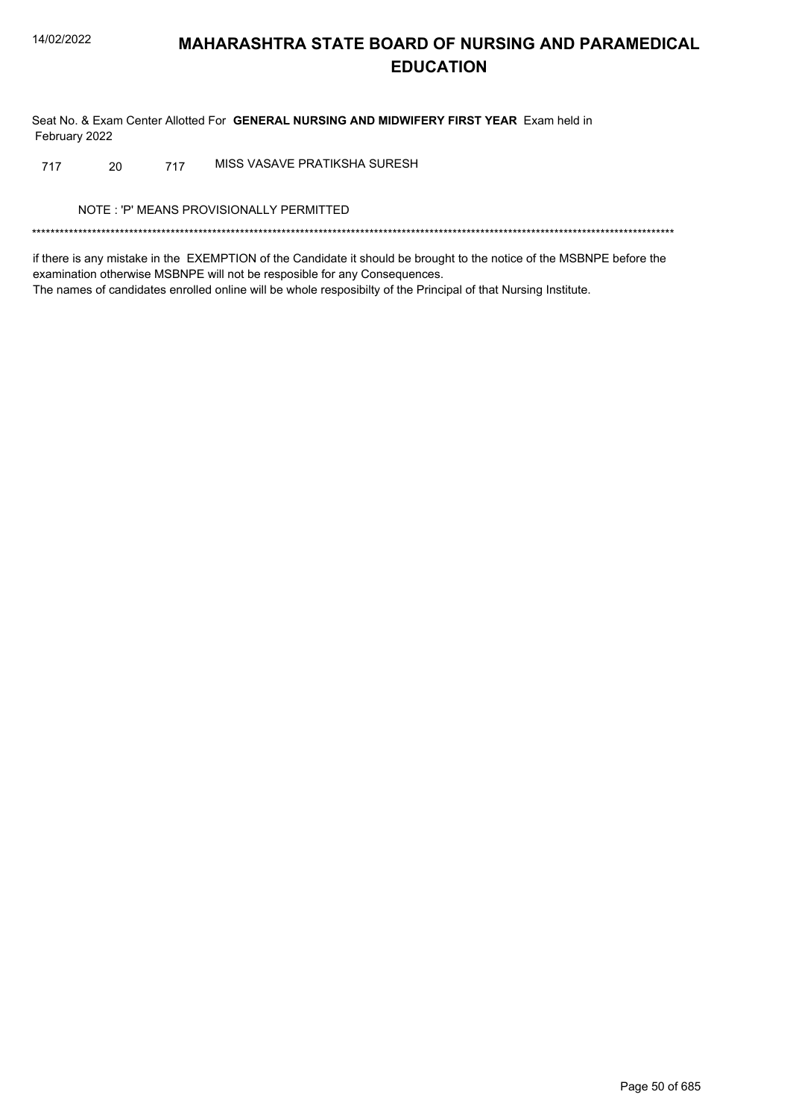Seat No. & Exam Center Allotted For GENERAL NURSING AND MIDWIFERY FIRST YEAR Exam held in February 2022

MISS VASAVE PRATIKSHA SURESH 20 717 717

NOTE: 'P' MEANS PROVISIONALLY PERMITTED

if there is any mistake in the EXEMPTION of the Candidate it should be brought to the notice of the MSBNPE before the examination otherwise MSBNPE will not be resposible for any Consequences. The names of candidates enrolled online will be whole resposibilty of the Principal of that Nursing Institute.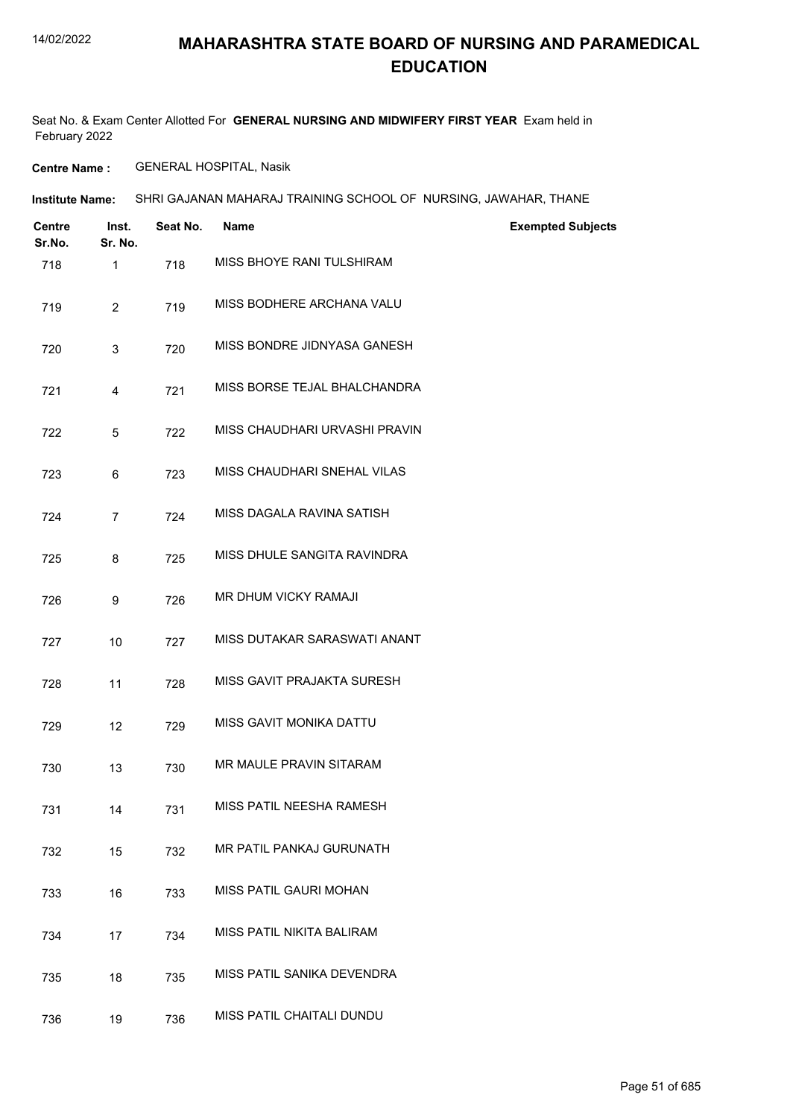## **MAHARASHTRA STATE BOARD OF NURSING AND PARAMEDICAL EDUCATION**

Seat No. & Exam Center Allotted For **GENERAL NURSING AND MIDWIFERY FIRST YEAR** Exam held in February 2022

**Centre Name :** GENERAL HOSPITAL, Nasik

| Institute Name: | SHRI GAJANAN MAHARAJ TRAINING SCHOOL OF NURSING, JAWAHAR, THANE |  |
|-----------------|-----------------------------------------------------------------|--|
|                 |                                                                 |  |

| <b>Centre</b><br>Sr.No. | Inst.<br>Sr. No. | Seat No. | <b>Name</b>                   | <b>Exempted Subjects</b> |
|-------------------------|------------------|----------|-------------------------------|--------------------------|
| 718                     | $\mathbf{1}$     | 718      | MISS BHOYE RANI TULSHIRAM     |                          |
| 719                     | $\overline{2}$   | 719      | MISS BODHERE ARCHANA VALU     |                          |
| 720                     | 3                | 720      | MISS BONDRE JIDNYASA GANESH   |                          |
| 721                     | 4                | 721      | MISS BORSE TEJAL BHALCHANDRA  |                          |
| 722                     | 5                | 722      | MISS CHAUDHARI URVASHI PRAVIN |                          |
| 723                     | 6                | 723      | MISS CHAUDHARI SNEHAL VILAS   |                          |
| 724                     | $\overline{7}$   | 724      | MISS DAGALA RAVINA SATISH     |                          |
| 725                     | 8                | 725      | MISS DHULE SANGITA RAVINDRA   |                          |
| 726                     | 9                | 726      | MR DHUM VICKY RAMAJI          |                          |
| 727                     | 10               | 727      | MISS DUTAKAR SARASWATI ANANT  |                          |
| 728                     | 11               | 728      | MISS GAVIT PRAJAKTA SURESH    |                          |
| 729                     | 12               | 729      | MISS GAVIT MONIKA DATTU       |                          |
| 730                     | 13               | 730      | MR MAULE PRAVIN SITARAM       |                          |
| 731                     | 14               | 731      | MISS PATIL NEESHA RAMESH      |                          |
| 732                     | 15               | 732      | MR PATIL PANKAJ GURUNATH      |                          |
| 733                     | 16               | 733      | MISS PATIL GAURI MOHAN        |                          |
| 734                     | 17               | 734      | MISS PATIL NIKITA BALIRAM     |                          |
| 735                     | 18               | 735      | MISS PATIL SANIKA DEVENDRA    |                          |
| 736                     | 19               | 736      | MISS PATIL CHAITALI DUNDU     |                          |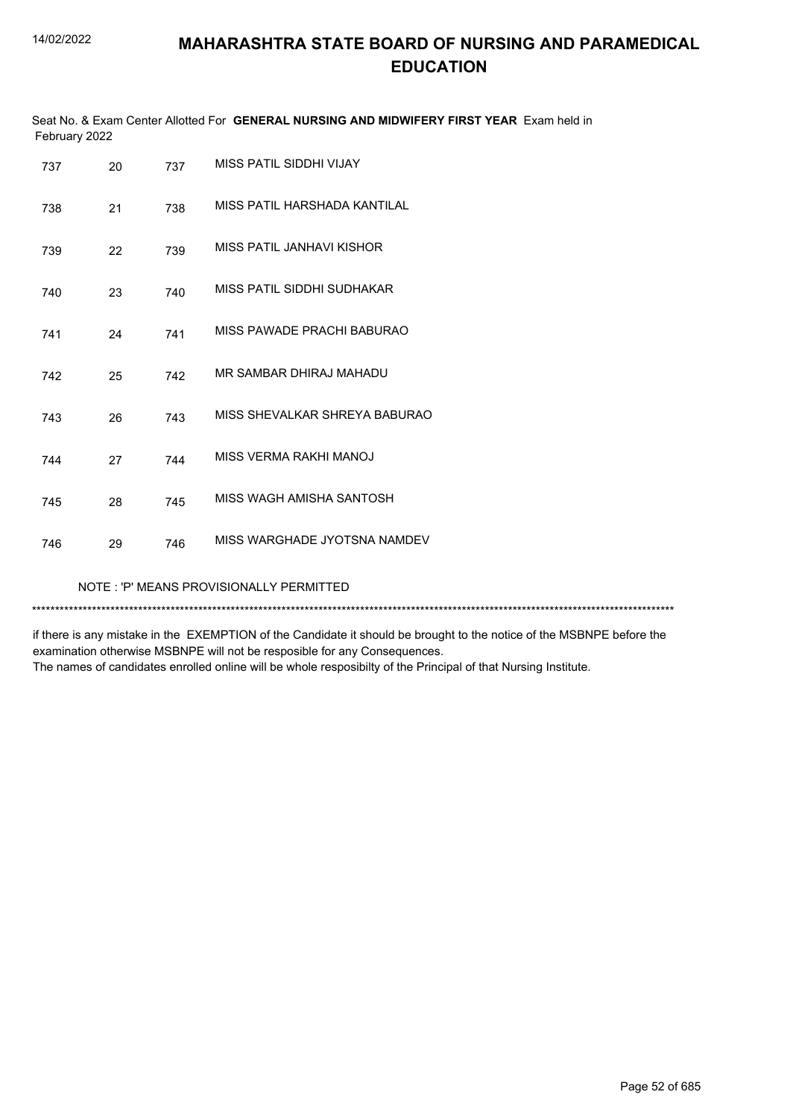| February 2022                           |    |     | Seat No. & Exam Center Allotted For GENERAL NURSING AND MIDWIFERY FIRST YEAR Exam held in |  |
|-----------------------------------------|----|-----|-------------------------------------------------------------------------------------------|--|
| 737                                     | 20 | 737 | MISS PATIL SIDDHI VIJAY                                                                   |  |
| 738                                     | 21 | 738 | MISS PATIL HARSHADA KANTILAL                                                              |  |
| 739                                     | 22 | 739 | MISS PATIL JANHAVI KISHOR                                                                 |  |
| 740                                     | 23 | 740 | MISS PATIL SIDDHI SUDHAKAR                                                                |  |
| 741                                     | 24 | 741 | MISS PAWADE PRACHI BABURAO                                                                |  |
| 742                                     | 25 | 742 | MR SAMBAR DHIRAJ MAHADU                                                                   |  |
| 743                                     | 26 | 743 | MISS SHEVALKAR SHREYA BABURAO                                                             |  |
| 744                                     | 27 | 744 | MISS VERMA RAKHI MANOJ                                                                    |  |
| 745                                     | 28 | 745 | MISS WAGH AMISHA SANTOSH                                                                  |  |
| 746                                     | 29 | 746 | MISS WARGHADE JYOTSNA NAMDEV                                                              |  |
| NOTE: 'P' MEANS PROVISIONALLY PERMITTED |    |     |                                                                                           |  |

\*\*\*\*\*\*\*\*\*\*\*\*\*\*\*\*\*\*\*\*\*\*\*\*\*\*\*\*\*\*\*\*\*\*\*\*\*\*\*\*\*\*\*\*\*\*\*\*\*\*\*\*\*\*\*\*\*\*\*\*\*\*\*\*\*\*\*\*\*\*\*\*\*\*\*\*\*\*\*\*\*\*\*\*\*\*\*\*\*\*\*\*\*\*\*\*\*\*\*\*\*\*\*\*\*\*\*\*\*\*\*\*\*\*\*\*\*\*\*\*\*\*\*\*\*\*\*\*\*\*\*\*\*\*\*\*\*\*\*

if there is any mistake in the EXEMPTION of the Candidate it should be brought to the notice of the MSBNPE before the examination otherwise MSBNPE will not be resposible for any Consequences.

The names of candidates enrolled online will be whole resposibilty of the Principal of that Nursing Institute.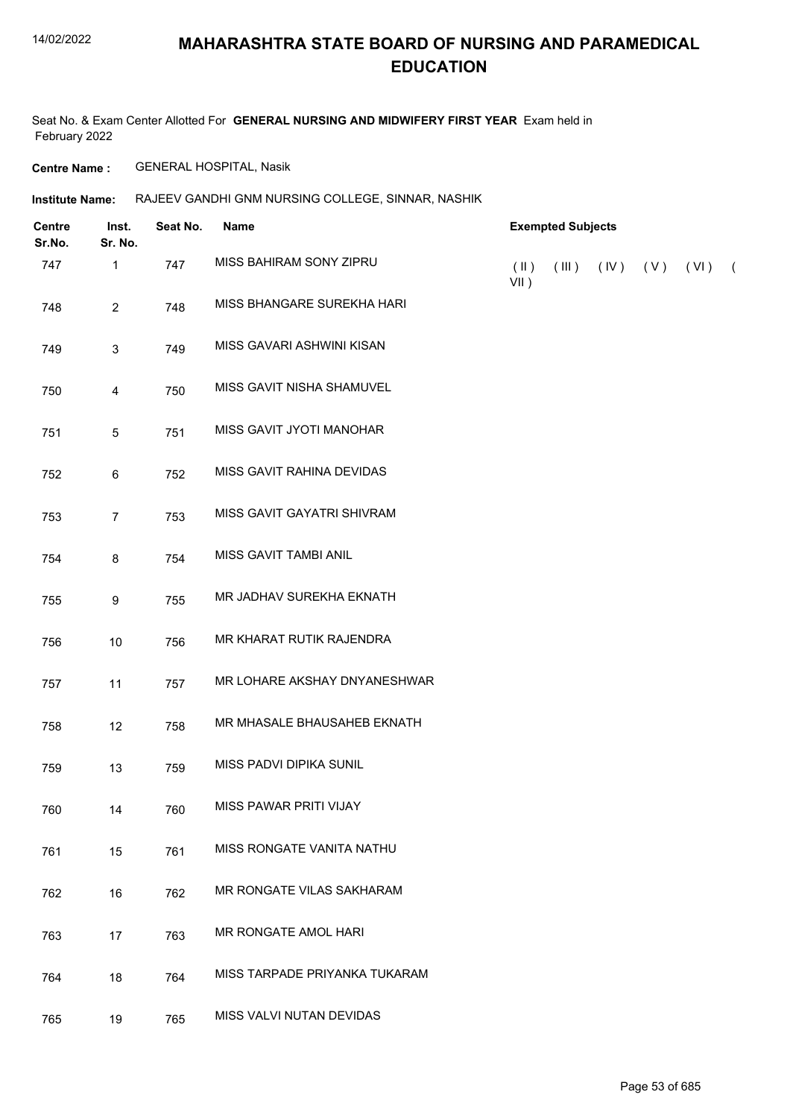# **MAHARASHTRA STATE BOARD OF NURSING AND PARAMEDICAL EDUCATION**

Seat No. & Exam Center Allotted For **GENERAL NURSING AND MIDWIFERY FIRST YEAR** Exam held in February 2022

**Centre Name :** GENERAL HOSPITAL, Nasik

#### Institute Name: RAJEEV GANDHI GNM NURSING COLLEGE, SINNAR, NASHIK

| <b>Centre</b><br>Sr.No. | Inst.<br>Sr. No. | Seat No. | Name                          |                          | <b>Exempted Subjects</b> |                     |            |
|-------------------------|------------------|----------|-------------------------------|--------------------------|--------------------------|---------------------|------------|
| 747                     | $\mathbf{1}$     | 747      | MISS BAHIRAM SONY ZIPRU       | $(\parallel)$<br>$VII$ ) | (III)                    | $(IV)$ $(V)$ $(VI)$ | $\sqrt{2}$ |
| 748                     | $\overline{2}$   | 748      | MISS BHANGARE SUREKHA HARI    |                          |                          |                     |            |
| 749                     | $\sqrt{3}$       | 749      | MISS GAVARI ASHWINI KISAN     |                          |                          |                     |            |
| 750                     | 4                | 750      | MISS GAVIT NISHA SHAMUVEL     |                          |                          |                     |            |
| 751                     | $\overline{5}$   | 751      | MISS GAVIT JYOTI MANOHAR      |                          |                          |                     |            |
| 752                     | $\,6\,$          | 752      | MISS GAVIT RAHINA DEVIDAS     |                          |                          |                     |            |
| 753                     | $\overline{7}$   | 753      | MISS GAVIT GAYATRI SHIVRAM    |                          |                          |                     |            |
| 754                     | 8                | 754      | MISS GAVIT TAMBI ANIL         |                          |                          |                     |            |
| 755                     | 9                | 755      | MR JADHAV SUREKHA EKNATH      |                          |                          |                     |            |
| 756                     | 10               | 756      | MR KHARAT RUTIK RAJENDRA      |                          |                          |                     |            |
| 757                     | 11               | 757      | MR LOHARE AKSHAY DNYANESHWAR  |                          |                          |                     |            |
| 758                     | 12               | 758      | MR MHASALE BHAUSAHEB EKNATH   |                          |                          |                     |            |
| 759                     | 13               | 759      | MISS PADVI DIPIKA SUNIL       |                          |                          |                     |            |
| 760                     | 14               | 760      | MISS PAWAR PRITI VIJAY        |                          |                          |                     |            |
| 761                     | 15               | 761      | MISS RONGATE VANITA NATHU     |                          |                          |                     |            |
| 762                     | 16               | 762      | MR RONGATE VILAS SAKHARAM     |                          |                          |                     |            |
| 763                     | 17               | 763      | MR RONGATE AMOL HARI          |                          |                          |                     |            |
| 764                     | 18               | 764      | MISS TARPADE PRIYANKA TUKARAM |                          |                          |                     |            |
| 765                     | 19               | 765      | MISS VALVI NUTAN DEVIDAS      |                          |                          |                     |            |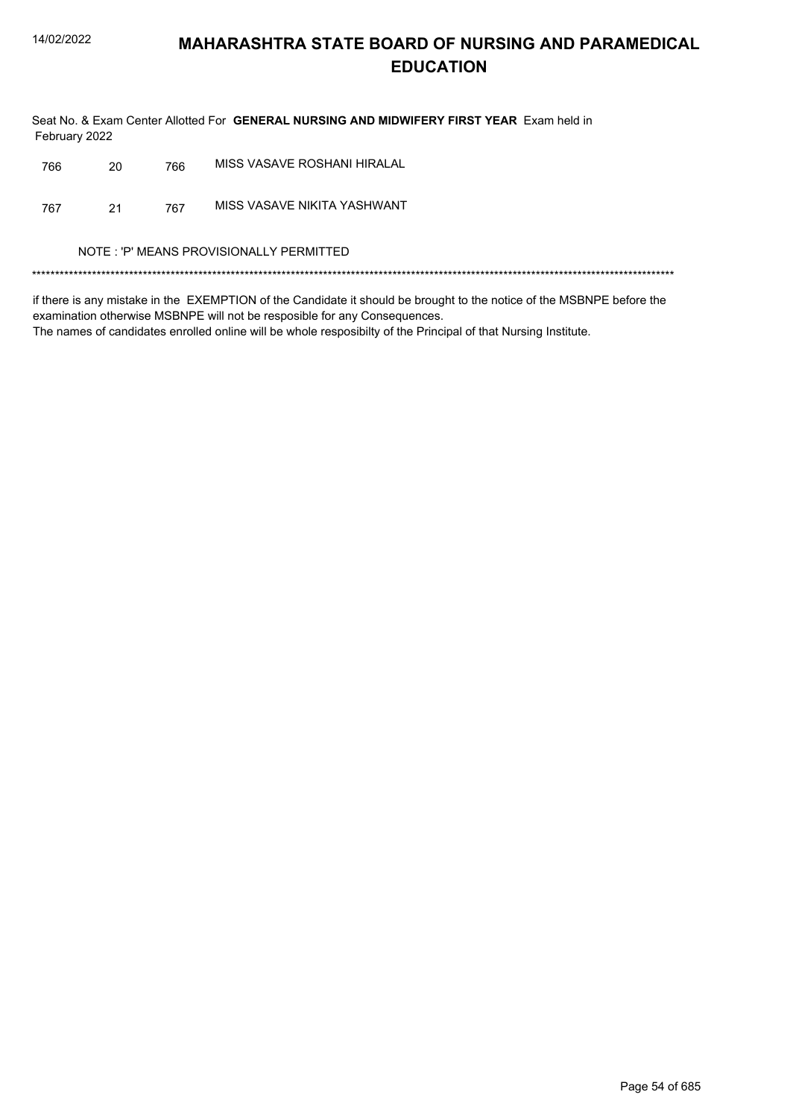Seat No. & Exam Center Allotted For GENERAL NURSING AND MIDWIFERY FIRST YEAR Exam held in February 2022

| MISS VASAVE NIKITA YASHWANT<br>767<br>21<br>767<br>NOTE: 'P' MEANS PROVISIONALLY PERMITTED | 766 | 20 | 766 | MISS VASAVE ROSHANI HIRALAL |
|--------------------------------------------------------------------------------------------|-----|----|-----|-----------------------------|
|                                                                                            |     |    |     |                             |
|                                                                                            |     |    |     |                             |
|                                                                                            |     |    |     |                             |

if there is any mistake in the EXEMPTION of the Candidate it should be brought to the notice of the MSBNPE before the examination otherwise MSBNPE will not be resposible for any Consequences. The names of candidates enrolled online will be whole resposibilty of the Principal of that Nursing Institute.

Page 54 of 685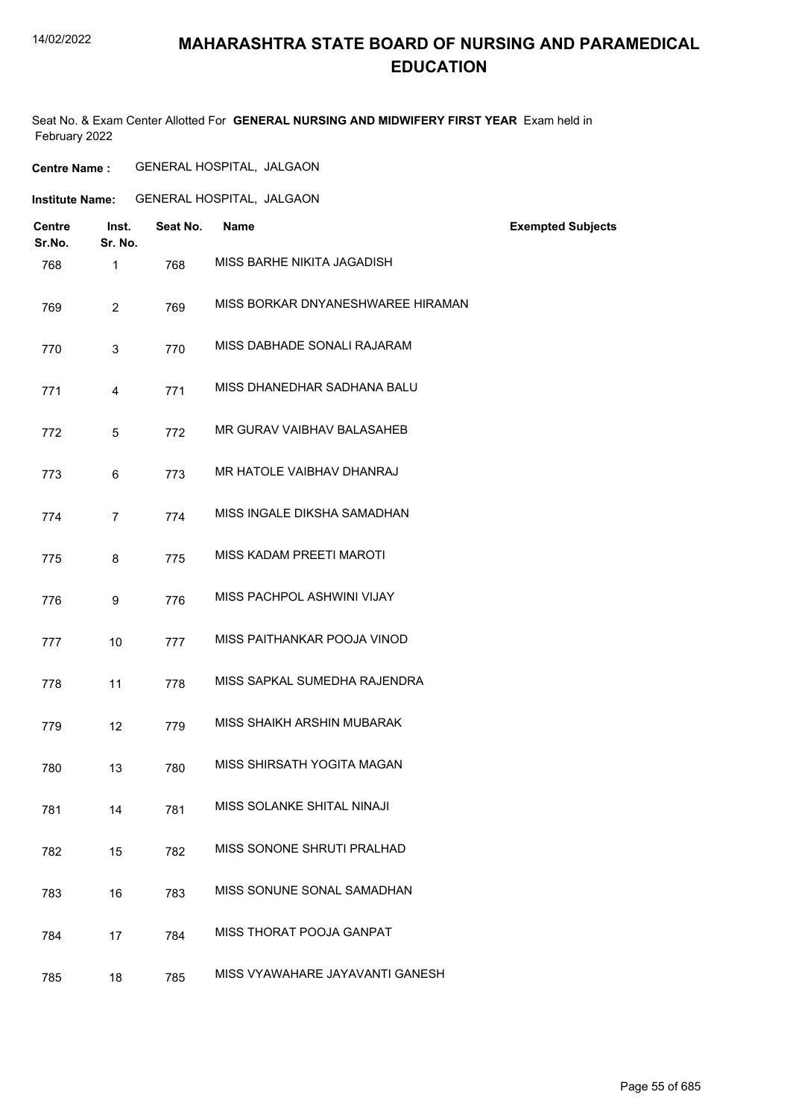# **MAHARASHTRA STATE BOARD OF NURSING AND PARAMEDICAL EDUCATION**

Seat No. & Exam Center Allotted For **GENERAL NURSING AND MIDWIFERY FIRST YEAR** Exam held in February 2022

| <b>Centre</b><br>Sr.No. | Inst.<br>Sr. No. | Seat No. | <b>Name</b>                       | <b>Exempted Subjects</b> |
|-------------------------|------------------|----------|-----------------------------------|--------------------------|
| 768                     | 1                | 768      | MISS BARHE NIKITA JAGADISH        |                          |
| 769                     | $\overline{2}$   | 769      | MISS BORKAR DNYANESHWAREE HIRAMAN |                          |
| 770                     | 3                | 770      | MISS DABHADE SONALI RAJARAM       |                          |
| 771                     | 4                | 771      | MISS DHANEDHAR SADHANA BALU       |                          |
| 772                     | 5                | 772      | MR GURAV VAIBHAV BALASAHEB        |                          |
| 773                     | 6                | 773      | MR HATOLE VAIBHAV DHANRAJ         |                          |
| 774                     | $\overline{7}$   | 774      | MISS INGALE DIKSHA SAMADHAN       |                          |
| 775                     | 8                | 775      | MISS KADAM PREETI MAROTI          |                          |
| 776                     | 9                | 776      | MISS PACHPOL ASHWINI VIJAY        |                          |
| 777                     | 10               | 777      | MISS PAITHANKAR POOJA VINOD       |                          |
| 778                     | 11               | 778      | MISS SAPKAL SUMEDHA RAJENDRA      |                          |
| 779                     | 12               | 779      | MISS SHAIKH ARSHIN MUBARAK        |                          |
| 780                     | 13               | 780      | MISS SHIRSATH YOGITA MAGAN        |                          |
| 781                     | 14               | 781      | MISS SOLANKE SHITAL NINAJI        |                          |
| 782                     | 15               | 782      | MISS SONONE SHRUTI PRALHAD        |                          |
| 783                     | 16               | 783      | MISS SONUNE SONAL SAMADHAN        |                          |
| 784                     | 17               | 784      | MISS THORAT POOJA GANPAT          |                          |
| 785                     | 18               | 785      | MISS VYAWAHARE JAYAVANTI GANESH   |                          |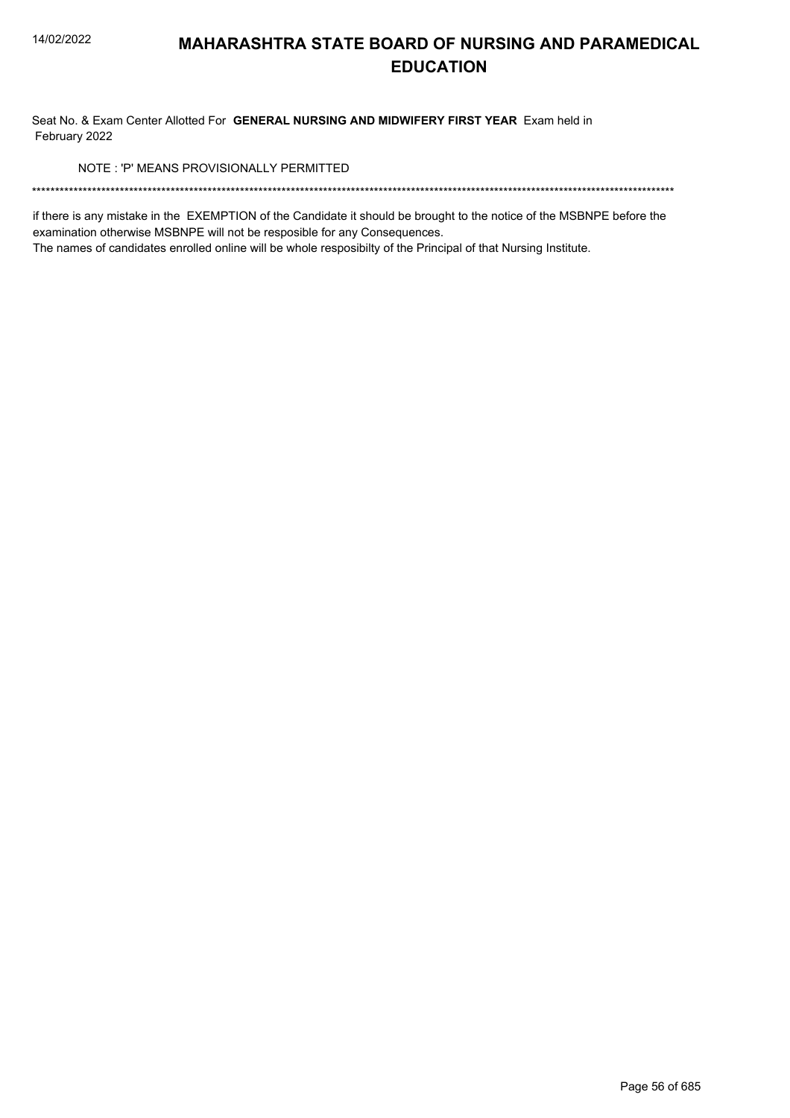Seat No. & Exam Center Allotted For GENERAL NURSING AND MIDWIFERY FIRST YEAR Exam held in February 2022

NOTE: 'P' MEANS PROVISIONALLY PERMITTED

if there is any mistake in the EXEMPTION of the Candidate it should be brought to the notice of the MSBNPE before the examination otherwise MSBNPE will not be resposible for any Consequences.

The names of candidates enrolled online will be whole resposibilty of the Principal of that Nursing Institute.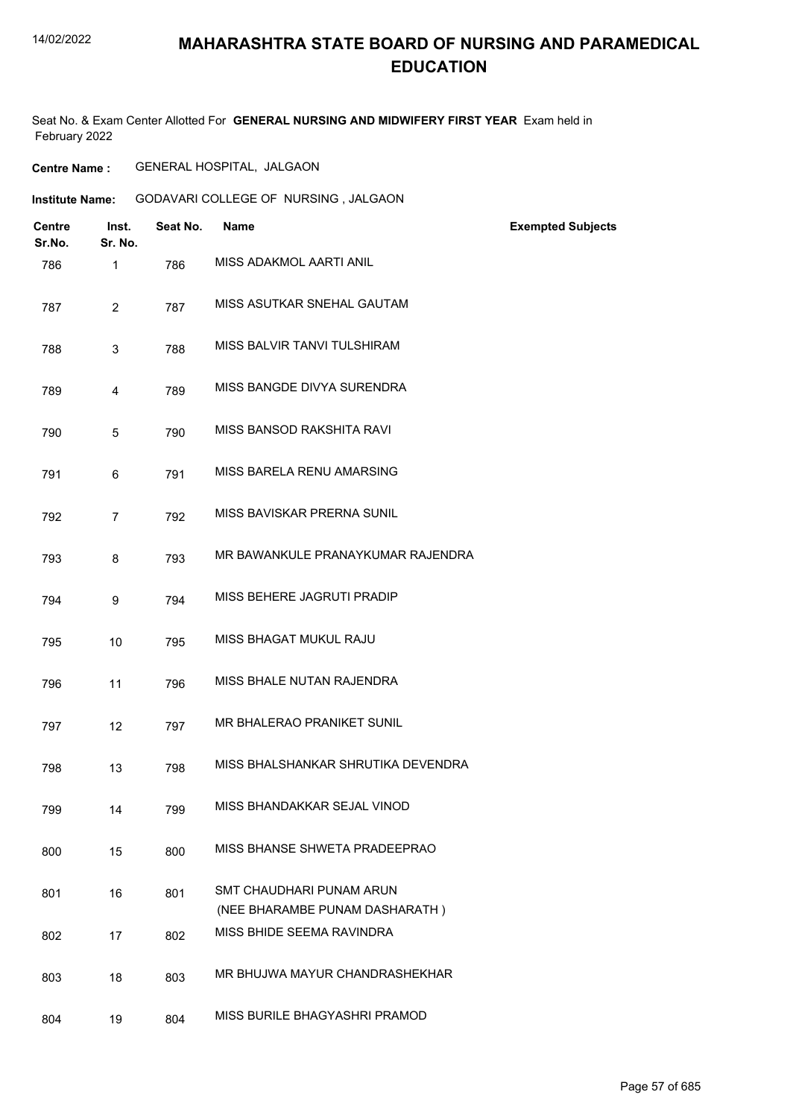# **MAHARASHTRA STATE BOARD OF NURSING AND PARAMEDICAL EDUCATION**

Seat No. & Exam Center Allotted For **GENERAL NURSING AND MIDWIFERY FIRST YEAR** Exam held in February 2022

**Centre Name :** GENERAL HOSPITAL, JALGAON

| <b>Institute Name:</b> | GODAVARI COLLEGE OF NURSING, JALGAON |  |
|------------------------|--------------------------------------|--|
|                        |                                      |  |

| <b>Centre</b><br>Sr.No. | Inst.<br>Sr. No. | Seat No. | <b>Name</b>                                                       | <b>Exempted Subjects</b> |
|-------------------------|------------------|----------|-------------------------------------------------------------------|--------------------------|
| 786                     | $\mathbf{1}$     | 786      | MISS ADAKMOL AARTI ANIL                                           |                          |
| 787                     | $\overline{2}$   | 787      | MISS ASUTKAR SNEHAL GAUTAM                                        |                          |
| 788                     | 3                | 788      | MISS BALVIR TANVI TULSHIRAM                                       |                          |
| 789                     | 4                | 789      | MISS BANGDE DIVYA SURENDRA                                        |                          |
| 790                     | 5                | 790      | MISS BANSOD RAKSHITA RAVI                                         |                          |
| 791                     | 6                | 791      | MISS BARELA RENU AMARSING                                         |                          |
| 792                     | $\overline{7}$   | 792      | MISS BAVISKAR PRERNA SUNIL                                        |                          |
| 793                     | 8                | 793      | MR BAWANKULE PRANAYKUMAR RAJENDRA                                 |                          |
| 794                     | 9                | 794      | MISS BEHERE JAGRUTI PRADIP                                        |                          |
| 795                     | 10               | 795      | MISS BHAGAT MUKUL RAJU                                            |                          |
| 796                     | 11               | 796      | MISS BHALE NUTAN RAJENDRA                                         |                          |
| 797                     | 12               | 797      | MR BHALERAO PRANIKET SUNIL                                        |                          |
| 798                     | 13               | 798      | MISS BHALSHANKAR SHRUTIKA DEVENDRA                                |                          |
| 799                     | 14               | 799      | MISS BHANDAKKAR SEJAL VINOD                                       |                          |
| 800                     | 15               | 800      | MISS BHANSE SHWETA PRADEEPRAO                                     |                          |
| 801                     | 16               | 801      | <b>SMT CHAUDHARI PUNAM ARUN</b><br>(NEE BHARAMBE PUNAM DASHARATH) |                          |
| 802                     | 17               | 802      | MISS BHIDE SEEMA RAVINDRA                                         |                          |
| 803                     | 18               | 803      | MR BHUJWA MAYUR CHANDRASHEKHAR                                    |                          |
| 804                     | 19               | 804      | MISS BURILE BHAGYASHRI PRAMOD                                     |                          |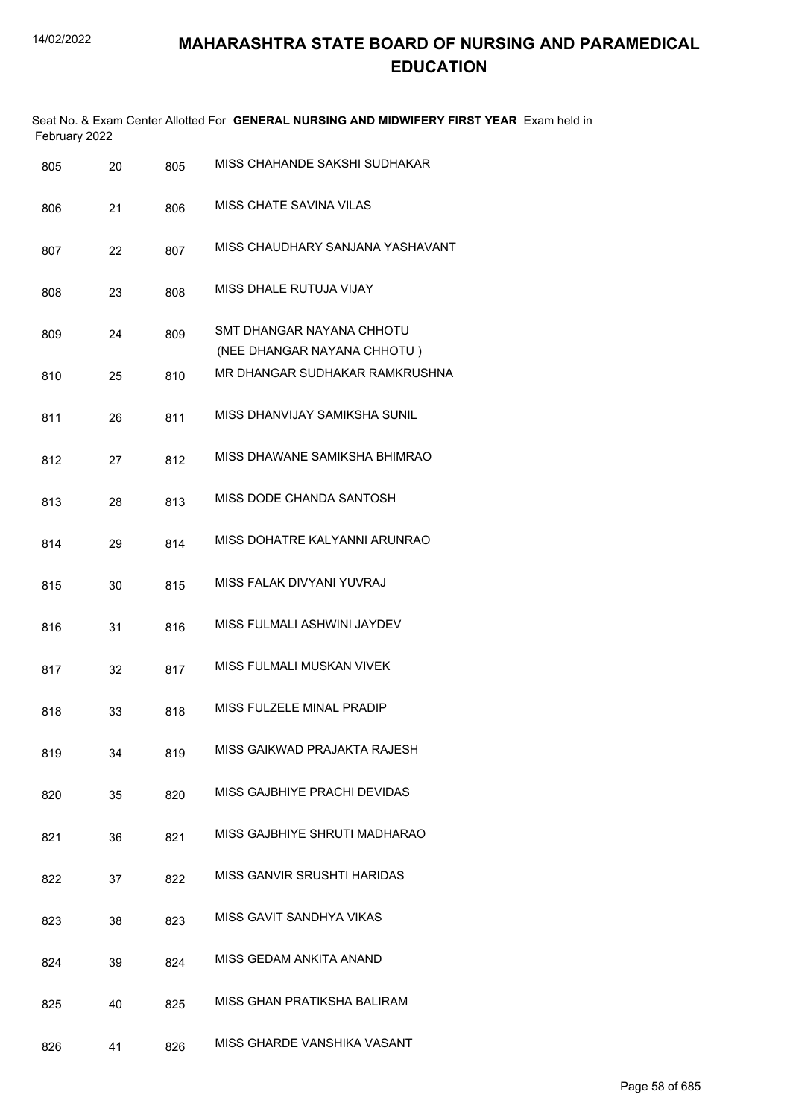| February 2022 |    |     | Seat No. & Exam Center Allotted For GENERAL NURSING AND MIDWIFERY FIRST YEAR Exam held in |
|---------------|----|-----|-------------------------------------------------------------------------------------------|
| 805           | 20 | 805 | MISS CHAHANDE SAKSHI SUDHAKAR                                                             |
| 806           | 21 | 806 | MISS CHATE SAVINA VILAS                                                                   |
| 807           | 22 | 807 | MISS CHAUDHARY SANJANA YASHAVANT                                                          |
| 808           | 23 | 808 | MISS DHALE RUTUJA VIJAY                                                                   |
| 809           | 24 | 809 | SMT DHANGAR NAYANA CHHOTU<br>(NEE DHANGAR NAYANA CHHOTU)                                  |
| 810           | 25 | 810 | MR DHANGAR SUDHAKAR RAMKRUSHNA                                                            |
| 811           | 26 | 811 | MISS DHANVIJAY SAMIKSHA SUNIL                                                             |
| 812           | 27 | 812 | MISS DHAWANE SAMIKSHA BHIMRAO                                                             |
| 813           | 28 | 813 | MISS DODE CHANDA SANTOSH                                                                  |
| 814           | 29 | 814 | MISS DOHATRE KALYANNI ARUNRAO                                                             |
| 815           | 30 | 815 | MISS FALAK DIVYANI YUVRAJ                                                                 |
| 816           | 31 | 816 | MISS FULMALI ASHWINI JAYDEV                                                               |
| 817           | 32 | 817 | MISS FULMALI MUSKAN VIVEK                                                                 |
| 818           | 33 | 818 | MISS FULZELE MINAL PRADIP                                                                 |
| 819           | 34 | 819 | MISS GAIKWAD PRAJAKTA RAJESH                                                              |
| 820           | 35 | 820 | MISS GAJBHIYE PRACHI DEVIDAS                                                              |
| 821           | 36 | 821 | MISS GAJBHIYE SHRUTI MADHARAO                                                             |
| 822           | 37 | 822 | MISS GANVIR SRUSHTI HARIDAS                                                               |
| 823           | 38 | 823 | MISS GAVIT SANDHYA VIKAS                                                                  |
| 824           | 39 | 824 | MISS GEDAM ANKITA ANAND                                                                   |

- 825 40 825 MISS GHAN PRATIKSHA BALIRAM
- 826 41 826 MISS GHARDE VANSHIKA VASANT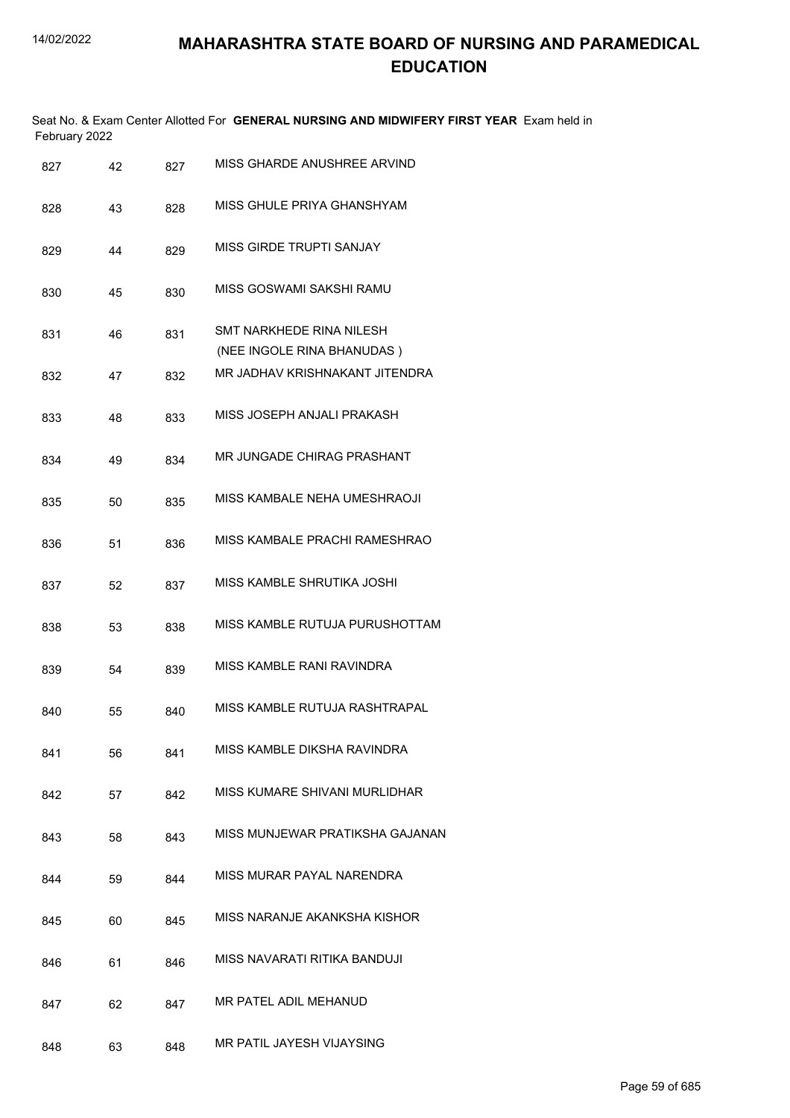|               | Seat No. & Exam Center Allotted For GENERAL NURSING AND MIDWIFERY FIRST YEAR Exam held in |
|---------------|-------------------------------------------------------------------------------------------|
| February 2022 |                                                                                           |

| 827 | 42 | 827 | MISS GHARDE ANUSHREE ARVIND                            |
|-----|----|-----|--------------------------------------------------------|
| 828 | 43 | 828 | MISS GHULE PRIYA GHANSHYAM                             |
| 829 | 44 | 829 | <b>MISS GIRDE TRUPTI SANJAY</b>                        |
| 830 | 45 | 830 | MISS GOSWAMI SAKSHI RAMU                               |
| 831 | 46 | 831 | SMT NARKHEDE RINA NILESH<br>(NEE INGOLE RINA BHANUDAS) |
| 832 | 47 | 832 | MR JADHAV KRISHNAKANT JITENDRA                         |
| 833 | 48 | 833 | MISS JOSEPH ANJALI PRAKASH                             |
| 834 | 49 | 834 | <b>MR JUNGADE CHIRAG PRASHANT</b>                      |
| 835 | 50 | 835 | MISS KAMBALE NEHA UMESHRAOJI                           |
| 836 | 51 | 836 | MISS KAMBALE PRACHI RAMESHRAO                          |
| 837 | 52 | 837 | MISS KAMBLE SHRUTIKA JOSHI                             |
| 838 | 53 | 838 | MISS KAMBLE RUTUJA PURUSHOTTAM                         |
| 839 | 54 | 839 | MISS KAMBLE RANI RAVINDRA                              |
| 840 | 55 | 840 | MISS KAMBLE RUTUJA RASHTRAPAL                          |
| 841 | 56 | 841 | MISS KAMBLE DIKSHA RAVINDRA                            |
| 842 | 57 | 842 | MISS KUMARE SHIVANI MURLIDHAR                          |
| 843 | 58 | 843 | MISS MUNJEWAR PRATIKSHA GAJANAN                        |
| 844 | 59 | 844 | MISS MURAR PAYAL NARENDRA                              |
| 845 | 60 | 845 | MISS NARANJE AKANKSHA KISHOR                           |
| 846 | 61 | 846 | MISS NAVARATI RITIKA BANDUJI                           |
| 847 | 62 | 847 | MR PATEL ADIL MEHANUD                                  |
| 848 | 63 | 848 | MR PATIL JAYESH VIJAYSING                              |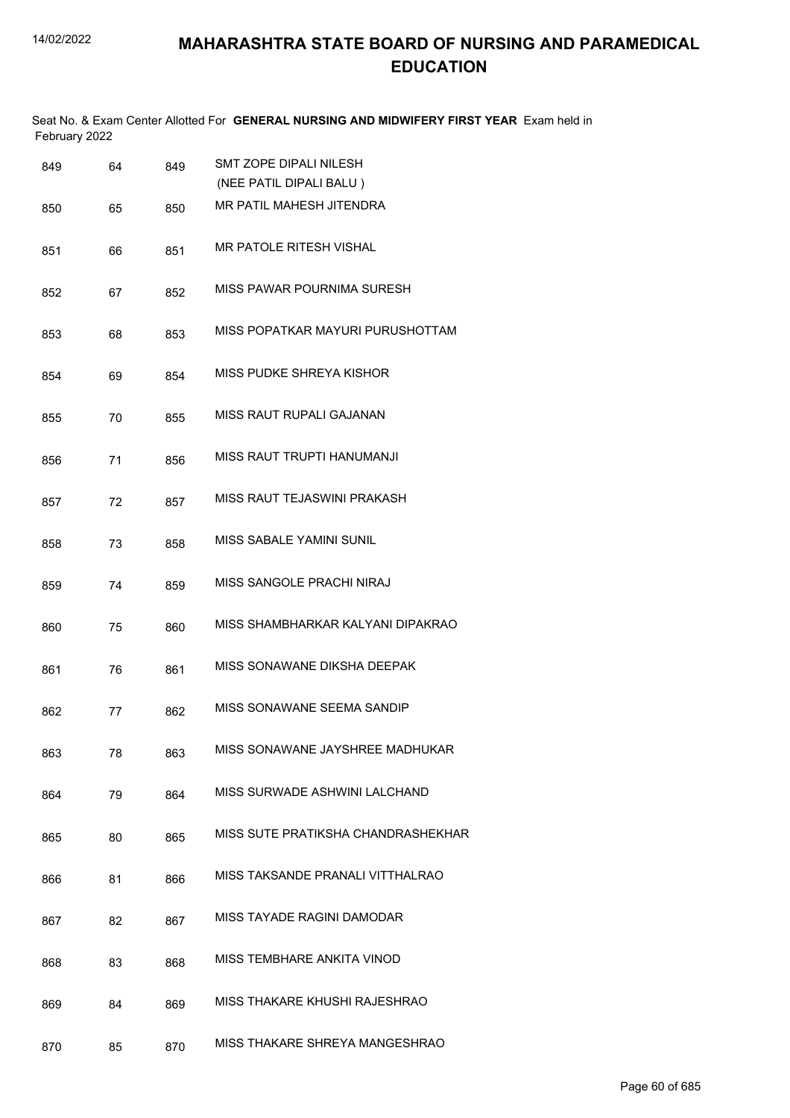|               | Seat No. & Exam Center Allotted For GENERAL NURSING AND MIDWIFERY FIRST YEAR Exam held in |
|---------------|-------------------------------------------------------------------------------------------|
| February 2022 |                                                                                           |

| 849 | 64 | 849 | <b>SMT ZOPE DIPALI NILESH</b><br>(NEE PATIL DIPALI BALU) |
|-----|----|-----|----------------------------------------------------------|
| 850 | 65 | 850 | MR PATIL MAHESH JITENDRA                                 |
| 851 | 66 | 851 | <b>MR PATOLE RITESH VISHAL</b>                           |
| 852 | 67 | 852 | MISS PAWAR POURNIMA SURESH                               |
| 853 | 68 | 853 | MISS POPATKAR MAYURI PURUSHOTTAM                         |
| 854 | 69 | 854 | MISS PUDKE SHREYA KISHOR                                 |
| 855 | 70 | 855 | <b>MISS RAUT RUPALI GAJANAN</b>                          |
| 856 | 71 | 856 | MISS RAUT TRUPTI HANUMANJI                               |
| 857 | 72 | 857 | MISS RAUT TEJASWINI PRAKASH                              |
| 858 | 73 | 858 | MISS SABALE YAMINI SUNIL                                 |
| 859 | 74 | 859 | MISS SANGOLE PRACHI NIRAJ                                |
| 860 | 75 | 860 | MISS SHAMBHARKAR KALYANI DIPAKRAO                        |
| 861 | 76 | 861 | MISS SONAWANE DIKSHA DEEPAK                              |
| 862 | 77 | 862 | MISS SONAWANE SEEMA SANDIP                               |
| 863 | 78 | 863 | MISS SONAWANE JAYSHREE MADHUKAR                          |
| 864 | 79 | 864 | MISS SURWADE ASHWINI LALCHAND                            |
| 865 | 80 | 865 | MISS SUTE PRATIKSHA CHANDRASHEKHAR                       |
| 866 | 81 | 866 | MISS TAKSANDE PRANALI VITTHALRAO                         |
| 867 | 82 | 867 | MISS TAYADE RAGINI DAMODAR                               |
| 868 | 83 | 868 | MISS TEMBHARE ANKITA VINOD                               |
| 869 | 84 | 869 | MISS THAKARE KHUSHI RAJESHRAO                            |
| 870 | 85 | 870 | MISS THAKARE SHREYA MANGESHRAO                           |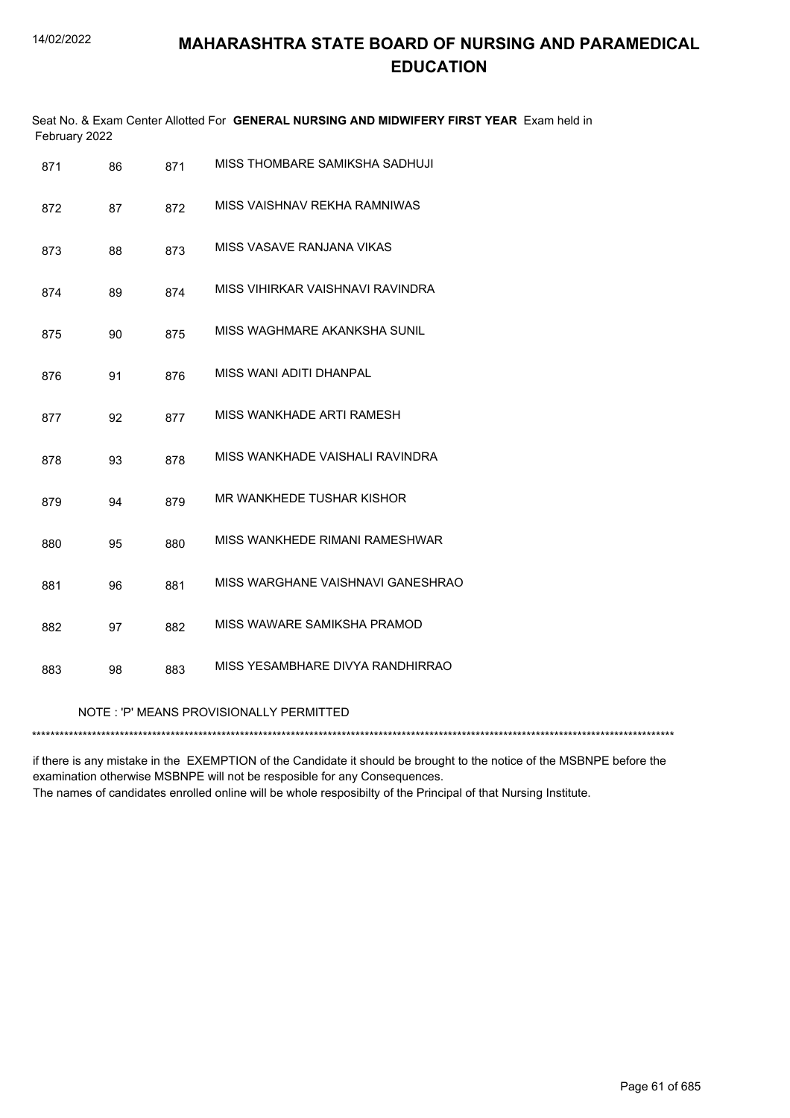| February 2022 |    |     | Seat No. & Exam Center Allotted For GENERAL NURSING AND MIDWIFERY FIRST YEAR Exam held in |
|---------------|----|-----|-------------------------------------------------------------------------------------------|
| 871           | 86 | 871 | MISS THOMBARE SAMIKSHA SADHUJI                                                            |
| 872           | 87 | 872 | MISS VAISHNAV REKHA RAMNIWAS                                                              |
| 873           | 88 | 873 | MISS VASAVE RANJANA VIKAS                                                                 |
| 874           | 89 | 874 | MISS VIHIRKAR VAISHNAVI RAVINDRA                                                          |
| 875           | 90 | 875 | MISS WAGHMARE AKANKSHA SUNIL                                                              |
| 876           | 91 | 876 | MISS WANI ADITI DHANPAL                                                                   |
| 877           | 92 | 877 | MISS WANKHADE ARTI RAMESH                                                                 |
| 878           | 93 | 878 | MISS WANKHADE VAISHALI RAVINDRA                                                           |
| 879           | 94 | 879 | MR WANKHEDE TUSHAR KISHOR                                                                 |
| 880           | 95 | 880 | MISS WANKHEDE RIMANI RAMESHWAR                                                            |
| 881           | 96 | 881 | MISS WARGHANE VAISHNAVI GANESHRAO                                                         |
| 882           | 97 | 882 | MISS WAWARE SAMIKSHA PRAMOD                                                               |
| 883           | 98 | 883 | MISS YESAMBHARE DIVYA RANDHIRRAO                                                          |
|               |    |     | NOTE: 'P' MEANS PROVISIONALLY PERMITTED                                                   |

if there is any mistake in the EXEMPTION of the Candidate it should be brought to the notice of the MSBNPE before the examination otherwise MSBNPE will not be resposible for any Consequences. The names of candidates enrolled online will be whole resposibilty of the Principal of that Nursing Institute.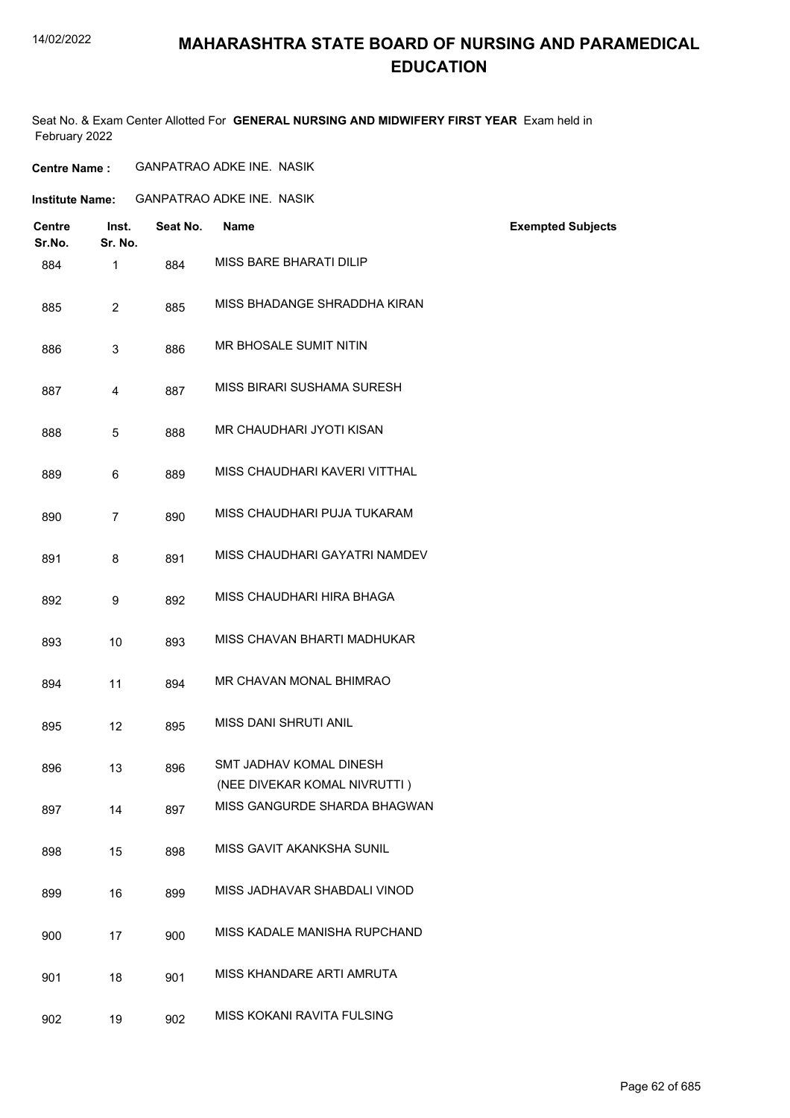# **MAHARASHTRA STATE BOARD OF NURSING AND PARAMEDICAL EDUCATION**

Seat No. & Exam Center Allotted For **GENERAL NURSING AND MIDWIFERY FIRST YEAR** Exam held in February 2022

| <b>Centre Name :</b> | <b>GANPATRAO ADKE INE. NASIK</b> |  |
|----------------------|----------------------------------|--|
|----------------------|----------------------------------|--|

| Institute Name: | <b>GANPATRAO ADKE INE. NASIK</b> |  |
|-----------------|----------------------------------|--|
|                 |                                  |  |

| <b>Centre</b><br>Sr.No. | Inst.<br>Sr. No. | Seat No. | <b>Name</b>                                             | <b>Exempted Subjects</b> |
|-------------------------|------------------|----------|---------------------------------------------------------|--------------------------|
| 884                     | $\mathbf{1}$     | 884      | MISS BARE BHARATI DILIP                                 |                          |
| 885                     | $\overline{2}$   | 885      | MISS BHADANGE SHRADDHA KIRAN                            |                          |
| 886                     | 3                | 886      | MR BHOSALE SUMIT NITIN                                  |                          |
| 887                     | 4                | 887      | MISS BIRARI SUSHAMA SURESH                              |                          |
| 888                     | 5                | 888      | MR CHAUDHARI JYOTI KISAN                                |                          |
| 889                     | 6                | 889      | MISS CHAUDHARI KAVERI VITTHAL                           |                          |
| 890                     | $\overline{7}$   | 890      | MISS CHAUDHARI PUJA TUKARAM                             |                          |
| 891                     | 8                | 891      | MISS CHAUDHARI GAYATRI NAMDEV                           |                          |
| 892                     | 9                | 892      | MISS CHAUDHARI HIRA BHAGA                               |                          |
| 893                     | 10               | 893      | MISS CHAVAN BHARTI MADHUKAR                             |                          |
| 894                     | 11               | 894      | MR CHAVAN MONAL BHIMRAO                                 |                          |
| 895                     | 12               | 895      | MISS DANI SHRUTI ANIL                                   |                          |
| 896                     | 13               | 896      | SMT JADHAV KOMAL DINESH<br>(NEE DIVEKAR KOMAL NIVRUTTI) |                          |
| 897                     | 14               | 897      | MISS GANGURDE SHARDA BHAGWAN                            |                          |
| 898                     | 15               | 898      | MISS GAVIT AKANKSHA SUNIL                               |                          |
| 899                     | 16               | 899      | MISS JADHAVAR SHABDALI VINOD                            |                          |
| 900                     | 17               | 900      | MISS KADALE MANISHA RUPCHAND                            |                          |
| 901                     | 18               | 901      | MISS KHANDARE ARTI AMRUTA                               |                          |
| 902                     | 19               | 902      | MISS KOKANI RAVITA FULSING                              |                          |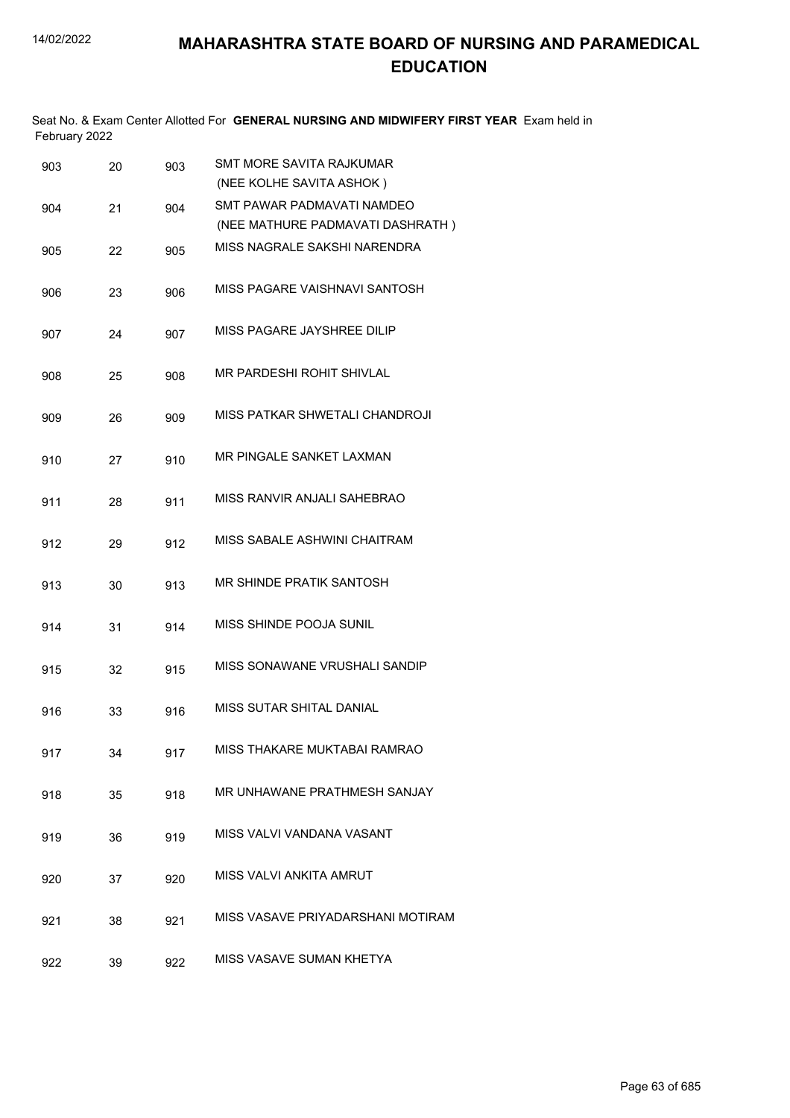| February 2022 |    |     | Seat No. & Exam Center Allotted For GENERAL NURSING AND MIDWIFERY FIRST YEAR Exam held in |
|---------------|----|-----|-------------------------------------------------------------------------------------------|
| 903           | 20 | 903 | SMT MORE SAVITA RAJKUMAR<br>(NEE KOLHE SAVITA ASHOK)                                      |
| 904           | 21 | 904 | SMT PAWAR PADMAVATI NAMDEO<br>(NEE MATHURE PADMAVATI DASHRATH)                            |
| 905           | 22 | 905 | MISS NAGRALE SAKSHI NARENDRA                                                              |
| 906           | 23 | 906 | MISS PAGARE VAISHNAVI SANTOSH                                                             |
| 907           | 24 | 907 | MISS PAGARE JAYSHREE DILIP                                                                |
| 908           | 25 | 908 | MR PARDESHI ROHIT SHIVLAL                                                                 |
| 909           | 26 | 909 | MISS PATKAR SHWETALI CHANDROJI                                                            |
| 910           | 27 | 910 | MR PINGALE SANKET LAXMAN                                                                  |
| 911           | 28 | 911 | MISS RANVIR ANJALI SAHEBRAO                                                               |
| 912           | 29 | 912 | MISS SABALE ASHWINI CHAITRAM                                                              |
| 913           | 30 | 913 | MR SHINDE PRATIK SANTOSH                                                                  |
| 914           | 31 | 914 | MISS SHINDE POOJA SUNIL                                                                   |
| 915           | 32 | 915 | MISS SONAWANE VRUSHALI SANDIP                                                             |
| 916           | 33 | 916 | MISS SUTAR SHITAL DANIAL                                                                  |
| 917           | 34 | 917 | MISS THAKARE MUKTABAI RAMRAO                                                              |
| 918           | 35 | 918 | MR UNHAWANE PRATHMESH SANJAY                                                              |
| 919           | 36 | 919 | MISS VALVI VANDANA VASANT                                                                 |
| 920           | 37 | 920 | MISS VALVI ANKITA AMRUT                                                                   |

- 921 38 921 MISS VASAVE PRIYADARSHANI MOTIRAM
- 922 39 922 MISS VASAVE SUMAN KHETYA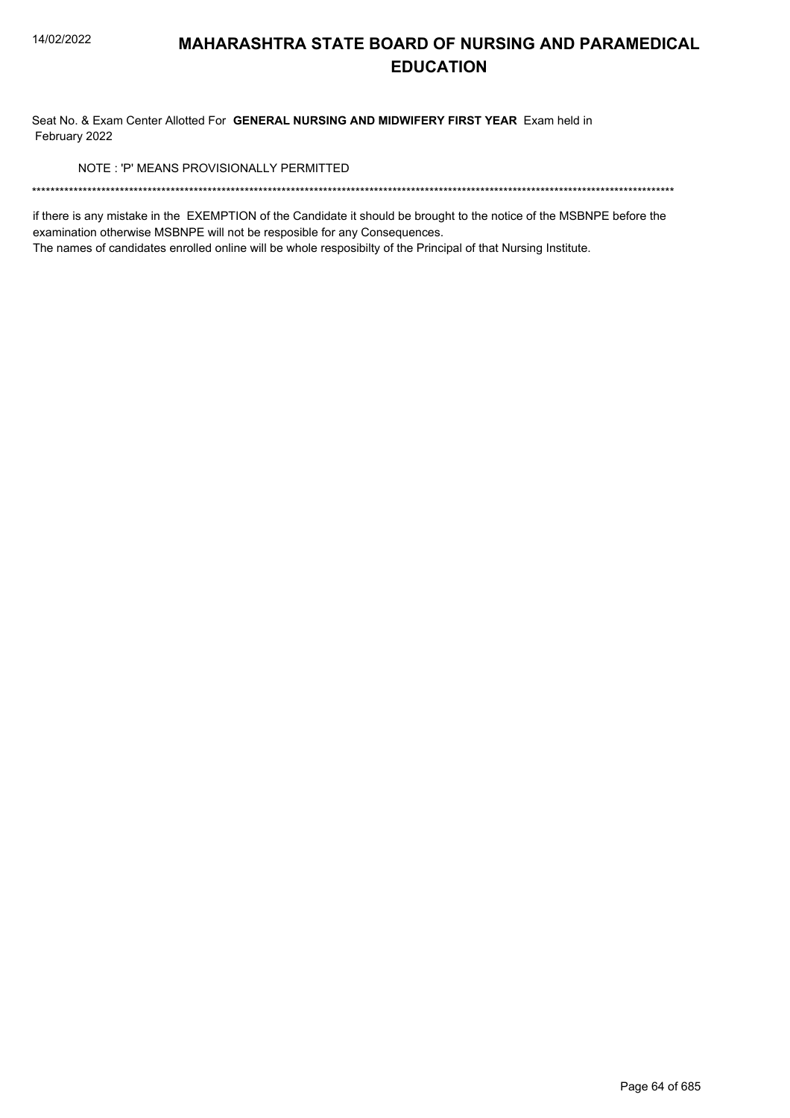Seat No. & Exam Center Allotted For GENERAL NURSING AND MIDWIFERY FIRST YEAR Exam held in February 2022

NOTE: 'P' MEANS PROVISIONALLY PERMITTED

if there is any mistake in the EXEMPTION of the Candidate it should be brought to the notice of the MSBNPE before the examination otherwise MSBNPE will not be resposible for any Consequences.

The names of candidates enrolled online will be whole resposibilty of the Principal of that Nursing Institute.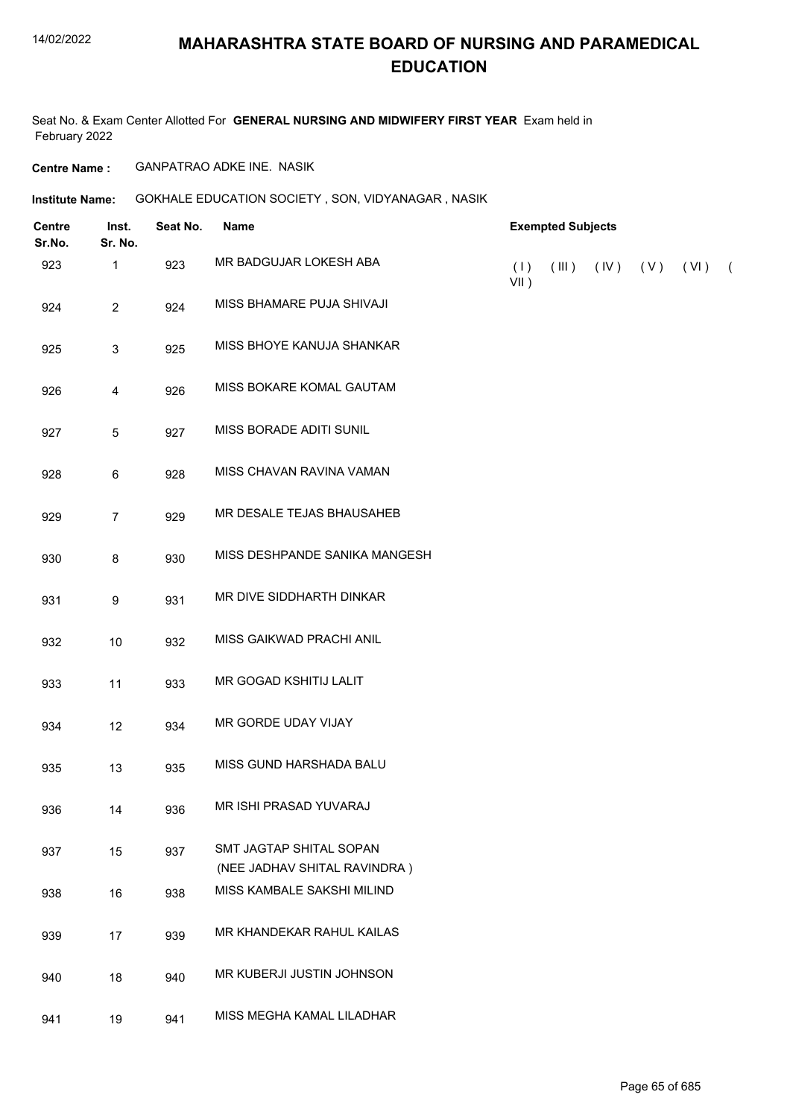# **MAHARASHTRA STATE BOARD OF NURSING AND PARAMEDICAL EDUCATION**

Seat No. & Exam Center Allotted For **GENERAL NURSING AND MIDWIFERY FIRST YEAR** Exam held in February 2022

**Centre Name :** GANPATRAO ADKE INE. NASIK

**Institute Name: GOKHALE EDUCATION SOCIETY , SON, VIDYANAGAR , NASIK** 

| <b>Centre</b><br>Sr.No. | Inst.<br>Sr. No. | Seat No. | <b>Name</b>                                                | <b>Exempted Subjects</b> |       |            |     |      |          |
|-------------------------|------------------|----------|------------------------------------------------------------|--------------------------|-------|------------|-----|------|----------|
| 923                     | 1                | 923      | MR BADGUJAR LOKESH ABA                                     | (1)<br>$VII$ )           | (III) | $($ IV $)$ | (V) | (VI) | $\left($ |
| 924                     | $\overline{c}$   | 924      | MISS BHAMARE PUJA SHIVAJI                                  |                          |       |            |     |      |          |
| 925                     | $\sqrt{3}$       | 925      | MISS BHOYE KANUJA SHANKAR                                  |                          |       |            |     |      |          |
| 926                     | $\overline{4}$   | 926      | MISS BOKARE KOMAL GAUTAM                                   |                          |       |            |     |      |          |
| 927                     | 5                | 927      | MISS BORADE ADITI SUNIL                                    |                          |       |            |     |      |          |
| 928                     | $\,6\,$          | 928      | MISS CHAVAN RAVINA VAMAN                                   |                          |       |            |     |      |          |
| 929                     | $\overline{7}$   | 929      | MR DESALE TEJAS BHAUSAHEB                                  |                          |       |            |     |      |          |
| 930                     | $\bf 8$          | 930      | MISS DESHPANDE SANIKA MANGESH                              |                          |       |            |     |      |          |
| 931                     | 9                | 931      | MR DIVE SIDDHARTH DINKAR                                   |                          |       |            |     |      |          |
| 932                     | $10$             | 932      | MISS GAIKWAD PRACHI ANIL                                   |                          |       |            |     |      |          |
| 933                     | 11               | 933      | MR GOGAD KSHITIJ LALIT                                     |                          |       |            |     |      |          |
| 934                     | 12               | 934      | MR GORDE UDAY VIJAY                                        |                          |       |            |     |      |          |
| 935                     | 13               | 935      | MISS GUND HARSHADA BALU                                    |                          |       |            |     |      |          |
| 936                     | 14               | 936      | MR ISHI PRASAD YUVARAJ                                     |                          |       |            |     |      |          |
| 937                     | 15               | 937      | SMT JAGTAP SHITAL SOPAN                                    |                          |       |            |     |      |          |
| 938                     | 16               | 938      | (NEE JADHAV SHITAL RAVINDRA)<br>MISS KAMBALE SAKSHI MILIND |                          |       |            |     |      |          |
| 939                     | 17               | 939      | MR KHANDEKAR RAHUL KAILAS                                  |                          |       |            |     |      |          |
| 940                     | 18               | 940      | MR KUBERJI JUSTIN JOHNSON                                  |                          |       |            |     |      |          |
| 941                     | 19               | 941      | MISS MEGHA KAMAL LILADHAR                                  |                          |       |            |     |      |          |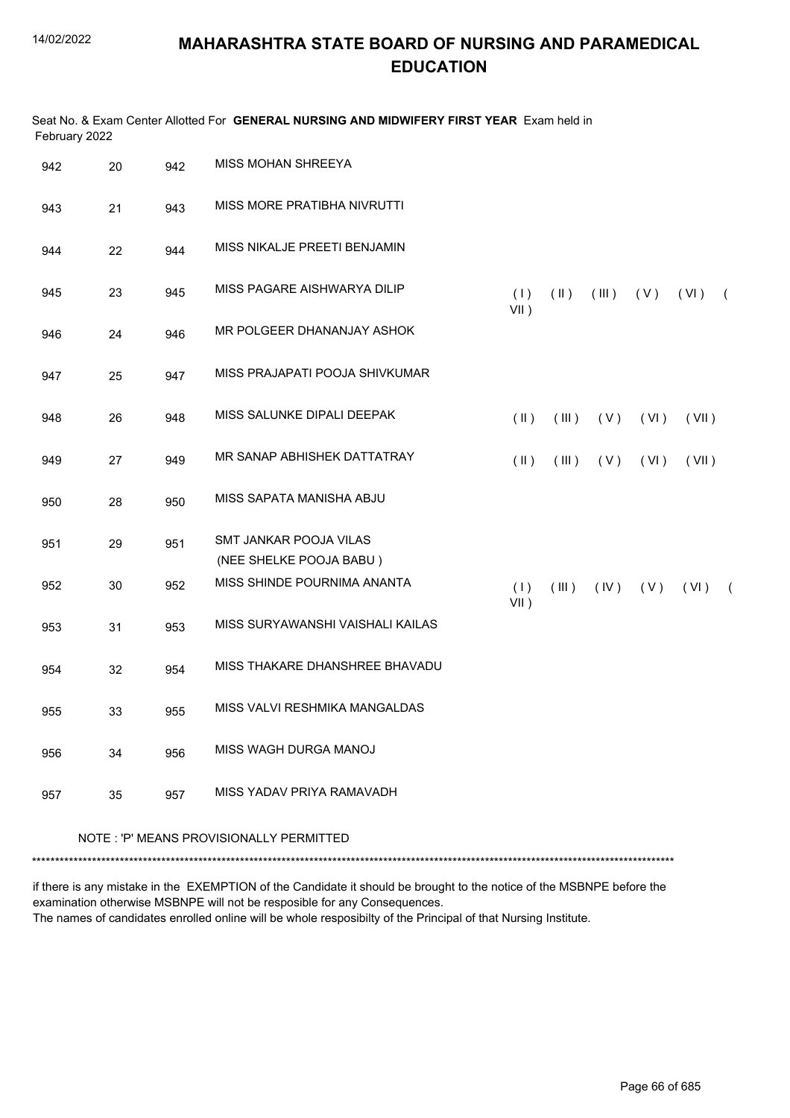| February 2022 |    |     | Seat No. & Exam Center Allotted For GENERAL NURSING AND MIDWIFERY FIRST YEAR Exam held in |                |               |            |       |       |            |
|---------------|----|-----|-------------------------------------------------------------------------------------------|----------------|---------------|------------|-------|-------|------------|
| 942           | 20 | 942 | MISS MOHAN SHREEYA                                                                        |                |               |            |       |       |            |
| 943           | 21 | 943 | MISS MORE PRATIBHA NIVRUTTI                                                               |                |               |            |       |       |            |
| 944           | 22 | 944 | MISS NIKALJE PREETI BENJAMIN                                                              |                |               |            |       |       |            |
| 945           | 23 | 945 | MISS PAGARE AISHWARYA DILIP                                                               | (1)<br>$VII$ ) | $(\parallel)$ | (III)      | ( V ) | (VI)  | $\sqrt{2}$ |
| 946           | 24 | 946 | MR POLGEER DHANANJAY ASHOK                                                                |                |               |            |       |       |            |
| 947           | 25 | 947 | MISS PRAJAPATI POOJA SHIVKUMAR                                                            |                |               |            |       |       |            |
| 948           | 26 | 948 | MISS SALUNKE DIPALI DEEPAK                                                                | $(\parallel)$  | (III)         | (V)        | (VI)  | (VII) |            |
| 949           | 27 | 949 | MR SANAP ABHISHEK DATTATRAY                                                               | $(\parallel)$  | (III)         | (V)        | (VI)  | (VII) |            |
| 950           | 28 | 950 | MISS SAPATA MANISHA ABJU                                                                  |                |               |            |       |       |            |
| 951           | 29 | 951 | SMT JANKAR POOJA VILAS<br>(NEE SHELKE POOJA BABU)                                         |                |               |            |       |       |            |
| 952           | 30 | 952 | MISS SHINDE POURNIMA ANANTA                                                               | (1)<br>$VII$ ) | (III)         | $($ IV $)$ | (V)   | (VI)  | $\sqrt{2}$ |
| 953           | 31 | 953 | MISS SURYAWANSHI VAISHALI KAILAS                                                          |                |               |            |       |       |            |
| 954           | 32 | 954 | MISS THAKARE DHANSHREE BHAVADU                                                            |                |               |            |       |       |            |
| 955           | 33 | 955 | MISS VALVI RESHMIKA MANGALDAS                                                             |                |               |            |       |       |            |
| 956           | 34 | 956 | MISS WAGH DURGA MANOJ                                                                     |                |               |            |       |       |            |
| 957           | 35 | 957 | MISS YADAV PRIYA RAMAVADH                                                                 |                |               |            |       |       |            |
|               |    |     | NOTE: 'P' MEANS PROVISIONALLY PERMITTED                                                   |                |               |            |       |       |            |

\*\*\*\*\*\*\*\*\*\*\*\*\*\*\*\*\*\*\*\*\*\*\*\*\*\*\*\*\*\*\*\*\*\*\*\*\*\*\*\*\*\*\*\*\*\*\*\*\*\*\*\*\*\*\*\*\*\*\*\*\*\*\*\*\*\*\*\*\*\*\*\*\*\*\*\*\*\*\*\*\*\*\*\*\*\*\*\*\*\*\*\*\*\*\*\*\*\*\*\*\*\*\*\*\*\*\*\*\*\*\*\*\*\*\*\*\*\*\*\*\*\*\*\*\*\*\*\*\*\*\*\*\*\*\*\*\*\*\*

if there is any mistake in the EXEMPTION of the Candidate it should be brought to the notice of the MSBNPE before the examination otherwise MSBNPE will not be resposible for any Consequences.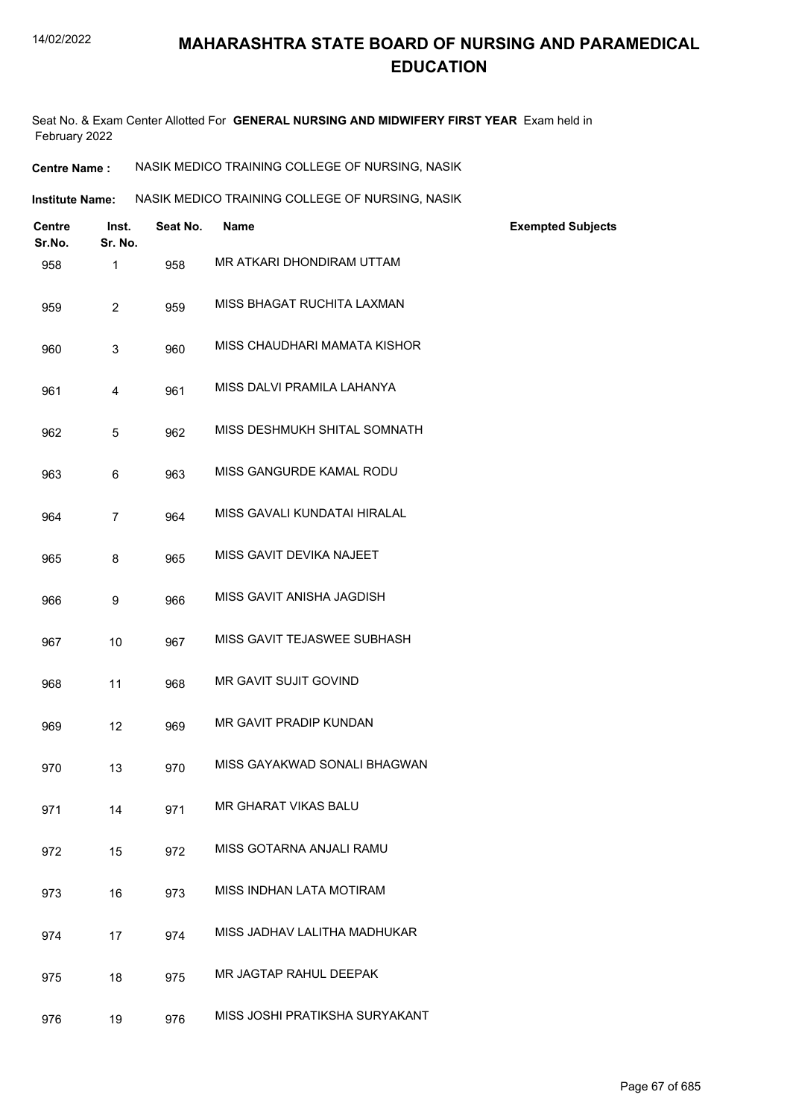Seat No. & Exam Center Allotted For **GENERAL NURSING AND MIDWIFERY FIRST YEAR** Exam held in February 2022

| <b>Centre Name :</b> | NASIK MEDICO TRAINING COLLEGE OF NURSING, NASIK |  |
|----------------------|-------------------------------------------------|--|
|----------------------|-------------------------------------------------|--|

| Institute Name: | NASIK MEDICO TRAINING COLLEGE OF NURSING. NASIK |
|-----------------|-------------------------------------------------|
|                 |                                                 |

| Centre<br>Sr.No. | Inst.<br>Sr. No. | Seat No. | <b>Name</b>                    | <b>Exempted Subjects</b> |
|------------------|------------------|----------|--------------------------------|--------------------------|
| 958              | 1                | 958      | MR ATKARI DHONDIRAM UTTAM      |                          |
| 959              | $\overline{2}$   | 959      | MISS BHAGAT RUCHITA LAXMAN     |                          |
| 960              | 3                | 960      | MISS CHAUDHARI MAMATA KISHOR   |                          |
| 961              | 4                | 961      | MISS DALVI PRAMILA LAHANYA     |                          |
| 962              | 5                | 962      | MISS DESHMUKH SHITAL SOMNATH   |                          |
| 963              | 6                | 963      | MISS GANGURDE KAMAL RODU       |                          |
| 964              | $\overline{7}$   | 964      | MISS GAVALI KUNDATAI HIRALAL   |                          |
| 965              | 8                | 965      | MISS GAVIT DEVIKA NAJEET       |                          |
| 966              | 9                | 966      | MISS GAVIT ANISHA JAGDISH      |                          |
| 967              | 10               | 967      | MISS GAVIT TEJASWEE SUBHASH    |                          |
| 968              | 11               | 968      | MR GAVIT SUJIT GOVIND          |                          |
| 969              | 12               | 969      | MR GAVIT PRADIP KUNDAN         |                          |
| 970              | 13               | 970      | MISS GAYAKWAD SONALI BHAGWAN   |                          |
| 971              | 14               | 971      | <b>MR GHARAT VIKAS BALU</b>    |                          |
| 972              | 15               | 972      | MISS GOTARNA ANJALI RAMU       |                          |
| 973              | 16               | 973      | MISS INDHAN LATA MOTIRAM       |                          |
| 974              | 17               | 974      | MISS JADHAV LALITHA MADHUKAR   |                          |
| 975              | 18               | 975      | MR JAGTAP RAHUL DEEPAK         |                          |
| 976              | 19               | 976      | MISS JOSHI PRATIKSHA SURYAKANT |                          |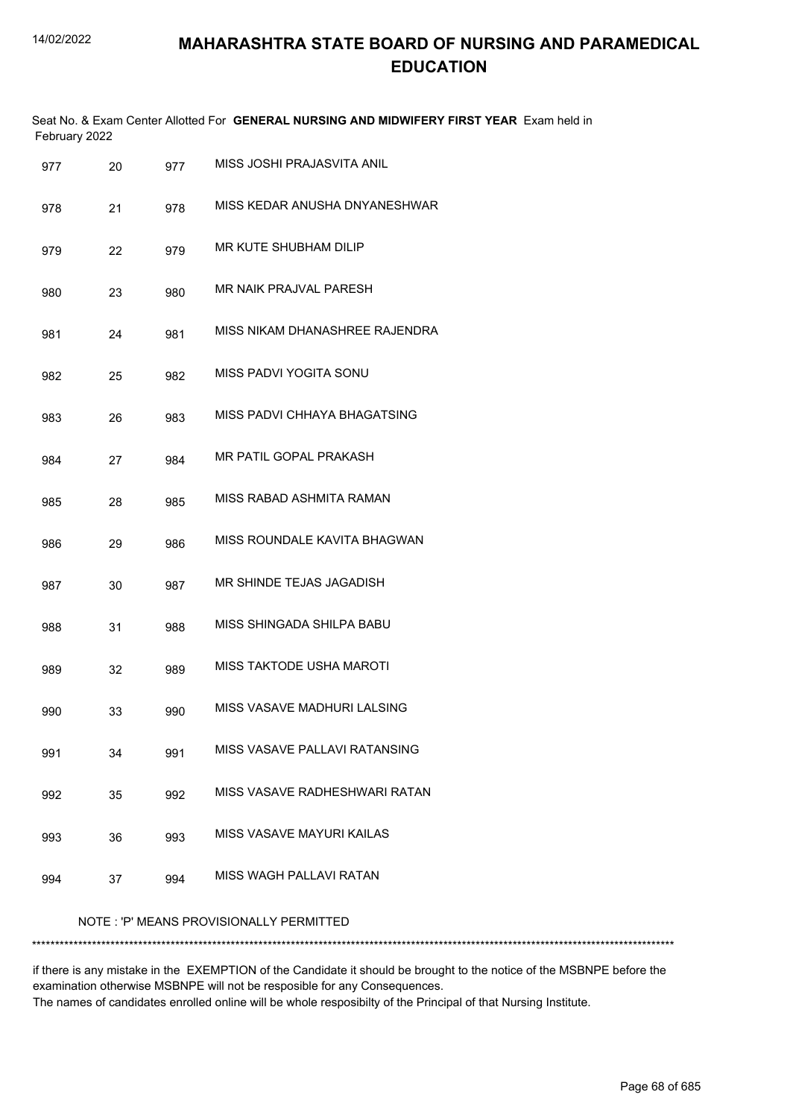|     | February 2022 |     | Seat No. & Exam Center Allotted For GENERAL NURSING AND MIDWIFERY FIRST YEAR Exam held in |
|-----|---------------|-----|-------------------------------------------------------------------------------------------|
| 977 | 20            | 977 | MISS JOSHI PRAJASVITA ANIL                                                                |
| 978 | 21            | 978 | MISS KEDAR ANUSHA DNYANESHWAR                                                             |
| 979 | 22            | 979 | MR KUTE SHUBHAM DILIP                                                                     |
| 980 | 23            | 980 | MR NAIK PRAJVAL PARESH                                                                    |
| 981 | 24            | 981 | MISS NIKAM DHANASHREE RAJENDRA                                                            |
| 982 | 25            | 982 | MISS PADVI YOGITA SONU                                                                    |
| 983 | 26            | 983 | MISS PADVI CHHAYA BHAGATSING                                                              |
| 984 | 27            | 984 | MR PATIL GOPAL PRAKASH                                                                    |
| 985 | 28            | 985 | MISS RABAD ASHMITA RAMAN                                                                  |
| 986 | 29            | 986 | MISS ROUNDALE KAVITA BHAGWAN                                                              |
| 987 | 30            | 987 | MR SHINDE TEJAS JAGADISH                                                                  |
| 988 | 31            | 988 | MISS SHINGADA SHILPA BABU                                                                 |
| 989 | 32            | 989 | MISS TAKTODE USHA MAROTI                                                                  |
| 990 | 33            | 990 | MISS VASAVE MADHURI LALSING                                                               |
| 991 | 34            | 991 | MISS VASAVE PALLAVI RATANSING                                                             |
| 992 | 35            | 992 | MISS VASAVE RADHESHWARI RATAN                                                             |
| 993 | 36            | 993 | MISS VASAVE MAYURI KAILAS                                                                 |
| 994 | 37            | 994 | MISS WAGH PALLAVI RATAN                                                                   |
|     |               |     | NOTE: 'P' MEANS PROVISIONALLY PERMITTED                                                   |
|     |               |     | **************                                                                            |

if there is any mistake in the EXEMPTION of the Candidate it should be brought to the notice of the MSBNPE before the examination otherwise MSBNPE will not be resposible for any Consequences. The names of candidates enrolled online will be whole resposibilty of the Principal of that Nursing Institute.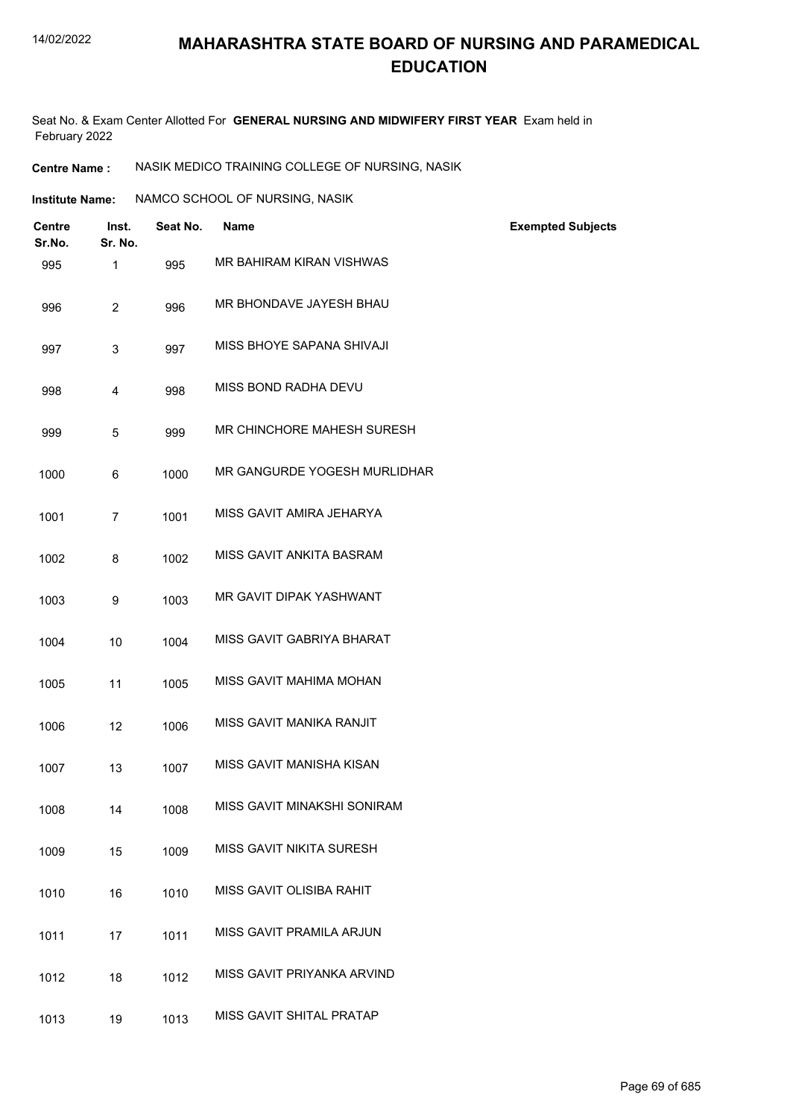Seat No. & Exam Center Allotted For **GENERAL NURSING AND MIDWIFERY FIRST YEAR** Exam held in February 2022

**Centre Name :** NASIK MEDICO TRAINING COLLEGE OF NURSING, NASIK

| Institute Name: | NAMCO SCHOOL OF NURSING, NASIK |  |
|-----------------|--------------------------------|--|

| <b>Centre</b><br>Sr.No. | Inst.<br>Sr. No. | Seat No. | <b>Name</b>                  | <b>Exempted Subjects</b> |
|-------------------------|------------------|----------|------------------------------|--------------------------|
| 995                     | 1                | 995      | MR BAHIRAM KIRAN VISHWAS     |                          |
| 996                     | $\overline{2}$   | 996      | MR BHONDAVE JAYESH BHAU      |                          |
| 997                     | 3                | 997      | MISS BHOYE SAPANA SHIVAJI    |                          |
| 998                     | 4                | 998      | MISS BOND RADHA DEVU         |                          |
| 999                     | 5                | 999      | MR CHINCHORE MAHESH SURESH   |                          |
| 1000                    | 6                | 1000     | MR GANGURDE YOGESH MURLIDHAR |                          |
| 1001                    | $\overline{7}$   | 1001     | MISS GAVIT AMIRA JEHARYA     |                          |
| 1002                    | 8                | 1002     | MISS GAVIT ANKITA BASRAM     |                          |
| 1003                    | 9                | 1003     | MR GAVIT DIPAK YASHWANT      |                          |
| 1004                    | 10               | 1004     | MISS GAVIT GABRIYA BHARAT    |                          |
| 1005                    | 11               | 1005     | MISS GAVIT MAHIMA MOHAN      |                          |
| 1006                    | 12               | 1006     | MISS GAVIT MANIKA RANJIT     |                          |
| 1007                    | 13               | 1007     | MISS GAVIT MANISHA KISAN     |                          |
| 1008                    | 14               | 1008     | MISS GAVIT MINAKSHI SONIRAM  |                          |
| 1009                    | 15               | 1009     | MISS GAVIT NIKITA SURESH     |                          |
| 1010                    | 16               | 1010     | MISS GAVIT OLISIBA RAHIT     |                          |
| 1011                    | 17               | 1011     | MISS GAVIT PRAMILA ARJUN     |                          |
| 1012                    | 18               | 1012     | MISS GAVIT PRIYANKA ARVIND   |                          |
| 1013                    | 19               | 1013     | MISS GAVIT SHITAL PRATAP     |                          |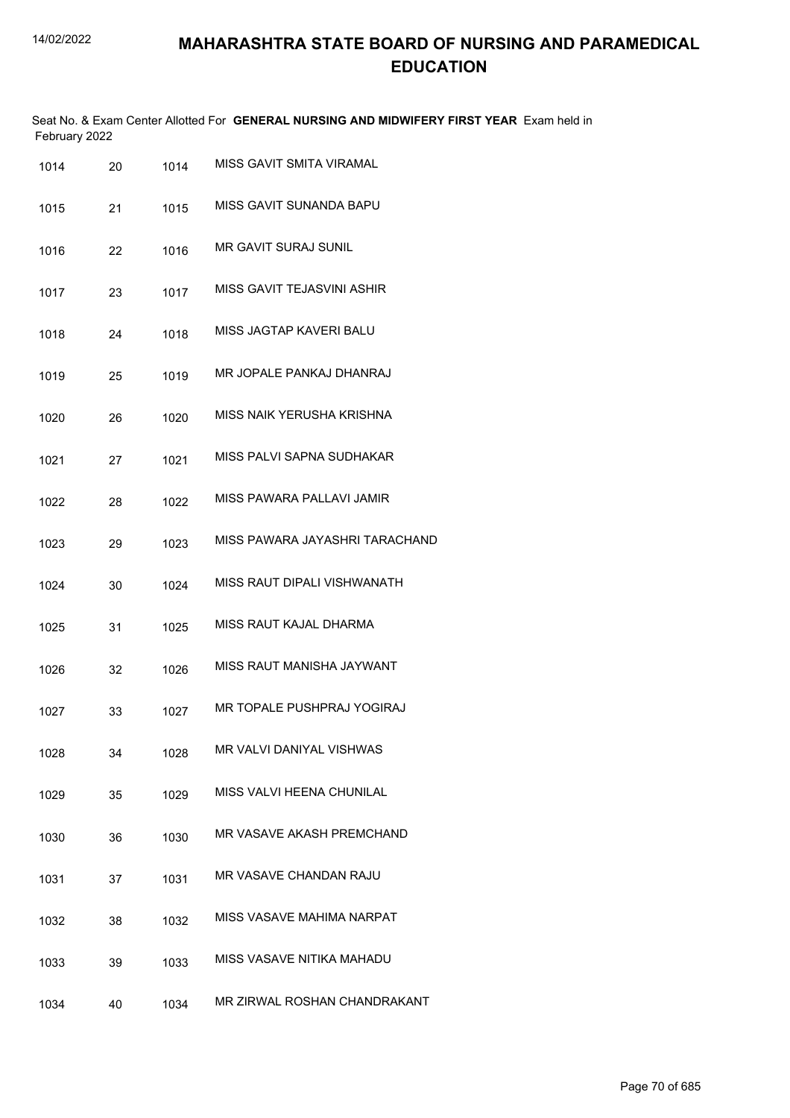|               | Seat No. & Exam Center Allotted For GENERAL NURSING AND MIDWIFERY FIRST YEAR Exam held in |  |
|---------------|-------------------------------------------------------------------------------------------|--|
| February 2022 |                                                                                           |  |

| 1014 | 20 | 1014 | <b>MISS GAVIT SMITA VIRAMAL</b> |
|------|----|------|---------------------------------|
| 1015 | 21 | 1015 | MISS GAVIT SUNANDA BAPU         |
| 1016 | 22 | 1016 | <b>MR GAVIT SURAJ SUNIL</b>     |
| 1017 | 23 | 1017 | MISS GAVIT TEJASVINI ASHIR      |
| 1018 | 24 | 1018 | MISS JAGTAP KAVERI BALU         |
| 1019 | 25 | 1019 | MR JOPALE PANKAJ DHANRAJ        |
| 1020 | 26 | 1020 | MISS NAIK YERUSHA KRISHNA       |
| 1021 | 27 | 1021 | MISS PALVI SAPNA SUDHAKAR       |
| 1022 | 28 | 1022 | MISS PAWARA PALLAVI JAMIR       |
| 1023 | 29 | 1023 | MISS PAWARA JAYASHRI TARACHAND  |
| 1024 | 30 | 1024 | MISS RAUT DIPALI VISHWANATH     |
| 1025 | 31 | 1025 | MISS RAUT KAJAL DHARMA          |
| 1026 | 32 | 1026 | MISS RAUT MANISHA JAYWANT       |
| 1027 | 33 | 1027 | MR TOPALE PUSHPRAJ YOGIRAJ      |
| 1028 | 34 | 1028 | MR VALVI DANIYAL VISHWAS        |
| 1029 | 35 | 1029 | MISS VALVI HEENA CHUNILAL       |
| 1030 | 36 | 1030 | MR VASAVE AKASH PREMCHAND       |
| 1031 | 37 | 1031 | MR VASAVE CHANDAN RAJU          |
| 1032 | 38 | 1032 | MISS VASAVE MAHIMA NARPAT       |
| 1033 | 39 | 1033 | MISS VASAVE NITIKA MAHADU       |
| 1034 | 40 | 1034 | MR ZIRWAL ROSHAN CHANDRAKANT    |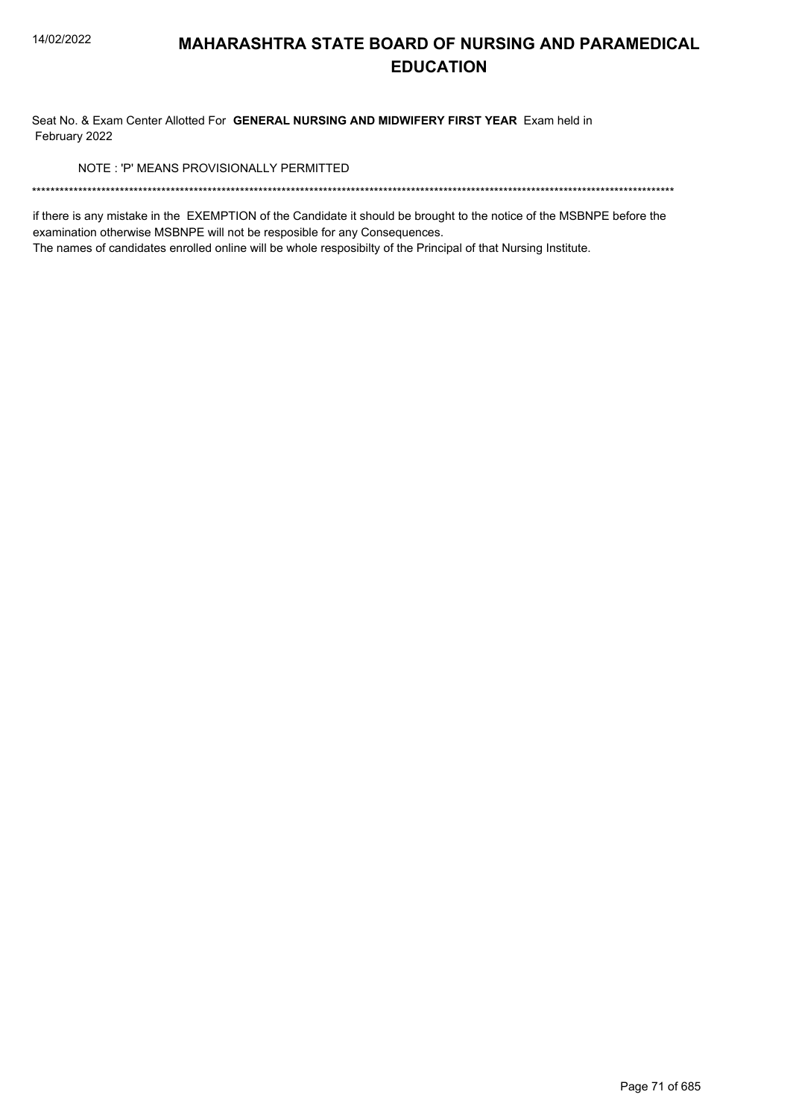Seat No. & Exam Center Allotted For GENERAL NURSING AND MIDWIFERY FIRST YEAR Exam held in February 2022

NOTE: 'P' MEANS PROVISIONALLY PERMITTED

if there is any mistake in the EXEMPTION of the Candidate it should be brought to the notice of the MSBNPE before the examination otherwise MSBNPE will not be resposible for any Consequences.

The names of candidates enrolled online will be whole resposibilty of the Principal of that Nursing Institute.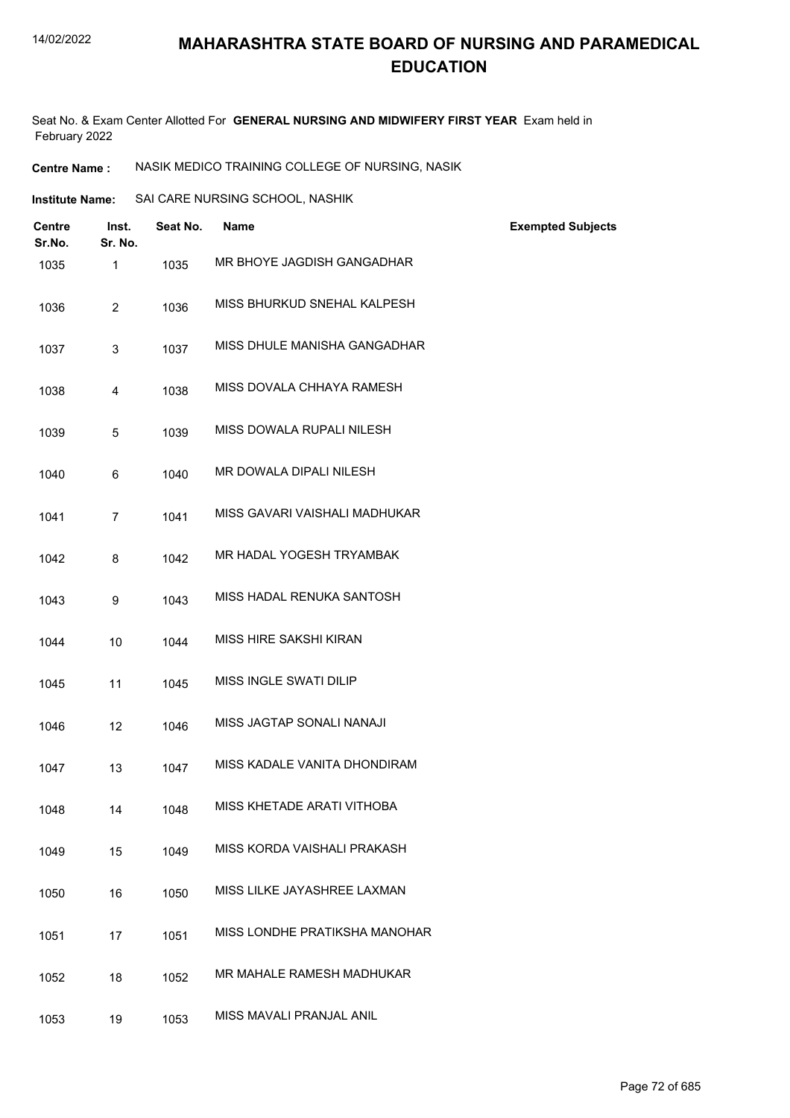Seat No. & Exam Center Allotted For **GENERAL NURSING AND MIDWIFERY FIRST YEAR** Exam held in February 2022

**Centre Name :** NASIK MEDICO TRAINING COLLEGE OF NURSING, NASIK

| Institute Name: | SAI CARE NURSING SCHOOL, NASHIK |  |
|-----------------|---------------------------------|--|
|                 |                                 |  |

| <b>Centre</b><br>Sr.No. | Inst.<br>Sr. No. | Seat No. | <b>Name</b>                   | <b>Exempted Subjects</b> |
|-------------------------|------------------|----------|-------------------------------|--------------------------|
| 1035                    | 1                | 1035     | MR BHOYE JAGDISH GANGADHAR    |                          |
| 1036                    | $\overline{2}$   | 1036     | MISS BHURKUD SNEHAL KALPESH   |                          |
| 1037                    | 3                | 1037     | MISS DHULE MANISHA GANGADHAR  |                          |
| 1038                    | 4                | 1038     | MISS DOVALA CHHAYA RAMESH     |                          |
| 1039                    | 5                | 1039     | MISS DOWALA RUPALI NILESH     |                          |
| 1040                    | 6                | 1040     | MR DOWALA DIPALI NILESH       |                          |
| 1041                    | $\overline{7}$   | 1041     | MISS GAVARI VAISHALI MADHUKAR |                          |
| 1042                    | 8                | 1042     | MR HADAL YOGESH TRYAMBAK      |                          |
| 1043                    | 9                | 1043     | MISS HADAL RENUKA SANTOSH     |                          |
| 1044                    | 10               | 1044     | MISS HIRE SAKSHI KIRAN        |                          |
| 1045                    | 11               | 1045     | MISS INGLE SWATI DILIP        |                          |
| 1046                    | 12               | 1046     | MISS JAGTAP SONALI NANAJI     |                          |
| 1047                    | 13               | 1047     | MISS KADALE VANITA DHONDIRAM  |                          |
| 1048                    | 14               | 1048     | MISS KHETADE ARATI VITHOBA    |                          |
| 1049                    | 15               | 1049     | MISS KORDA VAISHALI PRAKASH   |                          |
| 1050                    | 16               | 1050     | MISS LILKE JAYASHREE LAXMAN   |                          |
| 1051                    | 17               | 1051     | MISS LONDHE PRATIKSHA MANOHAR |                          |
| 1052                    | 18               | 1052     | MR MAHALE RAMESH MADHUKAR     |                          |
| 1053                    | 19               | 1053     | MISS MAVALI PRANJAL ANIL      |                          |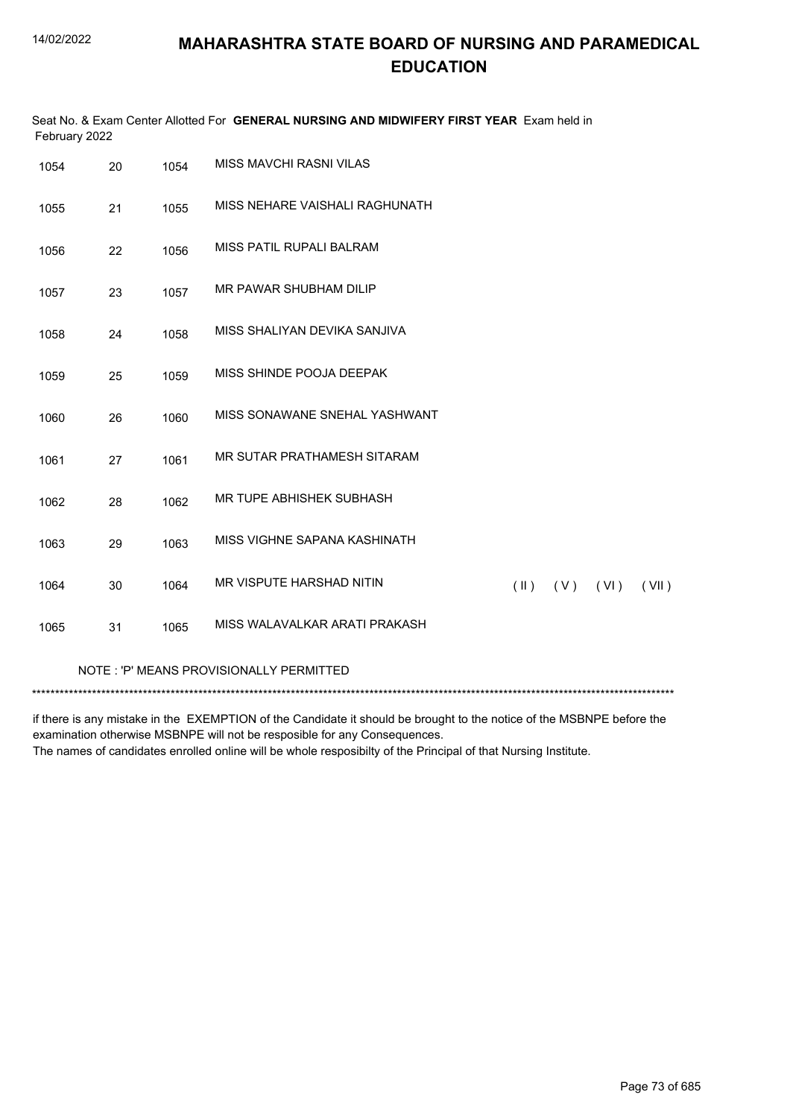| Seat No. & Exam Center Allotted For GENERAL NURSING AND MIDWIFERY FIRST YEAR Exam held in<br>February 2022 |    |      |                                |               |     |      |       |
|------------------------------------------------------------------------------------------------------------|----|------|--------------------------------|---------------|-----|------|-------|
| 1054                                                                                                       | 20 | 1054 | MISS MAVCHI RASNI VILAS        |               |     |      |       |
| 1055                                                                                                       | 21 | 1055 | MISS NEHARE VAISHALI RAGHUNATH |               |     |      |       |
| 1056                                                                                                       | 22 | 1056 | MISS PATIL RUPALI BALRAM       |               |     |      |       |
| 1057                                                                                                       | 23 | 1057 | MR PAWAR SHUBHAM DILIP         |               |     |      |       |
| 1058                                                                                                       | 24 | 1058 | MISS SHALIYAN DEVIKA SANJIVA   |               |     |      |       |
| 1059                                                                                                       | 25 | 1059 | MISS SHINDE POOJA DEEPAK       |               |     |      |       |
| 1060                                                                                                       | 26 | 1060 | MISS SONAWANE SNEHAL YASHWANT  |               |     |      |       |
| 1061                                                                                                       | 27 | 1061 | MR SUTAR PRATHAMESH SITARAM    |               |     |      |       |
| 1062                                                                                                       | 28 | 1062 | MR TUPE ABHISHEK SUBHASH       |               |     |      |       |
| 1063                                                                                                       | 29 | 1063 | MISS VIGHNE SAPANA KASHINATH   |               |     |      |       |
| 1064                                                                                                       | 30 | 1064 | MR VISPUTE HARSHAD NITIN       | $(\parallel)$ | (V) | (VI) | (VII) |
| 1065                                                                                                       | 31 | 1065 | MISS WALAVALKAR ARATI PRAKASH  |               |     |      |       |
| NOTE: 'P' MEANS PROVISIONALLY PERMITTED                                                                    |    |      |                                |               |     |      |       |

if there is any mistake in the EXEMPTION of the Candidate it should be brought to the notice of the MSBNPE before the examination otherwise MSBNPE will not be resposible for any Consequences. The names of candidates enrolled online will be whole resposibilty of the Principal of that Nursing Institute.

Page 73 of 685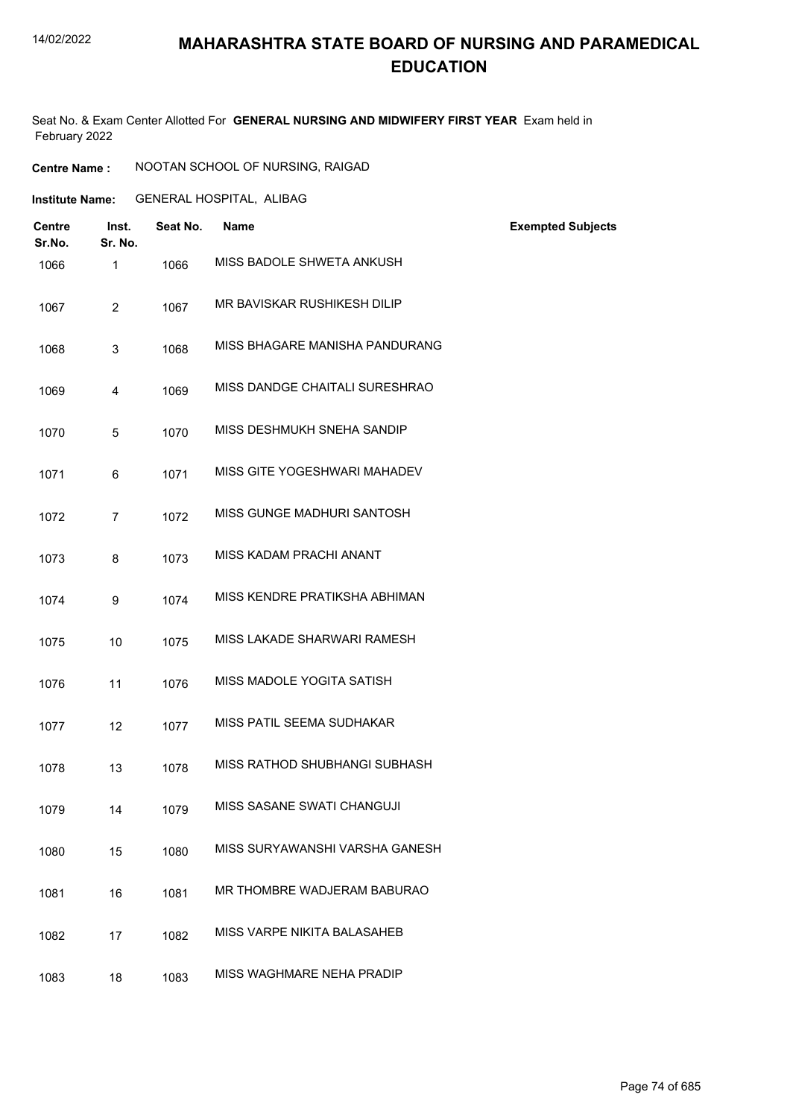#### 14/02/2022

## **MAHARASHTRA STATE BOARD OF NURSING AND PARAMEDICAL EDUCATION**

Seat No. & Exam Center Allotted For **GENERAL NURSING AND MIDWIFERY FIRST YEAR** Exam held in February 2022

| <b>Centre Name :</b> | NOOTAN SCHOOL OF NURSING, RAIGAD |  |
|----------------------|----------------------------------|--|
|----------------------|----------------------------------|--|

**Institute Name:** GENERAL HOSPITAL, ALIBAG

| <b>Centre</b><br>Sr.No. | Inst.<br>Sr. No. | Seat No. | <b>Name</b>                    | <b>Exempted Subjects</b> |
|-------------------------|------------------|----------|--------------------------------|--------------------------|
| 1066                    | 1                | 1066     | MISS BADOLE SHWETA ANKUSH      |                          |
| 1067                    | $\overline{2}$   | 1067     | MR BAVISKAR RUSHIKESH DILIP    |                          |
| 1068                    | 3                | 1068     | MISS BHAGARE MANISHA PANDURANG |                          |
| 1069                    | 4                | 1069     | MISS DANDGE CHAITALI SURESHRAO |                          |
| 1070                    | 5                | 1070     | MISS DESHMUKH SNEHA SANDIP     |                          |
| 1071                    | 6                | 1071     | MISS GITE YOGESHWARI MAHADEV   |                          |
| 1072                    | $\overline{7}$   | 1072     | MISS GUNGE MADHURI SANTOSH     |                          |
| 1073                    | 8                | 1073     | MISS KADAM PRACHI ANANT        |                          |
| 1074                    | 9                | 1074     | MISS KENDRE PRATIKSHA ABHIMAN  |                          |
| 1075                    | 10               | 1075     | MISS LAKADE SHARWARI RAMESH    |                          |
| 1076                    | 11               | 1076     | MISS MADOLE YOGITA SATISH      |                          |
| 1077                    | 12               | 1077     | MISS PATIL SEEMA SUDHAKAR      |                          |
| 1078                    | 13               | 1078     | MISS RATHOD SHUBHANGI SUBHASH  |                          |
| 1079                    | 14               | 1079     | MISS SASANE SWATI CHANGUJI     |                          |
| 1080                    | 15               | 1080     | MISS SURYAWANSHI VARSHA GANESH |                          |
| 1081                    | 16               | 1081     | MR THOMBRE WADJERAM BABURAO    |                          |
| 1082                    | 17               | 1082     | MISS VARPE NIKITA BALASAHEB    |                          |
| 1083                    | 18               | 1083     | MISS WAGHMARE NEHA PRADIP      |                          |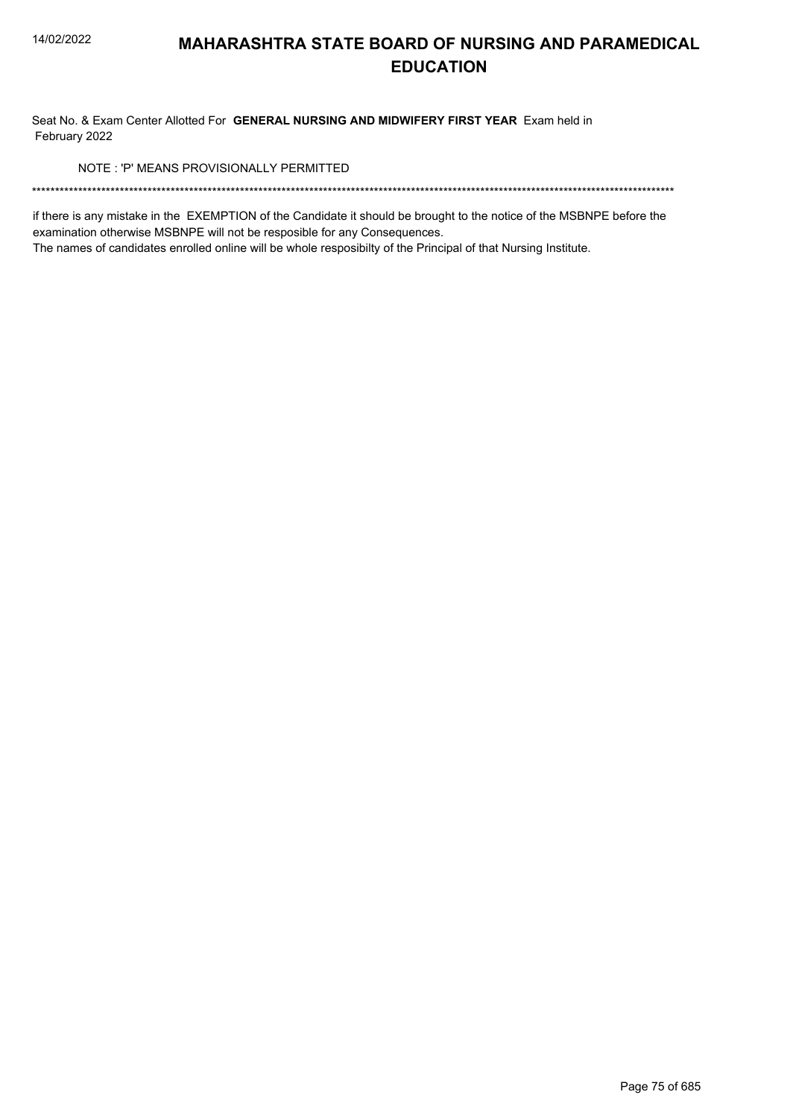Seat No. & Exam Center Allotted For GENERAL NURSING AND MIDWIFERY FIRST YEAR Exam held in February 2022

NOTE: 'P' MEANS PROVISIONALLY PERMITTED

if there is any mistake in the EXEMPTION of the Candidate it should be brought to the notice of the MSBNPE before the examination otherwise MSBNPE will not be resposible for any Consequences.

The names of candidates enrolled online will be whole resposibilty of the Principal of that Nursing Institute.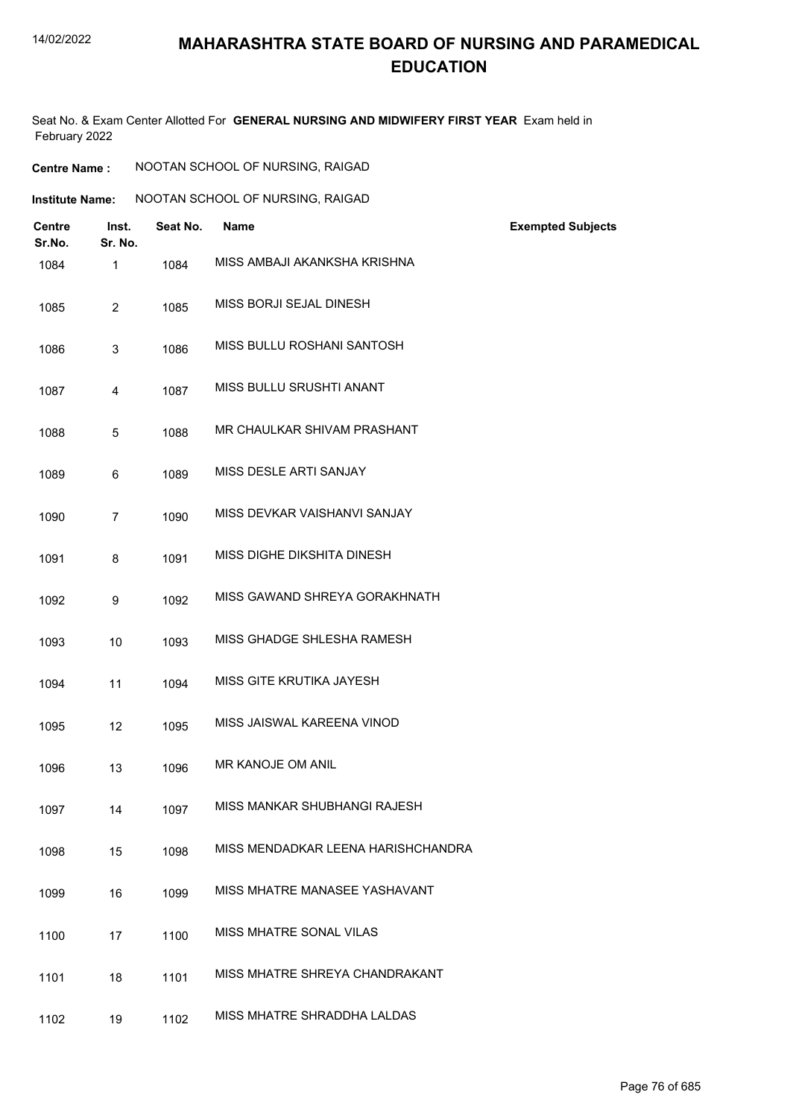#### 14/02/2022

## **MAHARASHTRA STATE BOARD OF NURSING AND PARAMEDICAL EDUCATION**

Seat No. & Exam Center Allotted For **GENERAL NURSING AND MIDWIFERY FIRST YEAR** Exam held in February 2022

| <b>Centre Name:</b>    |                  |          | NOOTAN SCHOOL OF NURSING, RAIGAD   |                          |
|------------------------|------------------|----------|------------------------------------|--------------------------|
| <b>Institute Name:</b> |                  |          | NOOTAN SCHOOL OF NURSING, RAIGAD   |                          |
| Centre<br>Sr.No.       | Inst.<br>Sr. No. | Seat No. | <b>Name</b>                        | <b>Exempted Subjects</b> |
| 1084                   | $\mathbf{1}$     | 1084     | MISS AMBAJI AKANKSHA KRISHNA       |                          |
| 1085                   | $\overline{2}$   | 1085     | MISS BORJI SEJAL DINESH            |                          |
| 1086                   | 3                | 1086     | MISS BULLU ROSHANI SANTOSH         |                          |
| 1087                   | $\overline{4}$   | 1087     | MISS BULLU SRUSHTI ANANT           |                          |
| 1088                   | 5                | 1088     | MR CHAULKAR SHIVAM PRASHANT        |                          |
| 1089                   | 6                | 1089     | MISS DESLE ARTI SANJAY             |                          |
| 1090                   | $\overline{7}$   | 1090     | MISS DEVKAR VAISHANVI SANJAY       |                          |
| 1091                   | 8                | 1091     | MISS DIGHE DIKSHITA DINESH         |                          |
| 1092                   | 9                | 1092     | MISS GAWAND SHREYA GORAKHNATH      |                          |
| 1093                   | 10               | 1093     | MISS GHADGE SHLESHA RAMESH         |                          |
| 1094                   | 11               | 1094     | MISS GITE KRUTIKA JAYESH           |                          |
| 1095                   | 12               | 1095     | MISS JAISWAL KAREENA VINOD         |                          |
| 1096                   | 13               | 1096     | MR KANOJE OM ANIL                  |                          |
| 1097                   | 14               | 1097     | MISS MANKAR SHUBHANGI RAJESH       |                          |
| 1098                   | 15               | 1098     | MISS MENDADKAR LEENA HARISHCHANDRA |                          |
| 1099                   | 16               | 1099     | MISS MHATRE MANASEE YASHAVANT      |                          |
| 1100                   | 17               | 1100     | MISS MHATRE SONAL VILAS            |                          |
| 1101                   | 18               | 1101     | MISS MHATRE SHREYA CHANDRAKANT     |                          |
| 1102                   | 19               | 1102     | MISS MHATRE SHRADDHA LALDAS        |                          |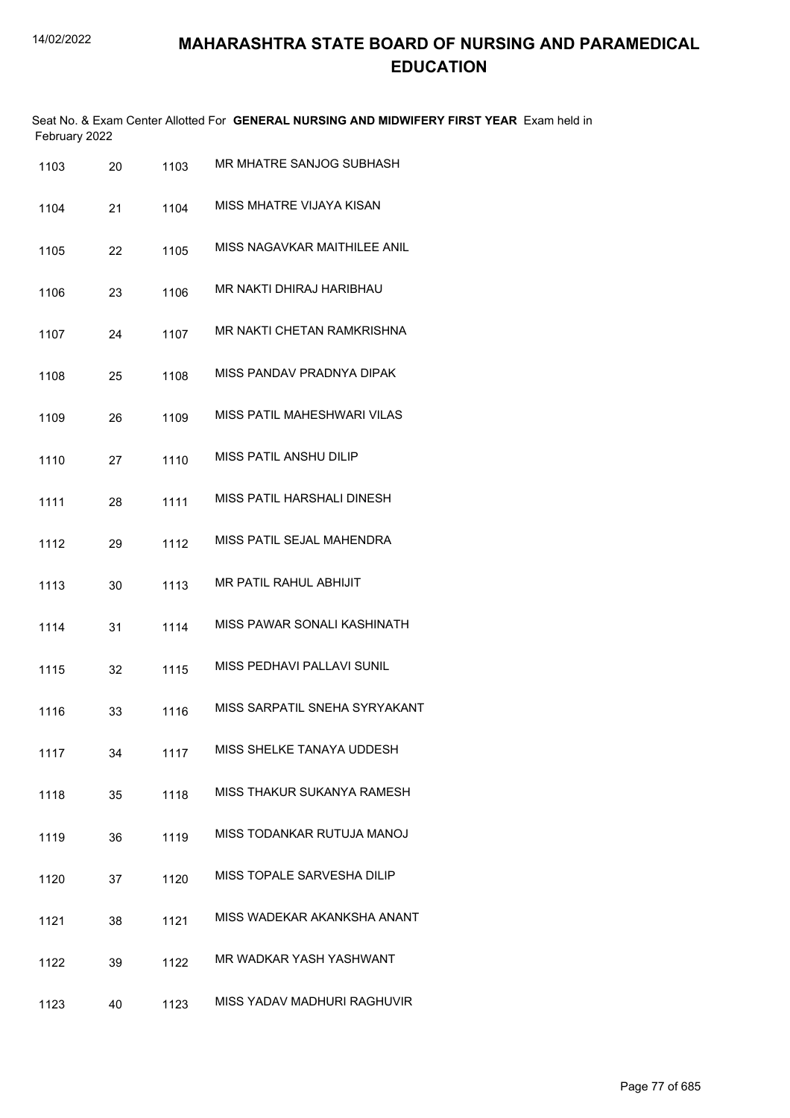|               | Seat No. & Exam Center Allotted For GENERAL NURSING AND MIDWIFERY FIRST YEAR Exam held in |  |
|---------------|-------------------------------------------------------------------------------------------|--|
| February 2022 |                                                                                           |  |

| 1103 | 20 | 1103 | MR MHATRE SANJOG SUBHASH          |
|------|----|------|-----------------------------------|
| 1104 | 21 | 1104 | MISS MHATRE VIJAYA KISAN          |
| 1105 | 22 | 1105 | MISS NAGAVKAR MAITHILEE ANIL      |
| 1106 | 23 | 1106 | MR NAKTI DHIRAJ HARIBHAU          |
| 1107 | 24 | 1107 | <b>MR NAKTI CHETAN RAMKRISHNA</b> |
| 1108 | 25 | 1108 | MISS PANDAV PRADNYA DIPAK         |
| 1109 | 26 | 1109 | MISS PATIL MAHESHWARI VILAS       |
| 1110 | 27 | 1110 | MISS PATIL ANSHU DILIP            |
| 1111 | 28 | 1111 | MISS PATIL HARSHALI DINESH        |
| 1112 | 29 | 1112 | MISS PATIL SEJAL MAHENDRA         |
| 1113 | 30 | 1113 | <b>MR PATIL RAHUL ABHIJIT</b>     |
| 1114 | 31 | 1114 | MISS PAWAR SONALI KASHINATH       |
| 1115 | 32 | 1115 | MISS PEDHAVI PALLAVI SUNIL        |
| 1116 | 33 | 1116 | MISS SARPATIL SNEHA SYRYAKANT     |
| 1117 | 34 | 1117 | MISS SHELKE TANAYA UDDESH         |
| 1118 | 35 | 1118 | MISS THAKUR SUKANYA RAMESH        |
| 1119 | 36 | 1119 | MISS TODANKAR RUTUJA MANOJ        |
| 1120 | 37 | 1120 | MISS TOPALE SARVESHA DILIP        |
| 1121 | 38 | 1121 | MISS WADEKAR AKANKSHA ANANT       |
| 1122 | 39 | 1122 | MR WADKAR YASH YASHWANT           |
| 1123 | 40 | 1123 | MISS YADAV MADHURI RAGHUVIR       |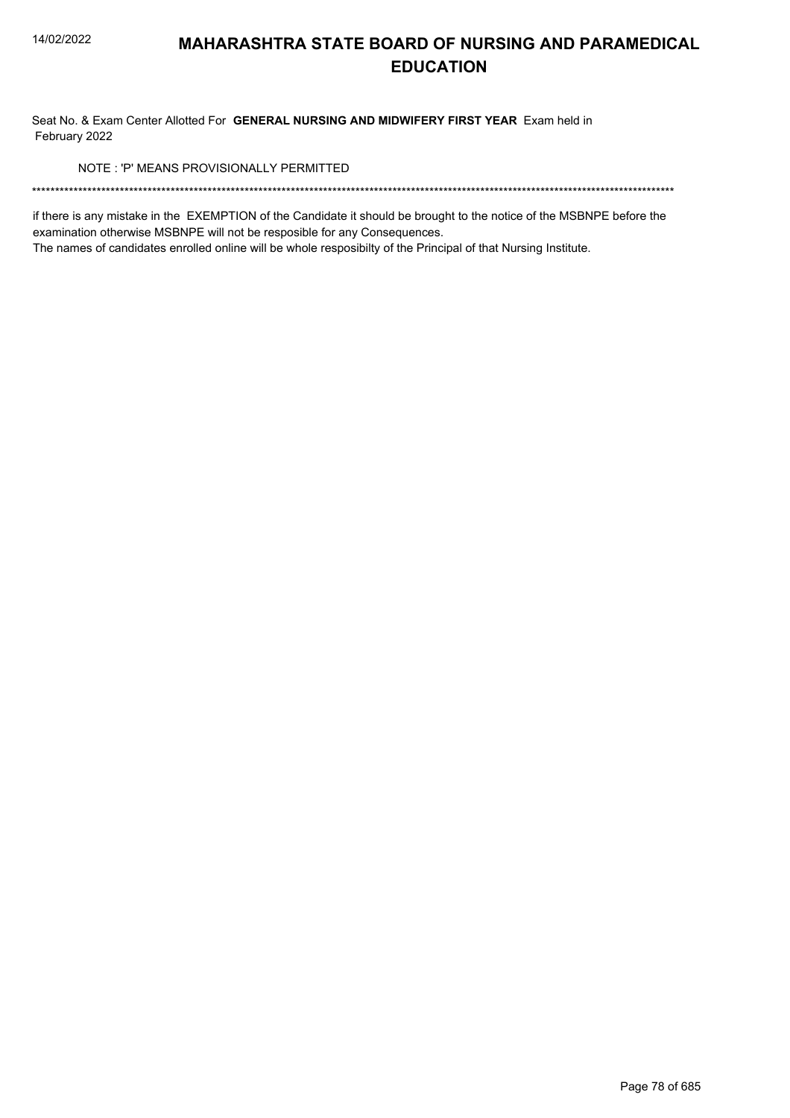Seat No. & Exam Center Allotted For GENERAL NURSING AND MIDWIFERY FIRST YEAR Exam held in February 2022

NOTE: 'P' MEANS PROVISIONALLY PERMITTED

if there is any mistake in the EXEMPTION of the Candidate it should be brought to the notice of the MSBNPE before the examination otherwise MSBNPE will not be resposible for any Consequences.

The names of candidates enrolled online will be whole resposibilty of the Principal of that Nursing Institute.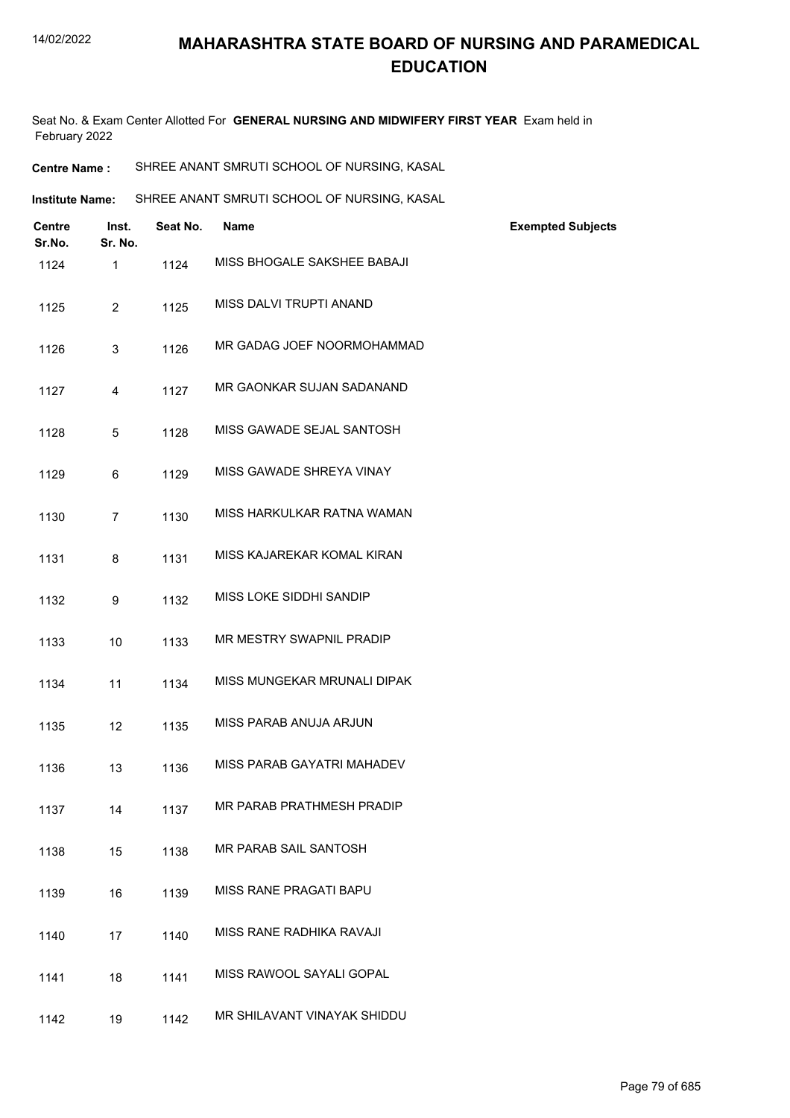Seat No. & Exam Center Allotted For **GENERAL NURSING AND MIDWIFERY FIRST YEAR** Exam held in February 2022

**Institute Name:** SHREE ANANT SMRUTI SCHOOL OF NURSING, KASAL

| <b>Centre</b><br>Sr.No. | Inst.<br>Sr. No. | Seat No. | Name                        | <b>Exempted Subjects</b> |
|-------------------------|------------------|----------|-----------------------------|--------------------------|
| 1124                    | 1                | 1124     | MISS BHOGALE SAKSHEE BABAJI |                          |
| 1125                    | $\overline{2}$   | 1125     | MISS DALVI TRUPTI ANAND     |                          |
| 1126                    | 3                | 1126     | MR GADAG JOEF NOORMOHAMMAD  |                          |
| 1127                    | 4                | 1127     | MR GAONKAR SUJAN SADANAND   |                          |
| 1128                    | 5                | 1128     | MISS GAWADE SEJAL SANTOSH   |                          |
| 1129                    | 6                | 1129     | MISS GAWADE SHREYA VINAY    |                          |
| 1130                    | $\overline{7}$   | 1130     | MISS HARKULKAR RATNA WAMAN  |                          |
| 1131                    | $\bf 8$          | 1131     | MISS KAJAREKAR KOMAL KIRAN  |                          |
| 1132                    | 9                | 1132     | MISS LOKE SIDDHI SANDIP     |                          |
| 1133                    | 10               | 1133     | MR MESTRY SWAPNIL PRADIP    |                          |
| 1134                    | 11               | 1134     | MISS MUNGEKAR MRUNALI DIPAK |                          |
| 1135                    | 12               | 1135     | MISS PARAB ANUJA ARJUN      |                          |
| 1136                    | 13               | 1136     | MISS PARAB GAYATRI MAHADEV  |                          |
| 1137                    | 14               | 1137     | MR PARAB PRATHMESH PRADIP   |                          |
| 1138                    | 15               | 1138     | MR PARAB SAIL SANTOSH       |                          |
| 1139                    | 16               | 1139     | MISS RANE PRAGATI BAPU      |                          |
| 1140                    | 17               | 1140     | MISS RANE RADHIKA RAVAJI    |                          |
| 1141                    | 18               | 1141     | MISS RAWOOL SAYALI GOPAL    |                          |
| 1142                    | 19               | 1142     | MR SHILAVANT VINAYAK SHIDDU |                          |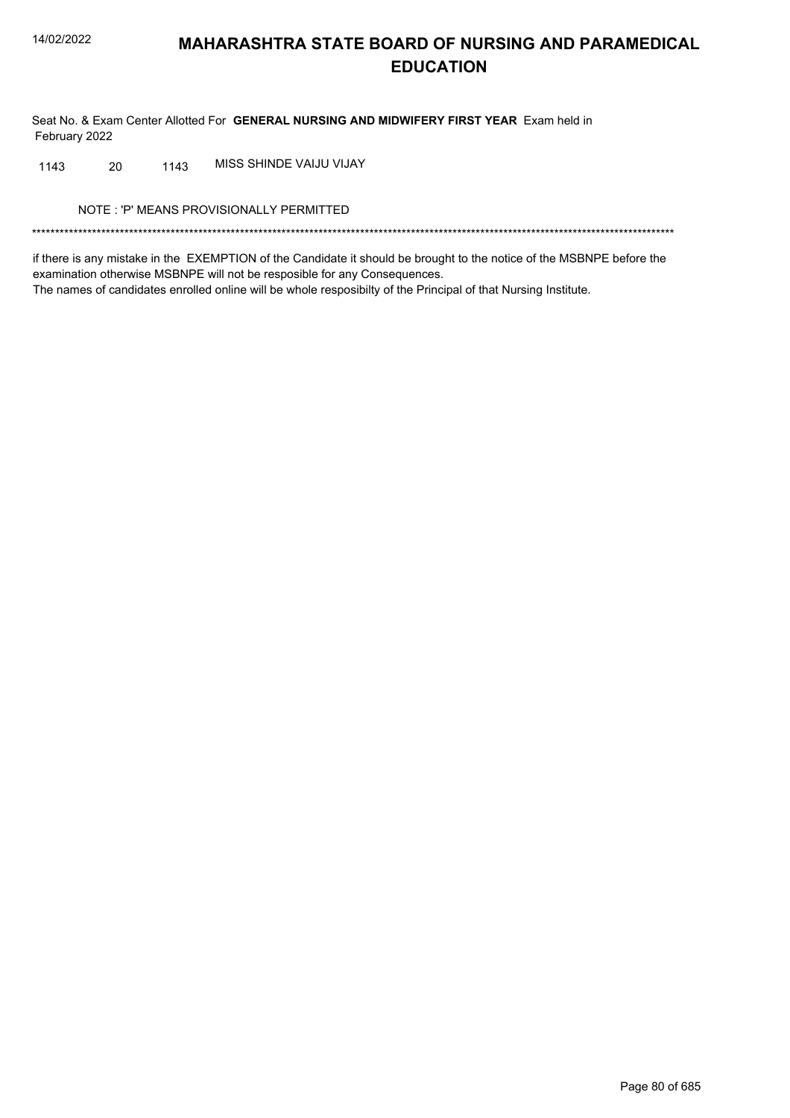Seat No. & Exam Center Allotted For GENERAL NURSING AND MIDWIFERY FIRST YEAR Exam held in February 2022

MISS SHINDE VAIJU VIJAY 20 1143 1143

NOTE: 'P' MEANS PROVISIONALLY PERMITTED

if there is any mistake in the EXEMPTION of the Candidate it should be brought to the notice of the MSBNPE before the examination otherwise MSBNPE will not be resposible for any Consequences. The names of candidates enrolled online will be whole resposibilty of the Principal of that Nursing Institute.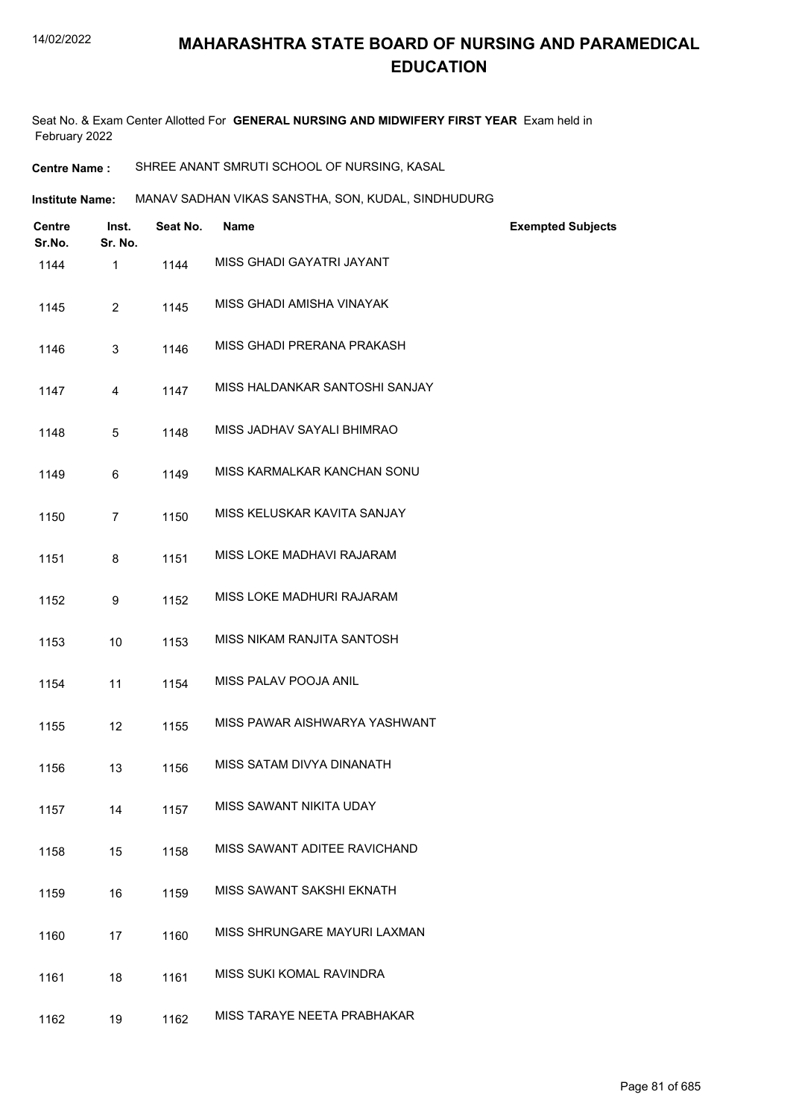Seat No. & Exam Center Allotted For **GENERAL NURSING AND MIDWIFERY FIRST YEAR** Exam held in February 2022

**Centre Name :** SHREE ANANT SMRUTI SCHOOL OF NURSING, KASAL

**Institute Name:** MANAV SADHAN VIKAS SANSTHA, SON, KUDAL, SINDHUDURG

| <b>Centre</b><br>Sr.No. | Inst.<br>Sr. No. | Seat No. | <b>Name</b>                    | <b>Exempted Subjects</b> |
|-------------------------|------------------|----------|--------------------------------|--------------------------|
| 1144                    | $\mathbf{1}$     | 1144     | MISS GHADI GAYATRI JAYANT      |                          |
| 1145                    | $\overline{2}$   | 1145     | MISS GHADI AMISHA VINAYAK      |                          |
| 1146                    | 3                | 1146     | MISS GHADI PRERANA PRAKASH     |                          |
| 1147                    | 4                | 1147     | MISS HALDANKAR SANTOSHI SANJAY |                          |
| 1148                    | $\sqrt{5}$       | 1148     | MISS JADHAV SAYALI BHIMRAO     |                          |
| 1149                    | 6                | 1149     | MISS KARMALKAR KANCHAN SONU    |                          |
| 1150                    | $\overline{7}$   | 1150     | MISS KELUSKAR KAVITA SANJAY    |                          |
| 1151                    | 8                | 1151     | MISS LOKE MADHAVI RAJARAM      |                          |
| 1152                    | 9                | 1152     | MISS LOKE MADHURI RAJARAM      |                          |
| 1153                    | 10               | 1153     | MISS NIKAM RANJITA SANTOSH     |                          |
| 1154                    | 11               | 1154     | MISS PALAV POOJA ANIL          |                          |
| 1155                    | 12               | 1155     | MISS PAWAR AISHWARYA YASHWANT  |                          |
| 1156                    | 13               | 1156     | MISS SATAM DIVYA DINANATH      |                          |
| 1157                    | 14               | 1157     | MISS SAWANT NIKITA UDAY        |                          |
| 1158                    | 15               | 1158     | MISS SAWANT ADITEE RAVICHAND   |                          |
| 1159                    | 16               | 1159     | MISS SAWANT SAKSHI EKNATH      |                          |
| 1160                    | 17               | 1160     | MISS SHRUNGARE MAYURI LAXMAN   |                          |
| 1161                    | 18               | 1161     | MISS SUKI KOMAL RAVINDRA       |                          |
| 1162                    | 19               | 1162     | MISS TARAYE NEETA PRABHAKAR    |                          |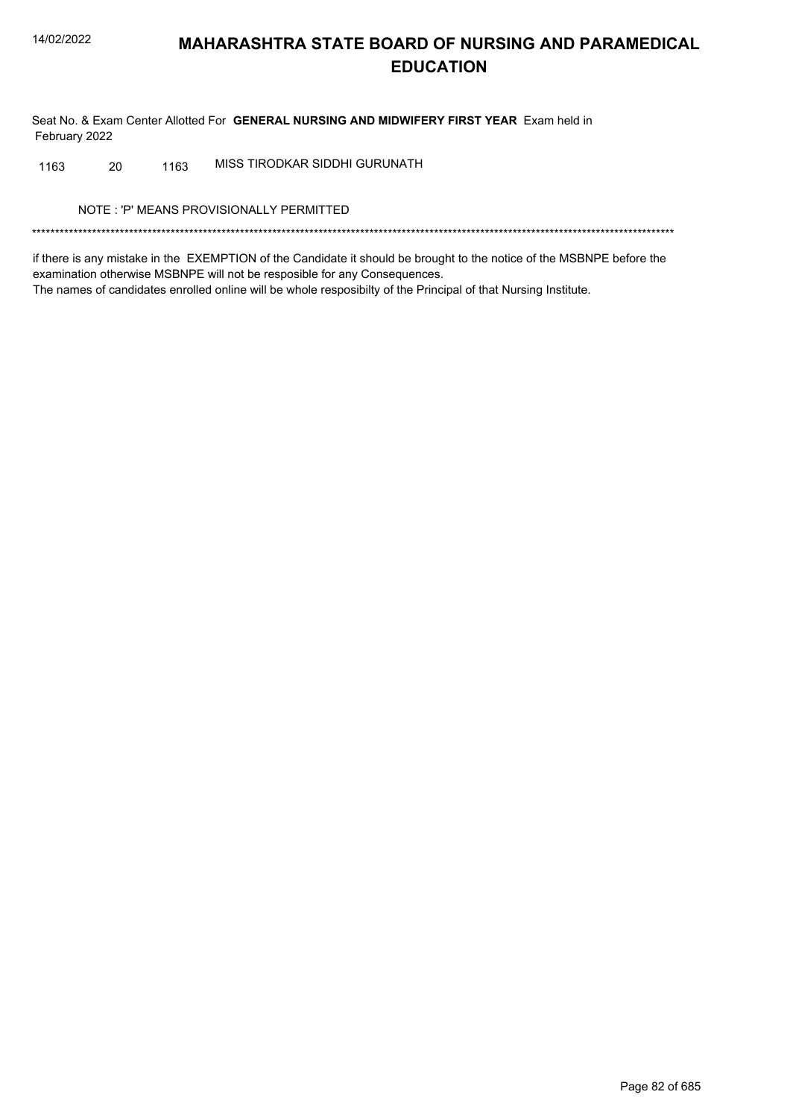Seat No. & Exam Center Allotted For GENERAL NURSING AND MIDWIFERY FIRST YEAR Exam held in February 2022

MISS TIRODKAR SIDDHI GURUNATH 20 1163 1163

NOTE: 'P' MEANS PROVISIONALLY PERMITTED

if there is any mistake in the EXEMPTION of the Candidate it should be brought to the notice of the MSBNPE before the examination otherwise MSBNPE will not be resposible for any Consequences. The names of candidates enrolled online will be whole resposibilty of the Principal of that Nursing Institute.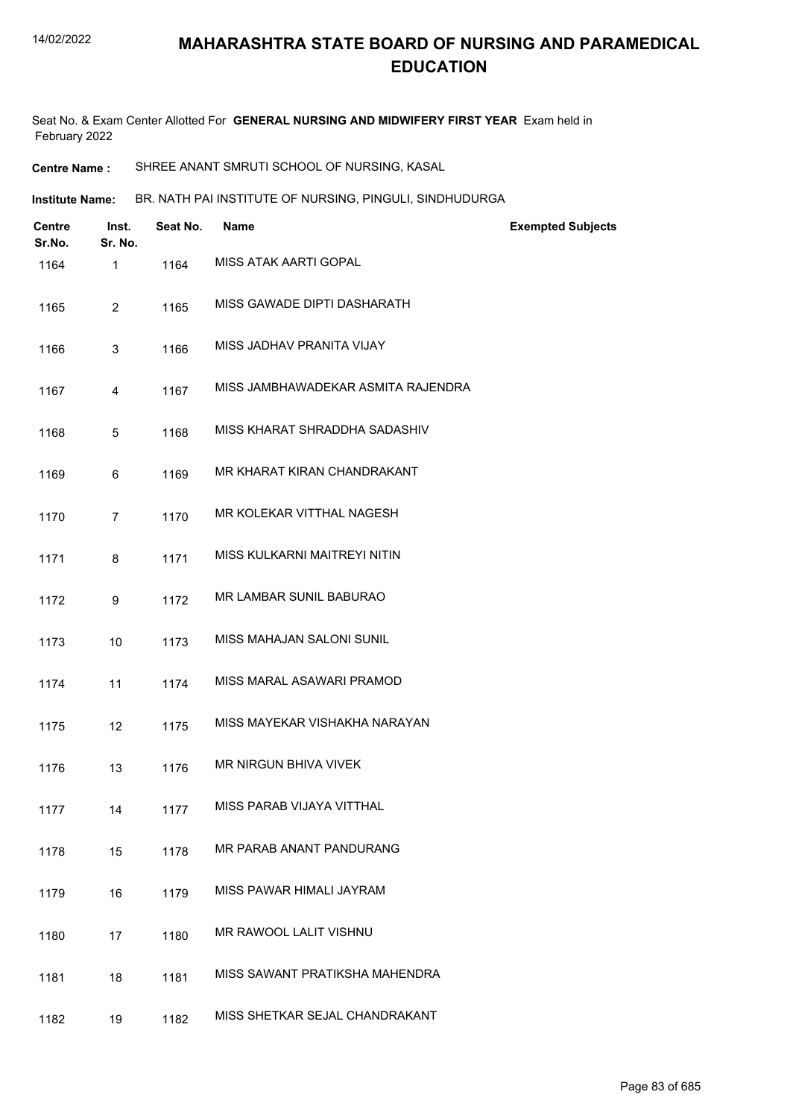Seat No. & Exam Center Allotted For **GENERAL NURSING AND MIDWIFERY FIRST YEAR** Exam held in February 2022

**Centre Name :** SHREE ANANT SMRUTI SCHOOL OF NURSING, KASAL

**Institute Name: BR. NATH PAI INSTITUTE OF NURSING, PINGULI, SINDHUDURGA** 

| <b>Centre</b><br>Sr.No. | Inst.<br>Sr. No. | Seat No. | <b>Name</b>                        | <b>Exempted Subjects</b> |
|-------------------------|------------------|----------|------------------------------------|--------------------------|
| 1164                    | 1                | 1164     | MISS ATAK AARTI GOPAL              |                          |
| 1165                    | $\overline{2}$   | 1165     | MISS GAWADE DIPTI DASHARATH        |                          |
| 1166                    | 3                | 1166     | MISS JADHAV PRANITA VIJAY          |                          |
| 1167                    | 4                | 1167     | MISS JAMBHAWADEKAR ASMITA RAJENDRA |                          |
| 1168                    | 5                | 1168     | MISS KHARAT SHRADDHA SADASHIV      |                          |
| 1169                    | 6                | 1169     | MR KHARAT KIRAN CHANDRAKANT        |                          |
| 1170                    | 7                | 1170     | MR KOLEKAR VITTHAL NAGESH          |                          |
| 1171                    | 8                | 1171     | MISS KULKARNI MAITREYI NITIN       |                          |
| 1172                    | 9                | 1172     | MR LAMBAR SUNIL BABURAO            |                          |
| 1173                    | 10               | 1173     | MISS MAHAJAN SALONI SUNIL          |                          |
| 1174                    | 11               | 1174     | MISS MARAL ASAWARI PRAMOD          |                          |
| 1175                    | 12               | 1175     | MISS MAYEKAR VISHAKHA NARAYAN      |                          |
| 1176                    | 13               | 1176     | MR NIRGUN BHIVA VIVEK              |                          |
| 1177                    | 14               | 1177     | MISS PARAB VIJAYA VITTHAL          |                          |
| 1178                    | 15               | 1178     | MR PARAB ANANT PANDURANG           |                          |
| 1179                    | 16               | 1179     | MISS PAWAR HIMALI JAYRAM           |                          |
| 1180                    | 17               | 1180     | MR RAWOOL LALIT VISHNU             |                          |
| 1181                    | 18               | 1181     | MISS SAWANT PRATIKSHA MAHENDRA     |                          |
| 1182                    | 19               | 1182     | MISS SHETKAR SEJAL CHANDRAKANT     |                          |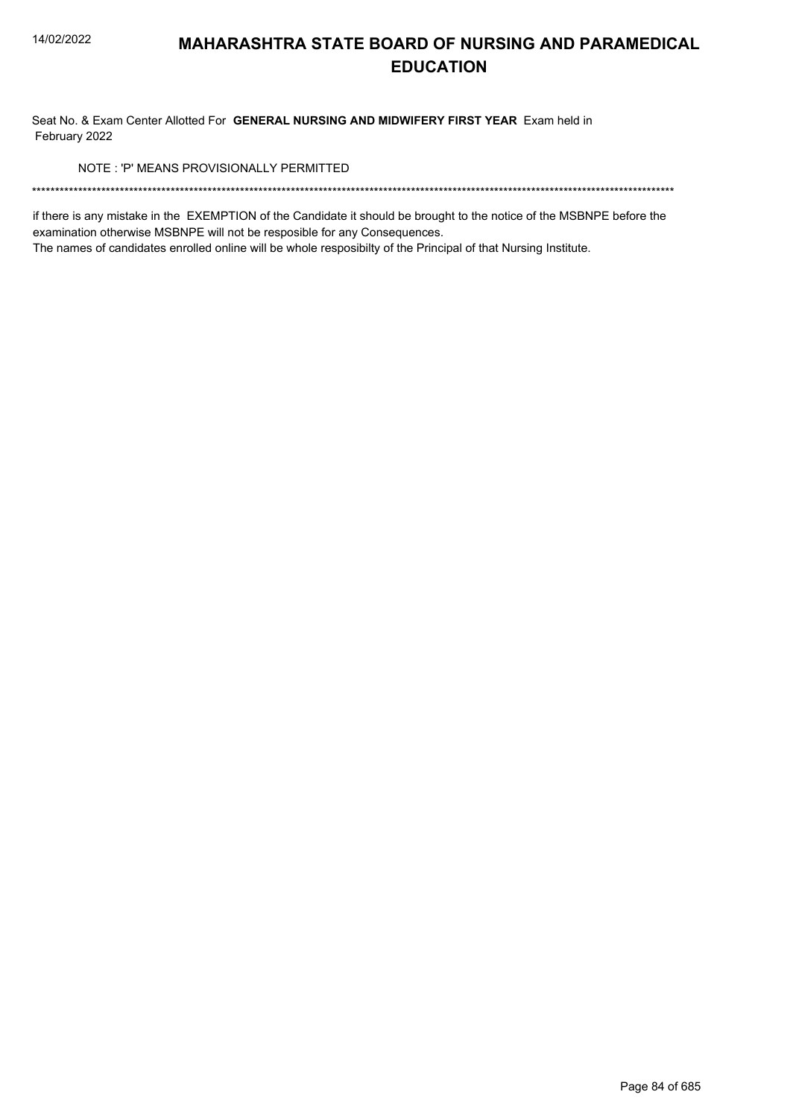Seat No. & Exam Center Allotted For GENERAL NURSING AND MIDWIFERY FIRST YEAR Exam held in February 2022

NOTE: 'P' MEANS PROVISIONALLY PERMITTED

if there is any mistake in the EXEMPTION of the Candidate it should be brought to the notice of the MSBNPE before the examination otherwise MSBNPE will not be resposible for any Consequences.

The names of candidates enrolled online will be whole resposibilty of the Principal of that Nursing Institute.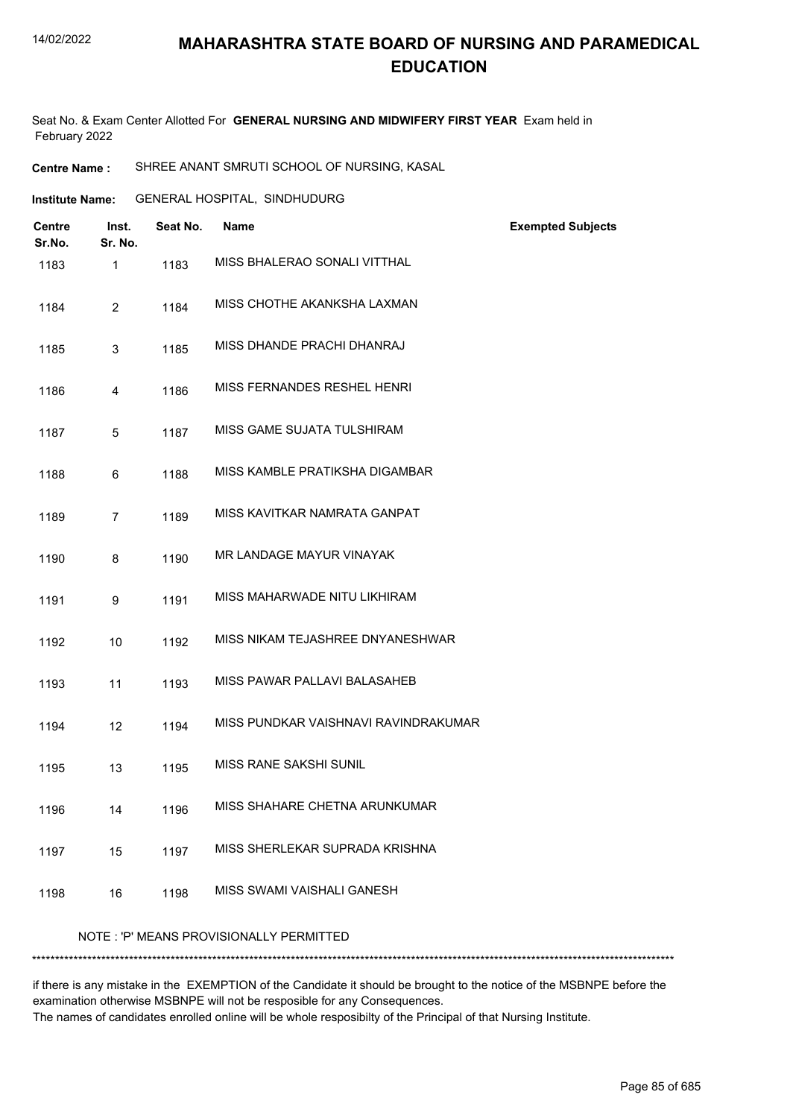#### 14/02/2022

## **MAHARASHTRA STATE BOARD OF NURSING AND PARAMEDICAL EDUCATION**

Seat No. & Exam Center Allotted For **GENERAL NURSING AND MIDWIFERY FIRST YEAR** Exam held in February 2022

**Centre Name :** SHREE ANANT SMRUTI SCHOOL OF NURSING, KASAL

| Institute Name: | <b>GENERAL HOSPITAL, SINDHUDURG</b> |  |
|-----------------|-------------------------------------|--|
|                 |                                     |  |

| <b>Centre</b><br>Sr.No. | Inst.<br>Sr. No. | Seat No. | <b>Name</b>                             | <b>Exempted Subjects</b> |
|-------------------------|------------------|----------|-----------------------------------------|--------------------------|
| 1183                    | 1                | 1183     | MISS BHALERAO SONALI VITTHAL            |                          |
| 1184                    | $\overline{2}$   | 1184     | MISS CHOTHE AKANKSHA LAXMAN             |                          |
| 1185                    | 3                | 1185     | MISS DHANDE PRACHI DHANRAJ              |                          |
| 1186                    | 4                | 1186     | MISS FERNANDES RESHEL HENRI             |                          |
| 1187                    | 5                | 1187     | MISS GAME SUJATA TULSHIRAM              |                          |
| 1188                    | 6                | 1188     | MISS KAMBLE PRATIKSHA DIGAMBAR          |                          |
| 1189                    | $\overline{7}$   | 1189     | MISS KAVITKAR NAMRATA GANPAT            |                          |
| 1190                    | 8                | 1190     | MR LANDAGE MAYUR VINAYAK                |                          |
| 1191                    | 9                | 1191     | MISS MAHARWADE NITU LIKHIRAM            |                          |
| 1192                    | 10               | 1192     | MISS NIKAM TEJASHREE DNYANESHWAR        |                          |
| 1193                    | 11               | 1193     | MISS PAWAR PALLAVI BALASAHEB            |                          |
| 1194                    | 12               | 1194     | MISS PUNDKAR VAISHNAVI RAVINDRAKUMAR    |                          |
| 1195                    | 13               | 1195     | MISS RANE SAKSHI SUNIL                  |                          |
| 1196                    | 14               | 1196     | MISS SHAHARE CHETNA ARUNKUMAR           |                          |
| 1197                    | 15               | 1197     | MISS SHERLEKAR SUPRADA KRISHNA          |                          |
| 1198                    | 16               | 1198     | MISS SWAMI VAISHALI GANESH              |                          |
|                         |                  |          | NOTE: 'P' MEANS PROVISIONALLY PERMITTED | ***********************  |
|                         |                  |          |                                         |                          |

if there is any mistake in the EXEMPTION of the Candidate it should be brought to the notice of the MSBNPE before the examination otherwise MSBNPE will not be resposible for any Consequences. The names of candidates enrolled online will be whole resposibilty of the Principal of that Nursing Institute.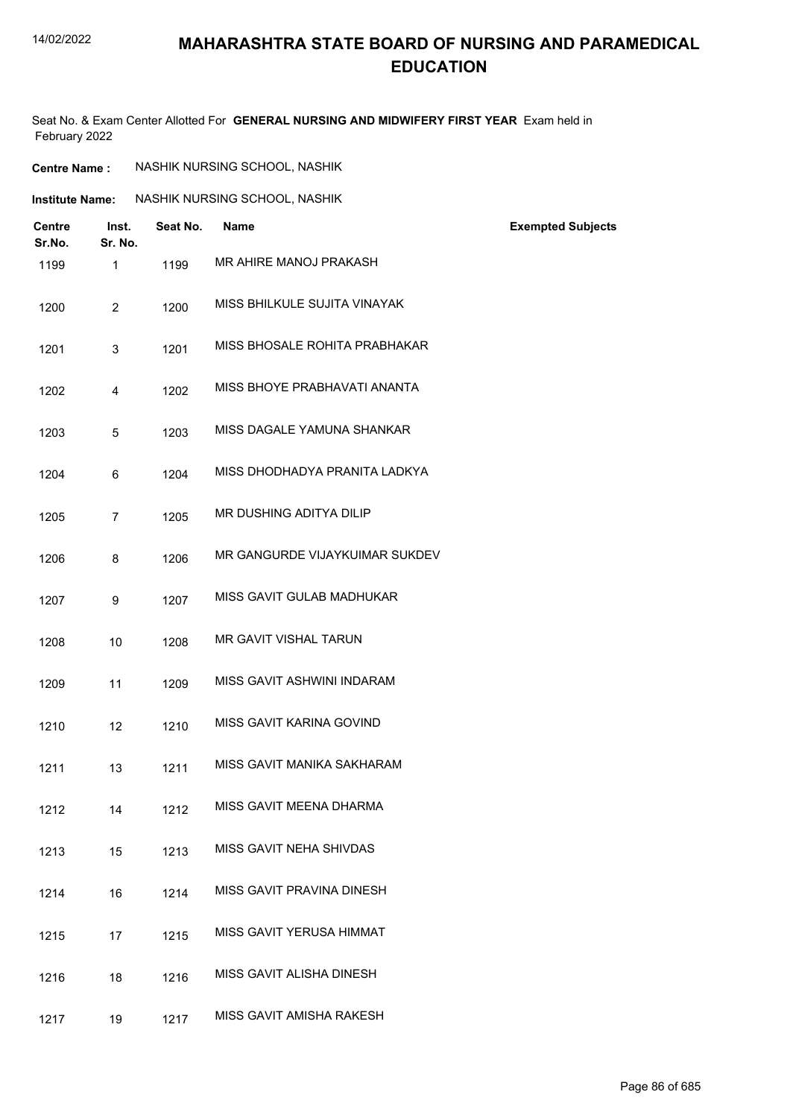#### 14/02/2022

### **MAHARASHTRA STATE BOARD OF NURSING AND PARAMEDICAL EDUCATION**

Seat No. & Exam Center Allotted For **GENERAL NURSING AND MIDWIFERY FIRST YEAR** Exam held in February 2022

| <b>Centre Name :</b> | NASHIK NURSING SCHOOL, NASHIK |  |
|----------------------|-------------------------------|--|
|                      |                               |  |

| <b>Institute Name:</b> | NASHIK NURSING SCHOOL, NASHIK |
|------------------------|-------------------------------|
|------------------------|-------------------------------|

| <b>Centre</b><br>Sr.No. | Inst.<br>Sr. No. | Seat No. | <b>Name</b>                    | <b>Exempted Subjects</b> |
|-------------------------|------------------|----------|--------------------------------|--------------------------|
| 1199                    | $\mathbf{1}$     | 1199     | MR AHIRE MANOJ PRAKASH         |                          |
| 1200                    | $\overline{2}$   | 1200     | MISS BHILKULE SUJITA VINAYAK   |                          |
| 1201                    | 3                | 1201     | MISS BHOSALE ROHITA PRABHAKAR  |                          |
| 1202                    | $\overline{4}$   | 1202     | MISS BHOYE PRABHAVATI ANANTA   |                          |
| 1203                    | 5                | 1203     | MISS DAGALE YAMUNA SHANKAR     |                          |
| 1204                    | 6                | 1204     | MISS DHODHADYA PRANITA LADKYA  |                          |
| 1205                    | $\overline{7}$   | 1205     | MR DUSHING ADITYA DILIP        |                          |
| 1206                    | 8                | 1206     | MR GANGURDE VIJAYKUIMAR SUKDEV |                          |
| 1207                    | 9                | 1207     | MISS GAVIT GULAB MADHUKAR      |                          |
| 1208                    | 10               | 1208     | MR GAVIT VISHAL TARUN          |                          |
| 1209                    | 11               | 1209     | MISS GAVIT ASHWINI INDARAM     |                          |
| 1210                    | 12               | 1210     | MISS GAVIT KARINA GOVIND       |                          |
| 1211                    | 13               | 1211     | MISS GAVIT MANIKA SAKHARAM     |                          |
| 1212                    | 14               | 1212     | MISS GAVIT MEENA DHARMA        |                          |
| 1213                    | 15               | 1213     | MISS GAVIT NEHA SHIVDAS        |                          |
| 1214                    | 16               | 1214     | MISS GAVIT PRAVINA DINESH      |                          |
| 1215                    | 17               | 1215     | MISS GAVIT YERUSA HIMMAT       |                          |
| 1216                    | 18               | 1216     | MISS GAVIT ALISHA DINESH       |                          |
| 1217                    | 19               | 1217     | MISS GAVIT AMISHA RAKESH       |                          |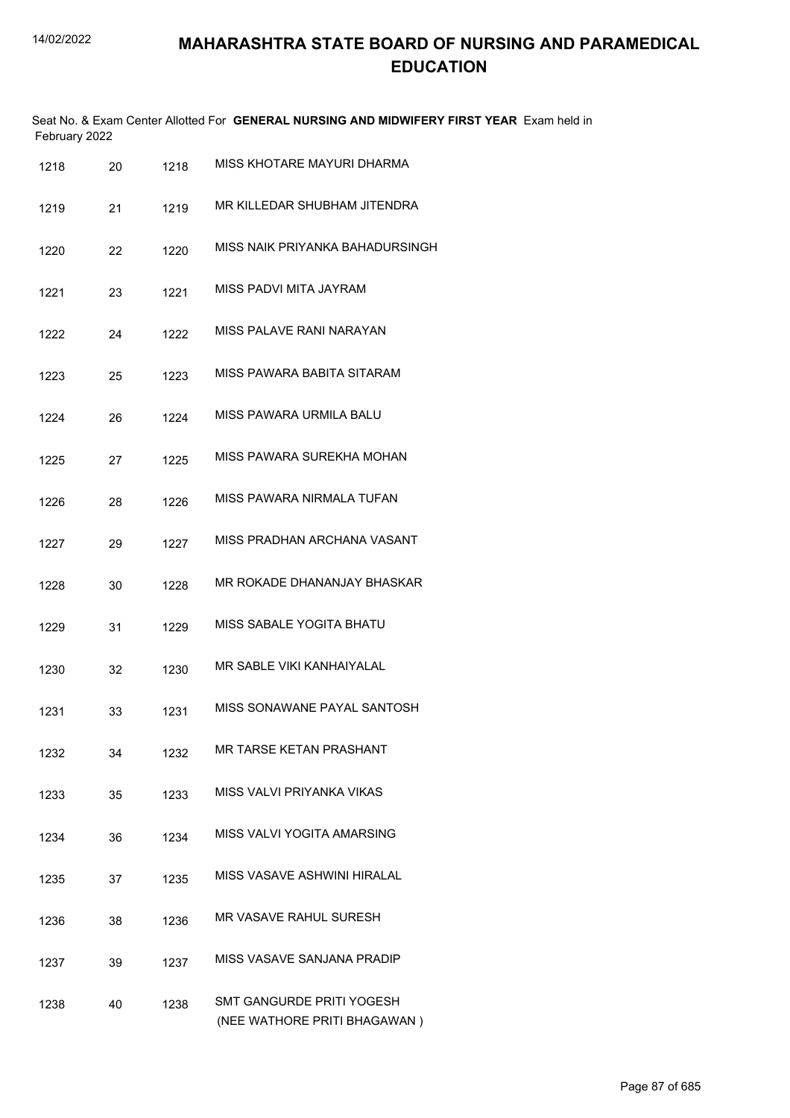| February 2022 |    |      | Seat No. & Exam Center Allotted For GENERAL NURSING AND MIDWIFERY FIRST YEAR Exam held in |
|---------------|----|------|-------------------------------------------------------------------------------------------|
| 1218          | 20 | 1218 | MISS KHOTARE MAYURI DHARMA                                                                |
| 1219          | 21 | 1219 | MR KILLEDAR SHUBHAM JITENDRA                                                              |
| 1220          | 22 | 1220 | MISS NAIK PRIYANKA BAHADURSINGH                                                           |
| 1221          | 23 | 1221 | MISS PADVI MITA JAYRAM                                                                    |
| 1222          | 24 | 1222 | MISS PALAVE RANI NARAYAN                                                                  |
| 1223          | 25 | 1223 | MISS PAWARA BABITA SITARAM                                                                |
| 1224          | 26 | 1224 | MISS PAWARA URMILA BALU                                                                   |
| 1225          | 27 | 1225 | MISS PAWARA SUREKHA MOHAN                                                                 |
| 1226          | 28 | 1226 | MISS PAWARA NIRMALA TUFAN                                                                 |
| 1227          | 29 | 1227 | MISS PRADHAN ARCHANA VASANT                                                               |
| 1228          | 30 | 1228 | MR ROKADE DHANANJAY BHASKAR                                                               |
| 1229          | 31 | 1229 | MISS SABALE YOGITA BHATU                                                                  |
| 1230          | 32 | 1230 | MR SABLE VIKI KANHAIYALAL                                                                 |
| 1231          | 33 | 1231 | MISS SONAWANE PAYAL SANTOSH                                                               |
| 1232          | 34 | 1232 | <b>MR TARSE KETAN PRASHANT</b>                                                            |
| 1233          | 35 | 1233 | MISS VALVI PRIYANKA VIKAS                                                                 |
| 1234          | 36 | 1234 | MISS VALVI YOGITA AMARSING                                                                |
| 1235          | 37 | 1235 | MISS VASAVE ASHWINI HIRALAL                                                               |
| 1236          | 38 | 1236 | <b>MR VASAVE RAHUL SURESH</b>                                                             |
| 1237          | 39 | 1237 | MISS VASAVE SANJANA PRADIP                                                                |
| 1238          | 40 | 1238 | SMT GANGURDE PRITI YOGESH<br>(NEE WATHORE PRITI BHAGAWAN)                                 |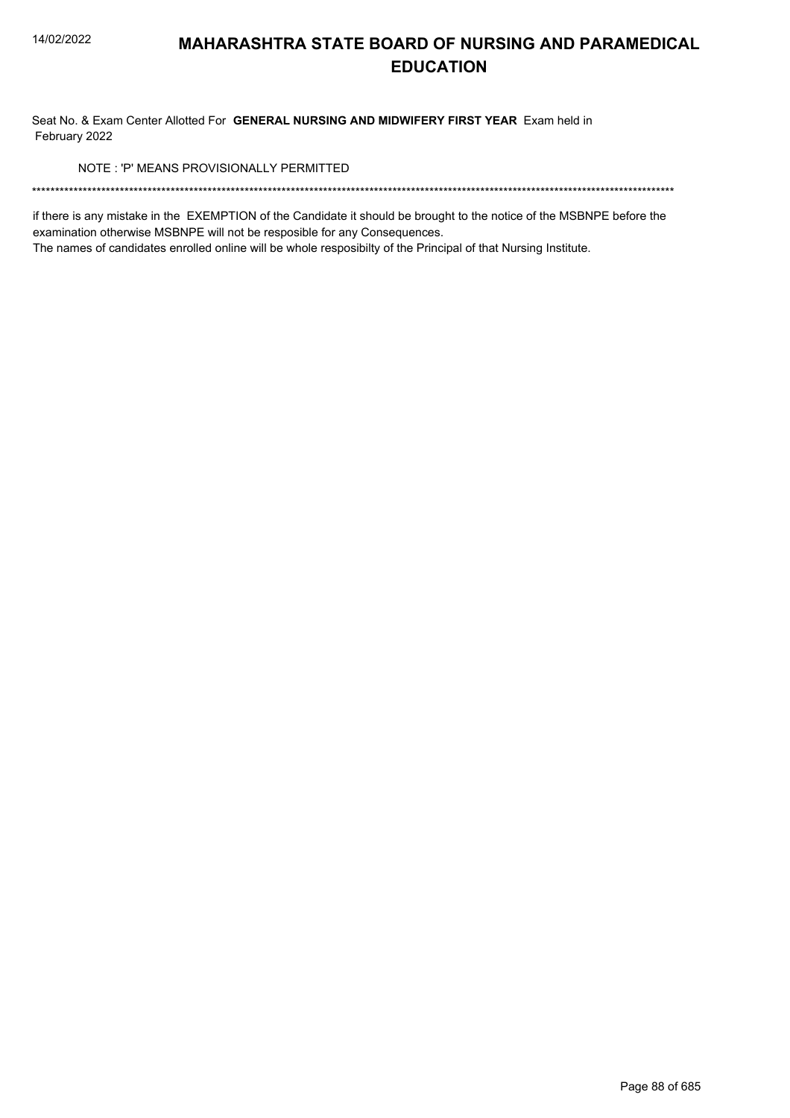Seat No. & Exam Center Allotted For GENERAL NURSING AND MIDWIFERY FIRST YEAR Exam held in February 2022

NOTE: 'P' MEANS PROVISIONALLY PERMITTED

if there is any mistake in the EXEMPTION of the Candidate it should be brought to the notice of the MSBNPE before the examination otherwise MSBNPE will not be resposible for any Consequences.

The names of candidates enrolled online will be whole resposibilty of the Principal of that Nursing Institute.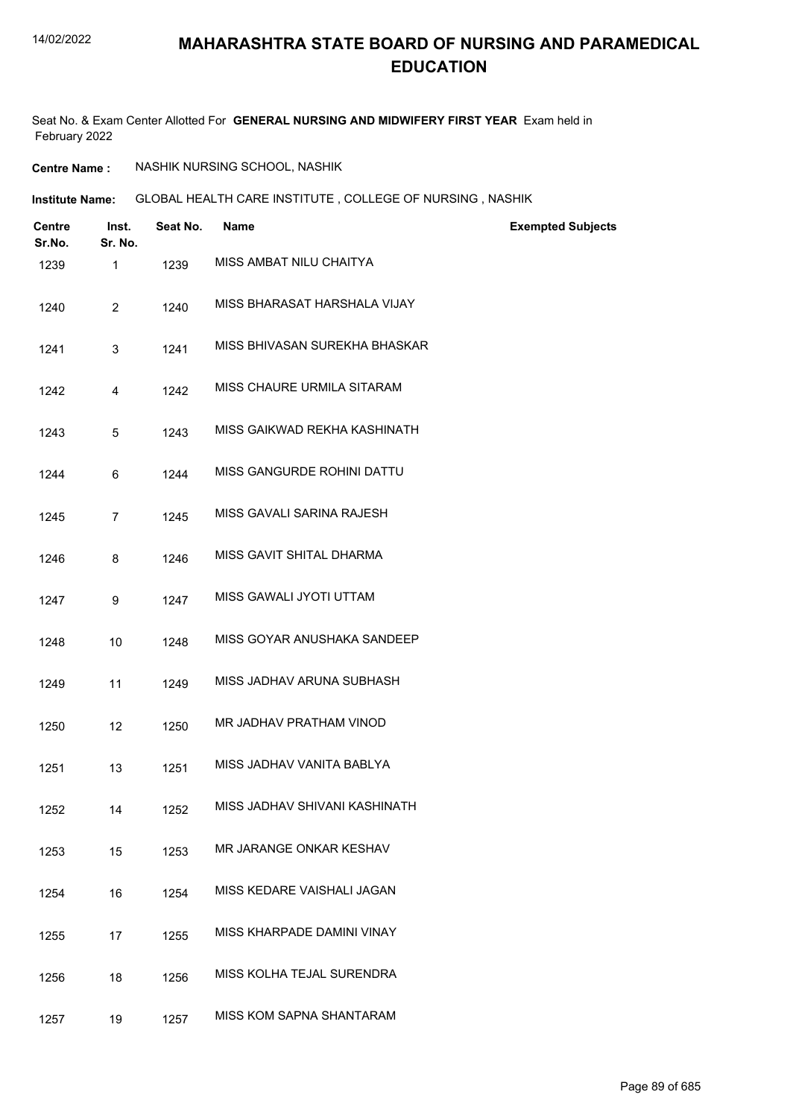Seat No. & Exam Center Allotted For **GENERAL NURSING AND MIDWIFERY FIRST YEAR** Exam held in February 2022

**Centre Name :** NASHIK NURSING SCHOOL, NASHIK

**Institute Name: GLOBAL HEALTH CARE INSTITUTE , COLLEGE OF NURSING , NASHIK** 

| <b>Centre</b><br>Sr.No. | Inst.<br>Sr. No. | Seat No. | Name                          | <b>Exempted Subjects</b> |
|-------------------------|------------------|----------|-------------------------------|--------------------------|
| 1239                    | $\mathbf{1}$     | 1239     | MISS AMBAT NILU CHAITYA       |                          |
| 1240                    | $\overline{2}$   | 1240     | MISS BHARASAT HARSHALA VIJAY  |                          |
| 1241                    | 3                | 1241     | MISS BHIVASAN SUREKHA BHASKAR |                          |
| 1242                    | 4                | 1242     | MISS CHAURE URMILA SITARAM    |                          |
| 1243                    | 5                | 1243     | MISS GAIKWAD REKHA KASHINATH  |                          |
| 1244                    | 6                | 1244     | MISS GANGURDE ROHINI DATTU    |                          |
| 1245                    | $\overline{7}$   | 1245     | MISS GAVALI SARINA RAJESH     |                          |
| 1246                    | 8                | 1246     | MISS GAVIT SHITAL DHARMA      |                          |
| 1247                    | 9                | 1247     | MISS GAWALI JYOTI UTTAM       |                          |
| 1248                    | 10               | 1248     | MISS GOYAR ANUSHAKA SANDEEP   |                          |
| 1249                    | 11               | 1249     | MISS JADHAV ARUNA SUBHASH     |                          |
| 1250                    | 12               | 1250     | MR JADHAV PRATHAM VINOD       |                          |
| 1251                    | 13               | 1251     | MISS JADHAV VANITA BABLYA     |                          |
| 1252                    | 14               | 1252     | MISS JADHAV SHIVANI KASHINATH |                          |
| 1253                    | 15               | 1253     | MR JARANGE ONKAR KESHAV       |                          |
| 1254                    | 16               | 1254     | MISS KEDARE VAISHALI JAGAN    |                          |
| 1255                    | 17               | 1255     | MISS KHARPADE DAMINI VINAY    |                          |
| 1256                    | 18               | 1256     | MISS KOLHA TEJAL SURENDRA     |                          |
| 1257                    | 19               | 1257     | MISS KOM SAPNA SHANTARAM      |                          |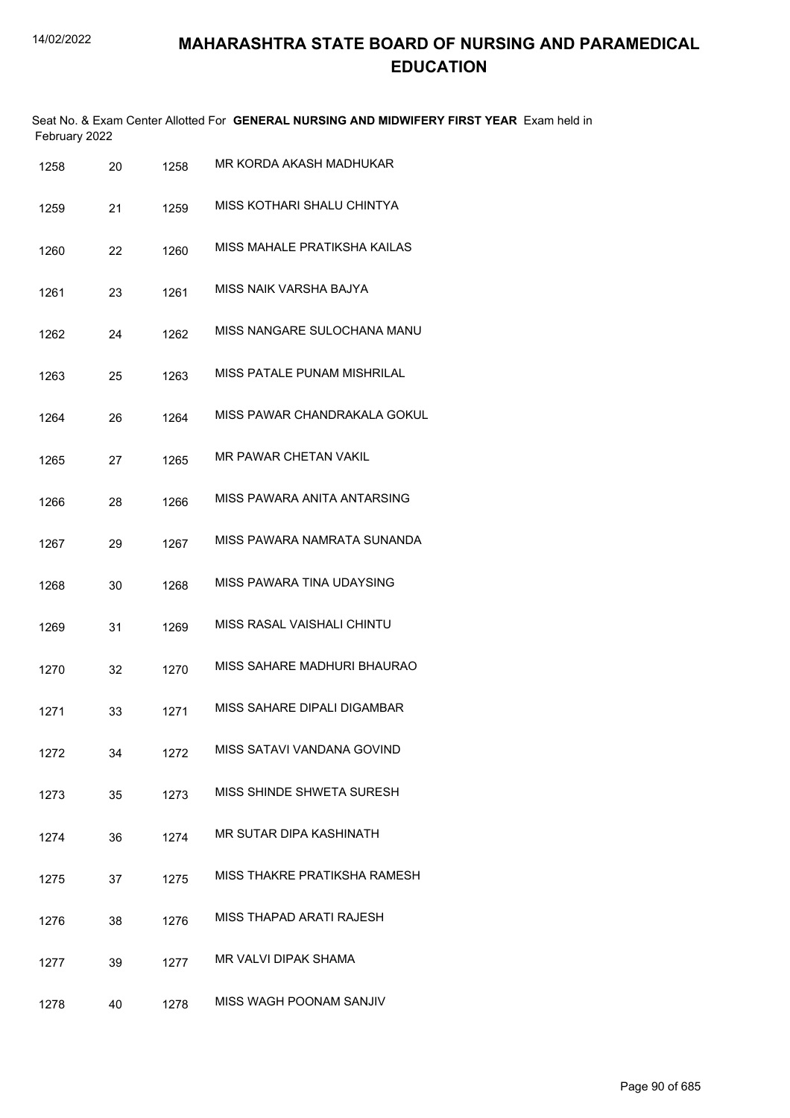|               | Seat No. & Exam Center Allotted For GENERAL NURSING AND MIDWIFERY FIRST YEAR Exam held in |
|---------------|-------------------------------------------------------------------------------------------|
| February 2022 |                                                                                           |

| 1258 | 20 | 1258 | MR KORDA AKASH MADHUKAR      |
|------|----|------|------------------------------|
| 1259 | 21 | 1259 | MISS KOTHARI SHALU CHINTYA   |
| 1260 | 22 | 1260 | MISS MAHALE PRATIKSHA KAILAS |
| 1261 | 23 | 1261 | MISS NAIK VARSHA BAJYA       |
| 1262 | 24 | 1262 | MISS NANGARE SULOCHANA MANU  |
| 1263 | 25 | 1263 | MISS PATALE PUNAM MISHRILAL  |
| 1264 | 26 | 1264 | MISS PAWAR CHANDRAKALA GOKUL |
| 1265 | 27 | 1265 | MR PAWAR CHETAN VAKIL        |
| 1266 | 28 | 1266 | MISS PAWARA ANITA ANTARSING  |
| 1267 | 29 | 1267 | MISS PAWARA NAMRATA SUNANDA  |
| 1268 | 30 | 1268 | MISS PAWARA TINA UDAYSING    |
| 1269 | 31 | 1269 | MISS RASAL VAISHALI CHINTU   |
| 1270 | 32 | 1270 | MISS SAHARE MADHURI BHAURAO  |
| 1271 | 33 | 1271 | MISS SAHARE DIPALI DIGAMBAR  |
| 1272 | 34 | 1272 | MISS SATAVI VANDANA GOVIND   |
| 1273 | 35 | 1273 | MISS SHINDE SHWETA SURESH    |
| 1274 | 36 | 1274 | MR SUTAR DIPA KASHINATH      |
| 1275 | 37 | 1275 | MISS THAKRE PRATIKSHA RAMESH |
| 1276 | 38 | 1276 | MISS THAPAD ARATI RAJESH     |
| 1277 | 39 | 1277 | <b>MR VALVI DIPAK SHAMA</b>  |
| 1278 | 40 | 1278 | MISS WAGH POONAM SANJIV      |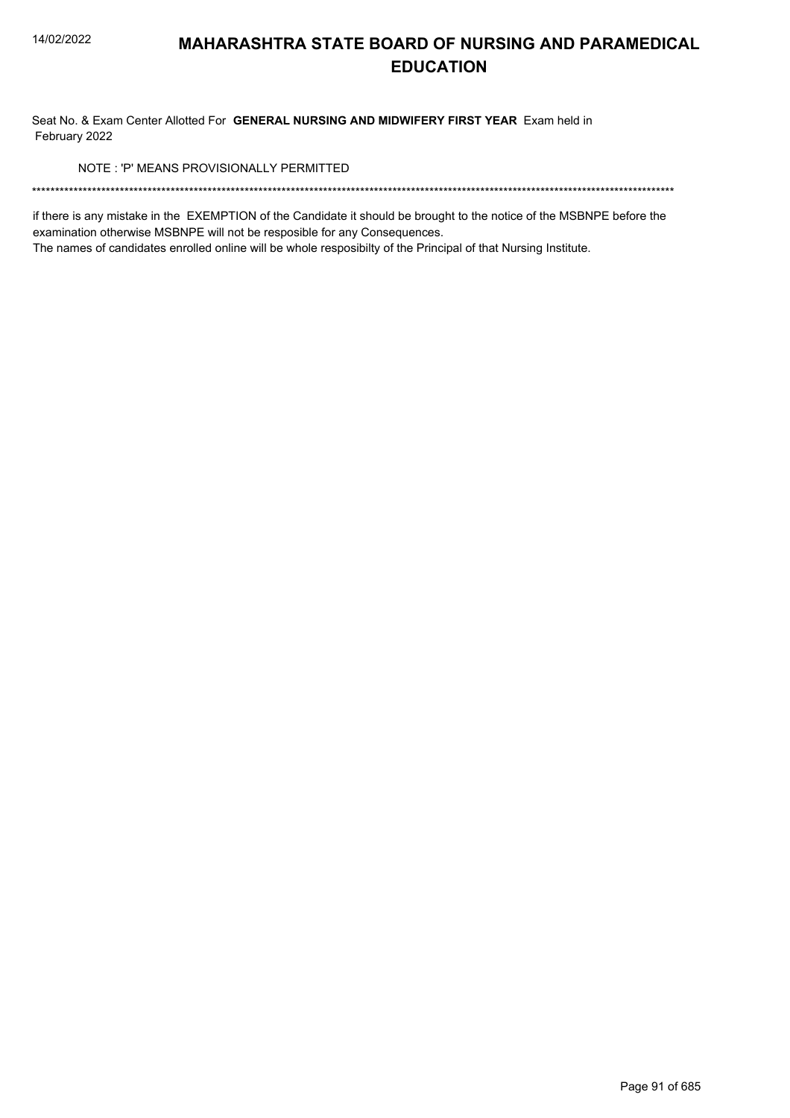Seat No. & Exam Center Allotted For GENERAL NURSING AND MIDWIFERY FIRST YEAR Exam held in February 2022

NOTE: 'P' MEANS PROVISIONALLY PERMITTED

if there is any mistake in the EXEMPTION of the Candidate it should be brought to the notice of the MSBNPE before the examination otherwise MSBNPE will not be resposible for any Consequences.

The names of candidates enrolled online will be whole resposibilty of the Principal of that Nursing Institute.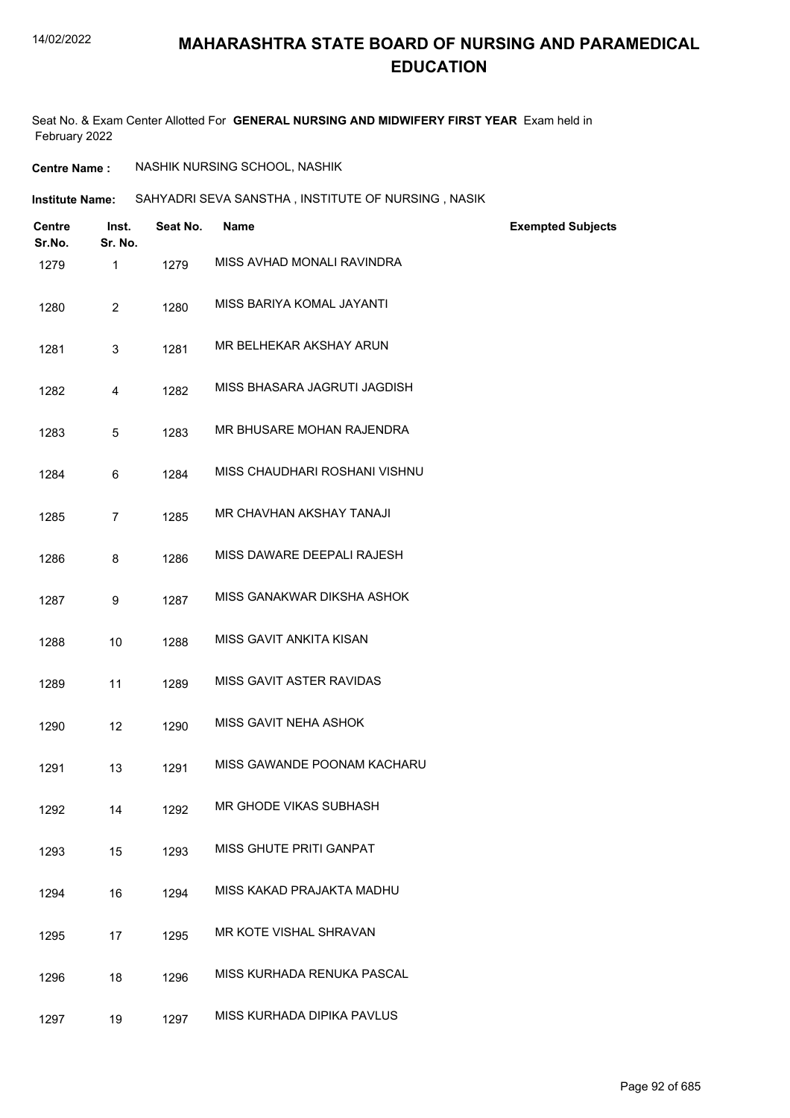#### 14/02/2022

## **MAHARASHTRA STATE BOARD OF NURSING AND PARAMEDICAL EDUCATION**

Seat No. & Exam Center Allotted For **GENERAL NURSING AND MIDWIFERY FIRST YEAR** Exam held in February 2022

| <b>Centre Name :</b> | NASHIK NURSING SCHOOL, NASHIK |  |
|----------------------|-------------------------------|--|
|----------------------|-------------------------------|--|

| SAHYADRI SEVA SANSTHA, INSTITUTE OF NURSING, NASIK<br>Institute Name: |
|-----------------------------------------------------------------------|
|-----------------------------------------------------------------------|

| <b>Centre</b><br>Sr.No. | Inst.<br>Sr. No. | Seat No. | Name                          | <b>Exempted Subjects</b> |
|-------------------------|------------------|----------|-------------------------------|--------------------------|
| 1279                    | 1                | 1279     | MISS AVHAD MONALI RAVINDRA    |                          |
| 1280                    | $\overline{2}$   | 1280     | MISS BARIYA KOMAL JAYANTI     |                          |
| 1281                    | 3                | 1281     | MR BELHEKAR AKSHAY ARUN       |                          |
| 1282                    | 4                | 1282     | MISS BHASARA JAGRUTI JAGDISH  |                          |
| 1283                    | 5                | 1283     | MR BHUSARE MOHAN RAJENDRA     |                          |
| 1284                    | 6                | 1284     | MISS CHAUDHARI ROSHANI VISHNU |                          |
| 1285                    | $\overline{7}$   | 1285     | MR CHAVHAN AKSHAY TANAJI      |                          |
| 1286                    | 8                | 1286     | MISS DAWARE DEEPALI RAJESH    |                          |
| 1287                    | 9                | 1287     | MISS GANAKWAR DIKSHA ASHOK    |                          |
| 1288                    | 10               | 1288     | MISS GAVIT ANKITA KISAN       |                          |
| 1289                    | 11               | 1289     | MISS GAVIT ASTER RAVIDAS      |                          |
| 1290                    | 12               | 1290     | MISS GAVIT NEHA ASHOK         |                          |
| 1291                    | 13               | 1291     | MISS GAWANDE POONAM KACHARU   |                          |
| 1292                    | 14               | 1292     | MR GHODE VIKAS SUBHASH        |                          |
| 1293                    | 15               | 1293     | MISS GHUTE PRITI GANPAT       |                          |
| 1294                    | 16               | 1294     | MISS KAKAD PRAJAKTA MADHU     |                          |
| 1295                    | 17               | 1295     | MR KOTE VISHAL SHRAVAN        |                          |
| 1296                    | 18               | 1296     | MISS KURHADA RENUKA PASCAL    |                          |
| 1297                    | 19               | 1297     | MISS KURHADA DIPIKA PAVLUS    |                          |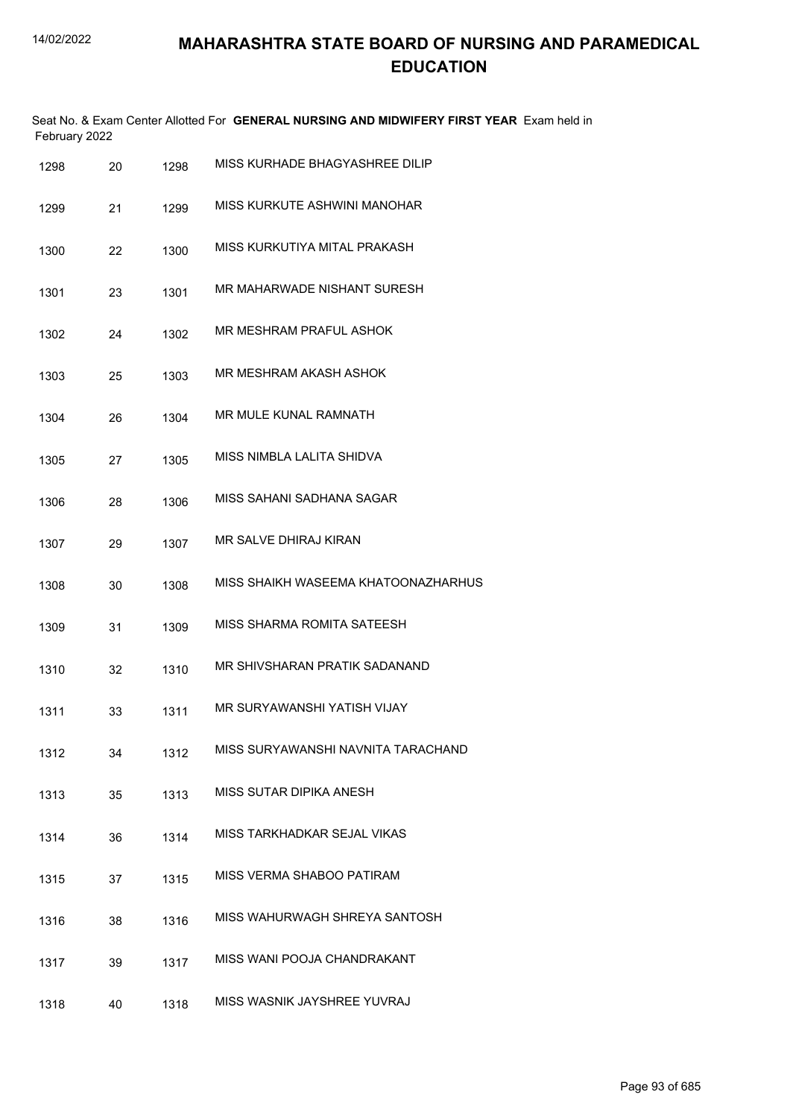| February 2022 |    |      | Seat No. & Exam Center Allotted For GENERAL NURSING AND MIDWIFERY FIRST YEAR Exam held in |
|---------------|----|------|-------------------------------------------------------------------------------------------|
| 1298          | 20 | 1298 | MISS KURHADE BHAGYASHREE DILIP                                                            |
| 1299          | 21 | 1299 | MISS KURKUTE ASHWINI MANOHAR                                                              |
| 1300          | 22 | 1300 | MISS KURKUTIYA MITAL PRAKASH                                                              |
| 1301          | 23 | 1301 | MR MAHARWADE NISHANT SURESH                                                               |
| 1302          | 24 | 1302 | MR MESHRAM PRAFUL ASHOK                                                                   |
| 1303          | 25 | 1303 | MR MESHRAM AKASH ASHOK                                                                    |
| 1304          | 26 | 1304 | MR MULE KUNAL RAMNATH                                                                     |
| 1305          | 27 | 1305 | MISS NIMBLA LALITA SHIDVA                                                                 |
| 1306          | 28 | 1306 | MISS SAHANI SADHANA SAGAR                                                                 |
| 1307          | 29 | 1307 | MR SALVE DHIRAJ KIRAN                                                                     |
| 1308          | 30 | 1308 | MISS SHAIKH WASEEMA KHATOONAZHARHUS                                                       |
| 1309          | 31 | 1309 | MISS SHARMA ROMITA SATEESH                                                                |
| 1310          | 32 | 1310 | MR SHIVSHARAN PRATIK SADANAND                                                             |
| 1311          | 33 | 1311 | MR SURYAWANSHI YATISH VIJAY                                                               |
| 1312          | 34 | 1312 | MISS SURYAWANSHI NAVNITA TARACHAND                                                        |
| 1313          | 35 | 1313 | MISS SUTAR DIPIKA ANESH                                                                   |
| 1314          | 36 | 1314 | MISS TARKHADKAR SEJAL VIKAS                                                               |
| 1315          | 37 | 1315 | MISS VERMA SHABOO PATIRAM                                                                 |
| 1316          | 38 | 1316 | MISS WAHURWAGH SHREYA SANTOSH                                                             |
| 1317          | 39 | 1317 | MISS WANI POOJA CHANDRAKANT                                                               |
| 1318          | 40 | 1318 | MISS WASNIK JAYSHREE YUVRAJ                                                               |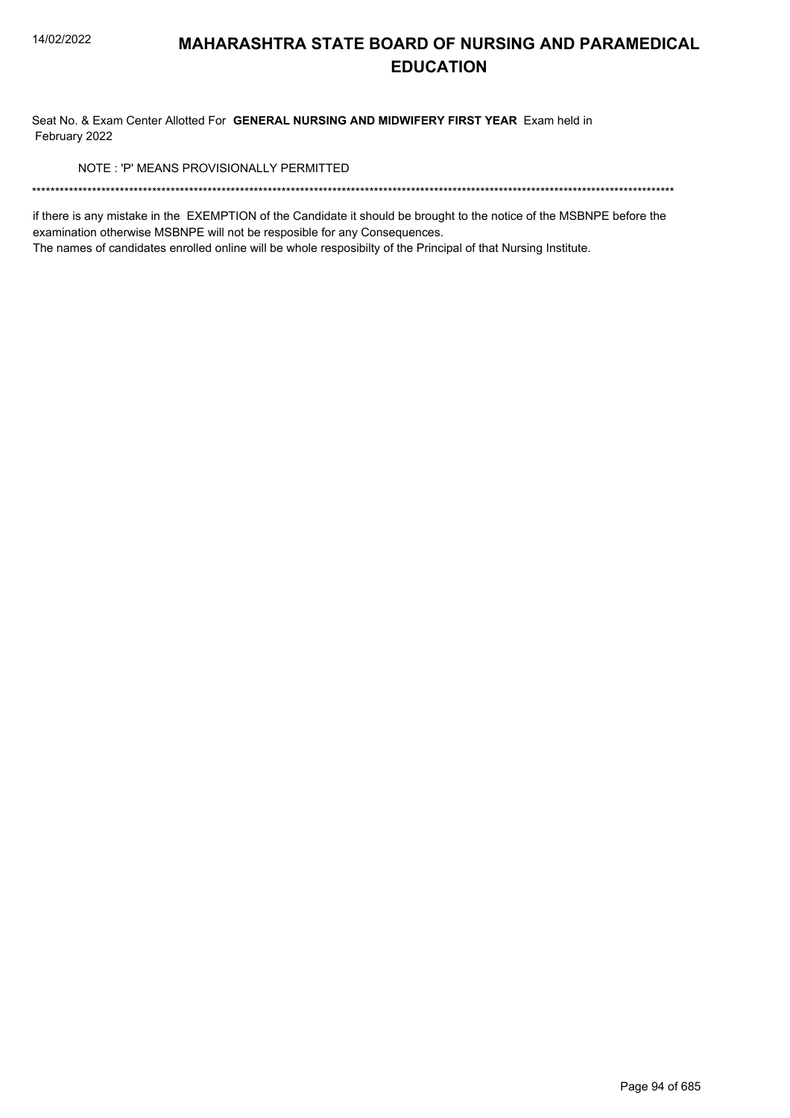Seat No. & Exam Center Allotted For GENERAL NURSING AND MIDWIFERY FIRST YEAR Exam held in February 2022

NOTE: 'P' MEANS PROVISIONALLY PERMITTED

if there is any mistake in the EXEMPTION of the Candidate it should be brought to the notice of the MSBNPE before the examination otherwise MSBNPE will not be resposible for any Consequences.

The names of candidates enrolled online will be whole resposibilty of the Principal of that Nursing Institute.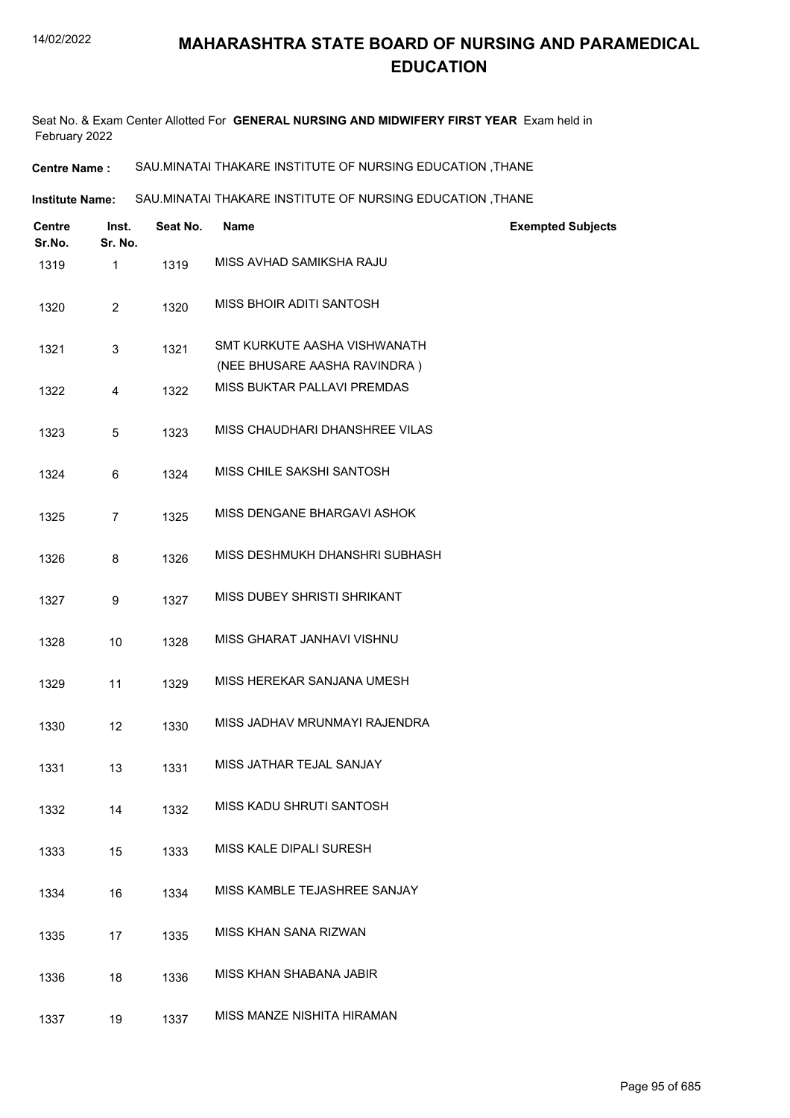Seat No. & Exam Center Allotted For **GENERAL NURSING AND MIDWIFERY FIRST YEAR** Exam held in February 2022

**Centre Name :** SAU.MINATAI THAKARE INSTITUTE OF NURSING EDUCATION ,THANE

SAU.MINATAI THAKARE INSTITUTE OF NURSING EDUCATION ,THANE **Institute Name:**

| <b>Centre</b><br>Sr.No. | Inst.<br>Sr. No. | Seat No. | Name                                                         | <b>Exempted Subjects</b> |
|-------------------------|------------------|----------|--------------------------------------------------------------|--------------------------|
| 1319                    | 1                | 1319     | MISS AVHAD SAMIKSHA RAJU                                     |                          |
| 1320                    | $\overline{2}$   | 1320     | MISS BHOIR ADITI SANTOSH                                     |                          |
| 1321                    | 3                | 1321     | SMT KURKUTE AASHA VISHWANATH<br>(NEE BHUSARE AASHA RAVINDRA) |                          |
| 1322                    | 4                | 1322     | MISS BUKTAR PALLAVI PREMDAS                                  |                          |
| 1323                    | 5                | 1323     | MISS CHAUDHARI DHANSHREE VILAS                               |                          |
| 1324                    | 6                | 1324     | MISS CHILE SAKSHI SANTOSH                                    |                          |
| 1325                    | $\overline{7}$   | 1325     | MISS DENGANE BHARGAVI ASHOK                                  |                          |
| 1326                    | 8                | 1326     | MISS DESHMUKH DHANSHRI SUBHASH                               |                          |
| 1327                    | 9                | 1327     | MISS DUBEY SHRISTI SHRIKANT                                  |                          |
| 1328                    | 10               | 1328     | MISS GHARAT JANHAVI VISHNU                                   |                          |
| 1329                    | 11               | 1329     | MISS HEREKAR SANJANA UMESH                                   |                          |
| 1330                    | 12               | 1330     | MISS JADHAV MRUNMAYI RAJENDRA                                |                          |
| 1331                    | 13               | 1331     | MISS JATHAR TEJAL SANJAY                                     |                          |
| 1332                    | 14               | 1332     | MISS KADU SHRUTI SANTOSH                                     |                          |
| 1333                    | 15               | 1333     | MISS KALE DIPALI SURESH                                      |                          |
| 1334                    | 16               | 1334     | MISS KAMBLE TEJASHREE SANJAY                                 |                          |
| 1335                    | 17               | 1335     | MISS KHAN SANA RIZWAN                                        |                          |
| 1336                    | 18               | 1336     | MISS KHAN SHABANA JABIR                                      |                          |
| 1337                    | 19               | 1337     | MISS MANZE NISHITA HIRAMAN                                   |                          |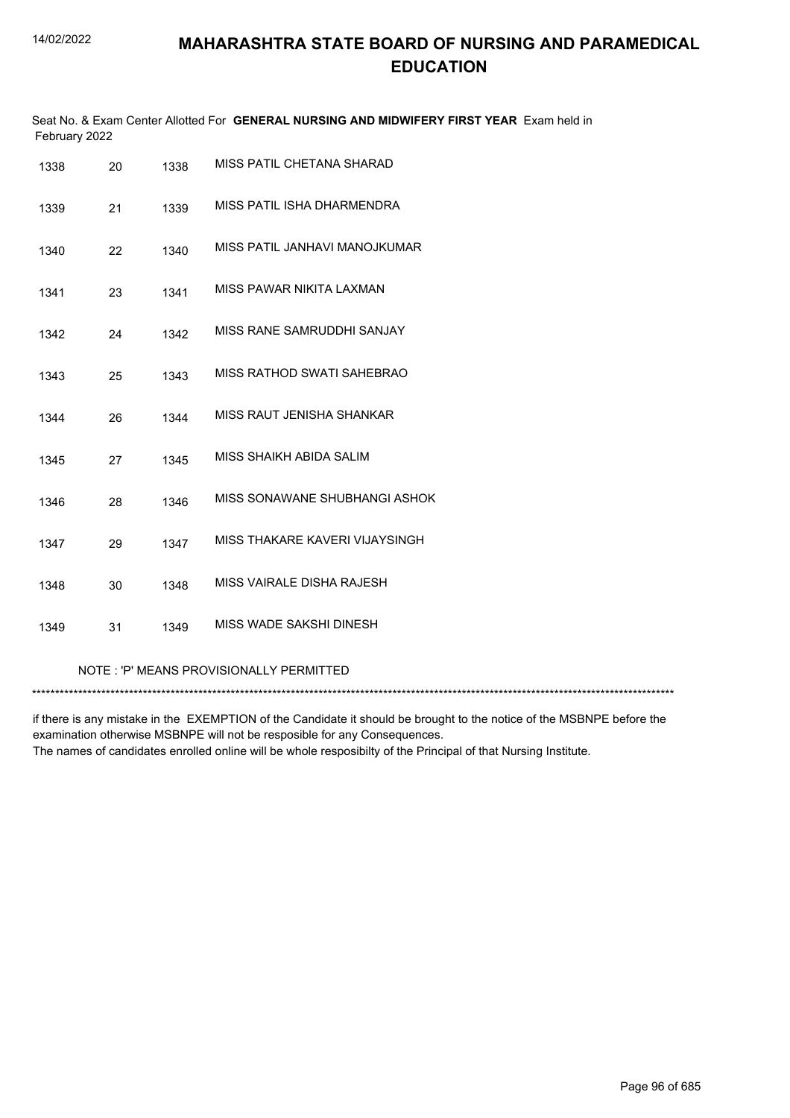|               | Seat No. & Exam Center Allotted For GENERAL NURSING AND MIDWIFERY FIRST YEAR Exam held in |
|---------------|-------------------------------------------------------------------------------------------|
| February 2022 |                                                                                           |

| 1338                                    | 20 | 1338 | MISS PATIL CHETANA SHARAD      |  |
|-----------------------------------------|----|------|--------------------------------|--|
| 1339                                    | 21 | 1339 | MISS PATIL ISHA DHARMENDRA     |  |
| 1340                                    | 22 | 1340 | MISS PATIL JANHAVI MANOJKUMAR  |  |
| 1341                                    | 23 | 1341 | MISS PAWAR NIKITA LAXMAN       |  |
| 1342                                    | 24 | 1342 | MISS RANE SAMRUDDHI SANJAY     |  |
| 1343                                    | 25 | 1343 | MISS RATHOD SWATI SAHEBRAO     |  |
| 1344                                    | 26 | 1344 | MISS RAUT JENISHA SHANKAR      |  |
| 1345                                    | 27 | 1345 | MISS SHAIKH ABIDA SALIM        |  |
| 1346                                    | 28 | 1346 | MISS SONAWANE SHUBHANGI ASHOK  |  |
| 1347                                    | 29 | 1347 | MISS THAKARE KAVERI VIJAYSINGH |  |
| 1348                                    | 30 | 1348 | MISS VAIRALE DISHA RAJESH      |  |
| 1349                                    | 31 | 1349 | MISS WADE SAKSHI DINESH        |  |
| NOTE: 'P' MEANS PROVISIONALLY PERMITTED |    |      |                                |  |

\*\*\*\*\*\*\*\*\*\*\*\*\*\*\*\*\*\*\*\*\*\*\*\*\*\*\*\*\*\*\*\*\*\*\*\*\*\*\*\*\*\*\*\*\*\*\*\*\*\*\*\*\*\*\*\*\*\*\*\*\*\*\*\*\*\*\*\*\*\*\*\*\*\*\*\*\*\*\*\*\*\*\*\*\*\*\*\*\*\*\*\*\*\*\*\*\*\*\*\*\*\*\*\*\*\*\*\*\*\*\*\*\*\*\*\*\*\*\*\*\*\*\*\*\*\*\*\*\*\*\*\*\*\*\*\*\*\*\*

if there is any mistake in the EXEMPTION of the Candidate it should be brought to the notice of the MSBNPE before the examination otherwise MSBNPE will not be resposible for any Consequences. The names of candidates enrolled online will be whole resposibilty of the Principal of that Nursing Institute.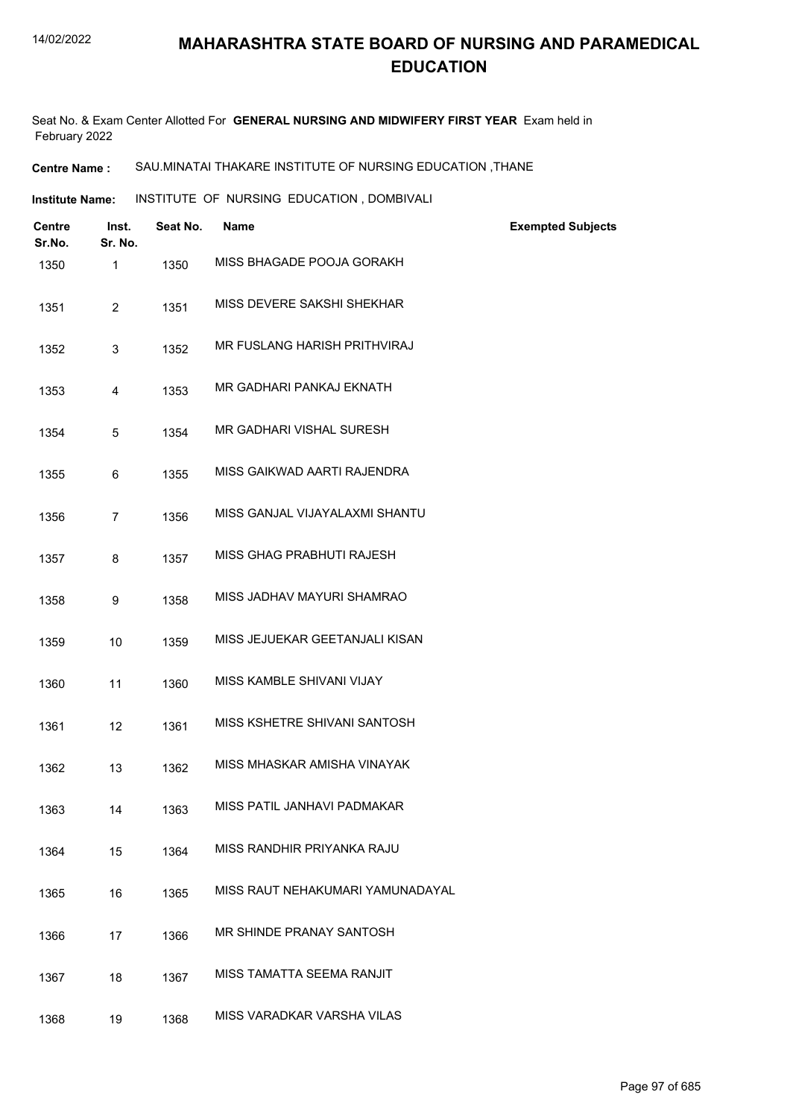Seat No. & Exam Center Allotted For **GENERAL NURSING AND MIDWIFERY FIRST YEAR** Exam held in February 2022

#### **Centre Name :** SAU.MINATAI THAKARE INSTITUTE OF NURSING EDUCATION ,THANE

**Institute Name: INSTITUTE OF NURSING EDUCATION, DOMBIVALI** 

| <b>Centre</b><br>Sr.No. | Inst.<br>Sr. No. | Seat No. | <b>Name</b>                      | <b>Exempted Subjects</b> |
|-------------------------|------------------|----------|----------------------------------|--------------------------|
| 1350                    | 1                | 1350     | MISS BHAGADE POOJA GORAKH        |                          |
| 1351                    | $\overline{2}$   | 1351     | MISS DEVERE SAKSHI SHEKHAR       |                          |
| 1352                    | 3                | 1352     | MR FUSLANG HARISH PRITHVIRAJ     |                          |
| 1353                    | 4                | 1353     | MR GADHARI PANKAJ EKNATH         |                          |
| 1354                    | 5                | 1354     | MR GADHARI VISHAL SURESH         |                          |
| 1355                    | 6                | 1355     | MISS GAIKWAD AARTI RAJENDRA      |                          |
| 1356                    | 7                | 1356     | MISS GANJAL VIJAYALAXMI SHANTU   |                          |
| 1357                    | 8                | 1357     | MISS GHAG PRABHUTI RAJESH        |                          |
| 1358                    | 9                | 1358     | MISS JADHAV MAYURI SHAMRAO       |                          |
| 1359                    | 10               | 1359     | MISS JEJUEKAR GEETANJALI KISAN   |                          |
| 1360                    | 11               | 1360     | MISS KAMBLE SHIVANI VIJAY        |                          |
| 1361                    | 12               | 1361     | MISS KSHETRE SHIVANI SANTOSH     |                          |
| 1362                    | 13               | 1362     | MISS MHASKAR AMISHA VINAYAK      |                          |
| 1363                    | 14               | 1363     | MISS PATIL JANHAVI PADMAKAR      |                          |
| 1364                    | 15               | 1364     | MISS RANDHIR PRIYANKA RAJU       |                          |
| 1365                    | 16               | 1365     | MISS RAUT NEHAKUMARI YAMUNADAYAL |                          |
| 1366                    | 17               | 1366     | MR SHINDE PRANAY SANTOSH         |                          |
| 1367                    | 18               | 1367     | MISS TAMATTA SEEMA RANJIT        |                          |
| 1368                    | 19               | 1368     | MISS VARADKAR VARSHA VILAS       |                          |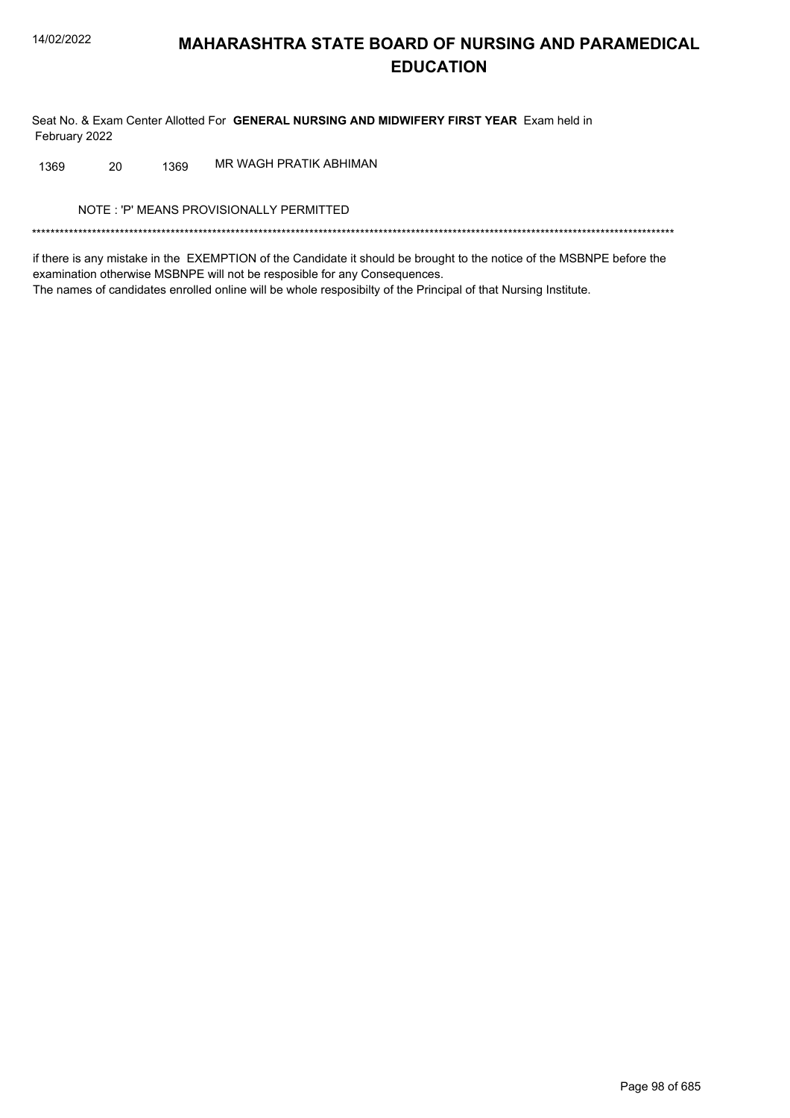Seat No. & Exam Center Allotted For GENERAL NURSING AND MIDWIFERY FIRST YEAR Exam held in February 2022

MR WAGH PRATIK ABHIMAN 20 1369 1369

NOTE: 'P' MEANS PROVISIONALLY PERMITTED

if there is any mistake in the EXEMPTION of the Candidate it should be brought to the notice of the MSBNPE before the examination otherwise MSBNPE will not be resposible for any Consequences. The names of candidates enrolled online will be whole resposibilty of the Principal of that Nursing Institute.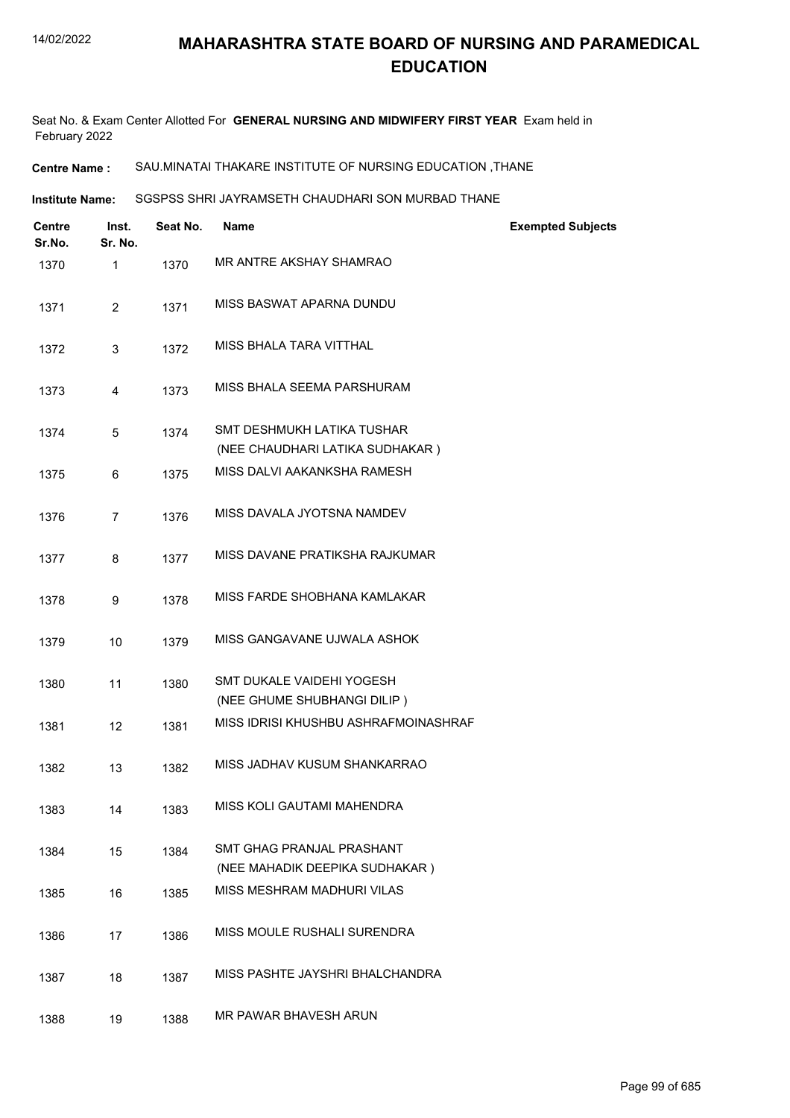Seat No. & Exam Center Allotted For **GENERAL NURSING AND MIDWIFERY FIRST YEAR** Exam held in February 2022

**Centre Name :** SAU.MINATAI THAKARE INSTITUTE OF NURSING EDUCATION ,THANE

SGSPSS SHRI JAYRAMSETH CHAUDHARI SON MURBAD THANE **Institute Name:**

| Centre<br>Sr.No. | Inst.<br>Sr. No. | Seat No. | <b>Name</b>                                                        | <b>Exempted Subjects</b> |
|------------------|------------------|----------|--------------------------------------------------------------------|--------------------------|
| 1370             | 1                | 1370     | MR ANTRE AKSHAY SHAMRAO                                            |                          |
| 1371             | $\overline{2}$   | 1371     | MISS BASWAT APARNA DUNDU                                           |                          |
| 1372             | 3                | 1372     | MISS BHALA TARA VITTHAL                                            |                          |
| 1373             | 4                | 1373     | MISS BHALA SEEMA PARSHURAM                                         |                          |
| 1374             | 5                | 1374     | SMT DESHMUKH LATIKA TUSHAR<br>(NEE CHAUDHARI LATIKA SUDHAKAR)      |                          |
| 1375             | 6                | 1375     | MISS DALVI AAKANKSHA RAMESH                                        |                          |
| 1376             | $\overline{7}$   | 1376     | MISS DAVALA JYOTSNA NAMDEV                                         |                          |
| 1377             | 8                | 1377     | MISS DAVANE PRATIKSHA RAJKUMAR                                     |                          |
| 1378             | 9                | 1378     | MISS FARDE SHOBHANA KAMLAKAR                                       |                          |
| 1379             | 10               | 1379     | MISS GANGAVANE UJWALA ASHOK                                        |                          |
| 1380             | 11               | 1380     | SMT DUKALE VAIDEHI YOGESH<br>(NEE GHUME SHUBHANGI DILIP)           |                          |
| 1381             | 12               | 1381     | MISS IDRISI KHUSHBU ASHRAFMOINASHRAF                               |                          |
| 1382             | 13               | 1382     | MISS JADHAV KUSUM SHANKARRAO                                       |                          |
| 1383             | 14               | 1383     | MISS KOLI GAUTAMI MAHENDRA                                         |                          |
| 1384             | 15               | 1384     | <b>SMT GHAG PRANJAL PRASHANT</b><br>(NEE MAHADIK DEEPIKA SUDHAKAR) |                          |
| 1385             | 16               | 1385     | MISS MESHRAM MADHURI VILAS                                         |                          |
| 1386             | 17               | 1386     | MISS MOULE RUSHALI SURENDRA                                        |                          |
| 1387             | 18               | 1387     | MISS PASHTE JAYSHRI BHALCHANDRA                                    |                          |
| 1388             | 19               | 1388     | MR PAWAR BHAVESH ARUN                                              |                          |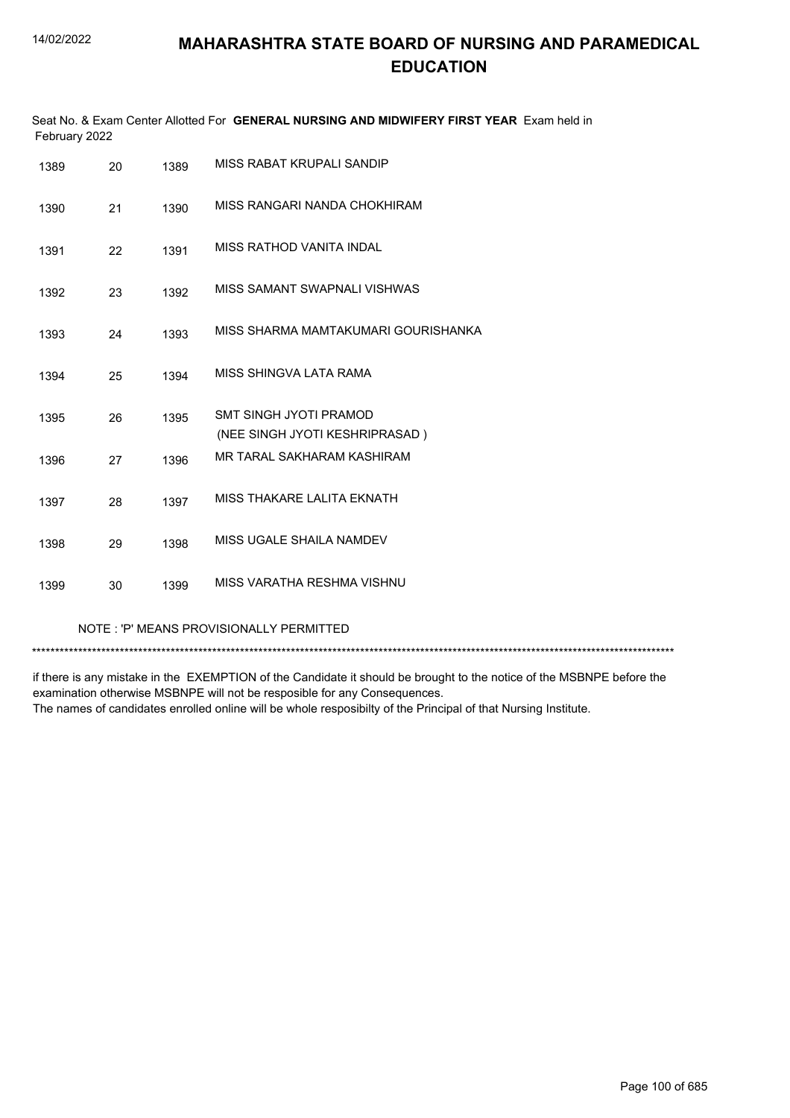| February 2022 |    |      | Seat No. & Exam Center Allotted For GENERAL NURSING AND MIDWIFERY FIRST YEAR Exam held in |
|---------------|----|------|-------------------------------------------------------------------------------------------|
| 1389          | 20 | 1389 | MISS RABAT KRUPALI SANDIP                                                                 |
| 1390          | 21 | 1390 | MISS RANGARI NANDA CHOKHIRAM                                                              |
| 1391          | 22 | 1391 | <b>MISS RATHOD VANITA INDAL</b>                                                           |
| 1392          | 23 | 1392 | MISS SAMANT SWAPNALI VISHWAS                                                              |
| 1393          | 24 | 1393 | MISS SHARMA MAMTAKUMARI GOURISHANKA                                                       |
| 1394          | 25 | 1394 | MISS SHINGVA I ATA RAMA                                                                   |
| 1395          | 26 | 1395 | SMT SINGH JYOTI PRAMOD<br>(NEE SINGH JYOTI KESHRIPRASAD)                                  |
| 1396          | 27 | 1396 | MR TARAL SAKHARAM KASHIRAM                                                                |
| 1397          | 28 | 1397 | MISS THAKARE LALITA EKNATH                                                                |
| 1398          | 29 | 1398 | MISS UGALE SHAILA NAMDEV                                                                  |
| 1399          | 30 | 1399 | MISS VARATHA RESHMA VISHNU                                                                |

NOTE : 'P' MEANS PROVISIONALLY PERMITTED

\*\*\*\*\*\*\*\*\*\*\*\*\*\*\*\*\*\*\*\*\*\*\*\*\*\*\*\*\*\*\*\*\*\*\*\*\*\*\*\*\*\*\*\*\*\*\*\*\*\*\*\*\*\*\*\*\*\*\*\*\*\*\*\*\*\*\*\*\*\*\*\*\*\*\*\*\*\*\*\*\*\*\*\*\*\*\*\*\*\*\*\*\*\*\*\*\*\*\*\*\*\*\*\*\*\*\*\*\*\*\*\*\*\*\*\*\*\*\*\*\*\*\*\*\*\*\*\*\*\*\*\*\*\*\*\*\*\*\*

if there is any mistake in the EXEMPTION of the Candidate it should be brought to the notice of the MSBNPE before the examination otherwise MSBNPE will not be resposible for any Consequences. The names of candidates enrolled online will be whole resposibilty of the Principal of that Nursing Institute.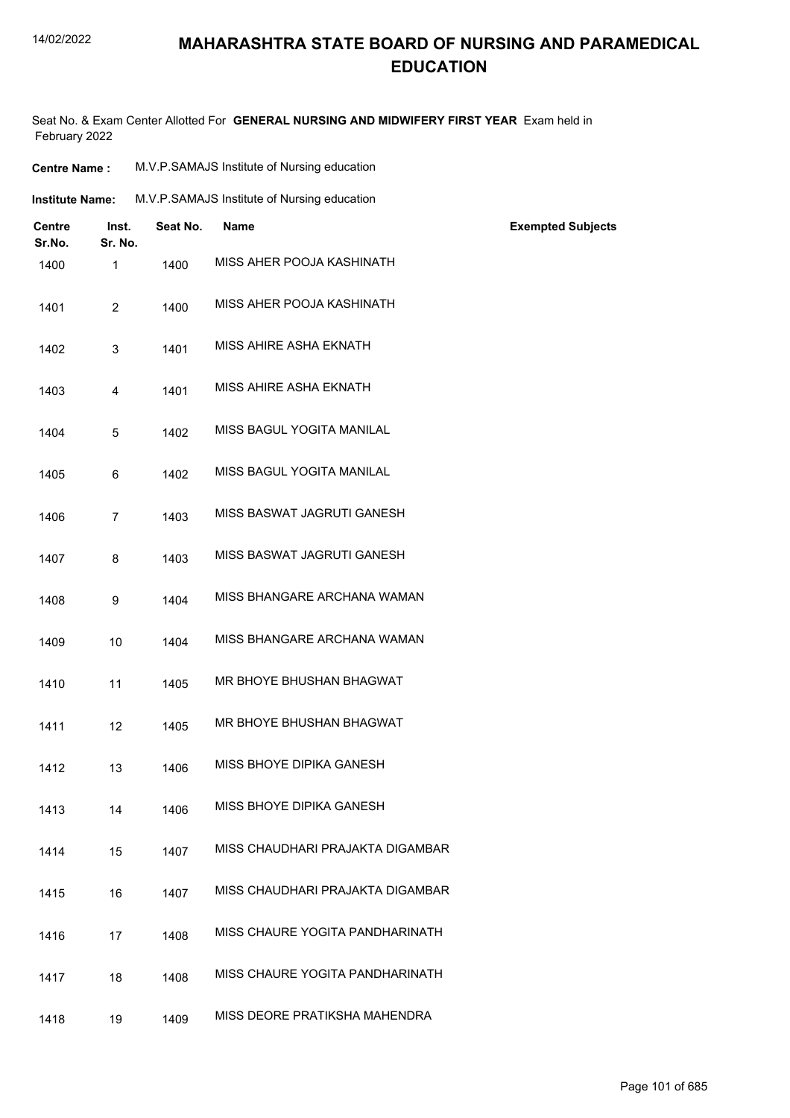#### 14/02/2022

## **MAHARASHTRA STATE BOARD OF NURSING AND PARAMEDICAL EDUCATION**

Seat No. & Exam Center Allotted For **GENERAL NURSING AND MIDWIFERY FIRST YEAR** Exam held in February 2022

| <b>Centre Name:</b>     |                  | M.V.P.SAMAJS Institute of Nursing education |                                             |                          |  |
|-------------------------|------------------|---------------------------------------------|---------------------------------------------|--------------------------|--|
| <b>Institute Name:</b>  |                  |                                             | M.V.P.SAMAJS Institute of Nursing education |                          |  |
| <b>Centre</b><br>Sr.No. | Inst.<br>Sr. No. | Seat No.                                    | <b>Name</b>                                 | <b>Exempted Subjects</b> |  |
| 1400                    | $\mathbf{1}$     | 1400                                        | MISS AHER POOJA KASHINATH                   |                          |  |
| 1401                    | $\overline{c}$   | 1400                                        | MISS AHER POOJA KASHINATH                   |                          |  |
| 1402                    | 3                | 1401                                        | MISS AHIRE ASHA EKNATH                      |                          |  |
| 1403                    | 4                | 1401                                        | MISS AHIRE ASHA EKNATH                      |                          |  |
| 1404                    | 5                | 1402                                        | MISS BAGUL YOGITA MANILAL                   |                          |  |
| 1405                    | 6                | 1402                                        | MISS BAGUL YOGITA MANILAL                   |                          |  |
| 1406                    | $\overline{7}$   | 1403                                        | MISS BASWAT JAGRUTI GANESH                  |                          |  |
| 1407                    | 8                | 1403                                        | MISS BASWAT JAGRUTI GANESH                  |                          |  |
| 1408                    | 9                | 1404                                        | MISS BHANGARE ARCHANA WAMAN                 |                          |  |
| 1409                    | 10               | 1404                                        | MISS BHANGARE ARCHANA WAMAN                 |                          |  |
| 1410                    | 11               | 1405                                        | MR BHOYE BHUSHAN BHAGWAT                    |                          |  |
| 1411                    | 12               | 1405                                        | MR BHOYE BHUSHAN BHAGWAT                    |                          |  |
| 1412                    | 13               | 1406                                        | MISS BHOYE DIPIKA GANESH                    |                          |  |
| 1413                    | 14               | 1406                                        | MISS BHOYE DIPIKA GANESH                    |                          |  |
| 1414                    | 15               | 1407                                        | MISS CHAUDHARI PRAJAKTA DIGAMBAR            |                          |  |
| 1415                    | 16               | 1407                                        | MISS CHAUDHARI PRAJAKTA DIGAMBAR            |                          |  |
| 1416                    | 17               | 1408                                        | MISS CHAURE YOGITA PANDHARINATH             |                          |  |
| 1417                    | 18               | 1408                                        | MISS CHAURE YOGITA PANDHARINATH             |                          |  |
| 1418                    | 19               | 1409                                        | MISS DEORE PRATIKSHA MAHENDRA               |                          |  |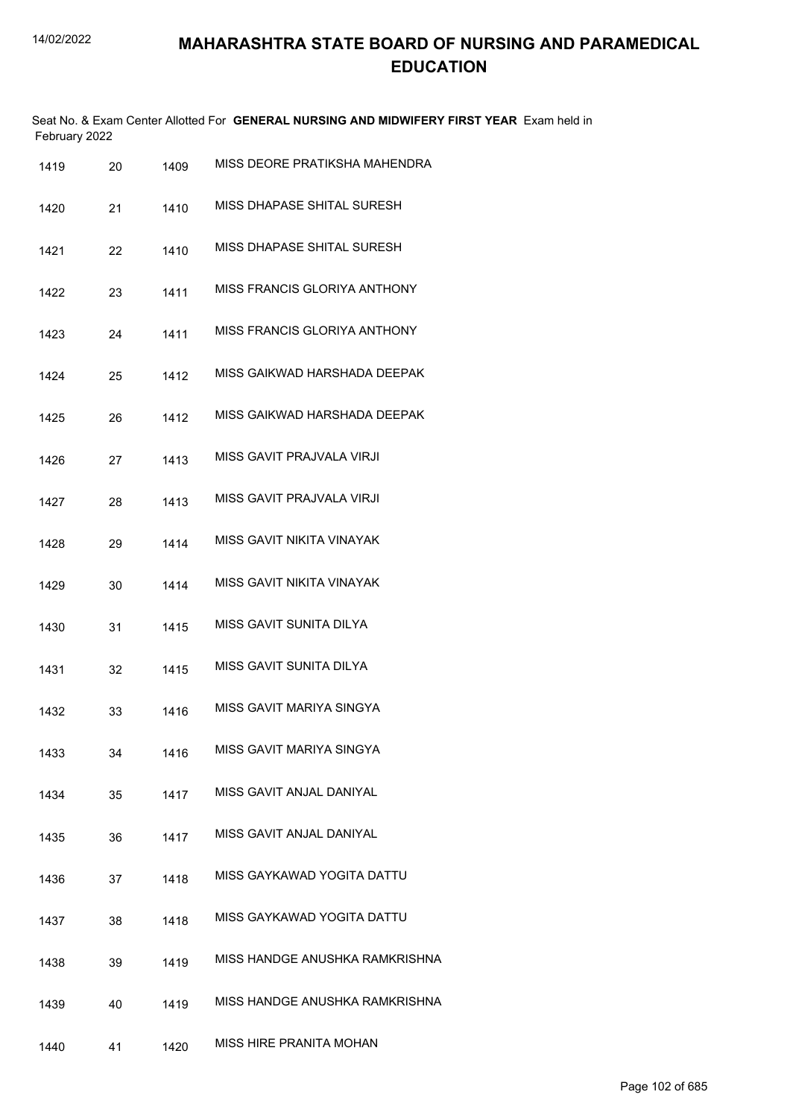| February 2022 |    |      | Seat No. & Exam Center Allotted For GENERAL NURSING AND MIDWIFERY FIRST YEAR Exam held in |
|---------------|----|------|-------------------------------------------------------------------------------------------|
| 1419          | 20 | 1409 | MISS DEORE PRATIKSHA MAHENDRA                                                             |
| 1420          | 21 | 1410 | MISS DHAPASE SHITAL SURESH                                                                |
| 1421          | 22 | 1410 | MISS DHAPASE SHITAL SURESH                                                                |
| 1422          | 23 | 1411 | MISS FRANCIS GLORIYA ANTHONY                                                              |
| 1423          | 24 | 1411 | MISS FRANCIS GLORIYA ANTHONY                                                              |
| 1424          | 25 | 1412 | MISS GAIKWAD HARSHADA DEEPAK                                                              |
| 1425          | 26 | 1412 | MISS GAIKWAD HARSHADA DEEPAK                                                              |
| 1426          | 27 | 1413 | MISS GAVIT PRAJVALA VIRJI                                                                 |
| 1427          | 28 | 1413 | MISS GAVIT PRAJVALA VIRJI                                                                 |
| 1428          | 29 | 1414 | MISS GAVIT NIKITA VINAYAK                                                                 |
| 1429          | 30 | 1414 | MISS GAVIT NIKITA VINAYAK                                                                 |
| 1430          | 31 | 1415 | MISS GAVIT SUNITA DILYA                                                                   |
| 1431          | 32 | 1415 | MISS GAVIT SUNITA DILYA                                                                   |
| 1432          | 33 | 1416 | MISS GAVIT MARIYA SINGYA                                                                  |
| 1433          | 34 | 1416 | MISS GAVIT MARIYA SINGYA                                                                  |
| 1434          | 35 | 1417 | MISS GAVIT ANJAL DANIYAL                                                                  |
| 1435          | 36 | 1417 | MISS GAVIT ANJAL DANIYAL                                                                  |
| 1436          | 37 | 1418 | MISS GAYKAWAD YOGITA DATTU                                                                |
| 1437          | 38 | 1418 | MISS GAYKAWAD YOGITA DATTU                                                                |
| 1438          | 39 | 1419 | MISS HANDGE ANUSHKA RAMKRISHNA                                                            |
| 1439          | 40 | 1419 | MISS HANDGE ANUSHKA RAMKRISHNA                                                            |
| 1440          | 41 | 1420 | MISS HIRE PRANITA MOHAN                                                                   |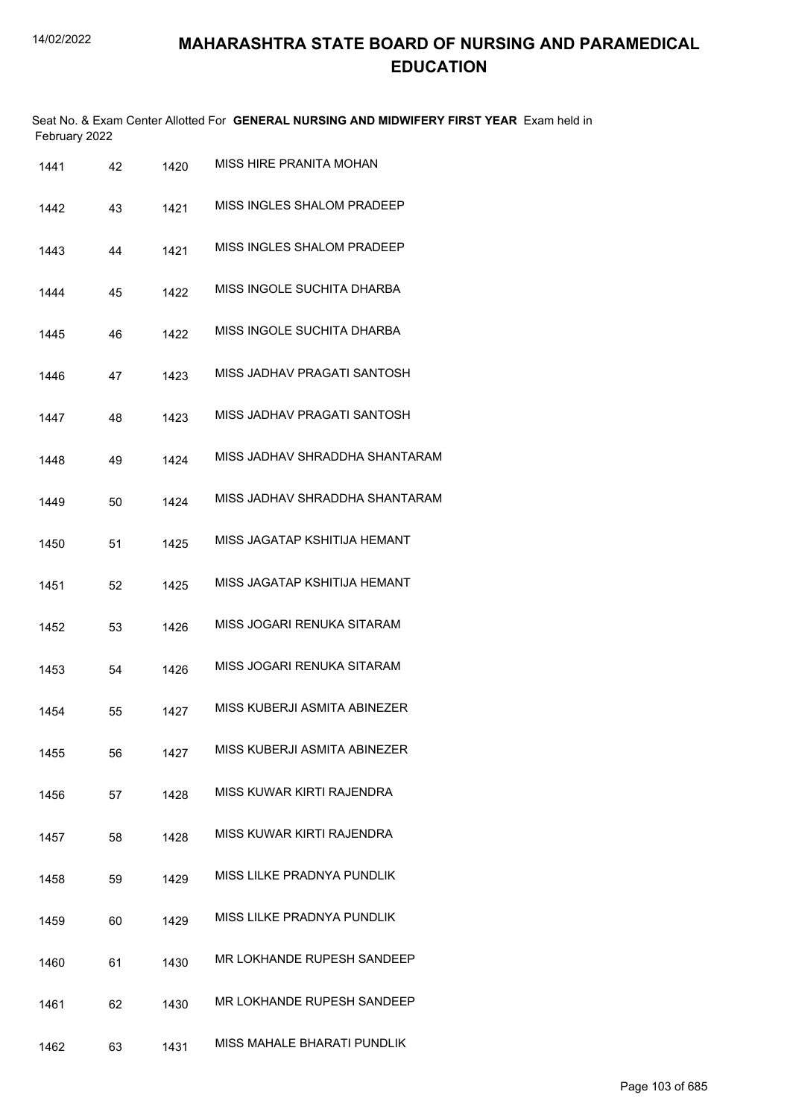Seat No. & Exam Center Allotted For **GENERAL NURSING AND MIDWIFERY FIRST YEAR** Exam held in February 2022

| 1441 | 42 | 1420 | MISS HIRE PRANITA MOHAN           |
|------|----|------|-----------------------------------|
| 1442 | 43 | 1421 | <b>MISS INGLES SHALOM PRADEEP</b> |
| 1443 | 44 | 1421 | <b>MISS INGLES SHALOM PRADEEP</b> |
| 1444 | 45 | 1422 | MISS INGOLE SUCHITA DHARBA        |
| 1445 | 46 | 1422 | MISS INGOLE SUCHITA DHARBA        |
| 1446 | 47 | 1423 | MISS JADHAV PRAGATI SANTOSH       |
| 1447 | 48 | 1423 | MISS JADHAV PRAGATI SANTOSH       |
| 1448 | 49 | 1424 | MISS JADHAV SHRADDHA SHANTARAM    |
| 1449 | 50 | 1424 | MISS JADHAV SHRADDHA SHANTARAM    |
| 1450 | 51 | 1425 | MISS JAGATAP KSHITIJA HEMANT      |
| 1451 | 52 | 1425 | MISS JAGATAP KSHITIJA HEMANT      |
| 1452 | 53 | 1426 | MISS JOGARI RENUKA SITARAM        |
| 1453 | 54 | 1426 | MISS JOGARI RENUKA SITARAM        |
| 1454 | 55 | 1427 | MISS KUBERJI ASMITA ABINEZER      |
| 1455 | 56 | 1427 | MISS KUBERJI ASMITA ABINEZER      |
| 1456 | 57 | 1428 | MISS KUWAR KIRTI RAJENDRA         |
| 1457 | 58 | 1428 | MISS KUWAR KIRTI RAJENDRA         |
| 1458 | 59 | 1429 | MISS LILKE PRADNYA PUNDLIK        |
| 1459 | 60 | 1429 | MISS LILKE PRADNYA PUNDLIK        |
| 1460 | 61 | 1430 | MR LOKHANDE RUPESH SANDEEP        |
| 1461 | 62 | 1430 | MR LOKHANDE RUPESH SANDEEP        |
| 1462 | 63 | 1431 | MISS MAHALE BHARATI PUNDLIK       |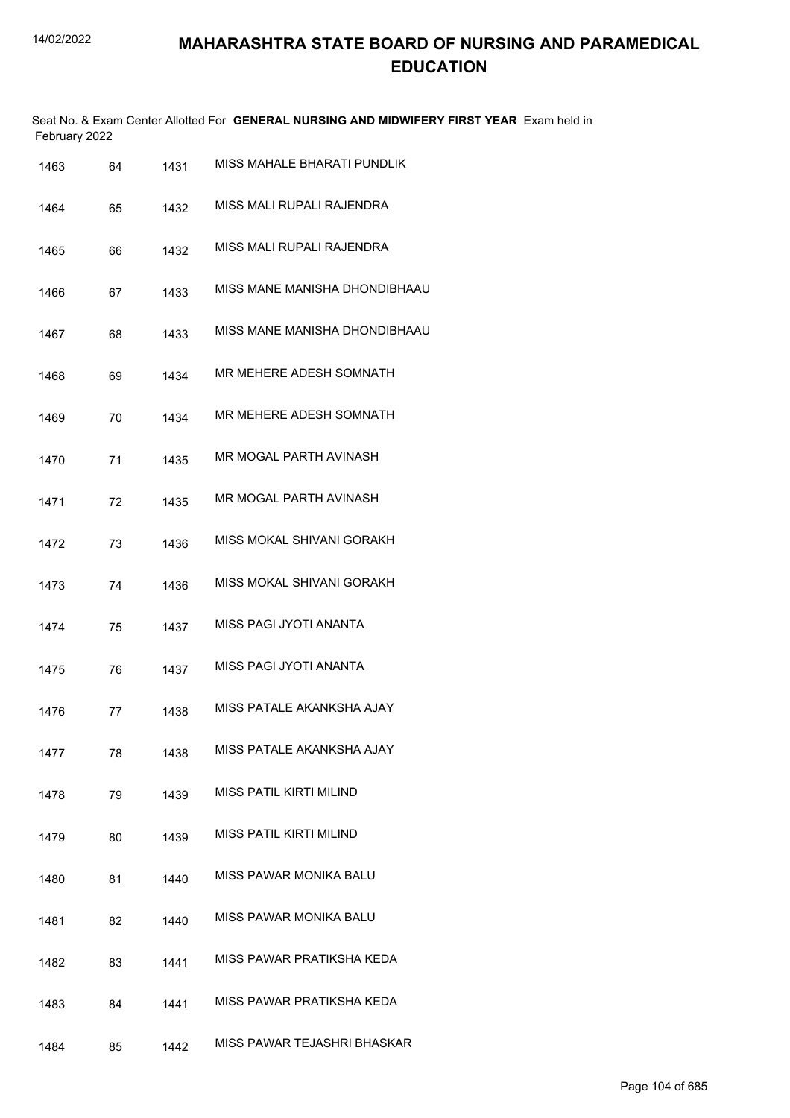|      | February 2022 |      | Seat No. & Exam Center Allotted For GENERAL NURSING AND MIDWIFERY FIRST YEAR Exam held in |
|------|---------------|------|-------------------------------------------------------------------------------------------|
| 1463 | 64            | 1431 | MISS MAHALE BHARATI PUNDLIK                                                               |
| 1464 | 65            | 1432 | MISS MALI RUPALI RAJENDRA                                                                 |
| 1465 | 66            | 1432 | MISS MALI RUPALI RAJENDRA                                                                 |
| 1466 | 67            | 1433 | MISS MANE MANISHA DHONDIBHAAU                                                             |
| 1467 | 68            | 1433 | MISS MANE MANISHA DHONDIBHAAU                                                             |
| 1468 | 69            | 1434 | MR MEHERE ADESH SOMNATH                                                                   |
| 1469 | 70            | 1434 | MR MEHERE ADESH SOMNATH                                                                   |
| 1470 | 71            | 1435 | MR MOGAL PARTH AVINASH                                                                    |
| 1471 | 72            | 1435 | MR MOGAL PARTH AVINASH                                                                    |
| 1472 | 73            | 1436 | MISS MOKAL SHIVANI GORAKH                                                                 |
| 1473 | 74            | 1436 | MISS MOKAL SHIVANI GORAKH                                                                 |
| 1474 | 75            | 1437 | MISS PAGI JYOTI ANANTA                                                                    |
| 1475 | 76            | 1437 | MISS PAGI JYOTI ANANTA                                                                    |
| 1476 | 77            | 1438 | MISS PATALE AKANKSHA AJAY                                                                 |
| 1477 | 78            | 1438 | MISS PATALE AKANKSHA AJAY                                                                 |
| 1478 | 79            | 1439 | MISS PATIL KIRTI MILIND                                                                   |
| 1479 | 80            | 1439 | MISS PATIL KIRTI MILIND                                                                   |
| 1480 | 81            | 1440 | MISS PAWAR MONIKA BALU                                                                    |
| 1481 | 82            | 1440 | MISS PAWAR MONIKA BALU                                                                    |
| 1482 | 83            | 1441 | MISS PAWAR PRATIKSHA KEDA                                                                 |
| 1483 | 84            | 1441 | MISS PAWAR PRATIKSHA KEDA                                                                 |
| 1484 | 85            | 1442 | MISS PAWAR TEJASHRI BHASKAR                                                               |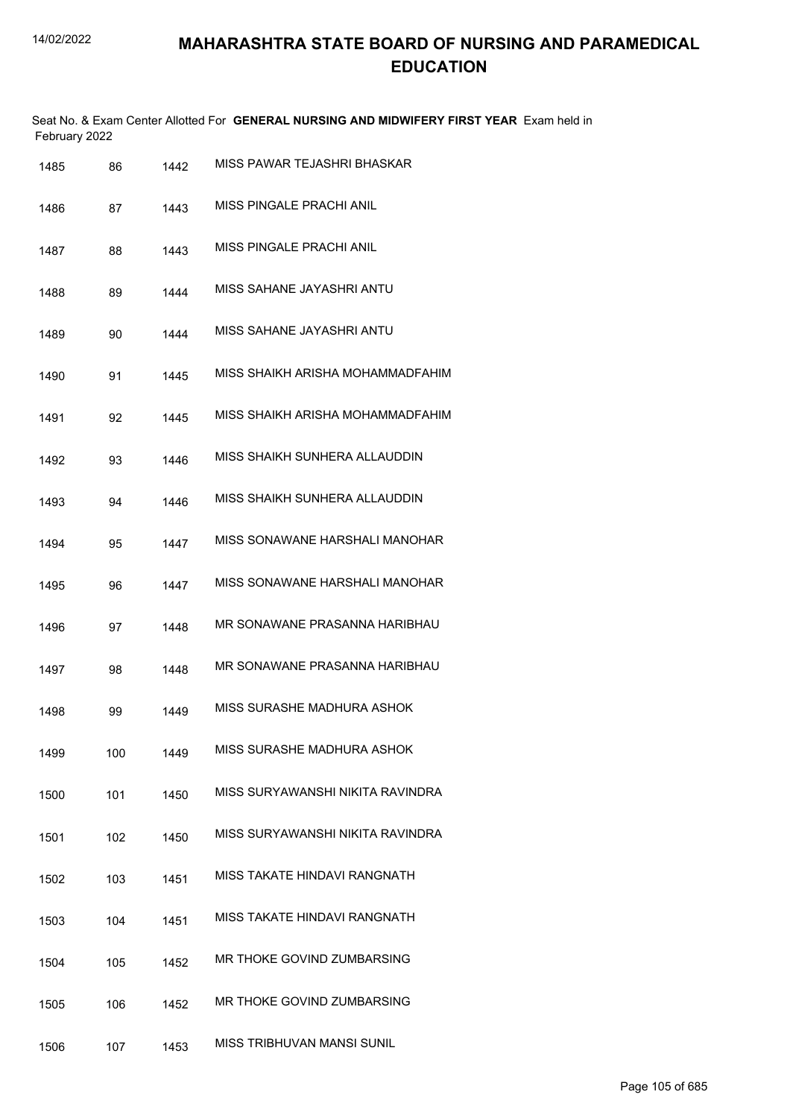|               | Seat No. & Exam Center Allotted For GENERAL NURSING AND MIDWIFERY FIRST YEAR Exam held in |
|---------------|-------------------------------------------------------------------------------------------|
| February 2022 |                                                                                           |

| 87<br>88 | 1443 | MISS PINGALE PRACHI ANIL         |
|----------|------|----------------------------------|
|          |      |                                  |
|          | 1443 | MISS PINGALE PRACHI ANIL         |
| 89       | 1444 | MISS SAHANE JAYASHRI ANTU        |
| 90       | 1444 | MISS SAHANE JAYASHRI ANTU        |
| 91       | 1445 | MISS SHAIKH ARISHA MOHAMMADFAHIM |
| 92       | 1445 | MISS SHAIKH ARISHA MOHAMMADFAHIM |
| 93       | 1446 | MISS SHAIKH SUNHERA ALLAUDDIN    |
| 94       | 1446 | MISS SHAIKH SUNHERA ALLAUDDIN    |
| 95       | 1447 | MISS SONAWANE HARSHALI MANOHAR   |
| 96       | 1447 | MISS SONAWANE HARSHALI MANOHAR   |
| 97       | 1448 | MR SONAWANE PRASANNA HARIBHAU    |
| 98       | 1448 | MR SONAWANE PRASANNA HARIBHAU    |
| 99       | 1449 | MISS SURASHE MADHURA ASHOK       |
| 100      | 1449 | MISS SURASHE MADHURA ASHOK       |
| 101      | 1450 | MISS SURYAWANSHI NIKITA RAVINDRA |
| 102      | 1450 | MISS SURYAWANSHI NIKITA RAVINDRA |
| 103      | 1451 | MISS TAKATE HINDAVI RANGNATH     |
| 104      | 1451 | MISS TAKATE HINDAVI RANGNATH     |
| 105      | 1452 | MR THOKE GOVIND ZUMBARSING       |
| 106      | 1452 | MR THOKE GOVIND ZUMBARSING       |
| 107      | 1453 | MISS TRIBHUVAN MANSI SUNIL       |
|          |      |                                  |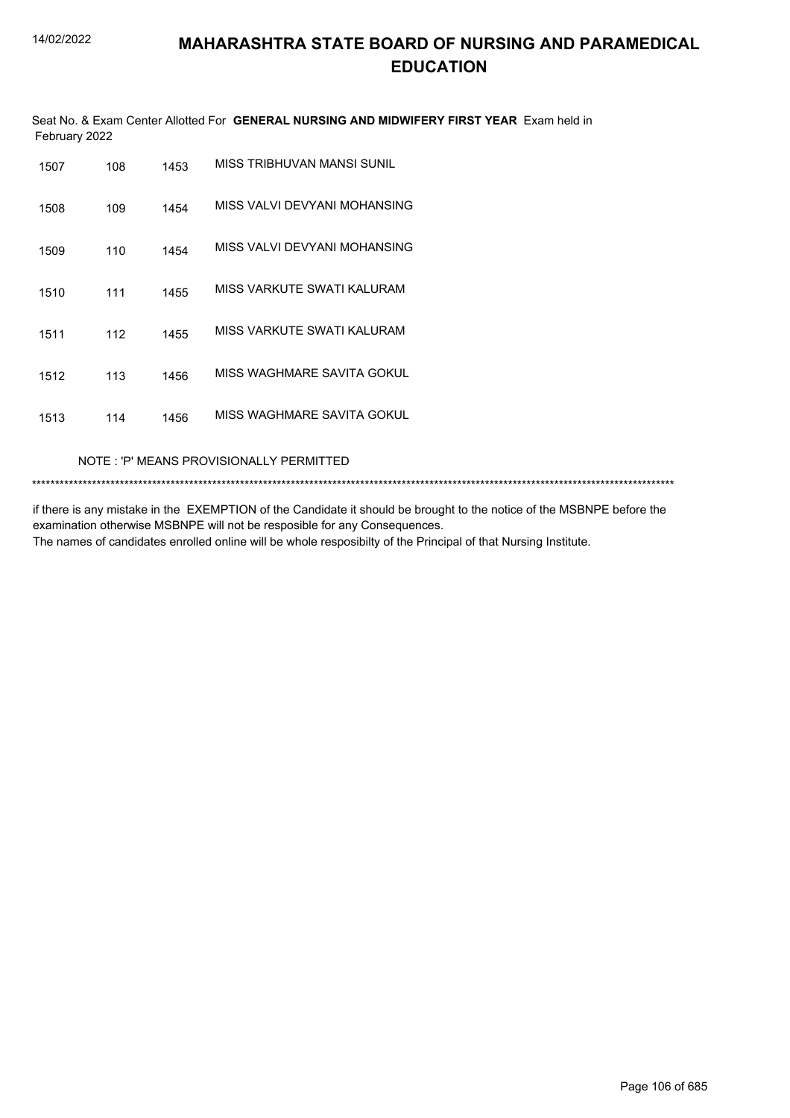Seat No. & Exam Center Allotted For GENERAL NURSING AND MIDWIFERY FIRST YEAR Exam held in February 2022

| 1507 | 108 | 1453 | MISS TRIBHUVAN MANSI SUNIL   |
|------|-----|------|------------------------------|
| 1508 | 109 | 1454 | MISS VALVI DEVYANI MOHANSING |
| 1509 | 110 | 1454 | MISS VALVI DEVYANI MOHANSING |
| 1510 | 111 | 1455 | MISS VARKUTE SWATI KALURAM   |
| 1511 | 112 | 1455 | MISS VARKUTE SWATI KAI URAM  |
| 1512 | 113 | 1456 | MISS WAGHMARE SAVITA GOKUL   |
| 1513 | 114 | 1456 | MISS WAGHMARE SAVITA GOKUL   |

NOTE: 'P' MEANS PROVISIONALLY PERMITTED

if there is any mistake in the EXEMPTION of the Candidate it should be brought to the notice of the MSBNPE before the examination otherwise MSBNPE will not be resposible for any Consequences. The names of candidates enrolled online will be whole resposibilty of the Principal of that Nursing Institute.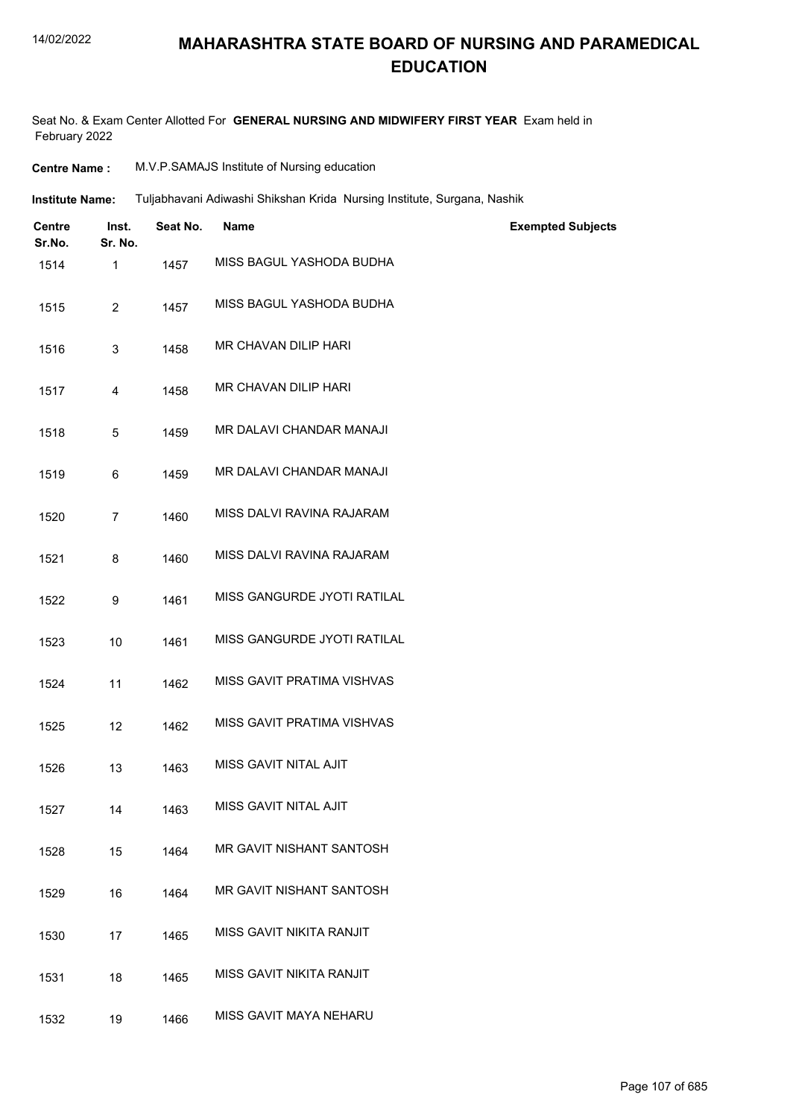#### 14/02/2022

#### **MAHARASHTRA STATE BOARD OF NURSING AND PARAMEDICAL EDUCATION**

Seat No. & Exam Center Allotted For **GENERAL NURSING AND MIDWIFERY FIRST YEAR** Exam held in February 2022

| <b>Centre Name :</b> | M.V.P.SAMAJS Institute of Nursing education |
|----------------------|---------------------------------------------|
|----------------------|---------------------------------------------|

Tuljabhavani Adiwashi Shikshan Krida Nursing Institute, Surgana, Nashik **Institute Name:**

| <b>Centre</b><br>Sr.No. | Inst.<br>Sr. No. | Seat No. | Name                        | <b>Exempted Subjects</b> |  |
|-------------------------|------------------|----------|-----------------------------|--------------------------|--|
| 1514                    | 1                | 1457     | MISS BAGUL YASHODA BUDHA    |                          |  |
| 1515                    | $\overline{2}$   | 1457     | MISS BAGUL YASHODA BUDHA    |                          |  |
| 1516                    | 3                | 1458     | MR CHAVAN DILIP HARI        |                          |  |
| 1517                    | 4                | 1458     | MR CHAVAN DILIP HARI        |                          |  |
| 1518                    | 5                | 1459     | MR DALAVI CHANDAR MANAJI    |                          |  |
| 1519                    | 6                | 1459     | MR DALAVI CHANDAR MANAJI    |                          |  |
| 1520                    | $\overline{7}$   | 1460     | MISS DALVI RAVINA RAJARAM   |                          |  |
| 1521                    | 8                | 1460     | MISS DALVI RAVINA RAJARAM   |                          |  |
| 1522                    | 9                | 1461     | MISS GANGURDE JYOTI RATILAL |                          |  |
| 1523                    | 10               | 1461     | MISS GANGURDE JYOTI RATILAL |                          |  |
| 1524                    | 11               | 1462     | MISS GAVIT PRATIMA VISHVAS  |                          |  |
| 1525                    | 12               | 1462     | MISS GAVIT PRATIMA VISHVAS  |                          |  |
| 1526                    | 13               | 1463     | MISS GAVIT NITAL AJIT       |                          |  |
| 1527                    | 14               | 1463     | MISS GAVIT NITAL AJIT       |                          |  |
| 1528                    | 15               | 1464     | MR GAVIT NISHANT SANTOSH    |                          |  |
| 1529                    | 16               | 1464     | MR GAVIT NISHANT SANTOSH    |                          |  |
| 1530                    | 17               | 1465     | MISS GAVIT NIKITA RANJIT    |                          |  |
| 1531                    | 18               | 1465     | MISS GAVIT NIKITA RANJIT    |                          |  |
| 1532                    | 19               | 1466     | MISS GAVIT MAYA NEHARU      |                          |  |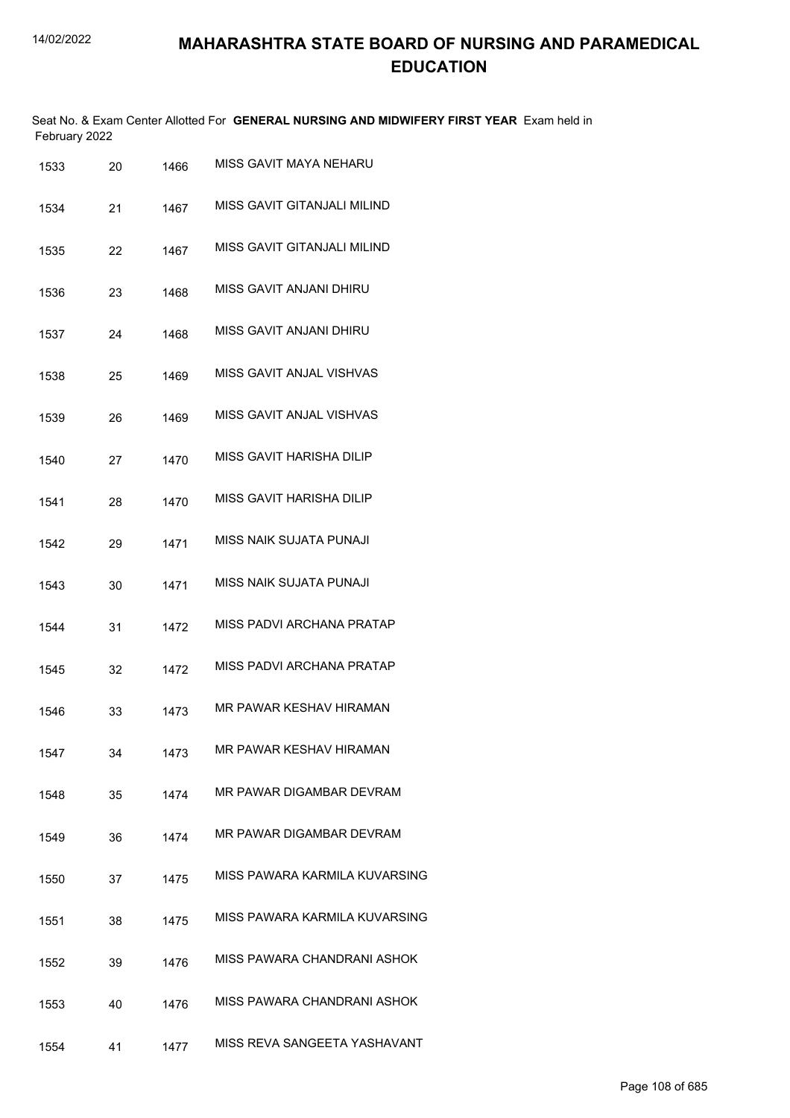Seat No. & Exam Center Allotted For **GENERAL NURSING AND MIDWIFERY FIRST YEAR** Exam held in February 2022

| 1533 | 20 | 1466 | MISS GAVIT MAYA NEHARU         |
|------|----|------|--------------------------------|
| 1534 | 21 | 1467 | MISS GAVIT GITANJALI MILIND    |
| 1535 | 22 | 1467 | MISS GAVIT GITANJALI MILIND    |
| 1536 | 23 | 1468 | <b>MISS GAVIT ANJANI DHIRU</b> |
| 1537 | 24 | 1468 | MISS GAVIT ANJANI DHIRU        |
| 1538 | 25 | 1469 | MISS GAVIT ANJAL VISHVAS       |
| 1539 | 26 | 1469 | MISS GAVIT ANJAL VISHVAS       |
| 1540 | 27 | 1470 | MISS GAVIT HARISHA DILIP       |
| 1541 | 28 | 1470 | MISS GAVIT HARISHA DILIP       |
| 1542 | 29 | 1471 | MISS NAIK SUJATA PUNAJI        |
| 1543 | 30 | 1471 | MISS NAIK SUJATA PUNAJI        |
| 1544 | 31 | 1472 | MISS PADVI ARCHANA PRATAP      |
| 1545 | 32 | 1472 | MISS PADVI ARCHANA PRATAP      |
| 1546 | 33 | 1473 | MR PAWAR KESHAV HIRAMAN        |
| 1547 | 34 | 1473 | MR PAWAR KESHAV HIRAMAN        |
| 1548 | 35 | 1474 | MR PAWAR DIGAMBAR DEVRAM       |
| 1549 | 36 | 1474 | MR PAWAR DIGAMBAR DEVRAM       |
| 1550 | 37 | 1475 | MISS PAWARA KARMILA KUVARSING  |
| 1551 | 38 | 1475 | MISS PAWARA KARMILA KUVARSING  |
| 1552 | 39 | 1476 | MISS PAWARA CHANDRANI ASHOK    |
| 1553 | 40 | 1476 | MISS PAWARA CHANDRANI ASHOK    |
| 1554 | 41 | 1477 | MISS REVA SANGEETA YASHAVANT   |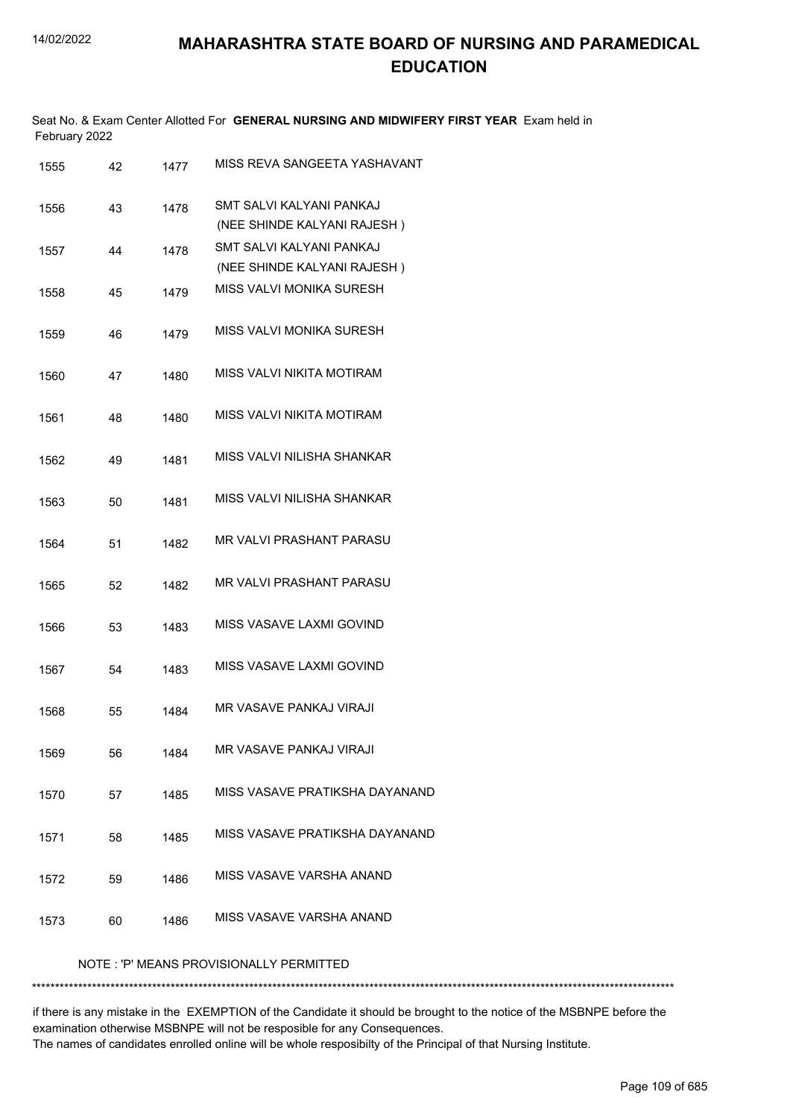|               | Seat No. & Exam Center Allotted For GENERAL NURSING AND MIDWIFERY FIRST YEAR Exam held in |  |
|---------------|-------------------------------------------------------------------------------------------|--|
| February 2022 |                                                                                           |  |

| 1555                                    | 42 | 1477 | MISS REVA SANGEETA YASHAVANT     |  |  |
|-----------------------------------------|----|------|----------------------------------|--|--|
| 1556                                    | 43 | 1478 | SMT SALVI KALYANI PANKAJ         |  |  |
|                                         |    |      | (NEE SHINDE KALYANI RAJESH)      |  |  |
| 1557                                    | 44 | 1478 | SMT SALVI KALYANI PANKAJ         |  |  |
|                                         |    |      | (NEE SHINDE KALYANI RAJESH)      |  |  |
| 1558                                    | 45 | 1479 | MISS VALVI MONIKA SURESH         |  |  |
| 1559                                    | 46 | 1479 | MISS VALVI MONIKA SURESH         |  |  |
| 1560                                    | 47 | 1480 | <b>MISS VALVI NIKITA MOTIRAM</b> |  |  |
| 1561                                    | 48 | 1480 | MISS VALVI NIKITA MOTIRAM        |  |  |
| 1562                                    | 49 | 1481 | MISS VALVI NILISHA SHANKAR       |  |  |
| 1563                                    | 50 | 1481 | MISS VALVI NILISHA SHANKAR       |  |  |
| 1564                                    | 51 | 1482 | <b>MR VALVI PRASHANT PARASU</b>  |  |  |
| 1565                                    | 52 | 1482 | MR VALVI PRASHANT PARASU         |  |  |
| 1566                                    | 53 | 1483 | MISS VASAVE LAXMI GOVIND         |  |  |
| 1567                                    | 54 | 1483 | MISS VASAVE LAXMI GOVIND         |  |  |
| 1568                                    | 55 | 1484 | MR VASAVE PANKAJ VIRAJI          |  |  |
| 1569                                    | 56 | 1484 | MR VASAVE PANKAJ VIRAJI          |  |  |
| 1570                                    | 57 | 1485 | MISS VASAVE PRATIKSHA DAYANAND   |  |  |
| 1571                                    | 58 | 1485 | MISS VASAVE PRATIKSHA DAYANAND   |  |  |
| 1572                                    | 59 | 1486 | MISS VASAVE VARSHA ANAND         |  |  |
| 1573                                    | 60 | 1486 | MISS VASAVE VARSHA ANAND         |  |  |
| NOTE: 'P' MEANS PROVISIONALLY PERMITTED |    |      |                                  |  |  |

\*\*\*\*\*\*\*\*\*\*\*\*\*\*\*\*\*\*\*\*\*\*\*\*\*\*\*\*\*\*\*\*\*\*\*\*\*\*\*\*\*\*\*\*\*\*\*\*\*\*\*\*\*\*\*\*\*\*\*\*\*\*\*\*\*\*\*\*\*\*\*\*\*\*\*\*\*\*\*\*\*\*\*\*\*\*\*\*\*\*\*\*\*\*\*\*\*\*\*\*\*\*\*\*\*\*\*\*\*\*\*\*\*\*\*\*\*\*\*\*\*\*\*\*\*\*\*\*\*\*\*\*\*\*\*\*\*\*\*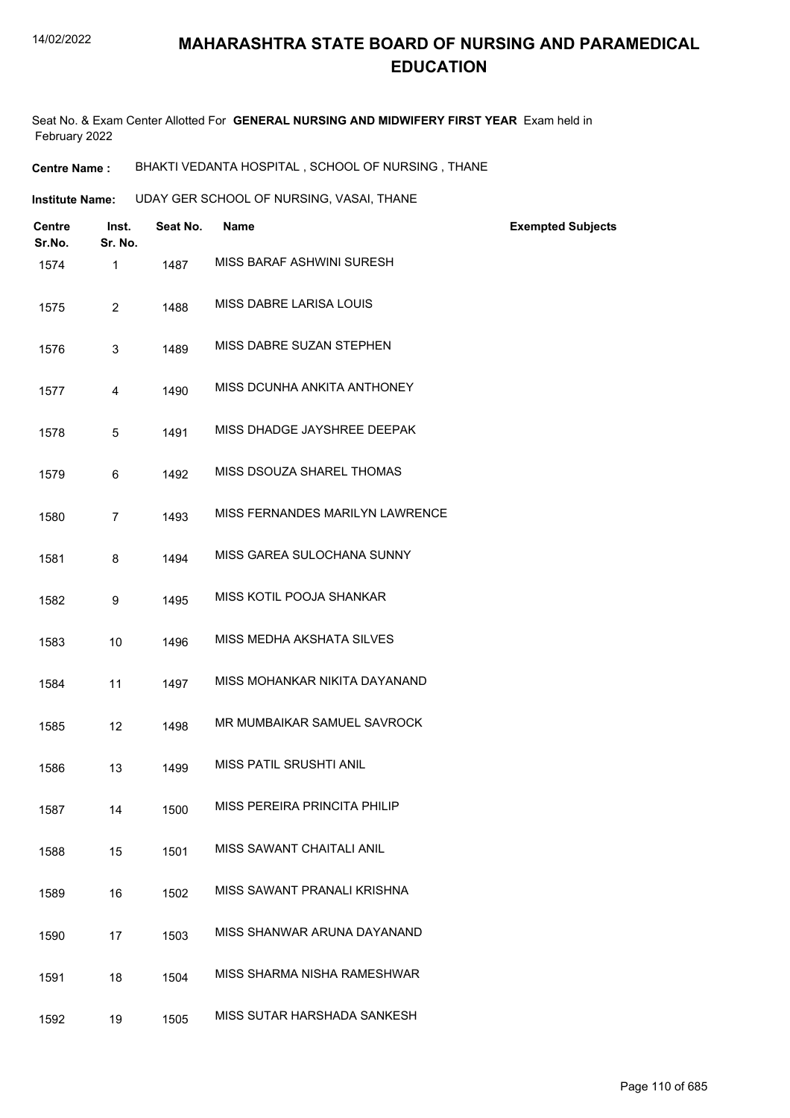Seat No. & Exam Center Allotted For **GENERAL NURSING AND MIDWIFERY FIRST YEAR** Exam held in February 2022

**Centre Name :** BHAKTI VEDANTA HOSPITAL , SCHOOL OF NURSING , THANE

**Institute Name: CDDAY GER SCHOOL OF NURSING, VASAI, THANE** 

| <b>Centre</b><br>Sr.No. | Inst.<br>Sr. No. | Seat No. | <b>Name</b>                     | <b>Exempted Subjects</b> |
|-------------------------|------------------|----------|---------------------------------|--------------------------|
| 1574                    | 1                | 1487     | MISS BARAF ASHWINI SURESH       |                          |
| 1575                    | $\overline{2}$   | 1488     | MISS DABRE LARISA LOUIS         |                          |
| 1576                    | 3                | 1489     | MISS DABRE SUZAN STEPHEN        |                          |
| 1577                    | 4                | 1490     | MISS DCUNHA ANKITA ANTHONEY     |                          |
| 1578                    | 5                | 1491     | MISS DHADGE JAYSHREE DEEPAK     |                          |
| 1579                    | 6                | 1492     | MISS DSOUZA SHAREL THOMAS       |                          |
| 1580                    | $\overline{7}$   | 1493     | MISS FERNANDES MARILYN LAWRENCE |                          |
| 1581                    | 8                | 1494     | MISS GAREA SULOCHANA SUNNY      |                          |
| 1582                    | 9                | 1495     | MISS KOTIL POOJA SHANKAR        |                          |
| 1583                    | 10               | 1496     | MISS MEDHA AKSHATA SILVES       |                          |
| 1584                    | 11               | 1497     | MISS MOHANKAR NIKITA DAYANAND   |                          |
| 1585                    | 12               | 1498     | MR MUMBAIKAR SAMUEL SAVROCK     |                          |
| 1586                    | 13               | 1499     | MISS PATIL SRUSHTI ANIL         |                          |
| 1587                    | 14               | 1500     | MISS PEREIRA PRINCITA PHILIP    |                          |
| 1588                    | 15               | 1501     | MISS SAWANT CHAITALI ANIL       |                          |
| 1589                    | 16               | 1502     | MISS SAWANT PRANALI KRISHNA     |                          |
| 1590                    | 17               | 1503     | MISS SHANWAR ARUNA DAYANAND     |                          |
| 1591                    | 18               | 1504     | MISS SHARMA NISHA RAMESHWAR     |                          |
| 1592                    | 19               | 1505     | MISS SUTAR HARSHADA SANKESH     |                          |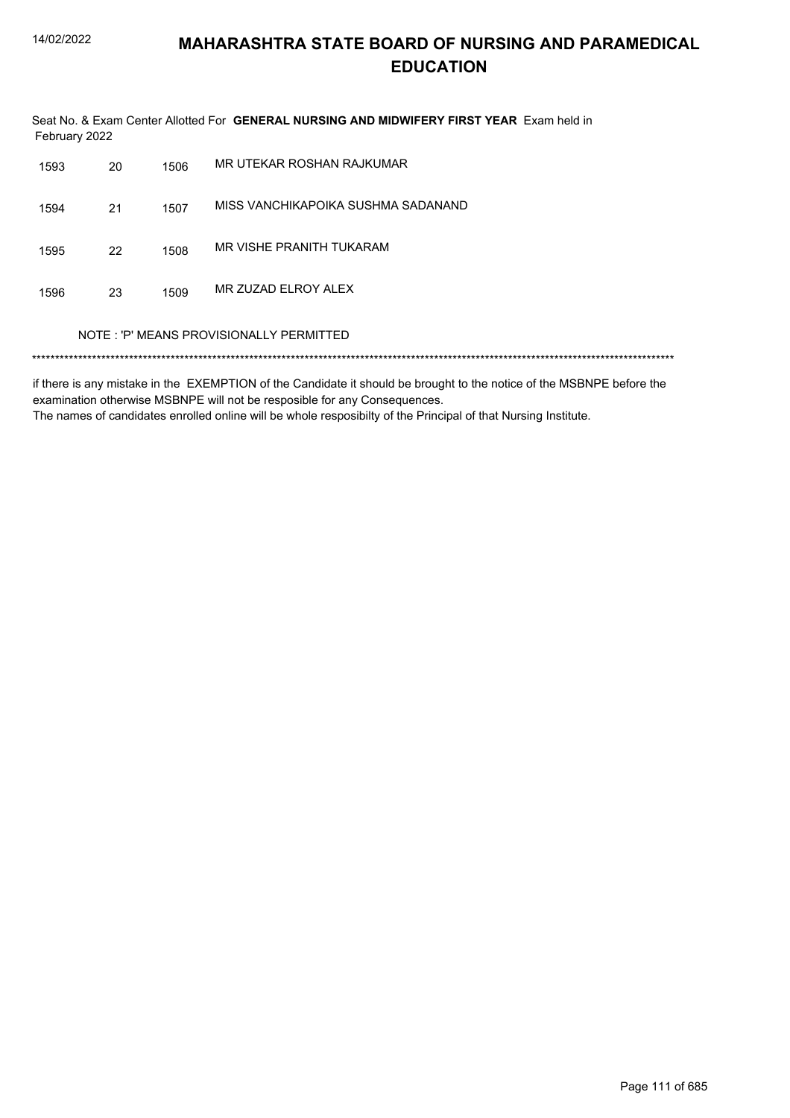Seat No. & Exam Center Allotted For GENERAL NURSING AND MIDWIFERY FIRST YEAR Exam held in February 2022

| 1593 | 20                                      | 1506 | MR UTEKAR ROSHAN RAJKUMAR          |  |  |  |
|------|-----------------------------------------|------|------------------------------------|--|--|--|
| 1594 | 21                                      | 1507 | MISS VANCHIKAPOIKA SUSHMA SADANAND |  |  |  |
| 1595 | 22                                      | 1508 | MR VISHE PRANITH TUKARAM           |  |  |  |
| 1596 | 23                                      | 1509 | MR ZUZAD ELROY ALEX                |  |  |  |
|      | NOTE: 'P' MEANS PROVISIONALLY PERMITTED |      |                                    |  |  |  |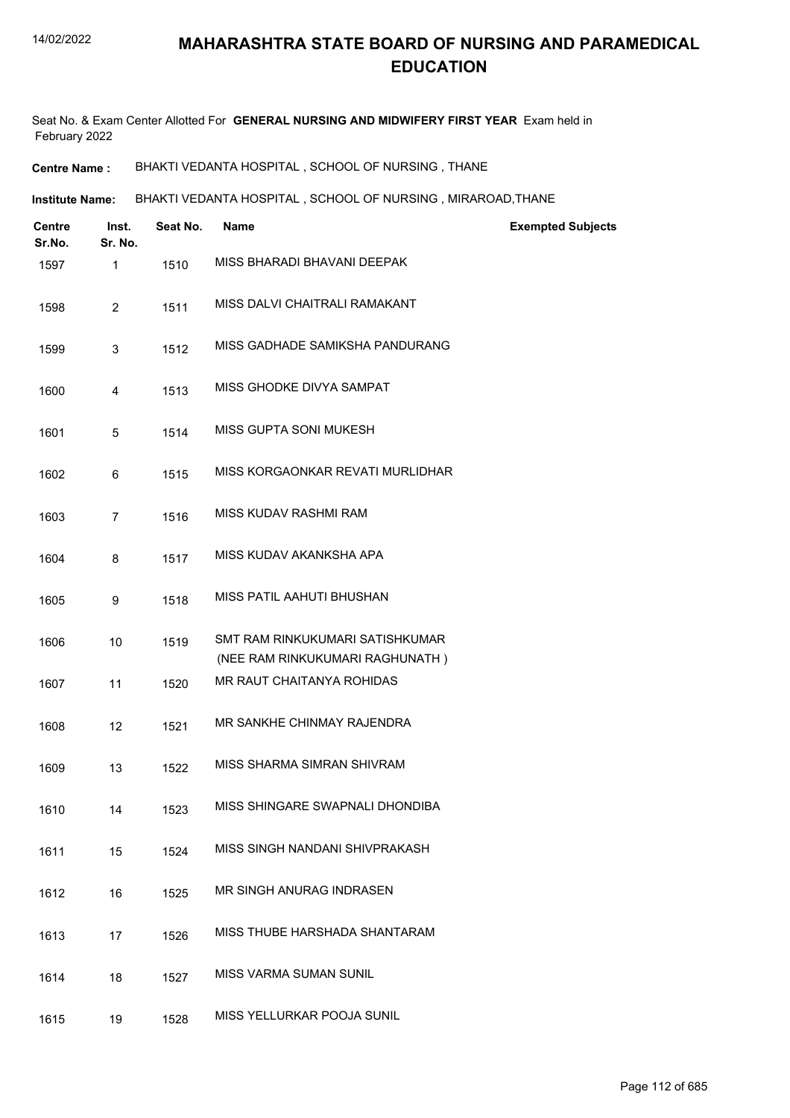Seat No. & Exam Center Allotted For **GENERAL NURSING AND MIDWIFERY FIRST YEAR** Exam held in February 2022

**Centre Name :** BHAKTI VEDANTA HOSPITAL , SCHOOL OF NURSING , THANE

**Institute Name: BHAKTI VEDANTA HOSPITAL , SCHOOL OF NURSING , MIRAROAD,THANE** 

| <b>Centre</b><br>Sr.No. | Inst.<br>Sr. No. | Seat No. | <b>Name</b>                                                        | <b>Exempted Subjects</b> |
|-------------------------|------------------|----------|--------------------------------------------------------------------|--------------------------|
| 1597                    | 1                | 1510     | MISS BHARADI BHAVANI DEEPAK                                        |                          |
| 1598                    | $\overline{2}$   | 1511     | MISS DALVI CHAITRALI RAMAKANT                                      |                          |
| 1599                    | 3                | 1512     | MISS GADHADE SAMIKSHA PANDURANG                                    |                          |
| 1600                    | 4                | 1513     | MISS GHODKE DIVYA SAMPAT                                           |                          |
| 1601                    | 5                | 1514     | MISS GUPTA SONI MUKESH                                             |                          |
| 1602                    | 6                | 1515     | MISS KORGAONKAR REVATI MURLIDHAR                                   |                          |
| 1603                    | $\overline{7}$   | 1516     | MISS KUDAV RASHMI RAM                                              |                          |
| 1604                    | 8                | 1517     | MISS KUDAV AKANKSHA APA                                            |                          |
| 1605                    | 9                | 1518     | MISS PATIL AAHUTI BHUSHAN                                          |                          |
| 1606                    | 10               | 1519     | SMT RAM RINKUKUMARI SATISHKUMAR<br>(NEE RAM RINKUKUMARI RAGHUNATH) |                          |
| 1607                    | 11               | 1520     | MR RAUT CHAITANYA ROHIDAS                                          |                          |
| 1608                    | 12               | 1521     | MR SANKHE CHINMAY RAJENDRA                                         |                          |
| 1609                    | 13               | 1522     | MISS SHARMA SIMRAN SHIVRAM                                         |                          |
| 1610                    | 14               | 1523     | MISS SHINGARE SWAPNALI DHONDIBA                                    |                          |
| 1611                    | 15               | 1524     | MISS SINGH NANDANI SHIVPRAKASH                                     |                          |
| 1612                    | 16               | 1525     | MR SINGH ANURAG INDRASEN                                           |                          |
| 1613                    | 17               | 1526     | MISS THUBE HARSHADA SHANTARAM                                      |                          |
| 1614                    | 18               | 1527     | <b>MISS VARMA SUMAN SUNIL</b>                                      |                          |
| 1615                    | 19               | 1528     | MISS YELLURKAR POOJA SUNIL                                         |                          |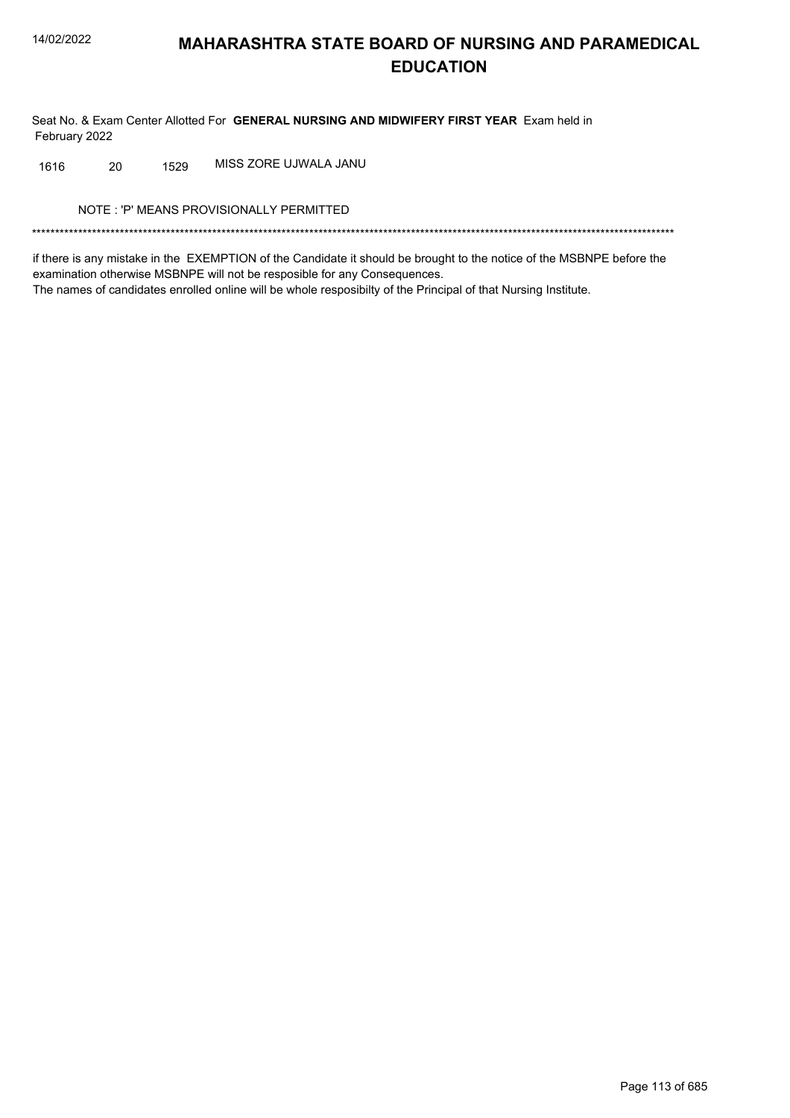Seat No. & Exam Center Allotted For GENERAL NURSING AND MIDWIFERY FIRST YEAR Exam held in February 2022

MISS ZORE UJWALA JANU 20 1529 1616

NOTE: 'P' MEANS PROVISIONALLY PERMITTED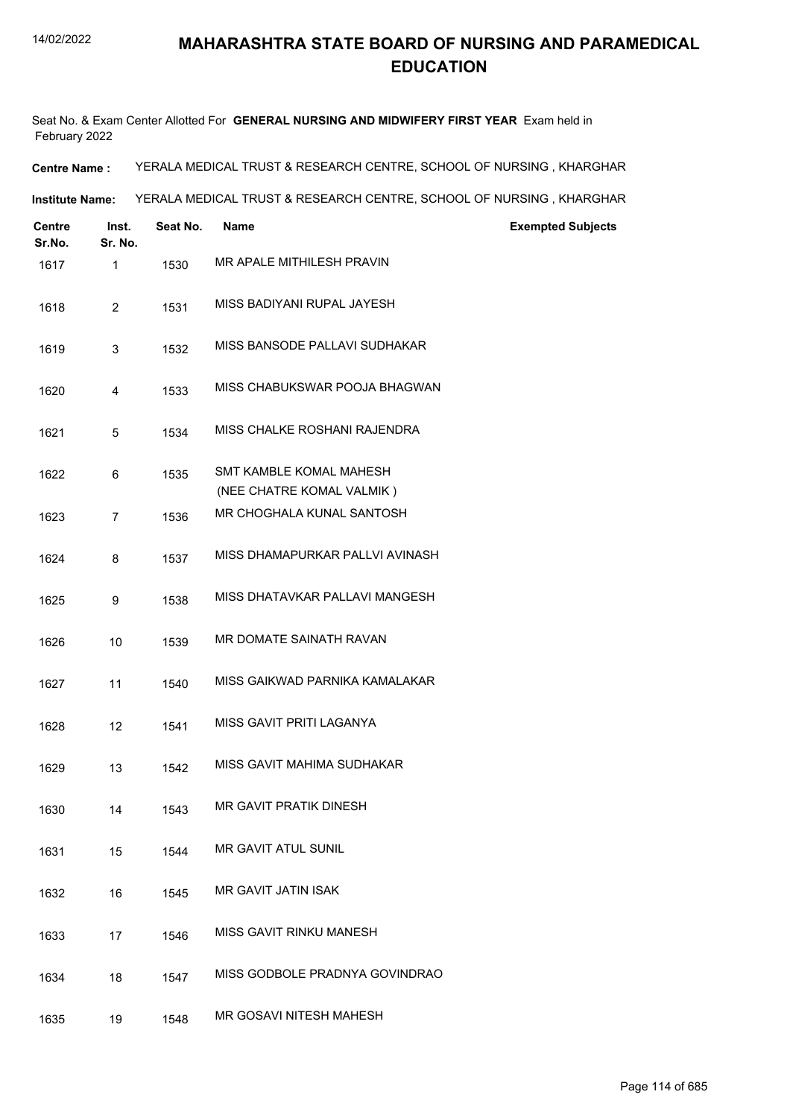Seat No. & Exam Center Allotted For **GENERAL NURSING AND MIDWIFERY FIRST YEAR** Exam held in February 2022

**Centre Name :** YERALA MEDICAL TRUST & RESEARCH CENTRE, SCHOOL OF NURSING , KHARGHAR

**Institute Name:** YERALA MEDICAL TRUST & RESEARCH CENTRE, SCHOOL OF NURSING , KHARGHAR

| <b>Centre</b><br>Sr.No. | Inst.<br>Sr. No. | Seat No. | <b>Name</b>                     | <b>Exempted Subjects</b> |
|-------------------------|------------------|----------|---------------------------------|--------------------------|
| 1617                    | 1                | 1530     | MR APALE MITHILESH PRAVIN       |                          |
| 1618                    | $\overline{2}$   | 1531     | MISS BADIYANI RUPAL JAYESH      |                          |
| 1619                    | 3                | 1532     | MISS BANSODE PALLAVI SUDHAKAR   |                          |
| 1620                    | 4                | 1533     | MISS CHABUKSWAR POOJA BHAGWAN   |                          |
| 1621                    | 5                | 1534     | MISS CHALKE ROSHANI RAJENDRA    |                          |
| 1622                    | 6                | 1535     | SMT KAMBLE KOMAL MAHESH         |                          |
|                         |                  |          | (NEE CHATRE KOMAL VALMIK)       |                          |
| 1623                    | $\overline{7}$   | 1536     | MR CHOGHALA KUNAL SANTOSH       |                          |
| 1624                    | 8                | 1537     | MISS DHAMAPURKAR PALLVI AVINASH |                          |
| 1625                    | 9                | 1538     | MISS DHATAVKAR PALLAVI MANGESH  |                          |
| 1626                    | 10               | 1539     | MR DOMATE SAINATH RAVAN         |                          |
| 1627                    | 11               | 1540     | MISS GAIKWAD PARNIKA KAMALAKAR  |                          |
| 1628                    | 12               | 1541     | MISS GAVIT PRITI LAGANYA        |                          |
| 1629                    | 13               | 1542     | MISS GAVIT MAHIMA SUDHAKAR      |                          |
| 1630                    | 14               | 1543     | <b>MR GAVIT PRATIK DINESH</b>   |                          |
| 1631                    | 15               | 1544     | MR GAVIT ATUL SUNIL             |                          |
| 1632                    | 16               | 1545     | MR GAVIT JATIN ISAK             |                          |
| 1633                    | 17               | 1546     | MISS GAVIT RINKU MANESH         |                          |
| 1634                    | 18               | 1547     | MISS GODBOLE PRADNYA GOVINDRAO  |                          |
| 1635                    | 19               | 1548     | MR GOSAVI NITESH MAHESH         |                          |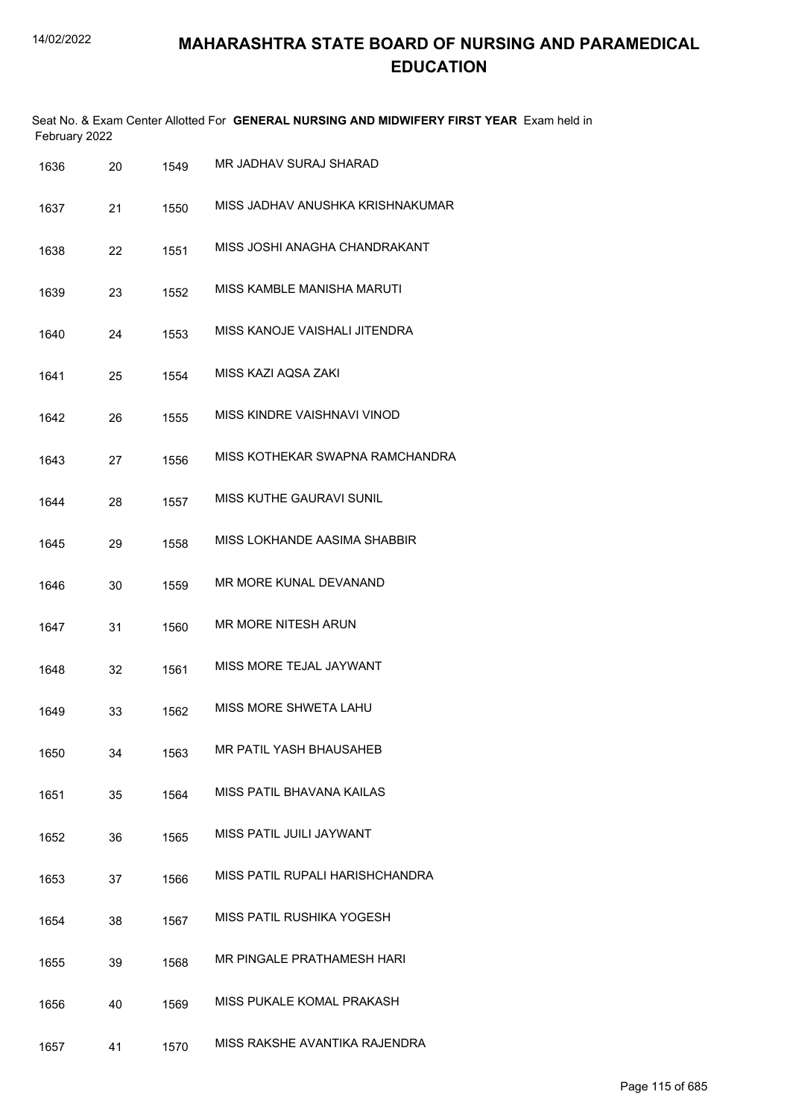| February 2022 |    |      | Seat No. & Exam Center Allotted For GENERAL NURSING AND MIDWIFERY FIRST YEAR Exam held in |
|---------------|----|------|-------------------------------------------------------------------------------------------|
| 1636          | 20 | 1549 | MR JADHAV SURAJ SHARAD                                                                    |
| 1637          | 21 | 1550 | MISS JADHAV ANUSHKA KRISHNAKUMAR                                                          |
| 1638          | 22 | 1551 | MISS JOSHI ANAGHA CHANDRAKANT                                                             |
| 1639          | 23 | 1552 | MISS KAMBLE MANISHA MARUTI                                                                |
| 1640          | 24 | 1553 | MISS KANOJE VAISHALI JITENDRA                                                             |
| 1641          | 25 | 1554 | MISS KAZI AQSA ZAKI                                                                       |
| 1642          | 26 | 1555 | MISS KINDRE VAISHNAVI VINOD                                                               |
| 1643          | 27 | 1556 | MISS KOTHEKAR SWAPNA RAMCHANDRA                                                           |
| 1644          | 28 | 1557 | MISS KUTHE GAURAVI SUNIL                                                                  |
| 1645          | 29 | 1558 | MISS LOKHANDE AASIMA SHABBIR                                                              |
| 1646          | 30 | 1559 | MR MORE KUNAL DEVANAND                                                                    |
| 1647          | 31 | 1560 | MR MORE NITESH ARUN                                                                       |
| 1648          | 32 | 1561 | MISS MORE TEJAL JAYWANT                                                                   |
| 1649          | 33 | 1562 | MISS MORE SHWETA LAHU                                                                     |
| 1650          | 34 | 1563 | MR PATIL YASH BHAUSAHEB                                                                   |
| 1651          | 35 | 1564 | MISS PATIL BHAVANA KAILAS                                                                 |
| 1652          | 36 | 1565 | MISS PATIL JUILI JAYWANT                                                                  |
| 1653          | 37 | 1566 | MISS PATIL RUPALI HARISHCHANDRA                                                           |
| 1654          | 38 | 1567 | MISS PATIL RUSHIKA YOGESH                                                                 |
| 1655          | 39 | 1568 | MR PINGALE PRATHAMESH HARI                                                                |
| 1656          | 40 | 1569 | MISS PUKALE KOMAL PRAKASH                                                                 |
| 1657          | 41 | 1570 | MISS RAKSHE AVANTIKA RAJENDRA                                                             |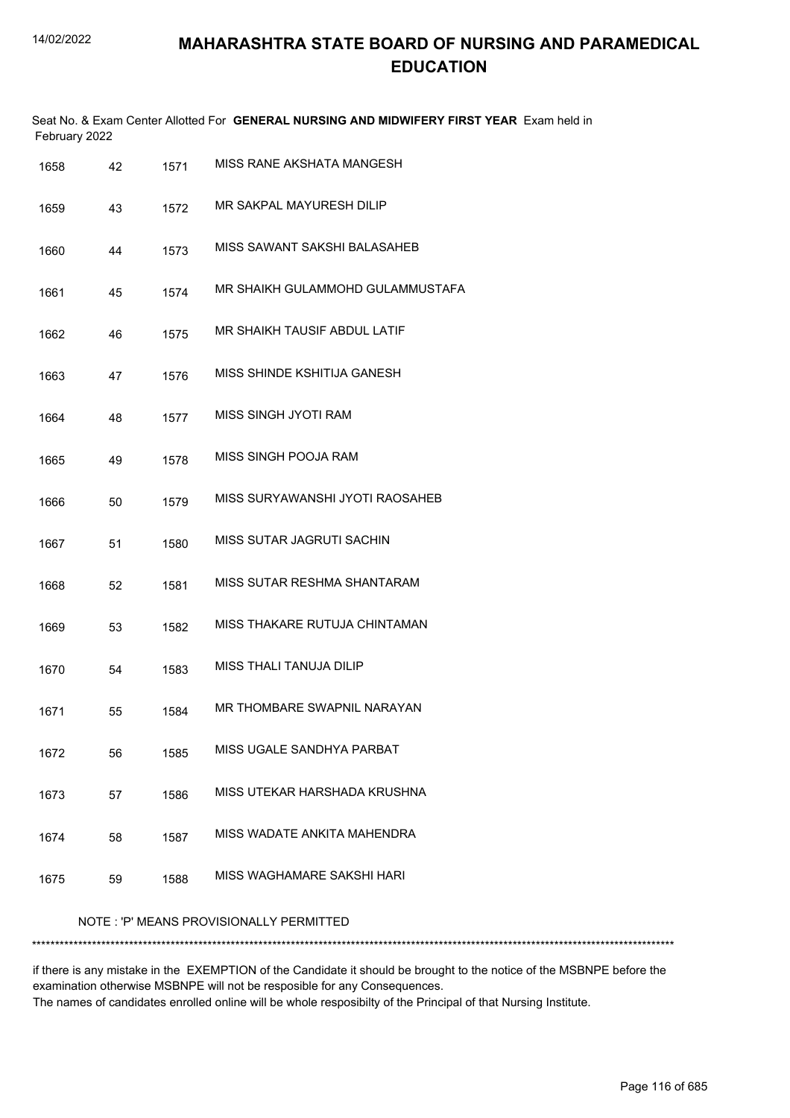|      | February 2022        |      | Seat No. & Exam Center Allotted For GENERAL NURSING AND MIDWIFERY FIRST YEAR Exam held in |
|------|----------------------|------|-------------------------------------------------------------------------------------------|
| 1658 | 42                   | 1571 | MISS RANE AKSHATA MANGESH                                                                 |
| 1659 | 43                   | 1572 | MR SAKPAL MAYURESH DILIP                                                                  |
| 1660 | 44                   | 1573 | MISS SAWANT SAKSHI BALASAHEB                                                              |
| 1661 | 45                   | 1574 | MR SHAIKH GULAMMOHD GULAMMUSTAFA                                                          |
| 1662 | 46                   | 1575 | MR SHAIKH TAUSIF ABDUL LATIF                                                              |
| 1663 | 47                   | 1576 | MISS SHINDE KSHITIJA GANESH                                                               |
| 1664 | 48                   | 1577 | MISS SINGH JYOTI RAM                                                                      |
| 1665 | 49                   | 1578 | MISS SINGH POOJA RAM                                                                      |
| 1666 | 50                   | 1579 | MISS SURYAWANSHI JYOTI RAOSAHEB                                                           |
| 1667 | 51                   | 1580 | MISS SUTAR JAGRUTI SACHIN                                                                 |
| 1668 | 52                   | 1581 | MISS SUTAR RESHMA SHANTARAM                                                               |
| 1669 | 53                   | 1582 | MISS THAKARE RUTUJA CHINTAMAN                                                             |
| 1670 | 54                   | 1583 | MISS THALI TANUJA DILIP                                                                   |
| 1671 | 55                   | 1584 | MR THOMBARE SWAPNIL NARAYAN                                                               |
| 1672 | 56                   | 1585 | MISS UGALE SANDHYA PARBAT                                                                 |
| 1673 | 57                   | 1586 | MISS UTEKAR HARSHADA KRUSHNA                                                              |
| 1674 | 58                   | 1587 | MISS WADATE ANKITA MAHENDRA                                                               |
| 1675 | 59                   | 1588 | MISS WAGHAMARE SAKSHI HARI                                                                |
|      |                      |      | NOTE: 'P' MEANS PROVISIONALLY PERMITTED                                                   |
|      | ******************** |      |                                                                                           |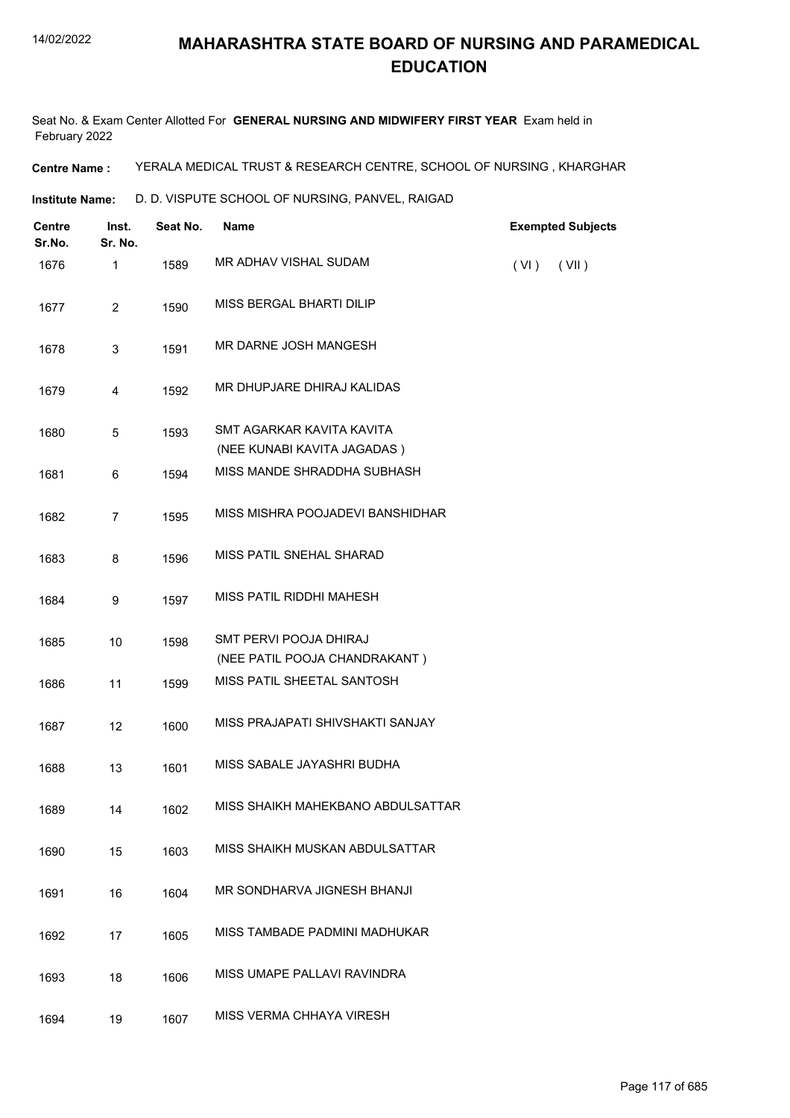Seat No. & Exam Center Allotted For **GENERAL NURSING AND MIDWIFERY FIRST YEAR** Exam held in February 2022

**Centre Name :** YERALA MEDICAL TRUST & RESEARCH CENTRE, SCHOOL OF NURSING , KHARGHAR

**Institute Name:** D. D. VISPUTE SCHOOL OF NURSING, PANVEL, RAIGAD

| <b>Centre</b><br>Sr.No. | Inst.<br>Sr. No. | Seat No. | <b>Name</b>                                              | <b>Exempted Subjects</b> |
|-------------------------|------------------|----------|----------------------------------------------------------|--------------------------|
| 1676                    | $\mathbf{1}$     | 1589     | MR ADHAV VISHAL SUDAM                                    | (VI)<br>(VII)            |
| 1677                    | $\overline{2}$   | 1590     | MISS BERGAL BHARTI DILIP                                 |                          |
| 1678                    | 3                | 1591     | MR DARNE JOSH MANGESH                                    |                          |
| 1679                    | 4                | 1592     | MR DHUPJARE DHIRAJ KALIDAS                               |                          |
| 1680                    | $\overline{5}$   | 1593     | SMT AGARKAR KAVITA KAVITA<br>(NEE KUNABI KAVITA JAGADAS) |                          |
| 1681                    | 6                | 1594     | MISS MANDE SHRADDHA SUBHASH                              |                          |
| 1682                    | $\overline{7}$   | 1595     | MISS MISHRA POOJADEVI BANSHIDHAR                         |                          |
| 1683                    | 8                | 1596     | MISS PATIL SNEHAL SHARAD                                 |                          |
| 1684                    | 9                | 1597     | MISS PATIL RIDDHI MAHESH                                 |                          |
| 1685                    | 10               | 1598     | SMT PERVI POOJA DHIRAJ                                   |                          |
|                         |                  |          | (NEE PATIL POOJA CHANDRAKANT)                            |                          |
| 1686                    | 11               | 1599     | MISS PATIL SHEETAL SANTOSH                               |                          |
| 1687                    | 12               | 1600     | MISS PRAJAPATI SHIVSHAKTI SANJAY                         |                          |
| 1688                    | 13               | 1601     | MISS SABALE JAYASHRI BUDHA                               |                          |
| 1689                    | 14               | 1602     | MISS SHAIKH MAHEKBANO ABDULSATTAR                        |                          |
| 1690                    | 15               | 1603     | MISS SHAIKH MUSKAN ABDULSATTAR                           |                          |
| 1691                    | 16               | 1604     | MR SONDHARVA JIGNESH BHANJI                              |                          |
| 1692                    | 17               | 1605     | MISS TAMBADE PADMINI MADHUKAR                            |                          |
| 1693                    | 18               | 1606     | MISS UMAPE PALLAVI RAVINDRA                              |                          |
| 1694                    | 19               | 1607     | MISS VERMA CHHAYA VIRESH                                 |                          |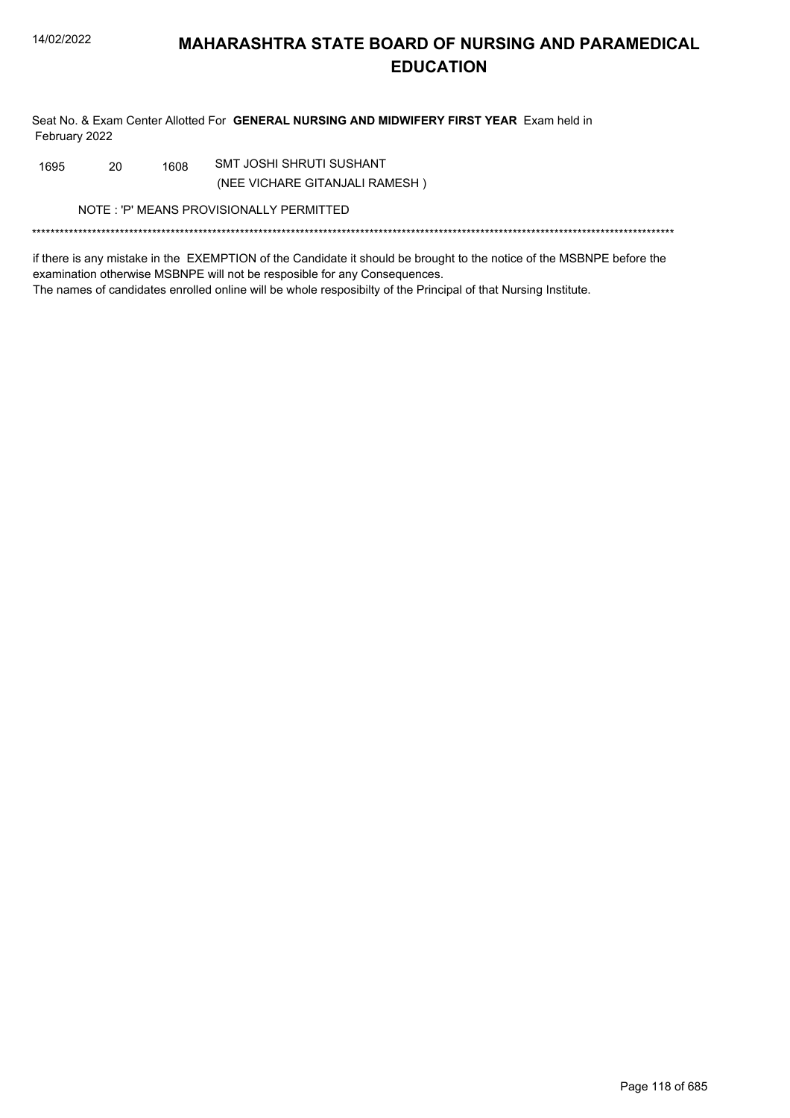Seat No. & Exam Center Allotted For GENERAL NURSING AND MIDWIFERY FIRST YEAR Exam held in February 2022

SMT JOSHI SHRUTI SUSHANT 20 1608 1695

(NEE VICHARE GITANJALI RAMESH)

NOTE: 'P' MEANS PROVISIONALLY PERMITTED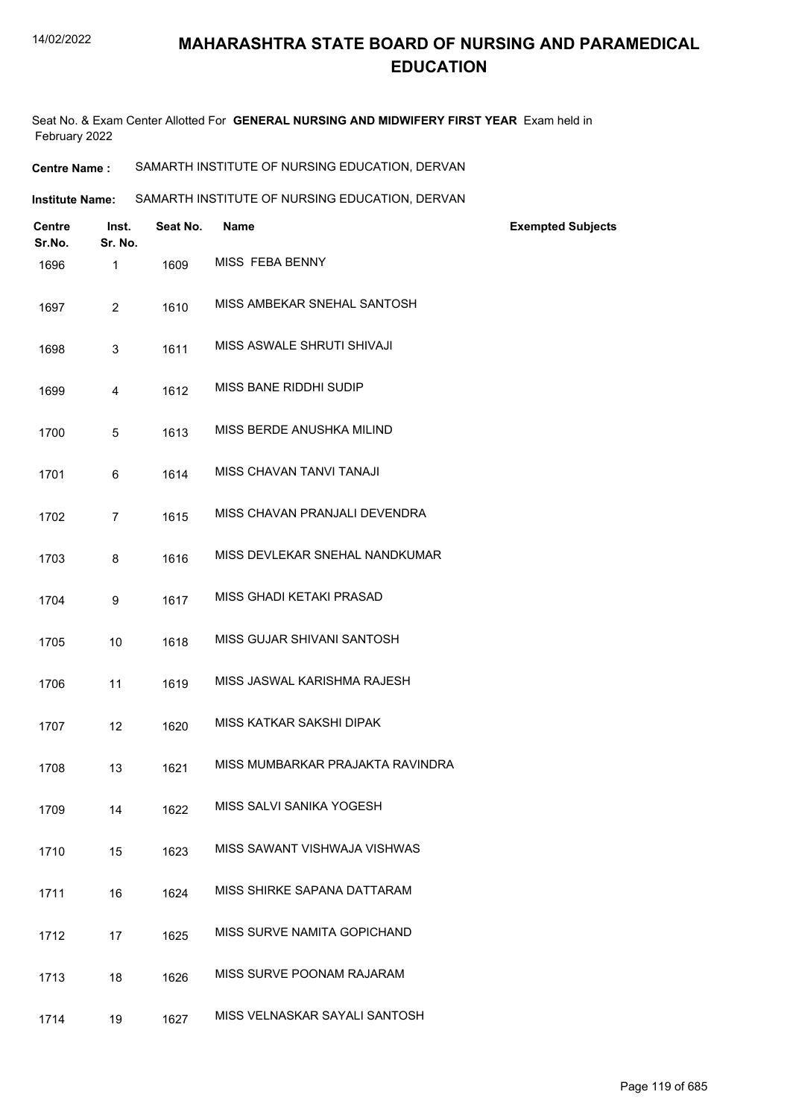Seat No. & Exam Center Allotted For **GENERAL NURSING AND MIDWIFERY FIRST YEAR** Exam held in February 2022

**Centre Name :** SAMARTH INSTITUTE OF NURSING EDUCATION, DERVAN

Institute Name: SAMARTH INSTITUTE OF NURSING EDUCATION, DERVAN

| <b>Centre</b><br>Sr.No. | Inst.<br>Sr. No. | Seat No. | <b>Name</b>                      | <b>Exempted Subjects</b> |
|-------------------------|------------------|----------|----------------------------------|--------------------------|
| 1696                    | 1                | 1609     | MISS FEBA BENNY                  |                          |
| 1697                    | $\overline{2}$   | 1610     | MISS AMBEKAR SNEHAL SANTOSH      |                          |
| 1698                    | 3                | 1611     | MISS ASWALE SHRUTI SHIVAJI       |                          |
| 1699                    | 4                | 1612     | MISS BANE RIDDHI SUDIP           |                          |
| 1700                    | 5                | 1613     | MISS BERDE ANUSHKA MILIND        |                          |
| 1701                    | 6                | 1614     | MISS CHAVAN TANVI TANAJI         |                          |
| 1702                    | $\overline{7}$   | 1615     | MISS CHAVAN PRANJALI DEVENDRA    |                          |
| 1703                    | 8                | 1616     | MISS DEVLEKAR SNEHAL NANDKUMAR   |                          |
| 1704                    | 9                | 1617     | MISS GHADI KETAKI PRASAD         |                          |
| 1705                    | 10               | 1618     | MISS GUJAR SHIVANI SANTOSH       |                          |
| 1706                    | 11               | 1619     | MISS JASWAL KARISHMA RAJESH      |                          |
| 1707                    | 12               | 1620     | MISS KATKAR SAKSHI DIPAK         |                          |
| 1708                    | 13               | 1621     | MISS MUMBARKAR PRAJAKTA RAVINDRA |                          |
| 1709                    | 14               | 1622     | MISS SALVI SANIKA YOGESH         |                          |
| 1710                    | 15               | 1623     | MISS SAWANT VISHWAJA VISHWAS     |                          |
| 1711                    | 16               | 1624     | MISS SHIRKE SAPANA DATTARAM      |                          |
| 1712                    | 17               | 1625     | MISS SURVE NAMITA GOPICHAND      |                          |
| 1713                    | 18               | 1626     | MISS SURVE POONAM RAJARAM        |                          |
| 1714                    | 19               | 1627     | MISS VELNASKAR SAYALI SANTOSH    |                          |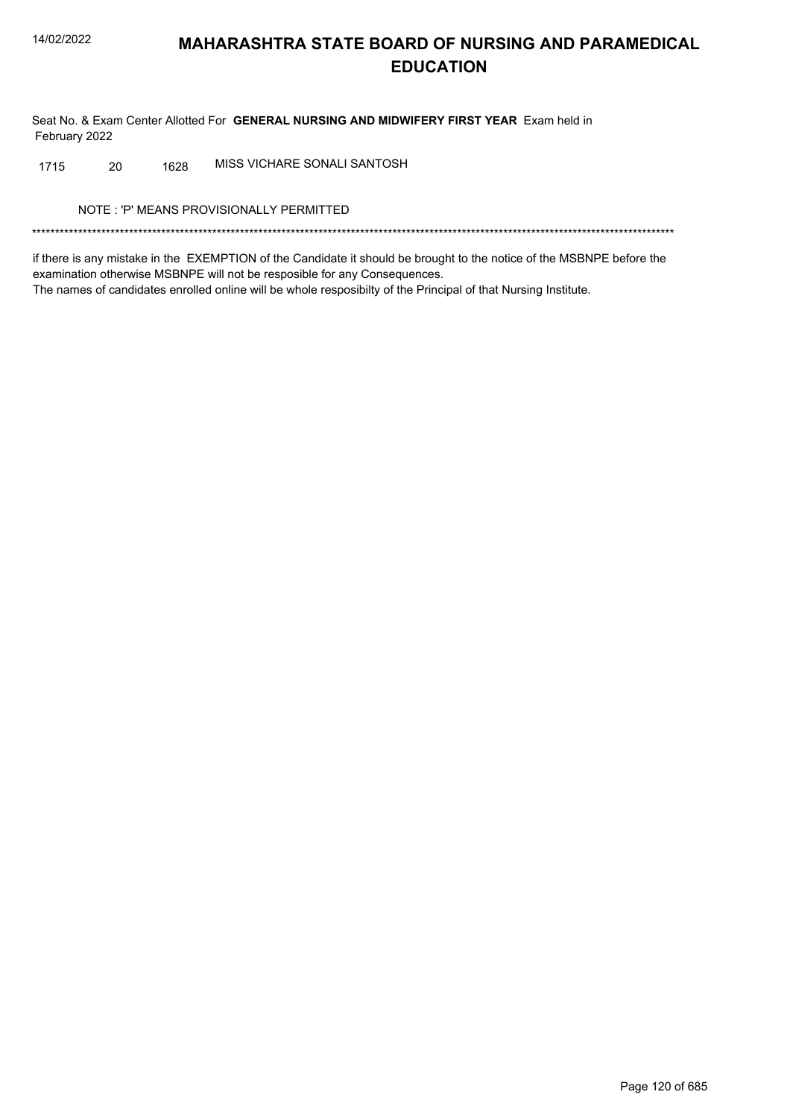Seat No. & Exam Center Allotted For GENERAL NURSING AND MIDWIFERY FIRST YEAR Exam held in February 2022

MISS VICHARE SONALI SANTOSH 20 1628 1715

NOTE: 'P' MEANS PROVISIONALLY PERMITTED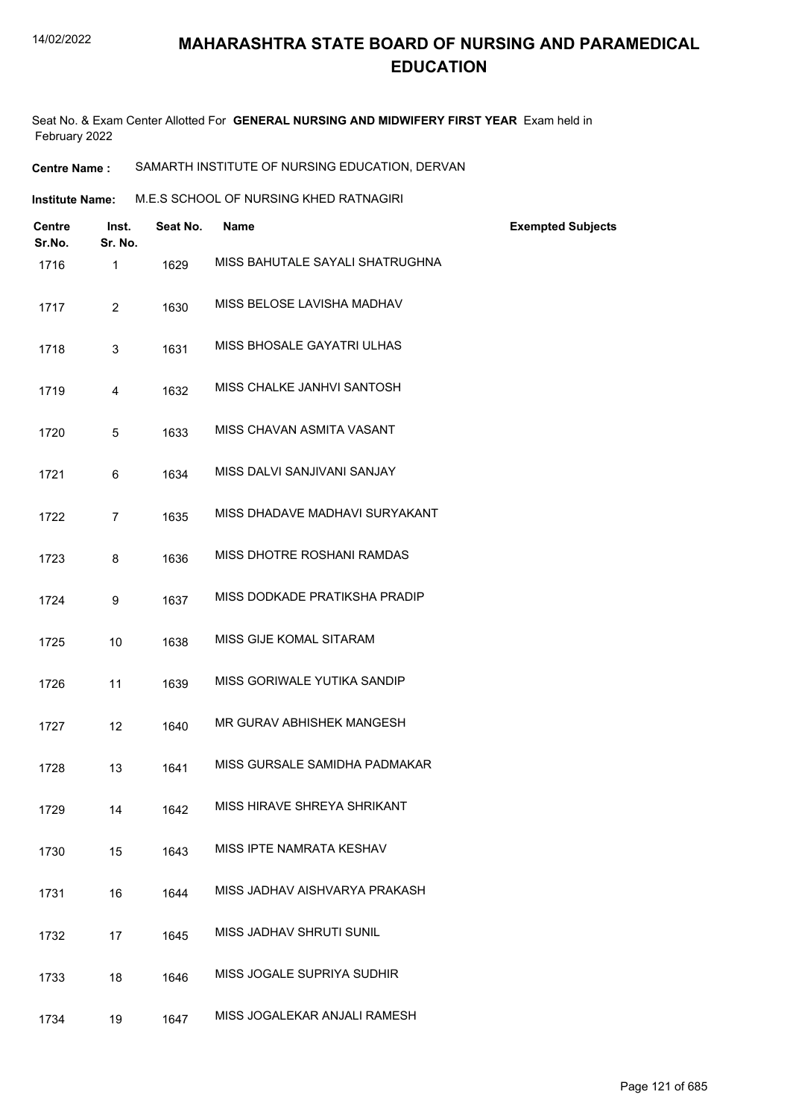Seat No. & Exam Center Allotted For **GENERAL NURSING AND MIDWIFERY FIRST YEAR** Exam held in February 2022

**Centre Name :** SAMARTH INSTITUTE OF NURSING EDUCATION, DERVAN

| Institute Name: | M.E.S SCHOOL OF NURSING KHED RATNAGIRI |
|-----------------|----------------------------------------|
|                 |                                        |

| <b>Centre</b><br>Sr.No. | Inst.<br>Sr. No. | Seat No. | <b>Name</b>                     | <b>Exempted Subjects</b> |
|-------------------------|------------------|----------|---------------------------------|--------------------------|
| 1716                    | $\mathbf{1}$     | 1629     | MISS BAHUTALE SAYALI SHATRUGHNA |                          |
| 1717                    | $\overline{2}$   | 1630     | MISS BELOSE LAVISHA MADHAV      |                          |
| 1718                    | 3                | 1631     | MISS BHOSALE GAYATRI ULHAS      |                          |
| 1719                    | 4                | 1632     | MISS CHALKE JANHVI SANTOSH      |                          |
| 1720                    | 5                | 1633     | MISS CHAVAN ASMITA VASANT       |                          |
| 1721                    | 6                | 1634     | MISS DALVI SANJIVANI SANJAY     |                          |
| 1722                    | $\overline{7}$   | 1635     | MISS DHADAVE MADHAVI SURYAKANT  |                          |
| 1723                    | 8                | 1636     | MISS DHOTRE ROSHANI RAMDAS      |                          |
| 1724                    | 9                | 1637     | MISS DODKADE PRATIKSHA PRADIP   |                          |
| 1725                    | 10               | 1638     | MISS GIJE KOMAL SITARAM         |                          |
| 1726                    | 11               | 1639     | MISS GORIWALE YUTIKA SANDIP     |                          |
| 1727                    | 12               | 1640     | MR GURAV ABHISHEK MANGESH       |                          |
| 1728                    | 13               | 1641     | MISS GURSALE SAMIDHA PADMAKAR   |                          |
| 1729                    | 14               | 1642     | MISS HIRAVE SHREYA SHRIKANT     |                          |
| 1730                    | 15               | 1643     | MISS IPTE NAMRATA KESHAV        |                          |
| 1731                    | 16               | 1644     | MISS JADHAV AISHVARYA PRAKASH   |                          |
| 1732                    | 17               | 1645     | MISS JADHAV SHRUTI SUNIL        |                          |
| 1733                    | 18               | 1646     | MISS JOGALE SUPRIYA SUDHIR      |                          |
| 1734                    | 19               | 1647     | MISS JOGALEKAR ANJALI RAMESH    |                          |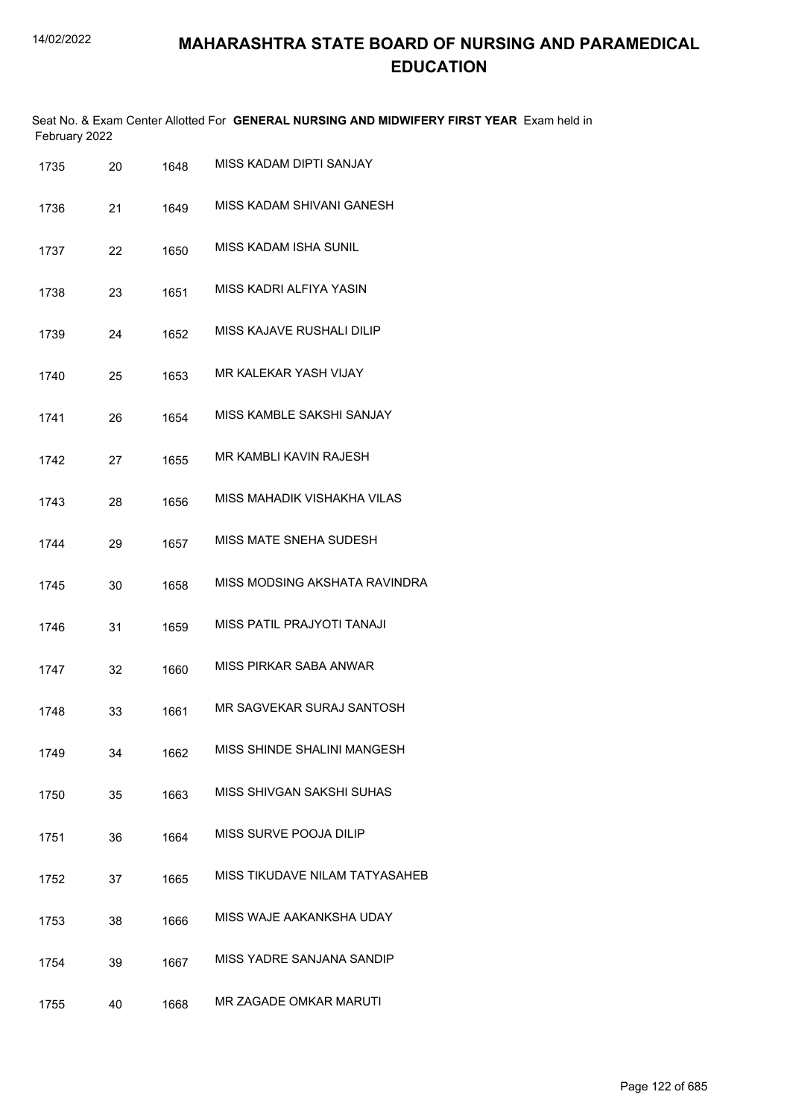|               | Seat No. & Exam Center Allotted For GENERAL NURSING AND MIDWIFERY FIRST YEAR Exam held in |  |
|---------------|-------------------------------------------------------------------------------------------|--|
| February 2022 |                                                                                           |  |

| 1735 | 20 | 1648 | MISS KADAM DIPTI SANJAY        |
|------|----|------|--------------------------------|
| 1736 | 21 | 1649 | MISS KADAM SHIVANI GANESH      |
| 1737 | 22 | 1650 | MISS KADAM ISHA SUNIL          |
| 1738 | 23 | 1651 | MISS KADRI ALFIYA YASIN        |
| 1739 | 24 | 1652 | MISS KAJAVE RUSHALI DILIP      |
| 1740 | 25 | 1653 | MR KALEKAR YASH VIJAY          |
| 1741 | 26 | 1654 | MISS KAMBLE SAKSHI SANJAY      |
| 1742 | 27 | 1655 | MR KAMBLI KAVIN RAJESH         |
| 1743 | 28 | 1656 | MISS MAHADIK VISHAKHA VILAS    |
| 1744 | 29 | 1657 | MISS MATE SNEHA SUDESH         |
| 1745 | 30 | 1658 | MISS MODSING AKSHATA RAVINDRA  |
| 1746 | 31 | 1659 | MISS PATIL PRAJYOTI TANAJI     |
| 1747 | 32 | 1660 | MISS PIRKAR SABA ANWAR         |
| 1748 | 33 | 1661 | MR SAGVEKAR SURAJ SANTOSH      |
| 1749 | 34 | 1662 | MISS SHINDE SHALINI MANGESH    |
| 1750 | 35 | 1663 | MISS SHIVGAN SAKSHI SUHAS      |
| 1751 | 36 | 1664 | MISS SURVE POOJA DILIP         |
| 1752 | 37 | 1665 | MISS TIKUDAVE NILAM TATYASAHEB |
| 1753 | 38 | 1666 | MISS WAJE AAKANKSHA UDAY       |
| 1754 | 39 | 1667 | MISS YADRE SANJANA SANDIP      |
| 1755 | 40 | 1668 | MR ZAGADE OMKAR MARUTI         |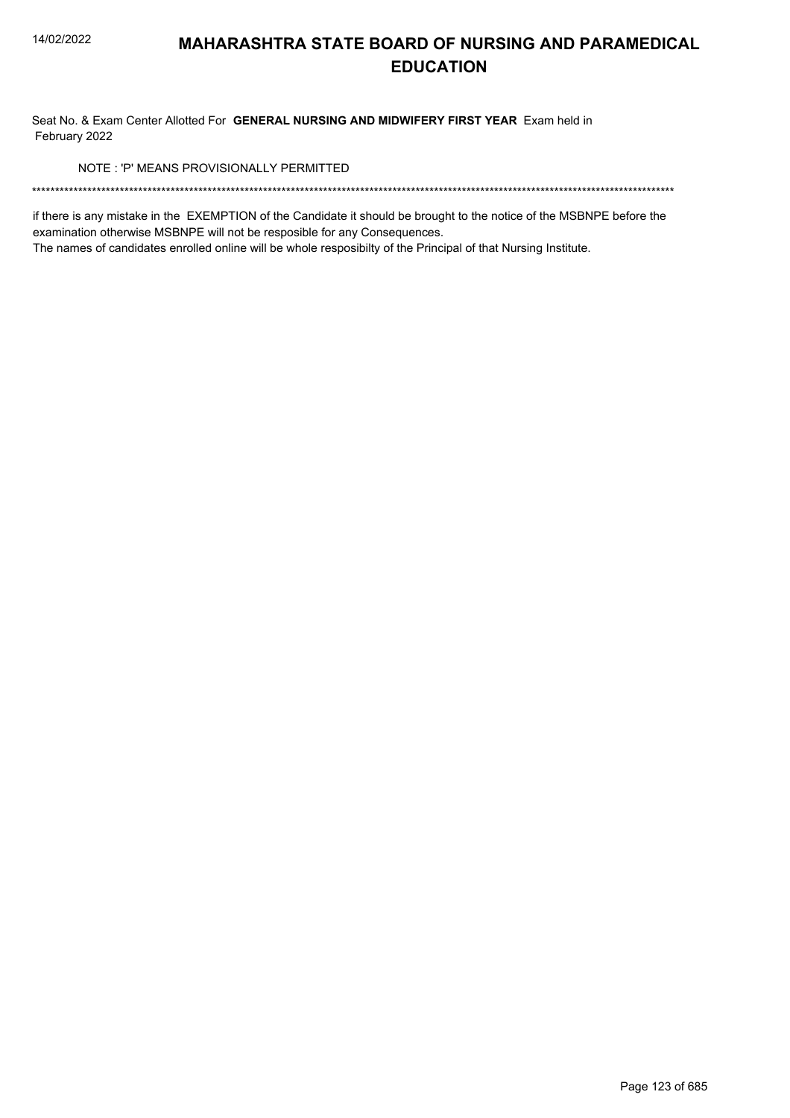Seat No. & Exam Center Allotted For GENERAL NURSING AND MIDWIFERY FIRST YEAR Exam held in February 2022

NOTE: 'P' MEANS PROVISIONALLY PERMITTED

if there is any mistake in the EXEMPTION of the Candidate it should be brought to the notice of the MSBNPE before the examination otherwise MSBNPE will not be resposible for any Consequences.

The names of candidates enrolled online will be whole resposibilty of the Principal of that Nursing Institute.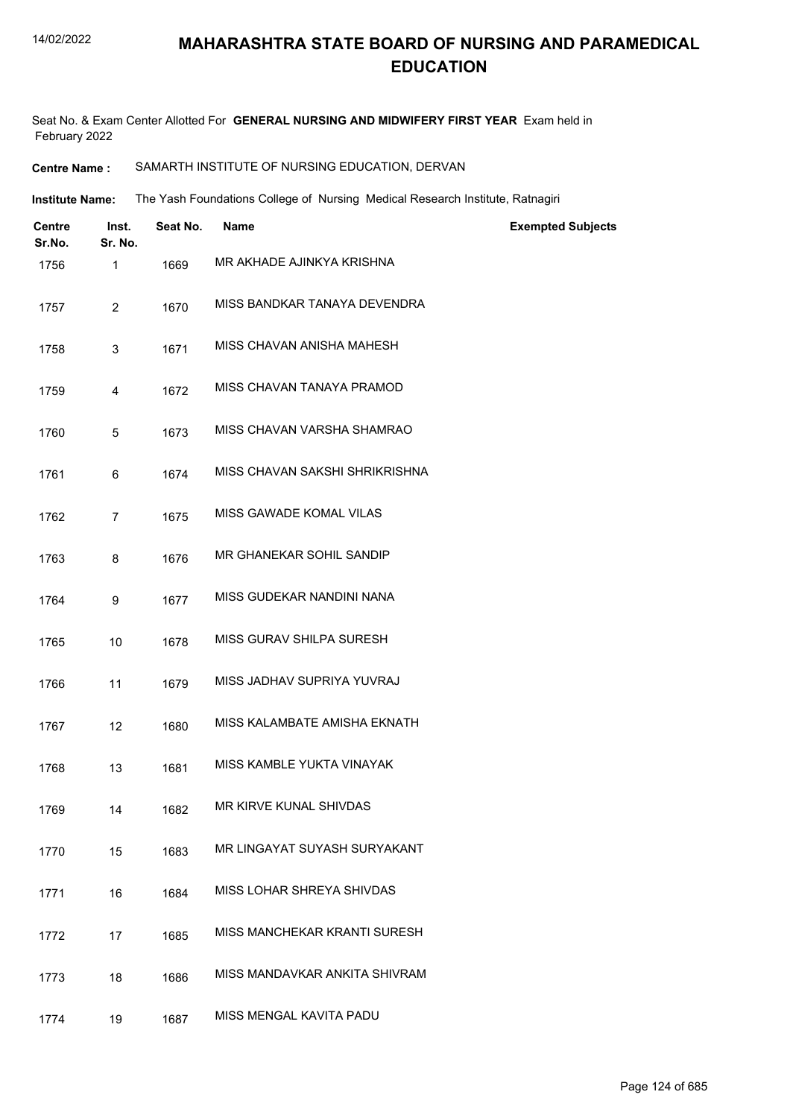Seat No. & Exam Center Allotted For **GENERAL NURSING AND MIDWIFERY FIRST YEAR** Exam held in February 2022

#### **Centre Name :** SAMARTH INSTITUTE OF NURSING EDUCATION, DERVAN

The Yash Foundations College of Nursing Medical Research Institute, Ratnagiri **Institute Name:**

| <b>Centre</b><br>Sr.No. | Inst.<br>Sr. No. | Seat No. | <b>Name</b>                    | <b>Exempted Subjects</b> |
|-------------------------|------------------|----------|--------------------------------|--------------------------|
| 1756                    | 1                | 1669     | MR AKHADE AJINKYA KRISHNA      |                          |
| 1757                    | $\overline{2}$   | 1670     | MISS BANDKAR TANAYA DEVENDRA   |                          |
| 1758                    | 3                | 1671     | MISS CHAVAN ANISHA MAHESH      |                          |
| 1759                    | 4                | 1672     | MISS CHAVAN TANAYA PRAMOD      |                          |
| 1760                    | 5                | 1673     | MISS CHAVAN VARSHA SHAMRAO     |                          |
| 1761                    | 6                | 1674     | MISS CHAVAN SAKSHI SHRIKRISHNA |                          |
| 1762                    | $\overline{7}$   | 1675     | MISS GAWADE KOMAL VILAS        |                          |
| 1763                    | 8                | 1676     | MR GHANEKAR SOHIL SANDIP       |                          |
| 1764                    | 9                | 1677     | MISS GUDEKAR NANDINI NANA      |                          |
| 1765                    | 10               | 1678     | MISS GURAV SHILPA SURESH       |                          |
| 1766                    | 11               | 1679     | MISS JADHAV SUPRIYA YUVRAJ     |                          |
| 1767                    | 12               | 1680     | MISS KALAMBATE AMISHA EKNATH   |                          |
| 1768                    | 13               | 1681     | MISS KAMBLE YUKTA VINAYAK      |                          |
| 1769                    | 14               | 1682     | MR KIRVE KUNAL SHIVDAS         |                          |
| 1770                    | 15               | 1683     | MR LINGAYAT SUYASH SURYAKANT   |                          |
| 1771                    | 16               | 1684     | MISS LOHAR SHREYA SHIVDAS      |                          |
| 1772                    | 17               | 1685     | MISS MANCHEKAR KRANTI SURESH   |                          |
| 1773                    | 18               | 1686     | MISS MANDAVKAR ANKITA SHIVRAM  |                          |
| 1774                    | 19               | 1687     | MISS MENGAL KAVITA PADU        |                          |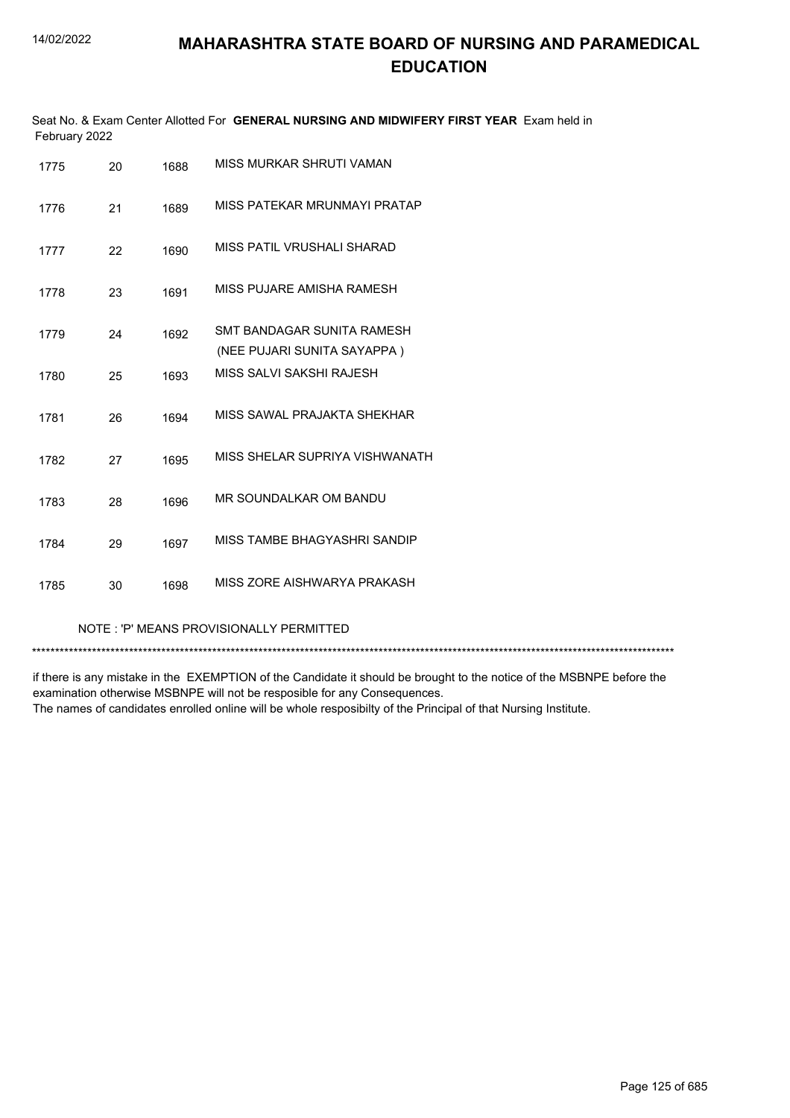|               | Seat No. & Exam Center Allotted For GENERAL NURSING AND MIDWIFERY FIRST YEAR Exam held in |
|---------------|-------------------------------------------------------------------------------------------|
| February 2022 |                                                                                           |

| 1775 | 20 | 1688 | MISS MURKAR SHRUTI VAMAN                                  |
|------|----|------|-----------------------------------------------------------|
| 1776 | 21 | 1689 | MISS PATEKAR MRUNMAYI PRATAP                              |
| 1777 | 22 | 1690 | MISS PATIL VRUSHALI SHARAD                                |
| 1778 | 23 | 1691 | MISS PUJARE AMISHA RAMESH                                 |
| 1779 | 24 | 1692 | SMT BANDAGAR SUNITA RAMESH<br>(NEE PUJARI SUNITA SAYAPPA) |
| 1780 | 25 | 1693 | MISS SAI VI SAKSHI RAJESH                                 |
| 1781 | 26 | 1694 | MISS SAWAL PRAJAKTA SHEKHAR                               |
| 1782 | 27 | 1695 | MISS SHELAR SUPRIYA VISHWANATH                            |
| 1783 | 28 | 1696 | MR SOUNDALKAR OM BANDU                                    |
| 1784 | 29 | 1697 | MISS TAMBE BHAGYASHRI SANDIP                              |
| 1785 | 30 | 1698 | MISS ZORF AISHWARYA PRAKASH                               |

#### NOTE : 'P' MEANS PROVISIONALLY PERMITTED

\*\*\*\*\*\*\*\*\*\*\*\*\*\*\*\*\*\*\*\*\*\*\*\*\*\*\*\*\*\*\*\*\*\*\*\*\*\*\*\*\*\*\*\*\*\*\*\*\*\*\*\*\*\*\*\*\*\*\*\*\*\*\*\*\*\*\*\*\*\*\*\*\*\*\*\*\*\*\*\*\*\*\*\*\*\*\*\*\*\*\*\*\*\*\*\*\*\*\*\*\*\*\*\*\*\*\*\*\*\*\*\*\*\*\*\*\*\*\*\*\*\*\*\*\*\*\*\*\*\*\*\*\*\*\*\*\*\*\*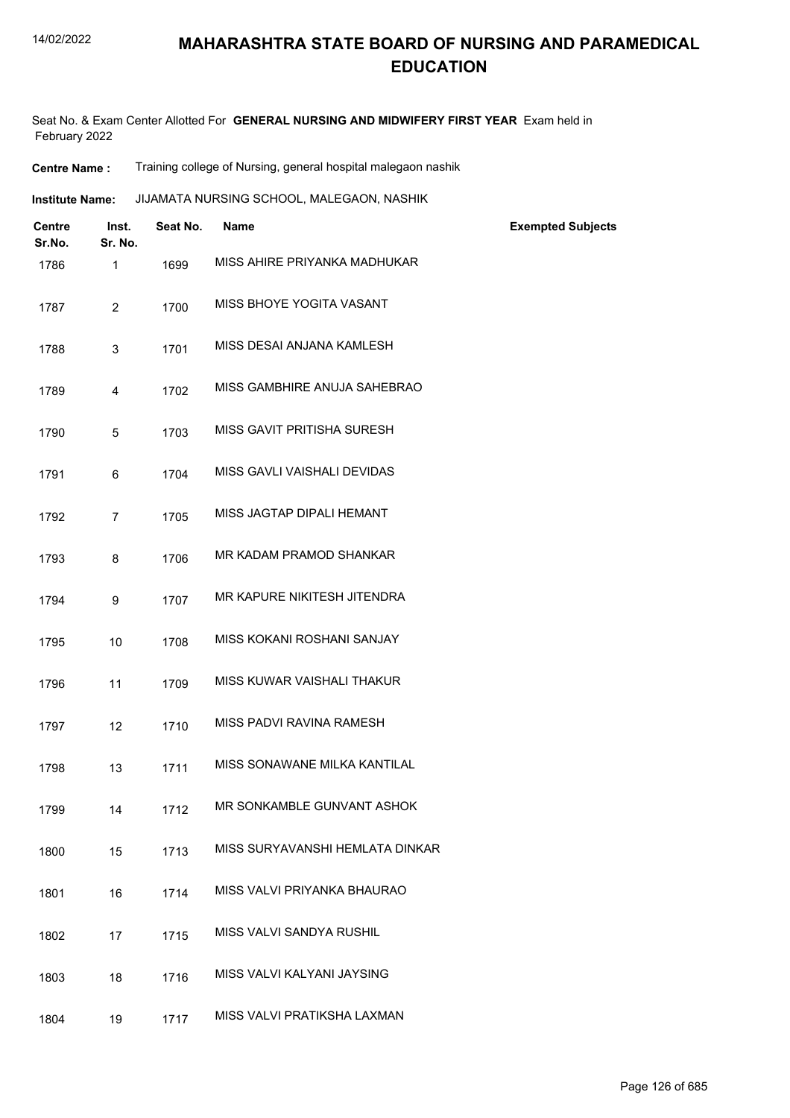#### 14/02/2022

## **MAHARASHTRA STATE BOARD OF NURSING AND PARAMEDICAL EDUCATION**

Seat No. & Exam Center Allotted For **GENERAL NURSING AND MIDWIFERY FIRST YEAR** Exam held in February 2022

**Centre Name :** Training college of Nursing, general hospital malegaon nashik

JIJAMATA NURSING SCHOOL, MALEGAON, NASHIK **Institute Name:**

| <b>Centre</b><br>Sr.No. | Inst.<br>Sr. No. | Seat No. | <b>Name</b>                     | <b>Exempted Subjects</b> |
|-------------------------|------------------|----------|---------------------------------|--------------------------|
| 1786                    | 1                | 1699     | MISS AHIRE PRIYANKA MADHUKAR    |                          |
| 1787                    | $\overline{2}$   | 1700     | MISS BHOYE YOGITA VASANT        |                          |
| 1788                    | 3                | 1701     | MISS DESAI ANJANA KAMLESH       |                          |
| 1789                    | 4                | 1702     | MISS GAMBHIRE ANUJA SAHEBRAO    |                          |
| 1790                    | 5                | 1703     | MISS GAVIT PRITISHA SURESH      |                          |
| 1791                    | 6                | 1704     | MISS GAVLI VAISHALI DEVIDAS     |                          |
| 1792                    | 7                | 1705     | MISS JAGTAP DIPALI HEMANT       |                          |
| 1793                    | 8                | 1706     | MR KADAM PRAMOD SHANKAR         |                          |
| 1794                    | 9                | 1707     | MR KAPURE NIKITESH JITENDRA     |                          |
| 1795                    | 10               | 1708     | MISS KOKANI ROSHANI SANJAY      |                          |
| 1796                    | 11               | 1709     | MISS KUWAR VAISHALI THAKUR      |                          |
| 1797                    | 12               | 1710     | MISS PADVI RAVINA RAMESH        |                          |
| 1798                    | 13               | 1711     | MISS SONAWANE MILKA KANTILAL    |                          |
| 1799                    | 14               | 1712     | MR SONKAMBLE GUNVANT ASHOK      |                          |
| 1800                    | 15               | 1713     | MISS SURYAVANSHI HEMLATA DINKAR |                          |
| 1801                    | 16               | 1714     | MISS VALVI PRIYANKA BHAURAO     |                          |
| 1802                    | 17               | 1715     | MISS VALVI SANDYA RUSHIL        |                          |
| 1803                    | 18               | 1716     | MISS VALVI KALYANI JAYSING      |                          |
| 1804                    | 19               | 1717     | MISS VALVI PRATIKSHA LAXMAN     |                          |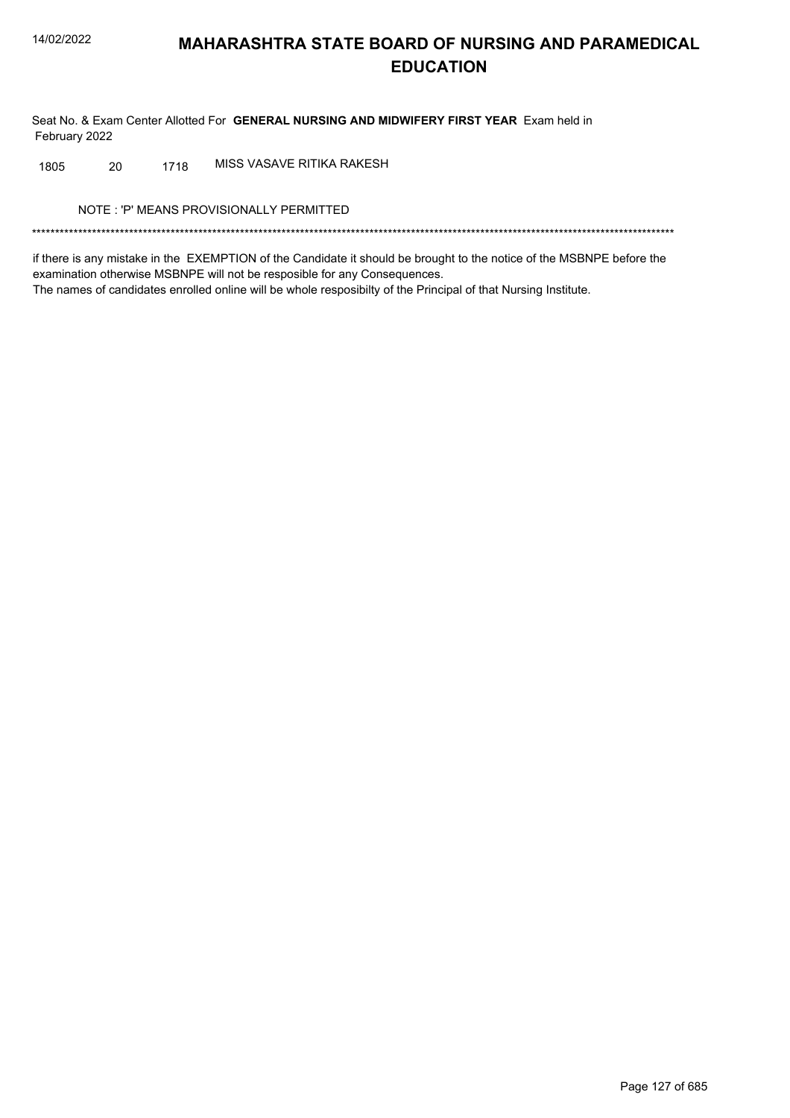Seat No. & Exam Center Allotted For GENERAL NURSING AND MIDWIFERY FIRST YEAR Exam held in February 2022

MISS VASAVE RITIKA RAKESH 1805 20 1718

NOTE: 'P' MEANS PROVISIONALLY PERMITTED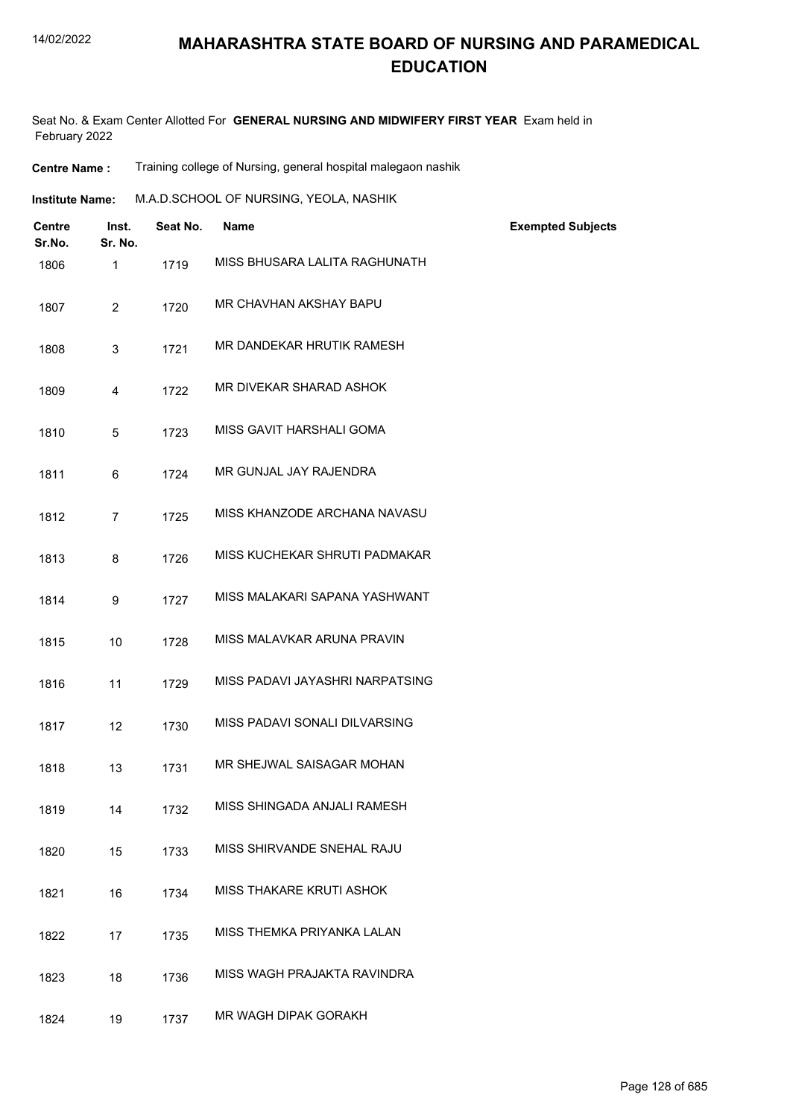Seat No. & Exam Center Allotted For **GENERAL NURSING AND MIDWIFERY FIRST YEAR** Exam held in February 2022

| <b>Centre Name :</b> |  | Training college of Nursing, general hospital malegaon nashik |  |  |
|----------------------|--|---------------------------------------------------------------|--|--|
|----------------------|--|---------------------------------------------------------------|--|--|

| <b>Institute Name:</b> | M.A.D.SCHOOL OF NURSING, YEOLA, NASHIK |
|------------------------|----------------------------------------|
|                        |                                        |

| <b>Centre</b><br>Sr.No. | Inst.<br>Sr. No. | Seat No. | <b>Name</b>                     | <b>Exempted Subjects</b> |
|-------------------------|------------------|----------|---------------------------------|--------------------------|
| 1806                    | $\mathbf{1}$     | 1719     | MISS BHUSARA LALITA RAGHUNATH   |                          |
| 1807                    | 2                | 1720     | MR CHAVHAN AKSHAY BAPU          |                          |
| 1808                    | 3                | 1721     | MR DANDEKAR HRUTIK RAMESH       |                          |
| 1809                    | 4                | 1722     | MR DIVEKAR SHARAD ASHOK         |                          |
| 1810                    | 5                | 1723     | MISS GAVIT HARSHALI GOMA        |                          |
| 1811                    | 6                | 1724     | MR GUNJAL JAY RAJENDRA          |                          |
| 1812                    | $\overline{7}$   | 1725     | MISS KHANZODE ARCHANA NAVASU    |                          |
| 1813                    | 8                | 1726     | MISS KUCHEKAR SHRUTI PADMAKAR   |                          |
| 1814                    | 9                | 1727     | MISS MALAKARI SAPANA YASHWANT   |                          |
| 1815                    | 10               | 1728     | MISS MALAVKAR ARUNA PRAVIN      |                          |
| 1816                    | 11               | 1729     | MISS PADAVI JAYASHRI NARPATSING |                          |
| 1817                    | 12               | 1730     | MISS PADAVI SONALI DILVARSING   |                          |
| 1818                    | 13               | 1731     | MR SHEJWAL SAISAGAR MOHAN       |                          |
| 1819                    | 14               | 1732     | MISS SHINGADA ANJALI RAMESH     |                          |
| 1820                    | 15               | 1733     | MISS SHIRVANDE SNEHAL RAJU      |                          |
| 1821                    | 16               | 1734     | MISS THAKARE KRUTI ASHOK        |                          |
| 1822                    | 17               | 1735     | MISS THEMKA PRIYANKA LALAN      |                          |
| 1823                    | 18               | 1736     | MISS WAGH PRAJAKTA RAVINDRA     |                          |
| 1824                    | 19               | 1737     | MR WAGH DIPAK GORAKH            |                          |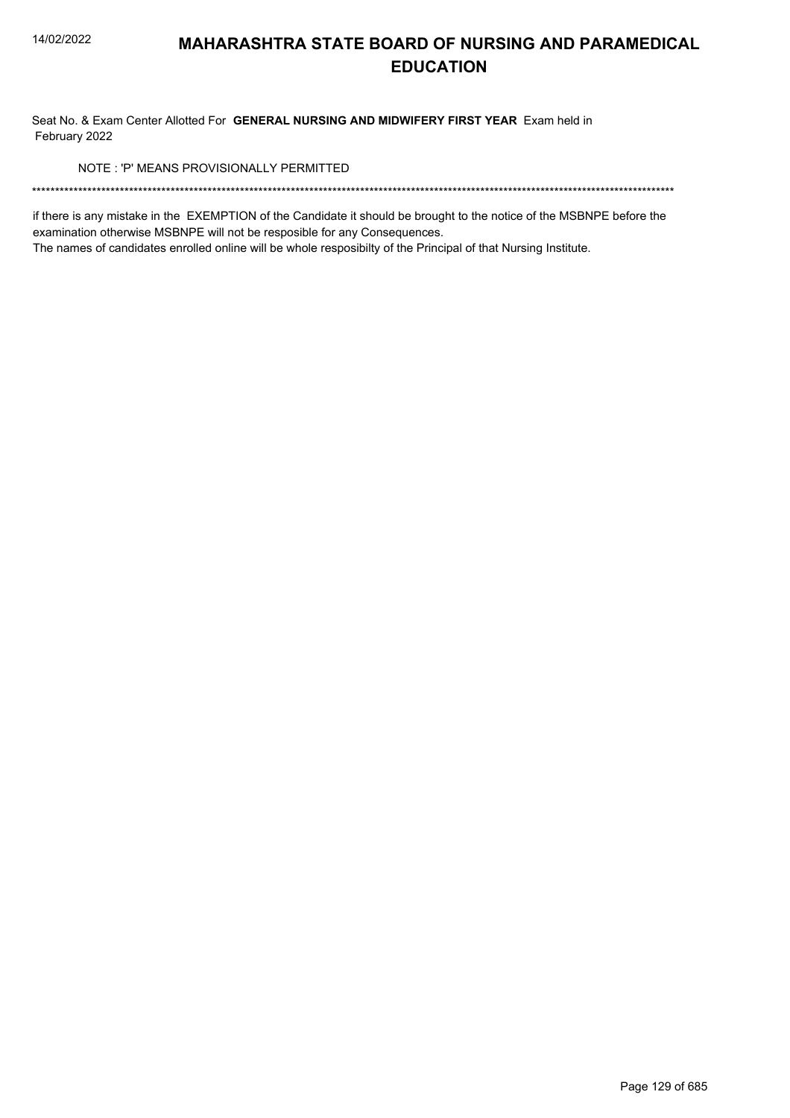Seat No. & Exam Center Allotted For GENERAL NURSING AND MIDWIFERY FIRST YEAR Exam held in February 2022

NOTE: 'P' MEANS PROVISIONALLY PERMITTED

if there is any mistake in the EXEMPTION of the Candidate it should be brought to the notice of the MSBNPE before the examination otherwise MSBNPE will not be resposible for any Consequences.

The names of candidates enrolled online will be whole resposibilty of the Principal of that Nursing Institute.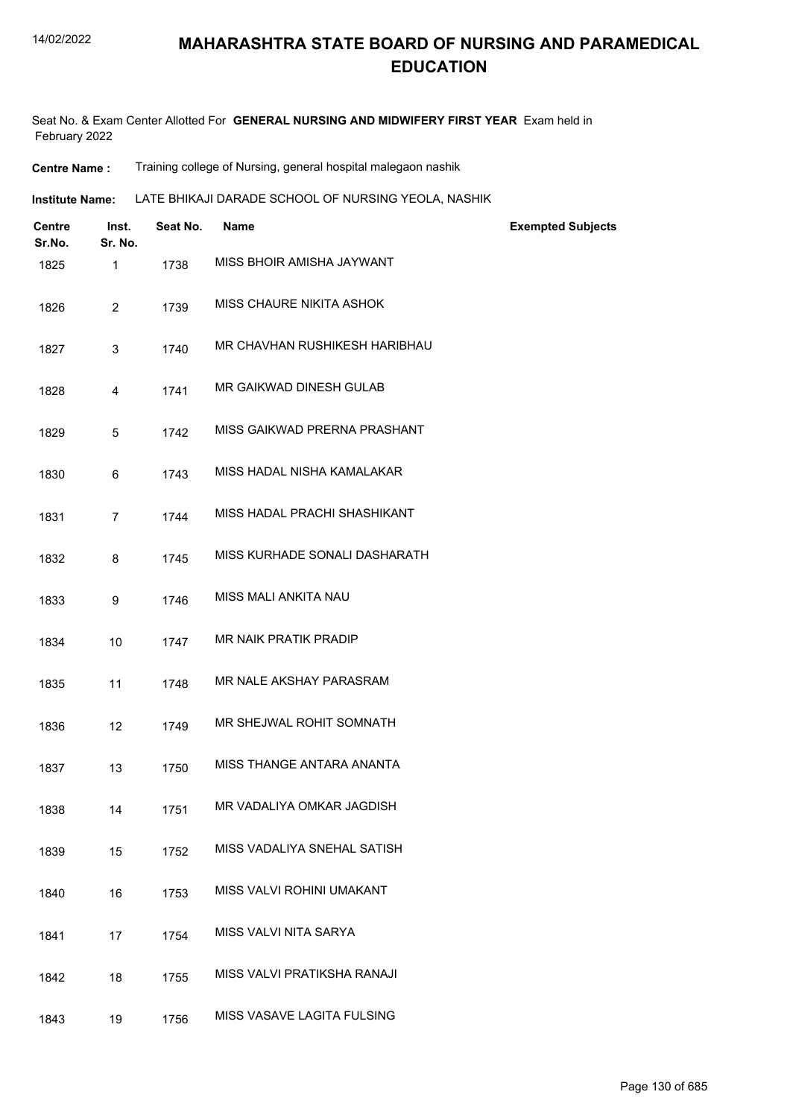Seat No. & Exam Center Allotted For **GENERAL NURSING AND MIDWIFERY FIRST YEAR** Exam held in February 2022

| <b>Centre Name :</b> |  |  | Training college of Nursing, general hospital malegaon nashik |  |
|----------------------|--|--|---------------------------------------------------------------|--|
|----------------------|--|--|---------------------------------------------------------------|--|

| <b>Institute Name:</b> | LATE BHIKAJI DARADE SCHOOL OF NURSING YEOLA. NASHIK |
|------------------------|-----------------------------------------------------|
|------------------------|-----------------------------------------------------|

| <b>Centre</b><br>Sr.No. | Inst.<br>Sr. No. | Seat No. | <b>Name</b>                   | <b>Exempted Subjects</b> |
|-------------------------|------------------|----------|-------------------------------|--------------------------|
| 1825                    | $\mathbf{1}$     | 1738     | MISS BHOIR AMISHA JAYWANT     |                          |
| 1826                    | $\overline{2}$   | 1739     | MISS CHAURE NIKITA ASHOK      |                          |
| 1827                    | 3                | 1740     | MR CHAVHAN RUSHIKESH HARIBHAU |                          |
| 1828                    | 4                | 1741     | MR GAIKWAD DINESH GULAB       |                          |
| 1829                    | 5                | 1742     | MISS GAIKWAD PRERNA PRASHANT  |                          |
| 1830                    | 6                | 1743     | MISS HADAL NISHA KAMALAKAR    |                          |
| 1831                    | $\overline{7}$   | 1744     | MISS HADAL PRACHI SHASHIKANT  |                          |
| 1832                    | 8                | 1745     | MISS KURHADE SONALI DASHARATH |                          |
| 1833                    | 9                | 1746     | MISS MALI ANKITA NAU          |                          |
| 1834                    | 10               | 1747     | <b>MR NAIK PRATIK PRADIP</b>  |                          |
| 1835                    | 11               | 1748     | MR NALE AKSHAY PARASRAM       |                          |
| 1836                    | 12               | 1749     | MR SHEJWAL ROHIT SOMNATH      |                          |
| 1837                    | 13               | 1750     | MISS THANGE ANTARA ANANTA     |                          |
| 1838                    | 14               | 1751     | MR VADALIYA OMKAR JAGDISH     |                          |
| 1839                    | 15               | 1752     | MISS VADALIYA SNEHAL SATISH   |                          |
| 1840                    | 16               | 1753     | MISS VALVI ROHINI UMAKANT     |                          |
| 1841                    | 17               | 1754     | MISS VALVI NITA SARYA         |                          |
| 1842                    | 18               | 1755     | MISS VALVI PRATIKSHA RANAJI   |                          |
| 1843                    | 19               | 1756     | MISS VASAVE LAGITA FULSING    |                          |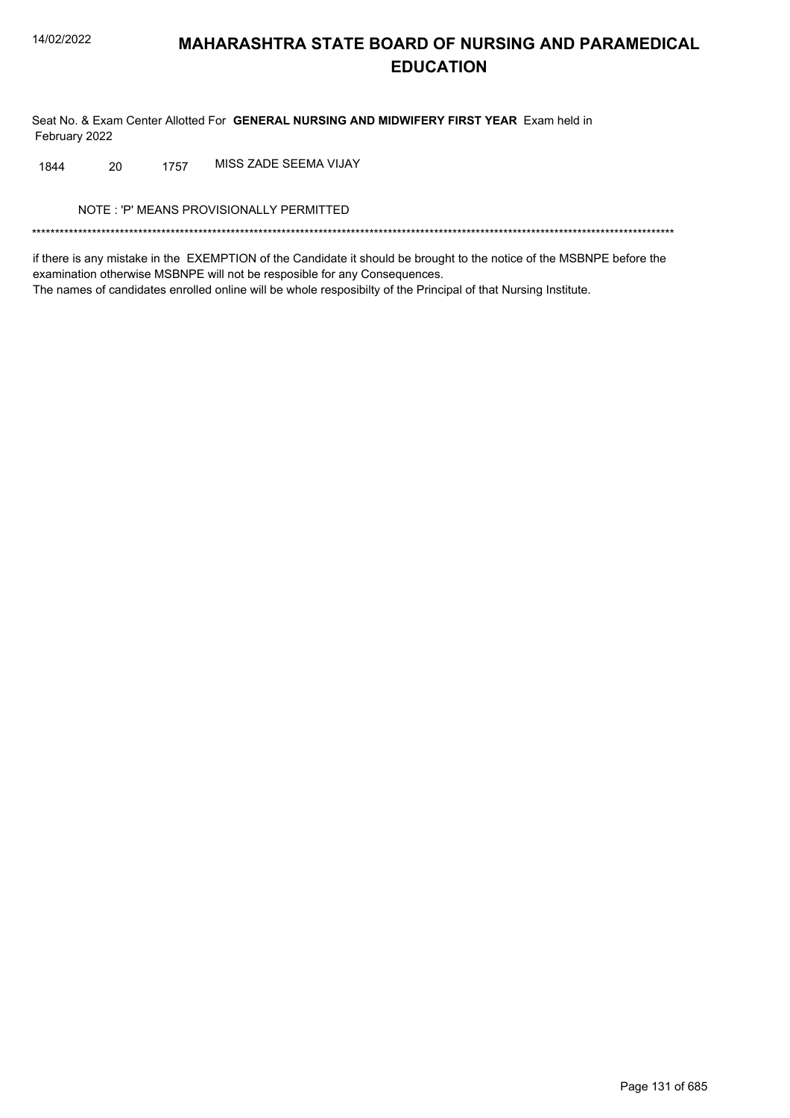Seat No. & Exam Center Allotted For GENERAL NURSING AND MIDWIFERY FIRST YEAR Exam held in February 2022

MISS ZADE SEEMA VIJAY 20 1757 1844

NOTE: 'P' MEANS PROVISIONALLY PERMITTED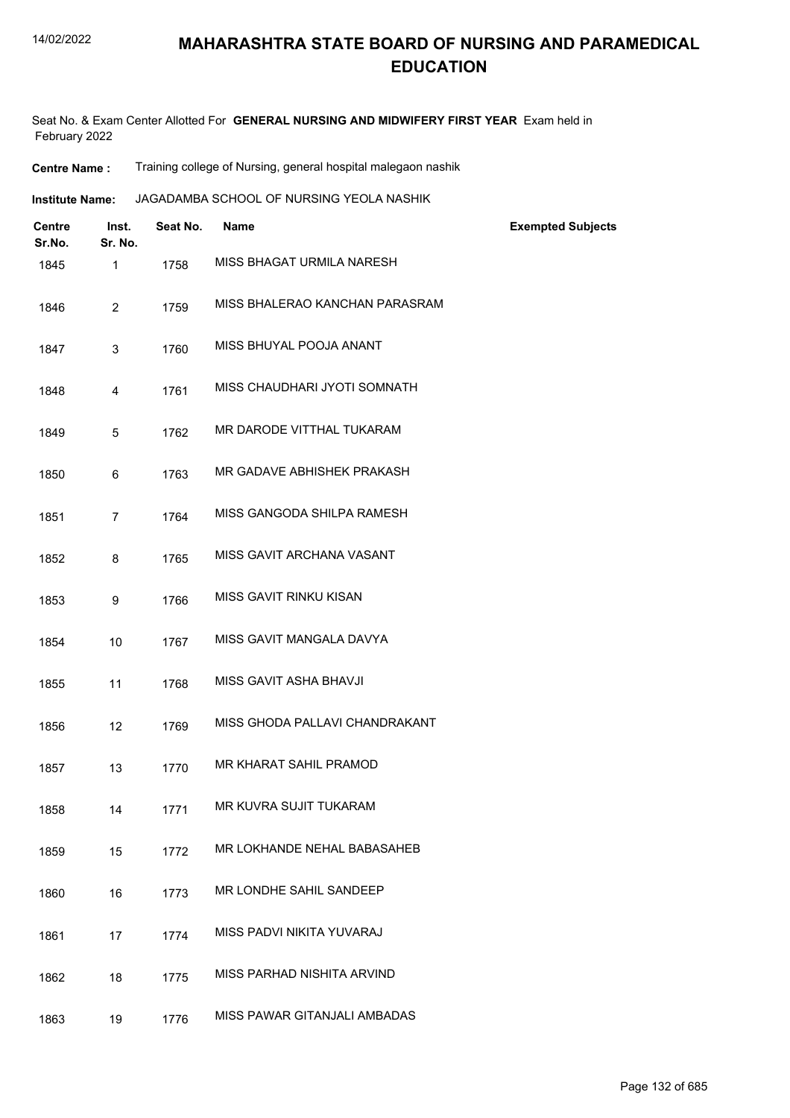Seat No. & Exam Center Allotted For **GENERAL NURSING AND MIDWIFERY FIRST YEAR** Exam held in February 2022

| <b>Centre Name :</b> |  | Training college of Nursing, general hospital malegaon nashik |  |  |
|----------------------|--|---------------------------------------------------------------|--|--|
|----------------------|--|---------------------------------------------------------------|--|--|

| <b>Institute Name:</b> | JAGADAMBA SCHOOL OF NURSING YEOLA NASHIK |
|------------------------|------------------------------------------|
|------------------------|------------------------------------------|

| <b>Centre</b><br>Sr.No. | Inst.<br>Sr. No. | Seat No. | <b>Name</b>                    | <b>Exempted Subjects</b> |
|-------------------------|------------------|----------|--------------------------------|--------------------------|
| 1845                    | $\mathbf{1}$     | 1758     | MISS BHAGAT URMILA NARESH      |                          |
| 1846                    | $\overline{2}$   | 1759     | MISS BHALERAO KANCHAN PARASRAM |                          |
| 1847                    | 3                | 1760     | MISS BHUYAL POOJA ANANT        |                          |
| 1848                    | $\overline{4}$   | 1761     | MISS CHAUDHARI JYOTI SOMNATH   |                          |
| 1849                    | 5                | 1762     | MR DARODE VITTHAL TUKARAM      |                          |
| 1850                    | 6                | 1763     | MR GADAVE ABHISHEK PRAKASH     |                          |
| 1851                    | $\overline{7}$   | 1764     | MISS GANGODA SHILPA RAMESH     |                          |
| 1852                    | 8                | 1765     | MISS GAVIT ARCHANA VASANT      |                          |
| 1853                    | 9                | 1766     | MISS GAVIT RINKU KISAN         |                          |
| 1854                    | 10               | 1767     | MISS GAVIT MANGALA DAVYA       |                          |
| 1855                    | 11               | 1768     | MISS GAVIT ASHA BHAVJI         |                          |
| 1856                    | 12               | 1769     | MISS GHODA PALLAVI CHANDRAKANT |                          |
| 1857                    | 13               | 1770     | MR KHARAT SAHIL PRAMOD         |                          |
| 1858                    | 14               | 1771     | MR KUVRA SUJIT TUKARAM         |                          |
| 1859                    | 15               | 1772     | MR LOKHANDE NEHAL BABASAHEB    |                          |
| 1860                    | 16               | 1773     | MR LONDHE SAHIL SANDEEP        |                          |
| 1861                    | 17               | 1774     | MISS PADVI NIKITA YUVARAJ      |                          |
| 1862                    | 18               | 1775     | MISS PARHAD NISHITA ARVIND     |                          |
| 1863                    | 19               | 1776     | MISS PAWAR GITANJALI AMBADAS   |                          |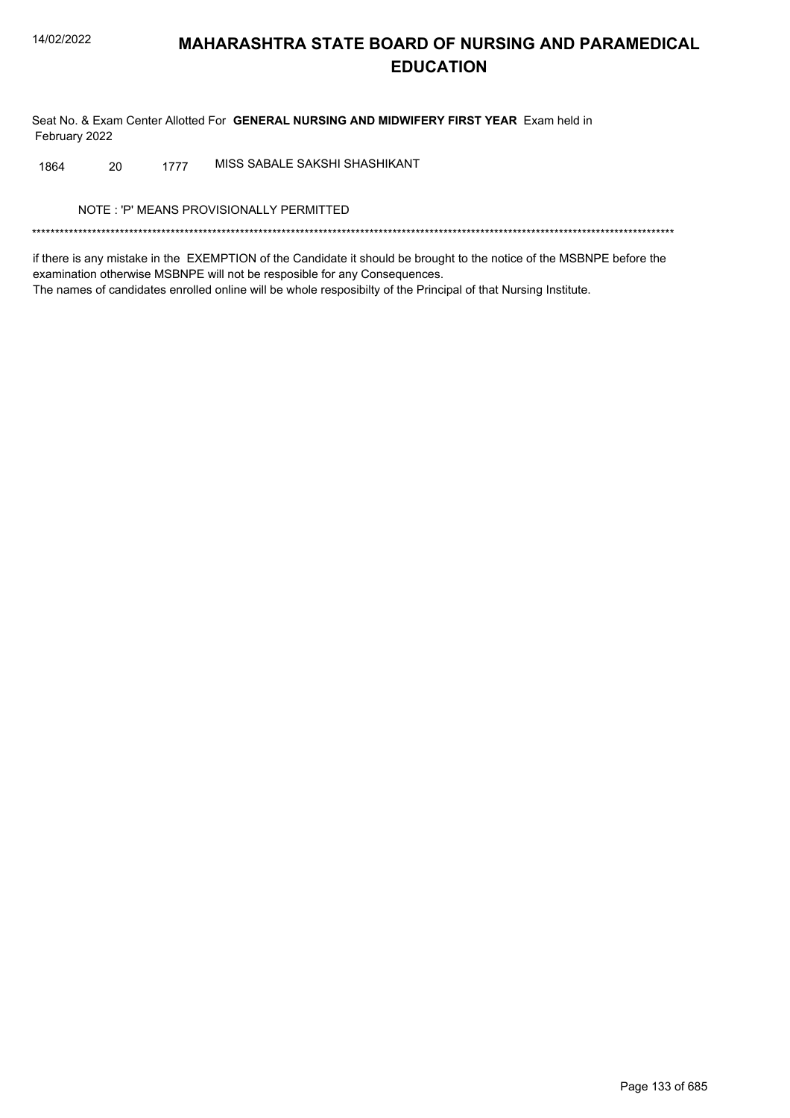Seat No. & Exam Center Allotted For GENERAL NURSING AND MIDWIFERY FIRST YEAR Exam held in February 2022

MISS SABALE SAKSHI SHASHIKANT 20 1864 1777

NOTE: 'P' MEANS PROVISIONALLY PERMITTED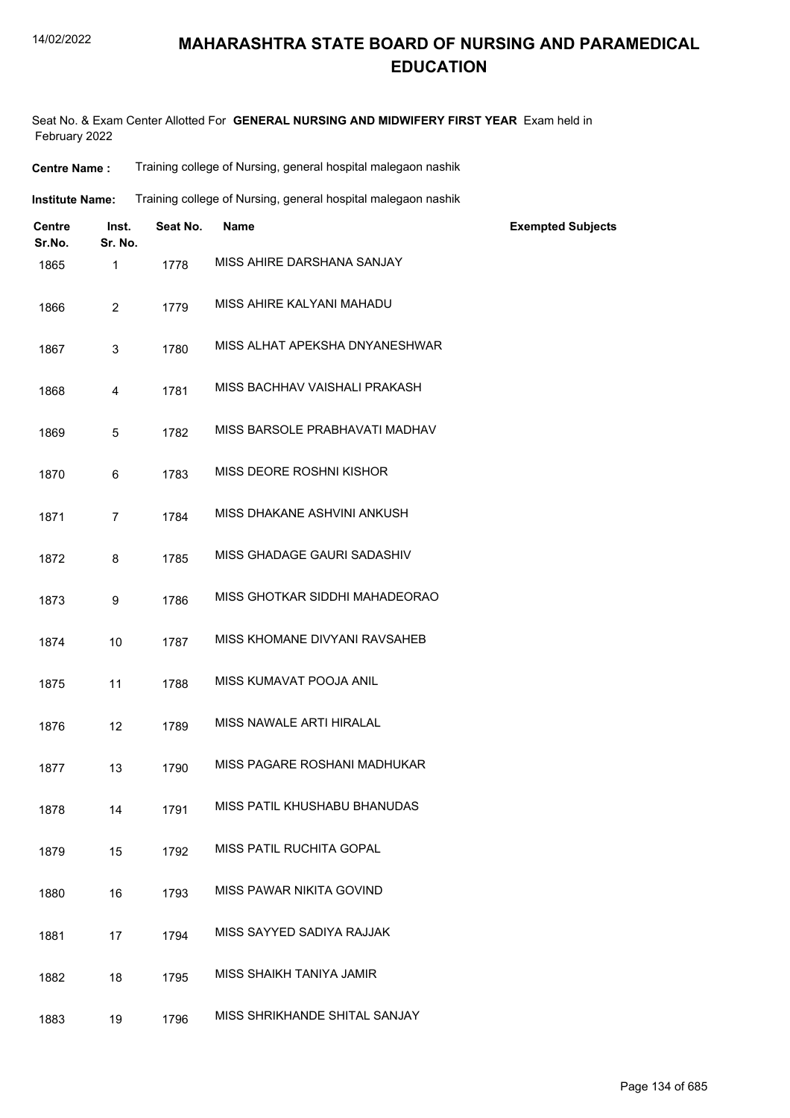#### 14/02/2022

### **MAHARASHTRA STATE BOARD OF NURSING AND PARAMEDICAL EDUCATION**

Seat No. & Exam Center Allotted For **GENERAL NURSING AND MIDWIFERY FIRST YEAR** Exam held in February 2022

| Training college of Nursing, general hospital malegaon nashik |
|---------------------------------------------------------------|
|                                                               |

| Training college of Nursing, general hospital malegaon nashik<br>Institute Name: |  |
|----------------------------------------------------------------------------------|--|
|----------------------------------------------------------------------------------|--|

| Centre<br>Sr.No. | Inst.<br>Sr. No. | Seat No. | <b>Name</b>                    | <b>Exempted Subjects</b> |
|------------------|------------------|----------|--------------------------------|--------------------------|
| 1865             | $\mathbf{1}$     | 1778     | MISS AHIRE DARSHANA SANJAY     |                          |
| 1866             | $\overline{2}$   | 1779     | MISS AHIRE KALYANI MAHADU      |                          |
| 1867             | 3                | 1780     | MISS ALHAT APEKSHA DNYANESHWAR |                          |
| 1868             | 4                | 1781     | MISS BACHHAV VAISHALI PRAKASH  |                          |
| 1869             | 5                | 1782     | MISS BARSOLE PRABHAVATI MADHAV |                          |
| 1870             | 6                | 1783     | MISS DEORE ROSHNI KISHOR       |                          |
| 1871             | $\overline{7}$   | 1784     | MISS DHAKANE ASHVINI ANKUSH    |                          |
| 1872             | 8                | 1785     | MISS GHADAGE GAURI SADASHIV    |                          |
| 1873             | 9                | 1786     | MISS GHOTKAR SIDDHI MAHADEORAO |                          |
| 1874             | 10               | 1787     | MISS KHOMANE DIVYANI RAVSAHEB  |                          |
| 1875             | 11               | 1788     | MISS KUMAVAT POOJA ANIL        |                          |
| 1876             | 12               | 1789     | MISS NAWALE ARTI HIRALAL       |                          |
| 1877             | 13               | 1790     | MISS PAGARE ROSHANI MADHUKAR   |                          |
| 1878             | 14               | 1791     | MISS PATIL KHUSHABU BHANUDAS   |                          |
| 1879             | 15               | 1792     | MISS PATIL RUCHITA GOPAL       |                          |
| 1880             | 16               | 1793     | MISS PAWAR NIKITA GOVIND       |                          |
| 1881             | 17               | 1794     | MISS SAYYED SADIYA RAJJAK      |                          |
| 1882             | 18               | 1795     | MISS SHAIKH TANIYA JAMIR       |                          |
| 1883             | 19               | 1796     | MISS SHRIKHANDE SHITAL SANJAY  |                          |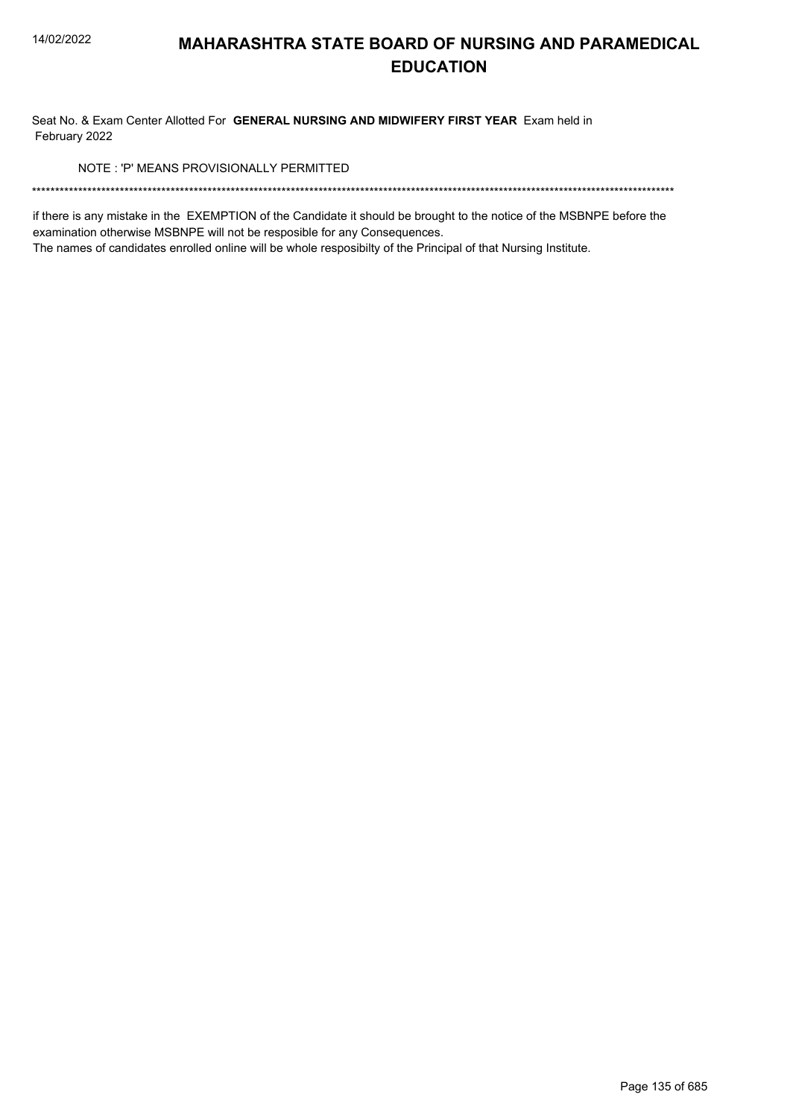Seat No. & Exam Center Allotted For GENERAL NURSING AND MIDWIFERY FIRST YEAR Exam held in February 2022

NOTE: 'P' MEANS PROVISIONALLY PERMITTED

if there is any mistake in the EXEMPTION of the Candidate it should be brought to the notice of the MSBNPE before the examination otherwise MSBNPE will not be resposible for any Consequences.

The names of candidates enrolled online will be whole resposibilty of the Principal of that Nursing Institute.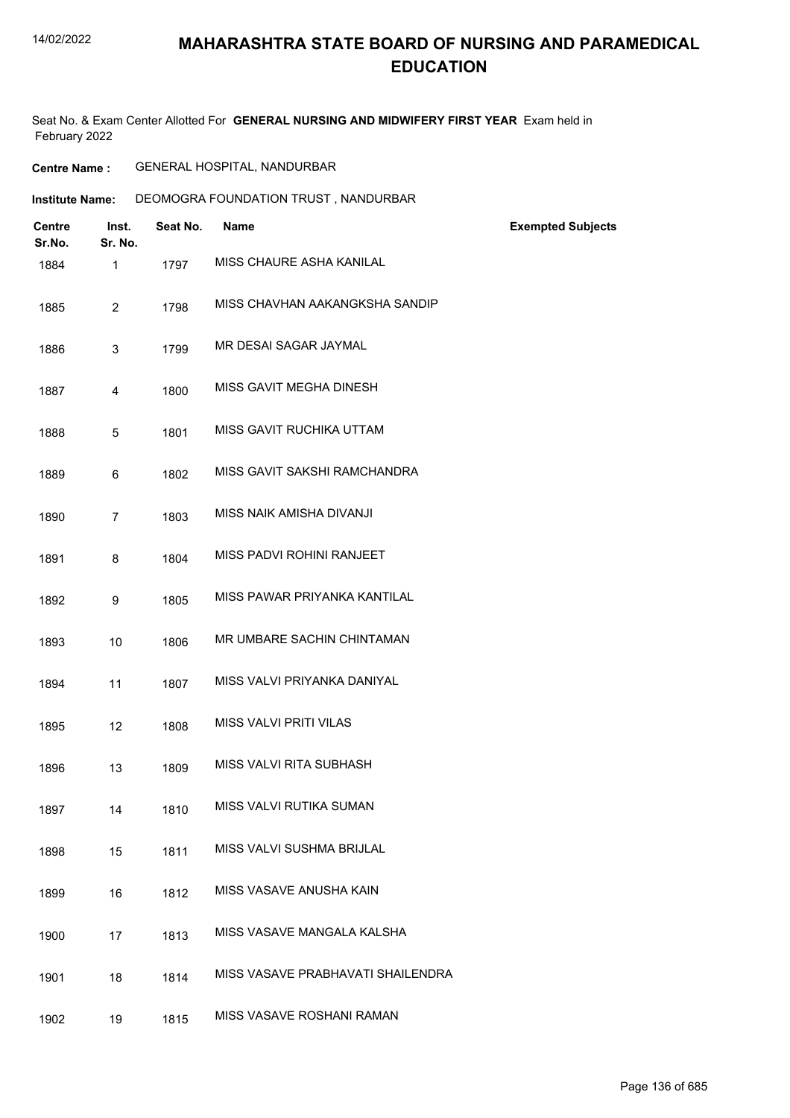#### 14/02/2022

## **MAHARASHTRA STATE BOARD OF NURSING AND PARAMEDICAL EDUCATION**

Seat No. & Exam Center Allotted For **GENERAL NURSING AND MIDWIFERY FIRST YEAR** Exam held in February 2022

| <b>Centre Name :</b> | <b>GENERAL HOSPITAL, NANDURBAR</b> |  |
|----------------------|------------------------------------|--|
|----------------------|------------------------------------|--|

| <b>Institute Name:</b> | DEOMOGRA FOUNDATION TRUST, NANDURBAR |
|------------------------|--------------------------------------|
|------------------------|--------------------------------------|

| <b>Centre</b><br>Sr.No. | Inst.<br>Sr. No. | Seat No. | <b>Name</b>                       | <b>Exempted Subjects</b> |
|-------------------------|------------------|----------|-----------------------------------|--------------------------|
| 1884                    | 1                | 1797     | MISS CHAURE ASHA KANILAL          |                          |
| 1885                    | $\overline{2}$   | 1798     | MISS CHAVHAN AAKANGKSHA SANDIP    |                          |
| 1886                    | 3                | 1799     | MR DESAI SAGAR JAYMAL             |                          |
| 1887                    | 4                | 1800     | MISS GAVIT MEGHA DINESH           |                          |
| 1888                    | 5                | 1801     | MISS GAVIT RUCHIKA UTTAM          |                          |
| 1889                    | 6                | 1802     | MISS GAVIT SAKSHI RAMCHANDRA      |                          |
| 1890                    | $\overline{7}$   | 1803     | MISS NAIK AMISHA DIVANJI          |                          |
| 1891                    | 8                | 1804     | MISS PADVI ROHINI RANJEET         |                          |
| 1892                    | 9                | 1805     | MISS PAWAR PRIYANKA KANTILAL      |                          |
| 1893                    | 10               | 1806     | MR UMBARE SACHIN CHINTAMAN        |                          |
| 1894                    | 11               | 1807     | MISS VALVI PRIYANKA DANIYAL       |                          |
| 1895                    | 12               | 1808     | <b>MISS VALVI PRITI VILAS</b>     |                          |
| 1896                    | 13               | 1809     | MISS VALVI RITA SUBHASH           |                          |
| 1897                    | 14               | 1810     | MISS VALVI RUTIKA SUMAN           |                          |
| 1898                    | 15               | 1811     | MISS VALVI SUSHMA BRIJLAL         |                          |
| 1899                    | 16               | 1812     | MISS VASAVE ANUSHA KAIN           |                          |
| 1900                    | 17               | 1813     | MISS VASAVE MANGALA KALSHA        |                          |
| 1901                    | 18               | 1814     | MISS VASAVE PRABHAVATI SHAILENDRA |                          |
| 1902                    | 19               | 1815     | MISS VASAVE ROSHANI RAMAN         |                          |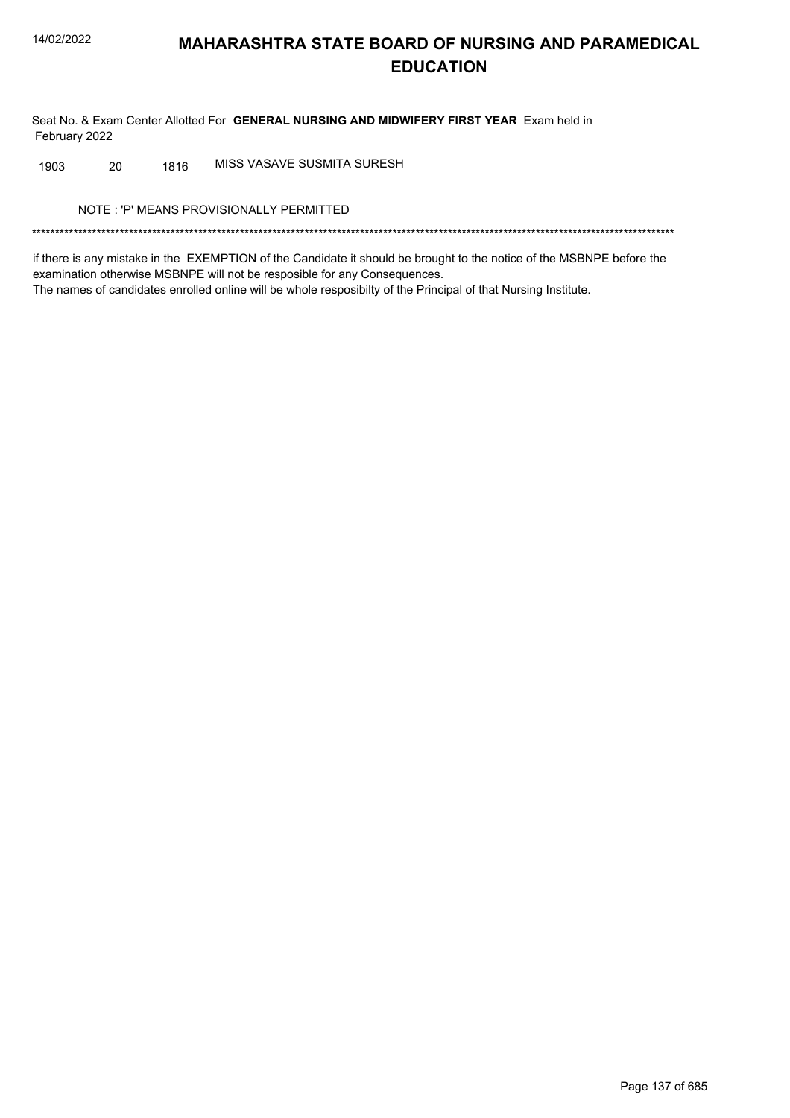Seat No. & Exam Center Allotted For GENERAL NURSING AND MIDWIFERY FIRST YEAR Exam held in February 2022

MISS VASAVE SUSMITA SURESH 20 1816 1903

NOTE: 'P' MEANS PROVISIONALLY PERMITTED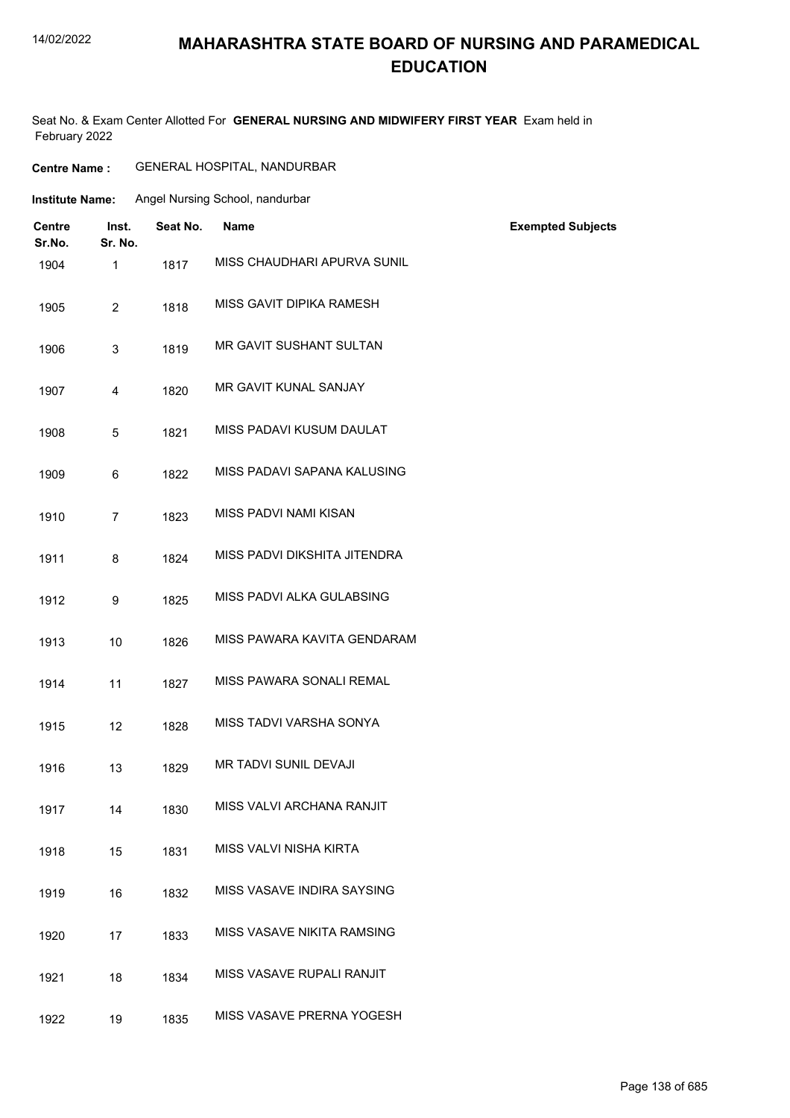#### 14/02/2022

### **MAHARASHTRA STATE BOARD OF NURSING AND PARAMEDICAL EDUCATION**

Seat No. & Exam Center Allotted For **GENERAL NURSING AND MIDWIFERY FIRST YEAR** Exam held in February 2022

| <b>Centre Name :</b> | GENERAL HOSPITAL, NANDURBAR |  |
|----------------------|-----------------------------|--|
|----------------------|-----------------------------|--|

| Institute Name: | Angel Nursing School, nandurbar |
|-----------------|---------------------------------|
|                 |                                 |

| <b>Centre</b><br>Sr.No. | Inst.<br>Sr. No. | Seat No. | Name                           | <b>Exempted Subjects</b> |
|-------------------------|------------------|----------|--------------------------------|--------------------------|
| 1904                    | 1                | 1817     | MISS CHAUDHARI APURVA SUNIL    |                          |
| 1905                    | $\overline{2}$   | 1818     | MISS GAVIT DIPIKA RAMESH       |                          |
| 1906                    | 3                | 1819     | <b>MR GAVIT SUSHANT SULTAN</b> |                          |
| 1907                    | 4                | 1820     | MR GAVIT KUNAL SANJAY          |                          |
| 1908                    | 5                | 1821     | MISS PADAVI KUSUM DAULAT       |                          |
| 1909                    | 6                | 1822     | MISS PADAVI SAPANA KALUSING    |                          |
| 1910                    | $\overline{7}$   | 1823     | MISS PADVI NAMI KISAN          |                          |
| 1911                    | 8                | 1824     | MISS PADVI DIKSHITA JITENDRA   |                          |
| 1912                    | 9                | 1825     | MISS PADVI ALKA GULABSING      |                          |
| 1913                    | 10               | 1826     | MISS PAWARA KAVITA GENDARAM    |                          |
| 1914                    | 11               | 1827     | MISS PAWARA SONALI REMAL       |                          |
| 1915                    | 12               | 1828     | MISS TADVI VARSHA SONYA        |                          |
| 1916                    | 13               | 1829     | MR TADVI SUNIL DEVAJI          |                          |
| 1917                    | 14               | 1830     | MISS VALVI ARCHANA RANJIT      |                          |
| 1918                    | 15               | 1831     | MISS VALVI NISHA KIRTA         |                          |
| 1919                    | 16               | 1832     | MISS VASAVE INDIRA SAYSING     |                          |
| 1920                    | 17               | 1833     | MISS VASAVE NIKITA RAMSING     |                          |
| 1921                    | 18               | 1834     | MISS VASAVE RUPALI RANJIT      |                          |
| 1922                    | 19               | 1835     | MISS VASAVE PRERNA YOGESH      |                          |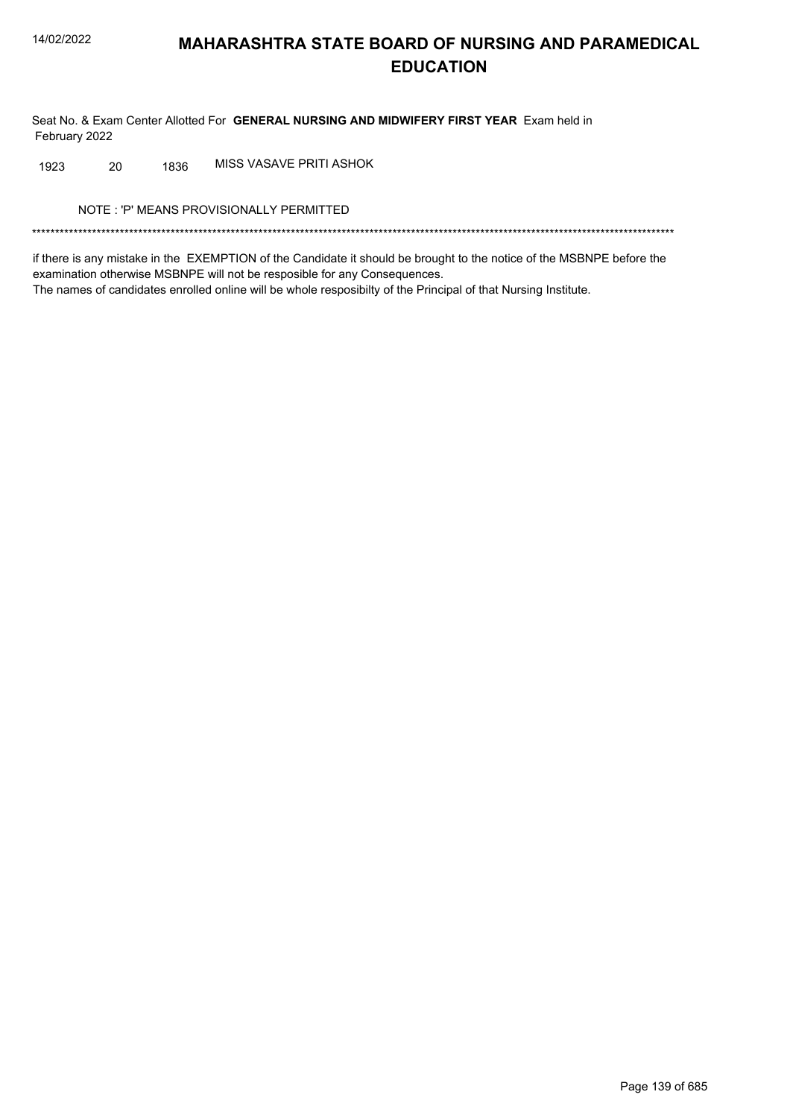Seat No. & Exam Center Allotted For GENERAL NURSING AND MIDWIFERY FIRST YEAR Exam held in February 2022

MISS VASAVE PRITI ASHOK 20 1836 1923

NOTE: 'P' MEANS PROVISIONALLY PERMITTED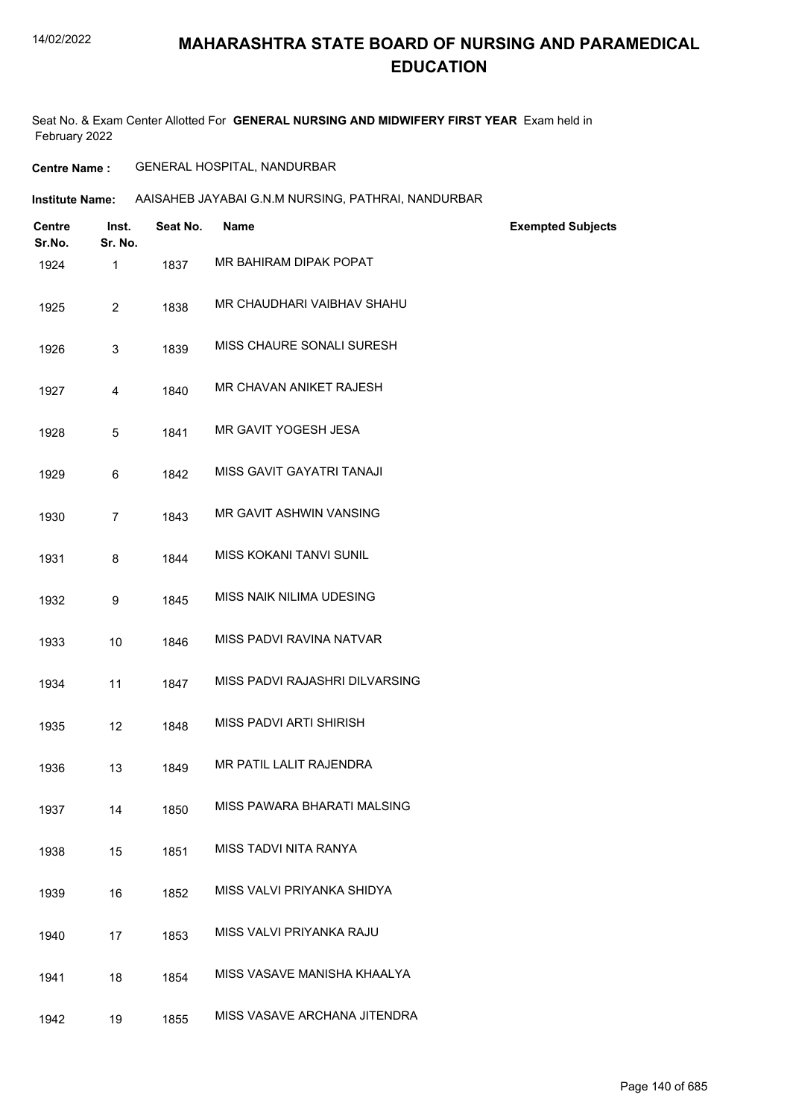#### 14/02/2022

#### **MAHARASHTRA STATE BOARD OF NURSING AND PARAMEDICAL EDUCATION**

Seat No. & Exam Center Allotted For **GENERAL NURSING AND MIDWIFERY FIRST YEAR** Exam held in February 2022

#### **Centre Name :** GENERAL HOSPITAL, NANDURBAR

#### **Institute Name:** AAISAHEB JAYABAI G.N.M NURSING, PATHRAI, NANDURBAR

| Centre<br>Sr.No. | Inst.<br>Sr. No. | Seat No. | Name                           | <b>Exempted Subjects</b> |
|------------------|------------------|----------|--------------------------------|--------------------------|
| 1924             | 1                | 1837     | MR BAHIRAM DIPAK POPAT         |                          |
| 1925             | $\overline{2}$   | 1838     | MR CHAUDHARI VAIBHAV SHAHU     |                          |
| 1926             | 3                | 1839     | MISS CHAURE SONALI SURESH      |                          |
| 1927             | 4                | 1840     | MR CHAVAN ANIKET RAJESH        |                          |
| 1928             | 5                | 1841     | MR GAVIT YOGESH JESA           |                          |
| 1929             | 6                | 1842     | MISS GAVIT GAYATRI TANAJI      |                          |
| 1930             | $\overline{7}$   | 1843     | MR GAVIT ASHWIN VANSING        |                          |
| 1931             | 8                | 1844     | <b>MISS KOKANI TANVI SUNIL</b> |                          |
| 1932             | 9                | 1845     | MISS NAIK NILIMA UDESING       |                          |
| 1933             | 10               | 1846     | MISS PADVI RAVINA NATVAR       |                          |
| 1934             | 11               | 1847     | MISS PADVI RAJASHRI DILVARSING |                          |
| 1935             | 12               | 1848     | MISS PADVI ARTI SHIRISH        |                          |
| 1936             | 13               | 1849     | MR PATIL LALIT RAJENDRA        |                          |
| 1937             | 14               | 1850     | MISS PAWARA BHARATI MALSING    |                          |
| 1938             | 15               | 1851     | MISS TADVI NITA RANYA          |                          |
| 1939             | 16               | 1852     | MISS VALVI PRIYANKA SHIDYA     |                          |
| 1940             | 17               | 1853     | MISS VALVI PRIYANKA RAJU       |                          |
| 1941             | 18               | 1854     | MISS VASAVE MANISHA KHAALYA    |                          |
| 1942             | 19               | 1855     | MISS VASAVE ARCHANA JITENDRA   |                          |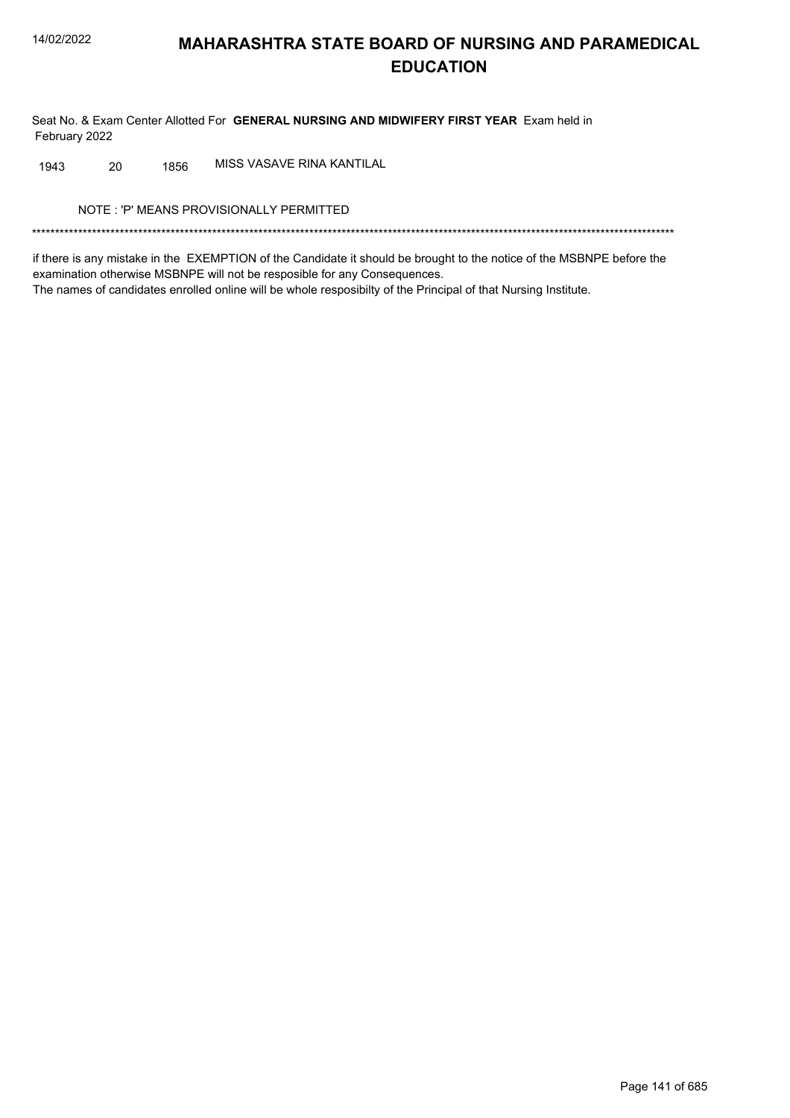Seat No. & Exam Center Allotted For GENERAL NURSING AND MIDWIFERY FIRST YEAR Exam held in February 2022

MISS VASAVE RINA KANTILAL 20 1856 1943

NOTE: 'P' MEANS PROVISIONALLY PERMITTED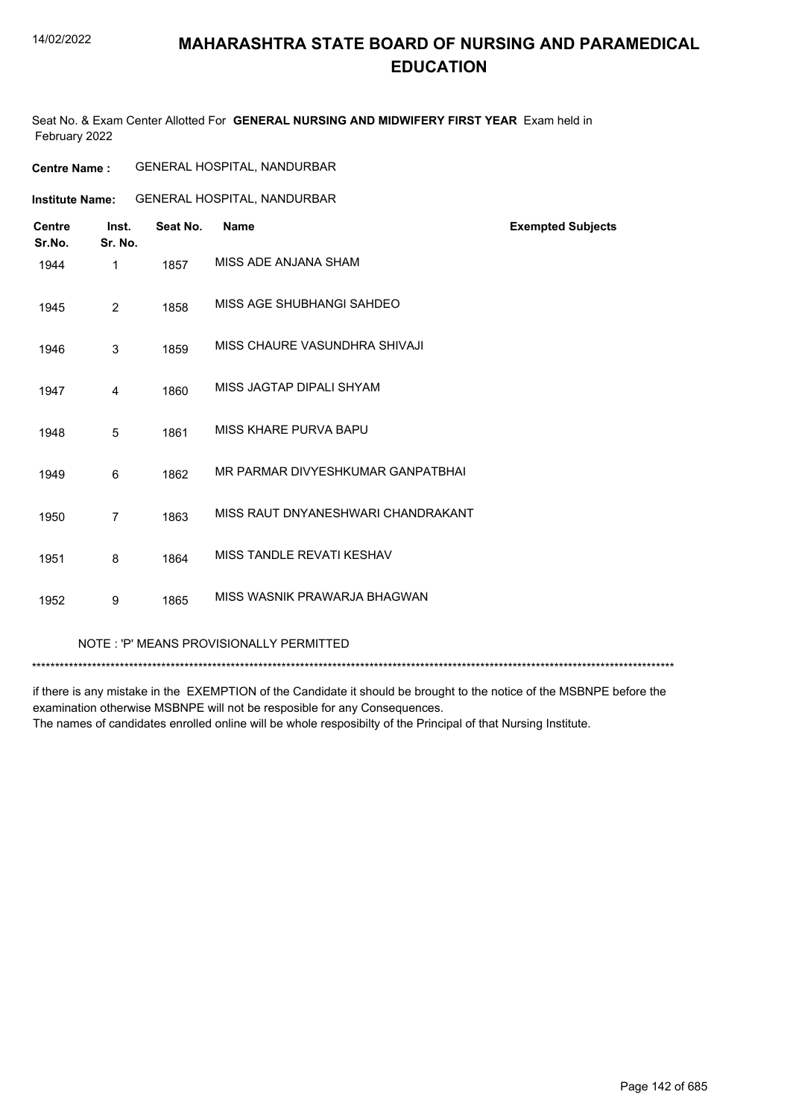#### 14/02/2022

#### **MAHARASHTRA STATE BOARD OF NURSING AND PARAMEDICAL EDUCATION**

Seat No. & Exam Center Allotted For **GENERAL NURSING AND MIDWIFERY FIRST YEAR** Exam held in February 2022

| <b>Centre Name :</b> | <b>GENERAL HOSPITAL, NANDURBAR</b> |  |
|----------------------|------------------------------------|--|
|----------------------|------------------------------------|--|

**Institute Name:** GENERAL HOSPITAL, NANDURBAR

| <b>Centre</b><br>Sr.No.                 | Inst.<br>Sr. No. | Seat No. | <b>Name</b>                        | <b>Exempted Subjects</b> |  |
|-----------------------------------------|------------------|----------|------------------------------------|--------------------------|--|
| 1944                                    | 1                | 1857     | MISS ADE ANJANA SHAM               |                          |  |
| 1945                                    | $\overline{2}$   | 1858     | MISS AGE SHUBHANGI SAHDEO          |                          |  |
| 1946                                    | 3                | 1859     | MISS CHAURE VASUNDHRA SHIVAJI      |                          |  |
| 1947                                    | 4                | 1860     | MISS JAGTAP DIPALI SHYAM           |                          |  |
| 1948                                    | 5                | 1861     | MISS KHARE PURVA BAPU              |                          |  |
| 1949                                    | 6                | 1862     | MR PARMAR DIVYESHKUMAR GANPATBHAI  |                          |  |
| 1950                                    | $\overline{7}$   | 1863     | MISS RAUT DNYANESHWARI CHANDRAKANT |                          |  |
| 1951                                    | 8                | 1864     | MISS TANDLE REVATI KESHAV          |                          |  |
| 1952                                    | 9                | 1865     | MISS WASNIK PRAWARJA BHAGWAN       |                          |  |
| NOTE: 'P' MEANS PROVISIONALLY PERMITTED |                  |          |                                    |                          |  |

\*\*\*\*\*\*\*\*\*\*\*\*\*\*\*\*\*\*\*\*\*\*\*\*\*\*\*\*\*\*\*\*\*\*\*\*\*\*\*\*\*\*\*\*\*\*\*\*\*\*\*\*\*\*\*\*\*\*\*\*\*\*\*\*\*\*\*\*\*\*\*\*\*\*\*\*\*\*\*\*\*\*\*\*\*\*\*\*\*\*\*\*\*\*\*\*\*\*\*\*\*\*\*\*\*\*\*\*\*\*\*\*\*\*\*\*\*\*\*\*\*\*\*\*\*\*\*\*\*\*\*\*\*\*\*\*\*\*\*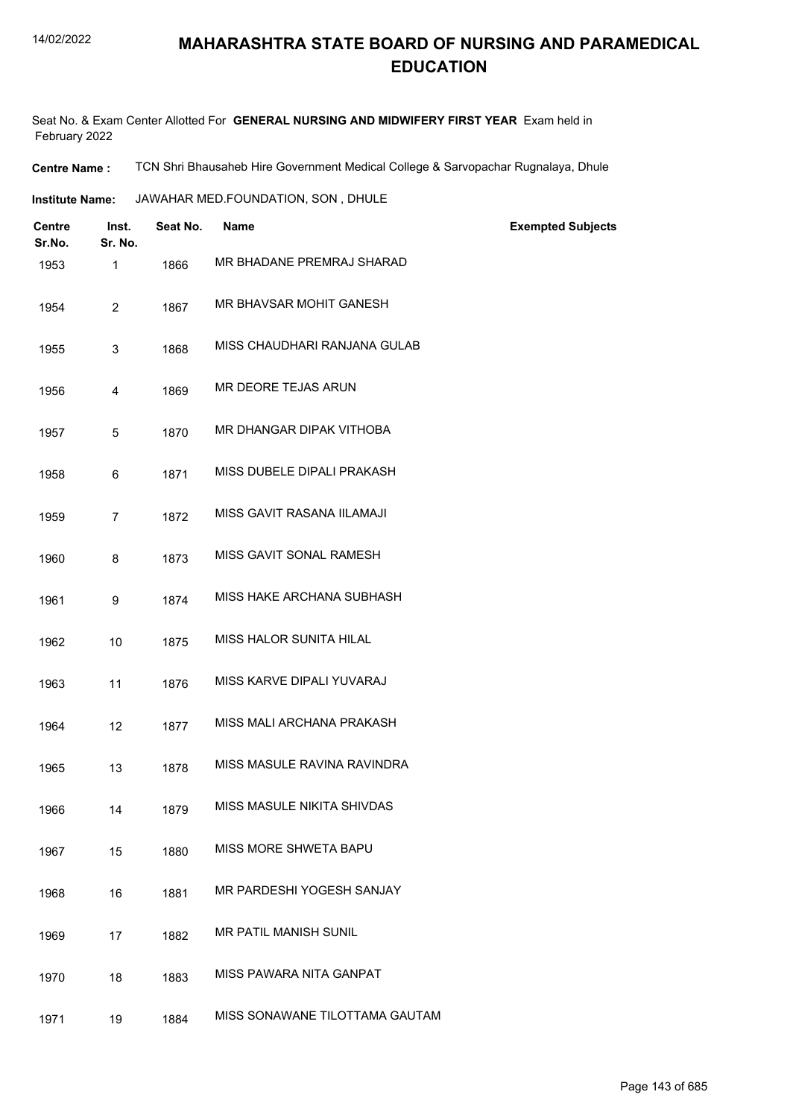Seat No. & Exam Center Allotted For **GENERAL NURSING AND MIDWIFERY FIRST YEAR** Exam held in February 2022

**Centre Name :** TCN Shri Bhausaheb Hire Government Medical College & Sarvopachar Rugnalaya, Dhule

**Institute Name: JAWAHAR MED.FOUNDATION, SON, DHULE** 

| Centre<br>Sr.No. | Inst.<br>Sr. No. | Seat No. | Name                           | <b>Exempted Subjects</b> |
|------------------|------------------|----------|--------------------------------|--------------------------|
| 1953             | 1                | 1866     | MR BHADANE PREMRAJ SHARAD      |                          |
| 1954             | $\overline{c}$   | 1867     | MR BHAVSAR MOHIT GANESH        |                          |
| 1955             | 3                | 1868     | MISS CHAUDHARI RANJANA GULAB   |                          |
| 1956             | 4                | 1869     | MR DEORE TEJAS ARUN            |                          |
| 1957             | 5                | 1870     | MR DHANGAR DIPAK VITHOBA       |                          |
| 1958             | 6                | 1871     | MISS DUBELE DIPALI PRAKASH     |                          |
| 1959             | $\overline{7}$   | 1872     | MISS GAVIT RASANA IILAMAJI     |                          |
| 1960             | 8                | 1873     | MISS GAVIT SONAL RAMESH        |                          |
| 1961             | 9                | 1874     | MISS HAKE ARCHANA SUBHASH      |                          |
| 1962             | 10               | 1875     | MISS HALOR SUNITA HILAL        |                          |
| 1963             | 11               | 1876     | MISS KARVE DIPALI YUVARAJ      |                          |
| 1964             | 12               | 1877     | MISS MALI ARCHANA PRAKASH      |                          |
| 1965             | 13               | 1878     | MISS MASULE RAVINA RAVINDRA    |                          |
| 1966             | 14               | 1879     | MISS MASULE NIKITA SHIVDAS     |                          |
| 1967             | 15               | 1880     | MISS MORE SHWETA BAPU          |                          |
| 1968             | 16               | 1881     | MR PARDESHI YOGESH SANJAY      |                          |
| 1969             | 17               | 1882     | MR PATIL MANISH SUNIL          |                          |
| 1970             | 18               | 1883     | MISS PAWARA NITA GANPAT        |                          |
| 1971             | 19               | 1884     | MISS SONAWANE TILOTTAMA GAUTAM |                          |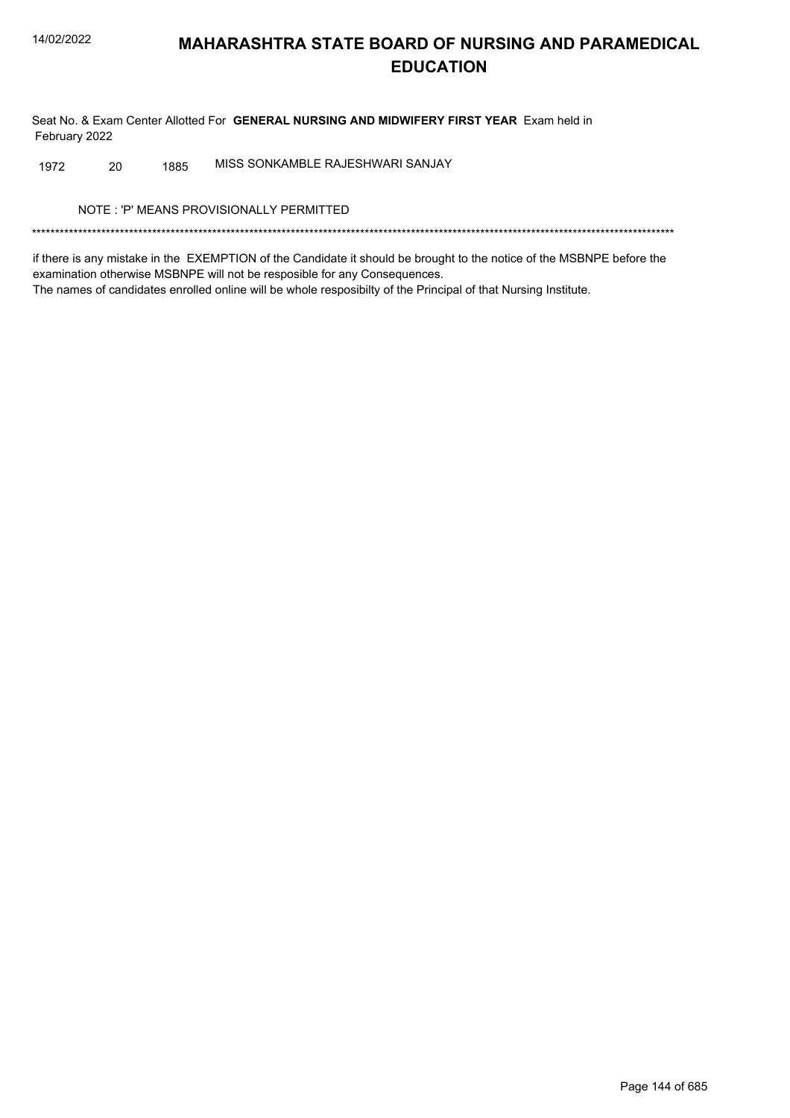Seat No. & Exam Center Allotted For GENERAL NURSING AND MIDWIFERY FIRST YEAR Exam held in February 2022

MISS SONKAMBLE RAJESHWARI SANJAY 20 1885 1972

NOTE: 'P' MEANS PROVISIONALLY PERMITTED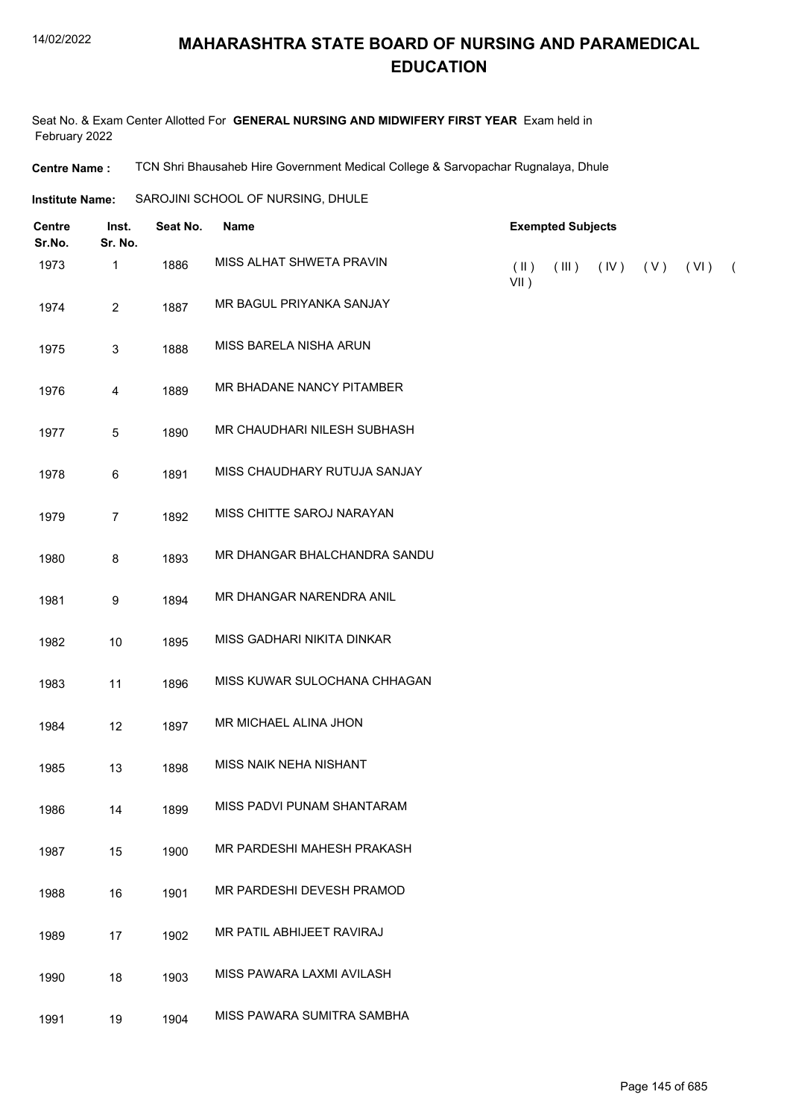Seat No. & Exam Center Allotted For **GENERAL NURSING AND MIDWIFERY FIRST YEAR** Exam held in February 2022

**Centre Name :** TCN Shri Bhausaheb Hire Government Medical College & Sarvopachar Rugnalaya, Dhule

**Institute Name:** SAROJINI SCHOOL OF NURSING, DHULE

| <b>Centre</b><br>Sr.No. | Inst.<br>Sr. No. | Seat No. | <b>Name</b>                  | <b>Exempted Subjects</b> |       |      |     |      |            |
|-------------------------|------------------|----------|------------------------------|--------------------------|-------|------|-----|------|------------|
| 1973                    | 1                | 1886     | MISS ALHAT SHWETA PRAVIN     | $(\parallel)$<br>$VII$ ) | (III) | (IV) | (V) | (VI) | $\sqrt{2}$ |
| 1974                    | $\overline{2}$   | 1887     | MR BAGUL PRIYANKA SANJAY     |                          |       |      |     |      |            |
| 1975                    | $\mathbf{3}$     | 1888     | MISS BARELA NISHA ARUN       |                          |       |      |     |      |            |
| 1976                    | $\overline{4}$   | 1889     | MR BHADANE NANCY PITAMBER    |                          |       |      |     |      |            |
| 1977                    | $\,$ 5 $\,$      | 1890     | MR CHAUDHARI NILESH SUBHASH  |                          |       |      |     |      |            |
| 1978                    | $\,6\,$          | 1891     | MISS CHAUDHARY RUTUJA SANJAY |                          |       |      |     |      |            |
| 1979                    | $\overline{7}$   | 1892     | MISS CHITTE SAROJ NARAYAN    |                          |       |      |     |      |            |
| 1980                    | 8                | 1893     | MR DHANGAR BHALCHANDRA SANDU |                          |       |      |     |      |            |
| 1981                    | $9\,$            | 1894     | MR DHANGAR NARENDRA ANIL     |                          |       |      |     |      |            |
| 1982                    | 10               | 1895     | MISS GADHARI NIKITA DINKAR   |                          |       |      |     |      |            |
| 1983                    | 11               | 1896     | MISS KUWAR SULOCHANA CHHAGAN |                          |       |      |     |      |            |
| 1984                    | 12               | 1897     | MR MICHAEL ALINA JHON        |                          |       |      |     |      |            |
| 1985                    | 13               | 1898     | MISS NAIK NEHA NISHANT       |                          |       |      |     |      |            |
| 1986                    | 14               | 1899     | MISS PADVI PUNAM SHANTARAM   |                          |       |      |     |      |            |
| 1987                    | 15               | 1900     | MR PARDESHI MAHESH PRAKASH   |                          |       |      |     |      |            |
| 1988                    | 16               | 1901     | MR PARDESHI DEVESH PRAMOD    |                          |       |      |     |      |            |
| 1989                    | 17               | 1902     | MR PATIL ABHIJEET RAVIRAJ    |                          |       |      |     |      |            |
| 1990                    | 18               | 1903     | MISS PAWARA LAXMI AVILASH    |                          |       |      |     |      |            |
| 1991                    | 19               | 1904     | MISS PAWARA SUMITRA SAMBHA   |                          |       |      |     |      |            |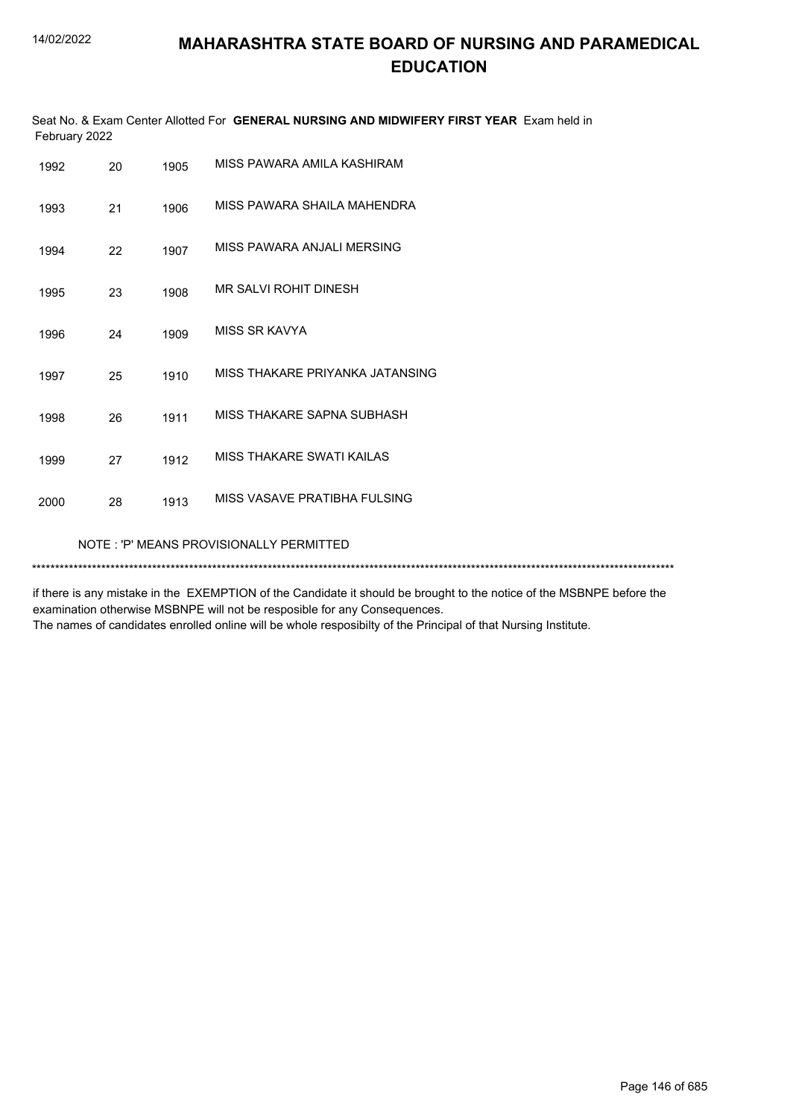|               | Seat No. & Exam Center Allotted For GENERAL NURSING AND MIDWIFERY FIRST YEAR Exam held in |  |
|---------------|-------------------------------------------------------------------------------------------|--|
| February 2022 |                                                                                           |  |

| 1992 | 20                                      | 1905 | MISS PAWARA AMILA KASHIRAM      |  |  |  |
|------|-----------------------------------------|------|---------------------------------|--|--|--|
| 1993 | 21                                      | 1906 | MISS PAWARA SHAILA MAHENDRA     |  |  |  |
| 1994 | 22                                      | 1907 | MISS PAWARA ANJALI MERSING      |  |  |  |
| 1995 | 23                                      | 1908 | MR SALVI ROHIT DINESH           |  |  |  |
| 1996 | 24                                      | 1909 | MISS SR KAVYA                   |  |  |  |
| 1997 | 25                                      | 1910 | MISS THAKARE PRIYANKA JATANSING |  |  |  |
| 1998 | 26                                      | 1911 | MISS THAKARE SAPNA SUBHASH      |  |  |  |
| 1999 | 27                                      | 1912 | MISS THAKARE SWATI KAILAS       |  |  |  |
| 2000 | 28                                      | 1913 | MISS VASAVE PRATIBHA FULSING    |  |  |  |
|      | NOTE: 'P' MEANS PROVISIONALLY PERMITTED |      |                                 |  |  |  |
|      |                                         |      |                                 |  |  |  |

if there is any mistake in the EXEMPTION of the Candidate it should be brought to the notice of the MSBNPE before the examination otherwise MSBNPE will not be resposible for any Consequences. The names of candidates enrolled online will be whole resposibilty of the Principal of that Nursing Institute.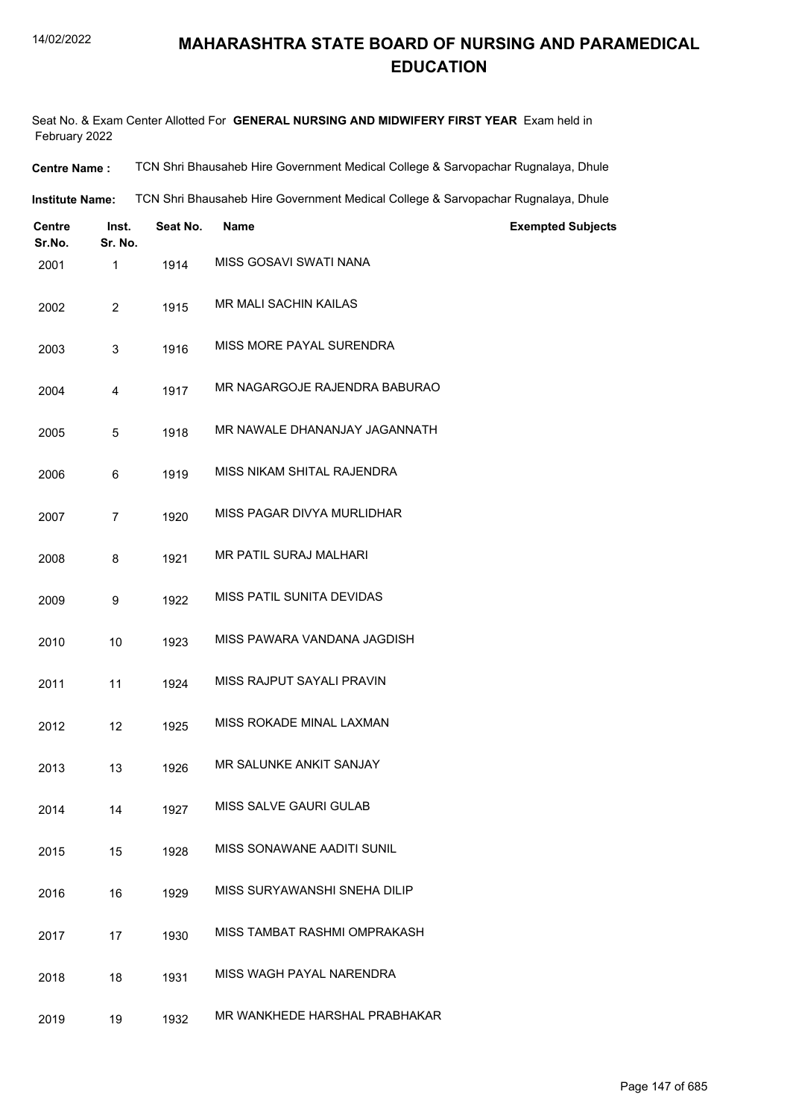Seat No. & Exam Center Allotted For **GENERAL NURSING AND MIDWIFERY FIRST YEAR** Exam held in February 2022

| <b>Centre Name :</b> | TCN Shri Bhausaheb Hire Government Medical College & Sarvopachar Rugnalaya, Dhule |
|----------------------|-----------------------------------------------------------------------------------|
|----------------------|-----------------------------------------------------------------------------------|

**Institute Name:** TCN Shri Bhausaheb Hire Government Medical College & Sarvopachar Rugnalaya, Dhule

| <b>Centre</b><br>Sr.No. | Inst.<br>Sr. No. | Seat No. | <b>Name</b>                   | <b>Exempted Subjects</b> |
|-------------------------|------------------|----------|-------------------------------|--------------------------|
| 2001                    | 1                | 1914     | MISS GOSAVI SWATI NANA        |                          |
| 2002                    | $\overline{2}$   | 1915     | MR MALI SACHIN KAILAS         |                          |
| 2003                    | 3                | 1916     | MISS MORE PAYAL SURENDRA      |                          |
| 2004                    | 4                | 1917     | MR NAGARGOJE RAJENDRA BABURAO |                          |
| 2005                    | 5                | 1918     | MR NAWALE DHANANJAY JAGANNATH |                          |
| 2006                    | 6                | 1919     | MISS NIKAM SHITAL RAJENDRA    |                          |
| 2007                    | $\overline{7}$   | 1920     | MISS PAGAR DIVYA MURLIDHAR    |                          |
| 2008                    | 8                | 1921     | <b>MR PATIL SURAJ MALHARI</b> |                          |
| 2009                    | 9                | 1922     | MISS PATIL SUNITA DEVIDAS     |                          |
| 2010                    | 10               | 1923     | MISS PAWARA VANDANA JAGDISH   |                          |
| 2011                    | 11               | 1924     | MISS RAJPUT SAYALI PRAVIN     |                          |
| 2012                    | 12               | 1925     | MISS ROKADE MINAL LAXMAN      |                          |
| 2013                    | 13               | 1926     | MR SALUNKE ANKIT SANJAY       |                          |
| 2014                    | 14               | 1927     | MISS SALVE GAURI GULAB        |                          |
| 2015                    | 15               | 1928     | MISS SONAWANE AADITI SUNIL    |                          |
| 2016                    | 16               | 1929     | MISS SURYAWANSHI SNEHA DILIP  |                          |
| 2017                    | 17               | 1930     | MISS TAMBAT RASHMI OMPRAKASH  |                          |
| 2018                    | 18               | 1931     | MISS WAGH PAYAL NARENDRA      |                          |
| 2019                    | 19               | 1932     | MR WANKHEDE HARSHAL PRABHAKAR |                          |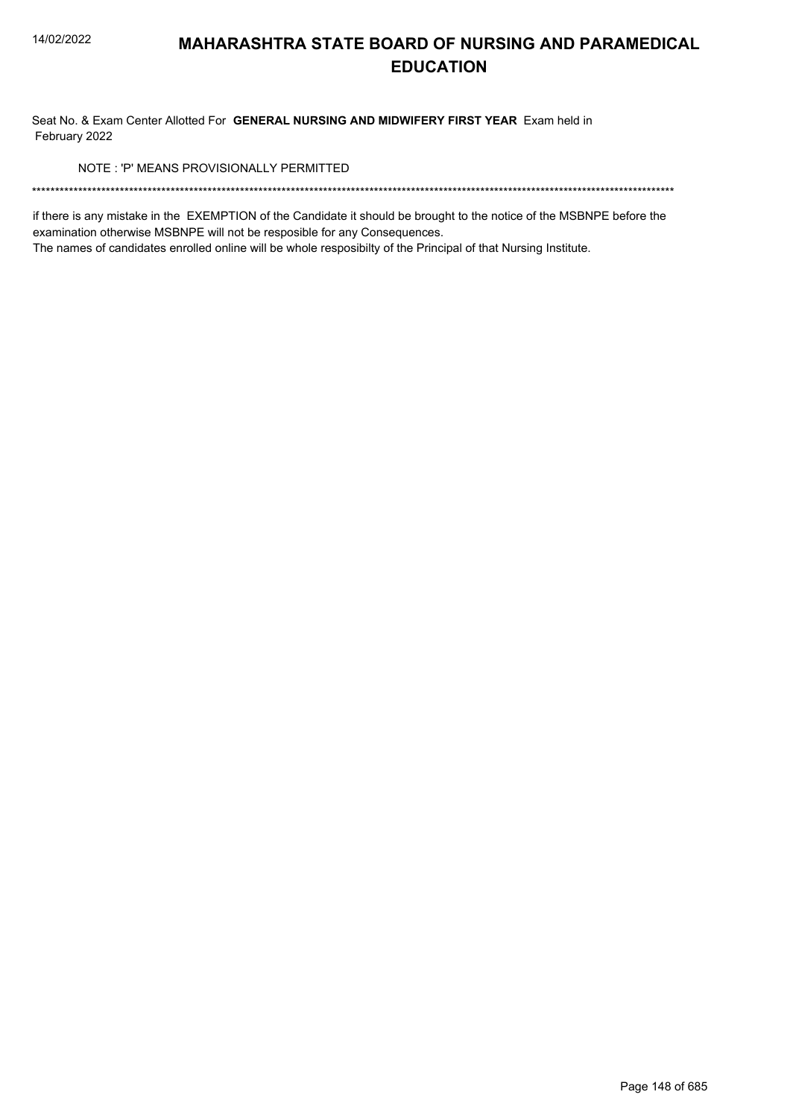Seat No. & Exam Center Allotted For GENERAL NURSING AND MIDWIFERY FIRST YEAR Exam held in February 2022

NOTE: 'P' MEANS PROVISIONALLY PERMITTED

if there is any mistake in the EXEMPTION of the Candidate it should be brought to the notice of the MSBNPE before the examination otherwise MSBNPE will not be resposible for any Consequences.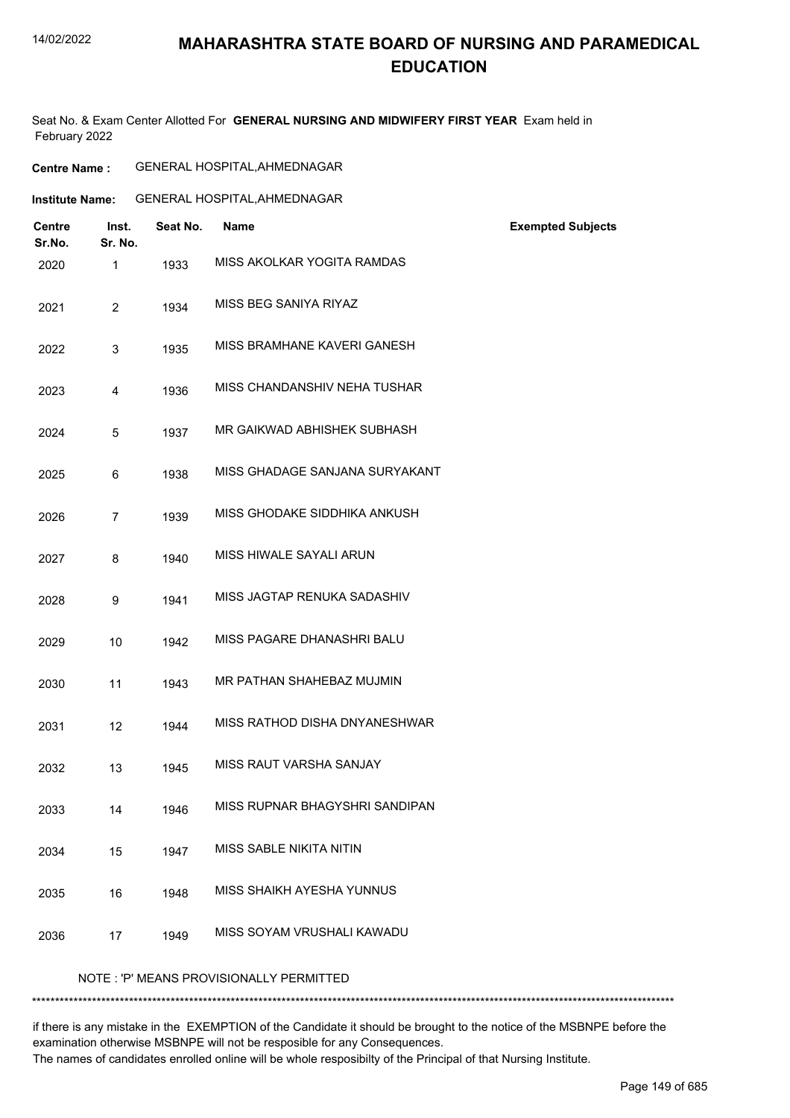# **MAHARASHTRA STATE BOARD OF NURSING AND PARAMEDICAL EDUCATION**

Seat No. & Exam Center Allotted For **GENERAL NURSING AND MIDWIFERY FIRST YEAR** Exam held in February 2022

| <b>Centre Name :</b> | <b>GENERAL HOSPITAL, AHMEDNAGAR</b> |
|----------------------|-------------------------------------|
|----------------------|-------------------------------------|

|                         | <b>Institute Name:</b> |          | GENERAL HOSPITAL, AHMEDNAGAR            |                          |
|-------------------------|------------------------|----------|-----------------------------------------|--------------------------|
| <b>Centre</b><br>Sr.No. | Inst.<br>Sr. No.       | Seat No. | <b>Name</b>                             | <b>Exempted Subjects</b> |
| 2020                    | 1                      | 1933     | MISS AKOLKAR YOGITA RAMDAS              |                          |
| 2021                    | $\overline{2}$         | 1934     | MISS BEG SANIYA RIYAZ                   |                          |
| 2022                    | 3                      | 1935     | MISS BRAMHANE KAVERI GANESH             |                          |
| 2023                    | 4                      | 1936     | MISS CHANDANSHIV NEHA TUSHAR            |                          |
| 2024                    | 5                      | 1937     | MR GAIKWAD ABHISHEK SUBHASH             |                          |
| 2025                    | 6                      | 1938     | MISS GHADAGE SANJANA SURYAKANT          |                          |
| 2026                    | $\overline{7}$         | 1939     | MISS GHODAKE SIDDHIKA ANKUSH            |                          |
| 2027                    | 8                      | 1940     | MISS HIWALE SAYALI ARUN                 |                          |
| 2028                    | 9                      | 1941     | MISS JAGTAP RENUKA SADASHIV             |                          |
| 2029                    | 10                     | 1942     | MISS PAGARE DHANASHRI BALU              |                          |
| 2030                    | 11                     | 1943     | MR PATHAN SHAHEBAZ MUJMIN               |                          |
| 2031                    | 12                     | 1944     | MISS RATHOD DISHA DNYANESHWAR           |                          |
| 2032                    | 13                     | 1945     | MISS RAUT VARSHA SANJAY                 |                          |
| 2033                    | 14                     | 1946     | MISS RUPNAR BHAGYSHRI SANDIPAN          |                          |
| 2034                    | 15                     | 1947     | MISS SABLE NIKITA NITIN                 |                          |
| 2035                    | 16                     | 1948     | <b>MISS SHAIKH AYESHA YUNNUS</b>        |                          |
| 2036                    | 17                     | 1949     | MISS SOYAM VRUSHALI KAWADU              |                          |
|                         |                        |          | NOTE: 'P' MEANS PROVISIONALLY PERMITTED |                          |
| **********              |                        |          |                                         |                          |

if there is any mistake in the EXEMPTION of the Candidate it should be brought to the notice of the MSBNPE before the examination otherwise MSBNPE will not be resposible for any Consequences.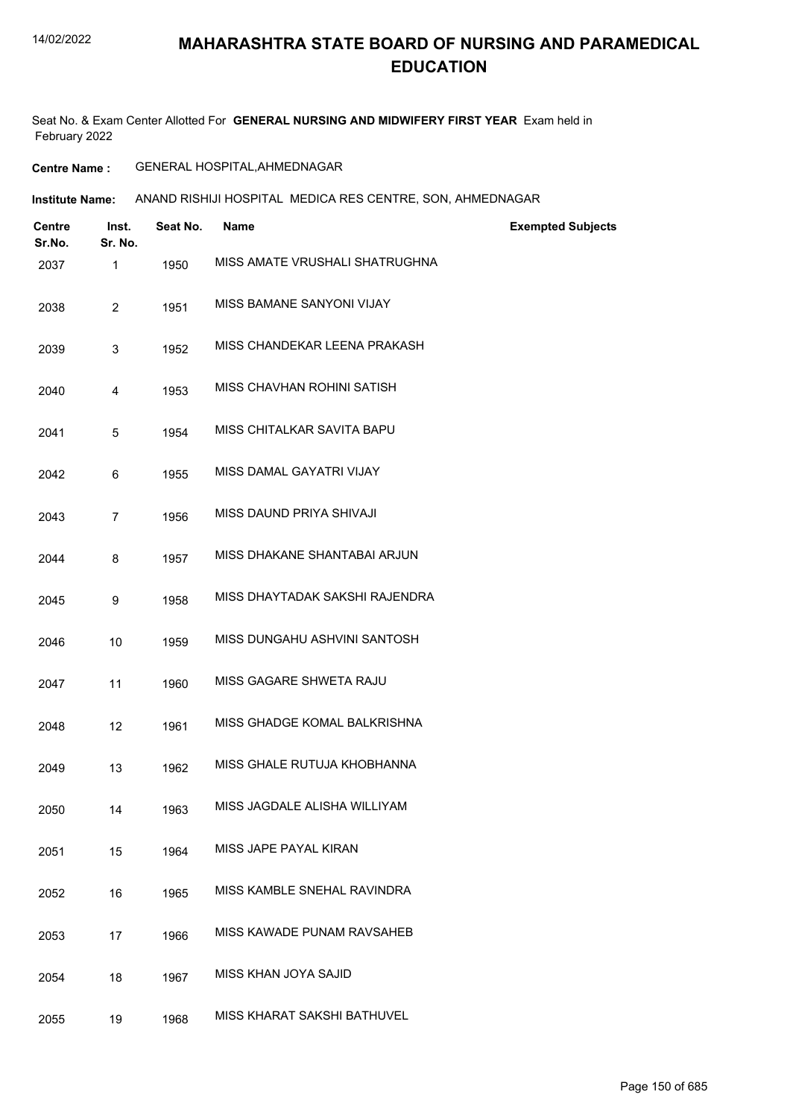# **MAHARASHTRA STATE BOARD OF NURSING AND PARAMEDICAL EDUCATION**

Seat No. & Exam Center Allotted For **GENERAL NURSING AND MIDWIFERY FIRST YEAR** Exam held in February 2022

### **Centre Name :** GENERAL HOSPITAL,AHMEDNAGAR

**Institute Name: ANAND RISHIJI HOSPITAL MEDICA RES CENTRE, SON, AHMEDNAGAR** 

| <b>Centre</b><br>Sr.No. | Inst.<br>Sr. No. | Seat No. | Name                           | <b>Exempted Subjects</b> |
|-------------------------|------------------|----------|--------------------------------|--------------------------|
| 2037                    | 1                | 1950     | MISS AMATE VRUSHALI SHATRUGHNA |                          |
| 2038                    | $\overline{2}$   | 1951     | MISS BAMANE SANYONI VIJAY      |                          |
| 2039                    | 3                | 1952     | MISS CHANDEKAR LEENA PRAKASH   |                          |
| 2040                    | 4                | 1953     | MISS CHAVHAN ROHINI SATISH     |                          |
| 2041                    | 5                | 1954     | MISS CHITALKAR SAVITA BAPU     |                          |
| 2042                    | 6                | 1955     | MISS DAMAL GAYATRI VIJAY       |                          |
| 2043                    | $\overline{7}$   | 1956     | MISS DAUND PRIYA SHIVAJI       |                          |
| 2044                    | 8                | 1957     | MISS DHAKANE SHANTABAI ARJUN   |                          |
| 2045                    | 9                | 1958     | MISS DHAYTADAK SAKSHI RAJENDRA |                          |
| 2046                    | 10               | 1959     | MISS DUNGAHU ASHVINI SANTOSH   |                          |
| 2047                    | 11               | 1960     | MISS GAGARE SHWETA RAJU        |                          |
| 2048                    | 12               | 1961     | MISS GHADGE KOMAL BALKRISHNA   |                          |
| 2049                    | 13               | 1962     | MISS GHALE RUTUJA KHOBHANNA    |                          |
| 2050                    | 14               | 1963     | MISS JAGDALE ALISHA WILLIYAM   |                          |
| 2051                    | 15               | 1964     | MISS JAPE PAYAL KIRAN          |                          |
| 2052                    | 16               | 1965     | MISS KAMBLE SNEHAL RAVINDRA    |                          |
| 2053                    | 17               | 1966     | MISS KAWADE PUNAM RAVSAHEB     |                          |
| 2054                    | 18               | 1967     | MISS KHAN JOYA SAJID           |                          |
| 2055                    | 19               | 1968     | MISS KHARAT SAKSHI BATHUVEL    |                          |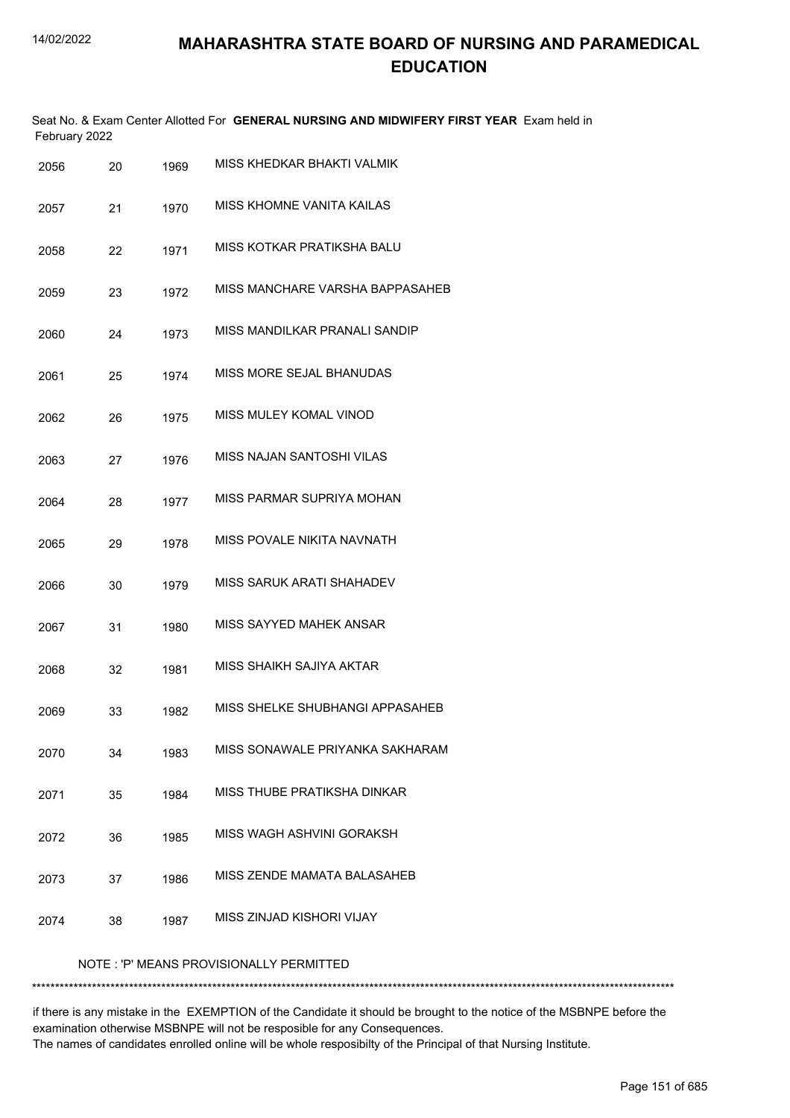|      | February 2022 |      | Seat No. & Exam Center Allotted For GENERAL NURSING AND MIDWIFERY FIRST YEAR Exam held in |
|------|---------------|------|-------------------------------------------------------------------------------------------|
| 2056 | 20            | 1969 | MISS KHEDKAR BHAKTI VALMIK                                                                |
| 2057 | 21            | 1970 | MISS KHOMNE VANITA KAILAS                                                                 |
| 2058 | 22            | 1971 | MISS KOTKAR PRATIKSHA BALU                                                                |
| 2059 | 23            | 1972 | MISS MANCHARE VARSHA BAPPASAHEB                                                           |
| 2060 | 24            | 1973 | MISS MANDILKAR PRANALI SANDIP                                                             |
| 2061 | 25            | 1974 | MISS MORE SEJAL BHANUDAS                                                                  |
| 2062 | 26            | 1975 | MISS MULEY KOMAL VINOD                                                                    |
| 2063 | 27            | 1976 | <b>MISS NAJAN SANTOSHI VILAS</b>                                                          |
| 2064 | 28            | 1977 | MISS PARMAR SUPRIYA MOHAN                                                                 |
| 2065 | 29            | 1978 | MISS POVALE NIKITA NAVNATH                                                                |
| 2066 | 30            | 1979 | MISS SARUK ARATI SHAHADEV                                                                 |
| 2067 | 31            | 1980 | MISS SAYYED MAHEK ANSAR                                                                   |
| 2068 | 32            | 1981 | MISS SHAIKH SAJIYA AKTAR                                                                  |
| 2069 | 33            | 1982 | MISS SHELKE SHUBHANGI APPASAHEB                                                           |
| 2070 | 34            | 1983 | MISS SONAWALE PRIYANKA SAKHARAM                                                           |
| 2071 | 35            | 1984 | MISS THUBE PRATIKSHA DINKAR                                                               |
| 2072 | 36            | 1985 | MISS WAGH ASHVINI GORAKSH                                                                 |
| 2073 | 37            | 1986 | MISS ZENDE MAMATA BALASAHEB                                                               |
| 2074 | 38            | 1987 | MISS ZINJAD KISHORI VIJAY                                                                 |
|      |               |      | NOTE: 'P' MEANS PROVISIONALLY PERMITTED                                                   |

\*\*\*\*\*\*\*\*\*\*\*\*\*\*\*\*\*\*\*\*\*\*\*\*\*\*\*\*\*\*\*\*\*\*\*\*\*\*\*\*\*\*\*\*\*\*\*\*\*\*\*\*\*\*\*\*\*\*\*\*\*\*\*\*\*\*\*\*\*\*\*\*\*\*\*\*\*\*\*\*\*\*\*\*\*\*\*\*\*\*\*\*\*\*\*\*\*\*\*\*\*\*\*\*\*\*\*\*\*\*\*\*\*\*\*\*\*\*\*\*\*\*\*\*\*\*\*\*\*\*\*\*\*\*\*\*\*\*\*

if there is any mistake in the EXEMPTION of the Candidate it should be brought to the notice of the MSBNPE before the examination otherwise MSBNPE will not be resposible for any Consequences. The names of candidates enrolled online will be whole resposibilty of the Principal of that Nursing Institute.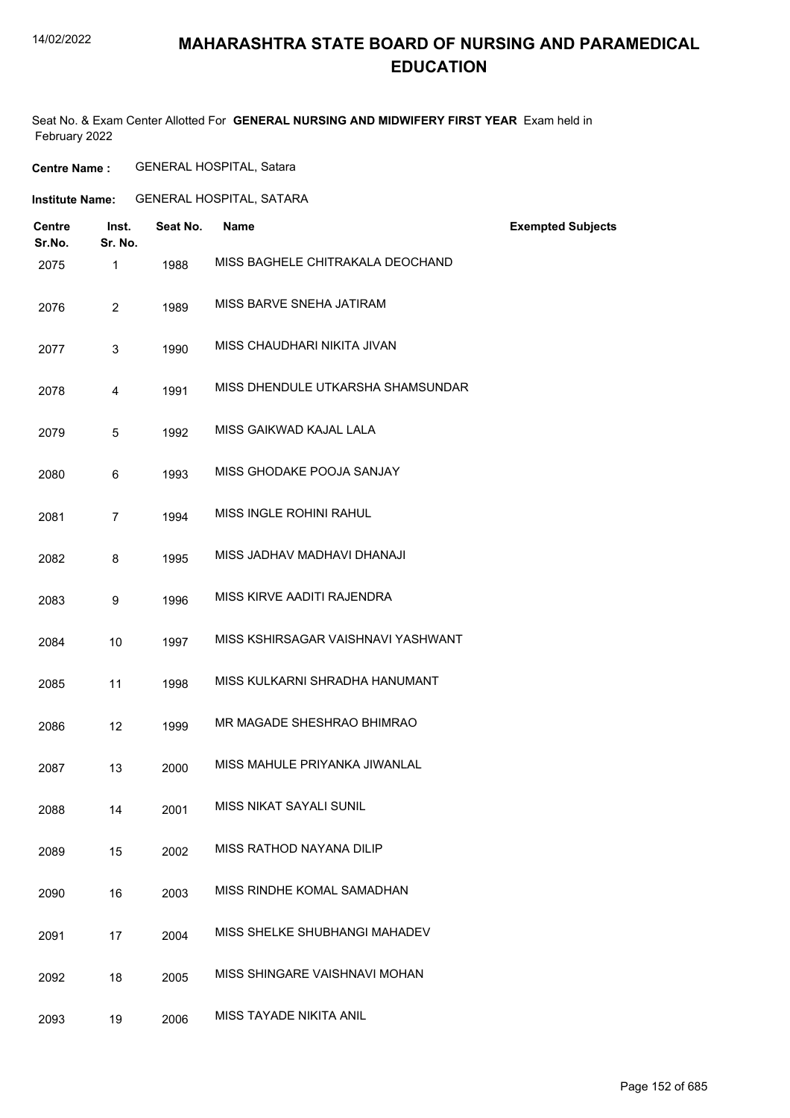# **MAHARASHTRA STATE BOARD OF NURSING AND PARAMEDICAL EDUCATION**

Seat No. & Exam Center Allotted For **GENERAL NURSING AND MIDWIFERY FIRST YEAR** Exam held in February 2022

**Centre Name :** GENERAL HOSPITAL, Satara

**Institute Name:** GENERAL HOSPITAL, SATARA

| <b>Centre</b><br>Sr.No. | Inst.<br>Sr. No. | Seat No. | <b>Name</b>                        | <b>Exempted Subjects</b> |
|-------------------------|------------------|----------|------------------------------------|--------------------------|
| 2075                    | $\mathbf{1}$     | 1988     | MISS BAGHELE CHITRAKALA DEOCHAND   |                          |
| 2076                    | $\overline{2}$   | 1989     | MISS BARVE SNEHA JATIRAM           |                          |
| 2077                    | 3                | 1990     | MISS CHAUDHARI NIKITA JIVAN        |                          |
| 2078                    | 4                | 1991     | MISS DHENDULE UTKARSHA SHAMSUNDAR  |                          |
| 2079                    | 5                | 1992     | MISS GAIKWAD KAJAL LALA            |                          |
| 2080                    | 6                | 1993     | MISS GHODAKE POOJA SANJAY          |                          |
| 2081                    | $\overline{7}$   | 1994     | MISS INGLE ROHINI RAHUL            |                          |
| 2082                    | 8                | 1995     | MISS JADHAV MADHAVI DHANAJI        |                          |
| 2083                    | 9                | 1996     | MISS KIRVE AADITI RAJENDRA         |                          |
| 2084                    | 10               | 1997     | MISS KSHIRSAGAR VAISHNAVI YASHWANT |                          |
| 2085                    | 11               | 1998     | MISS KULKARNI SHRADHA HANUMANT     |                          |
| 2086                    | 12               | 1999     | MR MAGADE SHESHRAO BHIMRAO         |                          |
| 2087                    | 13               | 2000     | MISS MAHULE PRIYANKA JIWANLAL      |                          |
| 2088                    | 14               | 2001     | <b>MISS NIKAT SAYALI SUNIL</b>     |                          |
| 2089                    | 15               | 2002     | MISS RATHOD NAYANA DILIP           |                          |
| 2090                    | 16               | 2003     | MISS RINDHE KOMAL SAMADHAN         |                          |
| 2091                    | 17               | 2004     | MISS SHELKE SHUBHANGI MAHADEV      |                          |
| 2092                    | 18               | 2005     | MISS SHINGARE VAISHNAVI MOHAN      |                          |
| 2093                    | 19               | 2006     | MISS TAYADE NIKITA ANIL            |                          |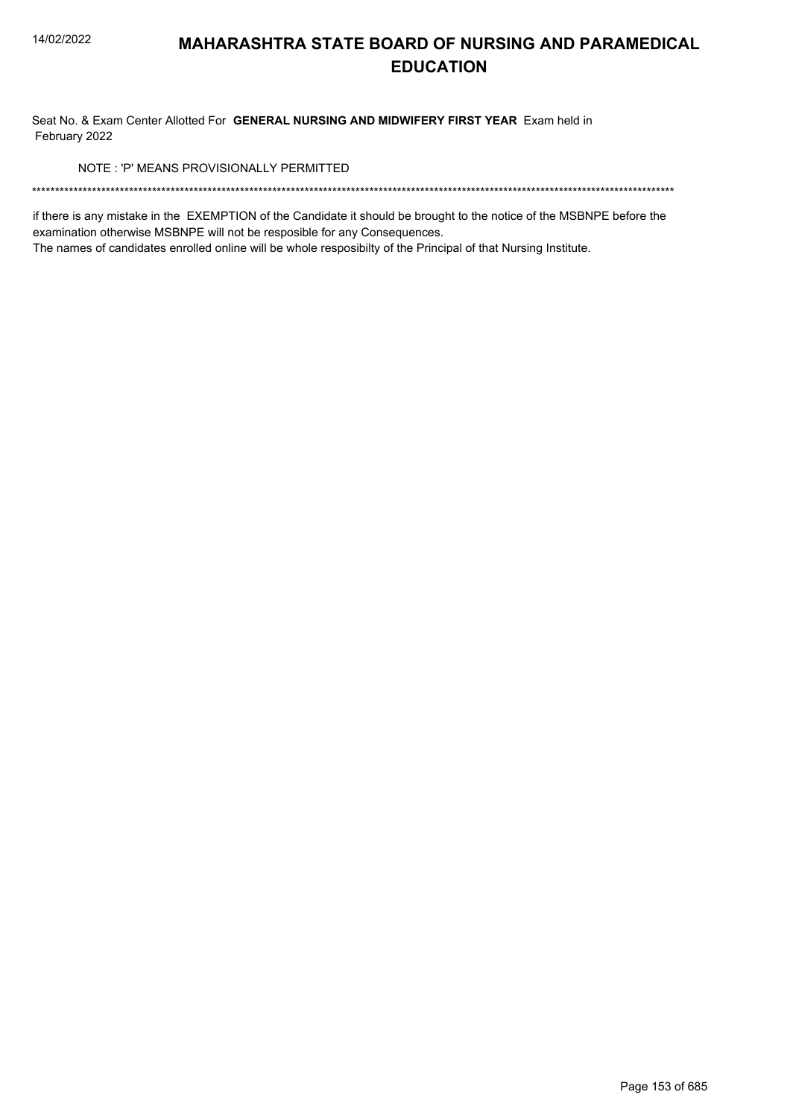Seat No. & Exam Center Allotted For GENERAL NURSING AND MIDWIFERY FIRST YEAR Exam held in February 2022

NOTE: 'P' MEANS PROVISIONALLY PERMITTED

if there is any mistake in the EXEMPTION of the Candidate it should be brought to the notice of the MSBNPE before the examination otherwise MSBNPE will not be resposible for any Consequences.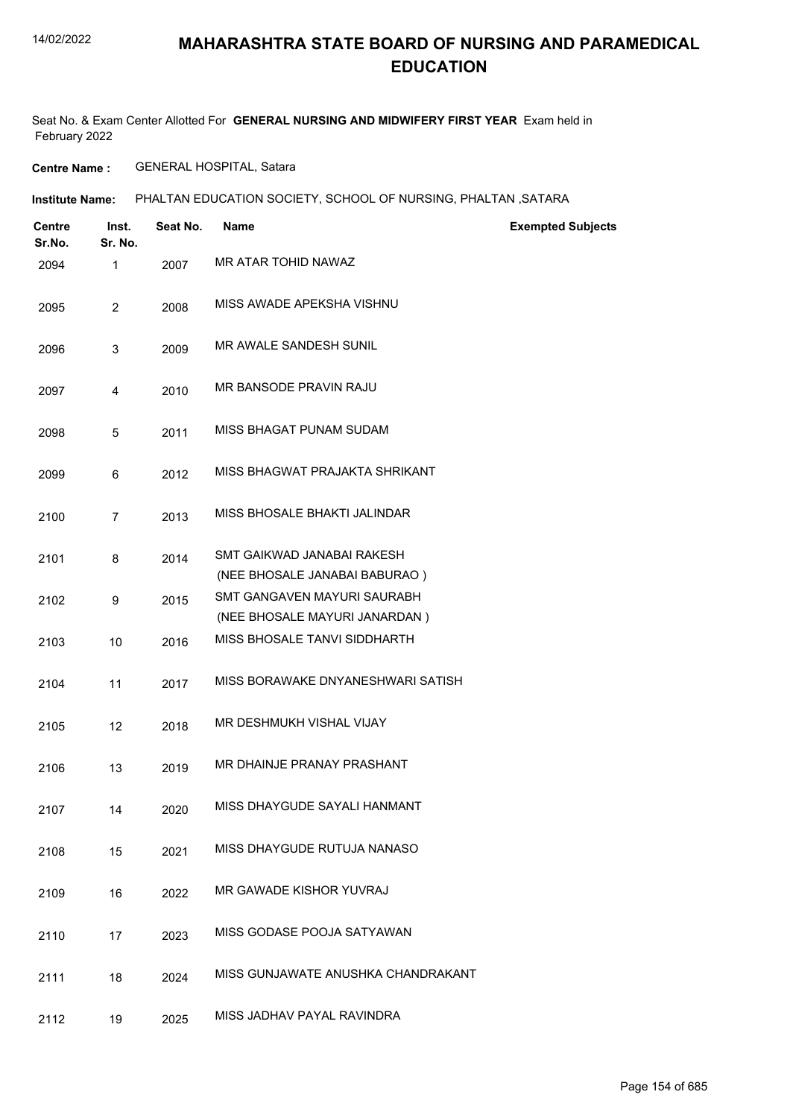Seat No. & Exam Center Allotted For **GENERAL NURSING AND MIDWIFERY FIRST YEAR** Exam held in February 2022

**Centre Name :** GENERAL HOSPITAL, Satara

| Centre<br>Sr.No. | Inst.<br>Sr. No. | Seat No. | <b>Name</b>                                                         | <b>Exempted Subjects</b> |
|------------------|------------------|----------|---------------------------------------------------------------------|--------------------------|
| 2094             | $\mathbf{1}$     | 2007     | MR ATAR TOHID NAWAZ                                                 |                          |
| 2095             | $\overline{2}$   | 2008     | MISS AWADE APEKSHA VISHNU                                           |                          |
| 2096             | 3                | 2009     | MR AWALE SANDESH SUNIL                                              |                          |
| 2097             | 4                | 2010     | MR BANSODE PRAVIN RAJU                                              |                          |
| 2098             | 5                | 2011     | MISS BHAGAT PUNAM SUDAM                                             |                          |
| 2099             | 6                | 2012     | MISS BHAGWAT PRAJAKTA SHRIKANT                                      |                          |
| 2100             | 7                | 2013     | MISS BHOSALE BHAKTI JALINDAR                                        |                          |
| 2101             | 8                | 2014     | SMT GAIKWAD JANABAI RAKESH<br>(NEE BHOSALE JANABAI BABURAO)         |                          |
| 2102             | 9                | 2015     | <b>SMT GANGAVEN MAYURI SAURABH</b><br>(NEE BHOSALE MAYURI JANARDAN) |                          |
| 2103             | 10               | 2016     | MISS BHOSALE TANVI SIDDHARTH                                        |                          |
| 2104             | 11               | 2017     | MISS BORAWAKE DNYANESHWARI SATISH                                   |                          |
| 2105             | 12               | 2018     | MR DESHMUKH VISHAL VIJAY                                            |                          |
| 2106             | 13               | 2019     | MR DHAINJE PRANAY PRASHANT                                          |                          |
| 2107             | 14               | 2020     | MISS DHAYGUDE SAYALI HANMANT                                        |                          |
| 2108             | 15               | 2021     | MISS DHAYGUDE RUTUJA NANASO                                         |                          |
| 2109             | 16               | 2022     | MR GAWADE KISHOR YUVRAJ                                             |                          |
| 2110             | 17               | 2023     | MISS GODASE POOJA SATYAWAN                                          |                          |
| 2111             | 18               | 2024     | MISS GUNJAWATE ANUSHKA CHANDRAKANT                                  |                          |
| 2112             | 19               | 2025     | MISS JADHAV PAYAL RAVINDRA                                          |                          |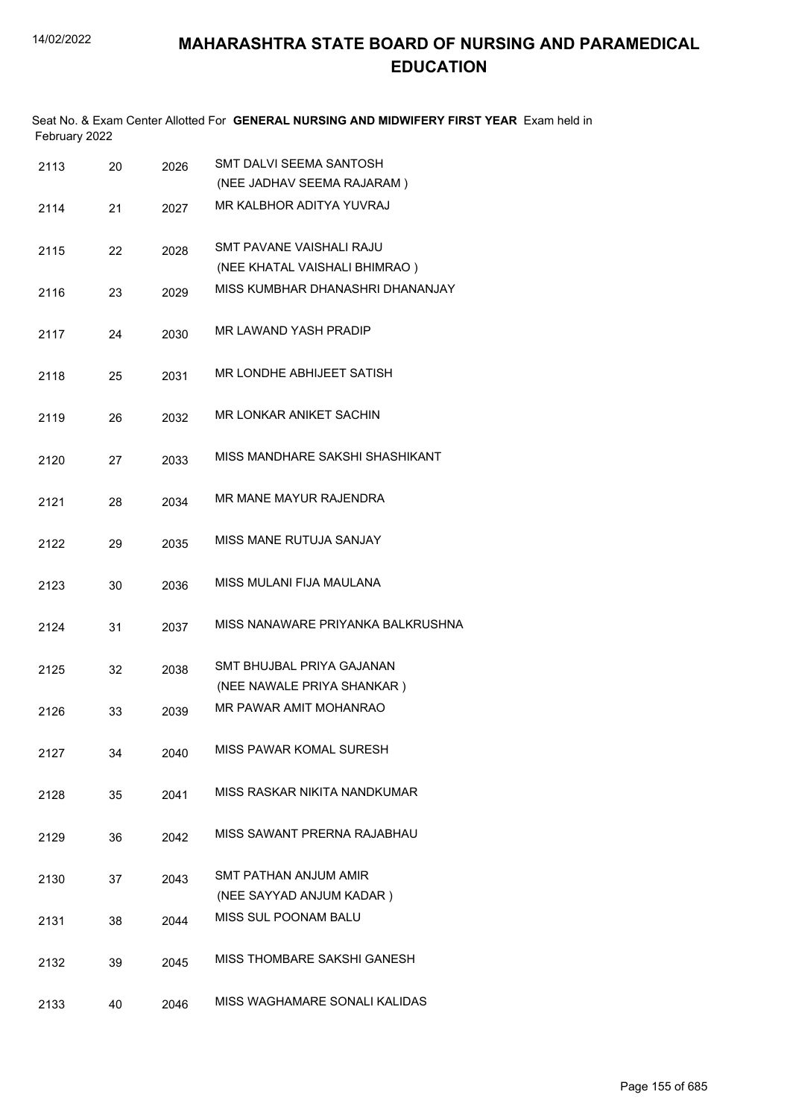|               | Seat No. & Exam Center Allotted For GENERAL NURSING AND MIDWIFERY FIRST YEAR Exam held in |  |
|---------------|-------------------------------------------------------------------------------------------|--|
| February 2022 |                                                                                           |  |

| 2113 | 20 | 2026 | <b>SMT DALVI SEEMA SANTOSH</b><br>(NEE JADHAV SEEMA RAJARAM) |
|------|----|------|--------------------------------------------------------------|
| 2114 | 21 | 2027 | MR KALBHOR ADITYA YUVRAJ                                     |
| 2115 | 22 | 2028 | SMT PAVANE VAISHALI RAJU<br>(NEE KHATAL VAISHALI BHIMRAO)    |
| 2116 | 23 | 2029 | MISS KUMBHAR DHANASHRI DHANANJAY                             |
| 2117 | 24 | 2030 | <b>MR LAWAND YASH PRADIP</b>                                 |
| 2118 | 25 | 2031 | MR LONDHE ABHIJEET SATISH                                    |
| 2119 | 26 | 2032 | <b>MR LONKAR ANIKET SACHIN</b>                               |
| 2120 | 27 | 2033 | MISS MANDHARF SAKSHI SHASHIKANT                              |
| 2121 | 28 | 2034 | MR MANE MAYUR RAJENDRA                                       |
| 2122 | 29 | 2035 | <b>MISS MANE RUTUJA SANJAY</b>                               |
| 2123 | 30 | 2036 | MISS MULANI FIJA MAULANA                                     |
| 2124 | 31 | 2037 | MISS NANAWARE PRIYANKA BALKRUSHNA                            |
| 2125 | 32 | 2038 | SMT BHUJBAL PRIYA GAJANAN<br>(NEE NAWALE PRIYA SHANKAR)      |
| 2126 | 33 | 2039 | MR PAWAR AMIT MOHANRAO                                       |
| 2127 | 34 | 2040 | MISS PAWAR KOMAL SURESH                                      |
| 2128 | 35 | 2041 | MISS RASKAR NIKITA NANDKUMAR.                                |
| 2129 | 36 | 2042 | MISS SAWANT PRERNA RAJABHAU                                  |
| 2130 | 37 | 2043 | <b>SMT PATHAN ANJUM AMIR</b><br>(NEE SAYYAD ANJUM KADAR)     |
| 2131 | 38 | 2044 | <b>MISS SUL POONAM BALU</b>                                  |
| 2132 | 39 | 2045 | MISS THOMBARE SAKSHI GANESH                                  |
| 2133 | 40 | 2046 | MISS WAGHAMARE SONALI KALIDAS                                |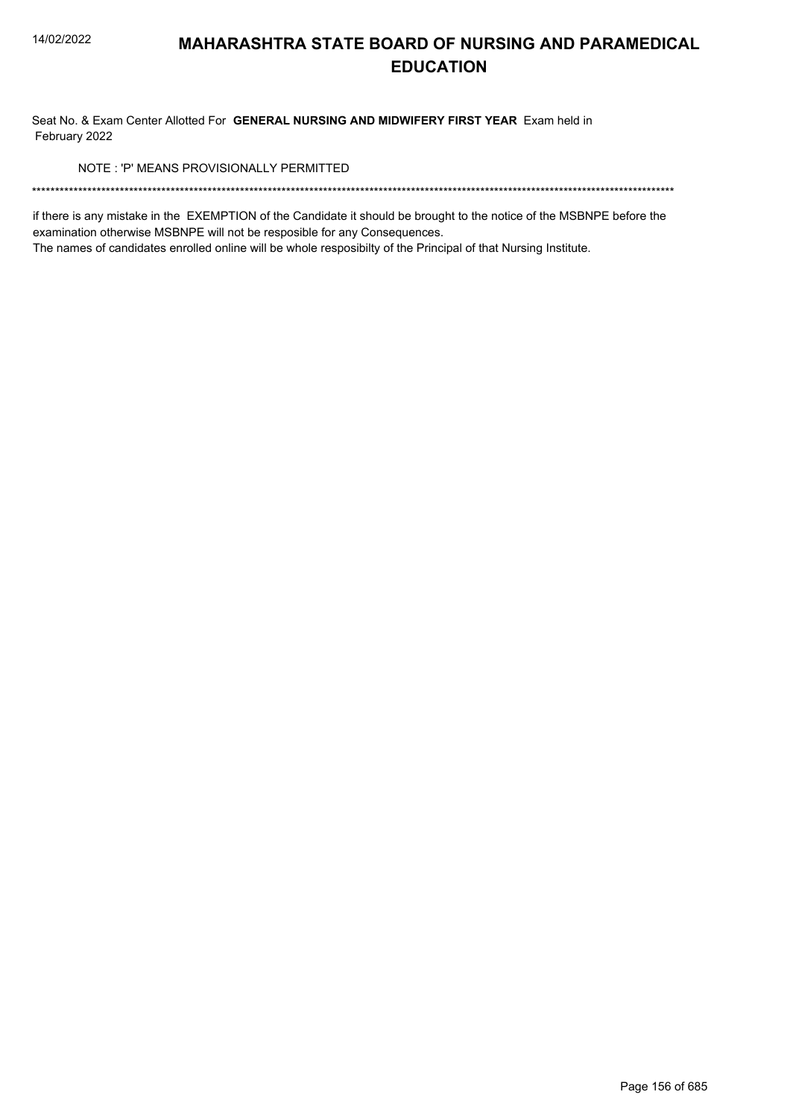Seat No. & Exam Center Allotted For GENERAL NURSING AND MIDWIFERY FIRST YEAR Exam held in February 2022

NOTE: 'P' MEANS PROVISIONALLY PERMITTED

if there is any mistake in the EXEMPTION of the Candidate it should be brought to the notice of the MSBNPE before the examination otherwise MSBNPE will not be resposible for any Consequences.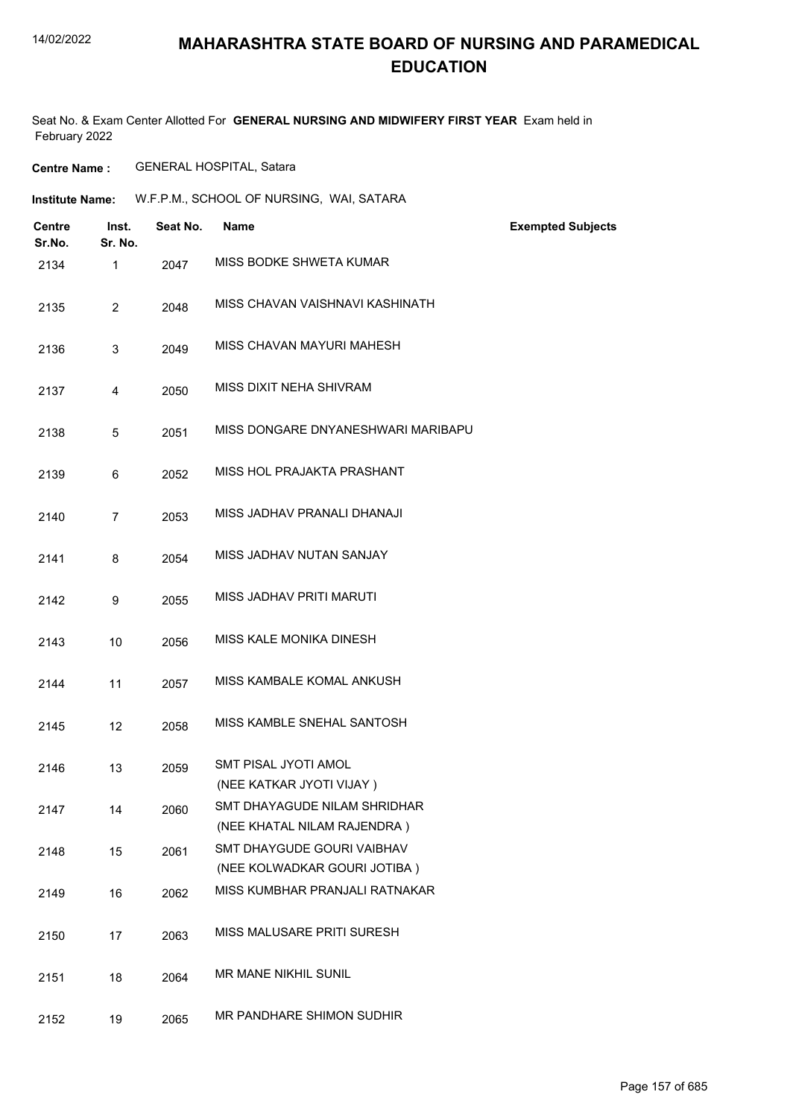## **MAHARASHTRA STATE BOARD OF NURSING AND PARAMEDICAL EDUCATION**

**Exempted Subjects** 

Seat No. & Exam Center Allotted For **GENERAL NURSING AND MIDWIFERY FIRST YEAR** Exam held in February 2022

**Centre Name :** GENERAL HOSPITAL, Satara

| <b>Institute Name:</b> |                  |          | W.F.P.M., SCHOOL OF NURSING, WAI, SATARA |
|------------------------|------------------|----------|------------------------------------------|
| Centre<br>Sr.No.       | Inst.<br>Sr. No. | Seat No. | Name                                     |
| 2134                   | 1                | 2047     | MISS BODKE SHWETA KUMAR                  |
| 2135                   | 2                | 2048     | MISS CHAVAN VAISHNAVI KASHINATH          |
| 2136                   | 3                | 2049     | MISS CHAVAN MAYURI MAHESH                |
| 2137                   | 4                | 2050     | MISS DIXIT NEHA SHIVRAM                  |
| 2138                   | 5                | 2051     | MISS DONGARE DNYANESHWARI MARIBAPU       |

- 2139 6 2052 MISS HOL PRAJAKTA PRASHANT
- 2140 7 2053 MISS JADHAV PRANALI DHANAJI
- 2141 8 2054 MISS JADHAV NUTAN SANJAY
- 2142 9 2055 MISS JADHAV PRITI MARUTI
- 2143 10 2056 MISS KALE MONIKA DINESH
- 2144 11 2057 MISS KAMBALE KOMAL ANKUSH
- 2145 12 2058 MISS KAMBLE SNEHAL SANTOSH
- 2146 13 2059 SMT PISAL JYOTI AMOL (NEE KATKAR JYOTI VIJAY ) 2147 14 2060 SMT DHAYAGUDE NILAM SHRIDHAR (NEE KHATAL NILAM RAJENDRA )
- 2148 15 2061 SMT DHAYGUDE GOURI VAIBHAV (NEE KOLWADKAR GOURI JOTIBA )
- 2149 16 2062 MISS KUMBHAR PRANJALI RATNAKAR
- 2150 17 2063 MISS MALUSARE PRITI SURESH
- 2151 18 2064 MR MANE NIKHIL SUNIL
- 2152 19 2065 MR PANDHARE SHIMON SUDHIR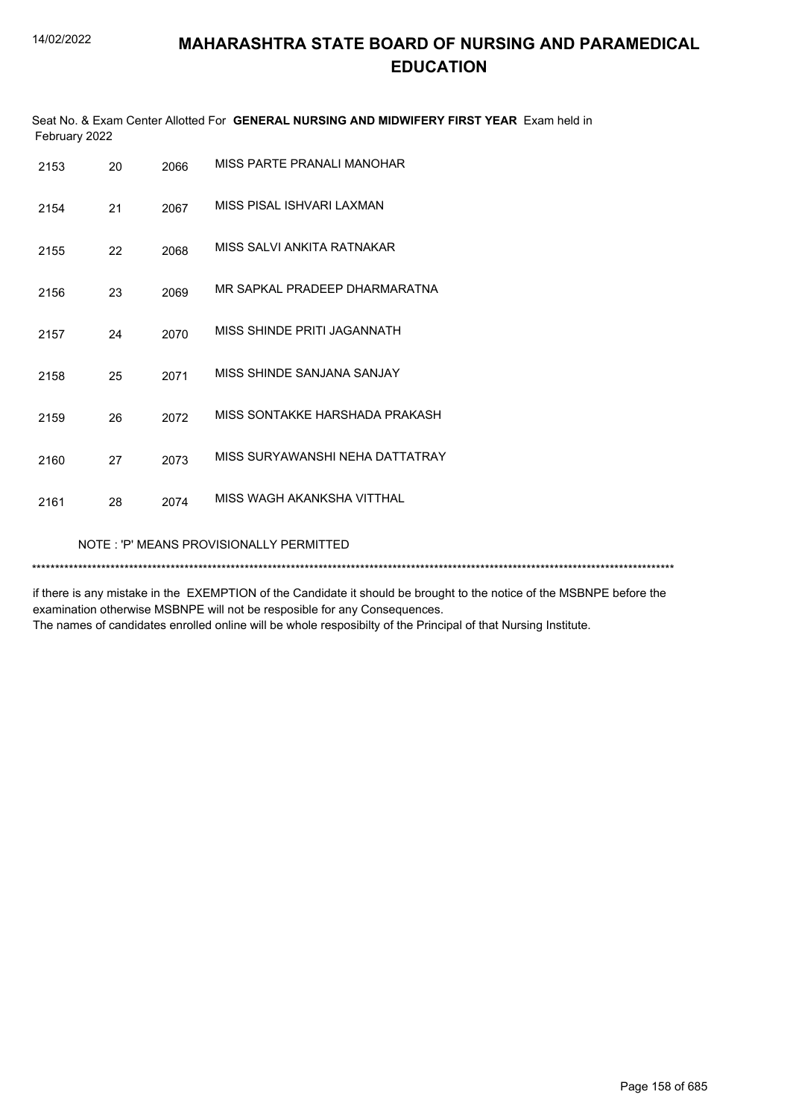|               | Seat No. & Exam Center Allotted For GENERAL NURSING AND MIDWIFERY FIRST YEAR Exam held in |  |
|---------------|-------------------------------------------------------------------------------------------|--|
| February 2022 |                                                                                           |  |

| 2153 | 20                                      | 2066 | MISS PARTE PRANALI MANOHAR      |  |  |
|------|-----------------------------------------|------|---------------------------------|--|--|
| 2154 | 21                                      | 2067 | MISS PISAL ISHVARI LAXMAN       |  |  |
| 2155 | 22                                      | 2068 | MISS SALVI ANKITA RATNAKAR      |  |  |
| 2156 | 23                                      | 2069 | MR SAPKAL PRADEEP DHARMARATNA   |  |  |
| 2157 | 24                                      | 2070 | MISS SHINDE PRITI JAGANNATH     |  |  |
| 2158 | 25                                      | 2071 | MISS SHINDE SANJANA SANJAY      |  |  |
| 2159 | 26                                      | 2072 | MISS SONTAKKE HARSHADA PRAKASH  |  |  |
| 2160 | 27                                      | 2073 | MISS SURYAWANSHI NEHA DATTATRAY |  |  |
| 2161 | 28                                      | 2074 | MISS WAGH AKANKSHA VITTHAL      |  |  |
|      | NOTE: 'P' MEANS PROVISIONALLY PERMITTED |      |                                 |  |  |
|      |                                         |      |                                 |  |  |

if there is any mistake in the EXEMPTION of the Candidate it should be brought to the notice of the MSBNPE before the examination otherwise MSBNPE will not be resposible for any Consequences.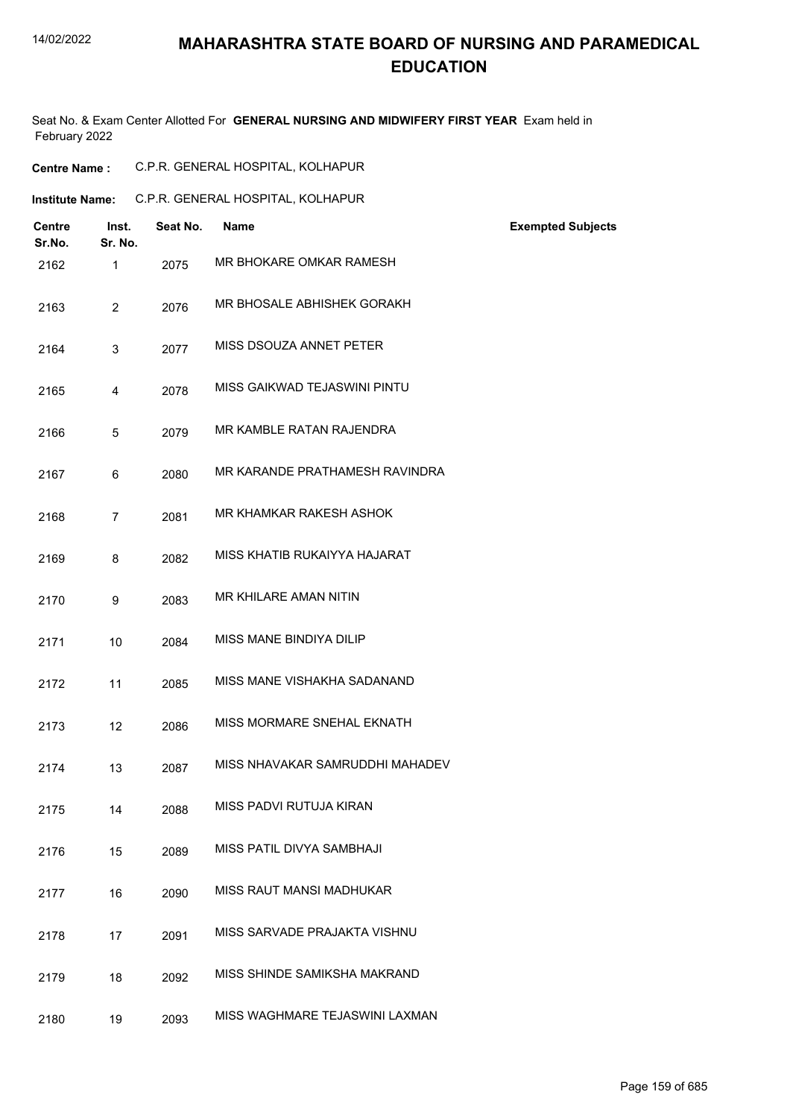# **MAHARASHTRA STATE BOARD OF NURSING AND PARAMEDICAL EDUCATION**

Seat No. & Exam Center Allotted For **GENERAL NURSING AND MIDWIFERY FIRST YEAR** Exam held in February 2022

| <b>Centre Name :</b> |  | C.P.R. GENERAL HOSPITAL, KOLHAPUR |
|----------------------|--|-----------------------------------|
|                      |  |                                   |

|  | <b>Institute Name:</b> | C.P.R. GENERAL HOSPITAL, KOLHAPUR |
|--|------------------------|-----------------------------------|
|--|------------------------|-----------------------------------|

| <b>Centre</b><br>Sr.No. | Inst.<br>Sr. No. | Seat No. | <b>Name</b>                     | <b>Exempted Subjects</b> |
|-------------------------|------------------|----------|---------------------------------|--------------------------|
| 2162                    | $\mathbf{1}$     | 2075     | MR BHOKARE OMKAR RAMESH         |                          |
| 2163                    | $\overline{2}$   | 2076     | MR BHOSALE ABHISHEK GORAKH      |                          |
| 2164                    | 3                | 2077     | MISS DSOUZA ANNET PETER         |                          |
| 2165                    | 4                | 2078     | MISS GAIKWAD TEJASWINI PINTU    |                          |
| 2166                    | 5                | 2079     | MR KAMBLE RATAN RAJENDRA        |                          |
| 2167                    | 6                | 2080     | MR KARANDE PRATHAMESH RAVINDRA  |                          |
| 2168                    | $\overline{7}$   | 2081     | MR KHAMKAR RAKESH ASHOK         |                          |
| 2169                    | 8                | 2082     | MISS KHATIB RUKAIYYA HAJARAT    |                          |
| 2170                    | 9                | 2083     | MR KHILARE AMAN NITIN           |                          |
| 2171                    | 10               | 2084     | MISS MANE BINDIYA DILIP         |                          |
| 2172                    | 11               | 2085     | MISS MANE VISHAKHA SADANAND     |                          |
| 2173                    | 12               | 2086     | MISS MORMARE SNEHAL EKNATH      |                          |
| 2174                    | 13               | 2087     | MISS NHAVAKAR SAMRUDDHI MAHADEV |                          |
| 2175                    | 14               | 2088     | MISS PADVI RUTUJA KIRAN         |                          |
| 2176                    | 15               | 2089     | MISS PATIL DIVYA SAMBHAJI       |                          |
| 2177                    | 16               | 2090     | MISS RAUT MANSI MADHUKAR        |                          |
| 2178                    | 17               | 2091     | MISS SARVADE PRAJAKTA VISHNU    |                          |
| 2179                    | 18               | 2092     | MISS SHINDE SAMIKSHA MAKRAND    |                          |
| 2180                    | 19               | 2093     | MISS WAGHMARE TEJASWINI LAXMAN  |                          |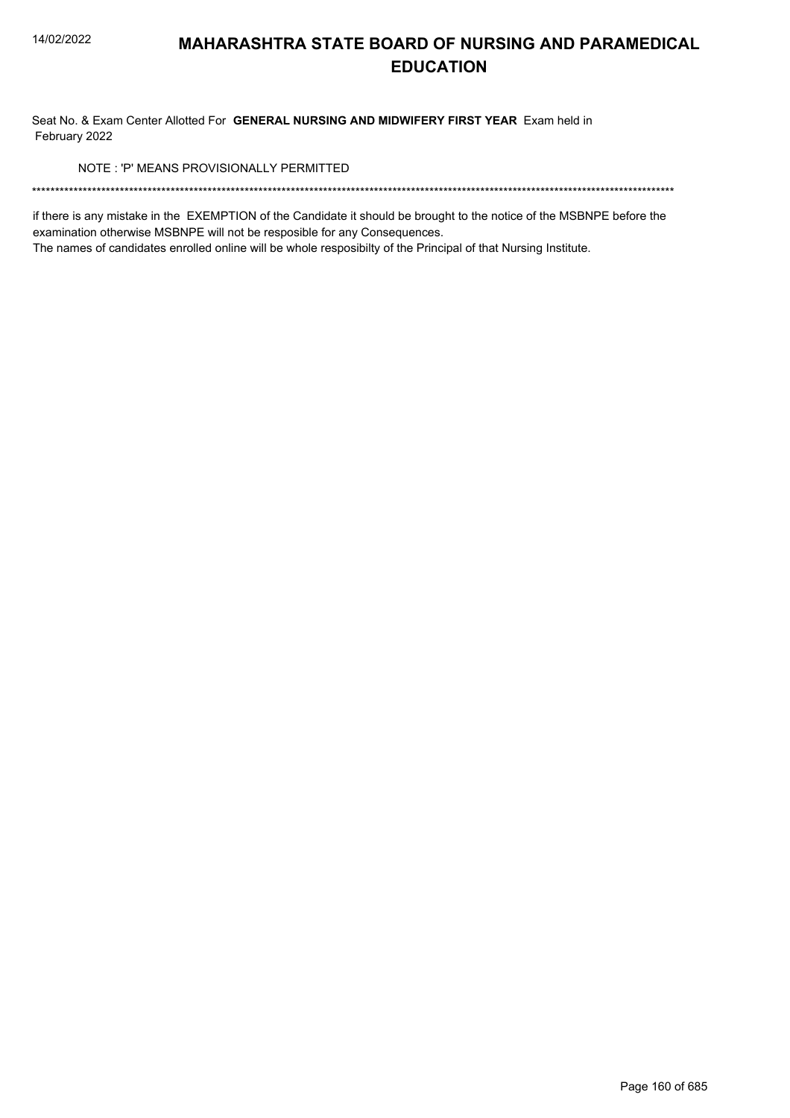Seat No. & Exam Center Allotted For GENERAL NURSING AND MIDWIFERY FIRST YEAR Exam held in February 2022

NOTE: 'P' MEANS PROVISIONALLY PERMITTED

if there is any mistake in the EXEMPTION of the Candidate it should be brought to the notice of the MSBNPE before the examination otherwise MSBNPE will not be resposible for any Consequences.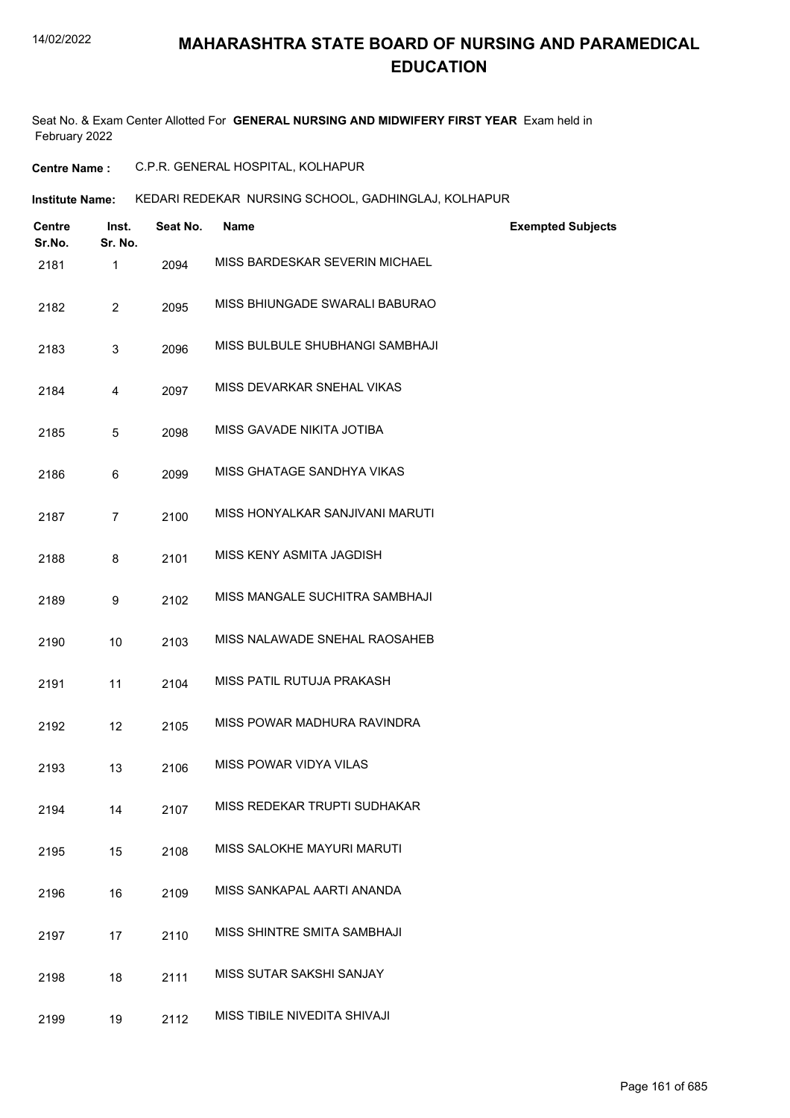Seat No. & Exam Center Allotted For **GENERAL NURSING AND MIDWIFERY FIRST YEAR** Exam held in February 2022

**Centre Name :** C.P.R. GENERAL HOSPITAL, KOLHAPUR

**Institute Name: KEDARI REDEKAR NURSING SCHOOL, GADHINGLAJ, KOLHAPUR** 

| Centre<br>Sr.No. | Inst.<br>Sr. No. | Seat No. | <b>Name</b>                     | <b>Exempted Subjects</b> |
|------------------|------------------|----------|---------------------------------|--------------------------|
| 2181             | $\mathbf{1}$     | 2094     | MISS BARDESKAR SEVERIN MICHAEL  |                          |
| 2182             | $\overline{2}$   | 2095     | MISS BHIUNGADE SWARALI BABURAO  |                          |
| 2183             | 3                | 2096     | MISS BULBULE SHUBHANGI SAMBHAJI |                          |
| 2184             | 4                | 2097     | MISS DEVARKAR SNEHAL VIKAS      |                          |
| 2185             | 5                | 2098     | MISS GAVADE NIKITA JOTIBA       |                          |
| 2186             | 6                | 2099     | MISS GHATAGE SANDHYA VIKAS      |                          |
| 2187             | $\overline{7}$   | 2100     | MISS HONYALKAR SANJIVANI MARUTI |                          |
| 2188             | 8                | 2101     | MISS KENY ASMITA JAGDISH        |                          |
| 2189             | 9                | 2102     | MISS MANGALE SUCHITRA SAMBHAJI  |                          |
| 2190             | 10               | 2103     | MISS NALAWADE SNEHAL RAOSAHEB   |                          |
| 2191             | 11               | 2104     | MISS PATIL RUTUJA PRAKASH       |                          |
| 2192             | 12               | 2105     | MISS POWAR MADHURA RAVINDRA     |                          |
| 2193             | 13               | 2106     | MISS POWAR VIDYA VILAS          |                          |
| 2194             | 14               | 2107     | MISS REDEKAR TRUPTI SUDHAKAR    |                          |
| 2195             | 15               | 2108     | MISS SALOKHE MAYURI MARUTI      |                          |
| 2196             | 16               | 2109     | MISS SANKAPAL AARTI ANANDA      |                          |
| 2197             | 17               | 2110     | MISS SHINTRE SMITA SAMBHAJI     |                          |
| 2198             | 18               | 2111     | MISS SUTAR SAKSHI SANJAY        |                          |
| 2199             | 19               | 2112     | MISS TIBILE NIVEDITA SHIVAJI    |                          |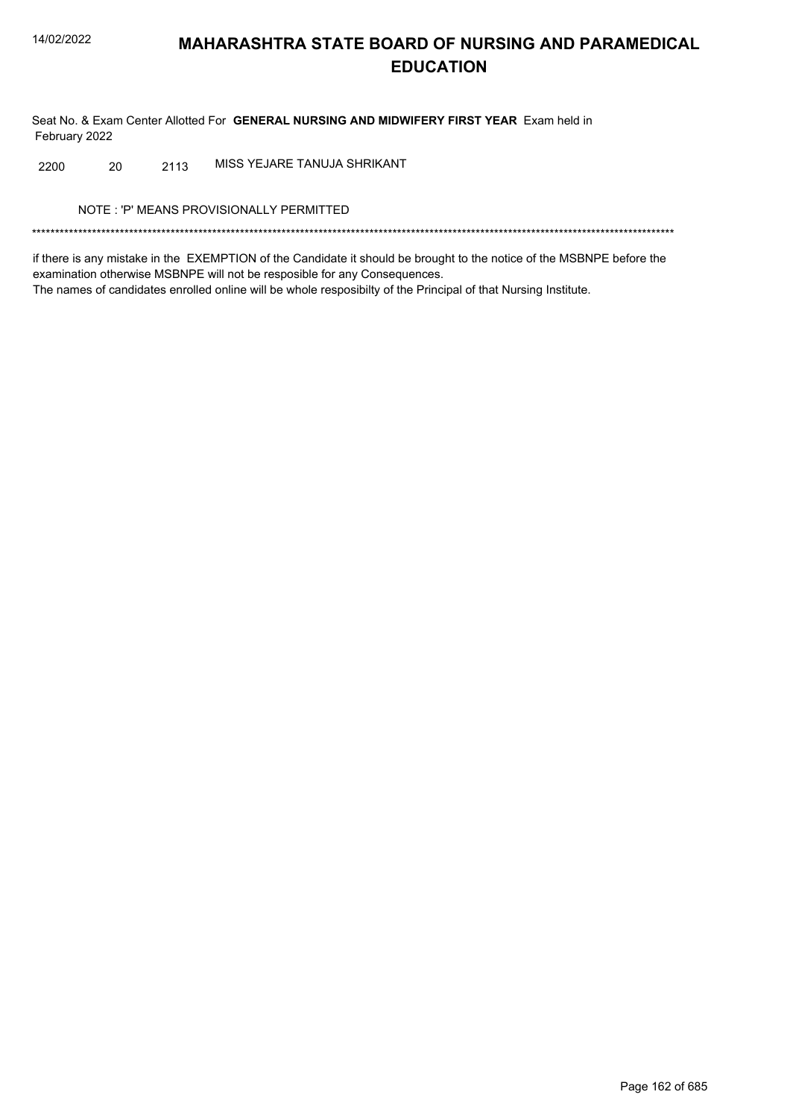Seat No. & Exam Center Allotted For GENERAL NURSING AND MIDWIFERY FIRST YEAR Exam held in February 2022

MISS YEJARE TANUJA SHRIKANT 2200 20 2113

NOTE: 'P' MEANS PROVISIONALLY PERMITTED

if there is any mistake in the EXEMPTION of the Candidate it should be brought to the notice of the MSBNPE before the examination otherwise MSBNPE will not be resposible for any Consequences. The names of candidates enrolled online will be whole resposibilty of the Principal of that Nursing Institute.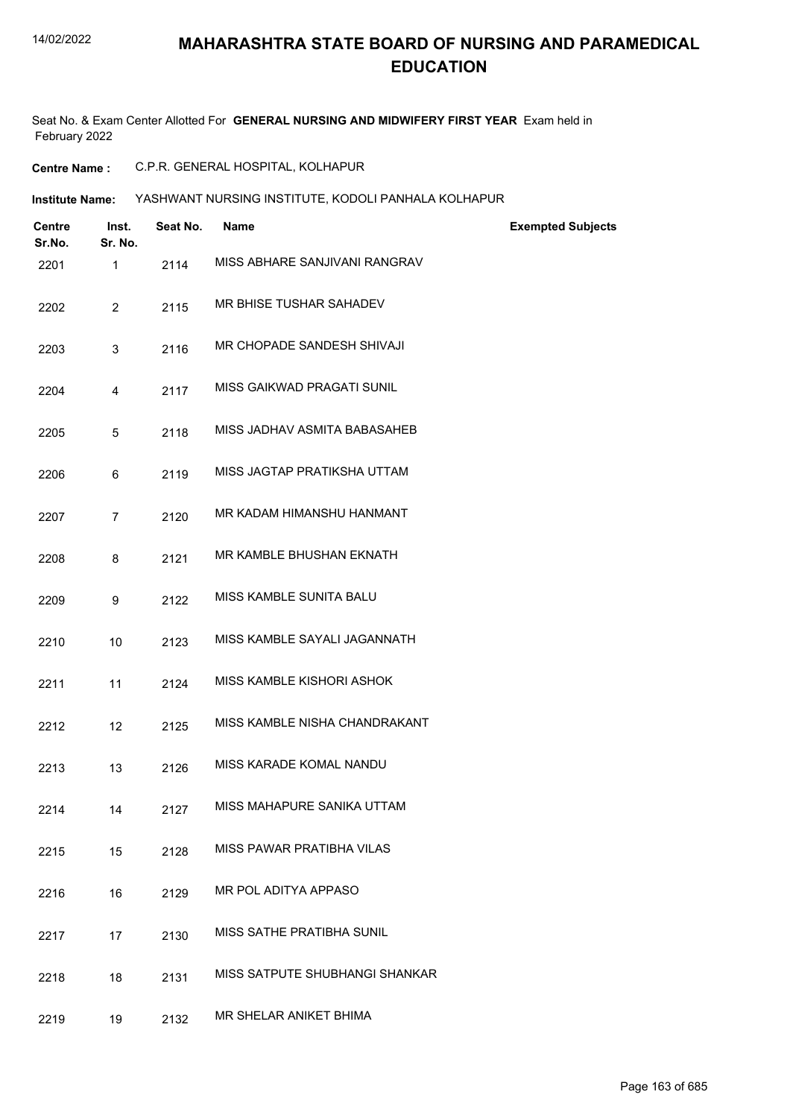# **MAHARASHTRA STATE BOARD OF NURSING AND PARAMEDICAL EDUCATION**

Seat No. & Exam Center Allotted For **GENERAL NURSING AND MIDWIFERY FIRST YEAR** Exam held in February 2022

- **Centre Name :** C.P.R. GENERAL HOSPITAL, KOLHAPUR
- **Institute Name: YASHWANT NURSING INSTITUTE, KODOLI PANHALA KOLHAPUR**

| <b>Centre</b><br>Sr.No. | Inst.<br>Sr. No. | Seat No. | <b>Name</b>                    | <b>Exempted Subjects</b> |
|-------------------------|------------------|----------|--------------------------------|--------------------------|
| 2201                    | 1                | 2114     | MISS ABHARE SANJIVANI RANGRAV  |                          |
| 2202                    | $\overline{2}$   | 2115     | MR BHISE TUSHAR SAHADEV        |                          |
| 2203                    | 3                | 2116     | MR CHOPADE SANDESH SHIVAJI     |                          |
| 2204                    | 4                | 2117     | MISS GAIKWAD PRAGATI SUNIL     |                          |
| 2205                    | 5                | 2118     | MISS JADHAV ASMITA BABASAHEB   |                          |
| 2206                    | 6                | 2119     | MISS JAGTAP PRATIKSHA UTTAM    |                          |
| 2207                    | $\overline{7}$   | 2120     | MR KADAM HIMANSHU HANMANT      |                          |
| 2208                    | 8                | 2121     | MR KAMBLE BHUSHAN EKNATH       |                          |
| 2209                    | 9                | 2122     | MISS KAMBLE SUNITA BALU        |                          |
| 2210                    | 10               | 2123     | MISS KAMBLE SAYALI JAGANNATH   |                          |
| 2211                    | 11               | 2124     | MISS KAMBLE KISHORI ASHOK      |                          |
| 2212                    | 12               | 2125     | MISS KAMBLE NISHA CHANDRAKANT  |                          |
| 2213                    | 13               | 2126     | MISS KARADE KOMAL NANDU        |                          |
| 2214                    | 14               | 2127     | MISS MAHAPURE SANIKA UTTAM     |                          |
| 2215                    | 15               | 2128     | MISS PAWAR PRATIBHA VILAS      |                          |
| 2216                    | 16               | 2129     | MR POL ADITYA APPASO           |                          |
| 2217                    | 17               | 2130     | MISS SATHE PRATIBHA SUNIL      |                          |
| 2218                    | 18               | 2131     | MISS SATPUTE SHUBHANGI SHANKAR |                          |
| 2219                    | 19               | 2132     | MR SHELAR ANIKET BHIMA         |                          |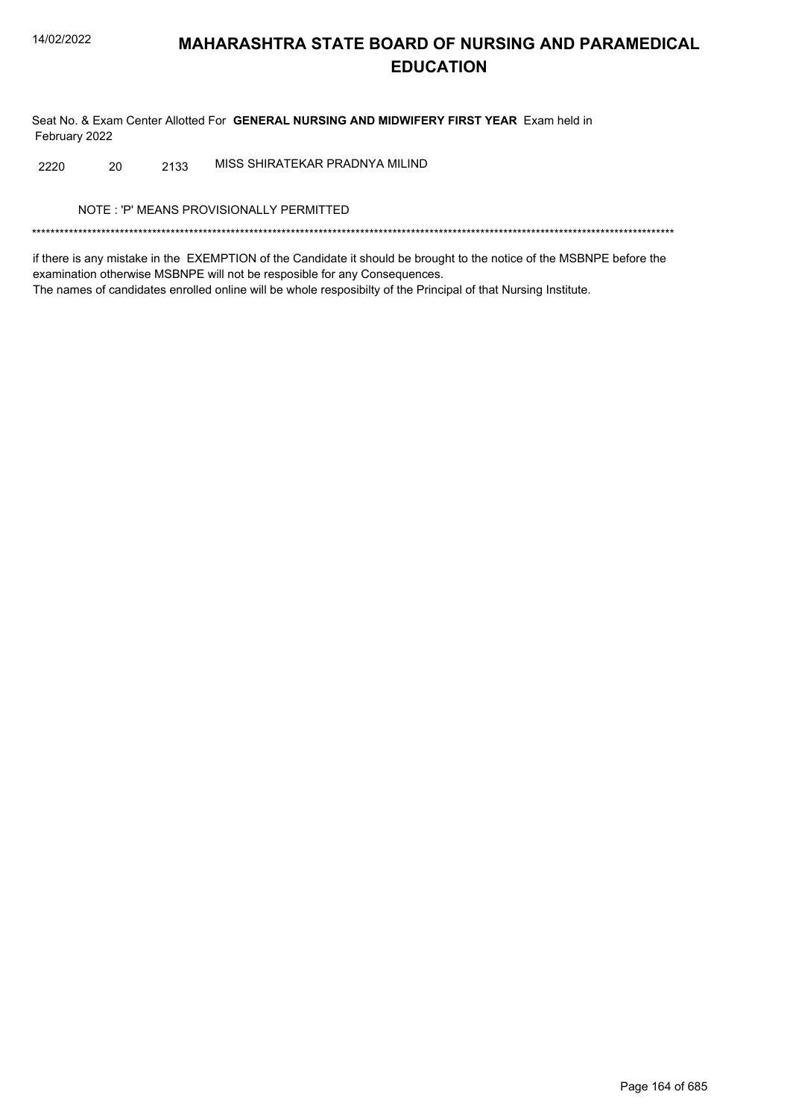Seat No. & Exam Center Allotted For GENERAL NURSING AND MIDWIFERY FIRST YEAR Exam held in February 2022

MISS SHIRATEKAR PRADNYA MILIND 20 2220 2133

NOTE: 'P' MEANS PROVISIONALLY PERMITTED

if there is any mistake in the EXEMPTION of the Candidate it should be brought to the notice of the MSBNPE before the examination otherwise MSBNPE will not be resposible for any Consequences. The names of candidates enrolled online will be whole resposibilty of the Principal of that Nursing Institute.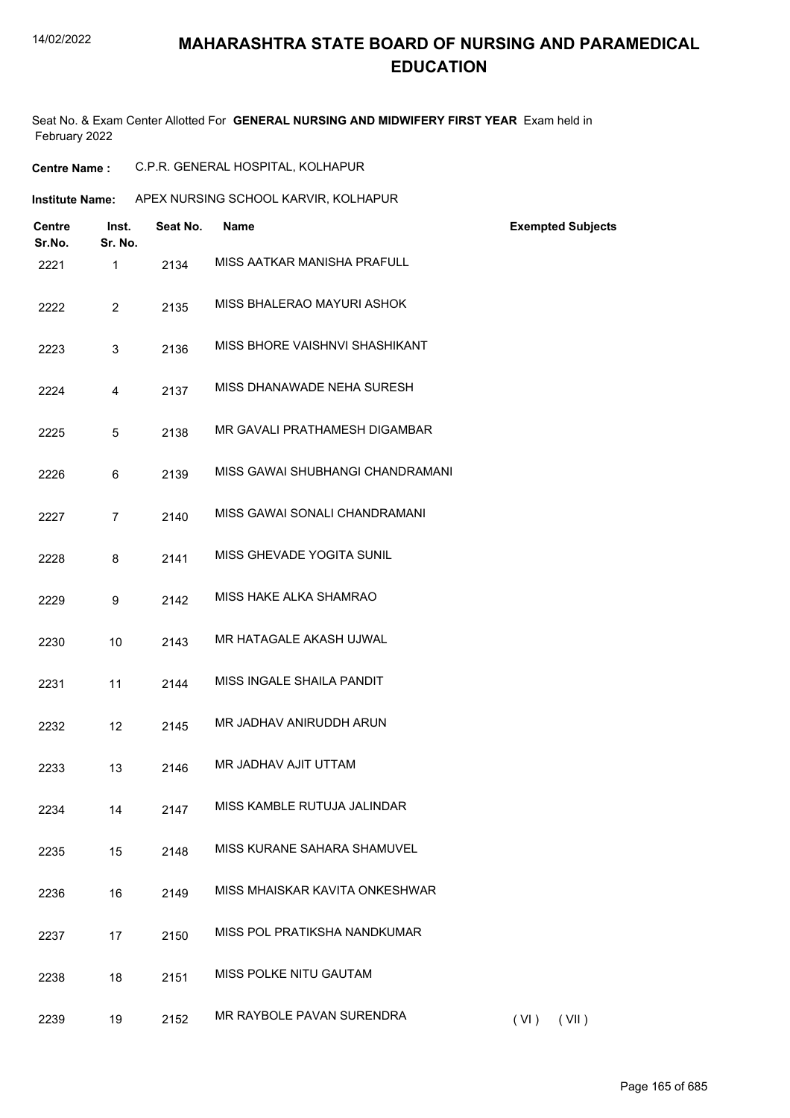# **MAHARASHTRA STATE BOARD OF NURSING AND PARAMEDICAL EDUCATION**

Seat No. & Exam Center Allotted For **GENERAL NURSING AND MIDWIFERY FIRST YEAR** Exam held in February 2022

**Centre Name :** C.P.R. GENERAL HOSPITAL, KOLHAPUR

| <b>Institute Name:</b>  |                  |          | APEX NURSING SCHOOL KARVIR, KOLHAPUR |                          |
|-------------------------|------------------|----------|--------------------------------------|--------------------------|
| <b>Centre</b><br>Sr.No. | Inst.<br>Sr. No. | Seat No. | <b>Name</b>                          | <b>Exempted Subjects</b> |
| 2221                    | $\mathbf{1}$     | 2134     | MISS AATKAR MANISHA PRAFULL          |                          |
| 2222                    | $\overline{2}$   | 2135     | MISS BHALERAO MAYURI ASHOK           |                          |
| 2223                    | 3                | 2136     | MISS BHORE VAISHNVI SHASHIKANT       |                          |
| 2224                    | 4                | 2137     | MISS DHANAWADE NEHA SURESH           |                          |
| 2225                    | 5                | 2138     | MR GAVALI PRATHAMESH DIGAMBAR        |                          |
| 2226                    | 6                | 2139     | MISS GAWAI SHUBHANGI CHANDRAMANI     |                          |
| 2227                    | $\overline{7}$   | 2140     | MISS GAWAI SONALI CHANDRAMANI        |                          |
| 2228                    | 8                | 2141     | MISS GHEVADE YOGITA SUNIL            |                          |
| 2229                    | 9                | 2142     | MISS HAKE ALKA SHAMRAO               |                          |
| 2230                    | 10               | 2143     | MR HATAGALE AKASH UJWAL              |                          |
| 2231                    | 11               | 2144     | MISS INGALE SHAILA PANDIT            |                          |
| 2232                    | 12               | 2145     | MR JADHAV ANIRUDDH ARUN              |                          |
| 2233                    | 13               | 2146     | MR JADHAV AJIT UTTAM                 |                          |
| 2234                    | 14               | 2147     | MISS KAMBLE RUTUJA JALINDAR          |                          |
| 2235                    | 15               | 2148     | MISS KURANE SAHARA SHAMUVEL          |                          |
| 2236                    | 16               | 2149     | MISS MHAISKAR KAVITA ONKESHWAR       |                          |
| 2237                    | 17               | 2150     | MISS POL PRATIKSHA NANDKUMAR         |                          |
| 2238                    | 18               | 2151     | MISS POLKE NITU GAUTAM               |                          |
| 2239                    | 19               | 2152     | MR RAYBOLE PAVAN SURENDRA            | (VI)<br>(VII)            |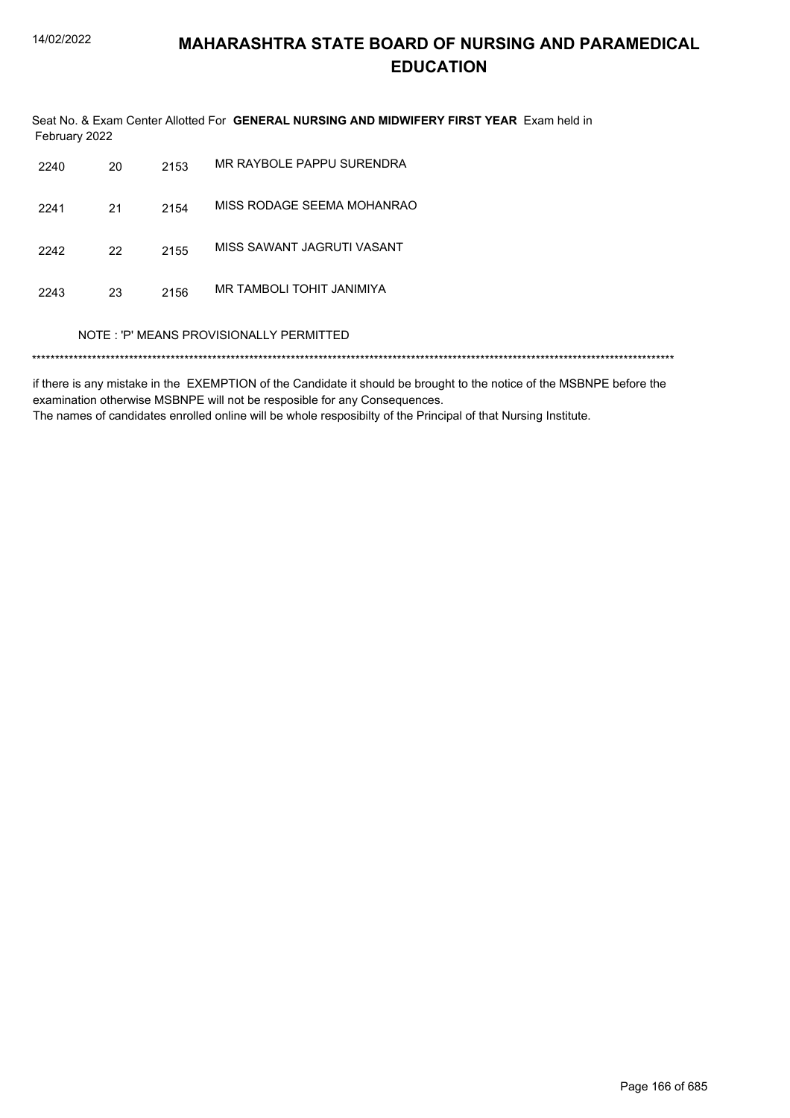Seat No. & Exam Center Allotted For GENERAL NURSING AND MIDWIFERY FIRST YEAR Exam held in February 2022

| 2240 | 20                                      | 2153 | MR RAYBOLE PAPPU SURENDRA  |  |  |  |
|------|-----------------------------------------|------|----------------------------|--|--|--|
| 2241 | 21                                      | 2154 | MISS RODAGE SEEMA MOHANRAO |  |  |  |
| 2242 | 22                                      | 2155 | MISS SAWANT JAGRUTI VASANT |  |  |  |
| 2243 | 23                                      | 2156 | MR TAMBOLI TOHIT JANIMIYA  |  |  |  |
|      | NOTE: 'P' MEANS PROVISIONALLY PERMITTED |      |                            |  |  |  |

if there is any mistake in the EXEMPTION of the Candidate it should be brought to the notice of the MSBNPE before the examination otherwise MSBNPE will not be resposible for any Consequences. The names of candidates enrolled online will be whole resposibilty of the Principal of that Nursing Institute.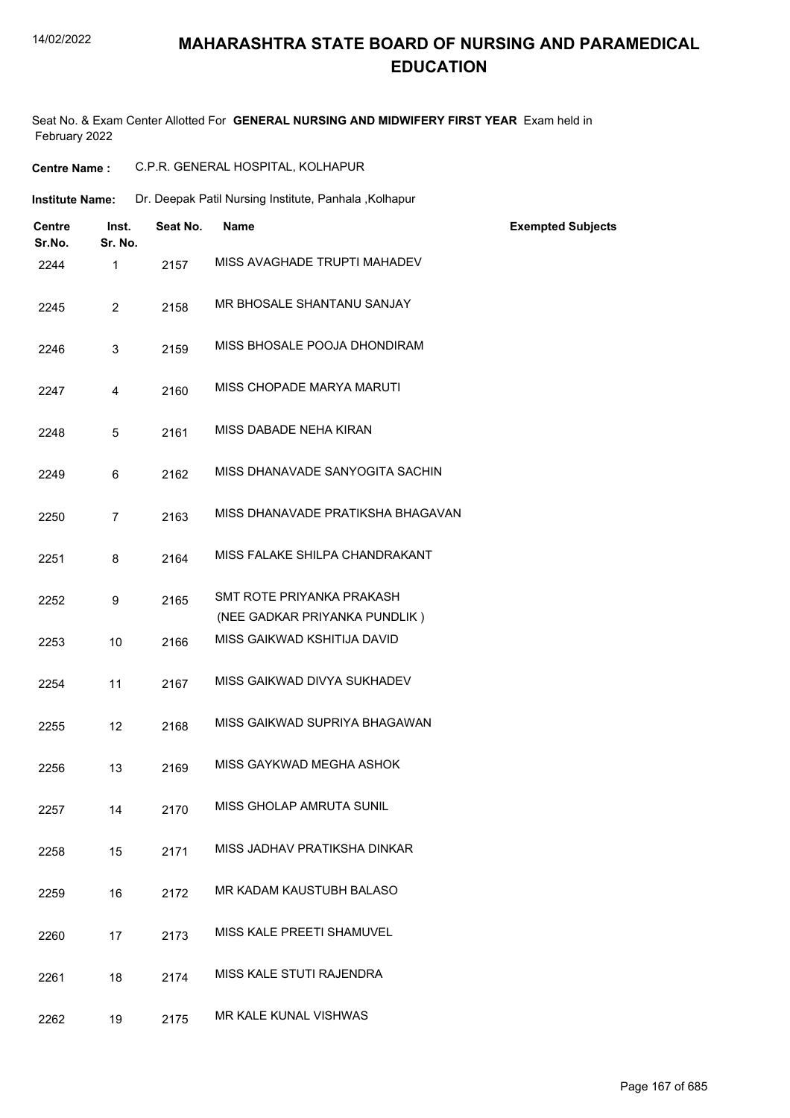# **MAHARASHTRA STATE BOARD OF NURSING AND PARAMEDICAL EDUCATION**

Seat No. & Exam Center Allotted For **GENERAL NURSING AND MIDWIFERY FIRST YEAR** Exam held in February 2022

| <b>Centre Name:</b>                         |          | C.P.R. GENERAL HOSPITAL, KOLHAPUR                          |                          |
|---------------------------------------------|----------|------------------------------------------------------------|--------------------------|
| <b>Institute Name:</b>                      |          | Dr. Deepak Patil Nursing Institute, Panhala , Kolhapur     |                          |
| <b>Centre</b><br>Inst.<br>Sr. No.<br>Sr.No. | Seat No. | <b>Name</b>                                                | <b>Exempted Subjects</b> |
| $\mathbf{1}$<br>2244                        | 2157     | MISS AVAGHADE TRUPTI MAHADEV                               |                          |
| $\overline{2}$<br>2245                      | 2158     | MR BHOSALE SHANTANU SANJAY                                 |                          |
| 3<br>2246                                   | 2159     | MISS BHOSALE POOJA DHONDIRAM                               |                          |
| 4<br>2247                                   | 2160     | MISS CHOPADE MARYA MARUTI                                  |                          |
| 5<br>2248                                   | 2161     | MISS DABADE NEHA KIRAN                                     |                          |
| 6<br>2249                                   | 2162     | MISS DHANAVADE SANYOGITA SACHIN                            |                          |
| $\overline{7}$<br>2250                      | 2163     | MISS DHANAVADE PRATIKSHA BHAGAVAN                          |                          |
| 2251<br>8                                   | 2164     | MISS FALAKE SHILPA CHANDRAKANT                             |                          |
| 9<br>2252                                   | 2165     | SMT ROTE PRIYANKA PRAKASH<br>(NEE GADKAR PRIYANKA PUNDLIK) |                          |
| 10<br>2253                                  | 2166     | MISS GAIKWAD KSHITIJA DAVID                                |                          |
| 11<br>2254                                  | 2167     | MISS GAIKWAD DIVYA SUKHADEV                                |                          |
| 12<br>2255                                  | 2168     | MISS GAIKWAD SUPRIYA BHAGAWAN                              |                          |
| 2256<br>13                                  | 2169     | MISS GAYKWAD MEGHA ASHOK                                   |                          |
| 14<br>2257                                  | 2170     | <b>MISS GHOLAP AMRUTA SUNIL</b>                            |                          |
| 15<br>2258                                  | 2171     | MISS JADHAV PRATIKSHA DINKAR                               |                          |
| 16<br>2259                                  | 2172     | MR KADAM KAUSTUBH BALASO                                   |                          |
| 2260<br>17                                  | 2173     | MISS KALE PREETI SHAMUVEL                                  |                          |
| 18<br>2261                                  | 2174     | MISS KALE STUTI RAJENDRA                                   |                          |
| 19<br>2262                                  | 2175     | MR KALE KUNAL VISHWAS                                      |                          |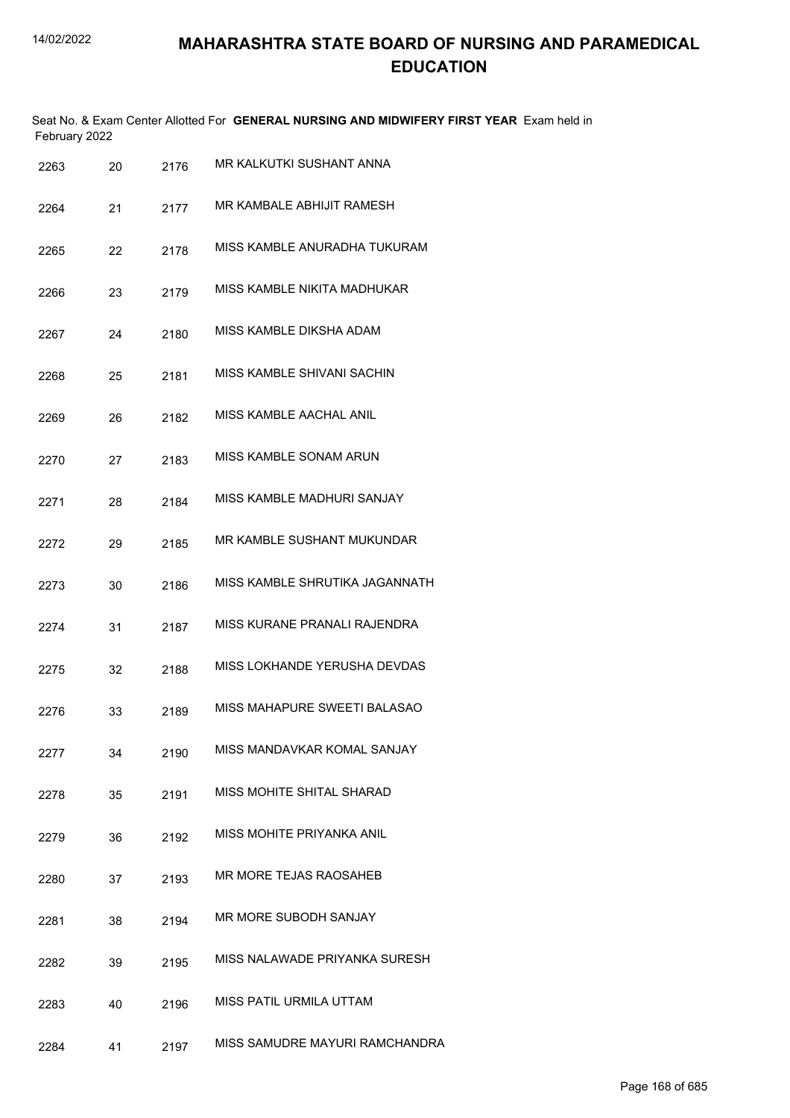|      | February 2022 |      | Seat No. & Exam Center Allotted For GENERAL NURSING AND MIDWIFERY FIRST YEAR Exam held in |
|------|---------------|------|-------------------------------------------------------------------------------------------|
| 2263 | 20            | 2176 | MR KALKUTKI SUSHANT ANNA                                                                  |
| 2264 | 21            | 2177 | MR KAMBALE ABHIJIT RAMESH                                                                 |
| 2265 | 22            | 2178 | MISS KAMBLE ANURADHA TUKURAM                                                              |
| 2266 | 23            | 2179 | MISS KAMBLE NIKITA MADHUKAR                                                               |
| 2267 | 24            | 2180 | MISS KAMBLE DIKSHA ADAM                                                                   |
| 2268 | 25            | 2181 | MISS KAMBLE SHIVANI SACHIN                                                                |
| 2269 | 26            | 2182 | MISS KAMBLE AACHAL ANIL                                                                   |
| 2270 | 27            | 2183 | MISS KAMBLE SONAM ARUN                                                                    |
| 2271 | 28            | 2184 | MISS KAMBLE MADHURI SANJAY                                                                |
| 2272 | 29            | 2185 | MR KAMBLE SUSHANT MUKUNDAR                                                                |
| 2273 | 30            | 2186 | MISS KAMBLE SHRUTIKA JAGANNATH                                                            |
| 2274 | 31            | 2187 | MISS KURANE PRANALI RAJENDRA                                                              |
| 2275 | 32            | 2188 | MISS LOKHANDE YERUSHA DEVDAS                                                              |
| 2276 | 33            | 2189 | MISS MAHAPURE SWEETI BALASAO                                                              |
| 2277 | 34            | 2190 | MISS MANDAVKAR KOMAL SANJAY                                                               |
| 2278 | 35            | 2191 | MISS MOHITE SHITAL SHARAD                                                                 |
| 2279 | 36            | 2192 | MISS MOHITE PRIYANKA ANIL                                                                 |
| 2280 | 37            | 2193 | MR MORE TEJAS RAOSAHEB                                                                    |
| 2281 | 38            | 2194 | MR MORE SUBODH SANJAY                                                                     |
| 2282 | 39            | 2195 | MISS NALAWADE PRIYANKA SURESH                                                             |
| 2283 | 40            | 2196 | MISS PATIL URMILA UTTAM                                                                   |
| 2284 | 41            | 2197 | MISS SAMUDRE MAYURI RAMCHANDRA                                                            |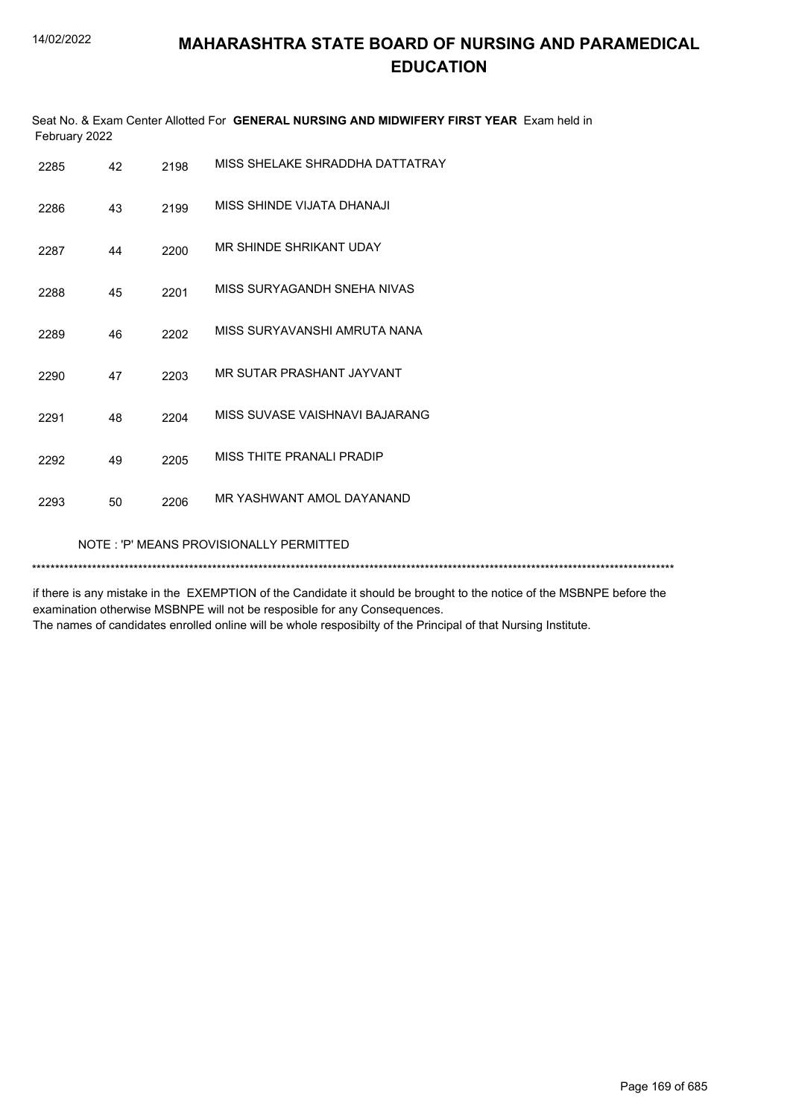|               | Seat No. & Exam Center Allotted For GENERAL NURSING AND MIDWIFERY FIRST YEAR Exam held in |  |
|---------------|-------------------------------------------------------------------------------------------|--|
| February 2022 |                                                                                           |  |

| 2285                                    | 42 | 2198 | MISS SHELAKE SHRADDHA DATTATRAY |  |  |
|-----------------------------------------|----|------|---------------------------------|--|--|
| 2286                                    | 43 | 2199 | MISS SHINDE VIJATA DHANAJI      |  |  |
| 2287                                    | 44 | 2200 | MR SHINDE SHRIKANT UDAY         |  |  |
| 2288                                    | 45 | 2201 | MISS SURYAGANDH SNEHA NIVAS     |  |  |
| 2289                                    | 46 | 2202 | MISS SURYAVANSHI AMRUTA NANA    |  |  |
| 2290                                    | 47 | 2203 | MR SUTAR PRASHANT JAYVANT       |  |  |
| 2291                                    | 48 | 2204 | MISS SUVASE VAISHNAVI BAJARANG  |  |  |
| 2292                                    | 49 | 2205 | MISS THITE PRANALI PRADIP       |  |  |
| 2293                                    | 50 | 2206 | MR YASHWANT AMOL DAYANAND       |  |  |
| NOTE: 'P' MEANS PROVISIONALLY PERMITTED |    |      |                                 |  |  |
|                                         |    |      |                                 |  |  |

if there is any mistake in the EXEMPTION of the Candidate it should be brought to the notice of the MSBNPE before the examination otherwise MSBNPE will not be resposible for any Consequences. The names of candidates enrolled online will be whole resposibilty of the Principal of that Nursing Institute.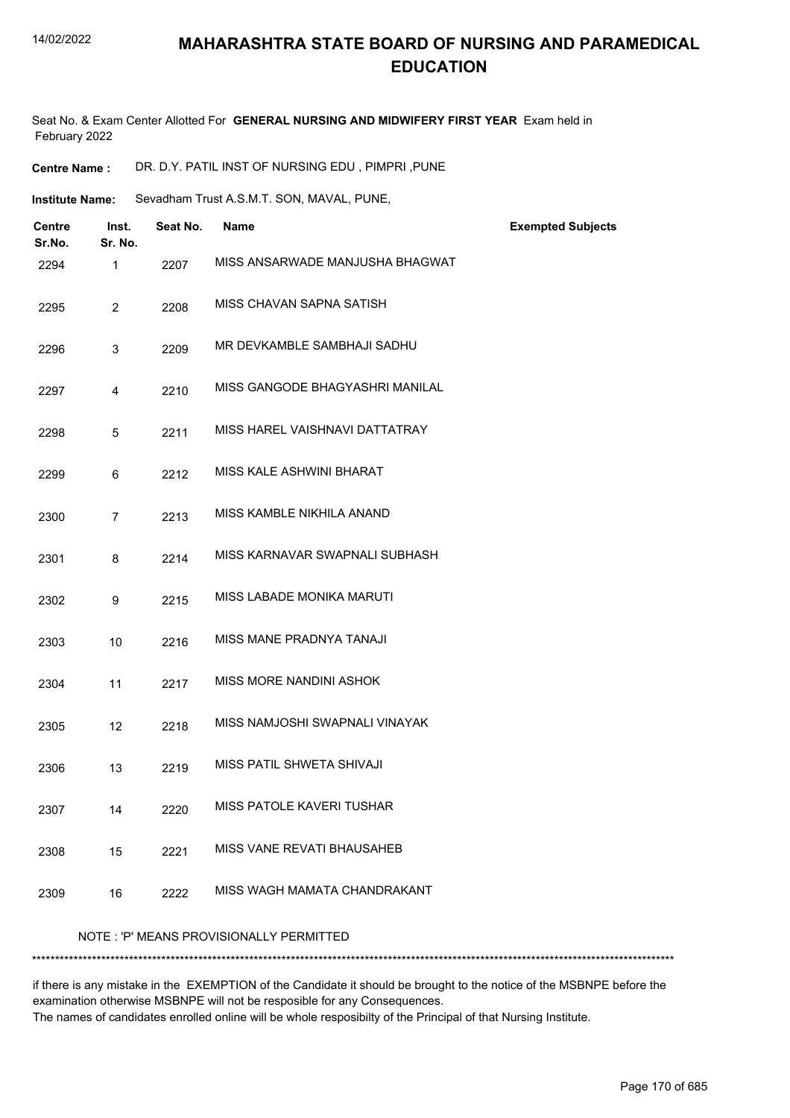## **MAHARASHTRA STATE BOARD OF NURSING AND PARAMEDICAL EDUCATION**

Seat No. & Exam Center Allotted For **GENERAL NURSING AND MIDWIFERY FIRST YEAR** Exam held in February 2022

**Centre Name :** DR. D.Y. PATIL INST OF NURSING EDU , PIMPRI ,PUNE

Sevadham Trust A.S.M.T. SON, MAVAL, PUNE, **Institute Name:**

| <b>Centre</b><br>Sr.No. | Inst.<br>Sr. No. | Seat No. | <b>Name</b>                             | <b>Exempted Subjects</b> |
|-------------------------|------------------|----------|-----------------------------------------|--------------------------|
| 2294                    | 1                | 2207     | MISS ANSARWADE MANJUSHA BHAGWAT         |                          |
| 2295                    | $\overline{2}$   | 2208     | MISS CHAVAN SAPNA SATISH                |                          |
| 2296                    | 3                | 2209     | MR DEVKAMBLE SAMBHAJI SADHU             |                          |
| 2297                    | 4                | 2210     | MISS GANGODE BHAGYASHRI MANILAL         |                          |
| 2298                    | 5                | 2211     | MISS HAREL VAISHNAVI DATTATRAY          |                          |
| 2299                    | 6                | 2212     | MISS KALE ASHWINI BHARAT                |                          |
| 2300                    | $\overline{7}$   | 2213     | MISS KAMBLE NIKHILA ANAND               |                          |
| 2301                    | 8                | 2214     | MISS KARNAVAR SWAPNALI SUBHASH          |                          |
| 2302                    | 9                | 2215     | MISS LABADE MONIKA MARUTI               |                          |
| 2303                    | 10               | 2216     | MISS MANE PRADNYA TANAJI                |                          |
| 2304                    | 11               | 2217     | MISS MORE NANDINI ASHOK                 |                          |
| 2305                    | 12               | 2218     | MISS NAMJOSHI SWAPNALI VINAYAK          |                          |
| 2306                    | 13               | 2219     | MISS PATIL SHWETA SHIVAJI               |                          |
| 2307                    | 14               | 2220     | MISS PATOLE KAVERI TUSHAR               |                          |
| 2308                    | 15               | 2221     | MISS VANE REVATI BHAUSAHEB              |                          |
| 2309                    | 16               | 2222     | MISS WAGH MAMATA CHANDRAKANT            |                          |
|                         |                  |          | NOTE: 'P' MEANS PROVISIONALLY PERMITTED |                          |

if there is any mistake in the EXEMPTION of the Candidate it should be brought to the notice of the MSBNPE before the examination otherwise MSBNPE will not be resposible for any Consequences. The names of candidates enrolled online will be whole resposibilty of the Principal of that Nursing Institute.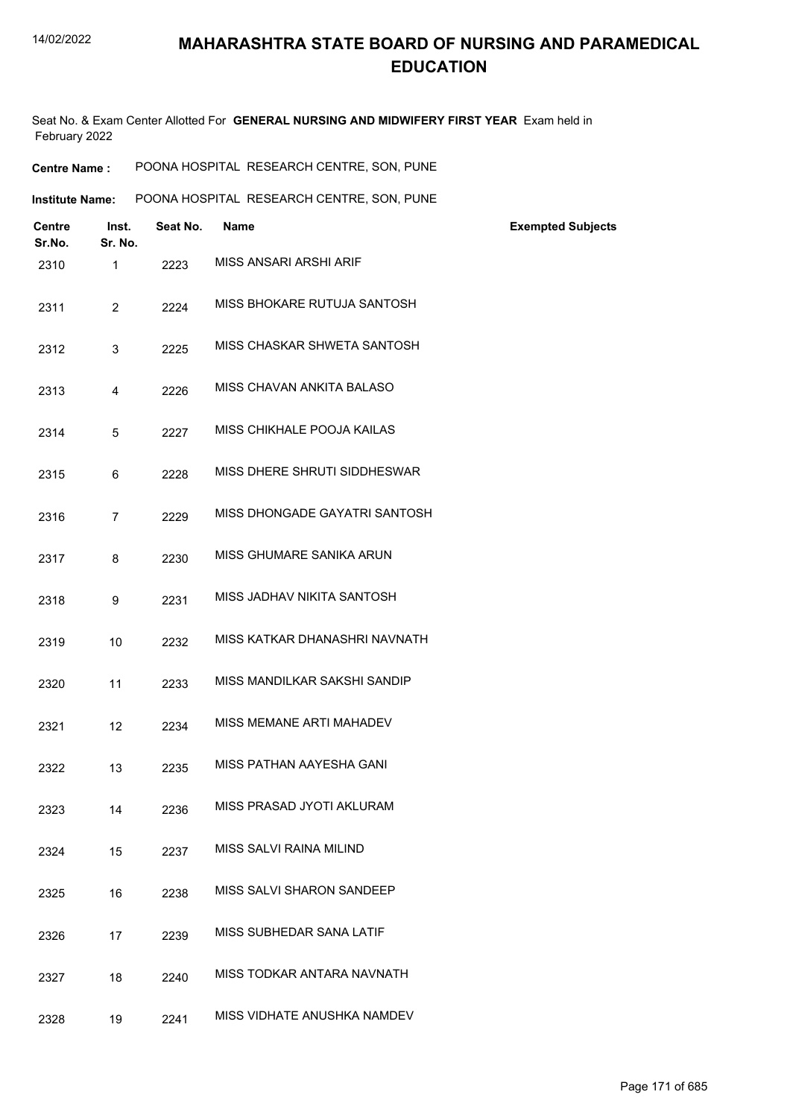Seat No. & Exam Center Allotted For **GENERAL NURSING AND MIDWIFERY FIRST YEAR** Exam held in February 2022

| <b>Centre Name :</b> | POONA HOSPITAL RESEARCH CENTRE, SON, PUNE |  |
|----------------------|-------------------------------------------|--|
|                      |                                           |  |

| Institute Name: | POONA HOSPITAL RESEARCH CENTRE, SON, PUNE |  |  |
|-----------------|-------------------------------------------|--|--|
|                 |                                           |  |  |

| <b>Centre</b><br>Sr.No. | Inst.<br>Sr. No. | Seat No. | <b>Name</b>                   | <b>Exempted Subjects</b> |
|-------------------------|------------------|----------|-------------------------------|--------------------------|
| 2310                    | $\mathbf{1}$     | 2223     | MISS ANSARI ARSHI ARIF        |                          |
| 2311                    | $\overline{2}$   | 2224     | MISS BHOKARE RUTUJA SANTOSH   |                          |
| 2312                    | 3                | 2225     | MISS CHASKAR SHWETA SANTOSH   |                          |
| 2313                    | 4                | 2226     | MISS CHAVAN ANKITA BALASO     |                          |
| 2314                    | 5                | 2227     | MISS CHIKHALE POOJA KAILAS    |                          |
| 2315                    | 6                | 2228     | MISS DHERE SHRUTI SIDDHESWAR  |                          |
| 2316                    | $\overline{7}$   | 2229     | MISS DHONGADE GAYATRI SANTOSH |                          |
| 2317                    | 8                | 2230     | MISS GHUMARE SANIKA ARUN      |                          |
| 2318                    | 9                | 2231     | MISS JADHAV NIKITA SANTOSH    |                          |
| 2319                    | 10               | 2232     | MISS KATKAR DHANASHRI NAVNATH |                          |
| 2320                    | 11               | 2233     | MISS MANDILKAR SAKSHI SANDIP  |                          |
| 2321                    | 12               | 2234     | MISS MEMANE ARTI MAHADEV      |                          |
| 2322                    | 13               | 2235     | MISS PATHAN AAYESHA GANI      |                          |
| 2323                    | 14               | 2236     | MISS PRASAD JYOTI AKLURAM     |                          |
| 2324                    | 15               | 2237     | MISS SALVI RAINA MILIND       |                          |
| 2325                    | 16               | 2238     | MISS SALVI SHARON SANDEEP     |                          |
| 2326                    | 17               | 2239     | MISS SUBHEDAR SANA LATIF      |                          |
| 2327                    | 18               | 2240     | MISS TODKAR ANTARA NAVNATH    |                          |
| 2328                    | 19               | 2241     | MISS VIDHATE ANUSHKA NAMDEV   |                          |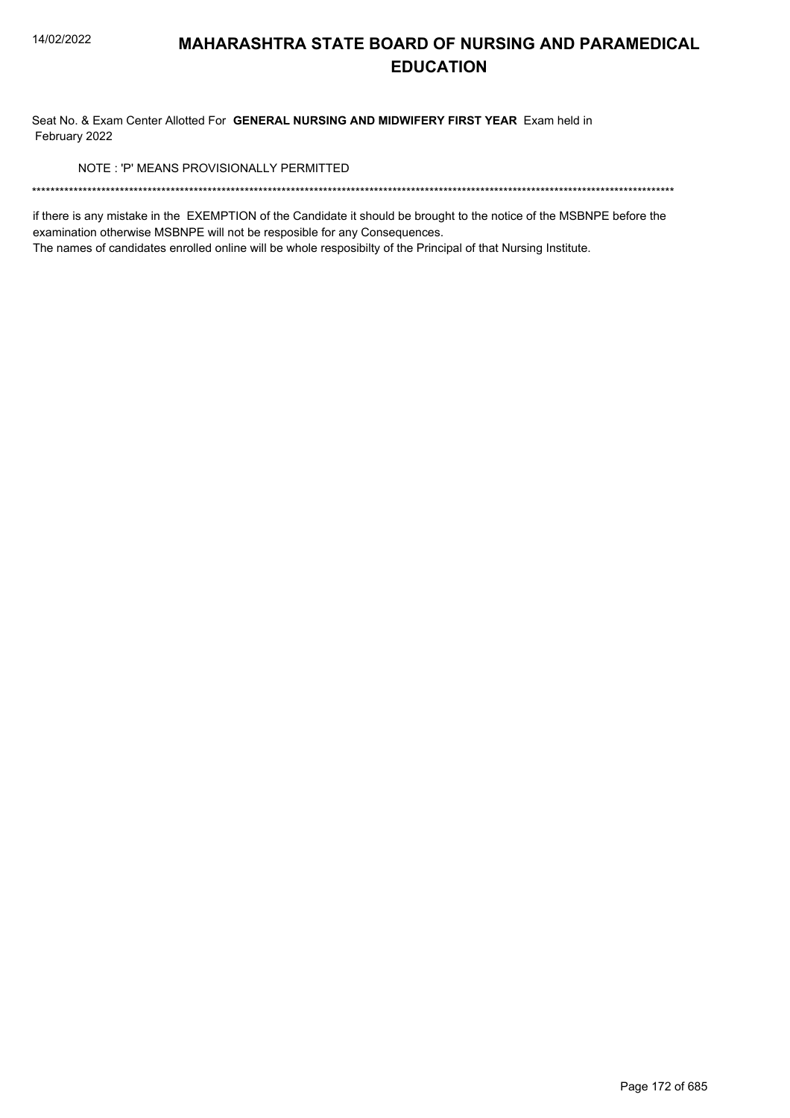Seat No. & Exam Center Allotted For GENERAL NURSING AND MIDWIFERY FIRST YEAR Exam held in February 2022

NOTE: 'P' MEANS PROVISIONALLY PERMITTED

if there is any mistake in the EXEMPTION of the Candidate it should be brought to the notice of the MSBNPE before the examination otherwise MSBNPE will not be resposible for any Consequences.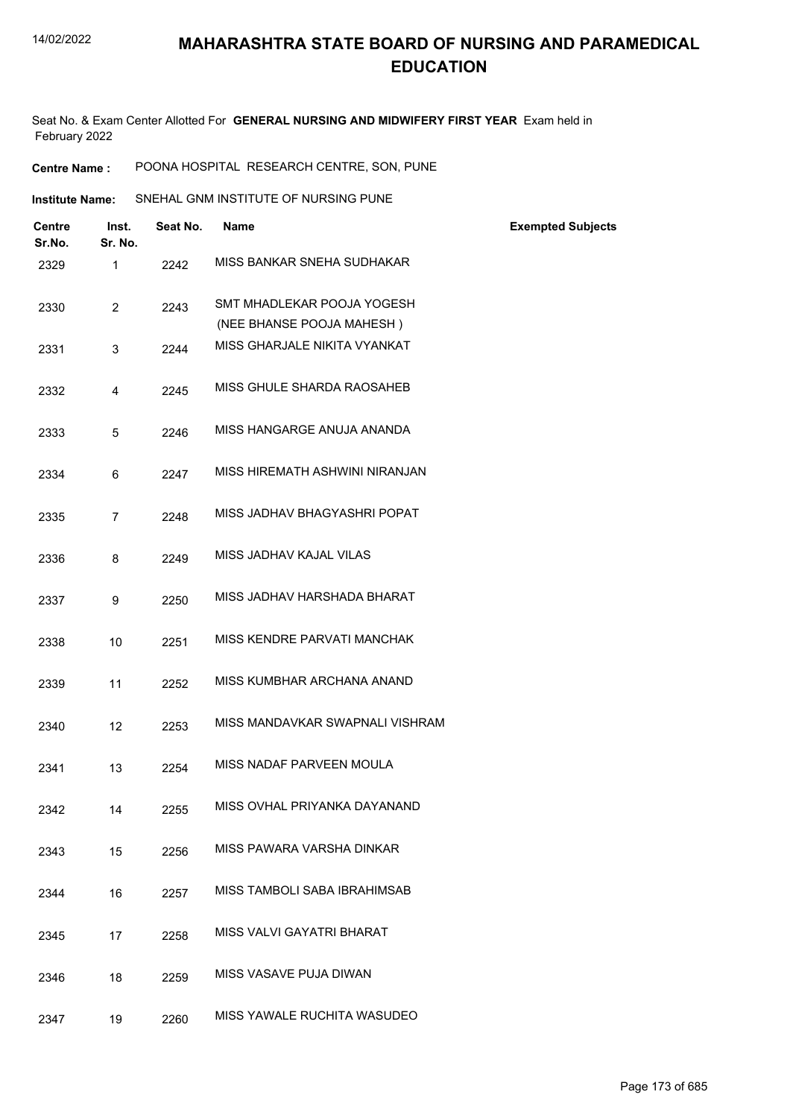Seat No. & Exam Center Allotted For **GENERAL NURSING AND MIDWIFERY FIRST YEAR** Exam held in February 2022

**Centre Name :** POONA HOSPITAL RESEARCH CENTRE, SON, PUNE

Institute Name: SNEHAL GNM INSTITUTE OF NURSING PUNE

| Centre<br>Sr.No. | Inst.<br>Sr. No. | Seat No. | <b>Name</b>                     | <b>Exempted Subjects</b> |
|------------------|------------------|----------|---------------------------------|--------------------------|
| 2329             | $\mathbf{1}$     | 2242     | MISS BANKAR SNEHA SUDHAKAR      |                          |
| 2330             | $\overline{2}$   | 2243     | SMT MHADLEKAR POOJA YOGESH      |                          |
|                  |                  |          | (NEE BHANSE POOJA MAHESH)       |                          |
| 2331             | 3                | 2244     | MISS GHARJALE NIKITA VYANKAT    |                          |
| 2332             | 4                | 2245     | MISS GHULE SHARDA RAOSAHEB      |                          |
| 2333             | 5                | 2246     | MISS HANGARGE ANUJA ANANDA      |                          |
| 2334             | 6                | 2247     | MISS HIREMATH ASHWINI NIRANJAN  |                          |
| 2335             | $\overline{7}$   | 2248     | MISS JADHAV BHAGYASHRI POPAT    |                          |
| 2336             | 8                | 2249     | MISS JADHAV KAJAL VILAS         |                          |
| 2337             | 9                | 2250     | MISS JADHAV HARSHADA BHARAT     |                          |
| 2338             | 10               | 2251     | MISS KENDRE PARVATI MANCHAK     |                          |
| 2339             | 11               | 2252     | MISS KUMBHAR ARCHANA ANAND      |                          |
| 2340             | 12               | 2253     | MISS MANDAVKAR SWAPNALI VISHRAM |                          |
| 2341             | 13               | 2254     | MISS NADAF PARVEEN MOULA        |                          |
| 2342             | 14               | 2255     | MISS OVHAL PRIYANKA DAYANAND    |                          |
| 2343             | 15               | 2256     | MISS PAWARA VARSHA DINKAR       |                          |
| 2344             | 16               | 2257     | MISS TAMBOLI SABA IBRAHIMSAB    |                          |
| 2345             | 17               | 2258     | MISS VALVI GAYATRI BHARAT       |                          |
| 2346             | 18               | 2259     | MISS VASAVE PUJA DIWAN          |                          |
| 2347             | 19               | 2260     | MISS YAWALE RUCHITA WASUDEO     |                          |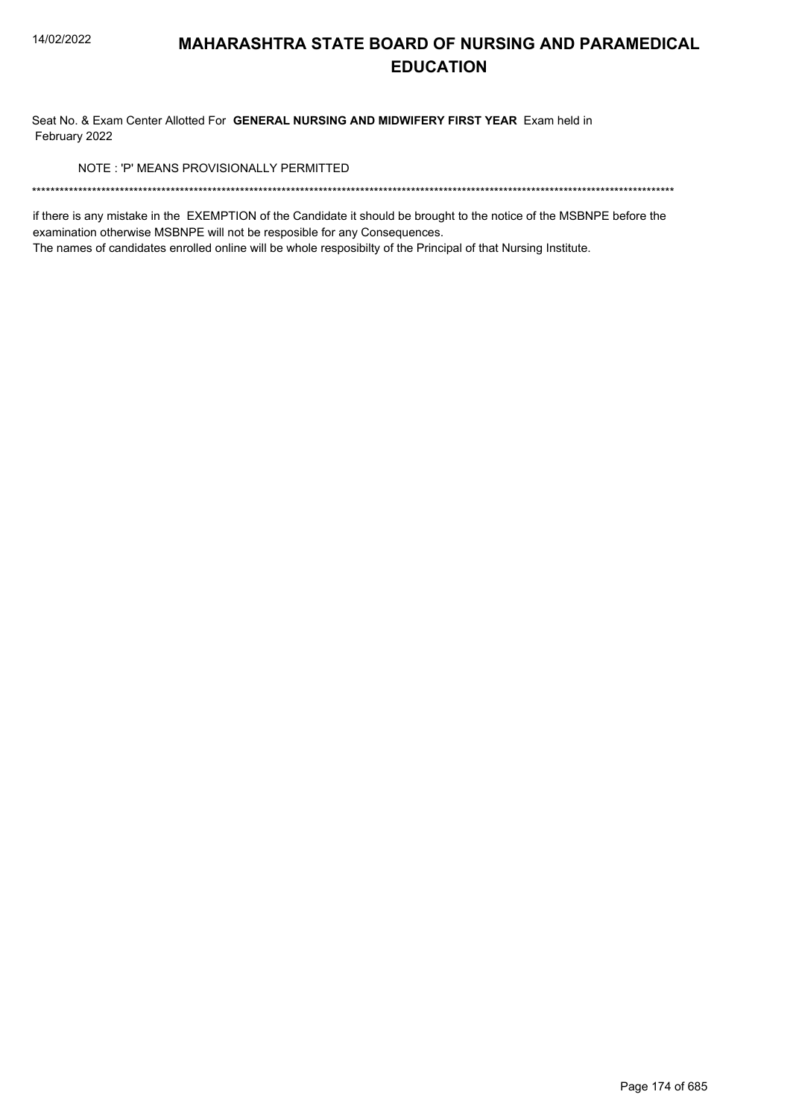Seat No. & Exam Center Allotted For GENERAL NURSING AND MIDWIFERY FIRST YEAR Exam held in February 2022

NOTE: 'P' MEANS PROVISIONALLY PERMITTED

if there is any mistake in the EXEMPTION of the Candidate it should be brought to the notice of the MSBNPE before the examination otherwise MSBNPE will not be resposible for any Consequences.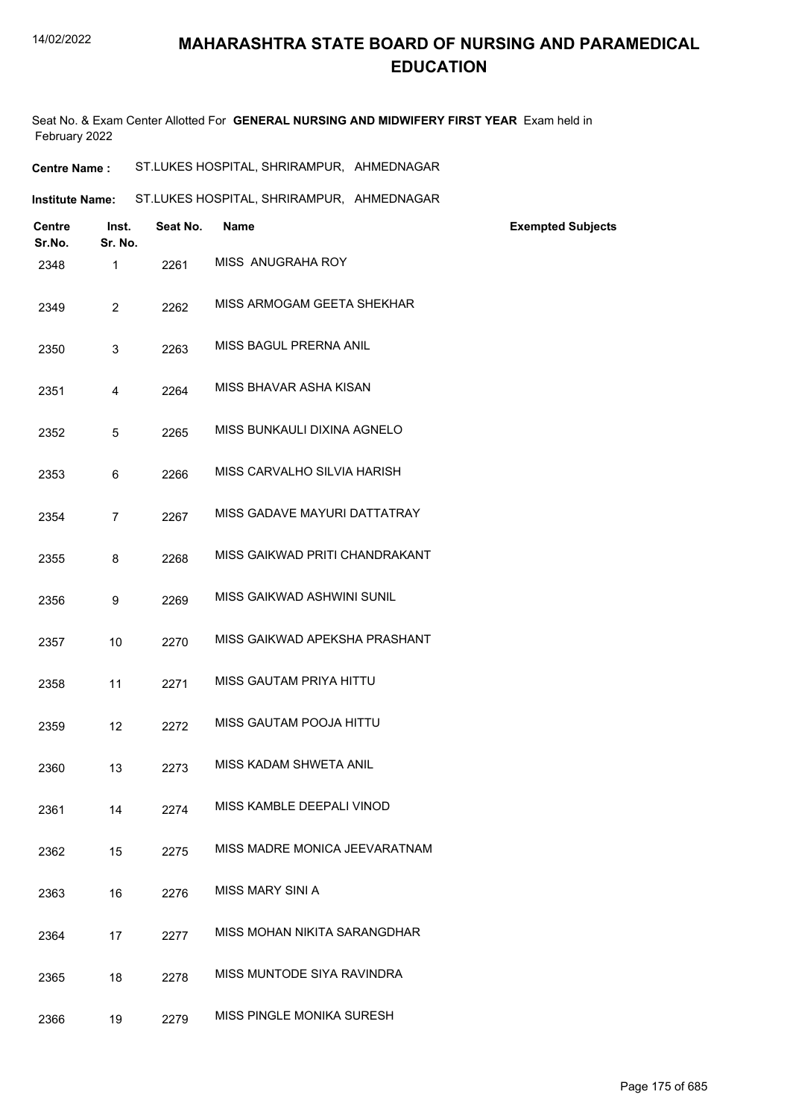Seat No. & Exam Center Allotted For **GENERAL NURSING AND MIDWIFERY FIRST YEAR** Exam held in February 2022

| <b>Centre Name :</b> | ST.LUKES HOSPITAL, SHRIRAMPUR, AHMEDNAGAR |  |
|----------------------|-------------------------------------------|--|
|----------------------|-------------------------------------------|--|

| Institute Name: | ST.LUKES HOSPITAL, SHRIRAMPUR, AHMEDNAGAR |  |
|-----------------|-------------------------------------------|--|
|                 |                                           |  |

| <b>Centre</b><br>Sr.No. | Inst.<br>Sr. No. | Seat No. | <b>Name</b>                    | <b>Exempted Subjects</b> |
|-------------------------|------------------|----------|--------------------------------|--------------------------|
| 2348                    | 1                | 2261     | MISS ANUGRAHA ROY              |                          |
| 2349                    | $\overline{2}$   | 2262     | MISS ARMOGAM GEETA SHEKHAR     |                          |
| 2350                    | 3                | 2263     | MISS BAGUL PRERNA ANIL         |                          |
| 2351                    | 4                | 2264     | MISS BHAVAR ASHA KISAN         |                          |
| 2352                    | 5                | 2265     | MISS BUNKAULI DIXINA AGNELO    |                          |
| 2353                    | 6                | 2266     | MISS CARVALHO SILVIA HARISH    |                          |
| 2354                    | $\overline{7}$   | 2267     | MISS GADAVE MAYURI DATTATRAY   |                          |
| 2355                    | 8                | 2268     | MISS GAIKWAD PRITI CHANDRAKANT |                          |
| 2356                    | 9                | 2269     | MISS GAIKWAD ASHWINI SUNIL     |                          |
| 2357                    | 10               | 2270     | MISS GAIKWAD APEKSHA PRASHANT  |                          |
| 2358                    | 11               | 2271     | MISS GAUTAM PRIYA HITTU        |                          |
| 2359                    | 12               | 2272     | MISS GAUTAM POOJA HITTU        |                          |
| 2360                    | 13               | 2273     | MISS KADAM SHWETA ANIL         |                          |
| 2361                    | 14               | 2274     | MISS KAMBLE DEEPALI VINOD      |                          |
| 2362                    | 15               | 2275     | MISS MADRE MONICA JEEVARATNAM  |                          |
| 2363                    | 16               | 2276     | MISS MARY SINI A               |                          |
| 2364                    | 17               | 2277     | MISS MOHAN NIKITA SARANGDHAR   |                          |
| 2365                    | 18               | 2278     | MISS MUNTODE SIYA RAVINDRA     |                          |
| 2366                    | 19               | 2279     | MISS PINGLE MONIKA SURESH      |                          |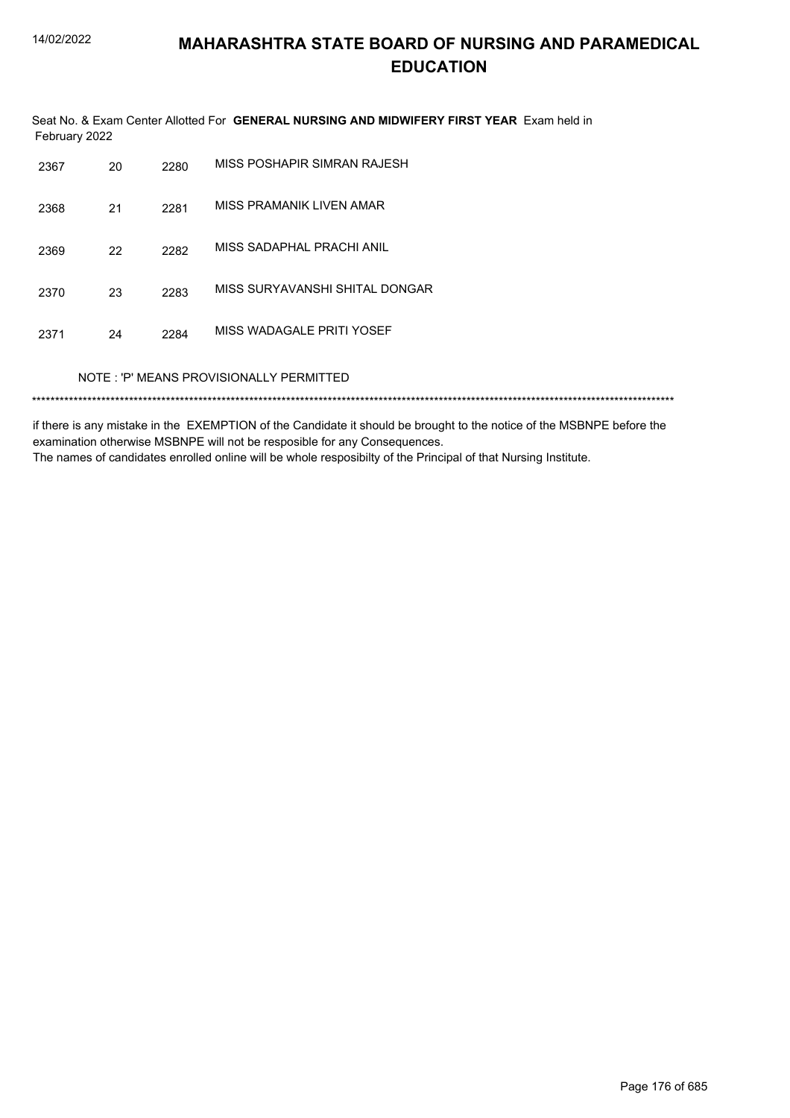Seat No. & Exam Center Allotted For **GENERAL NURSING AND MIDWIFERY FIRST YEAR** Exam held in February 2022

| 2367                                    | 20 | 2280 | MISS POSHAPIR SIMRAN RAJESH    |  |  |
|-----------------------------------------|----|------|--------------------------------|--|--|
| 2368                                    | 21 | 2281 | MISS PRAMANIK LIVEN AMAR       |  |  |
| 2369                                    | 22 | 2282 | MISS SADAPHAL PRACHI ANIL      |  |  |
| 2370                                    | 23 | 2283 | MISS SURYAVANSHI SHITAL DONGAR |  |  |
| 2371                                    | 24 | 2284 | MISS WADAGALE PRITI YOSEF      |  |  |
| NOTE: 'P' MEANS PROVISIONALLY PERMITTED |    |      |                                |  |  |
|                                         |    |      |                                |  |  |

if there is any mistake in the EXEMPTION of the Candidate it should be brought to the notice of the MSBNPE before the examination otherwise MSBNPE will not be resposible for any Consequences. The names of candidates enrolled online will be whole resposibilty of the Principal of that Nursing Institute.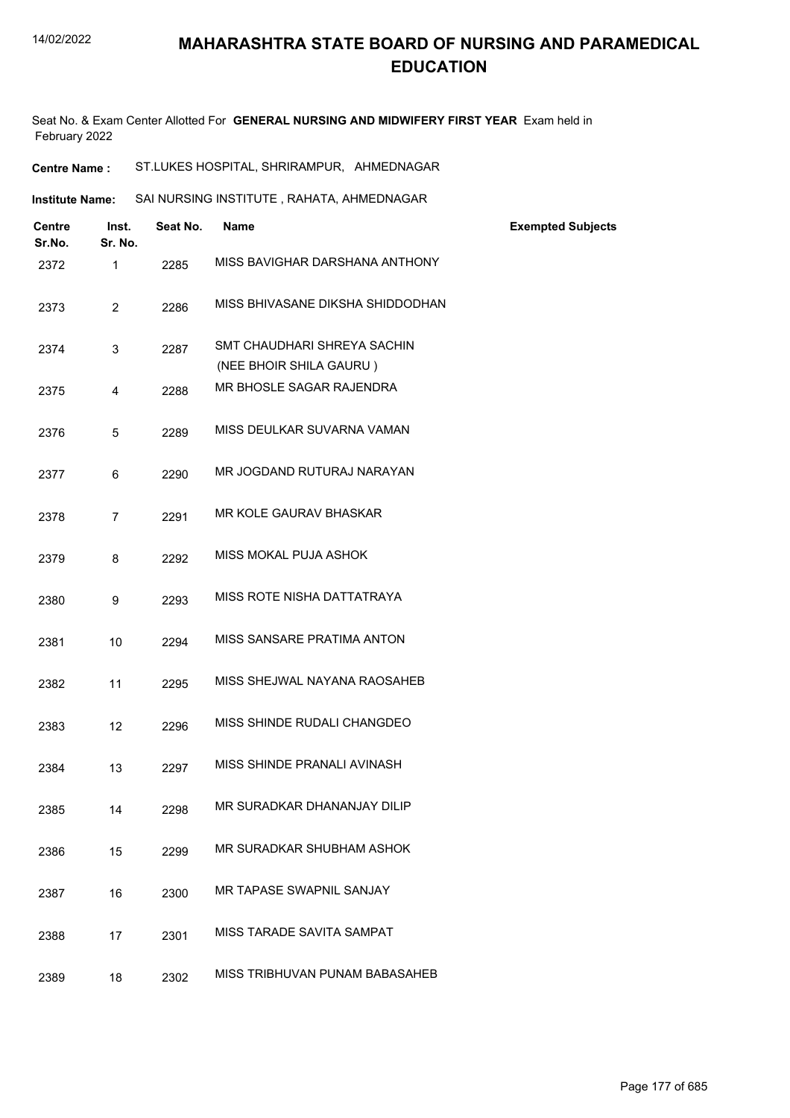Seat No. & Exam Center Allotted For **GENERAL NURSING AND MIDWIFERY FIRST YEAR** Exam held in February 2022

| ST.LUKES HOSPITAL, SHRIRAMPUR, AHMEDNAGAR<br><b>Centre Name :</b> |
|-------------------------------------------------------------------|
|-------------------------------------------------------------------|

| <b>Centre</b><br>Sr.No. | Inst.<br>Sr. No. | Seat No. | <b>Name</b>                                            | <b>Exempted Subjects</b> |
|-------------------------|------------------|----------|--------------------------------------------------------|--------------------------|
| 2372                    | 1                | 2285     | MISS BAVIGHAR DARSHANA ANTHONY                         |                          |
| 2373                    | $\overline{2}$   | 2286     | MISS BHIVASANE DIKSHA SHIDDODHAN                       |                          |
| 2374                    | 3                | 2287     | SMT CHAUDHARI SHREYA SACHIN<br>(NEE BHOIR SHILA GAURU) |                          |
| 2375                    | 4                | 2288     | MR BHOSLE SAGAR RAJENDRA                               |                          |
| 2376                    | 5                | 2289     | MISS DEULKAR SUVARNA VAMAN                             |                          |
| 2377                    | 6                | 2290     | MR JOGDAND RUTURAJ NARAYAN                             |                          |
| 2378                    | $\overline{7}$   | 2291     | MR KOLE GAURAV BHASKAR                                 |                          |
| 2379                    | 8                | 2292     | MISS MOKAL PUJA ASHOK                                  |                          |
| 2380                    | 9                | 2293     | MISS ROTE NISHA DATTATRAYA                             |                          |
| 2381                    | 10               | 2294     | MISS SANSARE PRATIMA ANTON                             |                          |
| 2382                    | 11               | 2295     | MISS SHEJWAL NAYANA RAOSAHEB                           |                          |
| 2383                    | 12               | 2296     | MISS SHINDE RUDALI CHANGDEO                            |                          |
| 2384                    | 13               | 2297     | MISS SHINDE PRANALI AVINASH                            |                          |
| 2385                    | 14               | 2298     | MR SURADKAR DHANANJAY DILIP                            |                          |
| 2386                    | 15               | 2299     | MR SURADKAR SHUBHAM ASHOK                              |                          |
| 2387                    | 16               | 2300     | MR TAPASE SWAPNIL SANJAY                               |                          |
| 2388                    | 17               | 2301     | MISS TARADE SAVITA SAMPAT                              |                          |
| 2389                    | 18               | 2302     | MISS TRIBHUVAN PUNAM BABASAHEB                         |                          |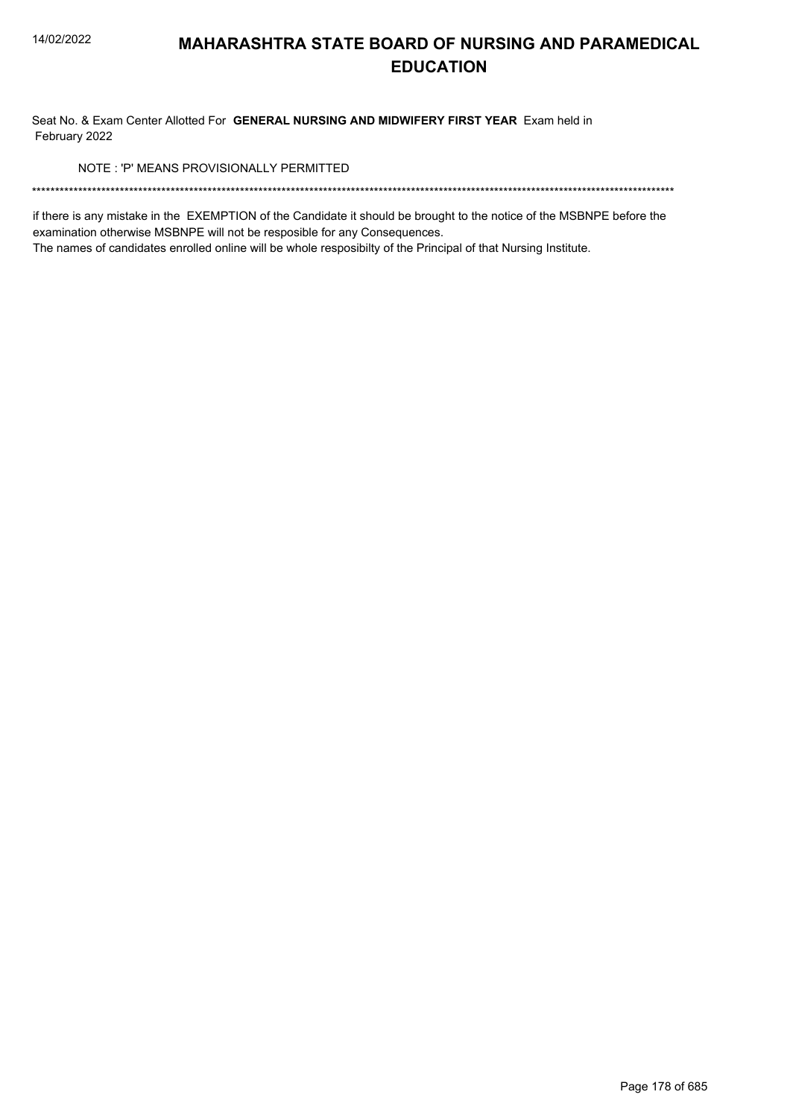Seat No. & Exam Center Allotted For GENERAL NURSING AND MIDWIFERY FIRST YEAR Exam held in February 2022

NOTE: 'P' MEANS PROVISIONALLY PERMITTED

if there is any mistake in the EXEMPTION of the Candidate it should be brought to the notice of the MSBNPE before the examination otherwise MSBNPE will not be resposible for any Consequences.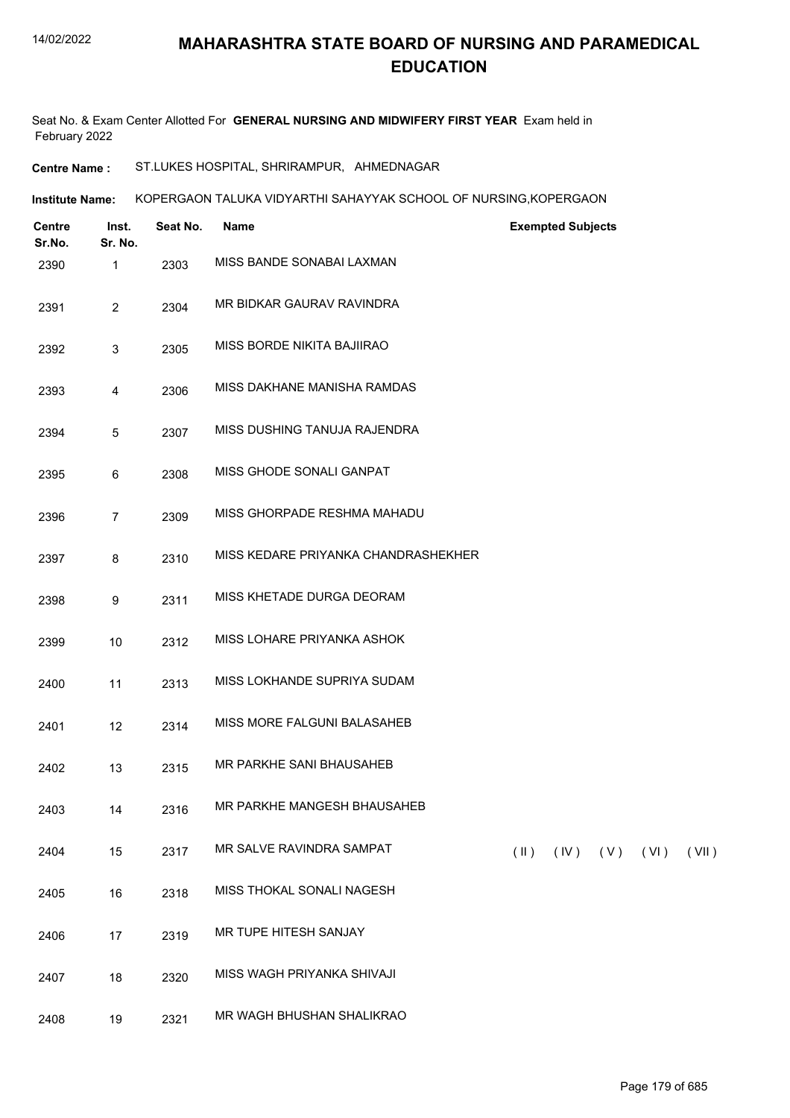Seat No. & Exam Center Allotted For **GENERAL NURSING AND MIDWIFERY FIRST YEAR** Exam held in February 2022

**Centre Name :** ST.LUKES HOSPITAL, SHRIRAMPUR, AHMEDNAGAR

**Institute Name: KOPERGAON TALUKA VIDYARTHI SAHAYYAK SCHOOL OF NURSING,KOPERGAON** 

| <b>Centre</b><br>Sr.No. | Inst.<br>Sr. No. | Seat No. | Name                                |               | <b>Exempted Subjects</b> |                     |       |
|-------------------------|------------------|----------|-------------------------------------|---------------|--------------------------|---------------------|-------|
| 2390                    | $\mathbf{1}$     | 2303     | MISS BANDE SONABAI LAXMAN           |               |                          |                     |       |
| 2391                    | $\overline{2}$   | 2304     | MR BIDKAR GAURAV RAVINDRA           |               |                          |                     |       |
| 2392                    | 3                | 2305     | MISS BORDE NIKITA BAJIIRAO          |               |                          |                     |       |
| 2393                    | 4                | 2306     | MISS DAKHANE MANISHA RAMDAS         |               |                          |                     |       |
| 2394                    | 5                | 2307     | MISS DUSHING TANUJA RAJENDRA        |               |                          |                     |       |
| 2395                    | 6                | 2308     | MISS GHODE SONALI GANPAT            |               |                          |                     |       |
| 2396                    | $\overline{7}$   | 2309     | MISS GHORPADE RESHMA MAHADU         |               |                          |                     |       |
| 2397                    | 8                | 2310     | MISS KEDARE PRIYANKA CHANDRASHEKHER |               |                          |                     |       |
| 2398                    | 9                | 2311     | MISS KHETADE DURGA DEORAM           |               |                          |                     |       |
| 2399                    | 10               | 2312     | MISS LOHARE PRIYANKA ASHOK          |               |                          |                     |       |
| 2400                    | 11               | 2313     | MISS LOKHANDE SUPRIYA SUDAM         |               |                          |                     |       |
| 2401                    | 12               | 2314     | MISS MORE FALGUNI BALASAHEB         |               |                          |                     |       |
| 2402                    | 13               | 2315     | MR PARKHE SANI BHAUSAHEB            |               |                          |                     |       |
| 2403                    | 14               | 2316     | MR PARKHE MANGESH BHAUSAHEB         |               |                          |                     |       |
| 2404                    | 15               | 2317     | MR SALVE RAVINDRA SAMPAT            | $(\parallel)$ |                          | $(IV)$ $(V)$ $(VI)$ | (VII) |
| 2405                    | 16               | 2318     | MISS THOKAL SONALI NAGESH           |               |                          |                     |       |
| 2406                    | 17               | 2319     | MR TUPE HITESH SANJAY               |               |                          |                     |       |
| 2407                    | 18               | 2320     | MISS WAGH PRIYANKA SHIVAJI          |               |                          |                     |       |
| 2408                    | 19               | 2321     | MR WAGH BHUSHAN SHALIKRAO           |               |                          |                     |       |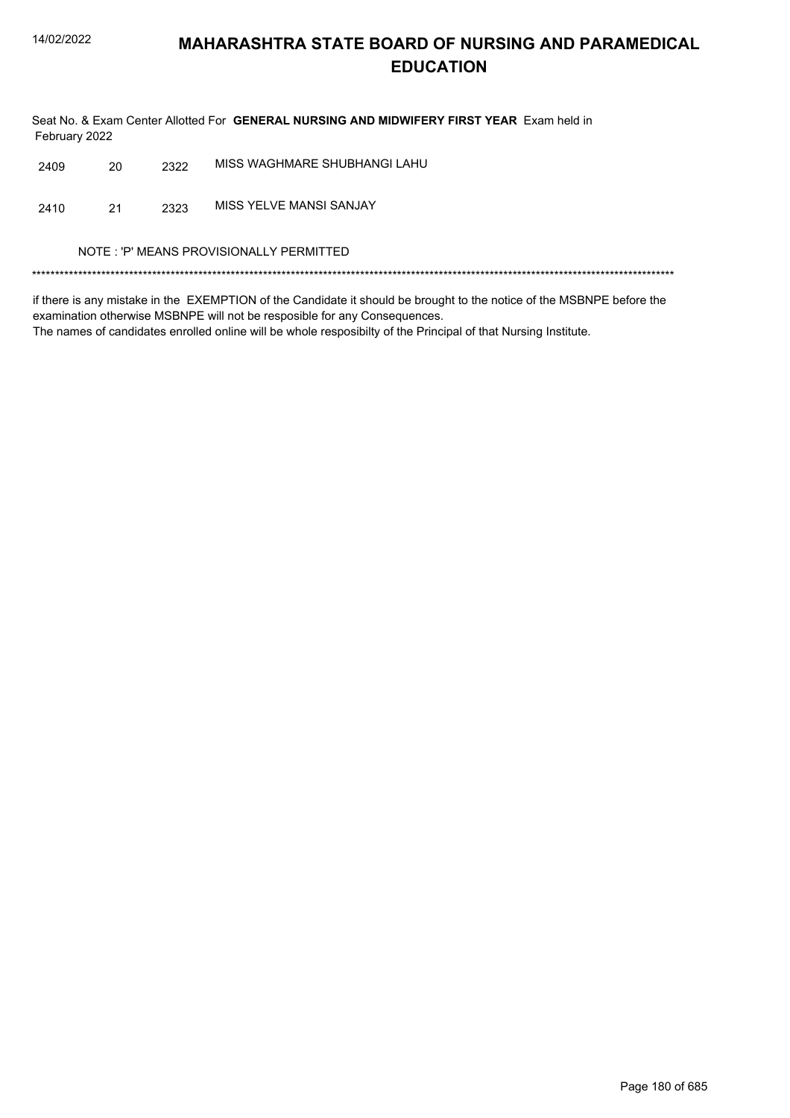Seat No. & Exam Center Allotted For GENERAL NURSING AND MIDWIFERY FIRST YEAR Exam held in February 2022

| 2409                                    | 20 | 2322 | MISS WAGHMARE SHUBHANGI LAHU |  |  |
|-----------------------------------------|----|------|------------------------------|--|--|
| 2410                                    | 21 | 2323 | MISS YELVE MANSI SANJAY      |  |  |
| NOTE: 'P' MEANS PROVISIONALLY PERMITTED |    |      |                              |  |  |
|                                         |    |      |                              |  |  |

if there is any mistake in the EXEMPTION of the Candidate it should be brought to the notice of the MSBNPE before the examination otherwise MSBNPE will not be resposible for any Consequences.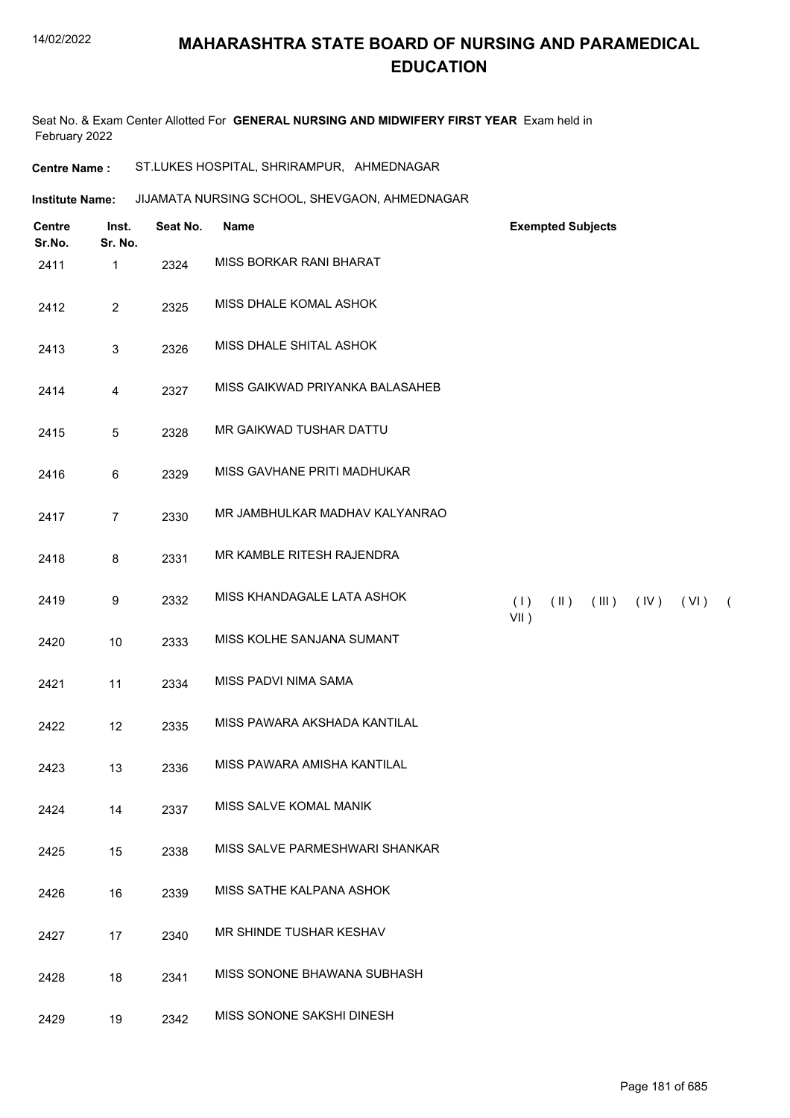Seat No. & Exam Center Allotted For **GENERAL NURSING AND MIDWIFERY FIRST YEAR** Exam held in February 2022

**Centre Name :** ST.LUKES HOSPITAL, SHRIRAMPUR, AHMEDNAGAR

JIJAMATA NURSING SCHOOL, SHEVGAON, AHMEDNAGAR **Institute Name:**

| <b>Centre</b><br>Sr.No. | Inst.<br>Sr. No. | Seat No. | Name                            | <b>Exempted Subjects</b>                                      |
|-------------------------|------------------|----------|---------------------------------|---------------------------------------------------------------|
| 2411                    | 1                | 2324     | MISS BORKAR RANI BHARAT         |                                                               |
| 2412                    | $\overline{2}$   | 2325     | MISS DHALE KOMAL ASHOK          |                                                               |
| 2413                    | $\sqrt{3}$       | 2326     | MISS DHALE SHITAL ASHOK         |                                                               |
| 2414                    | $\overline{4}$   | 2327     | MISS GAIKWAD PRIYANKA BALASAHEB |                                                               |
| 2415                    | $\sqrt{5}$       | 2328     | MR GAIKWAD TUSHAR DATTU         |                                                               |
| 2416                    | $\,6\,$          | 2329     | MISS GAVHANE PRITI MADHUKAR     |                                                               |
| 2417                    | $\overline{7}$   | 2330     | MR JAMBHULKAR MADHAV KALYANRAO  |                                                               |
| 2418                    | $\bf 8$          | 2331     | MR KAMBLE RITESH RAJENDRA       |                                                               |
| 2419                    | $\boldsymbol{9}$ | 2332     | MISS KHANDAGALE LATA ASHOK      | (1)<br>$(\parallel)$<br>(III)<br>$(IV)$ $(VI)$ $($<br>$VII$ ) |
| 2420                    | 10               | 2333     | MISS KOLHE SANJANA SUMANT       |                                                               |
| 2421                    | 11               | 2334     | MISS PADVI NIMA SAMA            |                                                               |
| 2422                    | 12               | 2335     | MISS PAWARA AKSHADA KANTILAL    |                                                               |
| 2423                    | 13               | 2336     | MISS PAWARA AMISHA KANTILAL     |                                                               |
| 2424                    | 14               | 2337     | MISS SALVE KOMAL MANIK          |                                                               |
| 2425                    | 15               | 2338     | MISS SALVE PARMESHWARI SHANKAR  |                                                               |
| 2426                    | 16               | 2339     | MISS SATHE KALPANA ASHOK        |                                                               |
| 2427                    | 17               | 2340     | MR SHINDE TUSHAR KESHAV         |                                                               |
| 2428                    | 18               | 2341     | MISS SONONE BHAWANA SUBHASH     |                                                               |
| 2429                    | 19               | 2342     | MISS SONONE SAKSHI DINESH       |                                                               |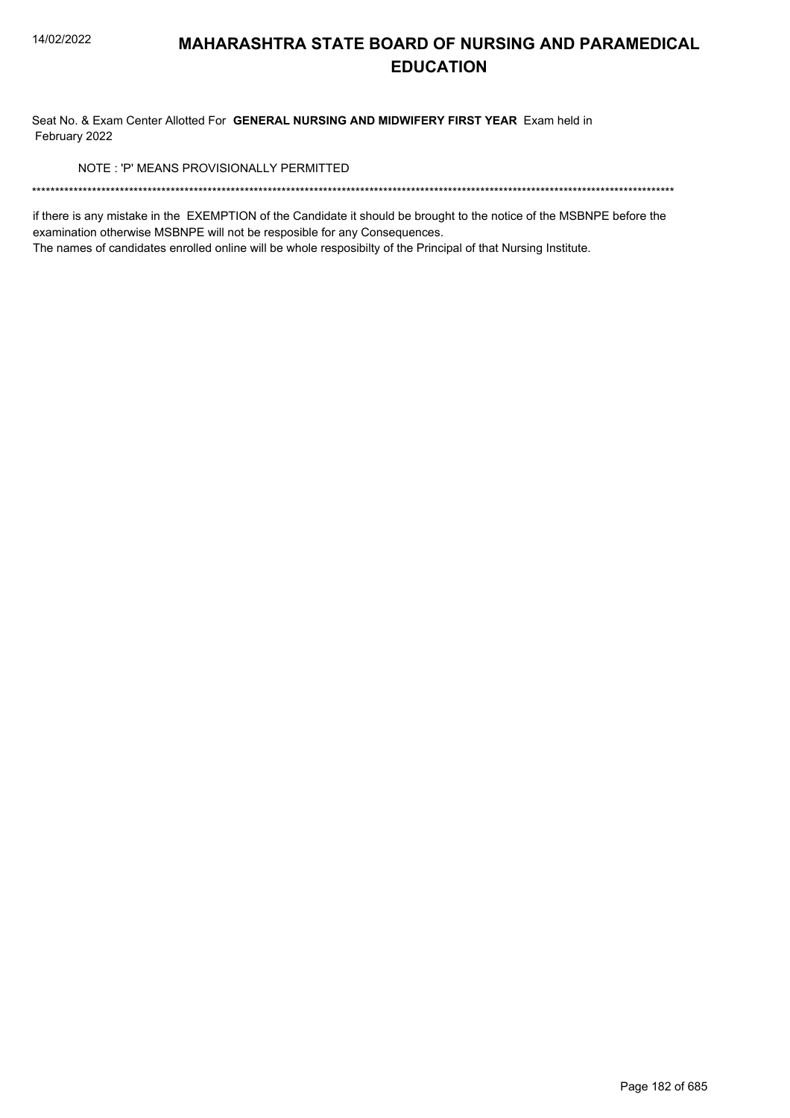Seat No. & Exam Center Allotted For GENERAL NURSING AND MIDWIFERY FIRST YEAR Exam held in February 2022

NOTE: 'P' MEANS PROVISIONALLY PERMITTED

if there is any mistake in the EXEMPTION of the Candidate it should be brought to the notice of the MSBNPE before the examination otherwise MSBNPE will not be resposible for any Consequences.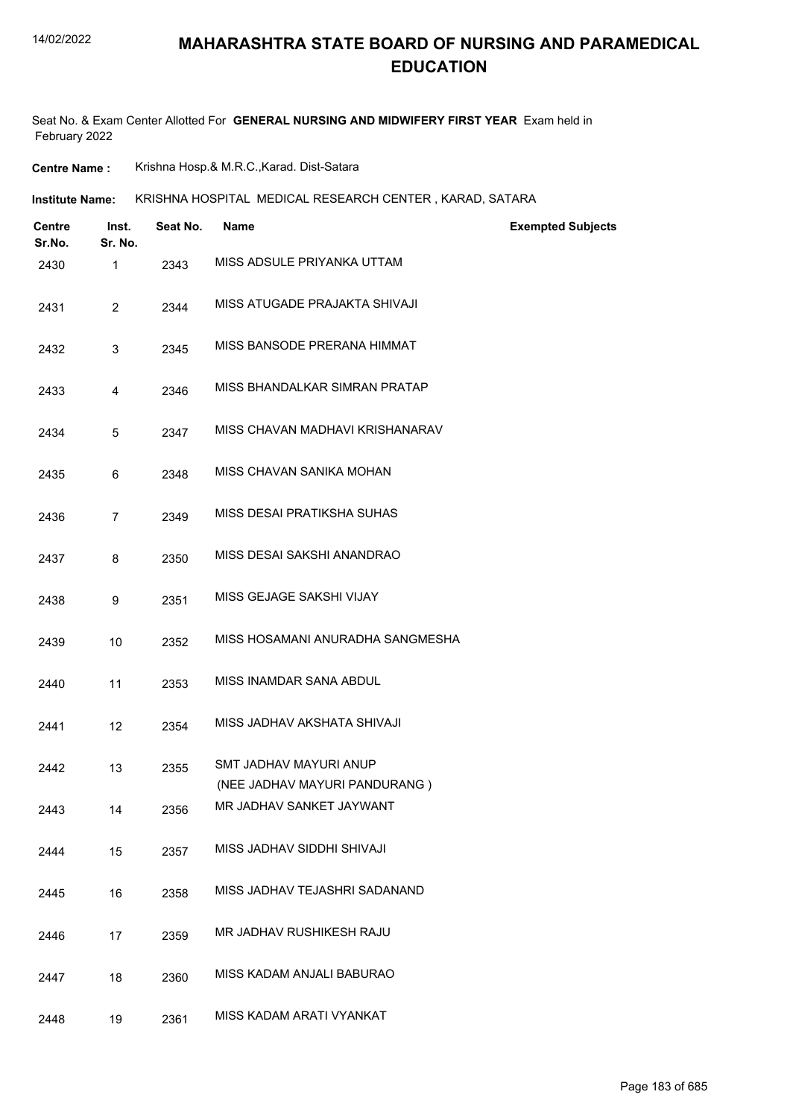### **MAHARASHTRA STATE BOARD OF NURSING AND PARAMEDICAL EDUCATION**

Seat No. & Exam Center Allotted For **GENERAL NURSING AND MIDWIFERY FIRST YEAR** Exam held in February 2022

**Centre Name :** Krishna Hosp.& M.R.C.,Karad. Dist-Satara

KRISHNA HOSPITAL MEDICAL RESEARCH CENTER , KARAD, SATARA **Institute Name:**

| Centre<br>Sr.No. | Inst.<br>Sr. No. | Seat No. | Name                                                    | <b>Exempted Subjects</b> |
|------------------|------------------|----------|---------------------------------------------------------|--------------------------|
| 2430             | 1                | 2343     | MISS ADSULE PRIYANKA UTTAM                              |                          |
| 2431             | $\overline{2}$   | 2344     | MISS ATUGADE PRAJAKTA SHIVAJI                           |                          |
| 2432             | 3                | 2345     | MISS BANSODE PRERANA HIMMAT                             |                          |
| 2433             | 4                | 2346     | MISS BHANDALKAR SIMRAN PRATAP                           |                          |
| 2434             | 5                | 2347     | MISS CHAVAN MADHAVI KRISHANARAV                         |                          |
| 2435             | 6                | 2348     | MISS CHAVAN SANIKA MOHAN                                |                          |
| 2436             | $\overline{7}$   | 2349     | MISS DESAI PRATIKSHA SUHAS                              |                          |
| 2437             | 8                | 2350     | MISS DESAI SAKSHI ANANDRAO                              |                          |
| 2438             | 9                | 2351     | MISS GEJAGE SAKSHI VIJAY                                |                          |
| 2439             | 10               | 2352     | MISS HOSAMANI ANURADHA SANGMESHA                        |                          |
| 2440             | 11               | 2353     | MISS INAMDAR SANA ABDUL                                 |                          |
| 2441             | 12               | 2354     | MISS JADHAV AKSHATA SHIVAJI                             |                          |
| 2442             | 13               | 2355     | SMT JADHAV MAYURI ANUP<br>(NEE JADHAV MAYURI PANDURANG) |                          |
| 2443             | 14               | 2356     | MR JADHAV SANKET JAYWANT                                |                          |
| 2444             | 15               | 2357     | MISS JADHAV SIDDHI SHIVAJI                              |                          |
| 2445             | 16               | 2358     | MISS JADHAV TEJASHRI SADANAND                           |                          |
| 2446             | 17               | 2359     | MR JADHAV RUSHIKESH RAJU                                |                          |
| 2447             | 18               | 2360     | MISS KADAM ANJALI BABURAO                               |                          |
| 2448             | 19               | 2361     | MISS KADAM ARATI VYANKAT                                |                          |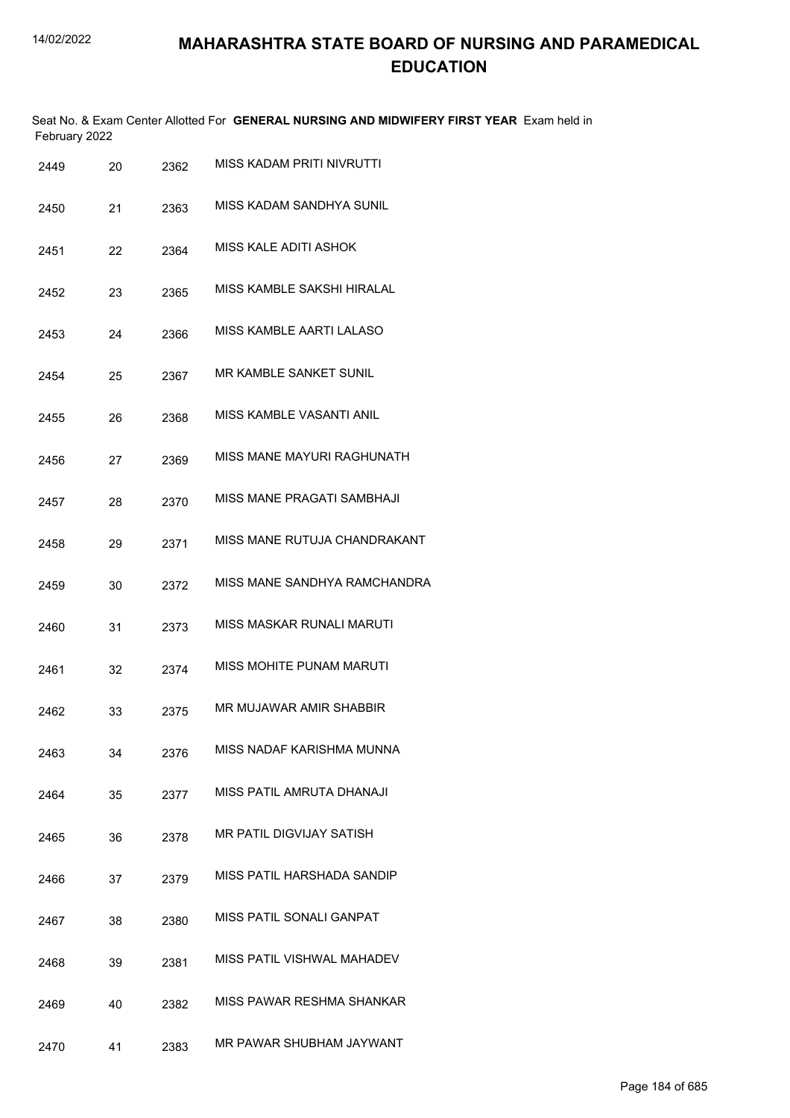Seat No. & Exam Center Allotted For **GENERAL NURSING AND MIDWIFERY FIRST YEAR** Exam held in February 2022

| 2449 | 20 | 2362 | <b>MISS KADAM PRITI NIVRUTTI</b> |
|------|----|------|----------------------------------|
| 2450 | 21 | 2363 | MISS KADAM SANDHYA SUNIL         |
| 2451 | 22 | 2364 | <b>MISS KALE ADITI ASHOK</b>     |
| 2452 | 23 | 2365 | MISS KAMBLE SAKSHI HIRALAL       |
| 2453 | 24 | 2366 | <b>MISS KAMBLE AARTI LALASO</b>  |
| 2454 | 25 | 2367 | MR KAMBLE SANKET SUNIL           |
| 2455 | 26 | 2368 | MISS KAMBLE VASANTI ANIL         |
| 2456 | 27 | 2369 | MISS MANE MAYURI RAGHUNATH       |
| 2457 | 28 | 2370 | MISS MANE PRAGATI SAMBHAJI       |
| 2458 | 29 | 2371 | MISS MANE RUTUJA CHANDRAKANT     |
| 2459 | 30 | 2372 | MISS MANE SANDHYA RAMCHANDRA     |
| 2460 | 31 | 2373 | <b>MISS MASKAR RUNALI MARUTI</b> |
| 2461 | 32 | 2374 | <b>MISS MOHITE PUNAM MARUTI</b>  |
| 2462 | 33 | 2375 | MR MUJAWAR AMIR SHABBIR          |
| 2463 | 34 | 2376 | MISS NADAF KARISHMA MUNNA        |
| 2464 | 35 | 2377 | MISS PATIL AMRUTA DHANAJI        |
| 2465 | 36 | 2378 | <b>MR PATIL DIGVIJAY SATISH</b>  |
| 2466 | 37 | 2379 | MISS PATIL HARSHADA SANDIP       |
| 2467 | 38 | 2380 | <b>MISS PATIL SONALI GANPAT</b>  |
| 2468 | 39 | 2381 | MISS PATIL VISHWAL MAHADEV       |
| 2469 | 40 | 2382 | MISS PAWAR RESHMA SHANKAR        |
| 2470 | 41 | 2383 | MR PAWAR SHUBHAM JAYWANT         |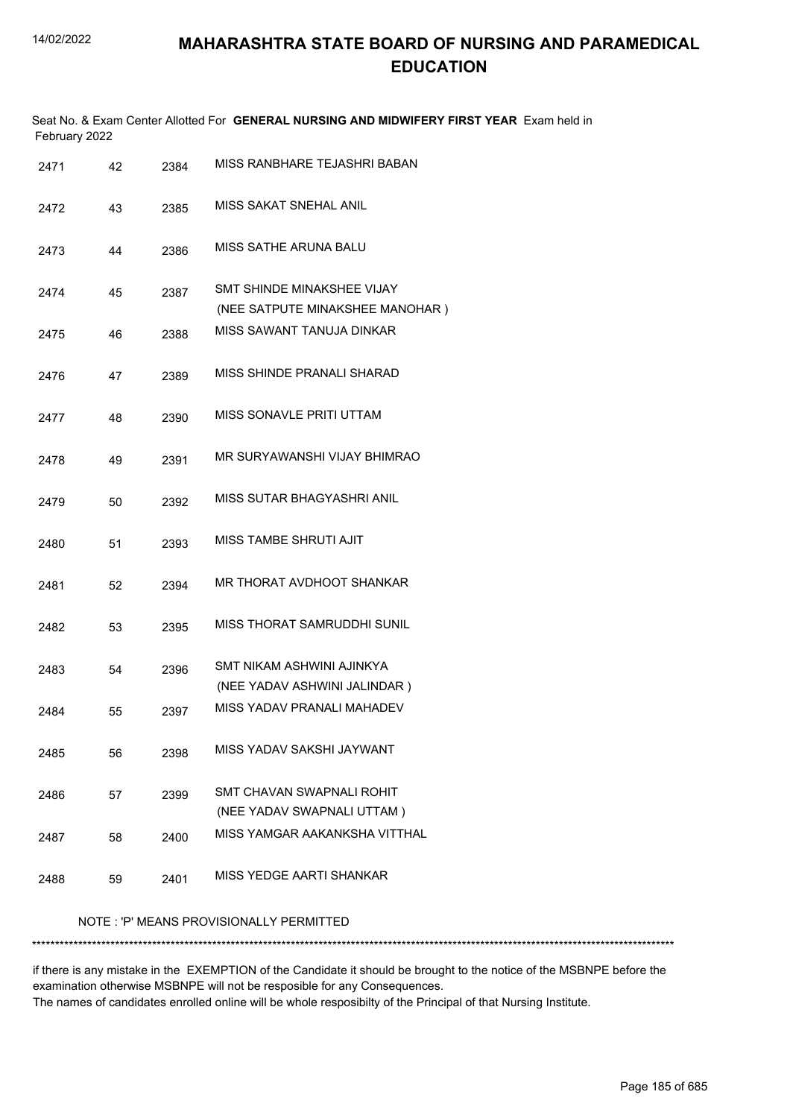|               | Seat No. & Exam Center Allotted For <b>GENERAL NURSING AND MIDWIFERY FIRST YEAR</b> Exam held in |
|---------------|--------------------------------------------------------------------------------------------------|
| February 2022 |                                                                                                  |
|               | MICC BANDUARE TE IAQUBI BARANI                                                                   |

| 2471 | 42 | 2384 | MISS RANBHARE TEJASHRI BABAN                                  |
|------|----|------|---------------------------------------------------------------|
| 2472 | 43 | 2385 | MISS SAKAT SNEHAL ANIL                                        |
| 2473 | 44 | 2386 | <b>MISS SATHE ARUNA BALU</b>                                  |
| 2474 | 45 | 2387 | SMT SHINDE MINAKSHEE VIJAY<br>(NEE SATPUTE MINAKSHEE MANOHAR) |
| 2475 | 46 | 2388 | MISS SAWANT TANUJA DINKAR                                     |
| 2476 | 47 | 2389 | MISS SHINDE PRANALI SHARAD                                    |
| 2477 | 48 | 2390 | <b>MISS SONAVLE PRITI UTTAM</b>                               |
| 2478 | 49 | 2391 | MR SURYAWANSHI VIJAY BHIMRAO                                  |
| 2479 | 50 | 2392 | MISS SUTAR BHAGYASHRI ANIL                                    |
| 2480 | 51 | 2393 | <b>MISS TAMBE SHRUTI AJIT</b>                                 |
| 2481 | 52 | 2394 | MR THORAT AVDHOOT SHANKAR                                     |
| 2482 | 53 | 2395 | MISS THORAT SAMRUDDHI SUNIL                                   |
| 2483 | 54 | 2396 | SMT NIKAM ASHWINI AJINKYA<br>(NEE YADAV ASHWINI JALINDAR)     |
| 2484 | 55 | 2397 | MISS YADAV PRANALI MAHADEV                                    |
| 2485 | 56 | 2398 | MISS YADAV SAKSHI JAYWANT                                     |
| 2486 | 57 | 2399 | SMT CHAVAN SWAPNALI ROHIT<br>(NEE YADAV SWAPNALI UTTAM)       |
| 2487 | 58 | 2400 | MISS YAMGAR AAKANKSHA VITTHAL                                 |
| 2488 | 59 | 2401 | MISS YEDGE AARTI SHANKAR                                      |
|      |    |      |                                                               |

### NOTE : 'P' MEANS PROVISIONALLY PERMITTED

\*\*\*\*\*\*\*\*\*\*\*\*\*\*\*\*\*\*\*\*\*\*\*\*\*\*\*\*\*\*\*\*\*\*\*\*\*\*\*\*\*\*\*\*\*\*\*\*\*\*\*\*\*\*\*\*\*\*\*\*\*\*\*\*\*\*\*\*\*\*\*\*\*\*\*\*\*\*\*\*\*\*\*\*\*\*\*\*\*\*\*\*\*\*\*\*\*\*\*\*\*\*\*\*\*\*\*\*\*\*\*\*\*\*\*\*\*\*\*\*\*\*\*\*\*\*\*\*\*\*\*\*\*\*\*\*\*\*\*

if there is any mistake in the EXEMPTION of the Candidate it should be brought to the notice of the MSBNPE before the examination otherwise MSBNPE will not be resposible for any Consequences. The names of candidates enrolled online will be whole resposibilty of the Principal of that Nursing Institute.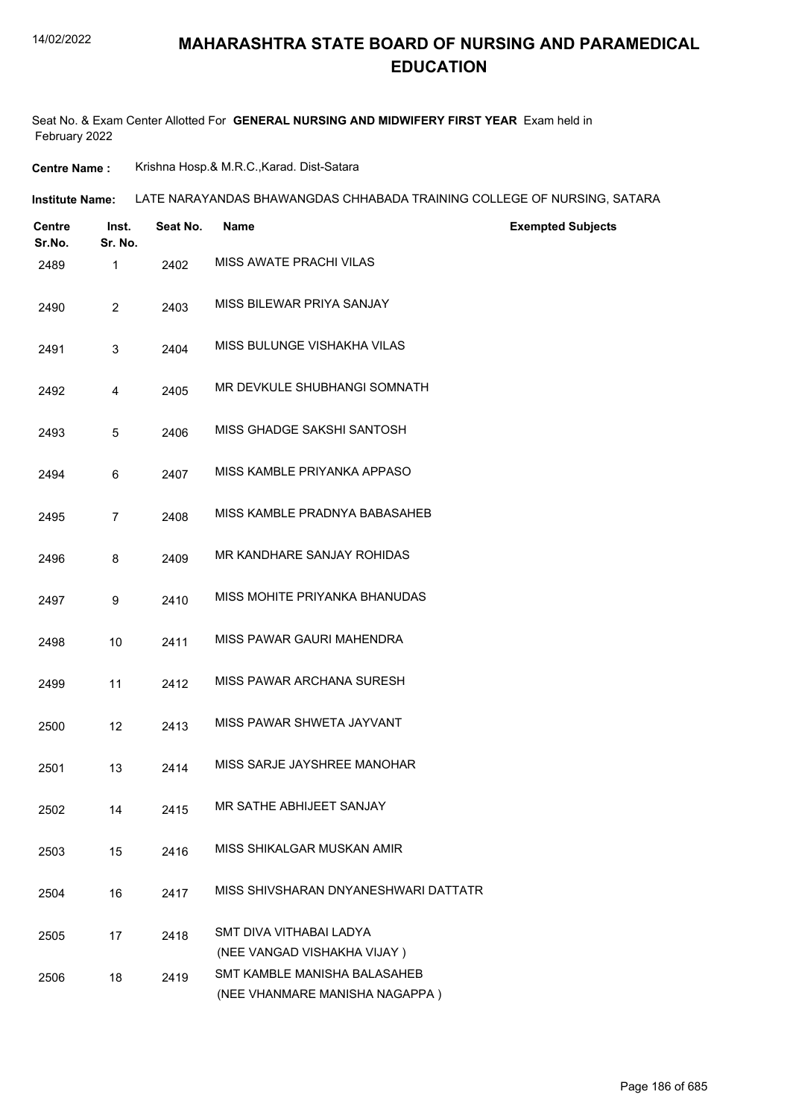### **MAHARASHTRA STATE BOARD OF NURSING AND PARAMEDICAL EDUCATION**

Seat No. & Exam Center Allotted For **GENERAL NURSING AND MIDWIFERY FIRST YEAR** Exam held in February 2022

**Centre Name :** Krishna Hosp.& M.R.C.,Karad. Dist-Satara

| Institute Name: LATE NARAYANDAS BHAWANGDAS CHHABADA TRAINING COLLEGE OF NURSING, SATARA |
|-----------------------------------------------------------------------------------------|
|                                                                                         |

| <b>Centre</b><br>Sr.No. | Inst.<br>Sr. No. | Seat No. | <b>Name</b><br><b>Exempted Subjects</b>                                                       |  |
|-------------------------|------------------|----------|-----------------------------------------------------------------------------------------------|--|
| 2489                    | $\mathbf{1}$     | 2402     | MISS AWATE PRACHI VILAS                                                                       |  |
| 2490                    | $\overline{2}$   | 2403     | MISS BILEWAR PRIYA SANJAY                                                                     |  |
| 2491                    | 3                | 2404     | MISS BULUNGE VISHAKHA VILAS                                                                   |  |
| 2492                    | 4                | 2405     | MR DEVKULE SHUBHANGI SOMNATH                                                                  |  |
| 2493                    | 5                | 2406     | MISS GHADGE SAKSHI SANTOSH                                                                    |  |
| 2494                    | 6                | 2407     | MISS KAMBLE PRIYANKA APPASO                                                                   |  |
| 2495                    | $\overline{7}$   | 2408     | MISS KAMBLE PRADNYA BABASAHEB                                                                 |  |
| 2496                    | 8                | 2409     | MR KANDHARE SANJAY ROHIDAS                                                                    |  |
| 2497                    | 9                | 2410     | MISS MOHITE PRIYANKA BHANUDAS                                                                 |  |
| 2498                    | 10               | 2411     | MISS PAWAR GAURI MAHENDRA                                                                     |  |
| 2499                    | 11               | 2412     | MISS PAWAR ARCHANA SURESH                                                                     |  |
| 2500                    | 12               | 2413     | MISS PAWAR SHWETA JAYVANT                                                                     |  |
| 2501                    | 13               | 2414     | MISS SARJE JAYSHREE MANOHAR                                                                   |  |
| 2502                    | 14               | 2415     | MR SATHE ABHIJEET SANJAY                                                                      |  |
| 2503                    | 15               | 2416     | MISS SHIKALGAR MUSKAN AMIR                                                                    |  |
| 2504                    | 16               | 2417     | MISS SHIVSHARAN DNYANESHWARI DATTATR                                                          |  |
| 2505                    | 17               | 2418     | SMT DIVA VITHABAI LADYA                                                                       |  |
| 2506                    | 18               | 2419     | (NEE VANGAD VISHAKHA VIJAY)<br>SMT KAMBLE MANISHA BALASAHEB<br>(NEE VHANMARE MANISHA NAGAPPA) |  |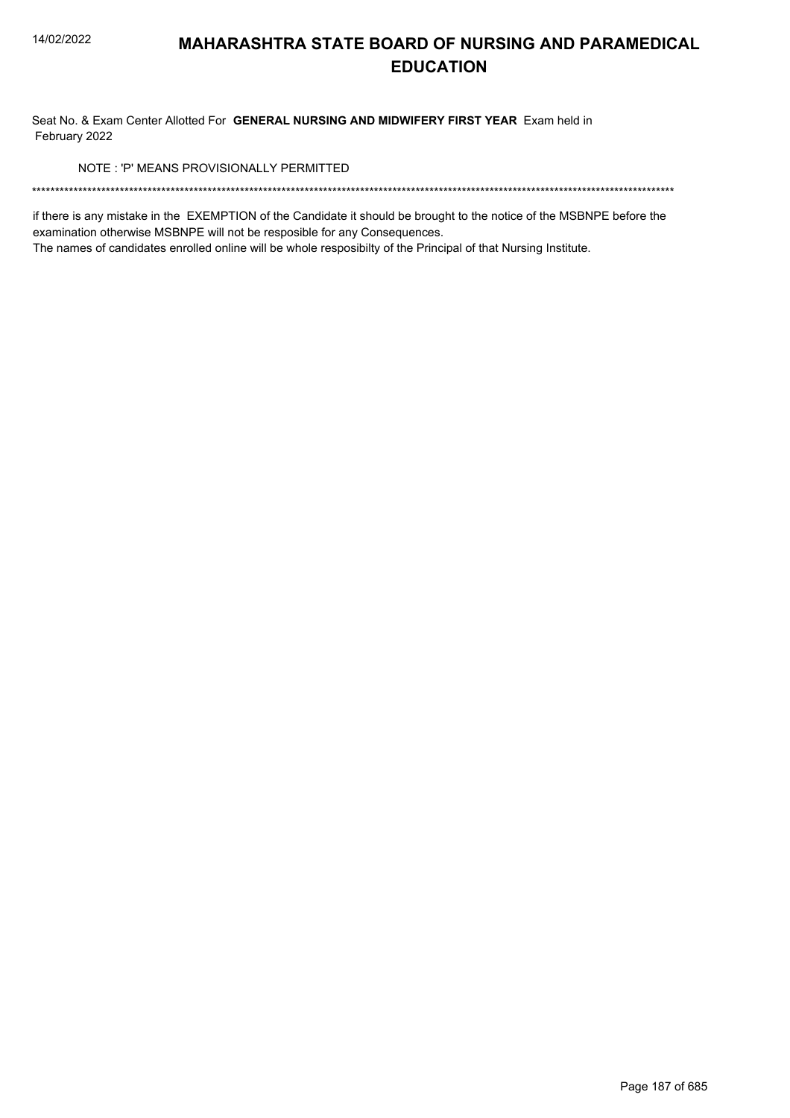Seat No. & Exam Center Allotted For GENERAL NURSING AND MIDWIFERY FIRST YEAR Exam held in February 2022

NOTE: 'P' MEANS PROVISIONALLY PERMITTED

if there is any mistake in the EXEMPTION of the Candidate it should be brought to the notice of the MSBNPE before the examination otherwise MSBNPE will not be resposible for any Consequences.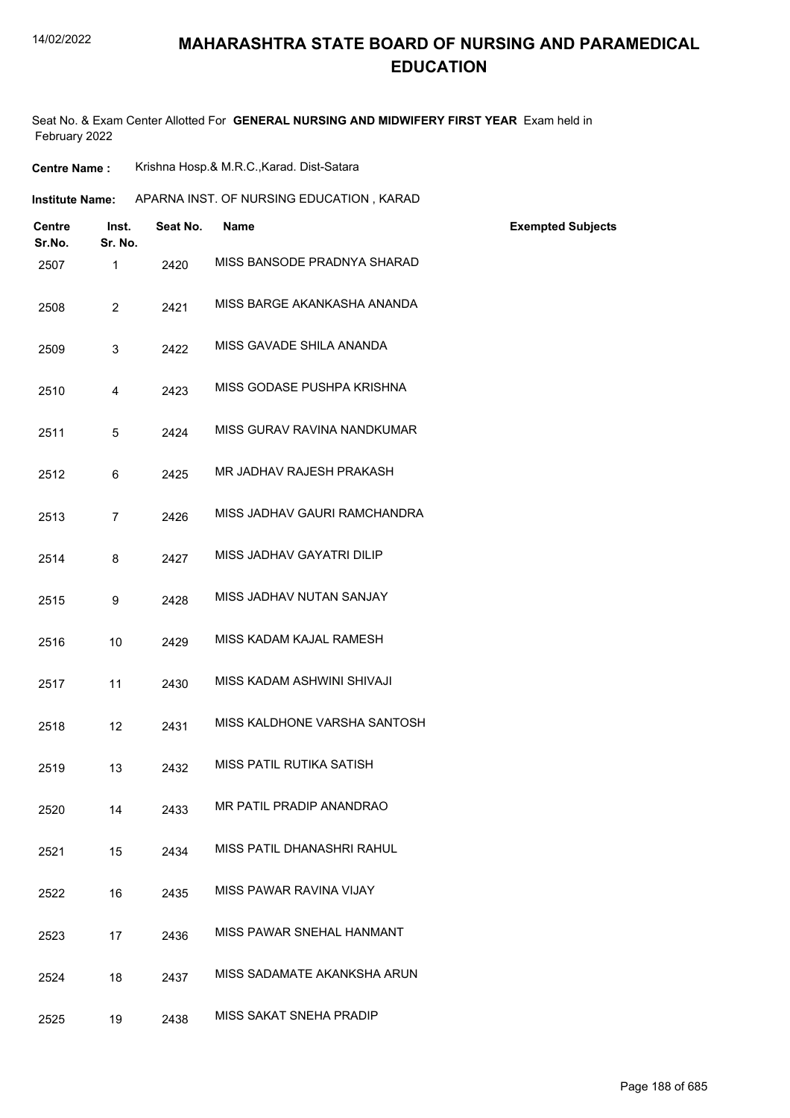## **MAHARASHTRA STATE BOARD OF NURSING AND PARAMEDICAL EDUCATION**

Seat No. & Exam Center Allotted For **GENERAL NURSING AND MIDWIFERY FIRST YEAR** Exam held in February 2022

**Centre Name :** Krishna Hosp.& M.R.C.,Karad. Dist-Satara

| <b>Institute Name:</b> |                         |                  |          | APARNA INST. OF NURSING EDUCATION, KARAD |                          |
|------------------------|-------------------------|------------------|----------|------------------------------------------|--------------------------|
|                        | <b>Centre</b><br>Sr.No. | Inst.<br>Sr. No. | Seat No. | <b>Name</b>                              | <b>Exempted Subjects</b> |
|                        | 2507                    | $\mathbf{1}$     | 2420     | MISS BANSODE PRADNYA SHARAD              |                          |
|                        | 2508                    | $\overline{2}$   | 2421     | MISS BARGE AKANKASHA ANANDA              |                          |
|                        | 2509                    | 3                | 2422     | MISS GAVADE SHILA ANANDA                 |                          |
|                        | 2510                    | $\overline{4}$   | 2423     | MISS GODASE PUSHPA KRISHNA               |                          |
|                        | 2511                    | 5                | 2424     | MISS GURAV RAVINA NANDKUMAR              |                          |
|                        | 2512                    | 6                | 2425     | MR JADHAV RAJESH PRAKASH                 |                          |
|                        | 2513                    | $\overline{7}$   | 2426     | MISS JADHAV GAURI RAMCHANDRA             |                          |
|                        | 2514                    | 8                | 2427     | MISS JADHAV GAYATRI DILIP                |                          |
|                        | 2515                    | 9                | 2428     | MISS JADHAV NUTAN SANJAY                 |                          |
|                        | 2516                    | 10               | 2429     | MISS KADAM KAJAL RAMESH                  |                          |
|                        | 2517                    | 11               | 2430     | MISS KADAM ASHWINI SHIVAJI               |                          |
|                        | 2518                    | 12               | 2431     | MISS KALDHONE VARSHA SANTOSH             |                          |
|                        | 2519                    | 13               | 2432     | MISS PATIL RUTIKA SATISH                 |                          |
|                        | 2520                    | 14               | 2433     | MR PATIL PRADIP ANANDRAO                 |                          |
|                        | 2521                    | 15               | 2434     | MISS PATIL DHANASHRI RAHUL               |                          |
|                        | 2522                    | 16               | 2435     | MISS PAWAR RAVINA VIJAY                  |                          |
|                        | 2523                    | 17               | 2436     | MISS PAWAR SNEHAL HANMANT                |                          |
|                        | 2524                    | 18               | 2437     | MISS SADAMATE AKANKSHA ARUN              |                          |
|                        | 2525                    | 19               | 2438     | MISS SAKAT SNEHA PRADIP                  |                          |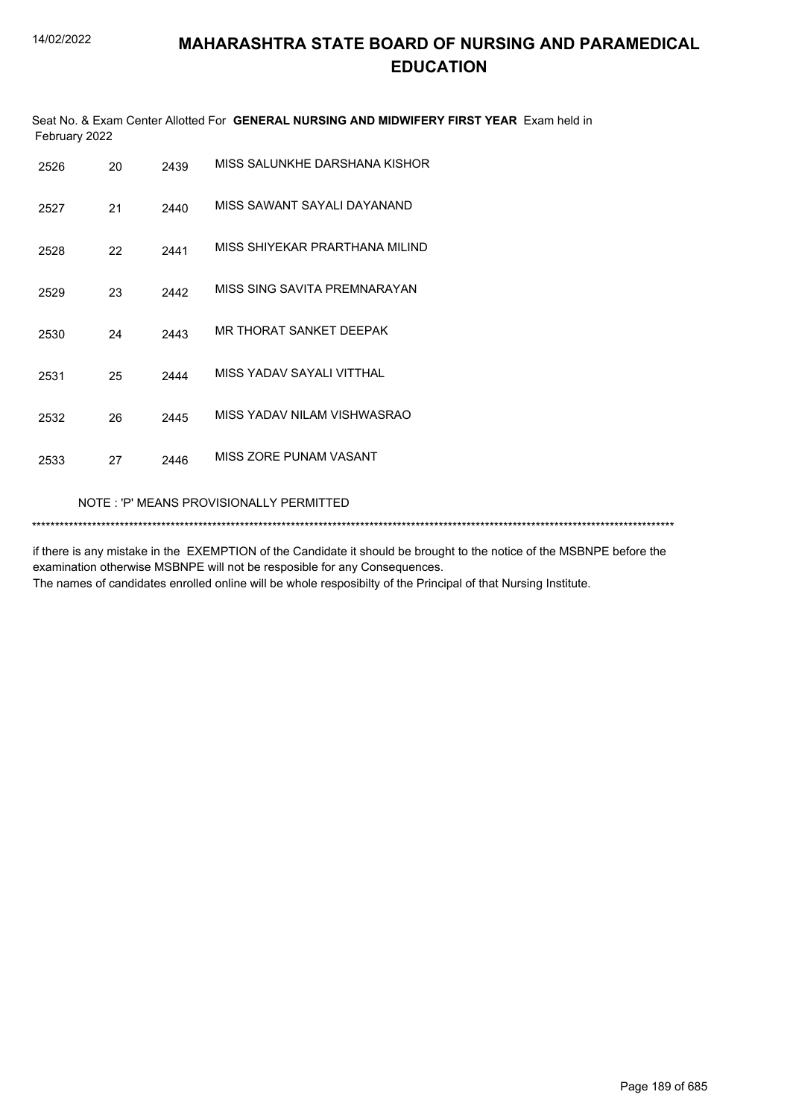Seat No. & Exam Center Allotted For **GENERAL NURSING AND MIDWIFERY FIRST YEAR** Exam held in February 2022

| 2526 | 20                                      | 2439 | MISS SALUNKHE DARSHANA KISHOR  |  |  |  |
|------|-----------------------------------------|------|--------------------------------|--|--|--|
| 2527 | 21                                      | 2440 | MISS SAWANT SAYALI DAYANAND    |  |  |  |
| 2528 | 22                                      | 2441 | MISS SHIYEKAR PRARTHANA MILIND |  |  |  |
| 2529 | 23                                      | 2442 | MISS SING SAVITA PREMNARAYAN   |  |  |  |
| 2530 | 24                                      | 2443 | MR THORAT SANKET DEEPAK        |  |  |  |
| 2531 | 25                                      | 2444 | MISS YADAV SAYALI VITTHAL      |  |  |  |
| 2532 | 26                                      | 2445 | MISS YADAV NILAM VISHWASRAO    |  |  |  |
| 2533 | 27                                      | 2446 | MISS ZORE PUNAM VASANT         |  |  |  |
|      | NOTE: 'P' MEANS PROVISIONALLY PERMITTED |      |                                |  |  |  |

\*\*\*\*\*\*\*\*\*\*\*\*\*\*\*\*\*\*\*\*\*\*\*\*\*\*\*\*\*\*\*\*\*\*\*\*\*\*\*\*\*\*\*\*\*\*\*\*\*\*\*\*\*\*\*\*\*\*\*\*\*\*\*\*\*\*\*\*\*\*\*\*\*\*\*\*\*\*\*\*\*\*\*\*\*\*\*\*\*\*\*\*\*\*\*\*\*\*\*\*\*\*\*\*\*\*\*\*\*\*\*\*\*\*\*\*\*\*\*\*\*\*\*\*\*\*\*\*\*\*\*\*\*\*\*\*\*\*\*

if there is any mistake in the EXEMPTION of the Candidate it should be brought to the notice of the MSBNPE before the examination otherwise MSBNPE will not be resposible for any Consequences. The names of candidates enrolled online will be whole resposibilty of the Principal of that Nursing Institute.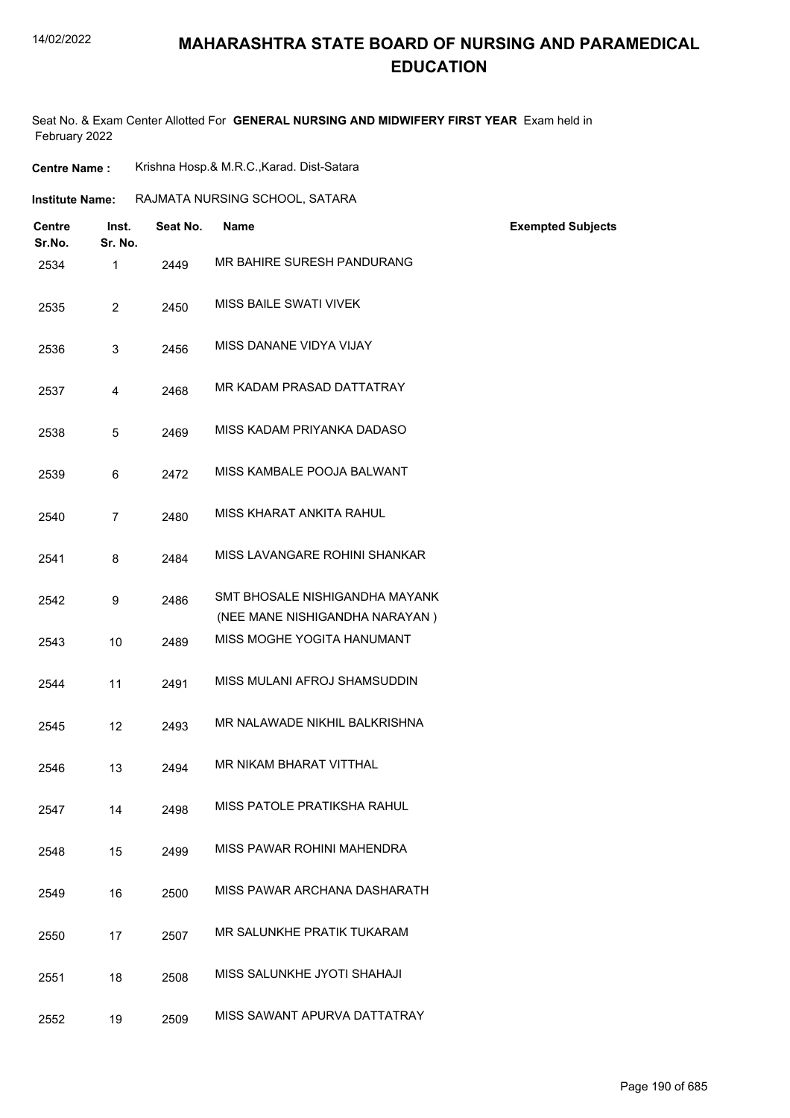### **MAHARASHTRA STATE BOARD OF NURSING AND PARAMEDICAL EDUCATION**

Seat No. & Exam Center Allotted For **GENERAL NURSING AND MIDWIFERY FIRST YEAR** Exam held in February 2022

| <b>Centre Name:</b>    |                  | Krishna Hosp.& M.R.C., Karad. Dist-Satara |                                                                  |                          |  |
|------------------------|------------------|-------------------------------------------|------------------------------------------------------------------|--------------------------|--|
| <b>Institute Name:</b> |                  | RAJMATA NURSING SCHOOL, SATARA            |                                                                  |                          |  |
| Centre<br>Sr.No.       | Inst.<br>Sr. No. | Seat No.                                  | <b>Name</b>                                                      | <b>Exempted Subjects</b> |  |
| 2534                   | 1                | 2449                                      | MR BAHIRE SURESH PANDURANG                                       |                          |  |
| 2535                   | $\overline{2}$   | 2450                                      | MISS BAILE SWATI VIVEK                                           |                          |  |
| 2536                   | 3                | 2456                                      | MISS DANANE VIDYA VIJAY                                          |                          |  |
| 2537                   | 4                | 2468                                      | MR KADAM PRASAD DATTATRAY                                        |                          |  |
| 2538                   | 5                | 2469                                      | MISS KADAM PRIYANKA DADASO                                       |                          |  |
| 2539                   | 6                | 2472                                      | MISS KAMBALE POOJA BALWANT                                       |                          |  |
| 2540                   | $\overline{7}$   | 2480                                      | MISS KHARAT ANKITA RAHUL                                         |                          |  |
| 2541                   | 8                | 2484                                      | MISS LAVANGARE ROHINI SHANKAR                                    |                          |  |
| 2542                   | 9                | 2486                                      | SMT BHOSALE NISHIGANDHA MAYANK<br>(NEE MANE NISHIGANDHA NARAYAN) |                          |  |
| 2543                   | 10               | 2489                                      | MISS MOGHE YOGITA HANUMANT                                       |                          |  |
| 2544                   | 11               | 2491                                      | MISS MULANI AFROJ SHAMSUDDIN                                     |                          |  |
| 2545                   | 12               | 2493                                      | MR NALAWADE NIKHIL BALKRISHNA                                    |                          |  |
| 2546                   | 13               | 2494                                      | MR NIKAM BHARAT VITTHAL                                          |                          |  |
| 2547                   | 14               | 2498                                      | MISS PATOLE PRATIKSHA RAHUL                                      |                          |  |
| 2548                   | 15               | 2499                                      | MISS PAWAR ROHINI MAHENDRA                                       |                          |  |
| 2549                   | 16               | 2500                                      | MISS PAWAR ARCHANA DASHARATH                                     |                          |  |
| 2550                   | 17               | 2507                                      | MR SALUNKHE PRATIK TUKARAM                                       |                          |  |
| 2551                   | 18               | 2508                                      | MISS SALUNKHE JYOTI SHAHAJI                                      |                          |  |
| 2552                   | 19               | 2509                                      | MISS SAWANT APURVA DATTATRAY                                     |                          |  |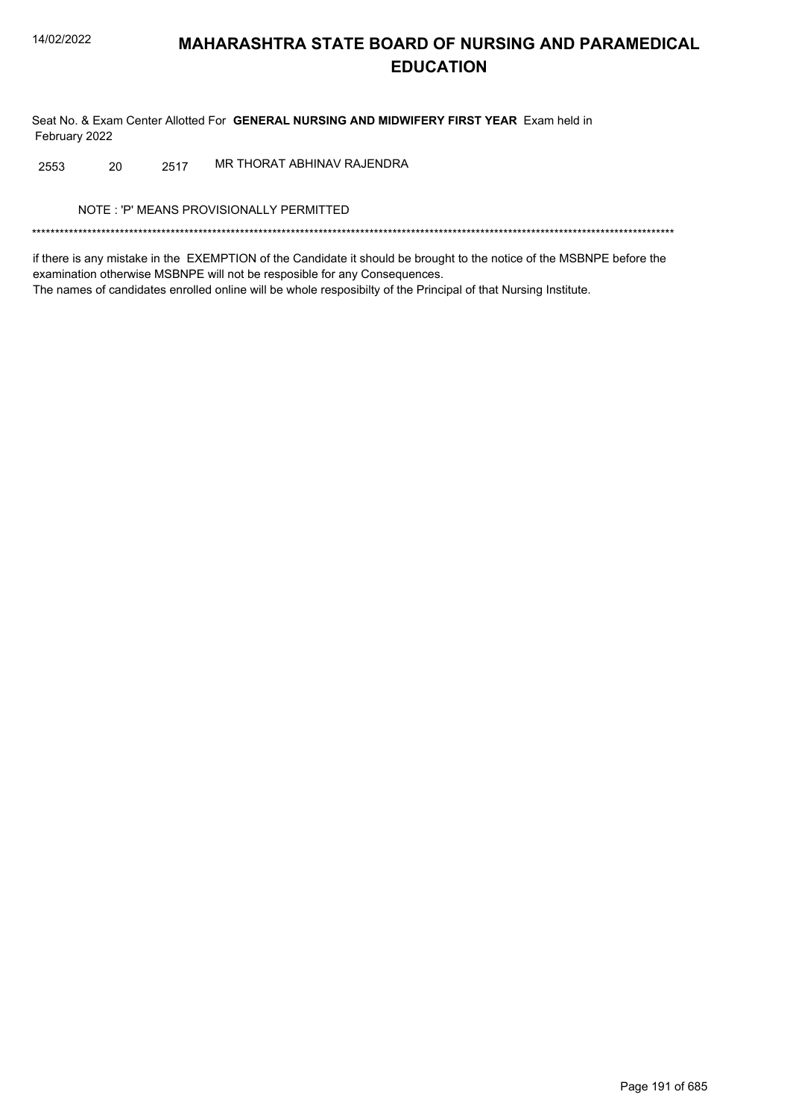Seat No. & Exam Center Allotted For GENERAL NURSING AND MIDWIFERY FIRST YEAR Exam held in February 2022

MR THORAT ABHINAV RAJENDRA 2553 20 2517

NOTE: 'P' MEANS PROVISIONALLY PERMITTED

if there is any mistake in the EXEMPTION of the Candidate it should be brought to the notice of the MSBNPE before the examination otherwise MSBNPE will not be resposible for any Consequences. The names of candidates enrolled online will be whole resposibilty of the Principal of that Nursing Institute.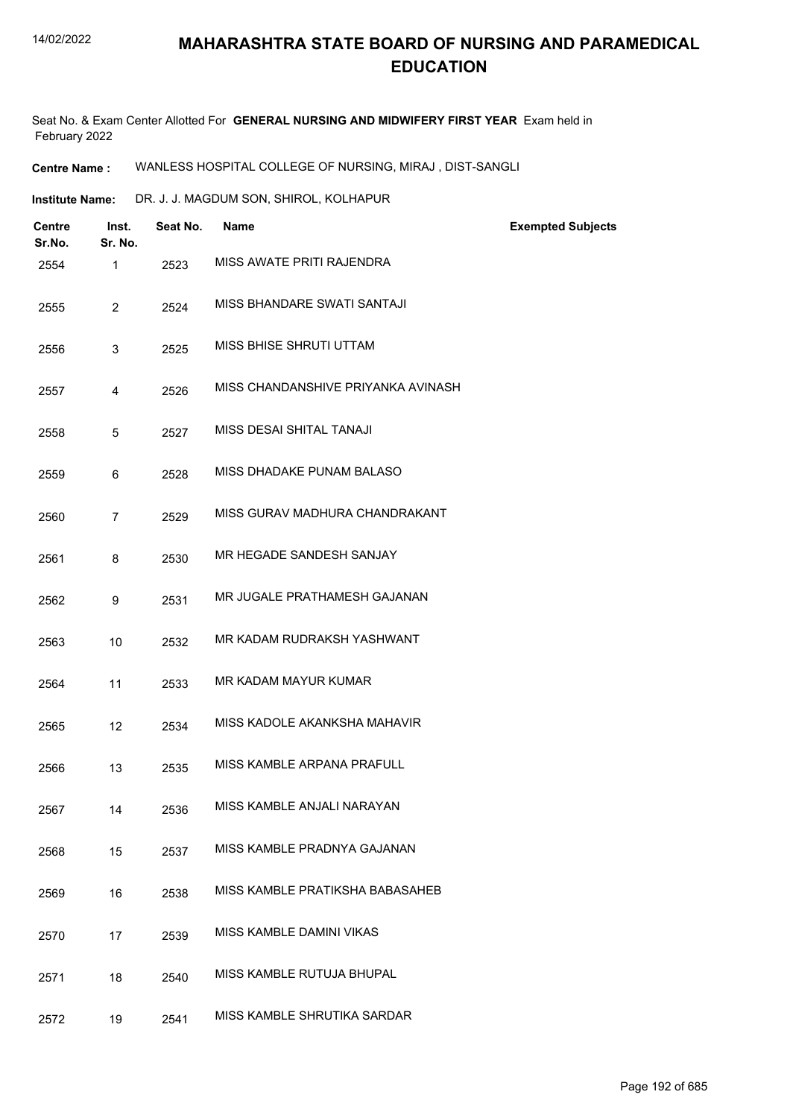Seat No. & Exam Center Allotted For **GENERAL NURSING AND MIDWIFERY FIRST YEAR** Exam held in February 2022

**Centre Name :** WANLESS HOSPITAL COLLEGE OF NURSING, MIRAJ , DIST-SANGLI

**Institute Name:** DR. J. J. MAGDUM SON, SHIROL, KOLHAPUR

| <b>Centre</b><br>Sr.No. | Inst.<br>Sr. No. | Seat No. | <b>Name</b>                        | <b>Exempted Subjects</b> |
|-------------------------|------------------|----------|------------------------------------|--------------------------|
| 2554                    | $\mathbf{1}$     | 2523     | MISS AWATE PRITI RAJENDRA          |                          |
| 2555                    | $\overline{2}$   | 2524     | MISS BHANDARE SWATI SANTAJI        |                          |
| 2556                    | 3                | 2525     | MISS BHISE SHRUTI UTTAM            |                          |
| 2557                    | $\overline{4}$   | 2526     | MISS CHANDANSHIVE PRIYANKA AVINASH |                          |
| 2558                    | 5                | 2527     | MISS DESAI SHITAL TANAJI           |                          |
| 2559                    | 6                | 2528     | MISS DHADAKE PUNAM BALASO          |                          |
| 2560                    | $\overline{7}$   | 2529     | MISS GURAV MADHURA CHANDRAKANT     |                          |
| 2561                    | 8                | 2530     | MR HEGADE SANDESH SANJAY           |                          |
| 2562                    | 9                | 2531     | MR JUGALE PRATHAMESH GAJANAN       |                          |
| 2563                    | 10               | 2532     | MR KADAM RUDRAKSH YASHWANT         |                          |
| 2564                    | 11               | 2533     | MR KADAM MAYUR KUMAR               |                          |
| 2565                    | 12               | 2534     | MISS KADOLE AKANKSHA MAHAVIR       |                          |
| 2566                    | 13               | 2535     | MISS KAMBLE ARPANA PRAFULL         |                          |
| 2567                    | 14               | 2536     | MISS KAMBLE ANJALI NARAYAN         |                          |
| 2568                    | 15               | 2537     | MISS KAMBLE PRADNYA GAJANAN        |                          |
| 2569                    | 16               | 2538     | MISS KAMBLE PRATIKSHA BABASAHEB    |                          |
| 2570                    | 17               | 2539     | MISS KAMBLE DAMINI VIKAS           |                          |
| 2571                    | 18               | 2540     | MISS KAMBLE RUTUJA BHUPAL          |                          |
| 2572                    | 19               | 2541     | MISS KAMBLE SHRUTIKA SARDAR        |                          |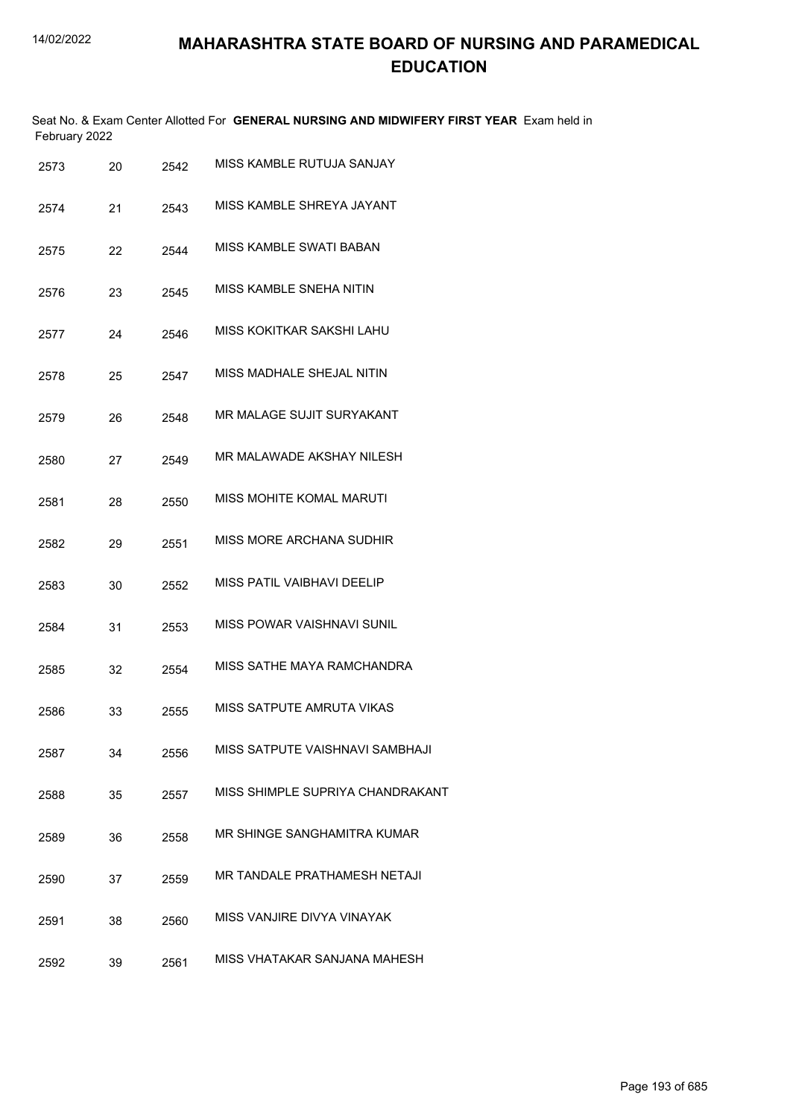Seat No. & Exam Center Allotted For **GENERAL NURSING AND MIDWIFERY FIRST YEAR** Exam held in February 2022

| 2573 | 20 | 2542 | MISS KAMBLE RUTUJA SANJAY         |
|------|----|------|-----------------------------------|
| 2574 | 21 | 2543 | MISS KAMBLE SHREYA JAYANT         |
| 2575 | 22 | 2544 | <b>MISS KAMBLE SWATI BABAN</b>    |
| 2576 | 23 | 2545 | MISS KAMBLE SNEHA NITIN           |
| 2577 | 24 | 2546 | MISS KOKITKAR SAKSHI LAHU         |
| 2578 | 25 | 2547 | MISS MADHALE SHEJAL NITIN         |
| 2579 | 26 | 2548 | MR MALAGE SUJIT SURYAKANT         |
| 2580 | 27 | 2549 | MR MAI AWADE AKSHAY NII ESH       |
| 2581 | 28 | 2550 | <b>MISS MOHITE KOMAL MARUTI</b>   |
| 2582 | 29 | 2551 | MISS MORE ARCHANA SUDHIR          |
| 2583 | 30 | 2552 | MISS PATIL VAIBHAVI DEELIP        |
| 2584 | 31 | 2553 | <b>MISS POWAR VAISHNAVI SUNIL</b> |
| 2585 | 32 | 2554 | MISS SATHE MAYA RAMCHANDRA        |
| 2586 | 33 | 2555 | MISS SATPUTE AMRUTA VIKAS         |
| 2587 | 34 | 2556 | MISS SATPUTE VAISHNAVI SAMBHAJI   |
| 2588 | 35 | 2557 | MISS SHIMPLE SUPRIYA CHANDRAKANT  |
| 2589 | 36 | 2558 | MR SHINGE SANGHAMITRA KUMAR       |
| 2590 | 37 | 2559 | MR TANDALE PRATHAMESH NETAJI      |
| 2591 | 38 | 2560 | MISS VANJIRE DIVYA VINAYAK        |
| 2592 | 39 | 2561 | MISS VHATAKAR SANJANA MAHESH      |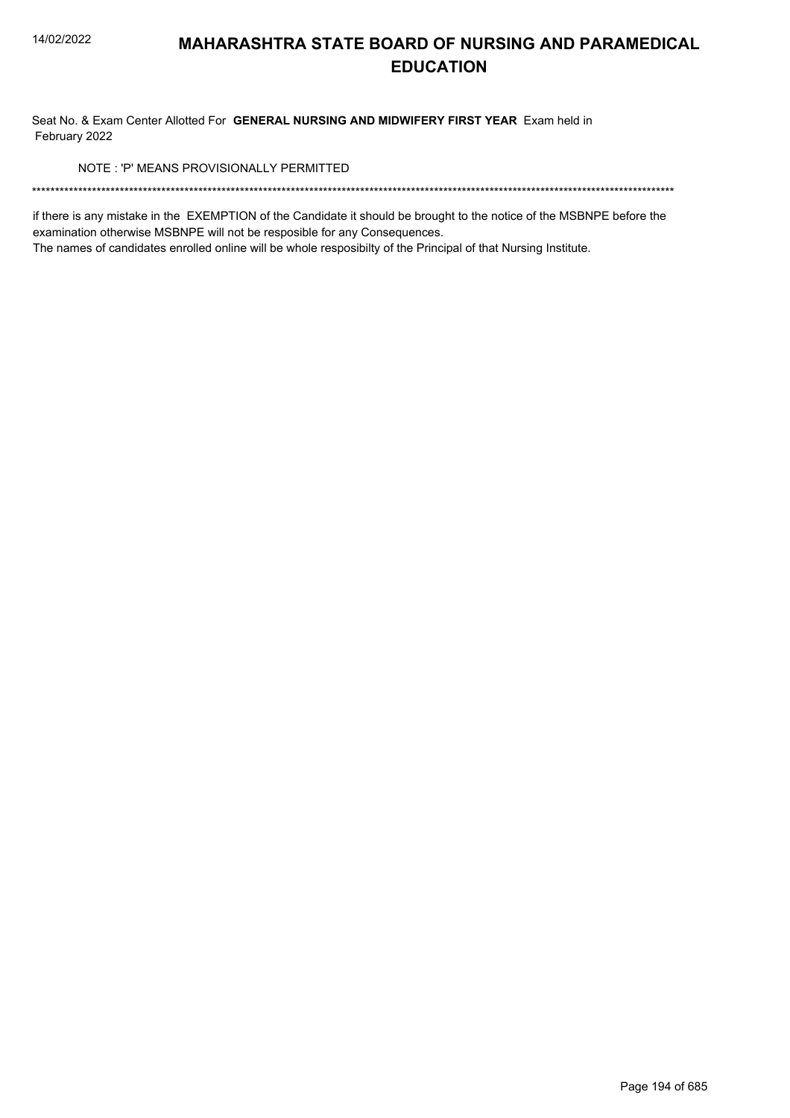Seat No. & Exam Center Allotted For GENERAL NURSING AND MIDWIFERY FIRST YEAR Exam held in February 2022

NOTE: 'P' MEANS PROVISIONALLY PERMITTED

if there is any mistake in the EXEMPTION of the Candidate it should be brought to the notice of the MSBNPE before the examination otherwise MSBNPE will not be resposible for any Consequences.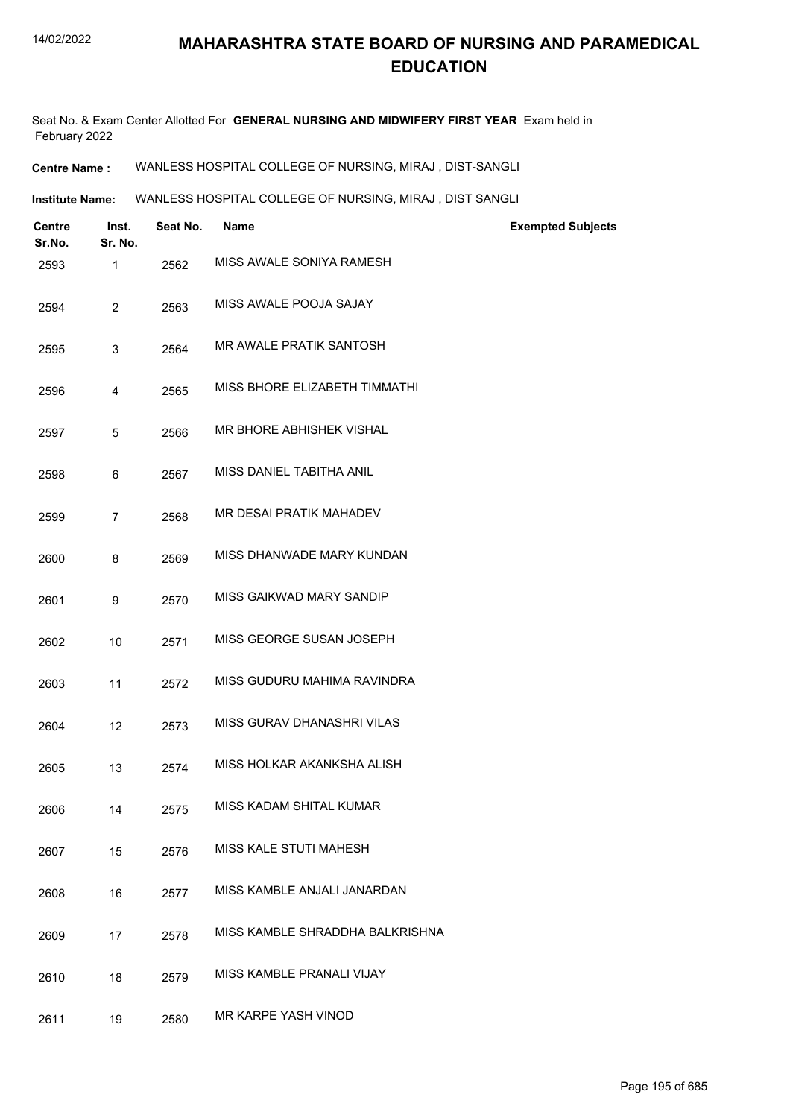Seat No. & Exam Center Allotted For **GENERAL NURSING AND MIDWIFERY FIRST YEAR** Exam held in February 2022

**Centre Name :** WANLESS HOSPITAL COLLEGE OF NURSING, MIRAJ , DIST-SANGLI

**Institute Name:** WANLESS HOSPITAL COLLEGE OF NURSING, MIRAJ , DIST SANGLI

| <b>Centre</b><br>Sr.No. | Inst.<br>Sr. No. | Seat No. | <b>Name</b>                     | <b>Exempted Subjects</b> |
|-------------------------|------------------|----------|---------------------------------|--------------------------|
| 2593                    | 1                | 2562     | MISS AWALE SONIYA RAMESH        |                          |
| 2594                    | $\overline{2}$   | 2563     | MISS AWALE POOJA SAJAY          |                          |
| 2595                    | 3                | 2564     | MR AWALE PRATIK SANTOSH         |                          |
| 2596                    | 4                | 2565     | MISS BHORE ELIZABETH TIMMATHI   |                          |
| 2597                    | $\sqrt{5}$       | 2566     | MR BHORE ABHISHEK VISHAL        |                          |
| 2598                    | 6                | 2567     | MISS DANIEL TABITHA ANIL        |                          |
| 2599                    | $\overline{7}$   | 2568     | MR DESAI PRATIK MAHADEV         |                          |
| 2600                    | 8                | 2569     | MISS DHANWADE MARY KUNDAN       |                          |
| 2601                    | 9                | 2570     | MISS GAIKWAD MARY SANDIP        |                          |
| 2602                    | 10               | 2571     | MISS GEORGE SUSAN JOSEPH        |                          |
| 2603                    | 11               | 2572     | MISS GUDURU MAHIMA RAVINDRA     |                          |
| 2604                    | 12               | 2573     | MISS GURAV DHANASHRI VILAS      |                          |
| 2605                    | 13               | 2574     | MISS HOLKAR AKANKSHA ALISH      |                          |
| 2606                    | 14               | 2575     | MISS KADAM SHITAL KUMAR         |                          |
| 2607                    | 15               | 2576     | MISS KALE STUTI MAHESH          |                          |
| 2608                    | 16               | 2577     | MISS KAMBLE ANJALI JANARDAN     |                          |
| 2609                    | 17               | 2578     | MISS KAMBLE SHRADDHA BALKRISHNA |                          |
| 2610                    | 18               | 2579     | MISS KAMBLE PRANALI VIJAY       |                          |
| 2611                    | 19               | 2580     | MR KARPE YASH VINOD             |                          |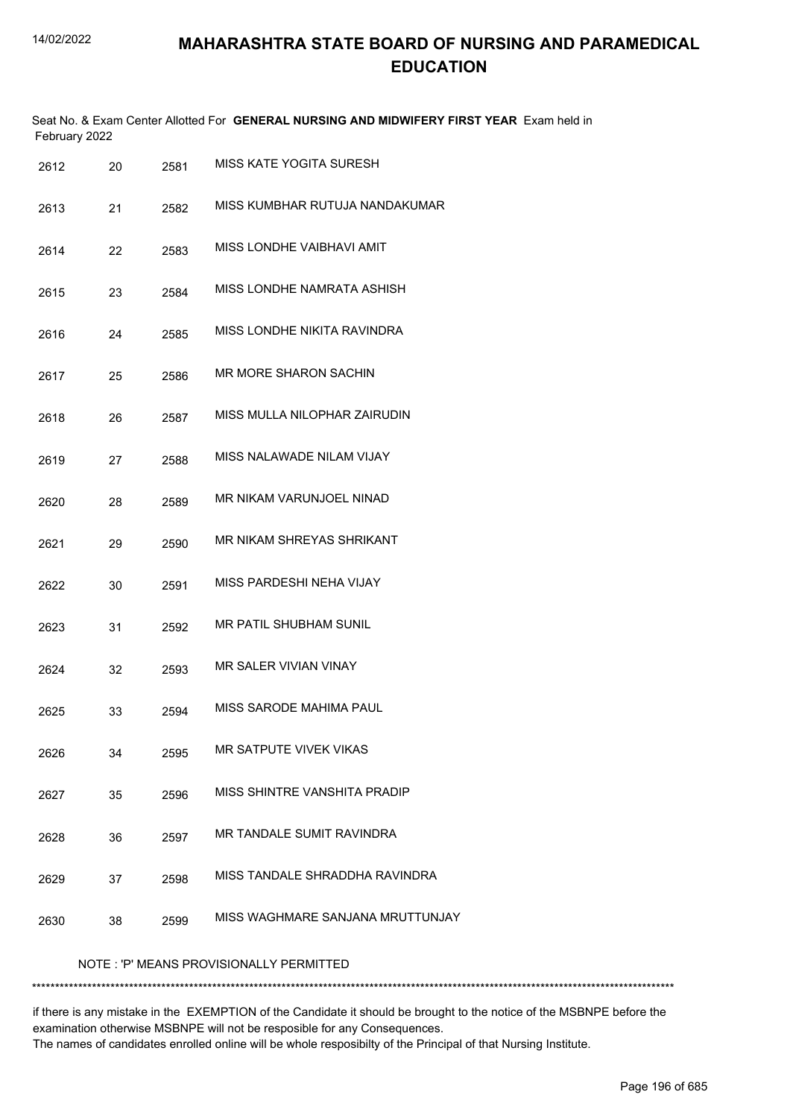|      | February 2022                            |      | Seat No. & Exam Center Allotted For GENERAL NURSING AND MIDWIFERY FIRST YEAR Exam held in |  |  |  |
|------|------------------------------------------|------|-------------------------------------------------------------------------------------------|--|--|--|
| 2612 | 20                                       | 2581 | MISS KATE YOGITA SURESH                                                                   |  |  |  |
| 2613 | 21                                       | 2582 | MISS KUMBHAR RUTUJA NANDAKUMAR                                                            |  |  |  |
| 2614 | 22                                       | 2583 | MISS LONDHE VAIBHAVI AMIT                                                                 |  |  |  |
| 2615 | 23                                       | 2584 | MISS LONDHE NAMRATA ASHISH                                                                |  |  |  |
| 2616 | 24                                       | 2585 | MISS LONDHE NIKITA RAVINDRA                                                               |  |  |  |
| 2617 | 25                                       | 2586 | <b>MR MORE SHARON SACHIN</b>                                                              |  |  |  |
| 2618 | 26                                       | 2587 | MISS MULLA NILOPHAR ZAIRUDIN                                                              |  |  |  |
| 2619 | 27                                       | 2588 | MISS NALAWADE NILAM VIJAY                                                                 |  |  |  |
| 2620 | 28                                       | 2589 | MR NIKAM VARUNJOEL NINAD                                                                  |  |  |  |
| 2621 | 29                                       | 2590 | MR NIKAM SHREYAS SHRIKANT                                                                 |  |  |  |
| 2622 | 30                                       | 2591 | MISS PARDESHI NEHA VIJAY                                                                  |  |  |  |
| 2623 | 31                                       | 2592 | MR PATIL SHUBHAM SUNIL                                                                    |  |  |  |
| 2624 | 32                                       | 2593 | <b>MR SALER VIVIAN VINAY</b>                                                              |  |  |  |
| 2625 | 33                                       | 2594 | MISS SARODE MAHIMA PAUL                                                                   |  |  |  |
| 2626 | 34                                       | 2595 | MR SATPUTE VIVEK VIKAS                                                                    |  |  |  |
| 2627 | 35                                       | 2596 | MISS SHINTRE VANSHITA PRADIP                                                              |  |  |  |
| 2628 | 36                                       | 2597 | MR TANDALE SUMIT RAVINDRA                                                                 |  |  |  |
| 2629 | 37                                       | 2598 | MISS TANDALE SHRADDHA RAVINDRA                                                            |  |  |  |
| 2630 | 38                                       | 2599 | MISS WAGHMARE SANJANA MRUTTUNJAY                                                          |  |  |  |
|      | NOTE : 'P' MEANS PROVISIONALLY PERMITTED |      |                                                                                           |  |  |  |

#### \*\*\*\*\*\*\*\*\*\*\*\*\*\*\*\*\*\*\*\*\*\*\*\*\*\*\*\*\*\*\*\*\*\*\*\*\*\*\*\*\*\*\*\*\*\*\*\*\*\*\*\*\*\*\*\*\*\*\*\*\*\*\*\*\*\*\*\*\*\*\*\*\*\*\*\*\*\*\*\*\*\*\*\*\*\*\*\*\*\*\*\*\*\*\*\*\*\*\*\*\*\*\*\*\*\*\*\*\*\*\*\*\*\*\*\*\*\*\*\*\*\*\*\*\*\*\*\*\*\*\*\*\*\*\*\*\*\*\*

if there is any mistake in the EXEMPTION of the Candidate it should be brought to the notice of the MSBNPE before the examination otherwise MSBNPE will not be resposible for any Consequences. The names of candidates enrolled online will be whole resposibilty of the Principal of that Nursing Institute.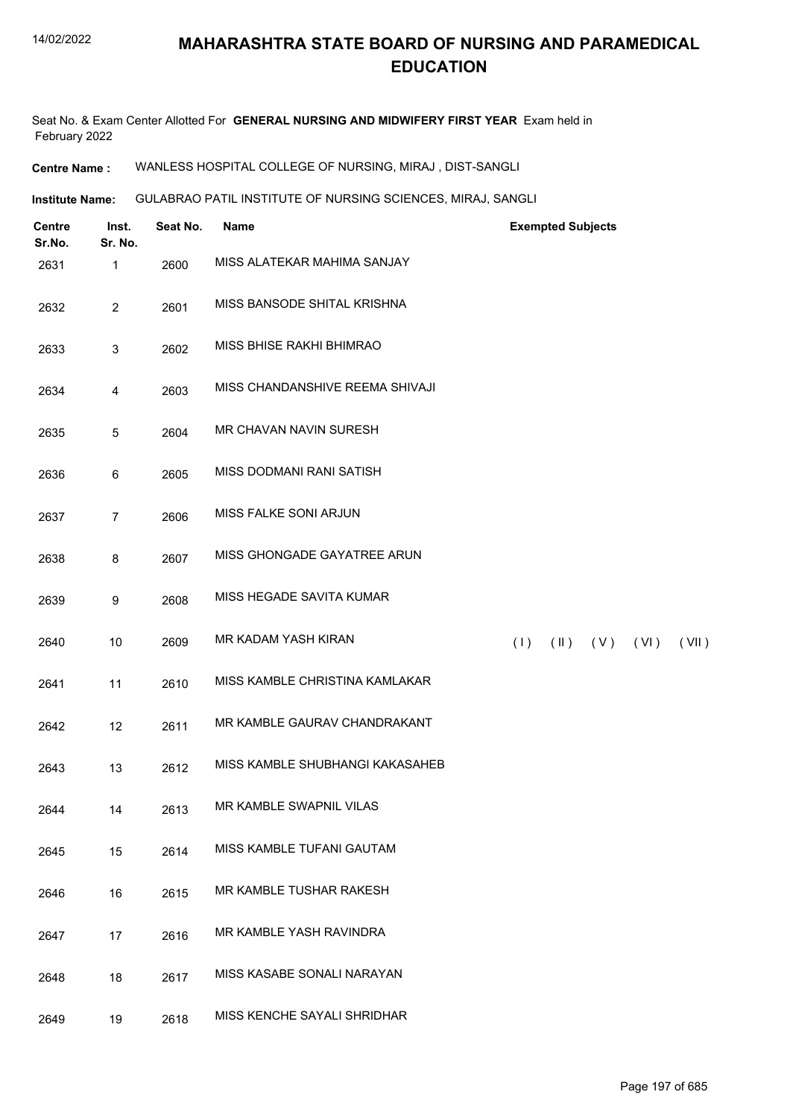Seat No. & Exam Center Allotted For **GENERAL NURSING AND MIDWIFERY FIRST YEAR** Exam held in February 2022

**Centre Name :** WANLESS HOSPITAL COLLEGE OF NURSING, MIRAJ , DIST-SANGLI

**Institute Name:** GULABRAO PATIL INSTITUTE OF NURSING SCIENCES, MIRAJ, SANGLI

| <b>Centre</b><br>Sr.No. | Inst.<br>Sr. No. | Seat No. | <b>Name</b>                     | <b>Exempted Subjects</b>                     |
|-------------------------|------------------|----------|---------------------------------|----------------------------------------------|
| 2631                    | 1                | 2600     | MISS ALATEKAR MAHIMA SANJAY     |                                              |
| 2632                    | $\overline{2}$   | 2601     | MISS BANSODE SHITAL KRISHNA     |                                              |
| 2633                    | 3                | 2602     | MISS BHISE RAKHI BHIMRAO        |                                              |
| 2634                    | 4                | 2603     | MISS CHANDANSHIVE REEMA SHIVAJI |                                              |
| 2635                    | $\sqrt{5}$       | 2604     | MR CHAVAN NAVIN SURESH          |                                              |
| 2636                    | 6                | 2605     | MISS DODMANI RANI SATISH        |                                              |
| 2637                    | $\overline{7}$   | 2606     | MISS FALKE SONI ARJUN           |                                              |
| 2638                    | 8                | 2607     | MISS GHONGADE GAYATREE ARUN     |                                              |
| 2639                    | $\boldsymbol{9}$ | 2608     | MISS HEGADE SAVITA KUMAR        |                                              |
| 2640                    | 10               | 2609     | MR KADAM YASH KIRAN             | $(\parallel)$<br>(1)<br>(V)<br>(VI)<br>(VII) |
| 2641                    | 11               | 2610     | MISS KAMBLE CHRISTINA KAMLAKAR  |                                              |
| 2642                    | 12               | 2611     | MR KAMBLE GAURAV CHANDRAKANT    |                                              |
| 2643                    | 13               | 2612     | MISS KAMBLE SHUBHANGI KAKASAHEB |                                              |
| 2644                    | 14               | 2613     | MR KAMBLE SWAPNIL VILAS         |                                              |
| 2645                    | 15               | 2614     | MISS KAMBLE TUFANI GAUTAM       |                                              |
| 2646                    | 16               | 2615     | MR KAMBLE TUSHAR RAKESH         |                                              |
| 2647                    | 17               | 2616     | MR KAMBLE YASH RAVINDRA         |                                              |
| 2648                    | 18               | 2617     | MISS KASABE SONALI NARAYAN      |                                              |
| 2649                    | 19               | 2618     | MISS KENCHE SAYALI SHRIDHAR     |                                              |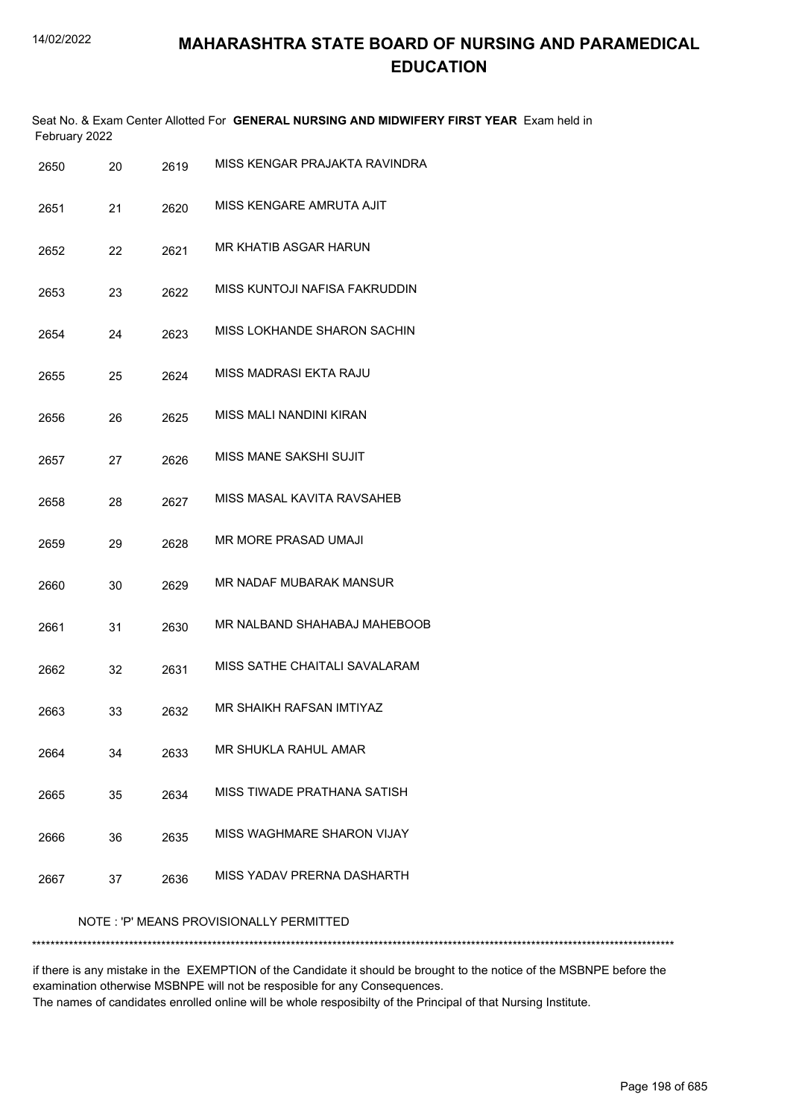|               |     |      | Seat No. & Exam Center Allotted For GENERAL NURSING AND MIDWIFERY FIRST YEAR Exam held in |  |  |  |  |
|---------------|-----|------|-------------------------------------------------------------------------------------------|--|--|--|--|
| February 2022 |     |      |                                                                                           |  |  |  |  |
| 2650          | 20. | 2619 | MISS KENGAR PRAJAKTA RAVINDRA                                                             |  |  |  |  |

| ∠∪∪  | ZV | 20 I J |                                         |
|------|----|--------|-----------------------------------------|
| 2651 | 21 | 2620   | MISS KENGARE AMRUTA AJIT                |
| 2652 | 22 | 2621   | MR KHATIB ASGAR HARUN                   |
| 2653 | 23 | 2622   | MISS KUNTOJI NAFISA FAKRUDDIN           |
| 2654 | 24 | 2623   | MISS LOKHANDE SHARON SACHIN             |
| 2655 | 25 | 2624   | MISS MADRASI EKTA RAJU                  |
| 2656 | 26 | 2625   | MISS MALI NANDINI KIRAN                 |
| 2657 | 27 | 2626   | MISS MANE SAKSHI SUJIT                  |
| 2658 | 28 | 2627   | MISS MASAL KAVITA RAVSAHEB              |
| 2659 | 29 | 2628   | MR MORE PRASAD UMAJI                    |
| 2660 | 30 | 2629   | MR NADAF MUBARAK MANSUR                 |
| 2661 | 31 | 2630   | MR NALBAND SHAHABAJ MAHEBOOB            |
| 2662 | 32 | 2631   | MISS SATHE CHAITALI SAVALARAM           |
| 2663 | 33 | 2632   | MR SHAIKH RAFSAN IMTIYAZ                |
| 2664 | 34 | 2633   | MR SHUKLA RAHUL AMAR                    |
| 2665 | 35 | 2634   | MISS TIWADE PRATHANA SATISH             |
| 2666 | 36 | 2635   | MISS WAGHMARE SHARON VIJAY              |
| 2667 | 37 | 2636   | MISS YADAV PRERNA DASHARTH              |
|      |    |        | NOTE: 'P' MEANS PROVISIONALLY PERMITTED |

\*\*\*\*\*\*\*\*\*\*\*\*\*\*\*\*\*\*\*\*\*\*\*\*\*\*\*\*\*\*\*\*\*\*\*\*\*\*\*\*\*\*\*\*\*\*\*\*\*\*\*\*\*\*\*\*\*\*\*\*\*\*\*\*\*\*\*\*\*\*\*\*\*\*\*\*\*\*\*\*\*\*\*\*\*\*\*\*\*\*\*\*\*\*\*\*\*\*\*\*\*\*\*\*\*\*\*\*\*\*\*\*\*\*\*\*\*\*\*\*\*\*\*\*\*\*\*\*\*\*\*\*\*\*\*\*\*\*\*

if there is any mistake in the EXEMPTION of the Candidate it should be brought to the notice of the MSBNPE before the examination otherwise MSBNPE will not be resposible for any Consequences. The names of candidates enrolled online will be whole resposibilty of the Principal of that Nursing Institute.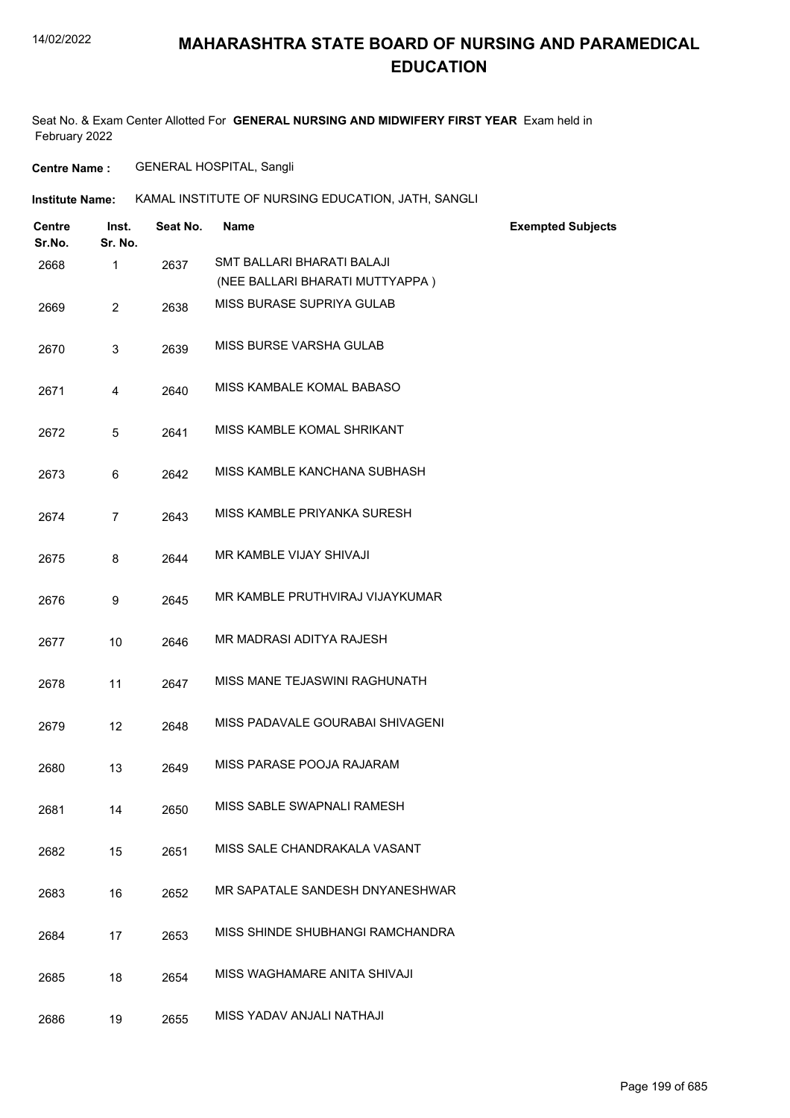### **MAHARASHTRA STATE BOARD OF NURSING AND PARAMEDICAL EDUCATION**

Seat No. & Exam Center Allotted For **GENERAL NURSING AND MIDWIFERY FIRST YEAR** Exam held in February 2022

**Centre Name :** GENERAL HOSPITAL, Sangli

| <b>Institute Name:</b> | KAMAL INSTITUTE OF NURSING EDUCATION, JATH, SANGLI |
|------------------------|----------------------------------------------------|
|------------------------|----------------------------------------------------|

| Centre<br>Sr.No. | Inst.<br>Sr. No. | Seat No. | <b>Name</b>                      | <b>Exempted Subjects</b> |
|------------------|------------------|----------|----------------------------------|--------------------------|
| 2668             | $\mathbf{1}$     | 2637     | SMT BALLARI BHARATI BALAJI       |                          |
|                  |                  |          | (NEE BALLARI BHARATI MUTTYAPPA)  |                          |
| 2669             | $\overline{2}$   | 2638     | MISS BURASE SUPRIYA GULAB        |                          |
| 2670             | 3                | 2639     | MISS BURSE VARSHA GULAB          |                          |
| 2671             | 4                | 2640     | MISS KAMBALE KOMAL BABASO        |                          |
| 2672             | 5                | 2641     | MISS KAMBLE KOMAL SHRIKANT       |                          |
| 2673             | 6                | 2642     | MISS KAMBLE KANCHANA SUBHASH     |                          |
| 2674             | $\overline{7}$   | 2643     | MISS KAMBLE PRIYANKA SURESH      |                          |
| 2675             | 8                | 2644     | MR KAMBLE VIJAY SHIVAJI          |                          |
| 2676             | 9                | 2645     | MR KAMBLE PRUTHVIRAJ VIJAYKUMAR  |                          |
| 2677             | 10               | 2646     | MR MADRASI ADITYA RAJESH         |                          |
| 2678             | 11               | 2647     | MISS MANE TEJASWINI RAGHUNATH    |                          |
| 2679             | 12 <sup>2</sup>  | 2648     | MISS PADAVALE GOURABAI SHIVAGENI |                          |
| 2680             | 13               | 2649     | MISS PARASE POOJA RAJARAM        |                          |
| 2681             | 14               | 2650     | MISS SABLE SWAPNALI RAMESH       |                          |
| 2682             | 15               | 2651     | MISS SALE CHANDRAKALA VASANT     |                          |
| 2683             | 16               | 2652     | MR SAPATALE SANDESH DNYANESHWAR  |                          |
| 2684             | 17               | 2653     | MISS SHINDE SHUBHANGI RAMCHANDRA |                          |
| 2685             | 18               | 2654     | MISS WAGHAMARE ANITA SHIVAJI     |                          |
| 2686             | 19               | 2655     | MISS YADAV ANJALI NATHAJI        |                          |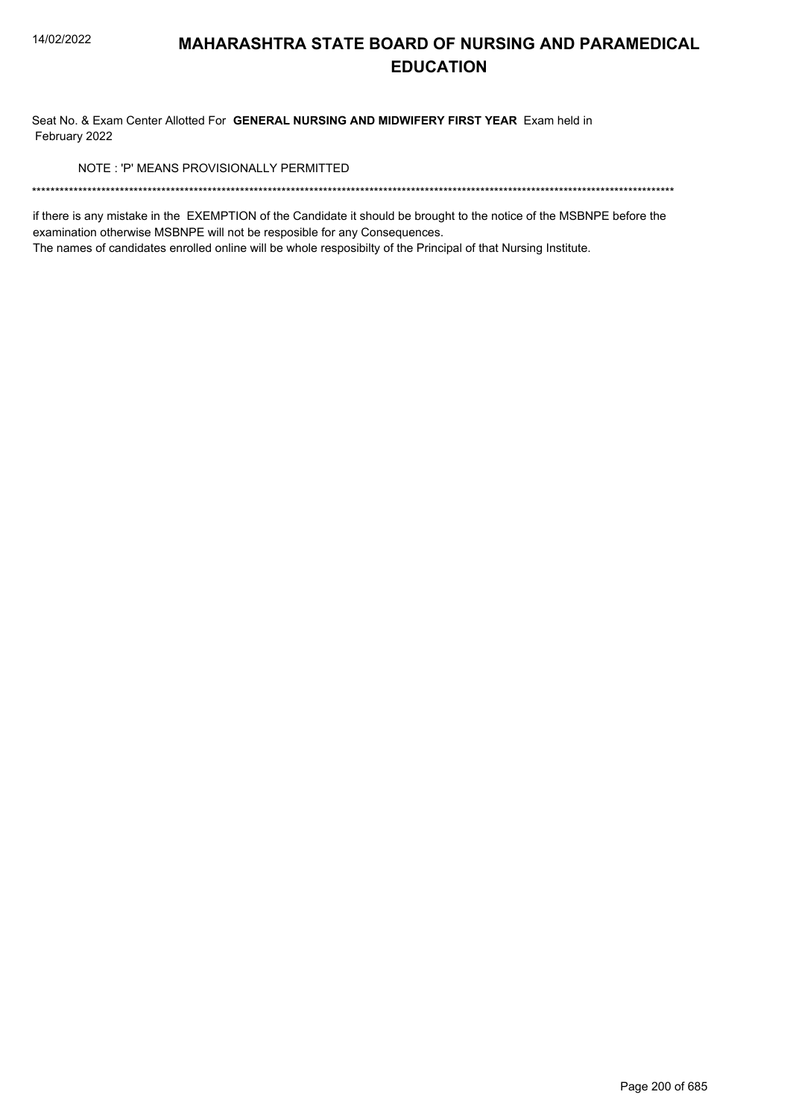Seat No. & Exam Center Allotted For GENERAL NURSING AND MIDWIFERY FIRST YEAR Exam held in February 2022

NOTE: 'P' MEANS PROVISIONALLY PERMITTED

if there is any mistake in the EXEMPTION of the Candidate it should be brought to the notice of the MSBNPE before the examination otherwise MSBNPE will not be resposible for any Consequences.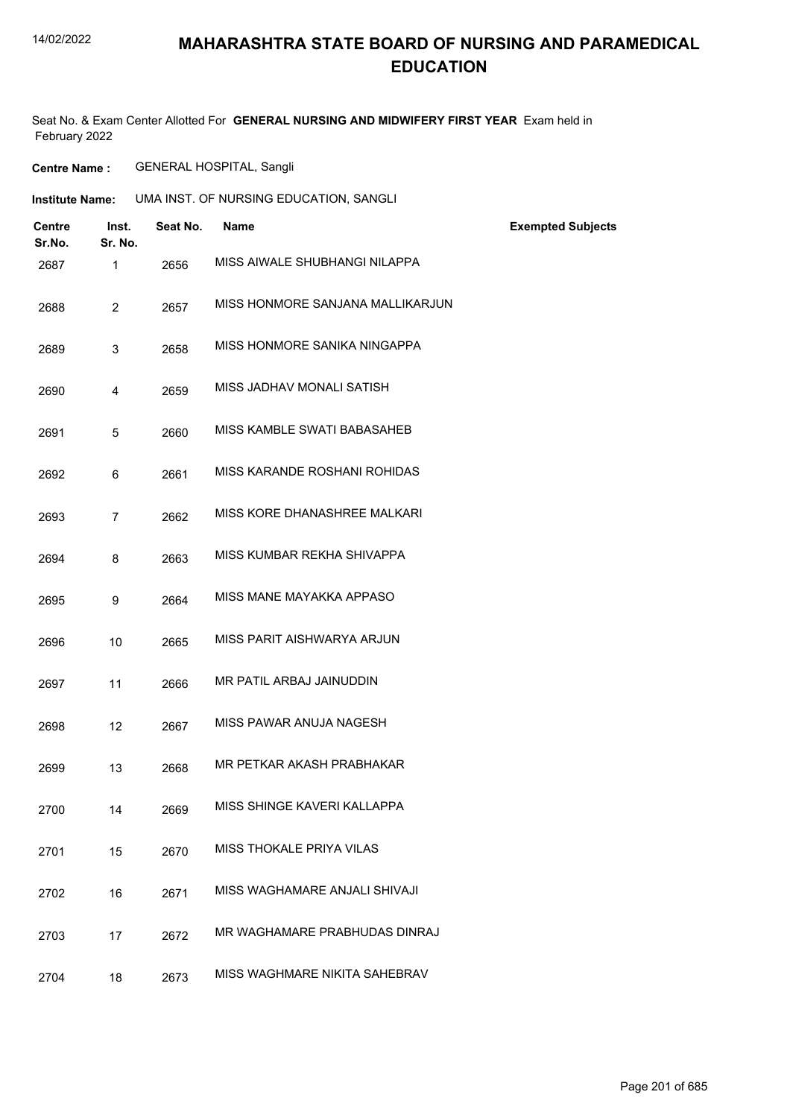### **MAHARASHTRA STATE BOARD OF NURSING AND PARAMEDICAL EDUCATION**

Seat No. & Exam Center Allotted For **GENERAL NURSING AND MIDWIFERY FIRST YEAR** Exam held in February 2022

**Centre Name :** GENERAL HOSPITAL, Sangli

| Institute Name: | UMA INST. OF NURSING EDUCATION, SANGLI |
|-----------------|----------------------------------------|
|                 |                                        |

| <b>Centre</b><br>Sr.No. | Inst.<br>Sr. No. | Seat No. | <b>Name</b>                      | <b>Exempted Subjects</b> |
|-------------------------|------------------|----------|----------------------------------|--------------------------|
| 2687                    | $\mathbf{1}$     | 2656     | MISS AIWALE SHUBHANGI NILAPPA    |                          |
| 2688                    | $\overline{2}$   | 2657     | MISS HONMORE SANJANA MALLIKARJUN |                          |
| 2689                    | 3                | 2658     | MISS HONMORE SANIKA NINGAPPA     |                          |
| 2690                    | 4                | 2659     | MISS JADHAV MONALI SATISH        |                          |
| 2691                    | 5                | 2660     | MISS KAMBLE SWATI BABASAHEB      |                          |
| 2692                    | 6                | 2661     | MISS KARANDE ROSHANI ROHIDAS     |                          |
| 2693                    | $\overline{7}$   | 2662     | MISS KORE DHANASHREE MALKARI     |                          |
| 2694                    | 8                | 2663     | MISS KUMBAR REKHA SHIVAPPA       |                          |
| 2695                    | 9                | 2664     | MISS MANE MAYAKKA APPASO         |                          |
| 2696                    | 10               | 2665     | MISS PARIT AISHWARYA ARJUN       |                          |
| 2697                    | 11               | 2666     | MR PATIL ARBAJ JAINUDDIN         |                          |
| 2698                    | 12               | 2667     | MISS PAWAR ANUJA NAGESH          |                          |
| 2699                    | 13               | 2668     | MR PETKAR AKASH PRABHAKAR        |                          |
| 2700                    | 14               | 2669     | MISS SHINGE KAVERI KALLAPPA      |                          |
| 2701                    | 15               | 2670     | MISS THOKALE PRIYA VILAS         |                          |
| 2702                    | 16               | 2671     | MISS WAGHAMARE ANJALI SHIVAJI    |                          |
| 2703                    | 17               | 2672     | MR WAGHAMARE PRABHUDAS DINRAJ    |                          |
| 2704                    | 18               | 2673     | MISS WAGHMARE NIKITA SAHEBRAV    |                          |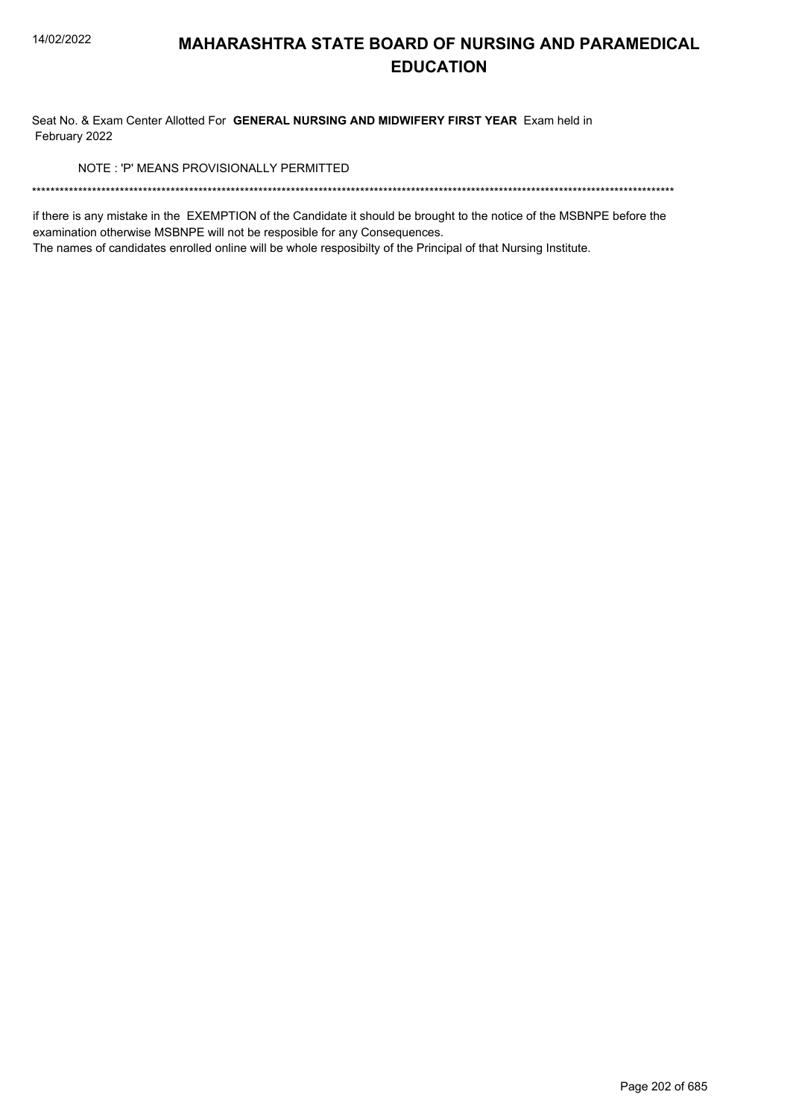Seat No. & Exam Center Allotted For GENERAL NURSING AND MIDWIFERY FIRST YEAR Exam held in February 2022

NOTE: 'P' MEANS PROVISIONALLY PERMITTED

if there is any mistake in the EXEMPTION of the Candidate it should be brought to the notice of the MSBNPE before the examination otherwise MSBNPE will not be resposible for any Consequences.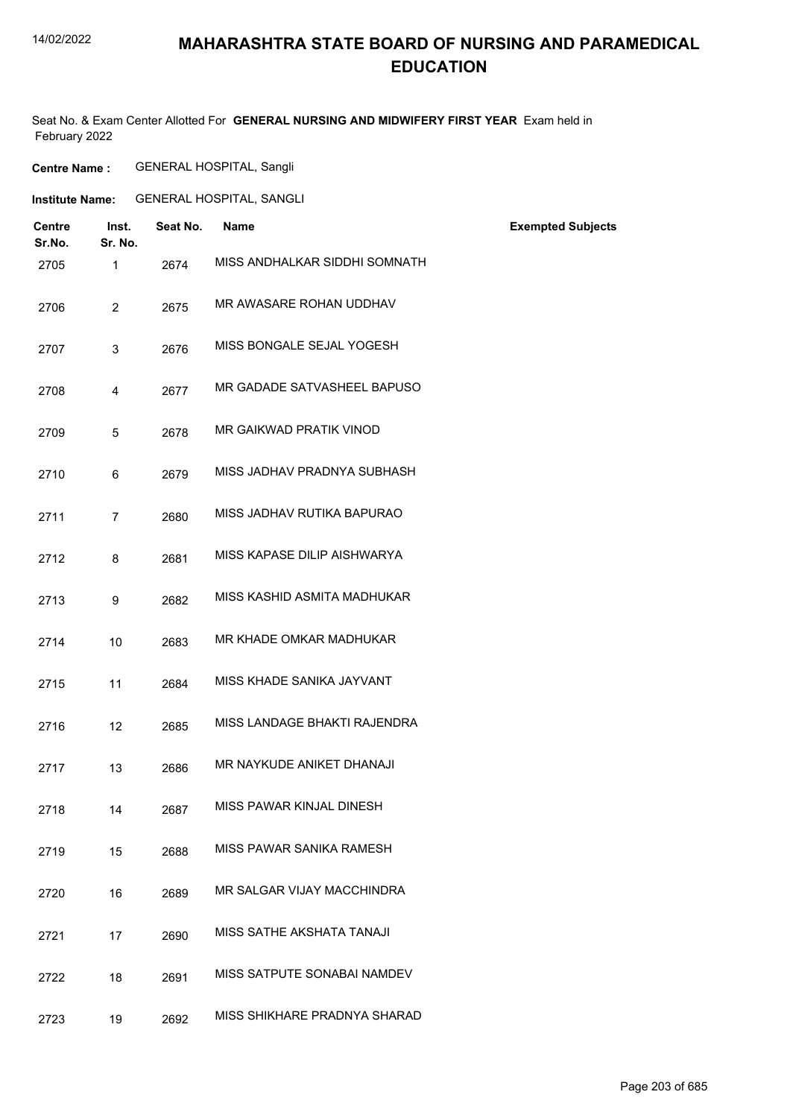## **MAHARASHTRA STATE BOARD OF NURSING AND PARAMEDICAL EDUCATION**

Seat No. & Exam Center Allotted For **GENERAL NURSING AND MIDWIFERY FIRST YEAR** Exam held in February 2022

**Centre Name :** GENERAL HOSPITAL, Sangli

**Institute Name:** GENERAL HOSPITAL, SANGLI

| Centre<br>Sr.No. | Inst.<br>Sr. No. | Seat No. | <b>Name</b>                   | <b>Exempted Subjects</b> |
|------------------|------------------|----------|-------------------------------|--------------------------|
| 2705             | 1                | 2674     | MISS ANDHALKAR SIDDHI SOMNATH |                          |
| 2706             | $\overline{2}$   | 2675     | MR AWASARE ROHAN UDDHAV       |                          |
| 2707             | 3                | 2676     | MISS BONGALE SEJAL YOGESH     |                          |
| 2708             | 4                | 2677     | MR GADADE SATVASHEEL BAPUSO   |                          |
| 2709             | 5                | 2678     | MR GAIKWAD PRATIK VINOD       |                          |
| 2710             | 6                | 2679     | MISS JADHAV PRADNYA SUBHASH   |                          |
| 2711             | $\overline{7}$   | 2680     | MISS JADHAV RUTIKA BAPURAO    |                          |
| 2712             | 8                | 2681     | MISS KAPASE DILIP AISHWARYA   |                          |
| 2713             | 9                | 2682     | MISS KASHID ASMITA MADHUKAR   |                          |
| 2714             | 10               | 2683     | MR KHADE OMKAR MADHUKAR       |                          |
| 2715             | 11               | 2684     | MISS KHADE SANIKA JAYVANT     |                          |
| 2716             | 12               | 2685     | MISS LANDAGE BHAKTI RAJENDRA  |                          |
| 2717             | 13               | 2686     | MR NAYKUDE ANIKET DHANAJI     |                          |
| 2718             | 14               | 2687     | MISS PAWAR KINJAL DINESH      |                          |
| 2719             | 15               | 2688     | MISS PAWAR SANIKA RAMESH      |                          |
| 2720             | 16               | 2689     | MR SALGAR VIJAY MACCHINDRA    |                          |
| 2721             | 17               | 2690     | MISS SATHE AKSHATA TANAJI     |                          |
| 2722             | 18               | 2691     | MISS SATPUTE SONABAI NAMDEV   |                          |
| 2723             | 19               | 2692     | MISS SHIKHARE PRADNYA SHARAD  |                          |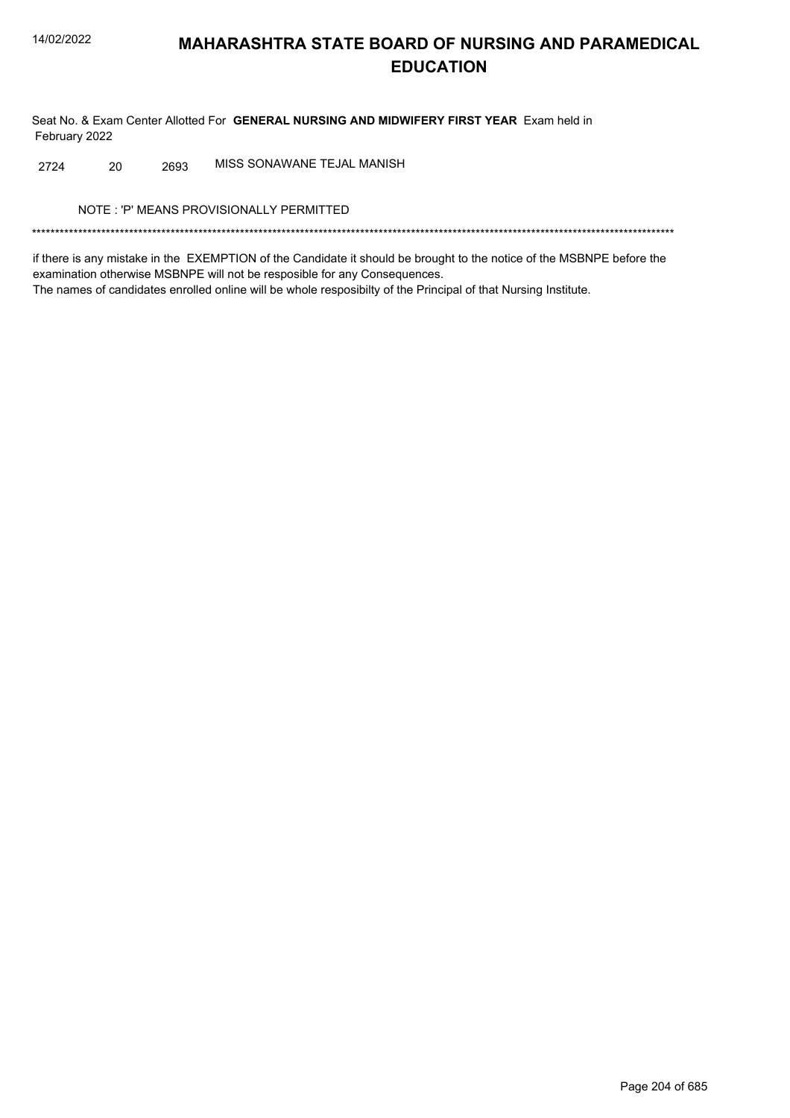Seat No. & Exam Center Allotted For GENERAL NURSING AND MIDWIFERY FIRST YEAR Exam held in February 2022

MISS SONAWANE TEJAL MANISH 20 2724 2693

NOTE: 'P' MEANS PROVISIONALLY PERMITTED

if there is any mistake in the EXEMPTION of the Candidate it should be brought to the notice of the MSBNPE before the examination otherwise MSBNPE will not be resposible for any Consequences. The names of candidates enrolled online will be whole resposibilty of the Principal of that Nursing Institute.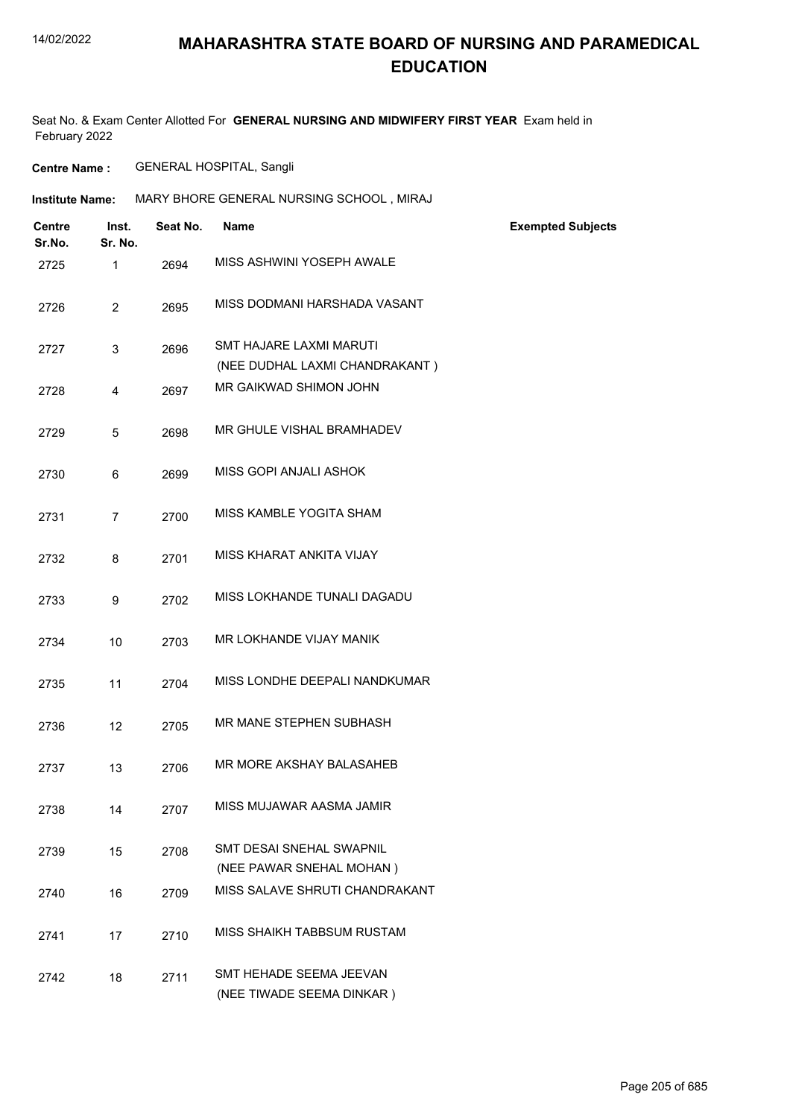Seat No. & Exam Center Allotted For **GENERAL NURSING AND MIDWIFERY FIRST YEAR** Exam held in February 2022

**Centre Name :** GENERAL HOSPITAL, Sangli

| <b>Institute Name:</b> |                         |                  | MARY BHORE GENERAL NURSING SCHOOL, MIRAJ |                                                             |                          |  |  |
|------------------------|-------------------------|------------------|------------------------------------------|-------------------------------------------------------------|--------------------------|--|--|
|                        | <b>Centre</b><br>Sr.No. | Inst.<br>Sr. No. | Seat No.                                 | <b>Name</b>                                                 | <b>Exempted Subjects</b> |  |  |
|                        | 2725                    | $\mathbf{1}$     | 2694                                     | MISS ASHWINI YOSEPH AWALE                                   |                          |  |  |
|                        | 2726                    | $\overline{2}$   | 2695                                     | MISS DODMANI HARSHADA VASANT                                |                          |  |  |
|                        | 2727                    | 3                | 2696                                     | SMT HAJARE LAXMI MARUTI<br>(NEE DUDHAL LAXMI CHANDRAKANT)   |                          |  |  |
|                        | 2728                    | 4                | 2697                                     | MR GAIKWAD SHIMON JOHN                                      |                          |  |  |
|                        | 2729                    | 5                | 2698                                     | MR GHULE VISHAL BRAMHADEV                                   |                          |  |  |
|                        | 2730                    | 6                | 2699                                     | MISS GOPI ANJALI ASHOK                                      |                          |  |  |
|                        | 2731                    | $\overline{7}$   | 2700                                     | MISS KAMBLE YOGITA SHAM                                     |                          |  |  |
|                        | 2732                    | 8                | 2701                                     | MISS KHARAT ANKITA VIJAY                                    |                          |  |  |
|                        | 2733                    | 9                | 2702                                     | MISS LOKHANDE TUNALI DAGADU                                 |                          |  |  |
|                        | 2734                    | 10               | 2703                                     | MR LOKHANDE VIJAY MANIK                                     |                          |  |  |
|                        | 2735                    | 11               | 2704                                     | MISS LONDHE DEEPALI NANDKUMAR                               |                          |  |  |
|                        | 2736                    | 12               | 2705                                     | MR MANE STEPHEN SUBHASH                                     |                          |  |  |
|                        | 2737                    | 13               | 2706                                     | MR MORE AKSHAY BALASAHEB                                    |                          |  |  |
|                        | 2738                    | 14               | 2707                                     | MISS MUJAWAR AASMA JAMIR                                    |                          |  |  |
|                        | 2739                    | 15               | 2708                                     | <b>SMT DESAI SNEHAL SWAPNIL</b><br>(NEE PAWAR SNEHAL MOHAN) |                          |  |  |
|                        | 2740                    | 16               | 2709                                     | MISS SALAVE SHRUTI CHANDRAKANT                              |                          |  |  |
|                        | 2741                    | 17               | 2710                                     | MISS SHAIKH TABBSUM RUSTAM                                  |                          |  |  |
|                        | 2742                    | 18               | 2711                                     | SMT HEHADE SEEMA JEEVAN<br>(NEE TIWADE SEEMA DINKAR)        |                          |  |  |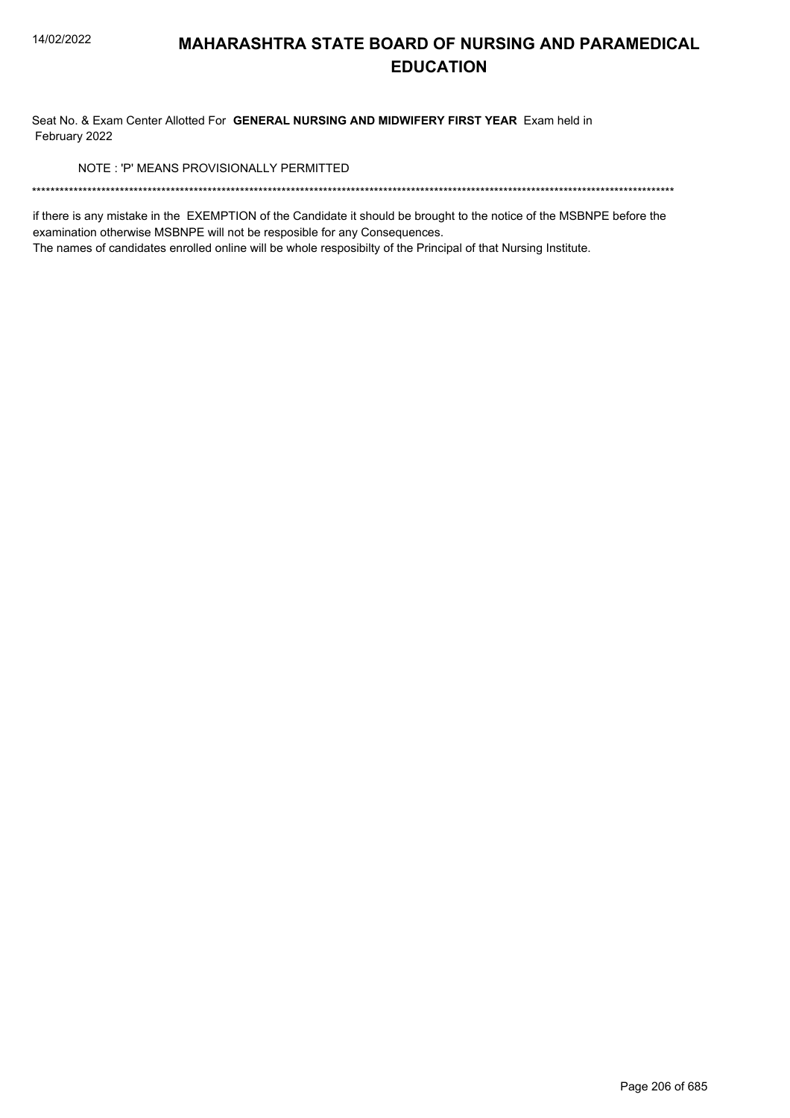Seat No. & Exam Center Allotted For GENERAL NURSING AND MIDWIFERY FIRST YEAR Exam held in February 2022

NOTE: 'P' MEANS PROVISIONALLY PERMITTED

if there is any mistake in the EXEMPTION of the Candidate it should be brought to the notice of the MSBNPE before the examination otherwise MSBNPE will not be resposible for any Consequences.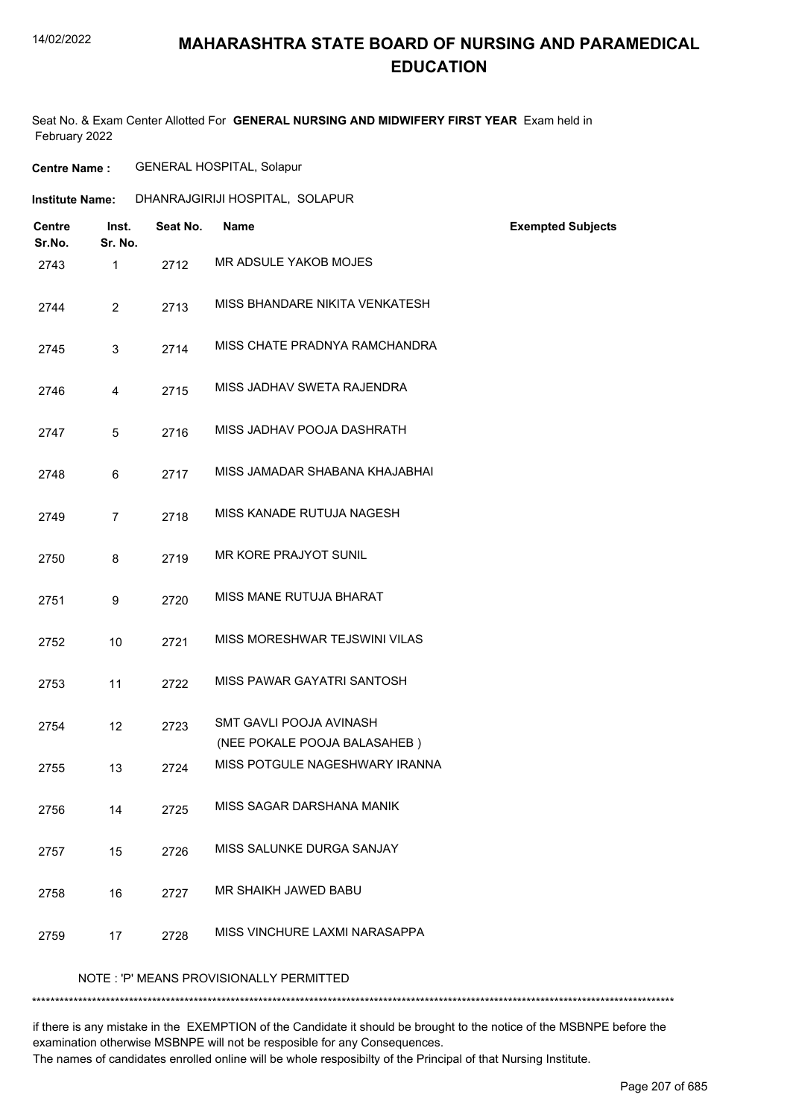### **MAHARASHTRA STATE BOARD OF NURSING AND PARAMEDICAL EDUCATION**

Seat No. & Exam Center Allotted For **GENERAL NURSING AND MIDWIFERY FIRST YEAR** Exam held in February 2022

**Centre Name :** GENERAL HOSPITAL, Solapur

| <b>Institute Name:</b>  |                  | DHANRAJGIRIJI HOSPITAL, SOLAPUR |                                                         |                          |
|-------------------------|------------------|---------------------------------|---------------------------------------------------------|--------------------------|
| <b>Centre</b><br>Sr.No. | Inst.<br>Sr. No. | Seat No.                        | <b>Name</b>                                             | <b>Exempted Subjects</b> |
| 2743                    | $\mathbf{1}$     | 2712                            | MR ADSULE YAKOB MOJES                                   |                          |
| 2744                    | $\overline{2}$   | 2713                            | MISS BHANDARE NIKITA VENKATESH                          |                          |
| 2745                    | 3                | 2714                            | MISS CHATE PRADNYA RAMCHANDRA                           |                          |
| 2746                    | 4                | 2715                            | MISS JADHAV SWETA RAJENDRA                              |                          |
| 2747                    | 5                | 2716                            | MISS JADHAV POOJA DASHRATH                              |                          |
| 2748                    | 6                | 2717                            | MISS JAMADAR SHABANA KHAJABHAI                          |                          |
| 2749                    | $\overline{7}$   | 2718                            | MISS KANADE RUTUJA NAGESH                               |                          |
| 2750                    | 8                | 2719                            | MR KORE PRAJYOT SUNIL                                   |                          |
| 2751                    | 9                | 2720                            | MISS MANE RUTUJA BHARAT                                 |                          |
| 2752                    | 10               | 2721                            | MISS MORESHWAR TEJSWINI VILAS                           |                          |
| 2753                    | 11               | 2722                            | MISS PAWAR GAYATRI SANTOSH                              |                          |
| 2754                    | 12               | 2723                            | SMT GAVLI POOJA AVINASH<br>(NEE POKALE POOJA BALASAHEB) |                          |
| 2755                    | 13               | 2724                            | MISS POTGULE NAGESHWARY IRANNA                          |                          |
| 2756                    | 14               | 2725                            | MISS SAGAR DARSHANA MANIK                               |                          |
| 2757                    | 15               | 2726                            | MISS SALUNKE DURGA SANJAY                               |                          |
| 2758                    | 16               | 2727                            | MR SHAIKH JAWED BABU                                    |                          |
| 2759                    | 17               | 2728                            | MISS VINCHURE LAXMI NARASAPPA                           |                          |
|                         |                  |                                 | NOTE: 'P' MEANS PROVISIONALLY PERMITTED                 |                          |

\*\*\*\*\*\*\*\*\*\*\*\*\*\*\*\*\*\*\*\*\*\*\*\*\*\*\*\*\*\*\*\*\*\*\*\*\*\*\*\*\*\*\*\*\*\*\*\*\*\*\*\*\*\*\*\*\*\*\*\*\*\*\*\*\*\*\*\*\*\*\*\*\*\*\*\*\*\*\*\*\*\*\*\*\*\*\*\*\*\*\*\*\*\*\*\*\*\*\*\*\*\*\*\*\*\*\*\*\*\*\*\*\*\*\*\*\*\*\*\*\*\*\*\*\*\*\*\*\*\*\*\*\*\*\*\*\*\*\*

if there is any mistake in the EXEMPTION of the Candidate it should be brought to the notice of the MSBNPE before the examination otherwise MSBNPE will not be resposible for any Consequences.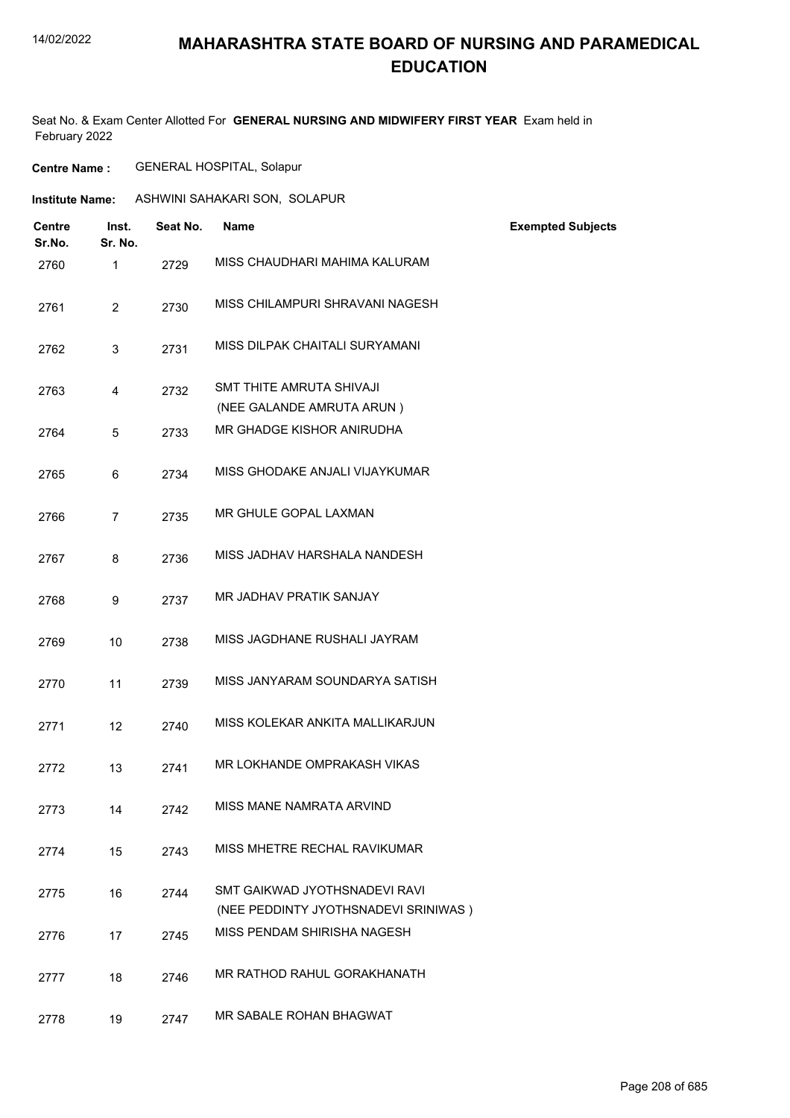## **MAHARASHTRA STATE BOARD OF NURSING AND PARAMEDICAL EDUCATION**

Seat No. & Exam Center Allotted For **GENERAL NURSING AND MIDWIFERY FIRST YEAR** Exam held in February 2022

| <b>Centre Name :</b> | <b>GENERAL HOSPITAL, Solapur</b> |  |
|----------------------|----------------------------------|--|
|                      |                                  |  |

| <b>Institute Name:</b>  |                  |          | ASHWINI SAHAKARI SON, SOLAPUR                                         |                          |
|-------------------------|------------------|----------|-----------------------------------------------------------------------|--------------------------|
| <b>Centre</b><br>Sr.No. | Inst.<br>Sr. No. | Seat No. | <b>Name</b>                                                           | <b>Exempted Subjects</b> |
| 2760                    | $\mathbf{1}$     | 2729     | MISS CHAUDHARI MAHIMA KALURAM                                         |                          |
| 2761                    | 2                | 2730     | MISS CHILAMPURI SHRAVANI NAGESH                                       |                          |
| 2762                    | 3                | 2731     | MISS DILPAK CHAITALI SURYAMANI                                        |                          |
| 2763                    | 4                | 2732     | SMT THITE AMRUTA SHIVAJI                                              |                          |
|                         |                  |          | (NEE GALANDE AMRUTA ARUN)                                             |                          |
| 2764                    | 5                | 2733     | MR GHADGE KISHOR ANIRUDHA                                             |                          |
| 2765                    | 6                | 2734     | MISS GHODAKE ANJALI VIJAYKUMAR                                        |                          |
| 2766                    | $\overline{7}$   | 2735     | MR GHULE GOPAL LAXMAN                                                 |                          |
| 2767                    | 8                | 2736     | MISS JADHAV HARSHALA NANDESH                                          |                          |
| 2768                    | 9                | 2737     | <b>MR JADHAV PRATIK SANJAY</b>                                        |                          |
| 2769                    | 10               | 2738     | MISS JAGDHANE RUSHALI JAYRAM                                          |                          |
| 2770                    | 11               | 2739     | MISS JANYARAM SOUNDARYA SATISH                                        |                          |
| 2771                    | 12               | 2740     | MISS KOLEKAR ANKITA MALLIKARJUN                                       |                          |
| 2772                    | 13               | 2741     | MR LOKHANDE OMPRAKASH VIKAS                                           |                          |
| 2773                    | 14               | 2742     | MISS MANE NAMRATA ARVIND                                              |                          |
| 2774                    | 15               | 2743     | MISS MHETRE RECHAL RAVIKUMAR                                          |                          |
| 2775                    | 16               | 2744     | SMT GAIKWAD JYOTHSNADEVI RAVI<br>(NEE PEDDINTY JYOTHSNADEVI SRINIWAS) |                          |
| 2776                    | 17               | 2745     | MISS PENDAM SHIRISHA NAGESH                                           |                          |
| 2777                    | 18               | 2746     | MR RATHOD RAHUL GORAKHANATH                                           |                          |
| 2778                    | 19               | 2747     | MR SABALE ROHAN BHAGWAT                                               |                          |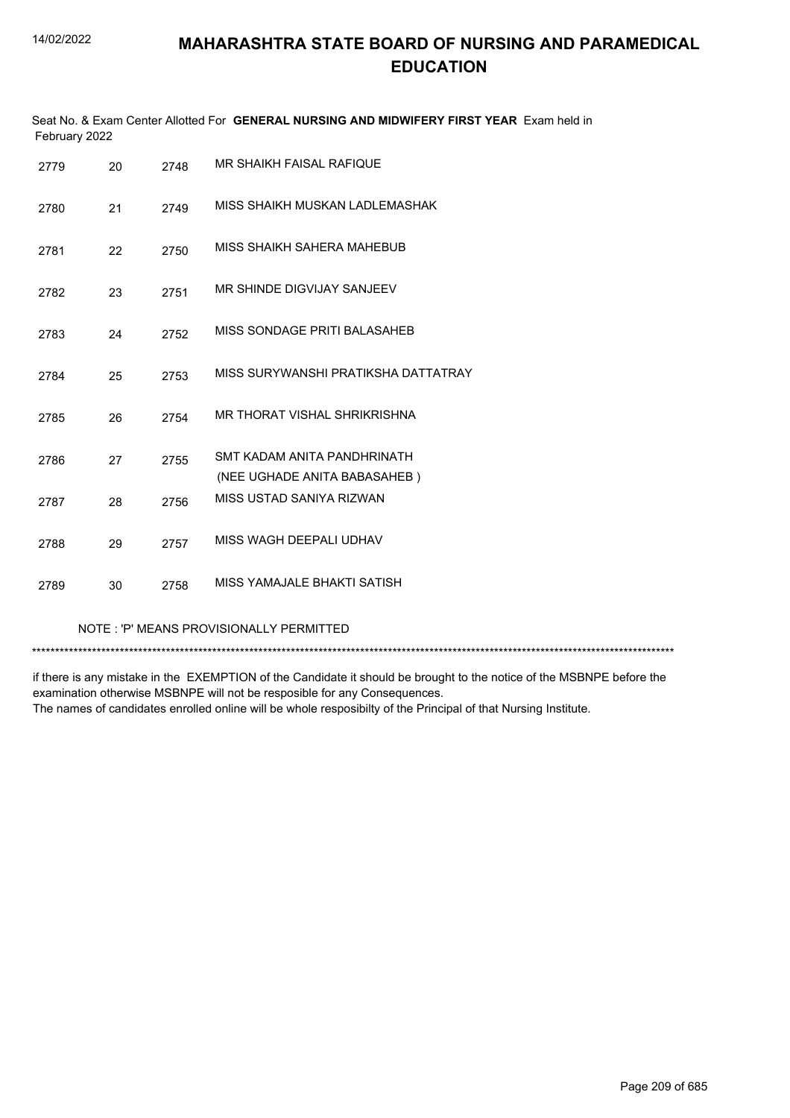| February 2022 |    |      | Seat No. & Exam Center Allotted For GENERAL NURSING AND MIDWIFERY FIRST YEAR Exam held in |
|---------------|----|------|-------------------------------------------------------------------------------------------|
| 2779          | 20 | 2748 | MR SHAIKH FAISAL RAFIQUE                                                                  |
| 2780          | 21 | 2749 | MISS SHAIKH MUSKAN LADLEMASHAK                                                            |
| 2781          | 22 | 2750 | MISS SHAIKH SAHERA MAHEBUB                                                                |
| 2782          | 23 | 2751 | MR SHINDE DIGVIJAY SANJEEV                                                                |
| 2783          | 24 | 2752 | MISS SONDAGE PRITI BALASAHEB                                                              |
| 2784          | 25 | 2753 | MISS SURYWANSHI PRATIKSHA DATTATRAY                                                       |
| 2785          | 26 | 2754 | MR THORAT VISHAL SHRIKRISHNA                                                              |
| 2786          | 27 | 2755 | SMT KADAM ANITA PANDHRINATH<br>(NEE UGHADE ANITA BABASAHEB)                               |
| 2787          | 28 | 2756 | MISS USTAD SANIYA RIZWAN                                                                  |
| 2788          | 29 | 2757 | MISS WAGH DEEPALI UDHAV                                                                   |
| 2789          | 30 | 2758 | MISS YAMAJALE BHAKTI SATISH                                                               |

#### NOTE : 'P' MEANS PROVISIONALLY PERMITTED

\*\*\*\*\*\*\*\*\*\*\*\*\*\*\*\*\*\*\*\*\*\*\*\*\*\*\*\*\*\*\*\*\*\*\*\*\*\*\*\*\*\*\*\*\*\*\*\*\*\*\*\*\*\*\*\*\*\*\*\*\*\*\*\*\*\*\*\*\*\*\*\*\*\*\*\*\*\*\*\*\*\*\*\*\*\*\*\*\*\*\*\*\*\*\*\*\*\*\*\*\*\*\*\*\*\*\*\*\*\*\*\*\*\*\*\*\*\*\*\*\*\*\*\*\*\*\*\*\*\*\*\*\*\*\*\*\*\*\*

if there is any mistake in the EXEMPTION of the Candidate it should be brought to the notice of the MSBNPE before the examination otherwise MSBNPE will not be resposible for any Consequences. The names of candidates enrolled online will be whole resposibilty of the Principal of that Nursing Institute.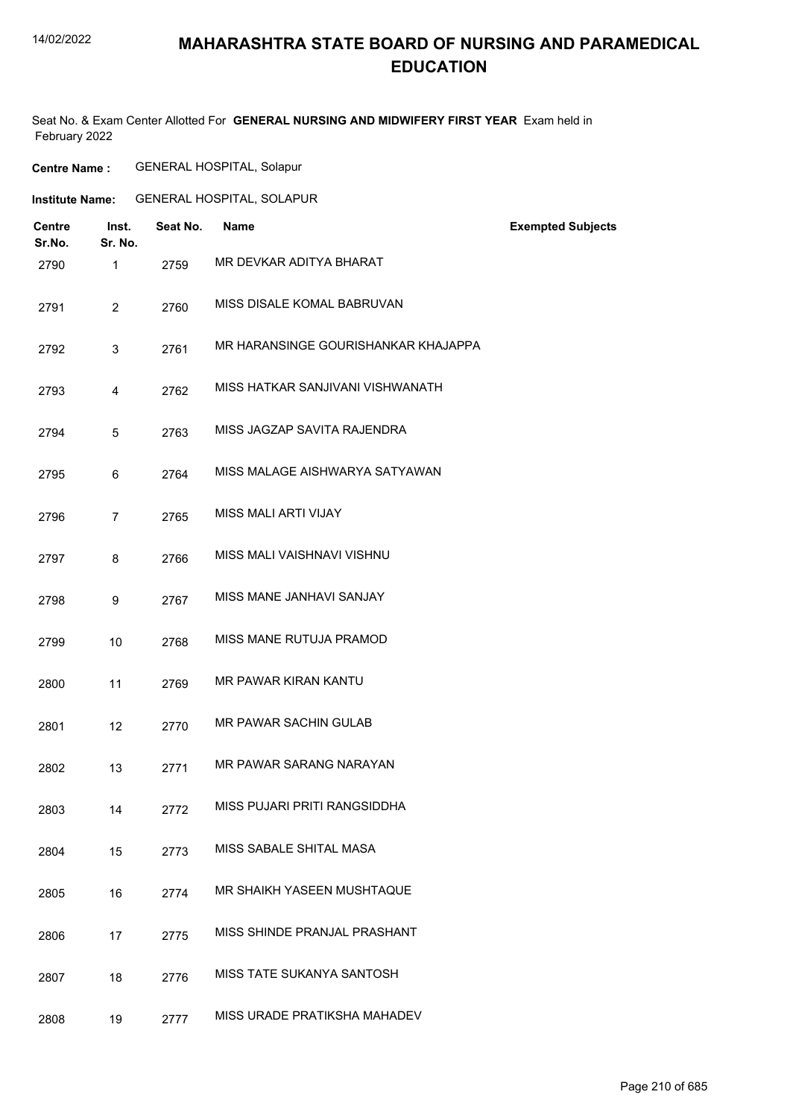### **MAHARASHTRA STATE BOARD OF NURSING AND PARAMEDICAL EDUCATION**

Seat No. & Exam Center Allotted For **GENERAL NURSING AND MIDWIFERY FIRST YEAR** Exam held in February 2022

| <b>Centre Name :</b> | <b>GENERAL HOSPITAL, Solapur</b> |  |
|----------------------|----------------------------------|--|
|                      |                                  |  |

| <b>Centre</b><br>Sr.No. | Inst.<br>Sr. No. | Seat No. | <b>Name</b>                         | <b>Exempted Subjects</b> |
|-------------------------|------------------|----------|-------------------------------------|--------------------------|
| 2790                    | $\mathbf{1}$     | 2759     | MR DEVKAR ADITYA BHARAT             |                          |
| 2791                    | $\overline{2}$   | 2760     | MISS DISALE KOMAL BABRUVAN          |                          |
| 2792                    | 3                | 2761     | MR HARANSINGE GOURISHANKAR KHAJAPPA |                          |
| 2793                    | $\overline{4}$   | 2762     | MISS HATKAR SANJIVANI VISHWANATH    |                          |
| 2794                    | 5                | 2763     | MISS JAGZAP SAVITA RAJENDRA         |                          |
| 2795                    | 6                | 2764     | MISS MALAGE AISHWARYA SATYAWAN      |                          |
| 2796                    | $\overline{7}$   | 2765     | MISS MALI ARTI VIJAY                |                          |
| 2797                    | 8                | 2766     | MISS MALI VAISHNAVI VISHNU          |                          |
| 2798                    | 9                | 2767     | MISS MANE JANHAVI SANJAY            |                          |
| 2799                    | 10               | 2768     | MISS MANE RUTUJA PRAMOD             |                          |
| 2800                    | 11               | 2769     | <b>MR PAWAR KIRAN KANTU</b>         |                          |
| 2801                    | 12               | 2770     | <b>MR PAWAR SACHIN GULAB</b>        |                          |
| 2802                    | 13               | 2771     | MR PAWAR SARANG NARAYAN             |                          |
| 2803                    | 14               | 2772     | MISS PUJARI PRITI RANGSIDDHA        |                          |
| 2804                    | 15               | 2773     | MISS SABALE SHITAL MASA             |                          |
| 2805                    | 16               | 2774     | MR SHAIKH YASEEN MUSHTAQUE          |                          |
| 2806                    | 17               | 2775     | MISS SHINDE PRANJAL PRASHANT        |                          |
| 2807                    | 18               | 2776     | <b>MISS TATE SUKANYA SANTOSH</b>    |                          |
| 2808                    | 19               | 2777     | MISS URADE PRATIKSHA MAHADEV        |                          |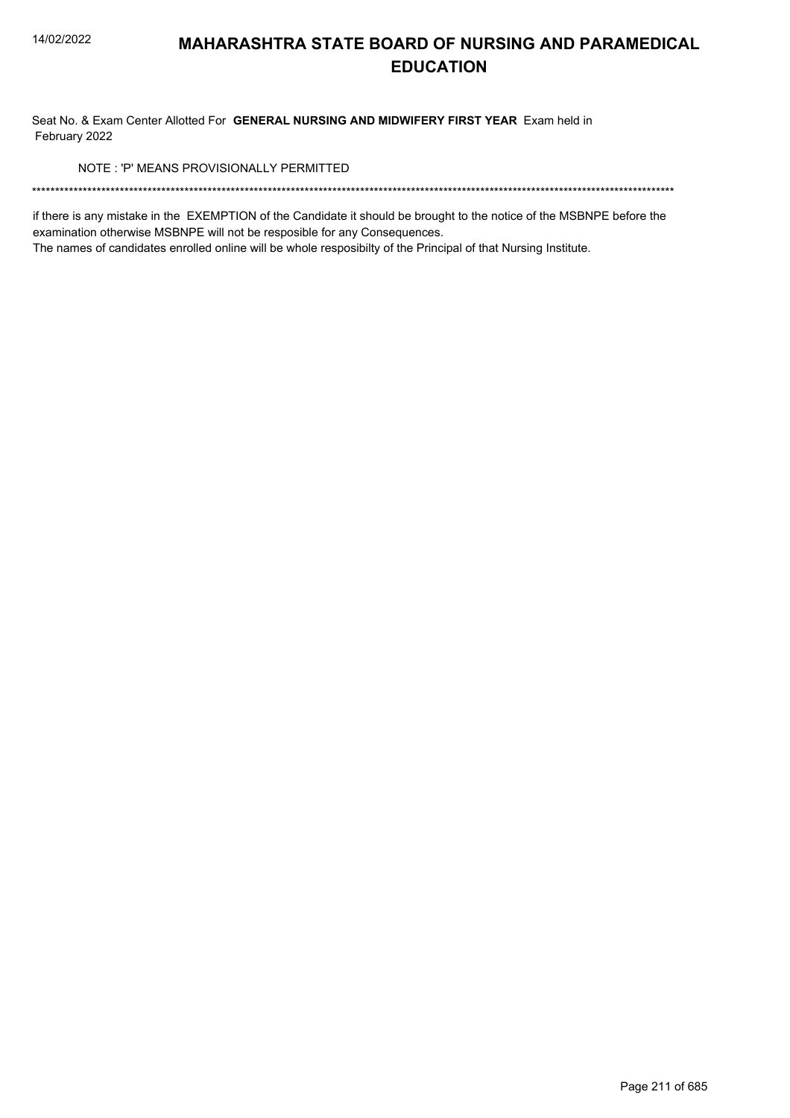Seat No. & Exam Center Allotted For GENERAL NURSING AND MIDWIFERY FIRST YEAR Exam held in February 2022

NOTE: 'P' MEANS PROVISIONALLY PERMITTED

if there is any mistake in the EXEMPTION of the Candidate it should be brought to the notice of the MSBNPE before the examination otherwise MSBNPE will not be resposible for any Consequences.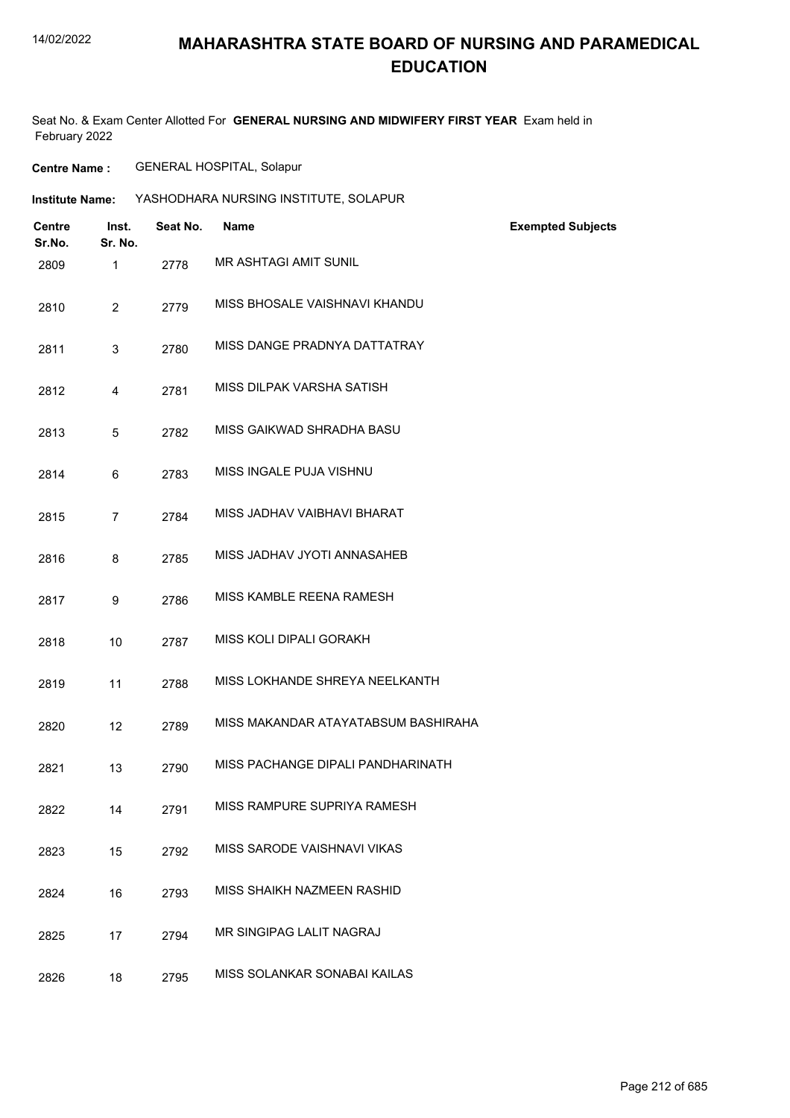### **MAHARASHTRA STATE BOARD OF NURSING AND PARAMEDICAL EDUCATION**

Seat No. & Exam Center Allotted For **GENERAL NURSING AND MIDWIFERY FIRST YEAR** Exam held in February 2022

**Centre Name :** GENERAL HOSPITAL, Solapur

| <b>Institute Name:</b>  |                  |          | YASHODHARA NURSING INSTITUTE, SOLAPUR |                          |
|-------------------------|------------------|----------|---------------------------------------|--------------------------|
| <b>Centre</b><br>Sr.No. | Inst.<br>Sr. No. | Seat No. | <b>Name</b>                           | <b>Exempted Subjects</b> |
| 2809                    | $\mathbf{1}$     | 2778     | <b>MR ASHTAGI AMIT SUNIL</b>          |                          |
| 2810                    | $\overline{2}$   | 2779     | MISS BHOSALE VAISHNAVI KHANDU         |                          |
| 2811                    | 3                | 2780     | MISS DANGE PRADNYA DATTATRAY          |                          |
| 2812                    | $\overline{4}$   | 2781     | MISS DILPAK VARSHA SATISH             |                          |
| 2813                    | 5                | 2782     | MISS GAIKWAD SHRADHA BASU             |                          |
| 2814                    | 6                | 2783     | MISS INGALE PUJA VISHNU               |                          |
| 2815                    | $\overline{7}$   | 2784     | MISS JADHAV VAIBHAVI BHARAT           |                          |
| 2816                    | 8                | 2785     | MISS JADHAV JYOTI ANNASAHEB           |                          |
| 2817                    | 9                | 2786     | MISS KAMBLE REENA RAMESH              |                          |
| 2818                    | 10               | 2787     | MISS KOLI DIPALI GORAKH               |                          |
| 2819                    | 11               | 2788     | MISS LOKHANDE SHREYA NEELKANTH        |                          |
| 2820                    | 12               | 2789     | MISS MAKANDAR ATAYATABSUM BASHIRAHA   |                          |
| 2821                    | 13               | 2790     | MISS PACHANGE DIPALI PANDHARINATH     |                          |
| 2822                    | 14               | 2791     | MISS RAMPURE SUPRIYA RAMESH           |                          |
| 2823                    | 15               | 2792     | MISS SARODE VAISHNAVI VIKAS           |                          |
| 2824                    | 16               | 2793     | MISS SHAIKH NAZMEEN RASHID            |                          |
| 2825                    | 17               | 2794     | MR SINGIPAG LALIT NAGRAJ              |                          |
| 2826                    | 18               | 2795     | MISS SOLANKAR SONABAI KAILAS          |                          |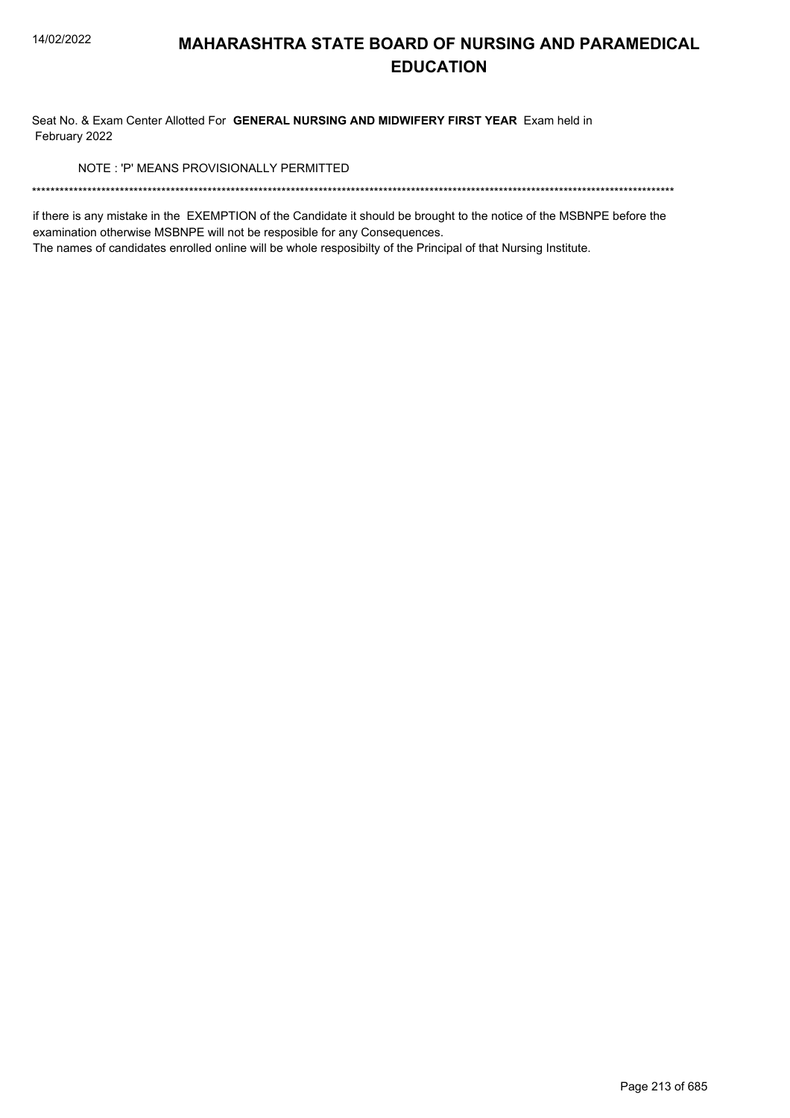Seat No. & Exam Center Allotted For GENERAL NURSING AND MIDWIFERY FIRST YEAR Exam held in February 2022

NOTE: 'P' MEANS PROVISIONALLY PERMITTED

if there is any mistake in the EXEMPTION of the Candidate it should be brought to the notice of the MSBNPE before the examination otherwise MSBNPE will not be resposible for any Consequences.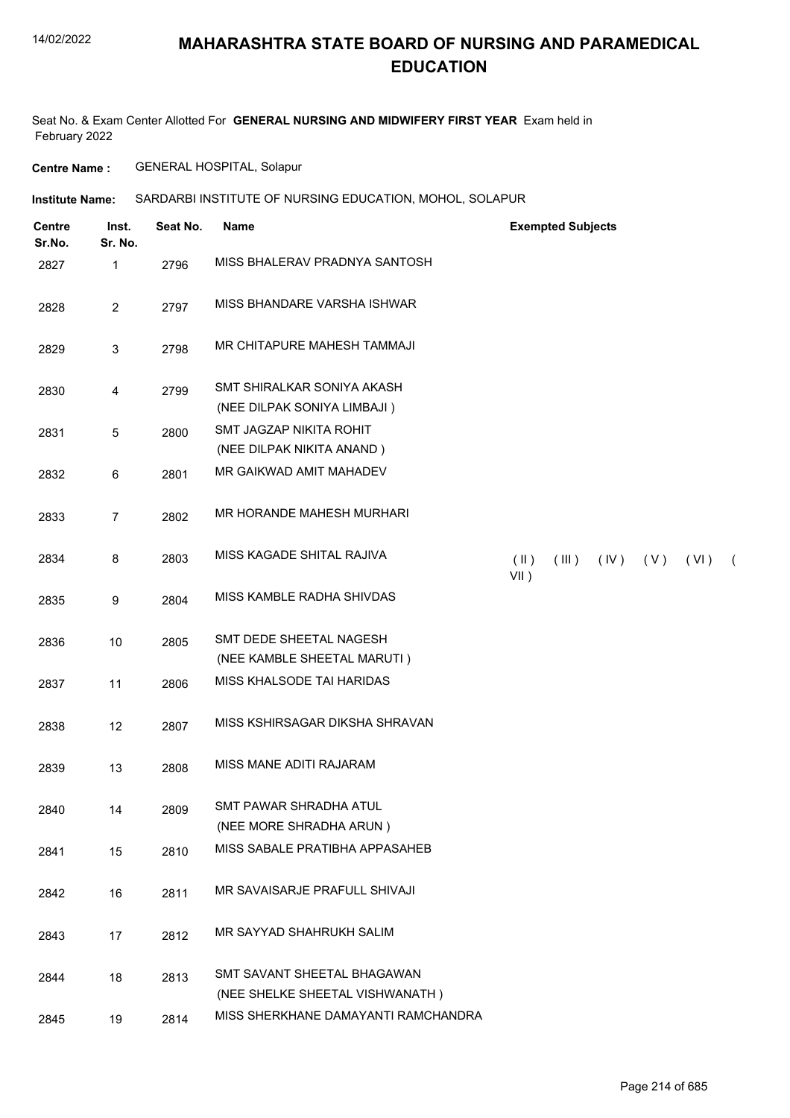### **MAHARASHTRA STATE BOARD OF NURSING AND PARAMEDICAL EDUCATION**

Seat No. & Exam Center Allotted For **GENERAL NURSING AND MIDWIFERY FIRST YEAR** Exam held in February 2022

**Centre Name :** GENERAL HOSPITAL, Solapur

| <b>Centre</b><br>Sr.No. | Inst.<br>Sr. No. | Seat No. | <b>Name</b>                                                    | <b>Exempted Subjects</b>                                               |
|-------------------------|------------------|----------|----------------------------------------------------------------|------------------------------------------------------------------------|
| 2827                    | 1                | 2796     | MISS BHALERAV PRADNYA SANTOSH                                  |                                                                        |
| 2828                    | $\overline{c}$   | 2797     | MISS BHANDARE VARSHA ISHWAR                                    |                                                                        |
| 2829                    | 3                | 2798     | MR CHITAPURE MAHESH TAMMAJI                                    |                                                                        |
| 2830                    | 4                | 2799     | SMT SHIRALKAR SONIYA AKASH<br>(NEE DILPAK SONIYA LIMBAJI)      |                                                                        |
| 2831                    | 5                | 2800     | SMT JAGZAP NIKITA ROHIT<br>(NEE DILPAK NIKITA ANAND)           |                                                                        |
| 2832                    | 6                | 2801     | MR GAIKWAD AMIT MAHADEV                                        |                                                                        |
| 2833                    | $\overline{7}$   | 2802     | MR HORANDE MAHESH MURHARI                                      |                                                                        |
| 2834                    | 8                | 2803     | MISS KAGADE SHITAL RAJIVA                                      | $(\parallel)$<br>(III)<br>(IV)<br>(V)<br>(VI)<br>$\sqrt{2}$<br>$VII$ ) |
| 2835                    | 9                | 2804     | MISS KAMBLE RADHA SHIVDAS                                      |                                                                        |
| 2836                    | 10               | 2805     | SMT DEDE SHEETAL NAGESH<br>(NEE KAMBLE SHEETAL MARUTI)         |                                                                        |
| 2837                    | 11               | 2806     | MISS KHALSODE TAI HARIDAS                                      |                                                                        |
| 2838                    | 12               | 2807     | MISS KSHIRSAGAR DIKSHA SHRAVAN                                 |                                                                        |
| 2839                    | 13               | 2808     | MISS MANE ADITI RAJARAM                                        |                                                                        |
| 2840                    | 14               | 2809     | SMT PAWAR SHRADHA ATUL<br>(NEE MORE SHRADHA ARUN)              |                                                                        |
| 2841                    | 15               | 2810     | MISS SABALE PRATIBHA APPASAHEB                                 |                                                                        |
| 2842                    | 16               | 2811     | MR SAVAISARJE PRAFULL SHIVAJI                                  |                                                                        |
| 2843                    | 17               | 2812     | MR SAYYAD SHAHRUKH SALIM                                       |                                                                        |
| 2844                    | 18               | 2813     | SMT SAVANT SHEETAL BHAGAWAN<br>(NEE SHELKE SHEETAL VISHWANATH) |                                                                        |
| 2845                    | 19               | 2814     | MISS SHERKHANE DAMAYANTI RAMCHANDRA                            |                                                                        |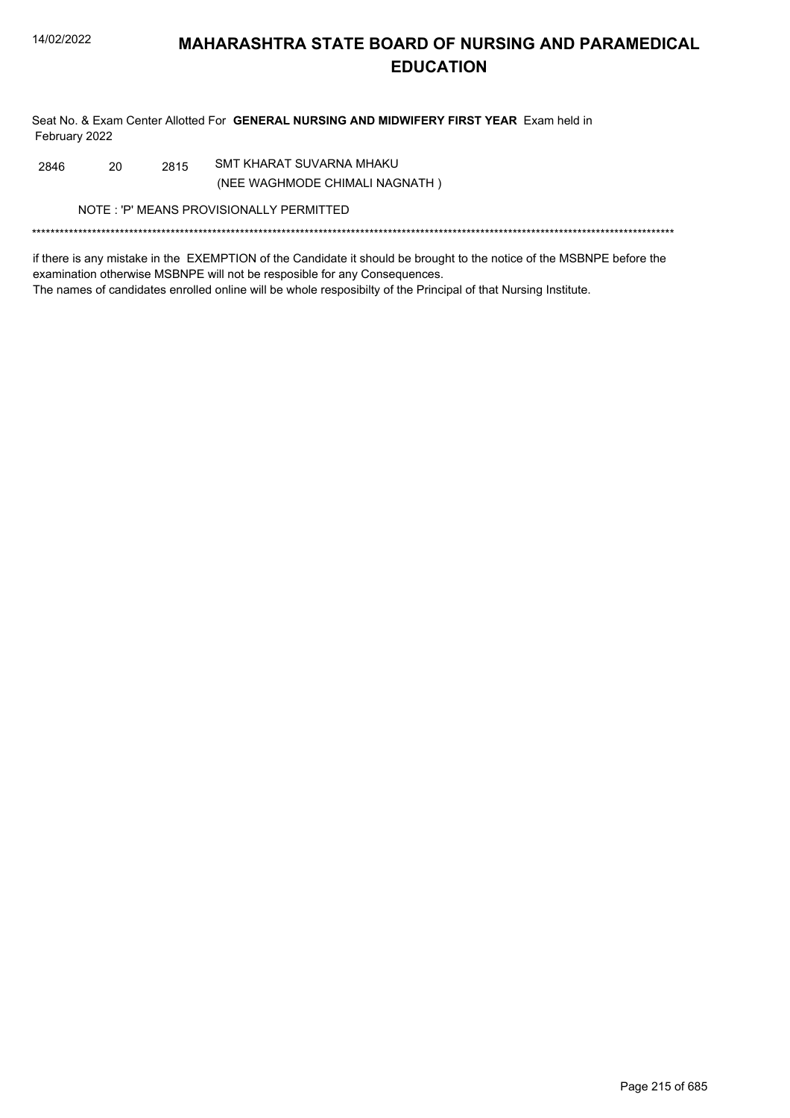Seat No. & Exam Center Allotted For GENERAL NURSING AND MIDWIFERY FIRST YEAR Exam held in February 2022

SMT KHARAT SUVARNA MHAKU 2846 20 2815 (NEE WAGHMODE CHIMALI NAGNATH)

NOTE: 'P' MEANS PROVISIONALLY PERMITTED

if there is any mistake in the EXEMPTION of the Candidate it should be brought to the notice of the MSBNPE before the examination otherwise MSBNPE will not be resposible for any Consequences. The names of candidates enrolled online will be whole resposibilty of the Principal of that Nursing Institute.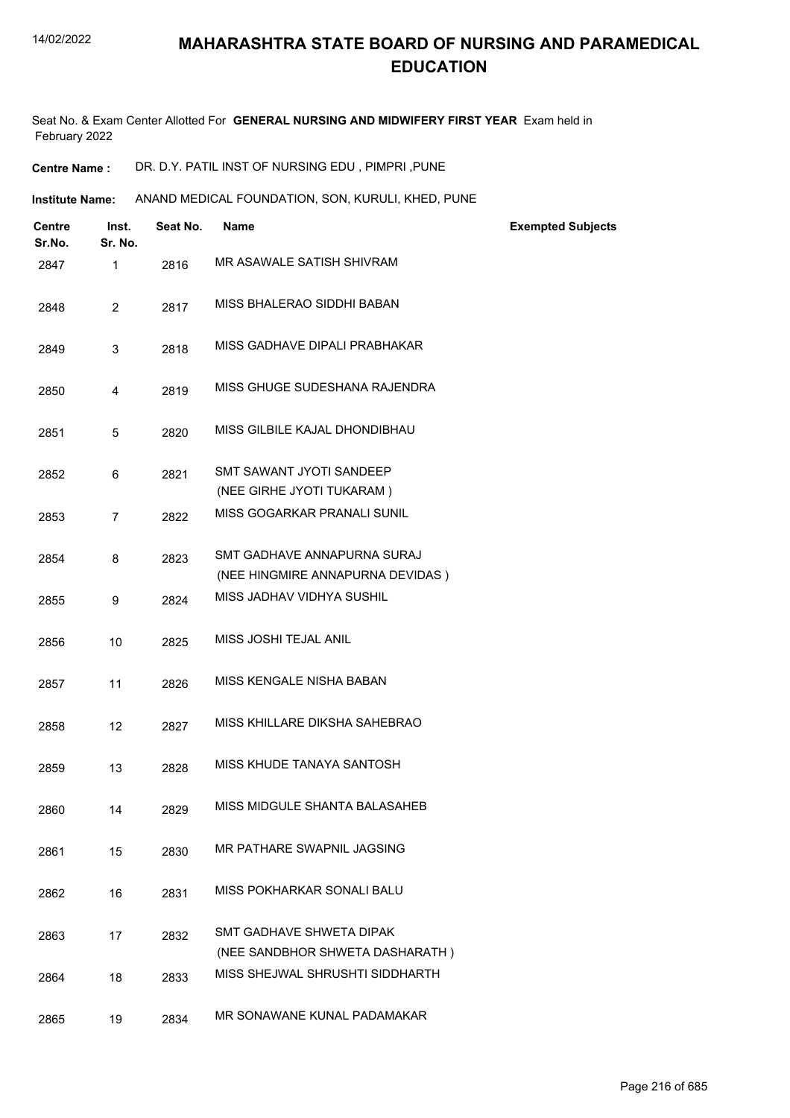Seat No. & Exam Center Allotted For **GENERAL NURSING AND MIDWIFERY FIRST YEAR** Exam held in February 2022

**Centre Name :** DR. D.Y. PATIL INST OF NURSING EDU , PIMPRI ,PUNE

Institute Name: ANAND MEDICAL FOUNDATION, SON, KURULI, KHED, PUNE

| <b>Centre</b><br>Sr.No. | Inst.<br>Sr. No. | Seat No. | <b>Name</b>                                                        | <b>Exempted Subjects</b> |
|-------------------------|------------------|----------|--------------------------------------------------------------------|--------------------------|
| 2847                    | 1                | 2816     | MR ASAWALE SATISH SHIVRAM                                          |                          |
| 2848                    | $\overline{2}$   | 2817     | MISS BHALERAO SIDDHI BABAN                                         |                          |
| 2849                    | 3                | 2818     | MISS GADHAVE DIPALI PRABHAKAR                                      |                          |
| 2850                    | 4                | 2819     | MISS GHUGE SUDESHANA RAJENDRA                                      |                          |
| 2851                    | 5                | 2820     | MISS GILBILE KAJAL DHONDIBHAU                                      |                          |
| 2852                    | 6                | 2821     | SMT SAWANT JYOTI SANDEEP                                           |                          |
|                         |                  |          | (NEE GIRHE JYOTI TUKARAM)                                          |                          |
| 2853                    | $\overline{7}$   | 2822     | MISS GOGARKAR PRANALI SUNIL                                        |                          |
| 2854                    | 8                | 2823     | SMT GADHAVE ANNAPURNA SURAJ                                        |                          |
|                         |                  |          | (NEE HINGMIRE ANNAPURNA DEVIDAS)                                   |                          |
| 2855                    | 9                | 2824     | MISS JADHAV VIDHYA SUSHIL                                          |                          |
| 2856                    | 10               | 2825     | MISS JOSHI TEJAL ANIL                                              |                          |
| 2857                    | 11               | 2826     | MISS KENGALE NISHA BABAN                                           |                          |
| 2858                    | 12               | 2827     | MISS KHILLARE DIKSHA SAHEBRAO                                      |                          |
| 2859                    | 13               | 2828     | MISS KHUDE TANAYA SANTOSH                                          |                          |
| 2860                    | 14               | 2829     | MISS MIDGULE SHANTA BALASAHEB                                      |                          |
| 2861                    | 15               | 2830     | MR PATHARE SWAPNIL JAGSING                                         |                          |
| 2862                    | 16               | 2831     | MISS POKHARKAR SONALI BALU                                         |                          |
| 2863                    | 17               | 2832     | <b>SMT GADHAVE SHWETA DIPAK</b><br>(NEE SANDBHOR SHWETA DASHARATH) |                          |
| 2864                    | 18               | 2833     | MISS SHEJWAL SHRUSHTI SIDDHARTH                                    |                          |
| 2865                    | 19               | 2834     | MR SONAWANE KUNAL PADAMAKAR                                        |                          |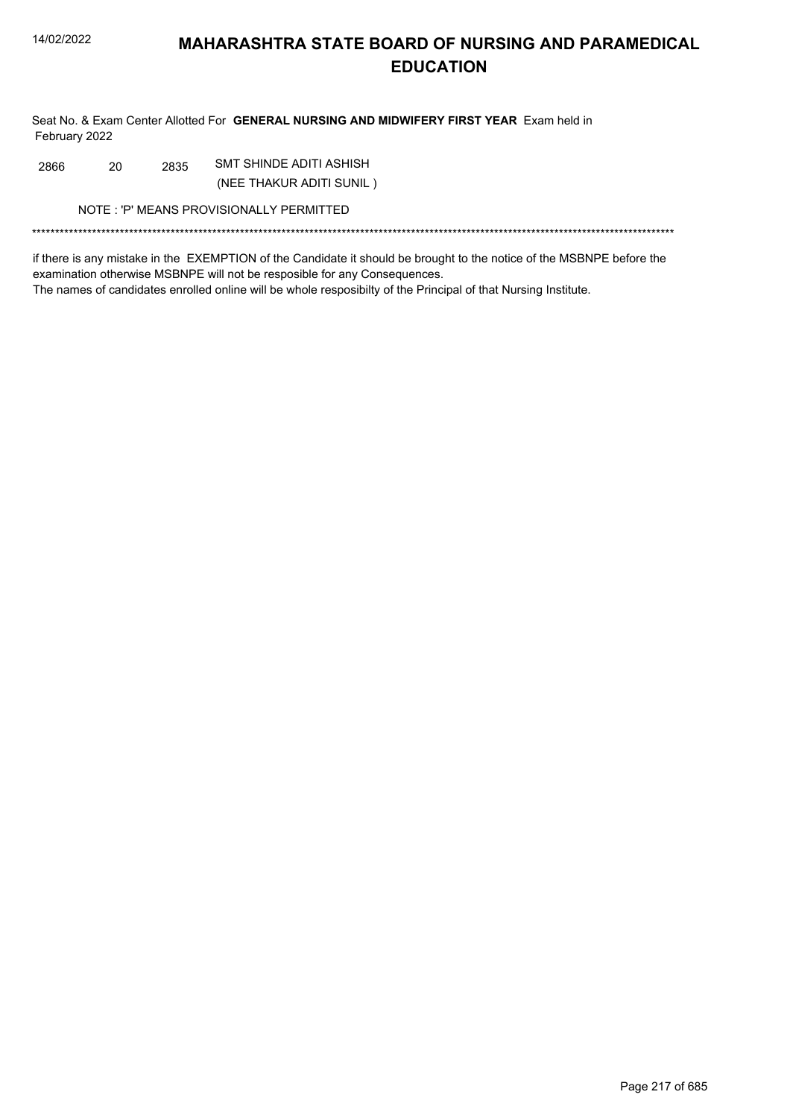Seat No. & Exam Center Allotted For GENERAL NURSING AND MIDWIFERY FIRST YEAR Exam held in February 2022

SMT SHINDE ADITI ASHISH 2866 20 2835

(NEE THAKUR ADITI SUNIL)

NOTE: 'P' MEANS PROVISIONALLY PERMITTED

if there is any mistake in the EXEMPTION of the Candidate it should be brought to the notice of the MSBNPE before the examination otherwise MSBNPE will not be resposible for any Consequences. The names of candidates enrolled online will be whole resposibilty of the Principal of that Nursing Institute.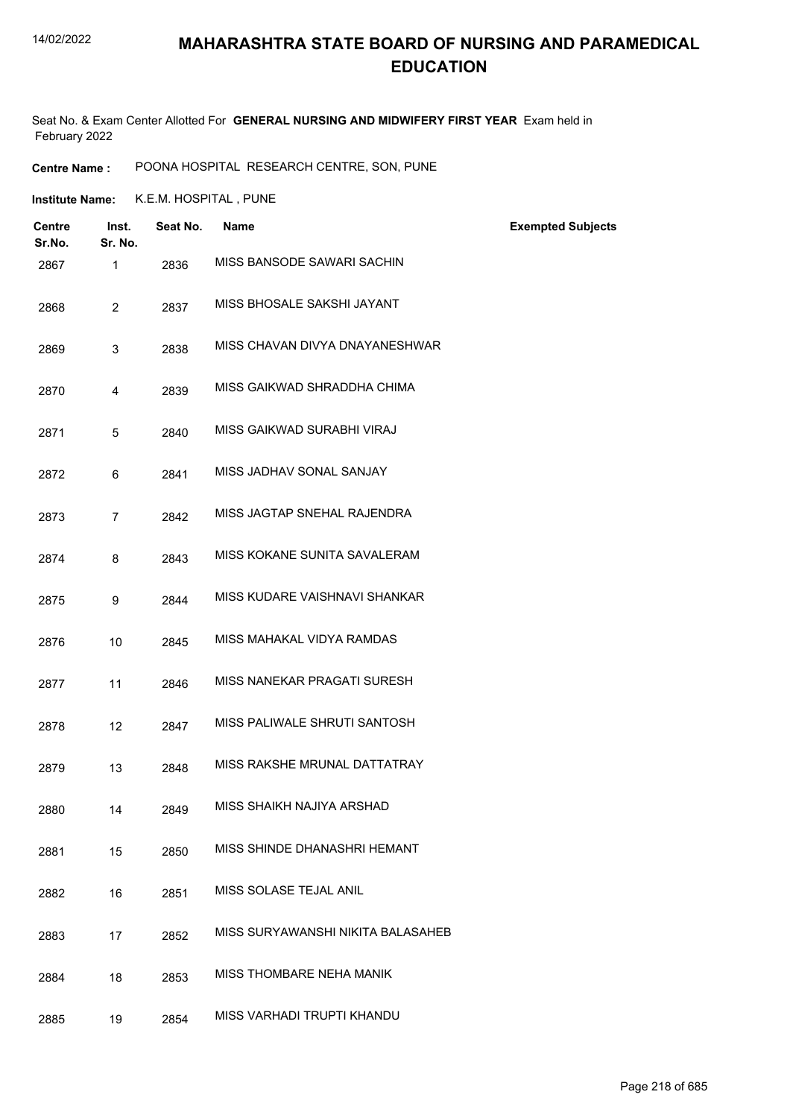#### 14/02/2022

### **MAHARASHTRA STATE BOARD OF NURSING AND PARAMEDICAL EDUCATION**

Seat No. & Exam Center Allotted For **GENERAL NURSING AND MIDWIFERY FIRST YEAR** Exam held in February 2022

**Centre Name :** POONA HOSPITAL RESEARCH CENTRE, SON, PUNE

**Institute Name:** K.E.M. HOSPITAL , PUNE

| <b>Centre</b><br>Sr.No. | Inst.<br>Sr. No. | Seat No. | <b>Name</b>                       | <b>Exempted Subjects</b> |
|-------------------------|------------------|----------|-----------------------------------|--------------------------|
| 2867                    | 1                | 2836     | MISS BANSODE SAWARI SACHIN        |                          |
| 2868                    | $\overline{2}$   | 2837     | MISS BHOSALE SAKSHI JAYANT        |                          |
| 2869                    | 3                | 2838     | MISS CHAVAN DIVYA DNAYANESHWAR    |                          |
| 2870                    | 4                | 2839     | MISS GAIKWAD SHRADDHA CHIMA       |                          |
| 2871                    | 5                | 2840     | MISS GAIKWAD SURABHI VIRAJ        |                          |
| 2872                    | 6                | 2841     | MISS JADHAV SONAL SANJAY          |                          |
| 2873                    | 7                | 2842     | MISS JAGTAP SNEHAL RAJENDRA       |                          |
| 2874                    | 8                | 2843     | MISS KOKANE SUNITA SAVALERAM      |                          |
| 2875                    | 9                | 2844     | MISS KUDARE VAISHNAVI SHANKAR     |                          |
| 2876                    | 10               | 2845     | MISS MAHAKAL VIDYA RAMDAS         |                          |
| 2877                    | 11               | 2846     | MISS NANEKAR PRAGATI SURESH       |                          |
| 2878                    | 12               | 2847     | MISS PALIWALE SHRUTI SANTOSH      |                          |
| 2879                    | 13               | 2848     | MISS RAKSHE MRUNAL DATTATRAY      |                          |
| 2880                    | 14               | 2849     | MISS SHAIKH NAJIYA ARSHAD         |                          |
| 2881                    | 15               | 2850     | MISS SHINDE DHANASHRI HEMANT      |                          |
| 2882                    | 16               | 2851     | MISS SOLASE TEJAL ANIL            |                          |
| 2883                    | 17               | 2852     | MISS SURYAWANSHI NIKITA BALASAHEB |                          |
| 2884                    | 18               | 2853     | MISS THOMBARE NEHA MANIK          |                          |
| 2885                    | 19               | 2854     | MISS VARHADI TRUPTI KHANDU        |                          |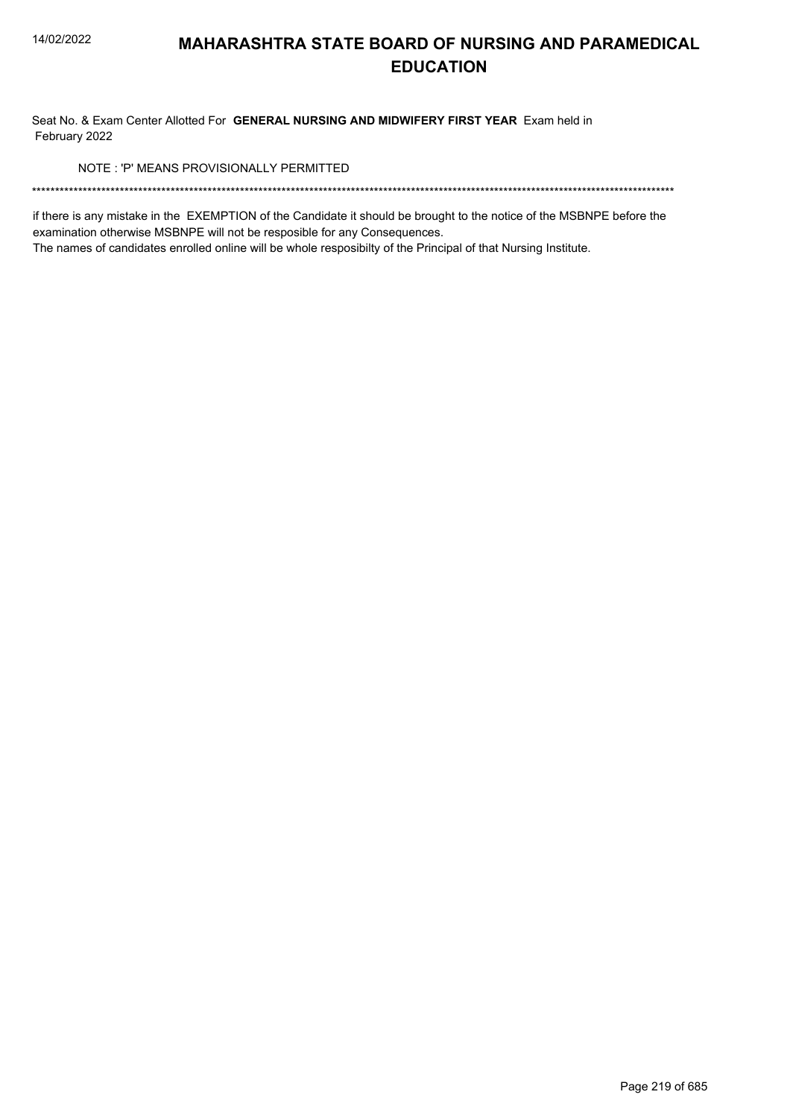Seat No. & Exam Center Allotted For GENERAL NURSING AND MIDWIFERY FIRST YEAR Exam held in February 2022

NOTE: 'P' MEANS PROVISIONALLY PERMITTED

if there is any mistake in the EXEMPTION of the Candidate it should be brought to the notice of the MSBNPE before the examination otherwise MSBNPE will not be resposible for any Consequences.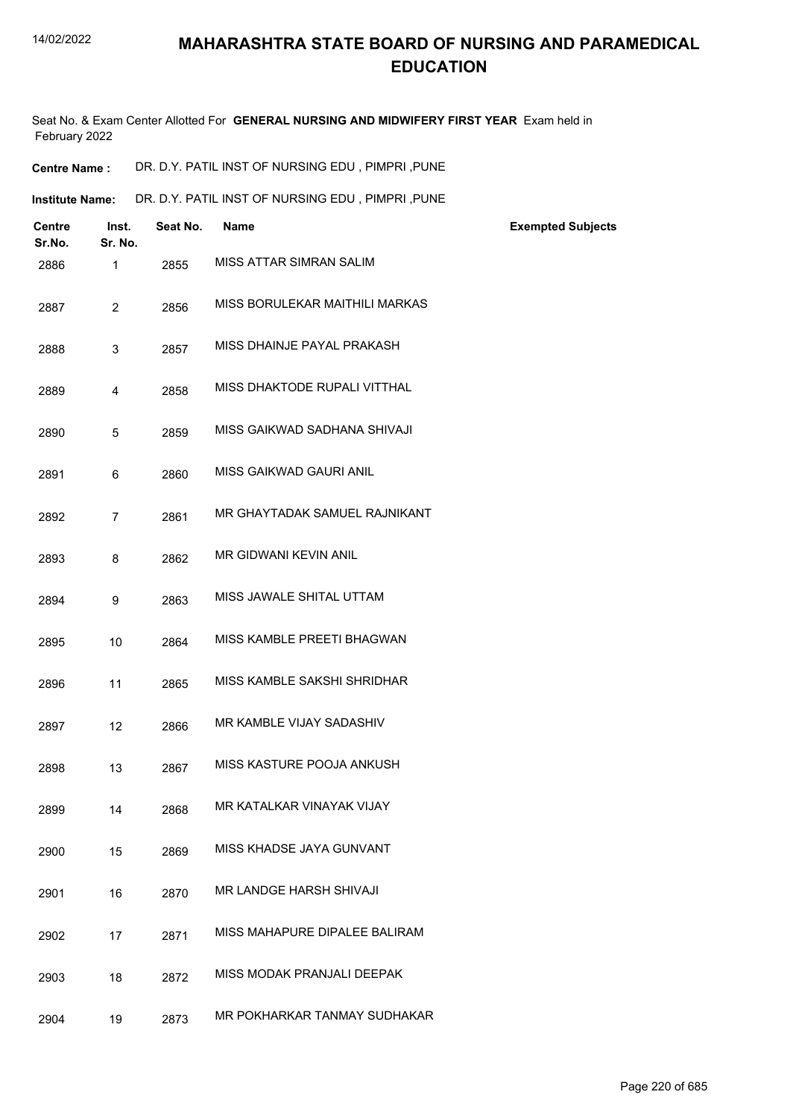Seat No. & Exam Center Allotted For **GENERAL NURSING AND MIDWIFERY FIRST YEAR** Exam held in February 2022

| DR. D.Y. PATIL INST OF NURSING EDU, PIMPRI, PUNE<br><b>Centre Name :</b> |
|--------------------------------------------------------------------------|
|--------------------------------------------------------------------------|

Institute Name: DR. D.Y. PATIL INST OF NURSING EDU , PIMPRI ,PUNE

| <b>Centre</b><br>Sr.No. | Inst.<br>Sr. No. | Seat No. | <b>Name</b>                    | <b>Exempted Subjects</b> |
|-------------------------|------------------|----------|--------------------------------|--------------------------|
| 2886                    | 1                | 2855     | MISS ATTAR SIMRAN SALIM        |                          |
| 2887                    | $\overline{2}$   | 2856     | MISS BORULEKAR MAITHILI MARKAS |                          |
| 2888                    | 3                | 2857     | MISS DHAINJE PAYAL PRAKASH     |                          |
| 2889                    | $\overline{4}$   | 2858     | MISS DHAKTODE RUPALI VITTHAL   |                          |
| 2890                    | $\overline{5}$   | 2859     | MISS GAIKWAD SADHANA SHIVAJI   |                          |
| 2891                    | 6                | 2860     | MISS GAIKWAD GAURI ANIL        |                          |
| 2892                    | $\overline{7}$   | 2861     | MR GHAYTADAK SAMUEL RAJNIKANT  |                          |
| 2893                    | 8                | 2862     | <b>MR GIDWANI KEVIN ANIL</b>   |                          |
| 2894                    | 9                | 2863     | MISS JAWALE SHITAL UTTAM       |                          |
| 2895                    | 10               | 2864     | MISS KAMBLE PREETI BHAGWAN     |                          |
| 2896                    | 11               | 2865     | MISS KAMBLE SAKSHI SHRIDHAR    |                          |
| 2897                    | 12               | 2866     | MR KAMBLE VIJAY SADASHIV       |                          |
| 2898                    | 13               | 2867     | MISS KASTURE POOJA ANKUSH      |                          |
| 2899                    | 14               | 2868     | MR KATALKAR VINAYAK VIJAY      |                          |
| 2900                    | 15               | 2869     | MISS KHADSE JAYA GUNVANT       |                          |
| 2901                    | 16               | 2870     | MR LANDGE HARSH SHIVAJI        |                          |
| 2902                    | 17               | 2871     | MISS MAHAPURE DIPALEE BALIRAM  |                          |
| 2903                    | 18               | 2872     | MISS MODAK PRANJALI DEEPAK     |                          |
| 2904                    | 19               | 2873     | MR POKHARKAR TANMAY SUDHAKAR   |                          |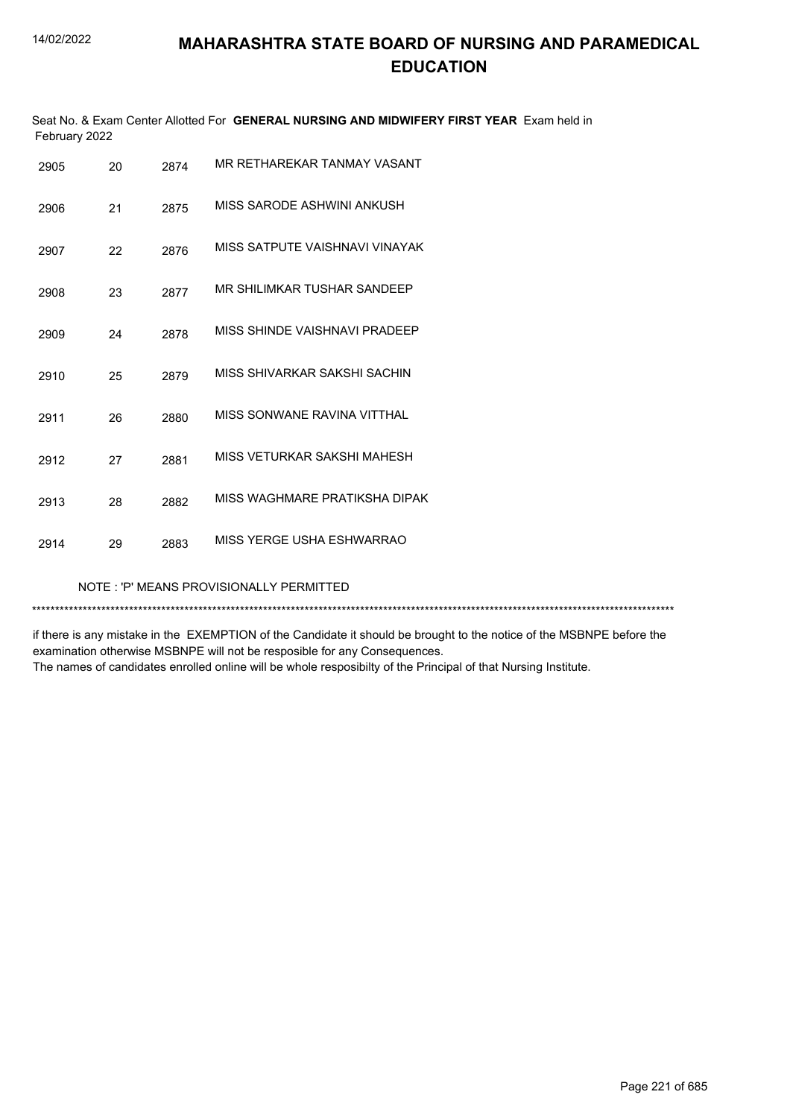|               | Seat No. & Exam Center Allotted For GENERAL NURSING AND MIDWIFERY FIRST YEAR Exam held in |  |
|---------------|-------------------------------------------------------------------------------------------|--|
| February 2022 |                                                                                           |  |

| 2905 | 20 | 2874 | MR RETHAREKAR TANMAY VASANT    |
|------|----|------|--------------------------------|
| 2906 | 21 | 2875 | MISS SARODE ASHWINI ANKUSH     |
| 2907 | 22 | 2876 | MISS SATPUTE VAISHNAVI VINAYAK |
| 2908 | 23 | 2877 | MR SHII IMKAR TUSHAR SANDEEP   |
| 2909 | 24 | 2878 | MISS SHINDE VAISHNAVI PRADEEP  |
| 2910 | 25 | 2879 | MISS SHIVARKAR SAKSHI SACHIN   |
| 2911 | 26 | 2880 | MISS SONWANE RAVINA VITTHAL    |
| 2912 | 27 | 2881 | MISS VETURKAR SAKSHI MAHESH    |
| 2913 | 28 | 2882 | MISS WAGHMARE PRATIKSHA DIPAK  |
| 2914 | 29 | 2883 | MISS YERGE USHA ESHWARRAO      |
|      |    |      |                                |

NOTE : 'P' MEANS PROVISIONALLY PERMITTED

\*\*\*\*\*\*\*\*\*\*\*\*\*\*\*\*\*\*\*\*\*\*\*\*\*\*\*\*\*\*\*\*\*\*\*\*\*\*\*\*\*\*\*\*\*\*\*\*\*\*\*\*\*\*\*\*\*\*\*\*\*\*\*\*\*\*\*\*\*\*\*\*\*\*\*\*\*\*\*\*\*\*\*\*\*\*\*\*\*\*\*\*\*\*\*\*\*\*\*\*\*\*\*\*\*\*\*\*\*\*\*\*\*\*\*\*\*\*\*\*\*\*\*\*\*\*\*\*\*\*\*\*\*\*\*\*\*\*\*

if there is any mistake in the EXEMPTION of the Candidate it should be brought to the notice of the MSBNPE before the examination otherwise MSBNPE will not be resposible for any Consequences.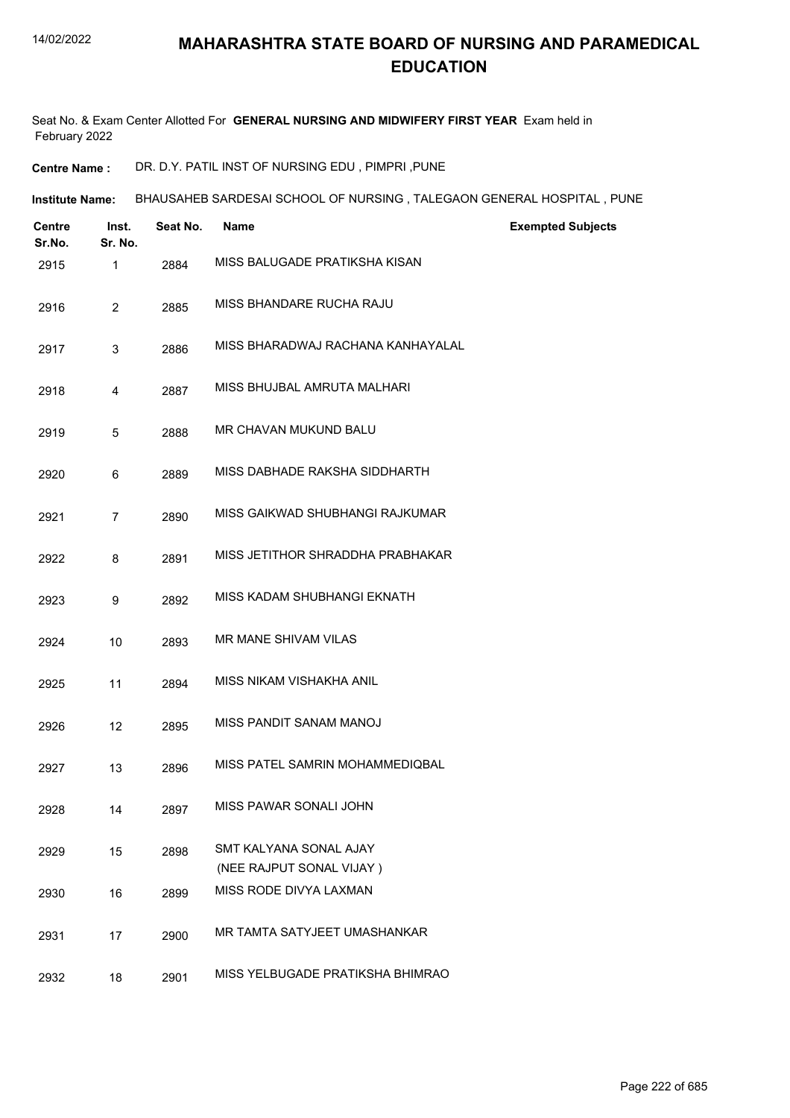Seat No. & Exam Center Allotted For **GENERAL NURSING AND MIDWIFERY FIRST YEAR** Exam held in February 2022

**Centre Name :** DR. D.Y. PATIL INST OF NURSING EDU , PIMPRI ,PUNE

**Institute Name: BHAUSAHEB SARDESAI SCHOOL OF NURSING , TALEGAON GENERAL HOSPITAL , PUNE** 

| Centre<br>Sr.No. | Inst.<br>Sr. No. | Seat No. | <b>Name</b>                                        | <b>Exempted Subjects</b> |
|------------------|------------------|----------|----------------------------------------------------|--------------------------|
| 2915             | 1                | 2884     | MISS BALUGADE PRATIKSHA KISAN                      |                          |
| 2916             | $\overline{2}$   | 2885     | MISS BHANDARE RUCHA RAJU                           |                          |
| 2917             | 3                | 2886     | MISS BHARADWAJ RACHANA KANHAYALAL                  |                          |
| 2918             | 4                | 2887     | MISS BHUJBAL AMRUTA MALHARI                        |                          |
| 2919             | 5                | 2888     | MR CHAVAN MUKUND BALU                              |                          |
| 2920             | 6                | 2889     | MISS DABHADE RAKSHA SIDDHARTH                      |                          |
| 2921             | $\overline{7}$   | 2890     | MISS GAIKWAD SHUBHANGI RAJKUMAR                    |                          |
| 2922             | 8                | 2891     | MISS JETITHOR SHRADDHA PRABHAKAR                   |                          |
| 2923             | 9                | 2892     | MISS KADAM SHUBHANGI EKNATH                        |                          |
| 2924             | 10               | 2893     | MR MANE SHIVAM VILAS                               |                          |
| 2925             | 11               | 2894     | MISS NIKAM VISHAKHA ANIL                           |                          |
| 2926             | 12               | 2895     | MISS PANDIT SANAM MANOJ                            |                          |
| 2927             | 13               | 2896     | MISS PATEL SAMRIN MOHAMMEDIQBAL                    |                          |
| 2928             | 14               | 2897     | MISS PAWAR SONALI JOHN                             |                          |
| 2929             | 15               | 2898     | SMT KALYANA SONAL AJAY<br>(NEE RAJPUT SONAL VIJAY) |                          |
| 2930             | 16               | 2899     | MISS RODE DIVYA LAXMAN                             |                          |
| 2931             | 17               | 2900     | MR TAMTA SATYJEET UMASHANKAR                       |                          |
| 2932             | 18               | 2901     | MISS YELBUGADE PRATIKSHA BHIMRAO                   |                          |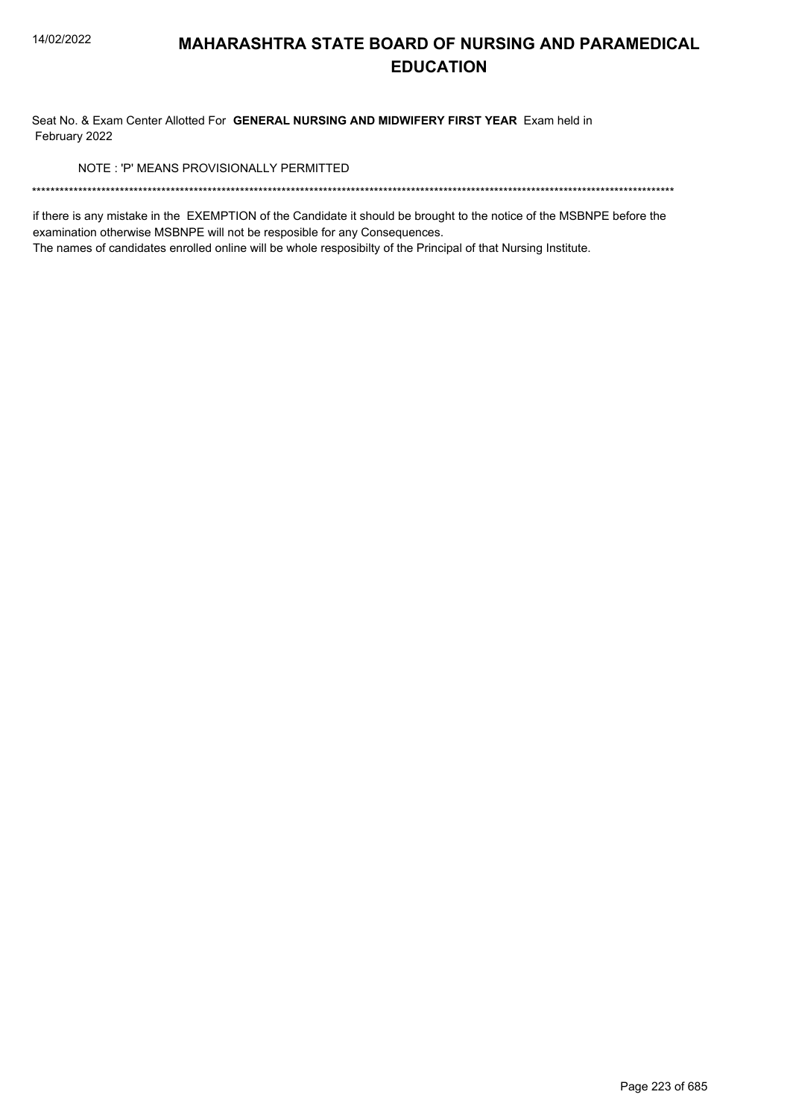Seat No. & Exam Center Allotted For GENERAL NURSING AND MIDWIFERY FIRST YEAR Exam held in February 2022

NOTE: 'P' MEANS PROVISIONALLY PERMITTED

if there is any mistake in the EXEMPTION of the Candidate it should be brought to the notice of the MSBNPE before the examination otherwise MSBNPE will not be resposible for any Consequences.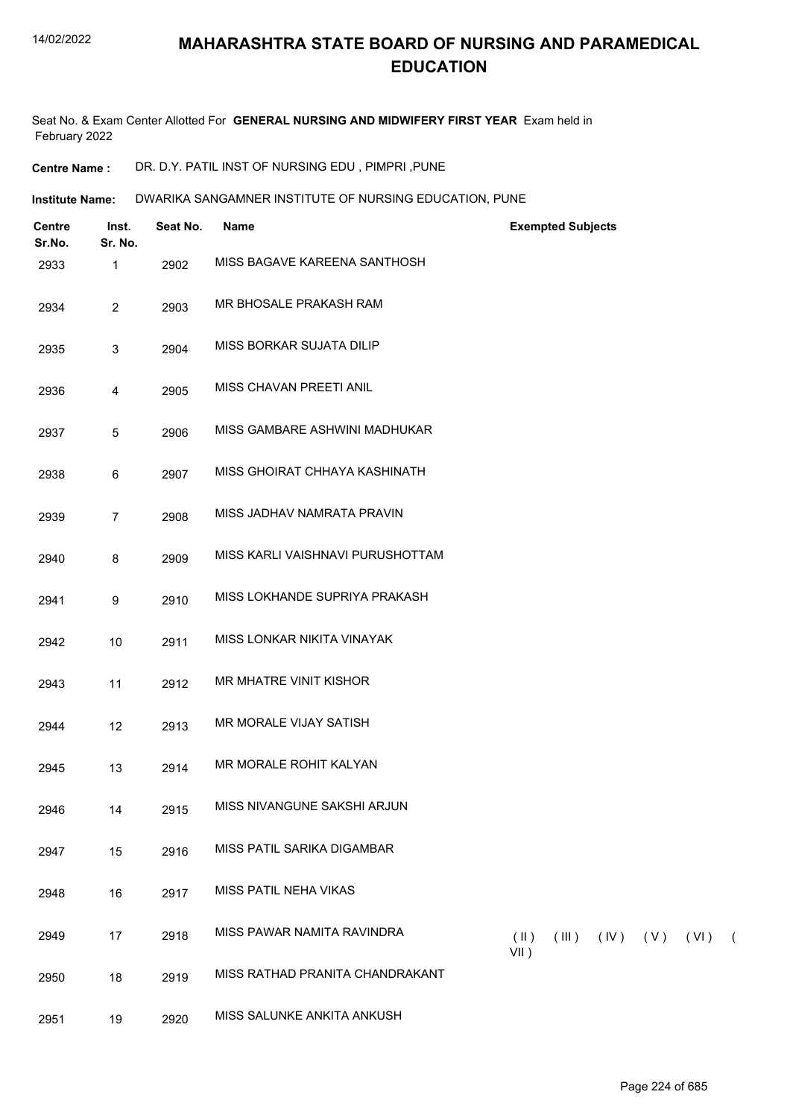Seat No. & Exam Center Allotted For **GENERAL NURSING AND MIDWIFERY FIRST YEAR** Exam held in February 2022

**Centre Name :** DR. D.Y. PATIL INST OF NURSING EDU , PIMPRI ,PUNE

**Institute Name:** DWARIKA SANGAMNER INSTITUTE OF NURSING EDUCATION, PUNE

| <b>Centre</b><br>Sr.No. | Inst.<br>Sr. No. | Seat No. | Name                             | <b>Exempted Subjects</b>                               |
|-------------------------|------------------|----------|----------------------------------|--------------------------------------------------------|
| 2933                    | 1                | 2902     | MISS BAGAVE KAREENA SANTHOSH     |                                                        |
| 2934                    | $\overline{2}$   | 2903     | MR BHOSALE PRAKASH RAM           |                                                        |
| 2935                    | $\mathbf{3}$     | 2904     | MISS BORKAR SUJATA DILIP         |                                                        |
| 2936                    | $\overline{4}$   | 2905     | MISS CHAVAN PREETI ANIL          |                                                        |
| 2937                    | $\sqrt{5}$       | 2906     | MISS GAMBARE ASHWINI MADHUKAR    |                                                        |
| 2938                    | $6\phantom{.}6$  | 2907     | MISS GHOIRAT CHHAYA KASHINATH    |                                                        |
| 2939                    | $\overline{7}$   | 2908     | MISS JADHAV NAMRATA PRAVIN       |                                                        |
| 2940                    | 8                | 2909     | MISS KARLI VAISHNAVI PURUSHOTTAM |                                                        |
| 2941                    | $\boldsymbol{9}$ | 2910     | MISS LOKHANDE SUPRIYA PRAKASH    |                                                        |
| 2942                    | $10$             | 2911     | MISS LONKAR NIKITA VINAYAK       |                                                        |
| 2943                    | 11               | 2912     | MR MHATRE VINIT KISHOR           |                                                        |
| 2944                    | 12               | 2913     | MR MORALE VIJAY SATISH           |                                                        |
| 2945                    | 13               | 2914     | MR MORALE ROHIT KALYAN           |                                                        |
| 2946                    | 14               | 2915     | MISS NIVANGUNE SAKSHI ARJUN      |                                                        |
| 2947                    | 15               | 2916     | MISS PATIL SARIKA DIGAMBAR       |                                                        |
| 2948                    | 16               | 2917     | MISS PATIL NEHA VIKAS            |                                                        |
| 2949                    | 17               | 2918     | MISS PAWAR NAMITA RAVINDRA       | $(\parallel)$<br>$(III)$ $(IV)$ $(V)$ $(VI)$ (<br>VII) |
| 2950                    | 18               | 2919     | MISS RATHAD PRANITA CHANDRAKANT  |                                                        |
| 2951                    | 19               | 2920     | MISS SALUNKE ANKITA ANKUSH       |                                                        |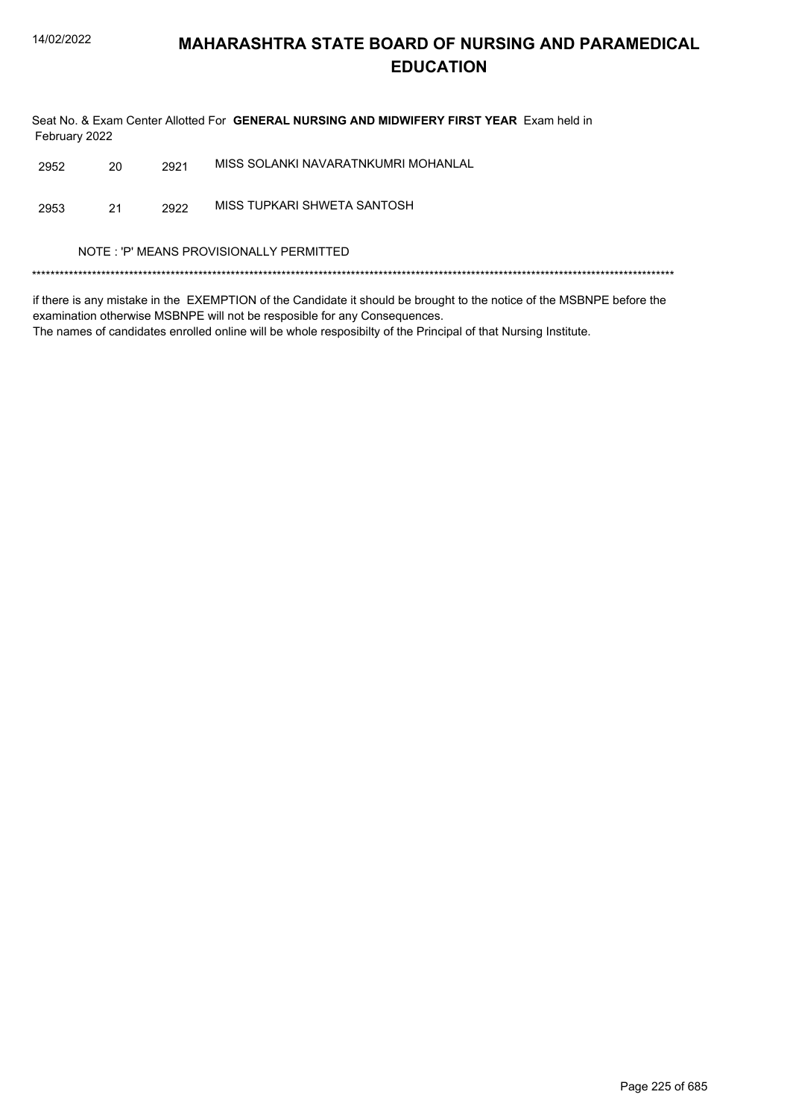Seat No. & Exam Center Allotted For GENERAL NURSING AND MIDWIFERY FIRST YEAR Exam held in February 2022

| 2952 |  | 2921 | MISS SOLANKI NAVARATNKUMRI MOHANLAL |
|------|--|------|-------------------------------------|
|------|--|------|-------------------------------------|

MISS TUPKARI SHWETA SANTOSH 2953  $21$ 2922

NOTE : 'P' MEANS PROVISIONALLY PERMITTED

if there is any mistake in the EXEMPTION of the Candidate it should be brought to the notice of the MSBNPE before the examination otherwise MSBNPE will not be resposible for any Consequences.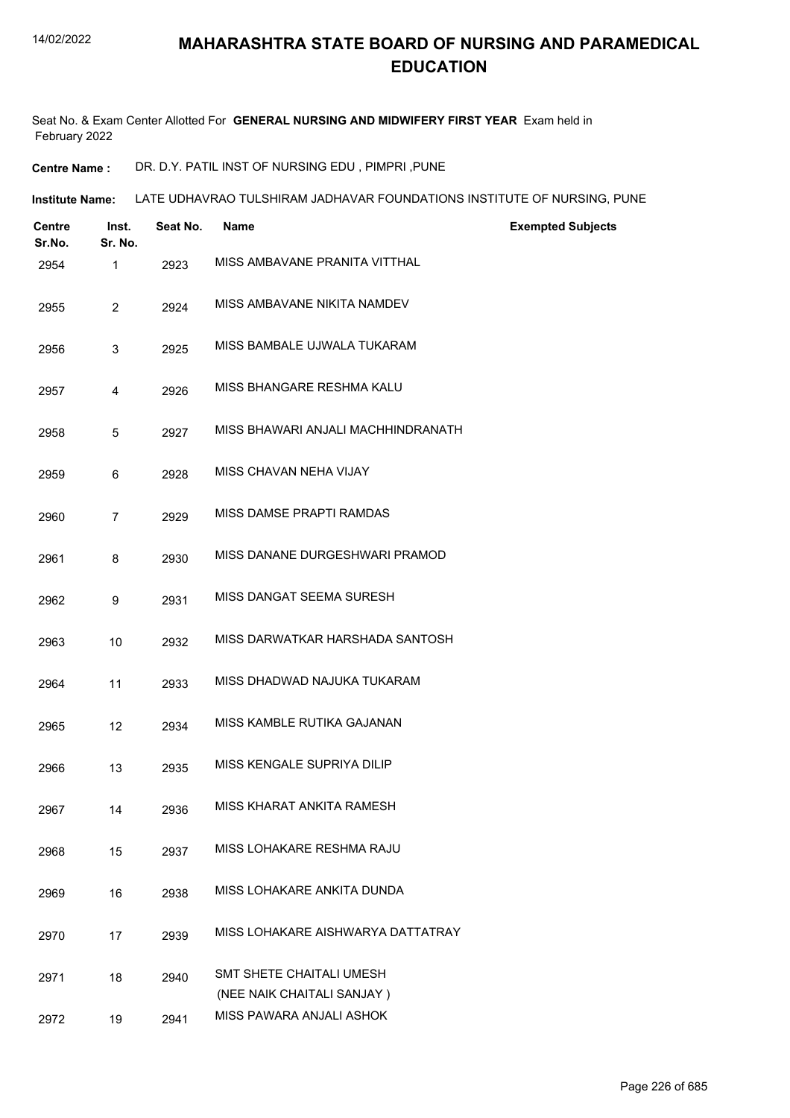Seat No. & Exam Center Allotted For **GENERAL NURSING AND MIDWIFERY FIRST YEAR** Exam held in February 2022

**Centre Name :** DR. D.Y. PATIL INST OF NURSING EDU , PIMPRI ,PUNE

**Institute Name: LATE UDHAVRAO TULSHIRAM JADHAVAR FOUNDATIONS INSTITUTE OF NURSING, PUNE** 

| <b>Centre</b><br>Sr.No. | Inst.<br>Sr. No. | Seat No. | <b>Name</b>                                            | <b>Exempted Subjects</b> |
|-------------------------|------------------|----------|--------------------------------------------------------|--------------------------|
| 2954                    | 1                | 2923     | MISS AMBAVANE PRANITA VITTHAL                          |                          |
| 2955                    | $\overline{2}$   | 2924     | MISS AMBAVANE NIKITA NAMDEV                            |                          |
| 2956                    | 3                | 2925     | MISS BAMBALE UJWALA TUKARAM                            |                          |
| 2957                    | 4                | 2926     | MISS BHANGARE RESHMA KALU                              |                          |
| 2958                    | 5                | 2927     | MISS BHAWARI ANJALI MACHHINDRANATH                     |                          |
| 2959                    | 6                | 2928     | MISS CHAVAN NEHA VIJAY                                 |                          |
| 2960                    | $\overline{7}$   | 2929     | MISS DAMSE PRAPTI RAMDAS                               |                          |
| 2961                    | 8                | 2930     | MISS DANANE DURGESHWARI PRAMOD                         |                          |
| 2962                    | 9                | 2931     | MISS DANGAT SEEMA SURESH                               |                          |
| 2963                    | 10               | 2932     | MISS DARWATKAR HARSHADA SANTOSH                        |                          |
| 2964                    | 11               | 2933     | MISS DHADWAD NAJUKA TUKARAM                            |                          |
| 2965                    | 12               | 2934     | MISS KAMBLE RUTIKA GAJANAN                             |                          |
| 2966                    | 13               | 2935     | MISS KENGALE SUPRIYA DILIP                             |                          |
| 2967                    | 14               | 2936     | MISS KHARAT ANKITA RAMESH                              |                          |
| 2968                    | 15               | 2937     | MISS LOHAKARE RESHMA RAJU                              |                          |
| 2969                    | 16               | 2938     | MISS LOHAKARE ANKITA DUNDA                             |                          |
| 2970                    | 17               | 2939     | MISS LOHAKARE AISHWARYA DATTATRAY                      |                          |
| 2971                    | 18               | 2940     | SMT SHETE CHAITALI UMESH<br>(NEE NAIK CHAITALI SANJAY) |                          |
| 2972                    | 19               | 2941     | MISS PAWARA ANJALI ASHOK                               |                          |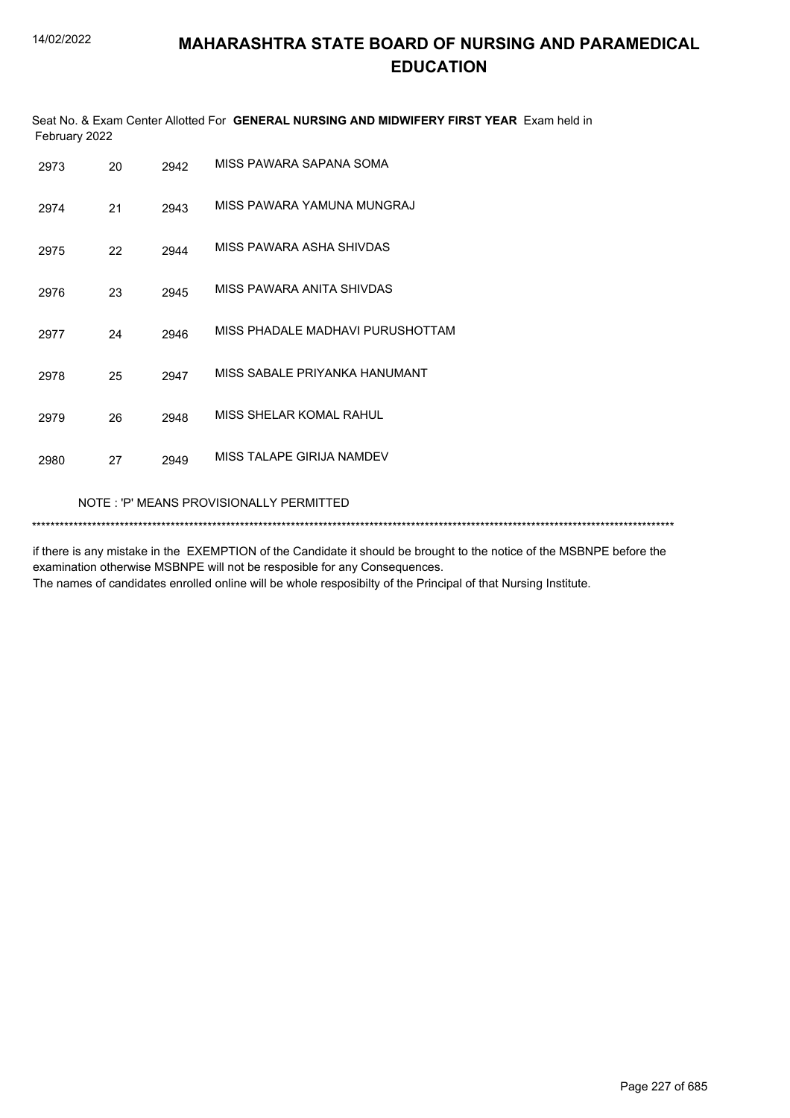|               | Seat No. & Exam Center Allotted For GENERAL NURSING AND MIDWIFERY FIRST YEAR Exam held in |  |
|---------------|-------------------------------------------------------------------------------------------|--|
| February 2022 |                                                                                           |  |

| 2973 | 20                                      | 2942 | MISS PAWARA SAPANA SOMA          |  |  |
|------|-----------------------------------------|------|----------------------------------|--|--|
| 2974 | 21                                      | 2943 | MISS PAWARA YAMUNA MUNGRAJ       |  |  |
| 2975 | 22                                      | 2944 | MISS PAWARA ASHA SHIVDAS         |  |  |
| 2976 | 23                                      | 2945 | MISS PAWARA ANITA SHIVDAS        |  |  |
| 2977 | 24                                      | 2946 | MISS PHADALE MADHAVI PURUSHOTTAM |  |  |
| 2978 | 25                                      | 2947 | MISS SABALE PRIYANKA HANUMANT    |  |  |
| 2979 | 26                                      | 2948 | MISS SHELAR KOMAL RAHUL          |  |  |
| 2980 | 27                                      | 2949 | MISS TALAPE GIRIJA NAMDEV        |  |  |
|      | NOTE: 'P' MEANS PROVISIONALLY PERMITTED |      |                                  |  |  |

\*\*\*\*\*\*\*\*\*\*\*\*\*\*\*\*\*\*\*\*\*\*\*\*\*\*\*\*\*\*\*\*\*\*\*\*\*\*\*\*\*\*\*\*\*\*\*\*\*\*\*\*\*\*\*\*\*\*\*\*\*\*\*\*\*\*\*\*\*\*\*\*\*\*\*\*\*\*\*\*\*\*\*\*\*\*\*\*\*\*\*\*\*\*\*\*\*\*\*\*\*\*\*\*\*\*\*\*\*\*\*\*\*\*\*\*\*\*\*\*\*\*\*\*\*\*\*\*\*\*\*\*\*\*\*\*\*\*\*

if there is any mistake in the EXEMPTION of the Candidate it should be brought to the notice of the MSBNPE before the examination otherwise MSBNPE will not be resposible for any Consequences. The names of candidates enrolled online will be whole resposibilty of the Principal of that Nursing Institute.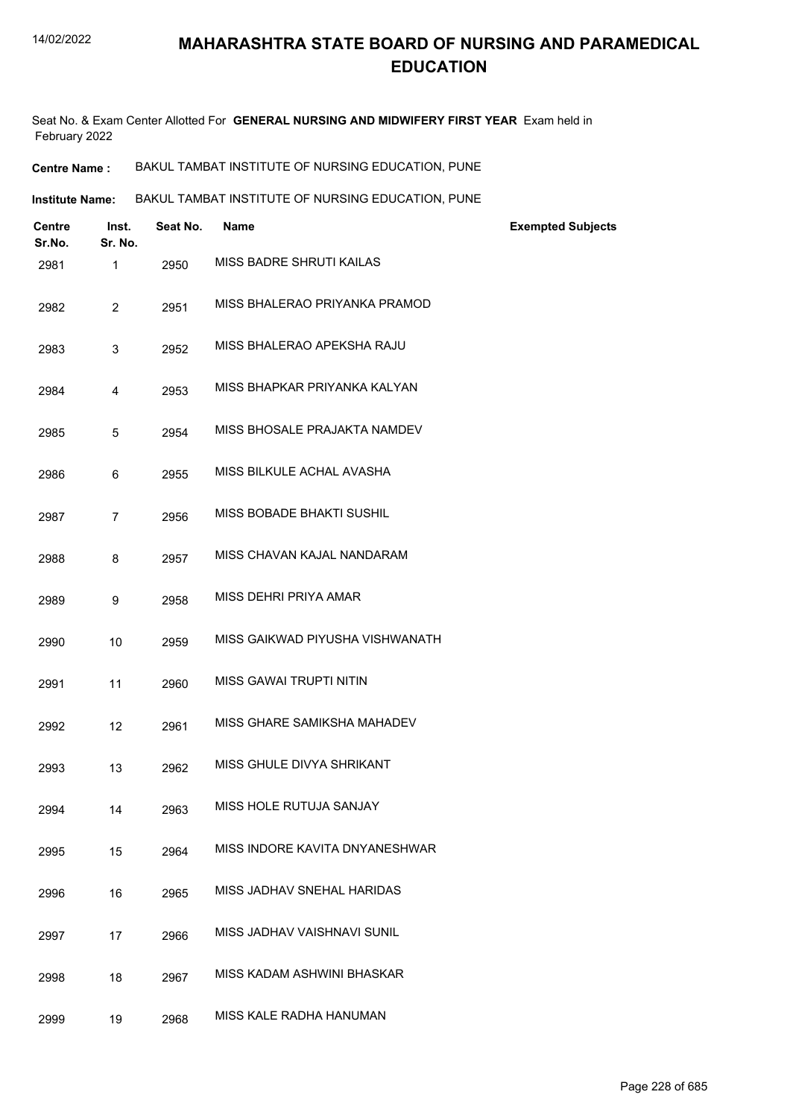Seat No. & Exam Center Allotted For **GENERAL NURSING AND MIDWIFERY FIRST YEAR** Exam held in February 2022

| BAKUL TAMBAT INSTITUTE OF NURSING EDUCATION, PUNE<br><b>Centre Name :</b> |  |
|---------------------------------------------------------------------------|--|
|---------------------------------------------------------------------------|--|

**Institute Name: BAKUL TAMBAT INSTITUTE OF NURSING EDUCATION, PUNE** 

| <b>Centre</b><br>Sr.No. | Inst.<br>Sr. No. | Seat No. | <b>Name</b>                     | <b>Exempted Subjects</b> |
|-------------------------|------------------|----------|---------------------------------|--------------------------|
| 2981                    | 1                | 2950     | <b>MISS BADRE SHRUTI KAILAS</b> |                          |
| 2982                    | $\overline{2}$   | 2951     | MISS BHALERAO PRIYANKA PRAMOD   |                          |
| 2983                    | 3                | 2952     | MISS BHALERAO APEKSHA RAJU      |                          |
| 2984                    | $\overline{4}$   | 2953     | MISS BHAPKAR PRIYANKA KALYAN    |                          |
| 2985                    | 5                | 2954     | MISS BHOSALE PRAJAKTA NAMDEV    |                          |
| 2986                    | 6                | 2955     | MISS BILKULE ACHAL AVASHA       |                          |
| 2987                    | $\overline{7}$   | 2956     | MISS BOBADE BHAKTI SUSHIL       |                          |
| 2988                    | 8                | 2957     | MISS CHAVAN KAJAL NANDARAM      |                          |
| 2989                    | 9                | 2958     | MISS DEHRI PRIYA AMAR           |                          |
| 2990                    | 10               | 2959     | MISS GAIKWAD PIYUSHA VISHWANATH |                          |
| 2991                    | 11               | 2960     | <b>MISS GAWAI TRUPTI NITIN</b>  |                          |
| 2992                    | 12               | 2961     | MISS GHARE SAMIKSHA MAHADEV     |                          |
| 2993                    | 13               | 2962     | MISS GHULE DIVYA SHRIKANT       |                          |
| 2994                    | 14               | 2963     | MISS HOLE RUTUJA SANJAY         |                          |
| 2995                    | 15               | 2964     | MISS INDORE KAVITA DNYANESHWAR  |                          |
| 2996                    | 16               | 2965     | MISS JADHAV SNEHAL HARIDAS      |                          |
| 2997                    | 17               | 2966     | MISS JADHAV VAISHNAVI SUNIL     |                          |
| 2998                    | 18               | 2967     | MISS KADAM ASHWINI BHASKAR      |                          |
| 2999                    | 19               | 2968     | MISS KALE RADHA HANUMAN         |                          |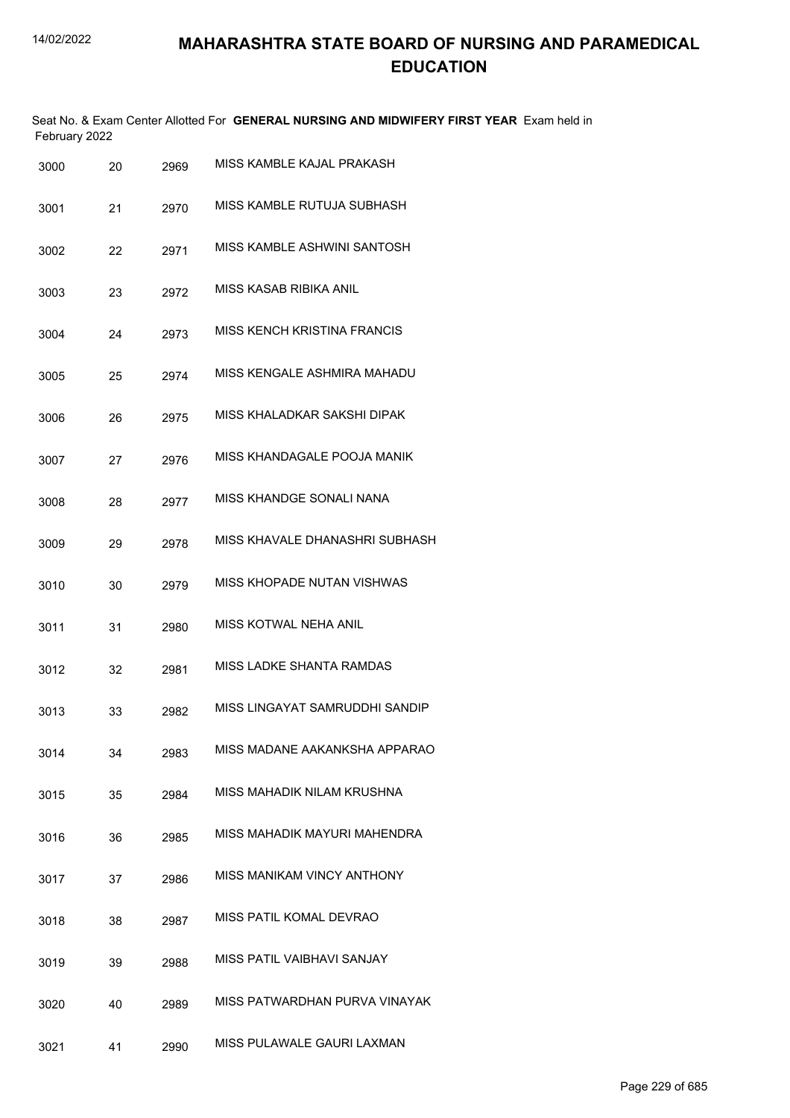|               |  |  | Seat No. & Exam Center Allotted For GENERAL NURSING AND MIDWIFERY FIRST YEAR Exam held in |  |  |
|---------------|--|--|-------------------------------------------------------------------------------------------|--|--|
| February 2022 |  |  |                                                                                           |  |  |

| 3000 | 20 | 2969 | MISS KAMBLE KAJAL PRAKASH         |
|------|----|------|-----------------------------------|
| 3001 | 21 | 2970 | MISS KAMBLE RUTUJA SUBHASH        |
| 3002 | 22 | 2971 | MISS KAMBLE ASHWINI SANTOSH       |
| 3003 | 23 | 2972 | MISS KASAB RIBIKA ANIL            |
| 3004 | 24 | 2973 | MISS KENCH KRISTINA FRANCIS       |
| 3005 | 25 | 2974 | MISS KENGALE ASHMIRA MAHADU       |
| 3006 | 26 | 2975 | MISS KHALADKAR SAKSHI DIPAK       |
| 3007 | 27 | 2976 | MISS KHANDAGALE POOJA MANIK       |
| 3008 | 28 | 2977 | MISS KHANDGE SONALI NANA          |
| 3009 | 29 | 2978 | MISS KHAVAI F DHANASHRI SUBHASH   |
| 3010 | 30 | 2979 | MISS KHOPADE NUTAN VISHWAS        |
| 3011 | 31 | 2980 | <b>MISS KOTWAL NEHA ANIL</b>      |
| 3012 | 32 | 2981 | MISS LADKE SHANTA RAMDAS          |
| 3013 | 33 | 2982 | MISS LINGAYAT SAMRUDDHI SANDIP    |
| 3014 | 34 | 2983 | MISS MADANE AAKANKSHA APPARAO     |
| 3015 | 35 | 2984 | MISS MAHADIK NILAM KRUSHNA        |
| 3016 | 36 | 2985 | MISS MAHADIK MAYURI MAHENDRA      |
| 3017 | 37 | 2986 | <b>MISS MANIKAM VINCY ANTHONY</b> |
| 3018 | 38 | 2987 | MISS PATIL KOMAL DEVRAO           |
| 3019 | 39 | 2988 | MISS PATIL VAIBHAVI SANJAY        |
| 3020 | 40 | 2989 | MISS PATWARDHAN PURVA VINAYAK     |
| 3021 | 41 | 2990 | MISS PULAWALE GAURI LAXMAN        |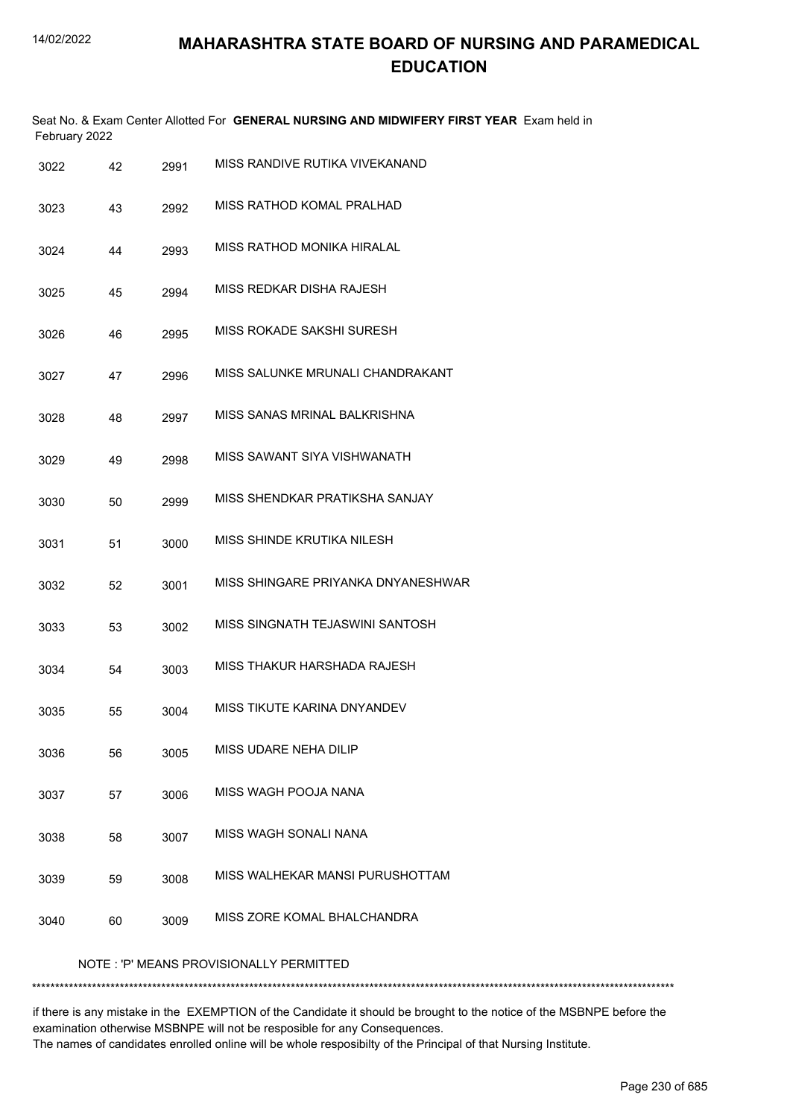|      | February 2022 |      | Seat No. & Exam Center Allotted For GENERAL NURSING AND MIDWIFERY FIRST YEAR Exam held in |
|------|---------------|------|-------------------------------------------------------------------------------------------|
| 3022 | 42            | 2991 | MISS RANDIVE RUTIKA VIVEKANAND                                                            |
| 3023 | 43            | 2992 | MISS RATHOD KOMAL PRALHAD                                                                 |
| 3024 | 44            | 2993 | MISS RATHOD MONIKA HIRALAL                                                                |
| 3025 | 45            | 2994 | MISS REDKAR DISHA RAJESH                                                                  |
| 3026 | 46            | 2995 | MISS ROKADE SAKSHI SURESH                                                                 |
| 3027 | 47            | 2996 | MISS SALUNKE MRUNALI CHANDRAKANT                                                          |
| 3028 | 48            | 2997 | MISS SANAS MRINAL BALKRISHNA                                                              |
| 3029 | 49            | 2998 | MISS SAWANT SIYA VISHWANATH                                                               |
| 3030 | 50            | 2999 | MISS SHENDKAR PRATIKSHA SANJAY                                                            |
| 3031 | 51            | 3000 | MISS SHINDE KRUTIKA NILESH                                                                |
| 3032 | 52            | 3001 | MISS SHINGARE PRIYANKA DNYANESHWAR                                                        |
| 3033 | 53            | 3002 | MISS SINGNATH TEJASWINI SANTOSH                                                           |
| 3034 | 54            | 3003 | MISS THAKUR HARSHADA RAJESH                                                               |
| 3035 | 55            | 3004 | MISS TIKUTE KARINA DNYANDEV                                                               |
| 3036 | 56            | 3005 | MISS UDARE NEHA DILIP                                                                     |
| 3037 | 57            | 3006 | MISS WAGH POOJA NANA                                                                      |
| 3038 | 58            | 3007 | MISS WAGH SONALI NANA                                                                     |
| 3039 | 59            | 3008 | MISS WALHEKAR MANSI PURUSHOTTAM                                                           |
| 3040 | 60            | 3009 | MISS ZORE KOMAL BHALCHANDRA                                                               |
|      |               |      | NOTE: 'P' MEANS PROVISIONALLY PERMITTED                                                   |

\*\*\*\*\*\*\*\*\*\*\*\*\*\*\*\*\*\*\*\*\*\*\*\*\*\*\*\*\*\*\*\*\*\*\*\*\*\*\*\*\*\*\*\*\*\*\*\*\*\*\*\*\*\*\*\*\*\*\*\*\*\*\*\*\*\*\*\*\*\*\*\*\*\*\*\*\*\*\*\*\*\*\*\*\*\*\*\*\*\*\*\*\*\*\*\*\*\*\*\*\*\*\*\*\*\*\*\*\*\*\*\*\*\*\*\*\*\*\*\*\*\*\*\*\*\*\*\*\*\*\*\*\*\*\*\*\*\*\*

if there is any mistake in the EXEMPTION of the Candidate it should be brought to the notice of the MSBNPE before the examination otherwise MSBNPE will not be resposible for any Consequences. The names of candidates enrolled online will be whole resposibilty of the Principal of that Nursing Institute.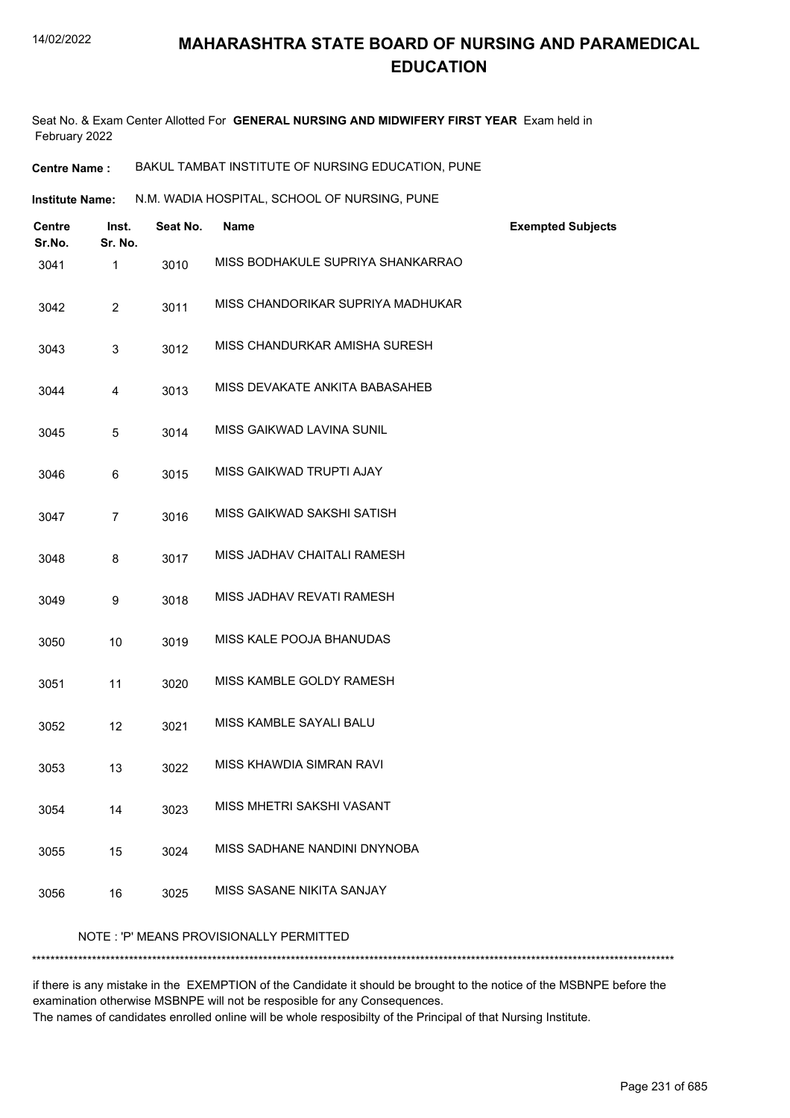Seat No. & Exam Center Allotted For **GENERAL NURSING AND MIDWIFERY FIRST YEAR** Exam held in February 2022

**Centre Name :** BAKUL TAMBAT INSTITUTE OF NURSING EDUCATION, PUNE

N.M. WADIA HOSPITAL, SCHOOL OF NURSING, PUNE **Institute Name:**

| <b>Centre</b><br>Sr.No. | Inst.<br>Sr. No. | Seat No. | <b>Name</b>                             | <b>Exempted Subjects</b> |
|-------------------------|------------------|----------|-----------------------------------------|--------------------------|
| 3041                    | 1                | 3010     | MISS BODHAKULE SUPRIYA SHANKARRAO       |                          |
| 3042                    | $\overline{2}$   | 3011     | MISS CHANDORIKAR SUPRIYA MADHUKAR       |                          |
| 3043                    | 3                | 3012     | MISS CHANDURKAR AMISHA SURESH           |                          |
| 3044                    | 4                | 3013     | MISS DEVAKATE ANKITA BABASAHEB          |                          |
| 3045                    | 5                | 3014     | MISS GAIKWAD LAVINA SUNIL               |                          |
| 3046                    | 6                | 3015     | MISS GAIKWAD TRUPTI AJAY                |                          |
| 3047                    | $\overline{7}$   | 3016     | MISS GAIKWAD SAKSHI SATISH              |                          |
| 3048                    | 8                | 3017     | MISS JADHAV CHAITALI RAMESH             |                          |
| 3049                    | 9                | 3018     | MISS JADHAV REVATI RAMESH               |                          |
| 3050                    | 10               | 3019     | MISS KALE POOJA BHANUDAS                |                          |
| 3051                    | 11               | 3020     | MISS KAMBLE GOLDY RAMESH                |                          |
| 3052                    | 12               | 3021     | MISS KAMBLE SAYALI BALU                 |                          |
| 3053                    | 13               | 3022     | MISS KHAWDIA SIMRAN RAVI                |                          |
| 3054                    | 14               | 3023     | MISS MHETRI SAKSHI VASANT               |                          |
| 3055                    | 15               | 3024     | MISS SADHANE NANDINI DNYNOBA            |                          |
| 3056                    | 16               | 3025     | MISS SASANE NIKITA SANJAY               |                          |
|                         |                  |          | NOTE: 'P' MEANS PROVISIONALLY PERMITTED |                          |
|                         |                  |          |                                         |                          |

if there is any mistake in the EXEMPTION of the Candidate it should be brought to the notice of the MSBNPE before the examination otherwise MSBNPE will not be resposible for any Consequences. The names of candidates enrolled online will be whole resposibilty of the Principal of that Nursing Institute.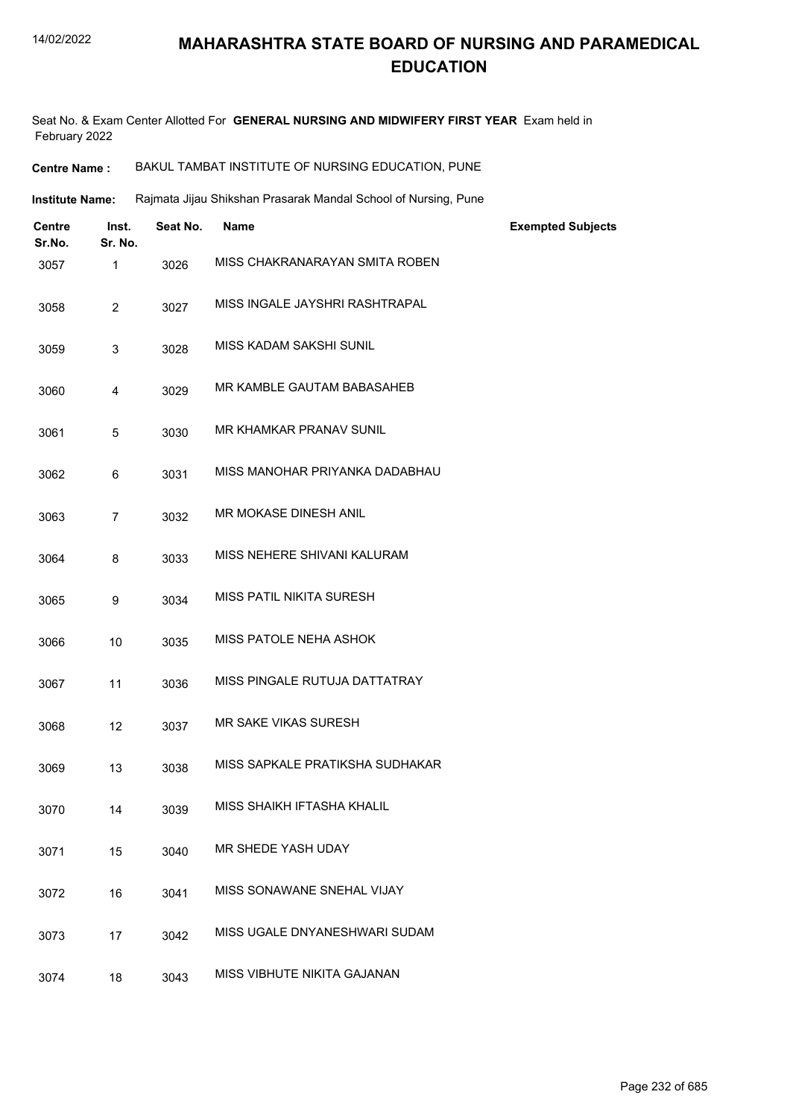Seat No. & Exam Center Allotted For **GENERAL NURSING AND MIDWIFERY FIRST YEAR** Exam held in February 2022

| <b>Centre Name :</b> | BAKUL TAMBAT INSTITUTE OF NURSING EDUCATION, PUNE |
|----------------------|---------------------------------------------------|
|----------------------|---------------------------------------------------|

Rajmata Jijau Shikshan Prasarak Mandal School of Nursing, Pune **Institute Name:**

| Centre<br>Sr.No. | Inst.<br>Sr. No. | Seat No. | <b>Name</b>                     | <b>Exempted Subjects</b> |
|------------------|------------------|----------|---------------------------------|--------------------------|
| 3057             | 1                | 3026     | MISS CHAKRANARAYAN SMITA ROBEN  |                          |
| 3058             | $\overline{c}$   | 3027     | MISS INGALE JAYSHRI RASHTRAPAL  |                          |
| 3059             | 3                | 3028     | MISS KADAM SAKSHI SUNIL         |                          |
| 3060             | 4                | 3029     | MR KAMBLE GAUTAM BABASAHEB      |                          |
| 3061             | 5                | 3030     | MR KHAMKAR PRANAV SUNIL         |                          |
| 3062             | 6                | 3031     | MISS MANOHAR PRIYANKA DADABHAU  |                          |
| 3063             | $\overline{7}$   | 3032     | MR MOKASE DINESH ANIL           |                          |
| 3064             | 8                | 3033     | MISS NEHERE SHIVANI KALURAM     |                          |
| 3065             | 9                | 3034     | MISS PATIL NIKITA SURESH        |                          |
| 3066             | 10               | 3035     | MISS PATOLE NEHA ASHOK          |                          |
| 3067             | 11               | 3036     | MISS PINGALE RUTUJA DATTATRAY   |                          |
| 3068             | 12               | 3037     | <b>MR SAKE VIKAS SURESH</b>     |                          |
| 3069             | 13               | 3038     | MISS SAPKALE PRATIKSHA SUDHAKAR |                          |
| 3070             | 14               | 3039     | MISS SHAIKH IFTASHA KHALIL      |                          |
| 3071             | 15               | 3040     | MR SHEDE YASH UDAY              |                          |
| 3072             | 16               | 3041     | MISS SONAWANE SNEHAL VIJAY      |                          |
| 3073             | 17               | 3042     | MISS UGALE DNYANESHWARI SUDAM   |                          |
| 3074             | 18               | 3043     | MISS VIBHUTE NIKITA GAJANAN     |                          |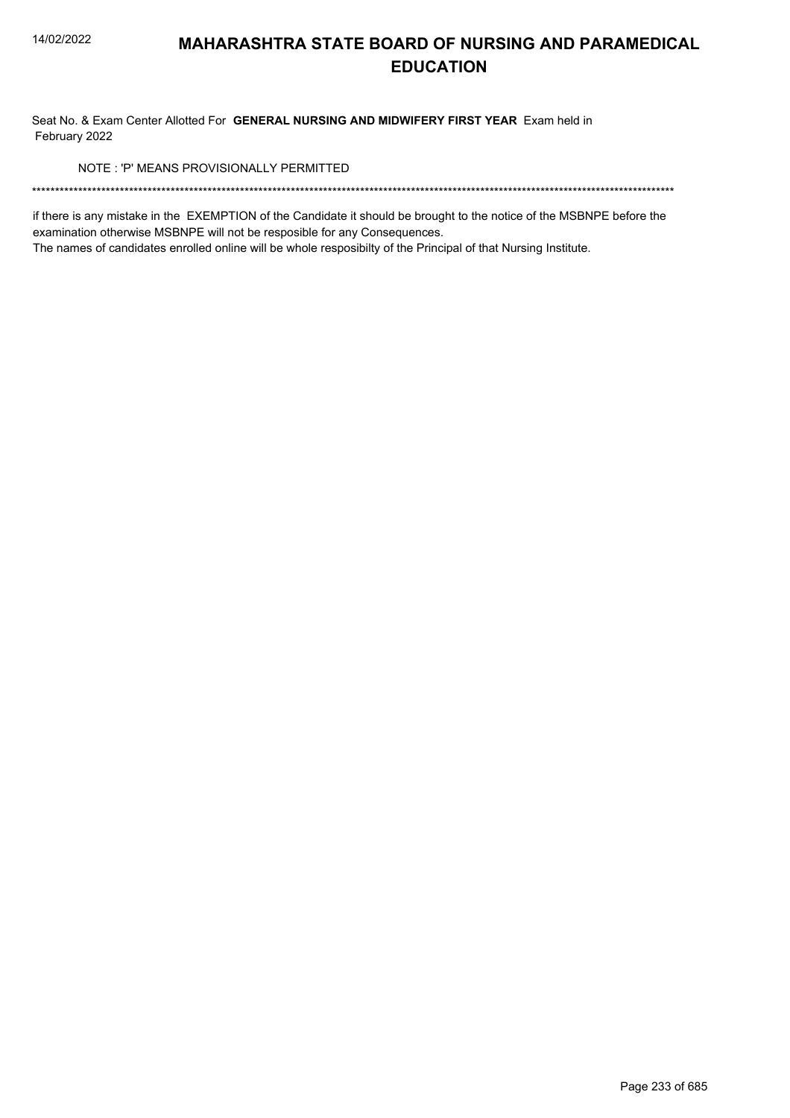Seat No. & Exam Center Allotted For GENERAL NURSING AND MIDWIFERY FIRST YEAR Exam held in February 2022

NOTE: 'P' MEANS PROVISIONALLY PERMITTED

if there is any mistake in the EXEMPTION of the Candidate it should be brought to the notice of the MSBNPE before the examination otherwise MSBNPE will not be resposible for any Consequences.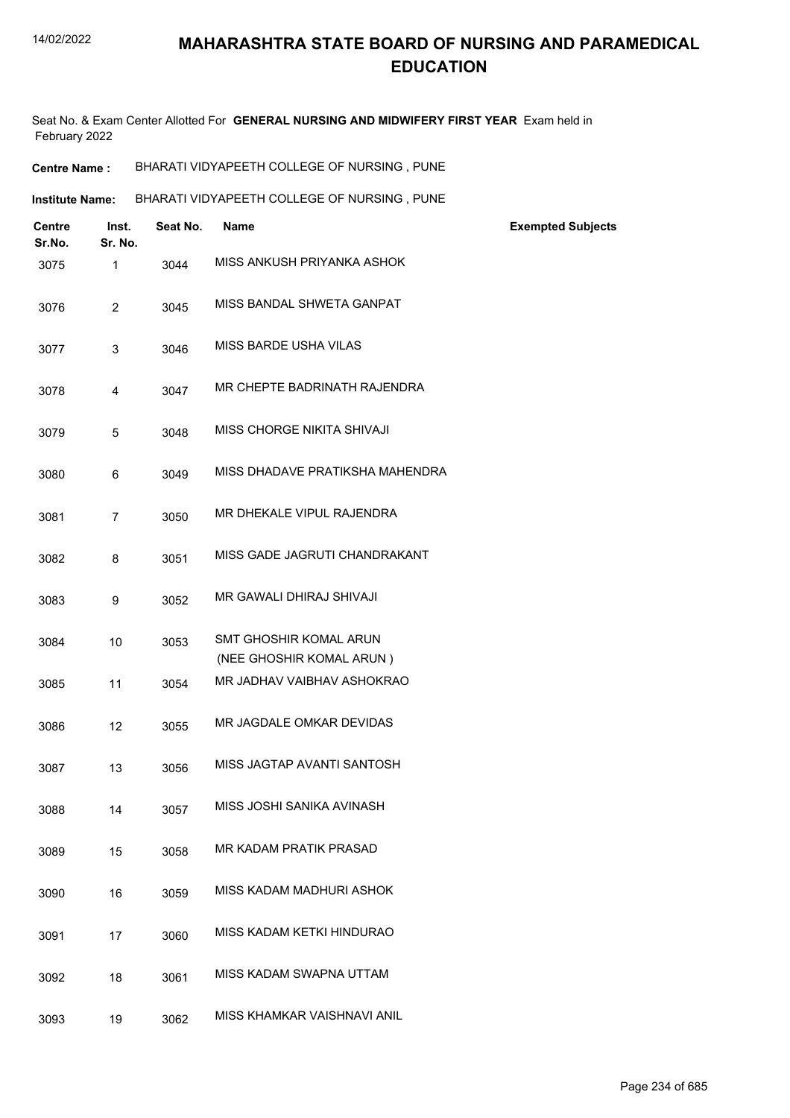Seat No. & Exam Center Allotted For **GENERAL NURSING AND MIDWIFERY FIRST YEAR** Exam held in February 2022

| BHARATI VIDYAPEETH COLLEGE OF NURSING, PUNE<br><b>Centre Name :</b> |
|---------------------------------------------------------------------|
|---------------------------------------------------------------------|

| BHARATI VIDYAPEETH COLLEGE OF NURSING, PUNE<br><b>Institute Name:</b> |
|-----------------------------------------------------------------------|
|-----------------------------------------------------------------------|

| Centre<br>Sr.No. | Inst.<br>Sr. No. | Seat No. | <b>Name</b>                                        | <b>Exempted Subjects</b> |
|------------------|------------------|----------|----------------------------------------------------|--------------------------|
| 3075             | 1                | 3044     | MISS ANKUSH PRIYANKA ASHOK                         |                          |
| 3076             | $\overline{2}$   | 3045     | MISS BANDAL SHWETA GANPAT                          |                          |
| 3077             | 3                | 3046     | <b>MISS BARDE USHA VILAS</b>                       |                          |
| 3078             | 4                | 3047     | MR CHEPTE BADRINATH RAJENDRA                       |                          |
| 3079             | 5                | 3048     | MISS CHORGE NIKITA SHIVAJI                         |                          |
| 3080             | 6                | 3049     | MISS DHADAVE PRATIKSHA MAHENDRA                    |                          |
| 3081             | $\overline{7}$   | 3050     | MR DHEKALE VIPUL RAJENDRA                          |                          |
| 3082             | 8                | 3051     | MISS GADE JAGRUTI CHANDRAKANT                      |                          |
| 3083             | 9                | 3052     | MR GAWALI DHIRAJ SHIVAJI                           |                          |
| 3084             | 10               | 3053     | SMT GHOSHIR KOMAL ARUN<br>(NEE GHOSHIR KOMAL ARUN) |                          |
| 3085             | 11               | 3054     | MR JADHAV VAIBHAV ASHOKRAO                         |                          |
| 3086             | 12               | 3055     | MR JAGDALE OMKAR DEVIDAS                           |                          |
| 3087             | 13               | 3056     | MISS JAGTAP AVANTI SANTOSH                         |                          |
| 3088             | 14               | 3057     | MISS JOSHI SANIKA AVINASH                          |                          |
| 3089             | 15               | 3058     | MR KADAM PRATIK PRASAD                             |                          |
| 3090             | 16               | 3059     | MISS KADAM MADHURI ASHOK                           |                          |
| 3091             | 17               | 3060     | MISS KADAM KETKI HINDURAO                          |                          |
| 3092             | 18               | 3061     | MISS KADAM SWAPNA UTTAM                            |                          |
| 3093             | 19               | 3062     | MISS KHAMKAR VAISHNAVI ANIL                        |                          |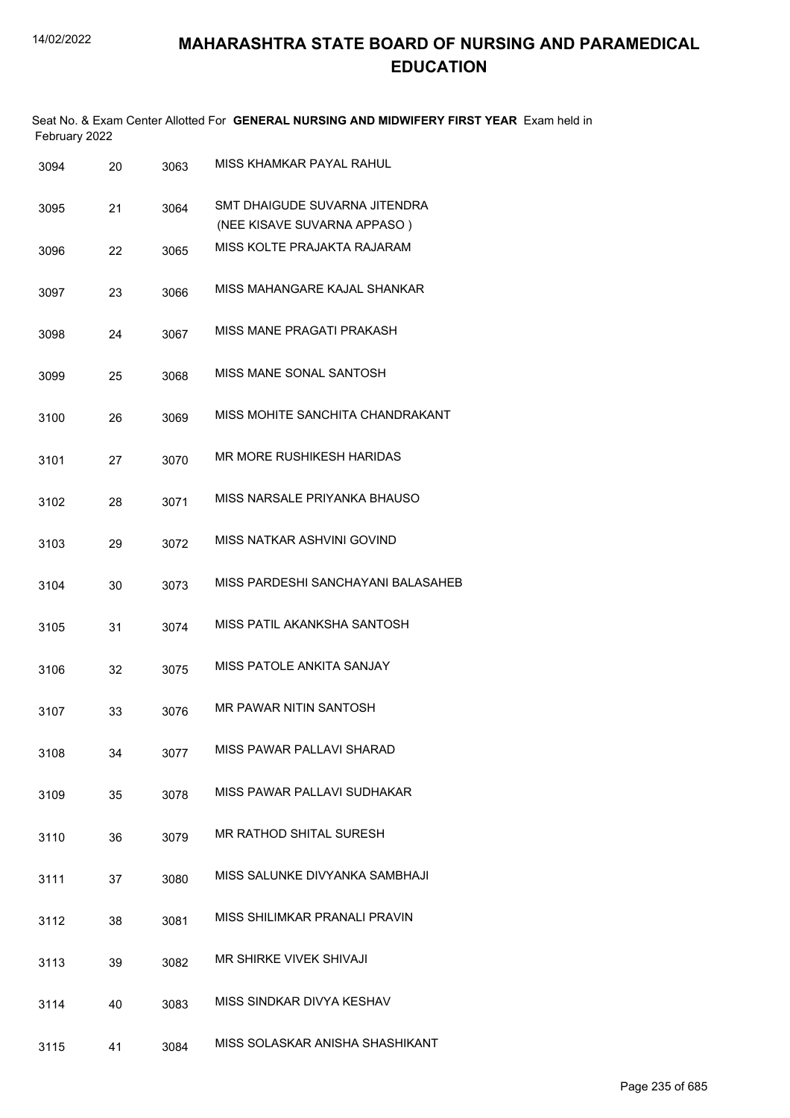| February 2022 |    |      | Seat No. & Exam Center Allotted For GENERAL NURSING AND MIDWIFERY FIRST YEAR Exam held in |
|---------------|----|------|-------------------------------------------------------------------------------------------|
| 3094          | 20 | 3063 | MISS KHAMKAR PAYAL RAHUL                                                                  |
| 3095          | 21 | 3064 | SMT DHAIGUDE SUVARNA JITENDRA<br>(NEE KISAVE SUVARNA APPASO)                              |
| 3096          | 22 | 3065 | MISS KOLTE PRAJAKTA RAJARAM                                                               |
| 3097          | 23 | 3066 | MISS MAHANGARE KAJAL SHANKAR                                                              |
| 3098          | 24 | 3067 | MISS MANE PRAGATI PRAKASH                                                                 |
| 3099          | 25 | 3068 | MISS MANE SONAL SANTOSH                                                                   |
| 3100          | 26 | 3069 | MISS MOHITE SANCHITA CHANDRAKANT                                                          |
| 3101          | 27 | 3070 | MR MORE RUSHIKESH HARIDAS                                                                 |
| 3102          | 28 | 3071 | MISS NARSALE PRIYANKA BHAUSO                                                              |
| 3103          | 29 | 3072 | MISS NATKAR ASHVINI GOVIND                                                                |
| 3104          | 30 | 3073 | MISS PARDESHI SANCHAYANI BALASAHEB                                                        |
| 3105          | 31 | 3074 | MISS PATIL AKANKSHA SANTOSH                                                               |
| 3106          | 32 | 3075 | MISS PATOLE ANKITA SANJAY                                                                 |
| 3107          | 33 | 3076 | MR PAWAR NITIN SANTOSH                                                                    |
| 3108          | 34 | 3077 | MISS PAWAR PALLAVI SHARAD                                                                 |
| 3109          | 35 | 3078 | MISS PAWAR PALLAVI SUDHAKAR                                                               |
| 3110          | 36 | 3079 | MR RATHOD SHITAL SURESH                                                                   |
| 3111          | 37 | 3080 | MISS SALUNKE DIVYANKA SAMBHAJI                                                            |
| 3112          | 38 | 3081 | MISS SHILIMKAR PRANALI PRAVIN                                                             |
| 3113          | 39 | 3082 | MR SHIRKE VIVEK SHIVAJI                                                                   |
| 3114          | 40 | 3083 | MISS SINDKAR DIVYA KESHAV                                                                 |
| 3115          | 41 | 3084 | MISS SOLASKAR ANISHA SHASHIKANT                                                           |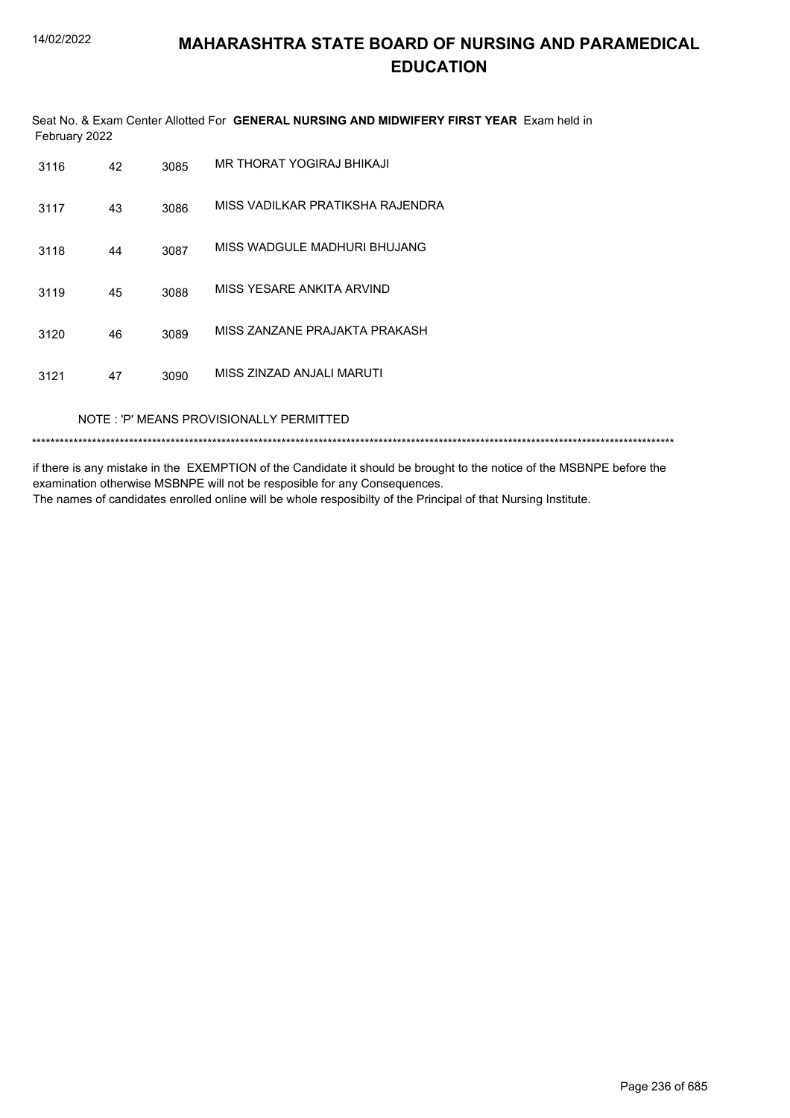Seat No. & Exam Center Allotted For **GENERAL NURSING AND MIDWIFERY FIRST YEAR** Exam held in February 2022

| 3116 | 42                                      | 3085 | MR THORAT YOGIRAJ BHIKAJI        |  |  |  |
|------|-----------------------------------------|------|----------------------------------|--|--|--|
| 3117 | 43                                      | 3086 | MISS VADILKAR PRATIKSHA RAJENDRA |  |  |  |
| 3118 | 44                                      | 3087 | MISS WADGULE MADHURI BHUJANG     |  |  |  |
| 3119 | 45                                      | 3088 | MISS YESARE ANKITA ARVIND        |  |  |  |
| 3120 | 46                                      | 3089 | MISS ZANZANE PRAJAKTA PRAKASH    |  |  |  |
| 3121 | 47                                      | 3090 | MISS ZINZAD ANJALI MARUTI        |  |  |  |
|      | NOTE: 'P' MEANS PROVISIONALLY PERMITTED |      |                                  |  |  |  |

\*\*\*\*\*\*\*\*\*\*\*\*\*\*\*\*\*\*\*\*\*\*\*\*\*\*\*\*\*\*\*\*\*\*\*\*\*\*\*\*\*\*\*\*\*\*\*\*\*\*\*\*\*\*\*\*\*\*\*\*\*\*\*\*\*\*\*\*\*\*\*\*\*\*\*\*\*\*\*\*\*\*\*\*\*\*\*\*\*\*\*\*\*\*\*\*\*\*\*\*\*\*\*\*\*\*\*\*\*\*\*\*\*\*\*\*\*\*\*\*\*\*\*\*\*\*\*\*\*\*\*\*\*\*\*\*\*\*\*

if there is any mistake in the EXEMPTION of the Candidate it should be brought to the notice of the MSBNPE before the examination otherwise MSBNPE will not be resposible for any Consequences.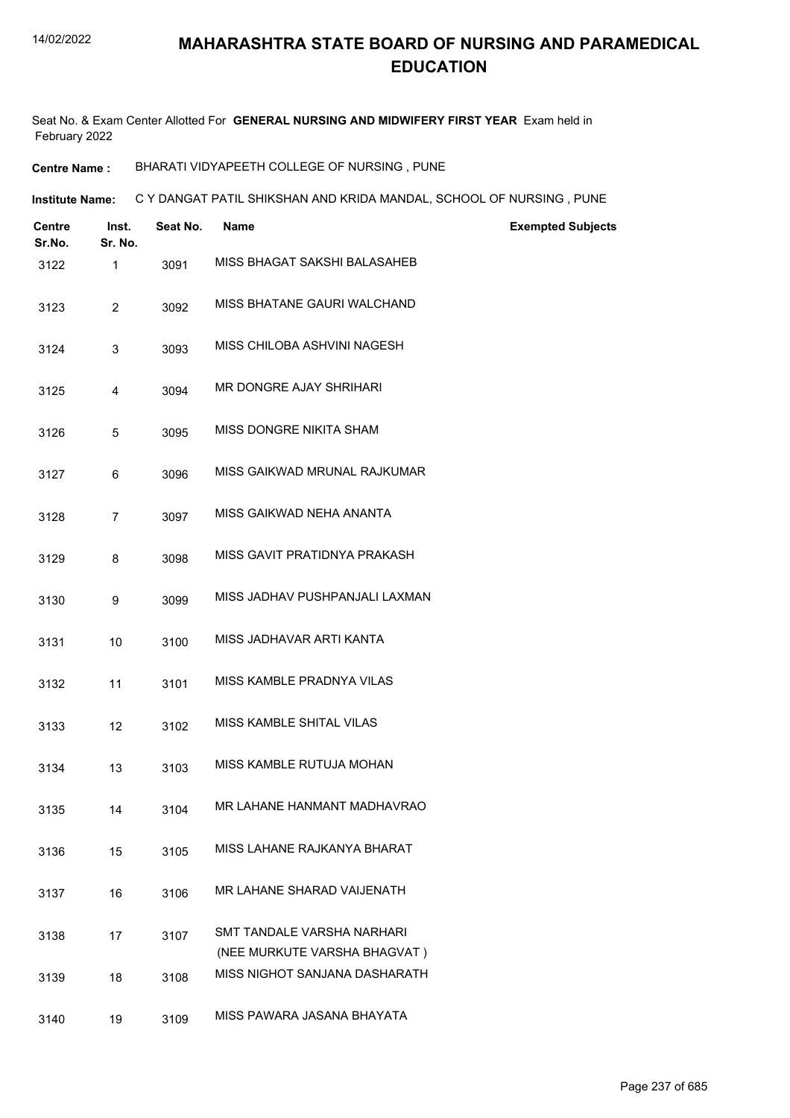Seat No. & Exam Center Allotted For **GENERAL NURSING AND MIDWIFERY FIRST YEAR** Exam held in February 2022

**Centre Name :** BHARATI VIDYAPEETH COLLEGE OF NURSING , PUNE

**Institute Name: C Y DANGAT PATIL SHIKSHAN AND KRIDA MANDAL, SCHOOL OF NURSING , PUNE** 

| Centre<br>Sr.No. | Inst.<br>Sr. No. | Seat No. | <b>Name</b>                                                | <b>Exempted Subjects</b> |
|------------------|------------------|----------|------------------------------------------------------------|--------------------------|
| 3122             | 1                | 3091     | MISS BHAGAT SAKSHI BALASAHEB                               |                          |
| 3123             | $\overline{2}$   | 3092     | MISS BHATANE GAURI WALCHAND                                |                          |
| 3124             | 3                | 3093     | MISS CHILOBA ASHVINI NAGESH                                |                          |
| 3125             | 4                | 3094     | MR DONGRE AJAY SHRIHARI                                    |                          |
| 3126             | 5                | 3095     | MISS DONGRE NIKITA SHAM                                    |                          |
| 3127             | 6                | 3096     | MISS GAIKWAD MRUNAL RAJKUMAR                               |                          |
| 3128             | $\overline{7}$   | 3097     | MISS GAIKWAD NEHA ANANTA                                   |                          |
| 3129             | 8                | 3098     | MISS GAVIT PRATIDNYA PRAKASH                               |                          |
| 3130             | 9                | 3099     | MISS JADHAV PUSHPANJALI LAXMAN                             |                          |
| 3131             | 10               | 3100     | MISS JADHAVAR ARTI KANTA                                   |                          |
| 3132             | 11               | 3101     | MISS KAMBLE PRADNYA VILAS                                  |                          |
| 3133             | 12               | 3102     | <b>MISS KAMBLE SHITAL VILAS</b>                            |                          |
| 3134             | 13               | 3103     | MISS KAMBLE RUTUJA MOHAN                                   |                          |
| 3135             | 14               | 3104     | MR LAHANE HANMANT MADHAVRAO                                |                          |
| 3136             | 15               | 3105     | MISS LAHANE RAJKANYA BHARAT                                |                          |
| 3137             | 16               | 3106     | MR LAHANE SHARAD VAIJENATH                                 |                          |
| 3138             | 17               | 3107     | SMT TANDALE VARSHA NARHARI<br>(NEE MURKUTE VARSHA BHAGVAT) |                          |
| 3139             | 18               | 3108     | MISS NIGHOT SANJANA DASHARATH                              |                          |
| 3140             | 19               | 3109     | MISS PAWARA JASANA BHAYATA                                 |                          |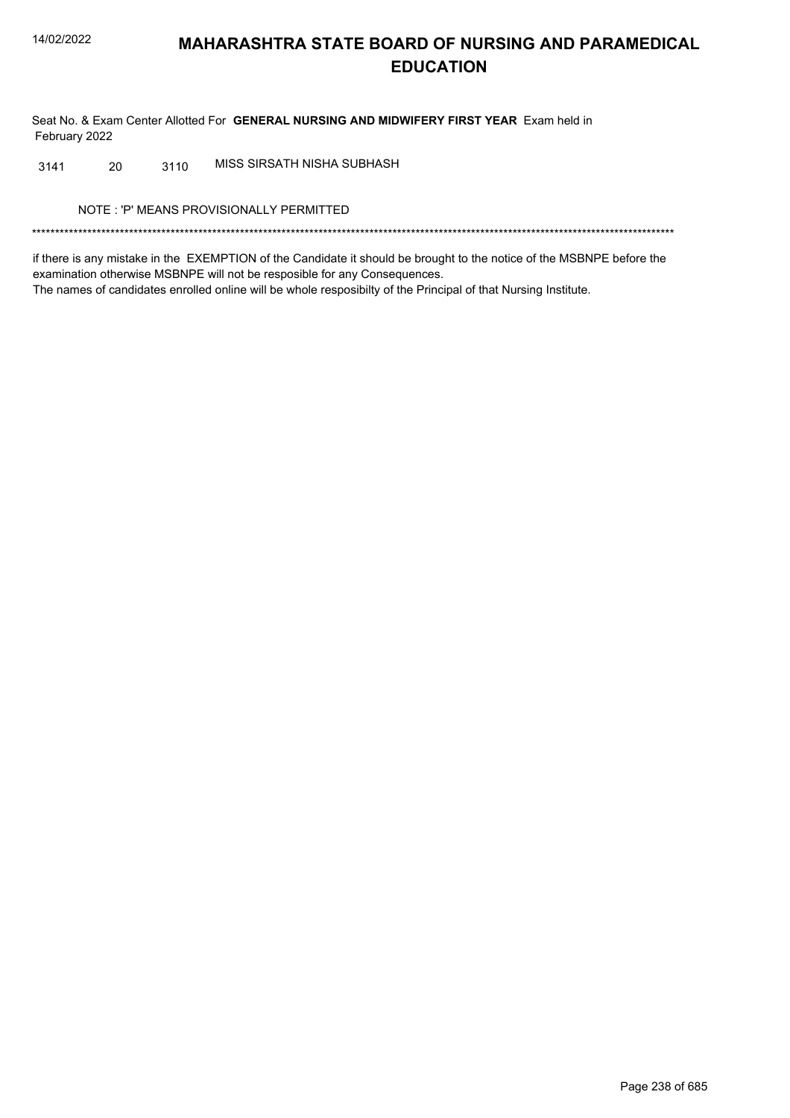Seat No. & Exam Center Allotted For GENERAL NURSING AND MIDWIFERY FIRST YEAR Exam held in February 2022

MISS SIRSATH NISHA SUBHASH 20 3110 3141

NOTE: 'P' MEANS PROVISIONALLY PERMITTED

if there is any mistake in the EXEMPTION of the Candidate it should be brought to the notice of the MSBNPE before the examination otherwise MSBNPE will not be resposible for any Consequences. The names of candidates enrolled online will be whole resposibilty of the Principal of that Nursing Institute.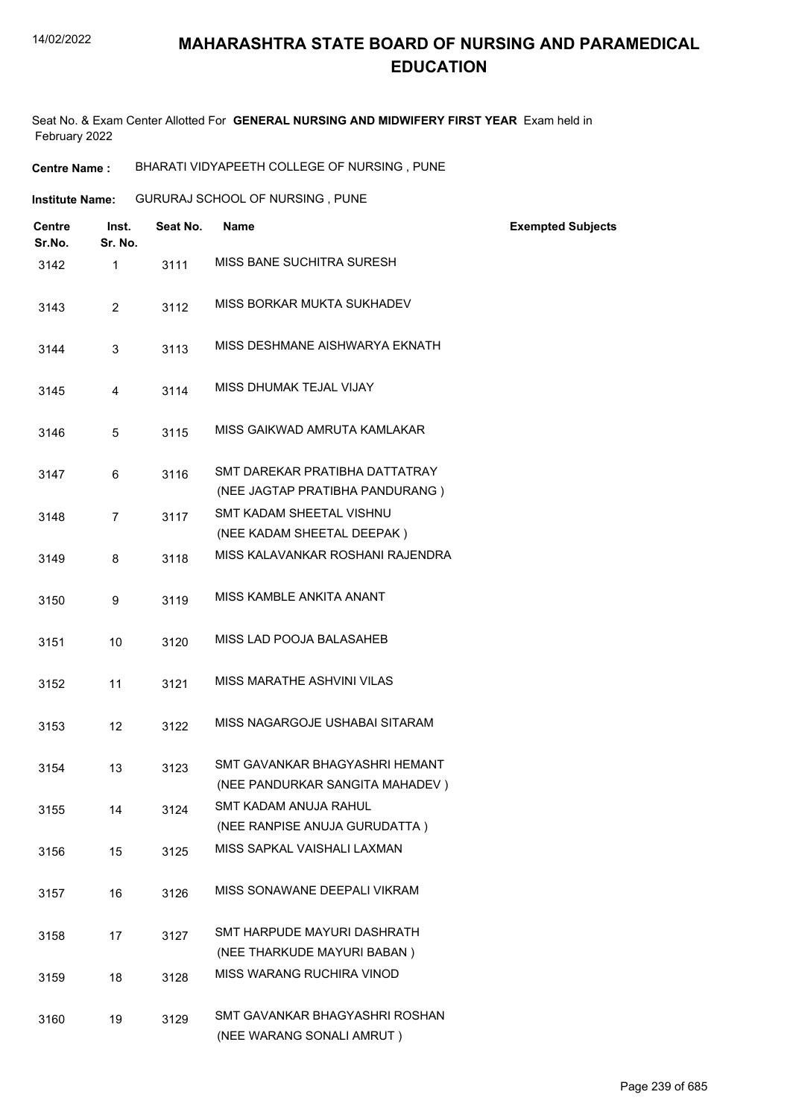Seat No. & Exam Center Allotted For **GENERAL NURSING AND MIDWIFERY FIRST YEAR** Exam held in February 2022

**Centre Name :** BHARATI VIDYAPEETH COLLEGE OF NURSING , PUNE

| Institute Name: | <b>GURURAJ SCHOOL OF NURSING, PUNE</b> |  |
|-----------------|----------------------------------------|--|
|                 |                                        |  |

| <b>Centre</b><br>Sr.No. | Inst.<br>Sr. No. | Seat No. | <b>Name</b>                                                       | <b>Exempted Subjects</b> |
|-------------------------|------------------|----------|-------------------------------------------------------------------|--------------------------|
| 3142                    | $\mathbf{1}$     | 3111     | MISS BANE SUCHITRA SURESH                                         |                          |
| 3143                    | $\overline{2}$   | 3112     | MISS BORKAR MUKTA SUKHADEV                                        |                          |
| 3144                    | 3                | 3113     | MISS DESHMANE AISHWARYA EKNATH                                    |                          |
| 3145                    | 4                | 3114     | MISS DHUMAK TEJAL VIJAY                                           |                          |
| 3146                    | 5                | 3115     | MISS GAIKWAD AMRUTA KAMLAKAR                                      |                          |
| 3147                    | 6                | 3116     | SMT DAREKAR PRATIBHA DATTATRAY<br>(NEE JAGTAP PRATIBHA PANDURANG) |                          |
| 3148                    | $\overline{7}$   | 3117     | SMT KADAM SHEETAL VISHNU                                          |                          |
|                         |                  |          | (NEE KADAM SHEETAL DEEPAK)                                        |                          |
| 3149                    | 8                | 3118     | MISS KALAVANKAR ROSHANI RAJENDRA                                  |                          |
| 3150                    | 9                | 3119     | MISS KAMBLE ANKITA ANANT                                          |                          |
| 3151                    | 10               | 3120     | MISS LAD POOJA BALASAHEB                                          |                          |
| 3152                    | 11               | 3121     | MISS MARATHE ASHVINI VILAS                                        |                          |
| 3153                    | 12               | 3122     | MISS NAGARGOJE USHABAI SITARAM                                    |                          |
| 3154                    | 13               | 3123     | SMT GAVANKAR BHAGYASHRI HEMANT<br>(NEE PANDURKAR SANGITA MAHADEV) |                          |
| 3155                    | 14               | 3124     | SMT KADAM ANUJA RAHUL<br>(NEE RANPISE ANUJA GURUDATTA)            |                          |
| 3156                    | 15               | 3125     | MISS SAPKAL VAISHALI LAXMAN                                       |                          |
| 3157                    | 16               | 3126     | MISS SONAWANE DEEPALI VIKRAM                                      |                          |
| 3158                    | 17               | 3127     | SMT HARPUDE MAYURI DASHRATH<br>(NEE THARKUDE MAYURI BABAN)        |                          |
| 3159                    | 18               | 3128     | MISS WARANG RUCHIRA VINOD                                         |                          |
| 3160                    | 19               | 3129     | SMT GAVANKAR BHAGYASHRI ROSHAN<br>(NEE WARANG SONALI AMRUT)       |                          |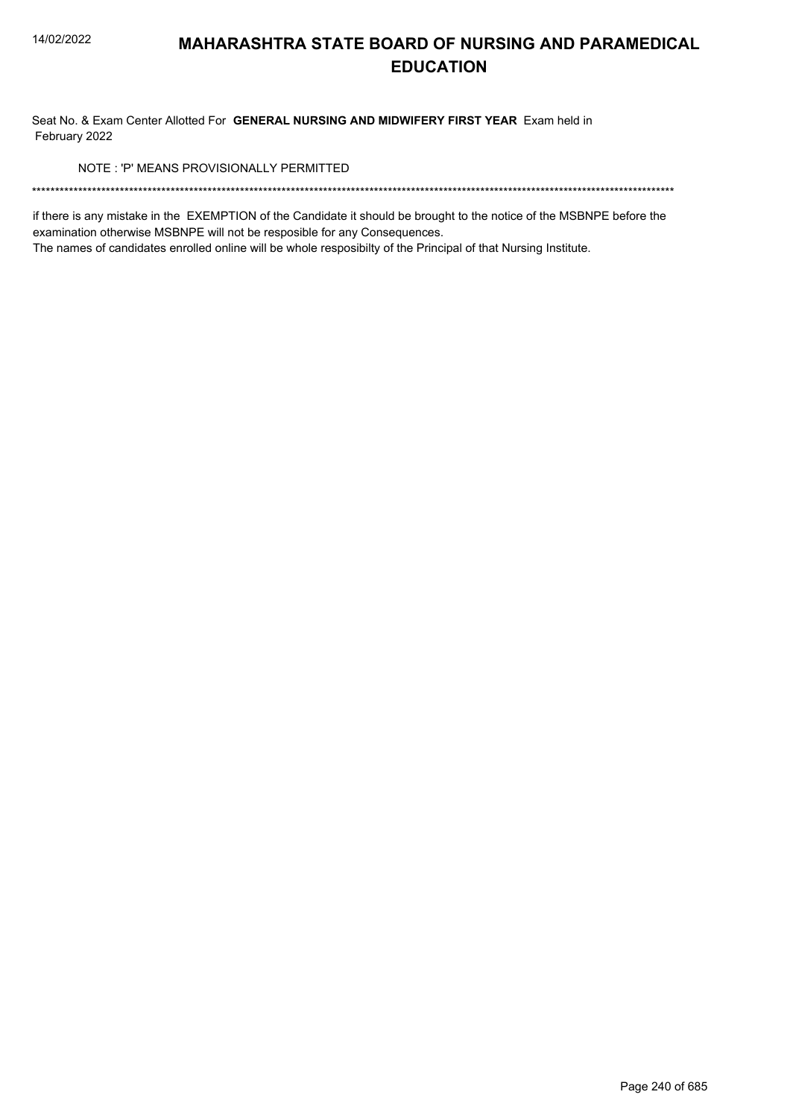Seat No. & Exam Center Allotted For GENERAL NURSING AND MIDWIFERY FIRST YEAR Exam held in February 2022

NOTE: 'P' MEANS PROVISIONALLY PERMITTED

if there is any mistake in the EXEMPTION of the Candidate it should be brought to the notice of the MSBNPE before the examination otherwise MSBNPE will not be resposible for any Consequences.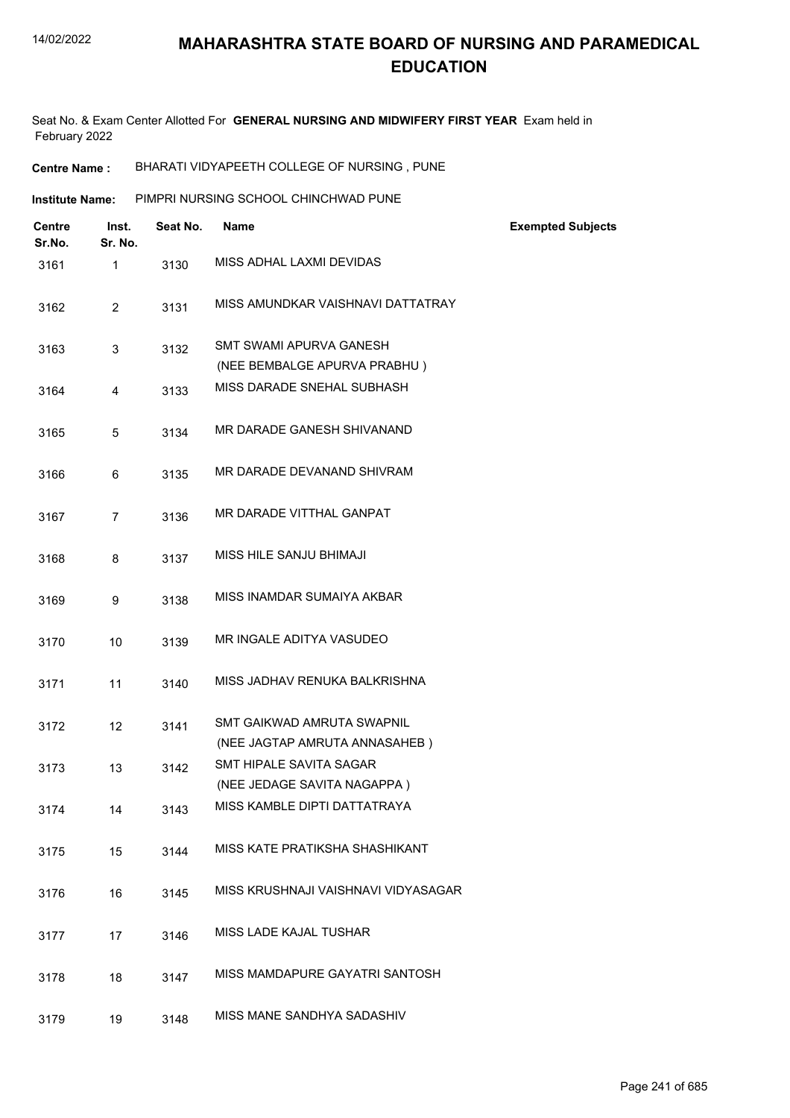Seat No. & Exam Center Allotted For **GENERAL NURSING AND MIDWIFERY FIRST YEAR** Exam held in February 2022

**Centre Name :** BHARATI VIDYAPEETH COLLEGE OF NURSING , PUNE

| <b>Institute Name:</b> | PIMPRI NURSING SCHOOL CHINCHWAD PUNE |  |
|------------------------|--------------------------------------|--|
|                        |                                      |  |

| <b>Centre</b><br>Sr.No. | Inst.<br>Sr. No. | Seat No. | Name                                                        | <b>Exempted Subjects</b> |
|-------------------------|------------------|----------|-------------------------------------------------------------|--------------------------|
| 3161                    | $\mathbf{1}$     | 3130     | MISS ADHAL LAXMI DEVIDAS                                    |                          |
| 3162                    | $\overline{2}$   | 3131     | MISS AMUNDKAR VAISHNAVI DATTATRAY                           |                          |
| 3163                    | 3                | 3132     | SMT SWAMI APURVA GANESH<br>(NEE BEMBALGE APURVA PRABHU)     |                          |
| 3164                    | 4                | 3133     | MISS DARADE SNEHAL SUBHASH                                  |                          |
| 3165                    | 5                | 3134     | MR DARADE GANESH SHIVANAND                                  |                          |
| 3166                    | 6                | 3135     | MR DARADE DEVANAND SHIVRAM                                  |                          |
| 3167                    | 7                | 3136     | MR DARADE VITTHAL GANPAT                                    |                          |
| 3168                    | 8                | 3137     | MISS HILE SANJU BHIMAJI                                     |                          |
| 3169                    | 9                | 3138     | MISS INAMDAR SUMAIYA AKBAR                                  |                          |
| 3170                    | 10               | 3139     | MR INGALE ADITYA VASUDEO                                    |                          |
| 3171                    | 11               | 3140     | MISS JADHAV RENUKA BALKRISHNA                               |                          |
| 3172                    | 12               | 3141     | SMT GAIKWAD AMRUTA SWAPNIL                                  |                          |
| 3173                    | 13               | 3142     | (NEE JAGTAP AMRUTA ANNASAHEB)<br>SMT HIPALE SAVITA SAGAR    |                          |
| 3174                    | 14               | 3143     | (NEE JEDAGE SAVITA NAGAPPA)<br>MISS KAMBLE DIPTI DATTATRAYA |                          |
| 3175                    | 15               | 3144     | MISS KATE PRATIKSHA SHASHIKANT                              |                          |
| 3176                    | 16               | 3145     | MISS KRUSHNAJI VAISHNAVI VIDYASAGAR                         |                          |
| 3177                    | 17               | 3146     | MISS LADE KAJAL TUSHAR                                      |                          |
| 3178                    | 18               | 3147     | MISS MAMDAPURE GAYATRI SANTOSH                              |                          |
| 3179                    | 19               | 3148     | MISS MANE SANDHYA SADASHIV                                  |                          |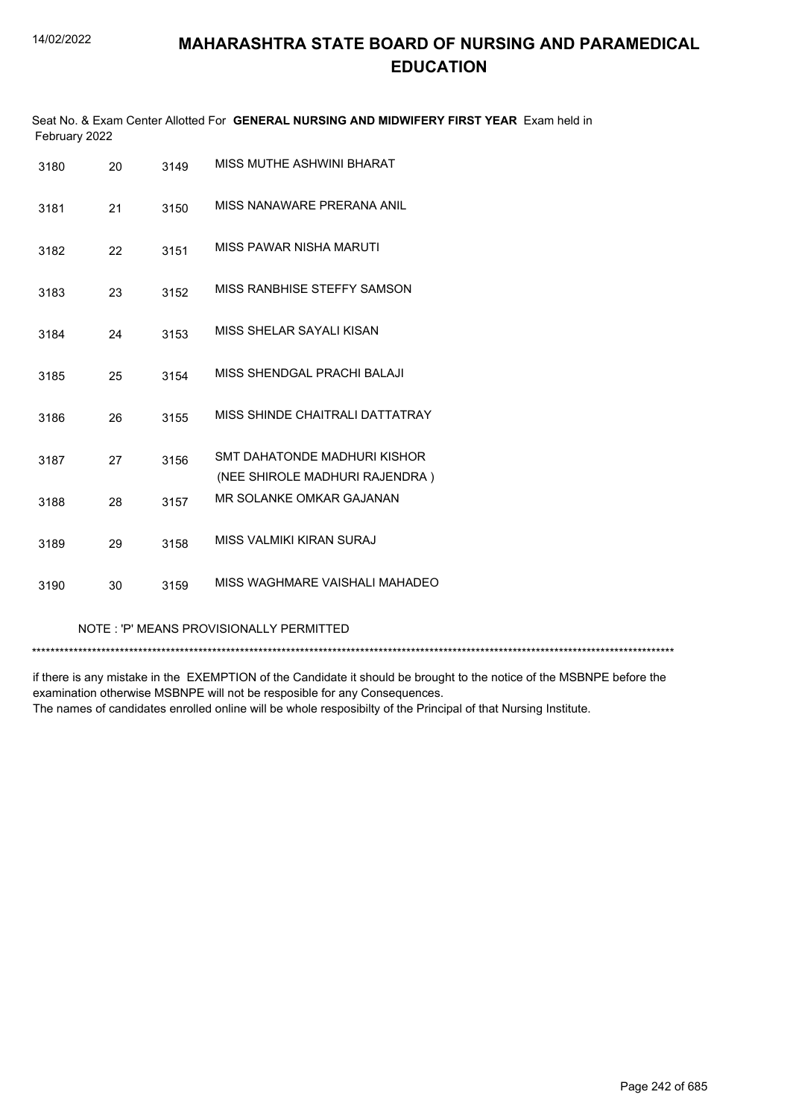| Seat No. & Exam Center Allotted For GENERAL NURSING AND MIDWIFERY FIRST YEAR Exam held in<br>February 2022 |    |      |                                                                |  |  |
|------------------------------------------------------------------------------------------------------------|----|------|----------------------------------------------------------------|--|--|
| 3180                                                                                                       | 20 | 3149 | MISS MUTHE ASHWINI BHARAT                                      |  |  |
| 3181                                                                                                       | 21 | 3150 | MISS NANAWARF PRFRANA ANII                                     |  |  |
| 3182                                                                                                       | 22 | 3151 | MISS PAWAR NISHA MARUTI                                        |  |  |
| 3183                                                                                                       | 23 | 3152 | MISS RANBHISE STEFFY SAMSON                                    |  |  |
| 3184                                                                                                       | 24 | 3153 | MISS SHELAR SAYALI KISAN                                       |  |  |
| 3185                                                                                                       | 25 | 3154 | MISS SHENDGAL PRACHI BALAJI                                    |  |  |
| 3186                                                                                                       | 26 | 3155 | MISS SHINDE CHAITRALI DATTATRAY                                |  |  |
| 3187                                                                                                       | 27 | 3156 | SMT DAHATONDE MADHURI KISHOR<br>(NEE SHIROLE MADHURI RAJENDRA) |  |  |
| 3188                                                                                                       | 28 | 3157 | MR SOLANKE OMKAR GAJANAN                                       |  |  |
| 3189                                                                                                       | 29 | 3158 | MISS VALMIKI KIRAN SURAJ                                       |  |  |
| 3190                                                                                                       | 30 | 3159 | MISS WAGHMARE VAISHALI MAHADEO                                 |  |  |

#### NOTE : 'P' MEANS PROVISIONALLY PERMITTED

\*\*\*\*\*\*\*\*\*\*\*\*\*\*\*\*\*\*\*\*\*\*\*\*\*\*\*\*\*\*\*\*\*\*\*\*\*\*\*\*\*\*\*\*\*\*\*\*\*\*\*\*\*\*\*\*\*\*\*\*\*\*\*\*\*\*\*\*\*\*\*\*\*\*\*\*\*\*\*\*\*\*\*\*\*\*\*\*\*\*\*\*\*\*\*\*\*\*\*\*\*\*\*\*\*\*\*\*\*\*\*\*\*\*\*\*\*\*\*\*\*\*\*\*\*\*\*\*\*\*\*\*\*\*\*\*\*\*\*

if there is any mistake in the EXEMPTION of the Candidate it should be brought to the notice of the MSBNPE before the examination otherwise MSBNPE will not be resposible for any Consequences. The names of candidates enrolled online will be whole resposibilty of the Principal of that Nursing Institute.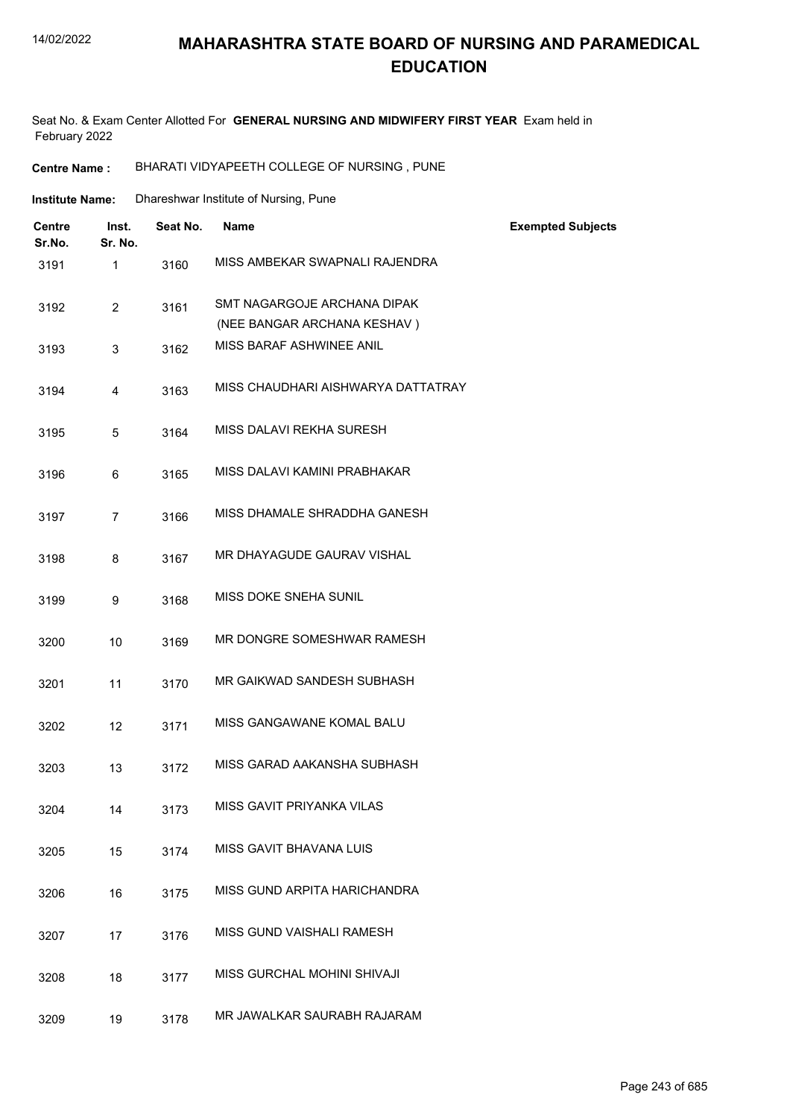#### 14/02/2022

### **MAHARASHTRA STATE BOARD OF NURSING AND PARAMEDICAL EDUCATION**

Seat No. & Exam Center Allotted For **GENERAL NURSING AND MIDWIFERY FIRST YEAR** Exam held in February 2022

**Centre Name :** BHARATI VIDYAPEETH COLLEGE OF NURSING , PUNE

| Institute Name: | Dhareshwar Institute of Nursing, Pune |
|-----------------|---------------------------------------|
|-----------------|---------------------------------------|

| <b>Centre</b><br>Sr.No. | Inst.<br>Sr. No. | Seat No. | <b>Name</b>                        | <b>Exempted Subjects</b> |
|-------------------------|------------------|----------|------------------------------------|--------------------------|
| 3191                    | 1                | 3160     | MISS AMBEKAR SWAPNALI RAJENDRA     |                          |
| 3192                    | $\overline{2}$   | 3161     | SMT NAGARGOJE ARCHANA DIPAK        |                          |
|                         |                  |          | (NEE BANGAR ARCHANA KESHAV)        |                          |
| 3193                    | $\mathbf{3}$     | 3162     | MISS BARAF ASHWINEE ANIL           |                          |
| 3194                    | 4                | 3163     | MISS CHAUDHARI AISHWARYA DATTATRAY |                          |
| 3195                    | 5                | 3164     | MISS DALAVI REKHA SURESH           |                          |
| 3196                    | 6                | 3165     | MISS DALAVI KAMINI PRABHAKAR       |                          |
| 3197                    | $\overline{7}$   | 3166     | MISS DHAMALE SHRADDHA GANESH       |                          |
| 3198                    | 8                | 3167     | MR DHAYAGUDE GAURAV VISHAL         |                          |
| 3199                    | 9                | 3168     | MISS DOKE SNEHA SUNIL              |                          |
| 3200                    | 10               | 3169     | MR DONGRE SOMESHWAR RAMESH         |                          |
| 3201                    | 11               | 3170     | MR GAIKWAD SANDESH SUBHASH         |                          |
| 3202                    | 12 <sup>2</sup>  | 3171     | MISS GANGAWANE KOMAL BALU          |                          |
| 3203                    | 13               | 3172     | MISS GARAD AAKANSHA SUBHASH        |                          |
| 3204                    | 14               | 3173     | MISS GAVIT PRIYANKA VILAS          |                          |
| 3205                    | 15               | 3174     | MISS GAVIT BHAVANA LUIS            |                          |
| 3206                    | 16               | 3175     | MISS GUND ARPITA HARICHANDRA       |                          |
| 3207                    | 17               | 3176     | MISS GUND VAISHALI RAMESH          |                          |
| 3208                    | 18               | 3177     | MISS GURCHAL MOHINI SHIVAJI        |                          |
| 3209                    | 19               | 3178     | MR JAWALKAR SAURABH RAJARAM        |                          |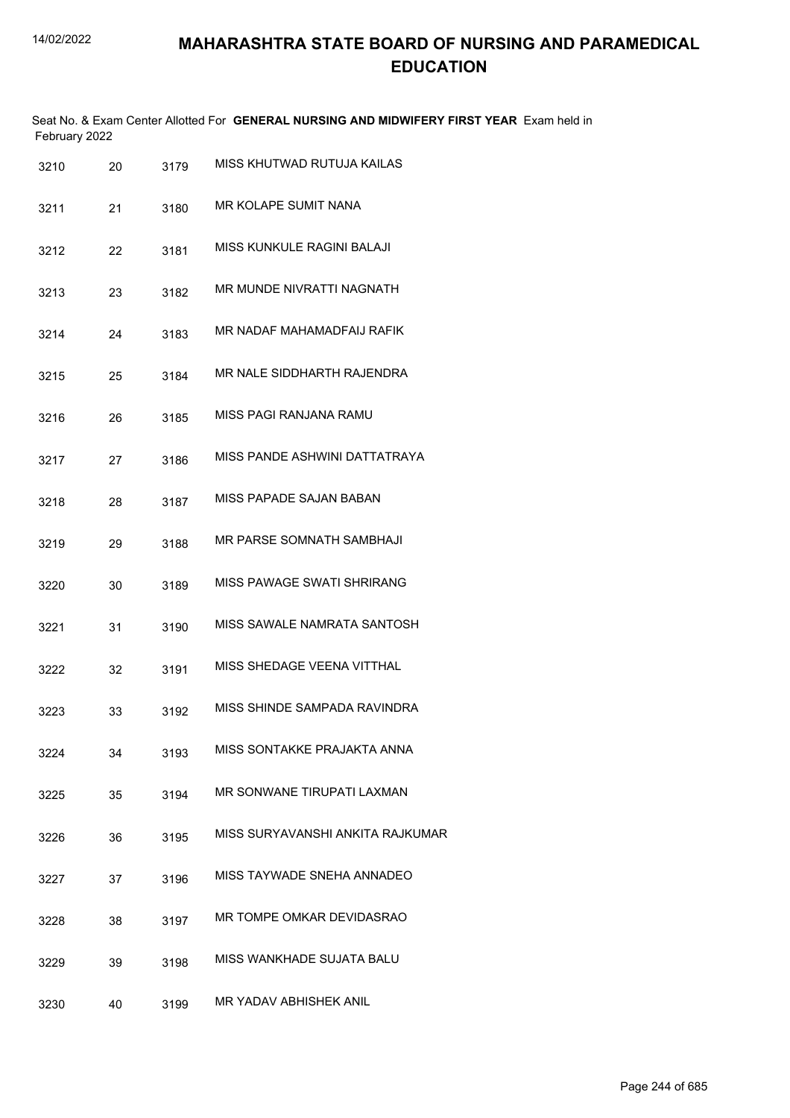|               | Seat No. & Exam Center Allotted For GENERAL NURSING AND MIDWIFERY FIRST YEAR Exam held in |  |
|---------------|-------------------------------------------------------------------------------------------|--|
| February 2022 |                                                                                           |  |

| 3210 | 20 | 3179 | MISS KHUTWAD RUTUJA KAILAS       |
|------|----|------|----------------------------------|
| 3211 | 21 | 3180 | MR KOLAPE SUMIT NANA             |
| 3212 | 22 | 3181 | MISS KUNKULE RAGINI BALAJI       |
| 3213 | 23 | 3182 | MR MUNDE NIVRATTI NAGNATH        |
| 3214 | 24 | 3183 | MR NADAF MAHAMADFAIJ RAFIK       |
| 3215 | 25 | 3184 | MR NALE SIDDHARTH RAJENDRA       |
| 3216 | 26 | 3185 | MISS PAGI RANJANA RAMU           |
| 3217 | 27 | 3186 | MISS PANDE ASHWINI DATTATRAYA    |
| 3218 | 28 | 3187 | <b>MISS PAPADE SAJAN BABAN</b>   |
| 3219 | 29 | 3188 | <b>MR PARSE SOMNATH SAMBHAJI</b> |
| 3220 | 30 | 3189 | MISS PAWAGE SWATI SHRIRANG       |
| 3221 | 31 | 3190 | MISS SAWALE NAMRATA SANTOSH      |
| 3222 | 32 | 3191 | MISS SHEDAGE VEENA VITTHAL       |
| 3223 | 33 | 3192 | MISS SHINDE SAMPADA RAVINDRA     |
| 3224 | 34 | 3193 | MISS SONTAKKE PRAJAKTA ANNA      |
| 3225 | 35 | 3194 | MR SONWANE TIRUPATI LAXMAN       |
| 3226 | 36 | 3195 | MISS SURYAVANSHI ANKITA RAJKUMAR |
| 3227 | 37 | 3196 | MISS TAYWADE SNEHA ANNADEO       |
| 3228 | 38 | 3197 | MR TOMPE OMKAR DEVIDASRAO        |
| 3229 | 39 | 3198 | MISS WANKHADE SUJATA BALU        |
| 3230 | 40 | 3199 | MR YADAV ABHISHEK ANIL           |
|      |    |      |                                  |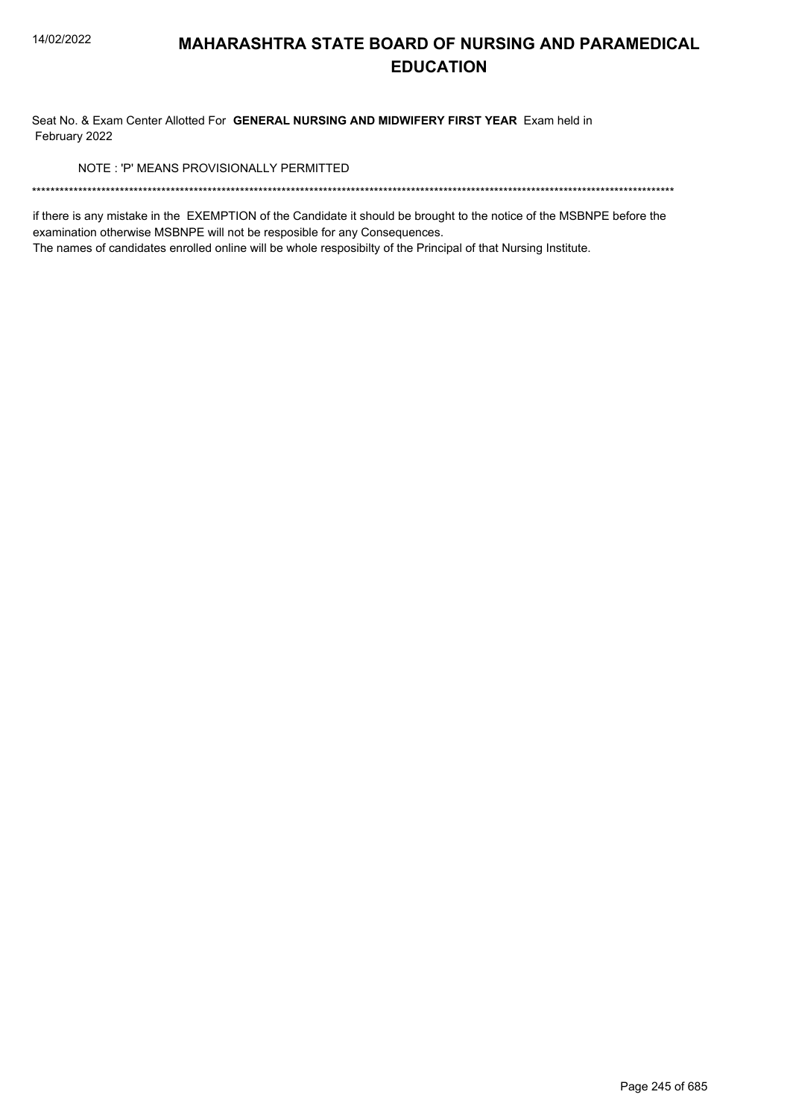Seat No. & Exam Center Allotted For GENERAL NURSING AND MIDWIFERY FIRST YEAR Exam held in February 2022

NOTE: 'P' MEANS PROVISIONALLY PERMITTED

if there is any mistake in the EXEMPTION of the Candidate it should be brought to the notice of the MSBNPE before the examination otherwise MSBNPE will not be resposible for any Consequences.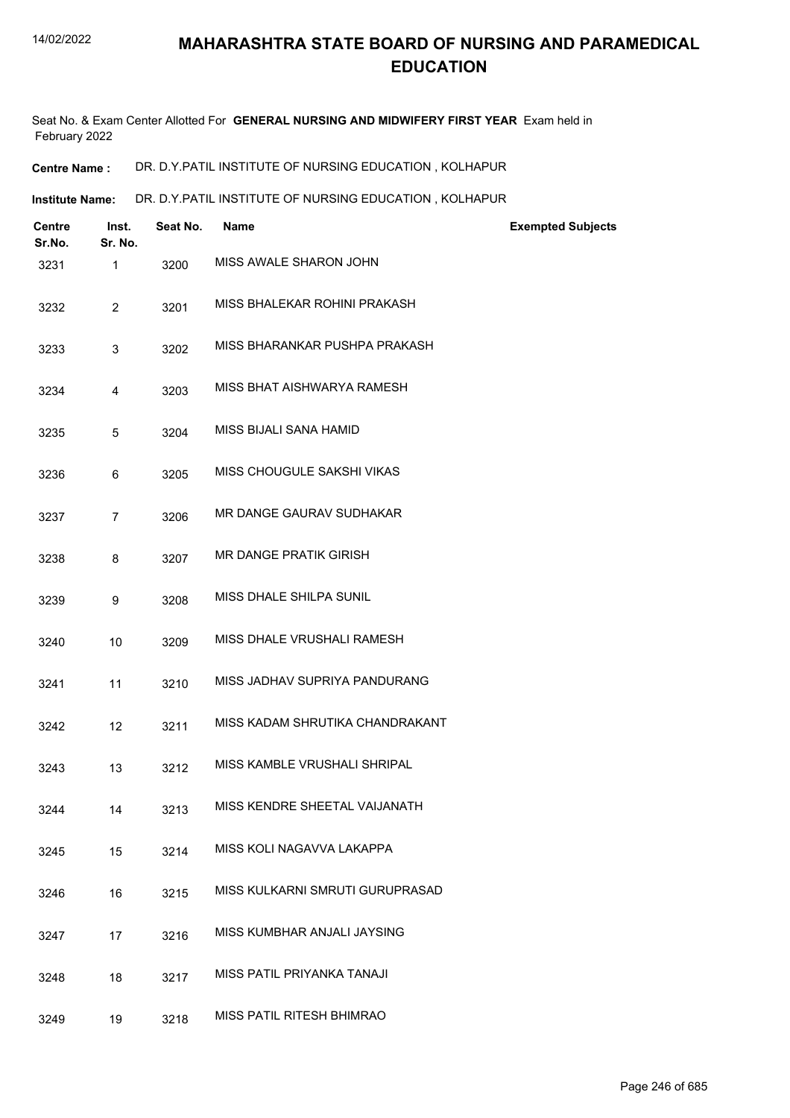Seat No. & Exam Center Allotted For **GENERAL NURSING AND MIDWIFERY FIRST YEAR** Exam held in February 2022

**Centre Name :** DR. D.Y.PATIL INSTITUTE OF NURSING EDUCATION , KOLHAPUR

**Institute Name: DR. D.Y.PATIL INSTITUTE OF NURSING EDUCATION , KOLHAPUR** 

| <b>Centre</b><br>Sr.No. | Inst.<br>Sr. No. | Seat No. | <b>Name</b>                     | <b>Exempted Subjects</b> |
|-------------------------|------------------|----------|---------------------------------|--------------------------|
| 3231                    | 1                | 3200     | MISS AWALE SHARON JOHN          |                          |
| 3232                    | $\overline{2}$   | 3201     | MISS BHALEKAR ROHINI PRAKASH    |                          |
| 3233                    | 3                | 3202     | MISS BHARANKAR PUSHPA PRAKASH   |                          |
| 3234                    | 4                | 3203     | MISS BHAT AISHWARYA RAMESH      |                          |
| 3235                    | 5                | 3204     | MISS BIJALI SANA HAMID          |                          |
| 3236                    | 6                | 3205     | MISS CHOUGULE SAKSHI VIKAS      |                          |
| 3237                    | $\overline{7}$   | 3206     | MR DANGE GAURAV SUDHAKAR        |                          |
| 3238                    | 8                | 3207     | <b>MR DANGE PRATIK GIRISH</b>   |                          |
| 3239                    | 9                | 3208     | MISS DHALE SHILPA SUNIL         |                          |
| 3240                    | 10               | 3209     | MISS DHALE VRUSHALI RAMESH      |                          |
| 3241                    | 11               | 3210     | MISS JADHAV SUPRIYA PANDURANG   |                          |
| 3242                    | 12               | 3211     | MISS KADAM SHRUTIKA CHANDRAKANT |                          |
| 3243                    | 13               | 3212     | MISS KAMBLE VRUSHALI SHRIPAL    |                          |
| 3244                    | 14               | 3213     | MISS KENDRE SHEETAL VAIJANATH   |                          |
| 3245                    | 15               | 3214     | MISS KOLI NAGAVVA LAKAPPA       |                          |
| 3246                    | 16               | 3215     | MISS KULKARNI SMRUTI GURUPRASAD |                          |
| 3247                    | 17               | 3216     | MISS KUMBHAR ANJALI JAYSING     |                          |
| 3248                    | 18               | 3217     | MISS PATIL PRIYANKA TANAJI      |                          |
| 3249                    | 19               | 3218     | MISS PATIL RITESH BHIMRAO       |                          |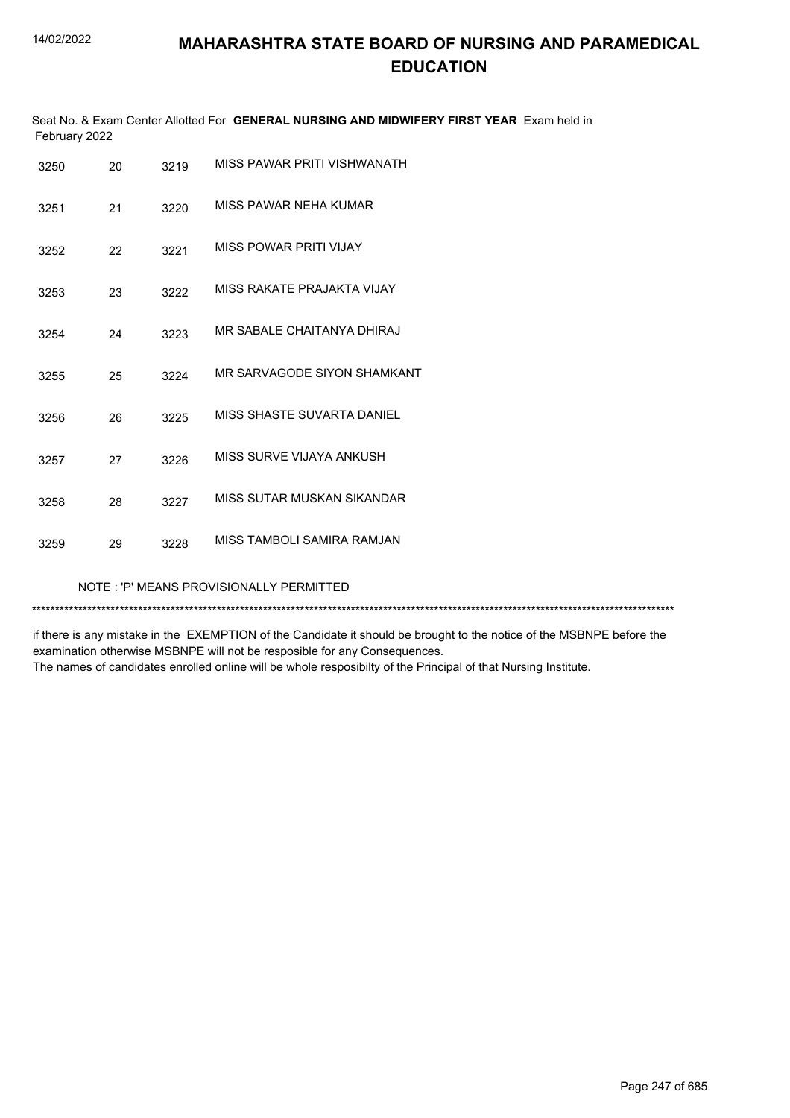Seat No. & Exam Center Allotted For **GENERAL NURSING AND MIDWIFERY FIRST YEAR** Exam held in February 2022

| 3250                                    | 20 | 3219 | MISS PAWAR PRITI VISHWANATH |  |
|-----------------------------------------|----|------|-----------------------------|--|
| 3251                                    | 21 | 3220 | MISS PAWAR NEHA KUMAR       |  |
| 3252                                    | 22 | 3221 | MISS POWAR PRITI VIJAY      |  |
| 3253                                    | 23 | 3222 | MISS RAKATE PRAJAKTA VIJAY  |  |
| 3254                                    | 24 | 3223 | MR SABALE CHAITANYA DHIRAJ  |  |
| 3255                                    | 25 | 3224 | MR SARVAGODE SIYON SHAMKANT |  |
| 3256                                    | 26 | 3225 | MISS SHASTE SUVARTA DANIFI  |  |
| 3257                                    | 27 | 3226 | MISS SURVE VIJAYA ANKUSH    |  |
| 3258                                    | 28 | 3227 | MISS SUTAR MUSKAN SIKANDAR  |  |
| 3259                                    | 29 | 3228 | MISS TAMBOLI SAMIRA RAMJAN  |  |
| NOTE: 'P' MEANS PROVISIONALLY PERMITTED |    |      |                             |  |

\*\*\*\*\*\*\*\*\*\*\*\*\*\*\*\*\*\*\*\*\*\*\*\*\*\*\*\*\*\*\*\*\*\*\*\*\*\*\*\*\*\*\*\*\*\*\*\*\*\*\*\*\*\*\*\*\*\*\*\*\*\*\*\*\*\*\*\*\*\*\*\*\*\*\*\*\*\*\*\*\*\*\*\*\*\*\*\*\*\*\*\*\*\*\*\*\*\*\*\*\*\*\*\*\*\*\*\*\*\*\*\*\*\*\*\*\*\*\*\*\*\*\*\*\*\*\*\*\*\*\*\*\*\*\*\*\*\*\*

if there is any mistake in the EXEMPTION of the Candidate it should be brought to the notice of the MSBNPE before the examination otherwise MSBNPE will not be resposible for any Consequences.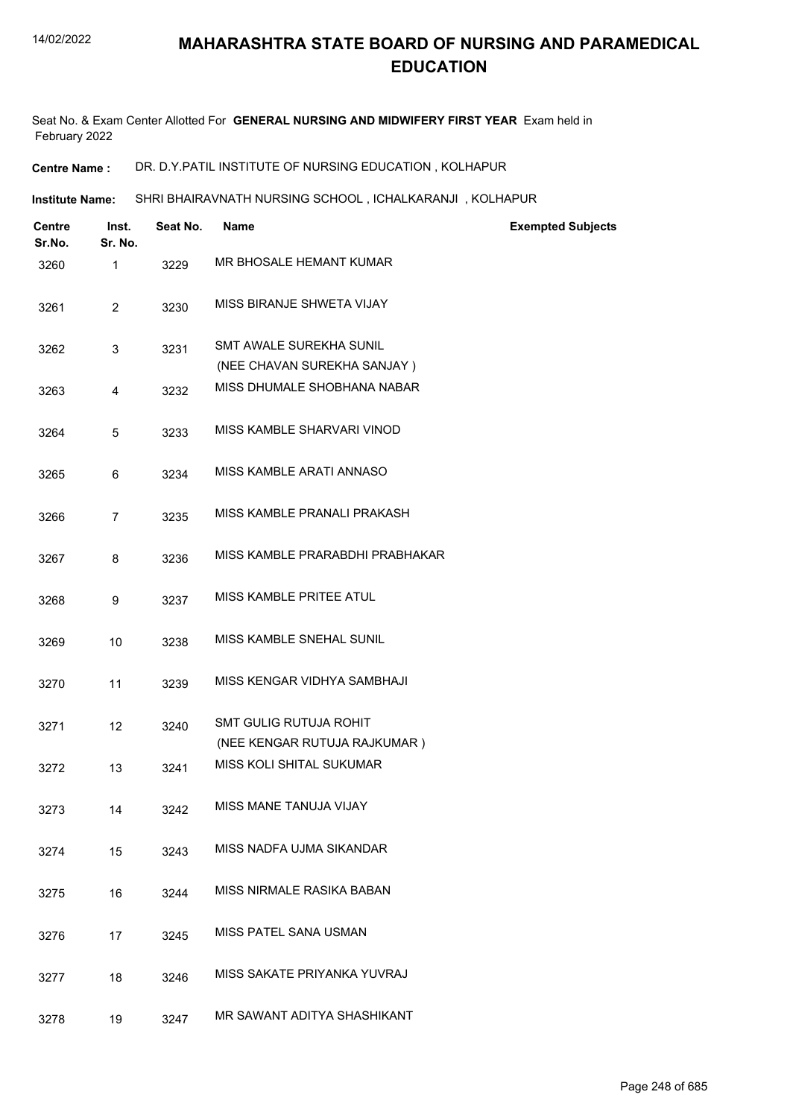Seat No. & Exam Center Allotted For **GENERAL NURSING AND MIDWIFERY FIRST YEAR** Exam held in February 2022

**Centre Name :** DR. D.Y.PATIL INSTITUTE OF NURSING EDUCATION , KOLHAPUR

**Institute Name: SHRI BHAIRAVNATH NURSING SCHOOL , ICHALKARANJI , KOLHAPUR** 

| Centre<br>Sr.No. | Inst.<br>Sr. No. | Seat No. | <b>Name</b>                                                   | <b>Exempted Subjects</b> |
|------------------|------------------|----------|---------------------------------------------------------------|--------------------------|
| 3260             | 1                | 3229     | MR BHOSALE HEMANT KUMAR                                       |                          |
| 3261             | $\overline{2}$   | 3230     | MISS BIRANJE SHWETA VIJAY                                     |                          |
| 3262             | 3                | 3231     | <b>SMT AWALE SUREKHA SUNIL</b><br>(NEE CHAVAN SUREKHA SANJAY) |                          |
| 3263             | 4                | 3232     | MISS DHUMALE SHOBHANA NABAR                                   |                          |
| 3264             | 5                | 3233     | MISS KAMBLE SHARVARI VINOD                                    |                          |
| 3265             | 6                | 3234     | MISS KAMBLE ARATI ANNASO                                      |                          |
| 3266             | 7                | 3235     | MISS KAMBLE PRANALI PRAKASH                                   |                          |
| 3267             | 8                | 3236     | MISS KAMBLE PRARABDHI PRABHAKAR                               |                          |
| 3268             | 9                | 3237     | MISS KAMBLE PRITEE ATUL                                       |                          |
| 3269             | 10               | 3238     | MISS KAMBLE SNEHAL SUNIL                                      |                          |
| 3270             | 11               | 3239     | MISS KENGAR VIDHYA SAMBHAJI                                   |                          |
| 3271             | 12               | 3240     | <b>SMT GULIG RUTUJA ROHIT</b><br>(NEE KENGAR RUTUJA RAJKUMAR) |                          |
| 3272             | 13               | 3241     | MISS KOLI SHITAL SUKUMAR                                      |                          |
| 3273             | 14               | 3242     | MISS MANE TANUJA VIJAY                                        |                          |
| 3274             | 15               | 3243     | MISS NADFA UJMA SIKANDAR                                      |                          |
| 3275             | 16               | 3244     | MISS NIRMALE RASIKA BABAN                                     |                          |
| 3276             | 17               | 3245     | MISS PATEL SANA USMAN                                         |                          |
| 3277             | 18               | 3246     | MISS SAKATE PRIYANKA YUVRAJ                                   |                          |
| 3278             | 19               | 3247     | MR SAWANT ADITYA SHASHIKANT                                   |                          |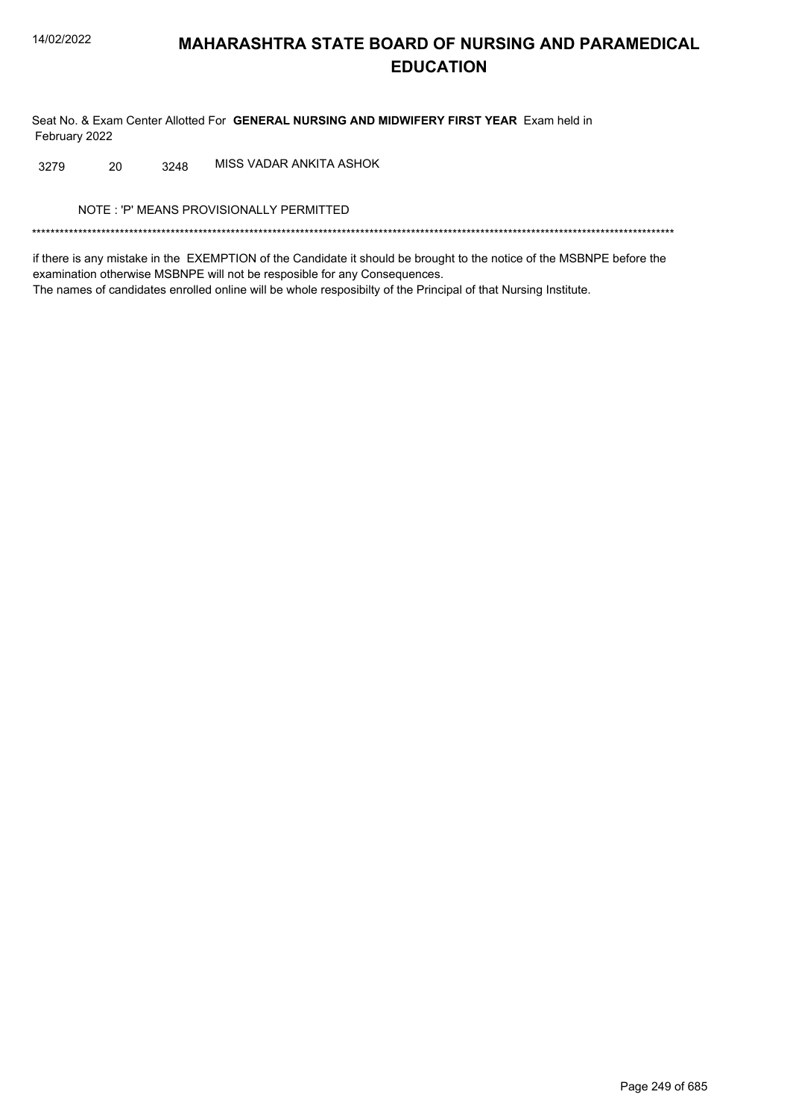Seat No. & Exam Center Allotted For GENERAL NURSING AND MIDWIFERY FIRST YEAR Exam held in February 2022

MISS VADAR ANKITA ASHOK 20 3248 3279

NOTE: 'P' MEANS PROVISIONALLY PERMITTED

if there is any mistake in the EXEMPTION of the Candidate it should be brought to the notice of the MSBNPE before the examination otherwise MSBNPE will not be resposible for any Consequences. The names of candidates enrolled online will be whole resposibilty of the Principal of that Nursing Institute.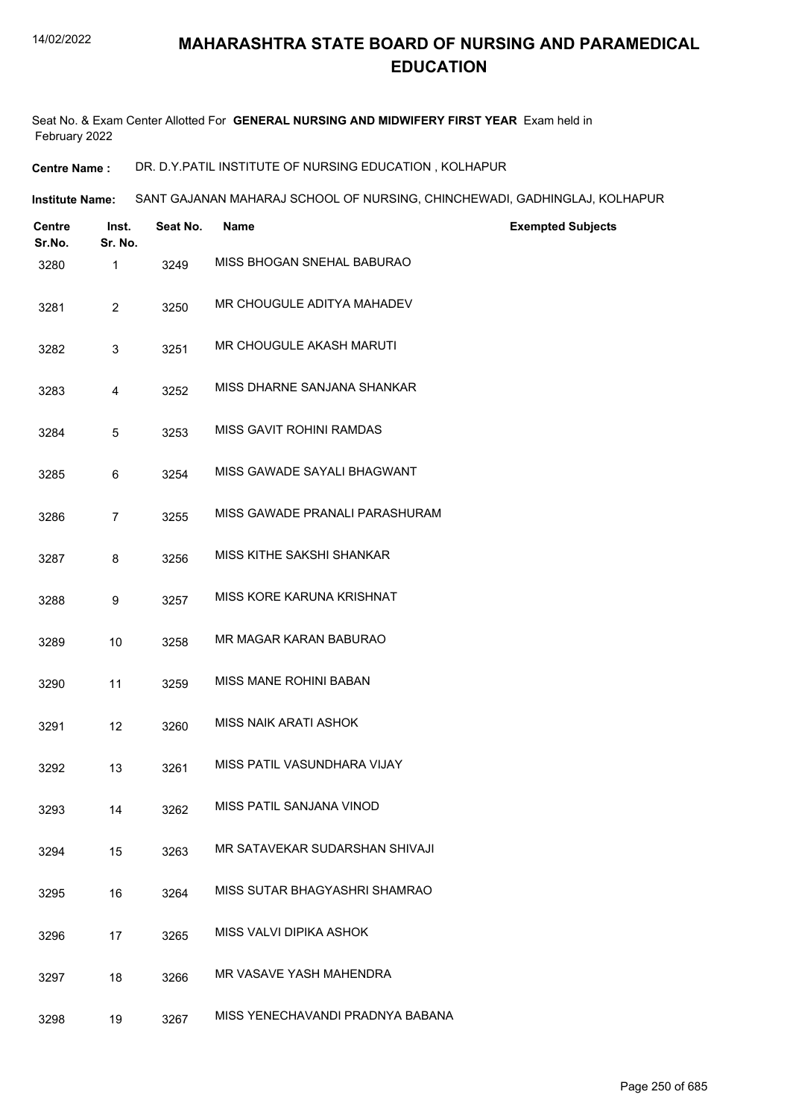Seat No. & Exam Center Allotted For **GENERAL NURSING AND MIDWIFERY FIRST YEAR** Exam held in February 2022

**Centre Name :** DR. D.Y.PATIL INSTITUTE OF NURSING EDUCATION , KOLHAPUR

**Institute Name: SANT GAJANAN MAHARAJ SCHOOL OF NURSING, CHINCHEWADI, GADHINGLAJ, KOLHAPUR** 

| <b>Centre</b><br>Sr.No. | Inst.<br>Sr. No. | Seat No. | <b>Name</b>                      | <b>Exempted Subjects</b> |
|-------------------------|------------------|----------|----------------------------------|--------------------------|
| 3280                    | 1                | 3249     | MISS BHOGAN SNEHAL BABURAO       |                          |
| 3281                    | $\overline{a}$   | 3250     | MR CHOUGULE ADITYA MAHADEV       |                          |
| 3282                    | 3                | 3251     | MR CHOUGULE AKASH MARUTI         |                          |
| 3283                    | 4                | 3252     | MISS DHARNE SANJANA SHANKAR      |                          |
| 3284                    | 5                | 3253     | MISS GAVIT ROHINI RAMDAS         |                          |
| 3285                    | 6                | 3254     | MISS GAWADE SAYALI BHAGWANT      |                          |
| 3286                    | $\overline{7}$   | 3255     | MISS GAWADE PRANALI PARASHURAM   |                          |
| 3287                    | 8                | 3256     | MISS KITHE SAKSHI SHANKAR        |                          |
| 3288                    | 9                | 3257     | MISS KORE KARUNA KRISHNAT        |                          |
| 3289                    | 10               | 3258     | MR MAGAR KARAN BABURAO           |                          |
| 3290                    | 11               | 3259     | <b>MISS MANE ROHINI BABAN</b>    |                          |
| 3291                    | 12               | 3260     | MISS NAIK ARATI ASHOK            |                          |
| 3292                    | 13               | 3261     | MISS PATIL VASUNDHARA VIJAY      |                          |
| 3293                    | 14               | 3262     | MISS PATIL SANJANA VINOD         |                          |
| 3294                    | 15               | 3263     | MR SATAVEKAR SUDARSHAN SHIVAJI   |                          |
| 3295                    | 16               | 3264     | MISS SUTAR BHAGYASHRI SHAMRAO    |                          |
| 3296                    | 17               | 3265     | MISS VALVI DIPIKA ASHOK          |                          |
| 3297                    | 18               | 3266     | MR VASAVE YASH MAHENDRA          |                          |
| 3298                    | 19               | 3267     | MISS YENECHAVANDI PRADNYA BABANA |                          |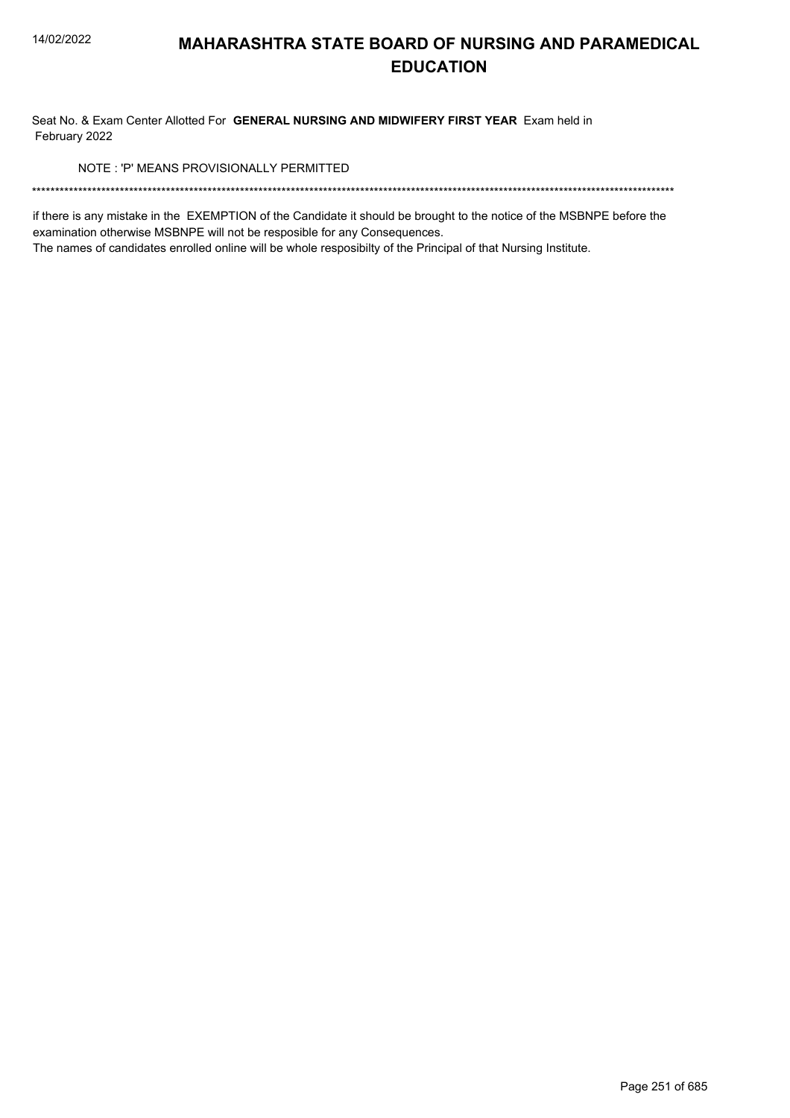Seat No. & Exam Center Allotted For GENERAL NURSING AND MIDWIFERY FIRST YEAR Exam held in February 2022

NOTE: 'P' MEANS PROVISIONALLY PERMITTED

if there is any mistake in the EXEMPTION of the Candidate it should be brought to the notice of the MSBNPE before the examination otherwise MSBNPE will not be resposible for any Consequences.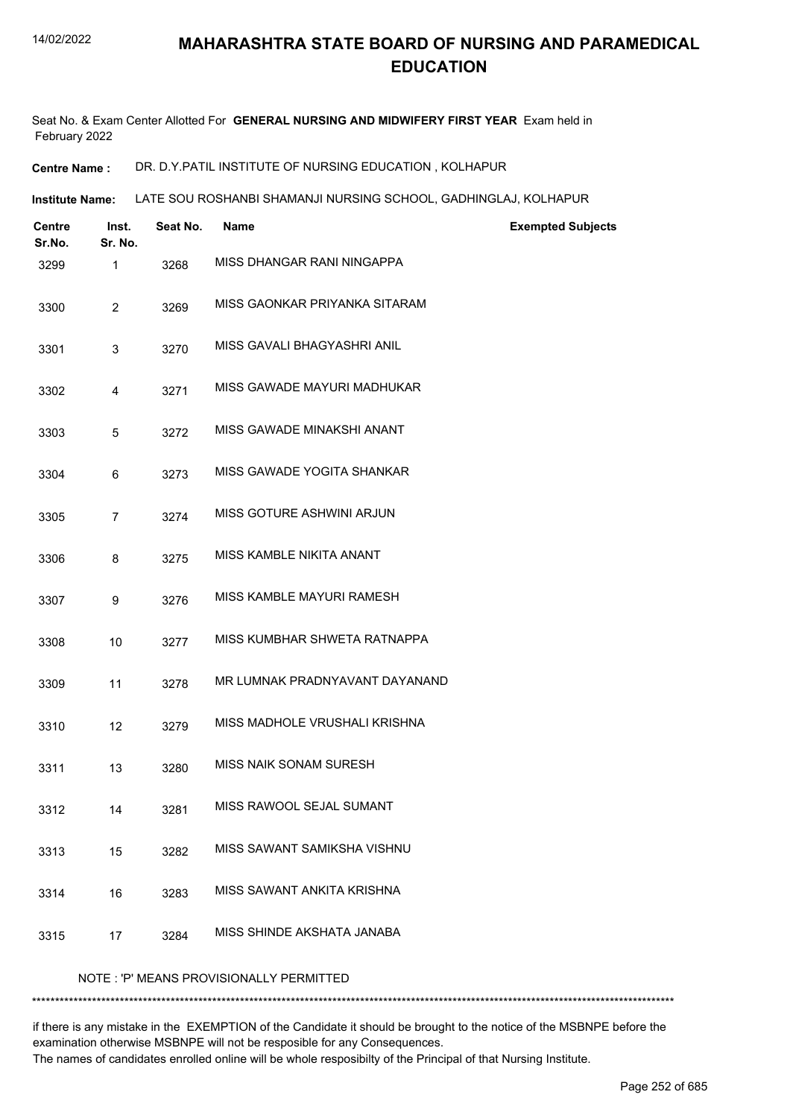Seat No. & Exam Center Allotted For **GENERAL NURSING AND MIDWIFERY FIRST YEAR** Exam held in February 2022

**Centre Name :** DR. D.Y.PATIL INSTITUTE OF NURSING EDUCATION , KOLHAPUR

**Institute Name: LATE SOU ROSHANBI SHAMANJI NURSING SCHOOL, GADHINGLAJ, KOLHAPUR** 

| <b>Centre</b><br>Sr.No.                 | Inst.<br>Sr. No. | Seat No. | <b>Name</b>                    | <b>Exempted Subjects</b> |  |  |  |
|-----------------------------------------|------------------|----------|--------------------------------|--------------------------|--|--|--|
| 3299                                    | 1                | 3268     | MISS DHANGAR RANI NINGAPPA     |                          |  |  |  |
| 3300                                    | $\overline{2}$   | 3269     | MISS GAONKAR PRIYANKA SITARAM  |                          |  |  |  |
| 3301                                    | 3                | 3270     | MISS GAVALI BHAGYASHRI ANIL    |                          |  |  |  |
| 3302                                    | 4                | 3271     | MISS GAWADE MAYURI MADHUKAR    |                          |  |  |  |
| 3303                                    | 5                | 3272     | MISS GAWADE MINAKSHI ANANT     |                          |  |  |  |
| 3304                                    | 6                | 3273     | MISS GAWADE YOGITA SHANKAR     |                          |  |  |  |
| 3305                                    | $\overline{7}$   | 3274     | MISS GOTURE ASHWINI ARJUN      |                          |  |  |  |
| 3306                                    | 8                | 3275     | MISS KAMBLE NIKITA ANANT       |                          |  |  |  |
| 3307                                    | 9                | 3276     | MISS KAMBLE MAYURI RAMESH      |                          |  |  |  |
| 3308                                    | 10               | 3277     | MISS KUMBHAR SHWETA RATNAPPA   |                          |  |  |  |
| 3309                                    | 11               | 3278     | MR LUMNAK PRADNYAVANT DAYANAND |                          |  |  |  |
| 3310                                    | 12               | 3279     | MISS MADHOLE VRUSHALI KRISHNA  |                          |  |  |  |
| 3311                                    | 13               | 3280     | MISS NAIK SONAM SURESH         |                          |  |  |  |
| 3312                                    | 14               | 3281     | MISS RAWOOL SEJAL SUMANT       |                          |  |  |  |
| 3313                                    | 15               | 3282     | MISS SAWANT SAMIKSHA VISHNU    |                          |  |  |  |
| 3314                                    | 16               | 3283     | MISS SAWANT ANKITA KRISHNA     |                          |  |  |  |
| 3315                                    | 17               | 3284     | MISS SHINDE AKSHATA JANABA     |                          |  |  |  |
| NOTE: 'P' MEANS PROVISIONALLY PERMITTED |                  |          |                                |                          |  |  |  |

if there is any mistake in the EXEMPTION of the Candidate it should be brought to the notice of the MSBNPE before the examination otherwise MSBNPE will not be resposible for any Consequences.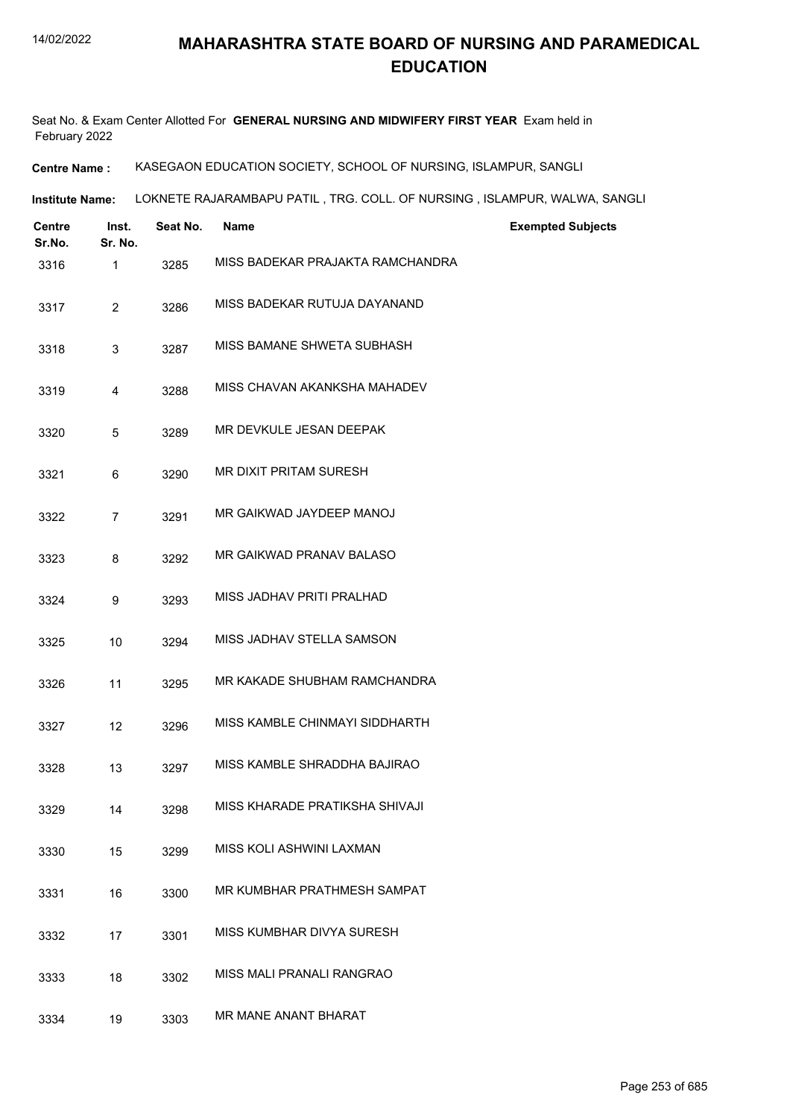Seat No. & Exam Center Allotted For **GENERAL NURSING AND MIDWIFERY FIRST YEAR** Exam held in February 2022

**Centre Name :** KASEGAON EDUCATION SOCIETY, SCHOOL OF NURSING, ISLAMPUR, SANGLI

**Institute Name: LOKNETE RAJARAMBAPU PATIL , TRG. COLL. OF NURSING , ISLAMPUR, WALWA, SANGLI** 

| <b>Centre</b><br>Sr.No. | Inst.<br>Sr. No. | Seat No. | <b>Name</b>                      | <b>Exempted Subjects</b> |
|-------------------------|------------------|----------|----------------------------------|--------------------------|
| 3316                    | 1                | 3285     | MISS BADEKAR PRAJAKTA RAMCHANDRA |                          |
| 3317                    | $\overline{c}$   | 3286     | MISS BADEKAR RUTUJA DAYANAND     |                          |
| 3318                    | 3                | 3287     | MISS BAMANE SHWETA SUBHASH       |                          |
| 3319                    | 4                | 3288     | MISS CHAVAN AKANKSHA MAHADEV     |                          |
| 3320                    | 5                | 3289     | MR DEVKULE JESAN DEEPAK          |                          |
| 3321                    | 6                | 3290     | MR DIXIT PRITAM SURESH           |                          |
| 3322                    | 7                | 3291     | MR GAIKWAD JAYDEEP MANOJ         |                          |
| 3323                    | 8                | 3292     | MR GAIKWAD PRANAV BALASO         |                          |
| 3324                    | 9                | 3293     | MISS JADHAV PRITI PRALHAD        |                          |
| 3325                    | 10               | 3294     | MISS JADHAV STELLA SAMSON        |                          |
| 3326                    | 11               | 3295     | MR KAKADE SHUBHAM RAMCHANDRA     |                          |
| 3327                    | 12               | 3296     | MISS KAMBLE CHINMAYI SIDDHARTH   |                          |
| 3328                    | 13               | 3297     | MISS KAMBLE SHRADDHA BAJIRAO     |                          |
| 3329                    | 14               | 3298     | MISS KHARADE PRATIKSHA SHIVAJI   |                          |
| 3330                    | 15               | 3299     | MISS KOLI ASHWINI LAXMAN         |                          |
| 3331                    | 16               | 3300     | MR KUMBHAR PRATHMESH SAMPAT      |                          |
| 3332                    | 17               | 3301     | MISS KUMBHAR DIVYA SURESH        |                          |
| 3333                    | 18               | 3302     | MISS MALI PRANALI RANGRAO        |                          |
| 3334                    | 19               | 3303     | MR MANE ANANT BHARAT             |                          |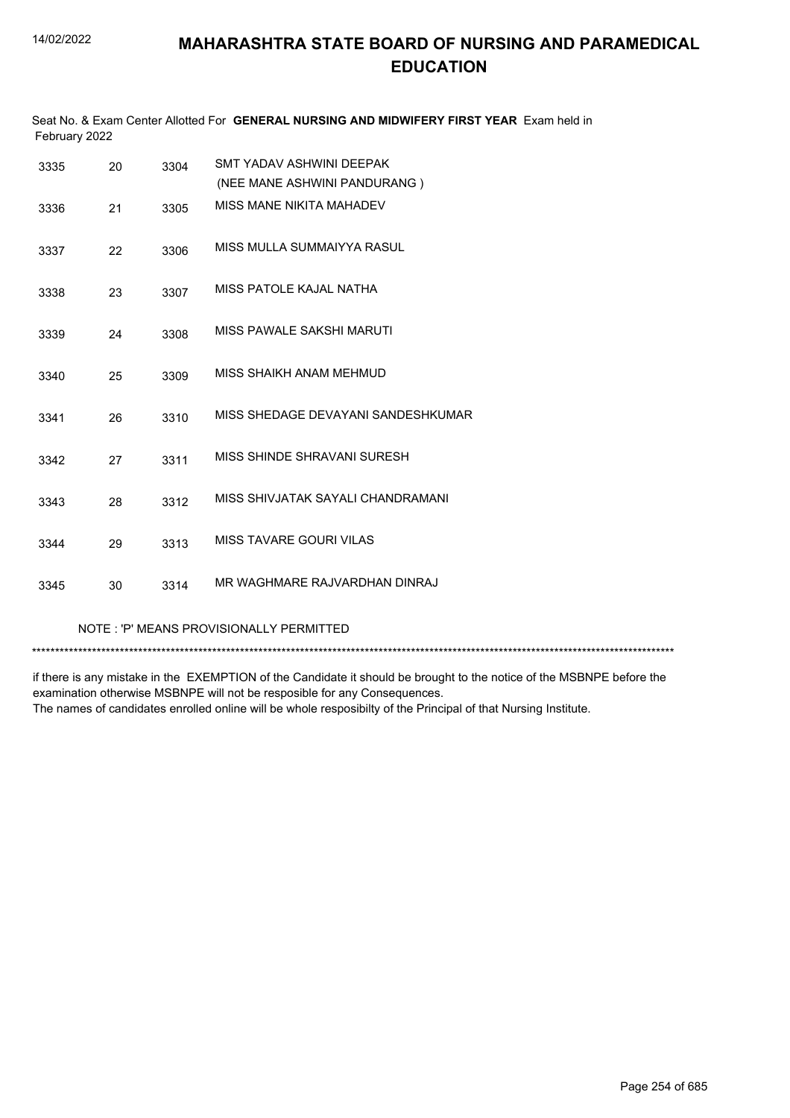| February 2022 |    |      | Seat No. & Exam Center Allotted For GENERAL NURSING AND MIDWIFERY FIRST YEAR Exam held in |
|---------------|----|------|-------------------------------------------------------------------------------------------|
| 3335          | 20 | 3304 | SMT YADAV ASHWINI DEEPAK                                                                  |
|               |    |      | (NEE MANE ASHWINI PANDURANG)                                                              |
| 3336          | 21 | 3305 | MISS MANE NIKITA MAHADEV                                                                  |
| 3337          | 22 | 3306 | MISS MULLA SUMMAIYYA RASUL                                                                |
| 3338          | 23 | 3307 | MISS PATOLE KAJAL NATHA                                                                   |
| 3339          | 24 | 3308 | MISS PAWALE SAKSHI MARUTI                                                                 |
| 3340          | 25 | 3309 | MISS SHAIKH ANAM MEHMUD                                                                   |
| 3341          | 26 | 3310 | MISS SHEDAGE DEVAYANI SANDESHKUMAR                                                        |
| 3342          | 27 | 3311 | MISS SHINDE SHRAVANI SURESH                                                               |
| 3343          | 28 | 3312 | MISS SHIVJATAK SAYALI CHANDRAMANI                                                         |
| 3344          | 29 | 3313 | <b>MISS TAVARE GOURI VILAS</b>                                                            |
| 3345          | 30 | 3314 | MR WAGHMARE RAJVARDHAN DINRAJ                                                             |

#### NOTE : 'P' MEANS PROVISIONALLY PERMITTED

\*\*\*\*\*\*\*\*\*\*\*\*\*\*\*\*\*\*\*\*\*\*\*\*\*\*\*\*\*\*\*\*\*\*\*\*\*\*\*\*\*\*\*\*\*\*\*\*\*\*\*\*\*\*\*\*\*\*\*\*\*\*\*\*\*\*\*\*\*\*\*\*\*\*\*\*\*\*\*\*\*\*\*\*\*\*\*\*\*\*\*\*\*\*\*\*\*\*\*\*\*\*\*\*\*\*\*\*\*\*\*\*\*\*\*\*\*\*\*\*\*\*\*\*\*\*\*\*\*\*\*\*\*\*\*\*\*\*\*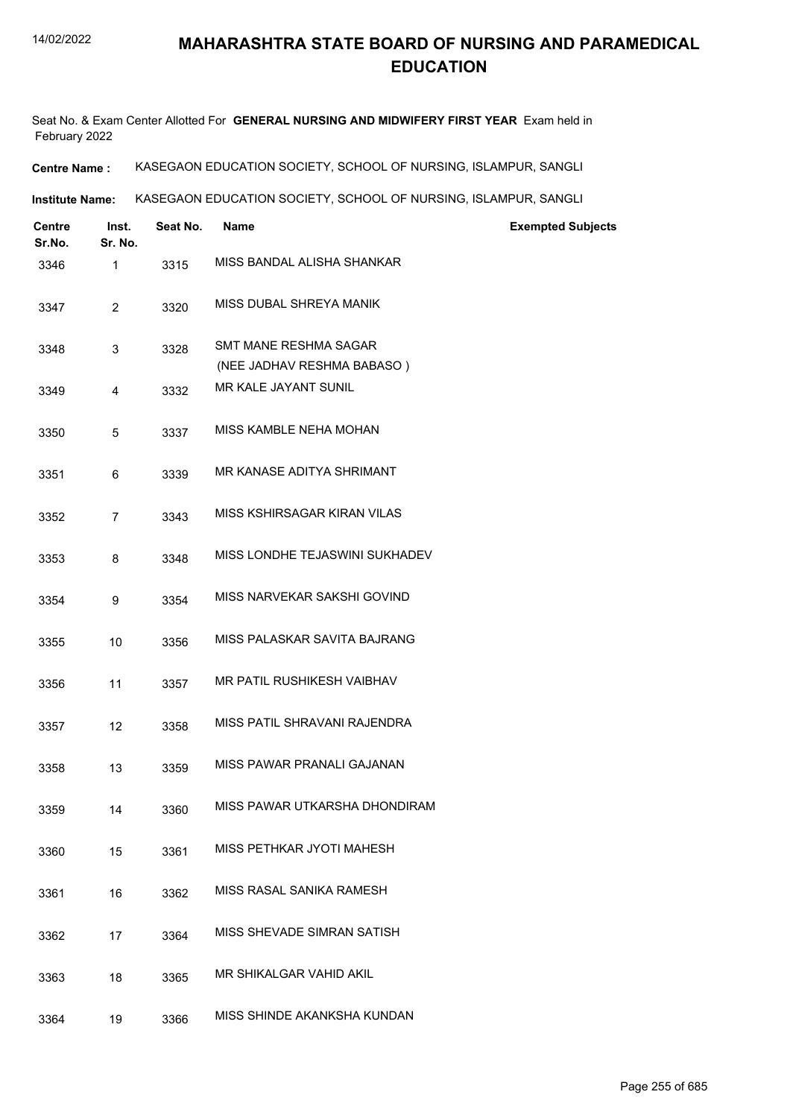Seat No. & Exam Center Allotted For **GENERAL NURSING AND MIDWIFERY FIRST YEAR** Exam held in February 2022

**Centre Name :** KASEGAON EDUCATION SOCIETY, SCHOOL OF NURSING, ISLAMPUR, SANGLI

**Institute Name: KASEGAON EDUCATION SOCIETY, SCHOOL OF NURSING, ISLAMPUR, SANGLI** 

| <b>Centre</b><br>Sr.No. | Inst.<br>Sr. No. | Seat No. | <b>Name</b>                                                | <b>Exempted Subjects</b> |
|-------------------------|------------------|----------|------------------------------------------------------------|--------------------------|
| 3346                    | $\mathbf{1}$     | 3315     | MISS BANDAL ALISHA SHANKAR                                 |                          |
| 3347                    | $\overline{2}$   | 3320     | MISS DUBAL SHREYA MANIK                                    |                          |
| 3348                    | 3                | 3328     | <b>SMT MANE RESHMA SAGAR</b><br>(NEE JADHAV RESHMA BABASO) |                          |
| 3349                    | 4                | 3332     | MR KALE JAYANT SUNIL                                       |                          |
| 3350                    | 5                | 3337     | MISS KAMBLE NEHA MOHAN                                     |                          |
| 3351                    | 6                | 3339     | MR KANASE ADITYA SHRIMANT                                  |                          |
| 3352                    | $\overline{7}$   | 3343     | MISS KSHIRSAGAR KIRAN VILAS                                |                          |
| 3353                    | 8                | 3348     | MISS LONDHE TEJASWINI SUKHADEV                             |                          |
| 3354                    | 9                | 3354     | MISS NARVEKAR SAKSHI GOVIND                                |                          |
| 3355                    | 10               | 3356     | MISS PALASKAR SAVITA BAJRANG                               |                          |
| 3356                    | 11               | 3357     | MR PATIL RUSHIKESH VAIBHAV                                 |                          |
| 3357                    | 12               | 3358     | MISS PATIL SHRAVANI RAJENDRA                               |                          |
| 3358                    | 13               | 3359     | MISS PAWAR PRANALI GAJANAN                                 |                          |
| 3359                    | 14               | 3360     | MISS PAWAR UTKARSHA DHONDIRAM                              |                          |
| 3360                    | 15               | 3361     | MISS PETHKAR JYOTI MAHESH                                  |                          |
| 3361                    | 16               | 3362     | MISS RASAL SANIKA RAMESH                                   |                          |
| 3362                    | 17               | 3364     | MISS SHEVADE SIMRAN SATISH                                 |                          |
| 3363                    | 18               | 3365     | MR SHIKALGAR VAHID AKIL                                    |                          |
| 3364                    | 19               | 3366     | MISS SHINDE AKANKSHA KUNDAN                                |                          |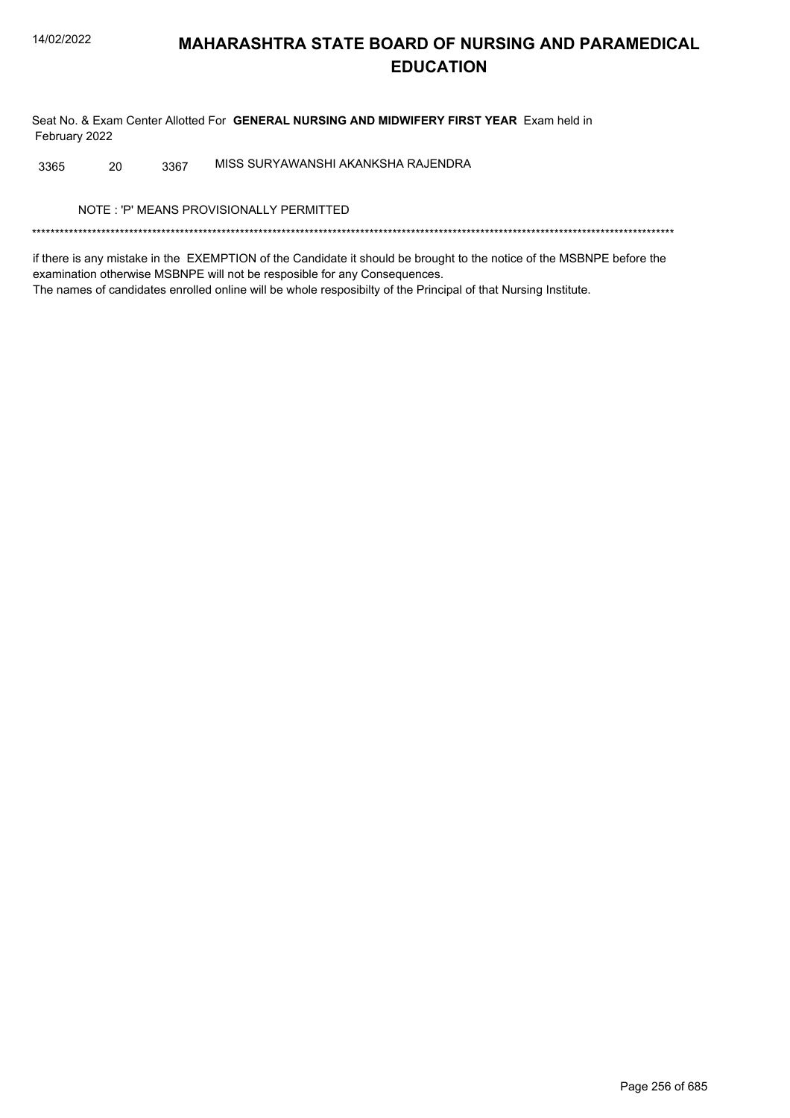Seat No. & Exam Center Allotted For **GENERAL NURSING AND MIDWIFERY FIRST YEAR** Exam held in February 2022

3365 20 3367 MISS SURYAWANSHI AKANKSHA RAJENDRA

NOTE : 'P' MEANS PROVISIONALLY PERMITTED

\*\*\*\*\*\*\*\*\*\*\*\*\*\*\*\*\*\*\*\*\*\*\*\*\*\*\*\*\*\*\*\*\*\*\*\*\*\*\*\*\*\*\*\*\*\*\*\*\*\*\*\*\*\*\*\*\*\*\*\*\*\*\*\*\*\*\*\*\*\*\*\*\*\*\*\*\*\*\*\*\*\*\*\*\*\*\*\*\*\*\*\*\*\*\*\*\*\*\*\*\*\*\*\*\*\*\*\*\*\*\*\*\*\*\*\*\*\*\*\*\*\*\*\*\*\*\*\*\*\*\*\*\*\*\*\*\*\*\*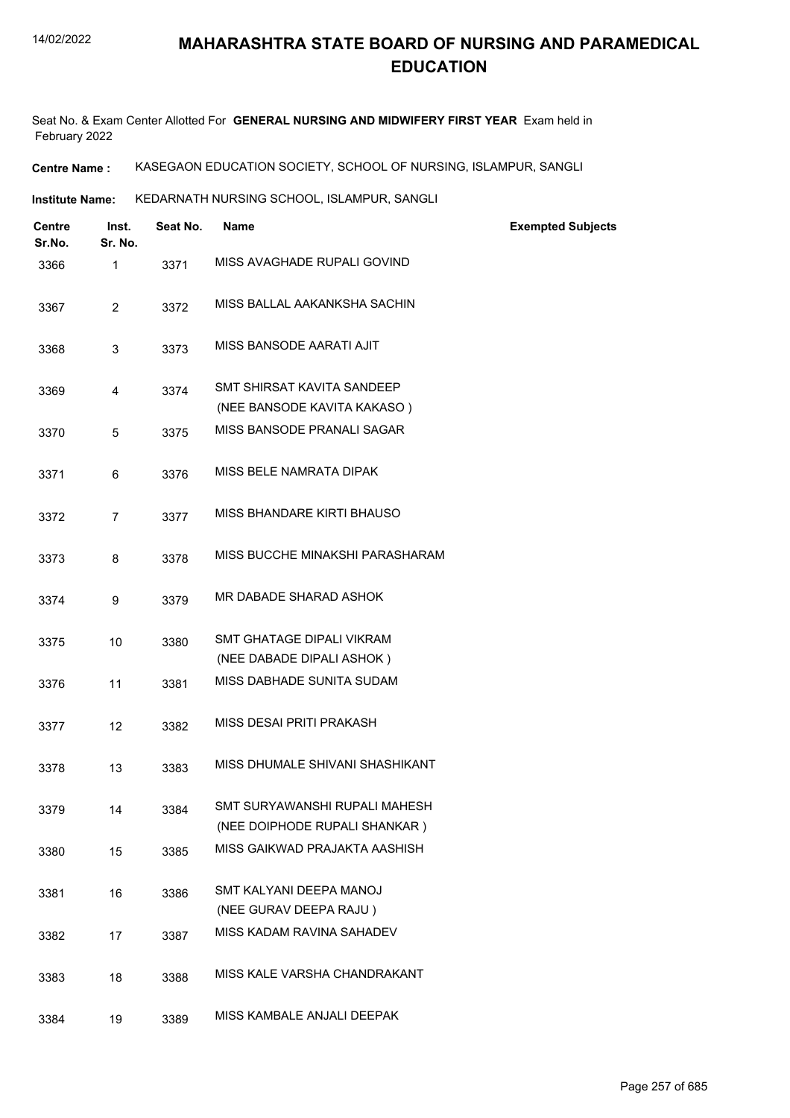Seat No. & Exam Center Allotted For **GENERAL NURSING AND MIDWIFERY FIRST YEAR** Exam held in February 2022

**Centre Name :** KASEGAON EDUCATION SOCIETY, SCHOOL OF NURSING, ISLAMPUR, SANGLI

**Institute Name: KEDARNATH NURSING SCHOOL, ISLAMPUR, SANGLI** 

| <b>Centre</b><br>Sr.No. | Inst.<br>Sr. No. | Seat No. | Name                                                             | <b>Exempted Subjects</b> |
|-------------------------|------------------|----------|------------------------------------------------------------------|--------------------------|
| 3366                    | 1                | 3371     | MISS AVAGHADE RUPALI GOVIND                                      |                          |
| 3367                    | 2                | 3372     | MISS BALLAL AAKANKSHA SACHIN                                     |                          |
| 3368                    | 3                | 3373     | MISS BANSODE AARATI AJIT                                         |                          |
| 3369                    | 4                | 3374     | <b>SMT SHIRSAT KAVITA SANDEEP</b><br>(NEE BANSODE KAVITA KAKASO) |                          |
| 3370                    | 5                | 3375     | MISS BANSODE PRANALI SAGAR                                       |                          |
| 3371                    | 6                | 3376     | MISS BELE NAMRATA DIPAK                                          |                          |
| 3372                    | 7                | 3377     | MISS BHANDARE KIRTI BHAUSO                                       |                          |
| 3373                    | 8                | 3378     | MISS BUCCHE MINAKSHI PARASHARAM                                  |                          |
| 3374                    | 9                | 3379     | MR DABADE SHARAD ASHOK                                           |                          |
| 3375                    | 10               | 3380     | SMT GHATAGE DIPALI VIKRAM<br>(NEE DABADE DIPALI ASHOK)           |                          |
| 3376                    | 11               | 3381     | MISS DABHADE SUNITA SUDAM                                        |                          |
| 3377                    | 12               | 3382     | MISS DESAI PRITI PRAKASH                                         |                          |
| 3378                    | 13               | 3383     | MISS DHUMALE SHIVANI SHASHIKANT                                  |                          |
| 3379                    | 14               | 3384     | SMT SURYAWANSHI RUPALI MAHESH<br>(NEE DOIPHODE RUPALI SHANKAR)   |                          |
| 3380                    | 15               | 3385     | MISS GAIKWAD PRAJAKTA AASHISH                                    |                          |
| 3381                    | 16               | 3386     | SMT KALYANI DEEPA MANOJ<br>(NEE GURAV DEEPA RAJU)                |                          |
| 3382                    | 17               | 3387     | MISS KADAM RAVINA SAHADEV                                        |                          |
| 3383                    | 18               | 3388     | MISS KALE VARSHA CHANDRAKANT                                     |                          |
| 3384                    | 19               | 3389     | MISS KAMBALE ANJALI DEEPAK                                       |                          |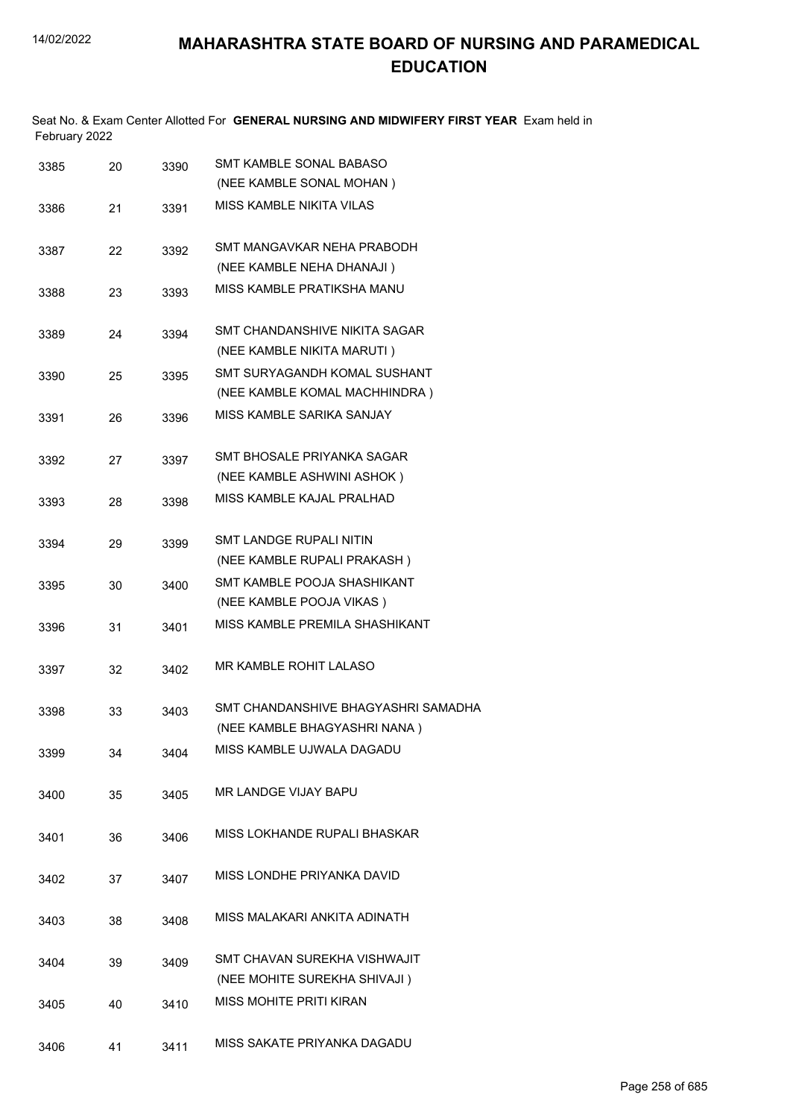Seat No. & Exam Center Allotted For **GENERAL NURSING AND MIDWIFERY FIRST YEAR** Exam held in February 2022

| 3385 | 20 | 3390 | SMT KAMBLE SONAL BABASO<br>(NEE KAMBLE SONAL MOHAN) |
|------|----|------|-----------------------------------------------------|
| 3386 | 21 | 3391 | MISS KAMBLE NIKITA VILAS                            |
|      |    |      |                                                     |
| 3387 | 22 | 3392 | SMT MANGAVKAR NEHA PRABODH                          |
|      |    |      | (NEE KAMBLE NEHA DHANAJI)                           |
| 3388 | 23 | 3393 | MISS KAMBLE PRATIKSHA MANU                          |
| 3389 | 24 | 3394 | SMT CHANDANSHIVE NIKITA SAGAR                       |
|      |    |      | (NEE KAMBLE NIKITA MARUTI)                          |
| 3390 | 25 | 3395 | SMT SURYAGANDH KOMAL SUSHANT                        |
|      |    |      | (NEE KAMBLE KOMAL MACHHINDRA)                       |
| 3391 | 26 | 3396 | MISS KAMBLE SARIKA SANJAY                           |
| 3392 | 27 | 3397 | SMT BHOSALE PRIYANKA SAGAR                          |
|      |    |      | (NEE KAMBLE ASHWINI ASHOK)                          |
| 3393 | 28 | 3398 | MISS KAMBI F KAJAI PRAI HAD                         |
|      |    |      |                                                     |
| 3394 | 29 | 3399 | <b>SMT LANDGE RUPALI NITIN</b>                      |
|      |    |      | (NEE KAMBLE RUPALI PRAKASH)                         |
| 3395 | 30 | 3400 | SMT KAMBLE POOJA SHASHIKANT                         |
|      |    |      | (NEE KAMBLE POOJA VIKAS)                            |
| 3396 | 31 | 3401 | MISS KAMBLE PREMILA SHASHIKANT                      |
| 3397 | 32 | 3402 | MR KAMBLE ROHIT LALASO                              |
|      |    |      | SMT CHANDANSHIVE BHAGYASHRI SAMADHA                 |
| 3398 | 33 | 3403 | (NEE KAMBLE BHAGYASHRI NANA)                        |
|      |    |      |                                                     |
| 3399 | 34 | 3404 | MISS KAMBLE UJWALA DAGADU                           |
| 3400 | 35 | 3405 | MR LANDGE VIJAY BAPU                                |
|      |    |      |                                                     |
| 3401 | 36 | 3406 | MISS LOKHANDE RUPALI BHASKAR                        |
| 3402 | 37 | 3407 | MISS LONDHE PRIYANKA DAVID                          |
|      |    |      |                                                     |
| 3403 | 38 | 3408 | MISS MALAKARI ANKITA ADINATH                        |
| 3404 | 39 | 3409 | SMT CHAVAN SUREKHA VISHWAJIT                        |
|      |    |      | (NEE MOHITE SUREKHA SHIVAJI)                        |
| 3405 | 40 | 3410 | <b>MISS MOHITE PRITI KIRAN</b>                      |
|      |    |      |                                                     |
| 3406 | 41 | 3411 | MISS SAKATE PRIYANKA DAGADU                         |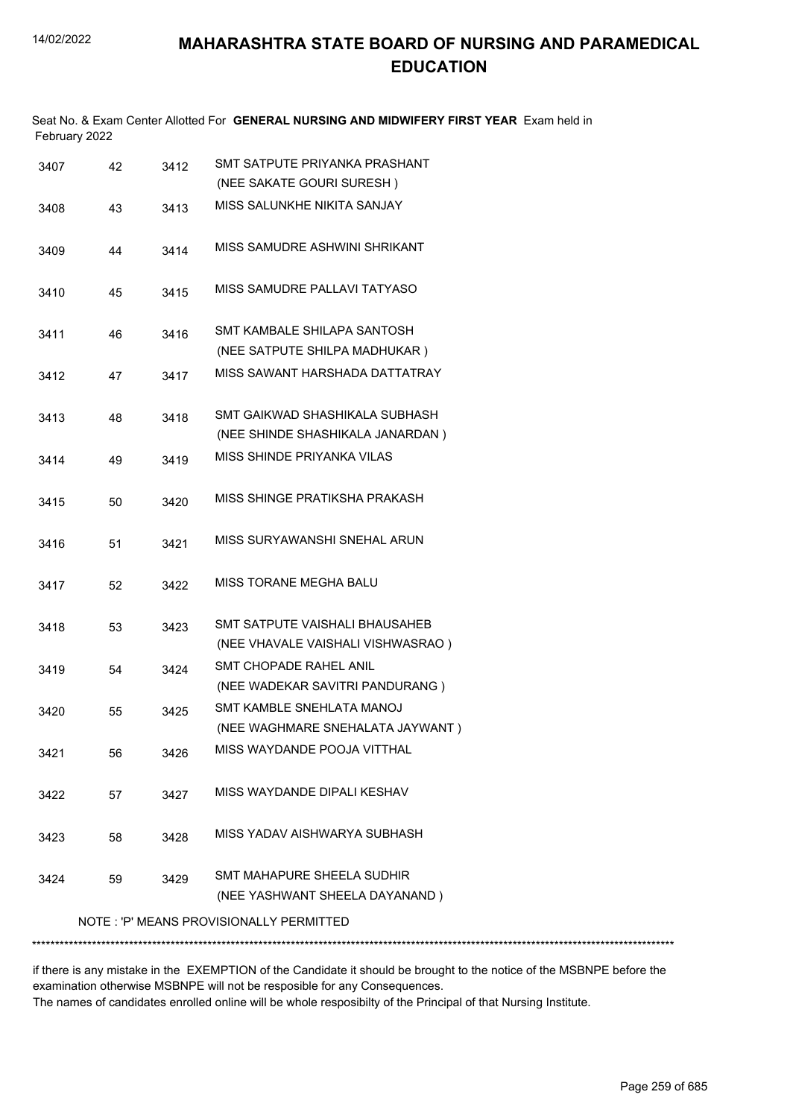|               | Seat No. & Exam Center Allotted For GENERAL NURSING AND MIDWIFERY FIRST YEAR Exam held in |  |
|---------------|-------------------------------------------------------------------------------------------|--|
| February 2022 |                                                                                           |  |

| 3407 | 42 | 3412 | SMT SATPUTE PRIYANKA PRASHANT<br>(NEE SAKATE GOURI SURESH)          |
|------|----|------|---------------------------------------------------------------------|
| 3408 | 43 | 3413 | MISS SALUNKHE NIKITA SANJAY                                         |
| 3409 | 44 | 3414 | MISS SAMUDRE ASHWINI SHRIKANT                                       |
| 3410 | 45 | 3415 | MISS SAMUDRE PALLAVI TATYASO                                        |
| 3411 | 46 | 3416 | SMT KAMBALE SHILAPA SANTOSH<br>(NEE SATPUTE SHILPA MADHUKAR)        |
| 3412 | 47 | 3417 | MISS SAWANT HARSHADA DATTATRAY                                      |
| 3413 | 48 | 3418 | SMT GAIKWAD SHASHIKALA SUBHASH<br>(NEE SHINDE SHASHIKALA JANARDAN)  |
| 3414 | 49 | 3419 | MISS SHINDE PRIYANKA VILAS                                          |
| 3415 | 50 | 3420 | MISS SHINGE PRATIKSHA PRAKASH                                       |
| 3416 | 51 | 3421 | MISS SURYAWANSHI SNEHAL ARUN                                        |
| 3417 | 52 | 3422 | MISS TORANE MEGHA BALU                                              |
| 3418 | 53 | 3423 | SMT SATPUTE VAISHALI BHAUSAHEB<br>(NEE VHAVALE VAISHALI VISHWASRAO) |
| 3419 | 54 | 3424 | SMT CHOPADE RAHEL ANIL<br>(NEE WADEKAR SAVITRI PANDURANG)           |
| 3420 | 55 | 3425 | SMT KAMBLE SNEHLATA MANOJ<br>(NEE WAGHMARE SNEHALATA JAYWANT)       |
| 3421 | 56 | 3426 | MISS WAYDANDE POOJA VITTHAL                                         |
| 3422 | 57 | 3427 | MISS WAYDANDE DIPALI KESHAV                                         |
| 3423 | 58 | 3428 | MISS YADAV AISHWARYA SUBHASH                                        |
| 3424 | 59 | 3429 | SMT MAHAPURE SHEELA SUDHIR<br>(NEE YASHWANT SHEELA DAYANAND)        |
|      |    |      | NOTE: 'P' MEANS PROVISIONALLY PERMITTED                             |
|      |    |      |                                                                     |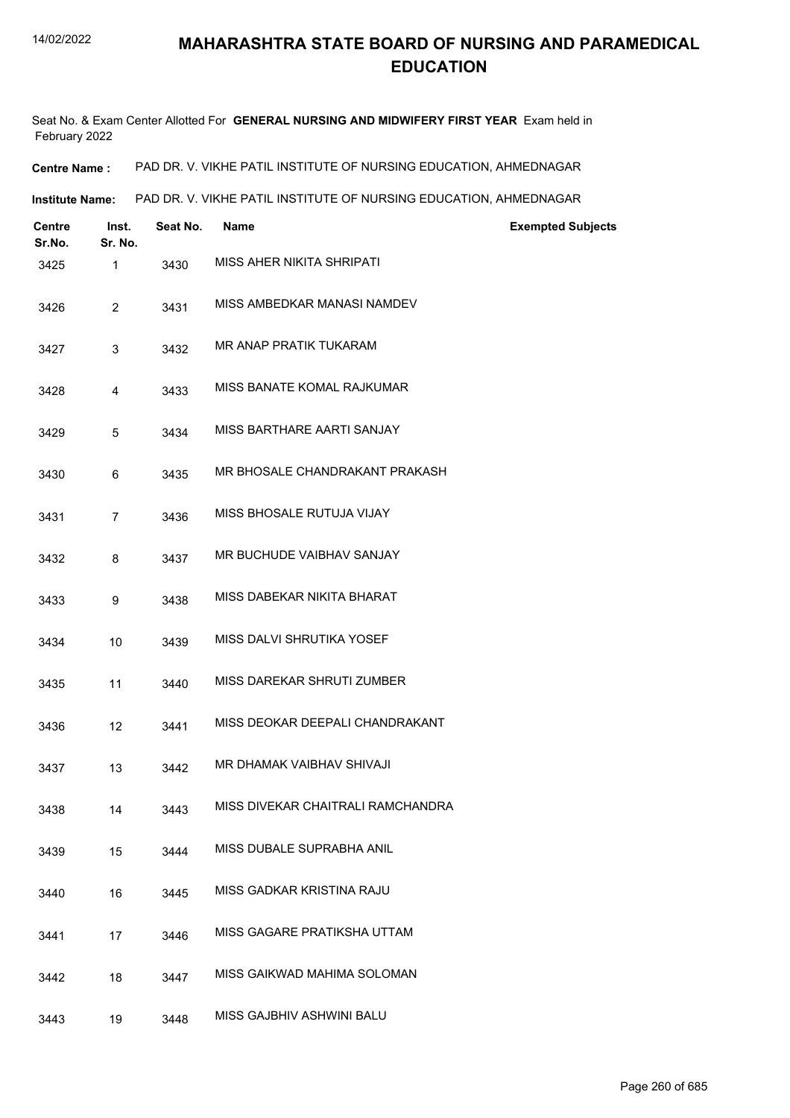Seat No. & Exam Center Allotted For **GENERAL NURSING AND MIDWIFERY FIRST YEAR** Exam held in February 2022

**Centre Name :** PAD DR. V. VIKHE PATIL INSTITUTE OF NURSING EDUCATION, AHMEDNAGAR

**Institute Name:** PAD DR. V. VIKHE PATIL INSTITUTE OF NURSING EDUCATION, AHMEDNAGAR

| <b>Centre</b><br>Sr.No. | Inst.<br>Sr. No. | Seat No. | <b>Name</b>                       | <b>Exempted Subjects</b> |
|-------------------------|------------------|----------|-----------------------------------|--------------------------|
| 3425                    | $\mathbf{1}$     | 3430     | <b>MISS AHER NIKITA SHRIPATI</b>  |                          |
| 3426                    | 2                | 3431     | MISS AMBEDKAR MANASI NAMDEV       |                          |
| 3427                    | 3                | 3432     | MR ANAP PRATIK TUKARAM            |                          |
| 3428                    | 4                | 3433     | MISS BANATE KOMAL RAJKUMAR        |                          |
| 3429                    | 5                | 3434     | MISS BARTHARE AARTI SANJAY        |                          |
| 3430                    | 6                | 3435     | MR BHOSALE CHANDRAKANT PRAKASH    |                          |
| 3431                    | $\overline{7}$   | 3436     | MISS BHOSALE RUTUJA VIJAY         |                          |
| 3432                    | 8                | 3437     | MR BUCHUDE VAIBHAV SANJAY         |                          |
| 3433                    | 9                | 3438     | MISS DABEKAR NIKITA BHARAT        |                          |
| 3434                    | 10               | 3439     | MISS DALVI SHRUTIKA YOSEF         |                          |
| 3435                    | 11               | 3440     | MISS DAREKAR SHRUTI ZUMBER        |                          |
| 3436                    | 12               | 3441     | MISS DEOKAR DEEPALI CHANDRAKANT   |                          |
| 3437                    | 13               | 3442     | MR DHAMAK VAIBHAV SHIVAJI         |                          |
| 3438                    | 14               | 3443     | MISS DIVEKAR CHAITRALI RAMCHANDRA |                          |
| 3439                    | 15               | 3444     | MISS DUBALE SUPRABHA ANIL         |                          |
| 3440                    | 16               | 3445     | MISS GADKAR KRISTINA RAJU         |                          |
| 3441                    | 17               | 3446     | MISS GAGARE PRATIKSHA UTTAM       |                          |
| 3442                    | 18               | 3447     | MISS GAIKWAD MAHIMA SOLOMAN       |                          |
| 3443                    | 19               | 3448     | MISS GAJBHIV ASHWINI BALU         |                          |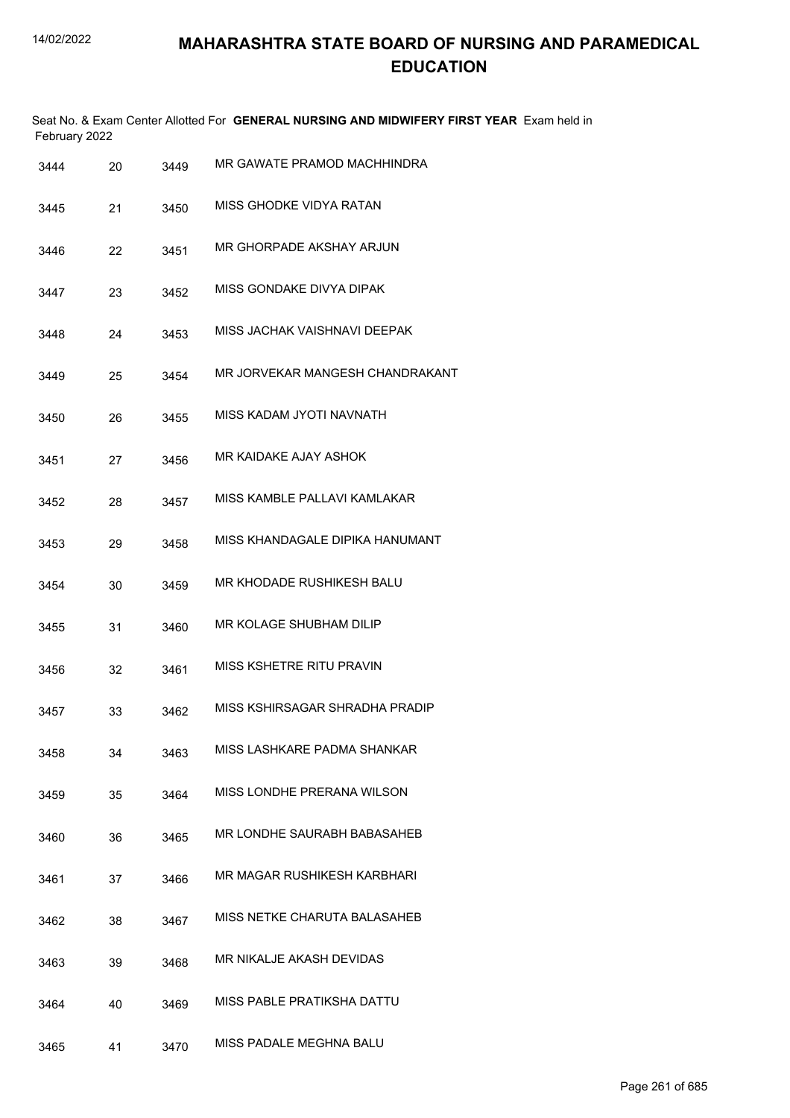| February 2022 |    |      | Seat No. & Exam Center Allotted For GENERAL NURSING AND MIDWIFERY FIRST YEAR Exam held in |
|---------------|----|------|-------------------------------------------------------------------------------------------|
| 3444          | 20 | 3449 | MR GAWATE PRAMOD MACHHINDRA                                                               |
| 3445          | 21 | 3450 | MISS GHODKE VIDYA RATAN                                                                   |
| 3446          | 22 | 3451 | MR GHORPADE AKSHAY ARJUN                                                                  |
| 3447          | 23 | 3452 | MISS GONDAKE DIVYA DIPAK                                                                  |
| 3448          | 24 | 3453 | MISS JACHAK VAISHNAVI DEEPAK                                                              |
| 3449          | 25 | 3454 | MR JORVEKAR MANGESH CHANDRAKANT                                                           |
| 3450          | 26 | 3455 | MISS KADAM JYOTI NAVNATH                                                                  |
| 3451          | 27 | 3456 | MR KAIDAKE AJAY ASHOK                                                                     |
| 3452          | 28 | 3457 | MISS KAMBLE PALLAVI KAMLAKAR                                                              |
| 3453          | 29 | 3458 | MISS KHANDAGALE DIPIKA HANUMANT                                                           |
| 3454          | 30 | 3459 | MR KHODADE RUSHIKESH BALU                                                                 |
| 3455          | 31 | 3460 | MR KOLAGE SHUBHAM DILIP                                                                   |
| 3456          | 32 | 3461 | MISS KSHETRE RITU PRAVIN                                                                  |
| 3457          | 33 | 3462 | MISS KSHIRSAGAR SHRADHA PRADIP                                                            |
| 3458          | 34 | 3463 | MISS LASHKARE PADMA SHANKAR                                                               |
| 3459          | 35 | 3464 | MISS LONDHE PRERANA WILSON                                                                |
| 3460          | 36 | 3465 | MR LONDHE SAURABH BABASAHEB                                                               |
| 3461          | 37 | 3466 | MR MAGAR RUSHIKESH KARBHARI                                                               |
| 3462          | 38 | 3467 | MISS NETKE CHARUTA BALASAHEB                                                              |
| 3463          | 39 | 3468 | MR NIKALJE AKASH DEVIDAS                                                                  |
| 3464          | 40 | 3469 | MISS PABLE PRATIKSHA DATTU                                                                |
| 3465          | 41 | 3470 | MISS PADALE MEGHNA BALU                                                                   |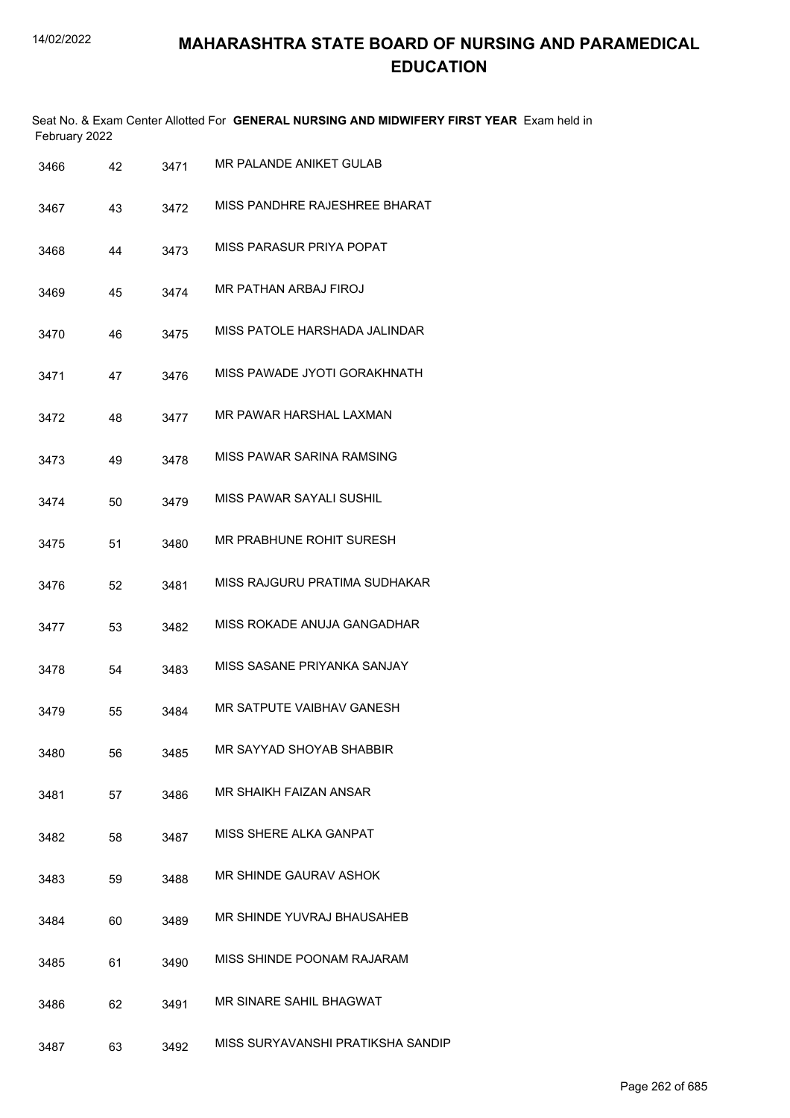|      | February 2022 |      | Seat No. & Exam Center Allotted For GENERAL NURSING AND MIDWIFERY FIRST YEAR Exam held in |
|------|---------------|------|-------------------------------------------------------------------------------------------|
| 3466 | 42            | 3471 | MR PALANDE ANIKET GULAB                                                                   |
| 3467 | 43            | 3472 | MISS PANDHRE RAJESHREE BHARAT                                                             |
| 3468 | 44            | 3473 | MISS PARASUR PRIYA POPAT                                                                  |
| 3469 | 45            | 3474 | MR PATHAN ARBAJ FIROJ                                                                     |
| 3470 | 46            | 3475 | MISS PATOLE HARSHADA JALINDAR                                                             |
| 3471 | 47            | 3476 | MISS PAWADE JYOTI GORAKHNATH                                                              |
| 3472 | 48            | 3477 | MR PAWAR HARSHAL LAXMAN                                                                   |
| 3473 | 49            | 3478 | MISS PAWAR SARINA RAMSING                                                                 |
| 3474 | 50            | 3479 | MISS PAWAR SAYALI SUSHIL                                                                  |
| 3475 | 51            | 3480 | MR PRABHUNE ROHIT SURESH                                                                  |
| 3476 | 52            | 3481 | MISS RAJGURU PRATIMA SUDHAKAR                                                             |
| 3477 | 53            | 3482 | MISS ROKADE ANUJA GANGADHAR                                                               |
| 3478 | 54            | 3483 | MISS SASANE PRIYANKA SANJAY                                                               |
| 3479 | 55            | 3484 | MR SATPUTE VAIBHAV GANESH                                                                 |
| 3480 | 56            | 3485 | MR SAYYAD SHOYAB SHABBIR                                                                  |
| 3481 | 57            | 3486 | MR SHAIKH FAIZAN ANSAR                                                                    |
| 3482 | 58            | 3487 | MISS SHERE ALKA GANPAT                                                                    |
| 3483 | 59            | 3488 | MR SHINDE GAURAV ASHOK                                                                    |
| 3484 | 60            | 3489 | MR SHINDE YUVRAJ BHAUSAHEB                                                                |
| 3485 | 61            | 3490 | MISS SHINDE POONAM RAJARAM                                                                |
| 3486 | 62            | 3491 | MR SINARE SAHIL BHAGWAT                                                                   |
| 3487 | 63            | 3492 | MISS SURYAVANSHI PRATIKSHA SANDIP                                                         |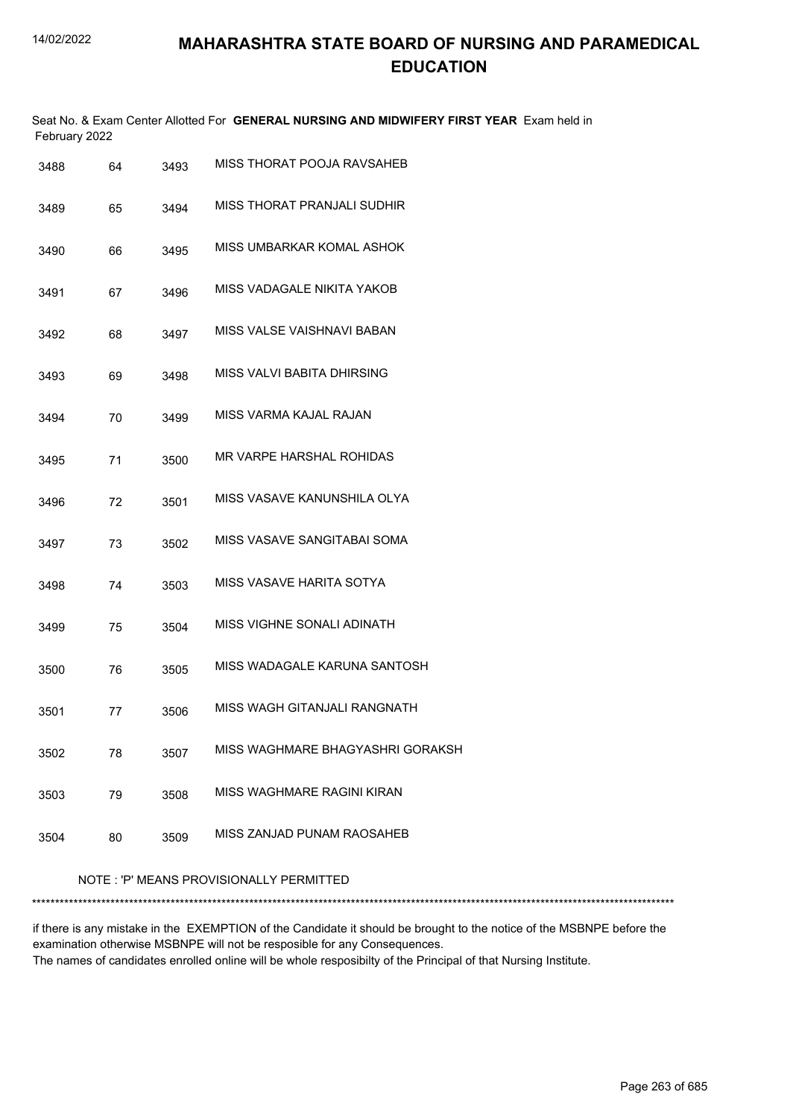Seat No. & Exam Center Allotted For **GENERAL NURSING AND MIDWIFERY FIRST YEAR** Exam held in February 2022

| 3488 | 64 | 3493 | MISS THORAT POOJA RAVSAHEB       |
|------|----|------|----------------------------------|
| 3489 | 65 | 3494 | MISS THORAT PRANJALI SUDHIR      |
| 3490 | 66 | 3495 | MISS UMBARKAR KOMAL ASHOK        |
| 3491 | 67 | 3496 | MISS VADAGALE NIKITA YAKOB       |
| 3492 | 68 | 3497 | MISS VALSE VAISHNAVI BABAN       |
| 3493 | 69 | 3498 | MISS VALVI BABITA DHIRSING       |
| 3494 | 70 | 3499 | MISS VARMA KAJAL RAJAN           |
| 3495 | 71 | 3500 | MR VARPE HARSHAL ROHIDAS         |
| 3496 | 72 | 3501 | MISS VASAVE KANUNSHILA OLYA      |
| 3497 | 73 | 3502 | MISS VASAVE SANGITABAI SOMA      |
| 3498 | 74 | 3503 | MISS VASAVE HARITA SOTYA         |
| 3499 | 75 | 3504 | MISS VIGHNE SONALI ADINATH       |
| 3500 | 76 | 3505 | MISS WADAGALE KARUNA SANTOSH     |
| 3501 | 77 | 3506 | MISS WAGH GITANJALI RANGNATH     |
| 3502 | 78 | 3507 | MISS WAGHMARE BHAGYASHRI GORAKSH |
| 3503 | 79 | 3508 | MISS WAGHMARE RAGINI KIRAN       |
| 3504 | 80 | 3509 | MISS ZANJAD PUNAM RAOSAHEB       |

NOTE : 'P' MEANS PROVISIONALLY PERMITTED

\*\*\*\*\*\*\*\*\*\*\*\*\*\*\*\*\*\*\*\*\*\*\*\*\*\*\*\*\*\*\*\*\*\*\*\*\*\*\*\*\*\*\*\*\*\*\*\*\*\*\*\*\*\*\*\*\*\*\*\*\*\*\*\*\*\*\*\*\*\*\*\*\*\*\*\*\*\*\*\*\*\*\*\*\*\*\*\*\*\*\*\*\*\*\*\*\*\*\*\*\*\*\*\*\*\*\*\*\*\*\*\*\*\*\*\*\*\*\*\*\*\*\*\*\*\*\*\*\*\*\*\*\*\*\*\*\*\*\*

if there is any mistake in the EXEMPTION of the Candidate it should be brought to the notice of the MSBNPE before the examination otherwise MSBNPE will not be resposible for any Consequences.

The names of candidates enrolled online will be whole resposibilty of the Principal of that Nursing Institute.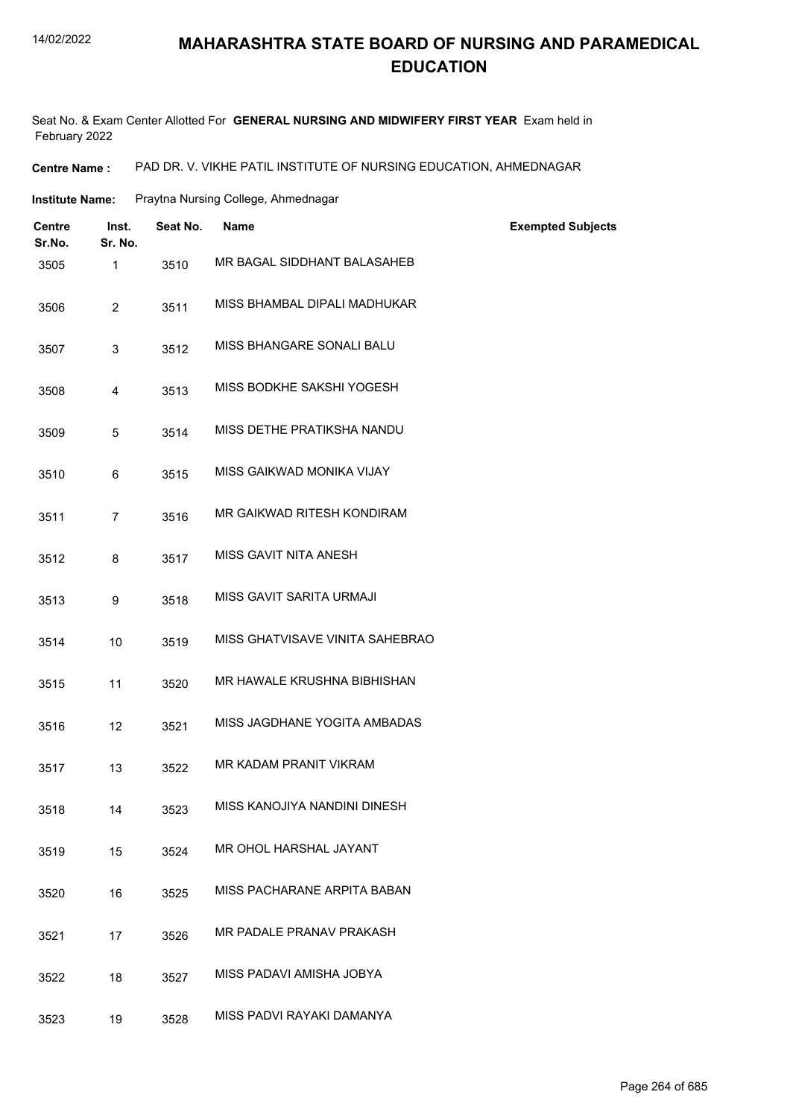#### 14/02/2022

#### **MAHARASHTRA STATE BOARD OF NURSING AND PARAMEDICAL EDUCATION**

Seat No. & Exam Center Allotted For **GENERAL NURSING AND MIDWIFERY FIRST YEAR** Exam held in February 2022

**Centre Name :** PAD DR. V. VIKHE PATIL INSTITUTE OF NURSING EDUCATION, AHMEDNAGAR

| Institute Name: | Praytna Nursing College, Ahmednagar |  |
|-----------------|-------------------------------------|--|
|                 |                                     |  |

| Centre<br>Sr.No. | Inst.<br>Sr. No. | Seat No. | <b>Name</b>                     | <b>Exempted Subjects</b> |
|------------------|------------------|----------|---------------------------------|--------------------------|
| 3505             | $\mathbf{1}$     | 3510     | MR BAGAL SIDDHANT BALASAHEB     |                          |
| 3506             | $\overline{2}$   | 3511     | MISS BHAMBAL DIPALI MADHUKAR    |                          |
| 3507             | 3                | 3512     | MISS BHANGARE SONALI BALU       |                          |
| 3508             | 4                | 3513     | MISS BODKHE SAKSHI YOGESH       |                          |
| 3509             | 5                | 3514     | MISS DETHE PRATIKSHA NANDU      |                          |
| 3510             | 6                | 3515     | MISS GAIKWAD MONIKA VIJAY       |                          |
| 3511             | $\overline{7}$   | 3516     | MR GAIKWAD RITESH KONDIRAM      |                          |
| 3512             | 8                | 3517     | MISS GAVIT NITA ANESH           |                          |
| 3513             | 9                | 3518     | MISS GAVIT SARITA URMAJI        |                          |
| 3514             | 10               | 3519     | MISS GHATVISAVE VINITA SAHEBRAO |                          |
| 3515             | 11               | 3520     | MR HAWALE KRUSHNA BIBHISHAN     |                          |
| 3516             | 12               | 3521     | MISS JAGDHANE YOGITA AMBADAS    |                          |
| 3517             | 13               | 3522     | MR KADAM PRANIT VIKRAM          |                          |
| 3518             | 14               | 3523     | MISS KANOJIYA NANDINI DINESH    |                          |
| 3519             | 15               | 3524     | MR OHOL HARSHAL JAYANT          |                          |
| 3520             | 16               | 3525     | MISS PACHARANE ARPITA BABAN     |                          |
| 3521             | 17               | 3526     | MR PADALE PRANAV PRAKASH        |                          |
| 3522             | 18               | 3527     | MISS PADAVI AMISHA JOBYA        |                          |
| 3523             | 19               | 3528     | MISS PADVI RAYAKI DAMANYA       |                          |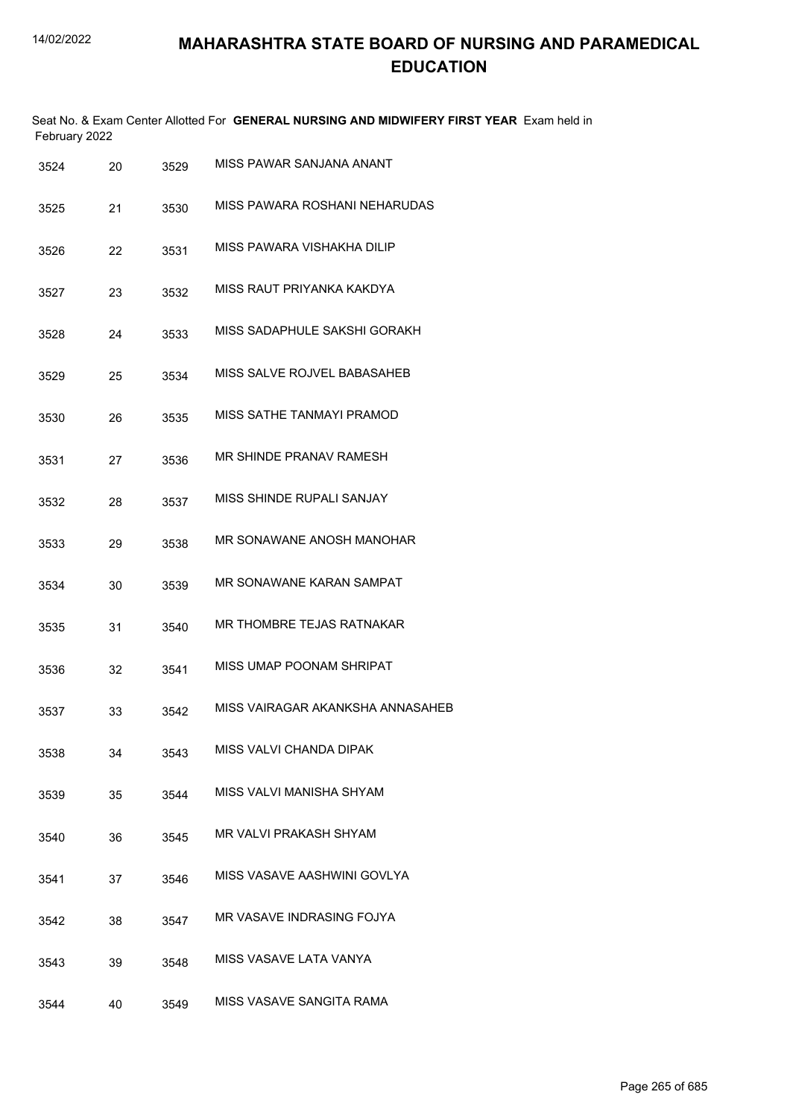| February 2022 |    |      | Seat No. & Exam Center Allotted For GENERAL NURSING AND MIDWIFERY FIRST YEAR Exam held in |
|---------------|----|------|-------------------------------------------------------------------------------------------|
| 3524          | 20 | 3529 | MISS PAWAR SANJANA ANANT                                                                  |
| 3525          | 21 | 3530 | MISS PAWARA ROSHANI NEHARUDAS                                                             |
| 3526          | 22 | 3531 | MISS PAWARA VISHAKHA DILIP                                                                |
| 3527          | 23 | 3532 | MISS RAUT PRIYANKA KAKDYA                                                                 |
| 3528          | 24 | 3533 | MISS SADAPHULE SAKSHI GORAKH                                                              |
| 3529          | 25 | 3534 | MISS SALVE ROJVEL BABASAHEB                                                               |
| 3530          | 26 | 3535 | MISS SATHE TANMAYI PRAMOD                                                                 |
| 3531          | 27 | 3536 | MR SHINDE PRANAV RAMESH                                                                   |
| 3532          | 28 | 3537 | MISS SHINDE RUPALI SANJAY                                                                 |
| 3533          | 29 | 3538 | MR SONAWANE ANOSH MANOHAR                                                                 |
| 3534          | 30 | 3539 | MR SONAWANE KARAN SAMPAT                                                                  |
| 3535          | 31 | 3540 | MR THOMBRE TEJAS RATNAKAR                                                                 |
| 3536          | 32 | 3541 | MISS UMAP POONAM SHRIPAT                                                                  |
| 3537          | 33 | 3542 | MISS VAIRAGAR AKANKSHA ANNASAHEB                                                          |
| 3538          | 34 | 3543 | MISS VALVI CHANDA DIPAK                                                                   |
| 3539          | 35 | 3544 | MISS VALVI MANISHA SHYAM                                                                  |
| 3540          | 36 | 3545 | MR VALVI PRAKASH SHYAM                                                                    |
| 3541          | 37 | 3546 | MISS VASAVE AASHWINI GOVLYA                                                               |
| 3542          | 38 | 3547 | MR VASAVE INDRASING FOJYA                                                                 |
| 3543          | 39 | 3548 | MISS VASAVE LATA VANYA                                                                    |
| 3544          | 40 | 3549 | MISS VASAVE SANGITA RAMA                                                                  |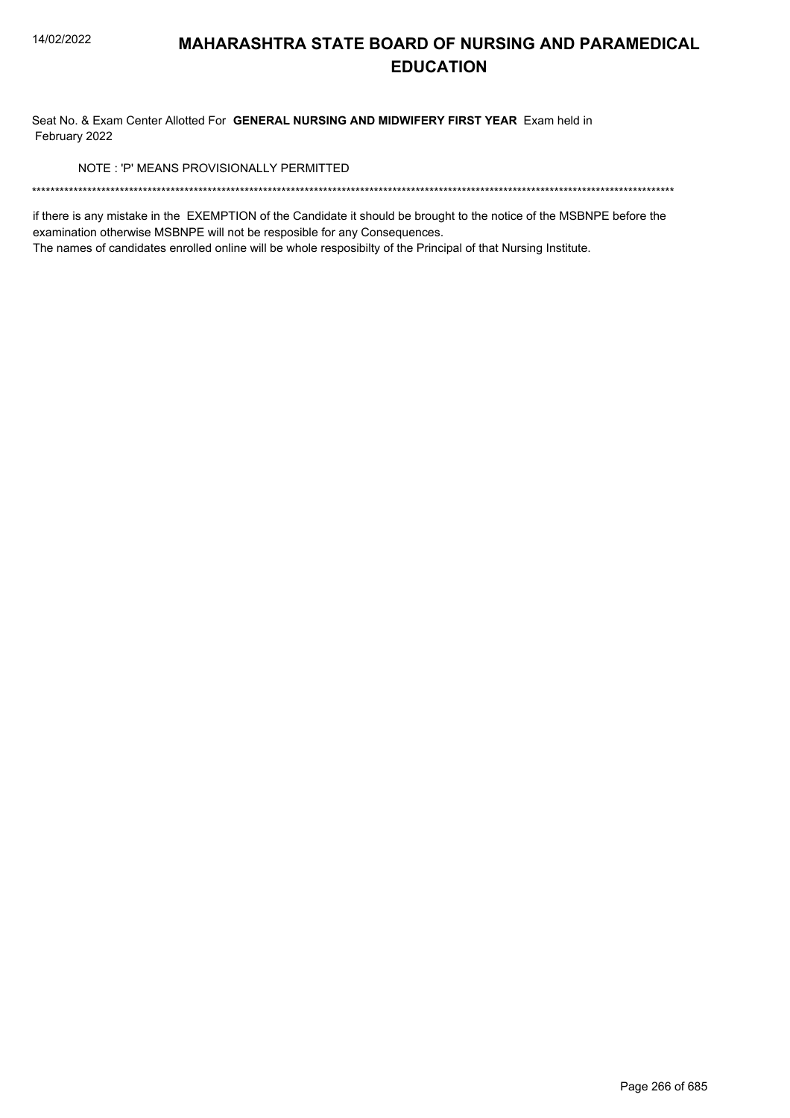Seat No. & Exam Center Allotted For **GENERAL NURSING AND MIDWIFERY FIRST YEAR** Exam held in February 2022

NOTE : 'P' MEANS PROVISIONALLY PERMITTED

\*\*\*\*\*\*\*\*\*\*\*\*\*\*\*\*\*\*\*\*\*\*\*\*\*\*\*\*\*\*\*\*\*\*\*\*\*\*\*\*\*\*\*\*\*\*\*\*\*\*\*\*\*\*\*\*\*\*\*\*\*\*\*\*\*\*\*\*\*\*\*\*\*\*\*\*\*\*\*\*\*\*\*\*\*\*\*\*\*\*\*\*\*\*\*\*\*\*\*\*\*\*\*\*\*\*\*\*\*\*\*\*\*\*\*\*\*\*\*\*\*\*\*\*\*\*\*\*\*\*\*\*\*\*\*\*\*\*\*

if there is any mistake in the EXEMPTION of the Candidate it should be brought to the notice of the MSBNPE before the examination otherwise MSBNPE will not be resposible for any Consequences.

The names of candidates enrolled online will be whole resposibilty of the Principal of that Nursing Institute.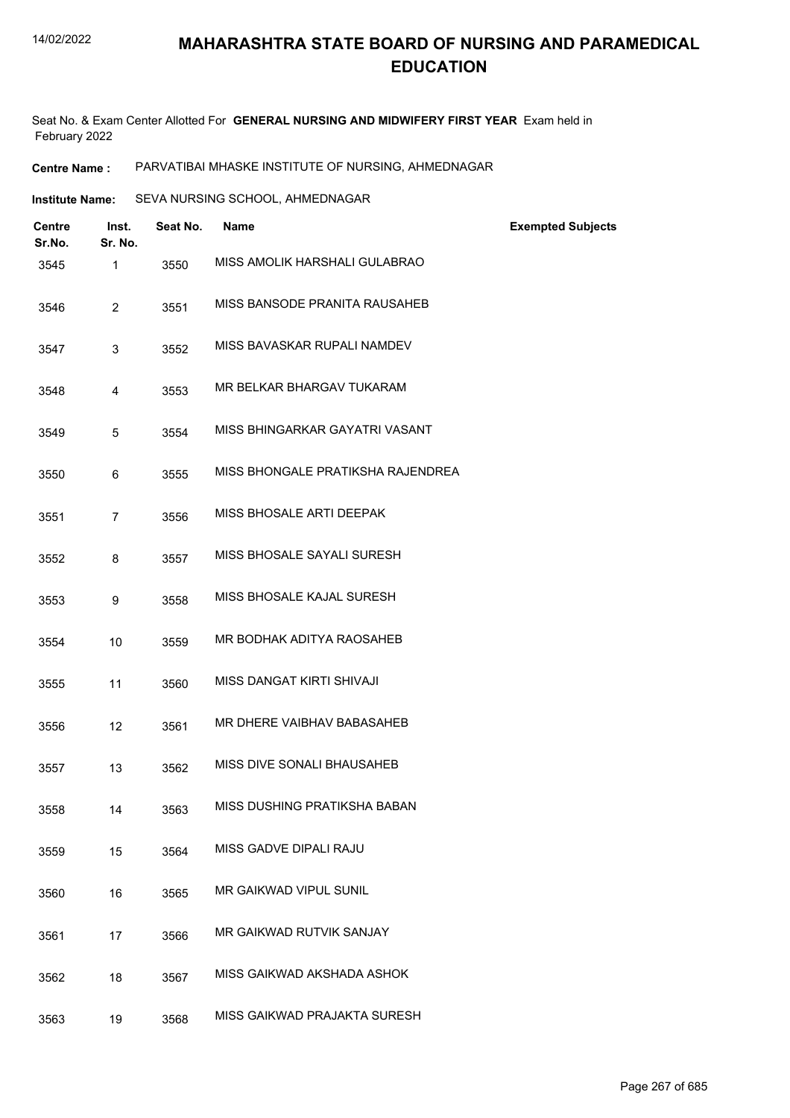Seat No. & Exam Center Allotted For **GENERAL NURSING AND MIDWIFERY FIRST YEAR** Exam held in February 2022

**Centre Name :** PARVATIBAI MHASKE INSTITUTE OF NURSING, AHMEDNAGAR

| Institute Name: | SEVA NURSING SCHOOL, AHMEDNAGAR |
|-----------------|---------------------------------|
|                 |                                 |

| <b>Centre</b><br>Sr.No. | Inst.<br>Sr. No. | Seat No. | <b>Name</b>                       | <b>Exempted Subjects</b> |
|-------------------------|------------------|----------|-----------------------------------|--------------------------|
| 3545                    | $\mathbf{1}$     | 3550     | MISS AMOLIK HARSHALI GULABRAO     |                          |
| 3546                    | $\overline{2}$   | 3551     | MISS BANSODE PRANITA RAUSAHEB     |                          |
| 3547                    | 3                | 3552     | MISS BAVASKAR RUPALI NAMDEV       |                          |
| 3548                    | 4                | 3553     | MR BELKAR BHARGAV TUKARAM         |                          |
| 3549                    | 5                | 3554     | MISS BHINGARKAR GAYATRI VASANT    |                          |
| 3550                    | 6                | 3555     | MISS BHONGALE PRATIKSHA RAJENDREA |                          |
| 3551                    | $\overline{7}$   | 3556     | MISS BHOSALE ARTI DEEPAK          |                          |
| 3552                    | 8                | 3557     | MISS BHOSALE SAYALI SURESH        |                          |
| 3553                    | 9                | 3558     | MISS BHOSALE KAJAL SURESH         |                          |
| 3554                    | 10               | 3559     | MR BODHAK ADITYA RAOSAHEB         |                          |
| 3555                    | 11               | 3560     | MISS DANGAT KIRTI SHIVAJI         |                          |
| 3556                    | 12               | 3561     | MR DHERE VAIBHAV BABASAHEB        |                          |
| 3557                    | 13               | 3562     | MISS DIVE SONALI BHAUSAHEB        |                          |
| 3558                    | 14               | 3563     | MISS DUSHING PRATIKSHA BABAN      |                          |
| 3559                    | 15               | 3564     | MISS GADVE DIPALI RAJU            |                          |
| 3560                    | 16               | 3565     | MR GAIKWAD VIPUL SUNIL            |                          |
| 3561                    | 17               | 3566     | MR GAIKWAD RUTVIK SANJAY          |                          |
| 3562                    | 18               | 3567     | MISS GAIKWAD AKSHADA ASHOK        |                          |
| 3563                    | 19               | 3568     | MISS GAIKWAD PRAJAKTA SURESH      |                          |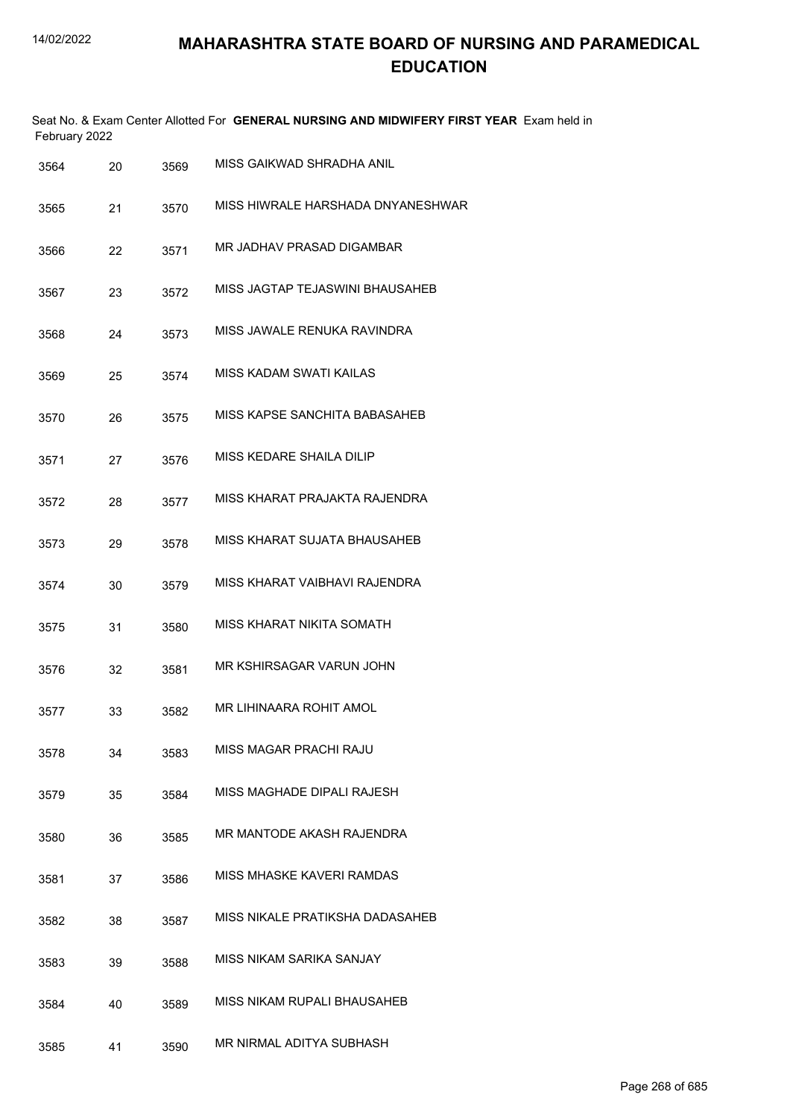|      | February 2022 |      | Seat No. & Exam Center Allotted For GENERAL NURSING AND MIDWIFERY FIRST YEAR Exam held in |
|------|---------------|------|-------------------------------------------------------------------------------------------|
| 3564 | 20            | 3569 | MISS GAIKWAD SHRADHA ANIL                                                                 |
| 3565 | 21            | 3570 | MISS HIWRAI F HARSHADA DNYANESHWAR                                                        |
| 3566 | 22            | 3571 | MR JADHAV PRASAD DIGAMBAR                                                                 |
| 3567 | 23            | 3572 | MISS JAGTAP TEJASWINI BHAUSAHEB                                                           |
| 3568 | 24            | 3573 | MISS JAWALE RENUKA RAVINDRA                                                               |
| 3569 | 25            | 3574 | MISS KADAM SWATI KAILAS                                                                   |
| 3570 | 26            | 3575 | MISS KAPSE SANCHITA BABASAHEB                                                             |
| 3571 | 27            | 3576 | MISS KEDARE SHAILA DILIP                                                                  |
| 3572 | 28            | 3577 | MISS KHARAT PRAJAKTA RAJENDRA                                                             |
| 3573 | 29            | 3578 | MISS KHARAT SUJATA BHAUSAHEB                                                              |
| 3574 | 30            | 3579 | MISS KHARAT VAIBHAVI RAJENDRA                                                             |
| 3575 | 31            | 3580 | MISS KHARAT NIKITA SOMATH                                                                 |
| 3576 | 32            | 3581 | MR KSHIRSAGAR VARUN JOHN                                                                  |
| 3577 | 33            | 3582 | MR LIHINAARA ROHIT AMOL                                                                   |
| 3578 | 34            | 3583 | MISS MAGAR PRACHI RAJU                                                                    |
| 3579 | 35            | 3584 | MISS MAGHADE DIPALI RAJESH                                                                |
| 3580 | 36            | 3585 | MR MANTODE AKASH RAJENDRA                                                                 |
| 3581 | 37            | 3586 | MISS MHASKE KAVERI RAMDAS                                                                 |
| 3582 | 38            | 3587 | MISS NIKALE PRATIKSHA DADASAHEB                                                           |
| 3583 | 39            | 3588 | MISS NIKAM SARIKA SANJAY                                                                  |
| 3584 | 40            | 3589 | MISS NIKAM RUPALI BHAUSAHEB                                                               |
| 3585 | 41            | 3590 | MR NIRMAL ADITYA SUBHASH                                                                  |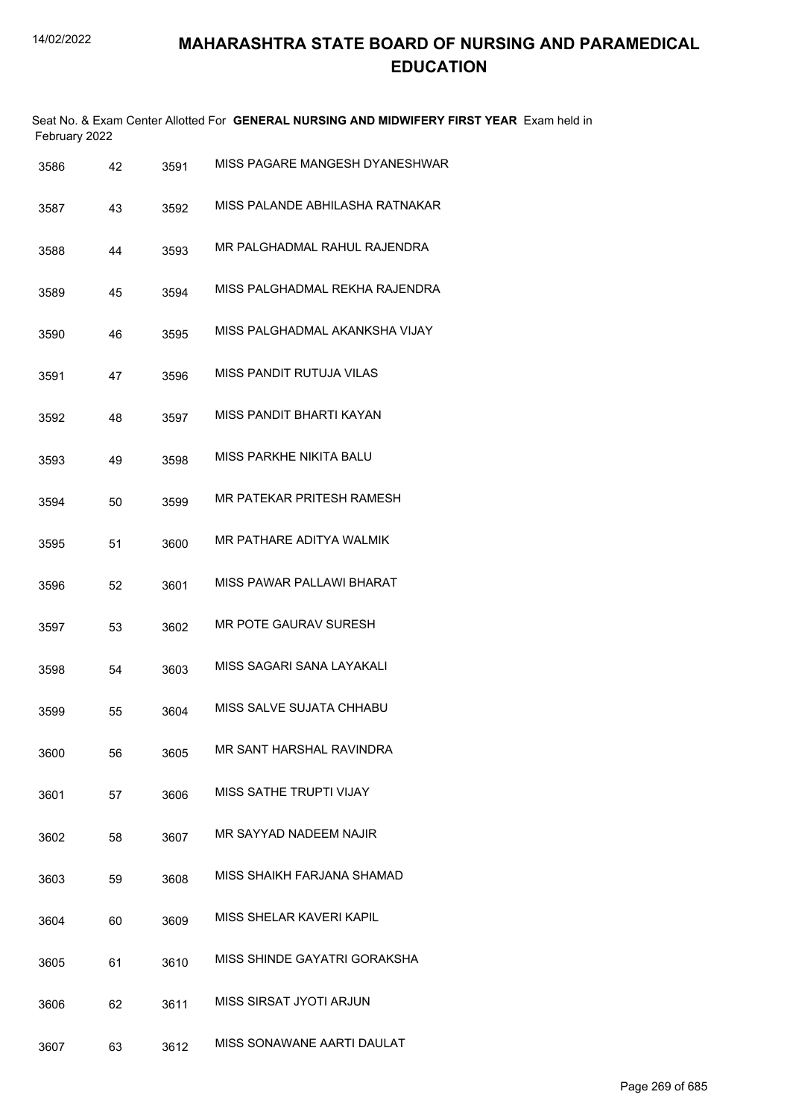| February 2022 |    |      | Seat No. & Exam Center Allotted For GENERAL NURSING AND MIDWIFERY FIRST YEAR Exam held in |
|---------------|----|------|-------------------------------------------------------------------------------------------|
| 3586          | 42 | 3591 | MISS PAGARE MANGESH DYANESHWAR                                                            |
| 3587          | 43 | 3592 | MISS PALANDE ABHILASHA RATNAKAR                                                           |
| 3588          | 44 | 3593 | MR PALGHADMAL RAHUL RAJENDRA                                                              |
| 3589          | 45 | 3594 | MISS PALGHADMAL REKHA RAJENDRA                                                            |
| 3590          | 46 | 3595 | MISS PALGHADMAL AKANKSHA VIJAY                                                            |
| 3591          | 47 | 3596 | MISS PANDIT RUTUJA VILAS                                                                  |
| 3592          | 48 | 3597 | MISS PANDIT BHARTI KAYAN                                                                  |
| 3593          | 49 | 3598 | MISS PARKHE NIKITA BALU                                                                   |
| 3594          | 50 | 3599 | MR PATEKAR PRITESH RAMESH                                                                 |
| 3595          | 51 | 3600 | MR PATHARE ADITYA WALMIK                                                                  |
| 3596          | 52 | 3601 | MISS PAWAR PALLAWI BHARAT                                                                 |
| 3597          | 53 | 3602 | MR POTE GAURAV SURESH                                                                     |
| 3598          | 54 | 3603 | MISS SAGARI SANA LAYAKALI                                                                 |
| 3599          | 55 | 3604 | MISS SALVE SUJATA CHHABU                                                                  |
| 3600          | 56 | 3605 | MR SANT HARSHAL RAVINDRA                                                                  |
| 3601          | 57 | 3606 | MISS SATHE TRUPTI VIJAY                                                                   |
| 3602          | 58 | 3607 | MR SAYYAD NADEEM NAJIR                                                                    |
| 3603          | 59 | 3608 | MISS SHAIKH FARJANA SHAMAD                                                                |
| 3604          | 60 | 3609 | MISS SHELAR KAVERI KAPIL                                                                  |
| 3605          | 61 | 3610 | MISS SHINDE GAYATRI GORAKSHA                                                              |
| 3606          | 62 | 3611 | MISS SIRSAT JYOTI ARJUN                                                                   |
| 3607          | 63 | 3612 | MISS SONAWANE AARTI DAULAT                                                                |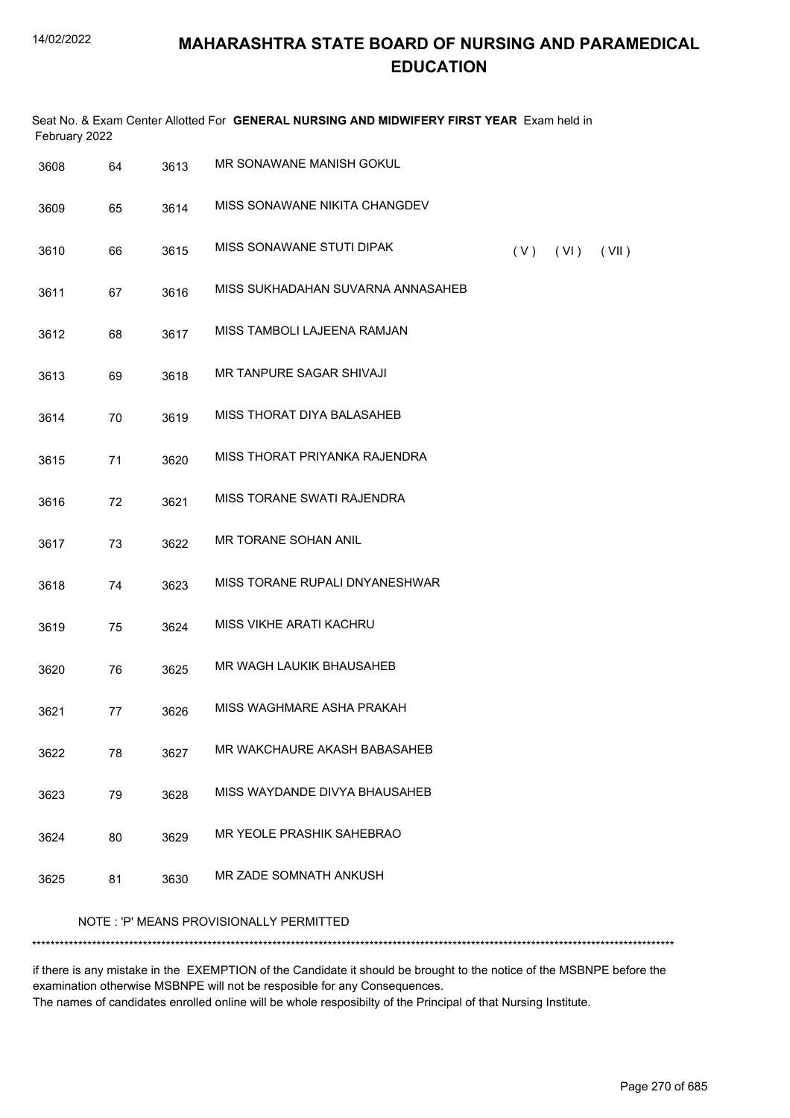| February 2022 |                                         |      | Seat No. & Exam Center Allotted For GENERAL NURSING AND MIDWIFERY FIRST YEAR Exam held in |     |      |       |
|---------------|-----------------------------------------|------|-------------------------------------------------------------------------------------------|-----|------|-------|
| 3608          | 64                                      | 3613 | MR SONAWANE MANISH GOKUL                                                                  |     |      |       |
| 3609          | 65                                      | 3614 | MISS SONAWANE NIKITA CHANGDEV                                                             |     |      |       |
| 3610          | 66                                      | 3615 | MISS SONAWANE STUTI DIPAK                                                                 | (V) | (VI) | (VII) |
| 3611          | 67                                      | 3616 | MISS SUKHADAHAN SUVARNA ANNASAHEB                                                         |     |      |       |
| 3612          | 68                                      | 3617 | MISS TAMBOLI LAJEENA RAMJAN                                                               |     |      |       |
| 3613          | 69                                      | 3618 | MR TANPURE SAGAR SHIVAJI                                                                  |     |      |       |
| 3614          | 70                                      | 3619 | MISS THORAT DIYA BALASAHEB                                                                |     |      |       |
| 3615          | 71                                      | 3620 | MISS THORAT PRIYANKA RAJENDRA                                                             |     |      |       |
| 3616          | 72                                      | 3621 | MISS TORANE SWATI RAJENDRA                                                                |     |      |       |
| 3617          | 73                                      | 3622 | MR TORANE SOHAN ANIL                                                                      |     |      |       |
| 3618          | 74                                      | 3623 | MISS TORANE RUPALI DNYANESHWAR                                                            |     |      |       |
| 3619          | 75                                      | 3624 | MISS VIKHE ARATI KACHRU                                                                   |     |      |       |
| 3620          | 76                                      | 3625 | MR WAGH LAUKIK BHAUSAHEB                                                                  |     |      |       |
| 3621          | 77                                      | 3626 | MISS WAGHMARE ASHA PRAKAH                                                                 |     |      |       |
| 3622          | 78                                      | 3627 | MR WAKCHAURE AKASH BABASAHEB                                                              |     |      |       |
| 3623          | 79                                      | 3628 | MISS WAYDANDE DIVYA BHAUSAHEB                                                             |     |      |       |
| 3624          | 80                                      | 3629 | MR YEOLE PRASHIK SAHEBRAO                                                                 |     |      |       |
| 3625          | 81                                      | 3630 | MR ZADE SOMNATH ANKUSH                                                                    |     |      |       |
|               | NOTE: 'P' MEANS PROVISIONALLY PERMITTED |      |                                                                                           |     |      |       |
|               |                                         |      |                                                                                           |     |      |       |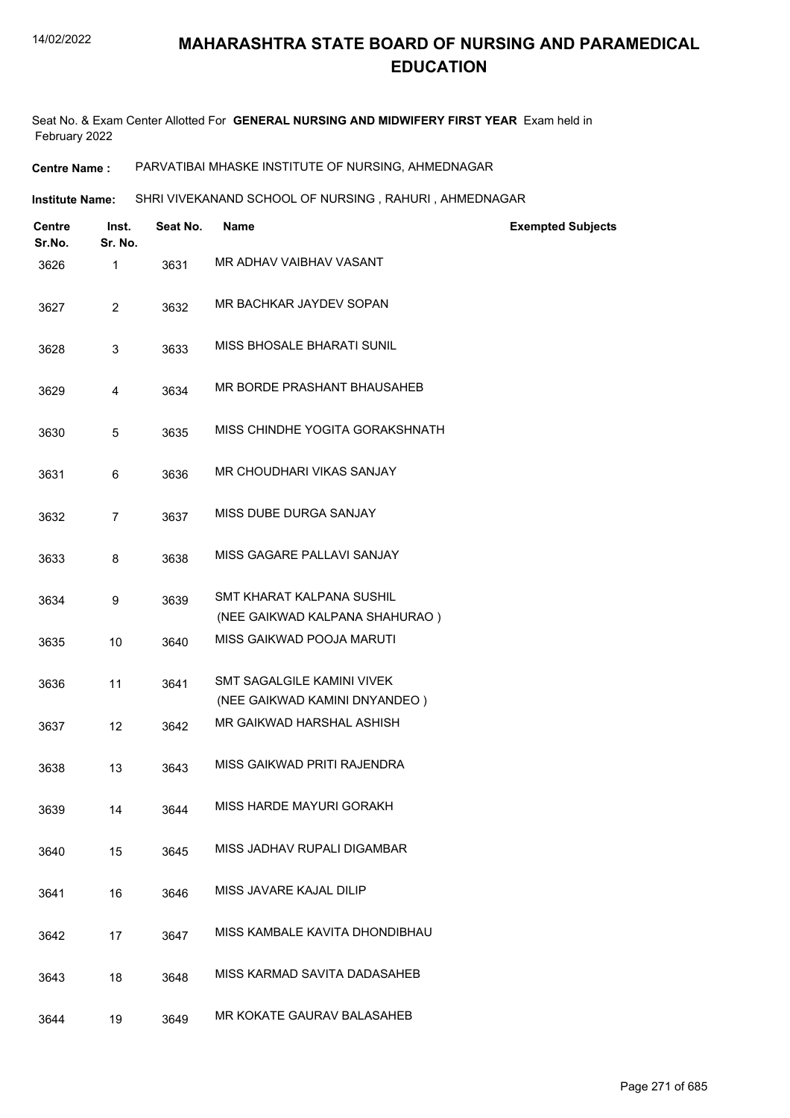Seat No. & Exam Center Allotted For **GENERAL NURSING AND MIDWIFERY FIRST YEAR** Exam held in February 2022

**Centre Name :** PARVATIBAI MHASKE INSTITUTE OF NURSING, AHMEDNAGAR

**Institute Name: SHRI VIVEKANAND SCHOOL OF NURSING , RAHURI , AHMEDNAGAR** 

| <b>Centre</b><br>Sr.No. | Inst.<br>Sr. No. | Seat No. | <b>Name</b>                                                 | <b>Exempted Subjects</b> |
|-------------------------|------------------|----------|-------------------------------------------------------------|--------------------------|
| 3626                    | $\mathbf{1}$     | 3631     | MR ADHAV VAIBHAV VASANT                                     |                          |
| 3627                    | $\overline{2}$   | 3632     | MR BACHKAR JAYDEV SOPAN                                     |                          |
| 3628                    | 3                | 3633     | MISS BHOSALE BHARATI SUNIL                                  |                          |
| 3629                    | 4                | 3634     | MR BORDE PRASHANT BHAUSAHEB                                 |                          |
| 3630                    | 5                | 3635     | MISS CHINDHE YOGITA GORAKSHNATH                             |                          |
| 3631                    | 6                | 3636     | MR CHOUDHARI VIKAS SANJAY                                   |                          |
| 3632                    | $\overline{7}$   | 3637     | MISS DUBE DURGA SANJAY                                      |                          |
| 3633                    | 8                | 3638     | MISS GAGARE PALLAVI SANJAY                                  |                          |
| 3634                    | 9                | 3639     | SMT KHARAT KALPANA SUSHIL<br>(NEE GAIKWAD KALPANA SHAHURAO) |                          |
| 3635                    | 10               | 3640     | MISS GAIKWAD POOJA MARUTI                                   |                          |
| 3636                    | 11               | 3641     | SMT SAGALGILE KAMINI VIVEK<br>(NEE GAIKWAD KAMINI DNYANDEO) |                          |
| 3637                    | 12               | 3642     | MR GAIKWAD HARSHAL ASHISH                                   |                          |
| 3638                    | 13               | 3643     | MISS GAIKWAD PRITI RAJENDRA                                 |                          |
| 3639                    | 14               | 3644     | MISS HARDE MAYURI GORAKH                                    |                          |
| 3640                    | 15               | 3645     | MISS JADHAV RUPALI DIGAMBAR                                 |                          |
| 3641                    | 16               | 3646     | MISS JAVARE KAJAL DILIP                                     |                          |
| 3642                    | 17               | 3647     | MISS KAMBALE KAVITA DHONDIBHAU                              |                          |
| 3643                    | 18               | 3648     | MISS KARMAD SAVITA DADASAHEB                                |                          |
| 3644                    | 19               | 3649     | MR KOKATE GAURAV BALASAHEB                                  |                          |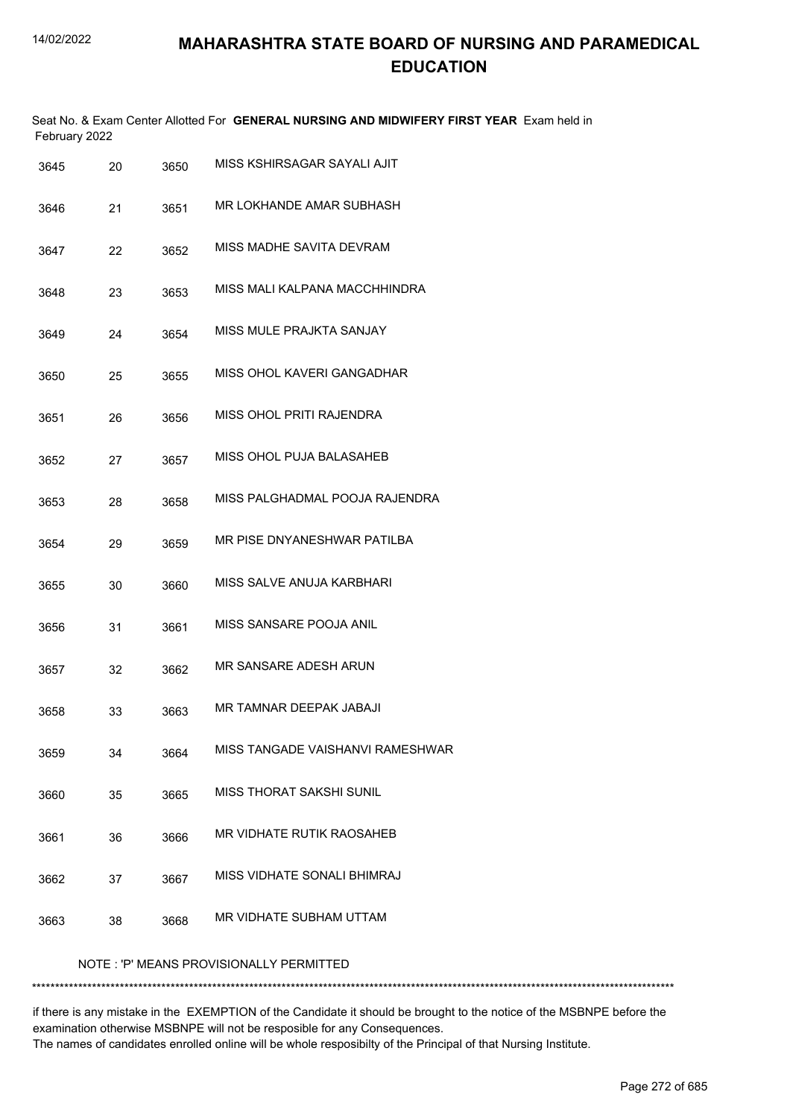|               | Seat No. & Exam Center Allotted For GENERAL NURSING AND MIDWIFERY FIRST YEAR Exam held in |
|---------------|-------------------------------------------------------------------------------------------|
| February 2022 |                                                                                           |

| 3645                                    | 20 | 3650 | MISS KSHIRSAGAR SAYALI AJIT      |  |  |
|-----------------------------------------|----|------|----------------------------------|--|--|
| 3646                                    | 21 | 3651 | MR LOKHANDE AMAR SUBHASH         |  |  |
| 3647                                    | 22 | 3652 | MISS MADHE SAVITA DEVRAM         |  |  |
| 3648                                    | 23 | 3653 | MISS MALI KALPANA MACCHHINDRA    |  |  |
| 3649                                    | 24 | 3654 | MISS MULE PRAJKTA SANJAY         |  |  |
| 3650                                    | 25 | 3655 | MISS OHOL KAVERI GANGADHAR       |  |  |
| 3651                                    | 26 | 3656 | MISS OHOL PRITI RAJENDRA         |  |  |
| 3652                                    | 27 | 3657 | MISS OHOL PUJA BALASAHEB         |  |  |
| 3653                                    | 28 | 3658 | MISS PALGHADMAL POOJA RAJENDRA   |  |  |
| 3654                                    | 29 | 3659 | MR PISE DNYANESHWAR PATILBA      |  |  |
| 3655                                    | 30 | 3660 | MISS SALVE ANUJA KARBHARI        |  |  |
| 3656                                    | 31 | 3661 | MISS SANSARE POOJA ANIL          |  |  |
| 3657                                    | 32 | 3662 | MR SANSARE ADESH ARUN            |  |  |
| 3658                                    | 33 | 3663 | MR TAMNAR DEEPAK JABAJI          |  |  |
| 3659                                    | 34 | 3664 | MISS TANGADE VAISHANVI RAMESHWAR |  |  |
| 3660                                    | 35 | 3665 | <b>MISS THORAT SAKSHI SUNIL</b>  |  |  |
| 3661                                    | 36 | 3666 | MR VIDHATE RUTIK RAOSAHEB        |  |  |
| 3662                                    | 37 | 3667 | MISS VIDHATE SONALI BHIMRAJ      |  |  |
| 3663                                    | 38 | 3668 | MR VIDHATE SUBHAM UTTAM          |  |  |
| NOTE: 'P' MEANS PROVISIONALLY PERMITTED |    |      |                                  |  |  |

\*\*\*\*\*\*\*\*\*\*\*\*\*\*\*\*\*\*\*\*\*\*\*\*\*\*\*\*\*\*\*\*\*\*\*\*\*\*\*\*\*\*\*\*\*\*\*\*\*\*\*\*\*\*\*\*\*\*\*\*\*\*\*\*\*\*\*\*\*\*\*\*\*\*\*\*\*\*\*\*\*\*\*\*\*\*\*\*\*\*\*\*\*\*\*\*\*\*\*\*\*\*\*\*\*\*\*\*\*\*\*\*\*\*\*\*\*\*\*\*\*\*\*\*\*\*\*\*\*\*\*\*\*\*\*\*\*\*\*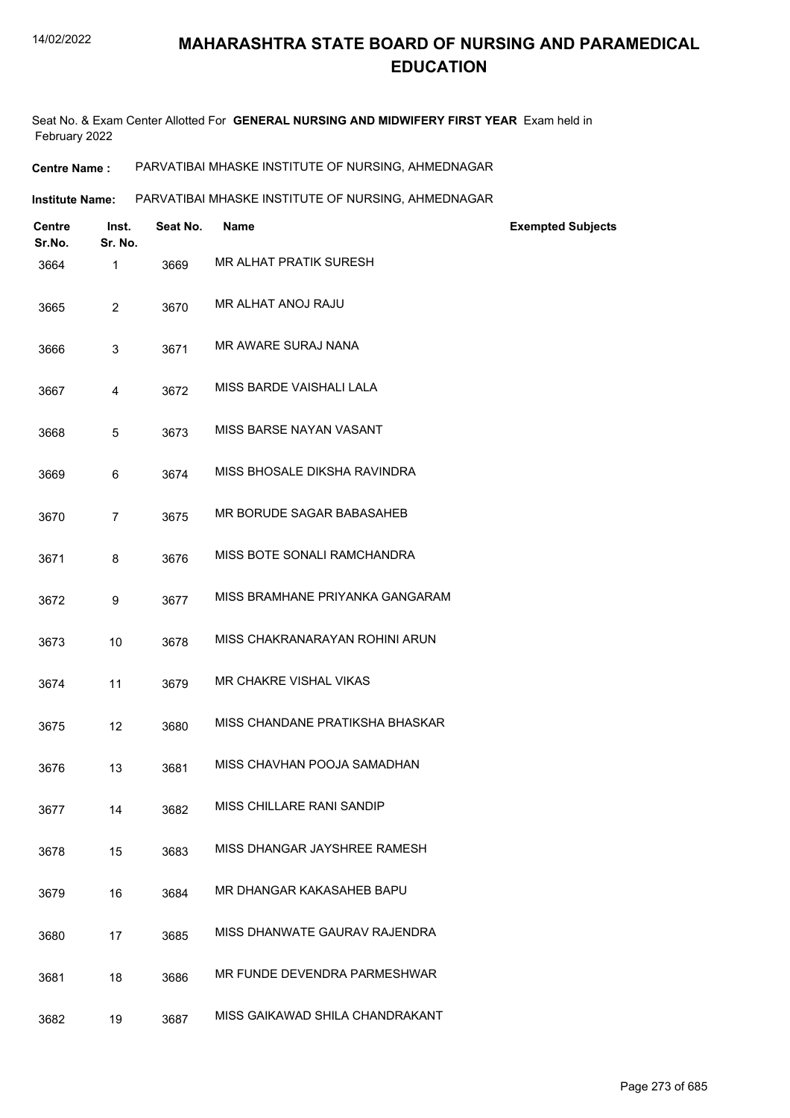Seat No. & Exam Center Allotted For **GENERAL NURSING AND MIDWIFERY FIRST YEAR** Exam held in February 2022

**Centre Name :** PARVATIBAI MHASKE INSTITUTE OF NURSING, AHMEDNAGAR

Institute Name: PARVATIBAI MHASKE INSTITUTE OF NURSING, AHMEDNAGAR

| <b>Centre</b><br>Sr.No. | Inst.<br>Sr. No. | Seat No. | <b>Name</b>                     | <b>Exempted Subjects</b> |
|-------------------------|------------------|----------|---------------------------------|--------------------------|
| 3664                    | 1                | 3669     | <b>MR ALHAT PRATIK SURESH</b>   |                          |
| 3665                    | $\overline{2}$   | 3670     | MR ALHAT ANOJ RAJU              |                          |
| 3666                    | 3                | 3671     | <b>MR AWARE SURAJ NANA</b>      |                          |
| 3667                    | 4                | 3672     | MISS BARDE VAISHALI LALA        |                          |
| 3668                    | 5                | 3673     | MISS BARSE NAYAN VASANT         |                          |
| 3669                    | 6                | 3674     | MISS BHOSALE DIKSHA RAVINDRA    |                          |
| 3670                    | $\overline{7}$   | 3675     | MR BORUDE SAGAR BABASAHEB       |                          |
| 3671                    | 8                | 3676     | MISS BOTE SONALI RAMCHANDRA     |                          |
| 3672                    | 9                | 3677     | MISS BRAMHANE PRIYANKA GANGARAM |                          |
| 3673                    | 10               | 3678     | MISS CHAKRANARAYAN ROHINI ARUN  |                          |
| 3674                    | 11               | 3679     | <b>MR CHAKRE VISHAL VIKAS</b>   |                          |
| 3675                    | 12               | 3680     | MISS CHANDANE PRATIKSHA BHASKAR |                          |
| 3676                    | 13               | 3681     | MISS CHAVHAN POOJA SAMADHAN     |                          |
| 3677                    | 14               | 3682     | MISS CHILLARE RANI SANDIP       |                          |
| 3678                    | 15               | 3683     | MISS DHANGAR JAYSHREE RAMESH    |                          |
| 3679                    | 16               | 3684     | MR DHANGAR KAKASAHEB BAPU       |                          |
| 3680                    | 17               | 3685     | MISS DHANWATE GAURAV RAJENDRA   |                          |
| 3681                    | 18               | 3686     | MR FUNDE DEVENDRA PARMESHWAR    |                          |
| 3682                    | 19               | 3687     | MISS GAIKAWAD SHILA CHANDRAKANT |                          |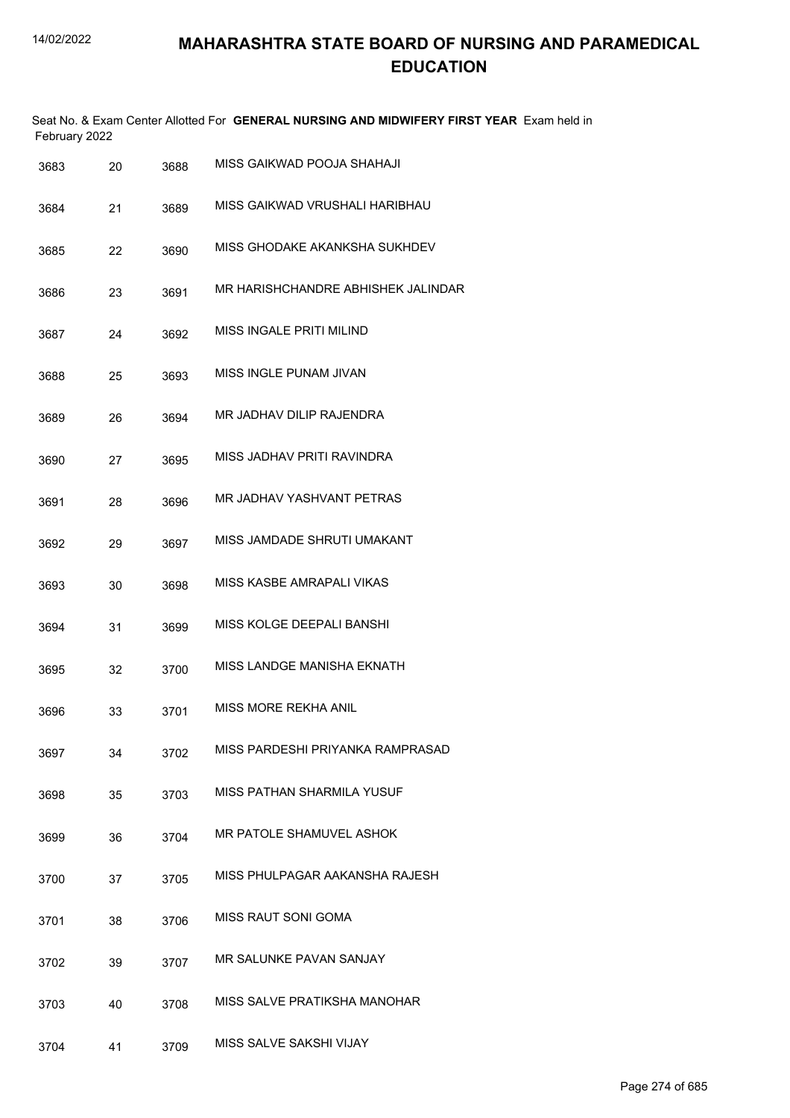|      | February 2022 |    |      | Seat No. & Exam Center Allotted For GENERAL NURSING AND MIDWIFERY FIRST YEAR Exam held in |
|------|---------------|----|------|-------------------------------------------------------------------------------------------|
| 3683 |               | 20 | 3688 | MISS GAIKWAD POOJA SHAHAJI                                                                |
| 3684 |               | 21 | 3689 | MISS GAIKWAD VRUSHALI HARIBHAU                                                            |
| 3685 |               | 22 | 3690 | MISS GHODAKE AKANKSHA SUKHDEV                                                             |
| 3686 |               | 23 | 3691 | MR HARISHCHANDRE ABHISHEK JALINDAR                                                        |
| 3687 |               | 24 | 3692 | MISS INGALE PRITI MILIND                                                                  |
| 3688 |               | 25 | 3693 | MISS INGLE PUNAM JIVAN                                                                    |
| 3689 |               | 26 | 3694 | MR JADHAV DILIP RAJENDRA                                                                  |
| 3690 |               | 27 | 3695 | MISS JADHAV PRITI RAVINDRA                                                                |
| 3691 |               | 28 | 3696 | MR JADHAV YASHVANT PETRAS                                                                 |
| 3692 |               | 29 | 3697 | MISS JAMDADE SHRUTI UMAKANT                                                               |
| 3693 |               | 30 | 3698 | MISS KASBE AMRAPALI VIKAS                                                                 |
| 3694 |               | 31 | 3699 | MISS KOLGE DEEPALI BANSHI                                                                 |
| 3695 |               | 32 | 3700 | MISS LANDGE MANISHA EKNATH                                                                |
| 3696 |               | 33 | 3701 | MISS MORE REKHA ANIL                                                                      |
| 3697 |               | 34 | 3702 | MISS PARDESHI PRIYANKA RAMPRASAD                                                          |
| 3698 |               | 35 | 3703 | MISS PATHAN SHARMILA YUSUF                                                                |
| 3699 |               | 36 | 3704 | MR PATOLE SHAMUVEL ASHOK                                                                  |
| 3700 |               | 37 | 3705 | MISS PHULPAGAR AAKANSHA RAJESH                                                            |
| 3701 |               | 38 | 3706 | MISS RAUT SONI GOMA                                                                       |
| 3702 |               | 39 | 3707 | MR SALUNKE PAVAN SANJAY                                                                   |
| 3703 |               | 40 | 3708 | MISS SALVE PRATIKSHA MANOHAR                                                              |
| 3704 |               | 41 | 3709 | MISS SALVE SAKSHI VIJAY                                                                   |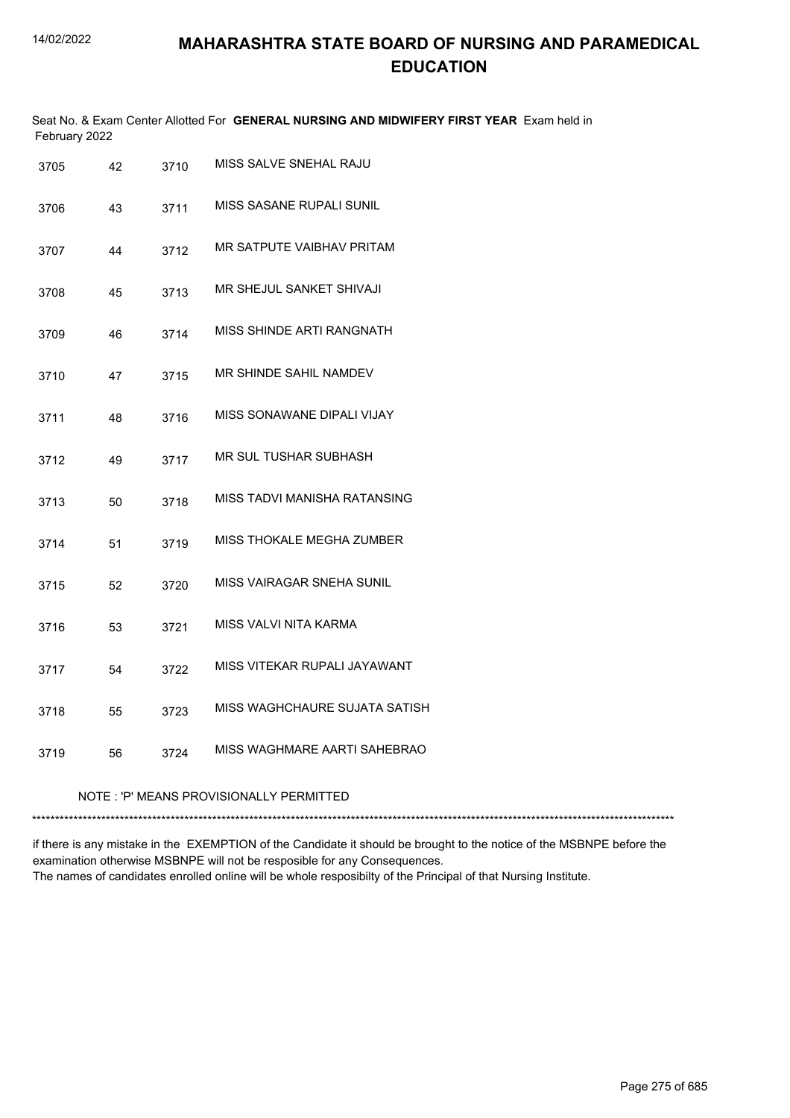| February 2022 |                                         |      | Seat No. & Exam Center Allotted For GENERAL NURSING AND MIDWIFERY FIRST YEAR Exam held in |  |  |
|---------------|-----------------------------------------|------|-------------------------------------------------------------------------------------------|--|--|
| 3705          | 42                                      | 3710 | MISS SALVE SNEHAL RAJU                                                                    |  |  |
| 3706          | 43                                      | 3711 | MISS SASANE RUPALI SUNIL                                                                  |  |  |
| 3707          | 44                                      | 3712 | MR SATPUTE VAIBHAV PRITAM                                                                 |  |  |
| 3708          | 45                                      | 3713 | MR SHEJUL SANKET SHIVAJI                                                                  |  |  |
| 3709          | 46                                      | 3714 | MISS SHINDE ARTI RANGNATH                                                                 |  |  |
| 3710          | 47                                      | 3715 | MR SHINDE SAHIL NAMDEV                                                                    |  |  |
| 3711          | 48                                      | 3716 | MISS SONAWANE DIPALI VIJAY                                                                |  |  |
| 3712          | 49                                      | 3717 | MR SUL TUSHAR SUBHASH                                                                     |  |  |
| 3713          | 50                                      | 3718 | MISS TADVI MANISHA RATANSING                                                              |  |  |
| 3714          | 51                                      | 3719 | MISS THOKALE MEGHA ZUMBER                                                                 |  |  |
| 3715          | 52                                      | 3720 | <b>MISS VAIRAGAR SNEHA SUNIL</b>                                                          |  |  |
| 3716          | 53                                      | 3721 | MISS VALVI NITA KARMA                                                                     |  |  |
| 3717          | 54                                      | 3722 | MISS VITEKAR RUPALI JAYAWANT                                                              |  |  |
| 3718          | 55                                      | 3723 | MISS WAGHCHAURE SUJATA SATISH                                                             |  |  |
| 3719          | 56                                      | 3724 | MISS WAGHMARE AARTI SAHEBRAO                                                              |  |  |
|               | NOTE: 'P' MEANS PROVISIONALLY PERMITTED |      |                                                                                           |  |  |
|               |                                         |      |                                                                                           |  |  |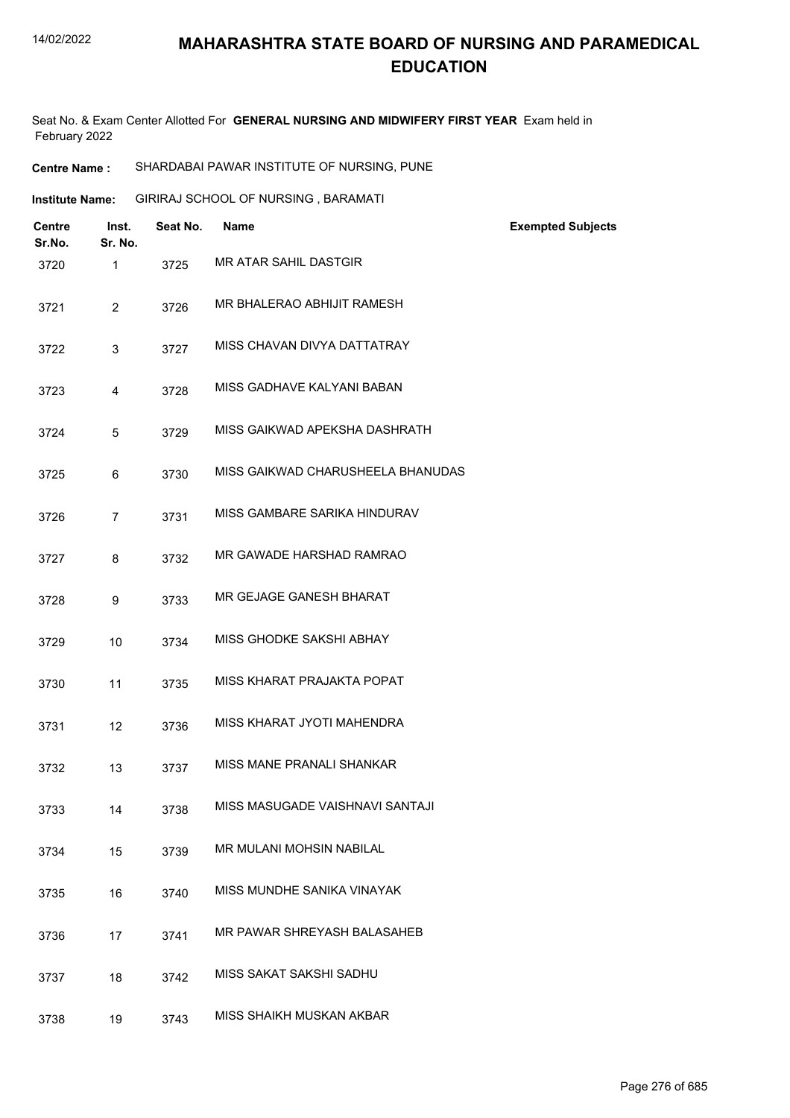Seat No. & Exam Center Allotted For **GENERAL NURSING AND MIDWIFERY FIRST YEAR** Exam held in February 2022

| Institute Name: | GIRIRAJ SCHOOL OF NURSING, BARAMATI |  |
|-----------------|-------------------------------------|--|
|                 |                                     |  |

| Centre<br>Sr.No. | Inst.<br>Sr. No. | Seat No. | <b>Name</b>                       | <b>Exempted Subjects</b> |
|------------------|------------------|----------|-----------------------------------|--------------------------|
| 3720             | $\mathbf{1}$     | 3725     | MR ATAR SAHIL DASTGIR             |                          |
| 3721             | $\overline{2}$   | 3726     | MR BHALERAO ABHIJIT RAMESH        |                          |
| 3722             | 3                | 3727     | MISS CHAVAN DIVYA DATTATRAY       |                          |
| 3723             | 4                | 3728     | MISS GADHAVE KALYANI BABAN        |                          |
| 3724             | 5                | 3729     | MISS GAIKWAD APEKSHA DASHRATH     |                          |
| 3725             | 6                | 3730     | MISS GAIKWAD CHARUSHEELA BHANUDAS |                          |
| 3726             | $\overline{7}$   | 3731     | MISS GAMBARE SARIKA HINDURAV      |                          |
| 3727             | 8                | 3732     | MR GAWADE HARSHAD RAMRAO          |                          |
| 3728             | 9                | 3733     | MR GEJAGE GANESH BHARAT           |                          |
| 3729             | 10               | 3734     | MISS GHODKE SAKSHI ABHAY          |                          |
| 3730             | 11               | 3735     | MISS KHARAT PRAJAKTA POPAT        |                          |
| 3731             | 12               | 3736     | MISS KHARAT JYOTI MAHENDRA        |                          |
| 3732             | 13               | 3737     | MISS MANE PRANALI SHANKAR         |                          |
| 3733             | 14               | 3738     | MISS MASUGADE VAISHNAVI SANTAJI   |                          |
| 3734             | 15               | 3739     | <b>MR MULANI MOHSIN NABILAL</b>   |                          |
| 3735             | 16               | 3740     | MISS MUNDHE SANIKA VINAYAK        |                          |
| 3736             | 17               | 3741     | MR PAWAR SHREYASH BALASAHEB       |                          |
| 3737             | 18               | 3742     | MISS SAKAT SAKSHI SADHU           |                          |
| 3738             | 19               | 3743     | MISS SHAIKH MUSKAN AKBAR          |                          |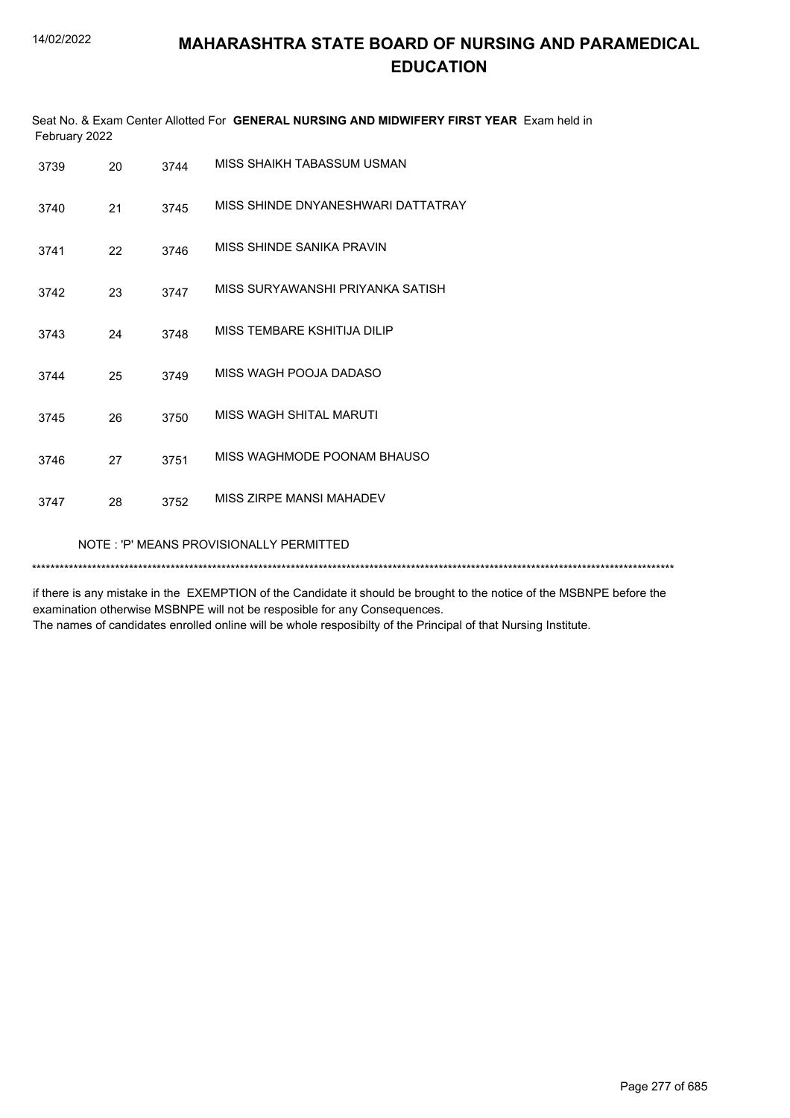| Seat No. & Exam Center Allotted For GENERAL NURSING AND MIDWIFERY FIRST YEAR Exam held in<br>February 2022 |    |      |                                    |  |
|------------------------------------------------------------------------------------------------------------|----|------|------------------------------------|--|
| 3739                                                                                                       | 20 | 3744 | MISS SHAIKH TABASSUM USMAN         |  |
| 3740                                                                                                       | 21 | 3745 | MISS SHINDE DNYANESHWARI DATTATRAY |  |
| 3741                                                                                                       | 22 | 3746 | MISS SHINDE SANIKA PRAVIN          |  |
| 3742                                                                                                       | 23 | 3747 | MISS SURYAWANSHI PRIYANKA SATISH   |  |
| 3743                                                                                                       | 24 | 3748 | MISS TEMBARE KSHITIJA DILIP        |  |
| 3744                                                                                                       | 25 | 3749 | MISS WAGH POOJA DADASO             |  |
| 3745                                                                                                       | 26 | 3750 | MISS WAGH SHITAL MARUTI            |  |
| 3746                                                                                                       | 27 | 3751 | MISS WAGHMODE POONAM BHAUSO        |  |
| 3747                                                                                                       | 28 | 3752 | MISS ZIRPE MANSI MAHADEV           |  |
| NOTE: 'P' MEANS PROVISIONALLY PERMITTED                                                                    |    |      |                                    |  |
|                                                                                                            |    |      |                                    |  |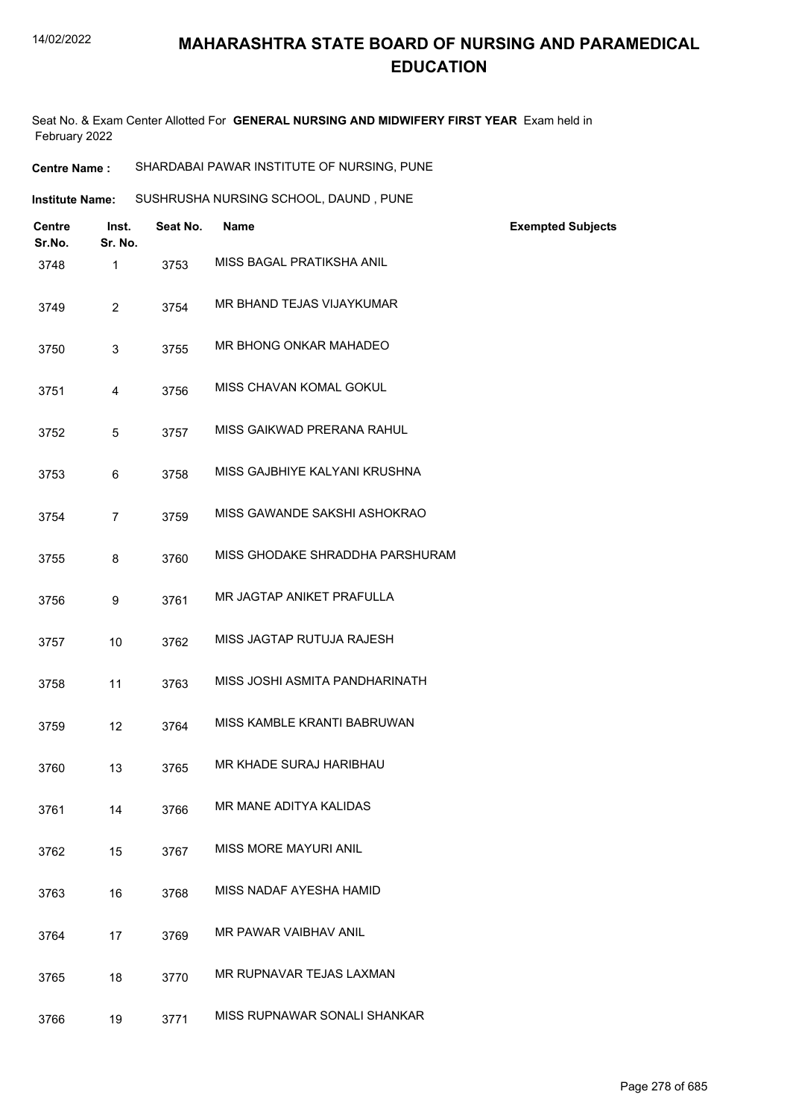Seat No. & Exam Center Allotted For **GENERAL NURSING AND MIDWIFERY FIRST YEAR** Exam held in February 2022

| Institute Name: | SUSHRUSHA NURSING SCHOOL, DAUND, PUNE |  |
|-----------------|---------------------------------------|--|
|                 |                                       |  |

| <b>Centre</b><br>Sr.No. | Inst.<br>Sr. No. | Seat No. | <b>Name</b>                     | <b>Exempted Subjects</b> |
|-------------------------|------------------|----------|---------------------------------|--------------------------|
| 3748                    | 1                | 3753     | MISS BAGAL PRATIKSHA ANIL       |                          |
| 3749                    | $\overline{2}$   | 3754     | MR BHAND TEJAS VIJAYKUMAR       |                          |
| 3750                    | 3                | 3755     | MR BHONG ONKAR MAHADEO          |                          |
| 3751                    | 4                | 3756     | MISS CHAVAN KOMAL GOKUL         |                          |
| 3752                    | 5                | 3757     | MISS GAIKWAD PRERANA RAHUL      |                          |
| 3753                    | 6                | 3758     | MISS GAJBHIYE KALYANI KRUSHNA   |                          |
| 3754                    | $\overline{7}$   | 3759     | MISS GAWANDE SAKSHI ASHOKRAO    |                          |
| 3755                    | 8                | 3760     | MISS GHODAKE SHRADDHA PARSHURAM |                          |
| 3756                    | 9                | 3761     | MR JAGTAP ANIKET PRAFULLA       |                          |
| 3757                    | 10               | 3762     | MISS JAGTAP RUTUJA RAJESH       |                          |
| 3758                    | 11               | 3763     | MISS JOSHI ASMITA PANDHARINATH  |                          |
| 3759                    | 12               | 3764     | MISS KAMBLE KRANTI BABRUWAN     |                          |
| 3760                    | 13               | 3765     | MR KHADE SURAJ HARIBHAU         |                          |
| 3761                    | 14               | 3766     | MR MANE ADITYA KALIDAS          |                          |
| 3762                    | 15               | 3767     | <b>MISS MORE MAYURI ANIL</b>    |                          |
| 3763                    | 16               | 3768     | MISS NADAF AYESHA HAMID         |                          |
| 3764                    | 17               | 3769     | MR PAWAR VAIBHAV ANIL           |                          |
| 3765                    | 18               | 3770     | MR RUPNAVAR TEJAS LAXMAN        |                          |
| 3766                    | 19               | 3771     | MISS RUPNAWAR SONALI SHANKAR    |                          |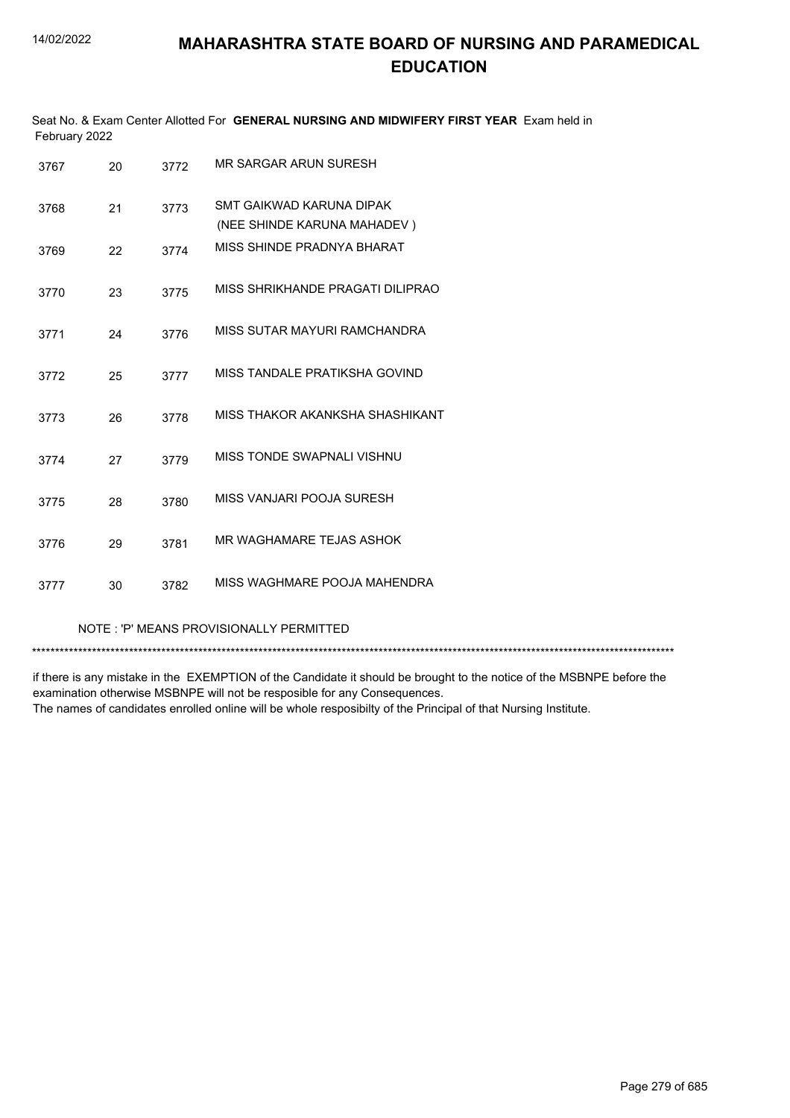| Seat No. & Exam Center Allotted For GENERAL NURSING AND MIDWIFERY FIRST YEAR Exam held in<br>February 2022 |    |      |                                                         |  |  |
|------------------------------------------------------------------------------------------------------------|----|------|---------------------------------------------------------|--|--|
| 3767                                                                                                       | 20 | 3772 | MR SARGAR ARUN SURESH                                   |  |  |
| 3768                                                                                                       | 21 | 3773 | SMT GAIKWAD KARUNA DIPAK<br>(NEE SHINDE KARUNA MAHADEV) |  |  |
| 3769                                                                                                       | 22 | 3774 | MISS SHINDE PRADNYA BHARAT                              |  |  |
| 3770                                                                                                       | 23 | 3775 | MISS SHRIKHANDE PRAGATI DILIPRAO                        |  |  |
| 3771                                                                                                       | 24 | 3776 | MISS SUTAR MAYURI RAMCHANDRA                            |  |  |
| 3772                                                                                                       | 25 | 3777 | MISS TANDALE PRATIKSHA GOVIND                           |  |  |
| 3773                                                                                                       | 26 | 3778 | MISS THAKOR AKANKSHA SHASHIKANT                         |  |  |
| 3774                                                                                                       | 27 | 3779 | MISS TONDE SWAPNALI VISHNU                              |  |  |
| 3775                                                                                                       | 28 | 3780 | MISS VANJARI POOJA SURESH                               |  |  |
| 3776                                                                                                       | 29 | 3781 | MR WAGHAMARE TEJAS ASHOK                                |  |  |
| 3777                                                                                                       | 30 | 3782 | MISS WAGHMARE POOJA MAHENDRA                            |  |  |
|                                                                                                            |    |      |                                                         |  |  |

#### NOTE : 'P' MEANS PROVISIONALLY PERMITTED

\*\*\*\*\*\*\*\*\*\*\*\*\*\*\*\*\*\*\*\*\*\*\*\*\*\*\*\*\*\*\*\*\*\*\*\*\*\*\*\*\*\*\*\*\*\*\*\*\*\*\*\*\*\*\*\*\*\*\*\*\*\*\*\*\*\*\*\*\*\*\*\*\*\*\*\*\*\*\*\*\*\*\*\*\*\*\*\*\*\*\*\*\*\*\*\*\*\*\*\*\*\*\*\*\*\*\*\*\*\*\*\*\*\*\*\*\*\*\*\*\*\*\*\*\*\*\*\*\*\*\*\*\*\*\*\*\*\*\*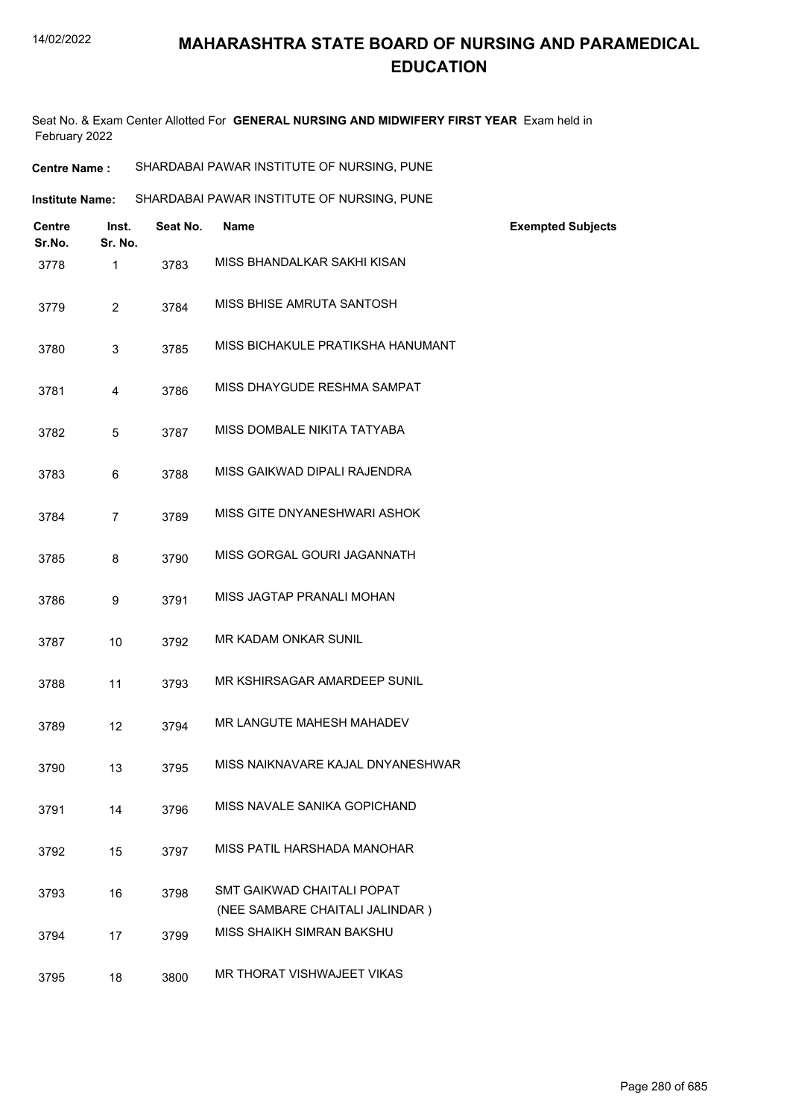Seat No. & Exam Center Allotted For **GENERAL NURSING AND MIDWIFERY FIRST YEAR** Exam held in February 2022

| Centre<br>Sr.No. | Inst.<br>Sr. No. | Seat No. | Name                                                          | <b>Exempted Subjects</b> |
|------------------|------------------|----------|---------------------------------------------------------------|--------------------------|
| 3778             | 1                | 3783     | MISS BHANDALKAR SAKHI KISAN                                   |                          |
| 3779             | $\overline{2}$   | 3784     | MISS BHISE AMRUTA SANTOSH                                     |                          |
| 3780             | 3                | 3785     | MISS BICHAKULE PRATIKSHA HANUMANT                             |                          |
| 3781             | 4                | 3786     | MISS DHAYGUDE RESHMA SAMPAT                                   |                          |
| 3782             | 5                | 3787     | MISS DOMBALE NIKITA TATYABA                                   |                          |
| 3783             | 6                | 3788     | MISS GAIKWAD DIPALI RAJENDRA                                  |                          |
| 3784             | $\overline{7}$   | 3789     | MISS GITE DNYANESHWARI ASHOK                                  |                          |
| 3785             | 8                | 3790     | MISS GORGAL GOURI JAGANNATH                                   |                          |
| 3786             | 9                | 3791     | MISS JAGTAP PRANALI MOHAN                                     |                          |
| 3787             | 10               | 3792     | MR KADAM ONKAR SUNIL                                          |                          |
| 3788             | 11               | 3793     | MR KSHIRSAGAR AMARDEEP SUNIL                                  |                          |
| 3789             | 12               | 3794     | MR LANGUTE MAHESH MAHADEV                                     |                          |
| 3790             | 13               | 3795     | MISS NAIKNAVARE KAJAL DNYANESHWAR                             |                          |
| 3791             | 14               | 3796     | MISS NAVALE SANIKA GOPICHAND                                  |                          |
| 3792             | 15               | 3797     | MISS PATIL HARSHADA MANOHAR                                   |                          |
| 3793             | 16               | 3798     | SMT GAIKWAD CHAITALI POPAT<br>(NEE SAMBARE CHAITALI JALINDAR) |                          |
| 3794             | 17               | 3799     | MISS SHAIKH SIMRAN BAKSHU                                     |                          |
| 3795             | 18               | 3800     | MR THORAT VISHWAJEET VIKAS                                    |                          |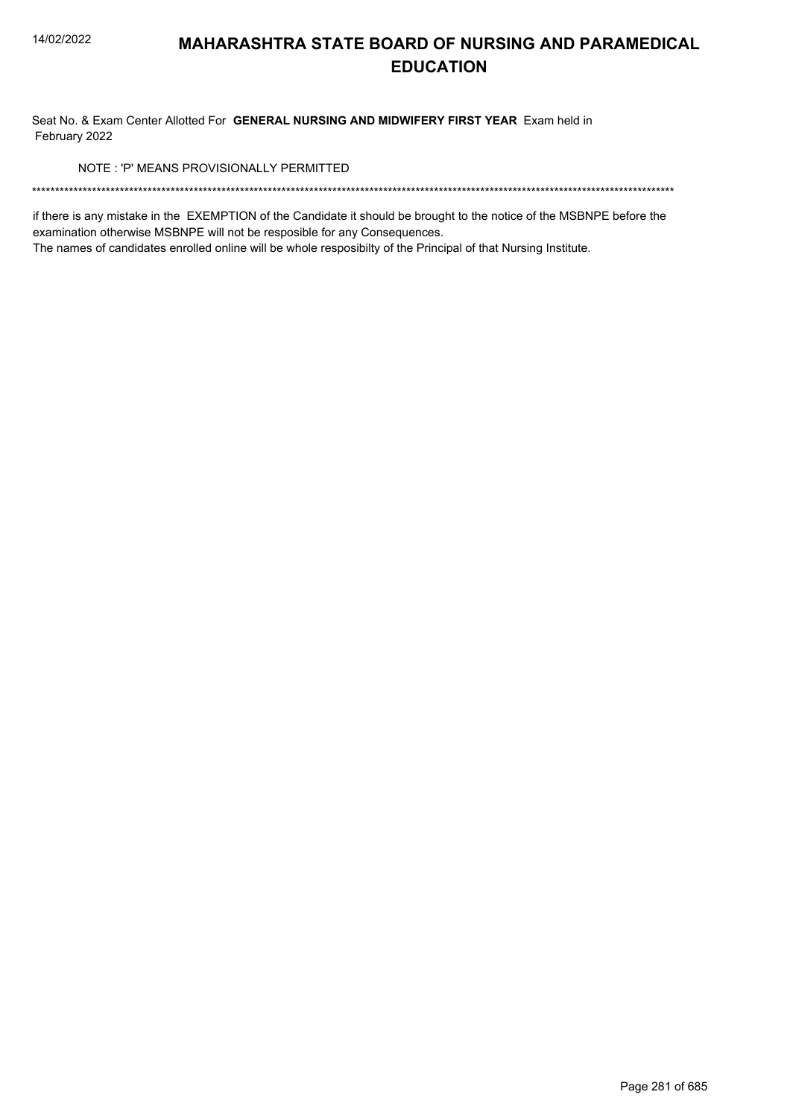Seat No. & Exam Center Allotted For **GENERAL NURSING AND MIDWIFERY FIRST YEAR** Exam held in February 2022

NOTE : 'P' MEANS PROVISIONALLY PERMITTED

\*\*\*\*\*\*\*\*\*\*\*\*\*\*\*\*\*\*\*\*\*\*\*\*\*\*\*\*\*\*\*\*\*\*\*\*\*\*\*\*\*\*\*\*\*\*\*\*\*\*\*\*\*\*\*\*\*\*\*\*\*\*\*\*\*\*\*\*\*\*\*\*\*\*\*\*\*\*\*\*\*\*\*\*\*\*\*\*\*\*\*\*\*\*\*\*\*\*\*\*\*\*\*\*\*\*\*\*\*\*\*\*\*\*\*\*\*\*\*\*\*\*\*\*\*\*\*\*\*\*\*\*\*\*\*\*\*\*\*

if there is any mistake in the EXEMPTION of the Candidate it should be brought to the notice of the MSBNPE before the examination otherwise MSBNPE will not be resposible for any Consequences.

The names of candidates enrolled online will be whole resposibilty of the Principal of that Nursing Institute.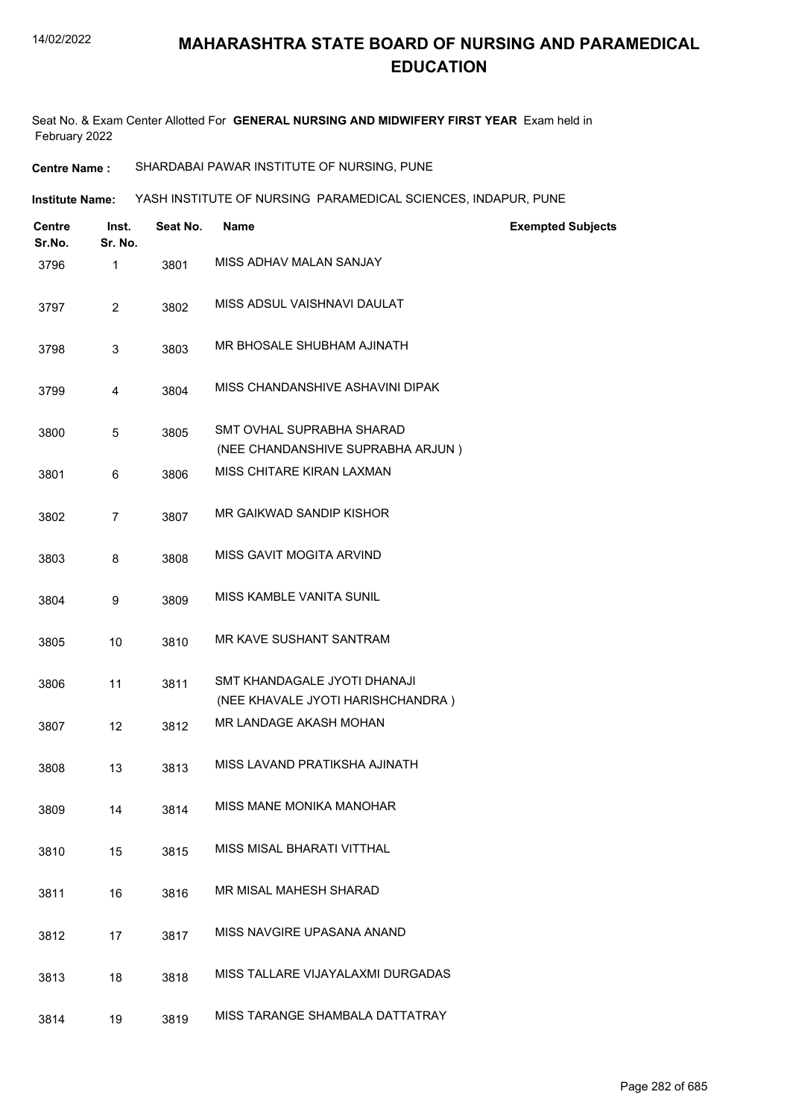Seat No. & Exam Center Allotted For **GENERAL NURSING AND MIDWIFERY FIRST YEAR** Exam held in February 2022

**Centre Name :** SHARDABAI PAWAR INSTITUTE OF NURSING, PUNE

**Institute Name: WASH INSTITUTE OF NURSING PARAMEDICAL SCIENCES, INDAPUR, PUNE** 

| <b>Centre</b><br>Sr.No. | Inst.<br>Sr. No. | Seat No. | <b>Name</b>                                                       | <b>Exempted Subjects</b> |
|-------------------------|------------------|----------|-------------------------------------------------------------------|--------------------------|
| 3796                    | $\mathbf{1}$     | 3801     | MISS ADHAV MALAN SANJAY                                           |                          |
| 3797                    | $\overline{2}$   | 3802     | MISS ADSUL VAISHNAVI DAULAT                                       |                          |
| 3798                    | 3                | 3803     | MR BHOSALE SHUBHAM AJINATH                                        |                          |
| 3799                    | 4                | 3804     | MISS CHANDANSHIVE ASHAVINI DIPAK                                  |                          |
| 3800                    | 5                | 3805     | SMT OVHAL SUPRABHA SHARAD<br>(NEE CHANDANSHIVE SUPRABHA ARJUN)    |                          |
| 3801                    | 6                | 3806     | MISS CHITARE KIRAN LAXMAN                                         |                          |
| 3802                    | $\overline{7}$   | 3807     | MR GAIKWAD SANDIP KISHOR                                          |                          |
| 3803                    | 8                | 3808     | MISS GAVIT MOGITA ARVIND                                          |                          |
| 3804                    | 9                | 3809     | MISS KAMBLE VANITA SUNIL                                          |                          |
| 3805                    | 10               | 3810     | MR KAVE SUSHANT SANTRAM                                           |                          |
| 3806                    | 11               | 3811     | SMT KHANDAGALE JYOTI DHANAJI<br>(NEE KHAVALE JYOTI HARISHCHANDRA) |                          |
| 3807                    | 12               | 3812     | MR LANDAGE AKASH MOHAN                                            |                          |
| 3808                    | 13               | 3813     | MISS LAVAND PRATIKSHA AJINATH                                     |                          |
| 3809                    | 14               | 3814     | MISS MANE MONIKA MANOHAR                                          |                          |
| 3810                    | 15               | 3815     | MISS MISAL BHARATI VITTHAL                                        |                          |
| 3811                    | 16               | 3816     | MR MISAL MAHESH SHARAD                                            |                          |
| 3812                    | 17               | 3817     | MISS NAVGIRE UPASANA ANAND                                        |                          |
| 3813                    | 18               | 3818     | MISS TALLARE VIJAYALAXMI DURGADAS                                 |                          |
| 3814                    | 19               | 3819     | MISS TARANGE SHAMBALA DATTATRAY                                   |                          |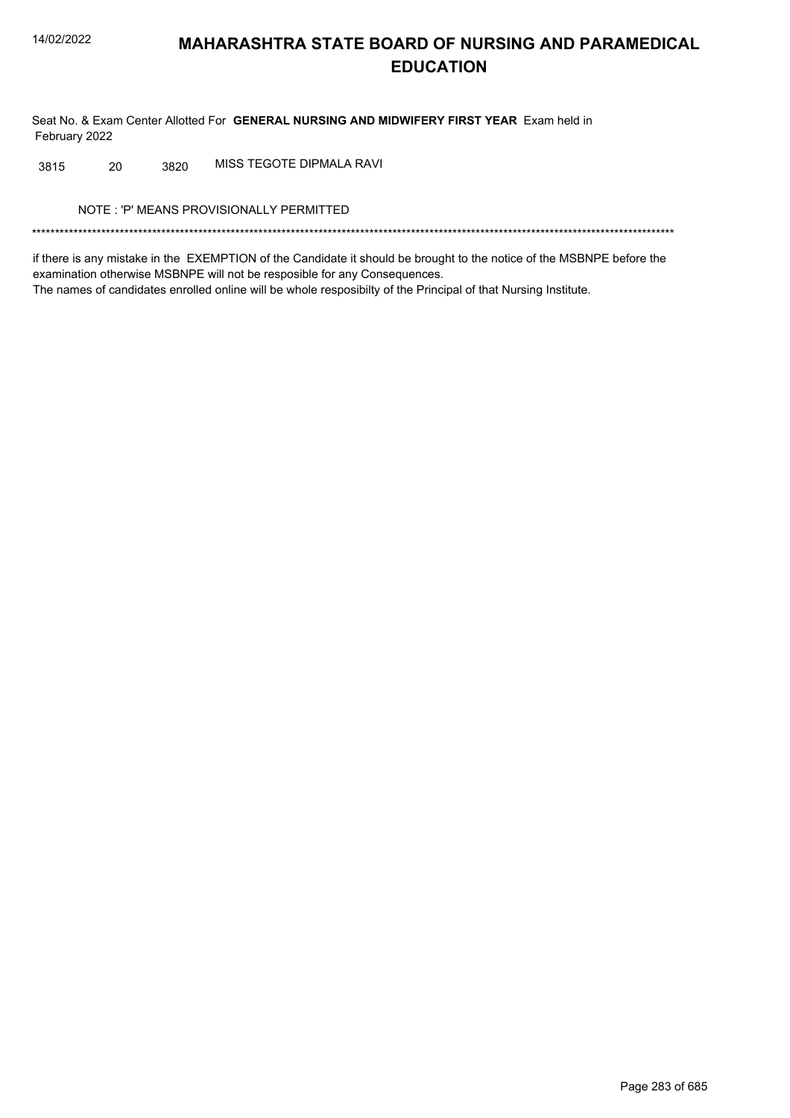Seat No. & Exam Center Allotted For **GENERAL NURSING AND MIDWIFERY FIRST YEAR** Exam held in February 2022

3815 20 3820 MISS TEGOTE DIPMALA RAVI

NOTE : 'P' MEANS PROVISIONALLY PERMITTED

\*\*\*\*\*\*\*\*\*\*\*\*\*\*\*\*\*\*\*\*\*\*\*\*\*\*\*\*\*\*\*\*\*\*\*\*\*\*\*\*\*\*\*\*\*\*\*\*\*\*\*\*\*\*\*\*\*\*\*\*\*\*\*\*\*\*\*\*\*\*\*\*\*\*\*\*\*\*\*\*\*\*\*\*\*\*\*\*\*\*\*\*\*\*\*\*\*\*\*\*\*\*\*\*\*\*\*\*\*\*\*\*\*\*\*\*\*\*\*\*\*\*\*\*\*\*\*\*\*\*\*\*\*\*\*\*\*\*\*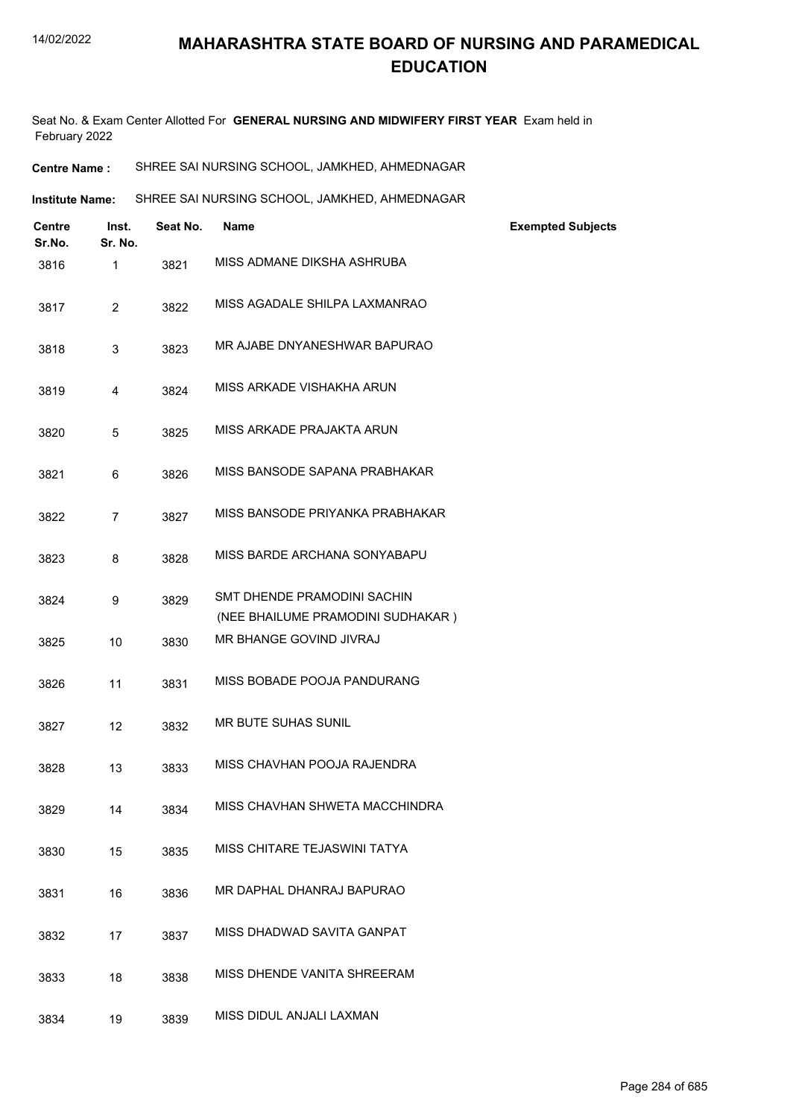Seat No. & Exam Center Allotted For **GENERAL NURSING AND MIDWIFERY FIRST YEAR** Exam held in February 2022

| <b>Centre Name :</b> | SHREE SAI NURSING SCHOOL, JAMKHED, AHMEDNAGAR |
|----------------------|-----------------------------------------------|
|----------------------|-----------------------------------------------|

Institute Name: SHREE SAI NURSING SCHOOL, JAMKHED, AHMEDNAGAR

| <b>Centre</b><br>Sr.No. | Inst.<br>Sr. No. | Seat No. | <b>Name</b>                                                      | <b>Exempted Subjects</b> |
|-------------------------|------------------|----------|------------------------------------------------------------------|--------------------------|
| 3816                    | 1                | 3821     | MISS ADMANE DIKSHA ASHRUBA                                       |                          |
| 3817                    | $\overline{2}$   | 3822     | MISS AGADALE SHILPA LAXMANRAO                                    |                          |
| 3818                    | 3                | 3823     | MR AJABE DNYANESHWAR BAPURAO                                     |                          |
| 3819                    | 4                | 3824     | MISS ARKADE VISHAKHA ARUN                                        |                          |
| 3820                    | 5                | 3825     | MISS ARKADE PRAJAKTA ARUN                                        |                          |
| 3821                    | 6                | 3826     | MISS BANSODE SAPANA PRABHAKAR                                    |                          |
| 3822                    | $\overline{7}$   | 3827     | MISS BANSODE PRIYANKA PRABHAKAR                                  |                          |
| 3823                    | 8                | 3828     | MISS BARDE ARCHANA SONYABAPU                                     |                          |
| 3824                    | 9                | 3829     | SMT DHENDE PRAMODINI SACHIN<br>(NEE BHAILUME PRAMODINI SUDHAKAR) |                          |
| 3825                    | 10               | 3830     | MR BHANGE GOVIND JIVRAJ                                          |                          |
| 3826                    | 11               | 3831     | MISS BOBADE POOJA PANDURANG                                      |                          |
| 3827                    | 12               | 3832     | <b>MR BUTE SUHAS SUNIL</b>                                       |                          |
| 3828                    | 13               | 3833     | MISS CHAVHAN POOJA RAJENDRA                                      |                          |
| 3829                    | 14               | 3834     | MISS CHAVHAN SHWETA MACCHINDRA                                   |                          |
| 3830                    | 15               | 3835     | MISS CHITARE TEJASWINI TATYA                                     |                          |
| 3831                    | 16               | 3836     | MR DAPHAL DHANRAJ BAPURAO                                        |                          |
| 3832                    | 17               | 3837     | MISS DHADWAD SAVITA GANPAT                                       |                          |
| 3833                    | 18               | 3838     | MISS DHENDE VANITA SHREERAM                                      |                          |
| 3834                    | 19               | 3839     | MISS DIDUL ANJALI LAXMAN                                         |                          |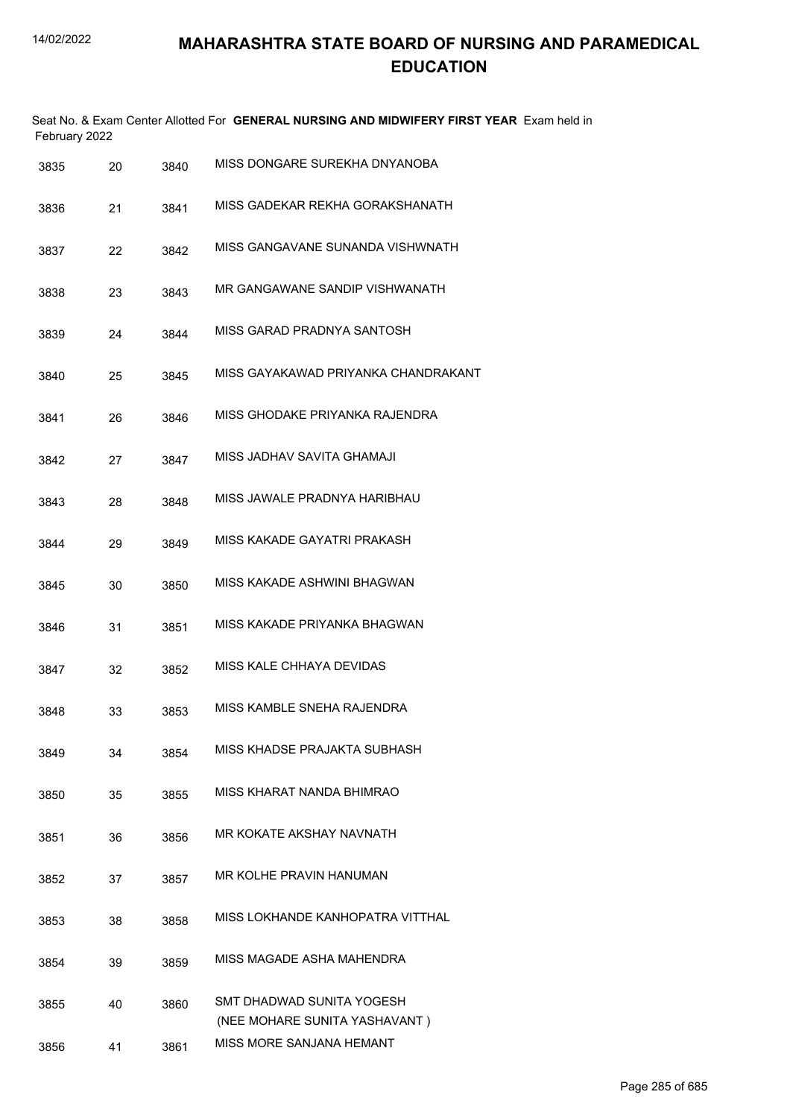| February 2022 |    |      | Seat No. & Exam Center Allotted For GENERAL NURSING AND MIDWIFERY FIRST YEAR Exam held in |
|---------------|----|------|-------------------------------------------------------------------------------------------|
| 3835          | 20 | 3840 | MISS DONGARE SUREKHA DNYANOBA                                                             |
| 3836          | 21 | 3841 | MISS GADEKAR REKHA GORAKSHANATH                                                           |
| 3837          | 22 | 3842 | MISS GANGAVANE SUNANDA VISHWNATH                                                          |
| 3838          | 23 | 3843 | MR GANGAWANE SANDIP VISHWANATH                                                            |
| 3839          | 24 | 3844 | MISS GARAD PRADNYA SANTOSH                                                                |
| 3840          | 25 | 3845 | MISS GAYAKAWAD PRIYANKA CHANDRAKANT                                                       |
| 3841          | 26 | 3846 | MISS GHODAKE PRIYANKA RAJENDRA                                                            |
| 3842          | 27 | 3847 | MISS JADHAV SAVITA GHAMAJI                                                                |
| 3843          | 28 | 3848 | MISS JAWALE PRADNYA HARIBHAU                                                              |
| 3844          | 29 | 3849 | MISS KAKADE GAYATRI PRAKASH                                                               |
| 3845          | 30 | 3850 | MISS KAKADE ASHWINI BHAGWAN                                                               |
| 3846          | 31 | 3851 | MISS KAKADE PRIYANKA BHAGWAN                                                              |
| 3847          | 32 | 3852 | MISS KALE CHHAYA DEVIDAS                                                                  |
| 3848          | 33 | 3853 | MISS KAMBLE SNEHA RAJENDRA                                                                |
| 3849          | 34 | 3854 | MISS KHADSE PRAJAKTA SUBHASH                                                              |
| 3850          | 35 | 3855 | MISS KHARAT NANDA BHIMRAO                                                                 |
| 3851          | 36 | 3856 | MR KOKATE AKSHAY NAVNATH                                                                  |
| 3852          | 37 | 3857 | MR KOLHE PRAVIN HANUMAN                                                                   |
| 3853          | 38 | 3858 | MISS LOKHANDE KANHOPATRA VITTHAL                                                          |
| 3854          | 39 | 3859 | MISS MAGADE ASHA MAHENDRA                                                                 |
| 3855          | 40 | 3860 | SMT DHADWAD SUNITA YOGESH                                                                 |
| 3856          | 41 | 3861 | (NEE MOHARE SUNITA YASHAVANT)<br>MISS MORE SANJANA HEMANT                                 |
|               |    |      |                                                                                           |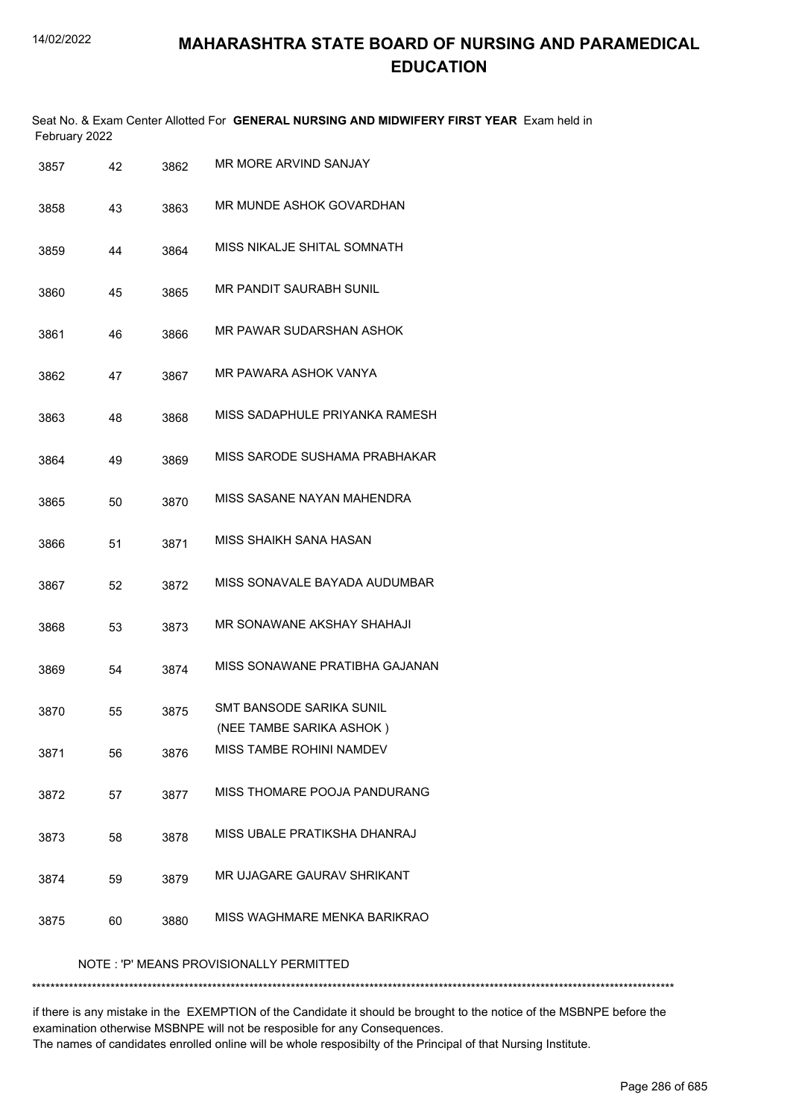|               | Seat No. & Exam Center Allotted For GENERAL NURSING AND MIDWIFERY FIRST YEAR Exam held in |
|---------------|-------------------------------------------------------------------------------------------|
| February 2022 |                                                                                           |

| 3857 | 42 | 3862 | MR MORE ARVIND SANJAY                                |
|------|----|------|------------------------------------------------------|
| 3858 | 43 | 3863 | MR MUNDE ASHOK GOVARDHAN                             |
| 3859 | 44 | 3864 | MISS NIKALJE SHITAL SOMNATH                          |
| 3860 | 45 | 3865 | MR PANDIT SAURABH SUNIL                              |
| 3861 | 46 | 3866 | MR PAWAR SUDARSHAN ASHOK                             |
| 3862 | 47 | 3867 | MR PAWARA ASHOK VANYA                                |
| 3863 | 48 | 3868 | MISS SADAPHULE PRIYANKA RAMESH                       |
| 3864 | 49 | 3869 | MISS SARODE SUSHAMA PRABHAKAR                        |
| 3865 | 50 | 3870 | MISS SASANE NAYAN MAHENDRA                           |
| 3866 | 51 | 3871 | MISS SHAIKH SANA HASAN                               |
| 3867 | 52 | 3872 | MISS SONAVALE BAYADA AUDUMBAR                        |
| 3868 | 53 | 3873 | MR SONAWANE AKSHAY SHAHAJI                           |
| 3869 | 54 | 3874 | MISS SONAWANE PRATIBHA GAJANAN                       |
| 3870 | 55 | 3875 | SMT BANSODE SARIKA SUNIL<br>(NEE TAMBE SARIKA ASHOK) |
| 3871 | 56 | 3876 | MISS TAMBE ROHINI NAMDEV                             |
| 3872 | 57 | 3877 | MISS THOMARE POOJA PANDURANG                         |
| 3873 | 58 | 3878 | MISS UBALE PRATIKSHA DHANRAJ                         |
| 3874 | 59 | 3879 | MR UJAGARE GAURAV SHRIKANT                           |
| 3875 | 60 | 3880 | MISS WAGHMARE MENKA BARIKRAO                         |
|      |    |      |                                                      |

NOTE : 'P' MEANS PROVISIONALLY PERMITTED

\*\*\*\*\*\*\*\*\*\*\*\*\*\*\*\*\*\*\*\*\*\*\*\*\*\*\*\*\*\*\*\*\*\*\*\*\*\*\*\*\*\*\*\*\*\*\*\*\*\*\*\*\*\*\*\*\*\*\*\*\*\*\*\*\*\*\*\*\*\*\*\*\*\*\*\*\*\*\*\*\*\*\*\*\*\*\*\*\*\*\*\*\*\*\*\*\*\*\*\*\*\*\*\*\*\*\*\*\*\*\*\*\*\*\*\*\*\*\*\*\*\*\*\*\*\*\*\*\*\*\*\*\*\*\*\*\*\*\*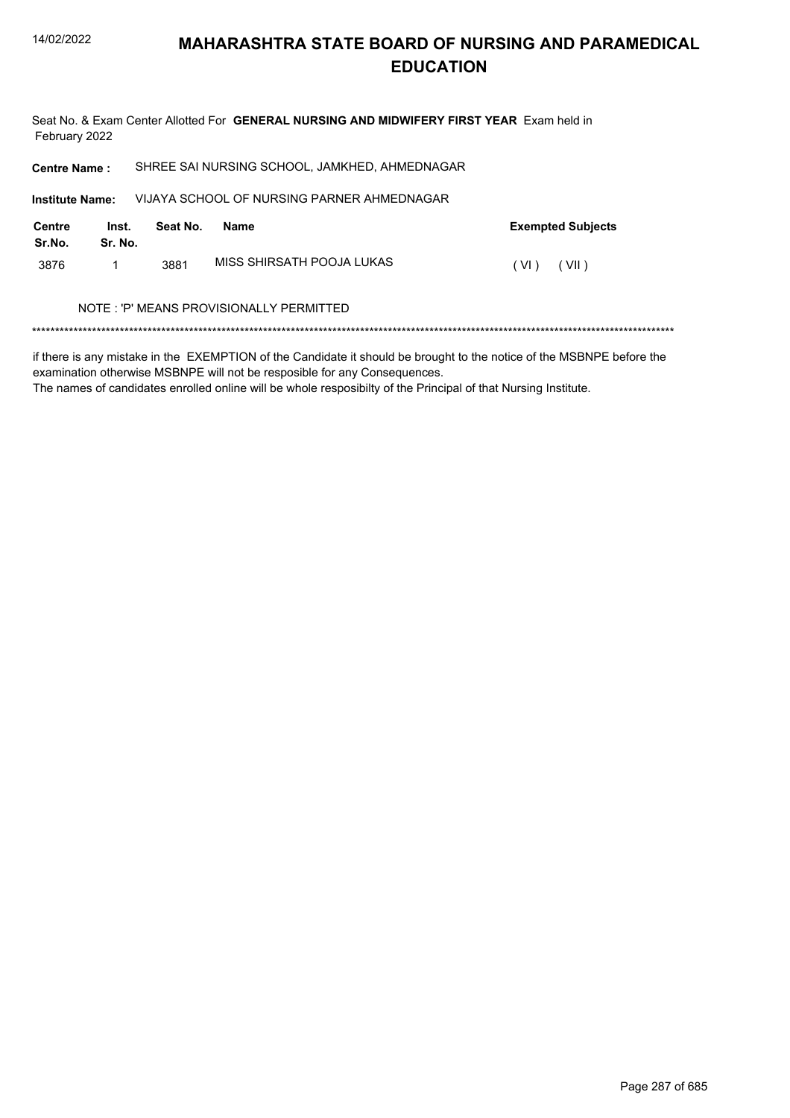Seat No. & Exam Center Allotted For **GENERAL NURSING AND MIDWIFERY FIRST YEAR** Exam held in February 2022

| <b>Centre Name:</b>                      |                  | SHREE SAI NURSING SCHOOL, JAMKHED, AHMEDNAGAR |                           |                          |  |  |
|------------------------------------------|------------------|-----------------------------------------------|---------------------------|--------------------------|--|--|
| <b>Institute Name:</b>                   |                  | VIJAYA SCHOOL OF NURSING PARNER AHMEDNAGAR    |                           |                          |  |  |
| Centre<br>Sr.No.                         | Inst.<br>Sr. No. | Seat No.                                      | <b>Name</b>               | <b>Exempted Subjects</b> |  |  |
| 3876                                     | 1                | 3881                                          | MISS SHIRSATH POOJA LUKAS | (VII)<br>(VI)            |  |  |
| NOTE : 'P' MEANS PROVISIONALLY PERMITTED |                  |                                               |                           |                          |  |  |

\*\*\*\*\*\*\*\*\*\*\*\*\*\*\*\*\*\*\*\*\*\*\*\*\*\*\*\*\*\*\*\*\*\*\*\*\*\*\*\*\*\*\*\*\*\*\*\*\*\*\*\*\*\*\*\*\*\*\*\*\*\*\*\*\*\*\*\*\*\*\*\*\*\*\*\*\*\*\*\*\*\*\*\*\*\*\*\*\*\*\*\*\*\*\*\*\*\*\*\*\*\*\*\*\*\*\*\*\*\*\*\*\*\*\*\*\*\*\*\*\*\*\*\*\*\*\*\*\*\*\*\*\*\*\*\*\*\*\*

if there is any mistake in the EXEMPTION of the Candidate it should be brought to the notice of the MSBNPE before the examination otherwise MSBNPE will not be resposible for any Consequences.

The names of candidates enrolled online will be whole resposibilty of the Principal of that Nursing Institute.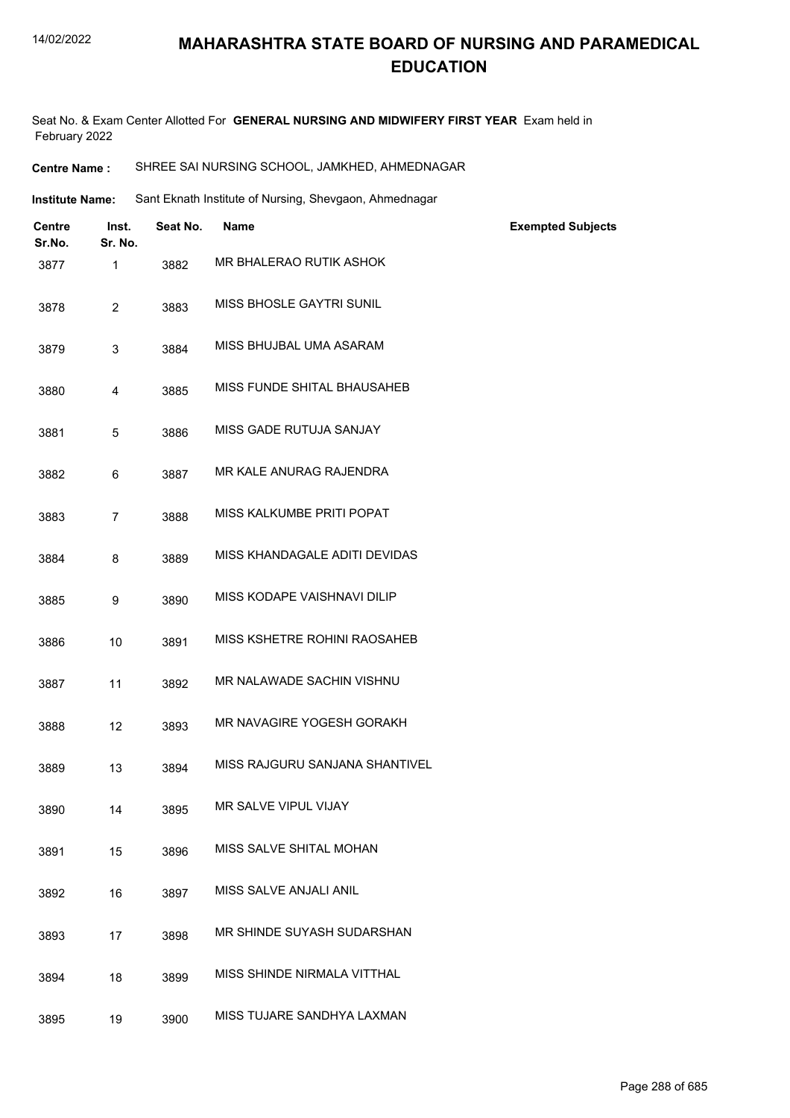#### 14/02/2022

#### **MAHARASHTRA STATE BOARD OF NURSING AND PARAMEDICAL EDUCATION**

Seat No. & Exam Center Allotted For **GENERAL NURSING AND MIDWIFERY FIRST YEAR** Exam held in February 2022

| <b>Centre Name :</b> | SHREE SAI NURSING SCHOOL, JAMKHED, AHMEDNAGAR |
|----------------------|-----------------------------------------------|
|----------------------|-----------------------------------------------|

Institute Name: Sant Eknath Institute of Nursing, Shevgaon, Ahmednagar

| <b>Centre</b><br>Sr.No. | Inst.<br>Sr. No. | Seat No. | <b>Name</b>                    | <b>Exempted Subjects</b> |
|-------------------------|------------------|----------|--------------------------------|--------------------------|
| 3877                    | 1                | 3882     | MR BHALERAO RUTIK ASHOK        |                          |
| 3878                    | $\overline{2}$   | 3883     | MISS BHOSLE GAYTRI SUNIL       |                          |
| 3879                    | 3                | 3884     | MISS BHUJBAL UMA ASARAM        |                          |
| 3880                    | 4                | 3885     | MISS FUNDE SHITAL BHAUSAHEB    |                          |
| 3881                    | 5                | 3886     | MISS GADE RUTUJA SANJAY        |                          |
| 3882                    | 6                | 3887     | MR KALE ANURAG RAJENDRA        |                          |
| 3883                    | $\overline{7}$   | 3888     | MISS KALKUMBE PRITI POPAT      |                          |
| 3884                    | 8                | 3889     | MISS KHANDAGALE ADITI DEVIDAS  |                          |
| 3885                    | 9                | 3890     | MISS KODAPE VAISHNAVI DILIP    |                          |
| 3886                    | 10               | 3891     | MISS KSHETRE ROHINI RAOSAHEB   |                          |
| 3887                    | 11               | 3892     | MR NALAWADE SACHIN VISHNU      |                          |
| 3888                    | 12               | 3893     | MR NAVAGIRE YOGESH GORAKH      |                          |
| 3889                    | 13               | 3894     | MISS RAJGURU SANJANA SHANTIVEL |                          |
| 3890                    | 14               | 3895     | MR SALVE VIPUL VIJAY           |                          |
| 3891                    | 15               | 3896     | MISS SALVE SHITAL MOHAN        |                          |
| 3892                    | 16               | 3897     | MISS SALVE ANJALI ANIL         |                          |
| 3893                    | 17               | 3898     | MR SHINDE SUYASH SUDARSHAN     |                          |
| 3894                    | 18               | 3899     | MISS SHINDE NIRMALA VITTHAL    |                          |
| 3895                    | 19               | 3900     | MISS TUJARE SANDHYA LAXMAN     |                          |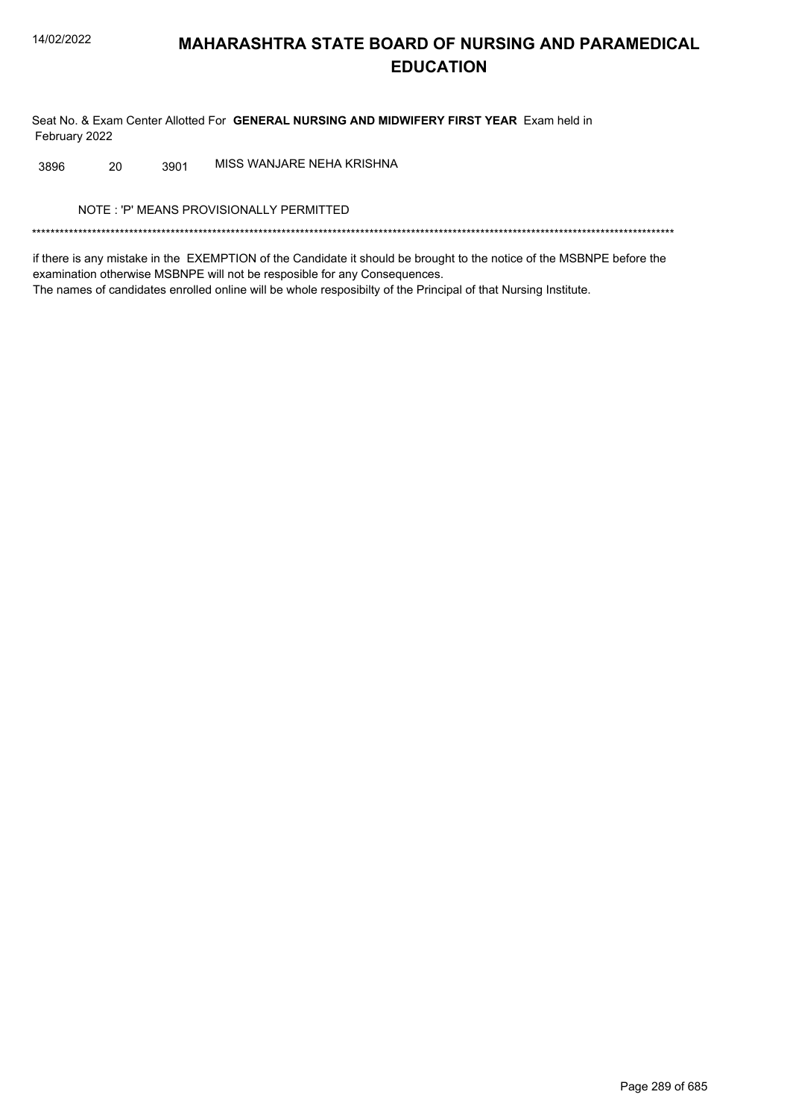Seat No. & Exam Center Allotted For GENERAL NURSING AND MIDWIFERY FIRST YEAR Exam held in February 2022

MISS WANJARE NEHA KRISHNA 3896 20 3901

NOTE: 'P' MEANS PROVISIONALLY PERMITTED

if there is any mistake in the EXEMPTION of the Candidate it should be brought to the notice of the MSBNPE before the examination otherwise MSBNPE will not be resposible for any Consequences. The names of candidates enrolled online will be whole resposibilty of the Principal of that Nursing Institute.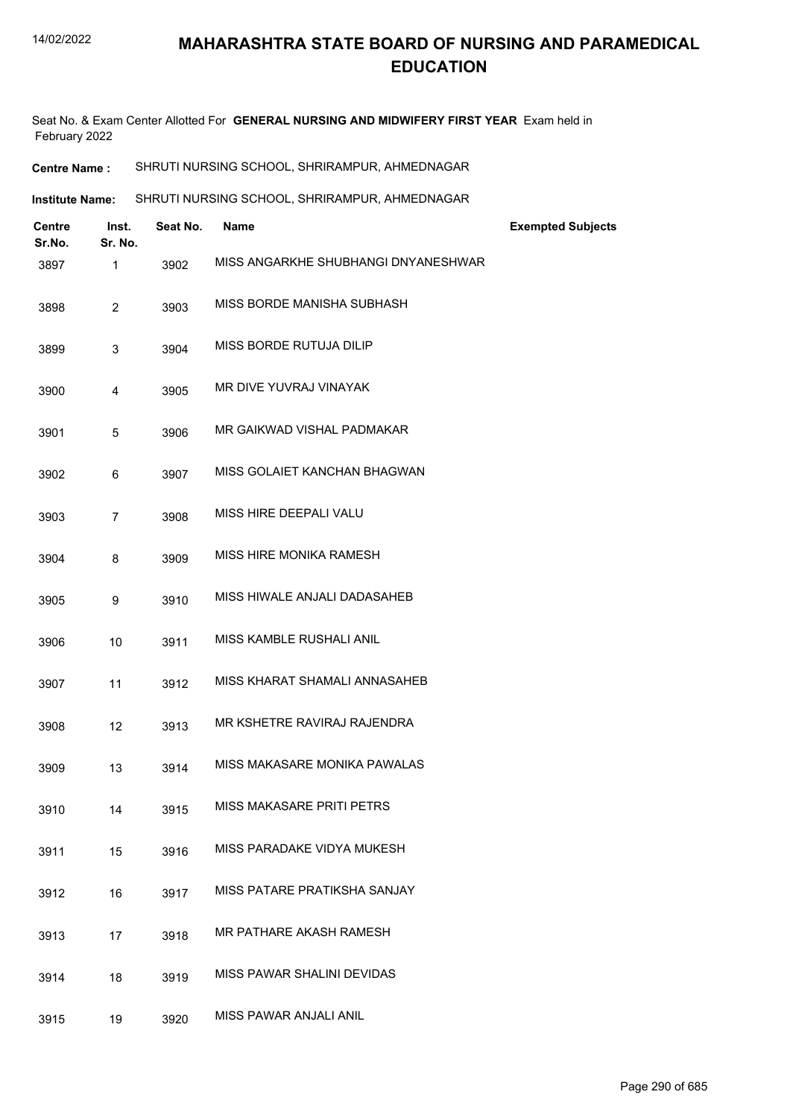Seat No. & Exam Center Allotted For **GENERAL NURSING AND MIDWIFERY FIRST YEAR** Exam held in February 2022

| SHRUTI NURSING SCHOOL, SHRIRAMPUR, AHMEDNAGAR<br><b>Centre Name :</b> |
|-----------------------------------------------------------------------|
|-----------------------------------------------------------------------|

| Institute Name: | SHRUTI NURSING SCHOOL, SHRIRAMPUR, AHMEDNAGAR |
|-----------------|-----------------------------------------------|
|                 |                                               |

| Centre<br>Sr.No. | Inst.<br>Sr. No. | Seat No. | <b>Name</b>                         | <b>Exempted Subjects</b> |
|------------------|------------------|----------|-------------------------------------|--------------------------|
| 3897             | $\mathbf{1}$     | 3902     | MISS ANGARKHE SHUBHANGI DNYANESHWAR |                          |
| 3898             | $\overline{2}$   | 3903     | MISS BORDE MANISHA SUBHASH          |                          |
| 3899             | 3                | 3904     | MISS BORDE RUTUJA DILIP             |                          |
| 3900             | 4                | 3905     | MR DIVE YUVRAJ VINAYAK              |                          |
| 3901             | 5                | 3906     | MR GAIKWAD VISHAL PADMAKAR          |                          |
| 3902             | 6                | 3907     | MISS GOLAIET KANCHAN BHAGWAN        |                          |
| 3903             | $\overline{7}$   | 3908     | MISS HIRE DEEPALI VALU              |                          |
| 3904             | 8                | 3909     | MISS HIRE MONIKA RAMESH             |                          |
| 3905             | 9                | 3910     | MISS HIWALE ANJALI DADASAHEB        |                          |
| 3906             | 10               | 3911     | MISS KAMBLE RUSHALI ANIL            |                          |
| 3907             | 11               | 3912     | MISS KHARAT SHAMALI ANNASAHEB       |                          |
| 3908             | 12               | 3913     | MR KSHETRE RAVIRAJ RAJENDRA         |                          |
| 3909             | 13               | 3914     | MISS MAKASARE MONIKA PAWALAS        |                          |
| 3910             | 14               | 3915     | MISS MAKASARE PRITI PETRS           |                          |
| 3911             | 15               | 3916     | MISS PARADAKE VIDYA MUKESH          |                          |
| 3912             | 16               | 3917     | MISS PATARE PRATIKSHA SANJAY        |                          |
| 3913             | 17               | 3918     | MR PATHARE AKASH RAMESH             |                          |
| 3914             | 18               | 3919     | MISS PAWAR SHALINI DEVIDAS          |                          |
| 3915             | 19               | 3920     | MISS PAWAR ANJALI ANIL              |                          |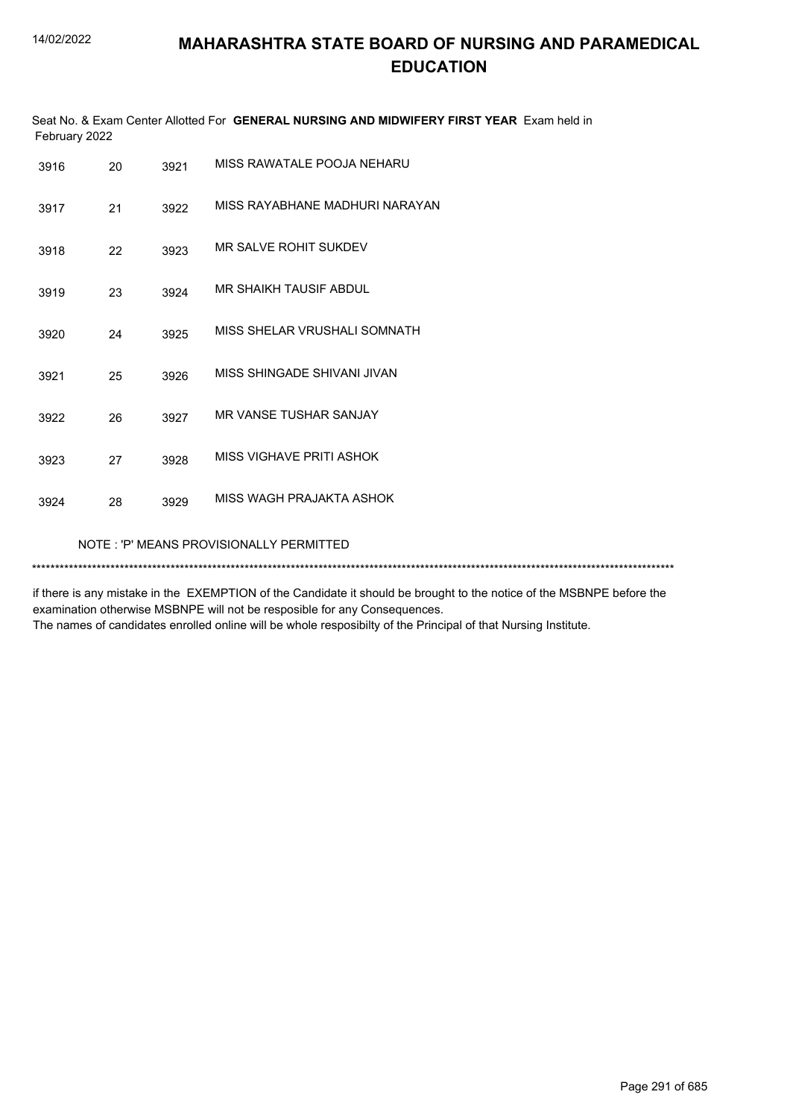| Seat No. & Exam Center Allotted For GENERAL NURSING AND MIDWIFERY FIRST YEAR Exam held in<br>February 2022 |    |      |                                |  |
|------------------------------------------------------------------------------------------------------------|----|------|--------------------------------|--|
| 3916                                                                                                       | 20 | 3921 | MISS RAWATALE POOJA NEHARU     |  |
| 3917                                                                                                       | 21 | 3922 | MISS RAYABHANE MADHURI NARAYAN |  |
| 3918                                                                                                       | 22 | 3923 | MR SALVE ROHIT SUKDEV          |  |
| 3919                                                                                                       | 23 | 3924 | MR SHAIKH TAUSIF ABDUL         |  |
| 3920                                                                                                       | 24 | 3925 | MISS SHELAR VRUSHALI SOMNATH   |  |
| 3921                                                                                                       | 25 | 3926 | MISS SHINGADE SHIVANI JIVAN    |  |
| 3922                                                                                                       | 26 | 3927 | MR VANSE TUSHAR SANJAY         |  |
| 3923                                                                                                       | 27 | 3928 | MISS VIGHAVE PRITI ASHOK       |  |
| 3924                                                                                                       | 28 | 3929 | MISS WAGH PRAJAKTA ASHOK       |  |
| NOTE: 'P' MEANS PROVISIONALLY PERMITTED                                                                    |    |      |                                |  |
|                                                                                                            |    |      |                                |  |

if there is any mistake in the EXEMPTION of the Candidate it should be brought to the notice of the MSBNPE before the examination otherwise MSBNPE will not be resposible for any Consequences. The names of candidates enrolled online will be whole resposibilty of the Principal of that Nursing Institute.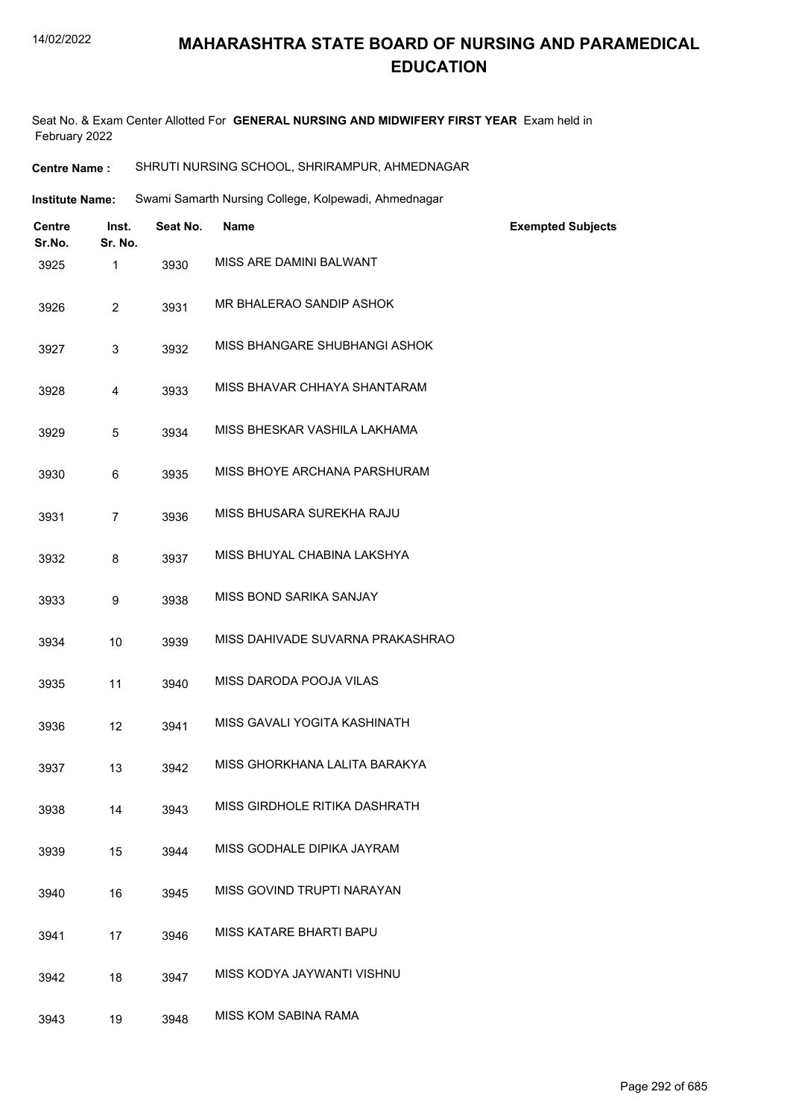#### 14/02/2022

# **MAHARASHTRA STATE BOARD OF NURSING AND PARAMEDICAL EDUCATION**

Seat No. & Exam Center Allotted For **GENERAL NURSING AND MIDWIFERY FIRST YEAR** Exam held in February 2022

| SHRUTI NURSING SCHOOL, SHRIRAMPUR, AHMEDNAGAR<br><b>Centre Name :</b> |
|-----------------------------------------------------------------------|
|-----------------------------------------------------------------------|

| <b>Institute Name:</b> | Swami Samarth Nursing College, Kolpewadi, Ahmednagar |  |  |
|------------------------|------------------------------------------------------|--|--|
|                        |                                                      |  |  |

| <b>Centre</b><br>Sr.No. | Inst.<br>Sr. No. | Seat No. | <b>Name</b>                      | <b>Exempted Subjects</b> |
|-------------------------|------------------|----------|----------------------------------|--------------------------|
| 3925                    | $\mathbf{1}$     | 3930     | MISS ARE DAMINI BALWANT          |                          |
| 3926                    | $\overline{2}$   | 3931     | MR BHALERAO SANDIP ASHOK         |                          |
| 3927                    | 3                | 3932     | MISS BHANGARE SHUBHANGI ASHOK    |                          |
| 3928                    | 4                | 3933     | MISS BHAVAR CHHAYA SHANTARAM     |                          |
| 3929                    | 5                | 3934     | MISS BHESKAR VASHILA LAKHAMA     |                          |
| 3930                    | 6                | 3935     | MISS BHOYE ARCHANA PARSHURAM     |                          |
| 3931                    | $\overline{7}$   | 3936     | MISS BHUSARA SUREKHA RAJU        |                          |
| 3932                    | 8                | 3937     | MISS BHUYAL CHABINA LAKSHYA      |                          |
| 3933                    | 9                | 3938     | MISS BOND SARIKA SANJAY          |                          |
| 3934                    | 10               | 3939     | MISS DAHIVADE SUVARNA PRAKASHRAO |                          |
| 3935                    | 11               | 3940     | MISS DARODA POOJA VILAS          |                          |
| 3936                    | 12               | 3941     | MISS GAVALI YOGITA KASHINATH     |                          |
| 3937                    | 13               | 3942     | MISS GHORKHANA LALITA BARAKYA    |                          |
| 3938                    | 14               | 3943     | MISS GIRDHOLE RITIKA DASHRATH    |                          |
| 3939                    | 15               | 3944     | MISS GODHALE DIPIKA JAYRAM       |                          |
| 3940                    | 16               | 3945     | MISS GOVIND TRUPTI NARAYAN       |                          |
| 3941                    | 17               | 3946     | MISS KATARE BHARTI BAPU          |                          |
| 3942                    | 18               | 3947     | MISS KODYA JAYWANTI VISHNU       |                          |
| 3943                    | 19               | 3948     | MISS KOM SABINA RAMA             |                          |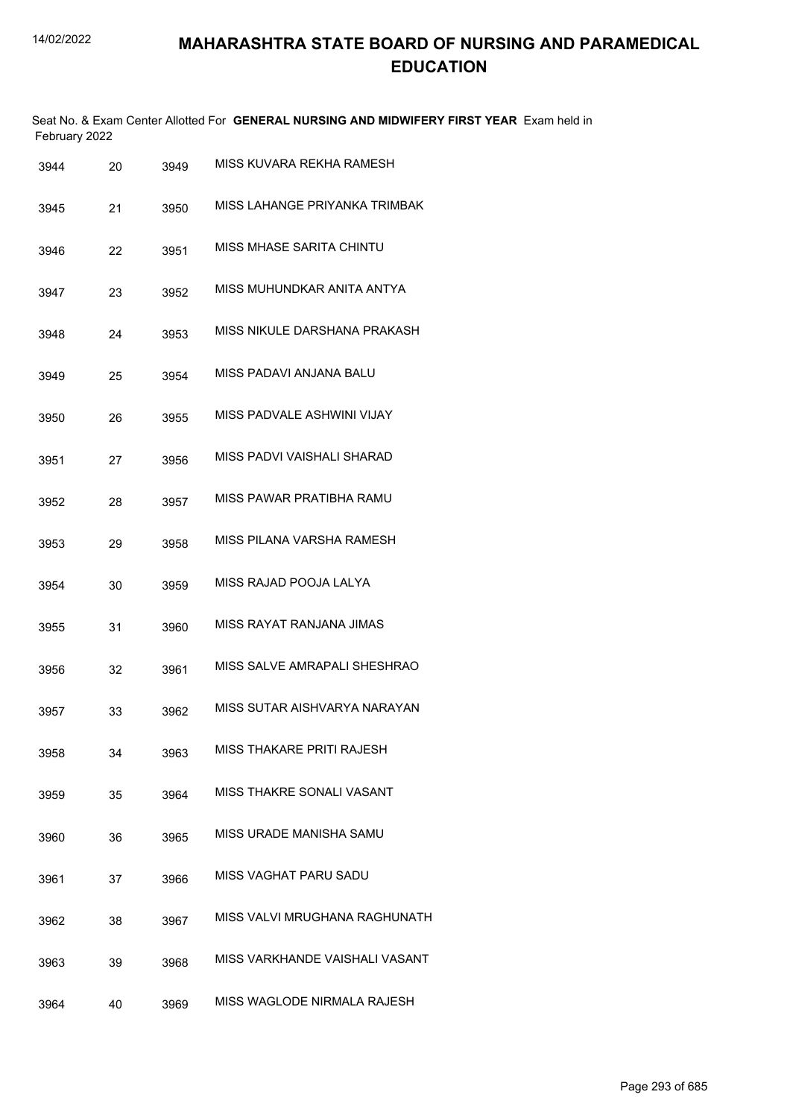|      | February 2022 |    |      | Seat No. & Exam Center Allotted For GENERAL NURSING AND MIDWIFERY FIRST YEAR Exam held in |
|------|---------------|----|------|-------------------------------------------------------------------------------------------|
| 3944 |               | 20 | 3949 | MISS KUVARA REKHA RAMESH                                                                  |
| 3945 |               | 21 | 3950 | MISS LAHANGE PRIYANKA TRIMBAK                                                             |
| 3946 |               | 22 | 3951 | MISS MHASE SARITA CHINTU                                                                  |
| 3947 |               | 23 | 3952 | MISS MUHUNDKAR ANITA ANTYA                                                                |
| 3948 |               | 24 | 3953 | MISS NIKULE DARSHANA PRAKASH                                                              |
| 3949 |               | 25 | 3954 | MISS PADAVI ANJANA BALU                                                                   |
| 3950 |               | 26 | 3955 | MISS PADVALE ASHWINI VIJAY                                                                |
| 3951 |               | 27 | 3956 | MISS PADVI VAISHALI SHARAD                                                                |
| 3952 |               | 28 | 3957 | MISS PAWAR PRATIBHA RAMU                                                                  |
| 3953 |               | 29 | 3958 | MISS PILANA VARSHA RAMESH                                                                 |
| 3954 |               | 30 | 3959 | MISS RAJAD POOJA LALYA                                                                    |
| 3955 |               | 31 | 3960 | MISS RAYAT RANJANA JIMAS                                                                  |
| 3956 |               | 32 | 3961 | MISS SALVE AMRAPALI SHESHRAO                                                              |
| 3957 |               | 33 | 3962 | MISS SUTAR AISHVARYA NARAYAN                                                              |
| 3958 |               | 34 | 3963 | MISS THAKARE PRITI RAJESH                                                                 |
| 3959 |               | 35 | 3964 | MISS THAKRE SONALI VASANT                                                                 |
| 3960 |               | 36 | 3965 | MISS URADE MANISHA SAMU                                                                   |
| 3961 |               | 37 | 3966 | MISS VAGHAT PARU SADU                                                                     |
| 3962 |               | 38 | 3967 | MISS VALVI MRUGHANA RAGHUNATH                                                             |
| 3963 |               | 39 | 3968 | MISS VARKHANDE VAISHALI VASANT                                                            |
| 3964 |               | 40 | 3969 | MISS WAGLODE NIRMALA RAJESH                                                               |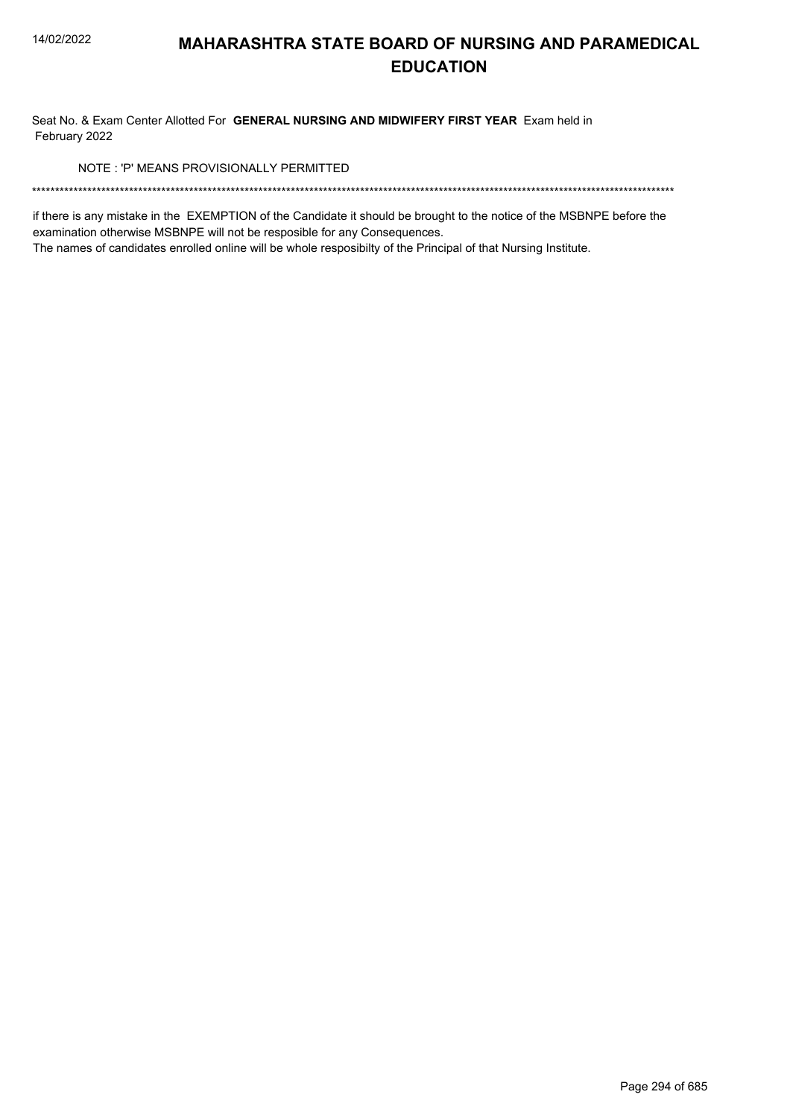Seat No. & Exam Center Allotted For GENERAL NURSING AND MIDWIFERY FIRST YEAR Exam held in February 2022

NOTE: 'P' MEANS PROVISIONALLY PERMITTED

if there is any mistake in the EXEMPTION of the Candidate it should be brought to the notice of the MSBNPE before the examination otherwise MSBNPE will not be resposible for any Consequences.

The names of candidates enrolled online will be whole resposibilty of the Principal of that Nursing Institute.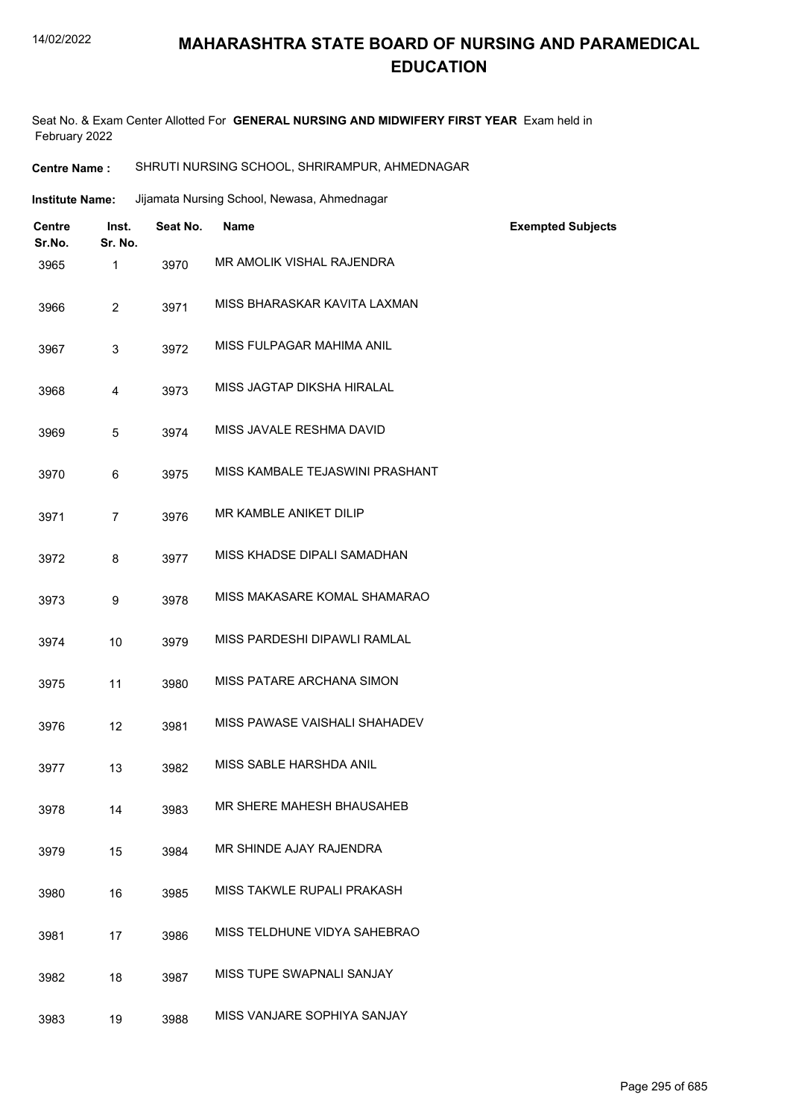#### 14/02/2022

# **MAHARASHTRA STATE BOARD OF NURSING AND PARAMEDICAL EDUCATION**

Seat No. & Exam Center Allotted For **GENERAL NURSING AND MIDWIFERY FIRST YEAR** Exam held in February 2022

#### **Centre Name :** SHRUTI NURSING SCHOOL, SHRIRAMPUR, AHMEDNAGAR

| Jijamata Nursing School, Newasa, Ahmednagar<br><b>Institute Name:</b> |  |
|-----------------------------------------------------------------------|--|
|-----------------------------------------------------------------------|--|

| Centre<br>Sr.No. | Inst.<br>Sr. No. | Seat No. | <b>Name</b>                     | <b>Exempted Subjects</b> |
|------------------|------------------|----------|---------------------------------|--------------------------|
| 3965             | $\mathbf{1}$     | 3970     | MR AMOLIK VISHAL RAJENDRA       |                          |
| 3966             | $\overline{2}$   | 3971     | MISS BHARASKAR KAVITA LAXMAN    |                          |
| 3967             | 3                | 3972     | MISS FULPAGAR MAHIMA ANIL       |                          |
| 3968             | 4                | 3973     | MISS JAGTAP DIKSHA HIRALAL      |                          |
| 3969             | 5                | 3974     | MISS JAVALE RESHMA DAVID        |                          |
| 3970             | 6                | 3975     | MISS KAMBALE TEJASWINI PRASHANT |                          |
| 3971             | $\overline{7}$   | 3976     | MR KAMBLE ANIKET DILIP          |                          |
| 3972             | 8                | 3977     | MISS KHADSE DIPALI SAMADHAN     |                          |
| 3973             | 9                | 3978     | MISS MAKASARE KOMAL SHAMARAO    |                          |
| 3974             | 10               | 3979     | MISS PARDESHI DIPAWLI RAMLAL    |                          |
| 3975             | 11               | 3980     | MISS PATARE ARCHANA SIMON       |                          |
| 3976             | 12               | 3981     | MISS PAWASE VAISHALI SHAHADEV   |                          |
| 3977             | 13               | 3982     | MISS SABLE HARSHDA ANIL         |                          |
| 3978             | 14               | 3983     | MR SHERE MAHESH BHAUSAHEB       |                          |
| 3979             | 15               | 3984     | MR SHINDE AJAY RAJENDRA         |                          |
| 3980             | 16               | 3985     | MISS TAKWLE RUPALI PRAKASH      |                          |
| 3981             | 17               | 3986     | MISS TELDHUNE VIDYA SAHEBRAO    |                          |
| 3982             | 18               | 3987     | MISS TUPE SWAPNALI SANJAY       |                          |
| 3983             | 19               | 3988     | MISS VANJARE SOPHIYA SANJAY     |                          |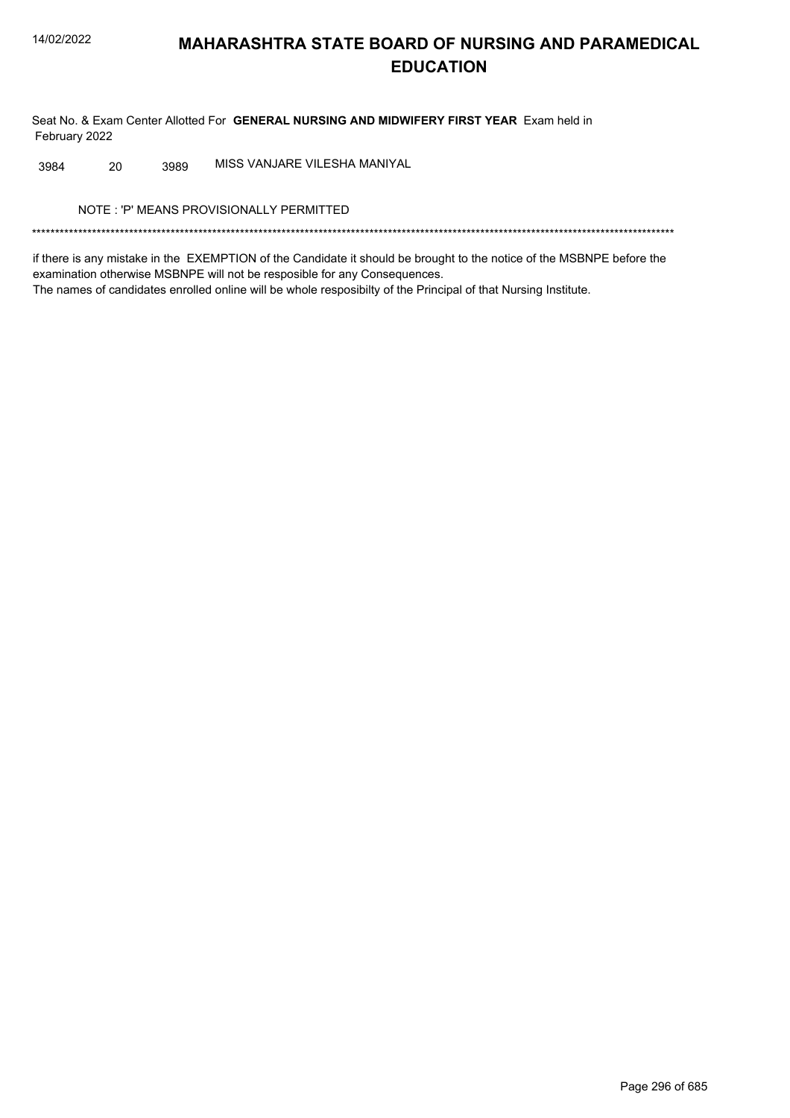Seat No. & Exam Center Allotted For GENERAL NURSING AND MIDWIFERY FIRST YEAR Exam held in February 2022

MISS VANJARE VILESHA MANIYAL 3984 20 3989

NOTE: 'P' MEANS PROVISIONALLY PERMITTED

if there is any mistake in the EXEMPTION of the Candidate it should be brought to the notice of the MSBNPE before the examination otherwise MSBNPE will not be resposible for any Consequences. The names of candidates enrolled online will be whole resposibilty of the Principal of that Nursing Institute.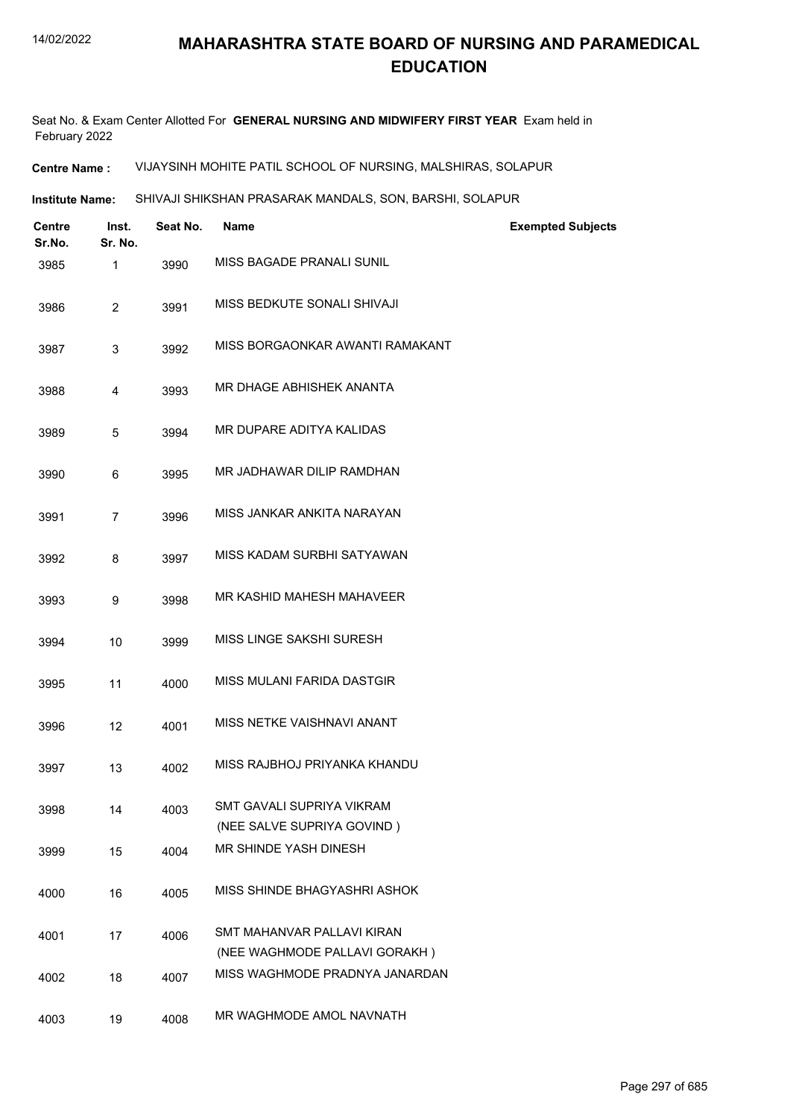Seat No. & Exam Center Allotted For **GENERAL NURSING AND MIDWIFERY FIRST YEAR** Exam held in February 2022

**Centre Name :** VIJAYSINH MOHITE PATIL SCHOOL OF NURSING, MALSHIRAS, SOLAPUR

**Institute Name:** SHIVAJI SHIKSHAN PRASARAK MANDALS, SON, BARSHI, SOLAPUR

| <b>Centre</b><br>Sr.No. | Inst.<br>Sr. No. | Seat No. | Name                                                        | <b>Exempted Subjects</b> |
|-------------------------|------------------|----------|-------------------------------------------------------------|--------------------------|
| 3985                    | 1                | 3990     | MISS BAGADE PRANALI SUNIL                                   |                          |
| 3986                    | $\overline{c}$   | 3991     | MISS BEDKUTE SONALI SHIVAJI                                 |                          |
| 3987                    | 3                | 3992     | MISS BORGAONKAR AWANTI RAMAKANT                             |                          |
| 3988                    | 4                | 3993     | MR DHAGE ABHISHEK ANANTA                                    |                          |
| 3989                    | 5                | 3994     | MR DUPARE ADITYA KALIDAS                                    |                          |
| 3990                    | 6                | 3995     | MR JADHAWAR DILIP RAMDHAN                                   |                          |
| 3991                    | $\overline{7}$   | 3996     | MISS JANKAR ANKITA NARAYAN                                  |                          |
| 3992                    | 8                | 3997     | MISS KADAM SURBHI SATYAWAN                                  |                          |
| 3993                    | 9                | 3998     | MR KASHID MAHESH MAHAVEER                                   |                          |
| 3994                    | 10               | 3999     | MISS LINGE SAKSHI SURESH                                    |                          |
| 3995                    | 11               | 4000     | MISS MULANI FARIDA DASTGIR                                  |                          |
| 3996                    | 12               | 4001     | MISS NETKE VAISHNAVI ANANT                                  |                          |
| 3997                    | 13               | 4002     | MISS RAJBHOJ PRIYANKA KHANDU                                |                          |
| 3998                    | 14               | 4003     | SMT GAVALI SUPRIYA VIKRAM<br>(NEE SALVE SUPRIYA GOVIND)     |                          |
| 3999                    | 15               | 4004     | MR SHINDE YASH DINESH                                       |                          |
| 4000                    | 16               | 4005     | MISS SHINDE BHAGYASHRI ASHOK                                |                          |
| 4001                    | 17               | 4006     | SMT MAHANVAR PALLAVI KIRAN<br>(NEE WAGHMODE PALLAVI GORAKH) |                          |
| 4002                    | 18               | 4007     | MISS WAGHMODE PRADNYA JANARDAN                              |                          |
| 4003                    | 19               | 4008     | MR WAGHMODE AMOL NAVNATH                                    |                          |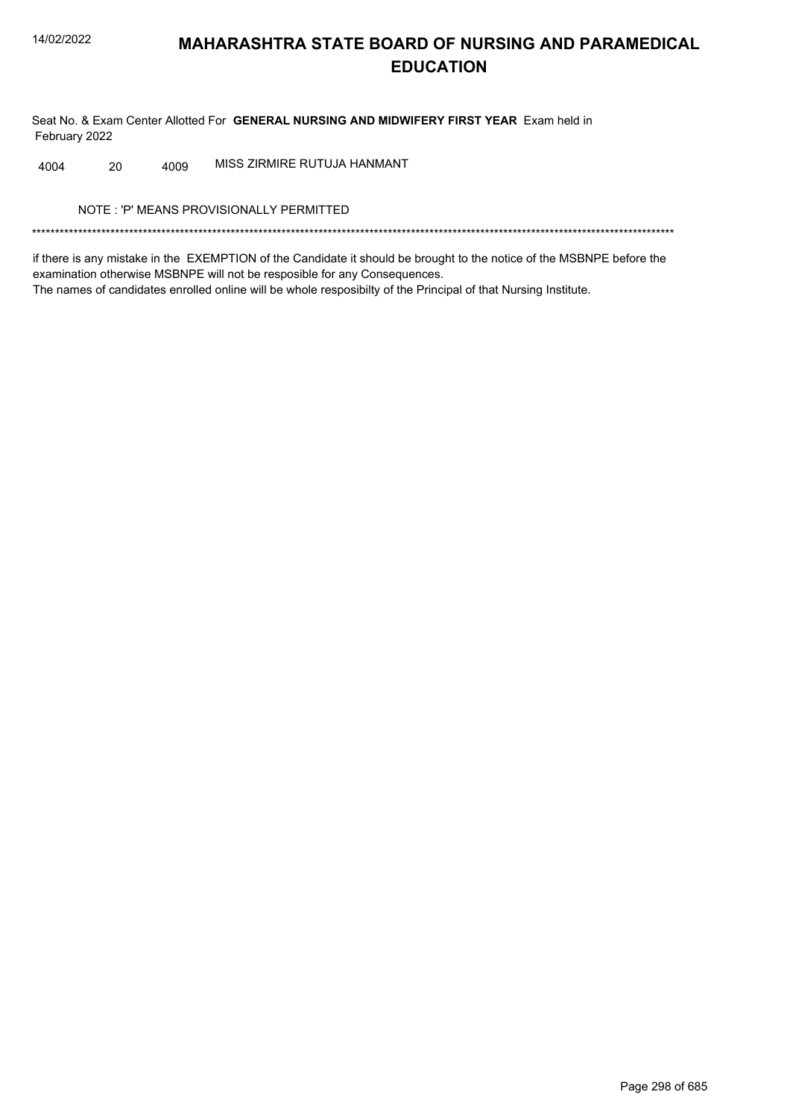Seat No. & Exam Center Allotted For GENERAL NURSING AND MIDWIFERY FIRST YEAR Exam held in February 2022

MISS ZIRMIRE RUTUJA HANMANT 4004 20 4009

NOTE: 'P' MEANS PROVISIONALLY PERMITTED

if there is any mistake in the EXEMPTION of the Candidate it should be brought to the notice of the MSBNPE before the examination otherwise MSBNPE will not be resposible for any Consequences. The names of candidates enrolled online will be whole resposibilty of the Principal of that Nursing Institute.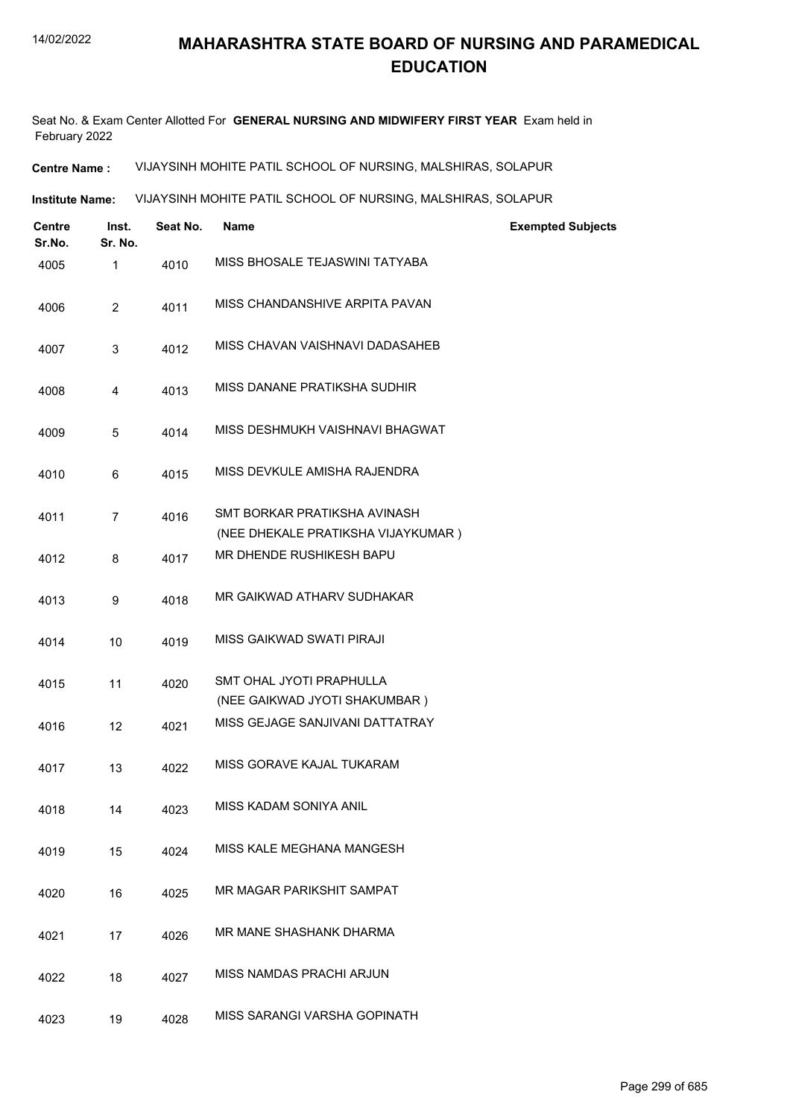Seat No. & Exam Center Allotted For **GENERAL NURSING AND MIDWIFERY FIRST YEAR** Exam held in February 2022

**Centre Name :** VIJAYSINH MOHITE PATIL SCHOOL OF NURSING, MALSHIRAS, SOLAPUR

**Institute Name: VIJAYSINH MOHITE PATIL SCHOOL OF NURSING, MALSHIRAS, SOLAPUR** 

| <b>Centre</b><br>Sr.No. | Inst.<br>Sr. No. | Seat No. | <b>Name</b>                                                        | <b>Exempted Subjects</b> |
|-------------------------|------------------|----------|--------------------------------------------------------------------|--------------------------|
| 4005                    | 1                | 4010     | MISS BHOSALE TEJASWINI TATYABA                                     |                          |
| 4006                    | 2                | 4011     | MISS CHANDANSHIVE ARPITA PAVAN                                     |                          |
| 4007                    | 3                | 4012     | MISS CHAVAN VAISHNAVI DADASAHEB                                    |                          |
| 4008                    | $\overline{4}$   | 4013     | MISS DANANE PRATIKSHA SUDHIR                                       |                          |
| 4009                    | 5                | 4014     | MISS DESHMUKH VAISHNAVI BHAGWAT                                    |                          |
| 4010                    | 6                | 4015     | MISS DEVKULE AMISHA RAJENDRA                                       |                          |
| 4011                    | $\overline{7}$   | 4016     | SMT BORKAR PRATIKSHA AVINASH<br>(NEE DHEKALE PRATIKSHA VIJAYKUMAR) |                          |
| 4012                    | 8                | 4017     | MR DHENDE RUSHIKESH BAPU                                           |                          |
| 4013                    | 9                | 4018     | MR GAIKWAD ATHARV SUDHAKAR                                         |                          |
| 4014                    | 10               | 4019     | MISS GAIKWAD SWATI PIRAJI                                          |                          |
| 4015                    | 11               | 4020     | SMT OHAL JYOTI PRAPHULLA<br>(NEE GAIKWAD JYOTI SHAKUMBAR)          |                          |
| 4016                    | 12               | 4021     | MISS GEJAGE SANJIVANI DATTATRAY                                    |                          |
| 4017                    | 13               | 4022     | MISS GORAVE KAJAL TUKARAM                                          |                          |
| 4018                    | 14               | 4023     | MISS KADAM SONIYA ANIL                                             |                          |
| 4019                    | 15               | 4024     | MISS KALE MEGHANA MANGESH                                          |                          |
| 4020                    | 16               | 4025     | MR MAGAR PARIKSHIT SAMPAT                                          |                          |
| 4021                    | 17               | 4026     | MR MANE SHASHANK DHARMA                                            |                          |
| 4022                    | 18               | 4027     | MISS NAMDAS PRACHI ARJUN                                           |                          |
| 4023                    | 19               | 4028     | MISS SARANGI VARSHA GOPINATH                                       |                          |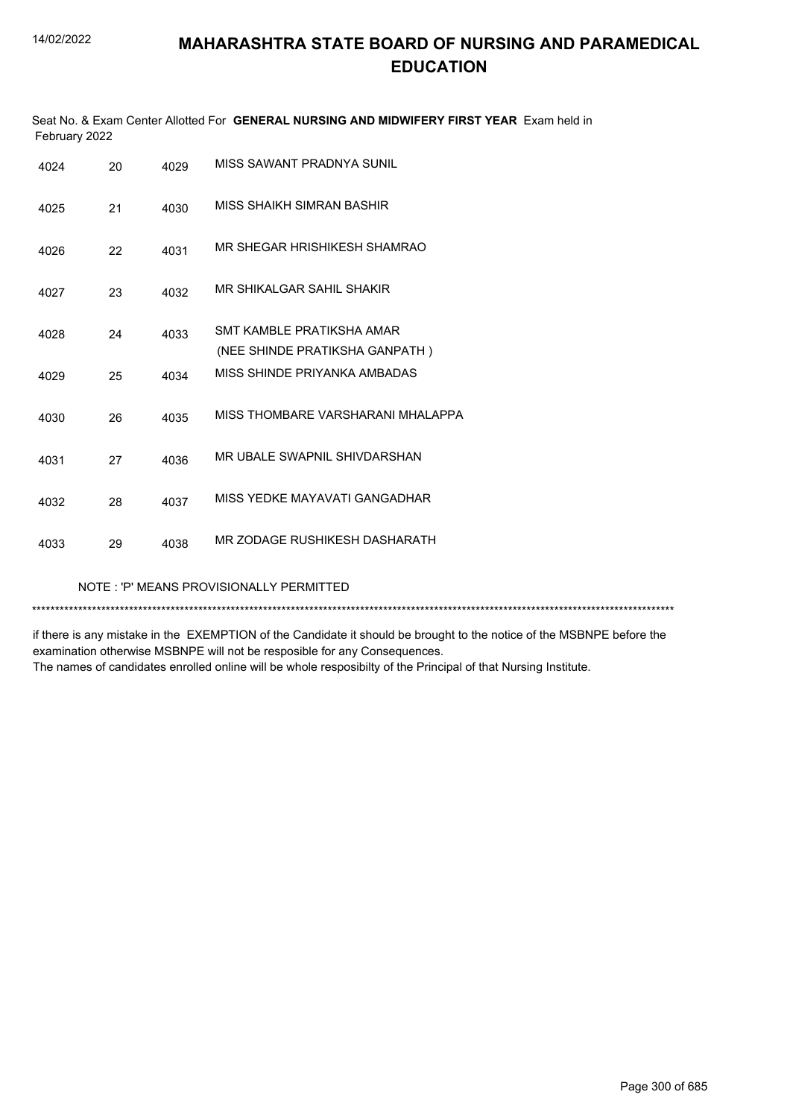| February 2022 |     |      | Seat No. & Exam Center Allotted For <b>GENERAL NURSING AND MIDWIFERY FIRST YEAR</b> Exam held in |
|---------------|-----|------|--------------------------------------------------------------------------------------------------|
| 4024          | 20. | 4029 | MISS SAWANT PRADNYA SUNIL                                                                        |

| 4025 | 21 | 4030 | MISS SHAIKH SIMRAN BASHIR                                    |
|------|----|------|--------------------------------------------------------------|
| 4026 | 22 | 4031 | MR SHEGAR HRISHIKESH SHAMRAO                                 |
| 4027 | 23 | 4032 | MR SHIKALGAR SAHIL SHAKIR                                    |
| 4028 | 24 | 4033 | SMT KAMBI F PRATIKSHA AMAR<br>(NEE SHINDE PRATIKSHA GANPATH) |
| 4029 | 25 | 4034 | MISS SHINDE PRIYANKA AMBADAS                                 |
| 4030 | 26 | 4035 | MISS THOMBARF VARSHARANI MHAI APPA                           |
| 4031 | 27 | 4036 | MR UBALE SWAPNIL SHIVDARSHAN                                 |
| 4032 | 28 | 4037 | MISS YEDKE MAYAVATI GANGADHAR                                |
| 4033 | 29 | 4038 | MR ZODAGE RUSHIKESH DASHARATH                                |
|      |    |      |                                                              |

NOTE : 'P' MEANS PROVISIONALLY PERMITTED

\*\*\*\*\*\*\*\*\*\*\*\*\*\*\*\*\*\*\*\*\*\*\*\*\*\*\*\*\*\*\*\*\*\*\*\*\*\*\*\*\*\*\*\*\*\*\*\*\*\*\*\*\*\*\*\*\*\*\*\*\*\*\*\*\*\*\*\*\*\*\*\*\*\*\*\*\*\*\*\*\*\*\*\*\*\*\*\*\*\*\*\*\*\*\*\*\*\*\*\*\*\*\*\*\*\*\*\*\*\*\*\*\*\*\*\*\*\*\*\*\*\*\*\*\*\*\*\*\*\*\*\*\*\*\*\*\*\*\*

if there is any mistake in the EXEMPTION of the Candidate it should be brought to the notice of the MSBNPE before the examination otherwise MSBNPE will not be resposible for any Consequences.

The names of candidates enrolled online will be whole resposibilty of the Principal of that Nursing Institute.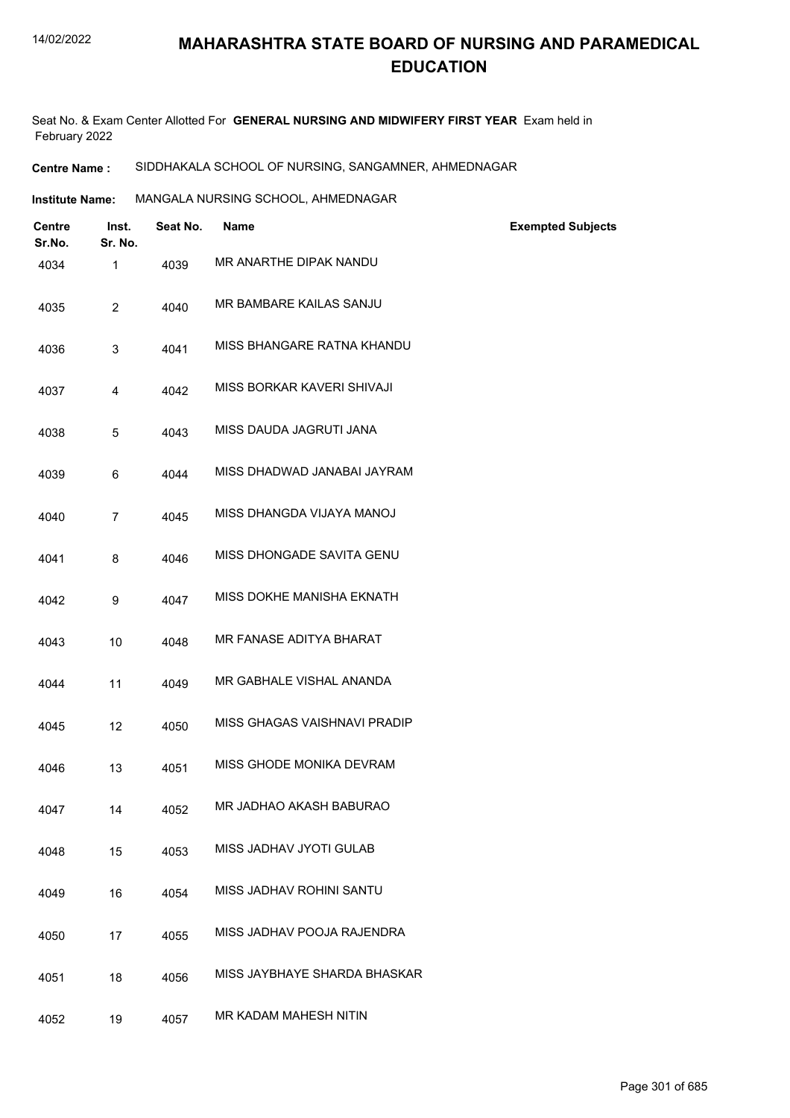Seat No. & Exam Center Allotted For **GENERAL NURSING AND MIDWIFERY FIRST YEAR** Exam held in February 2022

**Centre Name :** SIDDHAKALA SCHOOL OF NURSING, SANGAMNER, AHMEDNAGAR

**Institute Name: MANGALA NURSING SCHOOL, AHMEDNAGAR** 

| <b>Centre</b><br>Sr.No. | Inst.<br>Sr. No. | Seat No. | <b>Name</b>                  | <b>Exempted Subjects</b> |
|-------------------------|------------------|----------|------------------------------|--------------------------|
| 4034                    | 1                | 4039     | MR ANARTHE DIPAK NANDU       |                          |
| 4035                    | $\overline{2}$   | 4040     | MR BAMBARE KAILAS SANJU      |                          |
| 4036                    | 3                | 4041     | MISS BHANGARE RATNA KHANDU   |                          |
| 4037                    | 4                | 4042     | MISS BORKAR KAVERI SHIVAJI   |                          |
| 4038                    | 5                | 4043     | MISS DAUDA JAGRUTI JANA      |                          |
| 4039                    | 6                | 4044     | MISS DHADWAD JANABAI JAYRAM  |                          |
| 4040                    | $\overline{7}$   | 4045     | MISS DHANGDA VIJAYA MANOJ    |                          |
| 4041                    | 8                | 4046     | MISS DHONGADE SAVITA GENU    |                          |
| 4042                    | 9                | 4047     | MISS DOKHE MANISHA EKNATH    |                          |
| 4043                    | 10               | 4048     | MR FANASE ADITYA BHARAT      |                          |
| 4044                    | 11               | 4049     | MR GABHALE VISHAL ANANDA     |                          |
| 4045                    | 12               | 4050     | MISS GHAGAS VAISHNAVI PRADIP |                          |
| 4046                    | 13               | 4051     | MISS GHODE MONIKA DEVRAM     |                          |
| 4047                    | 14               | 4052     | MR JADHAO AKASH BABURAO      |                          |
| 4048                    | 15               | 4053     | MISS JADHAV JYOTI GULAB      |                          |
| 4049                    | 16               | 4054     | MISS JADHAV ROHINI SANTU     |                          |
| 4050                    | 17               | 4055     | MISS JADHAV POOJA RAJENDRA   |                          |
| 4051                    | 18               | 4056     | MISS JAYBHAYE SHARDA BHASKAR |                          |
| 4052                    | 19               | 4057     | MR KADAM MAHESH NITIN        |                          |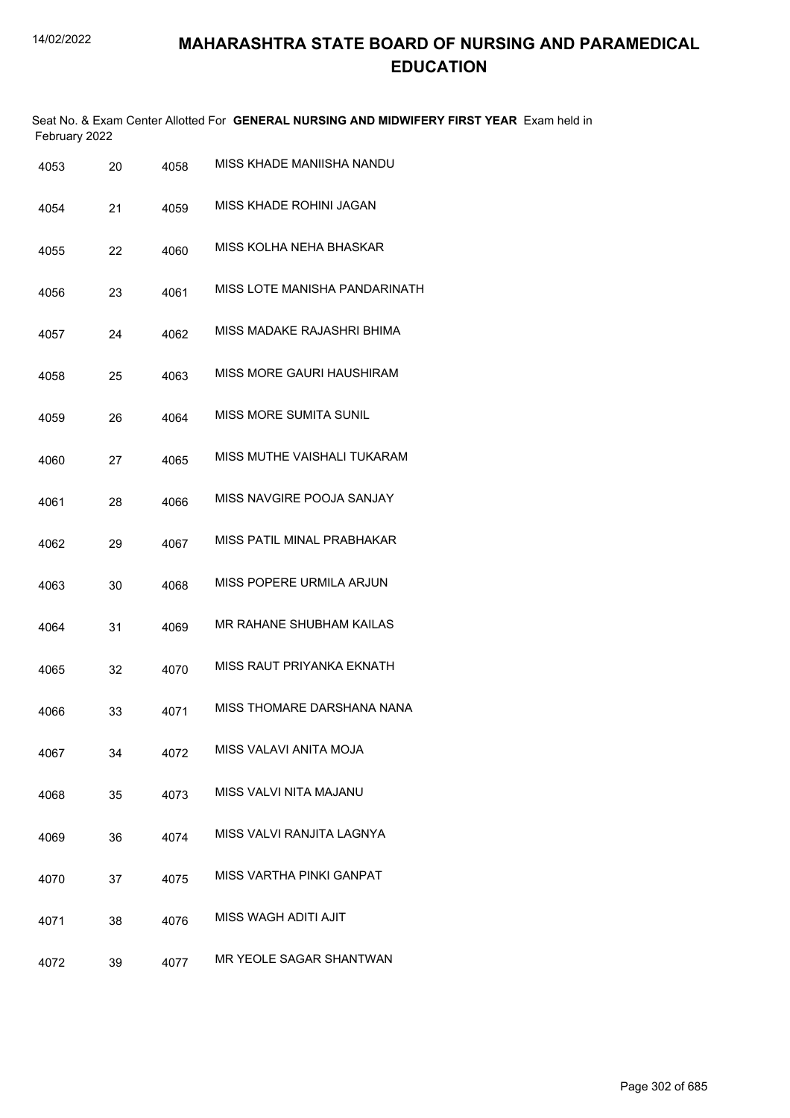Seat No. & Exam Center Allotted For **GENERAL NURSING AND MIDWIFERY FIRST YEAR** Exam held in February 2022

| 4053 | 20 | 4058 | MISS KHADE MANIISHA NANDU       |
|------|----|------|---------------------------------|
| 4054 | 21 | 4059 | MISS KHADE ROHINI JAGAN         |
| 4055 | 22 | 4060 | MISS KOLHA NEHA BHASKAR         |
| 4056 | 23 | 4061 | MISS LOTE MANISHA PANDARINATH   |
| 4057 | 24 | 4062 | MISS MADAKE RAJASHRI BHIMA      |
| 4058 | 25 | 4063 | MISS MORE GAURI HAUSHIRAM       |
| 4059 | 26 | 4064 | <b>MISS MORE SUMITA SUNIL</b>   |
| 4060 | 27 | 4065 | MISS MUTHE VAISHALI TUKARAM     |
| 4061 | 28 | 4066 | MISS NAVGIRE POOJA SANJAY       |
| 4062 | 29 | 4067 | MISS PATIL MINAL PRABHAKAR      |
| 4063 | 30 | 4068 | MISS POPERE URMILA ARJUN        |
| 4064 | 31 | 4069 | MR RAHANE SHUBHAM KAILAS        |
| 4065 | 32 | 4070 | MISS RAUT PRIYANKA EKNATH       |
| 4066 | 33 | 4071 | MISS THOMARE DARSHANA NANA      |
| 4067 | 34 | 4072 | MISS VALAVI ANITA MOJA          |
| 4068 | 35 | 4073 | MISS VALVI NITA MAJANU          |
| 4069 | 36 | 4074 | MISS VALVI RANJITA LAGNYA       |
| 4070 | 37 | 4075 | <b>MISS VARTHA PINKI GANPAT</b> |
| 4071 | 38 | 4076 | MISS WAGH ADITI AJIT            |
| 4072 | 39 | 4077 | MR YEOLE SAGAR SHANTWAN         |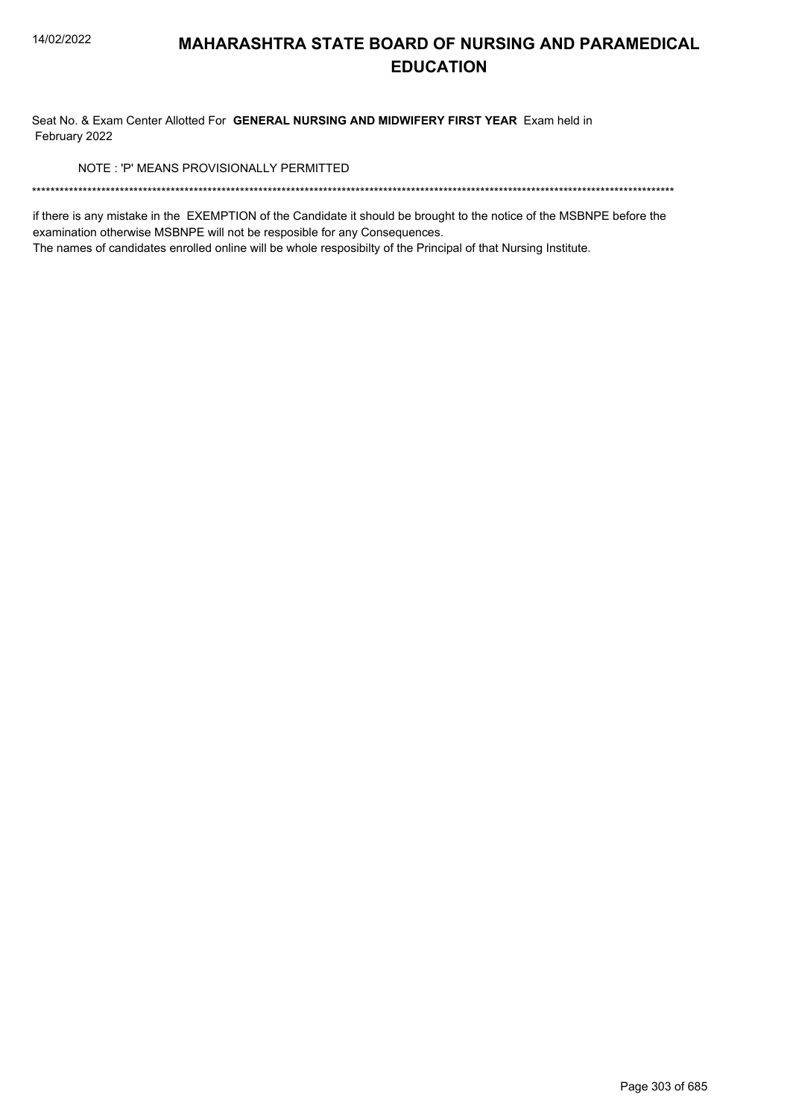Seat No. & Exam Center Allotted For GENERAL NURSING AND MIDWIFERY FIRST YEAR Exam held in February 2022

NOTE: 'P' MEANS PROVISIONALLY PERMITTED

if there is any mistake in the EXEMPTION of the Candidate it should be brought to the notice of the MSBNPE before the examination otherwise MSBNPE will not be resposible for any Consequences.

The names of candidates enrolled online will be whole resposibilty of the Principal of that Nursing Institute.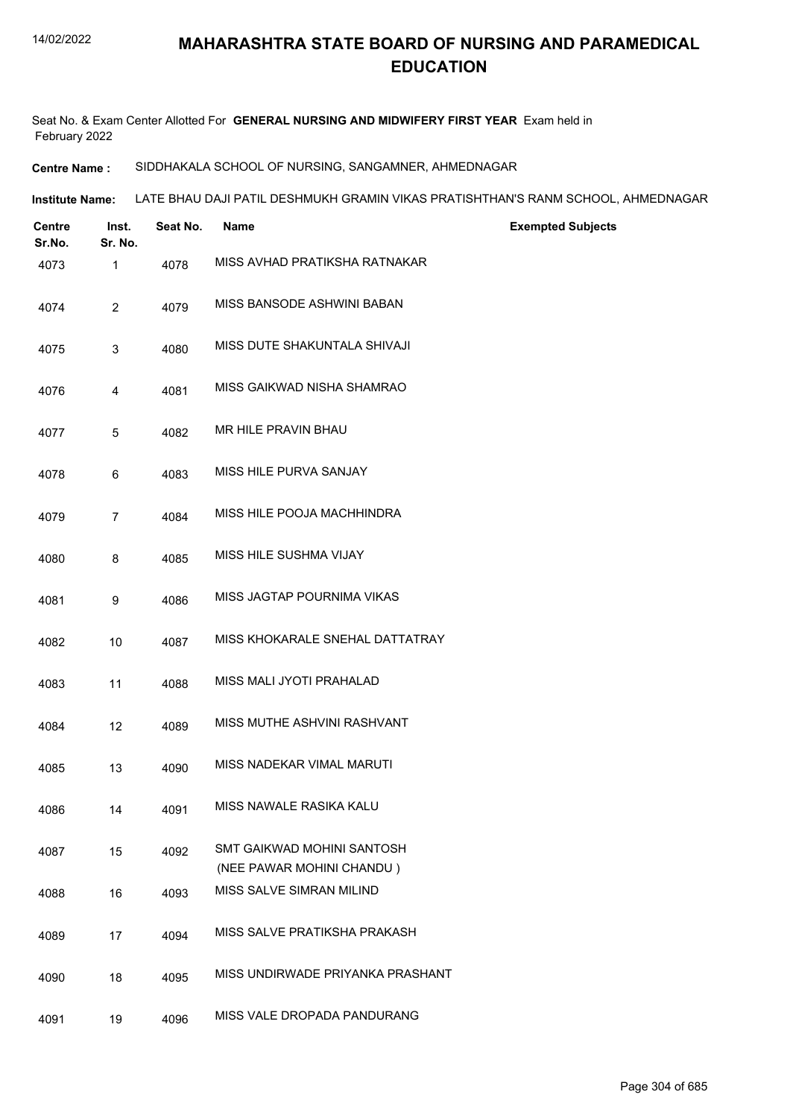Seat No. & Exam Center Allotted For **GENERAL NURSING AND MIDWIFERY FIRST YEAR** Exam held in February 2022

**Centre Name :** SIDDHAKALA SCHOOL OF NURSING, SANGAMNER, AHMEDNAGAR

**Institute Name: LATE BHAU DAJI PATIL DESHMUKH GRAMIN VIKAS PRATISHTHAN'S RANM SCHOOL, AHMEDNAGAR** 

| Centre<br>Sr.No. | Inst.<br>Sr. No. | Seat No. | Name                                                    | <b>Exempted Subjects</b> |
|------------------|------------------|----------|---------------------------------------------------------|--------------------------|
| 4073             | 1                | 4078     | MISS AVHAD PRATIKSHA RATNAKAR                           |                          |
| 4074             | $\overline{c}$   | 4079     | MISS BANSODE ASHWINI BABAN                              |                          |
| 4075             | 3                | 4080     | MISS DUTE SHAKUNTALA SHIVAJI                            |                          |
| 4076             | 4                | 4081     | MISS GAIKWAD NISHA SHAMRAO                              |                          |
| 4077             | 5                | 4082     | MR HILE PRAVIN BHAU                                     |                          |
| 4078             | 6                | 4083     | MISS HILE PURVA SANJAY                                  |                          |
| 4079             | $\overline{7}$   | 4084     | MISS HILE POOJA MACHHINDRA                              |                          |
| 4080             | 8                | 4085     | MISS HILE SUSHMA VIJAY                                  |                          |
| 4081             | 9                | 4086     | MISS JAGTAP POURNIMA VIKAS                              |                          |
| 4082             | 10               | 4087     | MISS KHOKARALE SNEHAL DATTATRAY                         |                          |
| 4083             | 11               | 4088     | MISS MALI JYOTI PRAHALAD                                |                          |
| 4084             | 12               | 4089     | MISS MUTHE ASHVINI RASHVANT                             |                          |
| 4085             | 13               | 4090     | MISS NADEKAR VIMAL MARUTI                               |                          |
| 4086             | 14               | 4091     | MISS NAWALE RASIKA KALU                                 |                          |
| 4087             | 15               | 4092     | SMT GAIKWAD MOHINI SANTOSH<br>(NEE PAWAR MOHINI CHANDU) |                          |
| 4088             | 16               | 4093     | MISS SALVE SIMRAN MILIND                                |                          |
| 4089             | 17               | 4094     | MISS SALVE PRATIKSHA PRAKASH                            |                          |
| 4090             | 18               | 4095     | MISS UNDIRWADE PRIYANKA PRASHANT                        |                          |
| 4091             | 19               | 4096     | MISS VALE DROPADA PANDURANG                             |                          |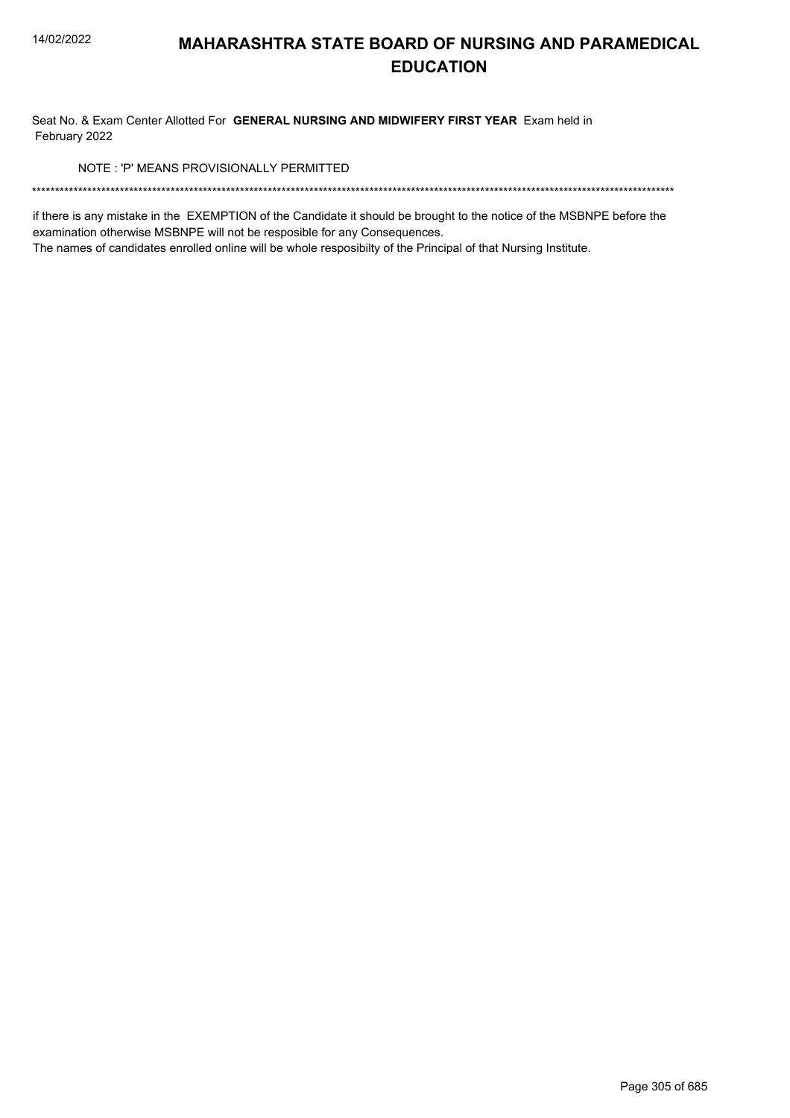Seat No. & Exam Center Allotted For GENERAL NURSING AND MIDWIFERY FIRST YEAR Exam held in February 2022

NOTE: 'P' MEANS PROVISIONALLY PERMITTED

if there is any mistake in the EXEMPTION of the Candidate it should be brought to the notice of the MSBNPE before the examination otherwise MSBNPE will not be resposible for any Consequences.

The names of candidates enrolled online will be whole resposibilty of the Principal of that Nursing Institute.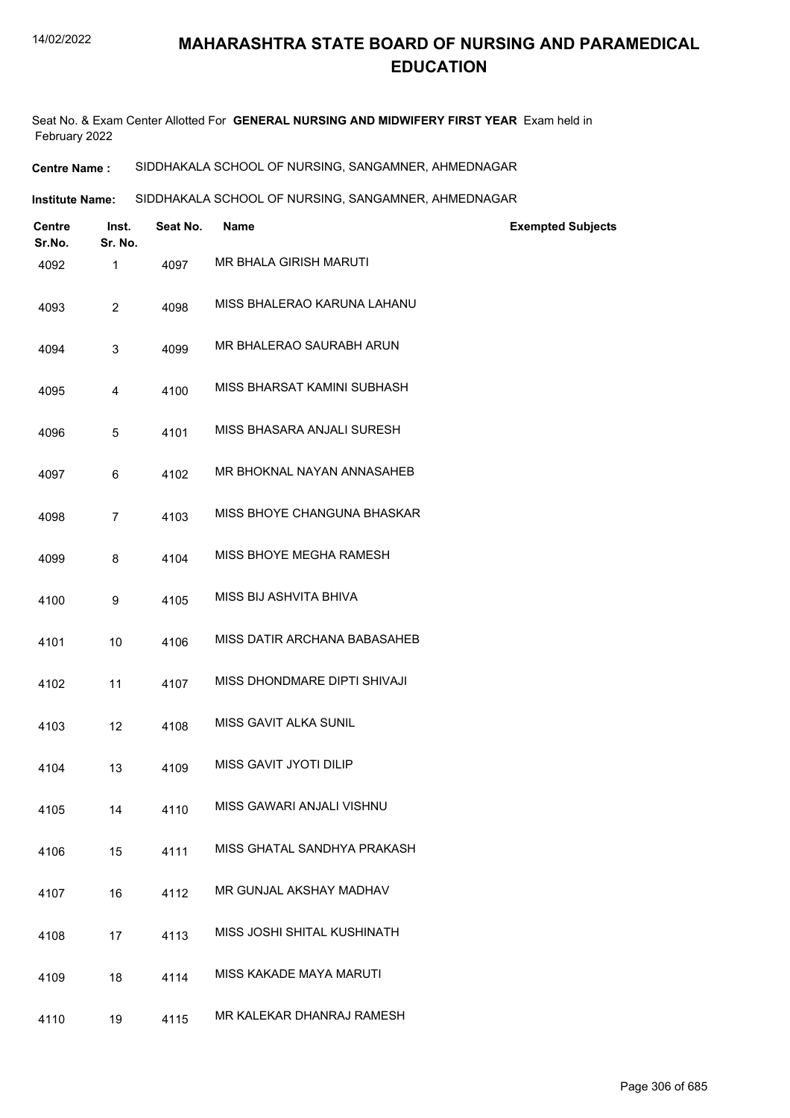Seat No. & Exam Center Allotted For **GENERAL NURSING AND MIDWIFERY FIRST YEAR** Exam held in February 2022

**Centre Name :** SIDDHAKALA SCHOOL OF NURSING, SANGAMNER, AHMEDNAGAR

**Institute Name: SIDDHAKALA SCHOOL OF NURSING, SANGAMNER, AHMEDNAGAR** 

| <b>Centre</b><br>Sr.No. | Inst.<br>Sr. No. | Seat No. | <b>Name</b>                    | <b>Exempted Subjects</b> |
|-------------------------|------------------|----------|--------------------------------|--------------------------|
| 4092                    | $\mathbf{1}$     | 4097     | MR BHALA GIRISH MARUTI         |                          |
| 4093                    | $\overline{2}$   | 4098     | MISS BHALERAO KARUNA LAHANU    |                          |
| 4094                    | 3                | 4099     | MR BHALERAO SAURABH ARUN       |                          |
| 4095                    | 4                | 4100     | MISS BHARSAT KAMINI SUBHASH    |                          |
| 4096                    | 5                | 4101     | MISS BHASARA ANJALI SURESH     |                          |
| 4097                    | 6                | 4102     | MR BHOKNAL NAYAN ANNASAHEB     |                          |
| 4098                    | $\overline{7}$   | 4103     | MISS BHOYE CHANGUNA BHASKAR    |                          |
| 4099                    | 8                | 4104     | MISS BHOYE MEGHA RAMESH        |                          |
| 4100                    | 9                | 4105     | MISS BIJ ASHVITA BHIVA         |                          |
| 4101                    | 10               | 4106     | MISS DATIR ARCHANA BABASAHEB   |                          |
| 4102                    | 11               | 4107     | MISS DHONDMARE DIPTI SHIVAJI   |                          |
| 4103                    | 12               | 4108     | MISS GAVIT ALKA SUNIL          |                          |
| 4104                    | 13               | 4109     | MISS GAVIT JYOTI DILIP         |                          |
| 4105                    | 14               | 4110     | MISS GAWARI ANJALI VISHNU      |                          |
| 4106                    | 15               | 4111     | MISS GHATAL SANDHYA PRAKASH    |                          |
| 4107                    | 16               | 4112     | MR GUNJAL AKSHAY MADHAV        |                          |
| 4108                    | 17               | 4113     | MISS JOSHI SHITAL KUSHINATH    |                          |
| 4109                    | 18               | 4114     | <b>MISS KAKADE MAYA MARUTI</b> |                          |
| 4110                    | 19               | 4115     | MR KALEKAR DHANRAJ RAMESH      |                          |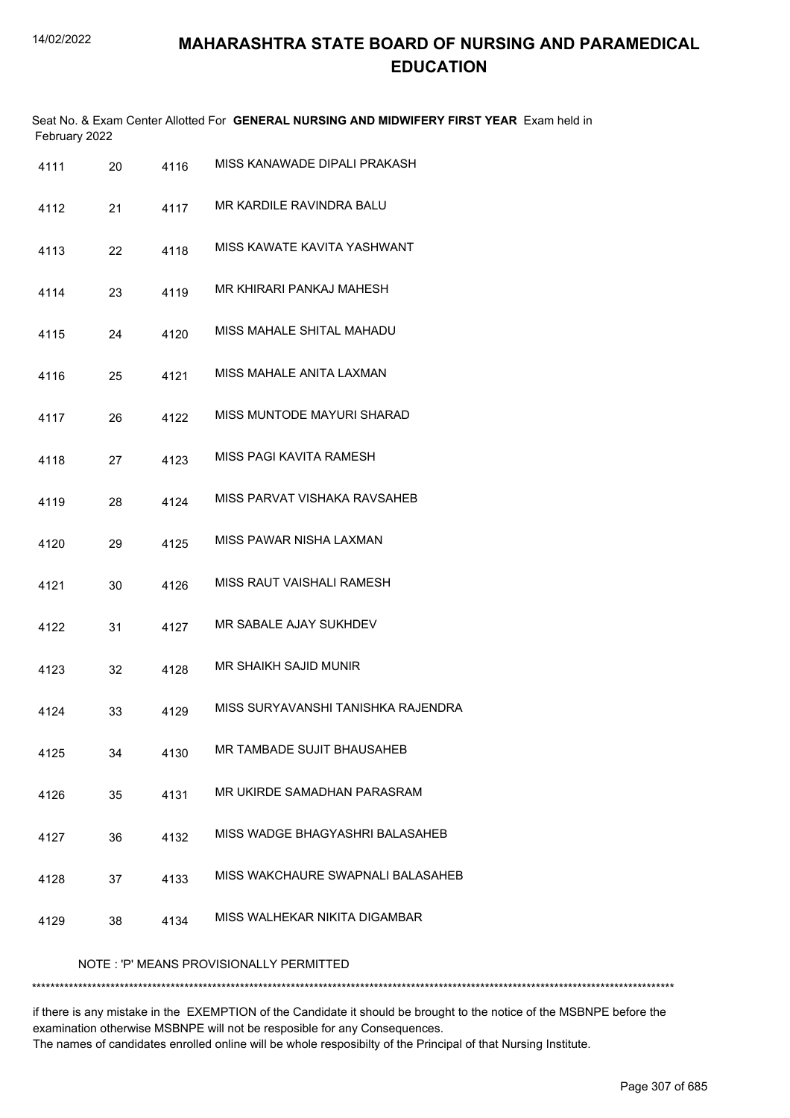|      | February 2022                           |      | Seat No. & Exam Center Allotted For GENERAL NURSING AND MIDWIFERY FIRST YEAR Exam held in |  |  |  |  |
|------|-----------------------------------------|------|-------------------------------------------------------------------------------------------|--|--|--|--|
| 4111 | 20                                      | 4116 | MISS KANAWADE DIPALI PRAKASH                                                              |  |  |  |  |
| 4112 | 21                                      | 4117 | MR KARDILE RAVINDRA BALU                                                                  |  |  |  |  |
| 4113 | 22                                      | 4118 | MISS KAWATE KAVITA YASHWANT                                                               |  |  |  |  |
| 4114 | 23                                      | 4119 | MR KHIRARI PANKAJ MAHESH                                                                  |  |  |  |  |
| 4115 | 24                                      | 4120 | MISS MAHALE SHITAL MAHADU                                                                 |  |  |  |  |
| 4116 | 25                                      | 4121 | MISS MAHALE ANITA LAXMAN                                                                  |  |  |  |  |
| 4117 | 26                                      | 4122 | MISS MUNTODE MAYURI SHARAD                                                                |  |  |  |  |
| 4118 | 27                                      | 4123 | MISS PAGI KAVITA RAMESH                                                                   |  |  |  |  |
| 4119 | 28                                      | 4124 | MISS PARVAT VISHAKA RAVSAHEB                                                              |  |  |  |  |
| 4120 | 29                                      | 4125 | MISS PAWAR NISHA LAXMAN                                                                   |  |  |  |  |
| 4121 | 30                                      | 4126 | MISS RAUT VAISHALI RAMESH                                                                 |  |  |  |  |
| 4122 | 31                                      | 4127 | MR SABALE AJAY SUKHDEV                                                                    |  |  |  |  |
| 4123 | 32                                      | 4128 | MR SHAIKH SAJID MUNIR                                                                     |  |  |  |  |
| 4124 | 33                                      | 4129 | MISS SURYAVANSHI TANISHKA RAJENDRA                                                        |  |  |  |  |
| 4125 | 34                                      | 4130 | MR TAMBADE SUJIT BHAUSAHEB                                                                |  |  |  |  |
| 4126 | 35                                      | 4131 | MR UKIRDE SAMADHAN PARASRAM                                                               |  |  |  |  |
| 4127 | 36                                      | 4132 | MISS WADGE BHAGYASHRI BALASAHEB                                                           |  |  |  |  |
| 4128 | 37                                      | 4133 | MISS WAKCHAURE SWAPNALI BALASAHEB                                                         |  |  |  |  |
| 4129 | 38                                      | 4134 | MISS WALHEKAR NIKITA DIGAMBAR                                                             |  |  |  |  |
|      | NOTE: 'P' MEANS PROVISIONALLY PERMITTED |      |                                                                                           |  |  |  |  |

\*\*\*\*\*\*\*\*\*\*\*\*\*\*\*\*\*\*\*\*\*\*\*\*\*\*\*\*\*\*\*\*\*\*\*\*\*\*\*\*\*\*\*\*\*\*\*\*\*\*\*\*\*\*\*\*\*\*\*\*\*\*\*\*\*\*\*\*\*\*\*\*\*\*\*\*\*\*\*\*\*\*\*\*\*\*\*\*\*\*\*\*\*\*\*\*\*\*\*\*\*\*\*\*\*\*\*\*\*\*\*\*\*\*\*\*\*\*\*\*\*\*\*\*\*\*\*\*\*\*\*\*\*\*\*\*\*\*\*

if there is any mistake in the EXEMPTION of the Candidate it should be brought to the notice of the MSBNPE before the examination otherwise MSBNPE will not be resposible for any Consequences. The names of candidates enrolled online will be whole resposibilty of the Principal of that Nursing Institute.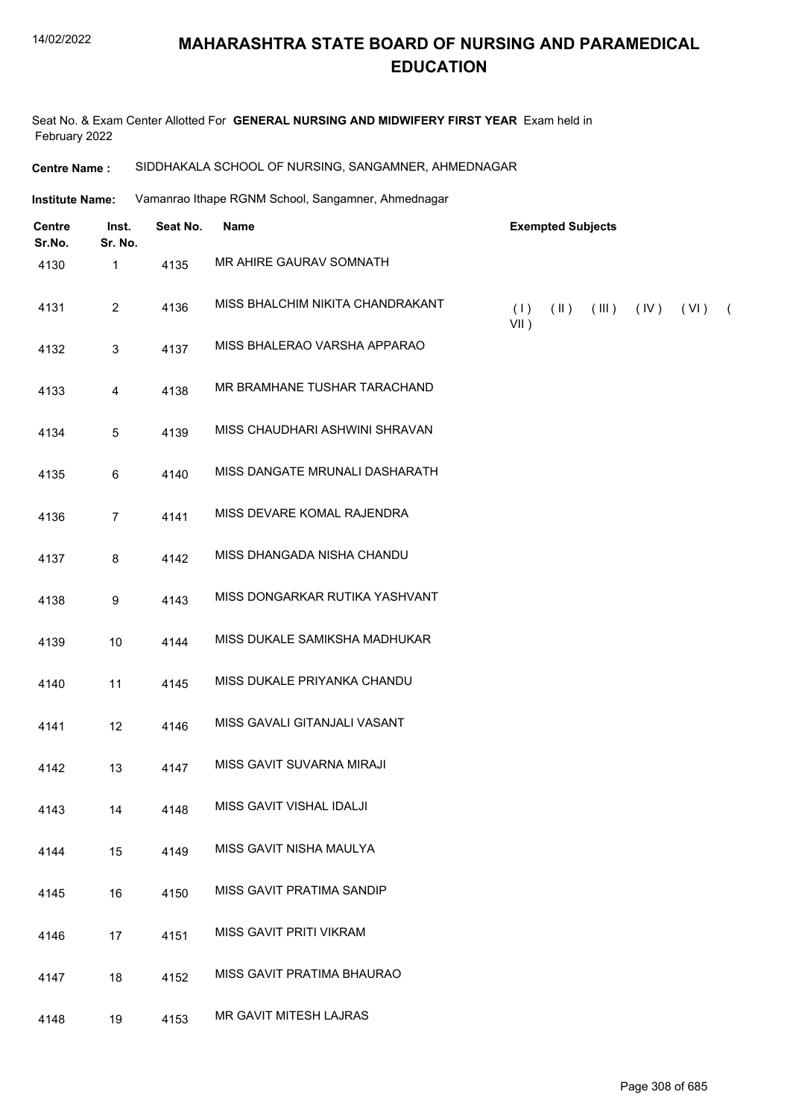Seat No. & Exam Center Allotted For **GENERAL NURSING AND MIDWIFERY FIRST YEAR** Exam held in February 2022

#### **Centre Name :** SIDDHAKALA SCHOOL OF NURSING, SANGAMNER, AHMEDNAGAR

Vamanrao Ithape RGNM School, Sangamner, Ahmednagar **Institute Name:**

| <b>Centre</b><br>Sr.No. | Inst.<br>Sr. No. | Seat No. | Name                             |                | <b>Exempted Subjects</b> |       |               |            |
|-------------------------|------------------|----------|----------------------------------|----------------|--------------------------|-------|---------------|------------|
| 4130                    | 1                | 4135     | MR AHIRE GAURAV SOMNATH          |                |                          |       |               |            |
| 4131                    | $\overline{2}$   | 4136     | MISS BHALCHIM NIKITA CHANDRAKANT | (1)<br>$VII$ ) | $(\parallel)$            | (III) | $(IV)$ $(VI)$ | $\sqrt{2}$ |
| 4132                    | 3                | 4137     | MISS BHALERAO VARSHA APPARAO     |                |                          |       |               |            |
| 4133                    | 4                | 4138     | MR BRAMHANE TUSHAR TARACHAND     |                |                          |       |               |            |
| 4134                    | 5                | 4139     | MISS CHAUDHARI ASHWINI SHRAVAN   |                |                          |       |               |            |
| 4135                    | 6                | 4140     | MISS DANGATE MRUNALI DASHARATH   |                |                          |       |               |            |
| 4136                    | 7                | 4141     | MISS DEVARE KOMAL RAJENDRA       |                |                          |       |               |            |
| 4137                    | 8                | 4142     | MISS DHANGADA NISHA CHANDU       |                |                          |       |               |            |
| 4138                    | 9                | 4143     | MISS DONGARKAR RUTIKA YASHVANT   |                |                          |       |               |            |
| 4139                    | 10               | 4144     | MISS DUKALE SAMIKSHA MADHUKAR    |                |                          |       |               |            |
| 4140                    | 11               | 4145     | MISS DUKALE PRIYANKA CHANDU      |                |                          |       |               |            |
| 4141                    | 12               | 4146     | MISS GAVALI GITANJALI VASANT     |                |                          |       |               |            |
| 4142                    | 13               | 4147     | MISS GAVIT SUVARNA MIRAJI        |                |                          |       |               |            |
| 4143                    | 14               | 4148     | MISS GAVIT VISHAL IDALJI         |                |                          |       |               |            |
| 4144                    | 15               | 4149     | MISS GAVIT NISHA MAULYA          |                |                          |       |               |            |
| 4145                    | 16               | 4150     | MISS GAVIT PRATIMA SANDIP        |                |                          |       |               |            |
| 4146                    | 17               | 4151     | MISS GAVIT PRITI VIKRAM          |                |                          |       |               |            |
| 4147                    | 18               | 4152     | MISS GAVIT PRATIMA BHAURAO       |                |                          |       |               |            |
| 4148                    | 19               | 4153     | MR GAVIT MITESH LAJRAS           |                |                          |       |               |            |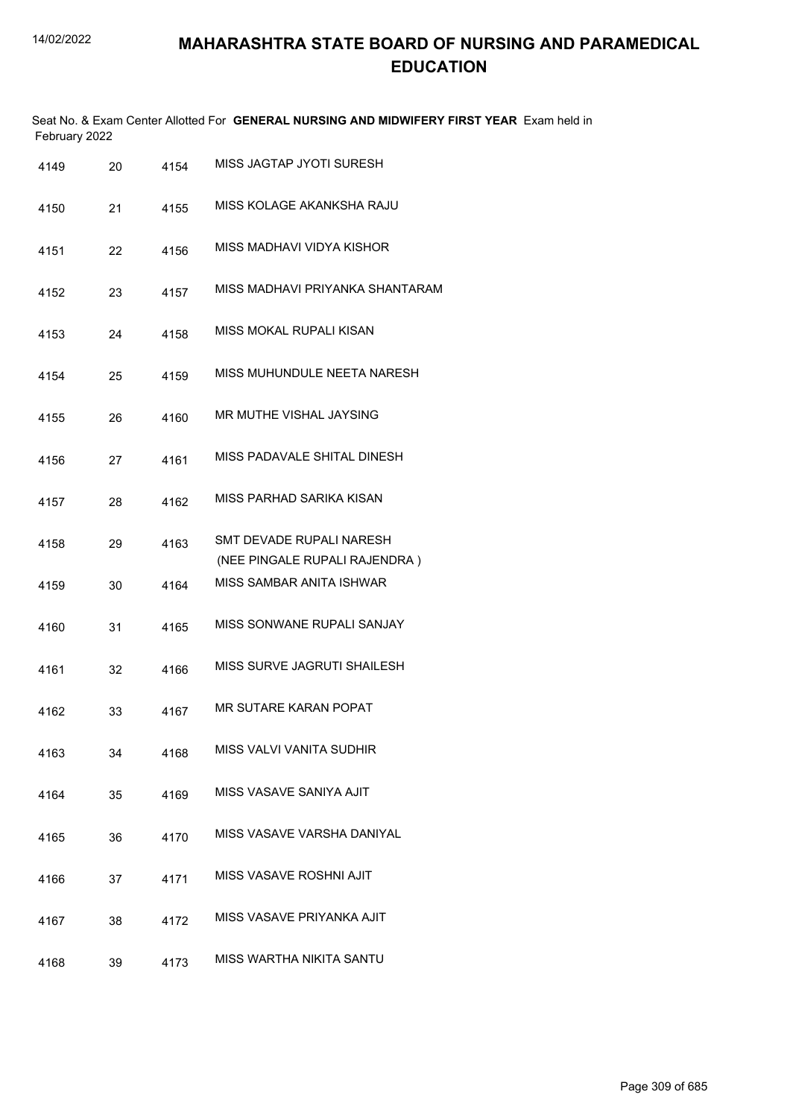|      | February 2022 |      | Seat No. & Exam Center Allotted For GENERAL NURSING AND MIDWIFERY FIRST YEAR Exam held in |
|------|---------------|------|-------------------------------------------------------------------------------------------|
| 4149 | 20            | 4154 | MISS JAGTAP JYOTI SURESH                                                                  |
| 4150 | 21            | 4155 | MISS KOLAGE AKANKSHA RAJU                                                                 |
| 4151 | 22            | 4156 | MISS MADHAVI VIDYA KISHOR                                                                 |
| 4152 | 23            | 4157 | MISS MADHAVI PRIYANKA SHANTARAM                                                           |
| 4153 | 24            | 4158 | MISS MOKAL RUPALI KISAN                                                                   |
| 4154 | 25            | 4159 | MISS MUHUNDULE NEETA NARESH                                                               |
| 4155 | 26            | 4160 | MR MUTHE VISHAL JAYSING                                                                   |
| 4156 | 27            | 4161 | MISS PADAVALE SHITAL DINESH                                                               |
| 4157 | 28            | 4162 | MISS PARHAD SARIKA KISAN                                                                  |
| 4158 | 29            | 4163 | SMT DEVADE RUPALI NARESH<br>(NEE PINGALE RUPALI RAJENDRA)                                 |
| 4159 | 30            | 4164 | MISS SAMBAR ANITA ISHWAR                                                                  |
| 4160 | 31            | 4165 | MISS SONWANE RUPALI SANJAY                                                                |
| 4161 | 32            | 4166 | MISS SURVE JAGRUTI SHAILESH                                                               |
| 4162 | 33            | 4167 | MR SUTARE KARAN POPAT                                                                     |
| 4163 | 34            | 4168 | MISS VALVI VANITA SUDHIR                                                                  |
| 4164 | 35            | 4169 | MISS VASAVE SANIYA AJIT                                                                   |
| 4165 | 36            | 4170 | MISS VASAVE VARSHA DANIYAL                                                                |
| 4166 | 37            | 4171 | MISS VASAVE ROSHNI AJIT                                                                   |
| 4167 | 38            | 4172 | MISS VASAVE PRIYANKA AJIT                                                                 |
| 4168 | 39            | 4173 | MISS WARTHA NIKITA SANTU                                                                  |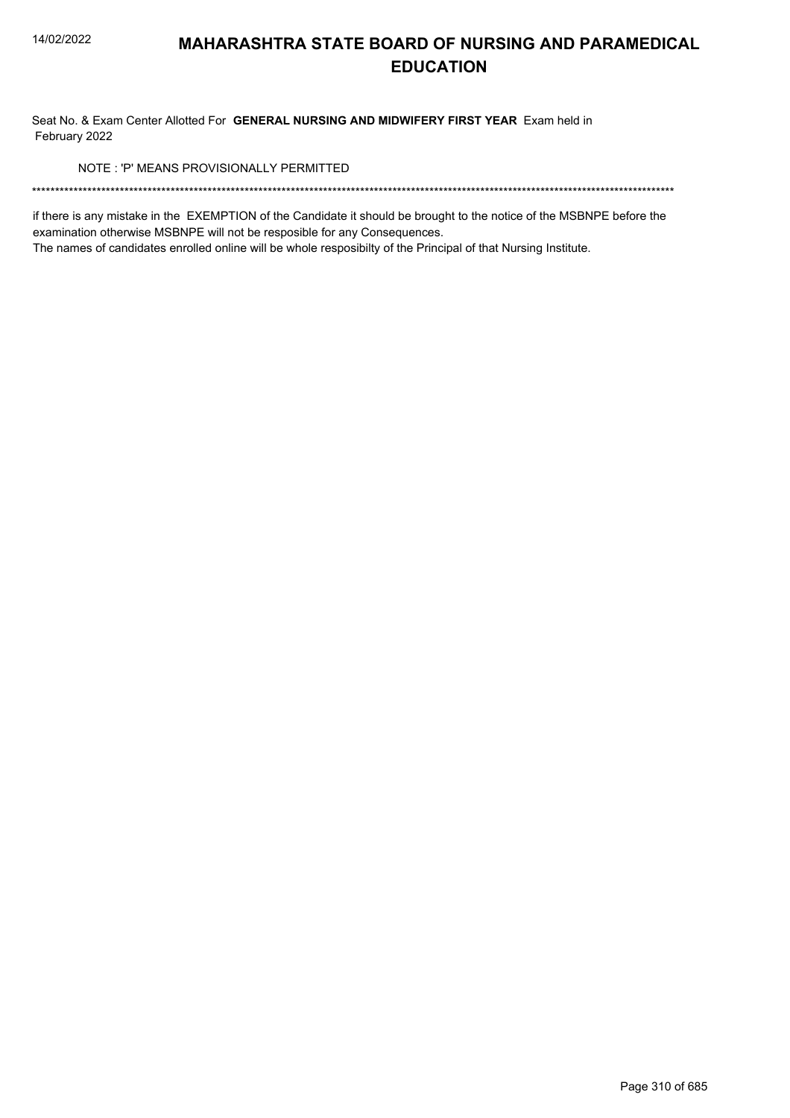Seat No. & Exam Center Allotted For GENERAL NURSING AND MIDWIFERY FIRST YEAR Exam held in February 2022

NOTE: 'P' MEANS PROVISIONALLY PERMITTED

if there is any mistake in the EXEMPTION of the Candidate it should be brought to the notice of the MSBNPE before the examination otherwise MSBNPE will not be resposible for any Consequences.

The names of candidates enrolled online will be whole resposibilty of the Principal of that Nursing Institute.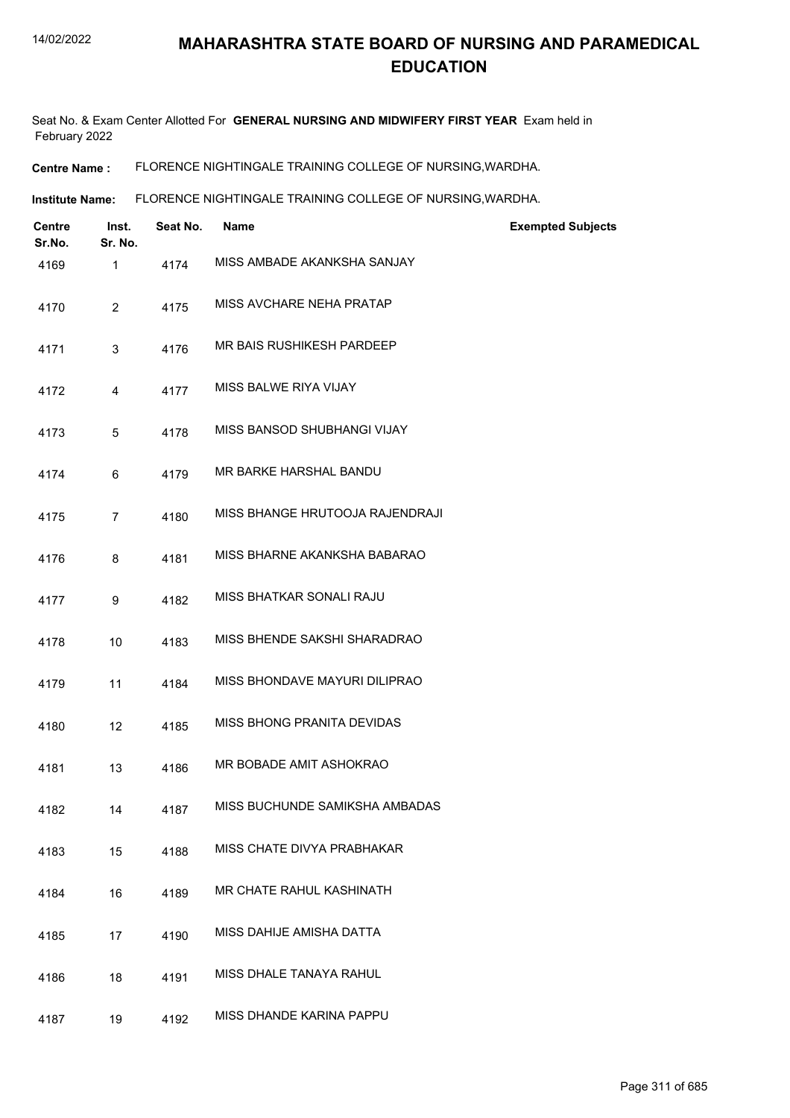Seat No. & Exam Center Allotted For **GENERAL NURSING AND MIDWIFERY FIRST YEAR** Exam held in February 2022

**Centre Name :** FLORENCE NIGHTINGALE TRAINING COLLEGE OF NURSING,WARDHA.

**Institute Name: FLORENCE NIGHTINGALE TRAINING COLLEGE OF NURSING, WARDHA.** 

| Centre<br>Sr.No. | Inst.<br>Sr. No. | Seat No. | <b>Name</b>                     | <b>Exempted Subjects</b> |
|------------------|------------------|----------|---------------------------------|--------------------------|
| 4169             | 1                | 4174     | MISS AMBADE AKANKSHA SANJAY     |                          |
| 4170             | $\overline{2}$   | 4175     | MISS AVCHARE NEHA PRATAP        |                          |
| 4171             | 3                | 4176     | MR BAIS RUSHIKESH PARDEEP       |                          |
| 4172             | 4                | 4177     | MISS BALWE RIYA VIJAY           |                          |
| 4173             | 5                | 4178     | MISS BANSOD SHUBHANGI VIJAY     |                          |
| 4174             | 6                | 4179     | MR BARKE HARSHAL BANDU          |                          |
| 4175             | $\overline{7}$   | 4180     | MISS BHANGE HRUTOOJA RAJENDRAJI |                          |
| 4176             | 8                | 4181     | MISS BHARNE AKANKSHA BABARAO    |                          |
| 4177             | 9                | 4182     | MISS BHATKAR SONALI RAJU        |                          |
| 4178             | 10               | 4183     | MISS BHENDE SAKSHI SHARADRAO    |                          |
| 4179             | 11               | 4184     | MISS BHONDAVE MAYURI DILIPRAO   |                          |
| 4180             | 12               | 4185     | MISS BHONG PRANITA DEVIDAS      |                          |
| 4181             | 13               | 4186     | MR BOBADE AMIT ASHOKRAO         |                          |
| 4182             | 14               | 4187     | MISS BUCHUNDE SAMIKSHA AMBADAS  |                          |
| 4183             | 15               | 4188     | MISS CHATE DIVYA PRABHAKAR      |                          |
| 4184             | 16               | 4189     | MR CHATE RAHUL KASHINATH        |                          |
| 4185             | 17               | 4190     | MISS DAHIJE AMISHA DATTA        |                          |
| 4186             | 18               | 4191     | MISS DHALE TANAYA RAHUL         |                          |
| 4187             | 19               | 4192     | MISS DHANDE KARINA PAPPU        |                          |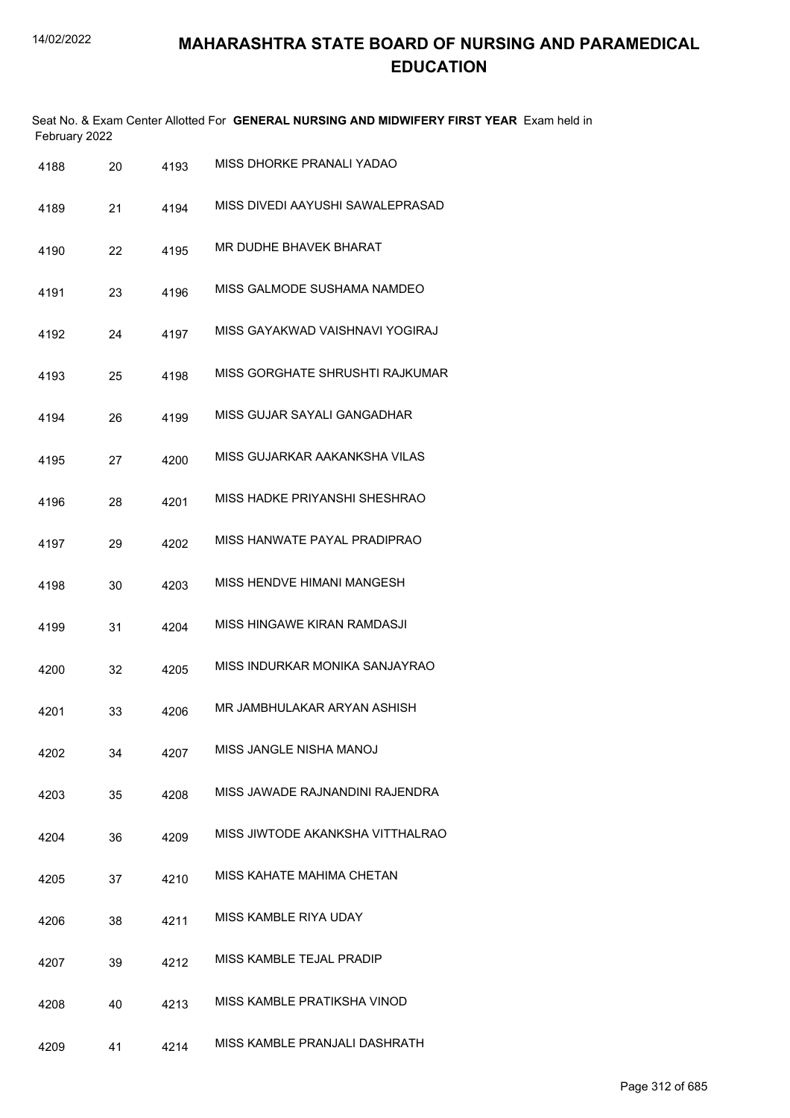| February 2022 |    |      | Seat No. & Exam Center Allotted For GENERAL NURSING AND MIDWIFERY FIRST YEAR Exam held in |
|---------------|----|------|-------------------------------------------------------------------------------------------|
| 4188          | 20 | 4193 | MISS DHORKE PRANALI YADAO                                                                 |
| 4189          | 21 | 4194 | MISS DIVEDI AAYUSHI SAWALEPRASAD                                                          |
| 4190          | 22 | 4195 | MR DUDHE BHAVEK BHARAT                                                                    |
| 4191          | 23 | 4196 | MISS GALMODE SUSHAMA NAMDEO                                                               |
| 4192          | 24 | 4197 | MISS GAYAKWAD VAISHNAVI YOGIRAJ                                                           |
| 4193          | 25 | 4198 | MISS GORGHATE SHRUSHTI RAJKUMAR                                                           |
| 4194          | 26 | 4199 | MISS GUJAR SAYALI GANGADHAR                                                               |
| 4195          | 27 | 4200 | MISS GUJARKAR AAKANKSHA VILAS                                                             |
| 4196          | 28 | 4201 | MISS HADKE PRIYANSHI SHESHRAO                                                             |
| 4197          | 29 | 4202 | MISS HANWATE PAYAL PRADIPRAO                                                              |
| 4198          | 30 | 4203 | MISS HENDVE HIMANI MANGESH                                                                |
| 4199          | 31 | 4204 | MISS HINGAWE KIRAN RAMDASJI                                                               |
| 4200          | 32 | 4205 | MISS INDURKAR MONIKA SANJAYRAO                                                            |
| 4201          | 33 | 4206 | MR JAMBHULAKAR ARYAN ASHISH                                                               |
| 4202          | 34 | 4207 | MISS JANGLE NISHA MANOJ                                                                   |
| 4203          | 35 | 4208 | MISS JAWADE RAJNANDINI RAJENDRA                                                           |
| 4204          | 36 | 4209 | MISS JIWTODE AKANKSHA VITTHALRAO                                                          |
| 4205          | 37 | 4210 | MISS KAHATE MAHIMA CHETAN                                                                 |
| 4206          | 38 | 4211 | MISS KAMBLE RIYA UDAY                                                                     |
| 4207          | 39 | 4212 | MISS KAMBLE TEJAL PRADIP                                                                  |
| 4208          | 40 | 4213 | MISS KAMBLE PRATIKSHA VINOD                                                               |
| 4209          | 41 | 4214 | MISS KAMBLE PRANJALI DASHRATH                                                             |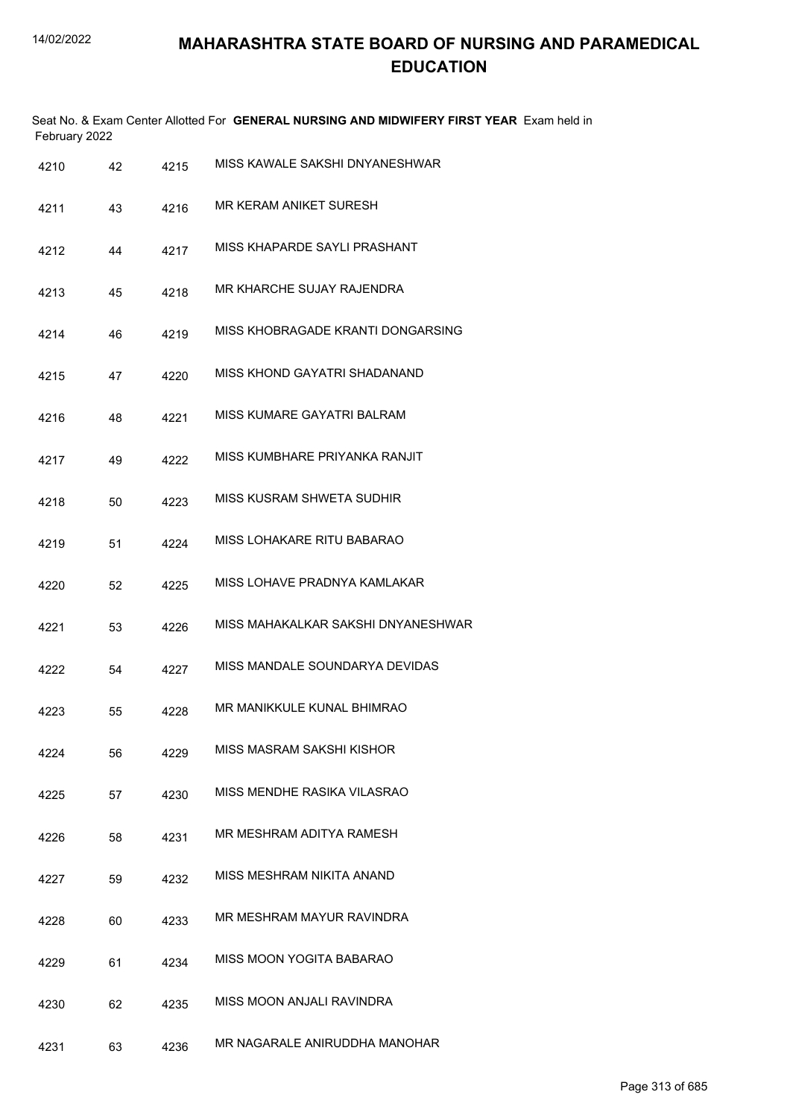|      | February 2022 |      | Seat No. & Exam Center Allotted For GENERAL NURSING AND MIDWIFERY FIRST YEAR Exam held in |
|------|---------------|------|-------------------------------------------------------------------------------------------|
| 4210 | 42            | 4215 | MISS KAWALE SAKSHI DNYANESHWAR                                                            |
| 4211 | 43            | 4216 | MR KERAM ANIKET SURESH                                                                    |
| 4212 | 44            | 4217 | MISS KHAPARDE SAYLI PRASHANT                                                              |
| 4213 | 45            | 4218 | MR KHARCHE SUJAY RAJENDRA                                                                 |
| 4214 | 46            | 4219 | MISS KHOBRAGADE KRANTI DONGARSING                                                         |
| 4215 | 47            | 4220 | MISS KHOND GAYATRI SHADANAND                                                              |
| 4216 | 48            | 4221 | MISS KUMARE GAYATRI BALRAM                                                                |
| 4217 | 49            | 4222 | MISS KUMBHARE PRIYANKA RANJIT                                                             |
| 4218 | 50            | 4223 | MISS KUSRAM SHWETA SUDHIR                                                                 |
| 4219 | 51            | 4224 | MISS LOHAKARE RITU BABARAO                                                                |
| 4220 | 52            | 4225 | MISS LOHAVE PRADNYA KAMLAKAR                                                              |
| 4221 | 53            | 4226 | MISS MAHAKALKAR SAKSHI DNYANESHWAR                                                        |
| 4222 | 54            | 4227 | MISS MANDALE SOUNDARYA DEVIDAS                                                            |
| 4223 | 55            | 4228 | MR MANIKKULE KUNAL BHIMRAO                                                                |
| 4224 | 56            | 4229 | MISS MASRAM SAKSHI KISHOR                                                                 |
| 4225 | 57            | 4230 | MISS MENDHE RASIKA VILASRAO                                                               |
| 4226 | 58            | 4231 | MR MESHRAM ADITYA RAMESH                                                                  |
| 4227 | 59            | 4232 | MISS MESHRAM NIKITA ANAND                                                                 |
| 4228 | 60            | 4233 | MR MESHRAM MAYUR RAVINDRA                                                                 |
| 4229 | 61            | 4234 | MISS MOON YOGITA BABARAO                                                                  |
| 4230 | 62            | 4235 | MISS MOON ANJALI RAVINDRA                                                                 |
| 4231 | 63            | 4236 | MR NAGARALE ANIRUDDHA MANOHAR                                                             |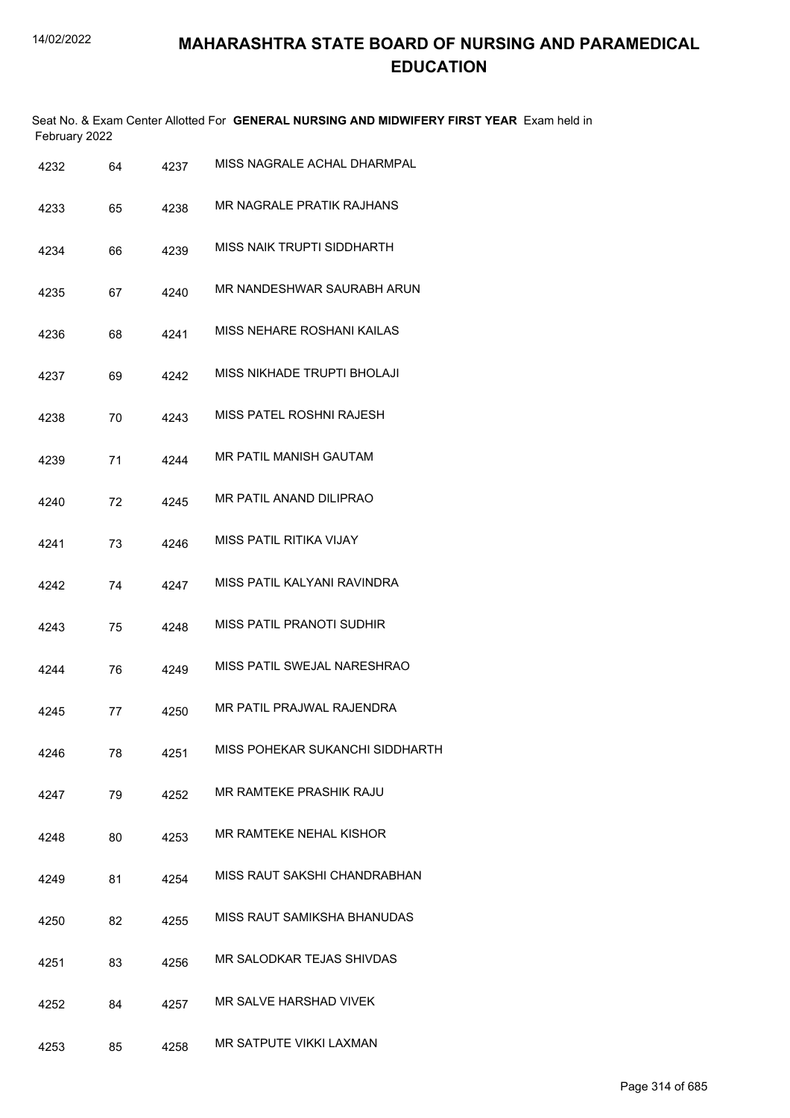|               | Seat No. & Exam Center Allotted For GENERAL NURSING AND MIDWIFERY FIRST YEAR Exam held in |  |
|---------------|-------------------------------------------------------------------------------------------|--|
| February 2022 |                                                                                           |  |

| 4232 | 64 | 4237 | MISS NAGRALE ACHAL DHARMPAL      |
|------|----|------|----------------------------------|
| 4233 | 65 | 4238 | <b>MR NAGRALE PRATIK RAJHANS</b> |
| 4234 | 66 | 4239 | MISS NAIK TRUPTI SIDDHARTH       |
| 4235 | 67 | 4240 | MR NANDESHWAR SAURABH ARUN       |
| 4236 | 68 | 4241 | MISS NEHARE ROSHANI KAILAS       |
| 4237 | 69 | 4242 | MISS NIKHADE TRUPTI BHOLAJI      |
| 4238 | 70 | 4243 | MISS PATEL ROSHNI RAJESH         |
| 4239 | 71 | 4244 | MR PATIL MANISH GAUTAM           |
| 4240 | 72 | 4245 | MR PATIL ANAND DILIPRAO          |
| 4241 | 73 | 4246 | MISS PATIL RITIKA VIJAY          |
| 4242 | 74 | 4247 | MISS PATIL KALYANI RAVINDRA      |
| 4243 | 75 | 4248 | <b>MISS PATIL PRANOTI SUDHIR</b> |
| 4244 | 76 | 4249 | MISS PATIL SWEJAL NARESHRAO      |
| 4245 | 77 | 4250 | MR PATIL PRAJWAL RAJENDRA        |
| 4246 | 78 | 4251 | MISS POHEKAR SUKANCHI SIDDHARTH  |
| 4247 | 79 | 4252 | MR RAMTEKE PRASHIK RAJU          |
| 4248 | 80 | 4253 | MR RAMTEKE NEHAL KISHOR          |
| 4249 | 81 | 4254 | MISS RAUT SAKSHI CHANDRABHAN     |
| 4250 | 82 | 4255 | MISS RAUT SAMIKSHA BHANUDAS      |
| 4251 | 83 | 4256 | MR SALODKAR TEJAS SHIVDAS        |
| 4252 | 84 | 4257 | MR SALVE HARSHAD VIVEK           |
| 4253 | 85 | 4258 | MR SATPUTE VIKKI LAXMAN          |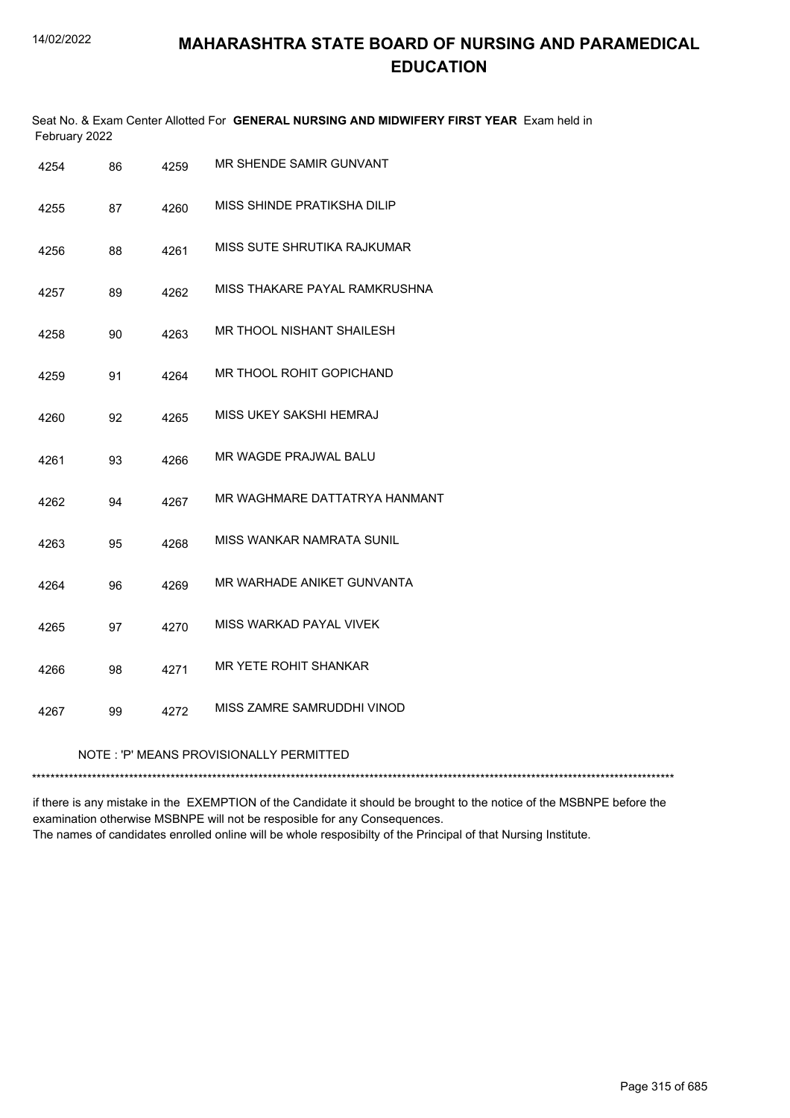|               | Seat No. & Exam Center Allotted For GENERAL NURSING AND MIDWIFERY FIRST YEAR Exam held in |  |
|---------------|-------------------------------------------------------------------------------------------|--|
| February 2022 |                                                                                           |  |

| 4254 | 86 | 4259 | MR SHENDE SAMIR GUNVANT                 |
|------|----|------|-----------------------------------------|
| 4255 | 87 | 4260 | MISS SHINDE PRATIKSHA DILIP             |
| 4256 | 88 | 4261 | MISS SUTE SHRUTIKA RAJKUMAR             |
| 4257 | 89 | 4262 | MISS THAKARE PAYAL RAMKRUSHNA           |
| 4258 | 90 | 4263 | MR THOOL NISHANT SHAILESH               |
| 4259 | 91 | 4264 | MR THOOL ROHIT GOPICHAND                |
| 4260 | 92 | 4265 | MISS UKEY SAKSHI HEMRAJ                 |
| 4261 | 93 | 4266 | MR WAGDE PRAJWAL BALU                   |
| 4262 | 94 | 4267 | MR WAGHMARE DATTATRYA HANMANT           |
| 4263 | 95 | 4268 | MISS WANKAR NAMRATA SUNIL               |
| 4264 | 96 | 4269 | MR WARHADE ANIKET GUNVANTA              |
| 4265 | 97 | 4270 | MISS WARKAD PAYAL VIVEK                 |
| 4266 | 98 | 4271 | MR YETE ROHIT SHANKAR                   |
| 4267 | 99 | 4272 | MISS ZAMRE SAMRUDDHI VINOD              |
|      |    |      | NOTE: 'P' MEANS PROVISIONALLY PERMITTED |
|      |    |      |                                         |

if there is any mistake in the EXEMPTION of the Candidate it should be brought to the notice of the MSBNPE before the examination otherwise MSBNPE will not be resposible for any Consequences. The names of candidates enrolled online will be whole resposibilty of the Principal of that Nursing Institute.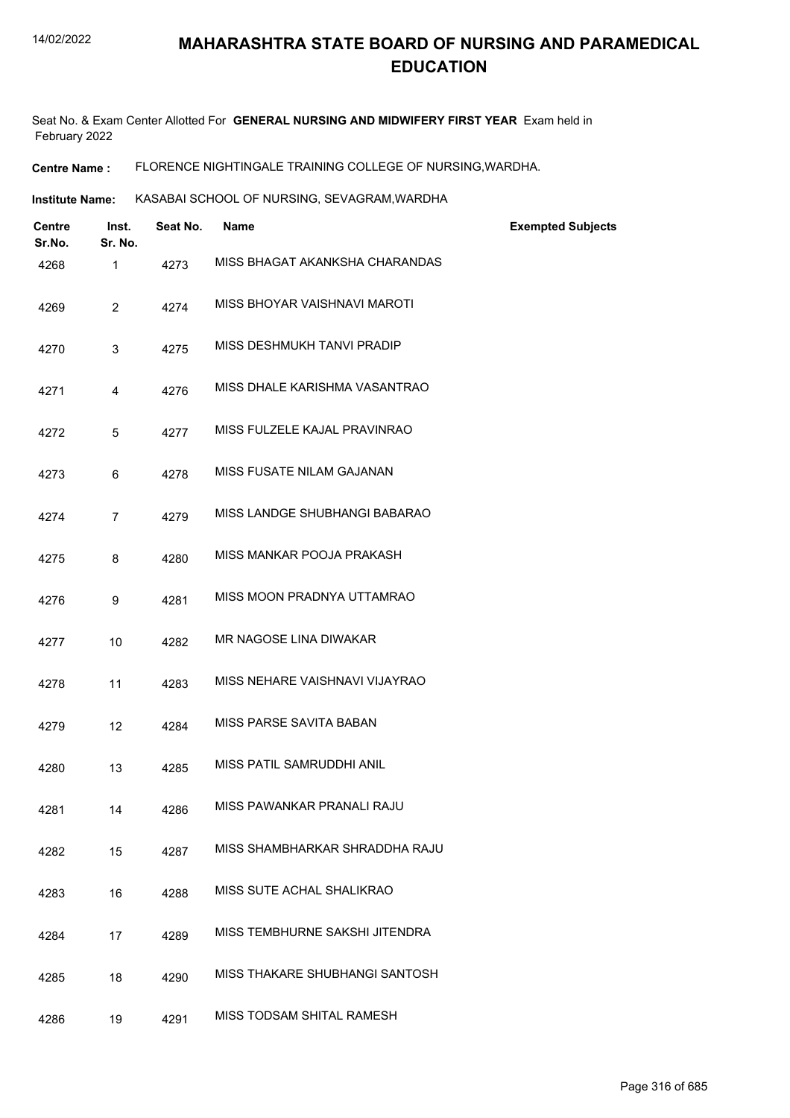Seat No. & Exam Center Allotted For **GENERAL NURSING AND MIDWIFERY FIRST YEAR** Exam held in February 2022

**Centre Name :** FLORENCE NIGHTINGALE TRAINING COLLEGE OF NURSING,WARDHA.

**Institute Name: KASABAI SCHOOL OF NURSING, SEVAGRAM,WARDHA** 

| <b>Centre</b><br>Sr.No. | Inst.<br>Sr. No. | Seat No. | <b>Name</b>                    | <b>Exempted Subjects</b> |
|-------------------------|------------------|----------|--------------------------------|--------------------------|
| 4268                    | 1                | 4273     | MISS BHAGAT AKANKSHA CHARANDAS |                          |
| 4269                    | $\overline{2}$   | 4274     | MISS BHOYAR VAISHNAVI MAROTI   |                          |
| 4270                    | 3                | 4275     | MISS DESHMUKH TANVI PRADIP     |                          |
| 4271                    | 4                | 4276     | MISS DHALE KARISHMA VASANTRAO  |                          |
| 4272                    | 5                | 4277     | MISS FULZELE KAJAL PRAVINRAO   |                          |
| 4273                    | 6                | 4278     | MISS FUSATE NILAM GAJANAN      |                          |
| 4274                    | $\overline{7}$   | 4279     | MISS LANDGE SHUBHANGI BABARAO  |                          |
| 4275                    | 8                | 4280     | MISS MANKAR POOJA PRAKASH      |                          |
| 4276                    | 9                | 4281     | MISS MOON PRADNYA UTTAMRAO     |                          |
| 4277                    | 10               | 4282     | MR NAGOSE LINA DIWAKAR         |                          |
| 4278                    | 11               | 4283     | MISS NEHARE VAISHNAVI VIJAYRAO |                          |
| 4279                    | 12               | 4284     | MISS PARSE SAVITA BABAN        |                          |
| 4280                    | 13               | 4285     | MISS PATIL SAMRUDDHI ANIL      |                          |
| 4281                    | 14               | 4286     | MISS PAWANKAR PRANALI RAJU     |                          |
| 4282                    | 15               | 4287     | MISS SHAMBHARKAR SHRADDHA RAJU |                          |
| 4283                    | 16               | 4288     | MISS SUTE ACHAL SHALIKRAO      |                          |
| 4284                    | 17               | 4289     | MISS TEMBHURNE SAKSHI JITENDRA |                          |
| 4285                    | 18               | 4290     | MISS THAKARE SHUBHANGI SANTOSH |                          |
| 4286                    | 19               | 4291     | MISS TODSAM SHITAL RAMESH      |                          |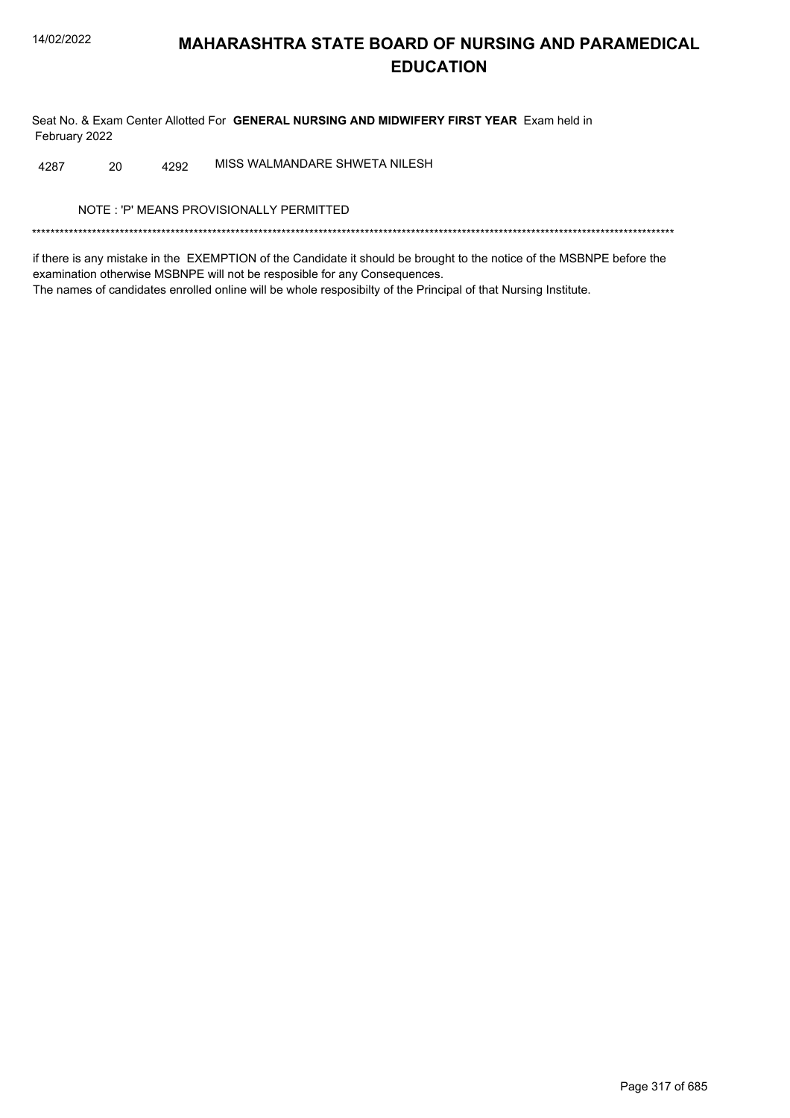Seat No. & Exam Center Allotted For GENERAL NURSING AND MIDWIFERY FIRST YEAR Exam held in February 2022

MISS WALMANDARE SHWETA NILESH 4287 20 4292

NOTE: 'P' MEANS PROVISIONALLY PERMITTED

if there is any mistake in the EXEMPTION of the Candidate it should be brought to the notice of the MSBNPE before the examination otherwise MSBNPE will not be resposible for any Consequences. The names of candidates enrolled online will be whole resposibilty of the Principal of that Nursing Institute.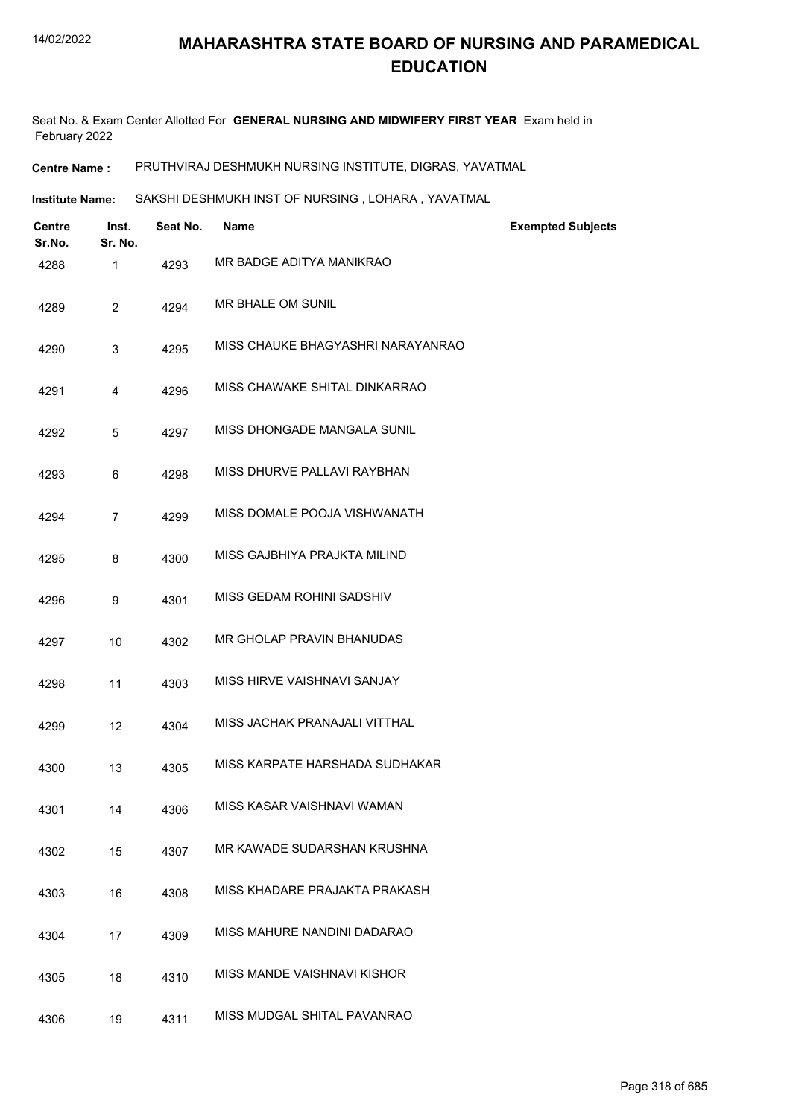Seat No. & Exam Center Allotted For **GENERAL NURSING AND MIDWIFERY FIRST YEAR** Exam held in February 2022

**Centre Name :** PRUTHVIRAJ DESHMUKH NURSING INSTITUTE, DIGRAS, YAVATMAL

**Institute Name:** SAKSHI DESHMUKH INST OF NURSING , LOHARA , YAVATMAL

| <b>Centre</b><br>Sr.No. | Inst.<br>Sr. No. | Seat No. | <b>Name</b>                        | <b>Exempted Subjects</b> |
|-------------------------|------------------|----------|------------------------------------|--------------------------|
| 4288                    | 1                | 4293     | MR BADGE ADITYA MANIKRAO           |                          |
| 4289                    | $\overline{2}$   | 4294     | MR BHALE OM SUNIL                  |                          |
| 4290                    | 3                | 4295     | MISS CHAUKE BHAGYASHRI NARAYANRAO  |                          |
| 4291                    | 4                | 4296     | MISS CHAWAKE SHITAL DINKARRAO      |                          |
| 4292                    | 5                | 4297     | MISS DHONGADE MANGALA SUNIL        |                          |
| 4293                    | 6                | 4298     | MISS DHURVE PALLAVI RAYBHAN        |                          |
| 4294                    | $\overline{7}$   | 4299     | MISS DOMALE POOJA VISHWANATH       |                          |
| 4295                    | 8                | 4300     | MISS GAJBHIYA PRAJKTA MILIND       |                          |
| 4296                    | 9                | 4301     | <b>MISS GEDAM ROHINI SADSHIV</b>   |                          |
| 4297                    | 10               | 4302     | MR GHOLAP PRAVIN BHANUDAS          |                          |
| 4298                    | 11               | 4303     | MISS HIRVE VAISHNAVI SANJAY        |                          |
| 4299                    | 12               | 4304     | MISS JACHAK PRANAJALI VITTHAL      |                          |
| 4300                    | 13               | 4305     | MISS KARPATE HARSHADA SUDHAKAR     |                          |
| 4301                    | 14               | 4306     | MISS KASAR VAISHNAVI WAMAN         |                          |
| 4302                    | 15               | 4307     | MR KAWADE SUDARSHAN KRUSHNA        |                          |
| 4303                    | 16               | 4308     | MISS KHADARE PRAJAKTA PRAKASH      |                          |
| 4304                    | 17               | 4309     | MISS MAHURE NANDINI DADARAO        |                          |
| 4305                    | 18               | 4310     | <b>MISS MANDE VAISHNAVI KISHOR</b> |                          |
| 4306                    | 19               | 4311     | MISS MUDGAL SHITAL PAVANRAO        |                          |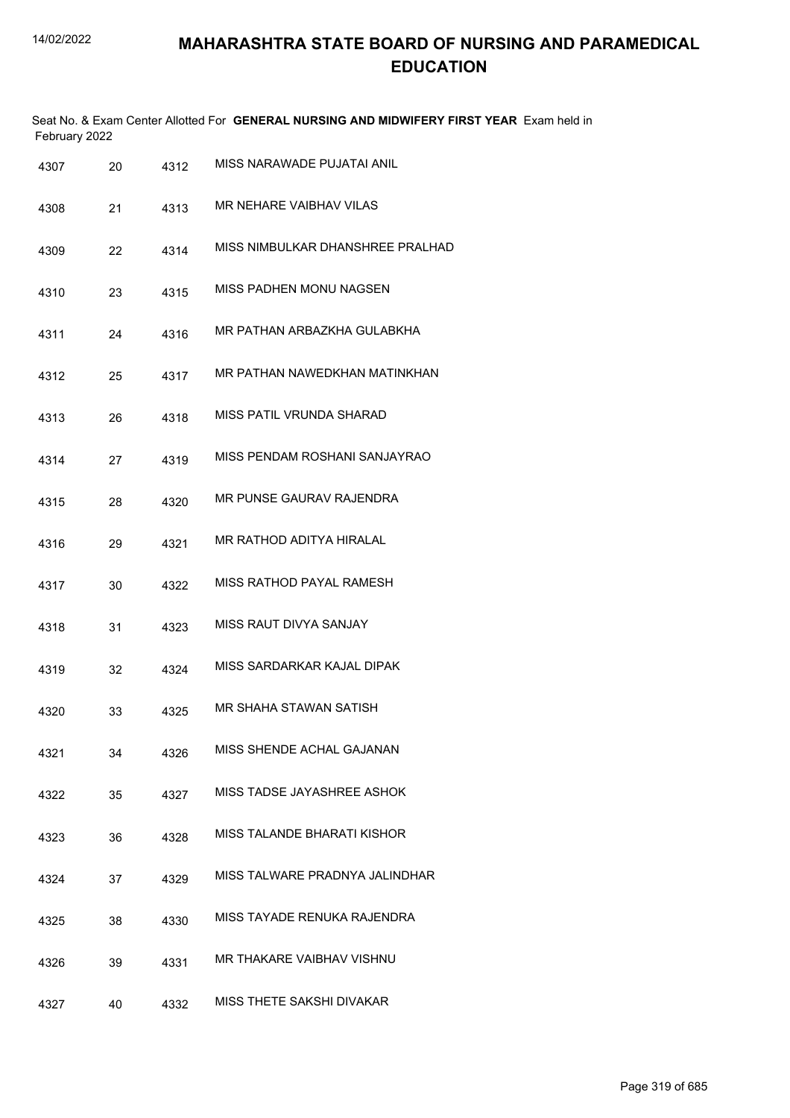| February 2022 |    |      | Seat No. & Exam Center Allotted For GENERAL NURSING AND MIDWIFERY FIRST YEAR Exam held in |
|---------------|----|------|-------------------------------------------------------------------------------------------|
| 4307          | 20 | 4312 | MISS NARAWADE PUJATAI ANIL                                                                |
| 4308          | 21 | 4313 | MR NEHARE VAIBHAV VILAS                                                                   |
| 4309          | 22 | 4314 | MISS NIMBULKAR DHANSHREE PRALHAD                                                          |
| 4310          | 23 | 4315 | MISS PADHEN MONU NAGSEN                                                                   |
| 4311          | 24 | 4316 | MR PATHAN ARBAZKHA GULABKHA                                                               |
| 4312          | 25 | 4317 | MR PATHAN NAWEDKHAN MATINKHAN                                                             |
| 4313          | 26 | 4318 | MISS PATIL VRUNDA SHARAD                                                                  |
| 4314          | 27 | 4319 | MISS PENDAM ROSHANI SANJAYRAO                                                             |
| 4315          | 28 | 4320 | MR PUNSE GAURAV RAJENDRA                                                                  |
| 4316          | 29 | 4321 | MR RATHOD ADITYA HIRALAL                                                                  |
| 4317          | 30 | 4322 | MISS RATHOD PAYAL RAMESH                                                                  |
| 4318          | 31 | 4323 | MISS RAUT DIVYA SANJAY                                                                    |
| 4319          | 32 | 4324 | MISS SARDARKAR KAJAL DIPAK                                                                |
| 4320          | 33 | 4325 | MR SHAHA STAWAN SATISH                                                                    |
| 4321          | 34 | 4326 | MISS SHENDE ACHAL GAJANAN                                                                 |
| 4322          | 35 | 4327 | MISS TADSE JAYASHREE ASHOK                                                                |
| 4323          | 36 | 4328 | MISS TALANDE BHARATI KISHOR                                                               |
| 4324          | 37 | 4329 | MISS TALWARE PRADNYA JALINDHAR                                                            |
| 4325          | 38 | 4330 | MISS TAYADE RENUKA RAJENDRA                                                               |
| 4326          | 39 | 4331 | MR THAKARE VAIBHAV VISHNU                                                                 |
| 4327          | 40 | 4332 | MISS THETE SAKSHI DIVAKAR                                                                 |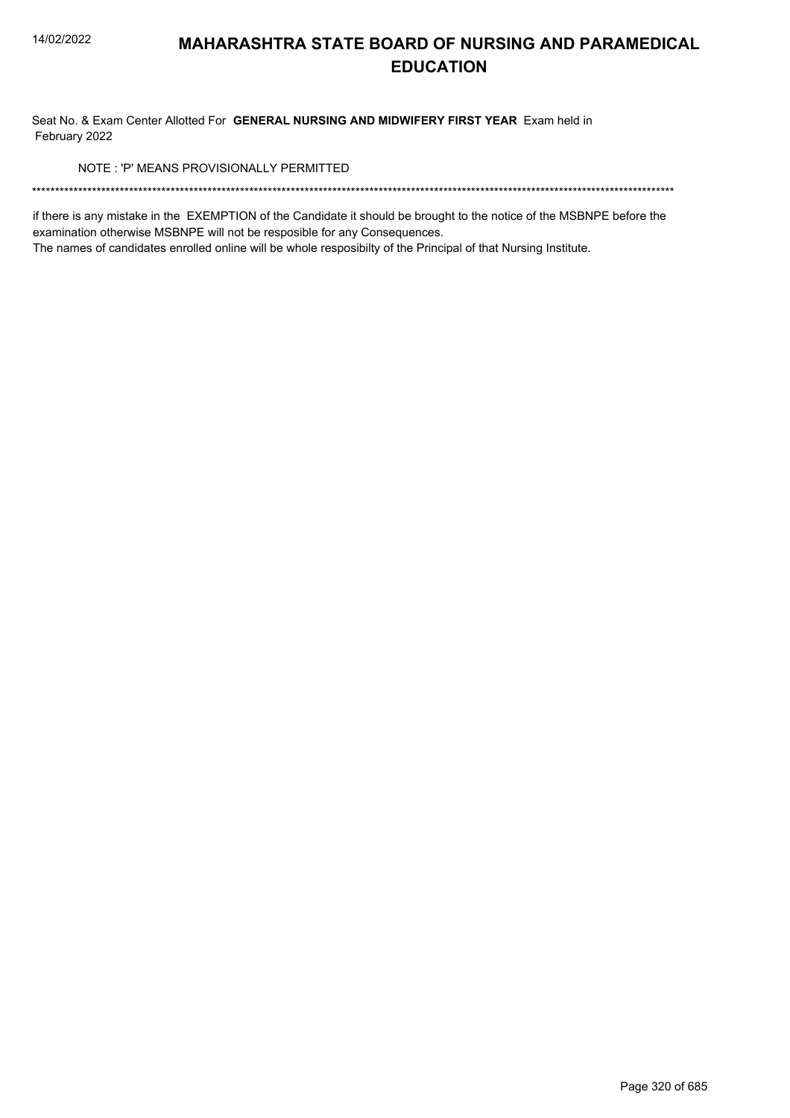Seat No. & Exam Center Allotted For GENERAL NURSING AND MIDWIFERY FIRST YEAR Exam held in February 2022

NOTE: 'P' MEANS PROVISIONALLY PERMITTED

if there is any mistake in the EXEMPTION of the Candidate it should be brought to the notice of the MSBNPE before the examination otherwise MSBNPE will not be resposible for any Consequences.

The names of candidates enrolled online will be whole resposibilty of the Principal of that Nursing Institute.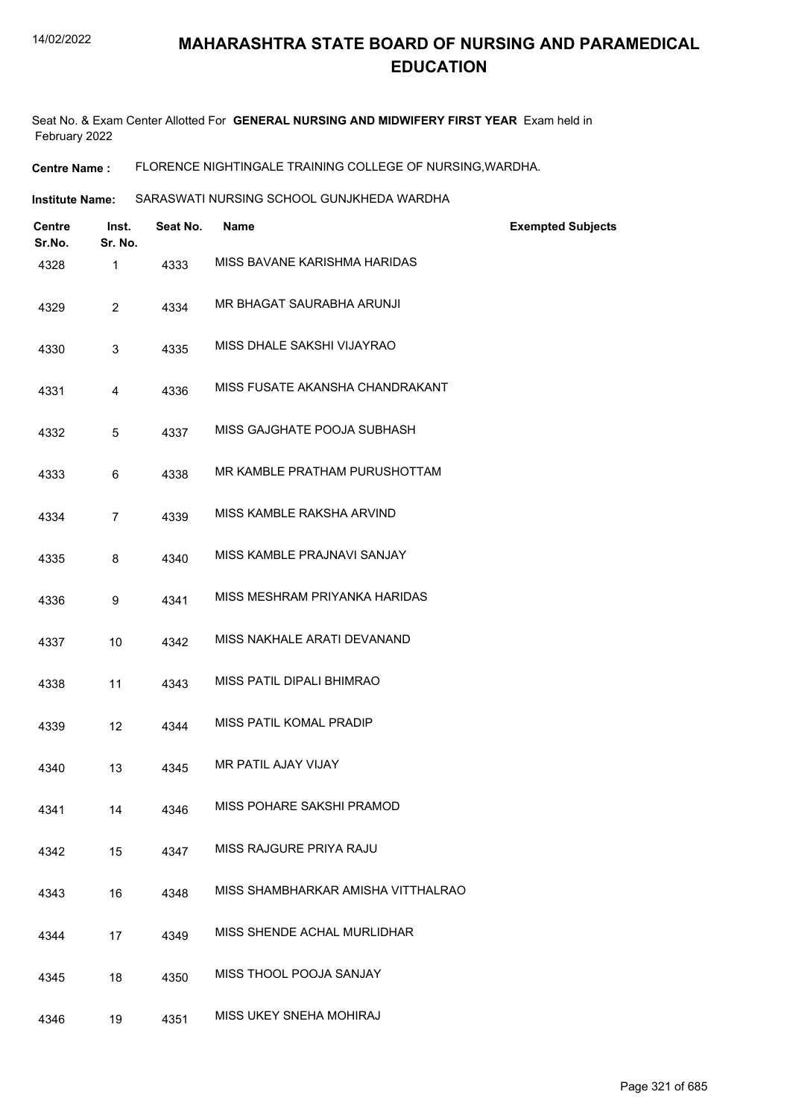Seat No. & Exam Center Allotted For **GENERAL NURSING AND MIDWIFERY FIRST YEAR** Exam held in February 2022

**Centre Name :** FLORENCE NIGHTINGALE TRAINING COLLEGE OF NURSING,WARDHA.

**Institute Name:** SARASWATI NURSING SCHOOL GUNJKHEDA WARDHA

| <b>Centre</b><br>Sr.No. | Inst.<br>Sr. No. | Seat No. | <b>Name</b>                        | <b>Exempted Subjects</b> |
|-------------------------|------------------|----------|------------------------------------|--------------------------|
| 4328                    | 1                | 4333     | MISS BAVANE KARISHMA HARIDAS       |                          |
| 4329                    | $\overline{2}$   | 4334     | MR BHAGAT SAURABHA ARUNJI          |                          |
| 4330                    | 3                | 4335     | MISS DHALE SAKSHI VIJAYRAO         |                          |
| 4331                    | 4                | 4336     | MISS FUSATE AKANSHA CHANDRAKANT    |                          |
| 4332                    | 5                | 4337     | MISS GAJGHATE POOJA SUBHASH        |                          |
| 4333                    | 6                | 4338     | MR KAMBLE PRATHAM PURUSHOTTAM      |                          |
| 4334                    | $\overline{7}$   | 4339     | MISS KAMBLE RAKSHA ARVIND          |                          |
| 4335                    | 8                | 4340     | MISS KAMBLE PRAJNAVI SANJAY        |                          |
| 4336                    | 9                | 4341     | MISS MESHRAM PRIYANKA HARIDAS      |                          |
| 4337                    | 10               | 4342     | MISS NAKHALE ARATI DEVANAND        |                          |
| 4338                    | 11               | 4343     | MISS PATIL DIPALI BHIMRAO          |                          |
| 4339                    | 12               | 4344     | MISS PATIL KOMAL PRADIP            |                          |
| 4340                    | 13               | 4345     | MR PATIL AJAY VIJAY                |                          |
| 4341                    | 14               | 4346     | MISS POHARE SAKSHI PRAMOD          |                          |
| 4342                    | 15               | 4347     | MISS RAJGURE PRIYA RAJU            |                          |
| 4343                    | 16               | 4348     | MISS SHAMBHARKAR AMISHA VITTHALRAO |                          |
| 4344                    | 17               | 4349     | MISS SHENDE ACHAL MURLIDHAR        |                          |
| 4345                    | 18               | 4350     | MISS THOOL POOJA SANJAY            |                          |
| 4346                    | 19               | 4351     | MISS UKEY SNEHA MOHIRAJ            |                          |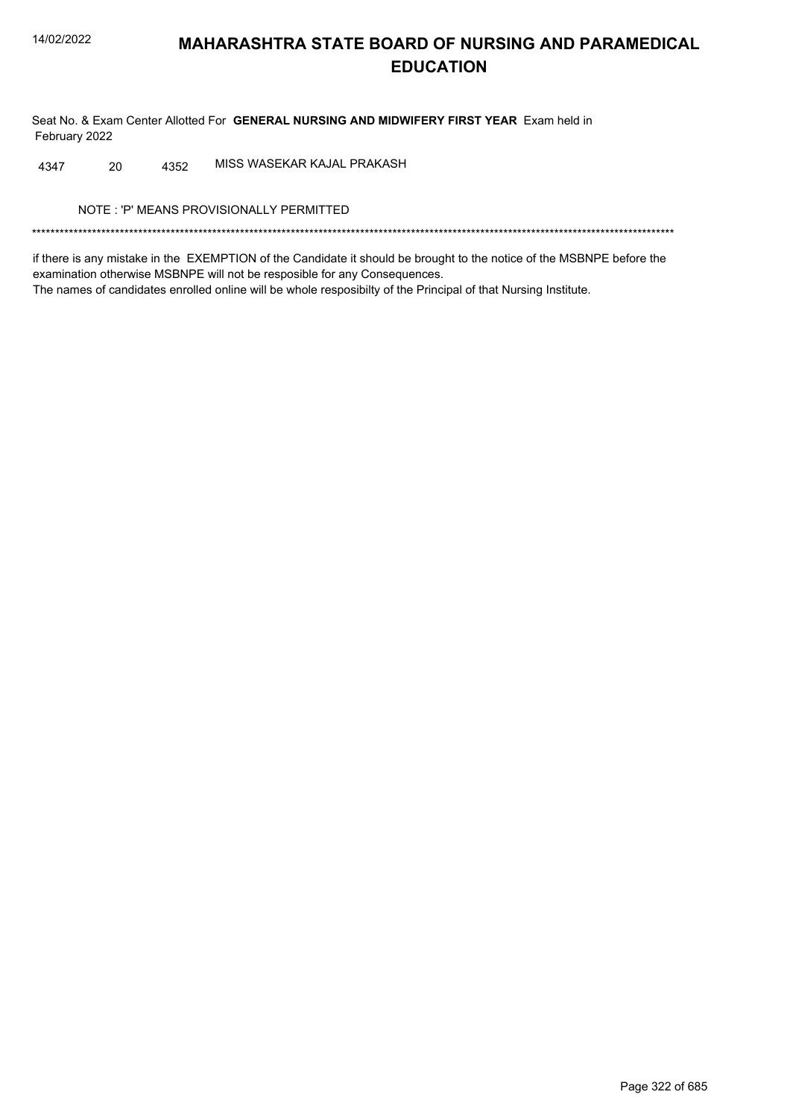Seat No. & Exam Center Allotted For GENERAL NURSING AND MIDWIFERY FIRST YEAR Exam held in February 2022

MISS WASEKAR KAJAL PRAKASH 4347 20 4352

NOTE: 'P' MEANS PROVISIONALLY PERMITTED

if there is any mistake in the EXEMPTION of the Candidate it should be brought to the notice of the MSBNPE before the examination otherwise MSBNPE will not be resposible for any Consequences. The names of candidates enrolled online will be whole resposibilty of the Principal of that Nursing Institute.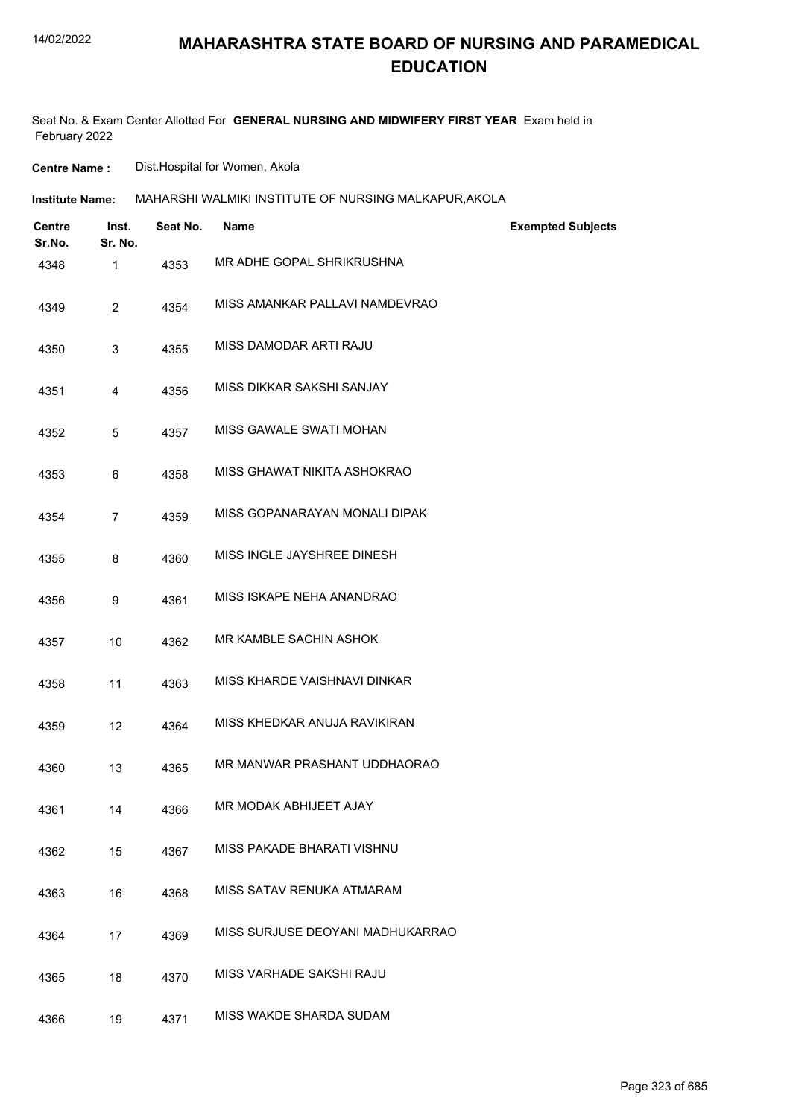#### 14/02/2022

# **MAHARASHTRA STATE BOARD OF NURSING AND PARAMEDICAL EDUCATION**

Seat No. & Exam Center Allotted For **GENERAL NURSING AND MIDWIFERY FIRST YEAR** Exam held in February 2022

**Centre Name :** Dist.Hospital for Women, Akola

| <b>Centre</b><br>Sr.No. | Inst.<br>Sr. No. | Seat No. | <b>Name</b>                      | <b>Exempted Subjects</b> |
|-------------------------|------------------|----------|----------------------------------|--------------------------|
| 4348                    | 1                | 4353     | MR ADHE GOPAL SHRIKRUSHNA        |                          |
| 4349                    | $\overline{2}$   | 4354     | MISS AMANKAR PALLAVI NAMDEVRAO   |                          |
| 4350                    | 3                | 4355     | MISS DAMODAR ARTI RAJU           |                          |
| 4351                    | 4                | 4356     | MISS DIKKAR SAKSHI SANJAY        |                          |
| 4352                    | 5                | 4357     | MISS GAWALE SWATI MOHAN          |                          |
| 4353                    | 6                | 4358     | MISS GHAWAT NIKITA ASHOKRAO      |                          |
| 4354                    | $\overline{7}$   | 4359     | MISS GOPANARAYAN MONALI DIPAK    |                          |
| 4355                    | 8                | 4360     | MISS INGLE JAYSHREE DINESH       |                          |
| 4356                    | 9                | 4361     | MISS ISKAPE NEHA ANANDRAO        |                          |
| 4357                    | 10               | 4362     | MR KAMBLE SACHIN ASHOK           |                          |
| 4358                    | 11               | 4363     | MISS KHARDE VAISHNAVI DINKAR     |                          |
| 4359                    | 12               | 4364     | MISS KHEDKAR ANUJA RAVIKIRAN     |                          |
| 4360                    | 13               | 4365     | MR MANWAR PRASHANT UDDHAORAO     |                          |
| 4361                    | 14               | 4366     | MR MODAK ABHIJEET AJAY           |                          |
| 4362                    | 15               | 4367     | MISS PAKADE BHARATI VISHNU       |                          |
| 4363                    | 16               | 4368     | MISS SATAV RENUKA ATMARAM        |                          |
| 4364                    | 17               | 4369     | MISS SURJUSE DEOYANI MADHUKARRAO |                          |
| 4365                    | 18               | 4370     | MISS VARHADE SAKSHI RAJU         |                          |
| 4366                    | 19               | 4371     | MISS WAKDE SHARDA SUDAM          |                          |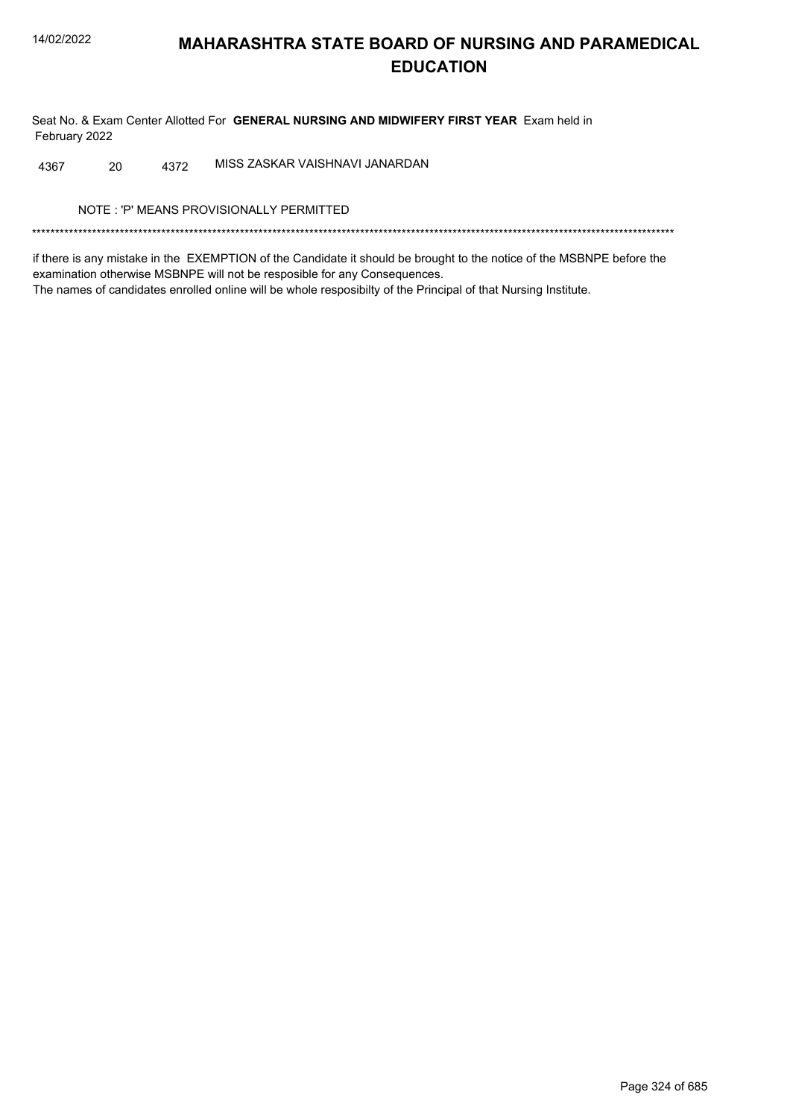Seat No. & Exam Center Allotted For GENERAL NURSING AND MIDWIFERY FIRST YEAR Exam held in February 2022

MISS ZASKAR VAISHNAVI JANARDAN 4367 20 4372

NOTE: 'P' MEANS PROVISIONALLY PERMITTED

if there is any mistake in the EXEMPTION of the Candidate it should be brought to the notice of the MSBNPE before the examination otherwise MSBNPE will not be resposible for any Consequences. The names of candidates enrolled online will be whole resposibilty of the Principal of that Nursing Institute.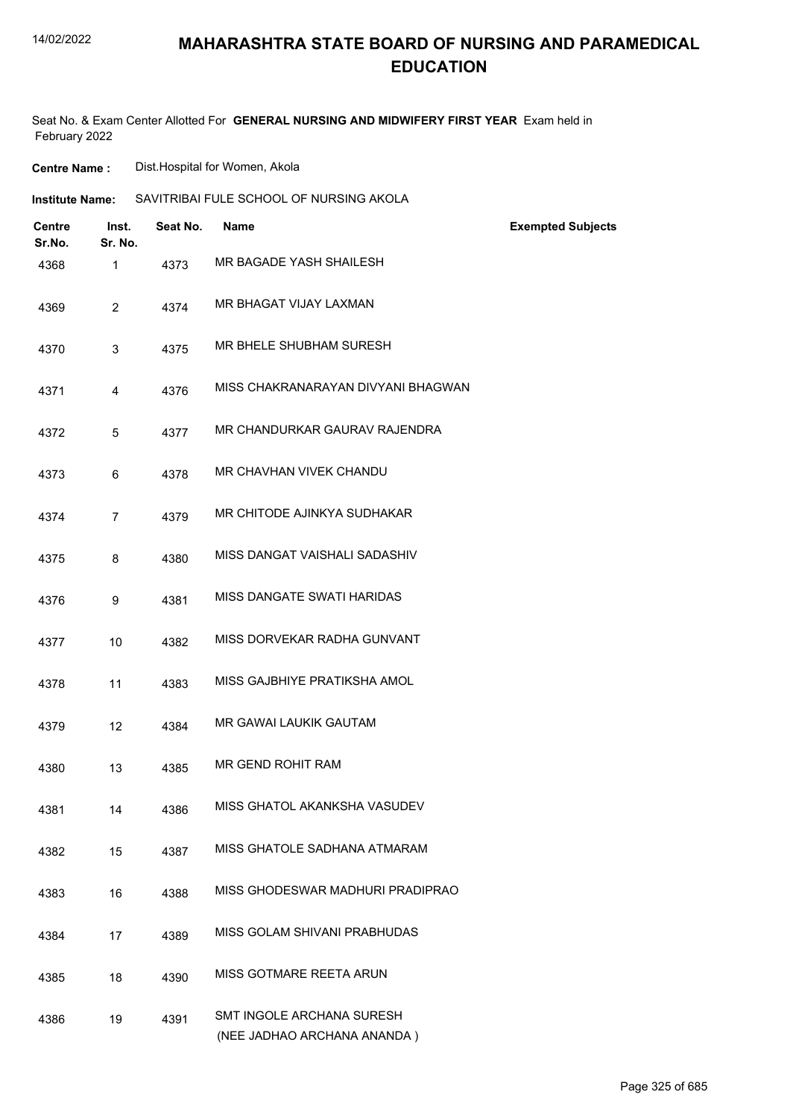## **MAHARASHTRA STATE BOARD OF NURSING AND PARAMEDICAL EDUCATION**

Seat No. & Exam Center Allotted For **GENERAL NURSING AND MIDWIFERY FIRST YEAR** Exam held in February 2022

**Centre Name :** Dist.Hospital for Women, Akola

| <b>Institute Name:</b> | SAVITRIBAI FULE SCHOOL OF NURSING AKOLA |
|------------------------|-----------------------------------------|
|------------------------|-----------------------------------------|

| Centre<br>Sr.No. | Inst.<br>Sr. No. | Seat No. | <b>Name</b>                                              | <b>Exempted Subjects</b> |
|------------------|------------------|----------|----------------------------------------------------------|--------------------------|
| 4368             | $\mathbf{1}$     | 4373     | MR BAGADE YASH SHAILESH                                  |                          |
| 4369             | $\overline{2}$   | 4374     | MR BHAGAT VIJAY LAXMAN                                   |                          |
| 4370             | 3                | 4375     | MR BHELE SHUBHAM SURESH                                  |                          |
| 4371             | 4                | 4376     | MISS CHAKRANARAYAN DIVYANI BHAGWAN                       |                          |
| 4372             | 5                | 4377     | MR CHANDURKAR GAURAV RAJENDRA                            |                          |
| 4373             | 6                | 4378     | MR CHAVHAN VIVEK CHANDU                                  |                          |
| 4374             | $\overline{7}$   | 4379     | MR CHITODE AJINKYA SUDHAKAR                              |                          |
| 4375             | 8                | 4380     | MISS DANGAT VAISHALI SADASHIV                            |                          |
| 4376             | 9                | 4381     | MISS DANGATE SWATI HARIDAS                               |                          |
| 4377             | 10               | 4382     | MISS DORVEKAR RADHA GUNVANT                              |                          |
| 4378             | 11               | 4383     | MISS GAJBHIYE PRATIKSHA AMOL                             |                          |
| 4379             | 12               | 4384     | <b>MR GAWAI LAUKIK GAUTAM</b>                            |                          |
| 4380             | 13               | 4385     | MR GEND ROHIT RAM                                        |                          |
| 4381             | 14               | 4386     | MISS GHATOL AKANKSHA VASUDEV                             |                          |
| 4382             | 15               | 4387     | MISS GHATOLE SADHANA ATMARAM                             |                          |
| 4383             | 16               | 4388     | MISS GHODESWAR MADHURI PRADIPRAO                         |                          |
| 4384             | 17               | 4389     | MISS GOLAM SHIVANI PRABHUDAS                             |                          |
| 4385             | 18               | 4390     | MISS GOTMARE REETA ARUN                                  |                          |
| 4386             | 19               | 4391     | SMT INGOLE ARCHANA SURESH<br>(NEE JADHAO ARCHANA ANANDA) |                          |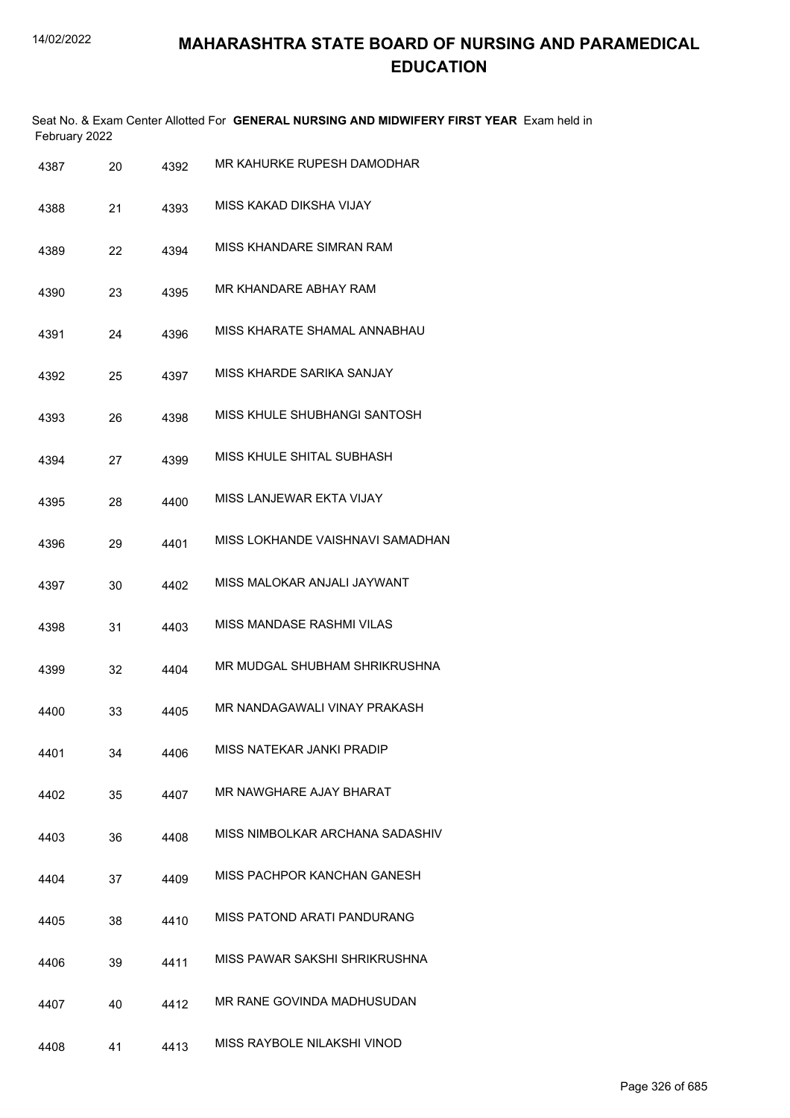|               | Seat No. & Exam Center Allotted For GENERAL NURSING AND MIDWIFERY FIRST YEAR Exam held in |  |
|---------------|-------------------------------------------------------------------------------------------|--|
| February 2022 |                                                                                           |  |

| 4387 | 20 | 4392 | MR KAHURKE RUPESH DAMODHAR       |
|------|----|------|----------------------------------|
| 4388 | 21 | 4393 | MISS KAKAD DIKSHA VIJAY          |
| 4389 | 22 | 4394 | <b>MISS KHANDARE SIMRAN RAM</b>  |
| 4390 | 23 | 4395 | MR KHANDARE ABHAY RAM            |
| 4391 | 24 | 4396 | MISS KHARATE SHAMAL ANNABHAU     |
| 4392 | 25 | 4397 | MISS KHARDE SARIKA SANJAY        |
| 4393 | 26 | 4398 | MISS KHULE SHUBHANGI SANTOSH     |
| 4394 | 27 | 4399 | MISS KHULE SHITAL SUBHASH        |
| 4395 | 28 | 4400 | MISS LANJEWAR EKTA VIJAY         |
| 4396 | 29 | 4401 | MISS LOKHANDE VAISHNAVI SAMADHAN |
| 4397 | 30 | 4402 | MISS MALOKAR ANJALI JAYWANT      |
| 4398 | 31 | 4403 | MISS MANDASE RASHMI VILAS        |
| 4399 | 32 | 4404 | MR MUDGAL SHUBHAM SHRIKRUSHNA    |
| 4400 | 33 | 4405 | MR NANDAGAWALI VINAY PRAKASH     |
| 4401 | 34 | 4406 | MISS NATEKAR JANKI PRADIP        |
| 4402 | 35 | 4407 | MR NAWGHARE AJAY BHARAT          |
| 4403 | 36 | 4408 | MISS NIMBOLKAR ARCHANA SADASHIV  |
| 4404 | 37 | 4409 | MISS PACHPOR KANCHAN GANESH      |
| 4405 | 38 | 4410 | MISS PATOND ARATI PANDURANG      |
| 4406 | 39 | 4411 | MISS PAWAR SAKSHI SHRIKRUSHNA    |
| 4407 | 40 | 4412 | MR RANE GOVINDA MADHUSUDAN       |
| 4408 | 41 | 4413 | MISS RAYBOLE NILAKSHI VINOD      |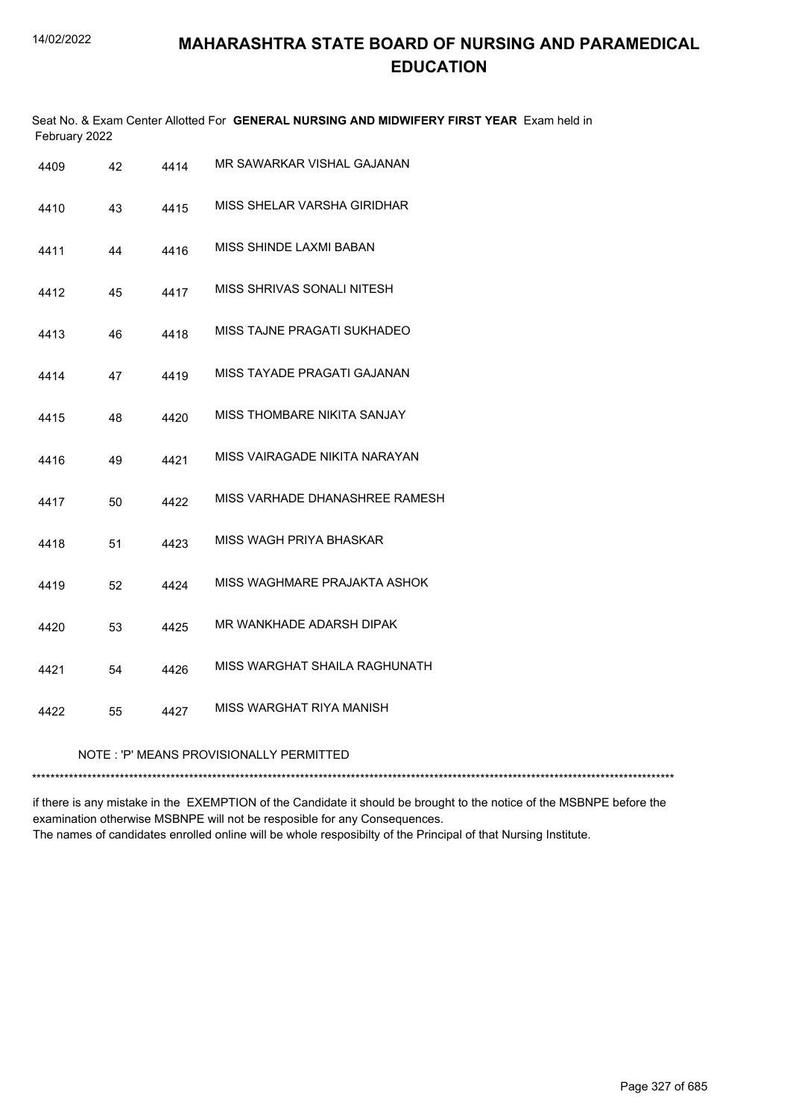|                                                             | February 2022 |      | Seat No. & Exam Center Allotted For GENERAL NURSING AND MIDWIFERY FIRST YEAR Exam held in |  |
|-------------------------------------------------------------|---------------|------|-------------------------------------------------------------------------------------------|--|
| 4409                                                        | 42            | 4414 | MR SAWARKAR VISHAL GAJANAN                                                                |  |
| 4410                                                        | 43            | 4415 | MISS SHELAR VARSHA GIRIDHAR                                                               |  |
| 4411                                                        | 44            | 4416 | MISS SHINDE LAXMI BABAN                                                                   |  |
| 4412                                                        | 45            | 4417 | MISS SHRIVAS SONALI NITESH                                                                |  |
| 4413                                                        | 46            | 4418 | MISS TAJNE PRAGATI SUKHADEO                                                               |  |
| 4414                                                        | 47            | 4419 | MISS TAYADE PRAGATI GAJANAN                                                               |  |
| 4415                                                        | 48            | 4420 | MISS THOMBARE NIKITA SANJAY                                                               |  |
| 4416                                                        | 49            | 4421 | MISS VAIRAGADE NIKITA NARAYAN                                                             |  |
| 4417                                                        | 50            | 4422 | MISS VARHADE DHANASHREE RAMESH                                                            |  |
| 4418                                                        | 51            | 4423 | MISS WAGH PRIYA BHASKAR                                                                   |  |
| 4419                                                        | 52            | 4424 | MISS WAGHMARE PRAJAKTA ASHOK                                                              |  |
| 4420                                                        | 53            | 4425 | MR WANKHADE ADARSH DIPAK                                                                  |  |
| 4421                                                        | 54            | 4426 | MISS WARGHAT SHAILA RAGHUNATH                                                             |  |
| 4422                                                        | 55            | 4427 | MISS WARGHAT RIYA MANISH                                                                  |  |
| NOTE: 'P' MEANS PROVISIONALLY PERMITTED<br>**************** |               |      |                                                                                           |  |
|                                                             |               |      |                                                                                           |  |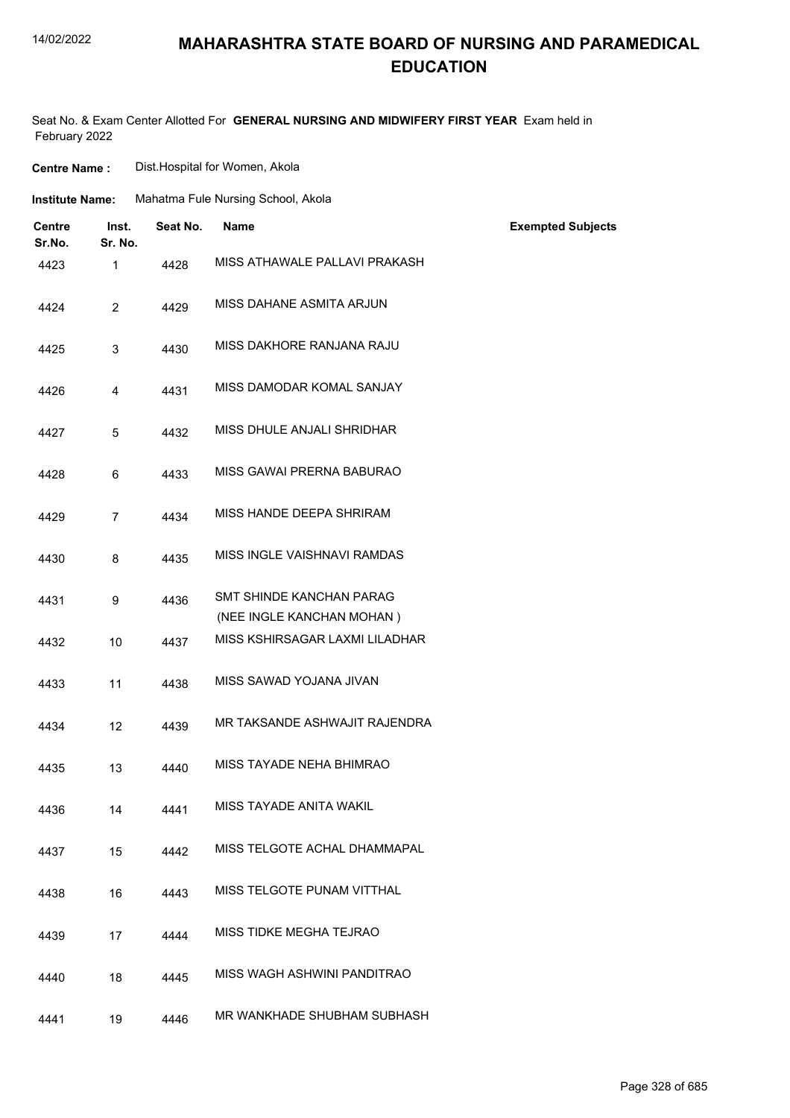**Centre Name :** Dist.Hospital for Women, Akola

## **MAHARASHTRA STATE BOARD OF NURSING AND PARAMEDICAL EDUCATION**

Seat No. & Exam Center Allotted For **GENERAL NURSING AND MIDWIFERY FIRST YEAR** Exam held in February 2022

| <b>Institute Name:</b>  |                  |          | Mahatma Fule Nursing School, Akola                           |                          |
|-------------------------|------------------|----------|--------------------------------------------------------------|--------------------------|
| <b>Centre</b><br>Sr.No. | Inst.<br>Sr. No. | Seat No. | <b>Name</b>                                                  | <b>Exempted Subjects</b> |
| 4423                    | $\mathbf{1}$     | 4428     | MISS ATHAWALE PALLAVI PRAKASH                                |                          |
| 4424                    | $\overline{2}$   | 4429     | MISS DAHANE ASMITA ARJUN                                     |                          |
| 4425                    | 3                | 4430     | MISS DAKHORE RANJANA RAJU                                    |                          |
| 4426                    | 4                | 4431     | MISS DAMODAR KOMAL SANJAY                                    |                          |
| 4427                    | 5                | 4432     | MISS DHULE ANJALI SHRIDHAR                                   |                          |
| 4428                    | 6                | 4433     | MISS GAWAI PRERNA BABURAO                                    |                          |
| 4429                    | $\overline{7}$   | 4434     | MISS HANDE DEEPA SHRIRAM                                     |                          |
| 4430                    | 8                | 4435     | MISS INGLE VAISHNAVI RAMDAS                                  |                          |
| 4431                    | 9                | 4436     | <b>SMT SHINDE KANCHAN PARAG</b><br>(NEE INGLE KANCHAN MOHAN) |                          |
| 4432                    | 10               | 4437     | MISS KSHIRSAGAR LAXMI LILADHAR                               |                          |
| 4433                    | 11               | 4438     | MISS SAWAD YOJANA JIVAN                                      |                          |
| 4434                    | 12               | 4439     | MR TAKSANDE ASHWAJIT RAJENDRA                                |                          |
| 4435                    | 13               | 4440     | MISS TAYADE NEHA BHIMRAO                                     |                          |
| 4436                    | 14               | 4441     | MISS TAYADE ANITA WAKIL                                      |                          |
| 4437                    | 15               | 4442     | MISS TELGOTE ACHAL DHAMMAPAL                                 |                          |
| 4438                    | 16               | 4443     | MISS TELGOTE PUNAM VITTHAL                                   |                          |
| 4439                    | 17               | 4444     | MISS TIDKE MEGHA TEJRAO                                      |                          |
| 4440                    | 18               | 4445     | MISS WAGH ASHWINI PANDITRAO                                  |                          |
| 4441                    | 19               | 4446     | MR WANKHADE SHUBHAM SUBHASH                                  |                          |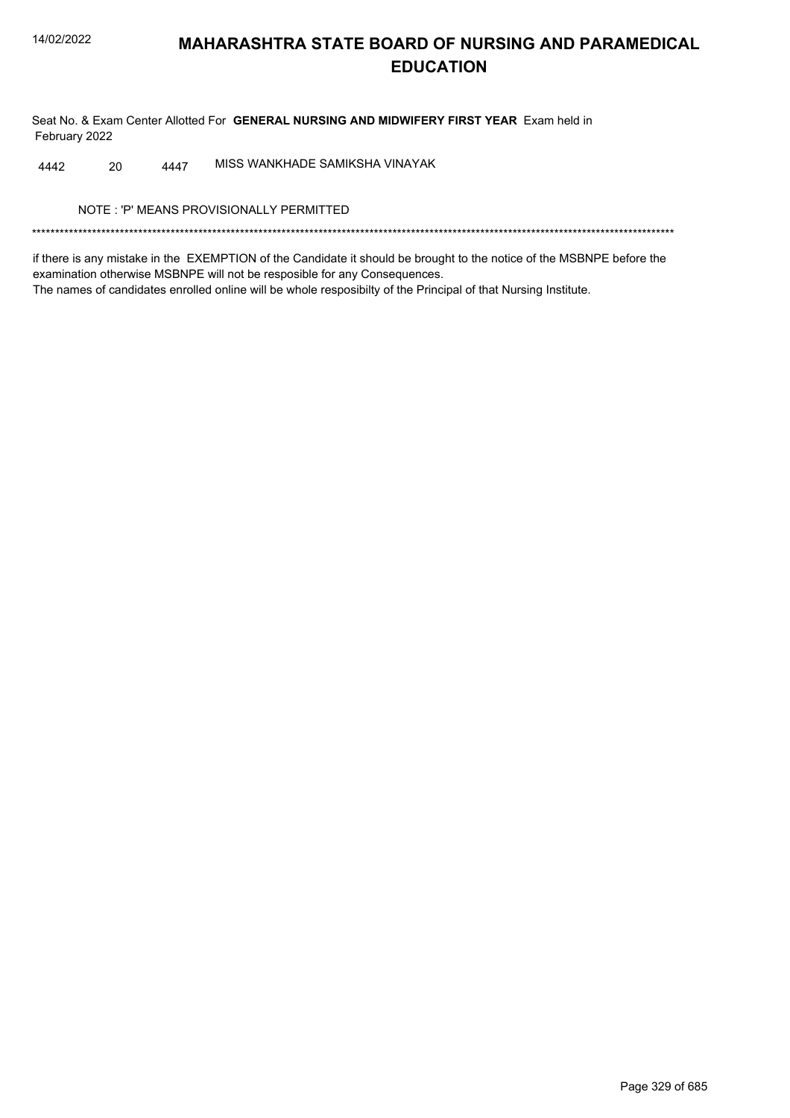Seat No. & Exam Center Allotted For GENERAL NURSING AND MIDWIFERY FIRST YEAR Exam held in February 2022

MISS WANKHADE SAMIKSHA VINAYAK 4442 20 4447

NOTE: 'P' MEANS PROVISIONALLY PERMITTED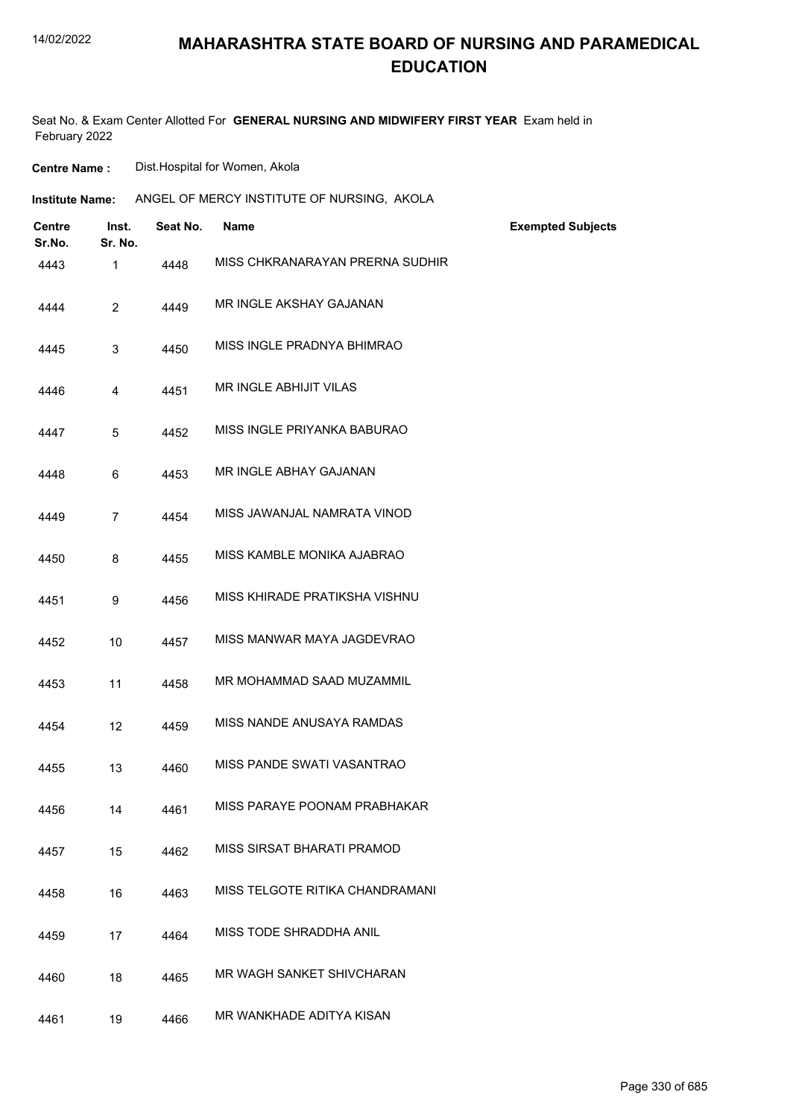## **MAHARASHTRA STATE BOARD OF NURSING AND PARAMEDICAL EDUCATION**

Seat No. & Exam Center Allotted For **GENERAL NURSING AND MIDWIFERY FIRST YEAR** Exam held in February 2022

**Centre Name :** Dist.Hospital for Women, Akola

| Institute Name: | ANGEL OF MERCY INSTITUTE OF NURSING, AKOLA |  |
|-----------------|--------------------------------------------|--|
|-----------------|--------------------------------------------|--|

| Centre<br>Sr.No. | Inst.<br>Sr. No. | Seat No. | <b>Name</b>                     | <b>Exempted Subjects</b> |
|------------------|------------------|----------|---------------------------------|--------------------------|
| 4443             | 1                | 4448     | MISS CHKRANARAYAN PRERNA SUDHIR |                          |
| 4444             | $\overline{2}$   | 4449     | MR INGLE AKSHAY GAJANAN         |                          |
| 4445             | 3                | 4450     | MISS INGLE PRADNYA BHIMRAO      |                          |
| 4446             | 4                | 4451     | MR INGLE ABHIJIT VILAS          |                          |
| 4447             | 5                | 4452     | MISS INGLE PRIYANKA BABURAO     |                          |
| 4448             | 6                | 4453     | MR INGLE ABHAY GAJANAN          |                          |
| 4449             | $\overline{7}$   | 4454     | MISS JAWANJAL NAMRATA VINOD     |                          |
| 4450             | 8                | 4455     | MISS KAMBLE MONIKA AJABRAO      |                          |
| 4451             | 9                | 4456     | MISS KHIRADE PRATIKSHA VISHNU   |                          |
| 4452             | 10               | 4457     | MISS MANWAR MAYA JAGDEVRAO      |                          |
| 4453             | 11               | 4458     | MR MOHAMMAD SAAD MUZAMMIL       |                          |
| 4454             | 12               | 4459     | MISS NANDE ANUSAYA RAMDAS       |                          |
| 4455             | 13               | 4460     | MISS PANDE SWATI VASANTRAO      |                          |
| 4456             | 14               | 4461     | MISS PARAYE POONAM PRABHAKAR    |                          |
| 4457             | 15               | 4462     | MISS SIRSAT BHARATI PRAMOD      |                          |
| 4458             | 16               | 4463     | MISS TELGOTE RITIKA CHANDRAMANI |                          |
| 4459             | 17               | 4464     | MISS TODE SHRADDHA ANIL         |                          |
| 4460             | 18               | 4465     | MR WAGH SANKET SHIVCHARAN       |                          |
| 4461             | 19               | 4466     | MR WANKHADE ADITYA KISAN        |                          |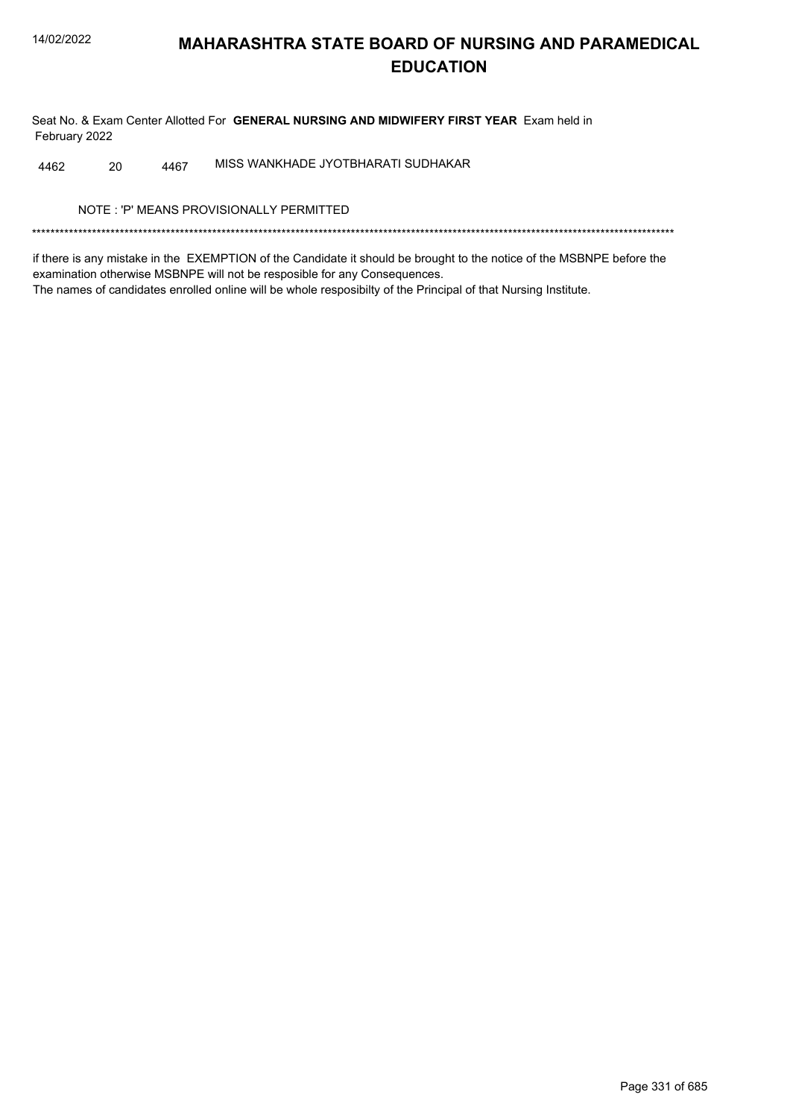Seat No. & Exam Center Allotted For GENERAL NURSING AND MIDWIFERY FIRST YEAR Exam held in February 2022

MISS WANKHADE JYOTBHARATI SUDHAKAR 20 4467 4462

NOTE: 'P' MEANS PROVISIONALLY PERMITTED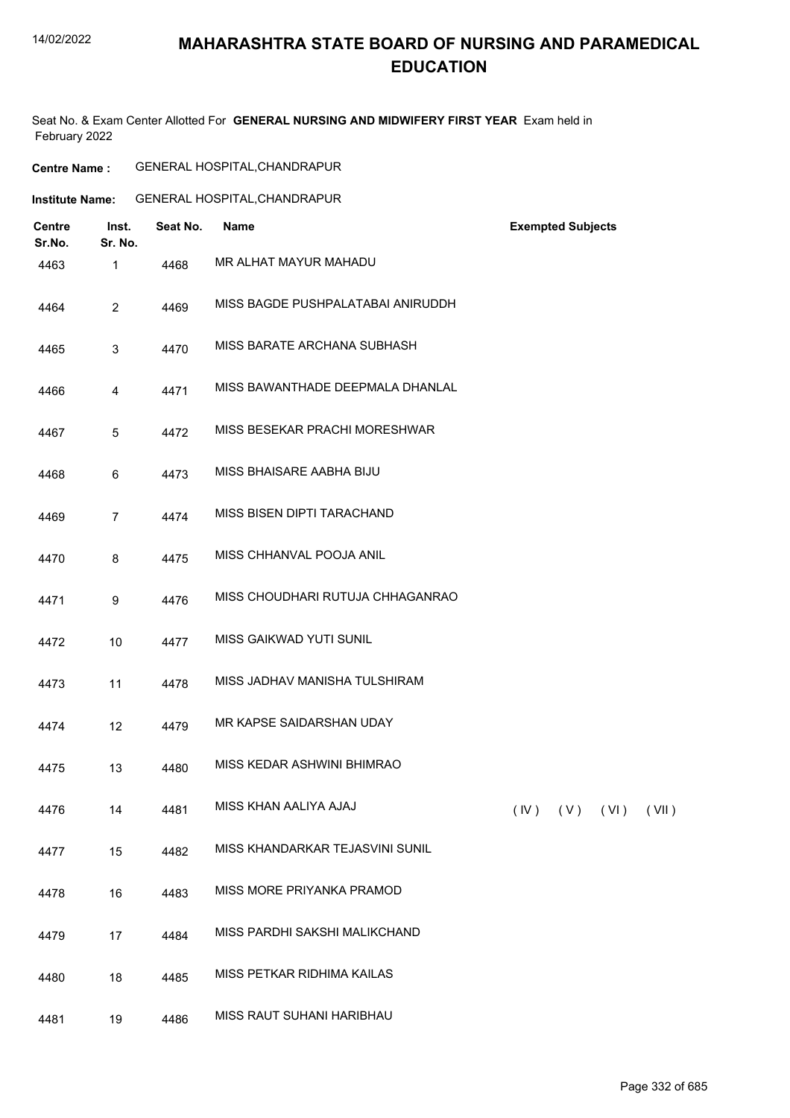## **MAHARASHTRA STATE BOARD OF NURSING AND PARAMEDICAL EDUCATION**

Seat No. & Exam Center Allotted For **GENERAL NURSING AND MIDWIFERY FIRST YEAR** Exam held in February 2022

| <b>Centre Name :</b> | <b>GENERAL HOSPITAL, CHANDRAPUR</b> |
|----------------------|-------------------------------------|
|----------------------|-------------------------------------|

| Institute Name: | <b>GENERAL HOSPITAL, CHANDRAPUR</b> |
|-----------------|-------------------------------------|
|                 |                                     |

| <b>Centre</b><br>Sr.No. | Inst.<br>Sr. No. | Seat No. | Name                              |      | <b>Exempted Subjects</b> |      |       |
|-------------------------|------------------|----------|-----------------------------------|------|--------------------------|------|-------|
| 4463                    | $\mathbf{1}$     | 4468     | MR ALHAT MAYUR MAHADU             |      |                          |      |       |
| 4464                    | $\overline{2}$   | 4469     | MISS BAGDE PUSHPALATABAI ANIRUDDH |      |                          |      |       |
| 4465                    | 3                | 4470     | MISS BARATE ARCHANA SUBHASH       |      |                          |      |       |
| 4466                    | 4                | 4471     | MISS BAWANTHADE DEEPMALA DHANLAL  |      |                          |      |       |
| 4467                    | 5                | 4472     | MISS BESEKAR PRACHI MORESHWAR     |      |                          |      |       |
| 4468                    | 6                | 4473     | MISS BHAISARE AABHA BIJU          |      |                          |      |       |
| 4469                    | $\overline{7}$   | 4474     | MISS BISEN DIPTI TARACHAND        |      |                          |      |       |
| 4470                    | 8                | 4475     | MISS CHHANVAL POOJA ANIL          |      |                          |      |       |
| 4471                    | 9                | 4476     | MISS CHOUDHARI RUTUJA CHHAGANRAO  |      |                          |      |       |
| 4472                    | 10               | 4477     | <b>MISS GAIKWAD YUTI SUNIL</b>    |      |                          |      |       |
| 4473                    | 11               | 4478     | MISS JADHAV MANISHA TULSHIRAM     |      |                          |      |       |
| 4474                    | 12               | 4479     | MR KAPSE SAIDARSHAN UDAY          |      |                          |      |       |
| 4475                    | 13               | 4480     | MISS KEDAR ASHWINI BHIMRAO        |      |                          |      |       |
| 4476                    | 14               | 4481     | MISS KHAN AALIYA AJAJ             | (IV) | (V)                      | (VI) | (VII) |
| 4477                    | 15               | 4482     | MISS KHANDARKAR TEJASVINI SUNIL   |      |                          |      |       |
| 4478                    | 16               | 4483     | MISS MORE PRIYANKA PRAMOD         |      |                          |      |       |
| 4479                    | 17               | 4484     | MISS PARDHI SAKSHI MALIKCHAND     |      |                          |      |       |
| 4480                    | 18               | 4485     | MISS PETKAR RIDHIMA KAILAS        |      |                          |      |       |
| 4481                    | 19               | 4486     | MISS RAUT SUHANI HARIBHAU         |      |                          |      |       |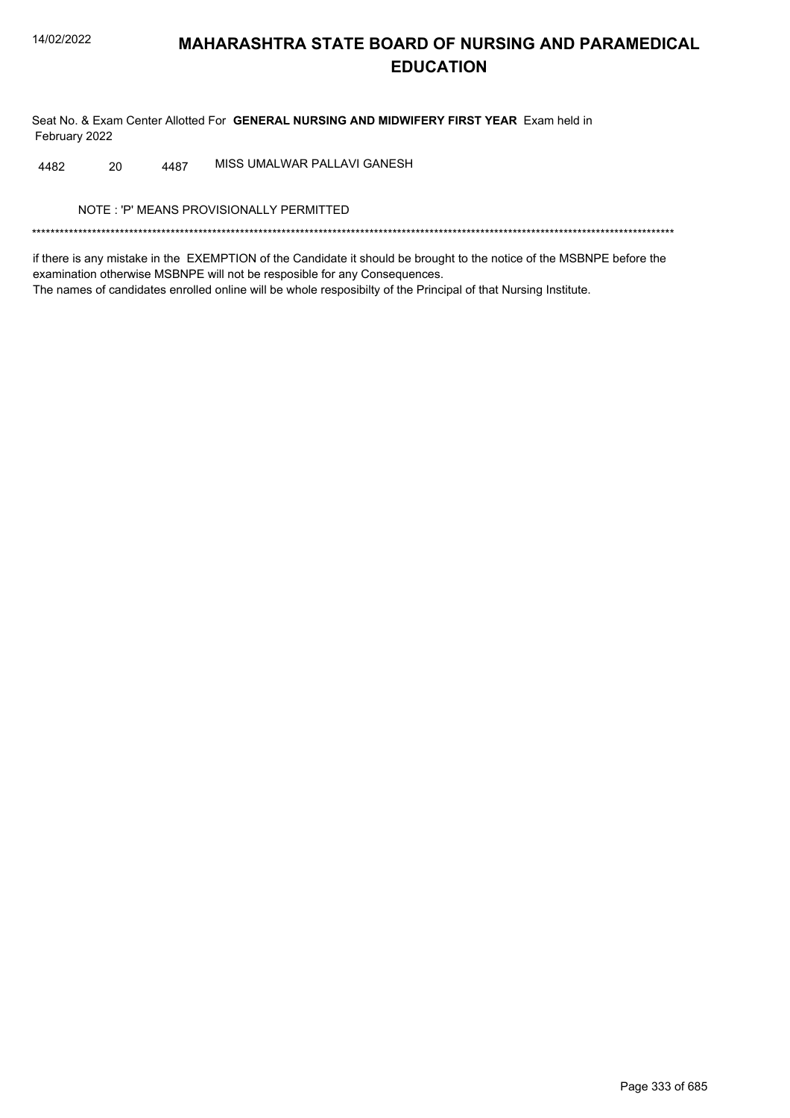Seat No. & Exam Center Allotted For GENERAL NURSING AND MIDWIFERY FIRST YEAR Exam held in February 2022

MISS UMALWAR PALLAVI GANESH 20 4487 4482

NOTE: 'P' MEANS PROVISIONALLY PERMITTED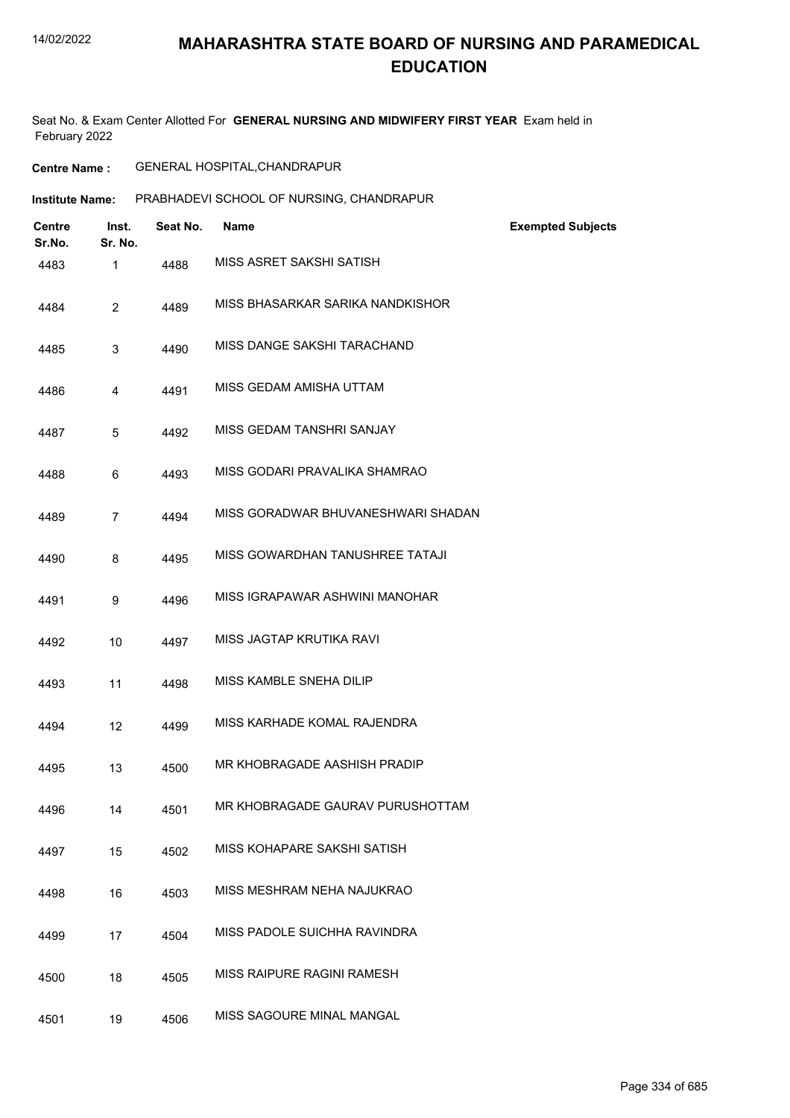Seat No. & Exam Center Allotted For **GENERAL NURSING AND MIDWIFERY FIRST YEAR** Exam held in February 2022

| <b>Centre Name :</b> | <b>GENERAL HOSPITAL, CHANDRAPUR</b> |
|----------------------|-------------------------------------|
|----------------------|-------------------------------------|

| Institute Name: | PRABHADEVI SCHOOL OF NURSING, CHANDRAPUR |
|-----------------|------------------------------------------|
|                 |                                          |

| Centre<br>Sr.No. | Inst.<br>Sr. No. | Seat No. | <b>Name</b>                        | <b>Exempted Subjects</b> |
|------------------|------------------|----------|------------------------------------|--------------------------|
| 4483             | $\mathbf{1}$     | 4488     | MISS ASRET SAKSHI SATISH           |                          |
| 4484             | $\overline{2}$   | 4489     | MISS BHASARKAR SARIKA NANDKISHOR   |                          |
| 4485             | 3                | 4490     | MISS DANGE SAKSHI TARACHAND        |                          |
| 4486             | 4                | 4491     | MISS GEDAM AMISHA UTTAM            |                          |
| 4487             | 5                | 4492     | MISS GEDAM TANSHRI SANJAY          |                          |
| 4488             | 6                | 4493     | MISS GODARI PRAVALIKA SHAMRAO      |                          |
| 4489             | $\overline{7}$   | 4494     | MISS GORADWAR BHUVANESHWARI SHADAN |                          |
| 4490             | 8                | 4495     | MISS GOWARDHAN TANUSHREE TATAJI    |                          |
| 4491             | 9                | 4496     | MISS IGRAPAWAR ASHWINI MANOHAR     |                          |
| 4492             | 10               | 4497     | MISS JAGTAP KRUTIKA RAVI           |                          |
| 4493             | 11               | 4498     | MISS KAMBLE SNEHA DILIP            |                          |
| 4494             | 12               | 4499     | MISS KARHADE KOMAL RAJENDRA        |                          |
| 4495             | 13               | 4500     | MR KHOBRAGADE AASHISH PRADIP       |                          |
| 4496             | 14               | 4501     | MR KHOBRAGADE GAURAV PURUSHOTTAM   |                          |
| 4497             | 15               | 4502     | MISS KOHAPARE SAKSHI SATISH        |                          |
| 4498             | 16               | 4503     | MISS MESHRAM NEHA NAJUKRAO         |                          |
| 4499             | 17               | 4504     | MISS PADOLE SUICHHA RAVINDRA       |                          |
| 4500             | 18               | 4505     | <b>MISS RAIPURE RAGINI RAMESH</b>  |                          |
| 4501             | 19               | 4506     | MISS SAGOURE MINAL MANGAL          |                          |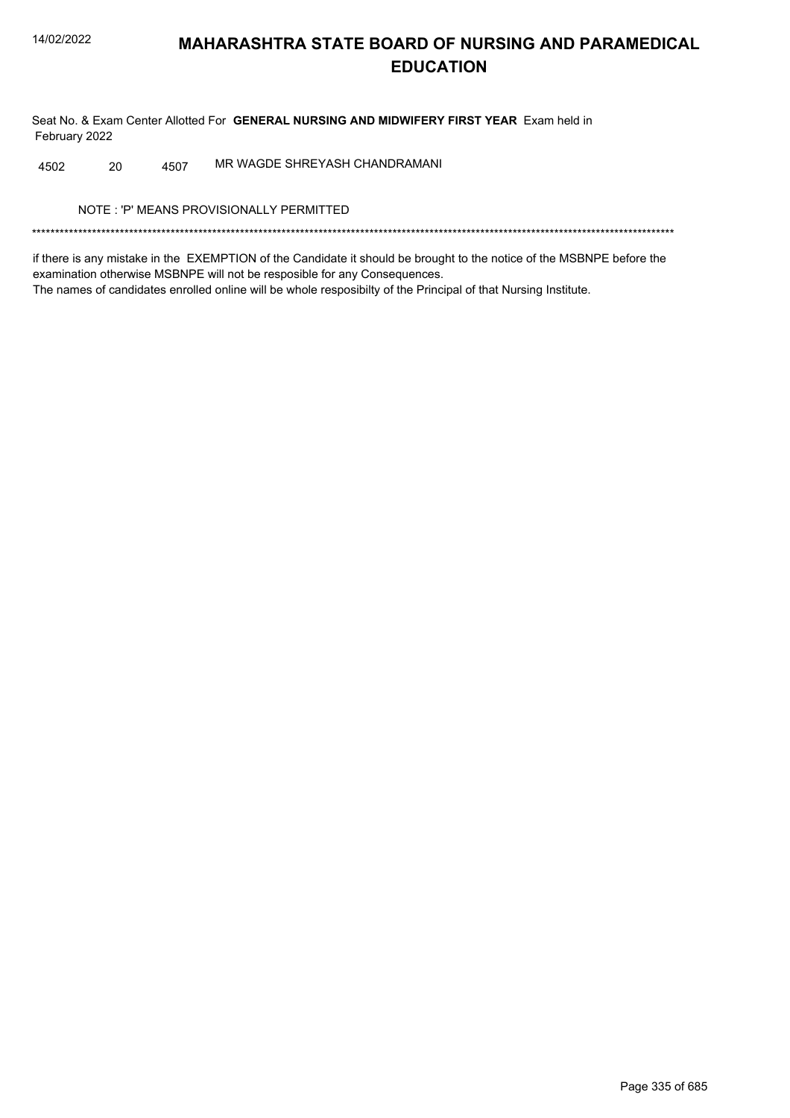Seat No. & Exam Center Allotted For GENERAL NURSING AND MIDWIFERY FIRST YEAR Exam held in February 2022

MR WAGDE SHREYASH CHANDRAMANI 4502 20 4507

NOTE: 'P' MEANS PROVISIONALLY PERMITTED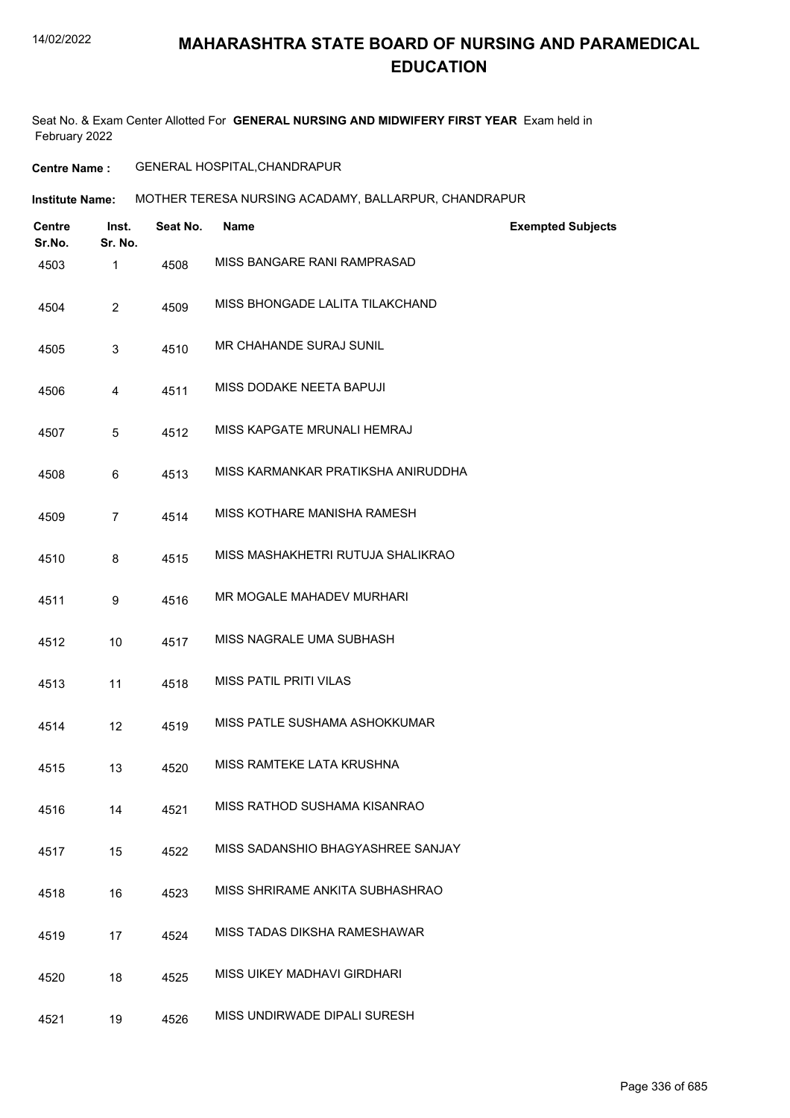Seat No. & Exam Center Allotted For **GENERAL NURSING AND MIDWIFERY FIRST YEAR** Exam held in February 2022

**Centre Name :** GENERAL HOSPITAL,CHANDRAPUR

**Institute Name: MOTHER TERESA NURSING ACADAMY, BALLARPUR, CHANDRAPUR** 

| <b>Centre</b><br>Sr.No. | Inst.<br>Sr. No. | Seat No. | <b>Name</b>                        | <b>Exempted Subjects</b> |
|-------------------------|------------------|----------|------------------------------------|--------------------------|
| 4503                    | 1                | 4508     | MISS BANGARE RANI RAMPRASAD        |                          |
| 4504                    | $\overline{2}$   | 4509     | MISS BHONGADE LALITA TILAKCHAND    |                          |
| 4505                    | 3                | 4510     | <b>MR CHAHANDE SURAJ SUNIL</b>     |                          |
| 4506                    | 4                | 4511     | MISS DODAKE NEETA BAPUJI           |                          |
| 4507                    | 5                | 4512     | MISS KAPGATE MRUNALI HEMRAJ        |                          |
| 4508                    | 6                | 4513     | MISS KARMANKAR PRATIKSHA ANIRUDDHA |                          |
| 4509                    | $\overline{7}$   | 4514     | MISS KOTHARE MANISHA RAMESH        |                          |
| 4510                    | 8                | 4515     | MISS MASHAKHETRI RUTUJA SHALIKRAO  |                          |
| 4511                    | 9                | 4516     | MR MOGALE MAHADEV MURHARI          |                          |
| 4512                    | 10               | 4517     | MISS NAGRALE UMA SUBHASH           |                          |
| 4513                    | 11               | 4518     | <b>MISS PATIL PRITI VILAS</b>      |                          |
| 4514                    | 12               | 4519     | MISS PATLE SUSHAMA ASHOKKUMAR      |                          |
| 4515                    | 13               | 4520     | MISS RAMTEKE LATA KRUSHNA          |                          |
| 4516                    | 14               | 4521     | MISS RATHOD SUSHAMA KISANRAO       |                          |
| 4517                    | 15               | 4522     | MISS SADANSHIO BHAGYASHREE SANJAY  |                          |
| 4518                    | 16               | 4523     | MISS SHRIRAME ANKITA SUBHASHRAO    |                          |
| 4519                    | 17               | 4524     | MISS TADAS DIKSHA RAMESHAWAR       |                          |
| 4520                    | 18               | 4525     | <b>MISS UIKEY MADHAVI GIRDHARI</b> |                          |
| 4521                    | 19               | 4526     | MISS UNDIRWADE DIPALI SURESH       |                          |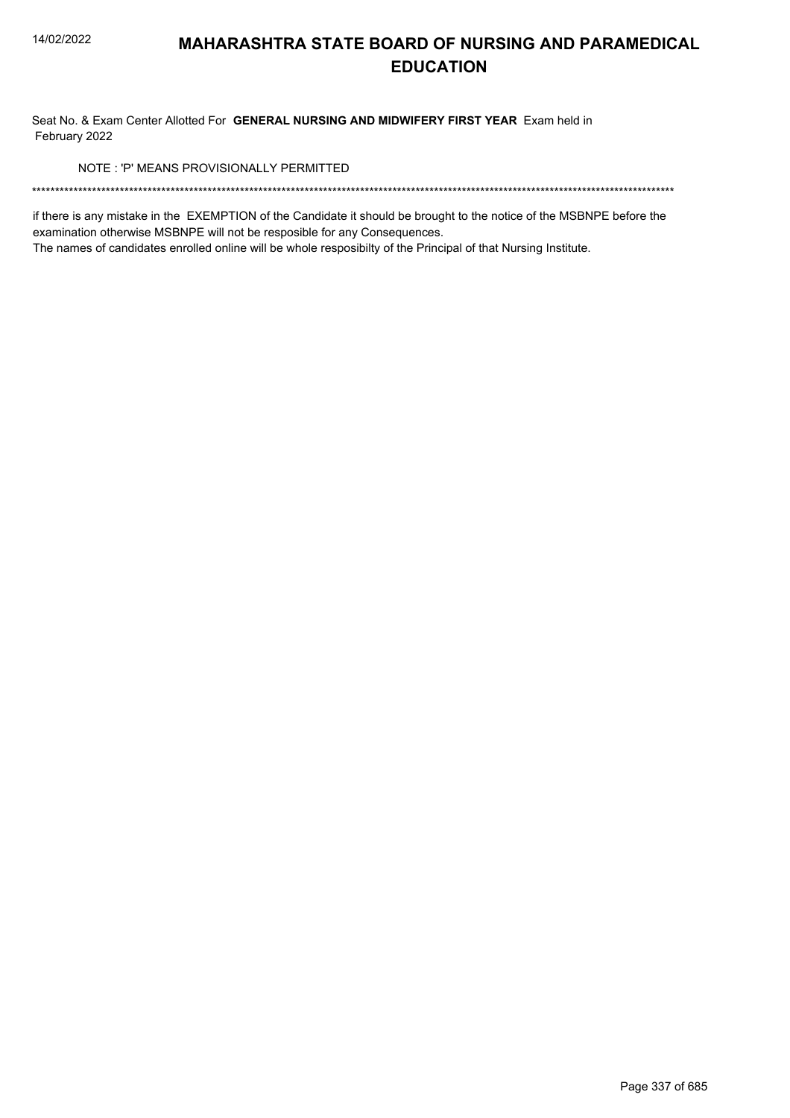Seat No. & Exam Center Allotted For GENERAL NURSING AND MIDWIFERY FIRST YEAR Exam held in February 2022

NOTE: 'P' MEANS PROVISIONALLY PERMITTED

if there is any mistake in the EXEMPTION of the Candidate it should be brought to the notice of the MSBNPE before the examination otherwise MSBNPE will not be resposible for any Consequences.

The names of candidates enrolled online will be whole resposibilty of the Principal of that Nursing Institute.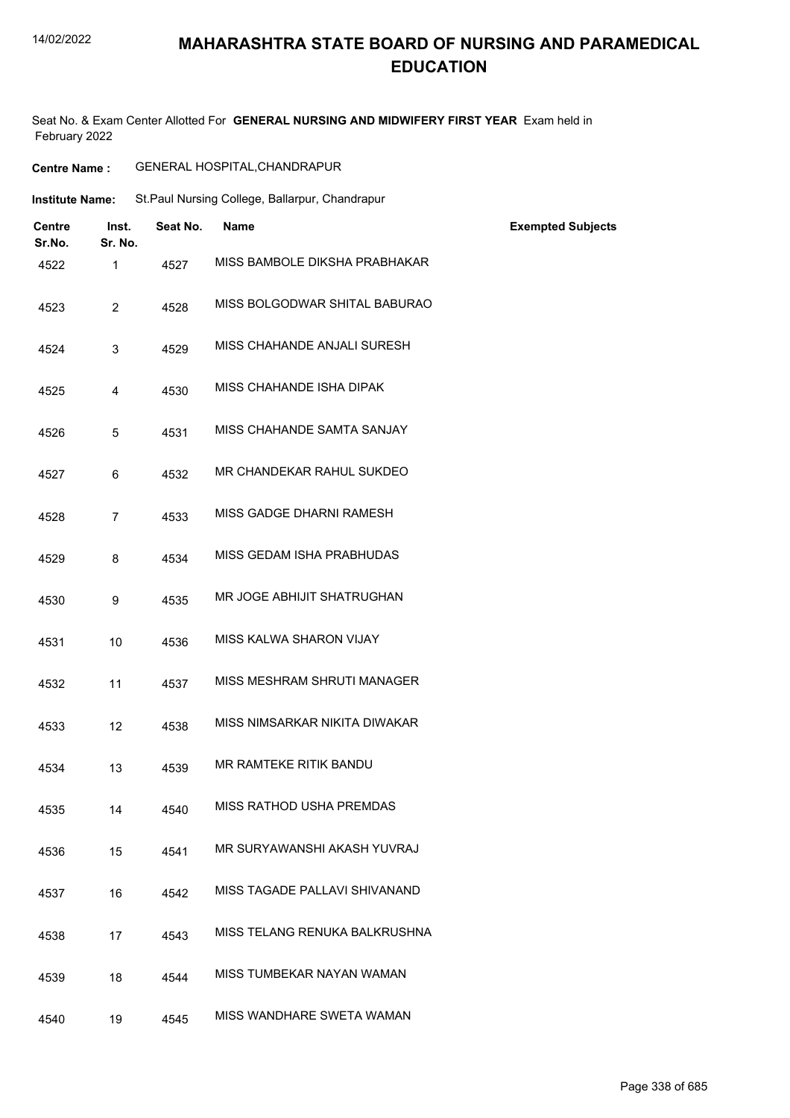## **MAHARASHTRA STATE BOARD OF NURSING AND PARAMEDICAL EDUCATION**

Seat No. & Exam Center Allotted For **GENERAL NURSING AND MIDWIFERY FIRST YEAR** Exam held in February 2022

| <b>Centre Name:</b>     |                  |          | GENERAL HOSPITAL, CHANDRAPUR                   |                          |
|-------------------------|------------------|----------|------------------------------------------------|--------------------------|
| <b>Institute Name:</b>  |                  |          | St.Paul Nursing College, Ballarpur, Chandrapur |                          |
| <b>Centre</b><br>Sr.No. | Inst.<br>Sr. No. | Seat No. | Name                                           | <b>Exempted Subjects</b> |
| 4522                    | 1                | 4527     | MISS BAMBOLE DIKSHA PRABHAKAR                  |                          |
| 4523                    | $\overline{2}$   | 4528     | MISS BOLGODWAR SHITAL BABURAO                  |                          |
| 4524                    | 3                | 4529     | MISS CHAHANDE ANJALI SURESH                    |                          |
| 4525                    | 4                | 4530     | MISS CHAHANDE ISHA DIPAK                       |                          |
| 4526                    | 5                | 4531     | MISS CHAHANDE SAMTA SANJAY                     |                          |
| 4527                    | 6                | 4532     | MR CHANDEKAR RAHUL SUKDEO                      |                          |
| 4528                    | $\overline{7}$   | 4533     | MISS GADGE DHARNI RAMESH                       |                          |
| 4529                    | 8                | 4534     | MISS GEDAM ISHA PRABHUDAS                      |                          |
| 4530                    | 9                | 4535     | MR JOGE ABHIJIT SHATRUGHAN                     |                          |
| 4531                    | 10               | 4536     | MISS KALWA SHARON VIJAY                        |                          |
| 4532                    | 11               | 4537     | MISS MESHRAM SHRUTI MANAGER                    |                          |
| 4533                    | 12               | 4538     | MISS NIMSARKAR NIKITA DIWAKAR                  |                          |
| 4534                    | 13               | 4539     | MR RAMTEKE RITIK BANDU                         |                          |
| 4535                    | 14               | 4540     | MISS RATHOD USHA PREMDAS                       |                          |
| 4536                    | 15               | 4541     | MR SURYAWANSHI AKASH YUVRAJ                    |                          |
| 4537                    | 16               | 4542     | MISS TAGADE PALLAVI SHIVANAND                  |                          |
| 4538                    | 17               | 4543     | MISS TELANG RENUKA BALKRUSHNA                  |                          |
| 4539                    | 18               | 4544     | MISS TUMBEKAR NAYAN WAMAN                      |                          |
| 4540                    | 19               | 4545     | MISS WANDHARE SWETA WAMAN                      |                          |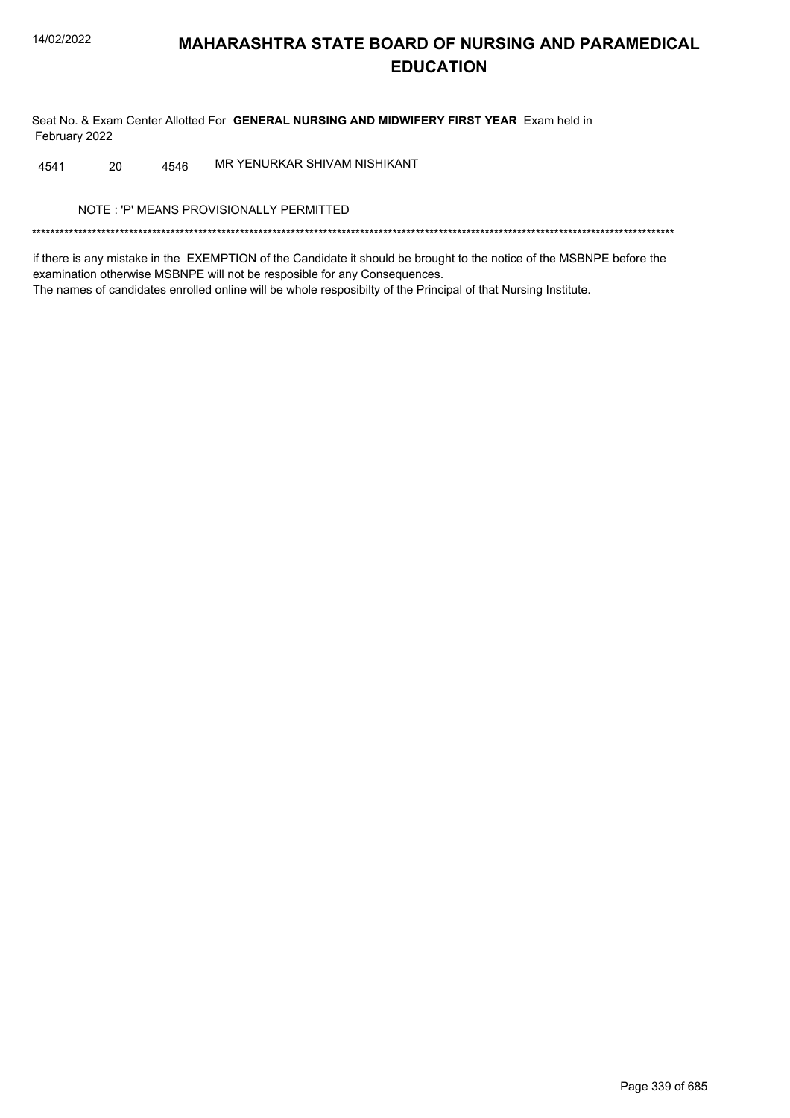Seat No. & Exam Center Allotted For GENERAL NURSING AND MIDWIFERY FIRST YEAR Exam held in February 2022

MR YENURKAR SHIVAM NISHIKANT 4541 20 4546

NOTE: 'P' MEANS PROVISIONALLY PERMITTED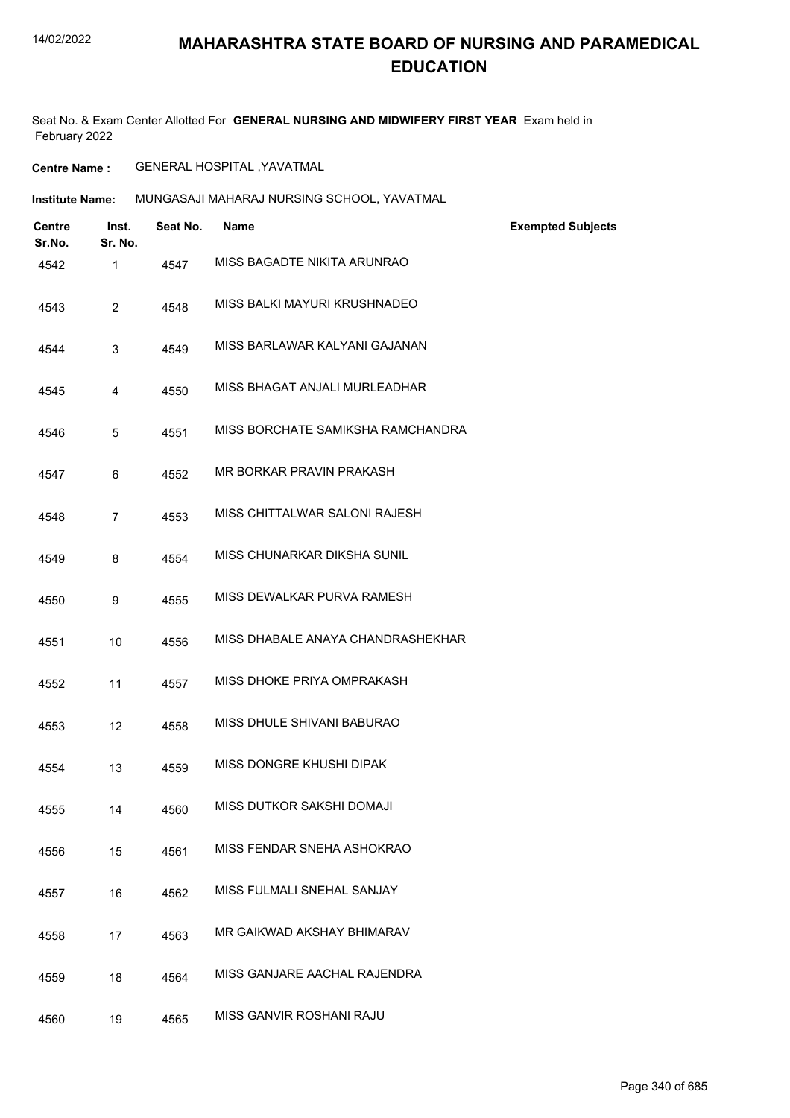Seat No. & Exam Center Allotted For **GENERAL NURSING AND MIDWIFERY FIRST YEAR** Exam held in February 2022

**Centre Name :** GENERAL HOSPITAL ,YAVATMAL

**Institute Name:** MUNGASAJI MAHARAJ NURSING SCHOOL, YAVATMAL

| <b>Centre</b><br>Sr.No. | Inst.<br>Sr. No. | Seat No. | <b>Name</b>                       | <b>Exempted Subjects</b> |
|-------------------------|------------------|----------|-----------------------------------|--------------------------|
| 4542                    | 1                | 4547     | MISS BAGADTE NIKITA ARUNRAO       |                          |
| 4543                    | $\overline{2}$   | 4548     | MISS BALKI MAYURI KRUSHNADEO      |                          |
| 4544                    | 3                | 4549     | MISS BARLAWAR KALYANI GAJANAN     |                          |
| 4545                    | $\overline{4}$   | 4550     | MISS BHAGAT ANJALI MURLEADHAR     |                          |
| 4546                    | 5                | 4551     | MISS BORCHATE SAMIKSHA RAMCHANDRA |                          |
| 4547                    | 6                | 4552     | MR BORKAR PRAVIN PRAKASH          |                          |
| 4548                    | $\overline{7}$   | 4553     | MISS CHITTALWAR SALONI RAJESH     |                          |
| 4549                    | 8                | 4554     | MISS CHUNARKAR DIKSHA SUNIL       |                          |
| 4550                    | 9                | 4555     | MISS DEWALKAR PURVA RAMESH        |                          |
| 4551                    | 10               | 4556     | MISS DHABALE ANAYA CHANDRASHEKHAR |                          |
| 4552                    | 11               | 4557     | MISS DHOKE PRIYA OMPRAKASH        |                          |
| 4553                    | 12               | 4558     | MISS DHULE SHIVANI BABURAO        |                          |
| 4554                    | 13               | 4559     | MISS DONGRE KHUSHI DIPAK          |                          |
| 4555                    | 14               | 4560     | MISS DUTKOR SAKSHI DOMAJI         |                          |
| 4556                    | 15               | 4561     | MISS FENDAR SNEHA ASHOKRAO        |                          |
| 4557                    | 16               | 4562     | MISS FULMALI SNEHAL SANJAY        |                          |
| 4558                    | 17               | 4563     | MR GAIKWAD AKSHAY BHIMARAV        |                          |
| 4559                    | 18               | 4564     | MISS GANJARE AACHAL RAJENDRA      |                          |
| 4560                    | 19               | 4565     | MISS GANVIR ROSHANI RAJU          |                          |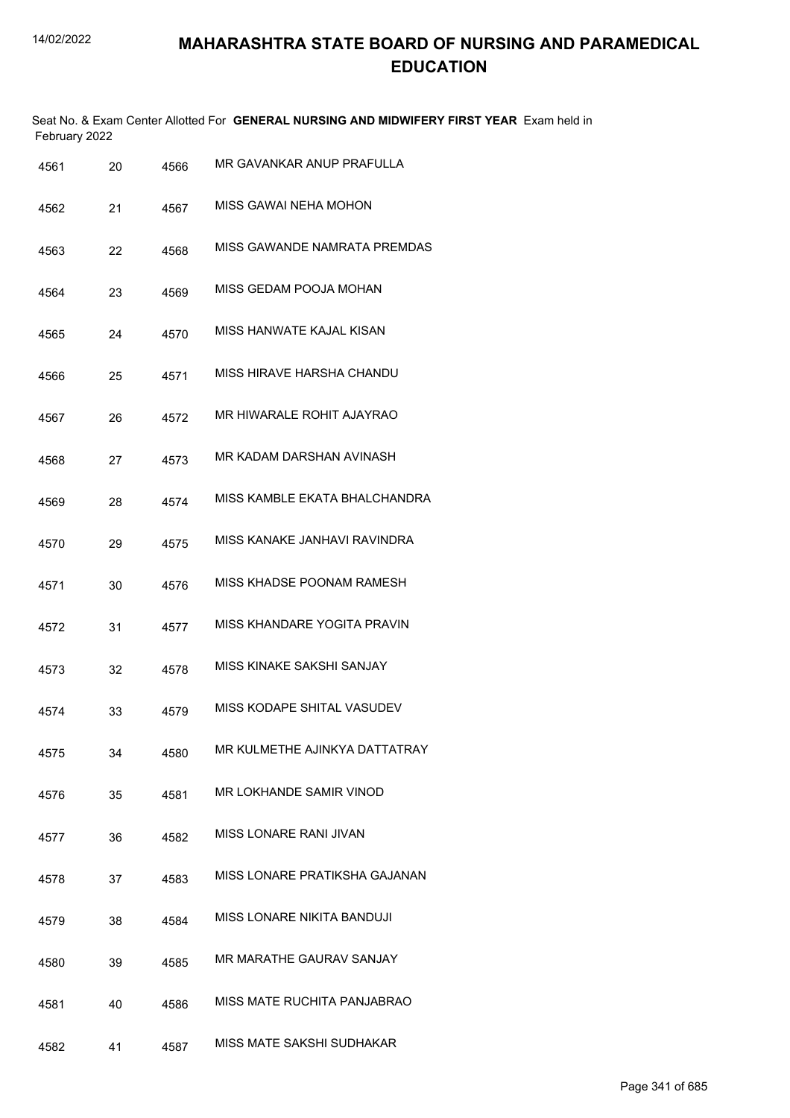Seat No. & Exam Center Allotted For **GENERAL NURSING AND MIDWIFERY FIRST YEAR** Exam held in February 2022

| 4561 | 20 | 4566 | MR GAVANKAR ANUP PRAFULLA       |
|------|----|------|---------------------------------|
| 4562 | 21 | 4567 | MISS GAWAI NEHA MOHON           |
| 4563 | 22 | 4568 | MISS GAWANDE NAMRATA PREMDAS    |
| 4564 | 23 | 4569 | MISS GEDAM POOJA MOHAN          |
| 4565 | 24 | 4570 | MISS HANWATE KAJAL KISAN        |
| 4566 | 25 | 4571 | MISS HIRAVE HARSHA CHANDU       |
| 4567 | 26 | 4572 | MR HIWARALE ROHIT AJAYRAO       |
| 4568 | 27 | 4573 | MR KADAM DARSHAN AVINASH        |
| 4569 | 28 | 4574 | MISS KAMBLE EKATA BHALCHANDRA   |
| 4570 | 29 | 4575 | MISS KANAKE JANHAVI RAVINDRA    |
| 4571 | 30 | 4576 | MISS KHADSE POONAM RAMESH       |
| 4572 | 31 | 4577 | MISS KHANDARE YOGITA PRAVIN     |
| 4573 | 32 | 4578 | MISS KINAKE SAKSHI SANJAY       |
| 4574 | 33 | 4579 | MISS KODAPE SHITAL VASUDEV      |
| 4575 | 34 | 4580 | MR KULMETHE AJINKYA DATTATRAY   |
| 4576 | 35 | 4581 | MR LOKHANDE SAMIR VINOD         |
| 4577 | 36 | 4582 | MISS LONARE RANI JIVAN          |
| 4578 | 37 | 4583 | MISS LONARE PRATIKSHA GAJANAN   |
| 4579 | 38 | 4584 | MISS LONARE NIKITA BANDUJI      |
| 4580 | 39 | 4585 | <b>MR MARATHE GAURAV SANJAY</b> |
| 4581 | 40 | 4586 | MISS MATE RUCHITA PANJABRAO     |
| 4582 | 41 | 4587 | MISS MATE SAKSHI SUDHAKAR       |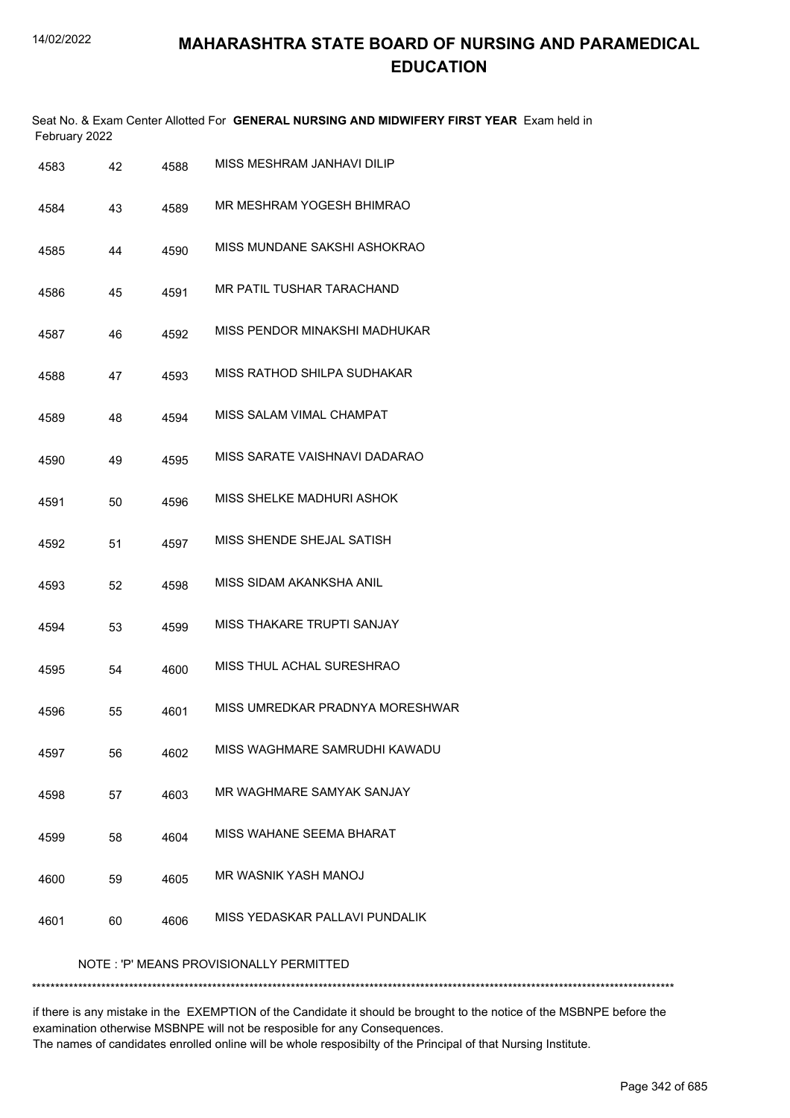|      | February 2022                           |      | Seat No. & Exam Center Allotted For GENERAL NURSING AND MIDWIFERY FIRST YEAR Exam held in |  |  |
|------|-----------------------------------------|------|-------------------------------------------------------------------------------------------|--|--|
| 4583 | 42                                      | 4588 | MISS MESHRAM JANHAVI DILIP                                                                |  |  |
| 4584 | 43                                      | 4589 | MR MESHRAM YOGESH BHIMRAO                                                                 |  |  |
| 4585 | 44                                      | 4590 | MISS MUNDANE SAKSHI ASHOKRAO                                                              |  |  |
| 4586 | 45                                      | 4591 | MR PATIL TUSHAR TARACHAND                                                                 |  |  |
| 4587 | 46                                      | 4592 | MISS PENDOR MINAKSHI MADHUKAR                                                             |  |  |
| 4588 | 47                                      | 4593 | MISS RATHOD SHILPA SUDHAKAR                                                               |  |  |
| 4589 | 48                                      | 4594 | MISS SALAM VIMAL CHAMPAT                                                                  |  |  |
| 4590 | 49                                      | 4595 | MISS SARATE VAISHNAVI DADARAO                                                             |  |  |
| 4591 | 50                                      | 4596 | MISS SHELKE MADHURI ASHOK                                                                 |  |  |
| 4592 | 51                                      | 4597 | MISS SHENDE SHEJAL SATISH                                                                 |  |  |
| 4593 | 52                                      | 4598 | MISS SIDAM AKANKSHA ANIL                                                                  |  |  |
| 4594 | 53                                      | 4599 | <b>MISS THAKARE TRUPTI SANJAY</b>                                                         |  |  |
| 4595 | 54                                      | 4600 | MISS THUL ACHAL SURESHRAO                                                                 |  |  |
| 4596 | 55                                      | 4601 | MISS UMREDKAR PRADNYA MORESHWAR                                                           |  |  |
| 4597 | 56                                      | 4602 | MISS WAGHMARE SAMRUDHI KAWADU                                                             |  |  |
| 4598 | 57                                      | 4603 | MR WAGHMARE SAMYAK SANJAY                                                                 |  |  |
| 4599 | 58                                      | 4604 | MISS WAHANE SEEMA BHARAT                                                                  |  |  |
| 4600 | 59                                      | 4605 | <b>MR WASNIK YASH MANOJ</b>                                                               |  |  |
| 4601 | 60                                      | 4606 | MISS YEDASKAR PALLAVI PUNDALIK                                                            |  |  |
|      | NOTE: 'P' MEANS PROVISIONALLY PERMITTED |      |                                                                                           |  |  |

\*\*\*\*\*\*\*\*\*\*\*\*\*\*\*\*\*\*\*\*\*\*\*\*\*\*\*\*\*\*\*\*\*\*\*\*\*\*\*\*\*\*\*\*\*\*\*\*\*\*\*\*\*\*\*\*\*\*\*\*\*\*\*\*\*\*\*\*\*\*\*\*\*\*\*\*\*\*\*\*\*\*\*\*\*\*\*\*\*\*\*\*\*\*\*\*\*\*\*\*\*\*\*\*\*\*\*\*\*\*\*\*\*\*\*\*\*\*\*\*\*\*\*\*\*\*\*\*\*\*\*\*\*\*\*\*\*\*\*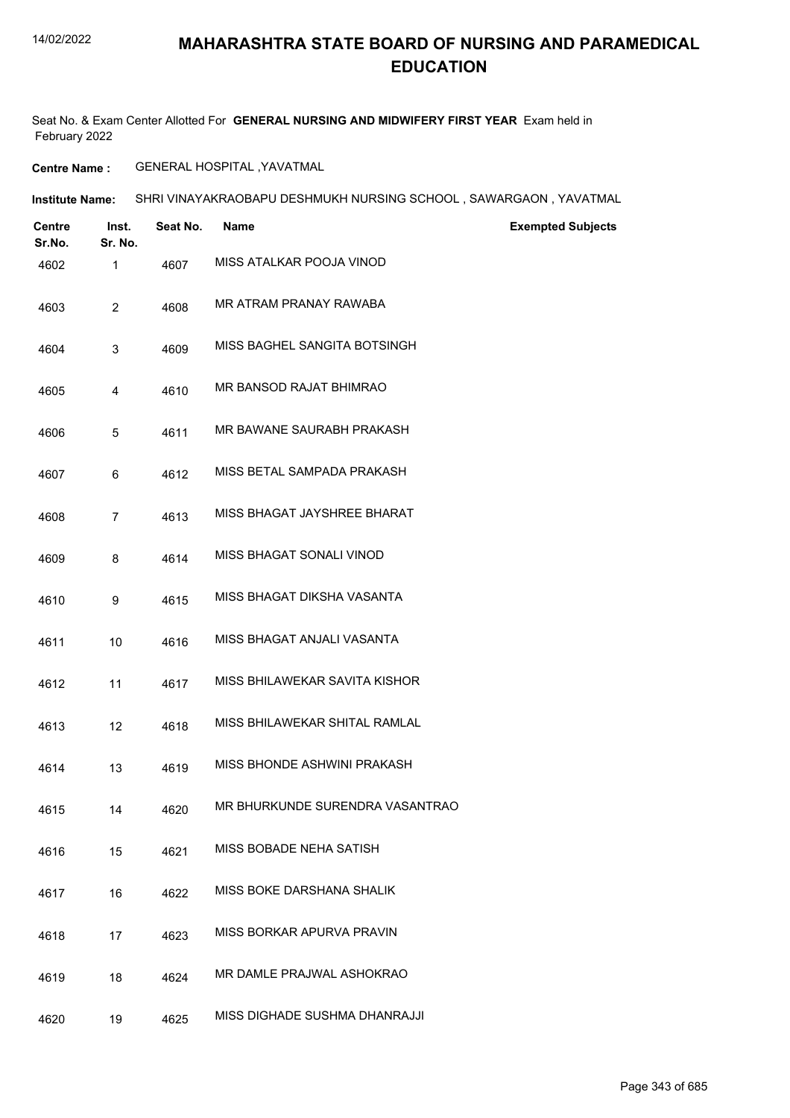## **MAHARASHTRA STATE BOARD OF NURSING AND PARAMEDICAL EDUCATION**

Seat No. & Exam Center Allotted For **GENERAL NURSING AND MIDWIFERY FIRST YEAR** Exam held in February 2022

**Centre Name :** GENERAL HOSPITAL ,YAVATMAL

| Institute Name: | SHRI VINAYAKRAOBAPU DESHMUKH NURSING SCHOOL , SAWARGAON , YAVATMAL |  |
|-----------------|--------------------------------------------------------------------|--|
|                 |                                                                    |  |

| <b>Centre</b><br>Sr.No. | Inst.<br>Sr. No. | Seat No. | <b>Name</b>                     | <b>Exempted Subjects</b> |
|-------------------------|------------------|----------|---------------------------------|--------------------------|
| 4602                    | $\mathbf{1}$     | 4607     | MISS ATALKAR POOJA VINOD        |                          |
| 4603                    | $\overline{c}$   | 4608     | MR ATRAM PRANAY RAWABA          |                          |
| 4604                    | 3                | 4609     | MISS BAGHEL SANGITA BOTSINGH    |                          |
| 4605                    | 4                | 4610     | MR BANSOD RAJAT BHIMRAO         |                          |
| 4606                    | 5                | 4611     | MR BAWANE SAURABH PRAKASH       |                          |
| 4607                    | 6                | 4612     | MISS BETAL SAMPADA PRAKASH      |                          |
| 4608                    | 7                | 4613     | MISS BHAGAT JAYSHREE BHARAT     |                          |
| 4609                    | 8                | 4614     | MISS BHAGAT SONALI VINOD        |                          |
| 4610                    | 9                | 4615     | MISS BHAGAT DIKSHA VASANTA      |                          |
| 4611                    | 10               | 4616     | MISS BHAGAT ANJALI VASANTA      |                          |
| 4612                    | 11               | 4617     | MISS BHILAWEKAR SAVITA KISHOR   |                          |
| 4613                    | 12               | 4618     | MISS BHILAWEKAR SHITAL RAMLAL   |                          |
| 4614                    | 13               | 4619     | MISS BHONDE ASHWINI PRAKASH     |                          |
| 4615                    | 14               | 4620     | MR BHURKUNDE SURENDRA VASANTRAO |                          |
| 4616                    | 15               | 4621     | MISS BOBADE NEHA SATISH         |                          |
| 4617                    | 16               | 4622     | MISS BOKE DARSHANA SHALIK       |                          |
| 4618                    | 17               | 4623     | MISS BORKAR APURVA PRAVIN       |                          |
| 4619                    | 18               | 4624     | MR DAMLE PRAJWAL ASHOKRAO       |                          |
| 4620                    | 19               | 4625     | MISS DIGHADE SUSHMA DHANRAJJI   |                          |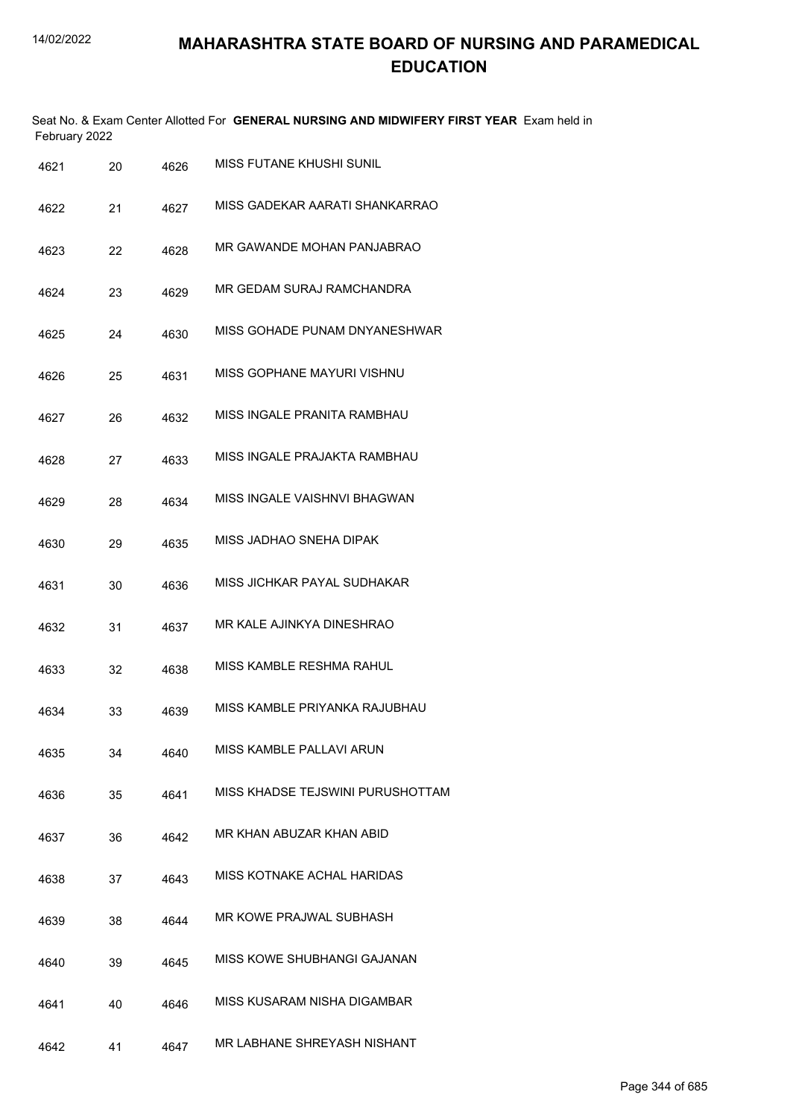|      | February 2022 |      | Seat No. & Exam Center Allotted For GENERAL NURSING AND MIDWIFERY FIRST YEAR Exam held in |
|------|---------------|------|-------------------------------------------------------------------------------------------|
| 4621 | 20            | 4626 | MISS FUTANE KHUSHI SUNIL                                                                  |
| 4622 | 21            | 4627 | MISS GADEKAR AARATI SHANKARRAO                                                            |
| 4623 | 22            | 4628 | MR GAWANDE MOHAN PANJABRAO                                                                |
| 4624 | 23            | 4629 | MR GEDAM SURAJ RAMCHANDRA                                                                 |
| 4625 | 24            | 4630 | MISS GOHADE PUNAM DNYANESHWAR                                                             |
| 4626 | 25            | 4631 | MISS GOPHANE MAYURI VISHNU                                                                |
| 4627 | 26            | 4632 | MISS INGALE PRANITA RAMBHAU                                                               |
| 4628 | 27            | 4633 | MISS INGALE PRAJAKTA RAMBHAU                                                              |
| 4629 | 28            | 4634 | MISS INGALE VAISHNVI BHAGWAN                                                              |
| 4630 | 29            | 4635 | MISS JADHAO SNEHA DIPAK                                                                   |
| 4631 | 30            | 4636 | MISS JICHKAR PAYAL SUDHAKAR                                                               |
| 4632 | 31            | 4637 | MR KALE AJINKYA DINESHRAO                                                                 |
| 4633 | 32            | 4638 | MISS KAMBLE RESHMA RAHUL                                                                  |
| 4634 | 33            | 4639 | MISS KAMBLE PRIYANKA RAJUBHAU                                                             |
| 4635 | 34            | 4640 | MISS KAMBLE PALLAVI ARUN                                                                  |
| 4636 | 35            | 4641 | MISS KHADSE TEJSWINI PURUSHOTTAM                                                          |
| 4637 | 36            | 4642 | MR KHAN ABUZAR KHAN ABID                                                                  |
| 4638 | 37            | 4643 | MISS KOTNAKE ACHAL HARIDAS                                                                |
| 4639 | 38            | 4644 | MR KOWE PRAJWAL SUBHASH                                                                   |
| 4640 | 39            | 4645 | MISS KOWE SHUBHANGI GAJANAN                                                               |
| 4641 | 40            | 4646 | MISS KUSARAM NISHA DIGAMBAR                                                               |
| 4642 | 41            | 4647 | MR LABHANE SHREYASH NISHANT                                                               |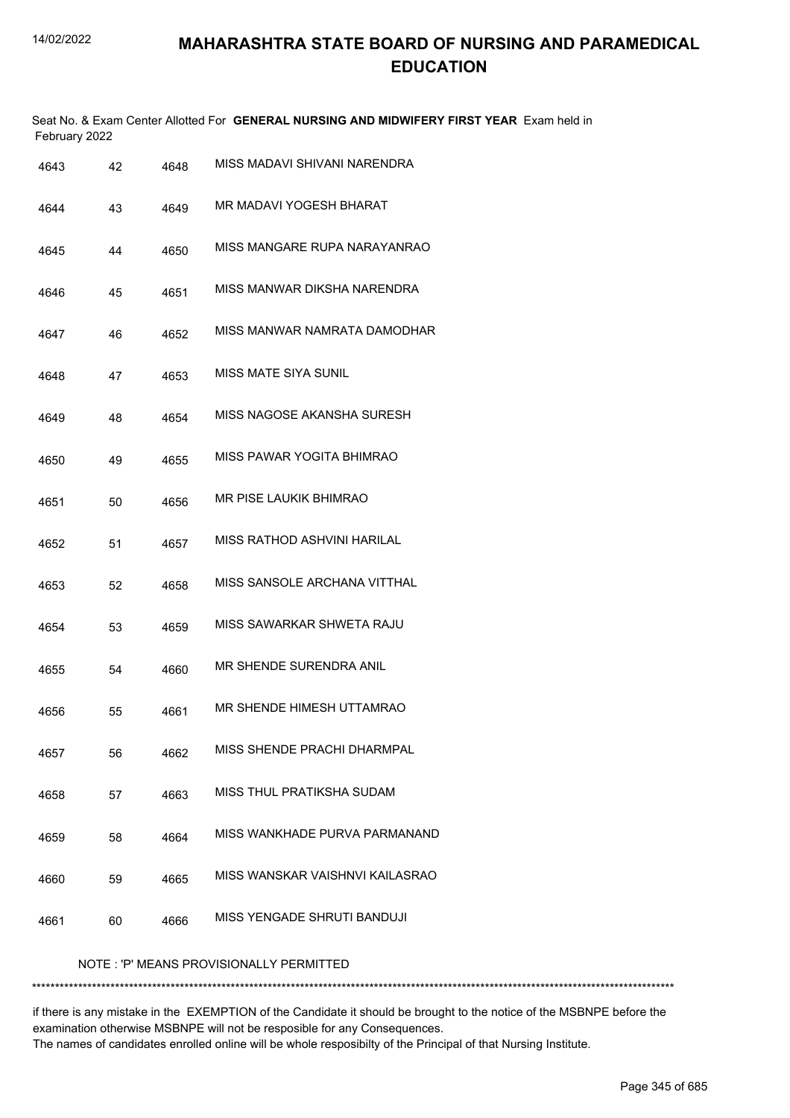|               | Seat No. & Exam Center Allotted For GENERAL NURSING AND MIDWIFERY FIRST YEAR Exam held in |
|---------------|-------------------------------------------------------------------------------------------|
| February 2022 |                                                                                           |

| 4643                                    | 42 | 4648 | MISS MADAVI SHIVANI NARENDRA     |  |
|-----------------------------------------|----|------|----------------------------------|--|
| 4644                                    | 43 | 4649 | MR MADAVI YOGESH BHARAT          |  |
| 4645                                    | 44 | 4650 | MISS MANGARE RUPA NARAYANRAO     |  |
| 4646                                    | 45 | 4651 | MISS MANWAR DIKSHA NARENDRA      |  |
| 4647                                    | 46 | 4652 | MISS MANWAR NAMRATA DAMODHAR     |  |
| 4648                                    | 47 | 4653 | <b>MISS MATE SIYA SUNIL</b>      |  |
| 4649                                    | 48 | 4654 | MISS NAGOSE AKANSHA SURESH       |  |
| 4650                                    | 49 | 4655 | MISS PAWAR YOGITA BHIMRAO        |  |
| 4651                                    | 50 | 4656 | MR PISE LAUKIK BHIMRAO           |  |
| 4652                                    | 51 | 4657 | MISS RATHOD ASHVINI HARILAL      |  |
| 4653                                    | 52 | 4658 | MISS SANSOLE ARCHANA VITTHAL     |  |
| 4654                                    | 53 | 4659 | MISS SAWARKAR SHWETA RAJU        |  |
| 4655                                    | 54 | 4660 | MR SHENDE SURENDRA ANIL          |  |
| 4656                                    | 55 | 4661 | MR SHENDE HIMESH UTTAMRAO        |  |
| 4657                                    | 56 | 4662 | MISS SHENDE PRACHI DHARMPAL      |  |
| 4658                                    | 57 | 4663 | <b>MISS THUL PRATIKSHA SUDAM</b> |  |
| 4659                                    | 58 | 4664 | MISS WANKHADE PURVA PARMANAND    |  |
| 4660                                    | 59 | 4665 | MISS WANSKAR VAISHNVI KAILASRAO  |  |
| 4661                                    | 60 | 4666 | MISS YENGADE SHRUTI BANDUJI      |  |
| NOTE: 'P' MEANS PROVISIONALLY PERMITTED |    |      |                                  |  |

\*\*\*\*\*\*\*\*\*\*\*\*\*\*\*\*\*\*\*\*\*\*\*\*\*\*\*\*\*\*\*\*\*\*\*\*\*\*\*\*\*\*\*\*\*\*\*\*\*\*\*\*\*\*\*\*\*\*\*\*\*\*\*\*\*\*\*\*\*\*\*\*\*\*\*\*\*\*\*\*\*\*\*\*\*\*\*\*\*\*\*\*\*\*\*\*\*\*\*\*\*\*\*\*\*\*\*\*\*\*\*\*\*\*\*\*\*\*\*\*\*\*\*\*\*\*\*\*\*\*\*\*\*\*\*\*\*\*\*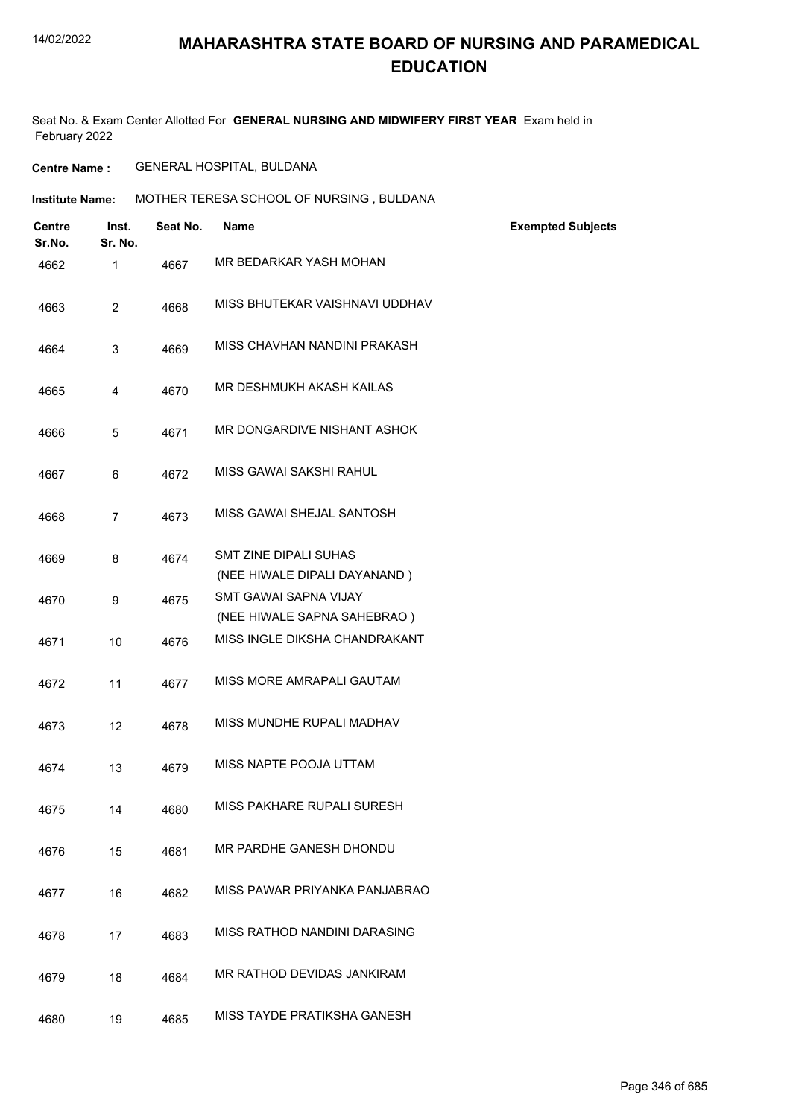Seat No. & Exam Center Allotted For **GENERAL NURSING AND MIDWIFERY FIRST YEAR** Exam held in February 2022

**Centre Name :** GENERAL HOSPITAL, BULDANA

**Institute Name: MOTHER TERESA SCHOOL OF NURSING , BULDANA** 

| <b>Centre</b><br>Sr.No. | Inst.<br>Sr. No. | Seat No. | <b>Name</b>                                                  | <b>Exempted Subjects</b> |
|-------------------------|------------------|----------|--------------------------------------------------------------|--------------------------|
| 4662                    | $\mathbf 1$      | 4667     | MR BEDARKAR YASH MOHAN                                       |                          |
| 4663                    | $\overline{2}$   | 4668     | MISS BHUTEKAR VAISHNAVI UDDHAV                               |                          |
| 4664                    | 3                | 4669     | MISS CHAVHAN NANDINI PRAKASH                                 |                          |
| 4665                    | 4                | 4670     | MR DESHMUKH AKASH KAILAS                                     |                          |
| 4666                    | 5                | 4671     | MR DONGARDIVE NISHANT ASHOK                                  |                          |
| 4667                    | 6                | 4672     | MISS GAWAI SAKSHI RAHUL                                      |                          |
| 4668                    | $\overline{7}$   | 4673     | MISS GAWAI SHEJAL SANTOSH                                    |                          |
| 4669                    | 8                | 4674     | <b>SMT ZINE DIPALI SUHAS</b><br>(NEE HIWALE DIPALI DAYANAND) |                          |
| 4670                    | 9                | 4675     | <b>SMT GAWAI SAPNA VIJAY</b><br>(NEE HIWALE SAPNA SAHEBRAO)  |                          |
| 4671                    | 10               | 4676     | MISS INGLE DIKSHA CHANDRAKANT                                |                          |
| 4672                    | 11               | 4677     | MISS MORE AMRAPALI GAUTAM                                    |                          |
| 4673                    | 12               | 4678     | MISS MUNDHE RUPALI MADHAV                                    |                          |
| 4674                    | 13               | 4679     | MISS NAPTE POOJA UTTAM                                       |                          |
| 4675                    | 14               | 4680     | MISS PAKHARE RUPALI SURESH                                   |                          |
| 4676                    | 15               | 4681     | MR PARDHE GANESH DHONDU                                      |                          |
| 4677                    | 16               | 4682     | MISS PAWAR PRIYANKA PANJABRAO                                |                          |
| 4678                    | 17               | 4683     | MISS RATHOD NANDINI DARASING                                 |                          |
| 4679                    | 18               | 4684     | MR RATHOD DEVIDAS JANKIRAM                                   |                          |
| 4680                    | 19               | 4685     | <b>MISS TAYDE PRATIKSHA GANESH</b>                           |                          |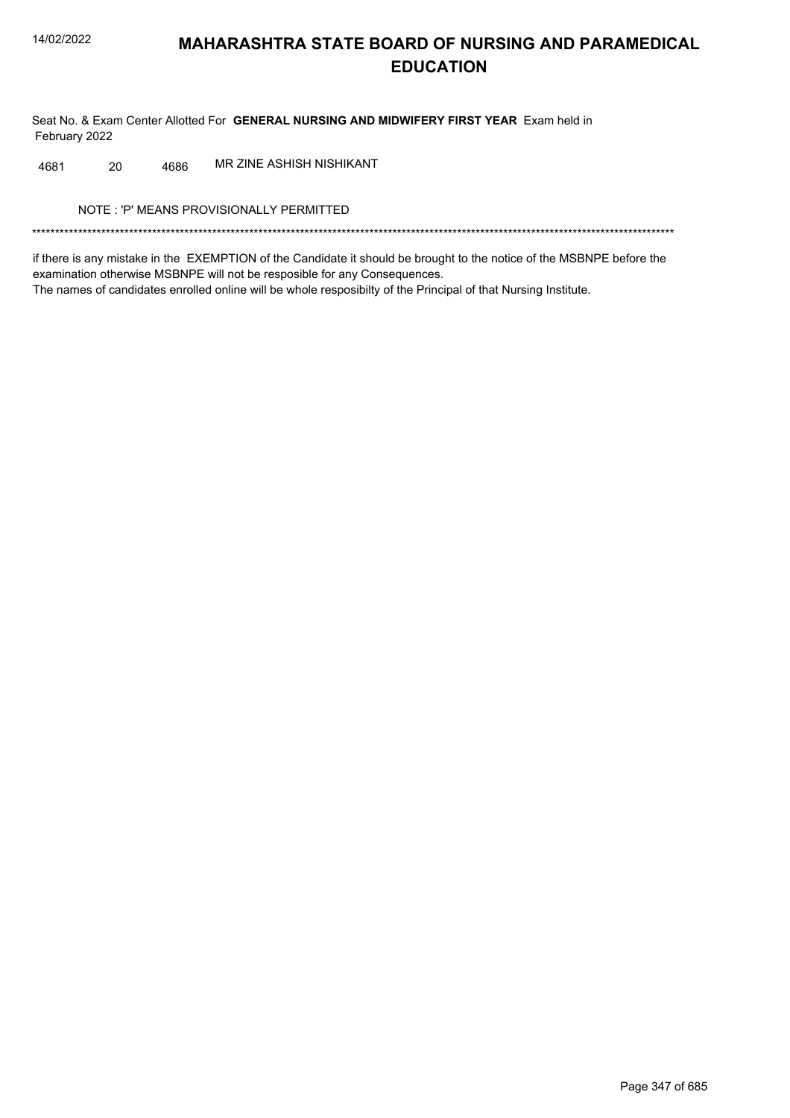Seat No. & Exam Center Allotted For GENERAL NURSING AND MIDWIFERY FIRST YEAR Exam held in February 2022

MR ZINE ASHISH NISHIKANT 4681 20 4686

NOTE: 'P' MEANS PROVISIONALLY PERMITTED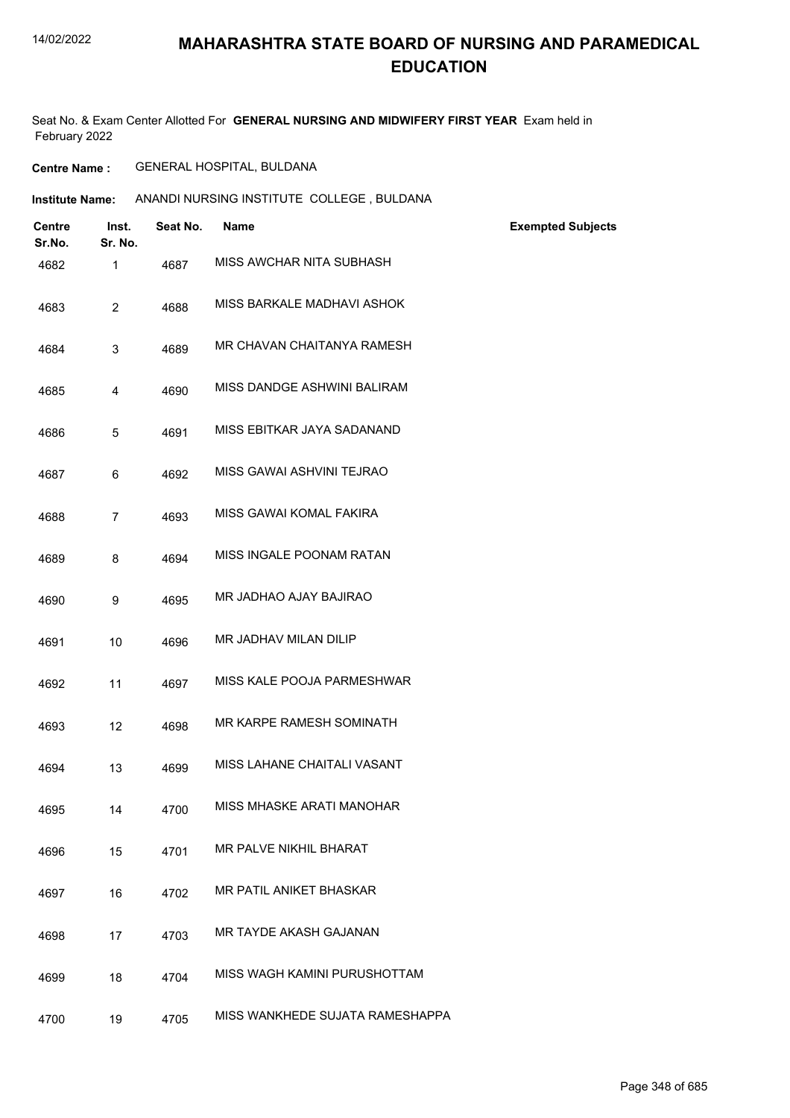## **MAHARASHTRA STATE BOARD OF NURSING AND PARAMEDICAL EDUCATION**

Seat No. & Exam Center Allotted For **GENERAL NURSING AND MIDWIFERY FIRST YEAR** Exam held in February 2022

**Centre Name :** GENERAL HOSPITAL, BULDANA

| Institute Name: | ANANDI NURSING INSTITUTE COLLEGE, BULDANA |  |
|-----------------|-------------------------------------------|--|
|                 |                                           |  |

| <b>Centre</b><br>Sr.No. | Inst.<br>Sr. No. | Seat No. | <b>Name</b>                     | <b>Exempted Subjects</b> |
|-------------------------|------------------|----------|---------------------------------|--------------------------|
| 4682                    | 1                | 4687     | MISS AWCHAR NITA SUBHASH        |                          |
| 4683                    | $\overline{2}$   | 4688     | MISS BARKALE MADHAVI ASHOK      |                          |
| 4684                    | 3                | 4689     | MR CHAVAN CHAITANYA RAMESH      |                          |
| 4685                    | 4                | 4690     | MISS DANDGE ASHWINI BALIRAM     |                          |
| 4686                    | 5                | 4691     | MISS EBITKAR JAYA SADANAND      |                          |
| 4687                    | 6                | 4692     | MISS GAWAI ASHVINI TEJRAO       |                          |
| 4688                    | $\overline{7}$   | 4693     | MISS GAWAI KOMAL FAKIRA         |                          |
| 4689                    | 8                | 4694     | MISS INGALE POONAM RATAN        |                          |
| 4690                    | 9                | 4695     | MR JADHAO AJAY BAJIRAO          |                          |
| 4691                    | 10               | 4696     | MR JADHAV MILAN DILIP           |                          |
| 4692                    | 11               | 4697     | MISS KALE POOJA PARMESHWAR      |                          |
| 4693                    | 12               | 4698     | MR KARPE RAMESH SOMINATH        |                          |
| 4694                    | 13               | 4699     | MISS LAHANE CHAITALI VASANT     |                          |
| 4695                    | 14               | 4700     | MISS MHASKE ARATI MANOHAR       |                          |
| 4696                    | 15               | 4701     | MR PALVE NIKHIL BHARAT          |                          |
| 4697                    | 16               | 4702     | MR PATIL ANIKET BHASKAR         |                          |
| 4698                    | 17               | 4703     | MR TAYDE AKASH GAJANAN          |                          |
| 4699                    | 18               | 4704     | MISS WAGH KAMINI PURUSHOTTAM    |                          |
| 4700                    | 19               | 4705     | MISS WANKHEDE SUJATA RAMESHAPPA |                          |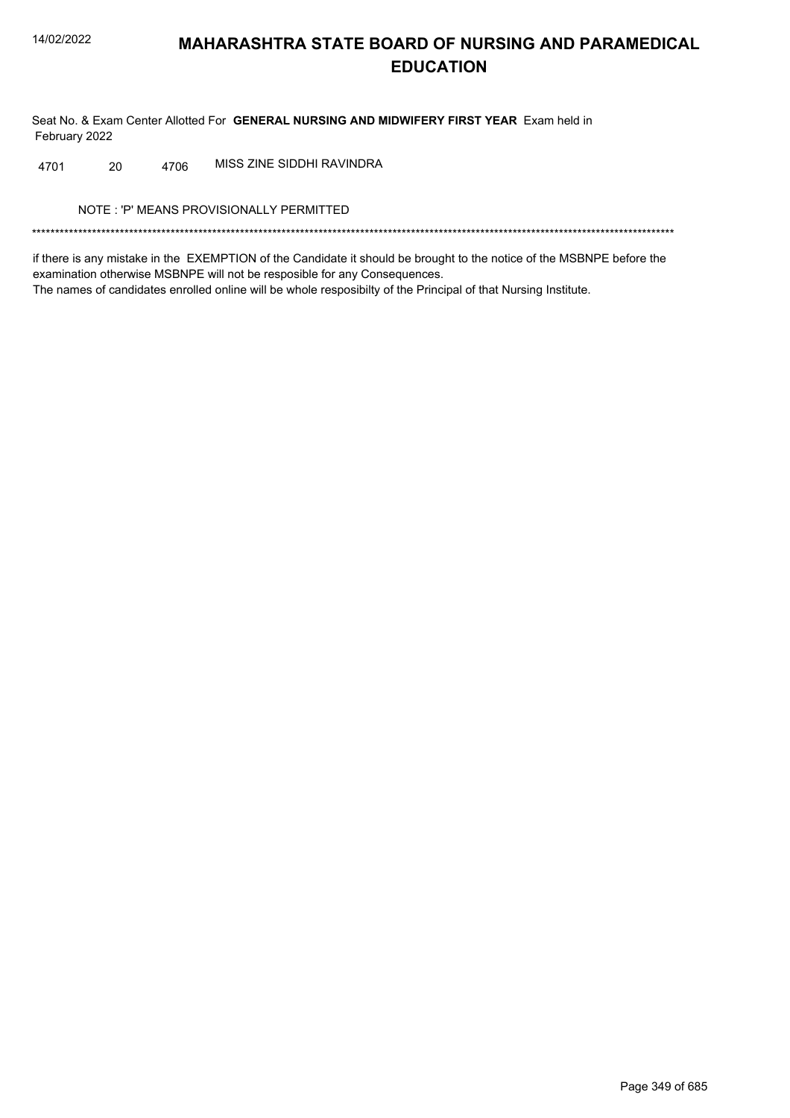Seat No. & Exam Center Allotted For GENERAL NURSING AND MIDWIFERY FIRST YEAR Exam held in February 2022

MISS ZINE SIDDHI RAVINDRA 4701 20 4706

NOTE: 'P' MEANS PROVISIONALLY PERMITTED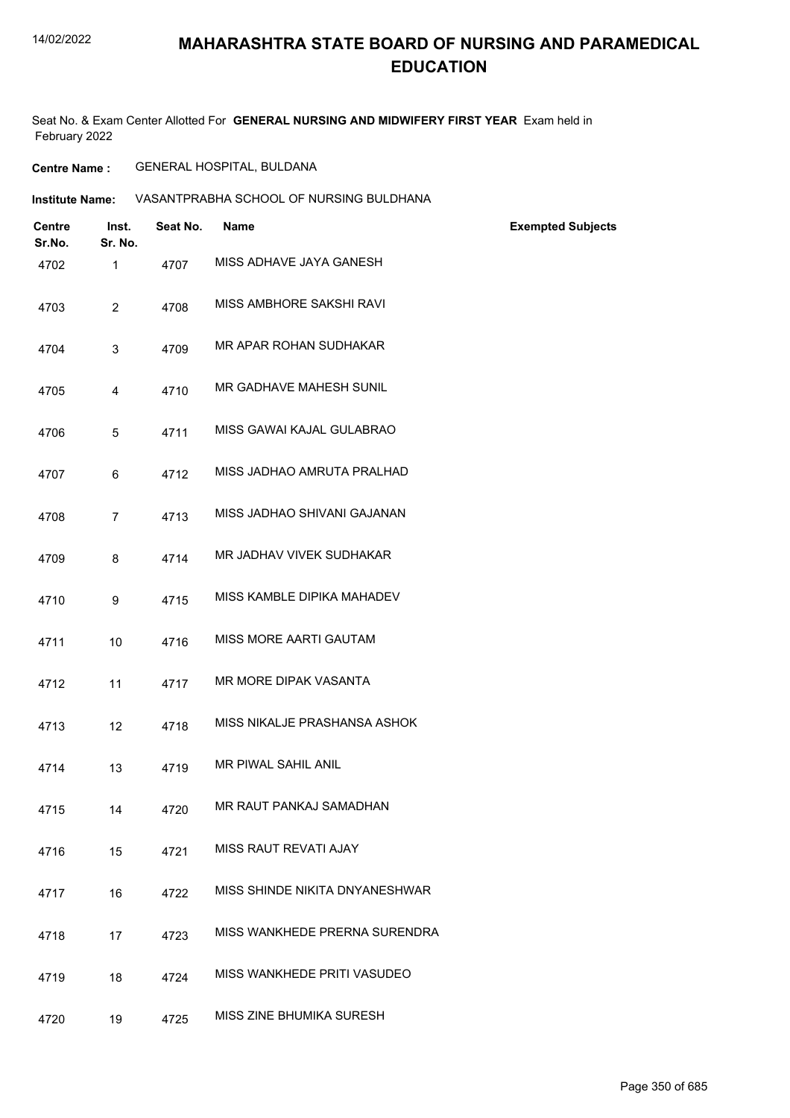## **MAHARASHTRA STATE BOARD OF NURSING AND PARAMEDICAL EDUCATION**

Seat No. & Exam Center Allotted For **GENERAL NURSING AND MIDWIFERY FIRST YEAR** Exam held in February 2022

**Centre Name :** GENERAL HOSPITAL, BULDANA

| VASANTPRABHA SCHOOL OF NURSING BULDHANA<br><b>Institute Name:</b> |
|-------------------------------------------------------------------|
|-------------------------------------------------------------------|

| Centre<br>Sr.No. | Inst.<br>Sr. No. | Seat No. | <b>Name</b>                    | <b>Exempted Subjects</b> |
|------------------|------------------|----------|--------------------------------|--------------------------|
| 4702             | 1                | 4707     | MISS ADHAVE JAYA GANESH        |                          |
| 4703             | $\overline{2}$   | 4708     | MISS AMBHORE SAKSHI RAVI       |                          |
| 4704             | 3                | 4709     | MR APAR ROHAN SUDHAKAR         |                          |
| 4705             | 4                | 4710     | MR GADHAVE MAHESH SUNIL        |                          |
| 4706             | 5                | 4711     | MISS GAWAI KAJAL GULABRAO      |                          |
| 4707             | 6                | 4712     | MISS JADHAO AMRUTA PRALHAD     |                          |
| 4708             | $\overline{7}$   | 4713     | MISS JADHAO SHIVANI GAJANAN    |                          |
| 4709             | 8                | 4714     | MR JADHAV VIVEK SUDHAKAR       |                          |
| 4710             | 9                | 4715     | MISS KAMBLE DIPIKA MAHADEV     |                          |
| 4711             | 10               | 4716     | MISS MORE AARTI GAUTAM         |                          |
| 4712             | 11               | 4717     | MR MORE DIPAK VASANTA          |                          |
| 4713             | 12               | 4718     | MISS NIKALJE PRASHANSA ASHOK   |                          |
| 4714             | 13               | 4719     | MR PIWAL SAHIL ANIL            |                          |
| 4715             | 14               | 4720     | MR RAUT PANKAJ SAMADHAN        |                          |
| 4716             | 15               | 4721     | MISS RAUT REVATI AJAY          |                          |
| 4717             | 16               | 4722     | MISS SHINDE NIKITA DNYANESHWAR |                          |
| 4718             | 17               | 4723     | MISS WANKHEDE PRERNA SURENDRA  |                          |
| 4719             | 18               | 4724     | MISS WANKHEDE PRITI VASUDEO    |                          |
| 4720             | 19               | 4725     | MISS ZINE BHUMIKA SURESH       |                          |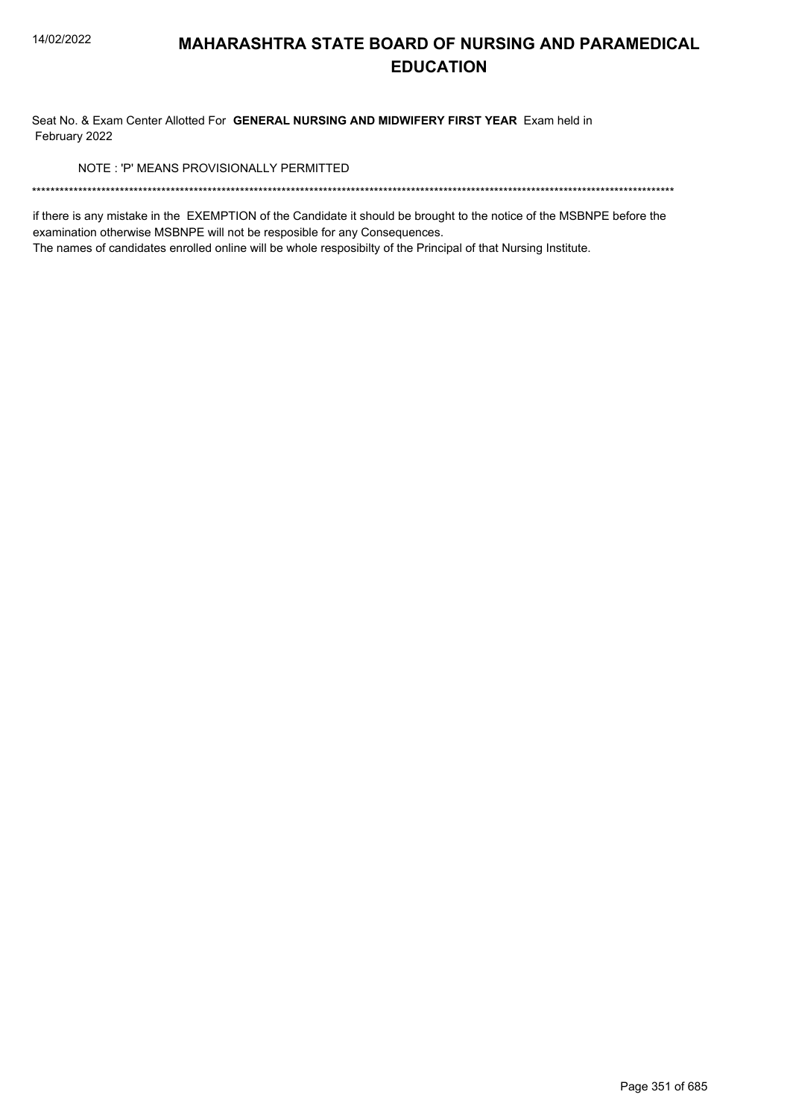Seat No. & Exam Center Allotted For GENERAL NURSING AND MIDWIFERY FIRST YEAR Exam held in February 2022

NOTE: 'P' MEANS PROVISIONALLY PERMITTED

if there is any mistake in the EXEMPTION of the Candidate it should be brought to the notice of the MSBNPE before the examination otherwise MSBNPE will not be resposible for any Consequences.

The names of candidates enrolled online will be whole resposibilty of the Principal of that Nursing Institute.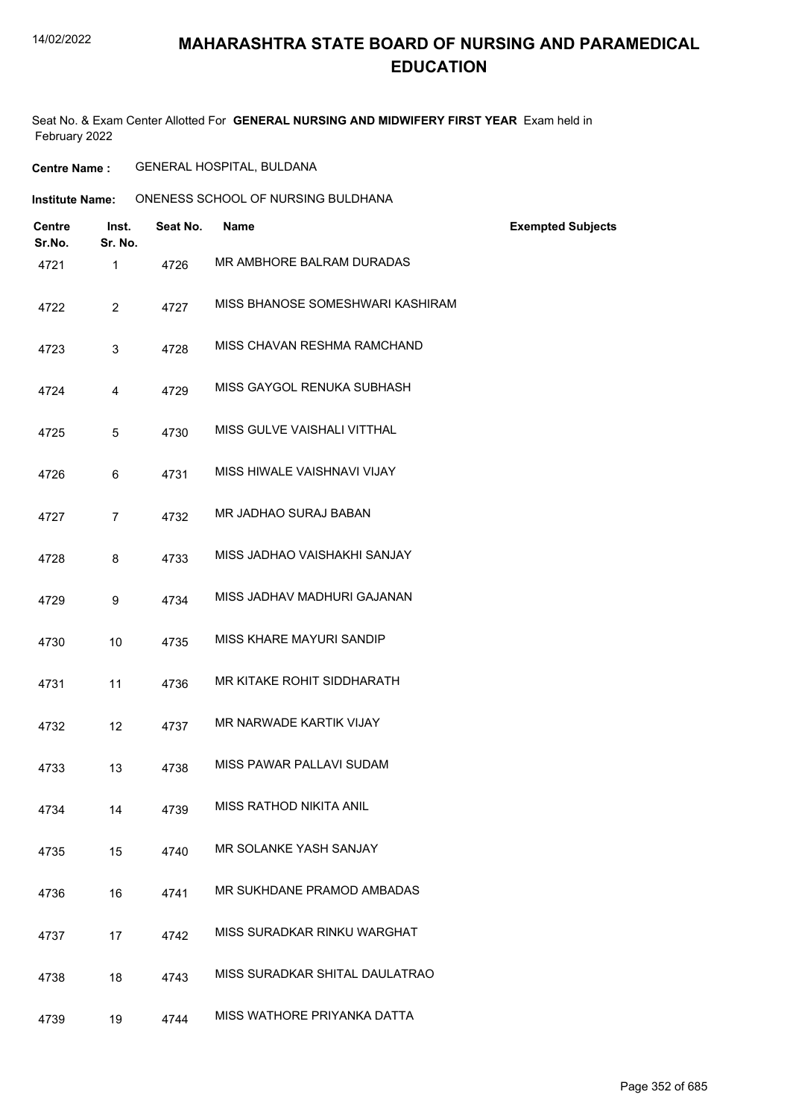Seat No. & Exam Center Allotted For **GENERAL NURSING AND MIDWIFERY FIRST YEAR** Exam held in February 2022

**Centre Name :** GENERAL HOSPITAL, BULDANA

| <b>Centre</b><br>Sr.No. | Inst.<br>Sr. No. | Seat No. | <b>Name</b>                      | <b>Exempted Subjects</b> |
|-------------------------|------------------|----------|----------------------------------|--------------------------|
| 4721                    | 1                | 4726     | MR AMBHORE BALRAM DURADAS        |                          |
| 4722                    | $\overline{2}$   | 4727     | MISS BHANOSE SOMESHWARI KASHIRAM |                          |
| 4723                    | 3                | 4728     | MISS CHAVAN RESHMA RAMCHAND      |                          |
| 4724                    | 4                | 4729     | MISS GAYGOL RENUKA SUBHASH       |                          |
| 4725                    | 5                | 4730     | MISS GULVE VAISHALI VITTHAL      |                          |
| 4726                    | 6                | 4731     | MISS HIWALE VAISHNAVI VIJAY      |                          |
| 4727                    | $\overline{7}$   | 4732     | MR JADHAO SURAJ BABAN            |                          |
| 4728                    | 8                | 4733     | MISS JADHAO VAISHAKHI SANJAY     |                          |
| 4729                    | 9                | 4734     | MISS JADHAV MADHURI GAJANAN      |                          |
| 4730                    | 10               | 4735     | MISS KHARE MAYURI SANDIP         |                          |
| 4731                    | 11               | 4736     | MR KITAKE ROHIT SIDDHARATH       |                          |
| 4732                    | 12               | 4737     | MR NARWADE KARTIK VIJAY          |                          |
| 4733                    | 13               | 4738     | MISS PAWAR PALLAVI SUDAM         |                          |
| 4734                    | 14               | 4739     | <b>MISS RATHOD NIKITA ANIL</b>   |                          |
| 4735                    | 15               | 4740     | MR SOLANKE YASH SANJAY           |                          |
| 4736                    | 16               | 4741     | MR SUKHDANE PRAMOD AMBADAS       |                          |
| 4737                    | 17               | 4742     | MISS SURADKAR RINKU WARGHAT      |                          |
| 4738                    | 18               | 4743     | MISS SURADKAR SHITAL DAULATRAO   |                          |
| 4739                    | 19               | 4744     | MISS WATHORE PRIYANKA DATTA      |                          |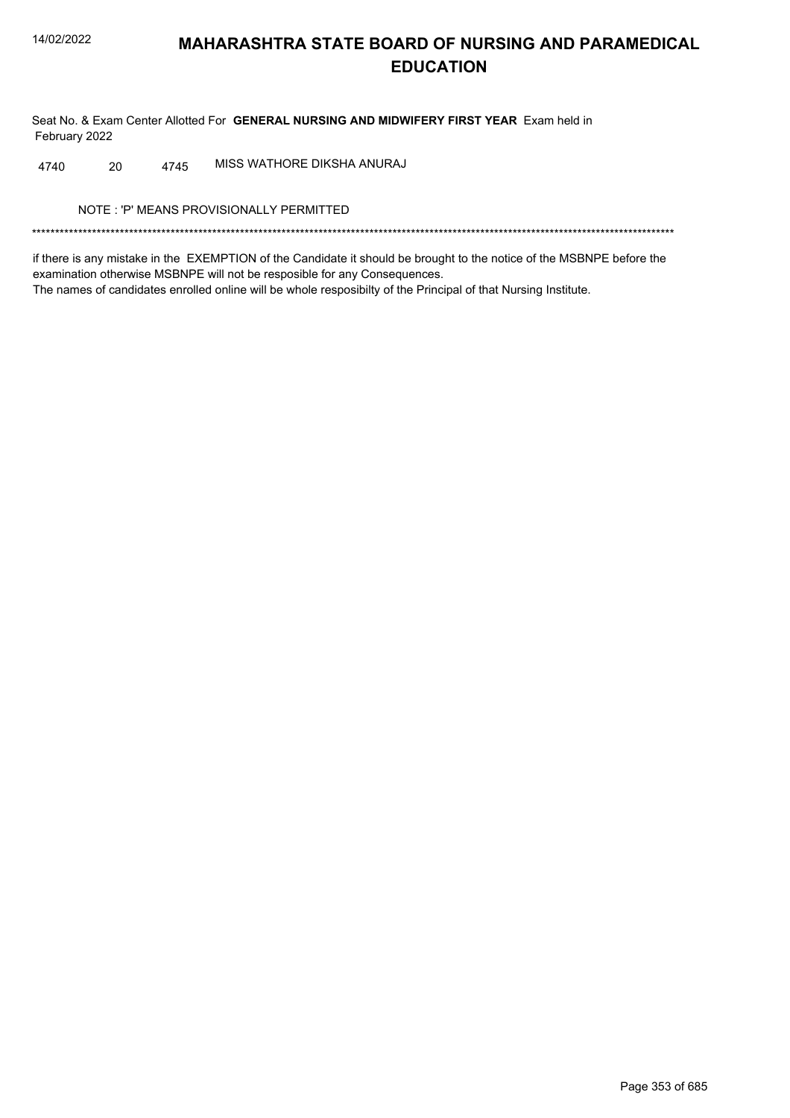Seat No. & Exam Center Allotted For GENERAL NURSING AND MIDWIFERY FIRST YEAR Exam held in February 2022

MISS WATHORE DIKSHA ANURAJ 4740 20 4745

NOTE: 'P' MEANS PROVISIONALLY PERMITTED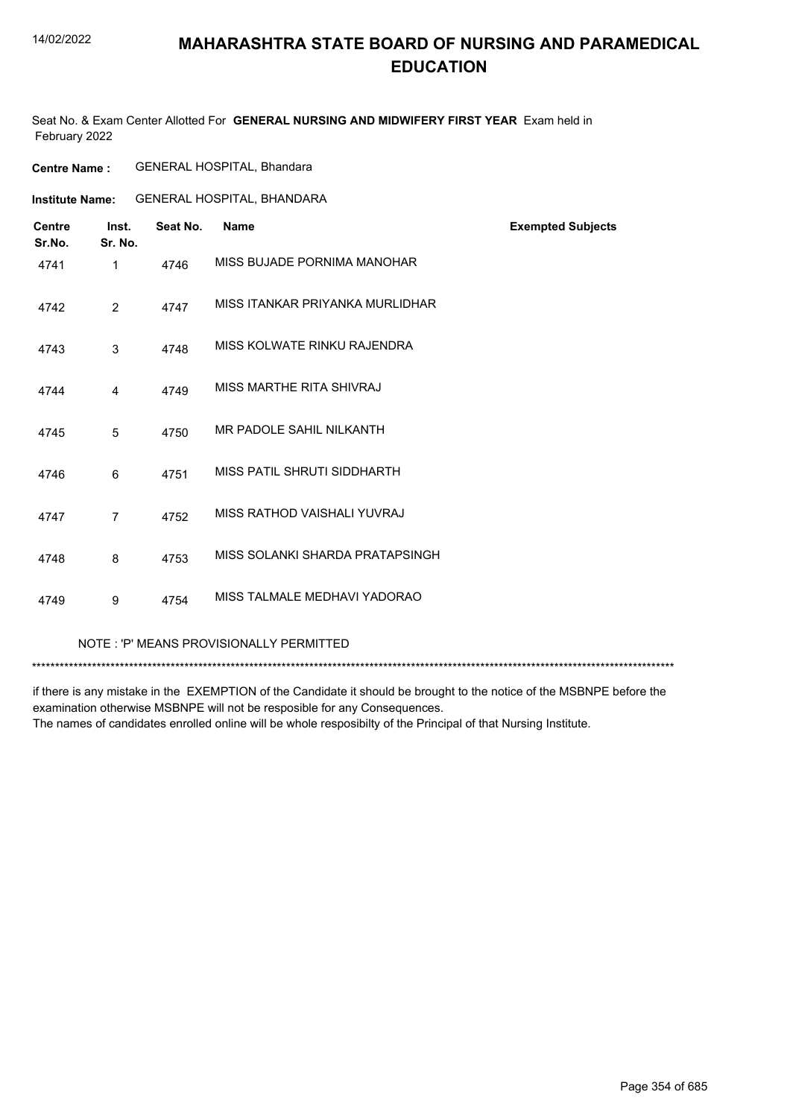## **MAHARASHTRA STATE BOARD OF NURSING AND PARAMEDICAL EDUCATION**

Seat No. & Exam Center Allotted For **GENERAL NURSING AND MIDWIFERY FIRST YEAR** Exam held in February 2022

| <b>Centre Name :</b> | <b>GENERAL HOSPITAL, Bhandara</b> |  |
|----------------------|-----------------------------------|--|
|----------------------|-----------------------------------|--|

**Institute Name:** GENERAL HOSPITAL, BHANDARA

| <b>Centre</b><br>Sr.No. | Inst.<br>Sr. No. | Seat No. | <b>Name</b>                             | <b>Exempted Subjects</b> |
|-------------------------|------------------|----------|-----------------------------------------|--------------------------|
| 4741                    | 1                | 4746     | MISS BUJADE PORNIMA MANOHAR             |                          |
| 4742                    | $\overline{2}$   | 4747     | MISS ITANKAR PRIYANKA MURLIDHAR         |                          |
| 4743                    | 3                | 4748     | MISS KOLWATE RINKU RAJENDRA             |                          |
| 4744                    | 4                | 4749     | MISS MARTHE RITA SHIVRAJ                |                          |
| 4745                    | 5                | 4750     | MR PADOLE SAHIL NILKANTH                |                          |
| 4746                    | 6                | 4751     | MISS PATIL SHRUTI SIDDHARTH             |                          |
| 4747                    | $\overline{7}$   | 4752     | MISS RATHOD VAISHALI YUVRAJ             |                          |
| 4748                    | 8                | 4753     | MISS SOLANKI SHARDA PRATAPSINGH         |                          |
| 4749                    | 9                | 4754     | MISS TALMALE MEDHAVI YADORAO            |                          |
|                         |                  |          | NOTE: 'P' MEANS PROVISIONALLY PERMITTED |                          |

\*\*\*\*\*\*\*\*\*\*\*\*\*\*\*\*\*\*\*\*\*\*\*\*\*\*\*\*\*\*\*\*\*\*\*\*\*\*\*\*\*\*\*\*\*\*\*\*\*\*\*\*\*\*\*\*\*\*\*\*\*\*\*\*\*\*\*\*\*\*\*\*\*\*\*\*\*\*\*\*\*\*\*\*\*\*\*\*\*\*\*\*\*\*\*\*\*\*\*\*\*\*\*\*\*\*\*\*\*\*\*\*\*\*\*\*\*\*\*\*\*\*\*\*\*\*\*\*\*\*\*\*\*\*\*\*\*\*\*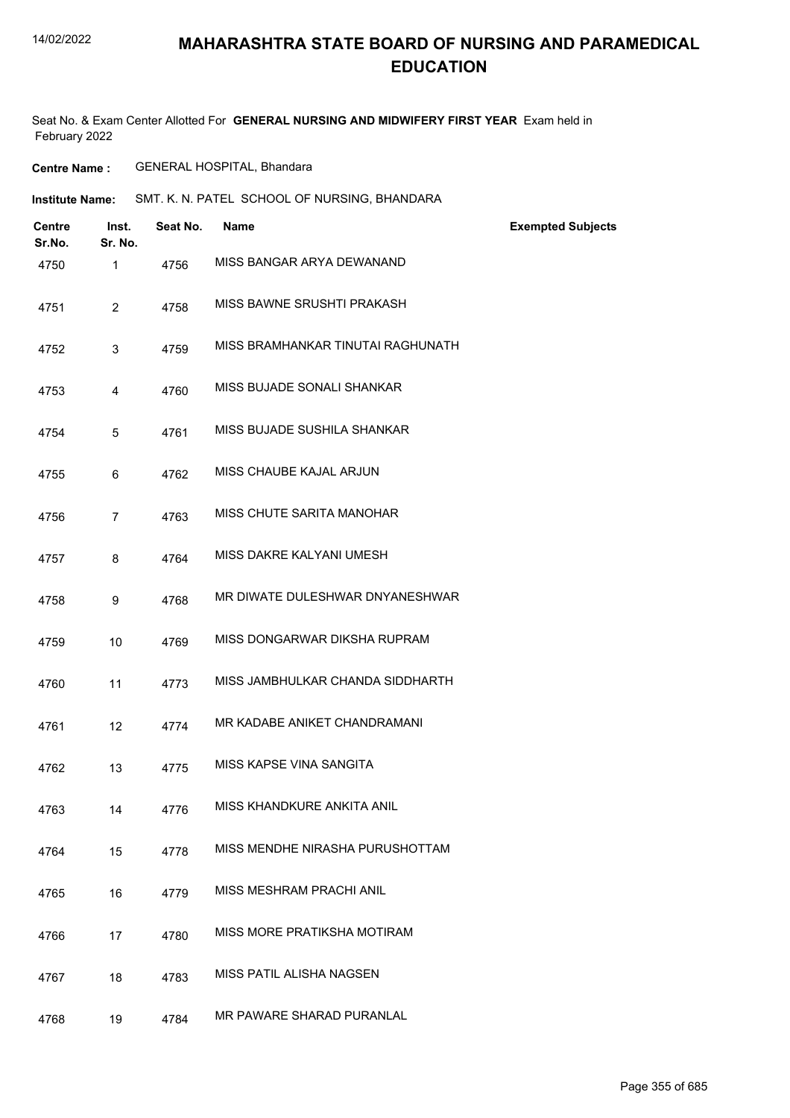## **MAHARASHTRA STATE BOARD OF NURSING AND PARAMEDICAL EDUCATION**

Seat No. & Exam Center Allotted For **GENERAL NURSING AND MIDWIFERY FIRST YEAR** Exam held in February 2022

**Centre Name :** GENERAL HOSPITAL, Bhandara

**Institute Name:** SMT. K. N. PATEL SCHOOL OF NURSING, BHANDARA

| <b>Centre</b><br>Sr.No. | Inst.<br>Sr. No. | Seat No. | <b>Name</b>                       | <b>Exempted Subjects</b> |
|-------------------------|------------------|----------|-----------------------------------|--------------------------|
| 4750                    | 1                | 4756     | MISS BANGAR ARYA DEWANAND         |                          |
| 4751                    | $\overline{2}$   | 4758     | MISS BAWNE SRUSHTI PRAKASH        |                          |
| 4752                    | 3                | 4759     | MISS BRAMHANKAR TINUTAI RAGHUNATH |                          |
| 4753                    | $\overline{4}$   | 4760     | MISS BUJADE SONALI SHANKAR        |                          |
| 4754                    | 5                | 4761     | MISS BUJADE SUSHILA SHANKAR       |                          |
| 4755                    | 6                | 4762     | MISS CHAUBE KAJAL ARJUN           |                          |
| 4756                    | $\overline{7}$   | 4763     | MISS CHUTE SARITA MANOHAR         |                          |
| 4757                    | 8                | 4764     | MISS DAKRE KALYANI UMESH          |                          |
| 4758                    | 9                | 4768     | MR DIWATE DULESHWAR DNYANESHWAR   |                          |
| 4759                    | 10               | 4769     | MISS DONGARWAR DIKSHA RUPRAM      |                          |
| 4760                    | 11               | 4773     | MISS JAMBHULKAR CHANDA SIDDHARTH  |                          |
| 4761                    | 12               | 4774     | MR KADABE ANIKET CHANDRAMANI      |                          |
| 4762                    | 13               | 4775     | MISS KAPSE VINA SANGITA           |                          |
| 4763                    | 14               | 4776     | MISS KHANDKURE ANKITA ANIL        |                          |
| 4764                    | 15               | 4778     | MISS MENDHE NIRASHA PURUSHOTTAM   |                          |
| 4765                    | 16               | 4779     | MISS MESHRAM PRACHI ANIL          |                          |
| 4766                    | 17               | 4780     | MISS MORE PRATIKSHA MOTIRAM       |                          |
| 4767                    | 18               | 4783     | MISS PATIL ALISHA NAGSEN          |                          |
| 4768                    | 19               | 4784     | MR PAWARE SHARAD PURANLAL         |                          |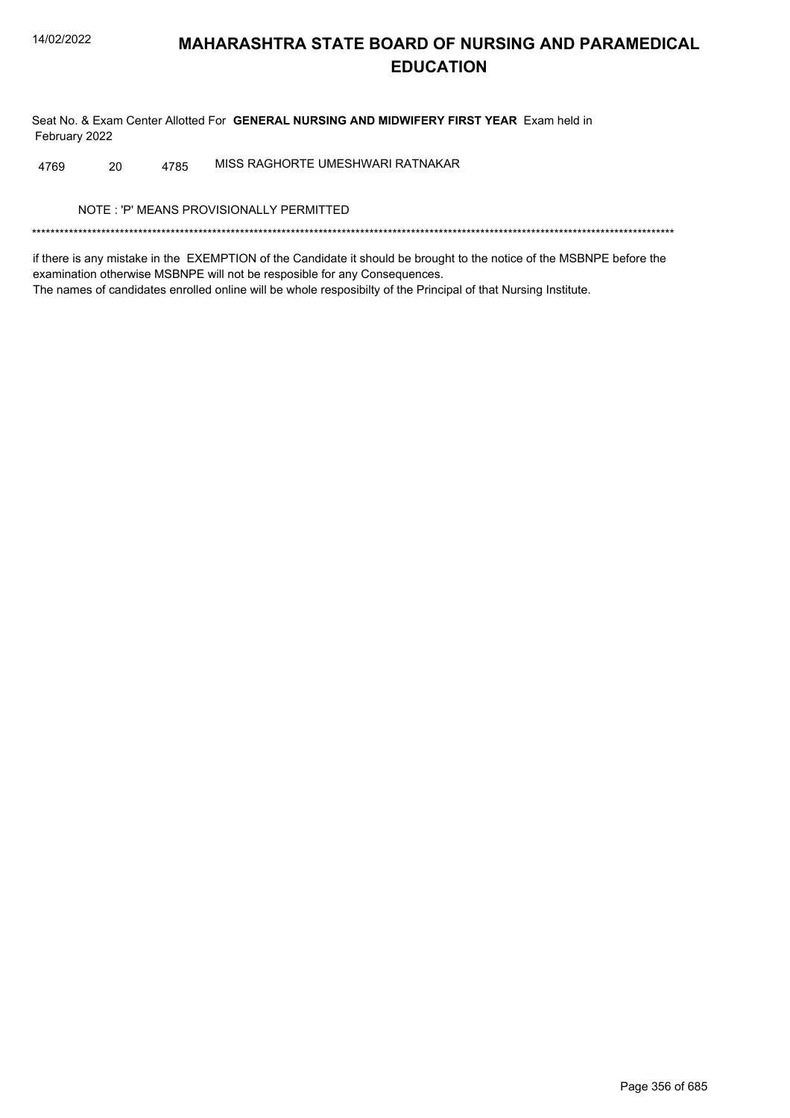Seat No. & Exam Center Allotted For GENERAL NURSING AND MIDWIFERY FIRST YEAR Exam held in February 2022

MISS RAGHORTE UMESHWARI RATNAKAR 20 4785 4769

NOTE: 'P' MEANS PROVISIONALLY PERMITTED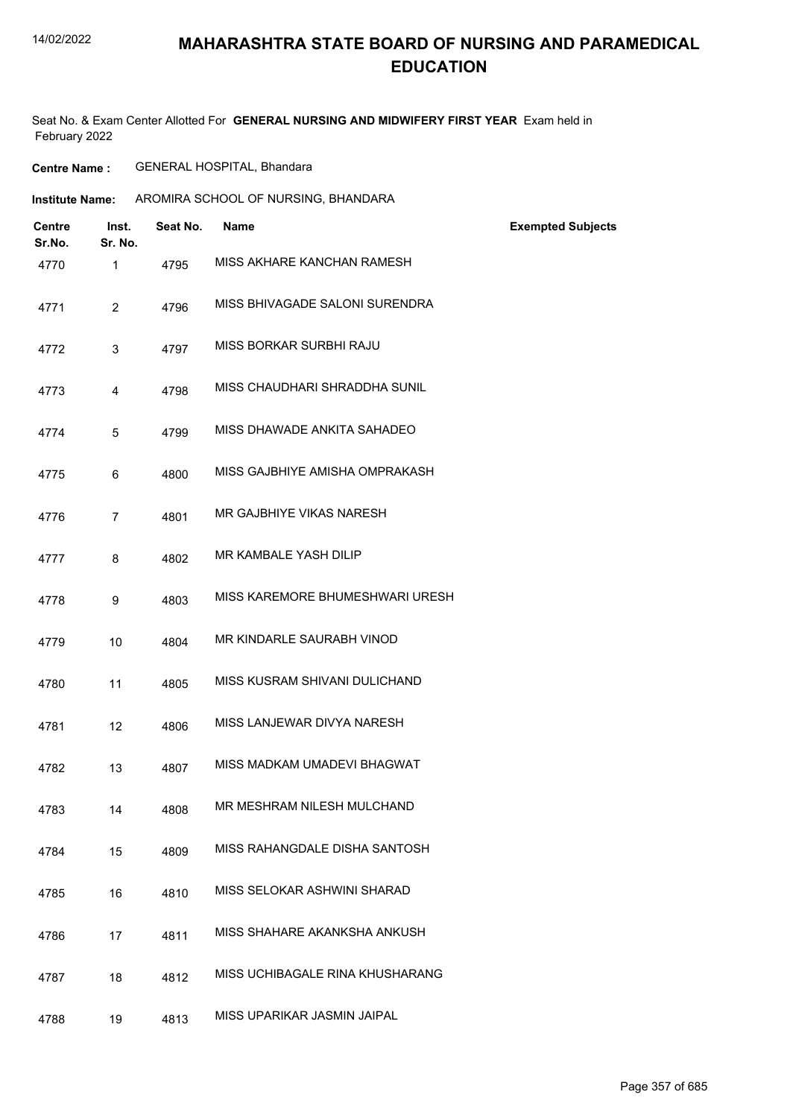## **MAHARASHTRA STATE BOARD OF NURSING AND PARAMEDICAL EDUCATION**

Seat No. & Exam Center Allotted For **GENERAL NURSING AND MIDWIFERY FIRST YEAR** Exam held in February 2022

**Centre Name :** GENERAL HOSPITAL, Bhandara

| Institute Name: | AROMIRA SCHOOL OF NURSING, BHANDARA |
|-----------------|-------------------------------------|
|                 |                                     |

| <b>Centre</b><br>Sr.No. | Inst.<br>Sr. No. | Seat No. | <b>Name</b>                     | <b>Exempted Subjects</b> |
|-------------------------|------------------|----------|---------------------------------|--------------------------|
| 4770                    | $\mathbf{1}$     | 4795     | MISS AKHARE KANCHAN RAMESH      |                          |
| 4771                    | $\overline{2}$   | 4796     | MISS BHIVAGADE SALONI SURENDRA  |                          |
| 4772                    | 3                | 4797     | MISS BORKAR SURBHI RAJU         |                          |
| 4773                    | 4                | 4798     | MISS CHAUDHARI SHRADDHA SUNIL   |                          |
| 4774                    | 5                | 4799     | MISS DHAWADE ANKITA SAHADEO     |                          |
| 4775                    | 6                | 4800     | MISS GAJBHIYE AMISHA OMPRAKASH  |                          |
| 4776                    | $\overline{7}$   | 4801     | <b>MR GAJBHIYE VIKAS NARESH</b> |                          |
| 4777                    | 8                | 4802     | MR KAMBALE YASH DILIP           |                          |
| 4778                    | 9                | 4803     | MISS KAREMORE BHUMESHWARI URESH |                          |
| 4779                    | 10               | 4804     | MR KINDARLE SAURABH VINOD       |                          |
| 4780                    | 11               | 4805     | MISS KUSRAM SHIVANI DULICHAND   |                          |
| 4781                    | 12               | 4806     | MISS LANJEWAR DIVYA NARESH      |                          |
| 4782                    | 13               | 4807     | MISS MADKAM UMADEVI BHAGWAT     |                          |
| 4783                    | 14               | 4808     | MR MESHRAM NILESH MULCHAND      |                          |
| 4784                    | 15               | 4809     | MISS RAHANGDALE DISHA SANTOSH   |                          |
| 4785                    | 16               | 4810     | MISS SELOKAR ASHWINI SHARAD     |                          |
| 4786                    | 17               | 4811     | MISS SHAHARE AKANKSHA ANKUSH    |                          |
| 4787                    | 18               | 4812     | MISS UCHIBAGALE RINA KHUSHARANG |                          |
| 4788                    | 19               | 4813     | MISS UPARIKAR JASMIN JAIPAL     |                          |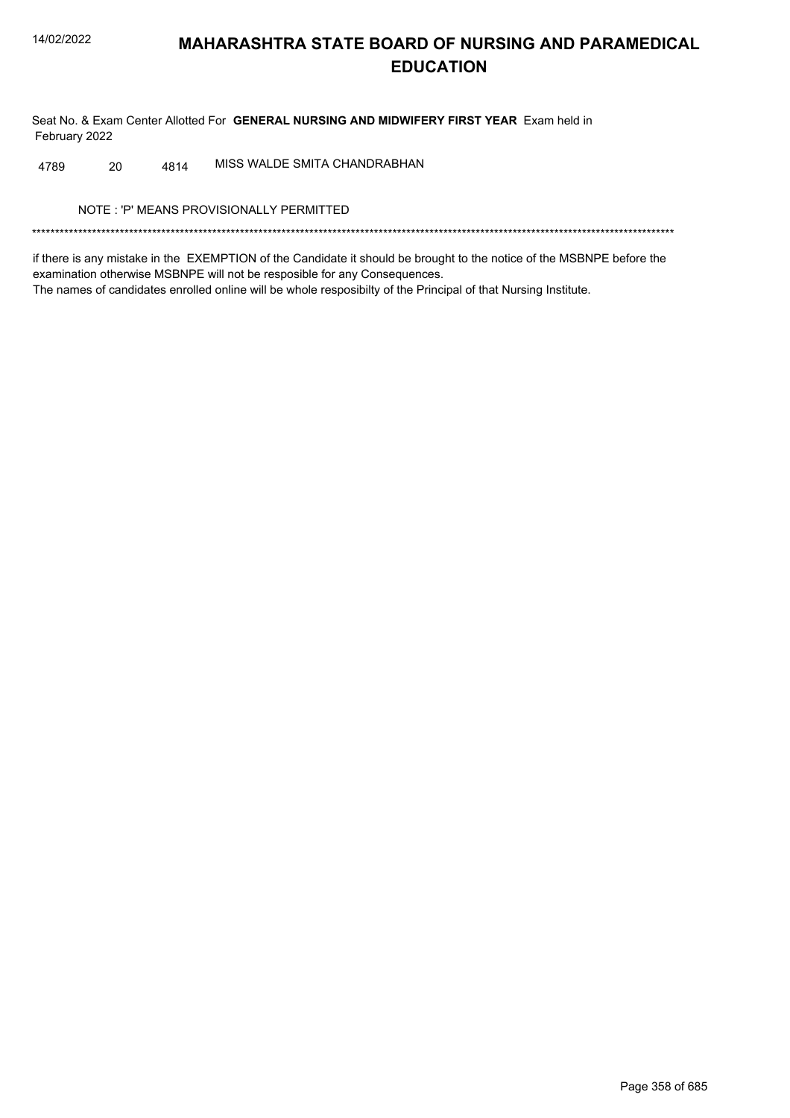Seat No. & Exam Center Allotted For GENERAL NURSING AND MIDWIFERY FIRST YEAR Exam held in February 2022

MISS WALDE SMITA CHANDRABHAN 20 4814 4789

NOTE: 'P' MEANS PROVISIONALLY PERMITTED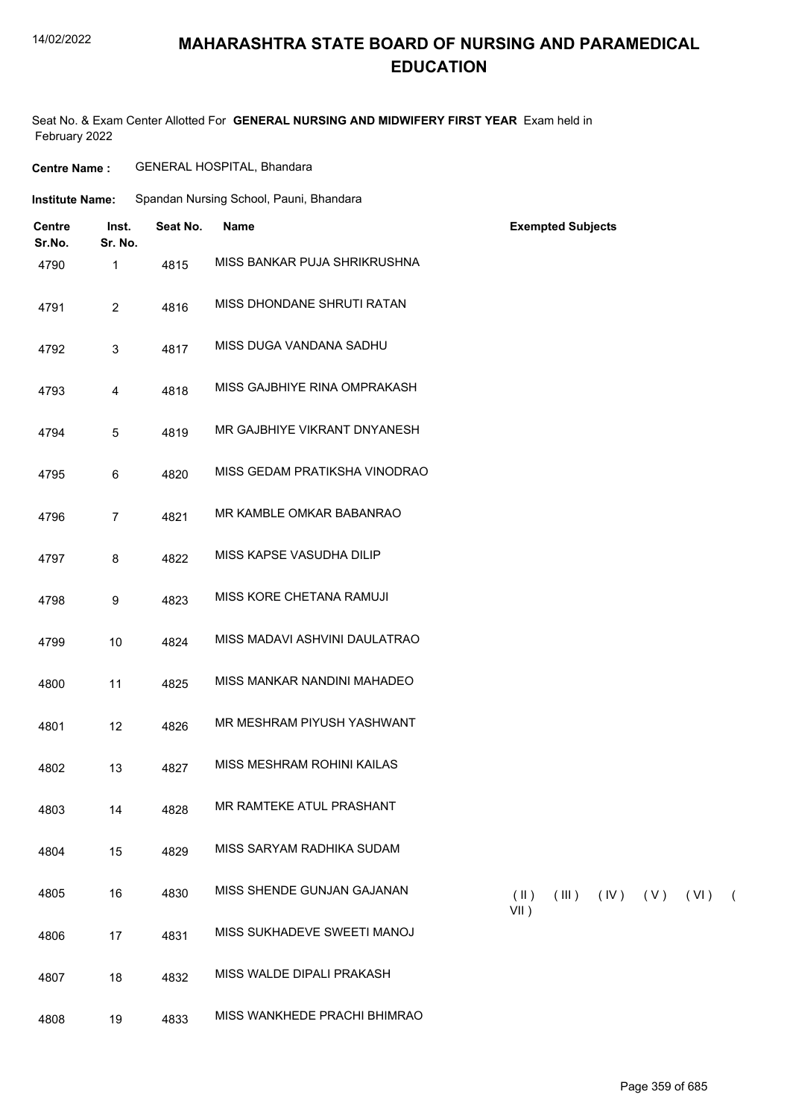## **MAHARASHTRA STATE BOARD OF NURSING AND PARAMEDICAL EDUCATION**

Seat No. & Exam Center Allotted For **GENERAL NURSING AND MIDWIFERY FIRST YEAR** Exam held in February 2022

| <b>Centre Name:</b><br><b>Institute Name:</b> |                  | GENERAL HOSPITAL, Bhandara              |                               |                                                         |  |
|-----------------------------------------------|------------------|-----------------------------------------|-------------------------------|---------------------------------------------------------|--|
|                                               |                  | Spandan Nursing School, Pauni, Bhandara |                               |                                                         |  |
| <b>Centre</b><br>Sr.No.                       | Inst.<br>Sr. No. | Seat No.                                | <b>Name</b>                   | <b>Exempted Subjects</b>                                |  |
| 4790                                          | $\mathbf{1}$     | 4815                                    | MISS BANKAR PUJA SHRIKRUSHNA  |                                                         |  |
| 4791                                          | $\overline{2}$   | 4816                                    | MISS DHONDANE SHRUTI RATAN    |                                                         |  |
| 4792                                          | 3                | 4817                                    | MISS DUGA VANDANA SADHU       |                                                         |  |
| 4793                                          | $\overline{4}$   | 4818                                    | MISS GAJBHIYE RINA OMPRAKASH  |                                                         |  |
| 4794                                          | 5                | 4819                                    | MR GAJBHIYE VIKRANT DNYANESH  |                                                         |  |
| 4795                                          | 6                | 4820                                    | MISS GEDAM PRATIKSHA VINODRAO |                                                         |  |
| 4796                                          | $\overline{7}$   | 4821                                    | MR KAMBLE OMKAR BABANRAO      |                                                         |  |
| 4797                                          | 8                | 4822                                    | MISS KAPSE VASUDHA DILIP      |                                                         |  |
| 4798                                          | 9                | 4823                                    | MISS KORE CHETANA RAMUJI      |                                                         |  |
| 4799                                          | 10               | 4824                                    | MISS MADAVI ASHVINI DAULATRAO |                                                         |  |
| 4800                                          | 11               | 4825                                    | MISS MANKAR NANDINI MAHADEO   |                                                         |  |
| 4801                                          | 12               | 4826                                    | MR MESHRAM PIYUSH YASHWANT    |                                                         |  |
| 4802                                          | 13               | 4827                                    | MISS MESHRAM ROHINI KAILAS    |                                                         |  |
| 4803                                          | 14               | 4828                                    | MR RAMTEKE ATUL PRASHANT      |                                                         |  |
| 4804                                          | 15               | 4829                                    | MISS SARYAM RADHIKA SUDAM     |                                                         |  |
| 4805                                          | 16               | 4830                                    | MISS SHENDE GUNJAN GAJANAN    | $(\parallel)$<br>(III)<br>$(IV)$ $(V)$ $(VI)$ (<br>VII) |  |
| 4806                                          | 17               | 4831                                    | MISS SUKHADEVE SWEETI MANOJ   |                                                         |  |
| 4807                                          | 18               | 4832                                    | MISS WALDE DIPALI PRAKASH     |                                                         |  |

4808 19 4833 MISS WANKHEDE PRACHI BHIMRAO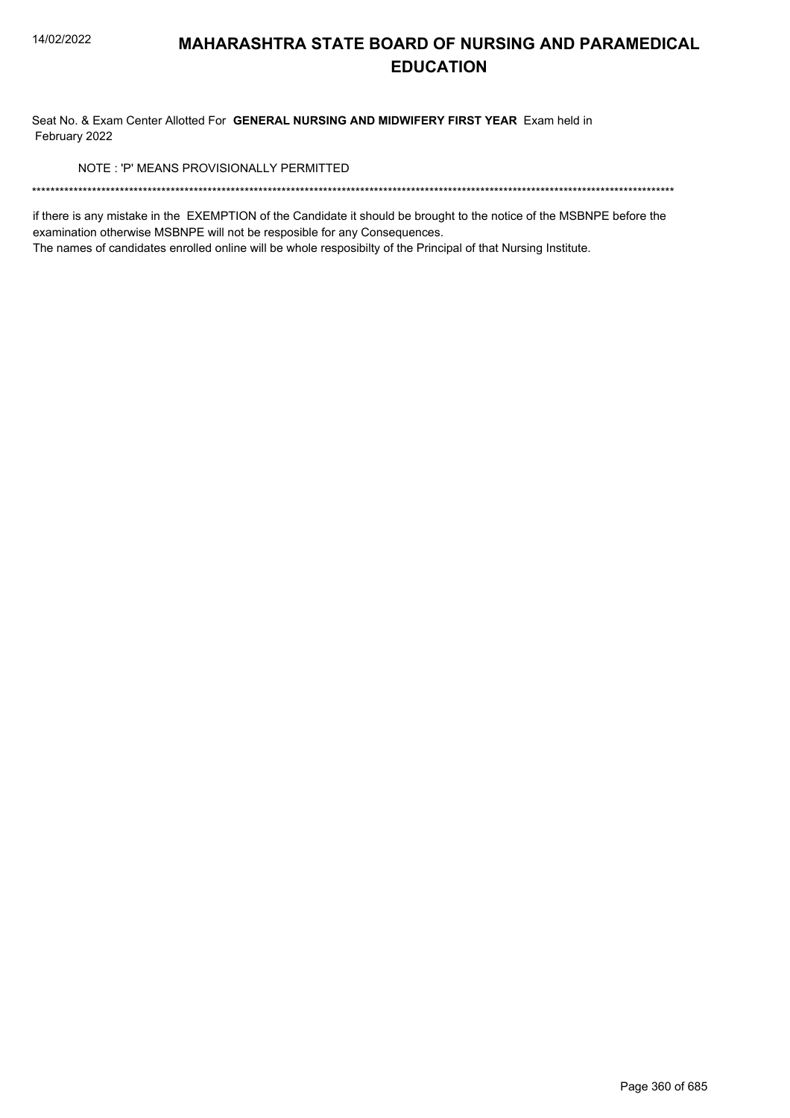Seat No. & Exam Center Allotted For GENERAL NURSING AND MIDWIFERY FIRST YEAR Exam held in February 2022

NOTE: 'P' MEANS PROVISIONALLY PERMITTED

if there is any mistake in the EXEMPTION of the Candidate it should be brought to the notice of the MSBNPE before the examination otherwise MSBNPE will not be resposible for any Consequences.

The names of candidates enrolled online will be whole resposibilty of the Principal of that Nursing Institute.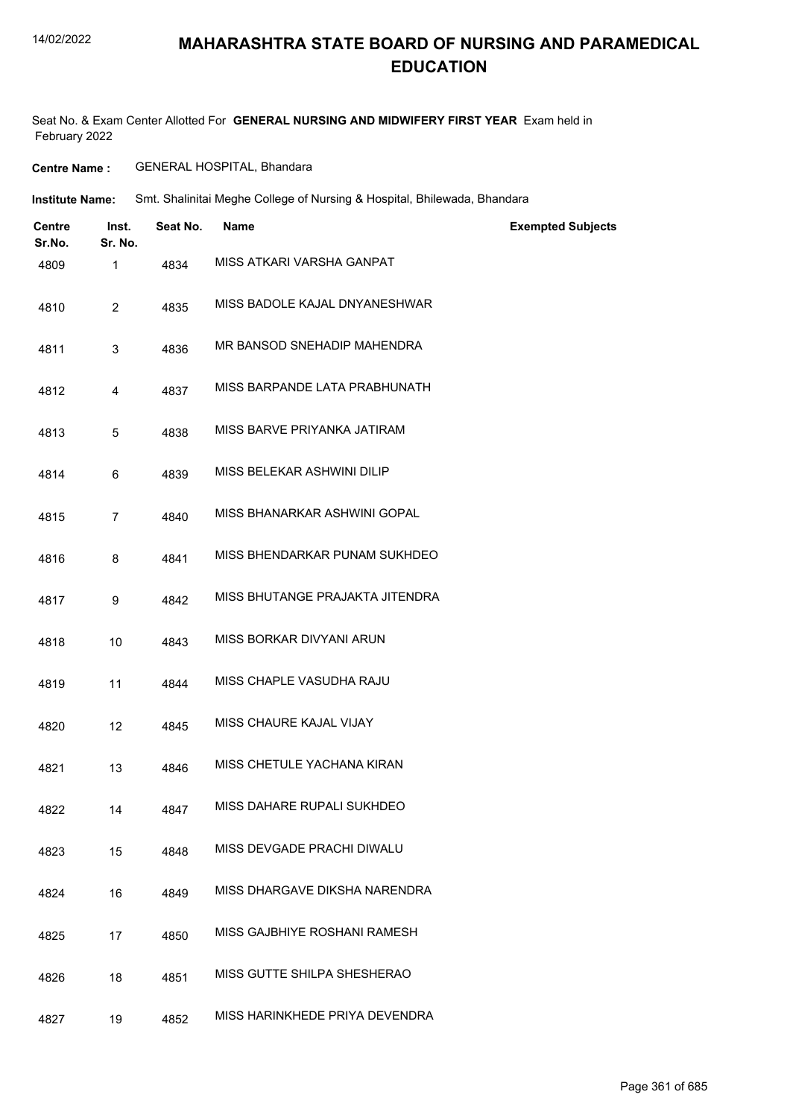#### 14/02/2022

## **MAHARASHTRA STATE BOARD OF NURSING AND PARAMEDICAL EDUCATION**

Seat No. & Exam Center Allotted For **GENERAL NURSING AND MIDWIFERY FIRST YEAR** Exam held in February 2022

**Centre Name :** GENERAL HOSPITAL, Bhandara

Smt. Shalinitai Meghe College of Nursing & Hospital, Bhilewada, Bhandara **Institute Name:**

| <b>Centre</b><br>Sr.No. | Inst.<br>Sr. No. | Seat No. | <b>Name</b>                     | <b>Exempted Subjects</b> |
|-------------------------|------------------|----------|---------------------------------|--------------------------|
| 4809                    | 1                | 4834     | MISS ATKARI VARSHA GANPAT       |                          |
| 4810                    | $\overline{2}$   | 4835     | MISS BADOLE KAJAL DNYANESHWAR   |                          |
| 4811                    | 3                | 4836     | MR BANSOD SNEHADIP MAHENDRA     |                          |
| 4812                    | 4                | 4837     | MISS BARPANDE LATA PRABHUNATH   |                          |
| 4813                    | 5                | 4838     | MISS BARVE PRIYANKA JATIRAM     |                          |
| 4814                    | 6                | 4839     | MISS BELEKAR ASHWINI DILIP      |                          |
| 4815                    | $\overline{7}$   | 4840     | MISS BHANARKAR ASHWINI GOPAL    |                          |
| 4816                    | 8                | 4841     | MISS BHENDARKAR PUNAM SUKHDEO   |                          |
| 4817                    | 9                | 4842     | MISS BHUTANGE PRAJAKTA JITENDRA |                          |
| 4818                    | 10               | 4843     | MISS BORKAR DIVYANI ARUN        |                          |
| 4819                    | 11               | 4844     | MISS CHAPLE VASUDHA RAJU        |                          |
| 4820                    | 12               | 4845     | MISS CHAURE KAJAL VIJAY         |                          |
| 4821                    | 13               | 4846     | MISS CHETULE YACHANA KIRAN      |                          |
| 4822                    | 14               | 4847     | MISS DAHARE RUPALI SUKHDEO      |                          |
| 4823                    | 15               | 4848     | MISS DEVGADE PRACHI DIWALU      |                          |
| 4824                    | 16               | 4849     | MISS DHARGAVE DIKSHA NARENDRA   |                          |
| 4825                    | 17               | 4850     | MISS GAJBHIYE ROSHANI RAMESH    |                          |
| 4826                    | 18               | 4851     | MISS GUTTE SHILPA SHESHERAO     |                          |
| 4827                    | 19               | 4852     | MISS HARINKHEDE PRIYA DEVENDRA  |                          |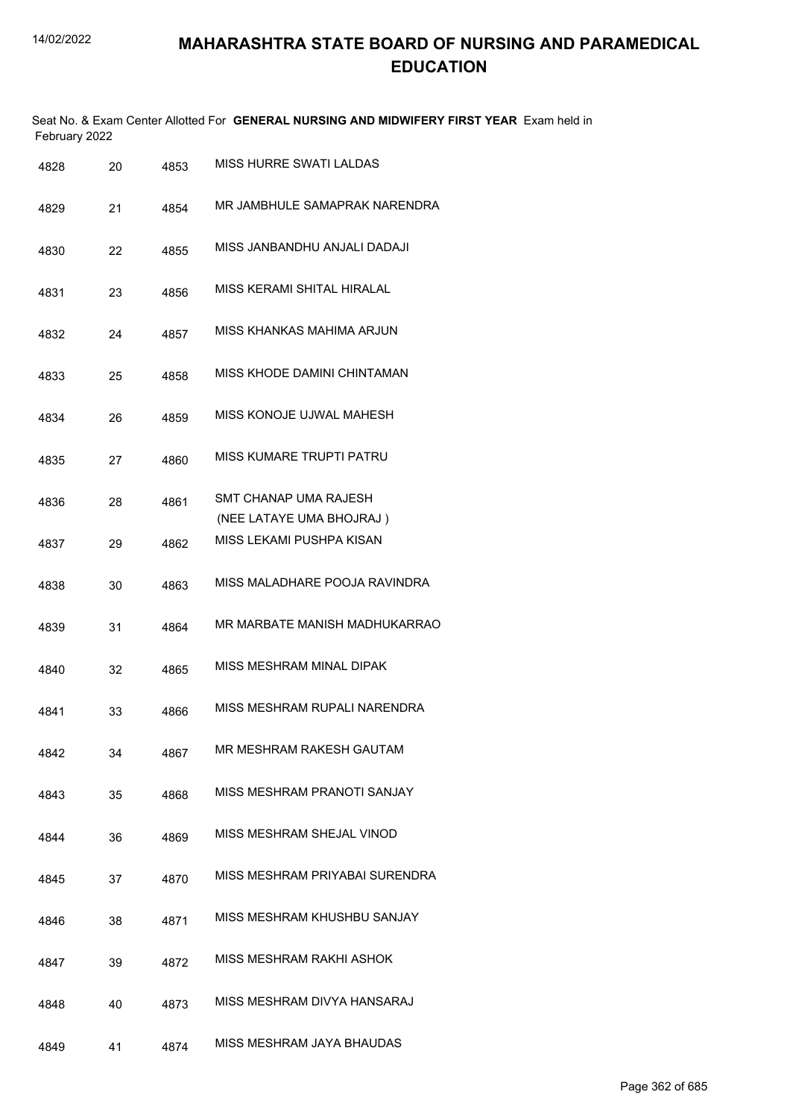|      | February 2022 |    |      | Seat No. & Exam Center Allotted For GENERAL NURSING AND MIDWIFERY FIRST YEAR Exam held in |
|------|---------------|----|------|-------------------------------------------------------------------------------------------|
| 4828 |               | 20 | 4853 | MISS HURRE SWATI LALDAS                                                                   |
| 4829 |               | 21 | 4854 | MR JAMBHULE SAMAPRAK NARENDRA                                                             |
| 4830 |               | 22 | 4855 | MISS JANBANDHU ANJALI DADAJI                                                              |
| 4831 |               | 23 | 4856 | MISS KERAMI SHITAL HIRALAL                                                                |
| 4832 |               | 24 | 4857 | MISS KHANKAS MAHIMA ARJUN                                                                 |
| 4833 |               | 25 | 4858 | MISS KHODE DAMINI CHINTAMAN                                                               |
| 4834 |               | 26 | 4859 | MISS KONOJE UJWAL MAHESH                                                                  |
| 4835 |               | 27 | 4860 | MISS KUMARE TRUPTI PATRU                                                                  |
| 4836 |               | 28 | 4861 | SMT CHANAP UMA RAJESH<br>(NEE LATAYE UMA BHOJRAJ)                                         |
| 4837 |               | 29 | 4862 | MISS LEKAMI PUSHPA KISAN                                                                  |
| 4838 |               | 30 | 4863 | MISS MALADHARE POOJA RAVINDRA                                                             |
| 4839 |               | 31 | 4864 | MR MARBATE MANISH MADHUKARRAO                                                             |
| 4840 |               | 32 | 4865 | MISS MESHRAM MINAL DIPAK                                                                  |
| 4841 |               | 33 | 4866 | MISS MESHRAM RUPALI NARENDRA                                                              |
|      | 4842          | 34 | 4867 | MR MESHRAM RAKESH GAUTAM                                                                  |
| 4843 |               | 35 | 4868 | MISS MESHRAM PRANOTI SANJAY                                                               |
|      | 4844          | 36 | 4869 | MISS MESHRAM SHEJAL VINOD                                                                 |
|      | 4845          | 37 | 4870 | MISS MESHRAM PRIYABAI SURENDRA                                                            |
|      | 4846          | 38 | 4871 | MISS MESHRAM KHUSHBU SANJAY                                                               |
|      | 4847          | 39 | 4872 | MISS MESHRAM RAKHI ASHOK                                                                  |
|      | 4848          | 40 | 4873 | MISS MESHRAM DIVYA HANSARAJ                                                               |
|      | 4849          | 41 | 4874 | MISS MESHRAM JAYA BHAUDAS                                                                 |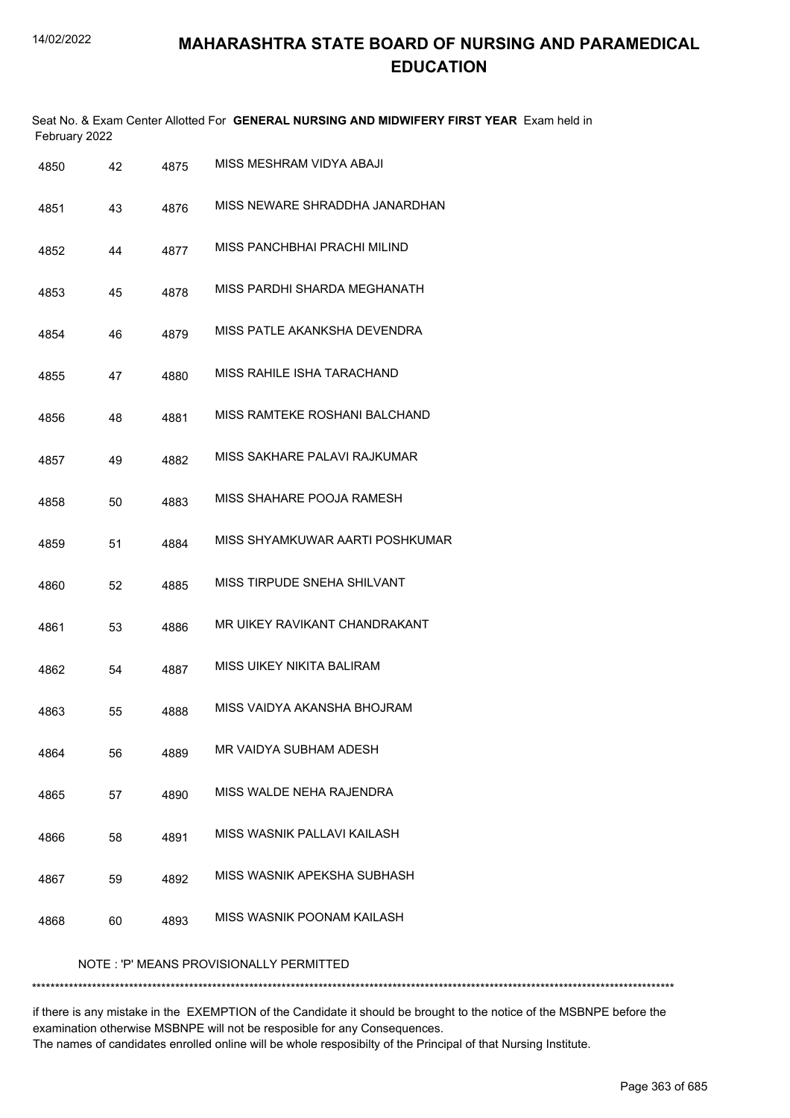|      | February 2022 |      | Seat No. & Exam Center Allotted For GENERAL NURSING AND MIDWIFERY FIRST YEAR Exam held in |
|------|---------------|------|-------------------------------------------------------------------------------------------|
| 4850 | 42            | 4875 | MISS MESHRAM VIDYA ABAJI                                                                  |
| 4851 | 43            | 4876 | MISS NEWARE SHRADDHA JANARDHAN                                                            |
| 4852 | 44            | 4877 | MISS PANCHBHAI PRACHI MILIND                                                              |
| 4853 | 45            | 4878 | MISS PARDHI SHARDA MEGHANATH                                                              |
| 4854 | 46            | 4879 | MISS PATLE AKANKSHA DEVENDRA                                                              |
| 4855 | 47            | 4880 | MISS RAHILE ISHA TARACHAND                                                                |
| 4856 | 48            | 4881 | MISS RAMTEKE ROSHANI BALCHAND                                                             |
| 4857 | 49            | 4882 | MISS SAKHARE PALAVI RAJKUMAR                                                              |
| 4858 | 50            | 4883 | MISS SHAHARE POOJA RAMESH                                                                 |
| 4859 | 51            | 4884 | MISS SHYAMKUWAR AARTI POSHKUMAR                                                           |
| 4860 | 52            | 4885 | MISS TIRPUDE SNEHA SHILVANT                                                               |
| 4861 | 53            | 4886 | MR UIKEY RAVIKANT CHANDRAKANT                                                             |
| 4862 | 54            | 4887 | MISS UIKEY NIKITA BALIRAM                                                                 |
| 4863 | 55            | 4888 | MISS VAIDYA AKANSHA BHOJRAM                                                               |
| 4864 | 56            | 4889 | MR VAIDYA SUBHAM ADESH                                                                    |
| 4865 | 57            | 4890 | MISS WALDE NEHA RAJENDRA                                                                  |
| 4866 | 58            | 4891 | MISS WASNIK PALLAVI KAILASH                                                               |
| 4867 | 59            | 4892 | MISS WASNIK APEKSHA SUBHASH                                                               |
| 4868 | 60            | 4893 | MISS WASNIK POONAM KAILASH                                                                |
|      |               |      | NOTE: 'P' MEANS PROVISIONALLY PERMITTED                                                   |

\*\*\*\*\*\*\*\*\*\*\*\*\*\*\*\*\*\*\*\*\*\*\*\*\*\*\*\*\*\*\*\*\*\*\*\*\*\*\*\*\*\*\*\*\*\*\*\*\*\*\*\*\*\*\*\*\*\*\*\*\*\*\*\*\*\*\*\*\*\*\*\*\*\*\*\*\*\*\*\*\*\*\*\*\*\*\*\*\*\*\*\*\*\*\*\*\*\*\*\*\*\*\*\*\*\*\*\*\*\*\*\*\*\*\*\*\*\*\*\*\*\*\*\*\*\*\*\*\*\*\*\*\*\*\*\*\*\*\*

if there is any mistake in the EXEMPTION of the Candidate it should be brought to the notice of the MSBNPE before the examination otherwise MSBNPE will not be resposible for any Consequences. The names of candidates enrolled online will be whole resposibilty of the Principal of that Nursing Institute.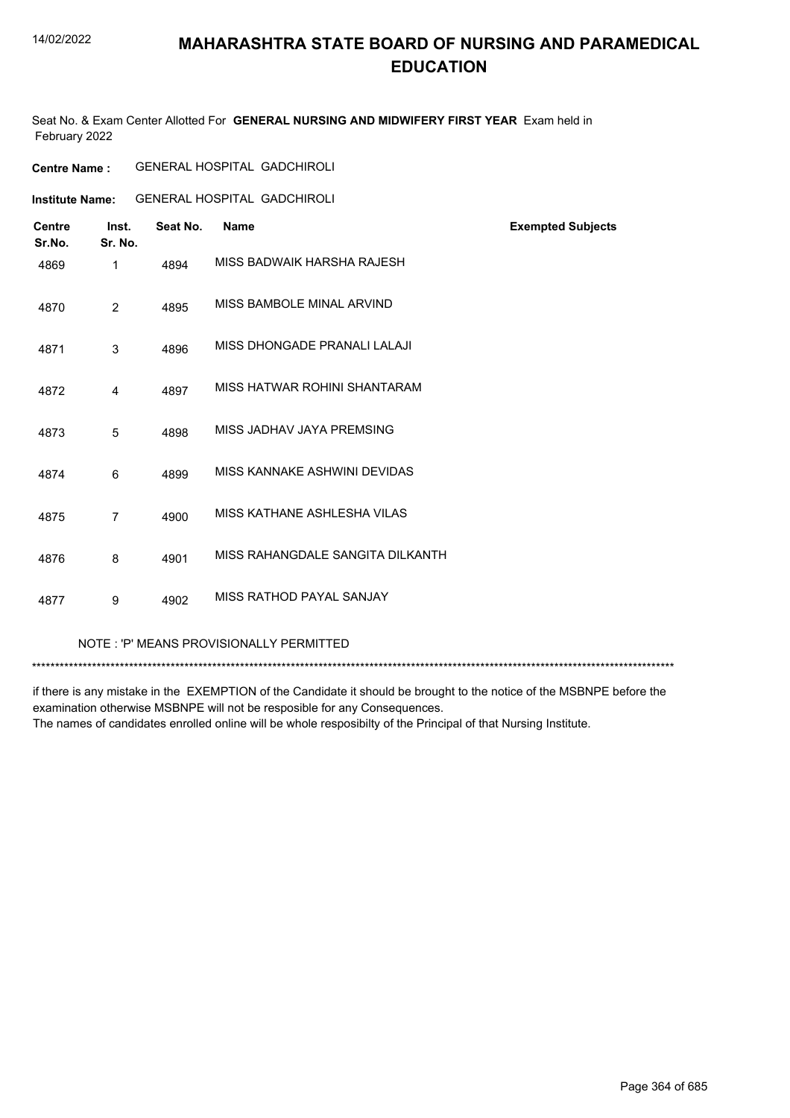#### 14/02/2022

## **MAHARASHTRA STATE BOARD OF NURSING AND PARAMEDICAL EDUCATION**

Seat No. & Exam Center Allotted For **GENERAL NURSING AND MIDWIFERY FIRST YEAR** Exam held in February 2022

| <b>Centre Name :</b> | <b>GENERAL HOSPITAL GADCHIROLI</b> |  |
|----------------------|------------------------------------|--|
|----------------------|------------------------------------|--|

**Institute Name:** GENERAL HOSPITAL GADCHIROLI

| <b>Centre</b><br>Sr.No. | Inst.<br>Sr. No. | Seat No. | Name                                    | <b>Exempted Subjects</b> |
|-------------------------|------------------|----------|-----------------------------------------|--------------------------|
| 4869                    | 1                | 4894     | MISS BADWAIK HARSHA RAJESH              |                          |
| 4870                    | 2                | 4895     | MISS BAMBOLE MINAL ARVIND               |                          |
| 4871                    | 3                | 4896     | MISS DHONGADE PRANALI LALAJI            |                          |
| 4872                    | 4                | 4897     | MISS HATWAR ROHINI SHANTARAM            |                          |
| 4873                    | 5                | 4898     | MISS JADHAV JAYA PREMSING               |                          |
| 4874                    | 6                | 4899     | MISS KANNAKE ASHWINI DEVIDAS            |                          |
| 4875                    | $\overline{7}$   | 4900     | MISS KATHANE ASHLESHA VILAS             |                          |
| 4876                    | 8                | 4901     | MISS RAHANGDALE SANGITA DILKANTH        |                          |
| 4877                    | 9                | 4902     | MISS RATHOD PAYAL SANJAY                |                          |
|                         |                  |          | NOTE: 'P' MEANS PROVISIONALLY PERMITTED |                          |

\*\*\*\*\*\*\*\*\*\*\*\*\*\*\*\*\*\*\*\*\*\*\*\*\*\*\*\*\*\*\*\*\*\*\*\*\*\*\*\*\*\*\*\*\*\*\*\*\*\*\*\*\*\*\*\*\*\*\*\*\*\*\*\*\*\*\*\*\*\*\*\*\*\*\*\*\*\*\*\*\*\*\*\*\*\*\*\*\*\*\*\*\*\*\*\*\*\*\*\*\*\*\*\*\*\*\*\*\*\*\*\*\*\*\*\*\*\*\*\*\*\*\*\*\*\*\*\*\*\*\*\*\*\*\*\*\*\*\*

if there is any mistake in the EXEMPTION of the Candidate it should be brought to the notice of the MSBNPE before the examination otherwise MSBNPE will not be resposible for any Consequences. The names of candidates enrolled online will be whole resposibilty of the Principal of that Nursing Institute.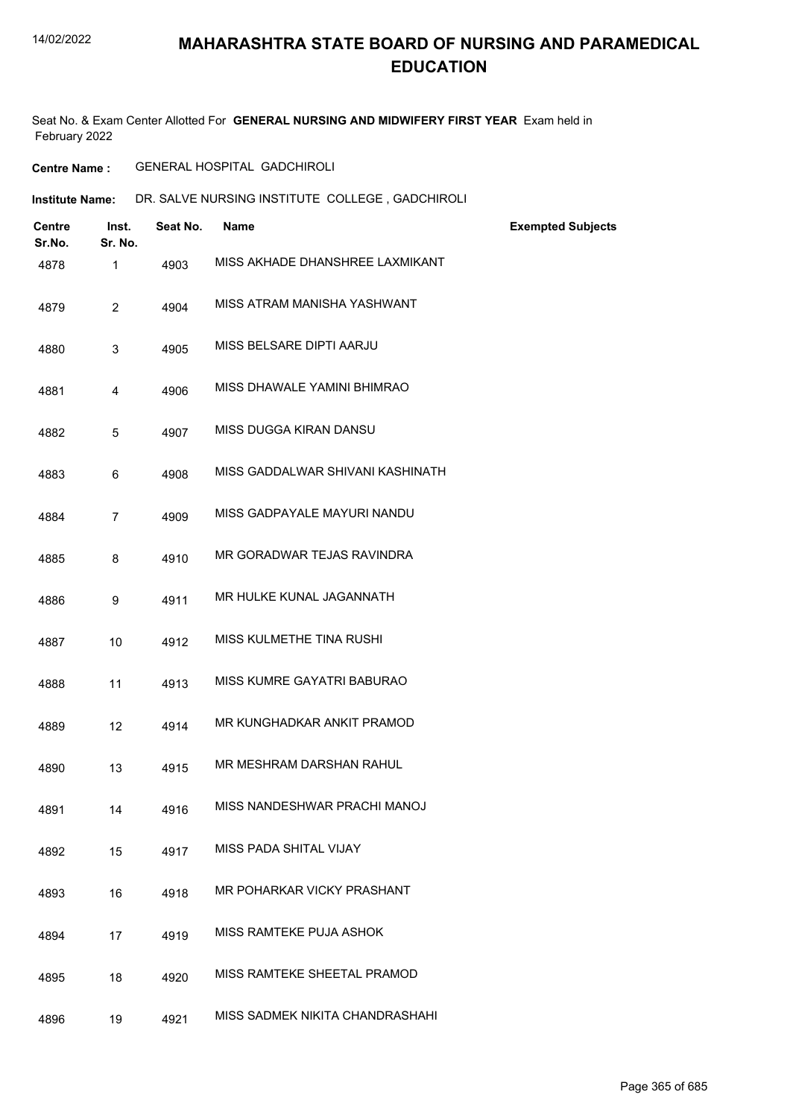Seat No. & Exam Center Allotted For **GENERAL NURSING AND MIDWIFERY FIRST YEAR** Exam held in February 2022

#### **Centre Name :** GENERAL HOSPITAL GADCHIROLI

| <b>Institute Name:</b> | DR. SALVE NURSING INSTITUTE COLLEGE, GADCHIROLI |  |
|------------------------|-------------------------------------------------|--|
|                        |                                                 |  |

| <b>Centre</b><br>Sr.No. | Inst.<br>Sr. No. | Seat No. | <b>Name</b>                      | <b>Exempted Subjects</b> |
|-------------------------|------------------|----------|----------------------------------|--------------------------|
| 4878                    | 1                | 4903     | MISS AKHADE DHANSHREE LAXMIKANT  |                          |
| 4879                    | $\overline{2}$   | 4904     | MISS ATRAM MANISHA YASHWANT      |                          |
| 4880                    | 3                | 4905     | MISS BELSARE DIPTI AARJU         |                          |
| 4881                    | 4                | 4906     | MISS DHAWALE YAMINI BHIMRAO      |                          |
| 4882                    | 5                | 4907     | MISS DUGGA KIRAN DANSU           |                          |
| 4883                    | 6                | 4908     | MISS GADDALWAR SHIVANI KASHINATH |                          |
| 4884                    | $\overline{7}$   | 4909     | MISS GADPAYALE MAYURI NANDU      |                          |
| 4885                    | 8                | 4910     | MR GORADWAR TEJAS RAVINDRA       |                          |
| 4886                    | 9                | 4911     | MR HULKE KUNAL JAGANNATH         |                          |
| 4887                    | 10               | 4912     | MISS KULMETHE TINA RUSHI         |                          |
| 4888                    | 11               | 4913     | MISS KUMRE GAYATRI BABURAO       |                          |
| 4889                    | 12               | 4914     | MR KUNGHADKAR ANKIT PRAMOD       |                          |
| 4890                    | 13               | 4915     | MR MESHRAM DARSHAN RAHUL         |                          |
| 4891                    | 14               | 4916     | MISS NANDESHWAR PRACHI MANOJ     |                          |
| 4892                    | 15               | 4917     | MISS PADA SHITAL VIJAY           |                          |
| 4893                    | 16               | 4918     | MR POHARKAR VICKY PRASHANT       |                          |
| 4894                    | 17               | 4919     | MISS RAMTEKE PUJA ASHOK          |                          |
| 4895                    | 18               | 4920     | MISS RAMTEKE SHEETAL PRAMOD      |                          |
| 4896                    | 19               | 4921     | MISS SADMEK NIKITA CHANDRASHAHI  |                          |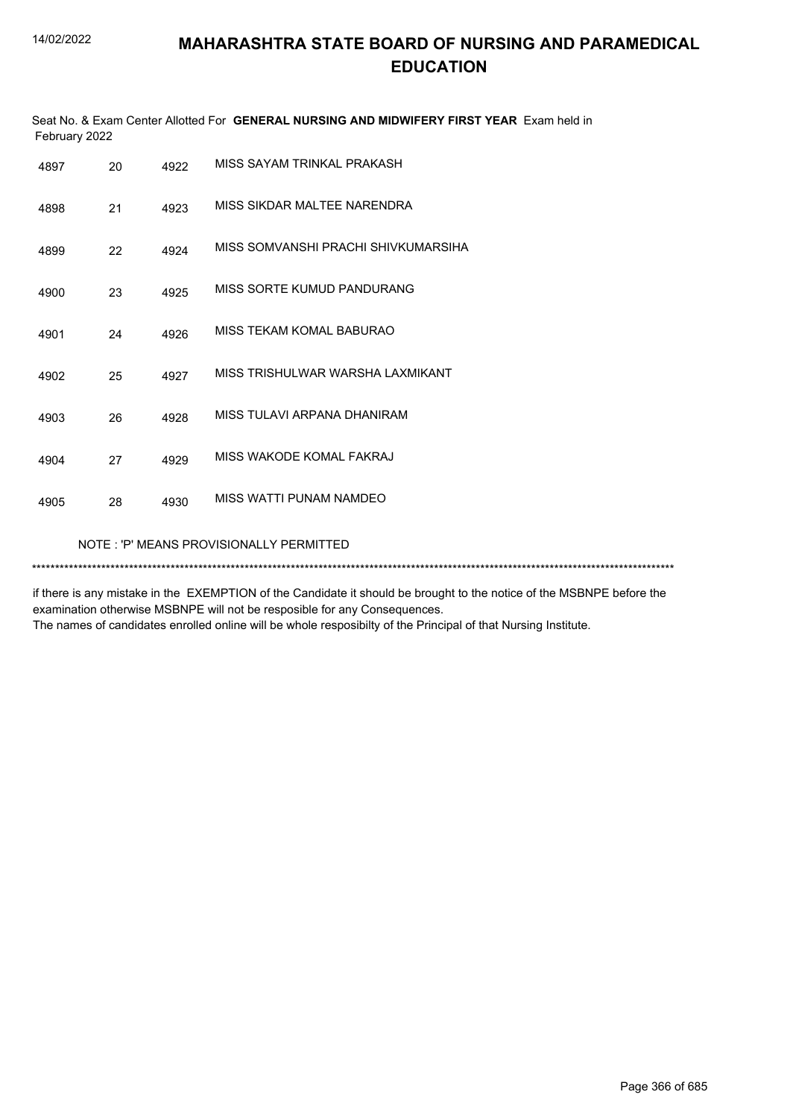|      | Seat No. & Exam Center Allotted For GENERAL NURSING AND MIDWIFERY FIRST YEAR Exam held in<br>February 2022 |      |                                     |  |  |  |
|------|------------------------------------------------------------------------------------------------------------|------|-------------------------------------|--|--|--|
| 4897 | 20                                                                                                         | 4922 | MISS SAYAM TRINKAL PRAKASH          |  |  |  |
| 4898 | 21                                                                                                         | 4923 | MISS SIKDAR MALTEE NARENDRA         |  |  |  |
| 4899 | 22                                                                                                         | 4924 | MISS SOMVANSHI PRACHI SHIVKUMARSIHA |  |  |  |
| 4900 | 23                                                                                                         | 4925 | MISS SORTE KUMUD PANDURANG          |  |  |  |
| 4901 | 24                                                                                                         | 4926 | MISS TEKAM KOMAL BABURAO            |  |  |  |
| 4902 | 25                                                                                                         | 4927 | MISS TRISHULWAR WARSHA LAXMIKANT    |  |  |  |
| 4903 | 26                                                                                                         | 4928 | MISS TULAVI ARPANA DHANIRAM         |  |  |  |
| 4904 | 27                                                                                                         | 4929 | MISS WAKODE KOMAL FAKRAJ            |  |  |  |
| 4905 | 28                                                                                                         | 4930 | MISS WATTI PUNAM NAMDEO             |  |  |  |
|      | NOTE: 'P' MEANS PROVISIONALLY PERMITTED                                                                    |      |                                     |  |  |  |

if there is any mistake in the EXEMPTION of the Candidate it should be brought to the notice of the MSBNPE before the examination otherwise MSBNPE will not be resposible for any Consequences. The names of candidates enrolled online will be whole resposibilty of the Principal of that Nursing Institute.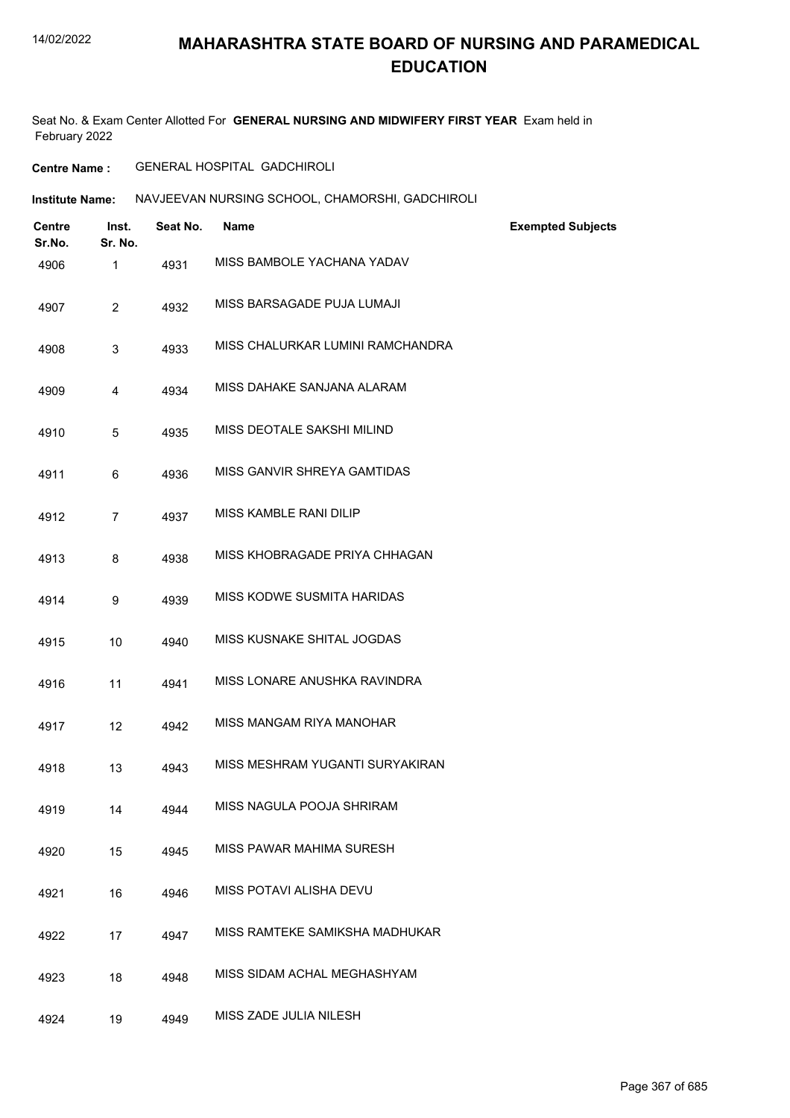Seat No. & Exam Center Allotted For **GENERAL NURSING AND MIDWIFERY FIRST YEAR** Exam held in February 2022

**Centre Name :** GENERAL HOSPITAL GADCHIROLI

**Institute Name: NAVJEEVAN NURSING SCHOOL, CHAMORSHI, GADCHIROLI** 

| <b>Centre</b><br>Sr.No. | Inst.<br>Sr. No. | Seat No. | <b>Name</b>                      | <b>Exempted Subjects</b> |
|-------------------------|------------------|----------|----------------------------------|--------------------------|
| 4906                    | 1                | 4931     | MISS BAMBOLE YACHANA YADAV       |                          |
| 4907                    | $\overline{2}$   | 4932     | MISS BARSAGADE PUJA LUMAJI       |                          |
| 4908                    | 3                | 4933     | MISS CHALURKAR LUMINI RAMCHANDRA |                          |
| 4909                    | 4                | 4934     | MISS DAHAKE SANJANA ALARAM       |                          |
| 4910                    | 5                | 4935     | MISS DEOTALE SAKSHI MILIND       |                          |
| 4911                    | 6                | 4936     | MISS GANVIR SHREYA GAMTIDAS      |                          |
| 4912                    | $\overline{7}$   | 4937     | MISS KAMBLE RANI DILIP           |                          |
| 4913                    | 8                | 4938     | MISS KHOBRAGADE PRIYA CHHAGAN    |                          |
| 4914                    | 9                | 4939     | MISS KODWE SUSMITA HARIDAS       |                          |
| 4915                    | 10               | 4940     | MISS KUSNAKE SHITAL JOGDAS       |                          |
| 4916                    | 11               | 4941     | MISS LONARE ANUSHKA RAVINDRA     |                          |
| 4917                    | 12               | 4942     | MISS MANGAM RIYA MANOHAR         |                          |
| 4918                    | 13               | 4943     | MISS MESHRAM YUGANTI SURYAKIRAN  |                          |
| 4919                    | 14               | 4944     | MISS NAGULA POOJA SHRIRAM        |                          |
| 4920                    | 15               | 4945     | MISS PAWAR MAHIMA SURESH         |                          |
| 4921                    | 16               | 4946     | MISS POTAVI ALISHA DEVU          |                          |
| 4922                    | 17               | 4947     | MISS RAMTEKE SAMIKSHA MADHUKAR   |                          |
| 4923                    | 18               | 4948     | MISS SIDAM ACHAL MEGHASHYAM      |                          |
| 4924                    | 19               | 4949     | MISS ZADE JULIA NILESH           |                          |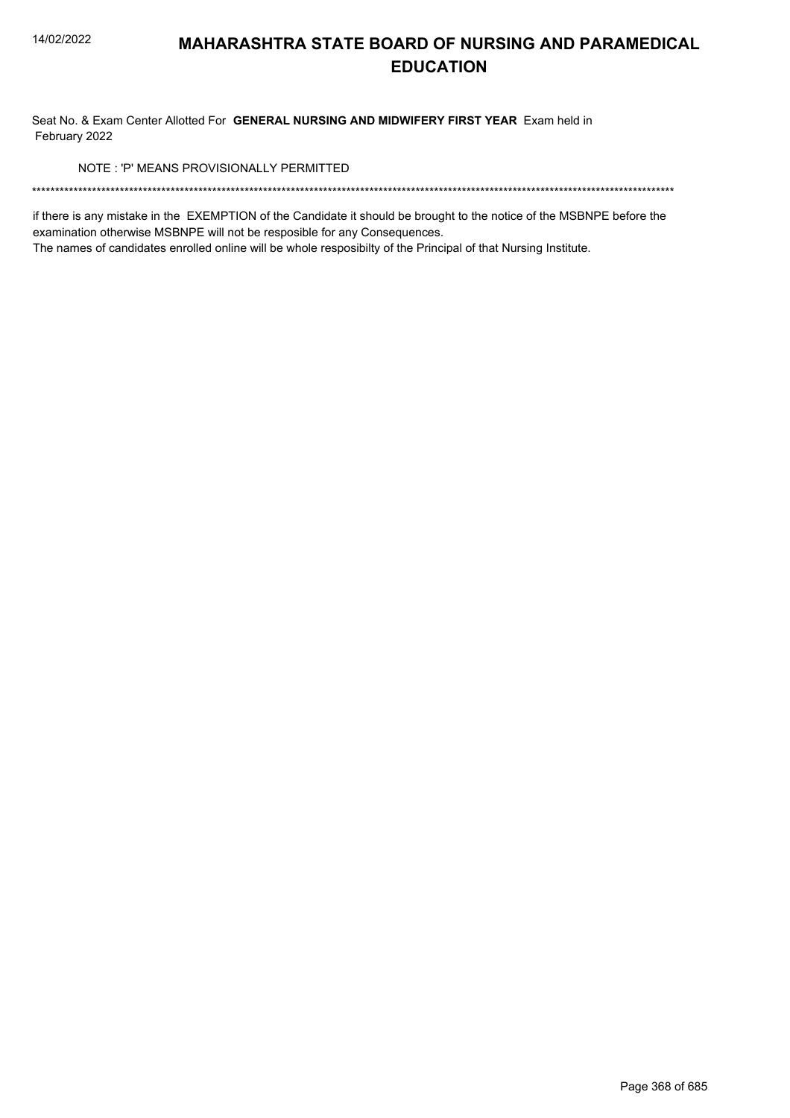Seat No. & Exam Center Allotted For GENERAL NURSING AND MIDWIFERY FIRST YEAR Exam held in February 2022

NOTE: 'P' MEANS PROVISIONALLY PERMITTED

if there is any mistake in the EXEMPTION of the Candidate it should be brought to the notice of the MSBNPE before the examination otherwise MSBNPE will not be resposible for any Consequences.

The names of candidates enrolled online will be whole resposibilty of the Principal of that Nursing Institute.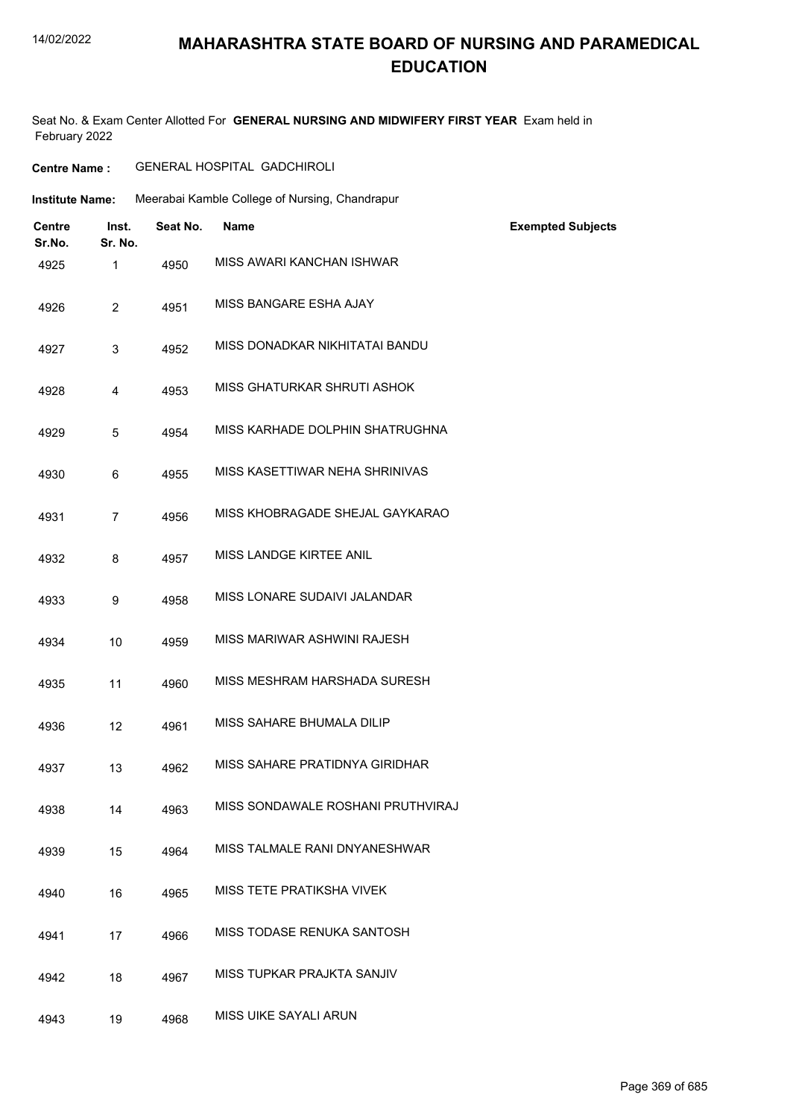#### 14/02/2022

## **MAHARASHTRA STATE BOARD OF NURSING AND PARAMEDICAL EDUCATION**

Seat No. & Exam Center Allotted For **GENERAL NURSING AND MIDWIFERY FIRST YEAR** Exam held in February 2022

**Centre Name :** GENERAL HOSPITAL GADCHIROLI

| <b>Institute Name:</b>  |                  |          | Meerabai Kamble College of Nursing, Chandrapur |                          |
|-------------------------|------------------|----------|------------------------------------------------|--------------------------|
| <b>Centre</b><br>Sr.No. | Inst.<br>Sr. No. | Seat No. | Name                                           | <b>Exempted Subjects</b> |
| 4925                    | $\mathbf{1}$     | 4950     | MISS AWARI KANCHAN ISHWAR                      |                          |
| 4926                    | $\overline{2}$   | 4951     | MISS BANGARE ESHA AJAY                         |                          |
| 4927                    | 3                | 4952     | MISS DONADKAR NIKHITATAI BANDU                 |                          |
| 4928                    | 4                | 4953     | <b>MISS GHATURKAR SHRUTI ASHOK</b>             |                          |
| 4929                    | 5                | 4954     | MISS KARHADE DOLPHIN SHATRUGHNA                |                          |
| 4930                    | 6                | 4955     | MISS KASETTIWAR NEHA SHRINIVAS                 |                          |
| 4931                    | $\overline{7}$   | 4956     | MISS KHOBRAGADE SHEJAL GAYKARAO                |                          |
| 4932                    | 8                | 4957     | MISS LANDGE KIRTEE ANIL                        |                          |
| 4933                    | 9                | 4958     | MISS LONARE SUDAIVI JALANDAR                   |                          |
| 4934                    | 10               | 4959     | MISS MARIWAR ASHWINI RAJESH                    |                          |
| 4935                    | 11               | 4960     | MISS MESHRAM HARSHADA SURESH                   |                          |
| 4936                    | 12               | 4961     | MISS SAHARE BHUMALA DILIP                      |                          |
| 4937                    | 13               | 4962     | MISS SAHARE PRATIDNYA GIRIDHAR                 |                          |
| 4938                    | 14               | 4963     | MISS SONDAWALE ROSHANI PRUTHVIRAJ              |                          |
| 4939                    | 15               | 4964     | MISS TALMALE RANI DNYANESHWAR                  |                          |
| 4940                    | 16               | 4965     | MISS TETE PRATIKSHA VIVEK                      |                          |
| 4941                    | 17               | 4966     | MISS TODASE RENUKA SANTOSH                     |                          |
| 4942                    | 18               | 4967     | MISS TUPKAR PRAJKTA SANJIV                     |                          |
| 4943                    | 19               | 4968     | MISS UIKE SAYALI ARUN                          |                          |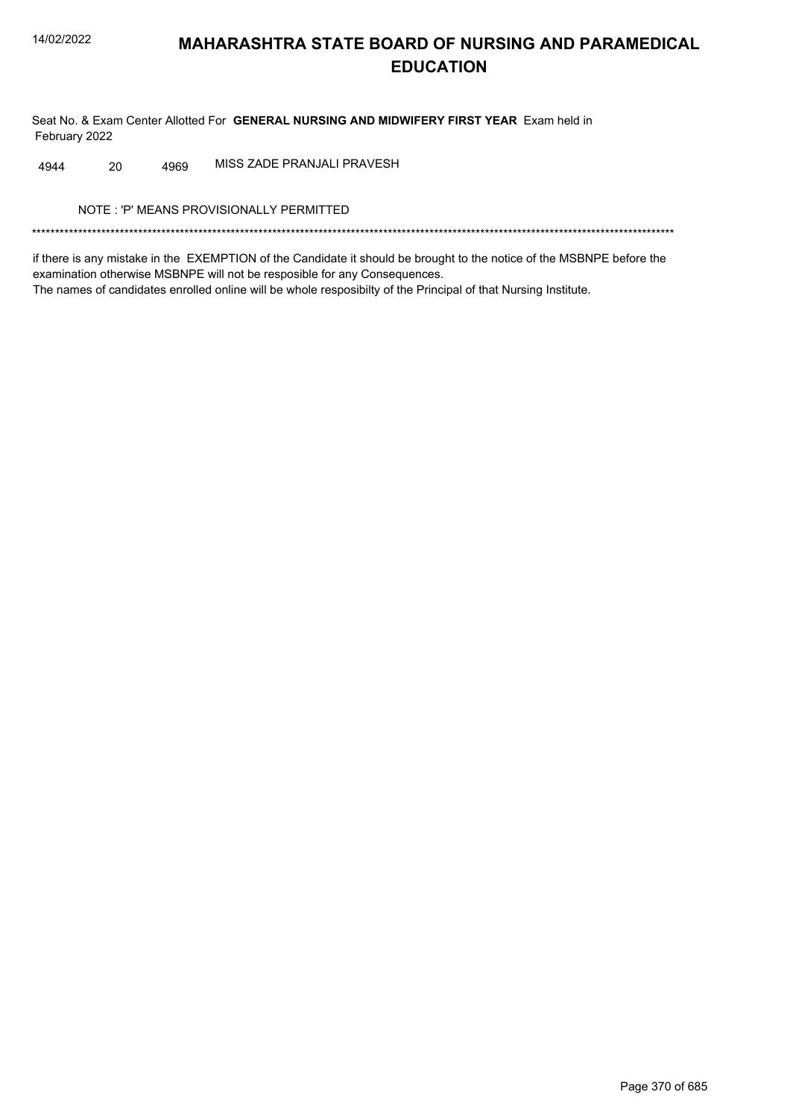Seat No. & Exam Center Allotted For GENERAL NURSING AND MIDWIFERY FIRST YEAR Exam held in February 2022

MISS ZADE PRANJALI PRAVESH 4944 20 4969

NOTE: 'P' MEANS PROVISIONALLY PERMITTED

if there is any mistake in the EXEMPTION of the Candidate it should be brought to the notice of the MSBNPE before the examination otherwise MSBNPE will not be resposible for any Consequences. The names of candidates enrolled online will be whole resposibilty of the Principal of that Nursing Institute.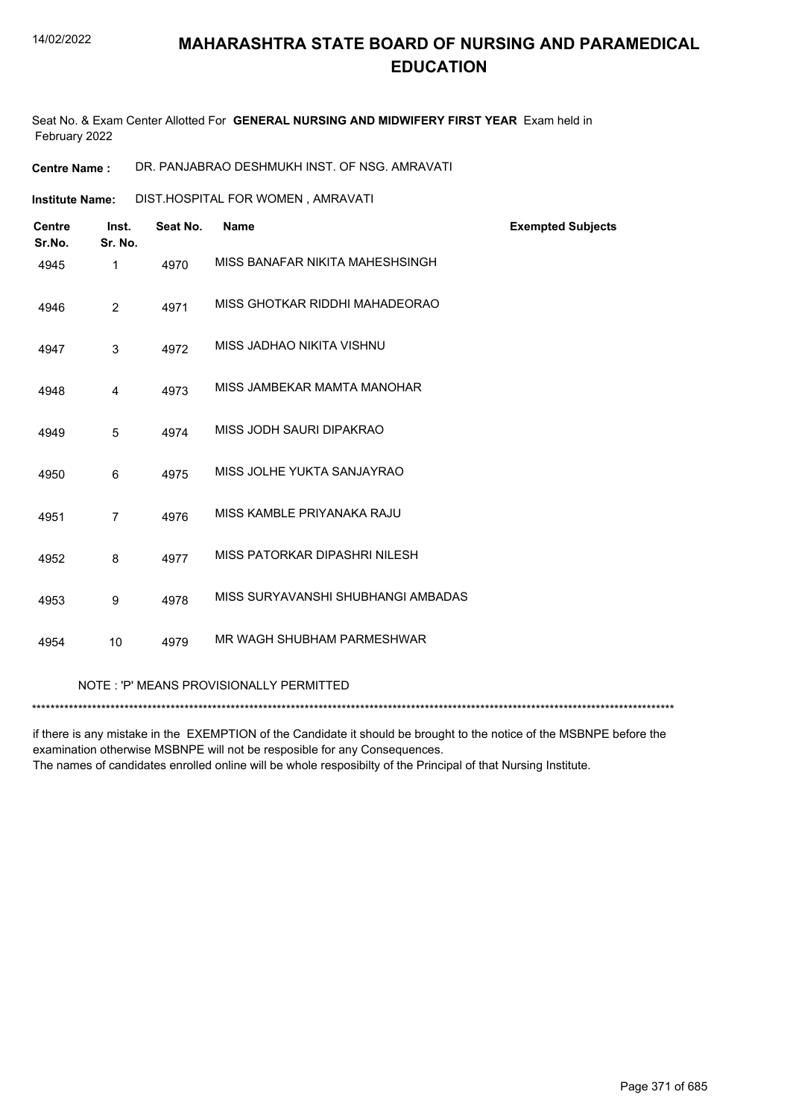Seat No. & Exam Center Allotted For **GENERAL NURSING AND MIDWIFERY FIRST YEAR** Exam held in February 2022

**Centre Name :** DR. PANJABRAO DESHMUKH INST. OF NSG. AMRAVATI

DIST.HOSPITAL FOR WOMEN , AMRAVATI **Institute Name:**

| <b>Centre</b><br>Sr.No. | Inst.<br>Sr. No. | Seat No. | <b>Name</b>                        | <b>Exempted Subjects</b> |
|-------------------------|------------------|----------|------------------------------------|--------------------------|
| 4945                    | 1                | 4970     | MISS BANAFAR NIKITA MAHESHSINGH    |                          |
| 4946                    | 2                | 4971     | MISS GHOTKAR RIDDHI MAHADEORAO     |                          |
| 4947                    | 3                | 4972     | MISS JADHAO NIKITA VISHNU          |                          |
| 4948                    | $\overline{4}$   | 4973     | MISS JAMBEKAR MAMTA MANOHAR        |                          |
| 4949                    | 5                | 4974     | MISS JODH SAURI DIPAKRAO           |                          |
| 4950                    | 6                | 4975     | MISS JOLHE YUKTA SANJAYRAO         |                          |
| 4951                    | $\overline{7}$   | 4976     | MISS KAMBLE PRIYANAKA RAJU         |                          |
| 4952                    | 8                | 4977     | MISS PATORKAR DIPASHRI NILESH      |                          |
| 4953                    | 9                | 4978     | MISS SURYAVANSHI SHUBHANGI AMBADAS |                          |
| 4954                    | 10               | 4979     | MR WAGH SHUBHAM PARMESHWAR         |                          |
|                         |                  |          |                                    |                          |

NOTE : 'P' MEANS PROVISIONALLY PERMITTED

\*\*\*\*\*\*\*\*\*\*\*\*\*\*\*\*\*\*\*\*\*\*\*\*\*\*\*\*\*\*\*\*\*\*\*\*\*\*\*\*\*\*\*\*\*\*\*\*\*\*\*\*\*\*\*\*\*\*\*\*\*\*\*\*\*\*\*\*\*\*\*\*\*\*\*\*\*\*\*\*\*\*\*\*\*\*\*\*\*\*\*\*\*\*\*\*\*\*\*\*\*\*\*\*\*\*\*\*\*\*\*\*\*\*\*\*\*\*\*\*\*\*\*\*\*\*\*\*\*\*\*\*\*\*\*\*\*\*\*

if there is any mistake in the EXEMPTION of the Candidate it should be brought to the notice of the MSBNPE before the examination otherwise MSBNPE will not be resposible for any Consequences.

The names of candidates enrolled online will be whole resposibilty of the Principal of that Nursing Institute.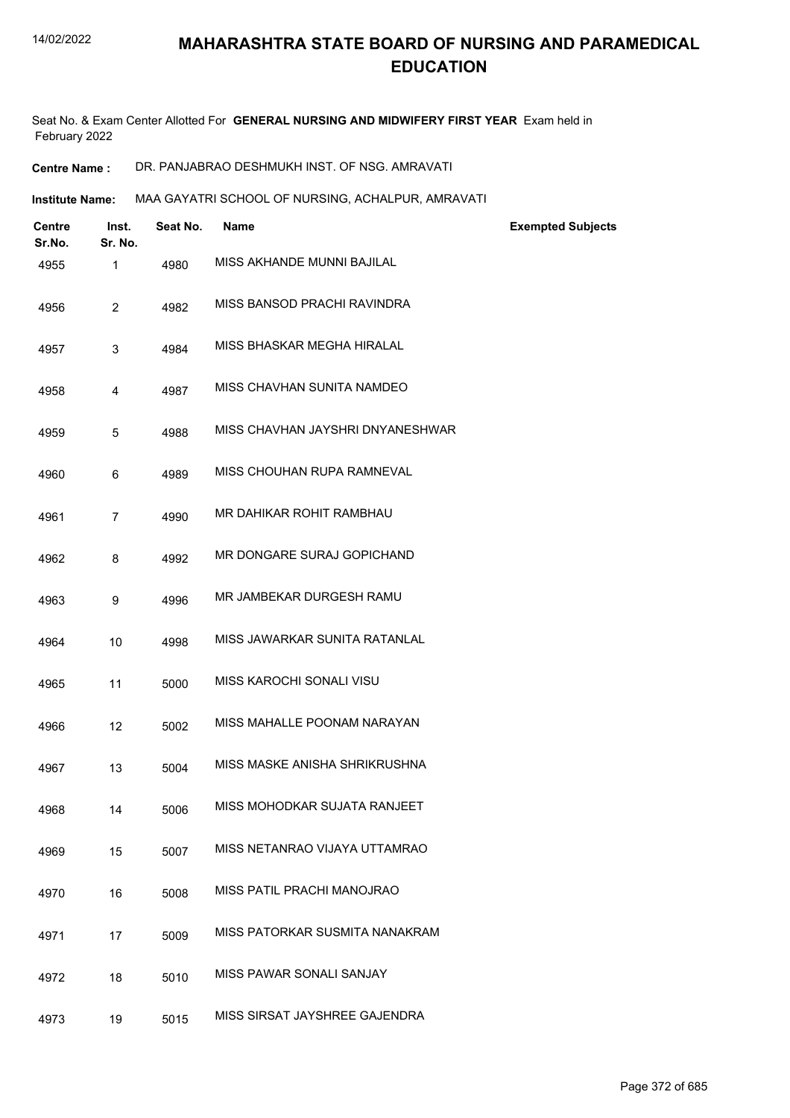Seat No. & Exam Center Allotted For **GENERAL NURSING AND MIDWIFERY FIRST YEAR** Exam held in February 2022

**Centre Name :** DR. PANJABRAO DESHMUKH INST. OF NSG. AMRAVATI

**Institute Name: MAA GAYATRI SCHOOL OF NURSING, ACHALPUR, AMRAVATI** 

| <b>Centre</b><br>Sr.No. | Inst.<br>Sr. No. | Seat No. | Name                             | <b>Exempted Subjects</b> |
|-------------------------|------------------|----------|----------------------------------|--------------------------|
| 4955                    | 1                | 4980     | MISS AKHANDE MUNNI BAJILAL       |                          |
| 4956                    | $\overline{2}$   | 4982     | MISS BANSOD PRACHI RAVINDRA      |                          |
| 4957                    | 3                | 4984     | MISS BHASKAR MEGHA HIRALAL       |                          |
| 4958                    | 4                | 4987     | MISS CHAVHAN SUNITA NAMDEO       |                          |
| 4959                    | 5                | 4988     | MISS CHAVHAN JAYSHRI DNYANESHWAR |                          |
| 4960                    | 6                | 4989     | MISS CHOUHAN RUPA RAMNEVAL       |                          |
| 4961                    | $\overline{7}$   | 4990     | MR DAHIKAR ROHIT RAMBHAU         |                          |
| 4962                    | 8                | 4992     | MR DONGARE SURAJ GOPICHAND       |                          |
| 4963                    | 9                | 4996     | MR JAMBEKAR DURGESH RAMU         |                          |
| 4964                    | 10               | 4998     | MISS JAWARKAR SUNITA RATANLAL    |                          |
| 4965                    | 11               | 5000     | MISS KAROCHI SONALI VISU         |                          |
| 4966                    | 12               | 5002     | MISS MAHALLE POONAM NARAYAN      |                          |
| 4967                    | 13               | 5004     | MISS MASKE ANISHA SHRIKRUSHNA    |                          |
| 4968                    | 14               | 5006     | MISS MOHODKAR SUJATA RANJEET     |                          |
| 4969                    | 15               | 5007     | MISS NETANRAO VIJAYA UTTAMRAO    |                          |
| 4970                    | 16               | 5008     | MISS PATIL PRACHI MANOJRAO       |                          |
| 4971                    | 17               | 5009     | MISS PATORKAR SUSMITA NANAKRAM   |                          |
| 4972                    | 18               | 5010     | MISS PAWAR SONALI SANJAY         |                          |
| 4973                    | 19               | 5015     | MISS SIRSAT JAYSHREE GAJENDRA    |                          |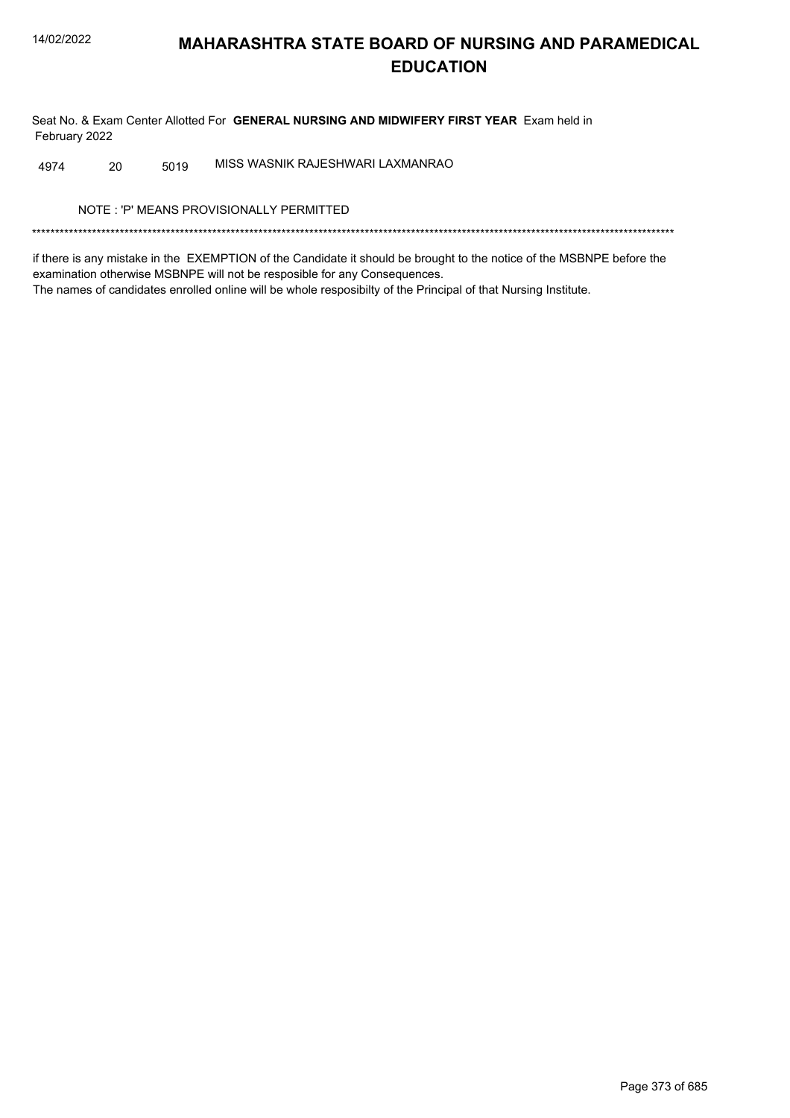Seat No. & Exam Center Allotted For GENERAL NURSING AND MIDWIFERY FIRST YEAR Exam held in February 2022

MISS WASNIK RAJESHWARI LAXMANRAO 20 5019 4974

NOTE: 'P' MEANS PROVISIONALLY PERMITTED

if there is any mistake in the EXEMPTION of the Candidate it should be brought to the notice of the MSBNPE before the examination otherwise MSBNPE will not be resposible for any Consequences. The names of candidates enrolled online will be whole resposibilty of the Principal of that Nursing Institute.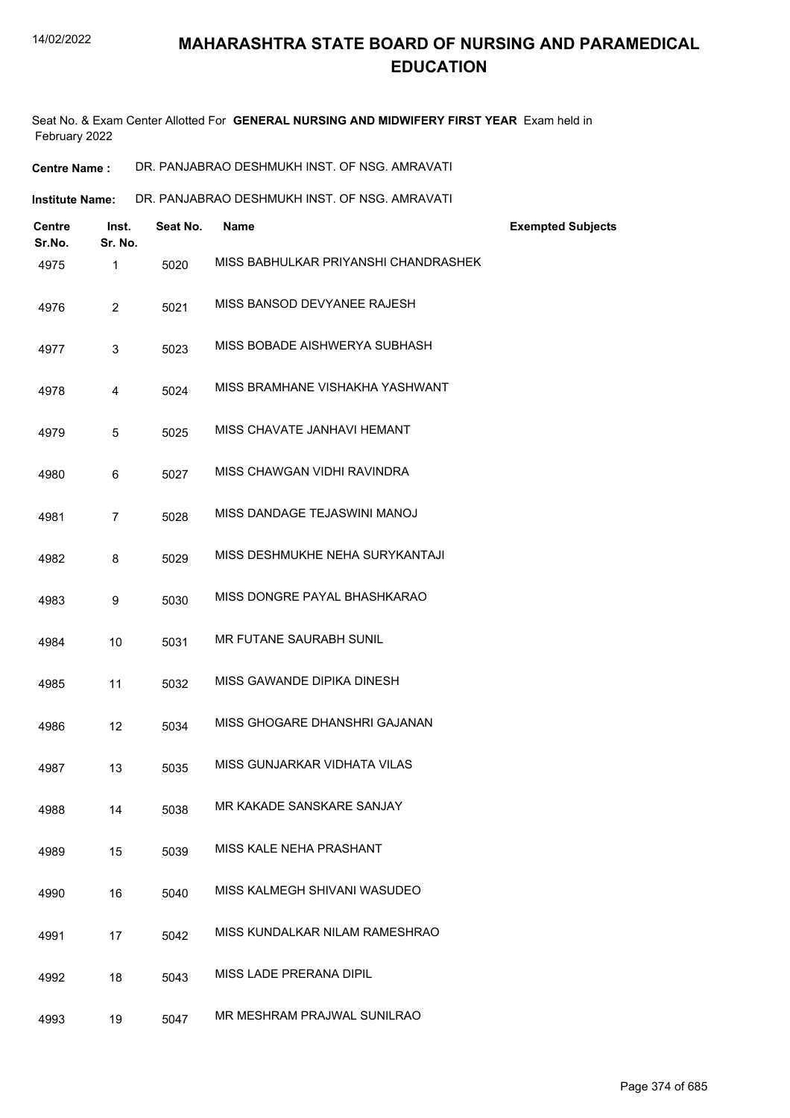Seat No. & Exam Center Allotted For **GENERAL NURSING AND MIDWIFERY FIRST YEAR** Exam held in February 2022

| <b>Centre Name :</b> | DR. PANJABRAO DESHMUKH INST. OF NSG. AMRAVATI |
|----------------------|-----------------------------------------------|
|----------------------|-----------------------------------------------|

| <b>Centre</b><br>Sr.No. | Inst.<br>Sr. No. | Seat No. | <b>Name</b>                          | <b>Exempted Subjects</b> |
|-------------------------|------------------|----------|--------------------------------------|--------------------------|
| 4975                    | $\mathbf{1}$     | 5020     | MISS BABHULKAR PRIYANSHI CHANDRASHEK |                          |
| 4976                    | $\overline{2}$   | 5021     | MISS BANSOD DEVYANEE RAJESH          |                          |
| 4977                    | 3                | 5023     | MISS BOBADE AISHWERYA SUBHASH        |                          |
| 4978                    | 4                | 5024     | MISS BRAMHANE VISHAKHA YASHWANT      |                          |
| 4979                    | 5                | 5025     | MISS CHAVATE JANHAVI HEMANT          |                          |
| 4980                    | 6                | 5027     | MISS CHAWGAN VIDHI RAVINDRA          |                          |
| 4981                    | $\overline{7}$   | 5028     | MISS DANDAGE TEJASWINI MANOJ         |                          |
| 4982                    | 8                | 5029     | MISS DESHMUKHE NEHA SURYKANTAJI      |                          |
| 4983                    | 9                | 5030     | MISS DONGRE PAYAL BHASHKARAO         |                          |
| 4984                    | 10               | 5031     | MR FUTANE SAURABH SUNIL              |                          |
| 4985                    | 11               | 5032     | MISS GAWANDE DIPIKA DINESH           |                          |
| 4986                    | 12               | 5034     | MISS GHOGARE DHANSHRI GAJANAN        |                          |
| 4987                    | 13               | 5035     | MISS GUNJARKAR VIDHATA VILAS         |                          |
| 4988                    | 14               | 5038     | MR KAKADE SANSKARE SANJAY            |                          |
| 4989                    | 15               | 5039     | MISS KALE NEHA PRASHANT              |                          |
| 4990                    | 16               | 5040     | MISS KALMEGH SHIVANI WASUDEO         |                          |
| 4991                    | 17               | 5042     | MISS KUNDALKAR NILAM RAMESHRAO       |                          |
| 4992                    | 18               | 5043     | MISS LADE PRERANA DIPIL              |                          |
| 4993                    | 19               | 5047     | MR MESHRAM PRAJWAL SUNILRAO          |                          |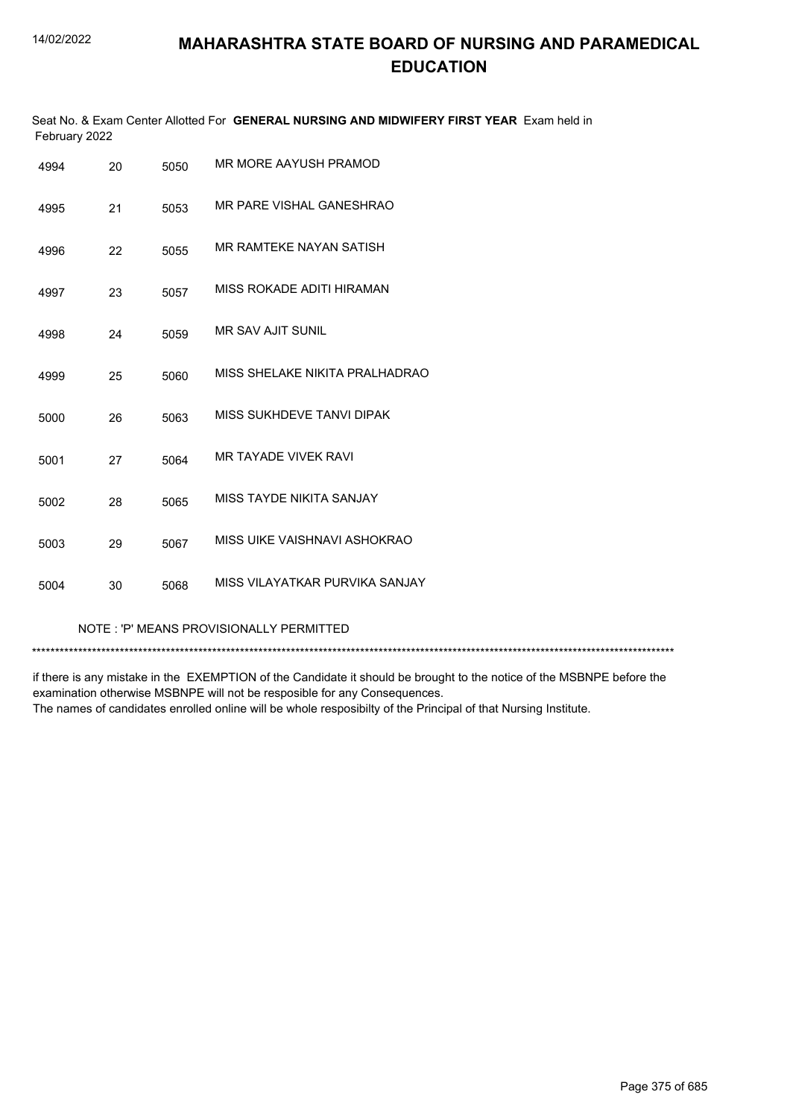Seat No. & Exam Center Allotted For **GENERAL NURSING AND MIDWIFERY FIRST YEAR** Exam held in February 2022

| 4994 | 20 | 5050 | MR MORE AAYUSH PRAMOD          |
|------|----|------|--------------------------------|
| 4995 | 21 | 5053 | MR PARE VISHAL GANESHRAO       |
| 4996 | 22 | 5055 | MR RAMTEKE NAYAN SATISH        |
| 4997 | 23 | 5057 | MISS ROKADE ADITI HIRAMAN      |
| 4998 | 24 | 5059 | <b>MR SAV AJIT SUNIL</b>       |
| 4999 | 25 | 5060 | MISS SHELAKE NIKITA PRALHADRAO |
| 5000 | 26 | 5063 | MISS SUKHDEVE TANVI DIPAK      |
| 5001 | 27 | 5064 | <b>MR TAYADE VIVEK RAVI</b>    |
| 5002 | 28 | 5065 | MISS TAYDE NIKITA SANJAY       |
| 5003 | 29 | 5067 | MISS UIKE VAISHNAVI ASHOKRAO   |
| 5004 | 30 | 5068 | MISS VILAYATKAR PURVIKA SANJAY |

NOTE : 'P' MEANS PROVISIONALLY PERMITTED

\*\*\*\*\*\*\*\*\*\*\*\*\*\*\*\*\*\*\*\*\*\*\*\*\*\*\*\*\*\*\*\*\*\*\*\*\*\*\*\*\*\*\*\*\*\*\*\*\*\*\*\*\*\*\*\*\*\*\*\*\*\*\*\*\*\*\*\*\*\*\*\*\*\*\*\*\*\*\*\*\*\*\*\*\*\*\*\*\*\*\*\*\*\*\*\*\*\*\*\*\*\*\*\*\*\*\*\*\*\*\*\*\*\*\*\*\*\*\*\*\*\*\*\*\*\*\*\*\*\*\*\*\*\*\*\*\*\*\*

if there is any mistake in the EXEMPTION of the Candidate it should be brought to the notice of the MSBNPE before the examination otherwise MSBNPE will not be resposible for any Consequences. The names of candidates enrolled online will be whole resposibilty of the Principal of that Nursing Institute.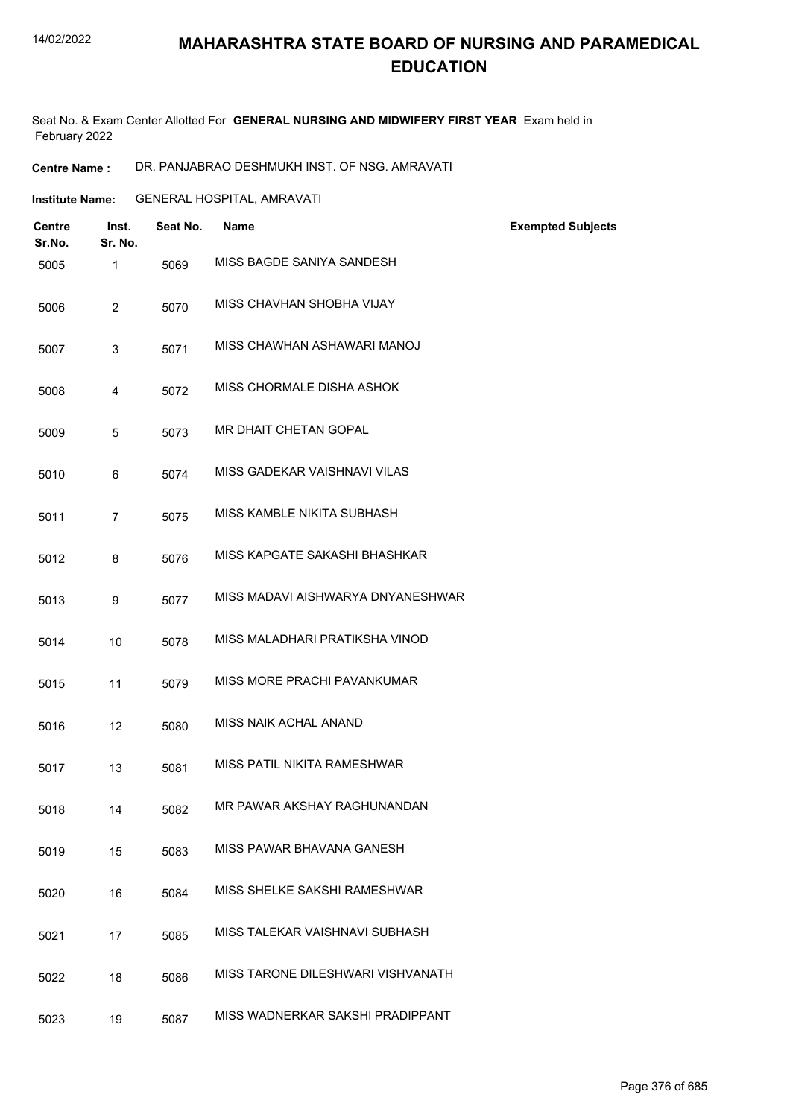#### 14/02/2022

## **MAHARASHTRA STATE BOARD OF NURSING AND PARAMEDICAL EDUCATION**

Seat No. & Exam Center Allotted For **GENERAL NURSING AND MIDWIFERY FIRST YEAR** Exam held in February 2022

**Centre Name :** DR. PANJABRAO DESHMUKH INST. OF NSG. AMRAVATI

**Institute Name:** GENERAL HOSPITAL, AMRAVATI

| <b>Centre</b><br>Sr.No. | Inst.<br>Sr. No. | Seat No. | <b>Name</b>                       | <b>Exempted Subjects</b> |
|-------------------------|------------------|----------|-----------------------------------|--------------------------|
| 5005                    | 1                | 5069     | MISS BAGDE SANIYA SANDESH         |                          |
| 5006                    | $\overline{2}$   | 5070     | MISS CHAVHAN SHOBHA VIJAY         |                          |
| 5007                    | 3                | 5071     | MISS CHAWHAN ASHAWARI MANOJ       |                          |
| 5008                    | 4                | 5072     | MISS CHORMALE DISHA ASHOK         |                          |
| 5009                    | 5                | 5073     | MR DHAIT CHETAN GOPAL             |                          |
| 5010                    | 6                | 5074     | MISS GADEKAR VAISHNAVI VILAS      |                          |
| 5011                    | 7                | 5075     | MISS KAMBLE NIKITA SUBHASH        |                          |
| 5012                    | 8                | 5076     | MISS KAPGATE SAKASHI BHASHKAR     |                          |
| 5013                    | 9                | 5077     | MISS MADAVI AISHWARYA DNYANESHWAR |                          |
| 5014                    | 10               | 5078     | MISS MALADHARI PRATIKSHA VINOD    |                          |
| 5015                    | 11               | 5079     | MISS MORE PRACHI PAVANKUMAR       |                          |
| 5016                    | 12               | 5080     | MISS NAIK ACHAL ANAND             |                          |
| 5017                    | 13               | 5081     | MISS PATIL NIKITA RAMESHWAR       |                          |
| 5018                    | 14               | 5082     | MR PAWAR AKSHAY RAGHUNANDAN       |                          |
| 5019                    | 15               | 5083     | MISS PAWAR BHAVANA GANESH         |                          |
| 5020                    | 16               | 5084     | MISS SHELKE SAKSHI RAMESHWAR      |                          |
| 5021                    | 17               | 5085     | MISS TALEKAR VAISHNAVI SUBHASH    |                          |
| 5022                    | 18               | 5086     | MISS TARONE DILESHWARI VISHVANATH |                          |
| 5023                    | 19               | 5087     | MISS WADNERKAR SAKSHI PRADIPPANT  |                          |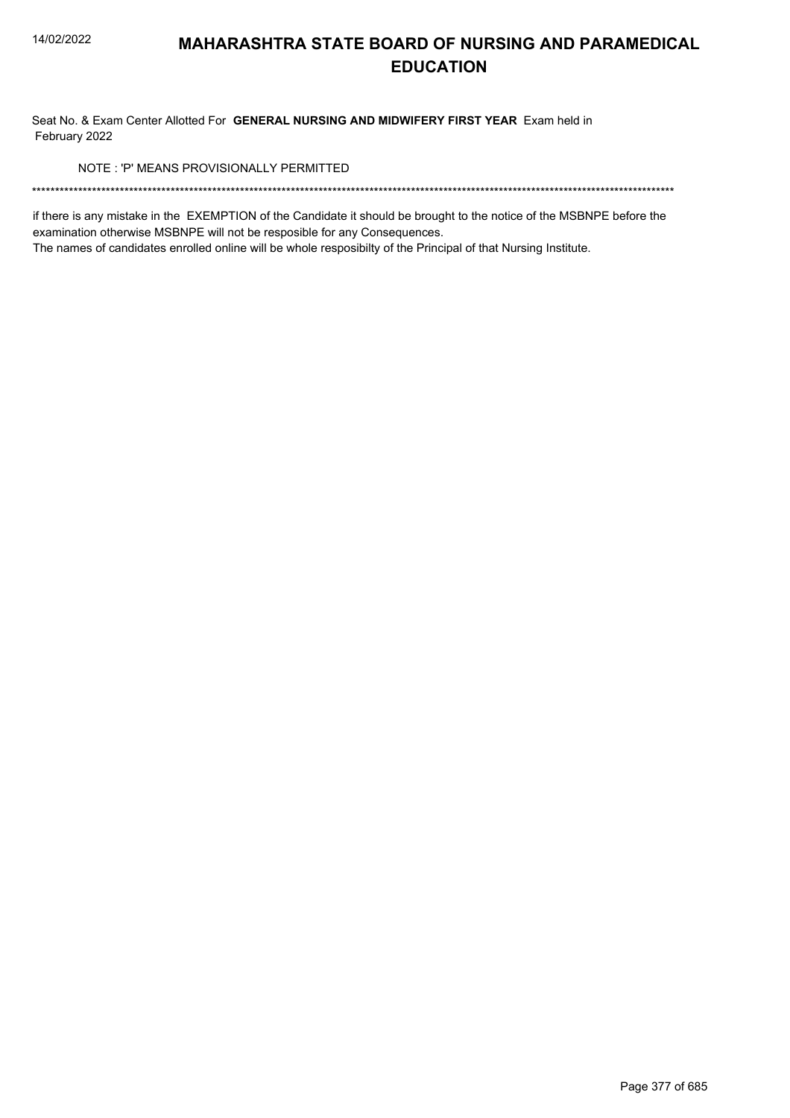Seat No. & Exam Center Allotted For GENERAL NURSING AND MIDWIFERY FIRST YEAR Exam held in February 2022

NOTE: 'P' MEANS PROVISIONALLY PERMITTED

if there is any mistake in the EXEMPTION of the Candidate it should be brought to the notice of the MSBNPE before the examination otherwise MSBNPE will not be resposible for any Consequences.

The names of candidates enrolled online will be whole resposibilty of the Principal of that Nursing Institute.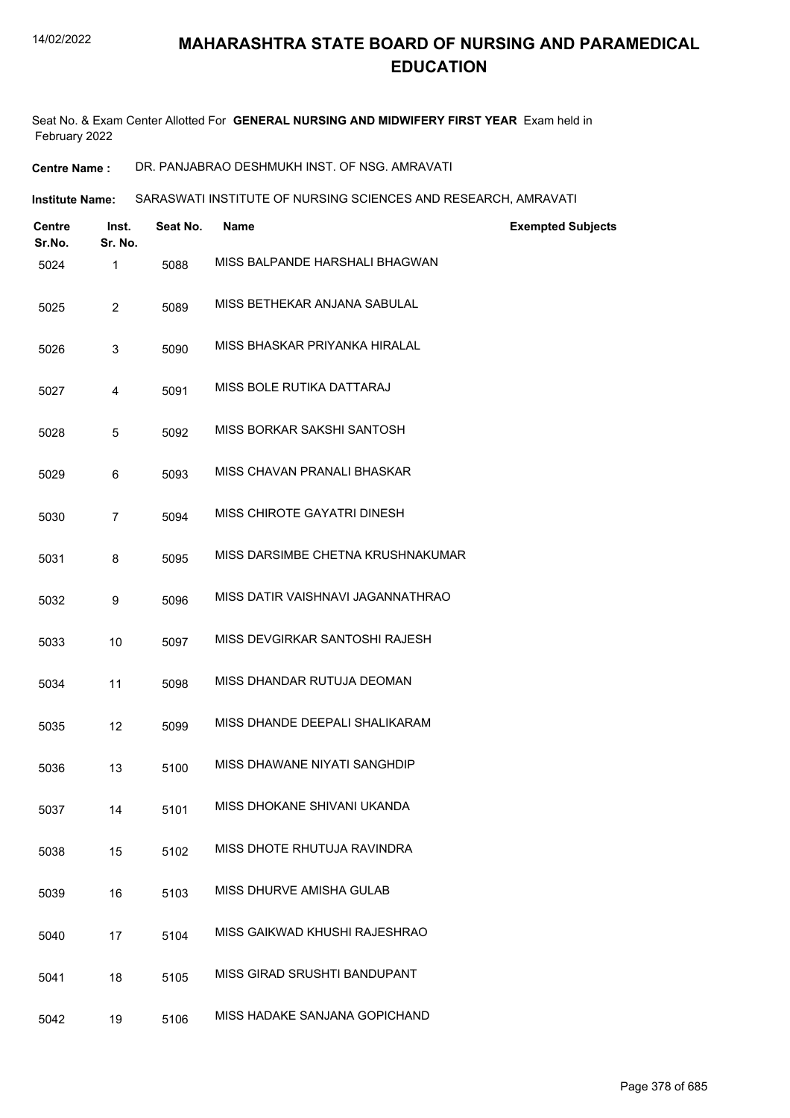Seat No. & Exam Center Allotted For **GENERAL NURSING AND MIDWIFERY FIRST YEAR** Exam held in February 2022

**Centre Name :** DR. PANJABRAO DESHMUKH INST. OF NSG. AMRAVATI

**Institute Name: SARASWATI INSTITUTE OF NURSING SCIENCES AND RESEARCH, AMRAVATI** 

| <b>Centre</b><br>Sr.No. | Inst.<br>Sr. No. | Seat No. | <b>Name</b>                       | <b>Exempted Subjects</b> |
|-------------------------|------------------|----------|-----------------------------------|--------------------------|
| 5024                    | 1                | 5088     | MISS BALPANDE HARSHALI BHAGWAN    |                          |
| 5025                    | $\overline{c}$   | 5089     | MISS BETHEKAR ANJANA SABULAL      |                          |
| 5026                    | 3                | 5090     | MISS BHASKAR PRIYANKA HIRALAL     |                          |
| 5027                    | 4                | 5091     | MISS BOLE RUTIKA DATTARAJ         |                          |
| 5028                    | 5                | 5092     | MISS BORKAR SAKSHI SANTOSH        |                          |
| 5029                    | 6                | 5093     | MISS CHAVAN PRANALI BHASKAR       |                          |
| 5030                    | $\overline{7}$   | 5094     | MISS CHIROTE GAYATRI DINESH       |                          |
| 5031                    | 8                | 5095     | MISS DARSIMBE CHETNA KRUSHNAKUMAR |                          |
| 5032                    | 9                | 5096     | MISS DATIR VAISHNAVI JAGANNATHRAO |                          |
| 5033                    | 10               | 5097     | MISS DEVGIRKAR SANTOSHI RAJESH    |                          |
| 5034                    | 11               | 5098     | MISS DHANDAR RUTUJA DEOMAN        |                          |
| 5035                    | 12               | 5099     | MISS DHANDE DEEPALI SHALIKARAM    |                          |
| 5036                    | 13               | 5100     | MISS DHAWANE NIYATI SANGHDIP      |                          |
| 5037                    | 14               | 5101     | MISS DHOKANE SHIVANI UKANDA       |                          |
| 5038                    | 15               | 5102     | MISS DHOTE RHUTUJA RAVINDRA       |                          |
| 5039                    | 16               | 5103     | MISS DHURVE AMISHA GULAB          |                          |
| 5040                    | 17               | 5104     | MISS GAIKWAD KHUSHI RAJESHRAO     |                          |
| 5041                    | 18               | 5105     | MISS GIRAD SRUSHTI BANDUPANT      |                          |
| 5042                    | 19               | 5106     | MISS HADAKE SANJANA GOPICHAND     |                          |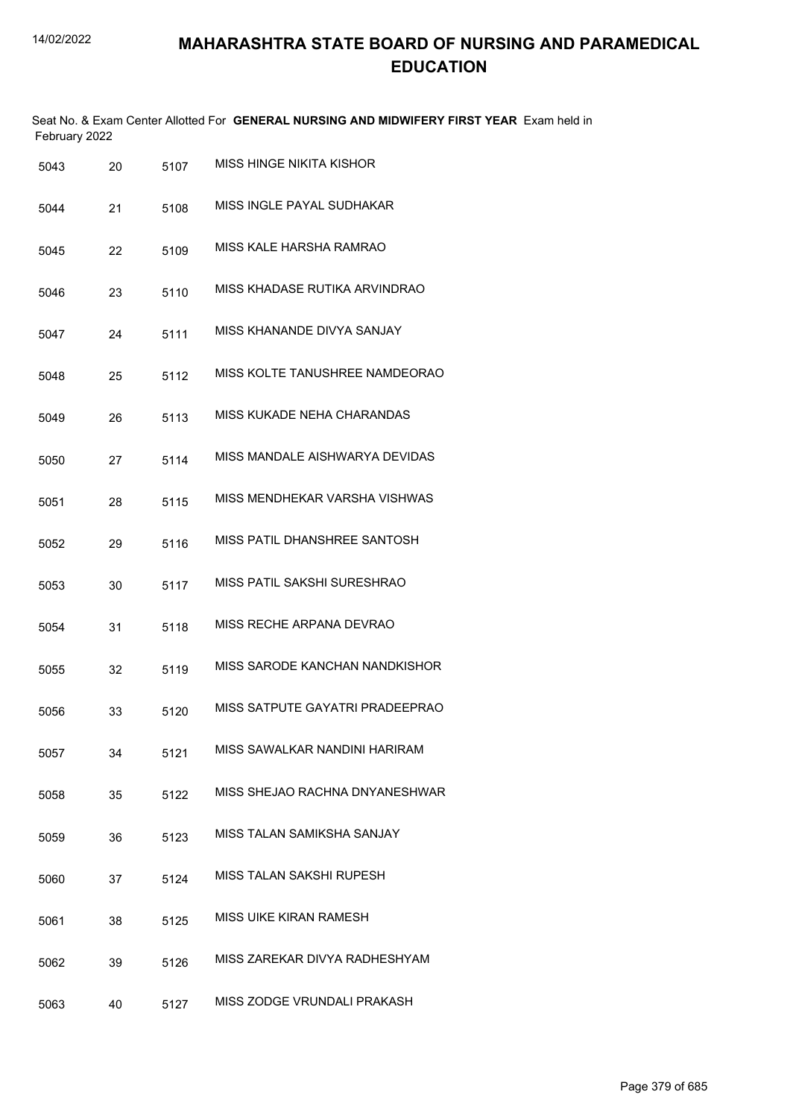|               |        | Seat No. & Exam Center Allotted For <b>GENERAL NURSING AND MIDWIFERY FIRST YEAR</b> Exam held in |
|---------------|--------|--------------------------------------------------------------------------------------------------|
| February 2022 |        |                                                                                                  |
| <b>-010</b>   | $-10-$ | MISS HINGE NIKITA KISHOR                                                                         |

| 5043 | 20 | 5107 | MISS FIINGE ININITA NISHUR      |
|------|----|------|---------------------------------|
| 5044 | 21 | 5108 | MISS INGLE PAYAL SUDHAKAR       |
| 5045 | 22 | 5109 | MISS KALE HARSHA RAMRAO         |
| 5046 | 23 | 5110 | MISS KHADASE RUTIKA ARVINDRAO   |
| 5047 | 24 | 5111 | MISS KHANANDE DIVYA SANJAY      |
| 5048 | 25 | 5112 | MISS KOLTE TANUSHREE NAMDEORAO  |
| 5049 | 26 | 5113 | MISS KUKADE NEHA CHARANDAS      |
| 5050 | 27 | 5114 | MISS MANDALE AISHWARYA DEVIDAS  |
| 5051 | 28 | 5115 | MISS MENDHEKAR VARSHA VISHWAS   |
| 5052 | 29 | 5116 | MISS PATIL DHANSHRFF SANTOSH    |
| 5053 | 30 | 5117 | MISS PATIL SAKSHI SURESHRAO     |
| 5054 | 31 | 5118 | MISS RECHE ARPANA DEVRAO        |
| 5055 | 32 | 5119 | MISS SARODE KANCHAN NANDKISHOR  |
| 5056 | 33 | 5120 | MISS SATPUTE GAYATRI PRADEEPRAO |
| 5057 | 34 | 5121 | MISS SAWALKAR NANDINI HARIRAM   |
| 5058 | 35 | 5122 | MISS SHEJAO RACHNA DNYANESHWAR  |
| 5059 | 36 | 5123 | MISS TAI AN SAMIKSHA SANJAY     |
| 5060 | 37 | 5124 | MISS TALAN SAKSHI RUPESH        |
| 5061 | 38 | 5125 | MISS UIKE KIRAN RAMESH          |
| 5062 | 39 | 5126 | MISS ZAREKAR DIVYA RADHESHYAM   |
| 5063 | 40 | 5127 | MISS ZODGE VRUNDALI PRAKASH     |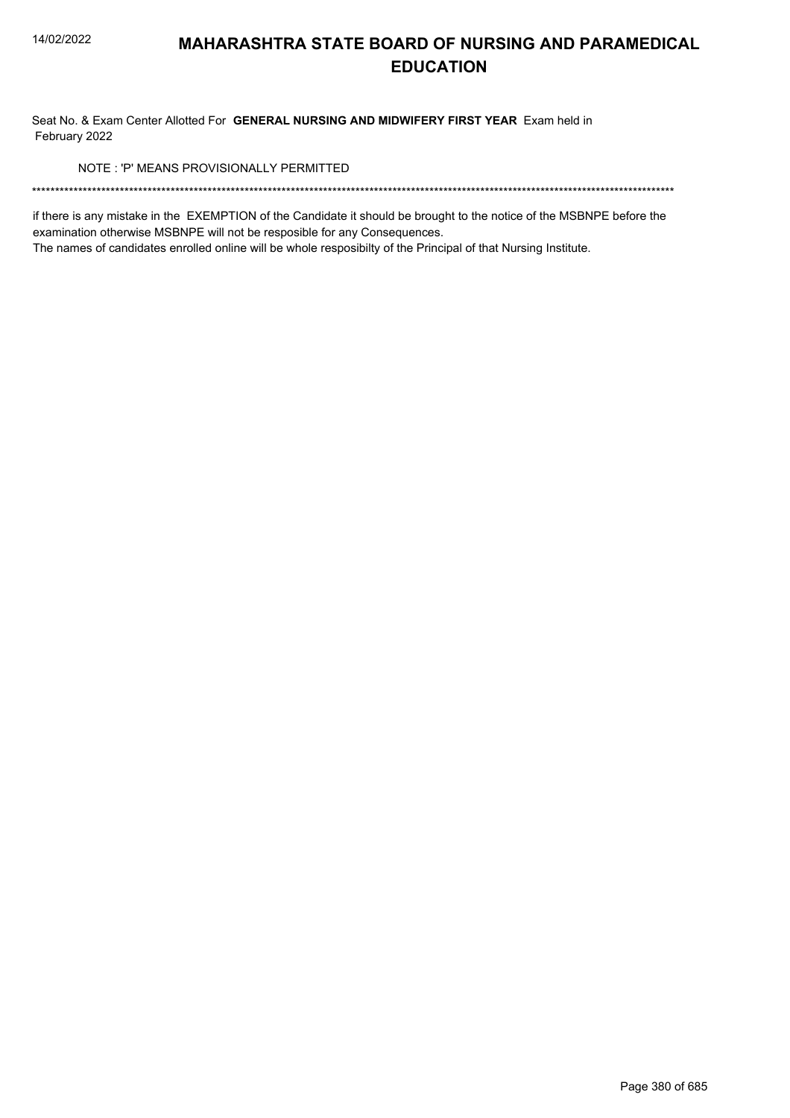Seat No. & Exam Center Allotted For GENERAL NURSING AND MIDWIFERY FIRST YEAR Exam held in February 2022

NOTE: 'P' MEANS PROVISIONALLY PERMITTED

if there is any mistake in the EXEMPTION of the Candidate it should be brought to the notice of the MSBNPE before the examination otherwise MSBNPE will not be resposible for any Consequences.

The names of candidates enrolled online will be whole resposibilty of the Principal of that Nursing Institute.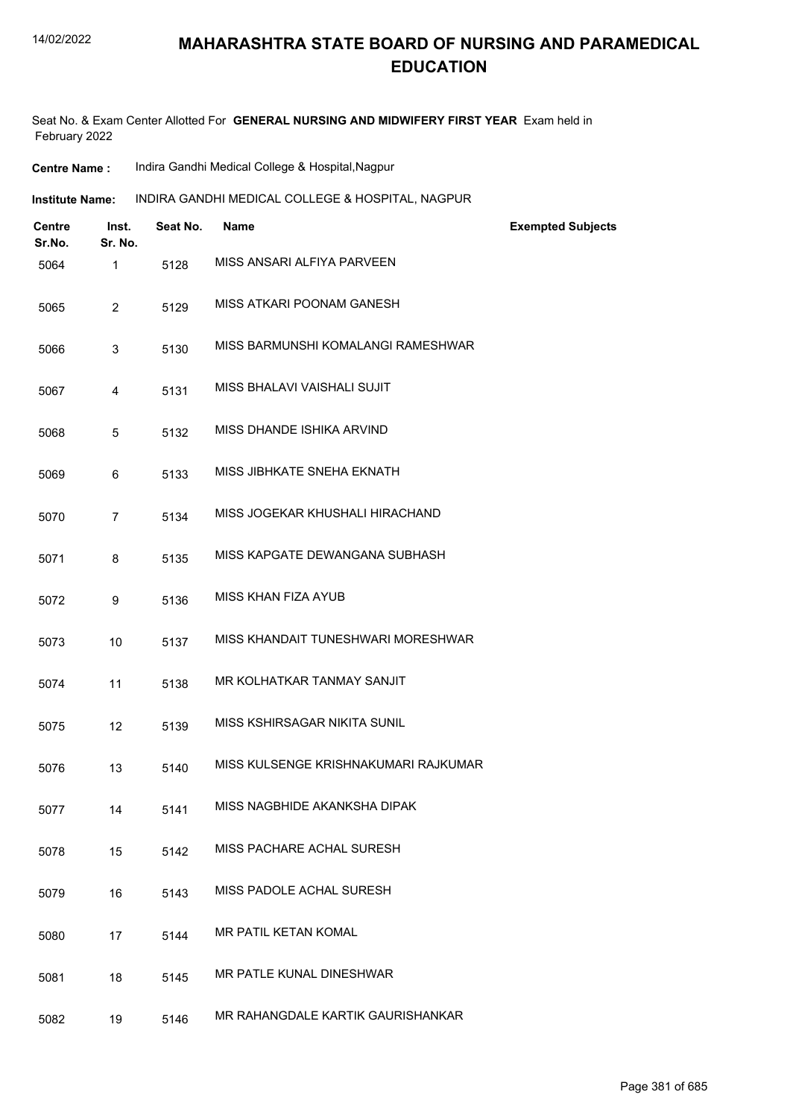Seat No. & Exam Center Allotted For **GENERAL NURSING AND MIDWIFERY FIRST YEAR** Exam held in February 2022

| <b>Centre Name :</b> | Indira Gandhi Medical College & Hospital, Nagpur |  |  |
|----------------------|--------------------------------------------------|--|--|
|----------------------|--------------------------------------------------|--|--|

| Institute Name: |  | INDIRA GANDHI MEDICAL COLLEGE & HOSPITAL, NAGPUR |
|-----------------|--|--------------------------------------------------|
|-----------------|--|--------------------------------------------------|

| <b>Centre</b><br>Sr.No. | Inst.<br>Sr. No. | Seat No. | <b>Name</b>                          | <b>Exempted Subjects</b> |
|-------------------------|------------------|----------|--------------------------------------|--------------------------|
| 5064                    | $\mathbf{1}$     | 5128     | MISS ANSARI ALFIYA PARVEEN           |                          |
| 5065                    | $\overline{2}$   | 5129     | MISS ATKARI POONAM GANESH            |                          |
| 5066                    | 3                | 5130     | MISS BARMUNSHI KOMALANGI RAMESHWAR   |                          |
| 5067                    | 4                | 5131     | MISS BHALAVI VAISHALI SUJIT          |                          |
| 5068                    | 5                | 5132     | MISS DHANDE ISHIKA ARVIND            |                          |
| 5069                    | 6                | 5133     | MISS JIBHKATE SNEHA EKNATH           |                          |
| 5070                    | 7                | 5134     | MISS JOGEKAR KHUSHALI HIRACHAND      |                          |
| 5071                    | 8                | 5135     | MISS KAPGATE DEWANGANA SUBHASH       |                          |
| 5072                    | 9                | 5136     | <b>MISS KHAN FIZA AYUB</b>           |                          |
| 5073                    | 10               | 5137     | MISS KHANDAIT TUNESHWARI MORESHWAR   |                          |
| 5074                    | 11               | 5138     | MR KOLHATKAR TANMAY SANJIT           |                          |
| 5075                    | 12               | 5139     | MISS KSHIRSAGAR NIKITA SUNIL         |                          |
| 5076                    | 13               | 5140     | MISS KULSENGE KRISHNAKUMARI RAJKUMAR |                          |
| 5077                    | 14               | 5141     | MISS NAGBHIDE AKANKSHA DIPAK         |                          |
| 5078                    | 15               | 5142     | MISS PACHARE ACHAL SURESH            |                          |
| 5079                    | 16               | 5143     | MISS PADOLE ACHAL SURESH             |                          |
| 5080                    | 17               | 5144     | MR PATIL KETAN KOMAL                 |                          |
| 5081                    | 18               | 5145     | MR PATLE KUNAL DINESHWAR             |                          |
| 5082                    | 19               | 5146     | MR RAHANGDALE KARTIK GAURISHANKAR    |                          |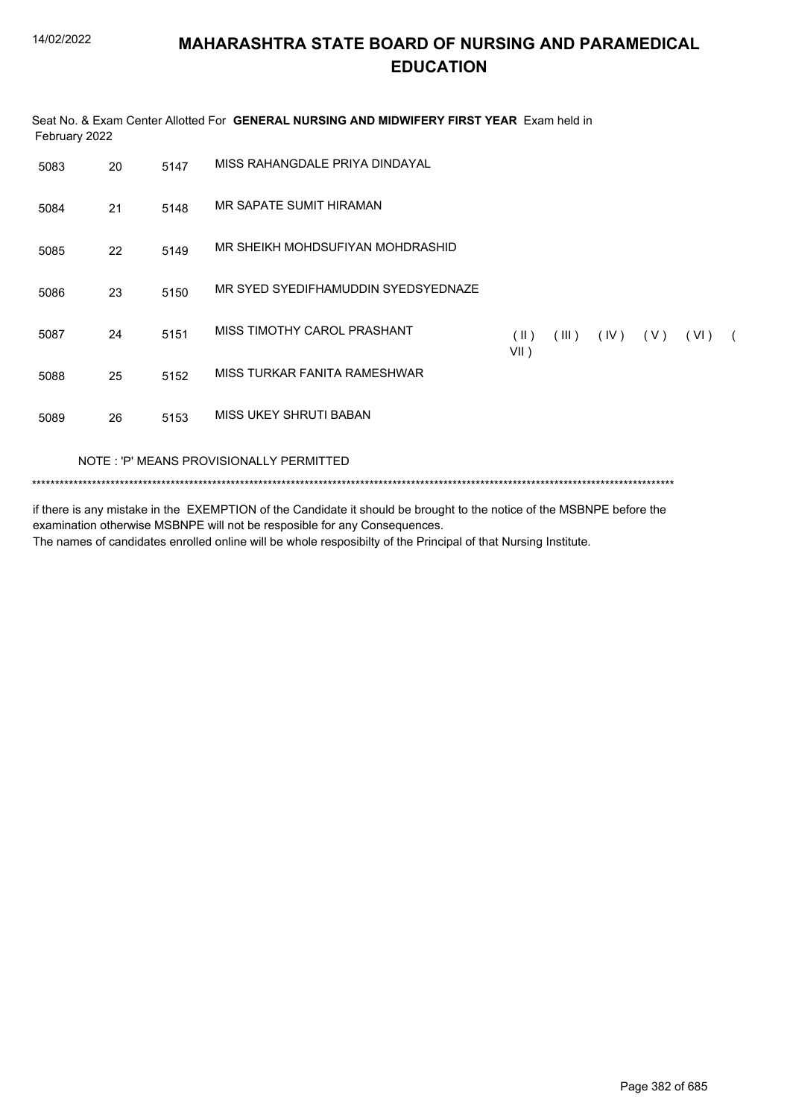| February 2022 |    |      | Seat No. & Exam Center Allotted For GENERAL NURSING AND MIDWIFERY FIRST YEAR Exam held in |                       |       |      |     |
|---------------|----|------|-------------------------------------------------------------------------------------------|-----------------------|-------|------|-----|
| 5083          | 20 | 5147 | MISS RAHANGDAI E PRIYA DINDAYAI                                                           |                       |       |      |     |
| 5084          | 21 | 5148 | MR SAPATE SUMIT HIRAMAN                                                                   |                       |       |      |     |
| 5085          | 22 | 5149 | MR SHEIKH MOHDSUFIYAN MOHDRASHID                                                          |                       |       |      |     |
| 5086          | 23 | 5150 | MR SYED SYEDIFHAMUDDIN SYEDSYEDNAZE                                                       |                       |       |      |     |
| 5087          | 24 | 5151 | MISS TIMOTHY CAROL PRASHANT                                                               | $(\parallel)$<br>VII) | (III) | (IV) | (V) |
| 5088          | 25 | 5152 | MISS TURKAR FANITA RAMESHWAR                                                              |                       |       |      |     |
| 5089          | 26 | 5153 | MISS UKEY SHRUTI BABAN                                                                    |                       |       |      |     |
|               |    |      | NOTE: 'P' MEANS PROVISIONALLY PERMITTED                                                   |                       |       |      |     |
|               |    |      |                                                                                           |                       |       |      |     |

if there is any mistake in the EXEMPTION of the Candidate it should be brought to the notice of the MSBNPE before the examination otherwise MSBNPE will not be resposible for any Consequences. The names of candidates enrolled online will be whole resposibilty of the Principal of that Nursing Institute.

 $(VI)$  (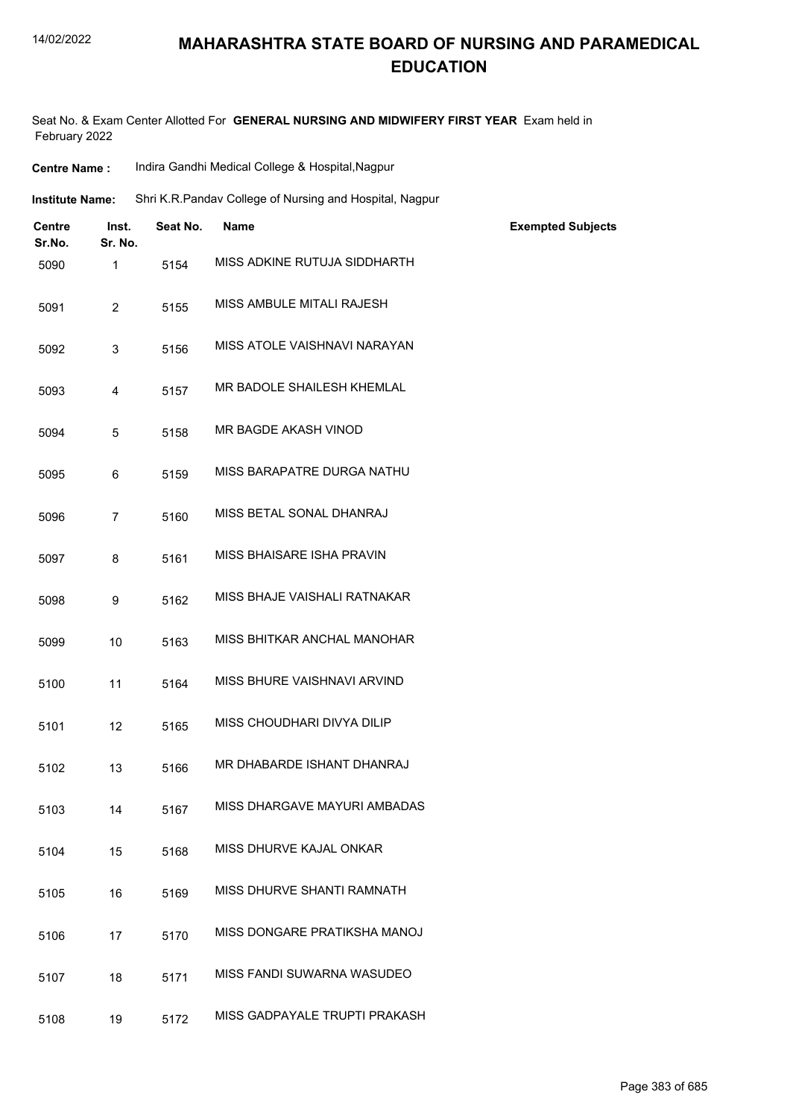#### 14/02/2022

## **MAHARASHTRA STATE BOARD OF NURSING AND PARAMEDICAL EDUCATION**

Seat No. & Exam Center Allotted For **GENERAL NURSING AND MIDWIFERY FIRST YEAR** Exam held in February 2022

| <b>Centre Name:</b>     |                         | Indira Gandhi Medical College & Hospital, Nagpur |                                                         |                          |  |
|-------------------------|-------------------------|--------------------------------------------------|---------------------------------------------------------|--------------------------|--|
| <b>Institute Name:</b>  |                         |                                                  | Shri K.R.Pandav College of Nursing and Hospital, Nagpur |                          |  |
| <b>Centre</b><br>Sr.No. | Inst.<br>Sr. No.        | Seat No.                                         | Name                                                    | <b>Exempted Subjects</b> |  |
| 5090                    | 1                       | 5154                                             | MISS ADKINE RUTUJA SIDDHARTH                            |                          |  |
| 5091                    | $\overline{c}$          | 5155                                             | MISS AMBULE MITALI RAJESH                               |                          |  |
| 5092                    | 3                       | 5156                                             | MISS ATOLE VAISHNAVI NARAYAN                            |                          |  |
| 5093                    | $\overline{\mathbf{4}}$ | 5157                                             | MR BADOLE SHAILESH KHEMLAL                              |                          |  |
| 5094                    | 5                       | 5158                                             | MR BAGDE AKASH VINOD                                    |                          |  |
| 5095                    | 6                       | 5159                                             | MISS BARAPATRE DURGA NATHU                              |                          |  |
| 5096                    | $\overline{7}$          | 5160                                             | MISS BETAL SONAL DHANRAJ                                |                          |  |
| 5097                    | 8                       | 5161                                             | MISS BHAISARE ISHA PRAVIN                               |                          |  |
| 5098                    | 9                       | 5162                                             | MISS BHAJE VAISHALI RATNAKAR                            |                          |  |
| 5099                    | 10                      | 5163                                             | MISS BHITKAR ANCHAL MANOHAR                             |                          |  |
| 5100                    | 11                      | 5164                                             | MISS BHURE VAISHNAVI ARVIND                             |                          |  |
| 5101                    | 12                      | 5165                                             | MISS CHOUDHARI DIVYA DILIP                              |                          |  |
| 5102                    | 13                      | 5166                                             | MR DHABARDE ISHANT DHANRAJ                              |                          |  |
| 5103                    | 14                      | 5167                                             | MISS DHARGAVE MAYURI AMBADAS                            |                          |  |
| 5104                    | 15                      | 5168                                             | MISS DHURVE KAJAL ONKAR                                 |                          |  |
| 5105                    | 16                      | 5169                                             | MISS DHURVE SHANTI RAMNATH                              |                          |  |
| 5106                    | 17                      | 5170                                             | MISS DONGARE PRATIKSHA MANOJ                            |                          |  |
| 5107                    | 18                      | 5171                                             | MISS FANDI SUWARNA WASUDEO                              |                          |  |
| 5108                    | 19                      | 5172                                             | MISS GADPAYALE TRUPTI PRAKASH                           |                          |  |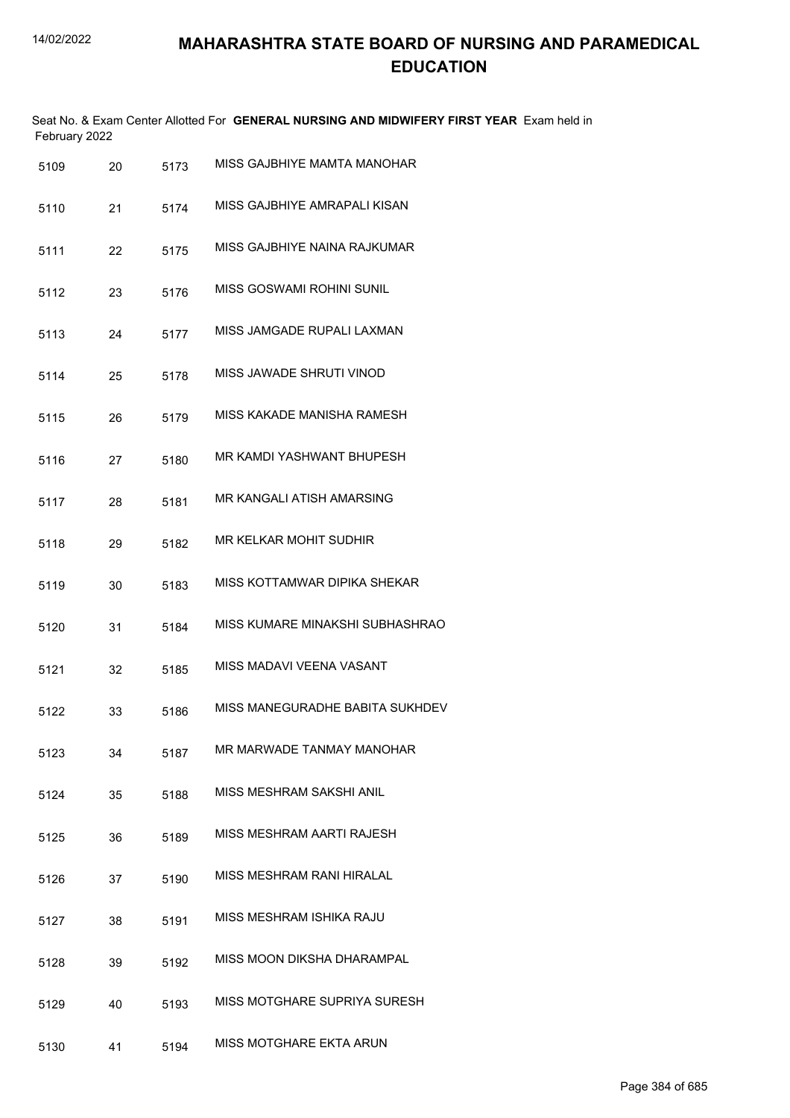| February 2022 |    |      | Seat No. & Exam Center Allotted For GENERAL NURSING AND MIDWIFERY FIRST YEAR Exam held in |
|---------------|----|------|-------------------------------------------------------------------------------------------|
| 5109          | 20 | 5173 | MISS GAJBHIYE MAMTA MANOHAR                                                               |
| 5110          | 21 | 5174 | MISS GAJBHIYE AMRAPALI KISAN                                                              |
| 5111          | 22 | 5175 | MISS GAJBHIYE NAINA RAJKUMAR                                                              |
| 5112          | 23 | 5176 | MISS GOSWAMI ROHINI SUNIL                                                                 |
| 5113          | 24 | 5177 | MISS JAMGADE RUPALI LAXMAN                                                                |
| 5114          | 25 | 5178 | MISS JAWADE SHRUTI VINOD                                                                  |
| 5115          | 26 | 5179 | MISS KAKADE MANISHA RAMESH                                                                |
| 5116          | 27 | 5180 | MR KAMDI YASHWANT BHUPESH                                                                 |
| 5117          | 28 | 5181 | MR KANGALI ATISH AMARSING                                                                 |
| 5118          | 29 | 5182 | MR KELKAR MOHIT SUDHIR                                                                    |
| 5119          | 30 | 5183 | MISS KOTTAMWAR DIPIKA SHEKAR                                                              |
| 5120          | 31 | 5184 | MISS KUMARE MINAKSHI SUBHASHRAO                                                           |
| 5121          | 32 | 5185 | MISS MADAVI VEENA VASANT                                                                  |
| 5122          | 33 | 5186 | MISS MANEGURADHE BABITA SUKHDEV                                                           |
| 5123          | 34 | 5187 | MR MARWADE TANMAY MANOHAR                                                                 |
| 5124          | 35 | 5188 | MISS MESHRAM SAKSHI ANIL                                                                  |
| 5125          | 36 | 5189 | MISS MESHRAM AARTI RAJESH                                                                 |
| 5126          | 37 | 5190 | MISS MESHRAM RANI HIRALAL                                                                 |
| 5127          | 38 | 5191 | MISS MESHRAM ISHIKA RAJU                                                                  |
| 5128          | 39 | 5192 | MISS MOON DIKSHA DHARAMPAL                                                                |
| 5129          | 40 | 5193 | MISS MOTGHARE SUPRIYA SURESH                                                              |
| 5130          | 41 | 5194 | MISS MOTGHARE EKTA ARUN                                                                   |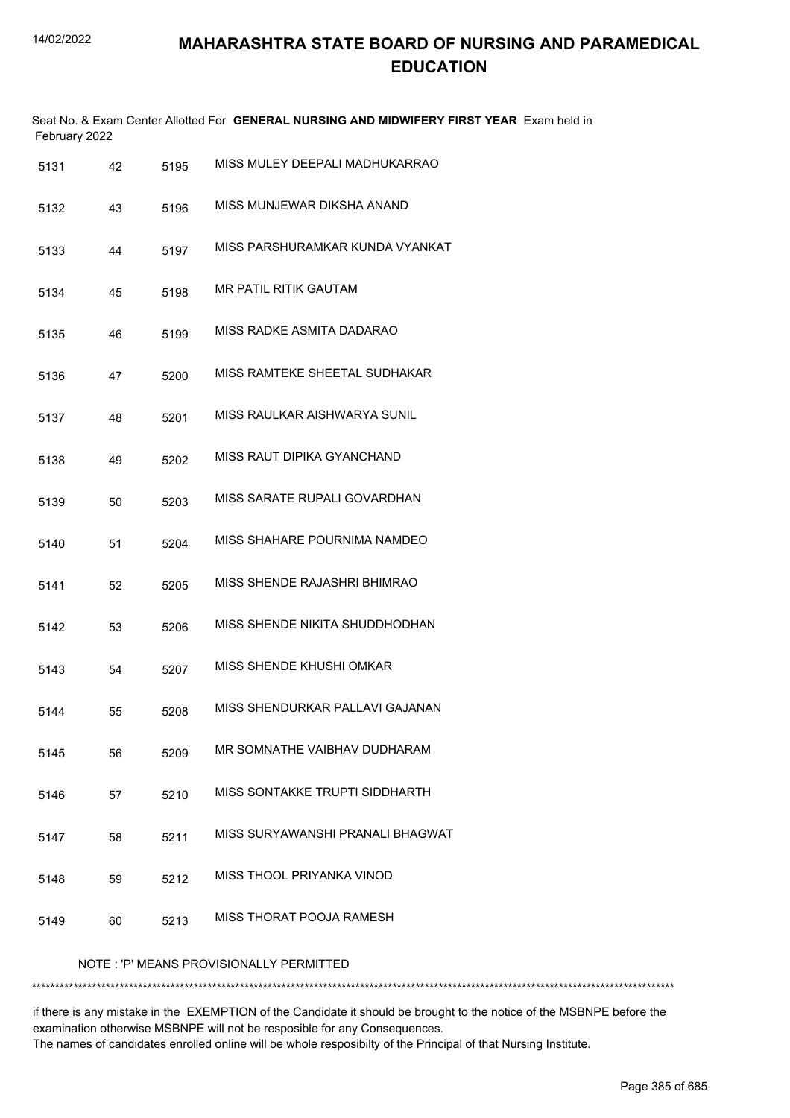|      | February 2022 |      | Seat No. & Exam Center Allotted For GENERAL NURSING AND MIDWIFERY FIRST YEAR Exam held in |
|------|---------------|------|-------------------------------------------------------------------------------------------|
| 5131 | 42            | 5195 | MISS MULEY DEEPALI MADHUKARRAO                                                            |
| 5132 | 43            | 5196 | MISS MUNJEWAR DIKSHA ANAND                                                                |
| 5133 | 44            | 5197 | MISS PARSHURAMKAR KUNDA VYANKAT                                                           |
| 5134 | 45            | 5198 | MR PATIL RITIK GAUTAM                                                                     |
| 5135 | 46            | 5199 | MISS RADKE ASMITA DADARAO                                                                 |
| 5136 | 47            | 5200 | MISS RAMTEKE SHEETAL SUDHAKAR                                                             |
| 5137 | 48            | 5201 | MISS RAULKAR AISHWARYA SUNIL                                                              |
| 5138 | 49            | 5202 | MISS RAUT DIPIKA GYANCHAND                                                                |
| 5139 | 50            | 5203 | MISS SARATE RUPALI GOVARDHAN                                                              |
| 5140 | 51            | 5204 | MISS SHAHARE POURNIMA NAMDEO                                                              |
| 5141 | 52            | 5205 | MISS SHENDE RAJASHRI BHIMRAO                                                              |
| 5142 | 53            | 5206 | MISS SHENDE NIKITA SHUDDHODHAN                                                            |
| 5143 | 54            | 5207 | MISS SHENDE KHUSHI OMKAR                                                                  |
| 5144 | 55            | 5208 | MISS SHENDURKAR PALLAVI GAJANAN                                                           |
| 5145 | 56            | 5209 | MR SOMNATHE VAIBHAV DUDHARAM                                                              |
| 5146 | 57            | 5210 | MISS SONTAKKE TRUPTI SIDDHARTH                                                            |
| 5147 | 58            | 5211 | MISS SURYAWANSHI PRANALI BHAGWAT                                                          |
| 5148 | 59            | 5212 | MISS THOOL PRIYANKA VINOD                                                                 |
| 5149 | 60            | 5213 | MISS THORAT POOJA RAMESH                                                                  |
|      |               |      | NOTE: 'P' MEANS PROVISIONALLY PERMITTED                                                   |

\*\*\*\*\*\*\*\*\*\*\*\*\*\*\*\*\*\*\*\*\*\*\*\*\*\*\*\*\*\*\*\*\*\*\*\*\*\*\*\*\*\*\*\*\*\*\*\*\*\*\*\*\*\*\*\*\*\*\*\*\*\*\*\*\*\*\*\*\*\*\*\*\*\*\*\*\*\*\*\*\*\*\*\*\*\*\*\*\*\*\*\*\*\*\*\*\*\*\*\*\*\*\*\*\*\*\*\*\*\*\*\*\*\*\*\*\*\*\*\*\*\*\*\*\*\*\*\*\*\*\*\*\*\*\*\*\*\*\*

if there is any mistake in the EXEMPTION of the Candidate it should be brought to the notice of the MSBNPE before the examination otherwise MSBNPE will not be resposible for any Consequences. The names of candidates enrolled online will be whole resposibilty of the Principal of that Nursing Institute.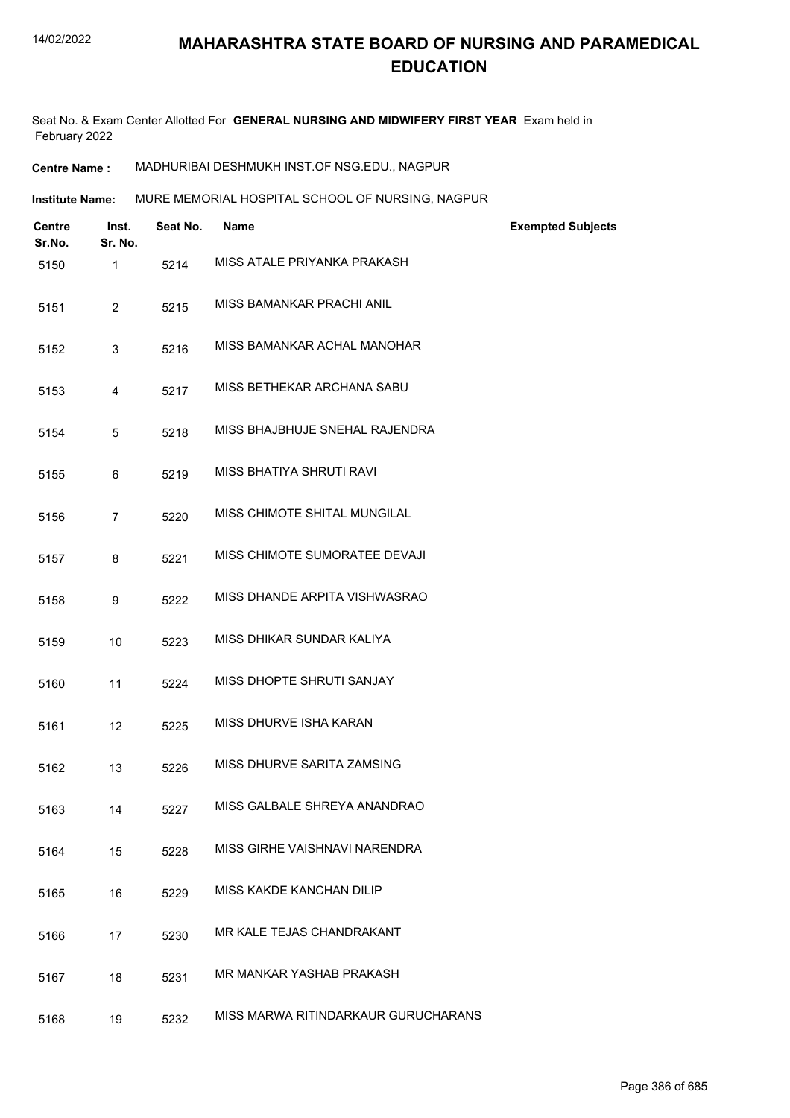Seat No. & Exam Center Allotted For **GENERAL NURSING AND MIDWIFERY FIRST YEAR** Exam held in February 2022

**Centre Name :** MADHURIBAI DESHMUKH INST.OF NSG.EDU., NAGPUR

**Institute Name: MURE MEMORIAL HOSPITAL SCHOOL OF NURSING, NAGPUR** 

| Centre<br>Sr.No. | Inst.<br>Sr. No. | Seat No. | <b>Name</b>                         | <b>Exempted Subjects</b> |
|------------------|------------------|----------|-------------------------------------|--------------------------|
| 5150             | 1                | 5214     | MISS ATALE PRIYANKA PRAKASH         |                          |
| 5151             | $\overline{2}$   | 5215     | MISS BAMANKAR PRACHI ANIL           |                          |
| 5152             | 3                | 5216     | MISS BAMANKAR ACHAL MANOHAR         |                          |
| 5153             | 4                | 5217     | MISS BETHEKAR ARCHANA SABU          |                          |
| 5154             | 5                | 5218     | MISS BHAJBHUJE SNEHAL RAJENDRA      |                          |
| 5155             | 6                | 5219     | MISS BHATIYA SHRUTI RAVI            |                          |
| 5156             | $\overline{7}$   | 5220     | MISS CHIMOTE SHITAL MUNGILAL        |                          |
| 5157             | 8                | 5221     | MISS CHIMOTE SUMORATEE DEVAJI       |                          |
| 5158             | 9                | 5222     | MISS DHANDE ARPITA VISHWASRAO       |                          |
| 5159             | 10               | 5223     | MISS DHIKAR SUNDAR KALIYA           |                          |
| 5160             | 11               | 5224     | MISS DHOPTE SHRUTI SANJAY           |                          |
| 5161             | 12               | 5225     | MISS DHURVE ISHA KARAN              |                          |
| 5162             | 13               | 5226     | MISS DHURVE SARITA ZAMSING          |                          |
| 5163             | 14               | 5227     | MISS GALBALE SHREYA ANANDRAO        |                          |
| 5164             | 15               | 5228     | MISS GIRHE VAISHNAVI NARENDRA       |                          |
| 5165             | 16               | 5229     | MISS KAKDE KANCHAN DILIP            |                          |
| 5166             | 17               | 5230     | MR KALE TEJAS CHANDRAKANT           |                          |
| 5167             | 18               | 5231     | MR MANKAR YASHAB PRAKASH            |                          |
| 5168             | 19               | 5232     | MISS MARWA RITINDARKAUR GURUCHARANS |                          |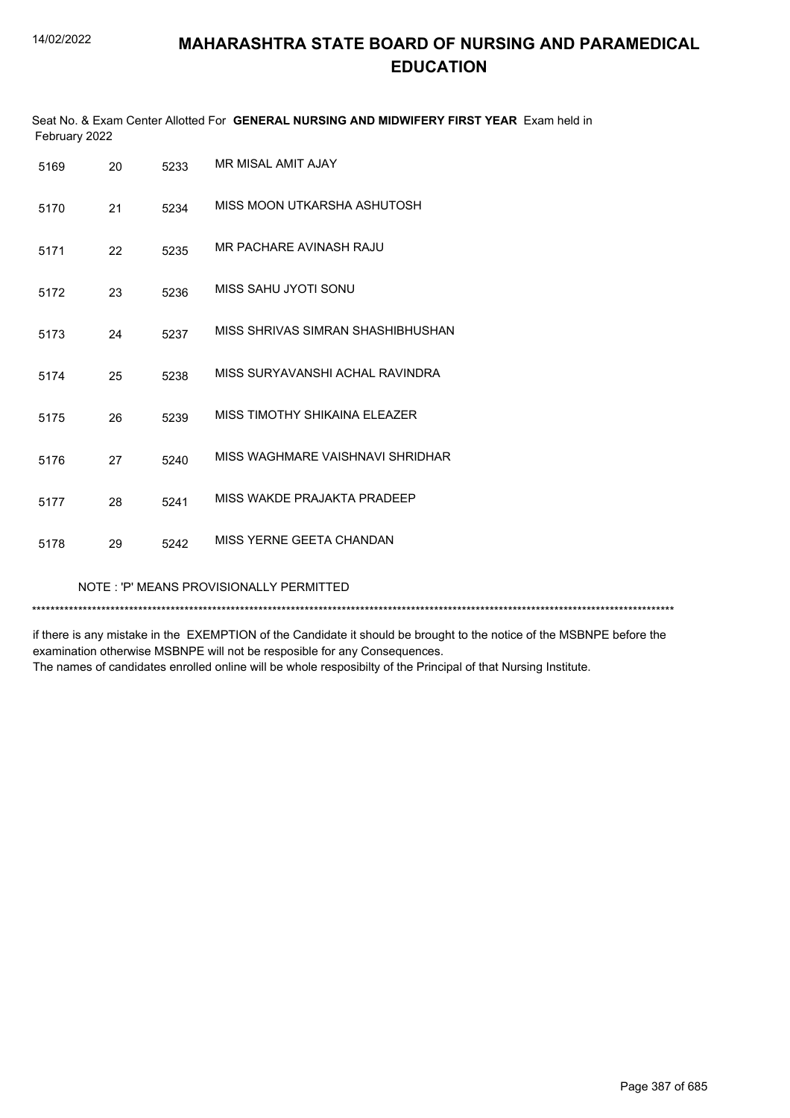| Seat No. & Exam Center Allotted For GENERAL NURSING AND MIDWIFERY FIRST YEAR Exam held in<br>February 2022 |    |      |                                   |
|------------------------------------------------------------------------------------------------------------|----|------|-----------------------------------|
| 5169                                                                                                       | 20 | 5233 | MR MISAL AMIT AJAY                |
| 5170                                                                                                       | 21 | 5234 | MISS MOON UTKARSHA ASHUTOSH       |
| 5171                                                                                                       | 22 | 5235 | MR PACHARE AVINASH RAJU           |
| 5172                                                                                                       | 23 | 5236 | MISS SAHU JYOTI SONU              |
| 5173                                                                                                       | 24 | 5237 | MISS SHRIVAS SIMRAN SHASHIBHUSHAN |
| 5174                                                                                                       | 25 | 5238 | MISS SURYAVANSHI ACHAL RAVINDRA   |
| 5175                                                                                                       | 26 | 5239 | MISS TIMOTHY SHIKAINA ELEAZER     |
| 5176                                                                                                       | 27 | 5240 | MISS WAGHMARE VAISHNAVI SHRIDHAR  |
| 5177                                                                                                       | 28 | 5241 | MISS WAKDE PRAJAKTA PRADEEP       |
| 5178                                                                                                       | 29 | 5242 | MISS YERNE GEETA CHANDAN          |
| NOTE: 'P' MEANS PROVISIONALLY PERMITTED                                                                    |    |      |                                   |

\*\*\*\*\*\*\*\*\*\*\*\*\*\*\*\*\*\*\*\*\*\*\*\*\*\*\*\*\*\*\*\*\*\*\*\*\*\*\*\*\*\*\*\*\*\*\*\*\*\*\*\*\*\*\*\*\*\*\*\*\*\*\*\*\*\*\*\*\*\*\*\*\*\*\*\*\*\*\*\*\*\*\*\*\*\*\*\*\*\*\*\*\*\*\*\*\*\*\*\*\*\*\*\*\*\*\*\*\*\*\*\*\*\*\*\*\*\*\*\*\*\*\*\*\*\*\*\*\*\*\*\*\*\*\*\*\*\*\*

if there is any mistake in the EXEMPTION of the Candidate it should be brought to the notice of the MSBNPE before the examination otherwise MSBNPE will not be resposible for any Consequences.

The names of candidates enrolled online will be whole resposibilty of the Principal of that Nursing Institute.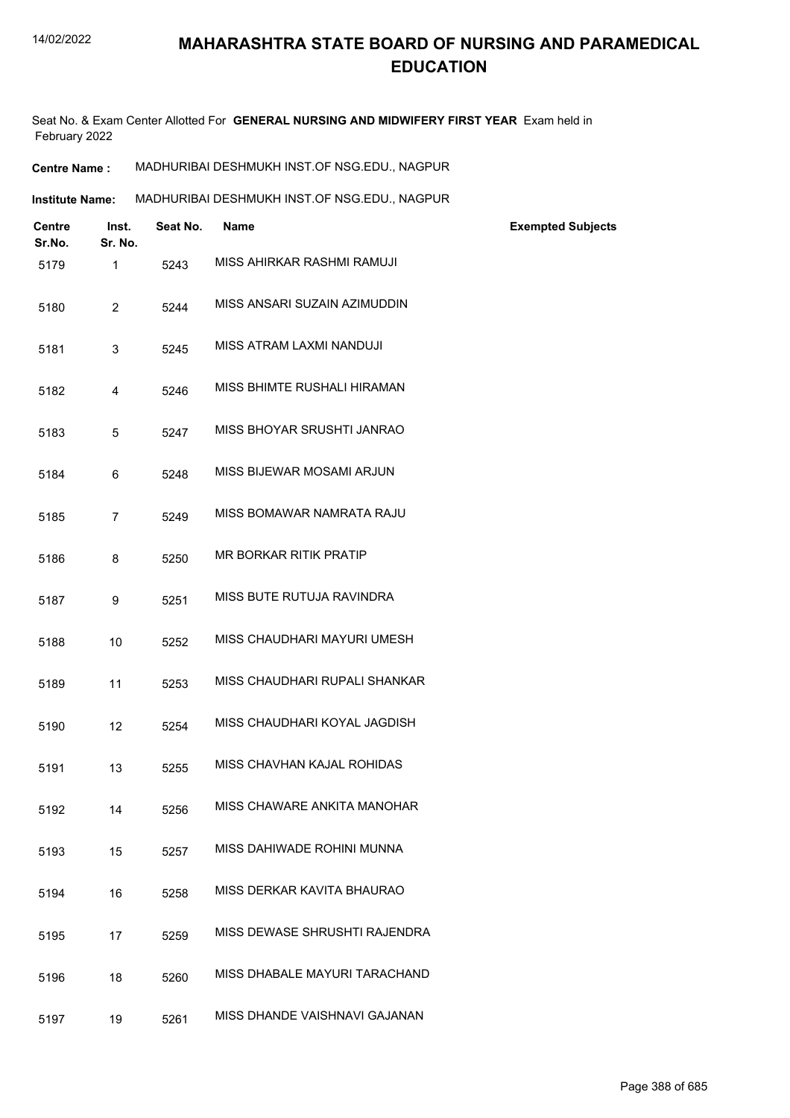Seat No. & Exam Center Allotted For **GENERAL NURSING AND MIDWIFERY FIRST YEAR** Exam held in February 2022

| MADHURIBAI DESHMUKH INST.OF NSG.EDU., NAGPUR<br><b>Centre Name :</b> |
|----------------------------------------------------------------------|
|----------------------------------------------------------------------|

| <b>Institute Name:</b> | MADHURIBAI DESHMUKH INST.OF NSG.EDU., NAGPUR |
|------------------------|----------------------------------------------|
|                        |                                              |

| <b>Centre</b><br>Sr.No. | Inst.<br>Sr. No. | Seat No. | <b>Name</b>                   | <b>Exempted Subjects</b> |
|-------------------------|------------------|----------|-------------------------------|--------------------------|
| 5179                    | 1                | 5243     | MISS AHIRKAR RASHMI RAMUJI    |                          |
| 5180                    | $\overline{2}$   | 5244     | MISS ANSARI SUZAIN AZIMUDDIN  |                          |
| 5181                    | 3                | 5245     | MISS ATRAM LAXMI NANDUJI      |                          |
| 5182                    | 4                | 5246     | MISS BHIMTE RUSHALI HIRAMAN   |                          |
| 5183                    | 5                | 5247     | MISS BHOYAR SRUSHTI JANRAO    |                          |
| 5184                    | 6                | 5248     | MISS BIJEWAR MOSAMI ARJUN     |                          |
| 5185                    | $\overline{7}$   | 5249     | MISS BOMAWAR NAMRATA RAJU     |                          |
| 5186                    | 8                | 5250     | <b>MR BORKAR RITIK PRATIP</b> |                          |
| 5187                    | 9                | 5251     | MISS BUTE RUTUJA RAVINDRA     |                          |
| 5188                    | 10               | 5252     | MISS CHAUDHARI MAYURI UMESH   |                          |
| 5189                    | 11               | 5253     | MISS CHAUDHARI RUPALI SHANKAR |                          |
| 5190                    | 12               | 5254     | MISS CHAUDHARI KOYAL JAGDISH  |                          |
| 5191                    | 13               | 5255     | MISS CHAVHAN KAJAL ROHIDAS    |                          |
| 5192                    | 14               | 5256     | MISS CHAWARE ANKITA MANOHAR   |                          |
| 5193                    | 15               | 5257     | MISS DAHIWADE ROHINI MUNNA    |                          |
| 5194                    | 16               | 5258     | MISS DERKAR KAVITA BHAURAO    |                          |
| 5195                    | 17               | 5259     | MISS DEWASE SHRUSHTI RAJENDRA |                          |
| 5196                    | 18               | 5260     | MISS DHABALE MAYURI TARACHAND |                          |
| 5197                    | 19               | 5261     | MISS DHANDE VAISHNAVI GAJANAN |                          |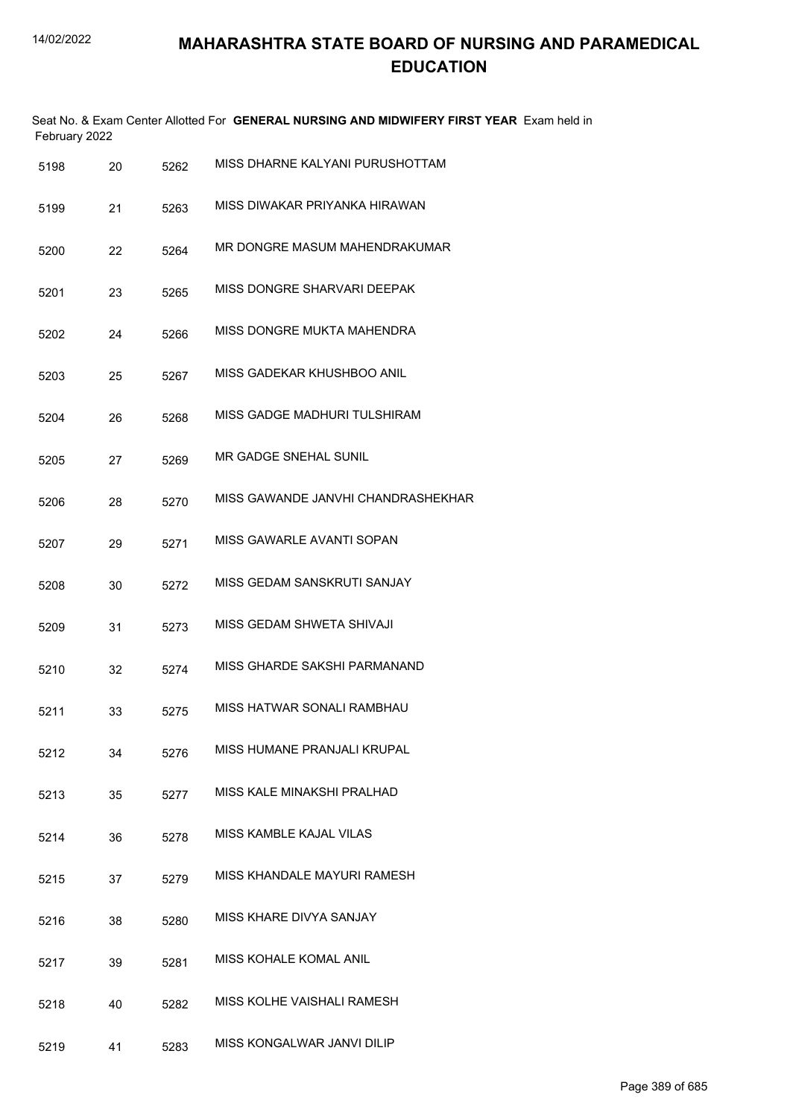| February 2022 |    |      | Seat No. & Exam Center Allotted For GENERAL NURSING AND MIDWIFERY FIRST YEAR Exam held in |
|---------------|----|------|-------------------------------------------------------------------------------------------|
| 5198          | 20 | 5262 | MISS DHARNE KALYANI PURUSHOTTAM                                                           |
| 5199          | 21 | 5263 | MISS DIWAKAR PRIYANKA HIRAWAN                                                             |
| 5200          | 22 | 5264 | MR DONGRE MASUM MAHENDRAKUMAR                                                             |
| 5201          | 23 | 5265 | MISS DONGRE SHARVARI DEEPAK                                                               |
| 5202          | 24 | 5266 | MISS DONGRE MUKTA MAHENDRA                                                                |
| 5203          | 25 | 5267 | MISS GADEKAR KHUSHBOO ANIL                                                                |
| 5204          | 26 | 5268 | MISS GADGE MADHURI TULSHIRAM                                                              |
| 5205          | 27 | 5269 | MR GADGE SNEHAL SUNIL                                                                     |
| 5206          | 28 | 5270 | MISS GAWANDE JANVHI CHANDRASHEKHAR                                                        |
| 5207          | 29 | 5271 | MISS GAWARLE AVANTI SOPAN                                                                 |
| 5208          | 30 | 5272 | MISS GEDAM SANSKRUTI SANJAY                                                               |
| 5209          | 31 | 5273 | MISS GEDAM SHWETA SHIVAJI                                                                 |
| 5210          | 32 | 5274 | MISS GHARDE SAKSHI PARMANAND                                                              |
| 5211          | 33 | 5275 | MISS HATWAR SONALI RAMBHAU                                                                |
| 5212          | 34 | 5276 | MISS HUMANE PRANJALI KRUPAL                                                               |
| 5213          | 35 | 5277 | MISS KALE MINAKSHI PRALHAD                                                                |
| 5214          | 36 | 5278 | MISS KAMBLE KAJAL VILAS                                                                   |
| 5215          | 37 | 5279 | MISS KHANDALE MAYURI RAMESH                                                               |
| 5216          | 38 | 5280 | MISS KHARE DIVYA SANJAY                                                                   |
| 5217          | 39 | 5281 | MISS KOHALE KOMAL ANIL                                                                    |
| 5218          | 40 | 5282 | MISS KOLHE VAISHALI RAMESH                                                                |
| 5219          | 41 | 5283 | MISS KONGALWAR JANVI DILIP                                                                |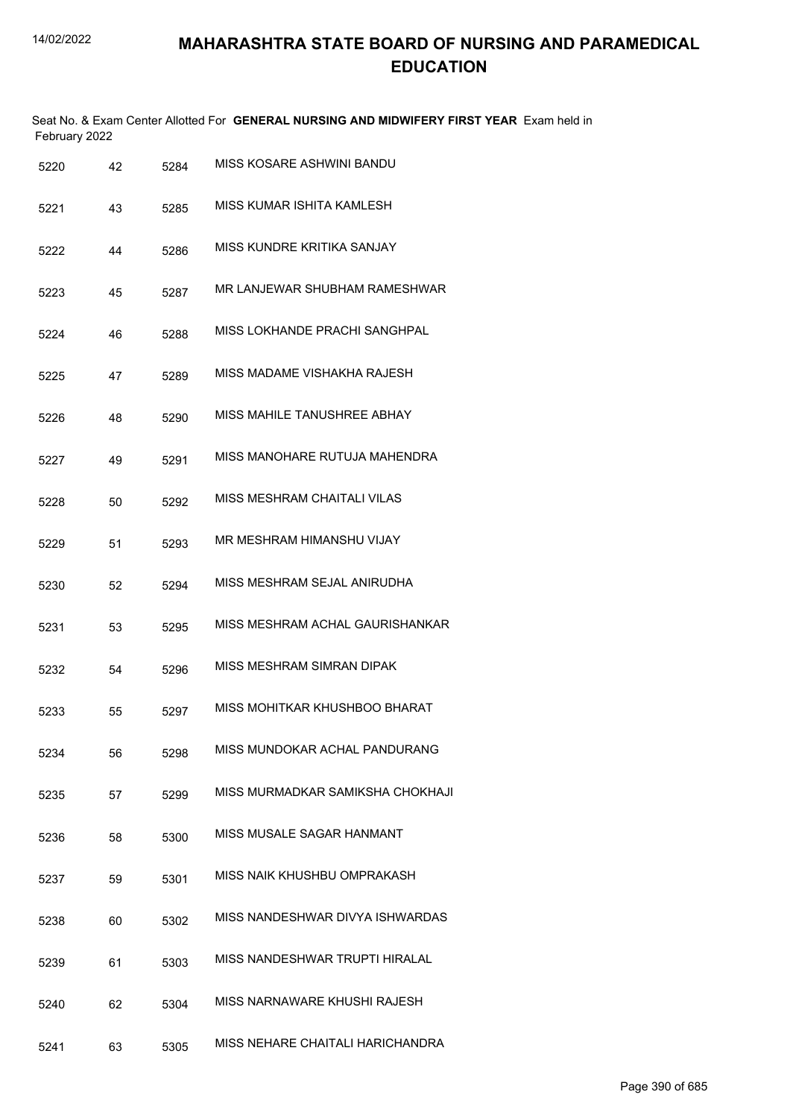| February 2022 |    |      | Seat No. & Exam Center Allotted For GENERAL NURSING AND MIDWIFERY FIRST YEAR Exam held in |
|---------------|----|------|-------------------------------------------------------------------------------------------|
| 5220          | 42 | 5284 | MISS KOSARE ASHWINI BANDU                                                                 |
| 5221          | 43 | 5285 | MISS KUMAR ISHITA KAMLESH                                                                 |
| 5222          | 44 | 5286 | MISS KUNDRE KRITIKA SANJAY                                                                |
| 5223          | 45 | 5287 | MR LANJEWAR SHUBHAM RAMESHWAR                                                             |
| 5224          | 46 | 5288 | MISS LOKHANDE PRACHI SANGHPAL                                                             |
| 5225          | 47 | 5289 | MISS MADAME VISHAKHA RAJESH                                                               |
| 5226          | 48 | 5290 | MISS MAHILE TANUSHREE ABHAY                                                               |
| 5227          | 49 | 5291 | MISS MANOHARE RUTUJA MAHENDRA                                                             |
| 5228          | 50 | 5292 | MISS MESHRAM CHAITALI VILAS                                                               |
| 5229          | 51 | 5293 | MR MESHRAM HIMANSHU VIJAY                                                                 |
| 5230          | 52 | 5294 | MISS MESHRAM SEJAL ANIRUDHA                                                               |
| 5231          | 53 | 5295 | MISS MESHRAM ACHAL GAURISHANKAR                                                           |
| 5232          | 54 | 5296 | MISS MESHRAM SIMRAN DIPAK                                                                 |
| 5233          | 55 | 5297 | MISS MOHITKAR KHUSHBOO BHARAT                                                             |
| 5234          | 56 | 5298 | MISS MUNDOKAR ACHAL PANDURANG                                                             |
| 5235          | 57 | 5299 | MISS MURMADKAR SAMIKSHA CHOKHAJI                                                          |
| 5236          | 58 | 5300 | MISS MUSALE SAGAR HANMANT                                                                 |
| 5237          | 59 | 5301 | MISS NAIK KHUSHBU OMPRAKASH                                                               |
| 5238          | 60 | 5302 | MISS NANDESHWAR DIVYA ISHWARDAS                                                           |
| 5239          | 61 | 5303 | MISS NANDESHWAR TRUPTI HIRALAL                                                            |
| 5240          | 62 | 5304 | MISS NARNAWARE KHUSHI RAJESH                                                              |
| 5241          | 63 | 5305 | MISS NEHARE CHAITALI HARICHANDRA                                                          |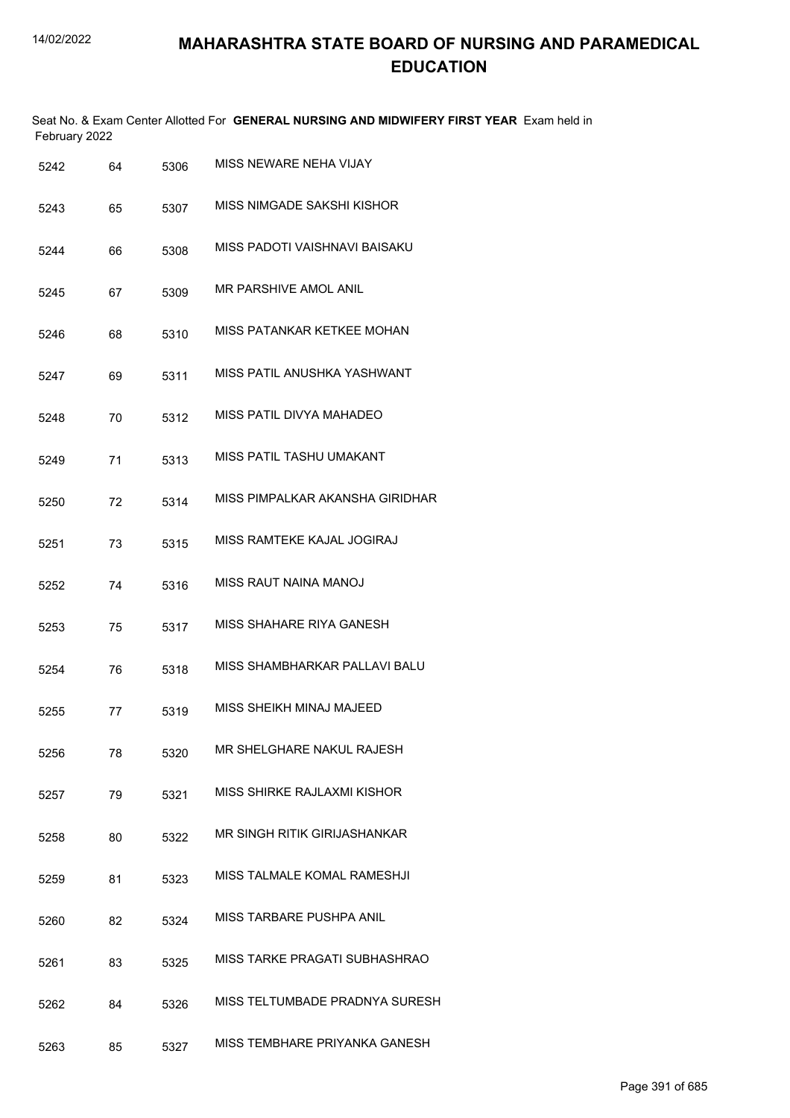| February 2022 |    |      | Seat No. & Exam Center Allotted For GENERAL NURSING AND MIDWIFERY FIRST YEAR Exam held in |
|---------------|----|------|-------------------------------------------------------------------------------------------|
| 5242          | 64 | 5306 | MISS NEWARE NEHA VIJAY                                                                    |
| 5243          | 65 | 5307 | MISS NIMGADE SAKSHI KISHOR                                                                |
| 5244          | 66 | 5308 | MISS PADOTI VAISHNAVI BAISAKU                                                             |
| 5245          | 67 | 5309 | MR PARSHIVE AMOL ANIL                                                                     |
| 5246          | 68 | 5310 | MISS PATANKAR KETKEE MOHAN                                                                |
| 5247          | 69 | 5311 | MISS PATIL ANUSHKA YASHWANT                                                               |
| 5248          | 70 | 5312 | MISS PATIL DIVYA MAHADEO                                                                  |
| 5249          | 71 | 5313 | MISS PATIL TASHU UMAKANT                                                                  |
| 5250          | 72 | 5314 | MISS PIMPALKAR AKANSHA GIRIDHAR                                                           |
| 5251          | 73 | 5315 | MISS RAMTEKE KAJAL JOGIRAJ                                                                |
| 5252          | 74 | 5316 | MISS RAUT NAINA MANOJ                                                                     |
| 5253          | 75 | 5317 | MISS SHAHARE RIYA GANESH                                                                  |
| 5254          | 76 | 5318 | MISS SHAMBHARKAR PALLAVI BALU                                                             |
| 5255          | 77 | 5319 | MISS SHEIKH MINAJ MAJEED                                                                  |
| 5256          | 78 | 5320 | MR SHELGHARE NAKUL RAJESH                                                                 |
| 5257          | 79 | 5321 | MISS SHIRKE RAJLAXMI KISHOR                                                               |
| 5258          | 80 | 5322 | MR SINGH RITIK GIRIJASHANKAR                                                              |
| 5259          | 81 | 5323 | MISS TALMALE KOMAL RAMESHJI                                                               |
| 5260          | 82 | 5324 | MISS TARBARE PUSHPA ANIL                                                                  |
|               |    |      |                                                                                           |

- 5261 83 5325 MISS TARKE PRAGATI SUBHASHRAO
- 5262 84 5326 MISS TELTUMBADE PRADNYA SURESH
- 5263 85 5327 MISS TEMBHARE PRIYANKA GANESH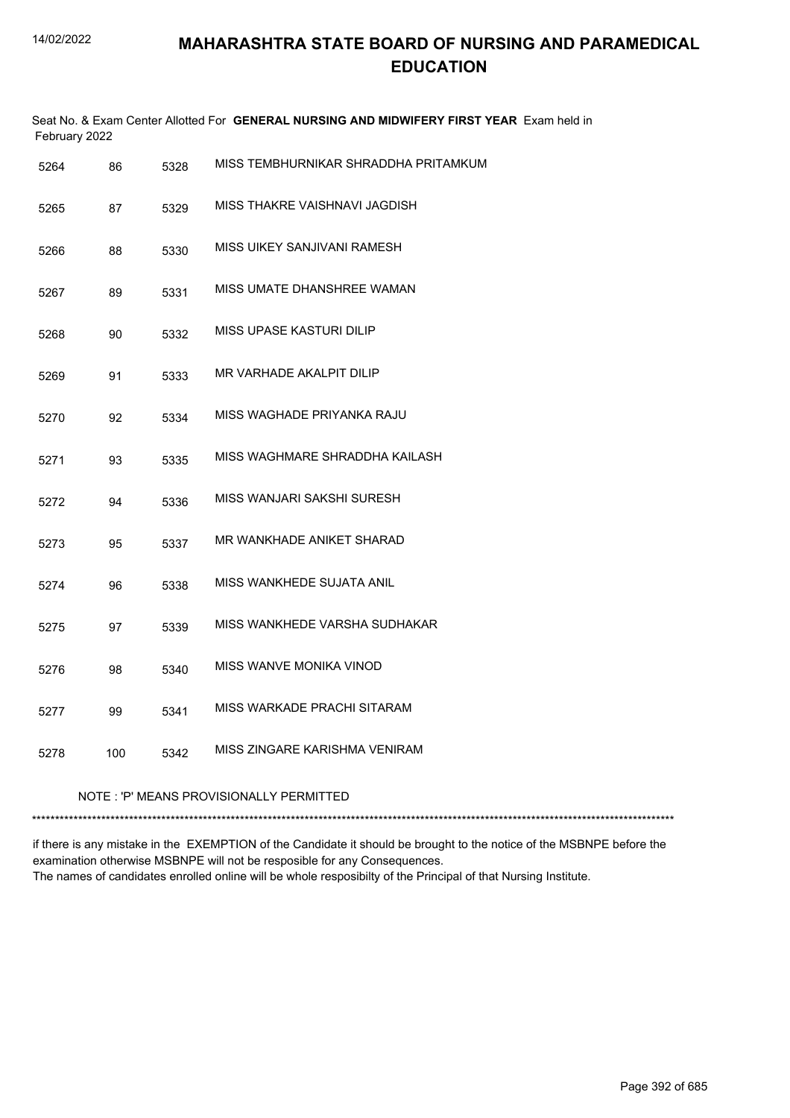| February 2022 |                                         |      | Seat No. & Exam Center Allotted For GENERAL NURSING AND MIDWIFERY FIRST YEAR Exam held in |  |  |
|---------------|-----------------------------------------|------|-------------------------------------------------------------------------------------------|--|--|
| 5264          | 86                                      | 5328 | MISS TEMBHURNIKAR SHRADDHA PRITAMKUM                                                      |  |  |
| 5265          | 87                                      | 5329 | MISS THAKRE VAISHNAVI JAGDISH                                                             |  |  |
| 5266          | 88                                      | 5330 | MISS UIKEY SANJIVANI RAMESH                                                               |  |  |
| 5267          | 89                                      | 5331 | MISS UMATE DHANSHREE WAMAN                                                                |  |  |
| 5268          | 90                                      | 5332 | MISS UPASE KASTURI DILIP                                                                  |  |  |
| 5269          | 91                                      | 5333 | MR VARHADE AKALPIT DILIP                                                                  |  |  |
| 5270          | 92                                      | 5334 | MISS WAGHADE PRIYANKA RAJU                                                                |  |  |
| 5271          | 93                                      | 5335 | MISS WAGHMARE SHRADDHA KAILASH                                                            |  |  |
| 5272          | 94                                      | 5336 | MISS WANJARI SAKSHI SURESH                                                                |  |  |
| 5273          | 95                                      | 5337 | MR WANKHADE ANIKET SHARAD                                                                 |  |  |
| 5274          | 96                                      | 5338 | MISS WANKHEDE SUJATA ANIL                                                                 |  |  |
| 5275          | 97                                      | 5339 | MISS WANKHEDE VARSHA SUDHAKAR                                                             |  |  |
| 5276          | 98                                      | 5340 | MISS WANVE MONIKA VINOD                                                                   |  |  |
| 5277          | 99                                      | 5341 | MISS WARKADE PRACHI SITARAM                                                               |  |  |
| 5278          | 100                                     | 5342 | MISS ZINGARE KARISHMA VENIRAM                                                             |  |  |
|               | NOTE: 'P' MEANS PROVISIONALLY PERMITTED |      |                                                                                           |  |  |

if there is any mistake in the EXEMPTION of the Candidate it should be brought to the notice of the MSBNPE before the examination otherwise MSBNPE will not be resposible for any Consequences. The names of candidates enrolled online will be whole resposibilty of the Principal of that Nursing Institute.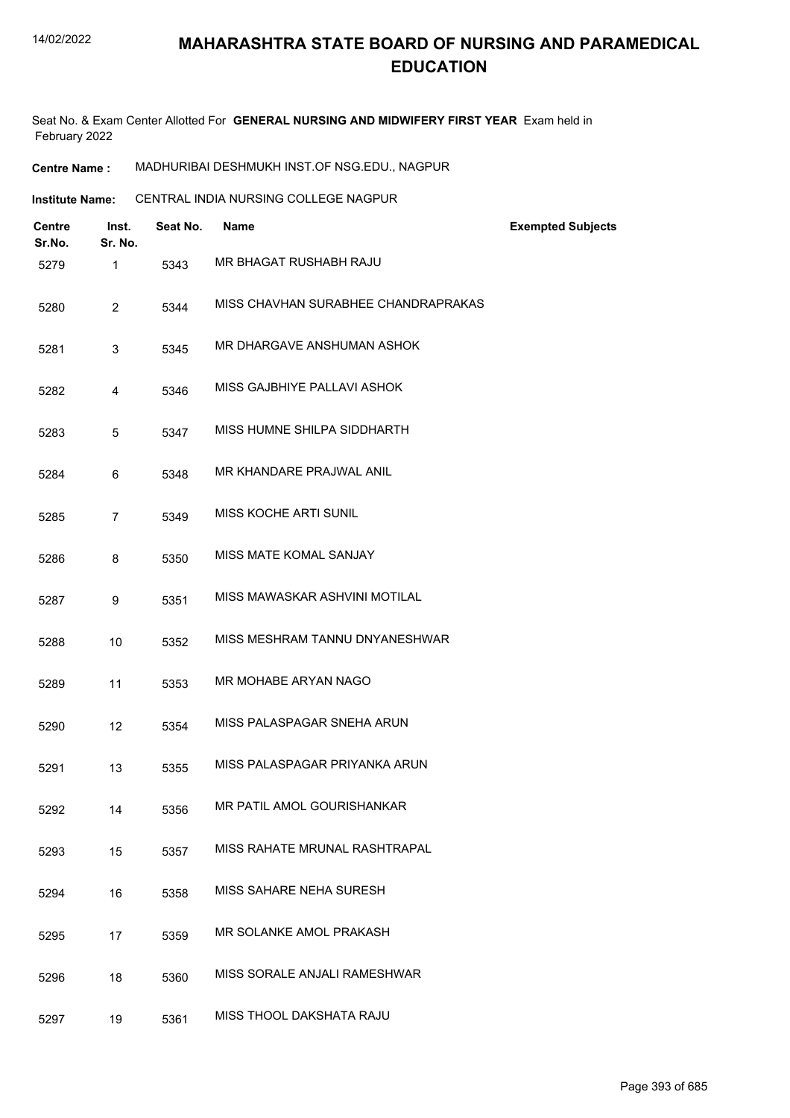Seat No. & Exam Center Allotted For **GENERAL NURSING AND MIDWIFERY FIRST YEAR** Exam held in February 2022

**Centre Name :** MADHURIBAI DESHMUKH INST.OF NSG.EDU., NAGPUR

**Institute Name:** CENTRAL INDIA NURSING COLLEGE NAGPUR

| <b>Centre</b><br>Sr.No. | Inst.<br>Sr. No. | Seat No. | <b>Name</b>                         | <b>Exempted Subjects</b> |
|-------------------------|------------------|----------|-------------------------------------|--------------------------|
| 5279                    | 1                | 5343     | MR BHAGAT RUSHABH RAJU              |                          |
| 5280                    | $\overline{2}$   | 5344     | MISS CHAVHAN SURABHEE CHANDRAPRAKAS |                          |
| 5281                    | 3                | 5345     | MR DHARGAVE ANSHUMAN ASHOK          |                          |
| 5282                    | 4                | 5346     | MISS GAJBHIYE PALLAVI ASHOK         |                          |
| 5283                    | 5                | 5347     | MISS HUMNE SHILPA SIDDHARTH         |                          |
| 5284                    | 6                | 5348     | MR KHANDARE PRAJWAL ANIL            |                          |
| 5285                    | $\overline{7}$   | 5349     | <b>MISS KOCHE ARTI SUNIL</b>        |                          |
| 5286                    | 8                | 5350     | MISS MATE KOMAL SANJAY              |                          |
| 5287                    | 9                | 5351     | MISS MAWASKAR ASHVINI MOTILAL       |                          |
| 5288                    | 10               | 5352     | MISS MESHRAM TANNU DNYANESHWAR      |                          |
| 5289                    | 11               | 5353     | MR MOHABE ARYAN NAGO                |                          |
| 5290                    | 12               | 5354     | MISS PALASPAGAR SNEHA ARUN          |                          |
| 5291                    | 13               | 5355     | MISS PALASPAGAR PRIYANKA ARUN       |                          |
| 5292                    | 14               | 5356     | MR PATIL AMOL GOURISHANKAR          |                          |
| 5293                    | 15               | 5357     | MISS RAHATE MRUNAL RASHTRAPAL       |                          |
| 5294                    | 16               | 5358     | MISS SAHARE NEHA SURESH             |                          |
| 5295                    | 17               | 5359     | MR SOLANKE AMOL PRAKASH             |                          |
| 5296                    | 18               | 5360     | MISS SORALE ANJALI RAMESHWAR        |                          |
| 5297                    | 19               | 5361     | MISS THOOL DAKSHATA RAJU            |                          |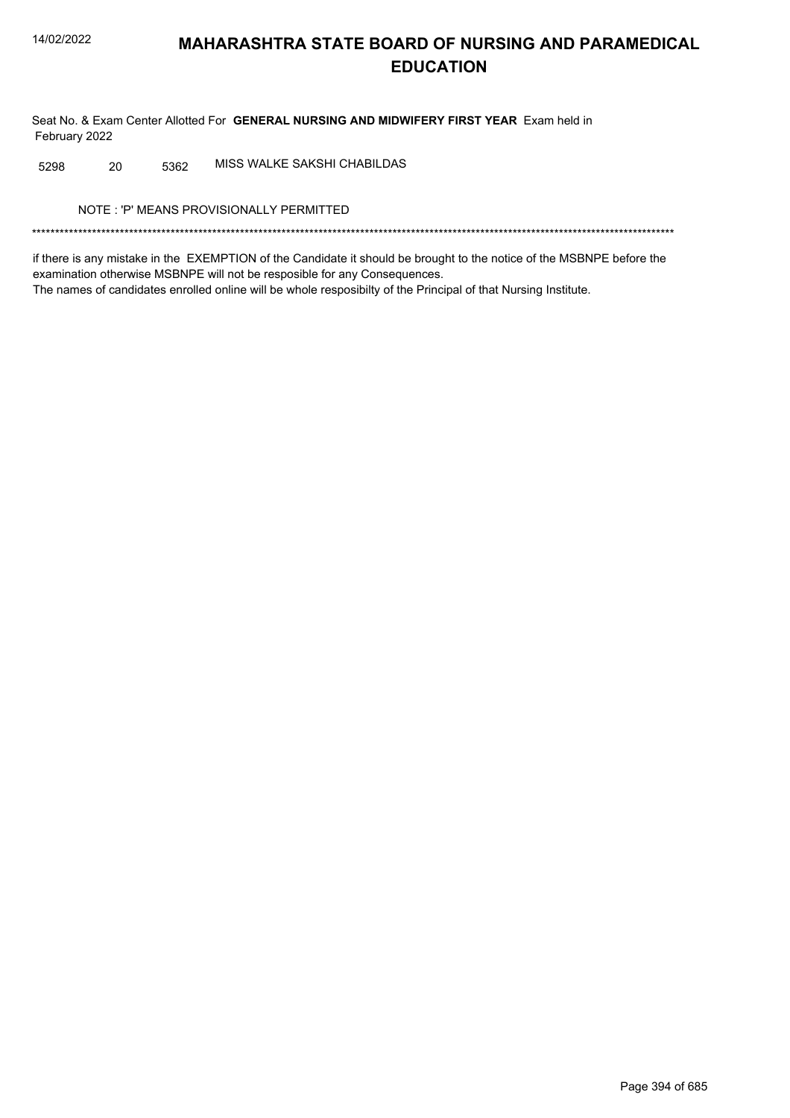Seat No. & Exam Center Allotted For GENERAL NURSING AND MIDWIFERY FIRST YEAR Exam held in February 2022

MISS WALKE SAKSHI CHABILDAS 20 5298 5362

NOTE: 'P' MEANS PROVISIONALLY PERMITTED

if there is any mistake in the EXEMPTION of the Candidate it should be brought to the notice of the MSBNPE before the examination otherwise MSBNPE will not be resposible for any Consequences. The names of candidates enrolled online will be whole resposibilty of the Principal of that Nursing Institute.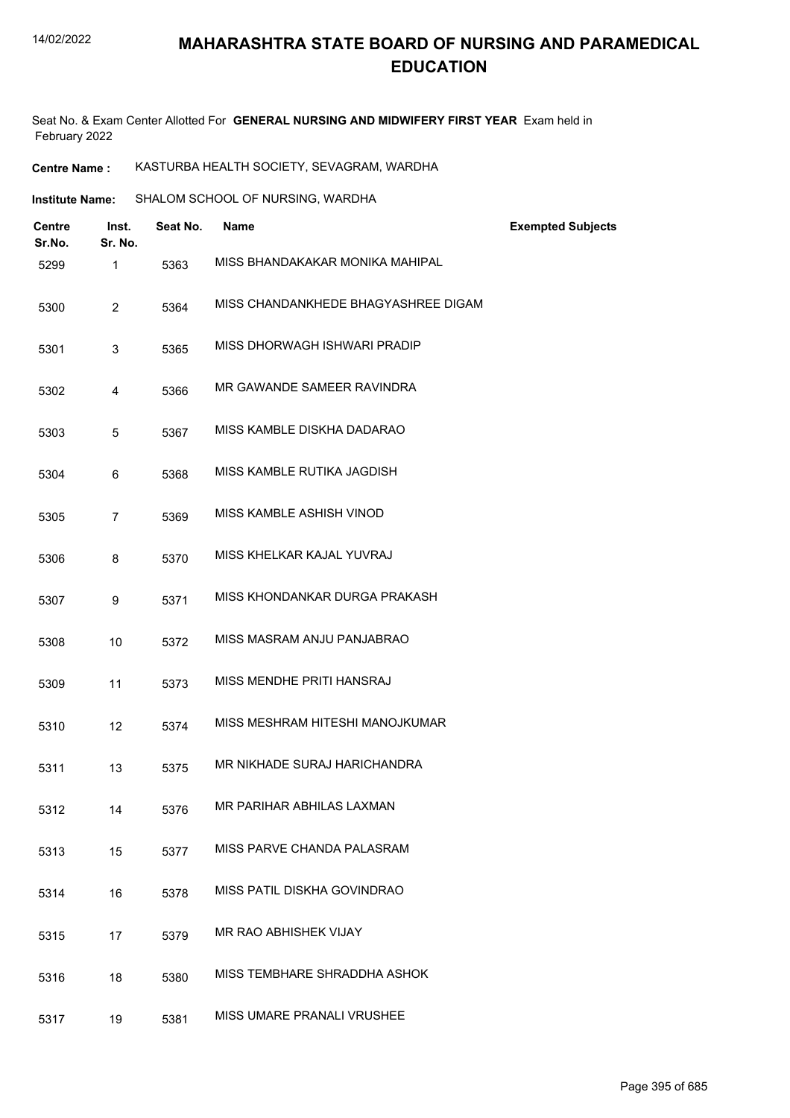Seat No. & Exam Center Allotted For **GENERAL NURSING AND MIDWIFERY FIRST YEAR** Exam held in February 2022

**Centre Name :** KASTURBA HEALTH SOCIETY, SEVAGRAM, WARDHA

| Institute Name: | SHALOM SCHOOL OF NURSING, WARDHA |
|-----------------|----------------------------------|
|                 |                                  |

| Centre<br>Sr.No. | Inst.<br>Sr. No. | Seat No. | <b>Name</b>                         | <b>Exempted Subjects</b> |
|------------------|------------------|----------|-------------------------------------|--------------------------|
| 5299             | $\mathbf{1}$     | 5363     | MISS BHANDAKAKAR MONIKA MAHIPAL     |                          |
| 5300             | $\overline{2}$   | 5364     | MISS CHANDANKHEDE BHAGYASHREE DIGAM |                          |
| 5301             | 3                | 5365     | MISS DHORWAGH ISHWARI PRADIP        |                          |
| 5302             | 4                | 5366     | MR GAWANDE SAMEER RAVINDRA          |                          |
| 5303             | 5                | 5367     | MISS KAMBLE DISKHA DADARAO          |                          |
| 5304             | 6                | 5368     | MISS KAMBLE RUTIKA JAGDISH          |                          |
| 5305             | 7                | 5369     | MISS KAMBLE ASHISH VINOD            |                          |
| 5306             | 8                | 5370     | MISS KHELKAR KAJAL YUVRAJ           |                          |
| 5307             | 9                | 5371     | MISS KHONDANKAR DURGA PRAKASH       |                          |
| 5308             | 10               | 5372     | MISS MASRAM ANJU PANJABRAO          |                          |
| 5309             | 11               | 5373     | MISS MENDHE PRITI HANSRAJ           |                          |
| 5310             | 12               | 5374     | MISS MESHRAM HITESHI MANOJKUMAR     |                          |
| 5311             | 13               | 5375     | MR NIKHADE SURAJ HARICHANDRA        |                          |
| 5312             | 14               | 5376     | MR PARIHAR ABHILAS LAXMAN           |                          |
| 5313             | 15               | 5377     | MISS PARVE CHANDA PALASRAM          |                          |
| 5314             | 16               | 5378     | MISS PATIL DISKHA GOVINDRAO         |                          |
| 5315             | 17               | 5379     | MR RAO ABHISHEK VIJAY               |                          |
| 5316             | 18               | 5380     | MISS TEMBHARE SHRADDHA ASHOK        |                          |
| 5317             | 19               | 5381     | MISS UMARE PRANALI VRUSHEE          |                          |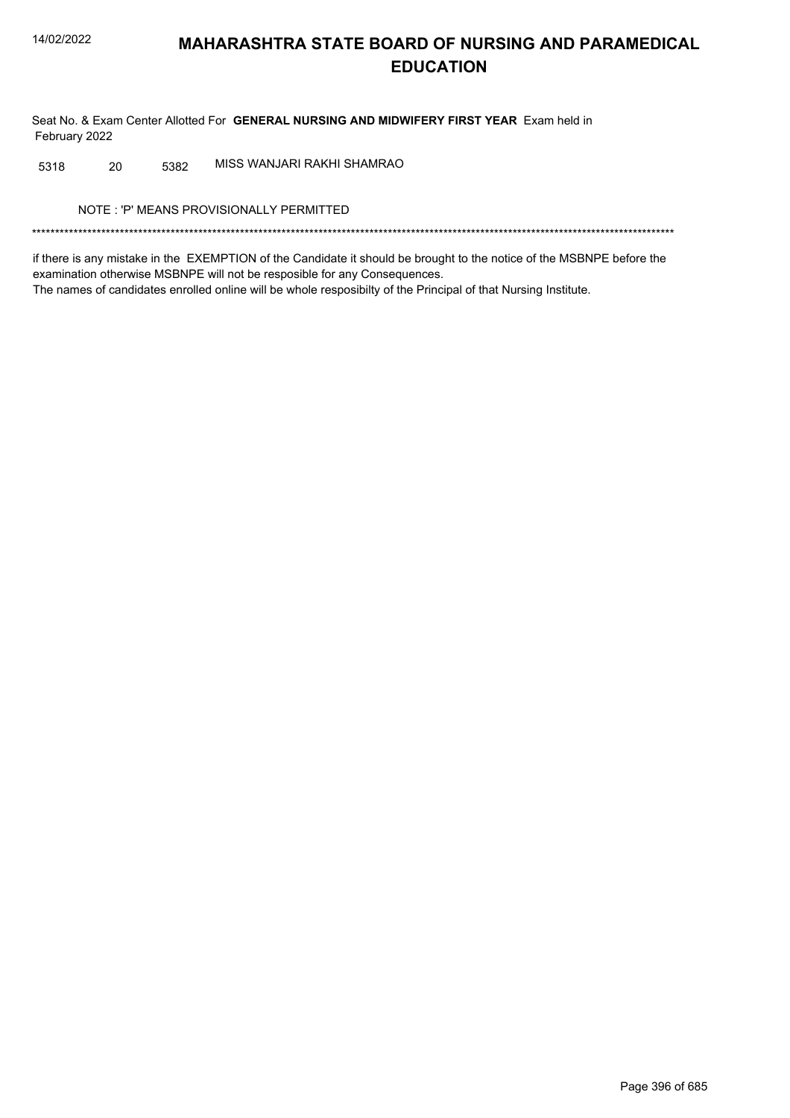Seat No. & Exam Center Allotted For GENERAL NURSING AND MIDWIFERY FIRST YEAR Exam held in February 2022

MISS WANJARI RAKHI SHAMRAO 20 5382 5318

NOTE: 'P' MEANS PROVISIONALLY PERMITTED

if there is any mistake in the EXEMPTION of the Candidate it should be brought to the notice of the MSBNPE before the examination otherwise MSBNPE will not be resposible for any Consequences. The names of candidates enrolled online will be whole resposibilty of the Principal of that Nursing Institute.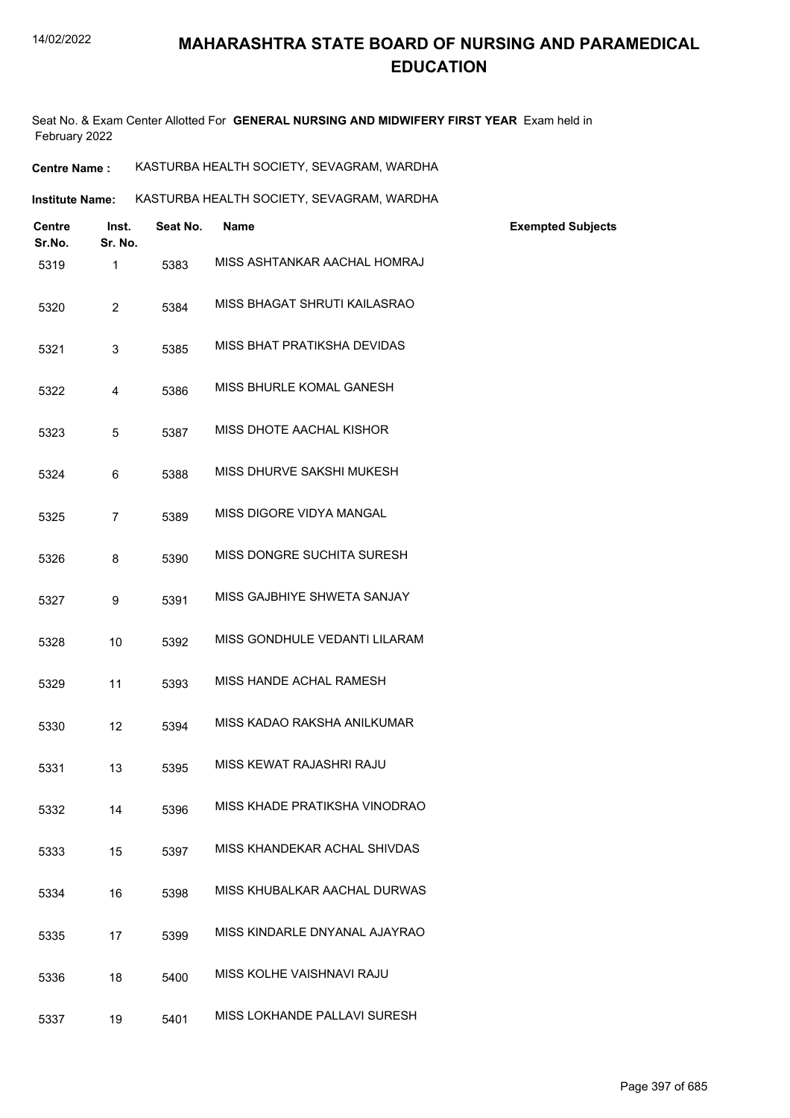Seat No. & Exam Center Allotted For **GENERAL NURSING AND MIDWIFERY FIRST YEAR** Exam held in February 2022

| Centre<br>Sr.No. | Inst.<br>Sr. No. | Seat No. | <b>Name</b>                   | <b>Exempted Subjects</b> |
|------------------|------------------|----------|-------------------------------|--------------------------|
| 5319             | $\mathbf{1}$     | 5383     | MISS ASHTANKAR AACHAL HOMRAJ  |                          |
| 5320             | $\overline{2}$   | 5384     | MISS BHAGAT SHRUTI KAILASRAO  |                          |
| 5321             | 3                | 5385     | MISS BHAT PRATIKSHA DEVIDAS   |                          |
| 5322             | 4                | 5386     | MISS BHURLE KOMAL GANESH      |                          |
| 5323             | 5                | 5387     | MISS DHOTE AACHAL KISHOR      |                          |
| 5324             | 6                | 5388     | MISS DHURVE SAKSHI MUKESH     |                          |
| 5325             | 7                | 5389     | MISS DIGORE VIDYA MANGAL      |                          |
| 5326             | 8                | 5390     | MISS DONGRE SUCHITA SURESH    |                          |
| 5327             | 9                | 5391     | MISS GAJBHIYE SHWETA SANJAY   |                          |
| 5328             | 10               | 5392     | MISS GONDHULE VEDANTI LILARAM |                          |
| 5329             | 11               | 5393     | MISS HANDE ACHAL RAMESH       |                          |
| 5330             | 12               | 5394     | MISS KADAO RAKSHA ANILKUMAR   |                          |
| 5331             | 13               | 5395     | MISS KEWAT RAJASHRI RAJU      |                          |
| 5332             | 14               | 5396     | MISS KHADE PRATIKSHA VINODRAO |                          |
| 5333             | 15               | 5397     | MISS KHANDEKAR ACHAL SHIVDAS  |                          |
| 5334             | 16               | 5398     | MISS KHUBALKAR AACHAL DURWAS  |                          |
| 5335             | 17               | 5399     | MISS KINDARLE DNYANAL AJAYRAO |                          |
| 5336             | 18               | 5400     | MISS KOLHE VAISHNAVI RAJU     |                          |
| 5337             | 19               | 5401     | MISS LOKHANDE PALLAVI SURESH  |                          |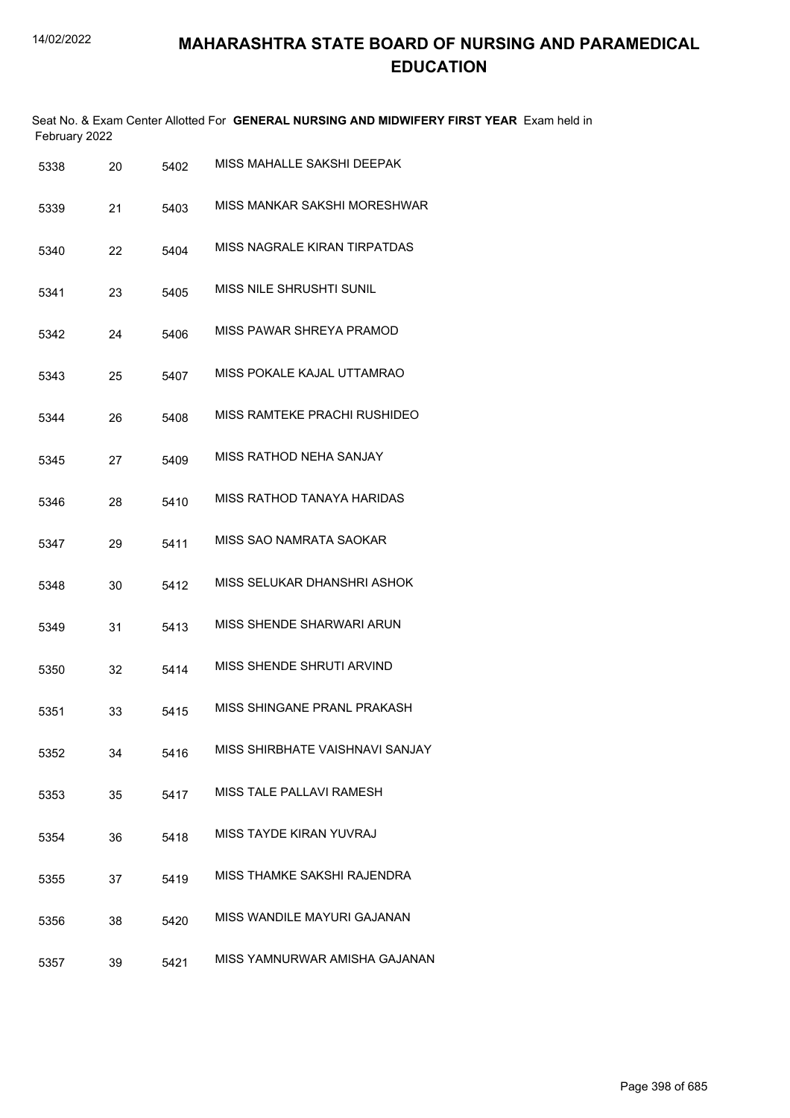| February 2022 |    |      | Seat No. & Exam Center Allotted For GENERAL NURSING AND MIDWIFERY FIRST YEAR Exam held in |
|---------------|----|------|-------------------------------------------------------------------------------------------|
| 5338          | 20 | 5402 | MISS MAHALLE SAKSHI DEEPAK                                                                |
| 5339          | 21 | 5403 | MISS MANKAR SAKSHI MORESHWAR                                                              |
| 5340          | 22 | 5404 | MISS NAGRALE KIRAN TIRPATDAS                                                              |
| 5341          | 23 | 5405 | MISS NILE SHRUSHTI SUNIL                                                                  |
| 5342          | 24 | 5406 | MISS PAWAR SHREYA PRAMOD                                                                  |
| 5343          | 25 | 5407 | MISS POKALE KAJAL UTTAMRAO                                                                |
| 5344          | 26 | 5408 | MISS RAMTEKE PRACHI RUSHIDEO                                                              |
| 5345          | 27 | 5409 | MISS RATHOD NEHA SANJAY                                                                   |
| 5346          | 28 | 5410 | MISS RATHOD TANAYA HARIDAS                                                                |
| 5347          | 29 | 5411 | MISS SAO NAMRATA SAOKAR                                                                   |
| 5348          | 30 | 5412 | MISS SELUKAR DHANSHRI ASHOK                                                               |
| 5349          | 31 | 5413 | MISS SHENDE SHARWARI ARUN                                                                 |
| 5350          | 32 | 5414 | MISS SHENDE SHRUTI ARVIND                                                                 |
| 5351          | 33 | 5415 | MISS SHINGANE PRANL PRAKASH                                                               |
| 5352          | 34 | 5416 | MISS SHIRBHATE VAISHNAVI SANJAY                                                           |
| 5353          | 35 | 5417 | MISS TALE PALLAVI RAMESH                                                                  |
| 5354          | 36 | 5418 | MISS TAYDE KIRAN YUVRAJ                                                                   |
| 5355          | 37 | 5419 | MISS THAMKE SAKSHI RAJENDRA                                                               |
| 5356          | 38 | 5420 | MISS WANDILE MAYURI GAJANAN                                                               |
| 5357          | 39 | 5421 | MISS YAMNURWAR AMISHA GAJANAN                                                             |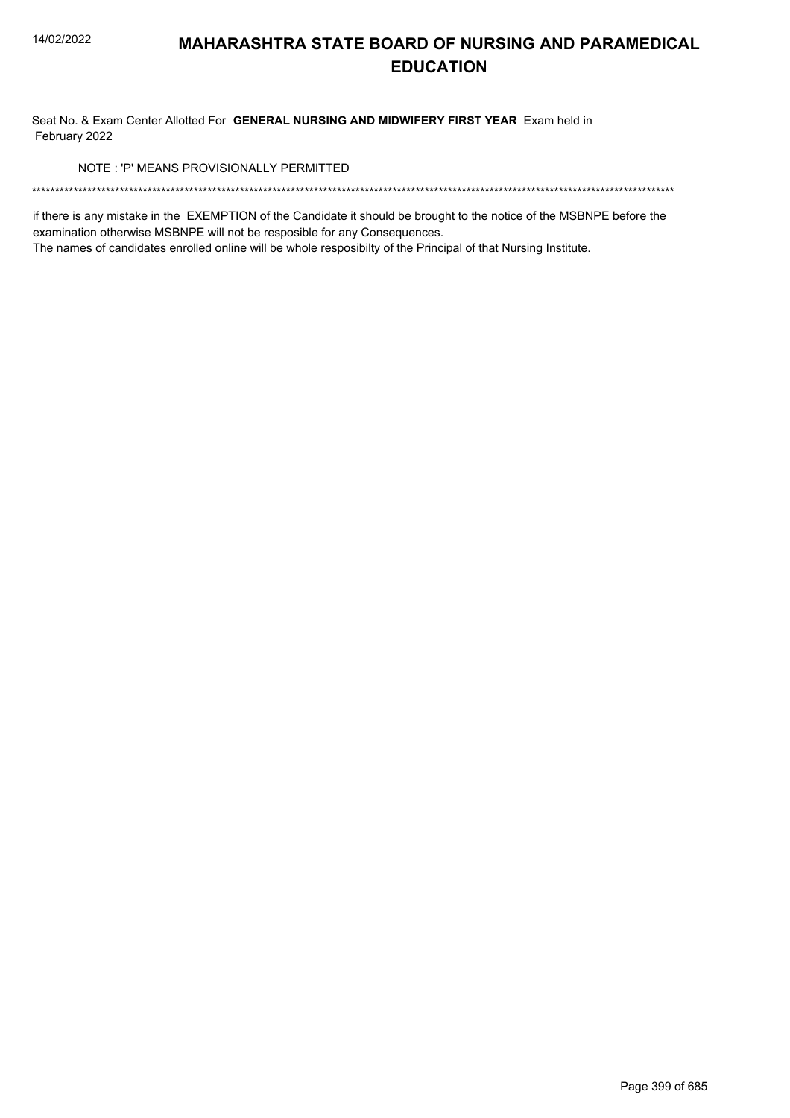Seat No. & Exam Center Allotted For GENERAL NURSING AND MIDWIFERY FIRST YEAR Exam held in February 2022

NOTE: 'P' MEANS PROVISIONALLY PERMITTED

if there is any mistake in the EXEMPTION of the Candidate it should be brought to the notice of the MSBNPE before the examination otherwise MSBNPE will not be resposible for any Consequences.

The names of candidates enrolled online will be whole resposibilty of the Principal of that Nursing Institute.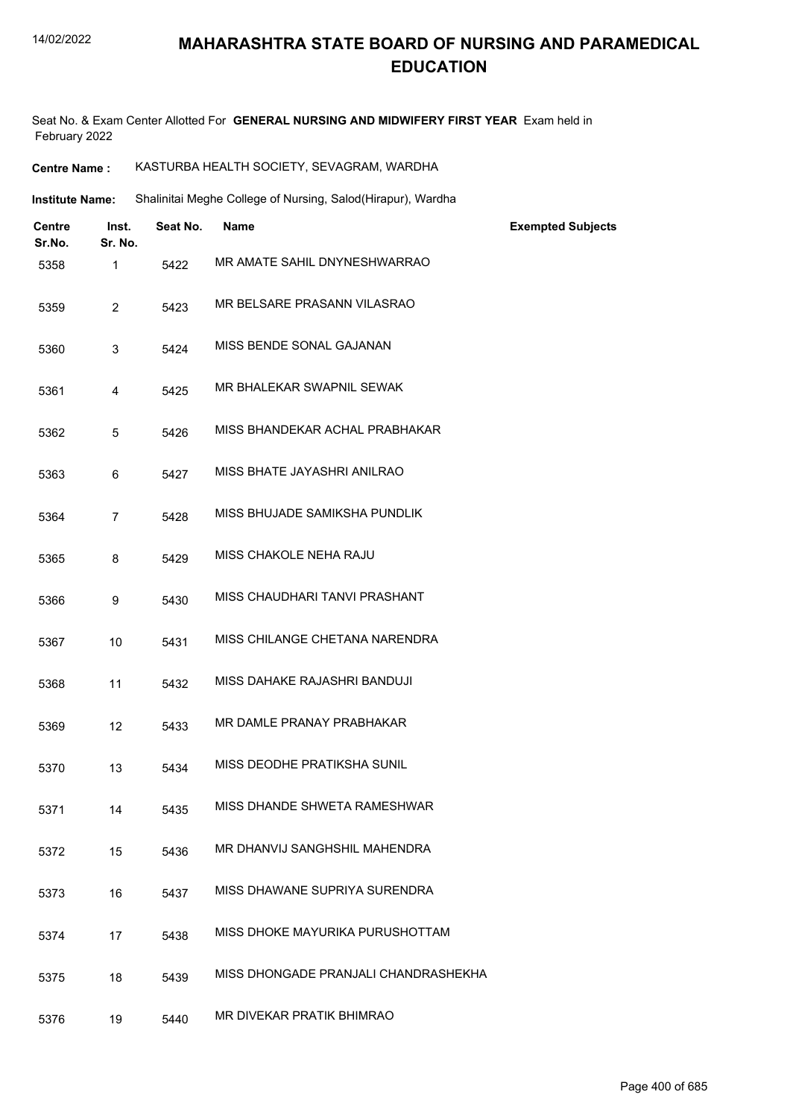Seat No. & Exam Center Allotted For **GENERAL NURSING AND MIDWIFERY FIRST YEAR** Exam held in February 2022

| <b>Centre Name :</b> | KASTURBA HEALTH SOCIETY, SEVAGRAM, WARDHA |  |
|----------------------|-------------------------------------------|--|
|----------------------|-------------------------------------------|--|

Shalinitai Meghe College of Nursing, Salod(Hirapur), Wardha **Institute Name:**

| <b>Centre</b><br>Sr.No. | Inst.<br>Sr. No. | Seat No. | <b>Name</b>                          | <b>Exempted Subjects</b> |
|-------------------------|------------------|----------|--------------------------------------|--------------------------|
| 5358                    | 1                | 5422     | MR AMATE SAHIL DNYNESHWARRAO         |                          |
| 5359                    | $\overline{2}$   | 5423     | MR BELSARE PRASANN VILASRAO          |                          |
| 5360                    | 3                | 5424     | MISS BENDE SONAL GAJANAN             |                          |
| 5361                    | 4                | 5425     | MR BHALEKAR SWAPNIL SEWAK            |                          |
| 5362                    | 5                | 5426     | MISS BHANDEKAR ACHAL PRABHAKAR       |                          |
| 5363                    | 6                | 5427     | MISS BHATE JAYASHRI ANILRAO          |                          |
| 5364                    | 7                | 5428     | MISS BHUJADE SAMIKSHA PUNDLIK        |                          |
| 5365                    | 8                | 5429     | MISS CHAKOLE NEHA RAJU               |                          |
| 5366                    | 9                | 5430     | MISS CHAUDHARI TANVI PRASHANT        |                          |
| 5367                    | 10               | 5431     | MISS CHILANGE CHETANA NARENDRA       |                          |
| 5368                    | 11               | 5432     | MISS DAHAKE RAJASHRI BANDUJI         |                          |
| 5369                    | 12               | 5433     | MR DAMLE PRANAY PRABHAKAR            |                          |
| 5370                    | 13               | 5434     | MISS DEODHE PRATIKSHA SUNIL          |                          |
| 5371                    | 14               | 5435     | MISS DHANDE SHWETA RAMESHWAR         |                          |
| 5372                    | 15               | 5436     | MR DHANVIJ SANGHSHIL MAHENDRA        |                          |
| 5373                    | 16               | 5437     | MISS DHAWANE SUPRIYA SURENDRA        |                          |
| 5374                    | 17               | 5438     | MISS DHOKE MAYURIKA PURUSHOTTAM      |                          |
| 5375                    | 18               | 5439     | MISS DHONGADE PRANJALI CHANDRASHEKHA |                          |
| 5376                    | 19               | 5440     | MR DIVEKAR PRATIK BHIMRAO            |                          |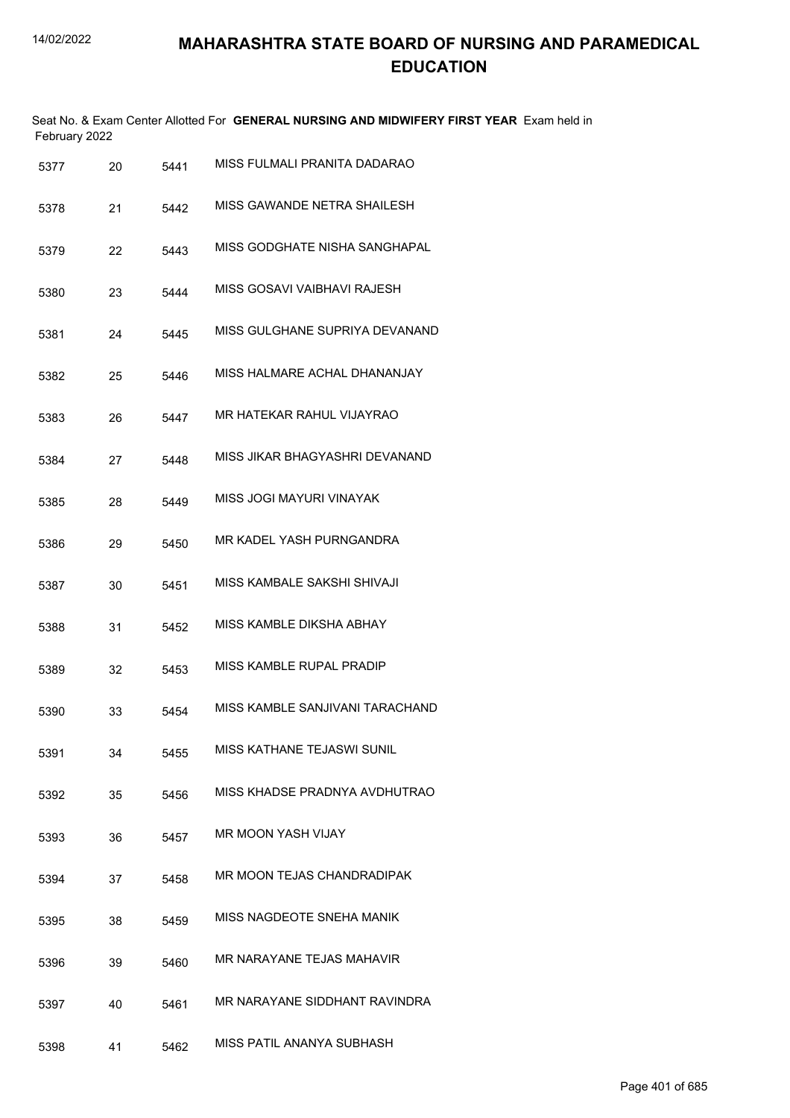| February 2022 |    |      | Seat No. & Exam Center Allotted For GENERAL NURSING AND MIDWIFERY FIRST YEAR Exam held in |
|---------------|----|------|-------------------------------------------------------------------------------------------|
| 5377          | 20 | 5441 | MISS FULMALI PRANITA DADARAO                                                              |
| 5378          | 21 | 5442 | MISS GAWANDE NETRA SHAILESH                                                               |
| 5379          | 22 | 5443 | MISS GODGHATE NISHA SANGHAPAL                                                             |
| 5380          | 23 | 5444 | MISS GOSAVI VAIBHAVI RAJESH                                                               |
| 5381          | 24 | 5445 | MISS GULGHANE SUPRIYA DEVANAND                                                            |
| 5382          | 25 | 5446 | MISS HALMARE ACHAL DHANANJAY                                                              |
| 5383          | 26 | 5447 | MR HATEKAR RAHUL VIJAYRAO                                                                 |
| 5384          | 27 | 5448 | MISS JIKAR BHAGYASHRI DEVANAND                                                            |
| 5385          | 28 | 5449 | MISS JOGI MAYURI VINAYAK                                                                  |
| 5386          | 29 | 5450 | MR KADEL YASH PURNGANDRA                                                                  |
| 5387          | 30 | 5451 | MISS KAMBALE SAKSHI SHIVAJI                                                               |
| 5388          | 31 | 5452 | MISS KAMBLE DIKSHA ABHAY                                                                  |
| 5389          | 32 | 5453 | MISS KAMBLE RUPAL PRADIP                                                                  |
| 5390          | 33 | 5454 | MISS KAMBLE SANJIVANI TARACHAND                                                           |
| 5391          | 34 | 5455 | MISS KATHANE TEJASWI SUNIL                                                                |
| 5392          | 35 | 5456 | MISS KHADSE PRADNYA AVDHUTRAO                                                             |
| 5393          | 36 | 5457 | MR MOON YASH VIJAY                                                                        |
| 5394          | 37 | 5458 | MR MOON TEJAS CHANDRADIPAK                                                                |
| 5395          | 38 | 5459 | MISS NAGDEOTE SNEHA MANIK                                                                 |
| 5396          | 39 | 5460 | MR NARAYANE TEJAS MAHAVIR                                                                 |
| 5397          | 40 | 5461 | MR NARAYANE SIDDHANT RAVINDRA                                                             |
| 5398          | 41 | 5462 | MISS PATIL ANANYA SUBHASH                                                                 |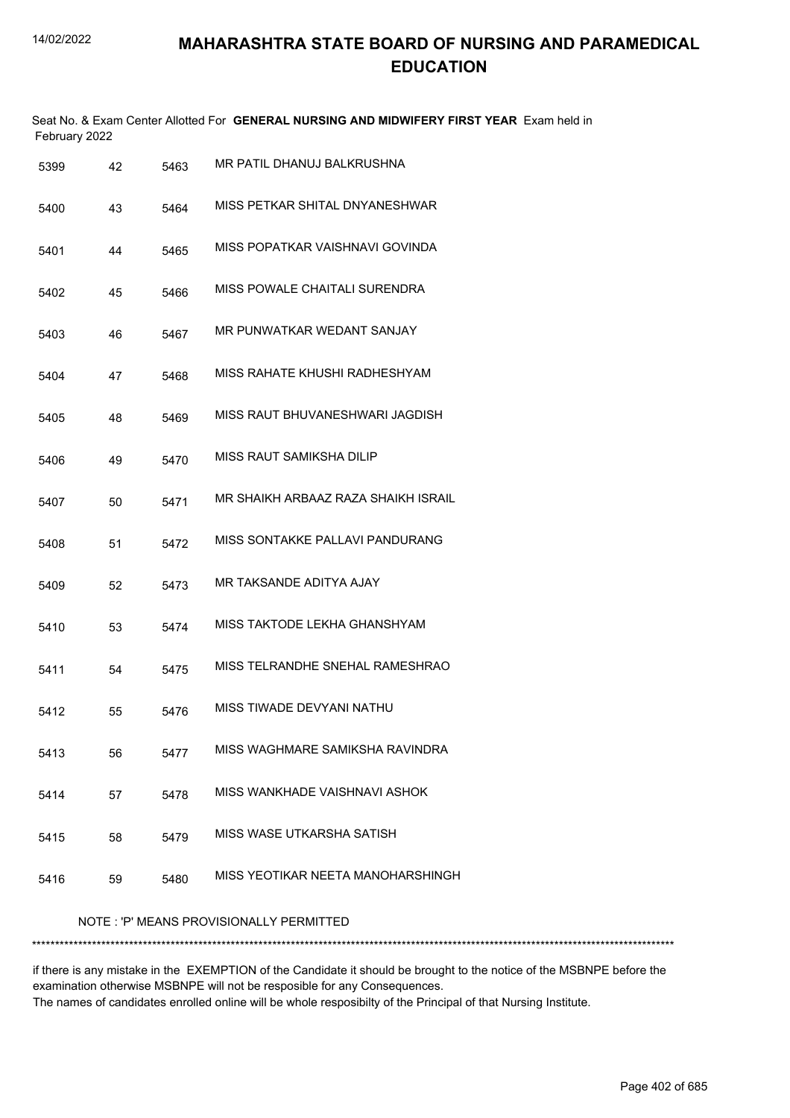|      | Seat No. & Exam Center Allotted For GENERAL NURSING AND MIDWIFERY FIRST YEAR Exam held in<br>February 2022 |      |                                         |  |  |  |  |
|------|------------------------------------------------------------------------------------------------------------|------|-----------------------------------------|--|--|--|--|
| 5399 | 42                                                                                                         | 5463 | MR PATIL DHANUJ BALKRUSHNA              |  |  |  |  |
| 5400 | 43                                                                                                         | 5464 | MISS PETKAR SHITAL DNYANESHWAR          |  |  |  |  |
| 5401 | 44                                                                                                         | 5465 | MISS POPATKAR VAISHNAVI GOVINDA         |  |  |  |  |
| 5402 | 45                                                                                                         | 5466 | MISS POWALE CHAITALI SURENDRA           |  |  |  |  |
| 5403 | 46                                                                                                         | 5467 | MR PUNWATKAR WEDANT SANJAY              |  |  |  |  |
| 5404 | 47                                                                                                         | 5468 | MISS RAHATE KHUSHI RADHESHYAM           |  |  |  |  |
| 5405 | 48                                                                                                         | 5469 | MISS RAUT BHUVANESHWARI JAGDISH         |  |  |  |  |
| 5406 | 49                                                                                                         | 5470 | MISS RAUT SAMIKSHA DILIP                |  |  |  |  |
| 5407 | 50                                                                                                         | 5471 | MR SHAIKH ARBAAZ RAZA SHAIKH ISRAIL     |  |  |  |  |
| 5408 | 51                                                                                                         | 5472 | MISS SONTAKKE PALLAVI PANDURANG         |  |  |  |  |
| 5409 | 52                                                                                                         | 5473 | MR TAKSANDE ADITYA AJAY                 |  |  |  |  |
| 5410 | 53                                                                                                         | 5474 | MISS TAKTODE LEKHA GHANSHYAM            |  |  |  |  |
| 5411 | 54                                                                                                         | 5475 | MISS TELRANDHE SNEHAL RAMESHRAO         |  |  |  |  |
| 5412 | 55                                                                                                         | 5476 | MISS TIWADE DEVYANI NATHU               |  |  |  |  |
| 5413 | 56                                                                                                         | 5477 | MISS WAGHMARE SAMIKSHA RAVINDRA         |  |  |  |  |
| 5414 | 57                                                                                                         | 5478 | MISS WANKHADE VAISHNAVI ASHOK           |  |  |  |  |
| 5415 | 58                                                                                                         | 5479 | MISS WASE UTKARSHA SATISH               |  |  |  |  |
| 5416 | 59                                                                                                         | 5480 | MISS YEOTIKAR NEETA MANOHARSHINGH       |  |  |  |  |
|      |                                                                                                            |      | NOTE: 'P' MEANS PROVISIONALLY PERMITTED |  |  |  |  |
|      |                                                                                                            |      |                                         |  |  |  |  |

if there is any mistake in the EXEMPTION of the Candidate it should be brought to the notice of the MSBNPE before the examination otherwise MSBNPE will not be resposible for any Consequences. The names of candidates enrolled online will be whole resposibilty of the Principal of that Nursing Institute.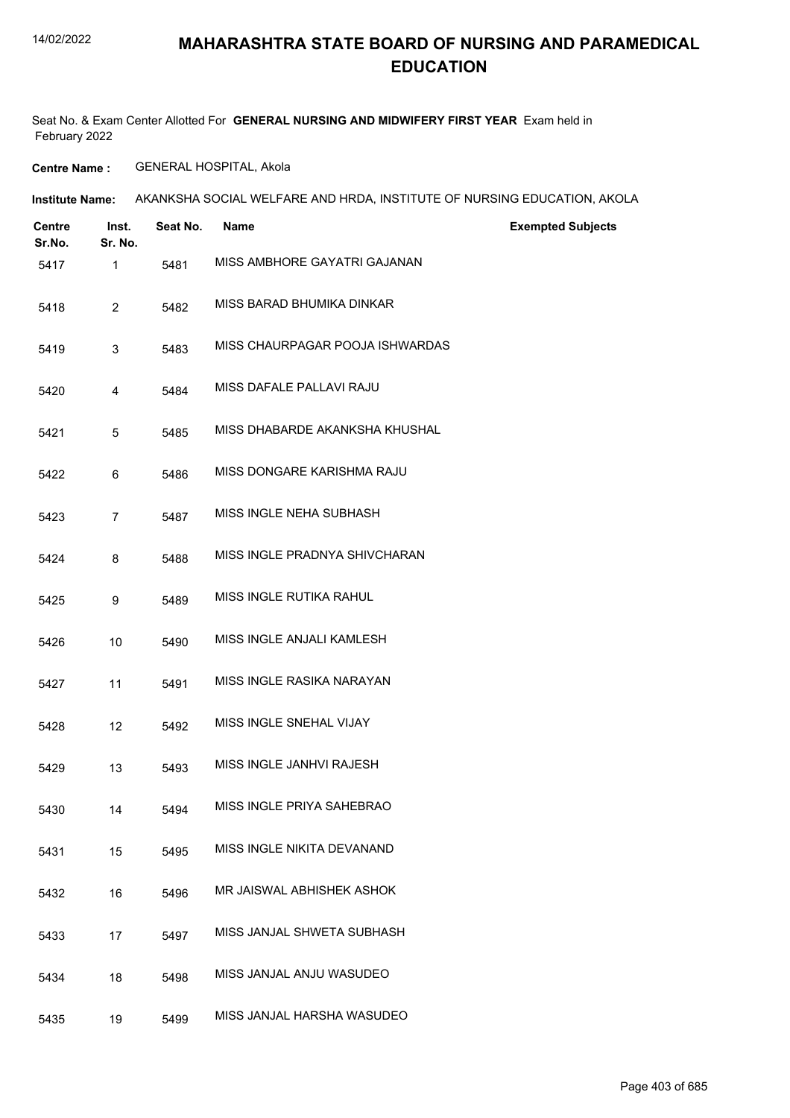#### 14/02/2022

**Institute Name:**

#### **MAHARASHTRA STATE BOARD OF NURSING AND PARAMEDICAL EDUCATION**

Seat No. & Exam Center Allotted For **GENERAL NURSING AND MIDWIFERY FIRST YEAR** Exam held in February 2022

**Centre Name :** GENERAL HOSPITAL, Akola

| Centre<br>Sr.No. | Inst.<br>Sr. No. | Seat No. | Name                         | <b>Exempted Subjects</b> |
|------------------|------------------|----------|------------------------------|--------------------------|
| 5417             |                  | 5481     | MISS AMBHORE GAYATRI GAJANAN |                          |
| 5418             |                  | 5482     | MISS BARAD BHUMIKA DINKAR    |                          |

AKANKSHA SOCIAL WELFARE AND HRDA, INSTITUTE OF NURSING EDUCATION, AKOLA

- 
- 5419 3 5483 MISS CHAURPAGAR POOJA ISHWARDAS
- 5420 4 5484 MISS DAFALE PALLAVI RAJU
- 5421 5 5485 MISS DHABARDE AKANKSHA KHUSHAL
- 5422 6 5486 MISS DONGARE KARISHMA RAJU
- 5423 7 5487 MISS INGLE NEHA SUBHASH
- 5424 8 5488 MISS INGLE PRADNYA SHIVCHARAN
- 5425 9 5489 MISS INGLE RUTIKA RAHUL
- 5426 10 5490 MISS INGLE ANJALI KAMLESH
- 5427 11 5491 MISS INGLE RASIKA NARAYAN
- 5428 12 5492 MISS INGLE SNEHAL VIJAY
- 5429 13 5493 MISS INGLE JANHVI RAJESH
- 5430 14 5494 MISS INGLE PRIYA SAHEBRAO
- 5431 15 5495 MISS INGLE NIKITA DEVANAND
- 5432 16 5496 MR JAISWAL ABHISHEK ASHOK
- 5433 17 5497 MISS JANJAL SHWETA SUBHASH
- 5434 18 5498 MISS JANJAL ANJU WASUDEO
- 5435 19 5499 MISS JANJAL HARSHA WASUDEO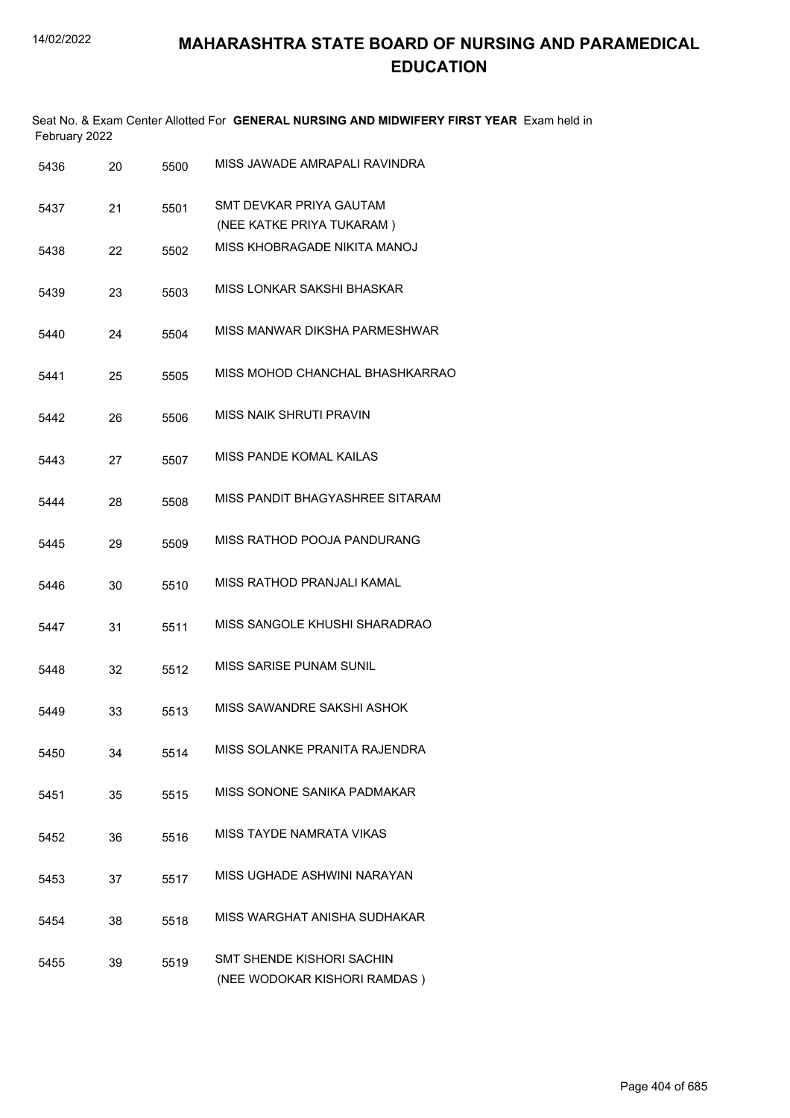| February 2022 |    |      | Seat No. & Exam Center Allotted For GENERAL NURSING AND MIDWIFERY FIRST YEAR Exam held in |
|---------------|----|------|-------------------------------------------------------------------------------------------|
| 5436          | 20 | 5500 | MISS JAWADE AMRAPALI RAVINDRA                                                             |
| 5437          | 21 | 5501 | SMT DEVKAR PRIYA GAUTAM<br>(NEE KATKE PRIYA TUKARAM)                                      |
| 5438          | 22 | 5502 | MISS KHOBRAGADE NIKITA MANOJ                                                              |
| 5439          | 23 | 5503 | MISS LONKAR SAKSHI BHASKAR                                                                |
| 5440          | 24 | 5504 | MISS MANWAR DIKSHA PARMESHWAR                                                             |
| 5441          | 25 | 5505 | MISS MOHOD CHANCHAL BHASHKARRAO                                                           |
| 5442          | 26 | 5506 | <b>MISS NAIK SHRUTI PRAVIN</b>                                                            |
| 5443          | 27 | 5507 | MISS PANDE KOMAL KAILAS                                                                   |
| 5444          | 28 | 5508 | MISS PANDIT BHAGYASHREE SITARAM                                                           |
| 5445          | 29 | 5509 | MISS RATHOD POOJA PANDURANG                                                               |
| 5446          | 30 | 5510 | MISS RATHOD PRANJALI KAMAL                                                                |
| 5447          | 31 | 5511 | MISS SANGOLE KHUSHI SHARADRAO                                                             |
| 5448          | 32 | 5512 | MISS SARISE PUNAM SUNIL                                                                   |
| 5449          | 33 | 5513 | MISS SAWANDRE SAKSHI ASHOK                                                                |
| 5450          | 34 | 5514 | MISS SOLANKE PRANITA RAJENDRA                                                             |
| 5451          | 35 | 5515 | MISS SONONE SANIKA PADMAKAR                                                               |
| 5452          | 36 | 5516 | MISS TAYDE NAMRATA VIKAS                                                                  |
| 5453          | 37 | 5517 | MISS UGHADE ASHWINI NARAYAN                                                               |
| 5454          | 38 | 5518 | MISS WARGHAT ANISHA SUDHAKAR                                                              |
| 5455          | 39 | 5519 | <b>SMT SHENDE KISHORI SACHIN</b><br>(NEE WODOKAR KISHORI RAMDAS)                          |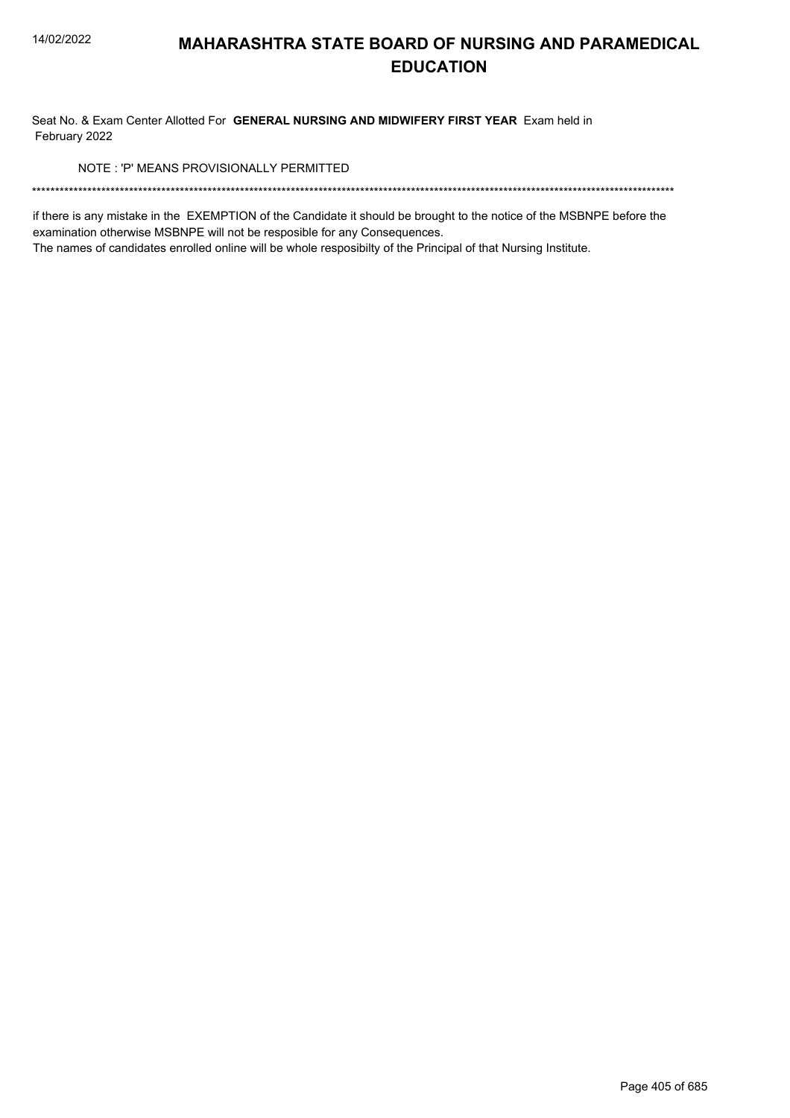Seat No. & Exam Center Allotted For GENERAL NURSING AND MIDWIFERY FIRST YEAR Exam held in February 2022

NOTE: 'P' MEANS PROVISIONALLY PERMITTED

if there is any mistake in the EXEMPTION of the Candidate it should be brought to the notice of the MSBNPE before the examination otherwise MSBNPE will not be resposible for any Consequences.

The names of candidates enrolled online will be whole resposibilty of the Principal of that Nursing Institute.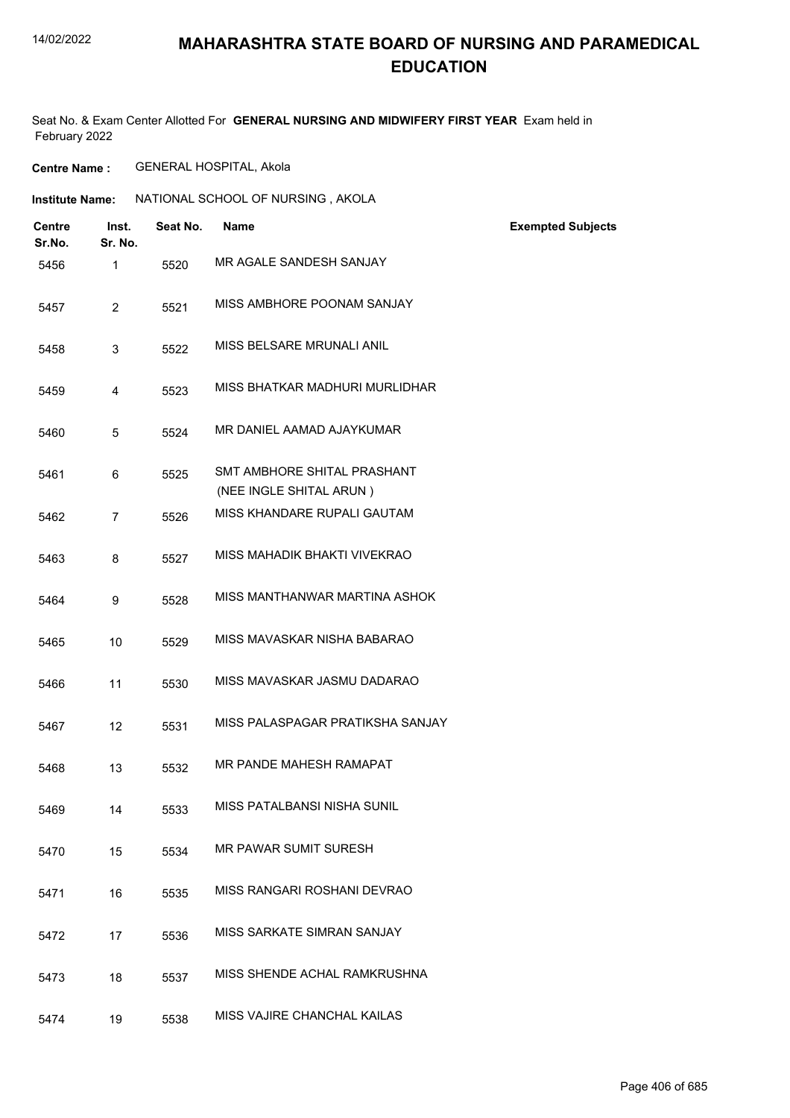#### 14/02/2022

### **MAHARASHTRA STATE BOARD OF NURSING AND PARAMEDICAL EDUCATION**

Seat No. & Exam Center Allotted For **GENERAL NURSING AND MIDWIFERY FIRST YEAR** Exam held in February 2022

**Centre Name :** GENERAL HOSPITAL, Akola

| <b>Institute Name:</b> | NATIONAL SCHOOL OF NURSING, AKOLA |
|------------------------|-----------------------------------|
|------------------------|-----------------------------------|

| Centre<br>Sr.No. | Inst.<br>Sr. No. | Seat No. | <b>Name</b>                                            | <b>Exempted Subjects</b> |
|------------------|------------------|----------|--------------------------------------------------------|--------------------------|
| 5456             | 1                | 5520     | MR AGALE SANDESH SANJAY                                |                          |
| 5457             | $\overline{2}$   | 5521     | MISS AMBHORE POONAM SANJAY                             |                          |
| 5458             | 3                | 5522     | MISS BELSARE MRUNALI ANIL                              |                          |
| 5459             | 4                | 5523     | MISS BHATKAR MADHURI MURLIDHAR                         |                          |
| 5460             | 5                | 5524     | MR DANIEL AAMAD AJAYKUMAR                              |                          |
| 5461             | 6                | 5525     | SMT AMBHORE SHITAL PRASHANT                            |                          |
| 5462             | $\overline{7}$   | 5526     | (NEE INGLE SHITAL ARUN)<br>MISS KHANDARE RUPALI GAUTAM |                          |
|                  |                  |          |                                                        |                          |
| 5463             | 8                | 5527     | MISS MAHADIK BHAKTI VIVEKRAO                           |                          |
| 5464             | 9                | 5528     | MISS MANTHANWAR MARTINA ASHOK                          |                          |
| 5465             | 10               | 5529     | MISS MAVASKAR NISHA BABARAO                            |                          |
| 5466             | 11               | 5530     | MISS MAVASKAR JASMU DADARAO                            |                          |
| 5467             | 12               | 5531     | MISS PALASPAGAR PRATIKSHA SANJAY                       |                          |
| 5468             | 13               | 5532     | MR PANDE MAHESH RAMAPAT                                |                          |
| 5469             | 14               | 5533     | MISS PATALBANSI NISHA SUNIL                            |                          |
| 5470             | 15               | 5534     | <b>MR PAWAR SUMIT SURESH</b>                           |                          |
| 5471             | 16               | 5535     | MISS RANGARI ROSHANI DEVRAO                            |                          |
| 5472             | 17               | 5536     | MISS SARKATE SIMRAN SANJAY                             |                          |
| 5473             | 18               | 5537     | MISS SHENDE ACHAL RAMKRUSHNA                           |                          |
| 5474             | 19               | 5538     | MISS VAJIRE CHANCHAL KAILAS                            |                          |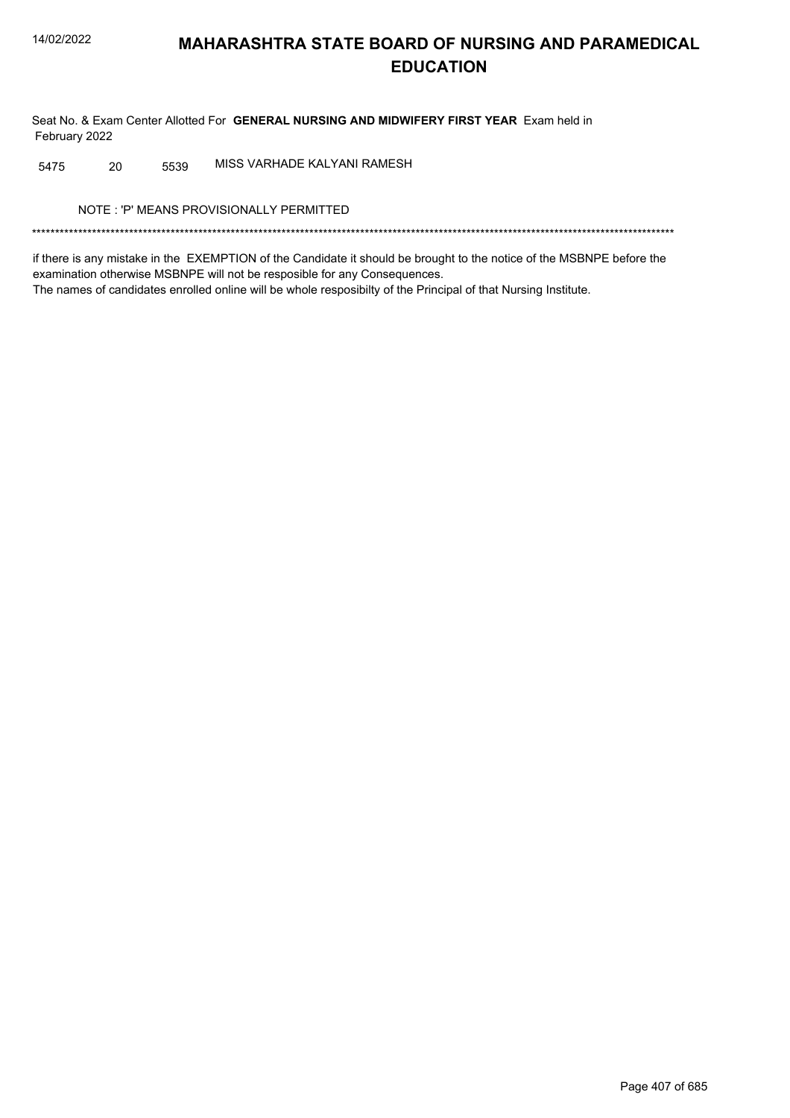Seat No. & Exam Center Allotted For GENERAL NURSING AND MIDWIFERY FIRST YEAR Exam held in February 2022

MISS VARHADE KALYANI RAMESH 20 5539 5475

NOTE: 'P' MEANS PROVISIONALLY PERMITTED

if there is any mistake in the EXEMPTION of the Candidate it should be brought to the notice of the MSBNPE before the examination otherwise MSBNPE will not be resposible for any Consequences. The names of candidates enrolled online will be whole resposibilty of the Principal of that Nursing Institute.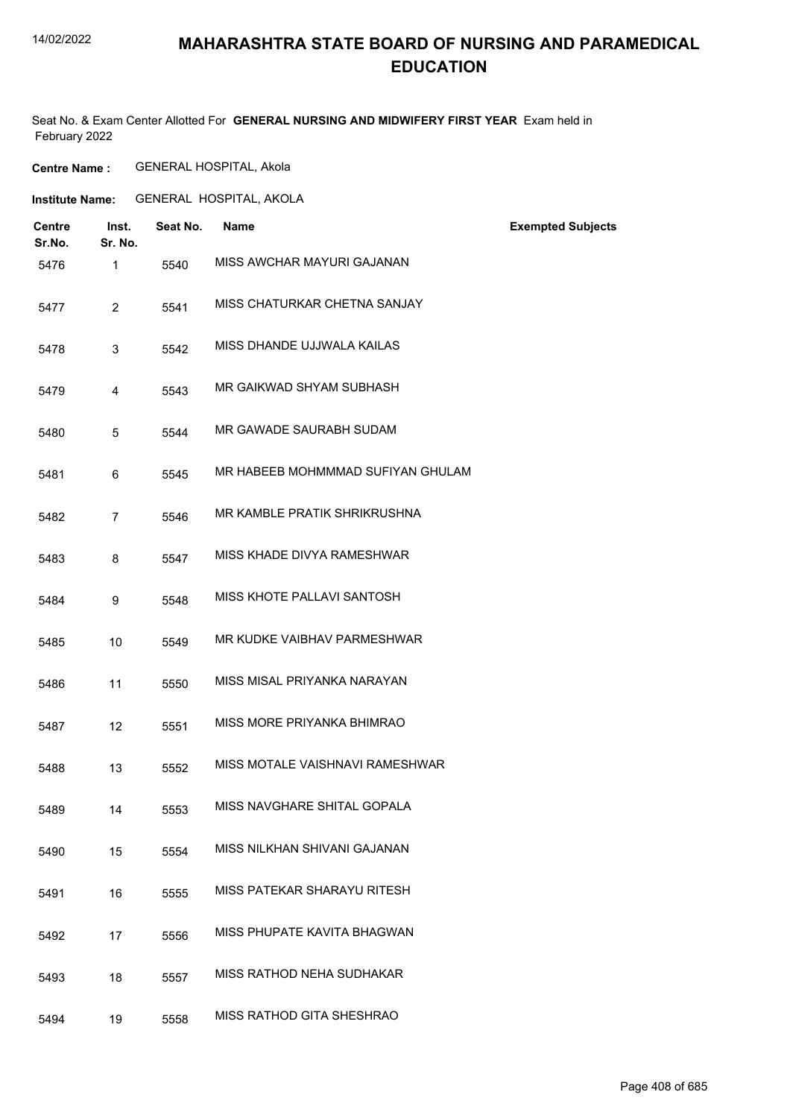#### 14/02/2022

### **MAHARASHTRA STATE BOARD OF NURSING AND PARAMEDICAL EDUCATION**

Seat No. & Exam Center Allotted For **GENERAL NURSING AND MIDWIFERY FIRST YEAR** Exam held in February 2022

**Centre Name :** GENERAL HOSPITAL, Akola

**Institute Name:** GENERAL HOSPITAL, AKOLA

| <b>Centre</b><br>Sr.No. | Inst.<br>Sr. No. | Seat No. | <b>Name</b>                       | <b>Exempted Subjects</b> |
|-------------------------|------------------|----------|-----------------------------------|--------------------------|
| 5476                    | 1                | 5540     | MISS AWCHAR MAYURI GAJANAN        |                          |
| 5477                    | $\overline{2}$   | 5541     | MISS CHATURKAR CHETNA SANJAY      |                          |
| 5478                    | 3                | 5542     | MISS DHANDE UJJWALA KAILAS        |                          |
| 5479                    | 4                | 5543     | MR GAIKWAD SHYAM SUBHASH          |                          |
| 5480                    | 5                | 5544     | MR GAWADE SAURABH SUDAM           |                          |
| 5481                    | 6                | 5545     | MR HABEEB MOHMMMAD SUFIYAN GHULAM |                          |
| 5482                    | $\overline{7}$   | 5546     | MR KAMBLE PRATIK SHRIKRUSHNA      |                          |
| 5483                    | 8                | 5547     | MISS KHADE DIVYA RAMESHWAR        |                          |
| 5484                    | 9                | 5548     | MISS KHOTE PALLAVI SANTOSH        |                          |
| 5485                    | 10               | 5549     | MR KUDKE VAIBHAV PARMESHWAR       |                          |
| 5486                    | 11               | 5550     | MISS MISAL PRIYANKA NARAYAN       |                          |
| 5487                    | 12               | 5551     | MISS MORE PRIYANKA BHIMRAO        |                          |
| 5488                    | 13               | 5552     | MISS MOTALE VAISHNAVI RAMESHWAR   |                          |
| 5489                    | 14               | 5553     | MISS NAVGHARE SHITAL GOPALA       |                          |
| 5490                    | 15               | 5554     | MISS NILKHAN SHIVANI GAJANAN      |                          |
| 5491                    | 16               | 5555     | MISS PATEKAR SHARAYU RITESH       |                          |
| 5492                    | 17               | 5556     | MISS PHUPATE KAVITA BHAGWAN       |                          |
| 5493                    | 18               | 5557     | MISS RATHOD NEHA SUDHAKAR         |                          |
| 5494                    | 19               | 5558     | MISS RATHOD GITA SHESHRAO         |                          |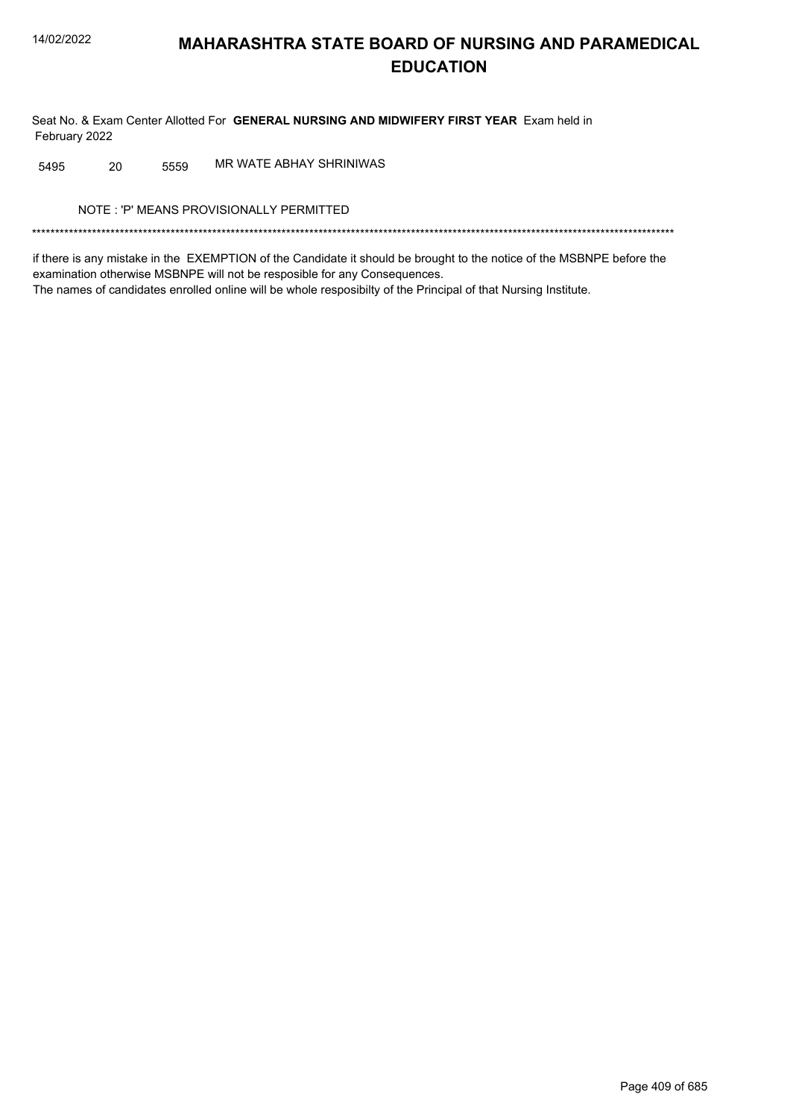Seat No. & Exam Center Allotted For GENERAL NURSING AND MIDWIFERY FIRST YEAR Exam held in February 2022

MR WATE ABHAY SHRINIWAS 5495 20 5559

NOTE: 'P' MEANS PROVISIONALLY PERMITTED

if there is any mistake in the EXEMPTION of the Candidate it should be brought to the notice of the MSBNPE before the examination otherwise MSBNPE will not be resposible for any Consequences. The names of candidates enrolled online will be whole resposibilty of the Principal of that Nursing Institute.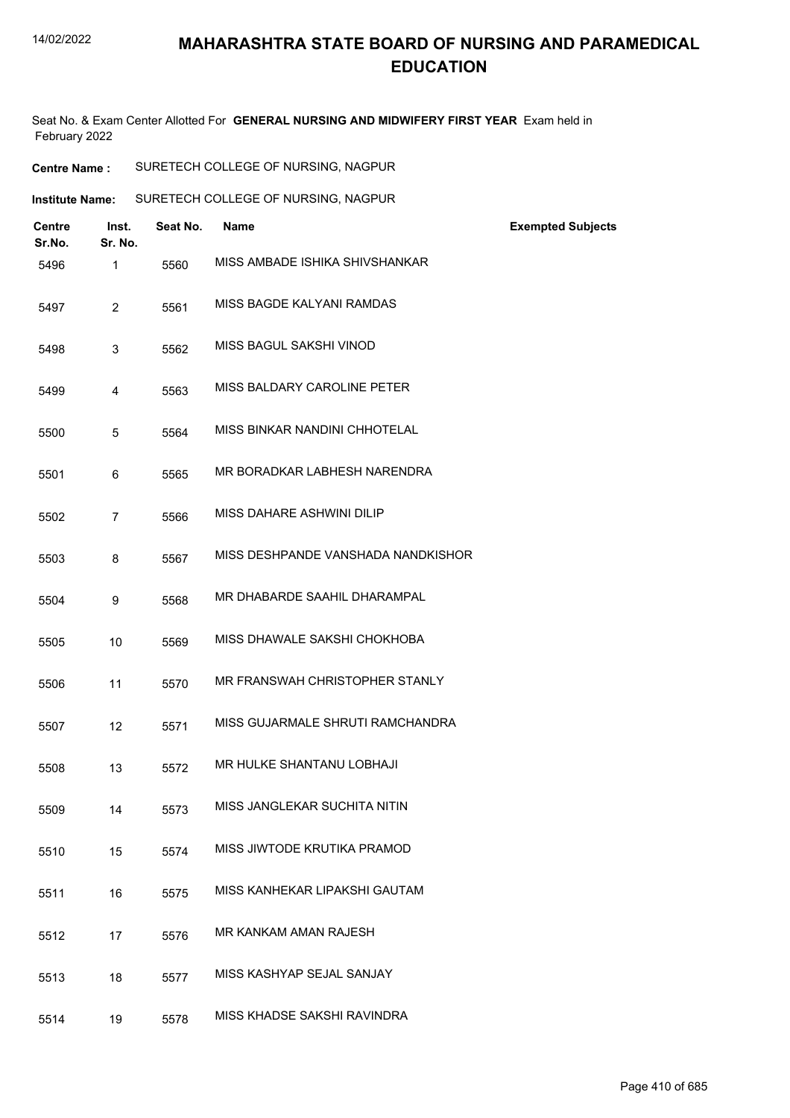Seat No. & Exam Center Allotted For **GENERAL NURSING AND MIDWIFERY FIRST YEAR** Exam held in February 2022

| <b>Centre Name :</b> | SURETECH COLLEGE OF NURSING, NAGPUR |
|----------------------|-------------------------------------|
|----------------------|-------------------------------------|

| Institute Name: | SURETECH COLLEGE OF NURSING, NAGPUR |
|-----------------|-------------------------------------|
|                 |                                     |

| <b>Centre</b><br>Sr.No. | Inst.<br>Sr. No. | Seat No. | Name                               | <b>Exempted Subjects</b> |
|-------------------------|------------------|----------|------------------------------------|--------------------------|
| 5496                    | $\mathbf{1}$     | 5560     | MISS AMBADE ISHIKA SHIVSHANKAR     |                          |
| 5497                    | $\overline{2}$   | 5561     | MISS BAGDE KALYANI RAMDAS          |                          |
| 5498                    | 3                | 5562     | MISS BAGUL SAKSHI VINOD            |                          |
| 5499                    | 4                | 5563     | MISS BALDARY CAROLINE PETER        |                          |
| 5500                    | 5                | 5564     | MISS BINKAR NANDINI CHHOTELAL      |                          |
| 5501                    | 6                | 5565     | MR BORADKAR LABHESH NARENDRA       |                          |
| 5502                    | $\overline{7}$   | 5566     | MISS DAHARE ASHWINI DILIP          |                          |
| 5503                    | 8                | 5567     | MISS DESHPANDE VANSHADA NANDKISHOR |                          |
| 5504                    | 9                | 5568     | MR DHABARDE SAAHIL DHARAMPAL       |                          |
| 5505                    | 10               | 5569     | MISS DHAWALE SAKSHI CHOKHOBA       |                          |
| 5506                    | 11               | 5570     | MR FRANSWAH CHRISTOPHER STANLY     |                          |
| 5507                    | 12               | 5571     | MISS GUJARMALE SHRUTI RAMCHANDRA   |                          |
| 5508                    | 13               | 5572     | MR HULKE SHANTANU LOBHAJI          |                          |
| 5509                    | 14               | 5573     | MISS JANGLEKAR SUCHITA NITIN       |                          |
| 5510                    | 15               | 5574     | MISS JIWTODE KRUTIKA PRAMOD        |                          |
| 5511                    | 16               | 5575     | MISS KANHEKAR LIPAKSHI GAUTAM      |                          |
| 5512                    | 17               | 5576     | MR KANKAM AMAN RAJESH              |                          |
| 5513                    | 18               | 5577     | MISS KASHYAP SEJAL SANJAY          |                          |
| 5514                    | 19               | 5578     | MISS KHADSE SAKSHI RAVINDRA        |                          |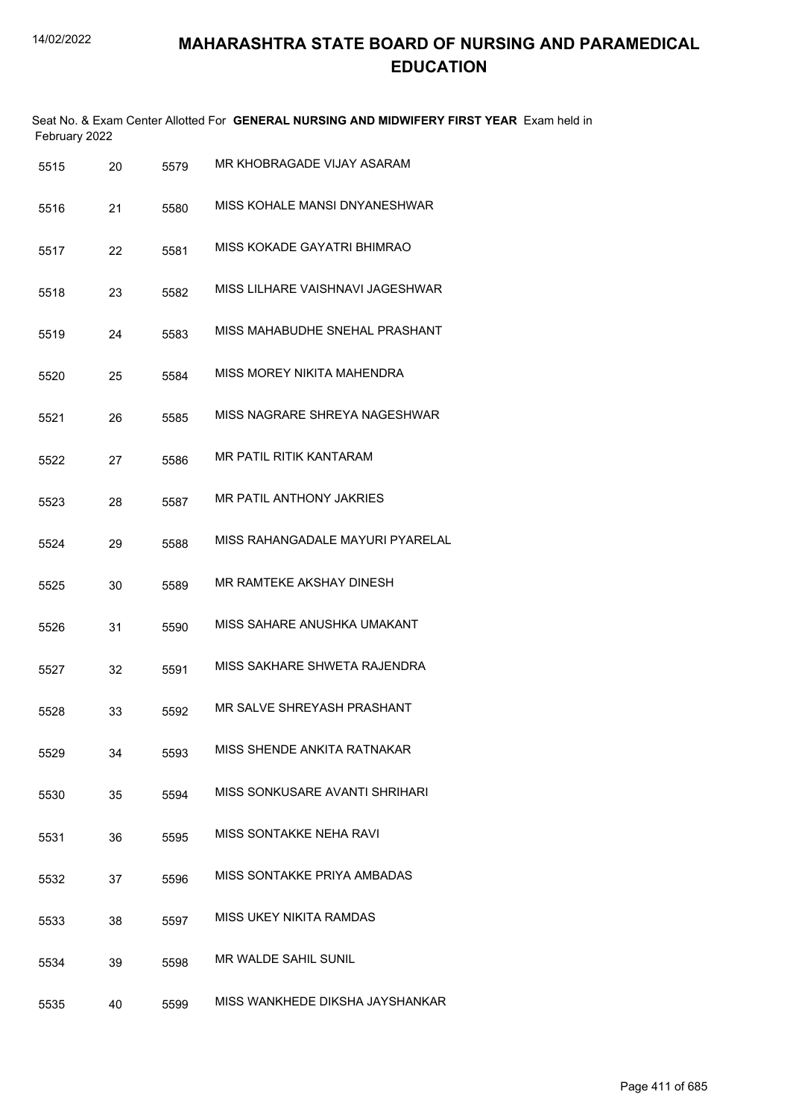|      | February 2022 |      | Seat No. & Exam Center Allotted For GENERAL NURSING AND MIDWIFERY FIRST YEAR Exam held in |
|------|---------------|------|-------------------------------------------------------------------------------------------|
| 5515 | 20            | 5579 | MR KHOBRAGADE VIJAY ASARAM                                                                |
| 5516 | 21            | 5580 | MISS KOHALE MANSI DNYANESHWAR                                                             |
| 5517 | 22            | 5581 | MISS KOKADE GAYATRI BHIMRAO                                                               |
| 5518 | 23            | 5582 | MISS LILHARE VAISHNAVI JAGESHWAR                                                          |
| 5519 | 24            | 5583 | MISS MAHABUDHE SNEHAL PRASHANT                                                            |
| 5520 | 25            | 5584 | MISS MOREY NIKITA MAHENDRA                                                                |
| 5521 | 26            | 5585 | MISS NAGRARE SHREYA NAGESHWAR                                                             |
| 5522 | 27            | 5586 | <b>MR PATIL RITIK KANTARAM</b>                                                            |
| 5523 | 28            | 5587 | MR PATIL ANTHONY JAKRIES                                                                  |
| 5524 | 29            | 5588 | MISS RAHANGADALE MAYURI PYARELAL                                                          |
| 5525 | 30            | 5589 | MR RAMTEKE AKSHAY DINESH                                                                  |
| 5526 | 31            | 5590 | MISS SAHARE ANUSHKA UMAKANT                                                               |
| 5527 | 32            | 5591 | MISS SAKHARE SHWETA RAJENDRA                                                              |
| 5528 | 33            | 5592 | MR SALVE SHREYASH PRASHANT                                                                |
| 5529 | 34            | 5593 | MISS SHENDE ANKITA RATNAKAR                                                               |
| 5530 | 35            | 5594 | MISS SONKUSARE AVANTI SHRIHARI                                                            |
| 5531 | 36            | 5595 | MISS SONTAKKE NEHA RAVI                                                                   |
| 5532 | 37            | 5596 | MISS SONTAKKE PRIYA AMBADAS                                                               |
| 5533 | 38            | 5597 | MISS UKEY NIKITA RAMDAS                                                                   |
| 5534 | 39            | 5598 | MR WALDE SAHIL SUNIL                                                                      |
| 5535 | 40            | 5599 | MISS WANKHEDE DIKSHA JAYSHANKAR                                                           |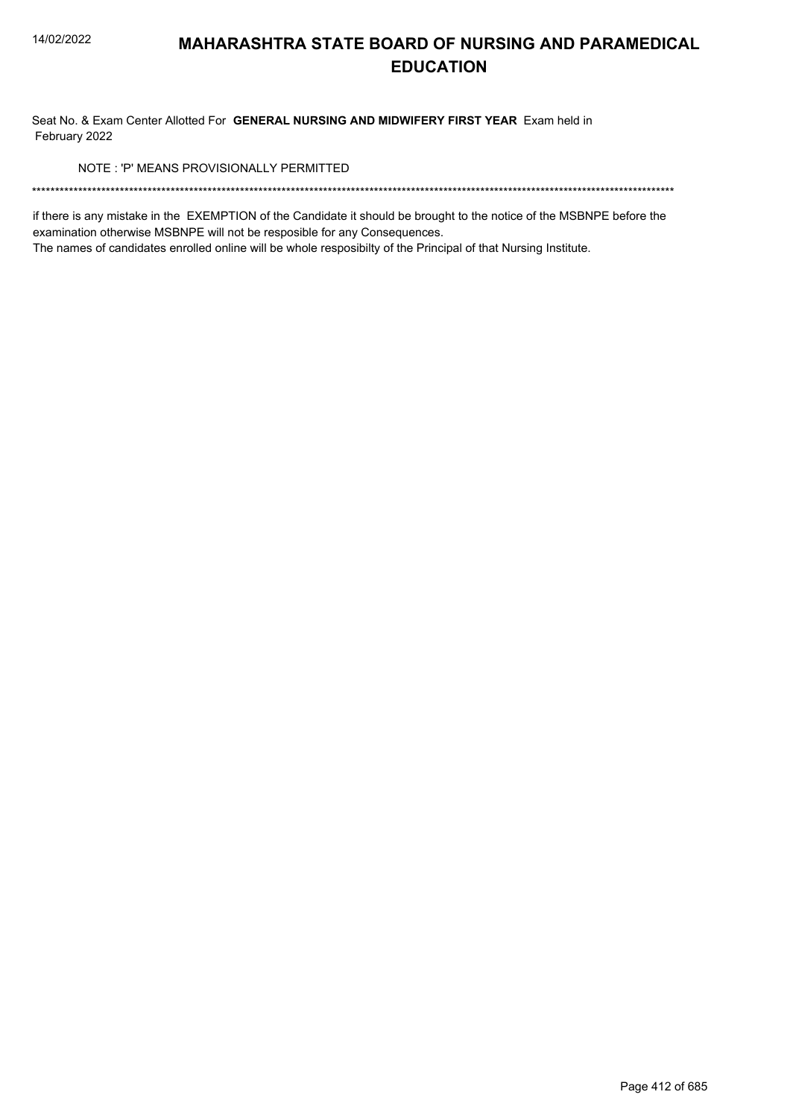Seat No. & Exam Center Allotted For GENERAL NURSING AND MIDWIFERY FIRST YEAR Exam held in February 2022

NOTE: 'P' MEANS PROVISIONALLY PERMITTED

if there is any mistake in the EXEMPTION of the Candidate it should be brought to the notice of the MSBNPE before the examination otherwise MSBNPE will not be resposible for any Consequences.

The names of candidates enrolled online will be whole resposibilty of the Principal of that Nursing Institute.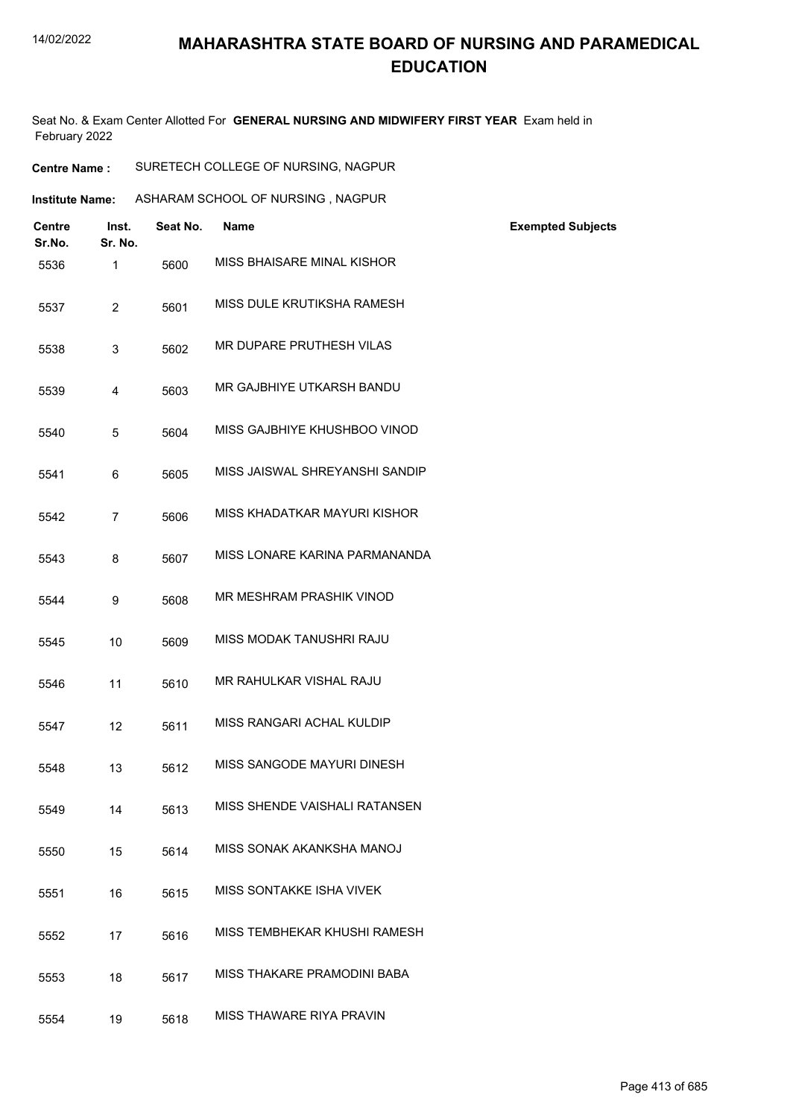Seat No. & Exam Center Allotted For **GENERAL NURSING AND MIDWIFERY FIRST YEAR** Exam held in February 2022

**Centre Name :** SURETECH COLLEGE OF NURSING, NAGPUR

| <b>Institute Name:</b> |                         |          | ASHARAM SCHOOL OF NURSING, NAGPUR |                          |
|------------------------|-------------------------|----------|-----------------------------------|--------------------------|
| <b>Centre</b>          | Inst.                   | Seat No. | <b>Name</b>                       | <b>Exempted Subjects</b> |
| Sr.No.<br>5536         | Sr. No.<br>$\mathbf{1}$ | 5600     | MISS BHAISARE MINAL KISHOR        |                          |
| 5537                   | $\overline{2}$          | 5601     | MISS DULE KRUTIKSHA RAMESH        |                          |
| 5538                   | 3                       | 5602     | MR DUPARE PRUTHESH VILAS          |                          |
| 5539                   | $\overline{4}$          | 5603     | MR GAJBHIYE UTKARSH BANDU         |                          |
| 5540                   | 5                       | 5604     | MISS GAJBHIYE KHUSHBOO VINOD      |                          |
| 5541                   | 6                       | 5605     | MISS JAISWAL SHREYANSHI SANDIP    |                          |
| 5542                   | $\overline{7}$          | 5606     | MISS KHADATKAR MAYURI KISHOR      |                          |
| 5543                   | 8                       | 5607     | MISS LONARE KARINA PARMANANDA     |                          |
| 5544                   | 9                       | 5608     | MR MESHRAM PRASHIK VINOD          |                          |
| 5545                   | 10                      | 5609     | MISS MODAK TANUSHRI RAJU          |                          |
| 5546                   | 11                      | 5610     | MR RAHULKAR VISHAL RAJU           |                          |
| 5547                   | 12                      | 5611     | MISS RANGARI ACHAL KULDIP         |                          |
| 5548                   | 13                      | 5612     | MISS SANGODE MAYURI DINESH        |                          |
| 5549                   | 14                      | 5613     | MISS SHENDE VAISHALI RATANSEN     |                          |
| 5550                   | 15                      | 5614     | MISS SONAK AKANKSHA MANOJ         |                          |
| 5551                   | 16                      | 5615     | MISS SONTAKKE ISHA VIVEK          |                          |
| 5552                   | 17                      | 5616     | MISS TEMBHEKAR KHUSHI RAMESH      |                          |
| 5553                   | 18                      | 5617     | MISS THAKARE PRAMODINI BABA       |                          |
| 5554                   | 19                      | 5618     | MISS THAWARE RIYA PRAVIN          |                          |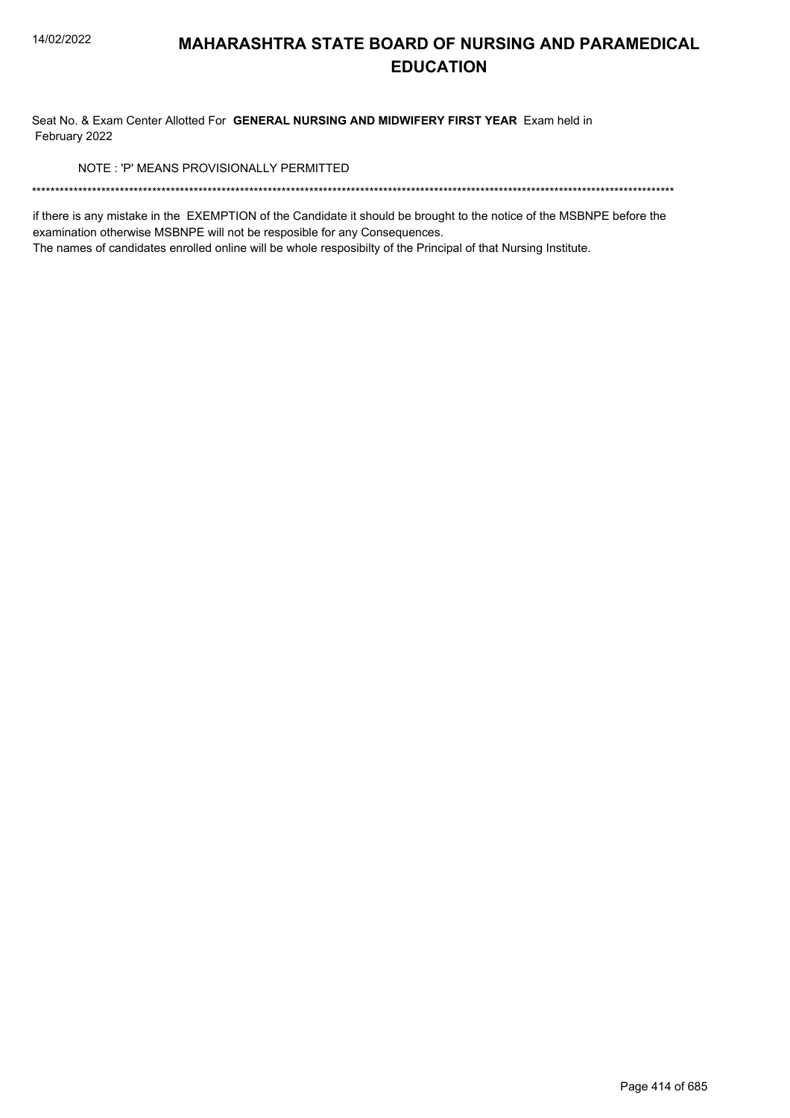Seat No. & Exam Center Allotted For GENERAL NURSING AND MIDWIFERY FIRST YEAR Exam held in February 2022

NOTE: 'P' MEANS PROVISIONALLY PERMITTED

if there is any mistake in the EXEMPTION of the Candidate it should be brought to the notice of the MSBNPE before the examination otherwise MSBNPE will not be resposible for any Consequences.

The names of candidates enrolled online will be whole resposibilty of the Principal of that Nursing Institute.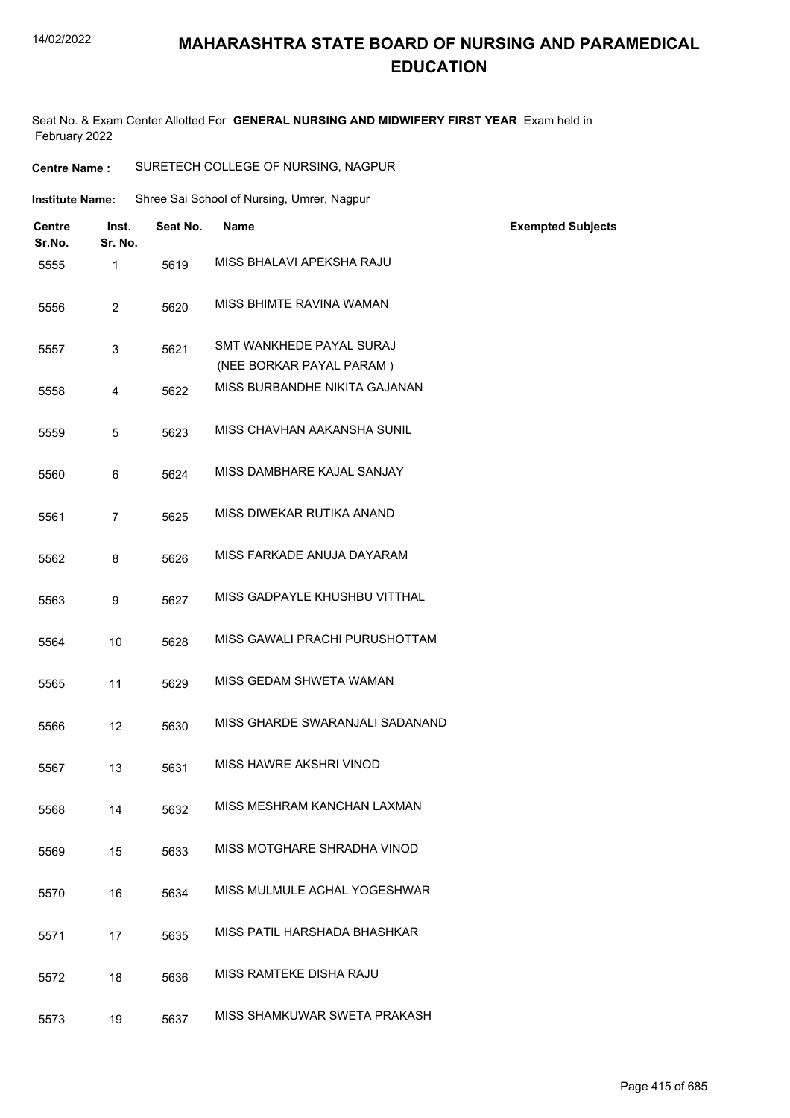#### 14/02/2022

#### **MAHARASHTRA STATE BOARD OF NURSING AND PARAMEDICAL EDUCATION**

Seat No. & Exam Center Allotted For **GENERAL NURSING AND MIDWIFERY FIRST YEAR** Exam held in February 2022

| <b>Centre Name:</b>     |                  | SURETECH COLLEGE OF NURSING, NAGPUR |                                                      |                          |  |
|-------------------------|------------------|-------------------------------------|------------------------------------------------------|--------------------------|--|
| <b>Institute Name:</b>  |                  |                                     | Shree Sai School of Nursing, Umrer, Nagpur           |                          |  |
| <b>Centre</b><br>Sr.No. | Inst.<br>Sr. No. | Seat No.                            | <b>Name</b>                                          | <b>Exempted Subjects</b> |  |
| 5555                    | 1                | 5619                                | MISS BHALAVI APEKSHA RAJU                            |                          |  |
| 5556                    | $\overline{2}$   | 5620                                | MISS BHIMTE RAVINA WAMAN                             |                          |  |
| 5557                    | 3                | 5621                                | SMT WANKHEDE PAYAL SURAJ<br>(NEE BORKAR PAYAL PARAM) |                          |  |
| 5558                    | 4                | 5622                                | MISS BURBANDHE NIKITA GAJANAN                        |                          |  |
| 5559                    | 5                | 5623                                | MISS CHAVHAN AAKANSHA SUNIL                          |                          |  |
| 5560                    | 6                | 5624                                | MISS DAMBHARE KAJAL SANJAY                           |                          |  |
| 5561                    | $\overline{7}$   | 5625                                | MISS DIWEKAR RUTIKA ANAND                            |                          |  |
| 5562                    | 8                | 5626                                | MISS FARKADE ANUJA DAYARAM                           |                          |  |
| 5563                    | 9                | 5627                                | MISS GADPAYLE KHUSHBU VITTHAL                        |                          |  |
| 5564                    | 10               | 5628                                | MISS GAWALI PRACHI PURUSHOTTAM                       |                          |  |
| 5565                    | 11               | 5629                                | MISS GEDAM SHWETA WAMAN                              |                          |  |
| 5566                    | 12               | 5630                                | MISS GHARDE SWARANJALI SADANAND                      |                          |  |
| 5567                    | 13               | 5631                                | MISS HAWRE AKSHRI VINOD                              |                          |  |
| 5568                    | 14               | 5632                                | MISS MESHRAM KANCHAN LAXMAN                          |                          |  |
| 5569                    | 15               | 5633                                | MISS MOTGHARE SHRADHA VINOD                          |                          |  |
| 5570                    | 16               | 5634                                | MISS MULMULE ACHAL YOGESHWAR                         |                          |  |
| 5571                    | 17               | 5635                                | MISS PATIL HARSHADA BHASHKAR                         |                          |  |
| 5572                    | 18               | 5636                                | MISS RAMTEKE DISHA RAJU                              |                          |  |
| 5573                    | 19               | 5637                                | MISS SHAMKUWAR SWETA PRAKASH                         |                          |  |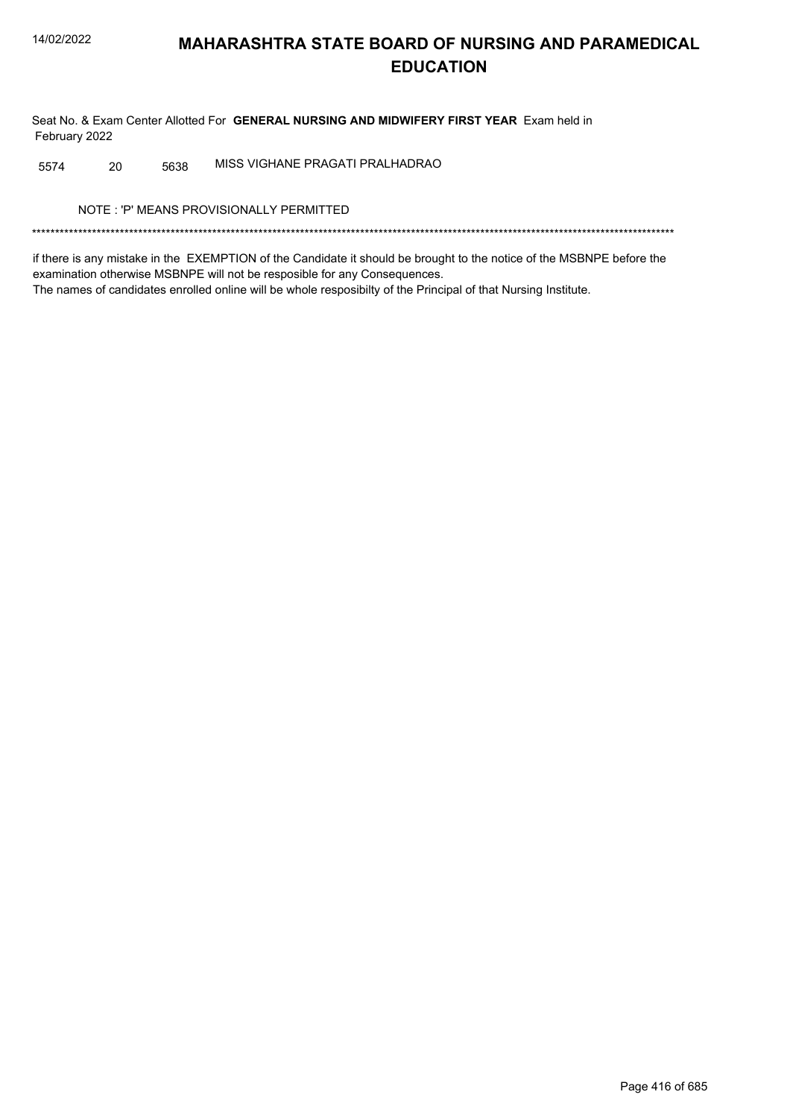Seat No. & Exam Center Allotted For GENERAL NURSING AND MIDWIFERY FIRST YEAR Exam held in February 2022

MISS VIGHANE PRAGATI PRALHADRAO 20 5638 5574

NOTE: 'P' MEANS PROVISIONALLY PERMITTED

if there is any mistake in the EXEMPTION of the Candidate it should be brought to the notice of the MSBNPE before the examination otherwise MSBNPE will not be resposible for any Consequences. The names of candidates enrolled online will be whole resposibilty of the Principal of that Nursing Institute.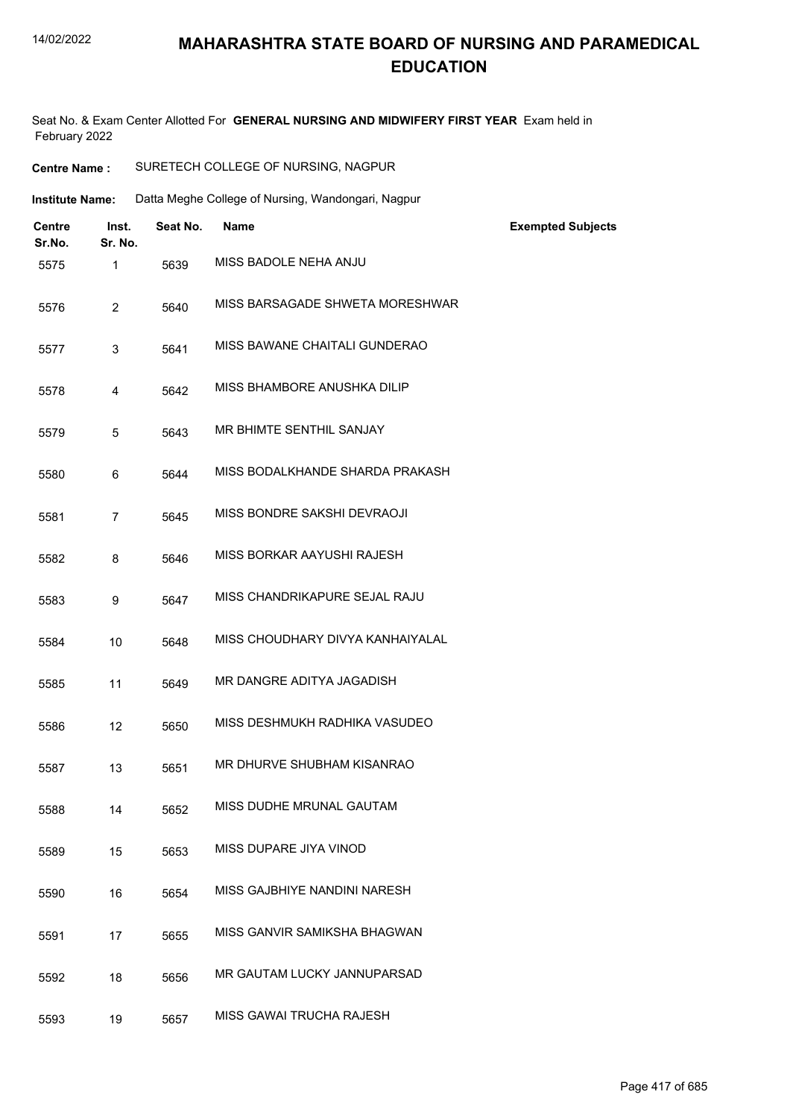Seat No. & Exam Center Allotted For **GENERAL NURSING AND MIDWIFERY FIRST YEAR** Exam held in February 2022

| <b>Centre Name:</b>     |                  | SURETECH COLLEGE OF NURSING, NAGPUR |                                                    |                          |  |
|-------------------------|------------------|-------------------------------------|----------------------------------------------------|--------------------------|--|
| <b>Institute Name:</b>  |                  |                                     | Datta Meghe College of Nursing, Wandongari, Nagpur |                          |  |
| <b>Centre</b><br>Sr.No. | Inst.<br>Sr. No. | Seat No.                            | <b>Name</b>                                        | <b>Exempted Subjects</b> |  |
| 5575                    | 1                | 5639                                | MISS BADOLE NEHA ANJU                              |                          |  |
| 5576                    | $\overline{c}$   | 5640                                | MISS BARSAGADE SHWETA MORESHWAR                    |                          |  |
| 5577                    | 3                | 5641                                | MISS BAWANE CHAITALI GUNDERAO                      |                          |  |
| 5578                    | 4                | 5642                                | MISS BHAMBORE ANUSHKA DILIP                        |                          |  |
| 5579                    | $\overline{5}$   | 5643                                | MR BHIMTE SENTHIL SANJAY                           |                          |  |
| 5580                    | 6                | 5644                                | MISS BODALKHANDE SHARDA PRAKASH                    |                          |  |
| 5581                    | $\overline{7}$   | 5645                                | MISS BONDRE SAKSHI DEVRAOJI                        |                          |  |
| 5582                    | 8                | 5646                                | MISS BORKAR AAYUSHI RAJESH                         |                          |  |
| 5583                    | 9                | 5647                                | MISS CHANDRIKAPURE SEJAL RAJU                      |                          |  |
| 5584                    | 10               | 5648                                | MISS CHOUDHARY DIVYA KANHAIYALAL                   |                          |  |
| 5585                    | 11               | 5649                                | MR DANGRE ADITYA JAGADISH                          |                          |  |
| 5586                    | 12               | 5650                                | MISS DESHMUKH RADHIKA VASUDEO                      |                          |  |
| 5587                    | 13               | 5651                                | MR DHURVE SHUBHAM KISANRAO                         |                          |  |
| 5588                    | 14               | 5652                                | MISS DUDHE MRUNAL GAUTAM                           |                          |  |
| 5589                    | 15               | 5653                                | MISS DUPARE JIYA VINOD                             |                          |  |
| 5590                    | 16               | 5654                                | MISS GAJBHIYE NANDINI NARESH                       |                          |  |
| 5591                    | 17               | 5655                                | MISS GANVIR SAMIKSHA BHAGWAN                       |                          |  |
| 5592                    | 18               | 5656                                | MR GAUTAM LUCKY JANNUPARSAD                        |                          |  |
| 5593                    | 19               | 5657                                | MISS GAWAI TRUCHA RAJESH                           |                          |  |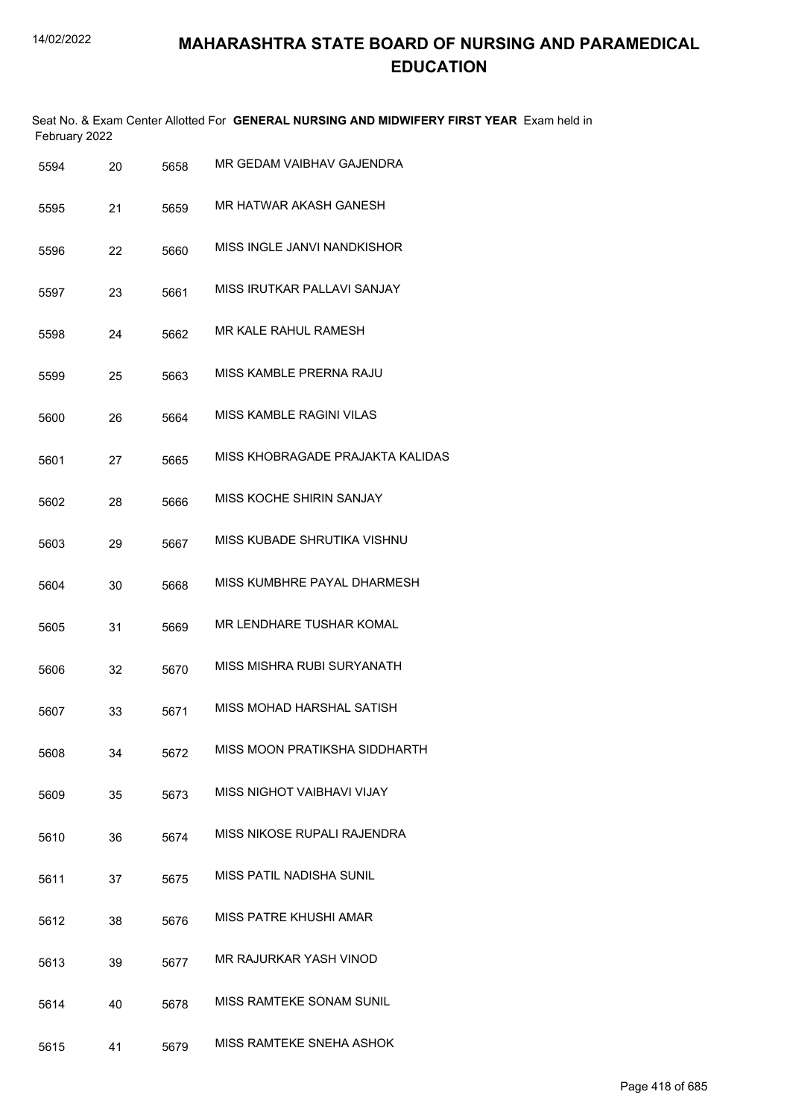Seat No. & Exam Center Allotted For **GENERAL NURSING AND MIDWIFERY FIRST YEAR** Exam held in February 2022

| 5594 | 20 | 5658 | MR GEDAM VAIBHAV GAJENDRA        |
|------|----|------|----------------------------------|
| 5595 | 21 | 5659 | MR HATWAR AKASH GANESH           |
| 5596 | 22 | 5660 | MISS INGLE JANVI NANDKISHOR      |
| 5597 | 23 | 5661 | MISS IRUTKAR PALLAVI SANJAY      |
| 5598 | 24 | 5662 | MR KALE RAHUL RAMESH             |
| 5599 | 25 | 5663 | MISS KAMBLE PRERNA RAJU          |
| 5600 | 26 | 5664 | <b>MISS KAMBLE RAGINI VILAS</b>  |
| 5601 | 27 | 5665 | MISS KHOBRAGADE PRAJAKTA KALIDAS |
| 5602 | 28 | 5666 | <b>MISS KOCHE SHIRIN SANJAY</b>  |
| 5603 | 29 | 5667 | MISS KUBADE SHRUTIKA VISHNU      |
| 5604 | 30 | 5668 | MISS KUMBHRE PAYAL DHARMESH      |
| 5605 | 31 | 5669 | MR LENDHARE TUSHAR KOMAL         |
| 5606 | 32 | 5670 | MISS MISHRA RUBI SURYANATH       |
| 5607 | 33 | 5671 | MISS MOHAD HARSHAL SATISH        |
| 5608 | 34 | 5672 | MISS MOON PRATIKSHA SIDDHARTH    |
| 5609 | 35 | 5673 | MISS NIGHOT VAIBHAVI VIJAY       |
| 5610 | 36 | 5674 | MISS NIKOSE RUPALI RAJENDRA      |
| 5611 | 37 | 5675 | MISS PATIL NADISHA SUNIL         |
| 5612 | 38 | 5676 | MISS PATRE KHUSHI AMAR           |
| 5613 | 39 | 5677 | MR RAJURKAR YASH VINOD           |
| 5614 | 40 | 5678 | MISS RAMTEKE SONAM SUNIL         |
| 5615 | 41 | 5679 | MISS RAMTEKE SNEHA ASHOK         |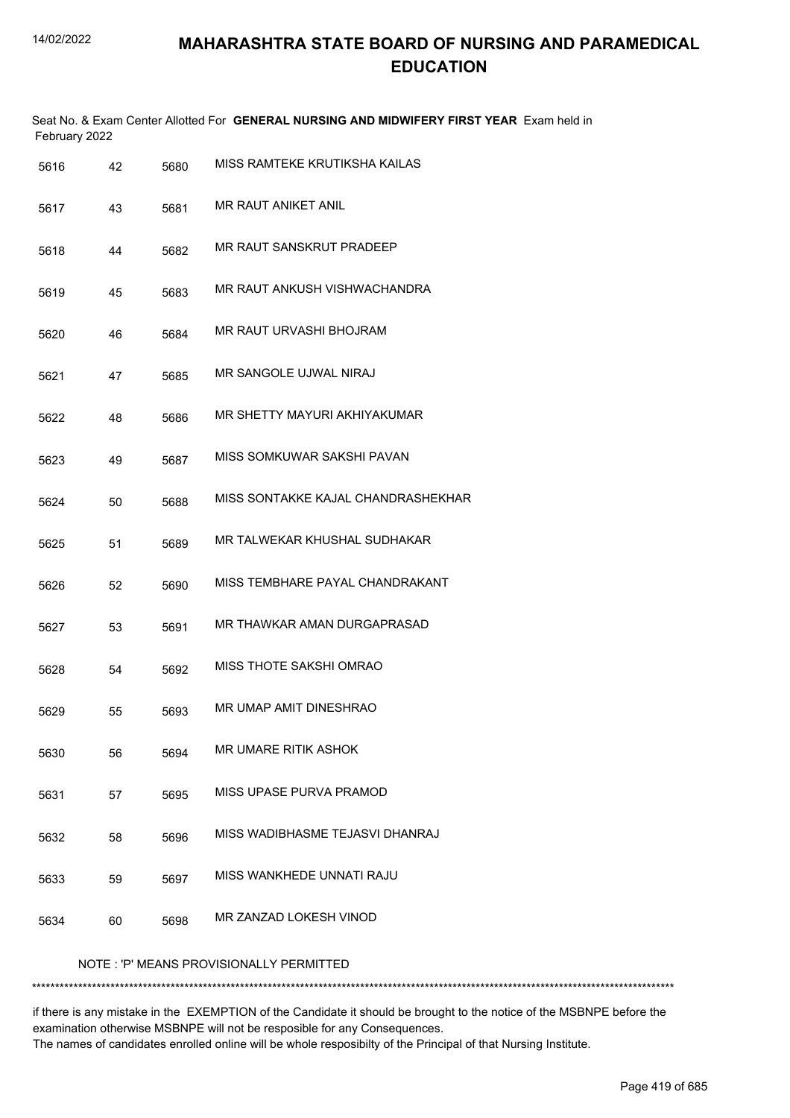|      | February 2022 |      | Seat No. & Exam Center Allotted For GENERAL NURSING AND MIDWIFERY FIRST YEAR Exam held in |
|------|---------------|------|-------------------------------------------------------------------------------------------|
| 5616 | 42            | 5680 | MISS RAMTEKE KRUTIKSHA KAILAS                                                             |
| 5617 | 43            | 5681 | MR RAUT ANIKET ANIL                                                                       |
| 5618 | 44            | 5682 | MR RAUT SANSKRUT PRADEEP                                                                  |
| 5619 | 45            | 5683 | MR RAUT ANKUSH VISHWACHANDRA                                                              |
| 5620 | 46            | 5684 | MR RAUT URVASHI BHOJRAM                                                                   |
| 5621 | 47            | 5685 | MR SANGOLE UJWAL NIRAJ                                                                    |
| 5622 | 48            | 5686 | MR SHETTY MAYURI AKHIYAKUMAR                                                              |
| 5623 | 49            | 5687 | MISS SOMKUWAR SAKSHI PAVAN                                                                |
| 5624 | 50            | 5688 | MISS SONTAKKE KAJAL CHANDRASHEKHAR                                                        |
| 5625 | 51            | 5689 | MR TALWEKAR KHUSHAL SUDHAKAR                                                              |
| 5626 | 52            | 5690 | MISS TEMBHARE PAYAL CHANDRAKANT                                                           |
| 5627 | 53            | 5691 | MR THAWKAR AMAN DURGAPRASAD                                                               |
| 5628 | 54            | 5692 | MISS THOTE SAKSHI OMRAO                                                                   |
| 5629 | 55            | 5693 | MR UMAP AMIT DINESHRAO                                                                    |
| 5630 | 56            | 5694 | <b>MR UMARE RITIK ASHOK</b>                                                               |
| 5631 | 57            | 5695 | MISS UPASE PURVA PRAMOD                                                                   |
| 5632 | 58            | 5696 | MISS WADIBHASME TEJASVI DHANRAJ                                                           |
| 5633 | 59            | 5697 | MISS WANKHEDE UNNATI RAJU                                                                 |
| 5634 | 60            | 5698 | MR ZANZAD LOKESH VINOD                                                                    |
|      |               |      | NOTE: 'P' MEANS PROVISIONALLY PERMITTED                                                   |
|      |               |      |                                                                                           |

if there is any mistake in the EXEMPTION of the Candidate it should be brought to the notice of the MSBNPE before the examination otherwise MSBNPE will not be resposible for any Consequences. The names of candidates enrolled online will be whole resposibilty of the Principal of that Nursing Institute.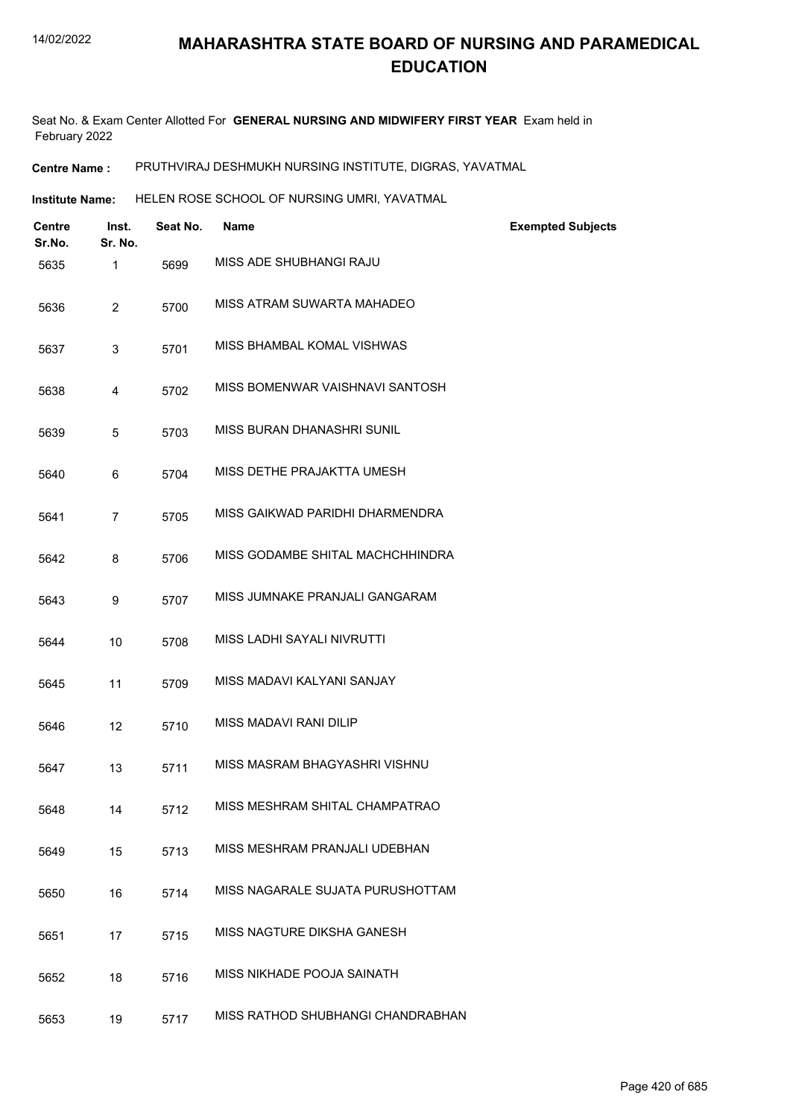Seat No. & Exam Center Allotted For **GENERAL NURSING AND MIDWIFERY FIRST YEAR** Exam held in February 2022

**Centre Name :** PRUTHVIRAJ DESHMUKH NURSING INSTITUTE, DIGRAS, YAVATMAL

Institute Name: HELEN ROSE SCHOOL OF NURSING UMRI, YAVATMAL

| <b>Centre</b><br>Sr.No. | Inst.<br>Sr. No. | Seat No. | <b>Name</b>                       | <b>Exempted Subjects</b> |
|-------------------------|------------------|----------|-----------------------------------|--------------------------|
| 5635                    | 1                | 5699     | MISS ADE SHUBHANGI RAJU           |                          |
| 5636                    | $\overline{2}$   | 5700     | MISS ATRAM SUWARTA MAHADEO        |                          |
| 5637                    | 3                | 5701     | MISS BHAMBAL KOMAL VISHWAS        |                          |
| 5638                    | 4                | 5702     | MISS BOMENWAR VAISHNAVI SANTOSH   |                          |
| 5639                    | 5                | 5703     | MISS BURAN DHANASHRI SUNIL        |                          |
| 5640                    | 6                | 5704     | MISS DETHE PRAJAKTTA UMESH        |                          |
| 5641                    | $\overline{7}$   | 5705     | MISS GAIKWAD PARIDHI DHARMENDRA   |                          |
| 5642                    | 8                | 5706     | MISS GODAMBE SHITAL MACHCHHINDRA  |                          |
| 5643                    | 9                | 5707     | MISS JUMNAKE PRANJALI GANGARAM    |                          |
| 5644                    | 10               | 5708     | MISS LADHI SAYALI NIVRUTTI        |                          |
| 5645                    | 11               | 5709     | MISS MADAVI KALYANI SANJAY        |                          |
| 5646                    | 12               | 5710     | <b>MISS MADAVI RANI DILIP</b>     |                          |
| 5647                    | 13               | 5711     | MISS MASRAM BHAGYASHRI VISHNU     |                          |
| 5648                    | 14               | 5712     | MISS MESHRAM SHITAL CHAMPATRAO    |                          |
| 5649                    | 15               | 5713     | MISS MESHRAM PRANJALI UDEBHAN     |                          |
| 5650                    | 16               | 5714     | MISS NAGARALE SUJATA PURUSHOTTAM  |                          |
| 5651                    | 17               | 5715     | MISS NAGTURE DIKSHA GANESH        |                          |
| 5652                    | 18               | 5716     | MISS NIKHADE POOJA SAINATH        |                          |
| 5653                    | 19               | 5717     | MISS RATHOD SHUBHANGI CHANDRABHAN |                          |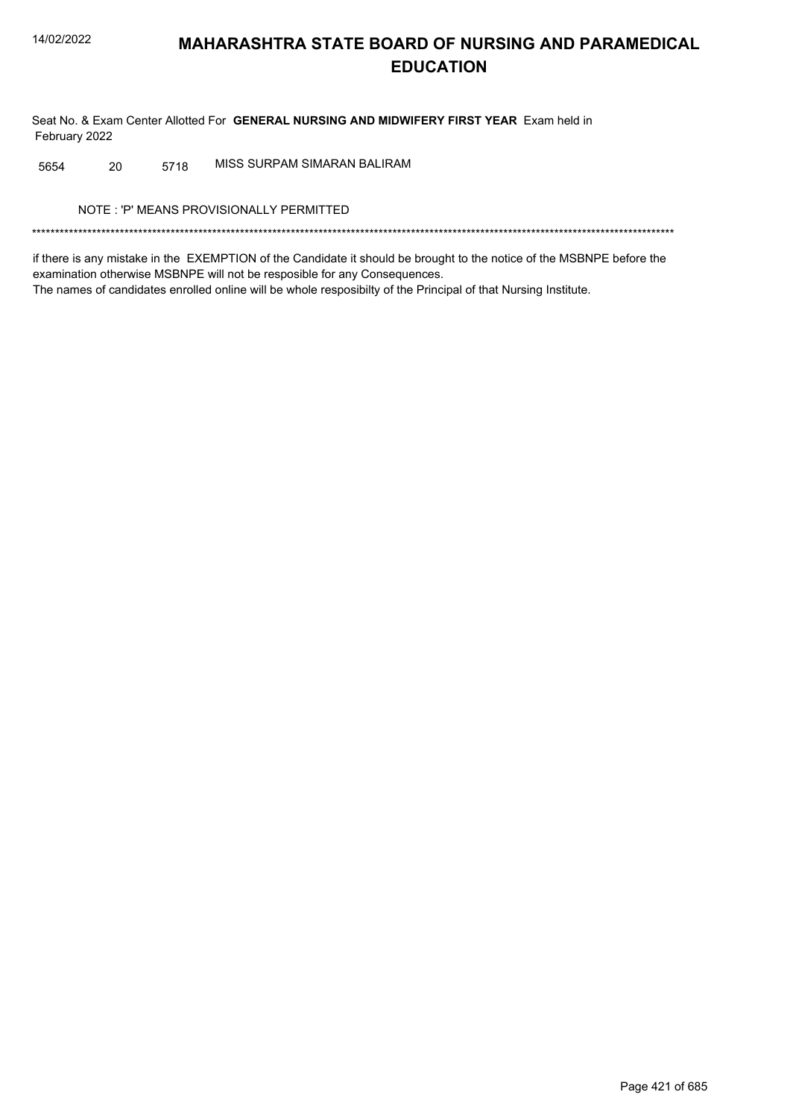Seat No. & Exam Center Allotted For GENERAL NURSING AND MIDWIFERY FIRST YEAR Exam held in February 2022

MISS SURPAM SIMARAN BALIRAM 5654 20 5718

NOTE: 'P' MEANS PROVISIONALLY PERMITTED

if there is any mistake in the EXEMPTION of the Candidate it should be brought to the notice of the MSBNPE before the examination otherwise MSBNPE will not be resposible for any Consequences. The names of candidates enrolled online will be whole resposibilty of the Principal of that Nursing Institute.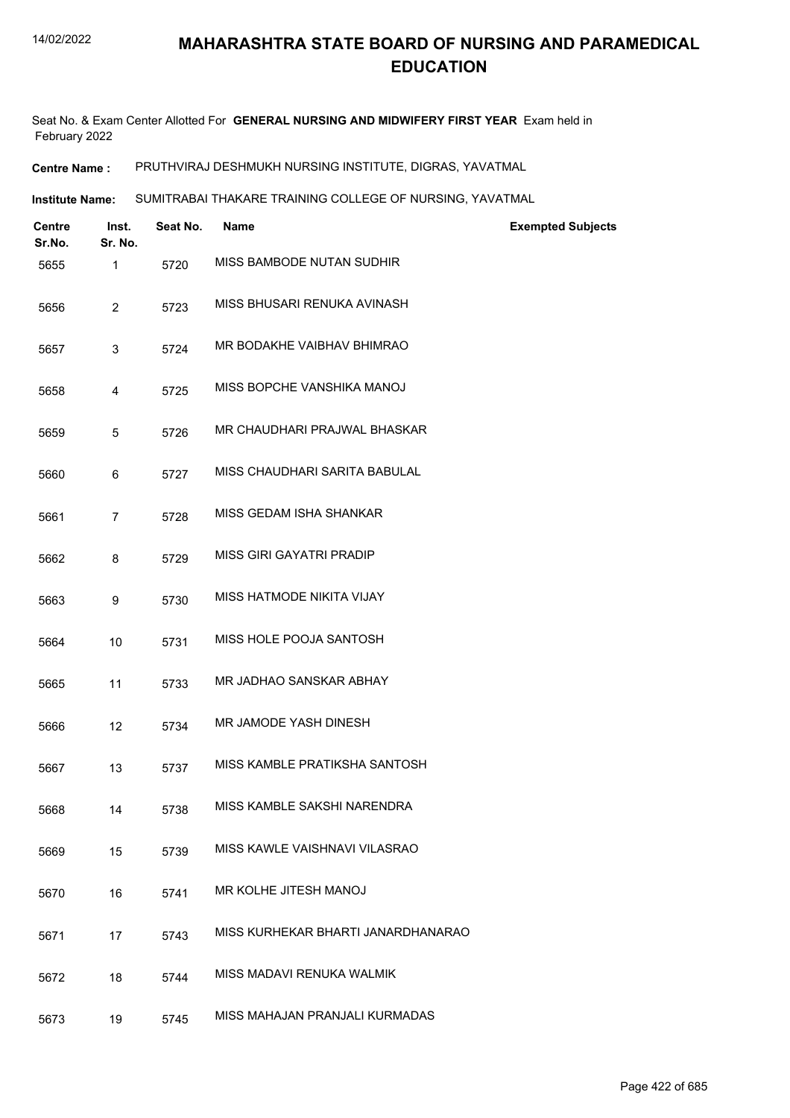Seat No. & Exam Center Allotted For **GENERAL NURSING AND MIDWIFERY FIRST YEAR** Exam held in February 2022

**Centre Name :** PRUTHVIRAJ DESHMUKH NURSING INSTITUTE, DIGRAS, YAVATMAL

SUMITRABAI THAKARE TRAINING COLLEGE OF NURSING, YAVATMAL **Institute Name:**

| <b>Centre</b><br>Sr.No. | Inst.<br>Sr. No. | Seat No. | <b>Name</b>                        | <b>Exempted Subjects</b> |
|-------------------------|------------------|----------|------------------------------------|--------------------------|
| 5655                    | 1                | 5720     | MISS BAMBODE NUTAN SUDHIR          |                          |
| 5656                    | $\overline{2}$   | 5723     | MISS BHUSARI RENUKA AVINASH        |                          |
| 5657                    | 3                | 5724     | MR BODAKHE VAIBHAV BHIMRAO         |                          |
| 5658                    | 4                | 5725     | MISS BOPCHE VANSHIKA MANOJ         |                          |
| 5659                    | 5                | 5726     | MR CHAUDHARI PRAJWAL BHASKAR       |                          |
| 5660                    | 6                | 5727     | MISS CHAUDHARI SARITA BABULAL      |                          |
| 5661                    | 7                | 5728     | MISS GEDAM ISHA SHANKAR            |                          |
| 5662                    | 8                | 5729     | MISS GIRI GAYATRI PRADIP           |                          |
| 5663                    | 9                | 5730     | MISS HATMODE NIKITA VIJAY          |                          |
| 5664                    | 10               | 5731     | MISS HOLE POOJA SANTOSH            |                          |
| 5665                    | 11               | 5733     | MR JADHAO SANSKAR ABHAY            |                          |
| 5666                    | 12               | 5734     | MR JAMODE YASH DINESH              |                          |
| 5667                    | 13               | 5737     | MISS KAMBLE PRATIKSHA SANTOSH      |                          |
| 5668                    | 14               | 5738     | MISS KAMBLE SAKSHI NARENDRA        |                          |
| 5669                    | 15               | 5739     | MISS KAWLE VAISHNAVI VILASRAO      |                          |
| 5670                    | 16               | 5741     | MR KOLHE JITESH MANOJ              |                          |
| 5671                    | 17               | 5743     | MISS KURHEKAR BHARTI JANARDHANARAO |                          |
| 5672                    | 18               | 5744     | MISS MADAVI RENUKA WALMIK          |                          |
| 5673                    | 19               | 5745     | MISS MAHAJAN PRANJALI KURMADAS     |                          |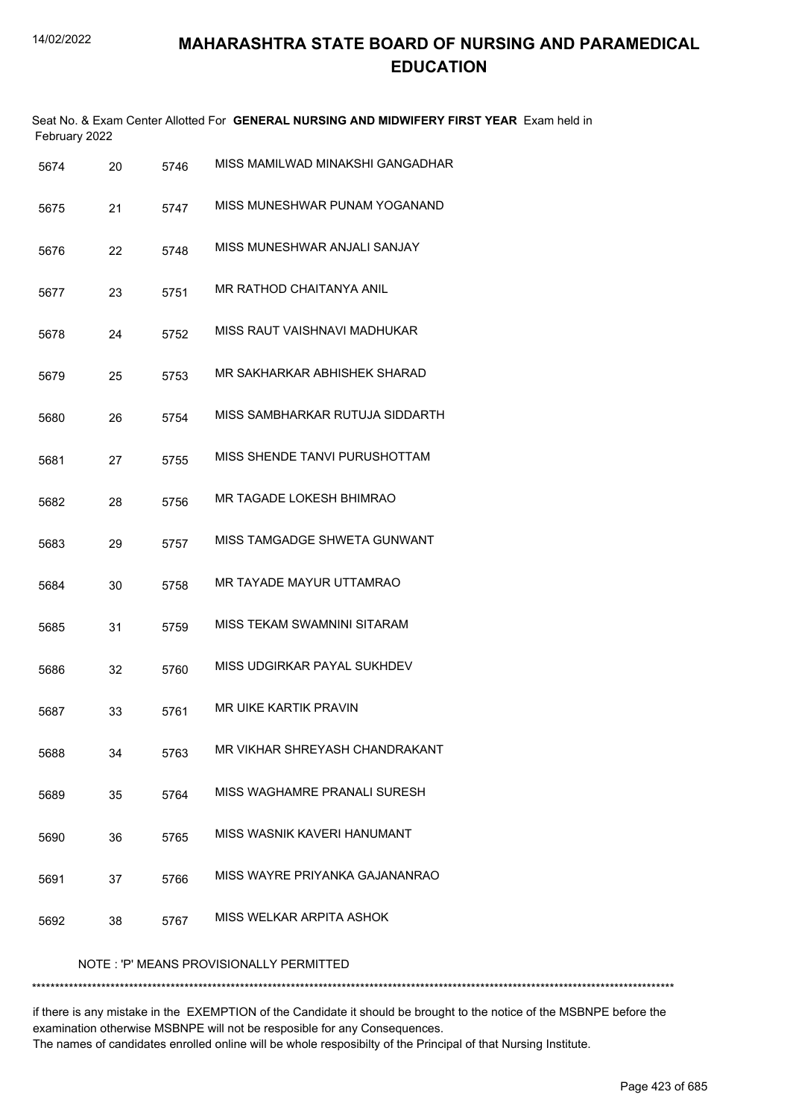|      | February 2022 |      | Seat No. & Exam Center Allotted For GENERAL NURSING AND MIDWIFERY FIRST YEAR Exam held in |
|------|---------------|------|-------------------------------------------------------------------------------------------|
| 5674 | 20            | 5746 | MISS MAMILWAD MINAKSHI GANGADHAR                                                          |
| 5675 | 21            | 5747 | MISS MUNESHWAR PUNAM YOGANAND                                                             |
| 5676 | 22            | 5748 | MISS MUNESHWAR ANJALI SANJAY                                                              |
| 5677 | 23            | 5751 | MR RATHOD CHAITANYA ANIL                                                                  |
| 5678 | 24            | 5752 | MISS RAUT VAISHNAVI MADHUKAR                                                              |
| 5679 | 25            | 5753 | MR SAKHARKAR ABHISHEK SHARAD                                                              |
| 5680 | 26            | 5754 | MISS SAMBHARKAR RUTUJA SIDDARTH                                                           |
| 5681 | 27            | 5755 | MISS SHENDE TANVI PURUSHOTTAM                                                             |
| 5682 | 28            | 5756 | MR TAGADE LOKESH BHIMRAO                                                                  |
| 5683 | 29            | 5757 | MISS TAMGADGE SHWETA GUNWANT                                                              |
| 5684 | 30            | 5758 | MR TAYADE MAYUR UTTAMRAO                                                                  |
| 5685 | 31            | 5759 | MISS TEKAM SWAMNINI SITARAM                                                               |
| 5686 | 32            | 5760 | MISS UDGIRKAR PAYAL SUKHDEV                                                               |
| 5687 | 33            | 5761 | MR UIKE KARTIK PRAVIN                                                                     |
| 5688 | 34            | 5763 | MR VIKHAR SHREYASH CHANDRAKANT                                                            |
| 5689 | 35            | 5764 | MISS WAGHAMRE PRANALI SURESH                                                              |
| 5690 | 36            | 5765 | MISS WASNIK KAVERI HANUMANT                                                               |
| 5691 | 37            | 5766 | MISS WAYRE PRIYANKA GAJANANRAO                                                            |
| 5692 | 38            | 5767 | MISS WELKAR ARPITA ASHOK                                                                  |
|      |               |      | NOTE: 'P' MEANS PROVISIONALLY PERMITTED                                                   |

\*\*\*\*\*\*\*\*\*\*\*\*\*\*\*\*\*\*\*\*\*\*\*\*\*\*\*\*\*\*\*\*\*\*\*\*\*\*\*\*\*\*\*\*\*\*\*\*\*\*\*\*\*\*\*\*\*\*\*\*\*\*\*\*\*\*\*\*\*\*\*\*\*\*\*\*\*\*\*\*\*\*\*\*\*\*\*\*\*\*\*\*\*\*\*\*\*\*\*\*\*\*\*\*\*\*\*\*\*\*\*\*\*\*\*\*\*\*\*\*\*\*\*\*\*\*\*\*\*\*\*\*\*\*\*\*\*\*\*

if there is any mistake in the EXEMPTION of the Candidate it should be brought to the notice of the MSBNPE before the examination otherwise MSBNPE will not be resposible for any Consequences. The names of candidates enrolled online will be whole resposibilty of the Principal of that Nursing Institute.

Page 423 of 685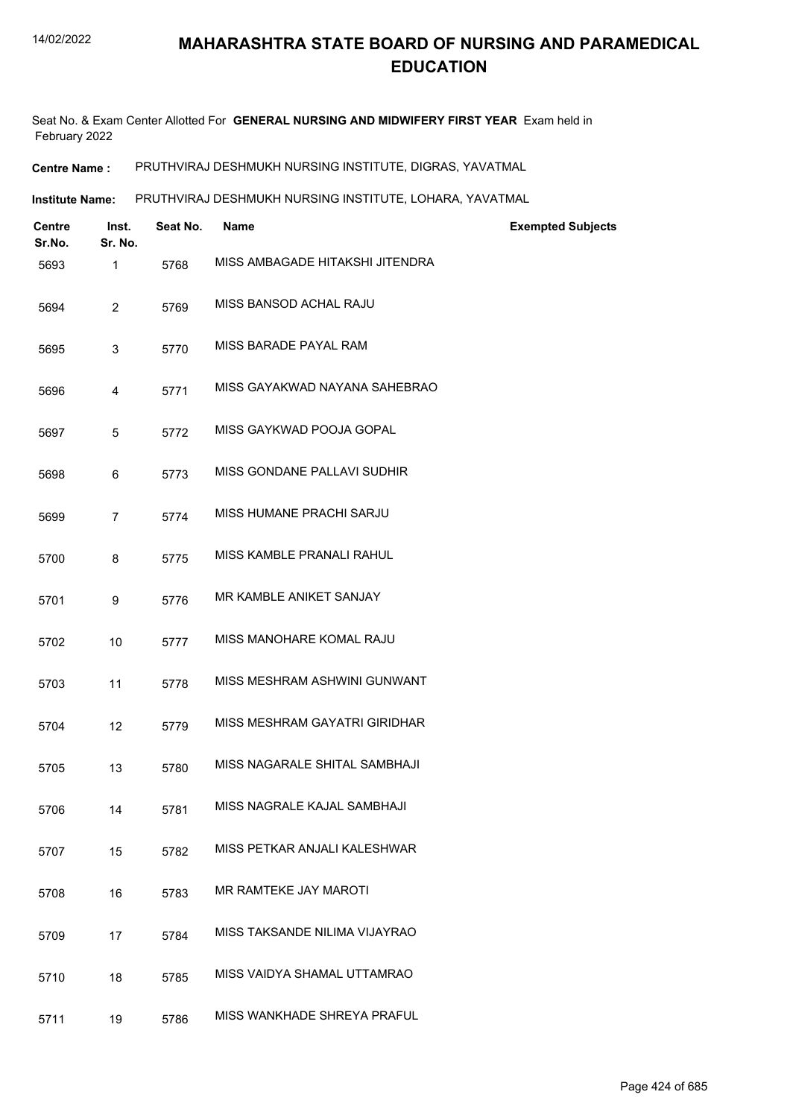Seat No. & Exam Center Allotted For **GENERAL NURSING AND MIDWIFERY FIRST YEAR** Exam held in February 2022

**Centre Name :** PRUTHVIRAJ DESHMUKH NURSING INSTITUTE, DIGRAS, YAVATMAL

**Institute Name: PRUTHVIRAJ DESHMUKH NURSING INSTITUTE, LOHARA, YAVATMAL** 

| <b>Centre</b><br>Sr.No. | Inst.<br>Sr. No. | Seat No. | Name                            | <b>Exempted Subjects</b> |
|-------------------------|------------------|----------|---------------------------------|--------------------------|
| 5693                    | 1                | 5768     | MISS AMBAGADE HITAKSHI JITENDRA |                          |
| 5694                    | $\overline{2}$   | 5769     | MISS BANSOD ACHAL RAJU          |                          |
| 5695                    | 3                | 5770     | MISS BARADE PAYAL RAM           |                          |
| 5696                    | 4                | 5771     | MISS GAYAKWAD NAYANA SAHEBRAO   |                          |
| 5697                    | 5                | 5772     | MISS GAYKWAD POOJA GOPAL        |                          |
| 5698                    | 6                | 5773     | MISS GONDANE PALLAVI SUDHIR     |                          |
| 5699                    | 7                | 5774     | MISS HUMANE PRACHI SARJU        |                          |
| 5700                    | 8                | 5775     | MISS KAMBLE PRANALI RAHUL       |                          |
| 5701                    | 9                | 5776     | MR KAMBLE ANIKET SANJAY         |                          |
| 5702                    | 10               | 5777     | MISS MANOHARE KOMAL RAJU        |                          |
| 5703                    | 11               | 5778     | MISS MESHRAM ASHWINI GUNWANT    |                          |
| 5704                    | 12               | 5779     | MISS MESHRAM GAYATRI GIRIDHAR   |                          |
| 5705                    | 13               | 5780     | MISS NAGARALE SHITAL SAMBHAJI   |                          |
| 5706                    | 14               | 5781     | MISS NAGRALE KAJAL SAMBHAJI     |                          |
| 5707                    | 15               | 5782     | MISS PETKAR ANJALI KALESHWAR    |                          |
| 5708                    | 16               | 5783     | MR RAMTEKE JAY MAROTI           |                          |
| 5709                    | 17               | 5784     | MISS TAKSANDE NILIMA VIJAYRAO   |                          |
| 5710                    | 18               | 5785     | MISS VAIDYA SHAMAL UTTAMRAO     |                          |
| 5711                    | 19               | 5786     | MISS WANKHADE SHREYA PRAFUL     |                          |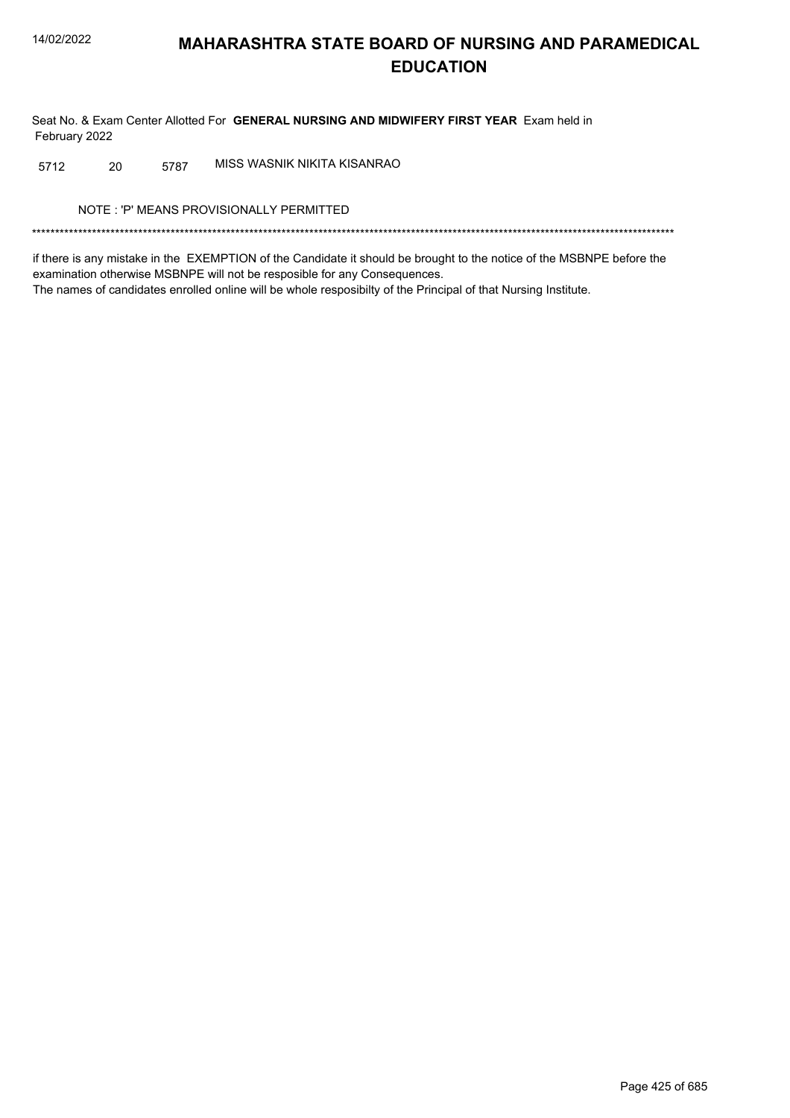Seat No. & Exam Center Allotted For GENERAL NURSING AND MIDWIFERY FIRST YEAR Exam held in February 2022

MISS WASNIK NIKITA KISANRAO 20 5787 5712

NOTE: 'P' MEANS PROVISIONALLY PERMITTED

if there is any mistake in the EXEMPTION of the Candidate it should be brought to the notice of the MSBNPE before the examination otherwise MSBNPE will not be resposible for any Consequences. The names of candidates enrolled online will be whole resposibilty of the Principal of that Nursing Institute.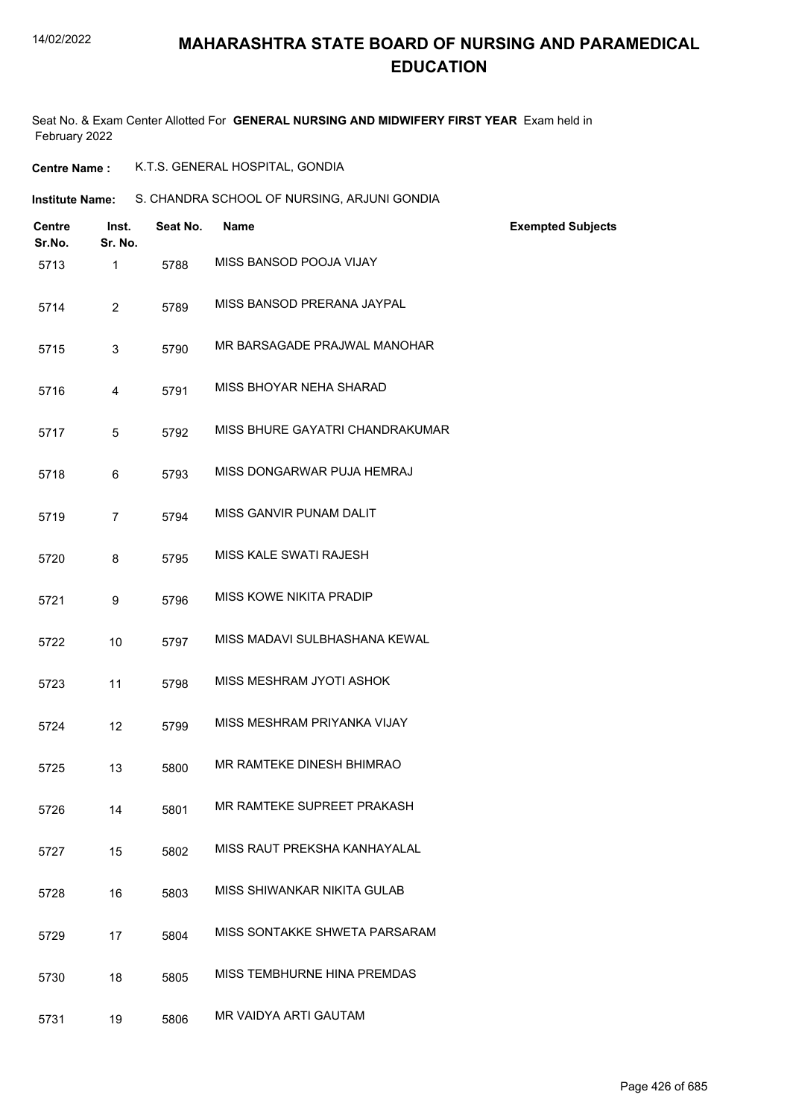Seat No. & Exam Center Allotted For **GENERAL NURSING AND MIDWIFERY FIRST YEAR** Exam held in February 2022

**Centre Name :** K.T.S. GENERAL HOSPITAL, GONDIA

**Institute Name:** S. CHANDRA SCHOOL OF NURSING, ARJUNI GONDIA

| <b>Centre</b><br>Sr.No. | Inst.<br>Sr. No. | Seat No. | <b>Name</b>                     | <b>Exempted Subjects</b> |
|-------------------------|------------------|----------|---------------------------------|--------------------------|
| 5713                    | $\mathbf{1}$     | 5788     | MISS BANSOD POOJA VIJAY         |                          |
| 5714                    | $\overline{2}$   | 5789     | MISS BANSOD PRERANA JAYPAL      |                          |
| 5715                    | 3                | 5790     | MR BARSAGADE PRAJWAL MANOHAR    |                          |
| 5716                    | $\overline{4}$   | 5791     | MISS BHOYAR NEHA SHARAD         |                          |
| 5717                    | 5                | 5792     | MISS BHURE GAYATRI CHANDRAKUMAR |                          |
| 5718                    | 6                | 5793     | MISS DONGARWAR PUJA HEMRAJ      |                          |
| 5719                    | $\overline{7}$   | 5794     | MISS GANVIR PUNAM DALIT         |                          |
| 5720                    | 8                | 5795     | MISS KALE SWATI RAJESH          |                          |
| 5721                    | 9                | 5796     | MISS KOWE NIKITA PRADIP         |                          |
| 5722                    | 10               | 5797     | MISS MADAVI SULBHASHANA KEWAL   |                          |
| 5723                    | 11               | 5798     | MISS MESHRAM JYOTI ASHOK        |                          |
| 5724                    | 12               | 5799     | MISS MESHRAM PRIYANKA VIJAY     |                          |
| 5725                    | 13               | 5800     | MR RAMTEKE DINESH BHIMRAO       |                          |
| 5726                    | 14               | 5801     | MR RAMTEKE SUPREET PRAKASH      |                          |
| 5727                    | 15               | 5802     | MISS RAUT PREKSHA KANHAYALAL    |                          |
| 5728                    | 16               | 5803     | MISS SHIWANKAR NIKITA GULAB     |                          |
| 5729                    | 17               | 5804     | MISS SONTAKKE SHWETA PARSARAM   |                          |
| 5730                    | 18               | 5805     | MISS TEMBHURNE HINA PREMDAS     |                          |
| 5731                    | 19               | 5806     | MR VAIDYA ARTI GAUTAM           |                          |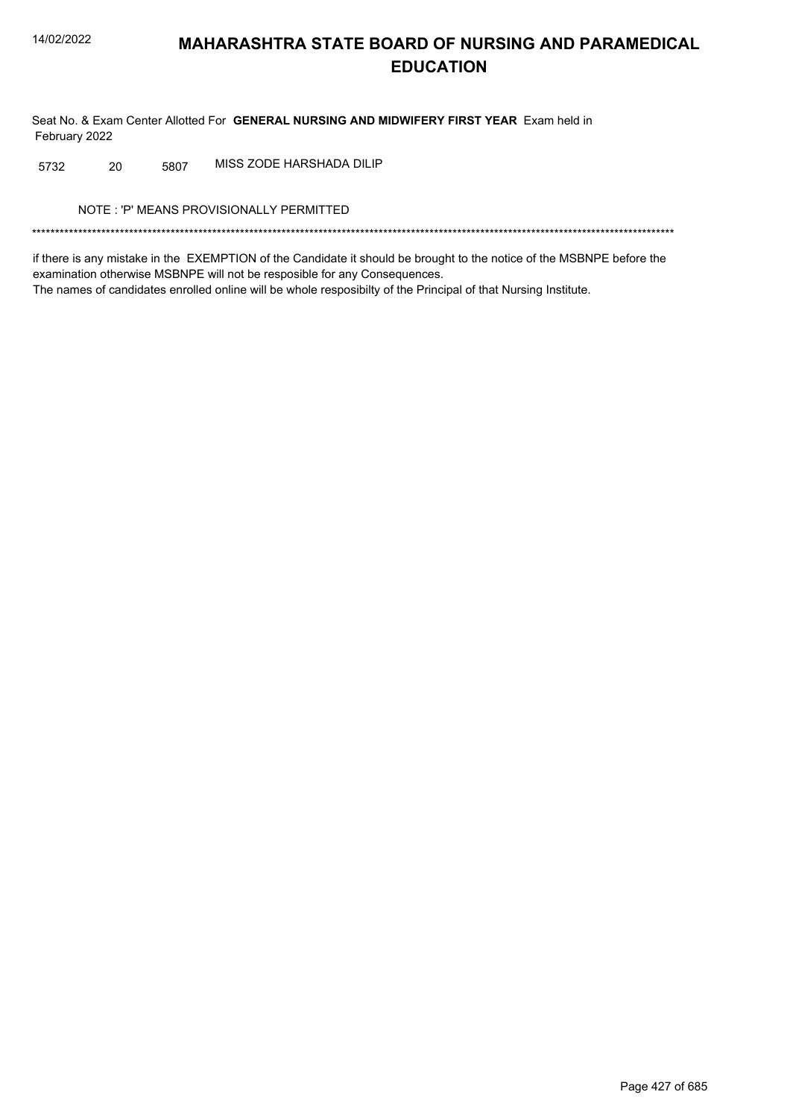Seat No. & Exam Center Allotted For GENERAL NURSING AND MIDWIFERY FIRST YEAR Exam held in February 2022

MISS ZODE HARSHADA DILIP 20 5807 5732

NOTE: 'P' MEANS PROVISIONALLY PERMITTED

if there is any mistake in the EXEMPTION of the Candidate it should be brought to the notice of the MSBNPE before the examination otherwise MSBNPE will not be resposible for any Consequences. The names of candidates enrolled online will be whole resposibilty of the Principal of that Nursing Institute.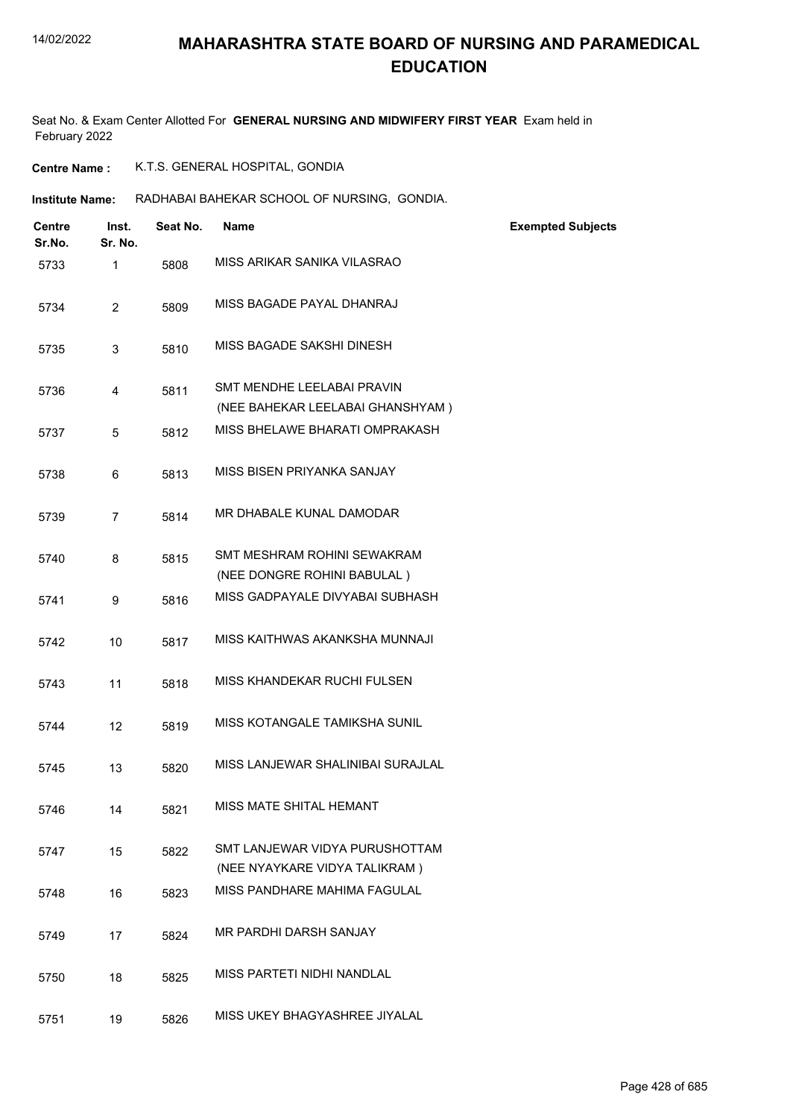Seat No. & Exam Center Allotted For **GENERAL NURSING AND MIDWIFERY FIRST YEAR** Exam held in February 2022

**Centre Name :** K.T.S. GENERAL HOSPITAL, GONDIA

**Institute Name: RADHABAI BAHEKAR SCHOOL OF NURSING, GONDIA.** 

| Centre<br>Sr.No. | Inst.<br>Sr. No. | Seat No. | <b>Name</b>                                                     | <b>Exempted Subjects</b> |
|------------------|------------------|----------|-----------------------------------------------------------------|--------------------------|
| 5733             | 1                | 5808     | MISS ARIKAR SANIKA VILASRAO                                     |                          |
| 5734             | $\overline{2}$   | 5809     | MISS BAGADE PAYAL DHANRAJ                                       |                          |
| 5735             | 3                | 5810     | MISS BAGADE SAKSHI DINESH                                       |                          |
| 5736             | 4                | 5811     | SMT MENDHE LEELABAI PRAVIN<br>(NEE BAHEKAR LEELABAI GHANSHYAM)  |                          |
| 5737             | 5                | 5812     | MISS BHELAWE BHARATI OMPRAKASH                                  |                          |
| 5738             | 6                | 5813     | MISS BISEN PRIYANKA SANJAY                                      |                          |
| 5739             | $\overline{7}$   | 5814     | MR DHABALE KUNAL DAMODAR                                        |                          |
| 5740             | 8                | 5815     | SMT MESHRAM ROHINI SEWAKRAM<br>(NEE DONGRE ROHINI BABULAL)      |                          |
| 5741             | 9                | 5816     | MISS GADPAYALE DIVYABAI SUBHASH                                 |                          |
| 5742             | 10               | 5817     | MISS KAITHWAS AKANKSHA MUNNAJI                                  |                          |
| 5743             | 11               | 5818     | MISS KHANDEKAR RUCHI FULSEN                                     |                          |
| 5744             | 12               | 5819     | MISS KOTANGALE TAMIKSHA SUNIL                                   |                          |
| 5745             | 13               | 5820     | MISS LANJEWAR SHALINIBAI SURAJLAL                               |                          |
| 5746             | 14               | 5821     | MISS MATE SHITAL HEMANT                                         |                          |
| 5747             | 15               | 5822     | SMT LANJEWAR VIDYA PURUSHOTTAM<br>(NEE NYAYKARE VIDYA TALIKRAM) |                          |
| 5748             | 16               | 5823     | MISS PANDHARE MAHIMA FAGULAL                                    |                          |
| 5749             | 17               | 5824     | MR PARDHI DARSH SANJAY                                          |                          |
| 5750             | 18               | 5825     | MISS PARTETI NIDHI NANDLAL                                      |                          |
| 5751             | 19               | 5826     | MISS UKEY BHAGYASHREE JIYALAL                                   |                          |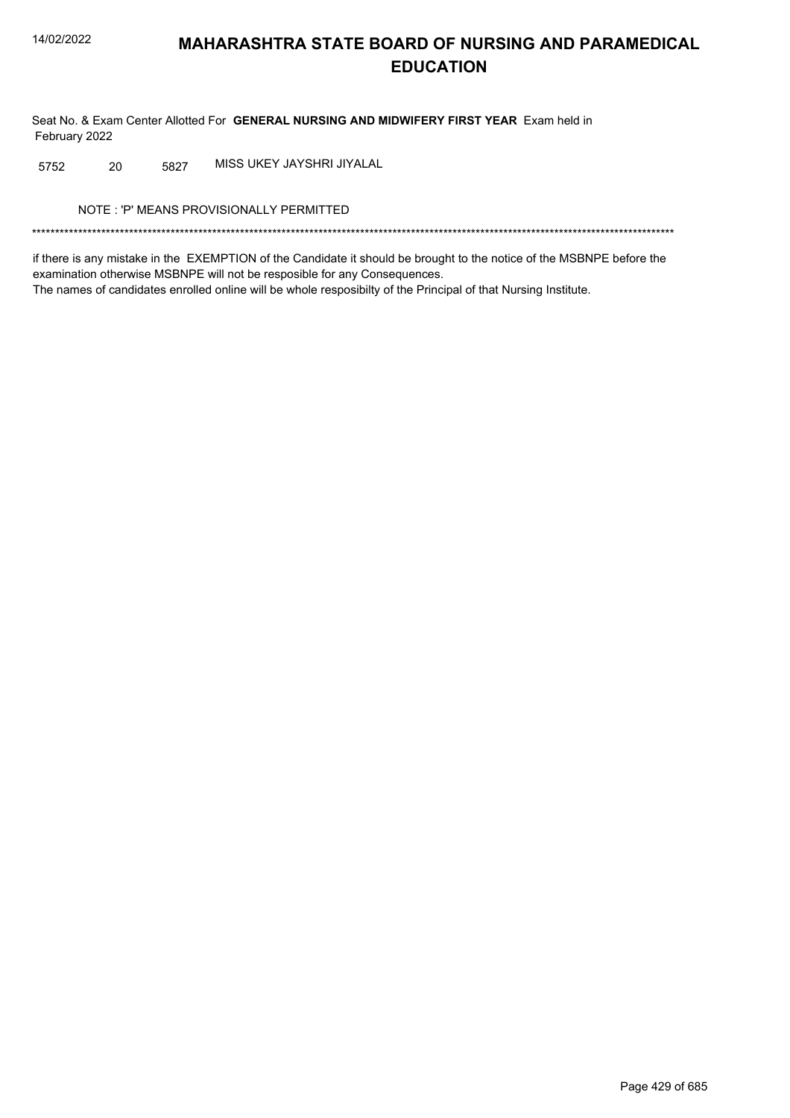Seat No. & Exam Center Allotted For GENERAL NURSING AND MIDWIFERY FIRST YEAR Exam held in February 2022

MISS UKEY JAYSHRI JIYALAL 20 5827 5752

NOTE: 'P' MEANS PROVISIONALLY PERMITTED

if there is any mistake in the EXEMPTION of the Candidate it should be brought to the notice of the MSBNPE before the examination otherwise MSBNPE will not be resposible for any Consequences. The names of candidates enrolled online will be whole resposibilty of the Principal of that Nursing Institute.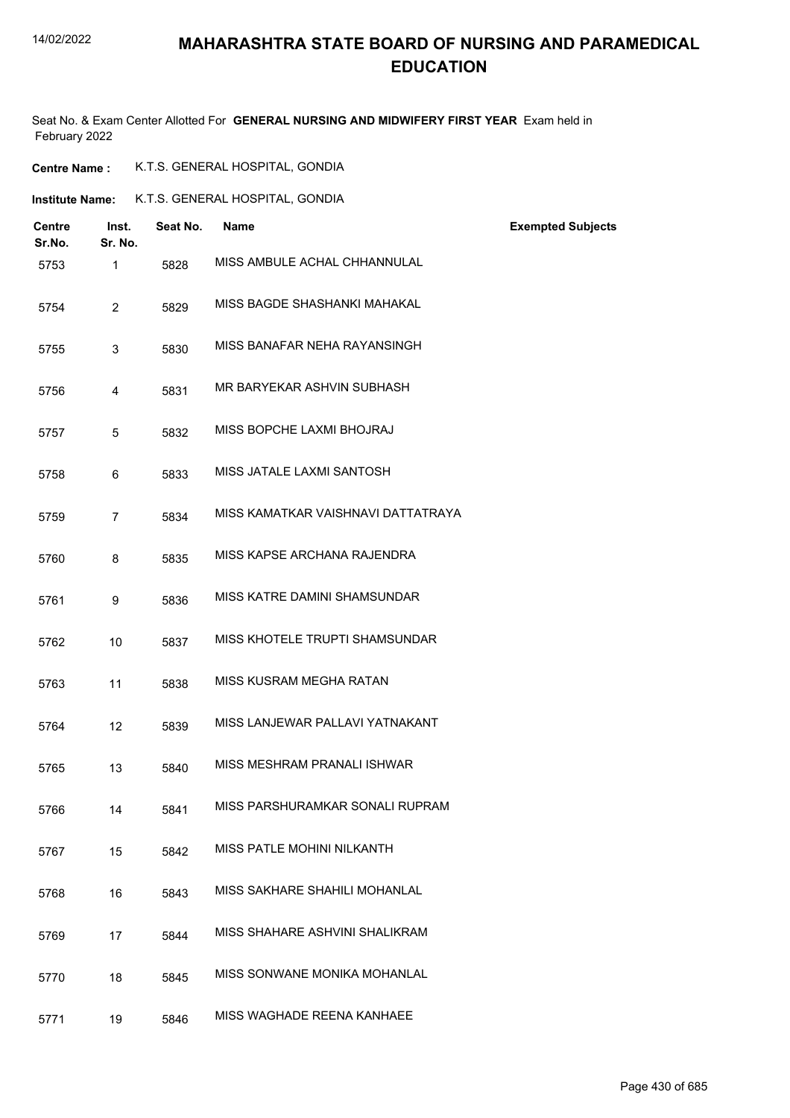#### 14/02/2022

#### **MAHARASHTRA STATE BOARD OF NURSING AND PARAMEDICAL EDUCATION**

Seat No. & Exam Center Allotted For **GENERAL NURSING AND MIDWIFERY FIRST YEAR** Exam held in February 2022

| <b>Centre Name :</b> | K.T.S. GENERAL HOSPITAL, GONDIA |  |
|----------------------|---------------------------------|--|
|----------------------|---------------------------------|--|

| Institute Name: | K.T.S. GENERAL HOSPITAL, GONDIA |
|-----------------|---------------------------------|
|                 |                                 |

| <b>Centre</b><br>Sr.No. | Inst.<br>Sr. No. | Seat No. | <b>Name</b>                        | <b>Exempted Subjects</b> |
|-------------------------|------------------|----------|------------------------------------|--------------------------|
| 5753                    | 1                | 5828     | MISS AMBULE ACHAL CHHANNULAL       |                          |
| 5754                    | $\overline{2}$   | 5829     | MISS BAGDE SHASHANKI MAHAKAL       |                          |
| 5755                    | 3                | 5830     | MISS BANAFAR NEHA RAYANSINGH       |                          |
| 5756                    | 4                | 5831     | MR BARYEKAR ASHVIN SUBHASH         |                          |
| 5757                    | 5                | 5832     | MISS BOPCHE LAXMI BHOJRAJ          |                          |
| 5758                    | 6                | 5833     | MISS JATALE LAXMI SANTOSH          |                          |
| 5759                    | $\overline{7}$   | 5834     | MISS KAMATKAR VAISHNAVI DATTATRAYA |                          |
| 5760                    | 8                | 5835     | MISS KAPSE ARCHANA RAJENDRA        |                          |
| 5761                    | 9                | 5836     | MISS KATRE DAMINI SHAMSUNDAR       |                          |
| 5762                    | 10               | 5837     | MISS KHOTELE TRUPTI SHAMSUNDAR     |                          |
| 5763                    | 11               | 5838     | MISS KUSRAM MEGHA RATAN            |                          |
| 5764                    | 12               | 5839     | MISS LANJEWAR PALLAVI YATNAKANT    |                          |
| 5765                    | 13               | 5840     | MISS MESHRAM PRANALI ISHWAR        |                          |
| 5766                    | 14               | 5841     | MISS PARSHURAMKAR SONALI RUPRAM    |                          |
| 5767                    | 15               | 5842     | MISS PATLE MOHINI NILKANTH         |                          |
| 5768                    | 16               | 5843     | MISS SAKHARE SHAHILI MOHANLAL      |                          |
| 5769                    | 17               | 5844     | MISS SHAHARE ASHVINI SHALIKRAM     |                          |
| 5770                    | 18               | 5845     | MISS SONWANE MONIKA MOHANLAL       |                          |
| 5771                    | 19               | 5846     | MISS WAGHADE REENA KANHAEE         |                          |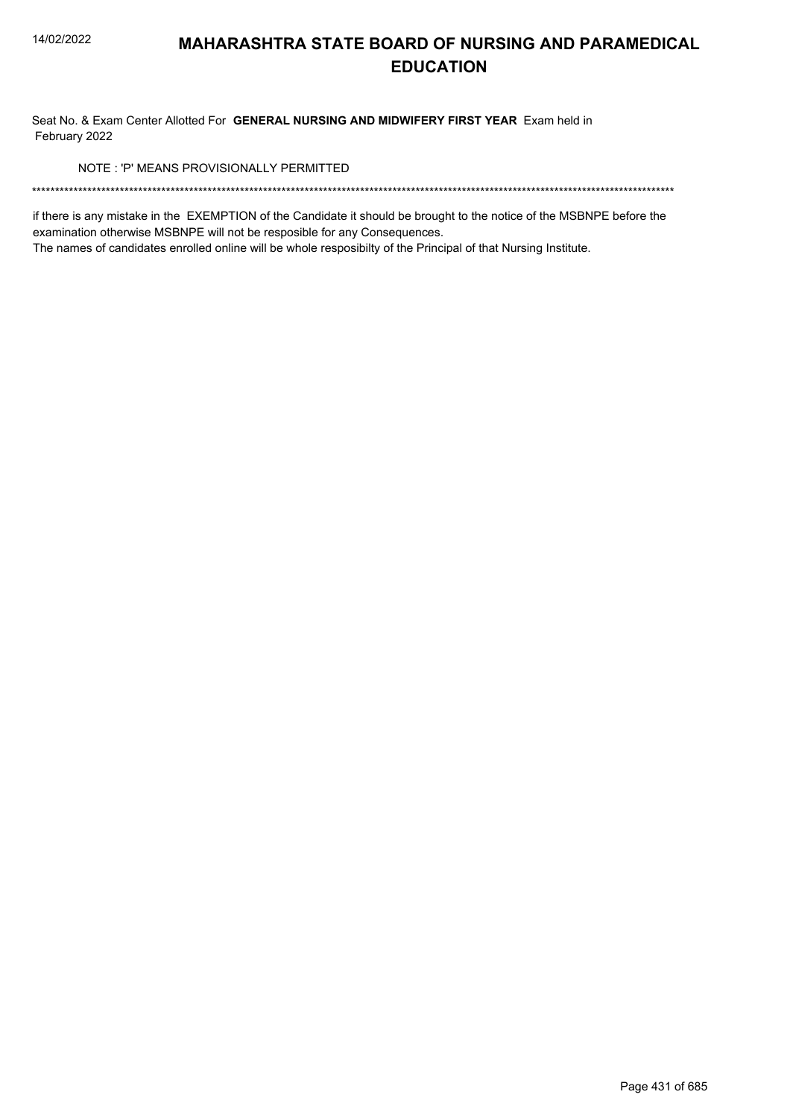Seat No. & Exam Center Allotted For GENERAL NURSING AND MIDWIFERY FIRST YEAR Exam held in February 2022

NOTE: 'P' MEANS PROVISIONALLY PERMITTED

if there is any mistake in the EXEMPTION of the Candidate it should be brought to the notice of the MSBNPE before the examination otherwise MSBNPE will not be resposible for any Consequences.

The names of candidates enrolled online will be whole resposibilty of the Principal of that Nursing Institute.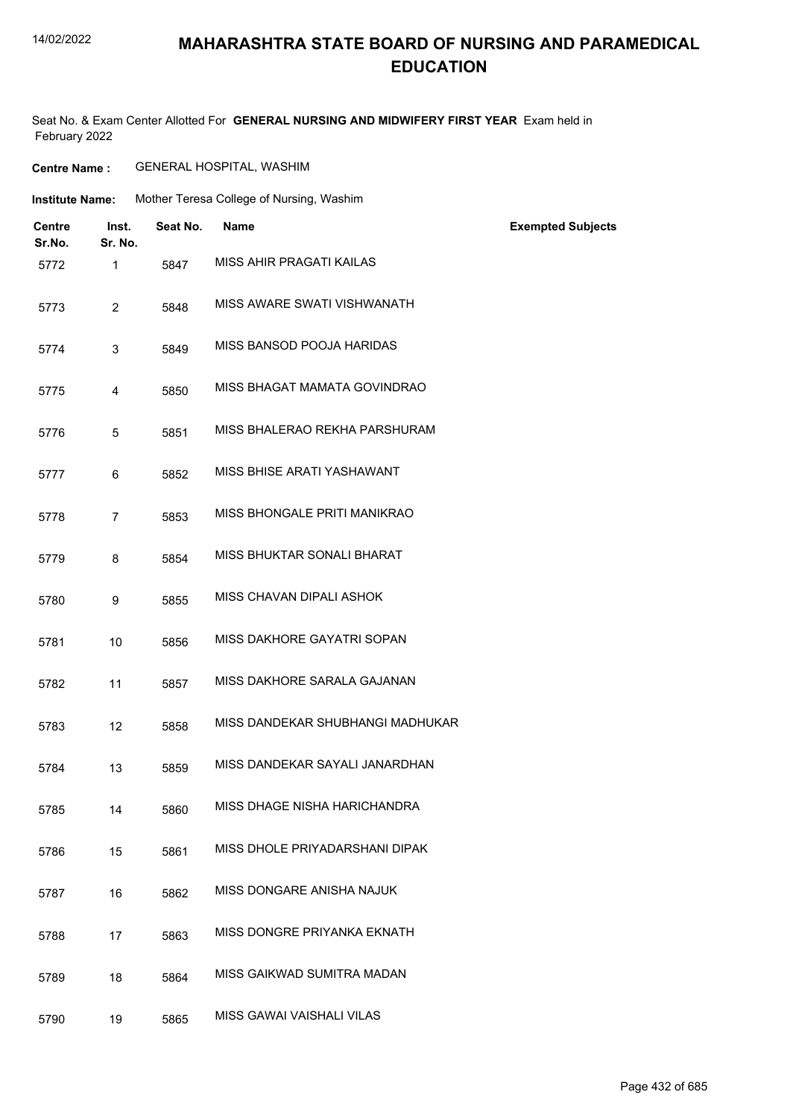#### 14/02/2022

#### **MAHARASHTRA STATE BOARD OF NURSING AND PARAMEDICAL EDUCATION**

Seat No. & Exam Center Allotted For **GENERAL NURSING AND MIDWIFERY FIRST YEAR** Exam held in February 2022

| <b>Centre Name :</b> | <b>GENERAL HOSPITAL, WASHIM</b> |
|----------------------|---------------------------------|
|----------------------|---------------------------------|

| Institute Name: | Mother Teresa College of Nursing, Washim |  |  |
|-----------------|------------------------------------------|--|--|
|                 |                                          |  |  |

| <b>Centre</b><br>Sr.No. | Inst.<br>Sr. No. | Seat No. | <b>Name</b>                      | <b>Exempted Subjects</b> |
|-------------------------|------------------|----------|----------------------------------|--------------------------|
| 5772                    | 1                | 5847     | MISS AHIR PRAGATI KAILAS         |                          |
| 5773                    | $\overline{2}$   | 5848     | MISS AWARE SWATI VISHWANATH      |                          |
| 5774                    | 3                | 5849     | MISS BANSOD POOJA HARIDAS        |                          |
| 5775                    | 4                | 5850     | MISS BHAGAT MAMATA GOVINDRAO     |                          |
| 5776                    | 5                | 5851     | MISS BHALERAO REKHA PARSHURAM    |                          |
| 5777                    | 6                | 5852     | MISS BHISE ARATI YASHAWANT       |                          |
| 5778                    | $\overline{7}$   | 5853     | MISS BHONGALE PRITI MANIKRAO     |                          |
| 5779                    | 8                | 5854     | MISS BHUKTAR SONALI BHARAT       |                          |
| 5780                    | 9                | 5855     | MISS CHAVAN DIPALI ASHOK         |                          |
| 5781                    | 10               | 5856     | MISS DAKHORE GAYATRI SOPAN       |                          |
| 5782                    | 11               | 5857     | MISS DAKHORE SARALA GAJANAN      |                          |
| 5783                    | 12               | 5858     | MISS DANDEKAR SHUBHANGI MADHUKAR |                          |
| 5784                    | 13               | 5859     | MISS DANDEKAR SAYALI JANARDHAN   |                          |
| 5785                    | 14               | 5860     | MISS DHAGE NISHA HARICHANDRA     |                          |
| 5786                    | 15               | 5861     | MISS DHOLE PRIYADARSHANI DIPAK   |                          |
| 5787                    | 16               | 5862     | MISS DONGARE ANISHA NAJUK        |                          |
| 5788                    | 17               | 5863     | MISS DONGRE PRIYANKA EKNATH      |                          |
| 5789                    | 18               | 5864     | MISS GAIKWAD SUMITRA MADAN       |                          |
| 5790                    | 19               | 5865     | MISS GAWAI VAISHALI VILAS        |                          |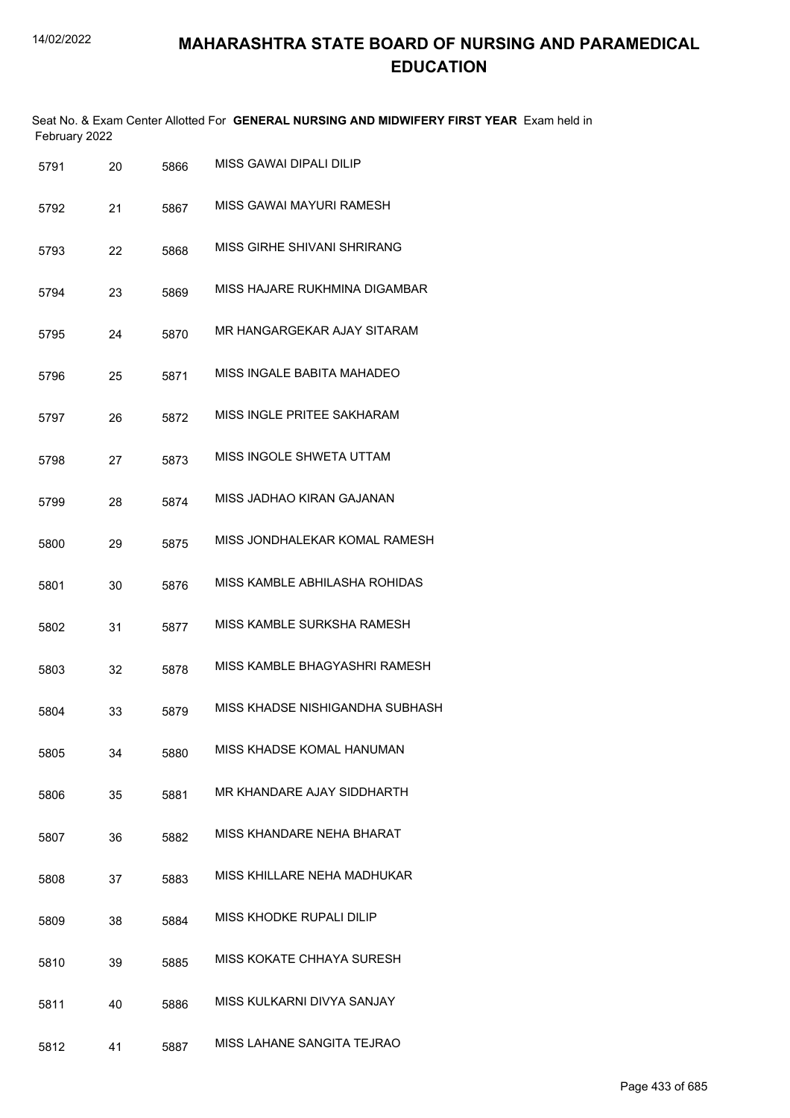|               | Seat No. & Exam Center Allotted For GENERAL NURSING AND MIDWIFERY FIRST YEAR Exam held in |  |
|---------------|-------------------------------------------------------------------------------------------|--|
| February 2022 |                                                                                           |  |

| 5791 | 20 | 5866 | MISS GAWAI DIPALI DILIP         |
|------|----|------|---------------------------------|
| 5792 | 21 | 5867 | MISS GAWAI MAYURI RAMESH        |
| 5793 | 22 | 5868 | MISS GIRHF SHIVANI SHRIRANG     |
| 5794 | 23 | 5869 | MISS HAJARE RUKHMINA DIGAMBAR   |
| 5795 | 24 | 5870 | MR HANGARGEKAR AJAY SITARAM     |
| 5796 | 25 | 5871 | MISS INGALE BABITA MAHADEO      |
| 5797 | 26 | 5872 | MISS INGLE PRITEE SAKHARAM      |
| 5798 | 27 | 5873 | MISS INGOLE SHWETA UTTAM        |
| 5799 | 28 | 5874 | MISS JADHAO KIRAN GAJANAN       |
| 5800 | 29 | 5875 | MISS JONDHALEKAR KOMAL RAMESH   |
| 5801 | 30 | 5876 | MISS KAMBLE ABHILASHA ROHIDAS   |
| 5802 | 31 | 5877 | MISS KAMBLE SURKSHA RAMESH      |
| 5803 | 32 | 5878 | MISS KAMBLE BHAGYASHRI RAMESH   |
| 5804 | 33 | 5879 | MISS KHADSE NISHIGANDHA SUBHASH |
| 5805 | 34 | 5880 | MISS KHADSE KOMAL HANUMAN       |
| 5806 | 35 | 5881 | MR KHANDARE AJAY SIDDHARTH      |
| 5807 | 36 | 5882 | MISS KHANDARE NEHA BHARAT       |
| 5808 | 37 | 5883 | MISS KHILLARE NEHA MADHUKAR     |
| 5809 | 38 | 5884 | MISS KHODKE RUPALI DILIP        |
| 5810 | 39 | 5885 | MISS KOKATE CHHAYA SURESH       |
| 5811 | 40 | 5886 | MISS KULKARNI DIVYA SANJAY      |
| 5812 | 41 | 5887 | MISS LAHANE SANGITA TEJRAO      |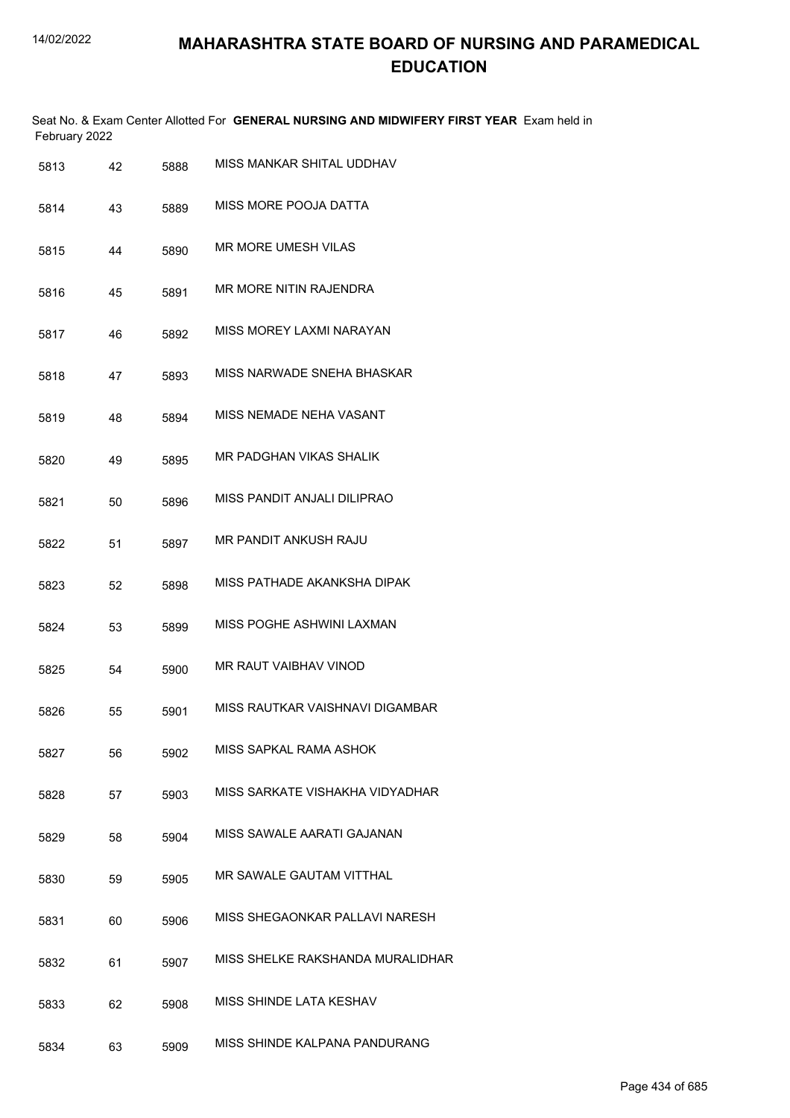| 5813 | 42 | 5888 | MISS MANKAR SHITAL UDDHAV        |
|------|----|------|----------------------------------|
| 5814 | 43 | 5889 | MISS MORE POOJA DATTA            |
| 5815 | 44 | 5890 | MR MORE UMESH VILAS              |
| 5816 | 45 | 5891 | MR MORE NITIN RAJENDRA           |
| 5817 | 46 | 5892 | MISS MOREY LAXMI NARAYAN         |
| 5818 | 47 | 5893 | MISS NARWADE SNEHA BHASKAR       |
| 5819 | 48 | 5894 | MISS NEMADE NEHA VASANT          |
| 5820 | 49 | 5895 | MR PADGHAN VIKAS SHALIK          |
| 5821 | 50 | 5896 | MISS PANDIT ANJALI DILIPRAO      |
| 5822 | 51 | 5897 | <b>MR PANDIT ANKUSH RAJU</b>     |
| 5823 | 52 | 5898 | MISS PATHADE AKANKSHA DIPAK      |
| 5824 | 53 | 5899 | MISS POGHE ASHWINI LAXMAN        |
| 5825 | 54 | 5900 | <b>MR RAUT VAIBHAV VINOD</b>     |
| 5826 | 55 | 5901 | MISS RAUTKAR VAISHNAVI DIGAMBAR  |
| 5827 | 56 | 5902 | MISS SAPKAL RAMA ASHOK           |
| 5828 | 57 | 5903 | MISS SARKATE VISHAKHA VIDYADHAR  |
| 5829 | 58 | 5904 | MISS SAWALE AARATI GAJANAN       |
| 5830 | 59 | 5905 | MR SAWALE GAUTAM VITTHAL         |
| 5831 | 60 | 5906 | MISS SHEGAONKAR PALLAVI NARESH   |
| 5832 | 61 | 5907 | MISS SHELKE RAKSHANDA MURALIDHAR |
| 5833 | 62 | 5908 | MISS SHINDE LATA KESHAV          |
| 5834 | 63 | 5909 | MISS SHINDE KALPANA PANDURANG    |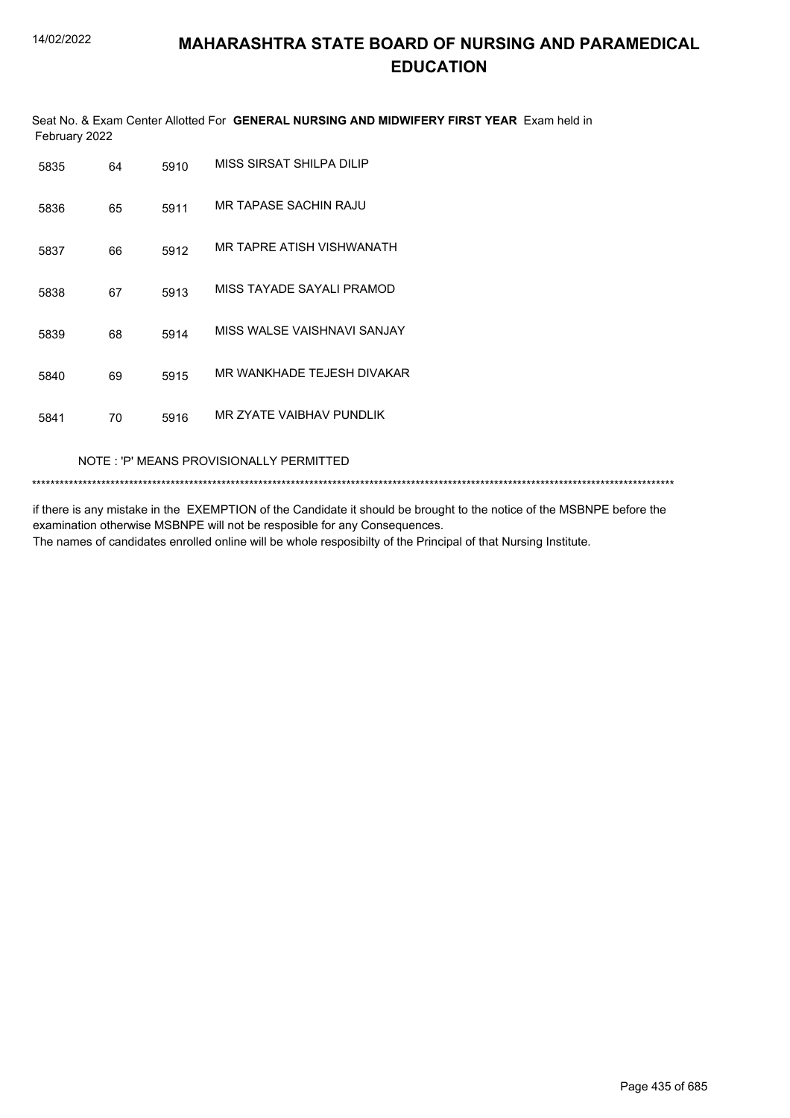Seat No. & Exam Center Allotted For **GENERAL NURSING AND MIDWIFERY FIRST YEAR** Exam held in February 2022

| 5835 | 64 | 5910 | MISS SIRSAT SHILPA DILIP     |
|------|----|------|------------------------------|
| 5836 | 65 | 5911 | MR TAPASE SACHIN RAJU        |
| 5837 | 66 | 5912 | MR TAPRE ATISH VISHWANATH    |
| 5838 | 67 | 5913 | MISS TAYADE SAYALI PRAMOD    |
| 5839 | 68 | 5914 | MISS WAI SE VAISHNAVI SANJAY |
| 5840 | 69 | 5915 | MR WANKHADE TEJESH DIVAKAR   |
| 5841 | 70 | 5916 | MR 7YATE VAIBHAV PUNDLIK     |

NOTE : 'P' MEANS PROVISIONALLY PERMITTED

\*\*\*\*\*\*\*\*\*\*\*\*\*\*\*\*\*\*\*\*\*\*\*\*\*\*\*\*\*\*\*\*\*\*\*\*\*\*\*\*\*\*\*\*\*\*\*\*\*\*\*\*\*\*\*\*\*\*\*\*\*\*\*\*\*\*\*\*\*\*\*\*\*\*\*\*\*\*\*\*\*\*\*\*\*\*\*\*\*\*\*\*\*\*\*\*\*\*\*\*\*\*\*\*\*\*\*\*\*\*\*\*\*\*\*\*\*\*\*\*\*\*\*\*\*\*\*\*\*\*\*\*\*\*\*\*\*\*\*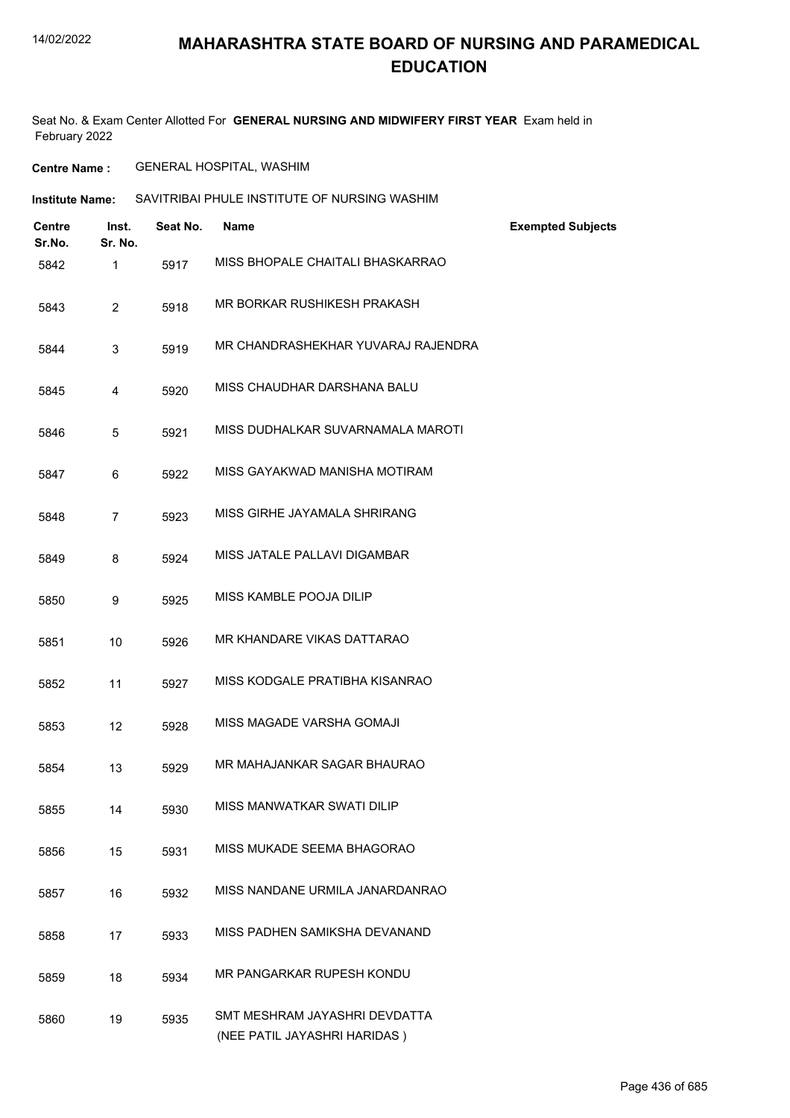Seat No. & Exam Center Allotted For **GENERAL NURSING AND MIDWIFERY FIRST YEAR** Exam held in February 2022

**Centre Name :** GENERAL HOSPITAL, WASHIM

**Institute Name:** SAVITRIBAI PHULE INSTITUTE OF NURSING WASHIM

| <b>Centre</b><br>Sr.No. | Inst.<br>Sr. No. | Seat No. | <b>Name</b>                                                   | <b>Exempted Subjects</b> |
|-------------------------|------------------|----------|---------------------------------------------------------------|--------------------------|
| 5842                    | $\mathbf{1}$     | 5917     | MISS BHOPALE CHAITALI BHASKARRAO                              |                          |
| 5843                    | $\overline{2}$   | 5918     | MR BORKAR RUSHIKESH PRAKASH                                   |                          |
| 5844                    | 3                | 5919     | MR CHANDRASHEKHAR YUVARAJ RAJENDRA                            |                          |
| 5845                    | 4                | 5920     | MISS CHAUDHAR DARSHANA BALU                                   |                          |
| 5846                    | 5                | 5921     | MISS DUDHALKAR SUVARNAMALA MAROTI                             |                          |
| 5847                    | 6                | 5922     | MISS GAYAKWAD MANISHA MOTIRAM                                 |                          |
| 5848                    | $\overline{7}$   | 5923     | MISS GIRHE JAYAMALA SHRIRANG                                  |                          |
| 5849                    | 8                | 5924     | MISS JATALE PALLAVI DIGAMBAR                                  |                          |
| 5850                    | 9                | 5925     | MISS KAMBLE POOJA DILIP                                       |                          |
| 5851                    | 10               | 5926     | MR KHANDARE VIKAS DATTARAO                                    |                          |
| 5852                    | 11               | 5927     | MISS KODGALE PRATIBHA KISANRAO                                |                          |
| 5853                    | 12               | 5928     | MISS MAGADE VARSHA GOMAJI                                     |                          |
| 5854                    | 13               | 5929     | MR MAHAJANKAR SAGAR BHAURAO                                   |                          |
| 5855                    | 14               | 5930     | MISS MANWATKAR SWATI DILIP                                    |                          |
| 5856                    | 15               | 5931     | MISS MUKADE SEEMA BHAGORAO                                    |                          |
| 5857                    | 16               | 5932     | MISS NANDANE URMILA JANARDANRAO                               |                          |
| 5858                    | 17               | 5933     | MISS PADHEN SAMIKSHA DEVANAND                                 |                          |
| 5859                    | 18               | 5934     | MR PANGARKAR RUPESH KONDU                                     |                          |
| 5860                    | 19               | 5935     | SMT MESHRAM JAYASHRI DEVDATTA<br>(NEE PATIL JAYASHRI HARIDAS) |                          |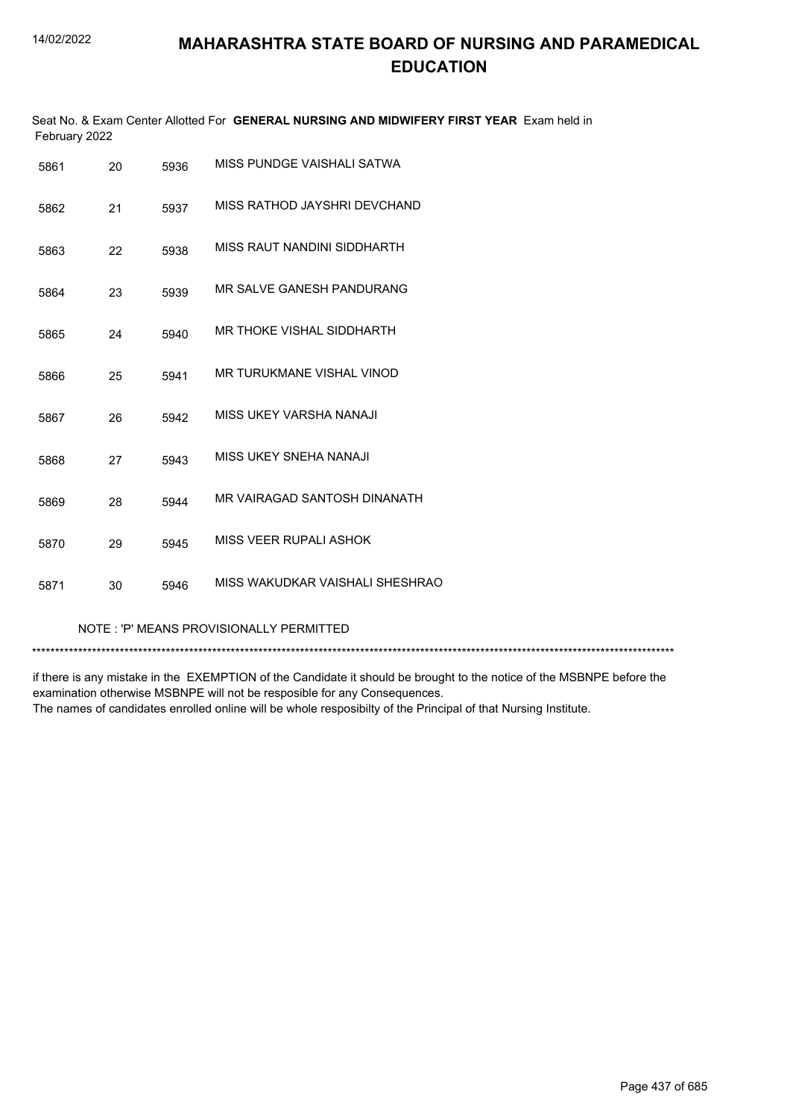|               | Seat No. & Exam Center Allotted For GENERAL NURSING AND MIDWIFERY FIRST YEAR Exam held in |  |
|---------------|-------------------------------------------------------------------------------------------|--|
| February 2022 |                                                                                           |  |

| 5861 | 20 | 5936 | MISS PUNDGE VAISHALI SATWA      |
|------|----|------|---------------------------------|
| 5862 | 21 | 5937 | MISS RATHOD JAYSHRI DEVCHAND    |
| 5863 | 22 | 5938 | MISS RAUT NANDINI SIDDHARTH     |
| 5864 | 23 | 5939 | MR SALVE GANESH PANDURANG       |
| 5865 | 24 | 5940 | MR THOKE VISHAL SIDDHARTH       |
| 5866 | 25 | 5941 | MR TURUKMANE VISHAL VINOD       |
| 5867 | 26 | 5942 | MISS UKEY VARSHA NANAJI         |
| 5868 | 27 | 5943 | MISS UKEY SNEHA NANAJI          |
| 5869 | 28 | 5944 | MR VAIRAGAD SANTOSH DINANATH    |
| 5870 | 29 | 5945 | MISS VEER RUPALI ASHOK          |
| 5871 | 30 | 5946 | MISS WAKUDKAR VAISHALI SHESHRAO |

#### NOTE : 'P' MEANS PROVISIONALLY PERMITTED

\*\*\*\*\*\*\*\*\*\*\*\*\*\*\*\*\*\*\*\*\*\*\*\*\*\*\*\*\*\*\*\*\*\*\*\*\*\*\*\*\*\*\*\*\*\*\*\*\*\*\*\*\*\*\*\*\*\*\*\*\*\*\*\*\*\*\*\*\*\*\*\*\*\*\*\*\*\*\*\*\*\*\*\*\*\*\*\*\*\*\*\*\*\*\*\*\*\*\*\*\*\*\*\*\*\*\*\*\*\*\*\*\*\*\*\*\*\*\*\*\*\*\*\*\*\*\*\*\*\*\*\*\*\*\*\*\*\*\*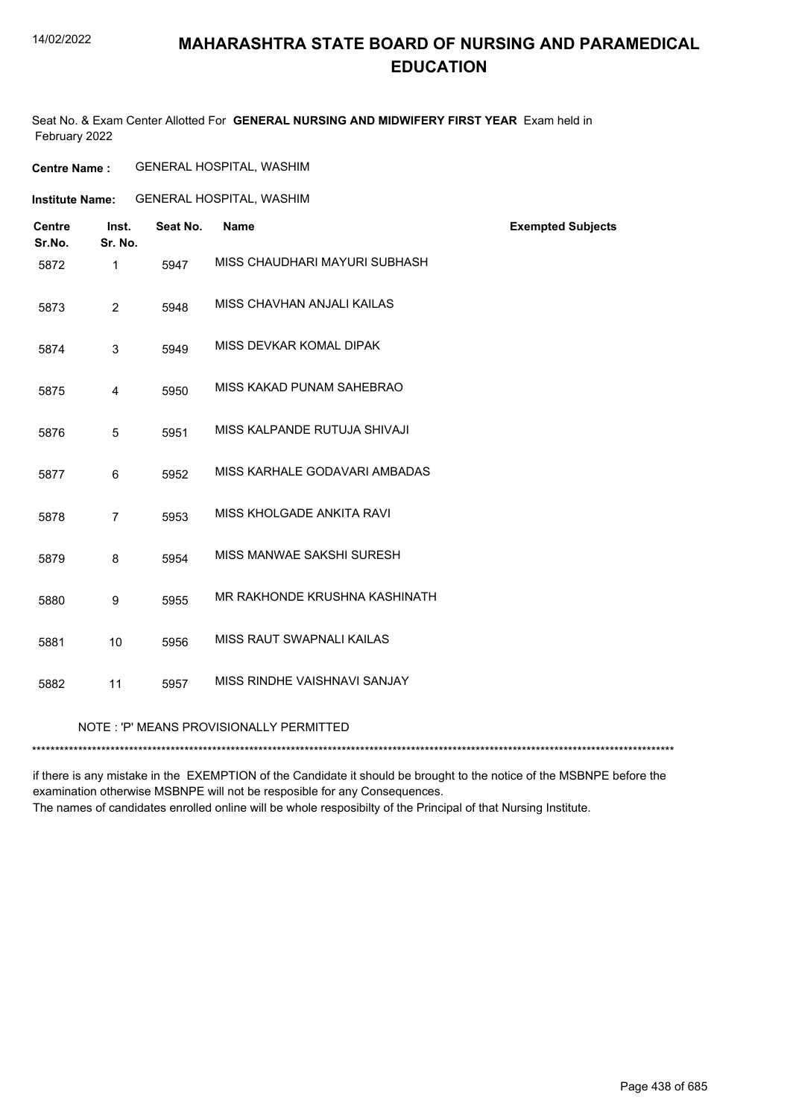### **MAHARASHTRA STATE BOARD OF NURSING AND PARAMEDICAL EDUCATION**

Seat No. & Exam Center Allotted For **GENERAL NURSING AND MIDWIFERY FIRST YEAR** Exam held in February 2022

### **Centre Name :** GENERAL HOSPITAL, WASHIM

**Institute Name:** GENERAL HOSPITAL, WASHIM

| <b>Centre</b><br>Sr.No. | Inst.<br>Sr. No. | Seat No. | <b>Name</b>                             | <b>Exempted Subjects</b> |
|-------------------------|------------------|----------|-----------------------------------------|--------------------------|
| 5872                    | $\mathbf{1}$     | 5947     | MISS CHAUDHARI MAYURI SUBHASH           |                          |
| 5873                    | $\overline{2}$   | 5948     | MISS CHAVHAN ANJALI KAILAS              |                          |
| 5874                    | 3                | 5949     | MISS DEVKAR KOMAL DIPAK                 |                          |
| 5875                    | 4                | 5950     | MISS KAKAD PUNAM SAHEBRAO               |                          |
| 5876                    | 5                | 5951     | MISS KALPANDE RUTUJA SHIVAJI            |                          |
| 5877                    | 6                | 5952     | MISS KARHALE GODAVARI AMBADAS           |                          |
| 5878                    | $\overline{7}$   | 5953     | MISS KHOLGADE ANKITA RAVI               |                          |
| 5879                    | 8                | 5954     | MISS MANWAE SAKSHI SURESH               |                          |
| 5880                    | 9                | 5955     | MR RAKHONDE KRUSHNA KASHINATH           |                          |
| 5881                    | 10               | 5956     | MISS RAUT SWAPNALI KAILAS               |                          |
| 5882                    | 11               | 5957     | MISS RINDHE VAISHNAVI SANJAY            |                          |
|                         |                  |          | NOTE: 'P' MEANS PROVISIONALLY PERMITTED |                          |

\*\*\*\*\*\*\*\*\*\*\*\*\*\*\*\*\*\*\*\*\*\*\*\*\*\*\*\*\*\*\*\*\*\*\*\*\*\*\*\*\*\*\*\*\*\*\*\*\*\*\*\*\*\*\*\*\*\*\*\*\*\*\*\*\*\*\*\*\*\*\*\*\*\*\*\*\*\*\*\*\*\*\*\*\*\*\*\*\*\*\*\*\*\*\*\*\*\*\*\*\*\*\*\*\*\*\*\*\*\*\*\*\*\*\*\*\*\*\*\*\*\*\*\*\*\*\*\*\*\*\*\*\*\*\*\*\*\*\*

if there is any mistake in the EXEMPTION of the Candidate it should be brought to the notice of the MSBNPE before the examination otherwise MSBNPE will not be resposible for any Consequences.

The names of candidates enrolled online will be whole resposibilty of the Principal of that Nursing Institute.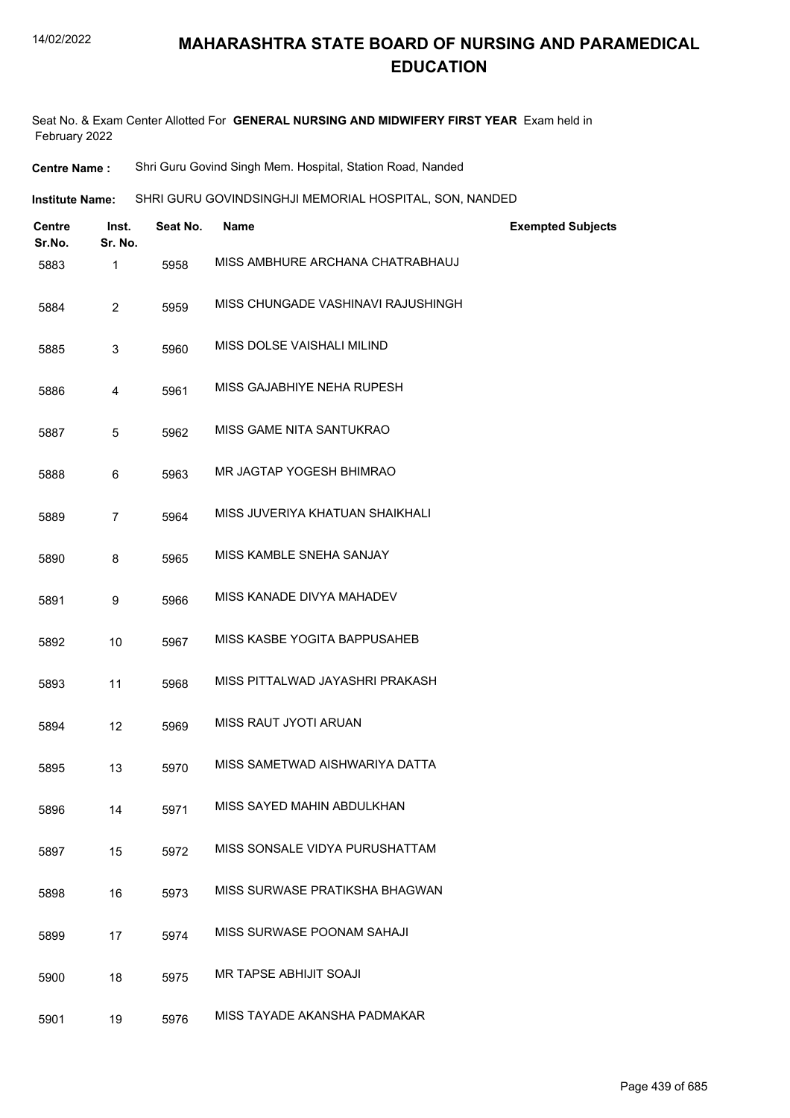| <b>Institute Name:</b> | SHRI GURU GOVINDSINGHJI MEMORIAL HOSPITAL, SON, NANDED |  |
|------------------------|--------------------------------------------------------|--|
|------------------------|--------------------------------------------------------|--|

| <b>Centre</b><br>Sr.No. | Inst.<br>Sr. No. | Seat No. | <b>Name</b>                        | <b>Exempted Subjects</b> |
|-------------------------|------------------|----------|------------------------------------|--------------------------|
| 5883                    | $\mathbf{1}$     | 5958     | MISS AMBHURE ARCHANA CHATRABHAUJ   |                          |
| 5884                    | $\overline{2}$   | 5959     | MISS CHUNGADE VASHINAVI RAJUSHINGH |                          |
| 5885                    | 3                | 5960     | MISS DOLSE VAISHALI MILIND         |                          |
| 5886                    | 4                | 5961     | MISS GAJABHIYE NEHA RUPESH         |                          |
| 5887                    | 5                | 5962     | MISS GAME NITA SANTUKRAO           |                          |
| 5888                    | 6                | 5963     | MR JAGTAP YOGESH BHIMRAO           |                          |
| 5889                    | $\overline{7}$   | 5964     | MISS JUVERIYA KHATUAN SHAIKHALI    |                          |
| 5890                    | 8                | 5965     | MISS KAMBLE SNEHA SANJAY           |                          |
| 5891                    | 9                | 5966     | MISS KANADE DIVYA MAHADEV          |                          |
| 5892                    | 10               | 5967     | MISS KASBE YOGITA BAPPUSAHEB       |                          |
| 5893                    | 11               | 5968     | MISS PITTALWAD JAYASHRI PRAKASH    |                          |
| 5894                    | 12               | 5969     | MISS RAUT JYOTI ARUAN              |                          |
| 5895                    | 13               | 5970     | MISS SAMETWAD AISHWARIYA DATTA     |                          |
| 5896                    | 14               | 5971     | MISS SAYED MAHIN ABDULKHAN         |                          |
| 5897                    | 15               | 5972     | MISS SONSALE VIDYA PURUSHATTAM     |                          |
| 5898                    | 16               | 5973     | MISS SURWASE PRATIKSHA BHAGWAN     |                          |
| 5899                    | 17               | 5974     | MISS SURWASE POONAM SAHAJI         |                          |
| 5900                    | 18               | 5975     | <b>MR TAPSE ABHIJIT SOAJI</b>      |                          |
| 5901                    | 19               | 5976     | MISS TAYADE AKANSHA PADMAKAR       |                          |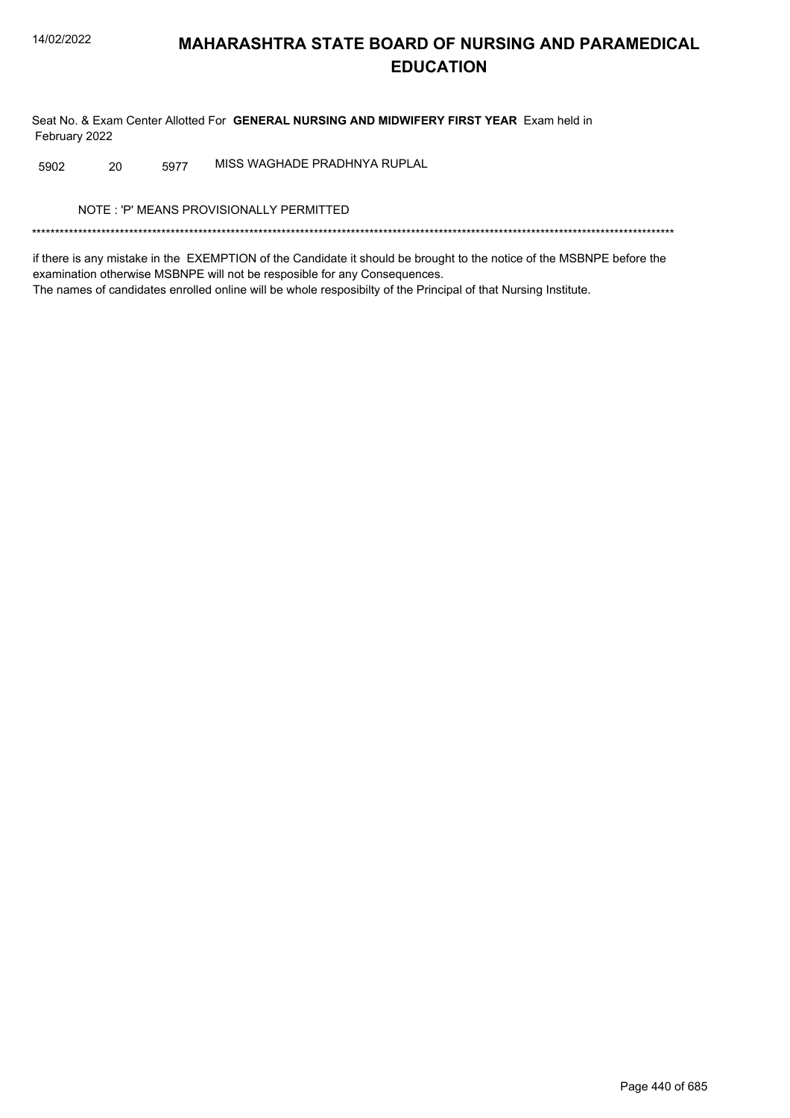Seat No. & Exam Center Allotted For GENERAL NURSING AND MIDWIFERY FIRST YEAR Exam held in February 2022

MISS WAGHADE PRADHNYA RUPLAL 5902 20 5977

NOTE: 'P' MEANS PROVISIONALLY PERMITTED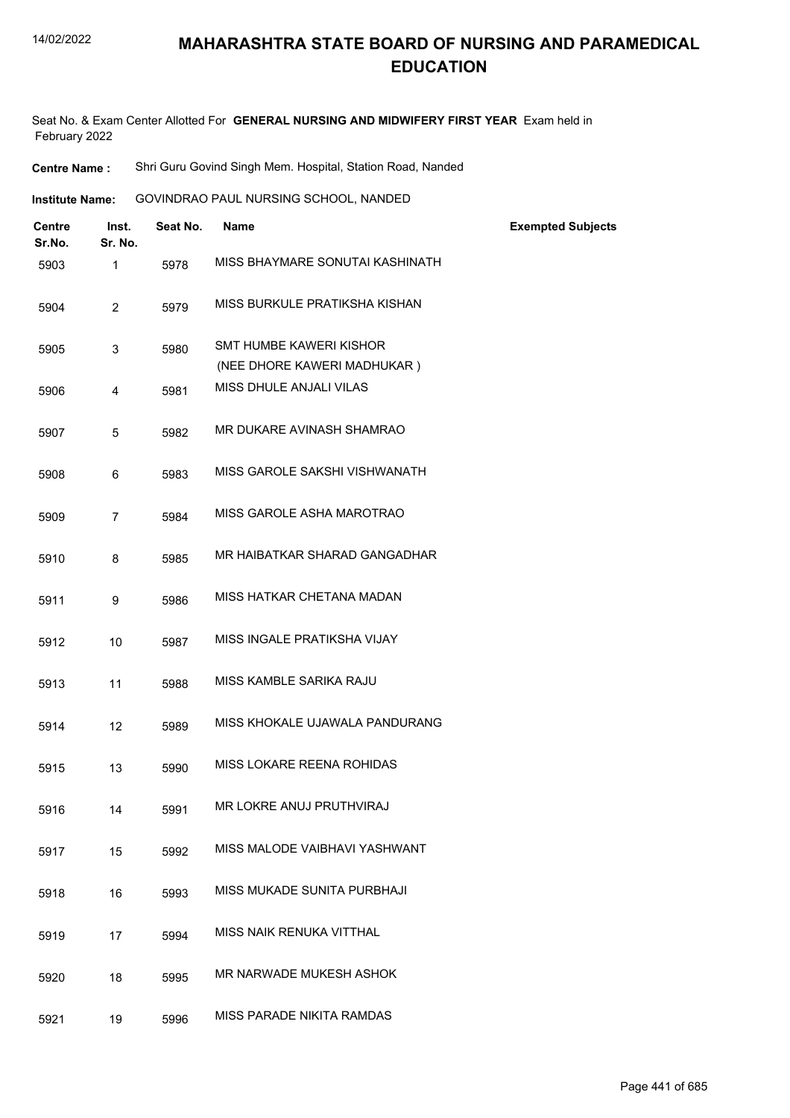- **Centre Name :** Shri Guru Govind Singh Mem. Hospital, Station Road, Nanded
- GOVINDRAO PAUL NURSING SCHOOL, NANDED **Institute Name:**

| <b>Centre</b><br>Sr.No. | Inst.<br>Sr. No. | Seat No. | <b>Name</b>                                                   | <b>Exempted Subjects</b> |
|-------------------------|------------------|----------|---------------------------------------------------------------|--------------------------|
| 5903                    | $\mathbf{1}$     | 5978     | MISS BHAYMARE SONUTAI KASHINATH                               |                          |
| 5904                    | $\overline{c}$   | 5979     | MISS BURKULE PRATIKSHA KISHAN                                 |                          |
| 5905                    | 3                | 5980     | <b>SMT HUMBE KAWERI KISHOR</b><br>(NEE DHORE KAWERI MADHUKAR) |                          |
| 5906                    | 4                | 5981     | MISS DHULE ANJALI VILAS                                       |                          |
| 5907                    | 5                | 5982     | MR DUKARE AVINASH SHAMRAO                                     |                          |
| 5908                    | 6                | 5983     | MISS GAROLE SAKSHI VISHWANATH                                 |                          |
| 5909                    | 7                | 5984     | MISS GAROLE ASHA MAROTRAO                                     |                          |
| 5910                    | 8                | 5985     | MR HAIBATKAR SHARAD GANGADHAR                                 |                          |
| 5911                    | 9                | 5986     | MISS HATKAR CHETANA MADAN                                     |                          |
| 5912                    | 10               | 5987     | MISS INGALE PRATIKSHA VIJAY                                   |                          |
| 5913                    | 11               | 5988     | MISS KAMBLE SARIKA RAJU                                       |                          |
| 5914                    | 12               | 5989     | MISS KHOKALE UJAWALA PANDURANG                                |                          |
| 5915                    | 13               | 5990     | <b>MISS LOKARE REENA ROHIDAS</b>                              |                          |
| 5916                    | 14               | 5991     | MR LOKRE ANUJ PRUTHVIRAJ                                      |                          |
| 5917                    | 15               | 5992     | MISS MALODE VAIBHAVI YASHWANT                                 |                          |
| 5918                    | 16               | 5993     | MISS MUKADE SUNITA PURBHAJI                                   |                          |
| 5919                    | 17               | 5994     | MISS NAIK RENUKA VITTHAL                                      |                          |
| 5920                    | 18               | 5995     | MR NARWADE MUKESH ASHOK                                       |                          |
| 5921                    | 19               | 5996     | MISS PARADE NIKITA RAMDAS                                     |                          |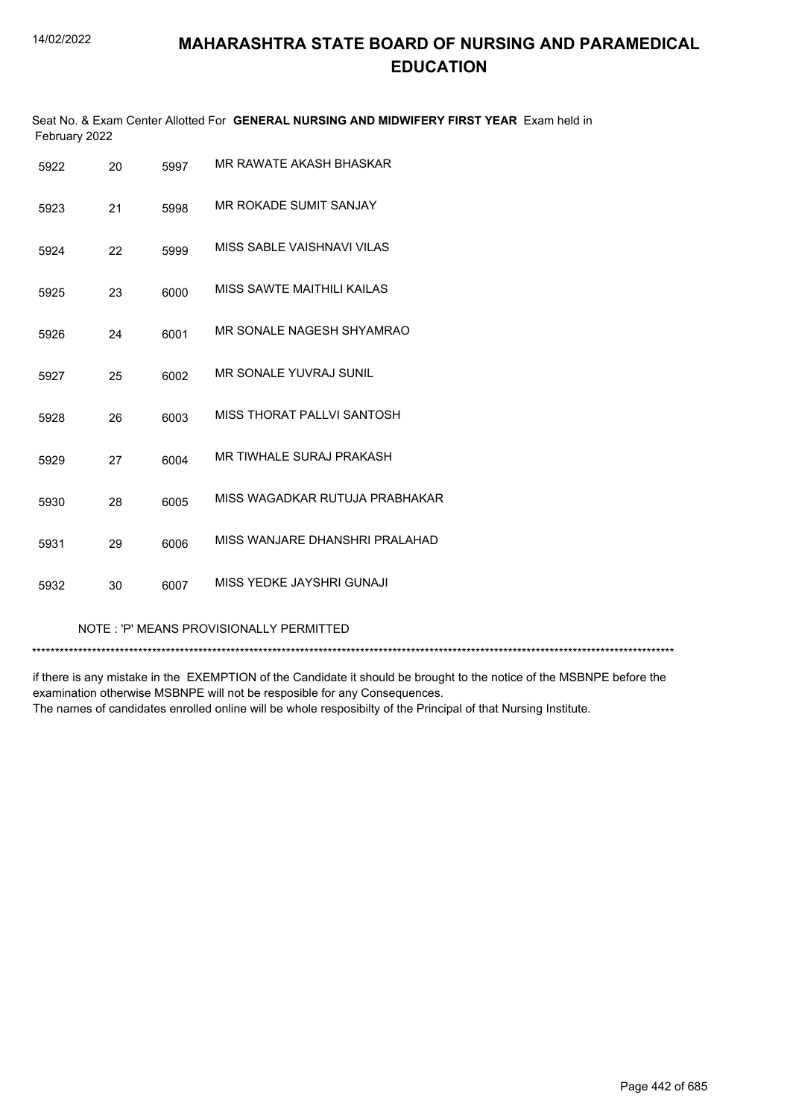|               | Seat No. & Exam Center Allotted For GENERAL NURSING AND MIDWIFERY FIRST YEAR Exam held in |  |
|---------------|-------------------------------------------------------------------------------------------|--|
| February 2022 |                                                                                           |  |

| 5922 | 20 | 5997 | MR RAWATE AKASH BHASKAR         |
|------|----|------|---------------------------------|
| 5923 | 21 | 5998 | MR ROKADE SUMIT SANJAY          |
| 5924 | 22 | 5999 | MISS SABLE VAISHNAVI VILAS      |
| 5925 | 23 | 6000 | MISS SAWTE MAITHILI KAILAS      |
| 5926 | 24 | 6001 | MR SONALE NAGESH SHYAMRAO       |
| 5927 | 25 | 6002 | MR SONALE YUVRAJ SUNIL          |
| 5928 | 26 | 6003 | MISS THORAT PALLVI SANTOSH      |
| 5929 | 27 | 6004 | <b>MR TIWHALE SURAJ PRAKASH</b> |
| 5930 | 28 | 6005 | MISS WAGADKAR RUTUJA PRABHAKAR  |
| 5931 | 29 | 6006 | MISS WANJARE DHANSHRI PRALAHAD  |
| 5932 | 30 | 6007 | MISS YEDKE JAYSHRI GUNAJI       |

#### NOTE : 'P' MEANS PROVISIONALLY PERMITTED

\*\*\*\*\*\*\*\*\*\*\*\*\*\*\*\*\*\*\*\*\*\*\*\*\*\*\*\*\*\*\*\*\*\*\*\*\*\*\*\*\*\*\*\*\*\*\*\*\*\*\*\*\*\*\*\*\*\*\*\*\*\*\*\*\*\*\*\*\*\*\*\*\*\*\*\*\*\*\*\*\*\*\*\*\*\*\*\*\*\*\*\*\*\*\*\*\*\*\*\*\*\*\*\*\*\*\*\*\*\*\*\*\*\*\*\*\*\*\*\*\*\*\*\*\*\*\*\*\*\*\*\*\*\*\*\*\*\*\*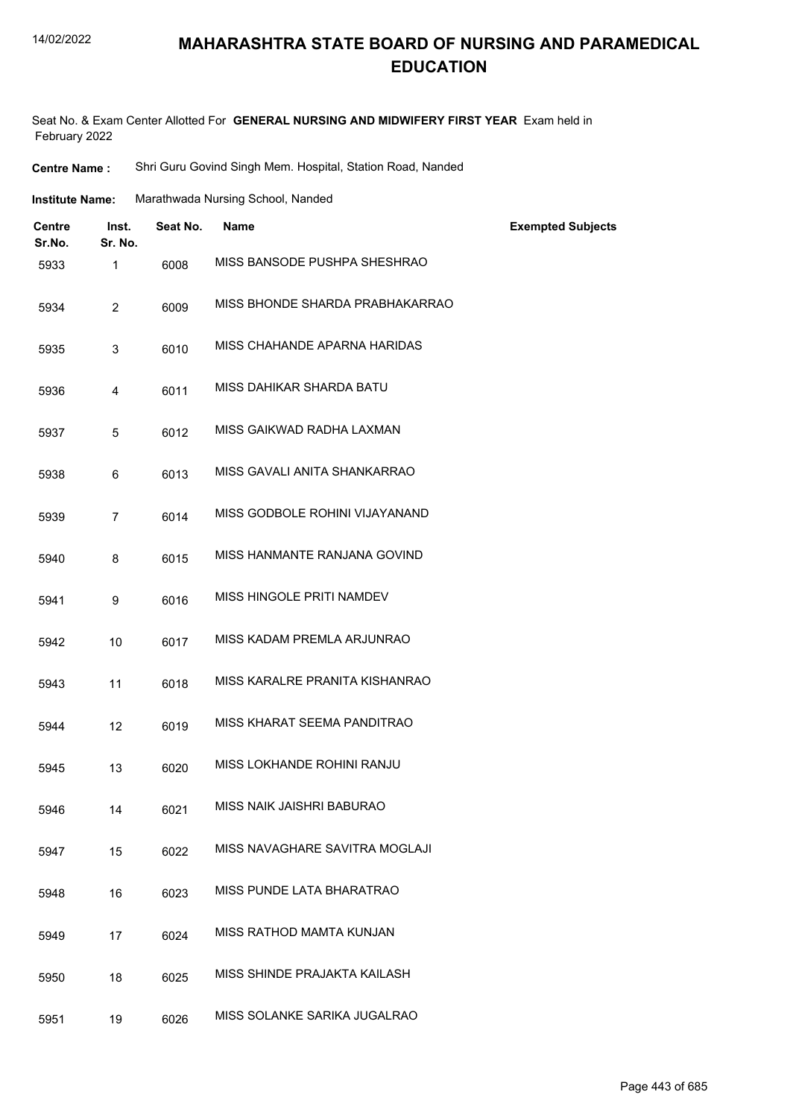## **MAHARASHTRA STATE BOARD OF NURSING AND PARAMEDICAL EDUCATION**

| <b>Centre Name :</b> | Shri Guru Govind Singh Mem. Hospital, Station Road, Nanded |  |  |  |  |
|----------------------|------------------------------------------------------------|--|--|--|--|
|----------------------|------------------------------------------------------------|--|--|--|--|

| <b>Institute Name:</b> | Marathwada Nursing School, Nanded |
|------------------------|-----------------------------------|
|------------------------|-----------------------------------|

| <b>Centre</b><br>Sr.No. | Inst.<br>Sr. No. | Seat No. | <b>Name</b>                     | <b>Exempted Subjects</b> |
|-------------------------|------------------|----------|---------------------------------|--------------------------|
| 5933                    | 1                | 6008     | MISS BANSODE PUSHPA SHESHRAO    |                          |
| 5934                    | $\overline{2}$   | 6009     | MISS BHONDE SHARDA PRABHAKARRAO |                          |
| 5935                    | 3                | 6010     | MISS CHAHANDE APARNA HARIDAS    |                          |
| 5936                    | 4                | 6011     | MISS DAHIKAR SHARDA BATU        |                          |
| 5937                    | 5                | 6012     | MISS GAIKWAD RADHA LAXMAN       |                          |
| 5938                    | 6                | 6013     | MISS GAVALI ANITA SHANKARRAO    |                          |
| 5939                    | $\overline{7}$   | 6014     | MISS GODBOLE ROHINI VIJAYANAND  |                          |
| 5940                    | 8                | 6015     | MISS HANMANTE RANJANA GOVIND    |                          |
| 5941                    | 9                | 6016     | MISS HINGOLE PRITI NAMDEV       |                          |
| 5942                    | 10               | 6017     | MISS KADAM PREMLA ARJUNRAO      |                          |
| 5943                    | 11               | 6018     | MISS KARALRE PRANITA KISHANRAO  |                          |
| 5944                    | 12               | 6019     | MISS KHARAT SEEMA PANDITRAO     |                          |
| 5945                    | 13               | 6020     | MISS LOKHANDE ROHINI RANJU      |                          |
| 5946                    | 14               | 6021     | MISS NAIK JAISHRI BABURAO       |                          |
| 5947                    | 15               | 6022     | MISS NAVAGHARE SAVITRA MOGLAJI  |                          |
| 5948                    | 16               | 6023     | MISS PUNDE LATA BHARATRAO       |                          |
| 5949                    | 17               | 6024     | MISS RATHOD MAMTA KUNJAN        |                          |
| 5950                    | 18               | 6025     | MISS SHINDE PRAJAKTA KAILASH    |                          |
| 5951                    | 19               | 6026     | MISS SOLANKE SARIKA JUGALRAO    |                          |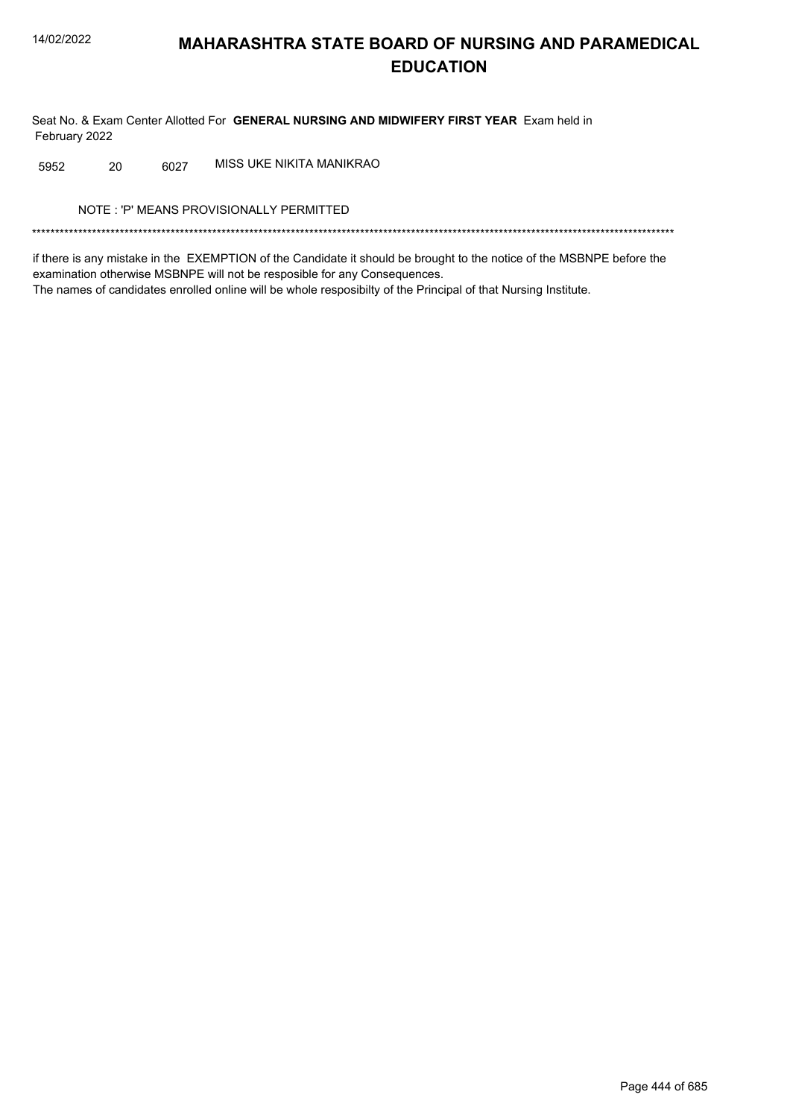Seat No. & Exam Center Allotted For GENERAL NURSING AND MIDWIFERY FIRST YEAR Exam held in February 2022

MISS UKE NIKITA MANIKRAO 5952 20 6027

NOTE: 'P' MEANS PROVISIONALLY PERMITTED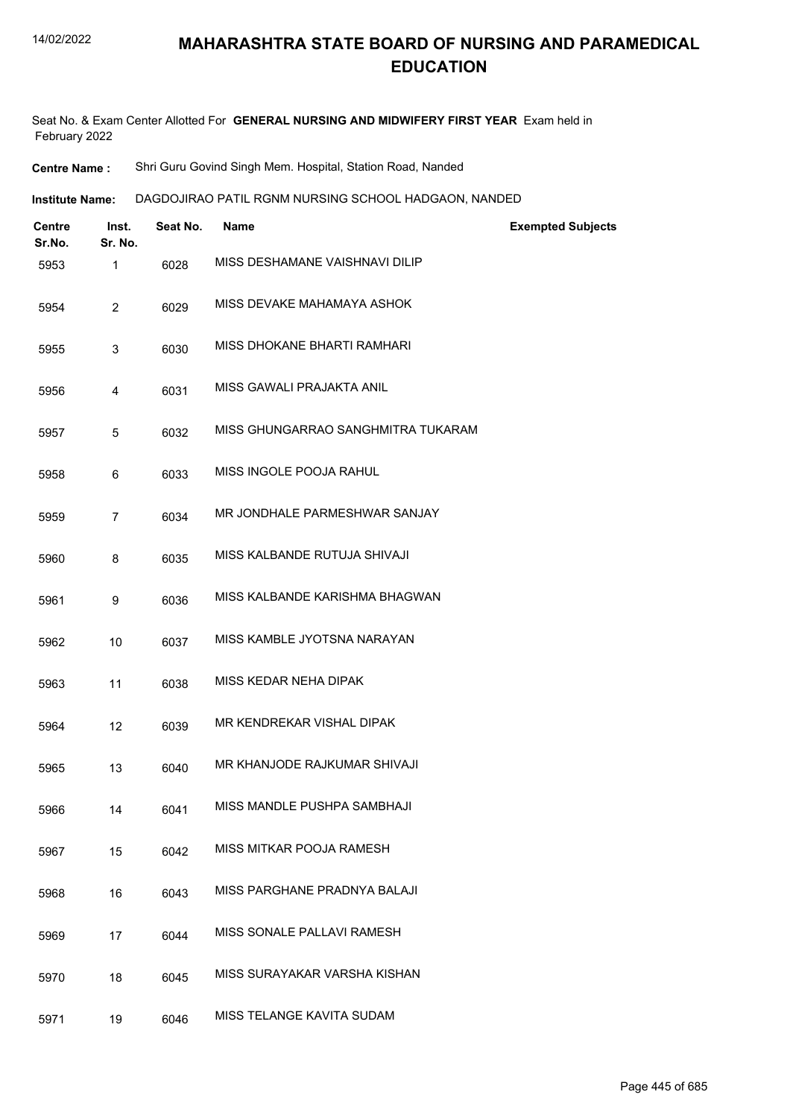Seat No. & Exam Center Allotted For **GENERAL NURSING AND MIDWIFERY FIRST YEAR** Exam held in February 2022

**Centre Name :** Shri Guru Govind Singh Mem. Hospital, Station Road, Nanded

**Institute Name: DAGDOJIRAO PATIL RGNM NURSING SCHOOL HADGAON, NANDED** 

| <b>Centre</b><br>Sr.No. | Inst.<br>Sr. No. | Seat No. | <b>Name</b>                        | <b>Exempted Subjects</b> |
|-------------------------|------------------|----------|------------------------------------|--------------------------|
| 5953                    | 1                | 6028     | MISS DESHAMANE VAISHNAVI DILIP     |                          |
| 5954                    | 2                | 6029     | MISS DEVAKE MAHAMAYA ASHOK         |                          |
| 5955                    | 3                | 6030     | MISS DHOKANE BHARTI RAMHARI        |                          |
| 5956                    | 4                | 6031     | MISS GAWALI PRAJAKTA ANIL          |                          |
| 5957                    | 5                | 6032     | MISS GHUNGARRAO SANGHMITRA TUKARAM |                          |
| 5958                    | 6                | 6033     | MISS INGOLE POOJA RAHUL            |                          |
| 5959                    | $\overline{7}$   | 6034     | MR JONDHALE PARMESHWAR SANJAY      |                          |
| 5960                    | 8                | 6035     | MISS KALBANDE RUTUJA SHIVAJI       |                          |
| 5961                    | 9                | 6036     | MISS KALBANDE KARISHMA BHAGWAN     |                          |
| 5962                    | 10               | 6037     | MISS KAMBLE JYOTSNA NARAYAN        |                          |
| 5963                    | 11               | 6038     | MISS KEDAR NEHA DIPAK              |                          |
| 5964                    | 12               | 6039     | MR KENDREKAR VISHAL DIPAK          |                          |
| 5965                    | 13               | 6040     | MR KHANJODE RAJKUMAR SHIVAJI       |                          |
| 5966                    | 14               | 6041     | MISS MANDLE PUSHPA SAMBHAJI        |                          |
| 5967                    | 15               | 6042     | MISS MITKAR POOJA RAMESH           |                          |
| 5968                    | 16               | 6043     | MISS PARGHANE PRADNYA BALAJI       |                          |
| 5969                    | 17               | 6044     | MISS SONALE PALLAVI RAMESH         |                          |
| 5970                    | 18               | 6045     | MISS SURAYAKAR VARSHA KISHAN       |                          |
| 5971                    | 19               | 6046     | MISS TELANGE KAVITA SUDAM          |                          |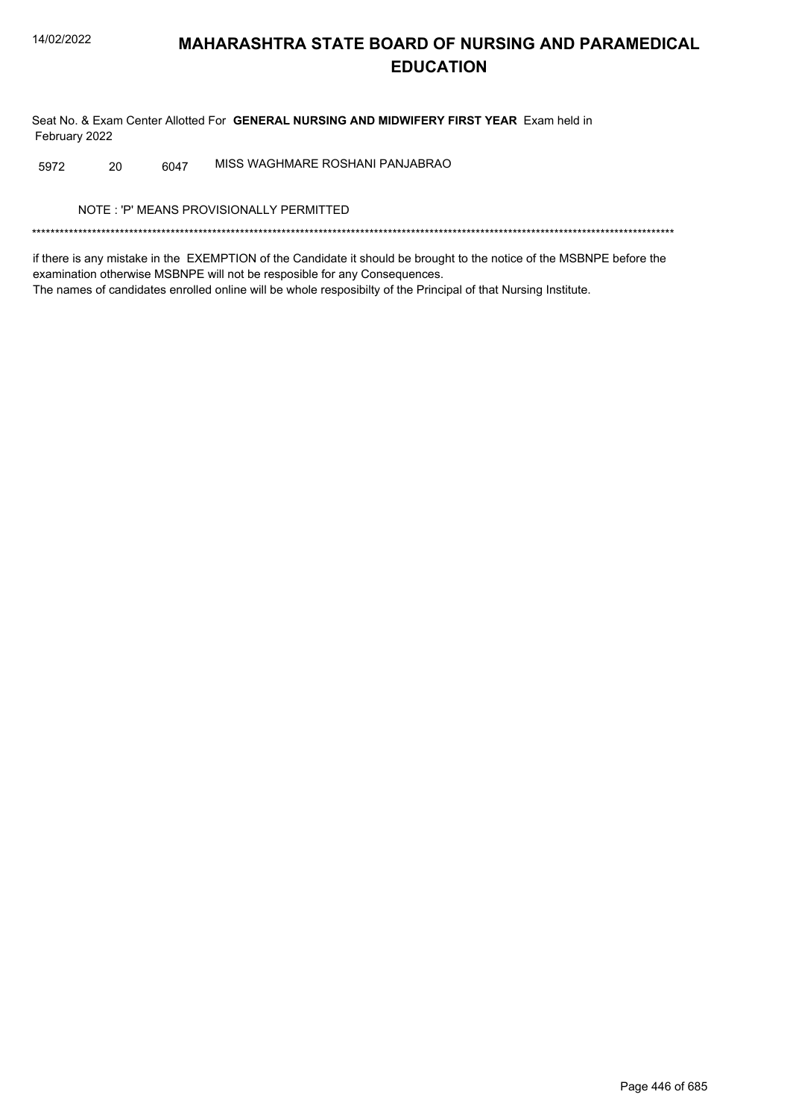Seat No. & Exam Center Allotted For GENERAL NURSING AND MIDWIFERY FIRST YEAR Exam held in February 2022

MISS WAGHMARE ROSHANI PANJABRAO 20 6047 5972

NOTE: 'P' MEANS PROVISIONALLY PERMITTED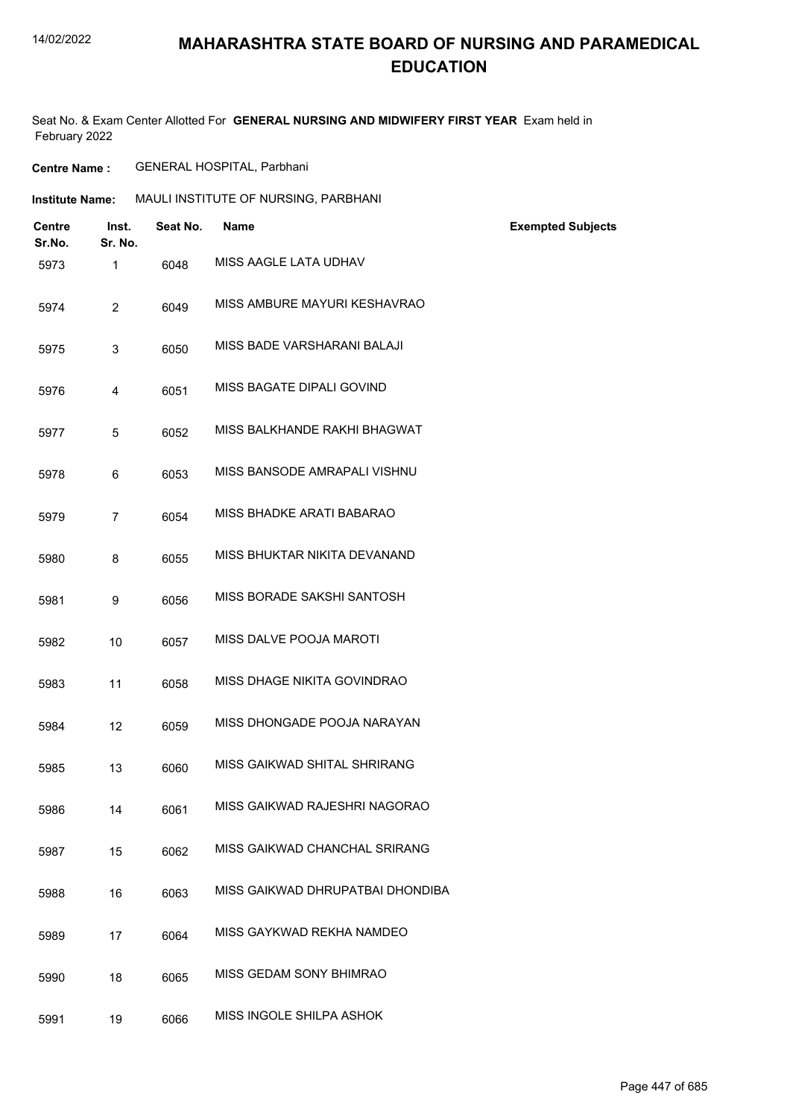### **MAHARASHTRA STATE BOARD OF NURSING AND PARAMEDICAL EDUCATION**

| <b>Centre Name :</b> | <b>GENERAL HOSPITAL, Parbhani</b> |
|----------------------|-----------------------------------|
|                      |                                   |

| MAULI INSTITUTE OF NURSING, PARBHANI<br><b>Institute Name:</b> |          |                                  |                          |
|----------------------------------------------------------------|----------|----------------------------------|--------------------------|
| <b>Centre</b><br>Inst.<br>Sr. No.<br>Sr.No.                    | Seat No. | <b>Name</b>                      | <b>Exempted Subjects</b> |
| $\mathbf{1}$<br>5973                                           | 6048     | MISS AAGLE LATA UDHAV            |                          |
| $\overline{2}$<br>5974                                         | 6049     | MISS AMBURE MAYURI KESHAVRAO     |                          |
| 3<br>5975                                                      | 6050     | MISS BADE VARSHARANI BALAJI      |                          |
| $\overline{4}$<br>5976                                         | 6051     | MISS BAGATE DIPALI GOVIND        |                          |
| 5<br>5977                                                      | 6052     | MISS BALKHANDE RAKHI BHAGWAT     |                          |
| 6<br>5978                                                      | 6053     | MISS BANSODE AMRAPALI VISHNU     |                          |
| $\overline{7}$<br>5979                                         | 6054     | MISS BHADKE ARATI BABARAO        |                          |
| 8<br>5980                                                      | 6055     | MISS BHUKTAR NIKITA DEVANAND     |                          |
| 5981<br>9                                                      | 6056     | MISS BORADE SAKSHI SANTOSH       |                          |
| 5982<br>10                                                     | 6057     | MISS DALVE POOJA MAROTI          |                          |
| 11<br>5983                                                     | 6058     | MISS DHAGE NIKITA GOVINDRAO      |                          |
| 12<br>5984                                                     | 6059     | MISS DHONGADE POOJA NARAYAN      |                          |
| 13<br>5985                                                     | 6060     | MISS GAIKWAD SHITAL SHRIRANG     |                          |
| 5986<br>14                                                     | 6061     | MISS GAIKWAD RAJESHRI NAGORAO    |                          |
| 15<br>5987                                                     | 6062     | MISS GAIKWAD CHANCHAL SRIRANG    |                          |
| 16<br>5988                                                     | 6063     | MISS GAIKWAD DHRUPATBAI DHONDIBA |                          |
| 17<br>5989                                                     | 6064     | MISS GAYKWAD REKHA NAMDEO        |                          |
| 18<br>5990                                                     | 6065     | MISS GEDAM SONY BHIMRAO          |                          |
| 19<br>5991                                                     | 6066     | MISS INGOLE SHILPA ASHOK         |                          |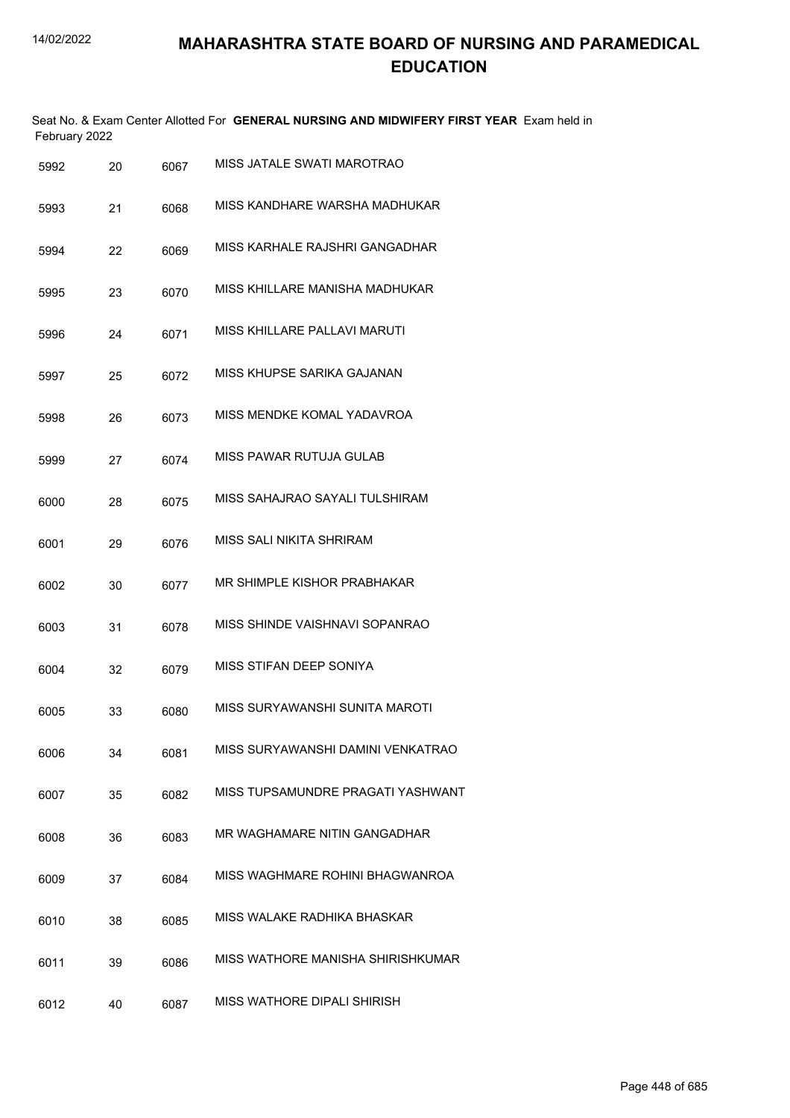| February 2022 |    |      |                                |
|---------------|----|------|--------------------------------|
| 5992          | 20 | 6067 | MISS JATALE SWATI MAROTRAO     |
| 5993          | 21 | 6068 | MISS KANDHARE WARSHA MADHUKAR  |
| 5994          | 22 | 6069 | MISS KARHALE RAJSHRI GANGADHAR |
| 5995          | 23 | 6070 | MISS KHILLARE MANISHA MADHUKAR |
| 5996          | 24 | 6071 | MISS KHILLARE PALLAVI MARUTI   |

| 5997 | 6072 | MISS KHUPSE SARIKA GAJANAN |
|------|------|----------------------------|
|      |      |                            |

- 5998 26 6073 MISS MENDKE KOMAL YADAVROA
- 5999 27 6074 MISS PAWAR RUTUJA GULAB
- 6000 28 6075 MISS SAHAJRAO SAYALI TULSHIRAM
- 6001 29 6076 MISS SALI NIKITA SHRIRAM
- 6002 30 6077 MR SHIMPLE KISHOR PRABHAKAR
- 6003 31 6078 MISS SHINDE VAISHNAVI SOPANRAO
- 6004 32 6079 MISS STIFAN DEEP SONIYA
- 6005 33 6080 MISS SURYAWANSHI SUNITA MAROTI
- 6006 34 6081 MISS SURYAWANSHI DAMINI VENKATRAO
- 6007 35 6082 MISS TUPSAMUNDRE PRAGATI YASHWANT
- 6008 36 6083 MR WAGHAMARE NITIN GANGADHAR
- 6009 37 6084 MISS WAGHMARE ROHINI BHAGWANROA
- 6010 38 6085 MISS WALAKE RADHIKA BHASKAR
- 6011 39 6086 MISS WATHORE MANISHA SHIRISHKUMAR
- 6012 40 6087 MISS WATHORE DIPALI SHIRISH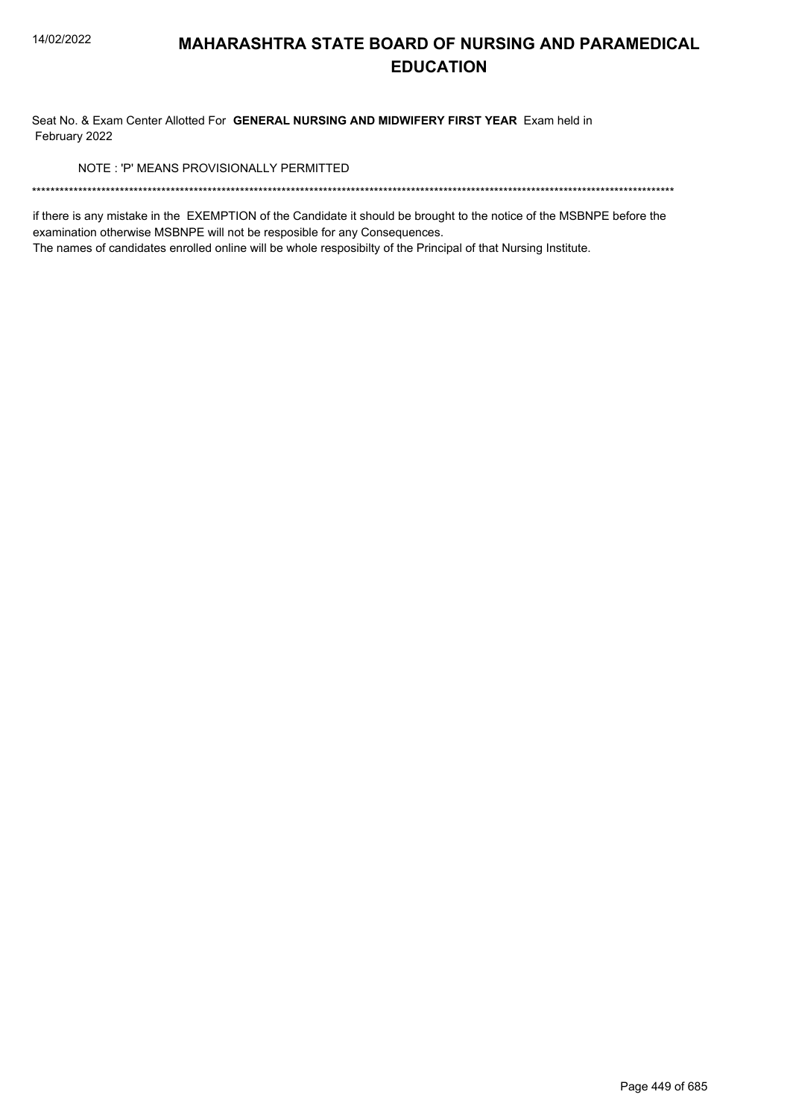Seat No. & Exam Center Allotted For GENERAL NURSING AND MIDWIFERY FIRST YEAR Exam held in February 2022

NOTE: 'P' MEANS PROVISIONALLY PERMITTED

if there is any mistake in the EXEMPTION of the Candidate it should be brought to the notice of the MSBNPE before the examination otherwise MSBNPE will not be resposible for any Consequences.

The names of candidates enrolled online will be whole resposibilty of the Principal of that Nursing Institute.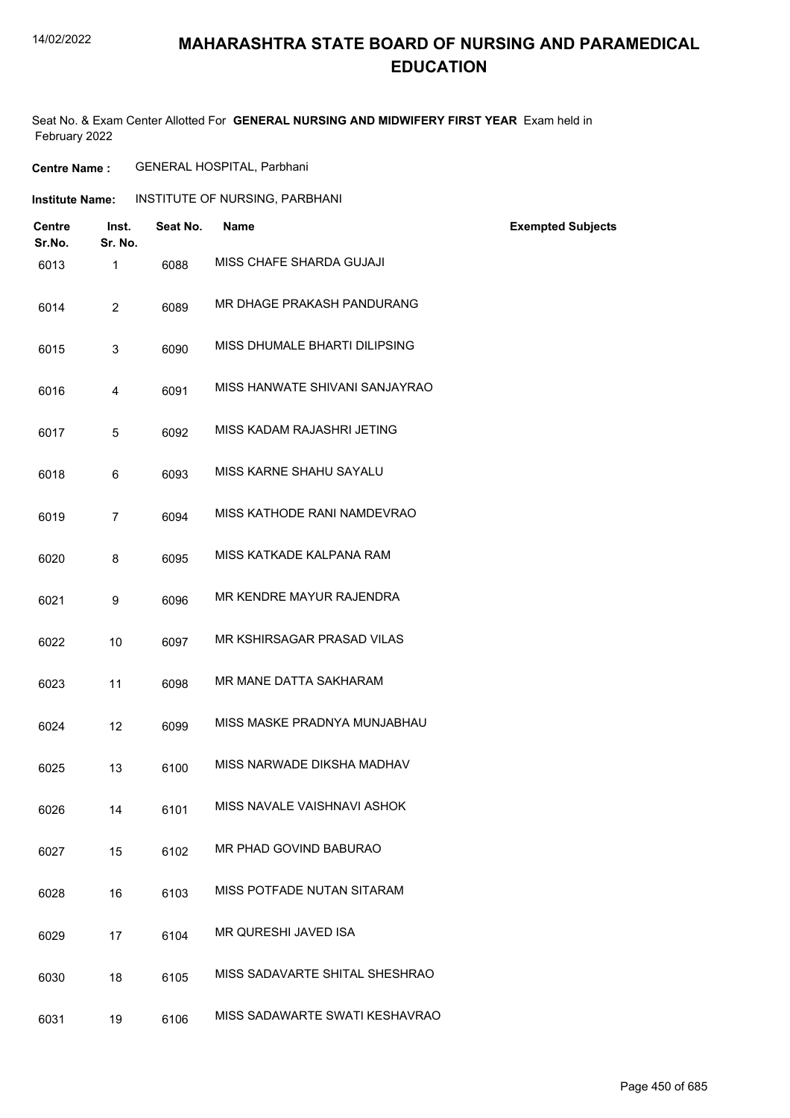### **MAHARASHTRA STATE BOARD OF NURSING AND PARAMEDICAL EDUCATION**

| <b>Centre Name:</b>     |                  |          | <b>GENERAL HOSPITAL, Parbhani</b> |                          |
|-------------------------|------------------|----------|-----------------------------------|--------------------------|
| <b>Institute Name:</b>  |                  |          | INSTITUTE OF NURSING, PARBHANI    |                          |
| <b>Centre</b><br>Sr.No. | Inst.<br>Sr. No. | Seat No. | <b>Name</b>                       | <b>Exempted Subjects</b> |
| 6013                    | $\mathbf{1}$     | 6088     | MISS CHAFE SHARDA GUJAJI          |                          |
| 6014                    | $\overline{2}$   | 6089     | MR DHAGE PRAKASH PANDURANG        |                          |
| 6015                    | 3                | 6090     | MISS DHUMALE BHARTI DILIPSING     |                          |
| 6016                    | 4                | 6091     | MISS HANWATE SHIVANI SANJAYRAO    |                          |
| 6017                    | 5                | 6092     | MISS KADAM RAJASHRI JETING        |                          |
| 6018                    | 6                | 6093     | MISS KARNE SHAHU SAYALU           |                          |
| 6019                    | $\overline{7}$   | 6094     | MISS KATHODE RANI NAMDEVRAO       |                          |
| 6020                    | 8                | 6095     | MISS KATKADE KALPANA RAM          |                          |
| 6021                    | 9                | 6096     | MR KENDRE MAYUR RAJENDRA          |                          |
| 6022                    | 10               | 6097     | MR KSHIRSAGAR PRASAD VILAS        |                          |
| 6023                    | 11               | 6098     | MR MANE DATTA SAKHARAM            |                          |
| 6024                    | 12               | 6099     | MISS MASKE PRADNYA MUNJABHAU      |                          |
|                         |                  |          |                                   |                          |

| 6025 | 6100 | MISS NARWADE DIKSHA MADHAV |
|------|------|----------------------------|
|      |      |                            |

- 6026 14 6101 MISS NAVALE VAISHNAVI ASHOK
- 6027 15 6102 MR PHAD GOVIND BABURAO
- 6028 16 6103 MISS POTFADE NUTAN SITARAM
- 6029 17 6104 MR QURESHI JAVED ISA
- 6030 18 6105 MISS SADAVARTE SHITAL SHESHRAO
- 6031 19 6106 MISS SADAWARTE SWATI KESHAVRAO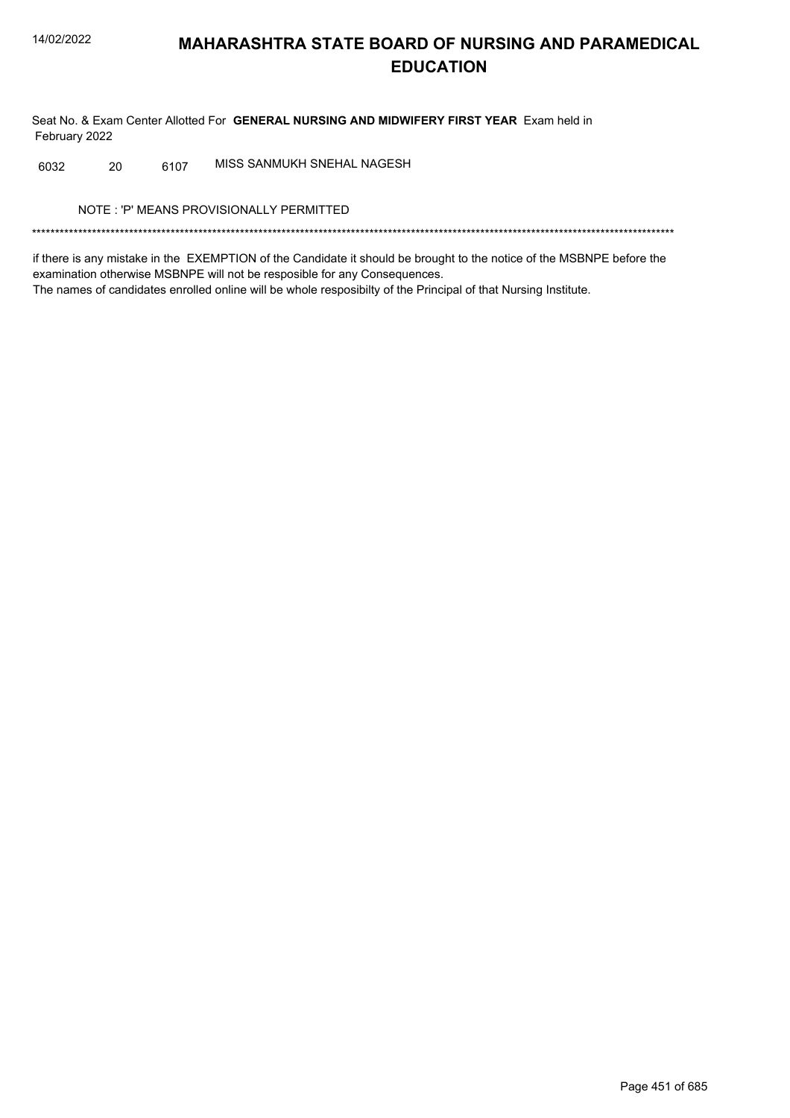Seat No. & Exam Center Allotted For GENERAL NURSING AND MIDWIFERY FIRST YEAR Exam held in February 2022

MISS SANMUKH SNEHAL NAGESH 6032 20 6107

NOTE: 'P' MEANS PROVISIONALLY PERMITTED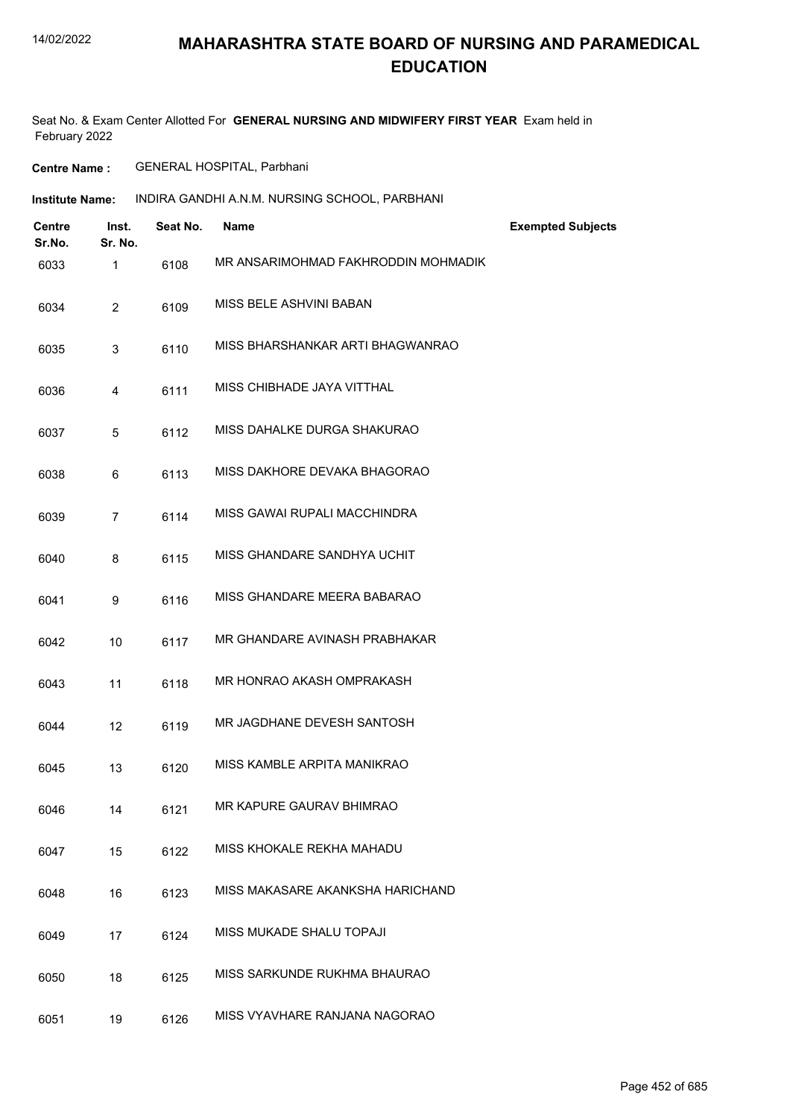### **MAHARASHTRA STATE BOARD OF NURSING AND PARAMEDICAL EDUCATION**

Seat No. & Exam Center Allotted For **GENERAL NURSING AND MIDWIFERY FIRST YEAR** Exam held in February 2022

**Centre Name :** GENERAL HOSPITAL, Parbhani

| Institute Name: | INDIRA GANDHI A.N.M. NURSING SCHOOL. PARBHANI |
|-----------------|-----------------------------------------------|
|-----------------|-----------------------------------------------|

| <b>Centre</b><br>Sr.No. | Inst.<br>Sr. No. | Seat No. | <b>Name</b>                         | <b>Exempted Subjects</b> |
|-------------------------|------------------|----------|-------------------------------------|--------------------------|
| 6033                    | 1                | 6108     | MR ANSARIMOHMAD FAKHRODDIN MOHMADIK |                          |
| 6034                    | $\overline{2}$   | 6109     | MISS BELE ASHVINI BABAN             |                          |
| 6035                    | 3                | 6110     | MISS BHARSHANKAR ARTI BHAGWANRAO    |                          |
| 6036                    | 4                | 6111     | MISS CHIBHADE JAYA VITTHAL          |                          |
| 6037                    | 5                | 6112     | MISS DAHALKE DURGA SHAKURAO         |                          |
| 6038                    | 6                | 6113     | MISS DAKHORE DEVAKA BHAGORAO        |                          |
| 6039                    | $\overline{7}$   | 6114     | MISS GAWAI RUPALI MACCHINDRA        |                          |
| 6040                    | 8                | 6115     | MISS GHANDARE SANDHYA UCHIT         |                          |
| 6041                    | 9                | 6116     | MISS GHANDARE MEERA BABARAO         |                          |
| 6042                    | 10               | 6117     | MR GHANDARE AVINASH PRABHAKAR       |                          |
| 6043                    | 11               | 6118     | MR HONRAO AKASH OMPRAKASH           |                          |
| 6044                    | 12               | 6119     | MR JAGDHANE DEVESH SANTOSH          |                          |
| 6045                    | 13               | 6120     | MISS KAMBLE ARPITA MANIKRAO         |                          |
| 6046                    | 14               | 6121     | MR KAPURE GAURAV BHIMRAO            |                          |
| 6047                    | 15               | 6122     | MISS KHOKALE REKHA MAHADU           |                          |
| 6048                    | 16               | 6123     | MISS MAKASARE AKANKSHA HARICHAND    |                          |
| 6049                    | 17               | 6124     | MISS MUKADE SHALU TOPAJI            |                          |
| 6050                    | 18               | 6125     | MISS SARKUNDE RUKHMA BHAURAO        |                          |
| 6051                    | 19               | 6126     | MISS VYAVHARE RANJANA NAGORAO       |                          |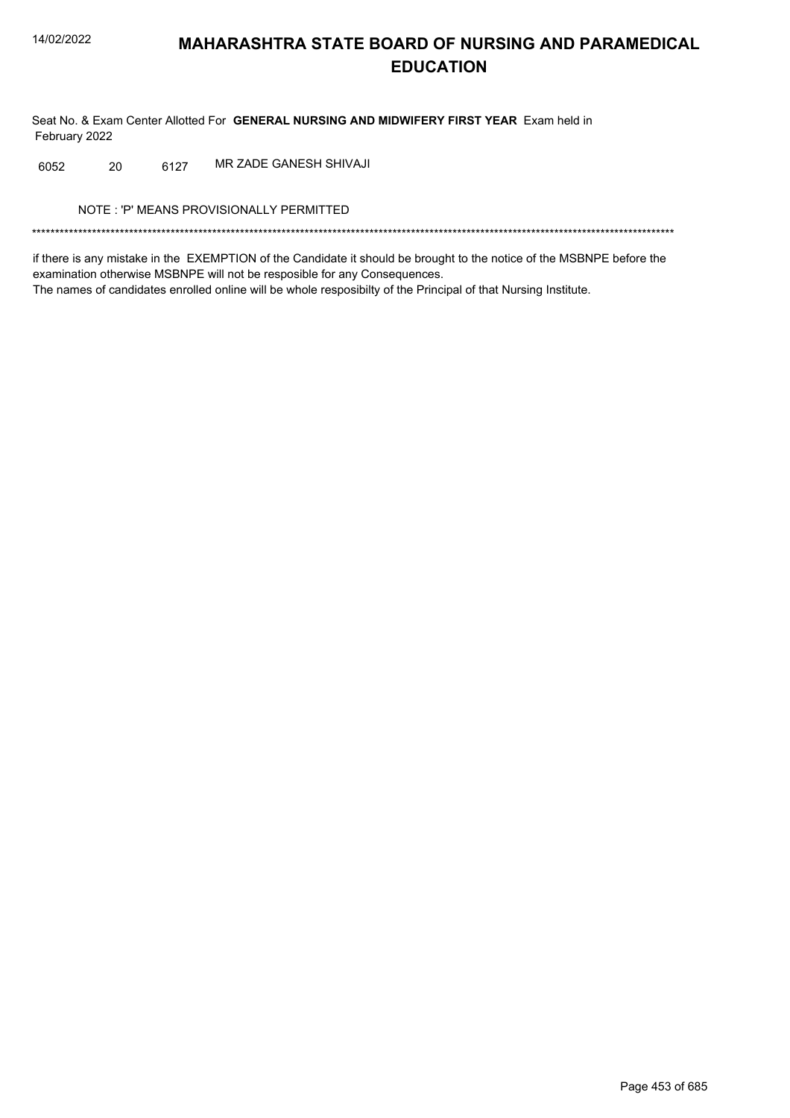Seat No. & Exam Center Allotted For GENERAL NURSING AND MIDWIFERY FIRST YEAR Exam held in February 2022

6127 MR ZADE GANESH SHIVAJI 6052 20

NOTE: 'P' MEANS PROVISIONALLY PERMITTED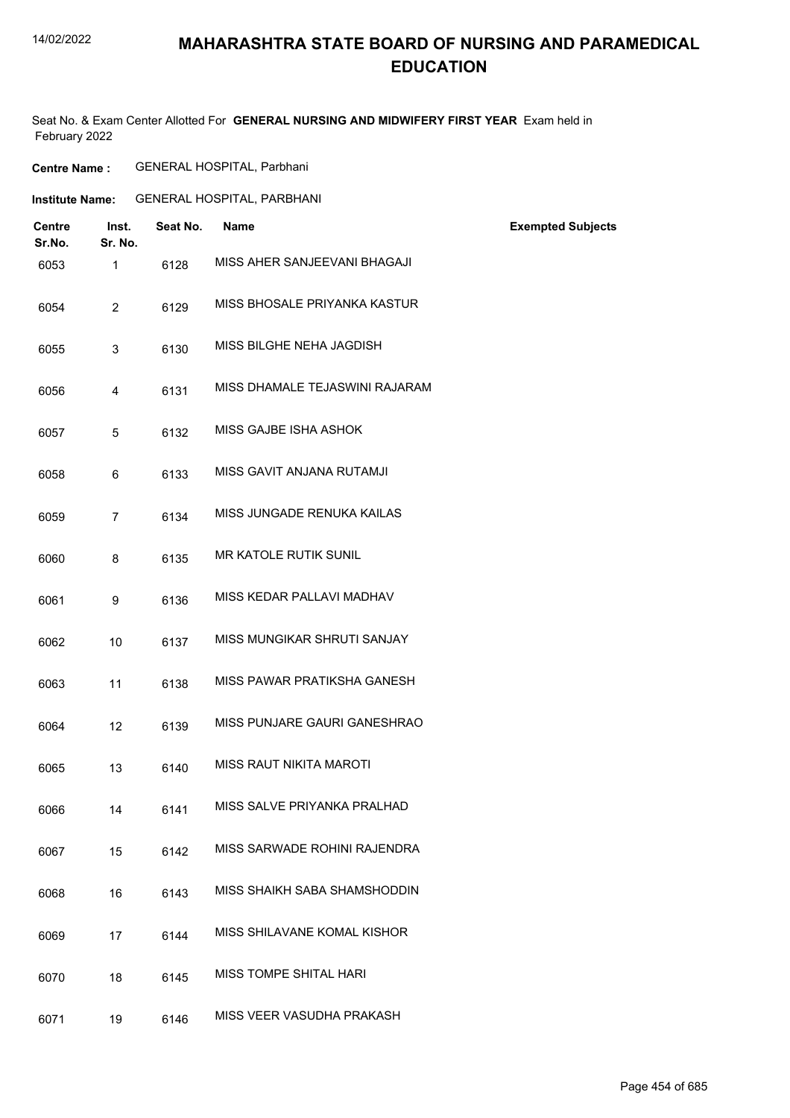## **MAHARASHTRA STATE BOARD OF NURSING AND PARAMEDICAL EDUCATION**

| <b>Centre</b><br>Sr.No. | Inst.<br>Sr. No. | Seat No. | <b>Name</b>                    | <b>Exempted Subjects</b> |
|-------------------------|------------------|----------|--------------------------------|--------------------------|
| 6053                    | 1                | 6128     | MISS AHER SANJEEVANI BHAGAJI   |                          |
| 6054                    | $\overline{2}$   | 6129     | MISS BHOSALE PRIYANKA KASTUR   |                          |
| 6055                    | 3                | 6130     | MISS BILGHE NEHA JAGDISH       |                          |
| 6056                    | 4                | 6131     | MISS DHAMALE TEJASWINI RAJARAM |                          |
| 6057                    | 5                | 6132     | MISS GAJBE ISHA ASHOK          |                          |
| 6058                    | 6                | 6133     | MISS GAVIT ANJANA RUTAMJI      |                          |
| 6059                    | $\overline{7}$   | 6134     | MISS JUNGADE RENUKA KAILAS     |                          |
| 6060                    | 8                | 6135     | MR KATOLE RUTIK SUNIL          |                          |
| 6061                    | 9                | 6136     | MISS KEDAR PALLAVI MADHAV      |                          |
| 6062                    | 10               | 6137     | MISS MUNGIKAR SHRUTI SANJAY    |                          |
| 6063                    | 11               | 6138     | MISS PAWAR PRATIKSHA GANESH    |                          |
| 6064                    | 12               | 6139     | MISS PUNJARE GAURI GANESHRAO   |                          |
| 6065                    | 13               | 6140     | MISS RAUT NIKITA MAROTI        |                          |
| 6066                    | 14               | 6141     | MISS SALVE PRIYANKA PRALHAD    |                          |
| 6067                    | 15               | 6142     | MISS SARWADE ROHINI RAJENDRA   |                          |
| 6068                    | 16               | 6143     | MISS SHAIKH SABA SHAMSHODDIN   |                          |
| 6069                    | 17               | 6144     | MISS SHILAVANE KOMAL KISHOR    |                          |
| 6070                    | 18               | 6145     | MISS TOMPE SHITAL HARI         |                          |
| 6071                    | 19               | 6146     | MISS VEER VASUDHA PRAKASH      |                          |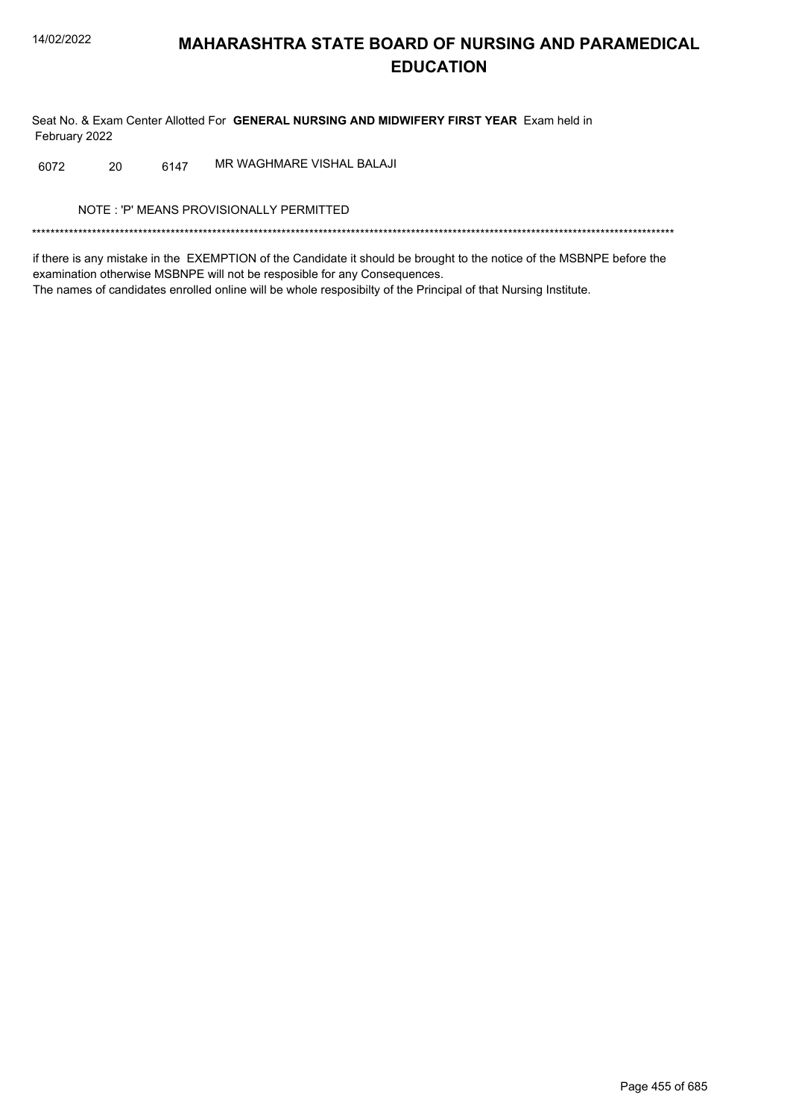Seat No. & Exam Center Allotted For GENERAL NURSING AND MIDWIFERY FIRST YEAR Exam held in February 2022

6147 MR WAGHMARE VISHAL BALAJI 6072 20

NOTE: 'P' MEANS PROVISIONALLY PERMITTED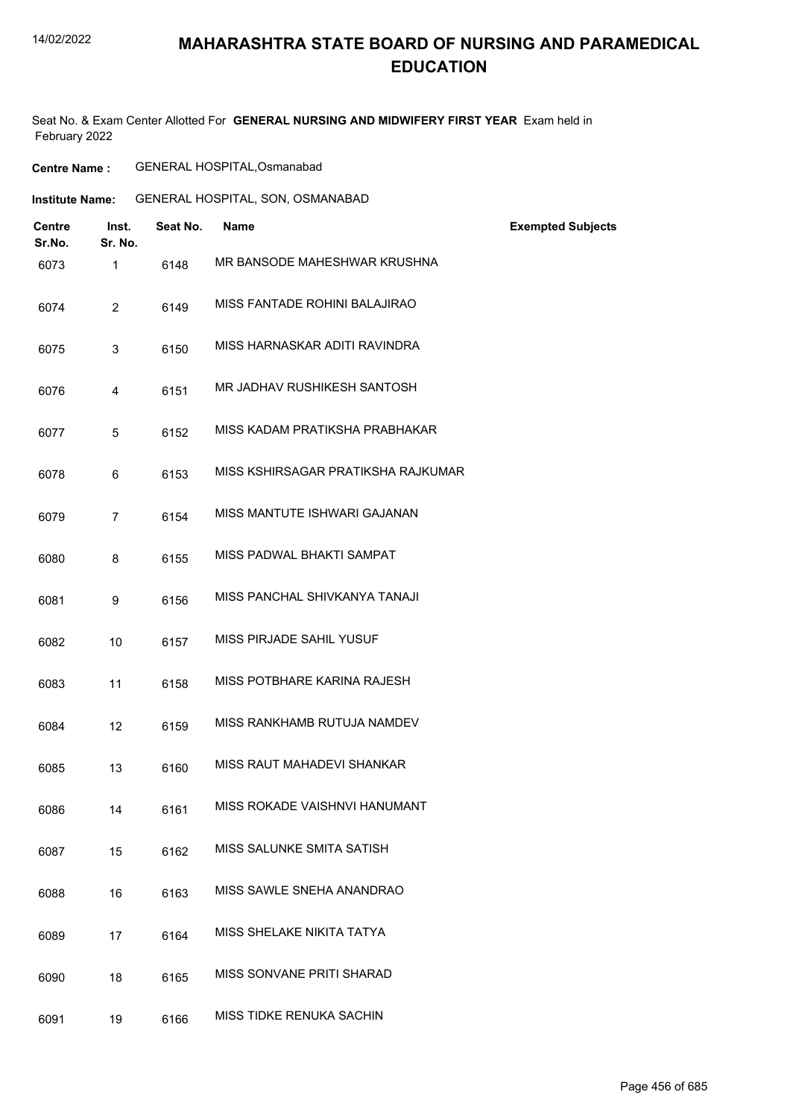### **MAHARASHTRA STATE BOARD OF NURSING AND PARAMEDICAL EDUCATION**

| <b>Centre Name :</b> | GENERAL HOSPITAL, Osmanabad |
|----------------------|-----------------------------|
|----------------------|-----------------------------|

| Institute Name: |  |  |  | GENERAL HOSPITAL, SON, OSMANABAD |
|-----------------|--|--|--|----------------------------------|
|-----------------|--|--|--|----------------------------------|

| <b>Centre</b><br>Sr.No. | Inst.<br>Sr. No. | Seat No. | <b>Name</b>                        | <b>Exempted Subjects</b> |
|-------------------------|------------------|----------|------------------------------------|--------------------------|
| 6073                    | $\mathbf{1}$     | 6148     | MR BANSODE MAHESHWAR KRUSHNA       |                          |
| 6074                    | $\overline{2}$   | 6149     | MISS FANTADE ROHINI BALAJIRAO      |                          |
| 6075                    | 3                | 6150     | MISS HARNASKAR ADITI RAVINDRA      |                          |
| 6076                    | 4                | 6151     | MR JADHAV RUSHIKESH SANTOSH        |                          |
| 6077                    | 5                | 6152     | MISS KADAM PRATIKSHA PRABHAKAR     |                          |
| 6078                    | 6                | 6153     | MISS KSHIRSAGAR PRATIKSHA RAJKUMAR |                          |
| 6079                    | $\overline{7}$   | 6154     | MISS MANTUTE ISHWARI GAJANAN       |                          |
| 6080                    | 8                | 6155     | MISS PADWAL BHAKTI SAMPAT          |                          |
| 6081                    | 9                | 6156     | MISS PANCHAL SHIVKANYA TANAJI      |                          |
| 6082                    | 10               | 6157     | MISS PIRJADE SAHIL YUSUF           |                          |
| 6083                    | 11               | 6158     | MISS POTBHARE KARINA RAJESH        |                          |
| 6084                    | 12               | 6159     | MISS RANKHAMB RUTUJA NAMDEV        |                          |
| 6085                    | 13               | 6160     | MISS RAUT MAHADEVI SHANKAR         |                          |
| 6086                    | 14               | 6161     | MISS ROKADE VAISHNVI HANUMANT      |                          |
| 6087                    | 15               | 6162     | MISS SALUNKE SMITA SATISH          |                          |
| 6088                    | 16               | 6163     | MISS SAWLE SNEHA ANANDRAO          |                          |
| 6089                    | 17               | 6164     | MISS SHELAKE NIKITA TATYA          |                          |
| 6090                    | 18               | 6165     | MISS SONVANE PRITI SHARAD          |                          |
| 6091                    | 19               | 6166     | MISS TIDKE RENUKA SACHIN           |                          |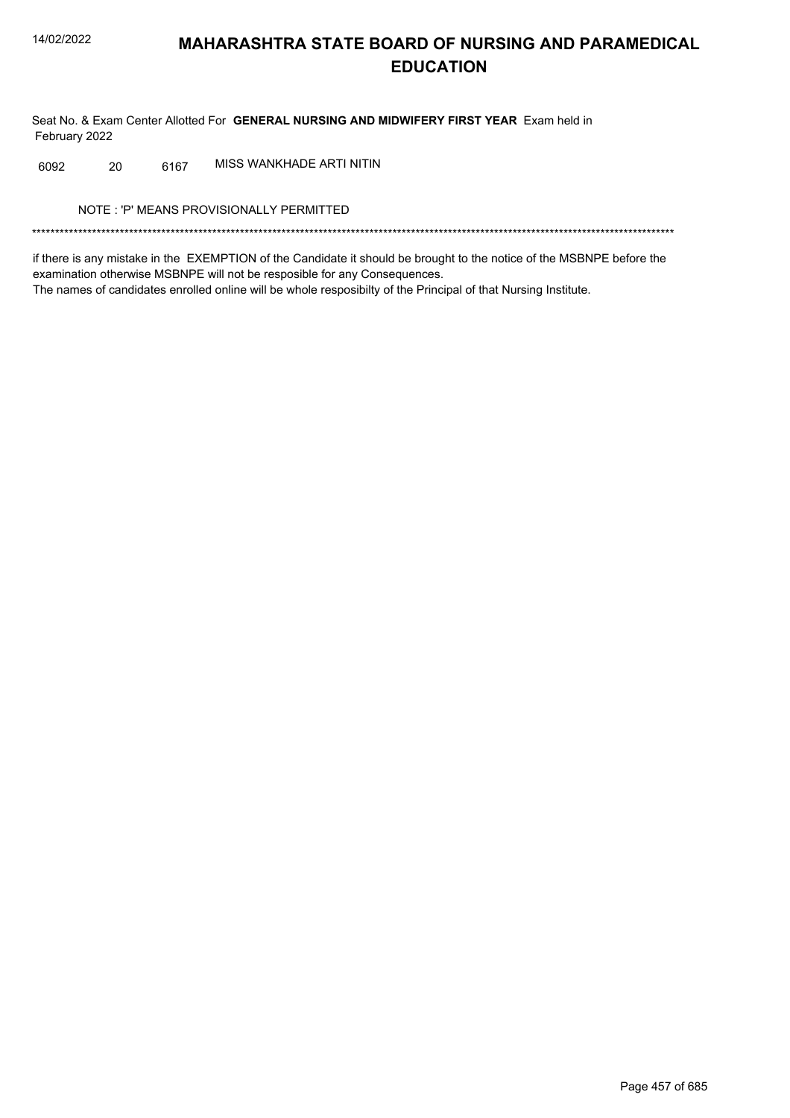Seat No. & Exam Center Allotted For GENERAL NURSING AND MIDWIFERY FIRST YEAR Exam held in February 2022

MISS WANKHADE ARTI NITIN 6092 20 6167

NOTE: 'P' MEANS PROVISIONALLY PERMITTED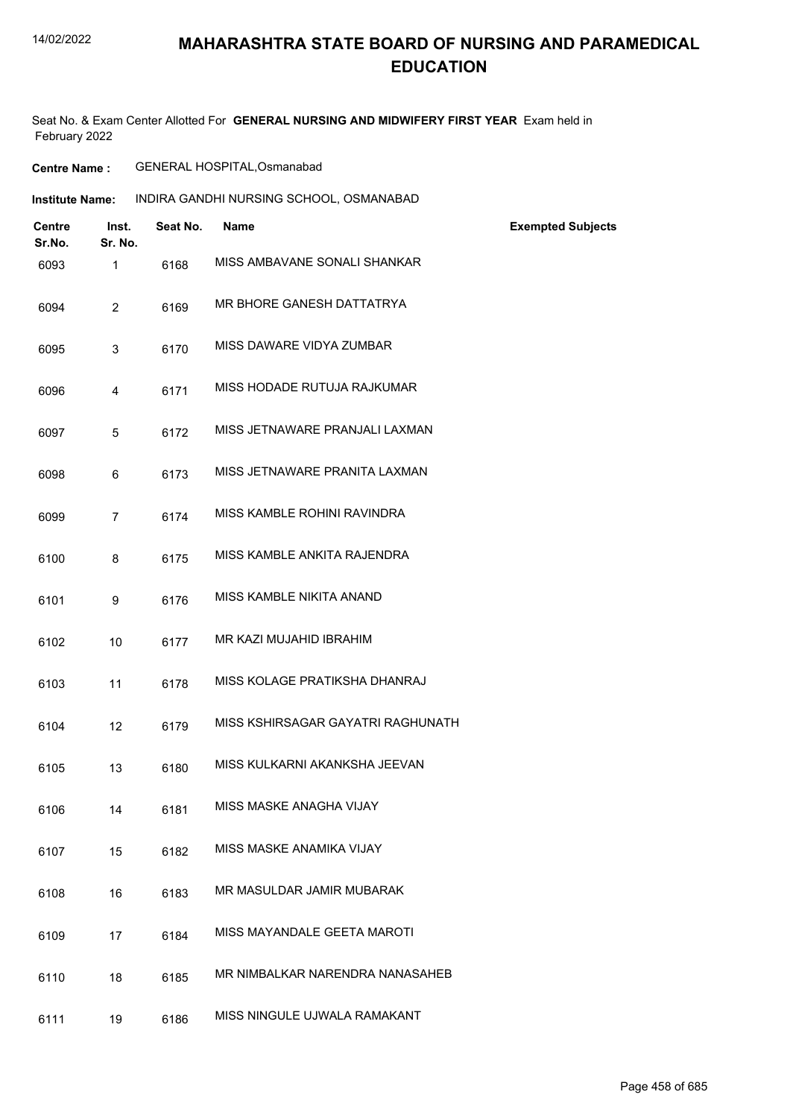## **MAHARASHTRA STATE BOARD OF NURSING AND PARAMEDICAL EDUCATION**

| <b>Centre Name :</b> | GENERAL HOSPITAL, Osmanabad |
|----------------------|-----------------------------|
|                      |                             |

| Institute Name: | INDIRA GANDHI NURSING SCHOOL, OSMANABAD |
|-----------------|-----------------------------------------|
|-----------------|-----------------------------------------|

| <b>Centre</b><br>Sr.No. | Inst.<br>Sr. No. | Seat No. | <b>Name</b>                       | <b>Exempted Subjects</b> |
|-------------------------|------------------|----------|-----------------------------------|--------------------------|
| 6093                    | $\mathbf{1}$     | 6168     | MISS AMBAVANE SONALI SHANKAR      |                          |
| 6094                    | $\overline{2}$   | 6169     | MR BHORE GANESH DATTATRYA         |                          |
| 6095                    | 3                | 6170     | MISS DAWARE VIDYA ZUMBAR          |                          |
| 6096                    | 4                | 6171     | MISS HODADE RUTUJA RAJKUMAR       |                          |
| 6097                    | 5                | 6172     | MISS JETNAWARE PRANJALI LAXMAN    |                          |
| 6098                    | 6                | 6173     | MISS JETNAWARE PRANITA LAXMAN     |                          |
| 6099                    | $\overline{7}$   | 6174     | MISS KAMBLE ROHINI RAVINDRA       |                          |
| 6100                    | 8                | 6175     | MISS KAMBLE ANKITA RAJENDRA       |                          |
| 6101                    | 9                | 6176     | MISS KAMBLE NIKITA ANAND          |                          |
| 6102                    | 10               | 6177     | MR KAZI MUJAHID IBRAHIM           |                          |
| 6103                    | 11               | 6178     | MISS KOLAGE PRATIKSHA DHANRAJ     |                          |
| 6104                    | 12               | 6179     | MISS KSHIRSAGAR GAYATRI RAGHUNATH |                          |
| 6105                    | 13               | 6180     | MISS KULKARNI AKANKSHA JEEVAN     |                          |
| 6106                    | 14               | 6181     | MISS MASKE ANAGHA VIJAY           |                          |
| 6107                    | 15               | 6182     | MISS MASKE ANAMIKA VIJAY          |                          |
| 6108                    | 16               | 6183     | MR MASULDAR JAMIR MUBARAK         |                          |
| 6109                    | 17               | 6184     | MISS MAYANDALE GEETA MAROTI       |                          |
| 6110                    | 18               | 6185     | MR NIMBALKAR NARENDRA NANASAHEB   |                          |
| 6111                    | 19               | 6186     | MISS NINGULE UJWALA RAMAKANT      |                          |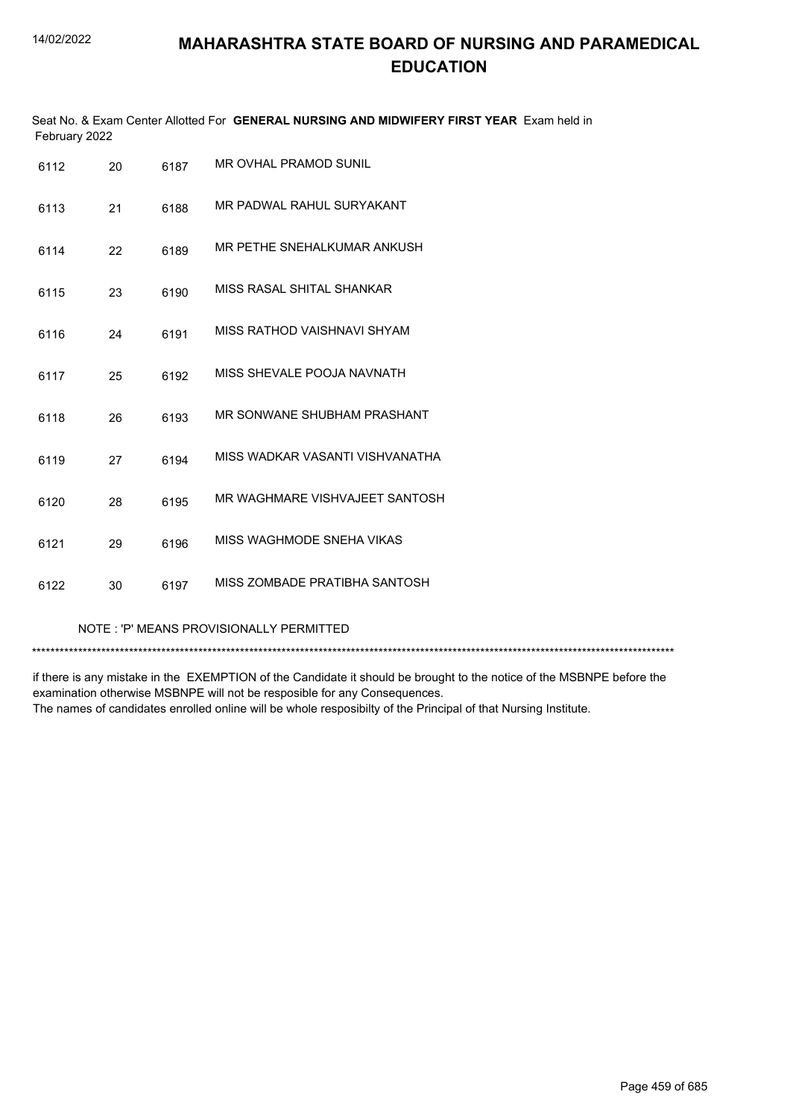| February 2022 |    |      | Seat No. & Exam Center Allotted For GENERAL NURSING AND MIDWIFERY FIRST YEAR Exam held in |
|---------------|----|------|-------------------------------------------------------------------------------------------|
| 6112          | 20 | 6187 | MR OVHAL PRAMOD SUNIL                                                                     |
| 6113          | 21 | 6188 | MR PADWAL RAHUL SURYAKANT                                                                 |
| 6114          | 22 | 6189 | MR PETHE SNEHALKUMAR ANKUSH                                                               |
| 6115          | 23 | 6190 | MISS RASAL SHITAL SHANKAR                                                                 |
| 6116          | 24 | 6191 | MISS RATHOD VAISHNAVI SHYAM                                                               |
| 6117          | 25 | 6192 | MISS SHEVALE POOJA NAVNATH                                                                |
| 6118          | 26 | 6193 | MR SONWANE SHUBHAM PRASHANT                                                               |
| 6119          | 27 | 6194 | MISS WADKAR VASANTI VISHVANATHA                                                           |
| 6120          | 28 | 6195 | MR WAGHMARE VISHVAJEET SANTOSH                                                            |
| 6121          | 29 | 6196 | MISS WAGHMODE SNEHA VIKAS                                                                 |
| 6122          | 30 | 6197 | MISS ZOMBADE PRATIBHA SANTOSH                                                             |

NOTE : 'P' MEANS PROVISIONALLY PERMITTED

\*\*\*\*\*\*\*\*\*\*\*\*\*\*\*\*\*\*\*\*\*\*\*\*\*\*\*\*\*\*\*\*\*\*\*\*\*\*\*\*\*\*\*\*\*\*\*\*\*\*\*\*\*\*\*\*\*\*\*\*\*\*\*\*\*\*\*\*\*\*\*\*\*\*\*\*\*\*\*\*\*\*\*\*\*\*\*\*\*\*\*\*\*\*\*\*\*\*\*\*\*\*\*\*\*\*\*\*\*\*\*\*\*\*\*\*\*\*\*\*\*\*\*\*\*\*\*\*\*\*\*\*\*\*\*\*\*\*\*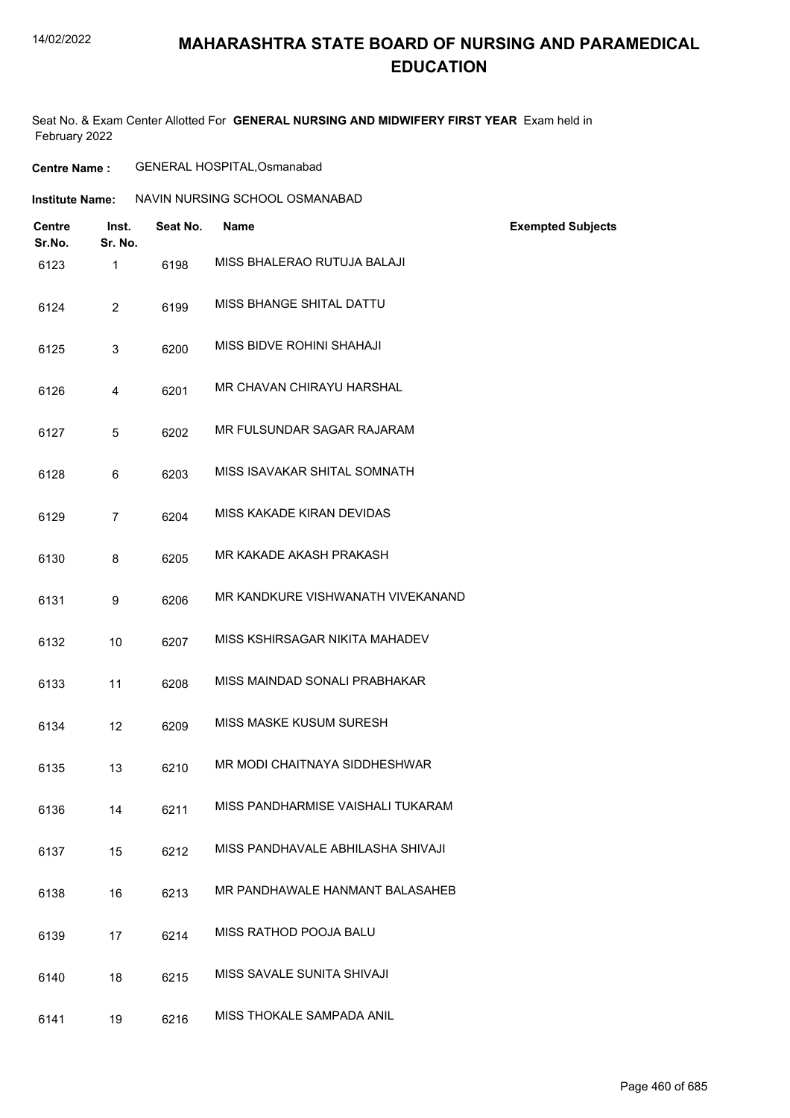## **MAHARASHTRA STATE BOARD OF NURSING AND PARAMEDICAL EDUCATION**

| <b>Centre Name :</b> | GENERAL HOSPITAL, Osmanabad |
|----------------------|-----------------------------|
|----------------------|-----------------------------|

| Institute Name: | NAVIN NURSING SCHOOL OSMANABAD |  |
|-----------------|--------------------------------|--|
|                 |                                |  |

| <b>Centre</b><br>Sr.No. | Inst.<br>Sr. No. | Seat No. | <b>Name</b>                       | <b>Exempted Subjects</b> |
|-------------------------|------------------|----------|-----------------------------------|--------------------------|
| 6123                    | 1                | 6198     | MISS BHALERAO RUTUJA BALAJI       |                          |
| 6124                    | $\overline{2}$   | 6199     | MISS BHANGE SHITAL DATTU          |                          |
| 6125                    | 3                | 6200     | MISS BIDVE ROHINI SHAHAJI         |                          |
| 6126                    | 4                | 6201     | MR CHAVAN CHIRAYU HARSHAL         |                          |
| 6127                    | 5                | 6202     | MR FULSUNDAR SAGAR RAJARAM        |                          |
| 6128                    | 6                | 6203     | MISS ISAVAKAR SHITAL SOMNATH      |                          |
| 6129                    | $\overline{7}$   | 6204     | MISS KAKADE KIRAN DEVIDAS         |                          |
| 6130                    | 8                | 6205     | MR KAKADE AKASH PRAKASH           |                          |
| 6131                    | 9                | 6206     | MR KANDKURE VISHWANATH VIVEKANAND |                          |
| 6132                    | 10               | 6207     | MISS KSHIRSAGAR NIKITA MAHADEV    |                          |
| 6133                    | 11               | 6208     | MISS MAINDAD SONALI PRABHAKAR     |                          |
| 6134                    | 12               | 6209     | <b>MISS MASKE KUSUM SURESH</b>    |                          |
| 6135                    | 13               | 6210     | MR MODI CHAITNAYA SIDDHESHWAR     |                          |
| 6136                    | 14               | 6211     | MISS PANDHARMISE VAISHALI TUKARAM |                          |
| 6137                    | 15               | 6212     | MISS PANDHAVALE ABHILASHA SHIVAJI |                          |
| 6138                    | 16               | 6213     | MR PANDHAWALE HANMANT BALASAHEB   |                          |
| 6139                    | 17               | 6214     | MISS RATHOD POOJA BALU            |                          |
| 6140                    | 18               | 6215     | MISS SAVALE SUNITA SHIVAJI        |                          |
| 6141                    | 19               | 6216     | MISS THOKALE SAMPADA ANIL         |                          |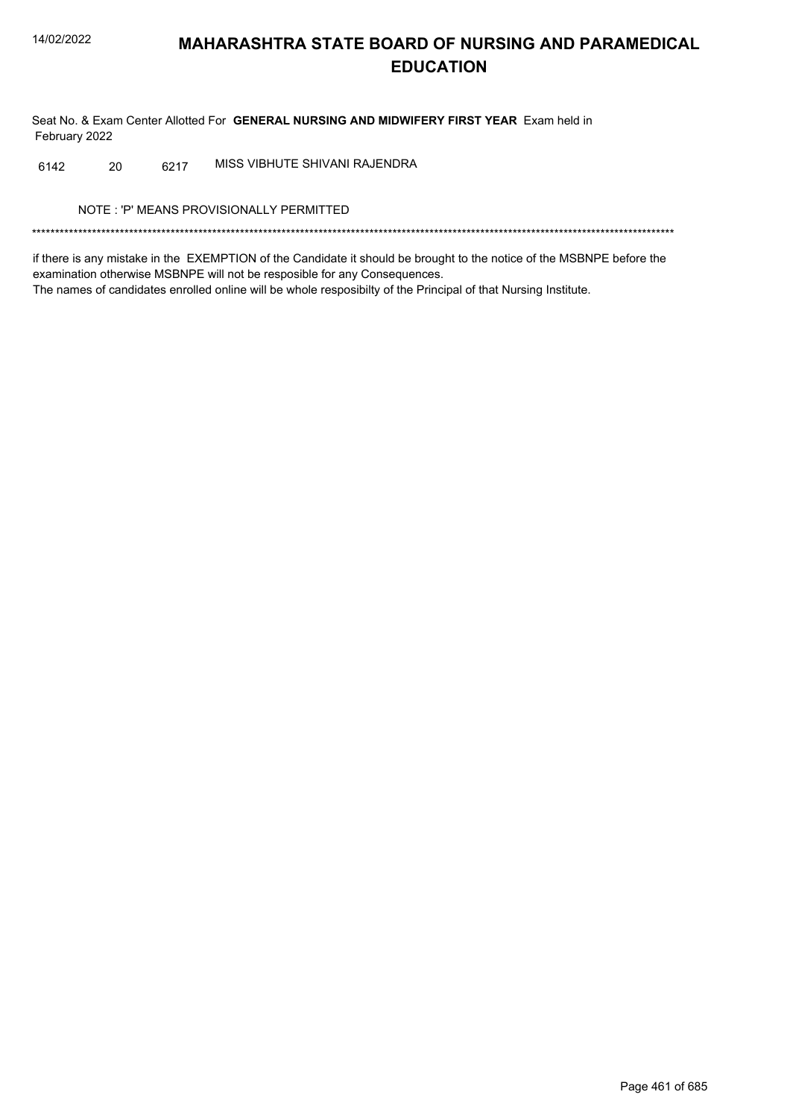Seat No. & Exam Center Allotted For GENERAL NURSING AND MIDWIFERY FIRST YEAR Exam held in February 2022

MISS VIBHUTE SHIVANI RAJENDRA 20 6217 6142

NOTE: 'P' MEANS PROVISIONALLY PERMITTED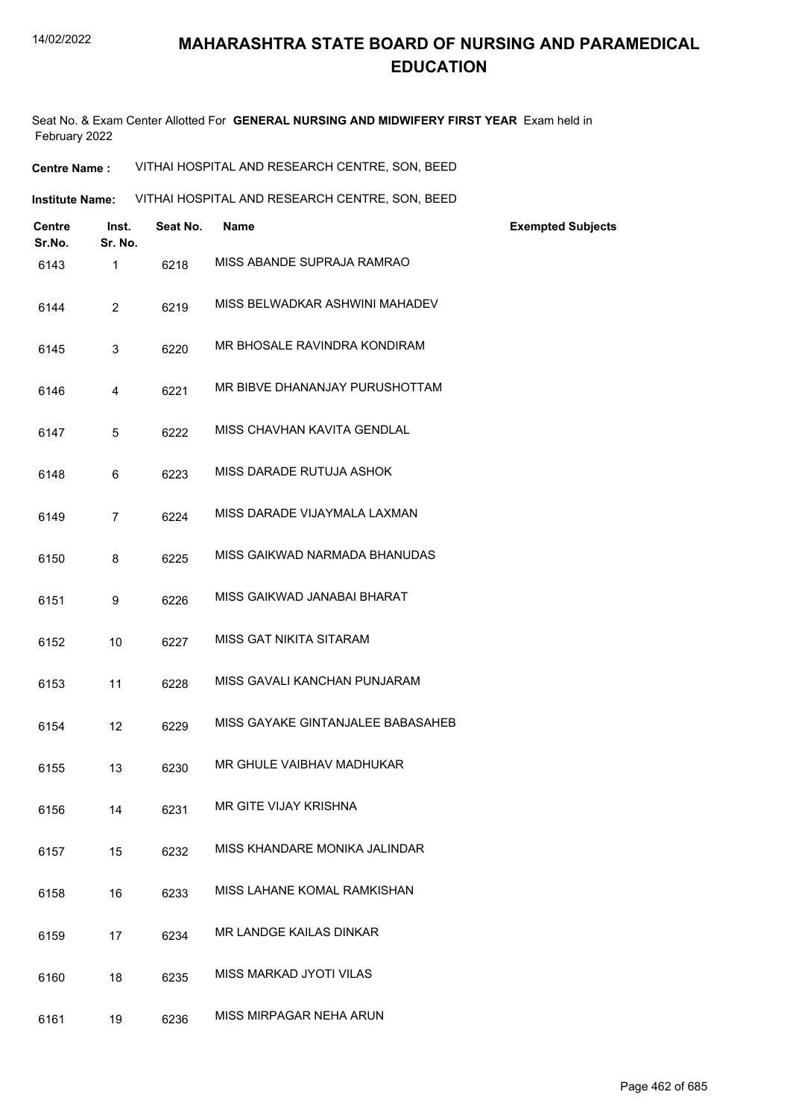Seat No. & Exam Center Allotted For **GENERAL NURSING AND MIDWIFERY FIRST YEAR** Exam held in February 2022

**Centre Name :** VITHAI HOSPITAL AND RESEARCH CENTRE, SON, BEED

**Institute Name: VITHAI HOSPITAL AND RESEARCH CENTRE, SON, BEED** 

| <b>Centre</b><br>Sr.No. | Inst.<br>Sr. No. | Seat No. | <b>Name</b>                       | <b>Exempted Subjects</b> |
|-------------------------|------------------|----------|-----------------------------------|--------------------------|
| 6143                    | 1                | 6218     | MISS ABANDE SUPRAJA RAMRAO        |                          |
| 6144                    | $\overline{2}$   | 6219     | MISS BELWADKAR ASHWINI MAHADEV    |                          |
| 6145                    | 3                | 6220     | MR BHOSALE RAVINDRA KONDIRAM      |                          |
| 6146                    | 4                | 6221     | MR BIBVE DHANANJAY PURUSHOTTAM    |                          |
| 6147                    | 5                | 6222     | MISS CHAVHAN KAVITA GENDLAL       |                          |
| 6148                    | 6                | 6223     | MISS DARADE RUTUJA ASHOK          |                          |
| 6149                    | $\overline{7}$   | 6224     | MISS DARADE VIJAYMALA LAXMAN      |                          |
| 6150                    | 8                | 6225     | MISS GAIKWAD NARMADA BHANUDAS     |                          |
| 6151                    | 9                | 6226     | MISS GAIKWAD JANABAI BHARAT       |                          |
| 6152                    | 10               | 6227     | MISS GAT NIKITA SITARAM           |                          |
| 6153                    | 11               | 6228     | MISS GAVALI KANCHAN PUNJARAM      |                          |
| 6154                    | 12               | 6229     | MISS GAYAKE GINTANJALEE BABASAHEB |                          |
| 6155                    | 13               | 6230     | MR GHULE VAIBHAV MADHUKAR         |                          |
| 6156                    | 14               | 6231     | MR GITE VIJAY KRISHNA             |                          |
| 6157                    | 15               | 6232     | MISS KHANDARE MONIKA JALINDAR     |                          |
| 6158                    | 16               | 6233     | MISS LAHANE KOMAL RAMKISHAN       |                          |
| 6159                    | 17               | 6234     | MR LANDGE KAILAS DINKAR           |                          |
| 6160                    | 18               | 6235     | MISS MARKAD JYOTI VILAS           |                          |
| 6161                    | 19               | 6236     | MISS MIRPAGAR NEHA ARUN           |                          |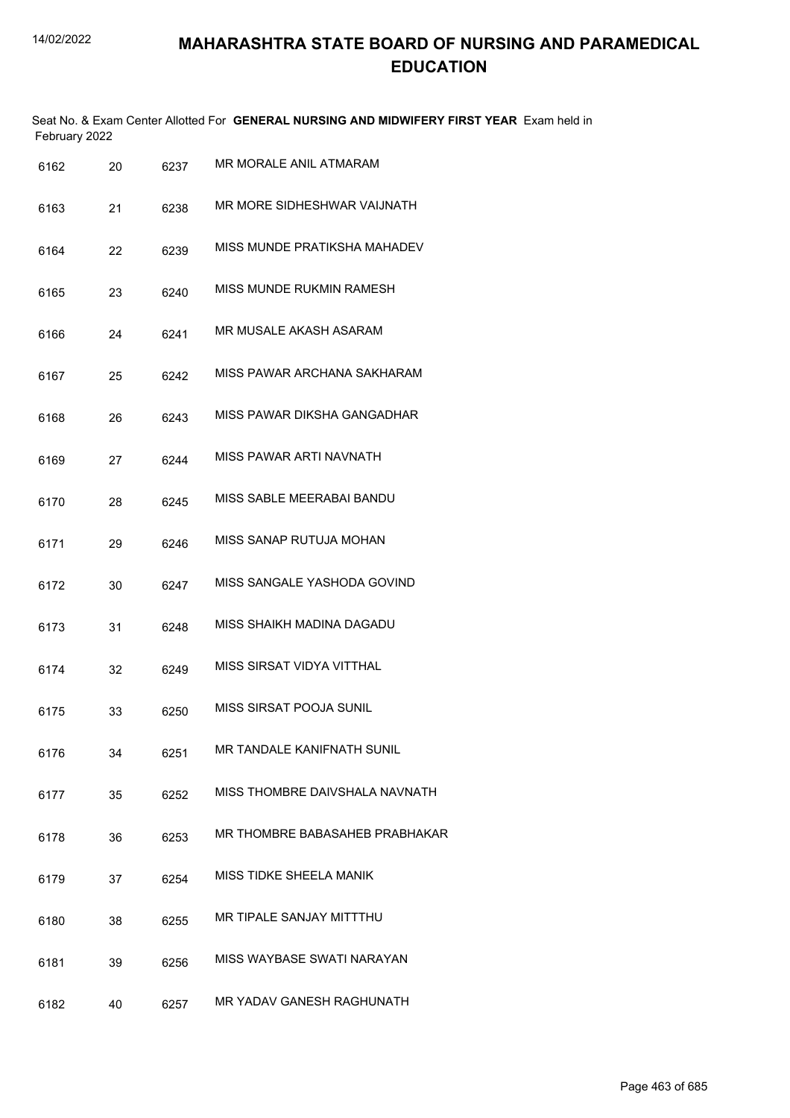| February 2022 |     |      | Seat No. & Exam Center Allotted For <b>GENERAL NURSING AND MIDWIFERY FIRST YEAR</b> Exam held in |  |
|---------------|-----|------|--------------------------------------------------------------------------------------------------|--|
| 6162          | 20. | 6237 | MR MORALE ANIL ATMARAM                                                                           |  |

| 6163 | 21 | 6238 | MR MORE SIDHESHWAR VAIJNATH       |
|------|----|------|-----------------------------------|
| 6164 | 22 | 6239 | MISS MUNDE PRATIKSHA MAHADEV      |
| 6165 | 23 | 6240 | MISS MUNDE RUKMIN RAMESH          |
| 6166 | 24 | 6241 | MR MUSALE AKASH ASARAM            |
| 6167 | 25 | 6242 | MISS PAWAR ARCHANA SAKHARAM       |
| 6168 | 26 | 6243 | MISS PAWAR DIKSHA GANGADHAR       |
| 6169 | 27 | 6244 | MISS PAWAR ARTI NAVNATH           |
| 6170 | 28 | 6245 | MISS SABLE MEERABAI BANDU         |
| 6171 | 29 | 6246 | MISS SANAP RUTUJA MOHAN           |
| 6172 | 30 | 6247 | MISS SANGALE YASHODA GOVIND       |
| 6173 | 31 | 6248 | MISS SHAIKH MADINA DAGADU         |
| 6174 | 32 | 6249 | MISS SIRSAT VIDYA VITTHAL         |
| 6175 | 33 | 6250 | MISS SIRSAT POOJA SUNIL           |
| 6176 | 34 | 6251 | <b>MR TANDALE KANIFNATH SUNIL</b> |
| 6177 | 35 | 6252 | MISS THOMBRE DAIVSHALA NAVNATH    |
| 6178 | 36 | 6253 | MR THOMBRE BABASAHEB PRABHAKAR    |
| 6179 | 37 | 6254 | MISS TIDKE SHEELA MANIK           |
| 6180 | 38 | 6255 | MR TIPALE SANJAY MITTTHU          |
| 6181 | 39 | 6256 | MISS WAYBASE SWATI NARAYAN        |
| 6182 | 40 | 6257 | MR YADAV GANESH RAGHUNATH         |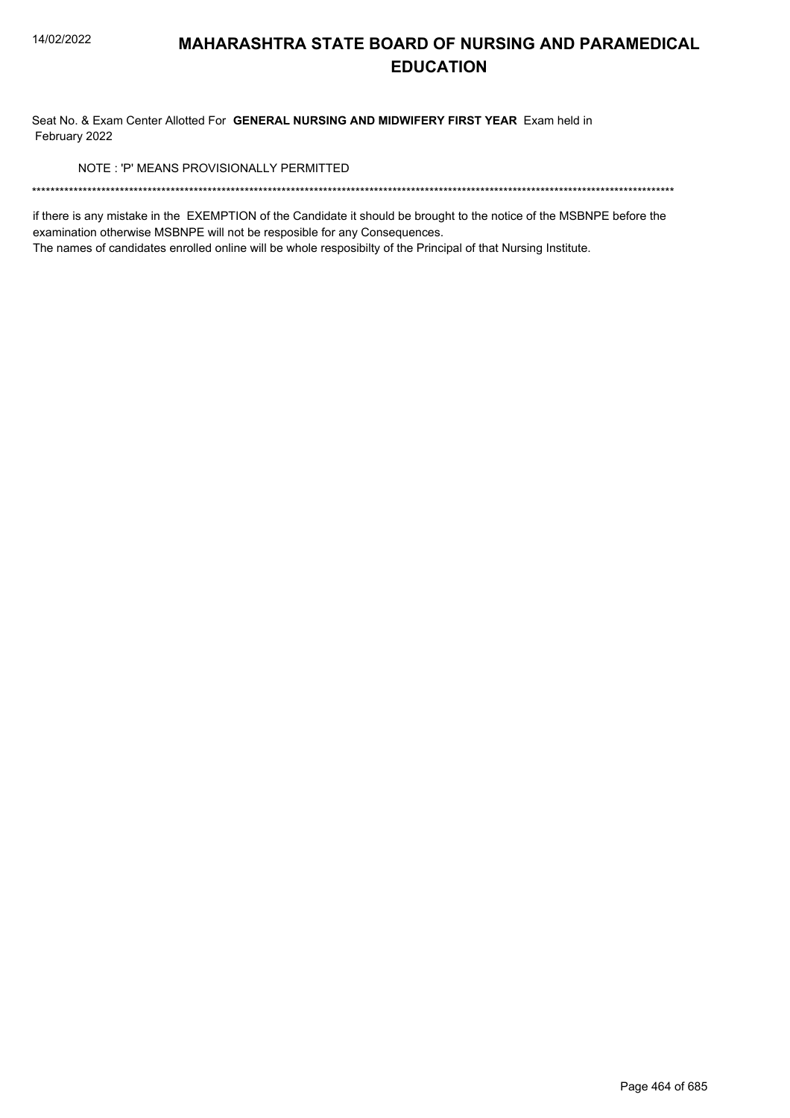Seat No. & Exam Center Allotted For GENERAL NURSING AND MIDWIFERY FIRST YEAR Exam held in February 2022

NOTE: 'P' MEANS PROVISIONALLY PERMITTED

if there is any mistake in the EXEMPTION of the Candidate it should be brought to the notice of the MSBNPE before the examination otherwise MSBNPE will not be resposible for any Consequences.

The names of candidates enrolled online will be whole resposibilty of the Principal of that Nursing Institute.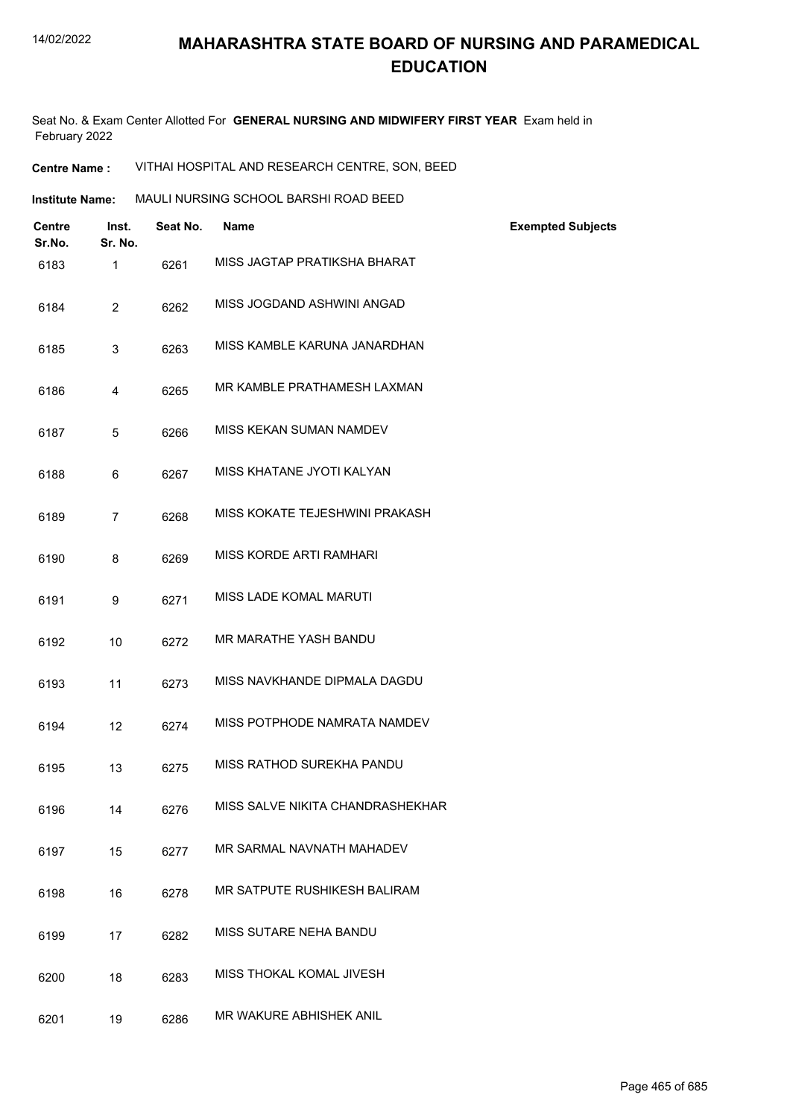Seat No. & Exam Center Allotted For **GENERAL NURSING AND MIDWIFERY FIRST YEAR** Exam held in February 2022

**Centre Name :** VITHAI HOSPITAL AND RESEARCH CENTRE, SON, BEED

| Centre<br>Sr.No. | Inst.<br>Sr. No. | Seat No. | <b>Name</b>                      | <b>Exempted Subjects</b> |
|------------------|------------------|----------|----------------------------------|--------------------------|
| 6183             | $\mathbf{1}$     | 6261     | MISS JAGTAP PRATIKSHA BHARAT     |                          |
| 6184             | $\overline{2}$   | 6262     | MISS JOGDAND ASHWINI ANGAD       |                          |
| 6185             | 3                | 6263     | MISS KAMBLE KARUNA JANARDHAN     |                          |
| 6186             | 4                | 6265     | MR KAMBLE PRATHAMESH LAXMAN      |                          |
| 6187             | 5                | 6266     | MISS KEKAN SUMAN NAMDEV          |                          |
| 6188             | 6                | 6267     | MISS KHATANE JYOTI KALYAN        |                          |
| 6189             | $\overline{7}$   | 6268     | MISS KOKATE TEJESHWINI PRAKASH   |                          |
| 6190             | 8                | 6269     | MISS KORDE ARTI RAMHARI          |                          |
| 6191             | 9                | 6271     | MISS LADE KOMAL MARUTI           |                          |
| 6192             | 10               | 6272     | MR MARATHE YASH BANDU            |                          |
| 6193             | 11               | 6273     | MISS NAVKHANDE DIPMALA DAGDU     |                          |
| 6194             | 12               | 6274     | MISS POTPHODE NAMRATA NAMDEV     |                          |
| 6195             | 13               | 6275     | MISS RATHOD SUREKHA PANDU        |                          |
| 6196             | 14               | 6276     | MISS SALVE NIKITA CHANDRASHEKHAR |                          |
| 6197             | 15               | 6277     | MR SARMAL NAVNATH MAHADEV        |                          |
| 6198             | 16               | 6278     | MR SATPUTE RUSHIKESH BALIRAM     |                          |
| 6199             | 17               | 6282     | MISS SUTARE NEHA BANDU           |                          |
| 6200             | 18               | 6283     | MISS THOKAL KOMAL JIVESH         |                          |
| 6201             | 19               | 6286     | MR WAKURE ABHISHEK ANIL          |                          |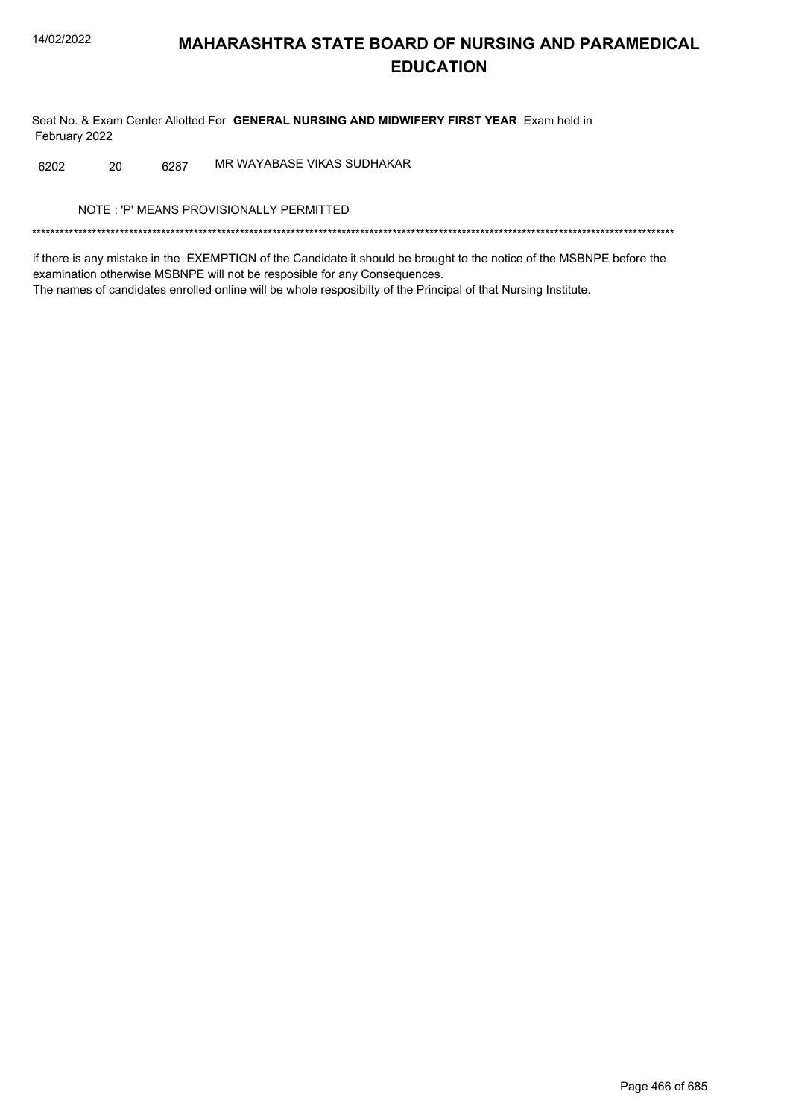Seat No. & Exam Center Allotted For GENERAL NURSING AND MIDWIFERY FIRST YEAR Exam held in February 2022

MR WAYABASE VIKAS SUDHAKAR 6202 20 6287

NOTE: 'P' MEANS PROVISIONALLY PERMITTED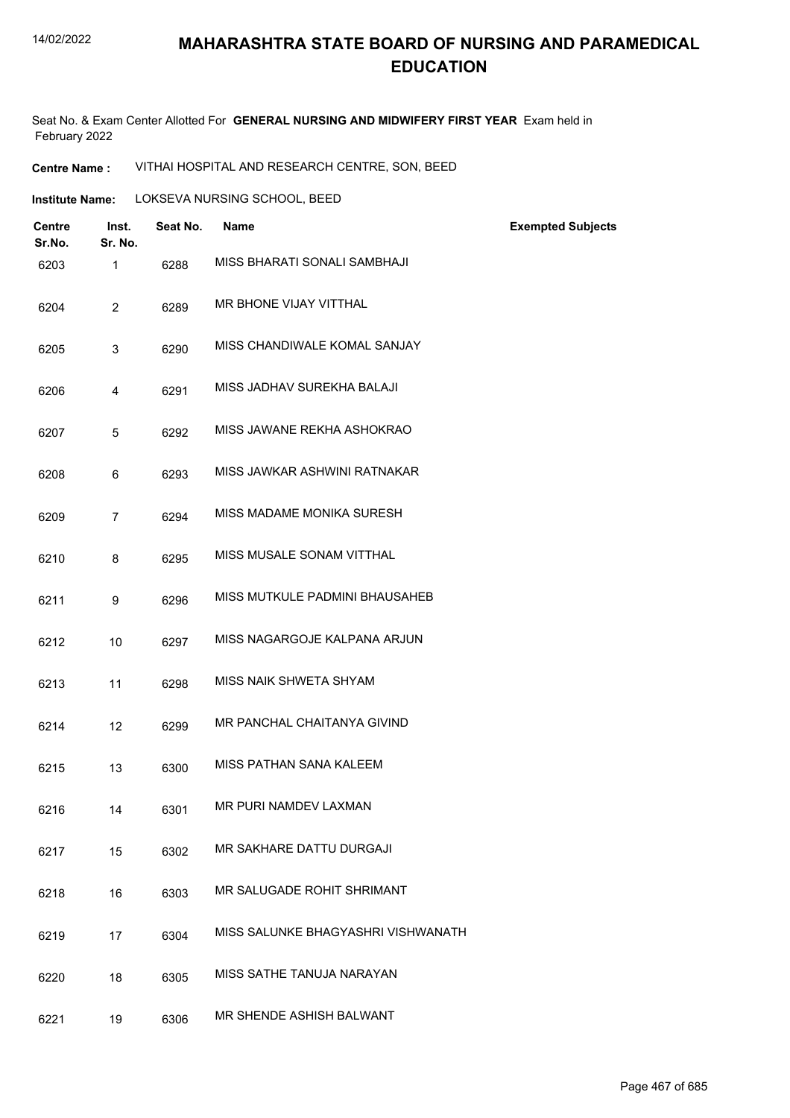### **MAHARASHTRA STATE BOARD OF NURSING AND PARAMEDICAL EDUCATION**

Seat No. & Exam Center Allotted For **GENERAL NURSING AND MIDWIFERY FIRST YEAR** Exam held in February 2022

**Centre Name :** VITHAI HOSPITAL AND RESEARCH CENTRE, SON, BEED

| <b>Institute Name:</b> | LOKSEVA NURSING SCHOOL, BEED |  |
|------------------------|------------------------------|--|
|                        |                              |  |

| <b>Centre</b><br>Sr.No. | Inst.<br>Sr. No. | Seat No. | <b>Name</b>                        | <b>Exempted Subjects</b> |
|-------------------------|------------------|----------|------------------------------------|--------------------------|
| 6203                    | $\mathbf{1}$     | 6288     | MISS BHARATI SONALI SAMBHAJI       |                          |
| 6204                    | $\overline{2}$   | 6289     | MR BHONE VIJAY VITTHAL             |                          |
| 6205                    | 3                | 6290     | MISS CHANDIWALE KOMAL SANJAY       |                          |
| 6206                    | 4                | 6291     | MISS JADHAV SUREKHA BALAJI         |                          |
| 6207                    | 5                | 6292     | MISS JAWANE REKHA ASHOKRAO         |                          |
| 6208                    | 6                | 6293     | MISS JAWKAR ASHWINI RATNAKAR       |                          |
| 6209                    | $\overline{7}$   | 6294     | MISS MADAME MONIKA SURESH          |                          |
| 6210                    | 8                | 6295     | MISS MUSALE SONAM VITTHAL          |                          |
| 6211                    | 9                | 6296     | MISS MUTKULE PADMINI BHAUSAHEB     |                          |
| 6212                    | 10               | 6297     | MISS NAGARGOJE KALPANA ARJUN       |                          |
| 6213                    | 11               | 6298     | MISS NAIK SHWETA SHYAM             |                          |
| 6214                    | 12               | 6299     | MR PANCHAL CHAITANYA GIVIND        |                          |
| 6215                    | 13               | 6300     | <b>MISS PATHAN SANA KALEEM</b>     |                          |
| 6216                    | 14               | 6301     | MR PURI NAMDEV LAXMAN              |                          |
| 6217                    | 15               | 6302     | MR SAKHARE DATTU DURGAJI           |                          |
| 6218                    | 16               | 6303     | MR SALUGADE ROHIT SHRIMANT         |                          |
| 6219                    | 17               | 6304     | MISS SALUNKE BHAGYASHRI VISHWANATH |                          |
| 6220                    | 18               | 6305     | MISS SATHE TANUJA NARAYAN          |                          |
| 6221                    | 19               | 6306     | MR SHENDE ASHISH BALWANT           |                          |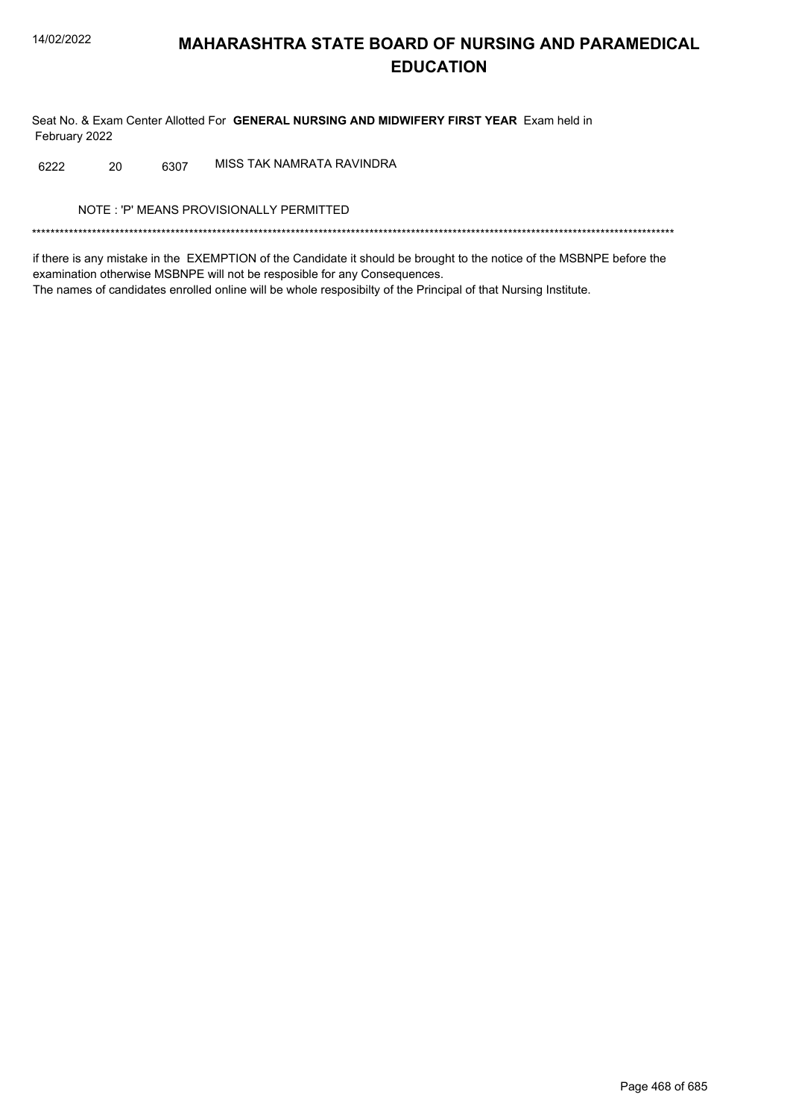Seat No. & Exam Center Allotted For GENERAL NURSING AND MIDWIFERY FIRST YEAR Exam held in February 2022

MISS TAK NAMRATA RAVINDRA 6222 20 6307

NOTE: 'P' MEANS PROVISIONALLY PERMITTED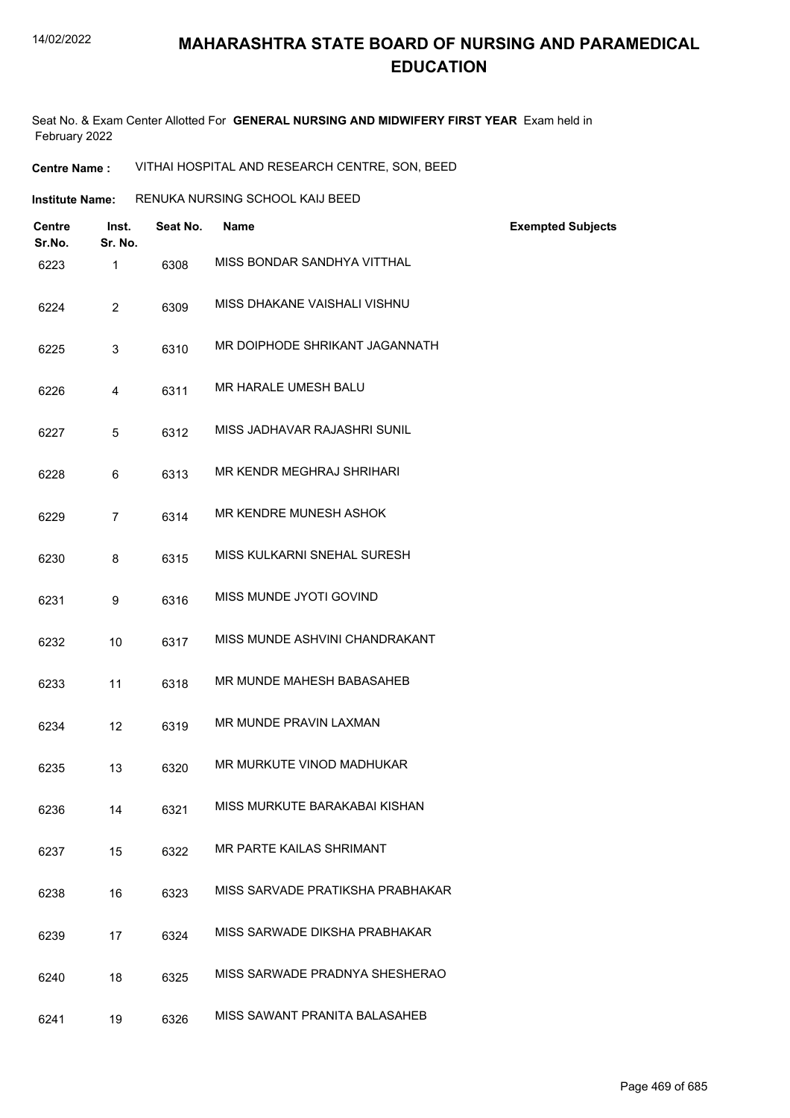Seat No. & Exam Center Allotted For **GENERAL NURSING AND MIDWIFERY FIRST YEAR** Exam held in February 2022

**Centre Name :** VITHAI HOSPITAL AND RESEARCH CENTRE, SON, BEED

| <b>Institute Name:</b> | RENUKA NURSING SCHOOL KAIJ BEED |
|------------------------|---------------------------------|
|                        |                                 |

| <b>Centre</b><br>Sr.No. | Inst.<br>Sr. No. | Seat No. | <b>Name</b>                      | <b>Exempted Subjects</b> |
|-------------------------|------------------|----------|----------------------------------|--------------------------|
| 6223                    | 1                | 6308     | MISS BONDAR SANDHYA VITTHAL      |                          |
| 6224                    | 2                | 6309     | MISS DHAKANE VAISHALI VISHNU     |                          |
| 6225                    | 3                | 6310     | MR DOIPHODE SHRIKANT JAGANNATH   |                          |
| 6226                    | 4                | 6311     | MR HARALE UMESH BALU             |                          |
| 6227                    | 5                | 6312     | MISS JADHAVAR RAJASHRI SUNIL     |                          |
| 6228                    | 6                | 6313     | MR KENDR MEGHRAJ SHRIHARI        |                          |
| 6229                    | $\overline{7}$   | 6314     | MR KENDRE MUNESH ASHOK           |                          |
| 6230                    | 8                | 6315     | MISS KULKARNI SNEHAL SURESH      |                          |
| 6231                    | 9                | 6316     | MISS MUNDE JYOTI GOVIND          |                          |
| 6232                    | 10               | 6317     | MISS MUNDE ASHVINI CHANDRAKANT   |                          |
| 6233                    | 11               | 6318     | MR MUNDE MAHESH BABASAHEB        |                          |
| 6234                    | 12               | 6319     | MR MUNDE PRAVIN LAXMAN           |                          |
| 6235                    | 13               | 6320     | MR MURKUTE VINOD MADHUKAR        |                          |
| 6236                    | 14               | 6321     | MISS MURKUTE BARAKABAI KISHAN    |                          |
| 6237                    | 15               | 6322     | MR PARTE KAILAS SHRIMANT         |                          |
| 6238                    | 16               | 6323     | MISS SARVADE PRATIKSHA PRABHAKAR |                          |
| 6239                    | 17               | 6324     | MISS SARWADE DIKSHA PRABHAKAR    |                          |
| 6240                    | 18               | 6325     | MISS SARWADE PRADNYA SHESHERAO   |                          |
| 6241                    | 19               | 6326     | MISS SAWANT PRANITA BALASAHEB    |                          |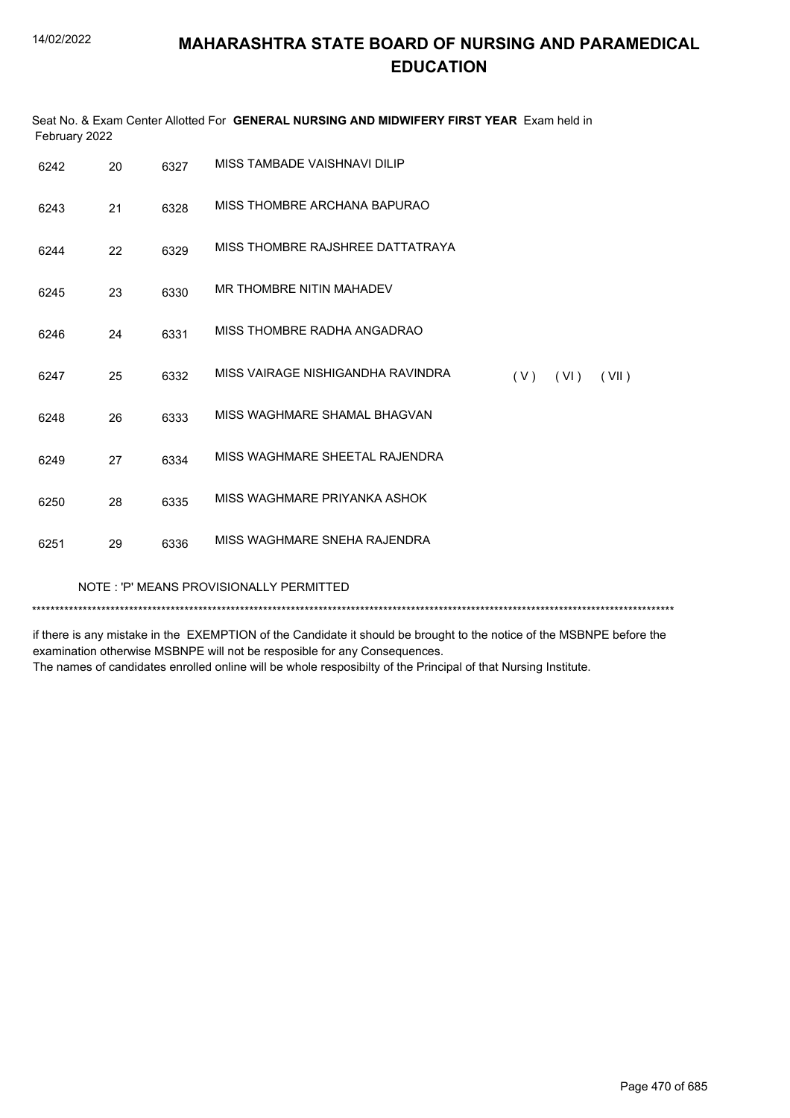|                                         | February 2022 |      | Seat No. & Exam Center Allotted For GENERAL NURSING AND MIDWIFERY FIRST YEAR Exam held in |  |
|-----------------------------------------|---------------|------|-------------------------------------------------------------------------------------------|--|
| 6242                                    | 20            | 6327 | MISS TAMBADE VAISHNAVI DILIP                                                              |  |
| 6243                                    | 21            | 6328 | MISS THOMBRE ARCHANA BAPURAO                                                              |  |
| 6244                                    | 22            | 6329 | MISS THOMBRE RAJSHREE DATTATRAYA                                                          |  |
| 6245                                    | 23            | 6330 | MR THOMBRE NITIN MAHADEV                                                                  |  |
| 6246                                    | 24            | 6331 | MISS THOMBRE RADHA ANGADRAO                                                               |  |
| 6247                                    | 25            | 6332 | MISS VAIRAGE NISHIGANDHA RAVINDRA<br>(V)<br>(VI)<br>(VII)                                 |  |
| 6248                                    | 26            | 6333 | MISS WAGHMARE SHAMAL BHAGVAN                                                              |  |
| 6249                                    | 27            | 6334 | MISS WAGHMARE SHEETAL RAJENDRA                                                            |  |
| 6250                                    | 28            | 6335 | MISS WAGHMARE PRIYANKA ASHOK                                                              |  |
| 6251                                    | 29            | 6336 | MISS WAGHMARE SNEHA RAJENDRA                                                              |  |
| NOTE: 'P' MEANS PROVISIONALLY PERMITTED |               |      |                                                                                           |  |

\*\*\*\*\*\*\*\*\*\*\*\*\*\*\*\*\*\*\*\*\*\*\*\*\*\*\*\*\*\*\*\*\*\*\*\*\*\*\*\*\*\*\*\*\*\*\*\*\*\*\*\*\*\*\*\*\*\*\*\*\*\*\*\*\*\*\*\*\*\*\*\*\*\*\*\*\*\*\*\*\*\*\*\*\*\*\*\*\*\*\*\*\*\*\*\*\*\*\*\*\*\*\*\*\*\*\*\*\*\*\*\*\*\*\*\*\*\*\*\*\*\*\*\*\*\*\*\*\*\*\*\*\*\*\*\*\*\*\*

if there is any mistake in the EXEMPTION of the Candidate it should be brought to the notice of the MSBNPE before the examination otherwise MSBNPE will not be resposible for any Consequences.

The names of candidates enrolled online will be whole resposibilty of the Principal of that Nursing Institute.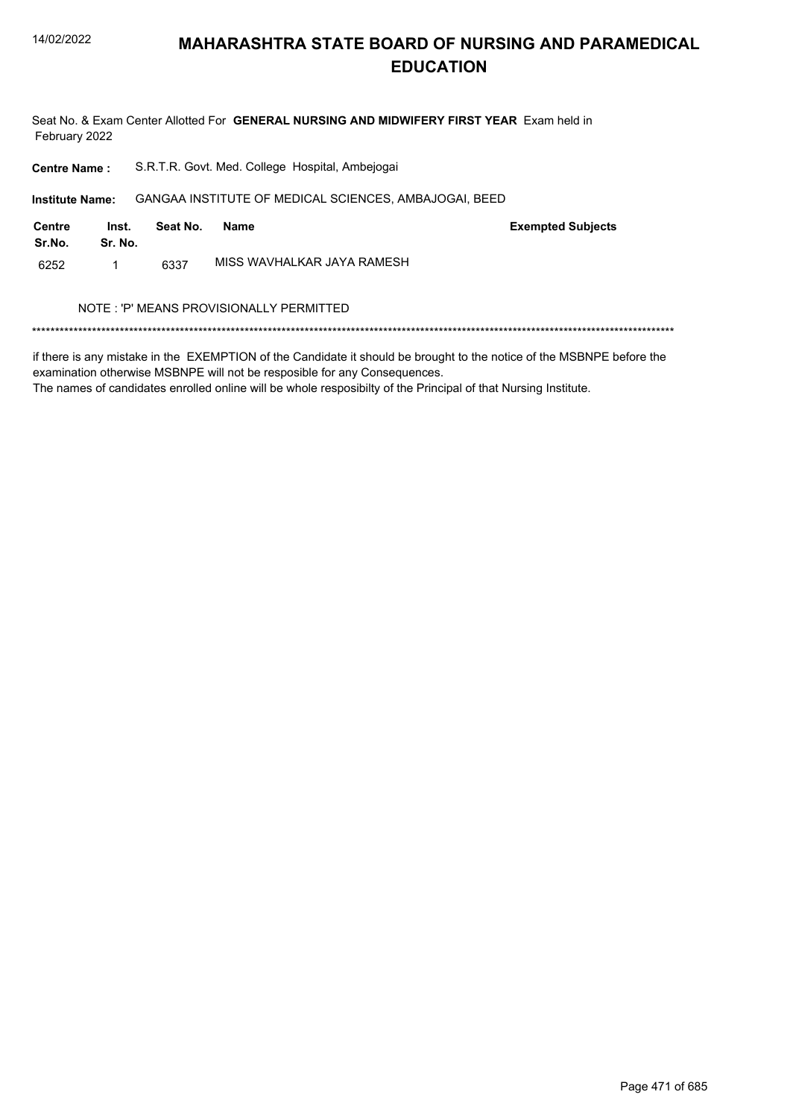

Seat No. & Exam Center Allotted For GENERAL NURSING AND MIDWIFERY FIRST YEAR Exam held in February 2022

| <b>Centre Name:</b>    |                  | S.R.T.R. Govt. Med. College Hospital, Ambejogai |                                                       |                          |  |  |  |
|------------------------|------------------|-------------------------------------------------|-------------------------------------------------------|--------------------------|--|--|--|
| <b>Institute Name:</b> |                  |                                                 | GANGAA INSTITUTE OF MEDICAL SCIENCES, AMBAJOGAI, BEED |                          |  |  |  |
| Centre<br>Sr.No.       | Inst.<br>Sr. No. | Seat No.                                        | <b>Name</b>                                           | <b>Exempted Subjects</b> |  |  |  |
| 6252                   | 1                | 6337                                            | MISS WAVHAI KAR JAYA RAMESH                           |                          |  |  |  |
|                        |                  |                                                 | NOTE: 'P' MEANS PROVISIONALLY PERMITTED               |                          |  |  |  |
|                        |                  |                                                 |                                                       |                          |  |  |  |

if there is any mistake in the EXEMPTION of the Candidate it should be brought to the notice of the MSBNPE before the examination otherwise MSBNPE will not be resposible for any Consequences.

The names of candidates enrolled online will be whole resposibilty of the Principal of that Nursing Institute.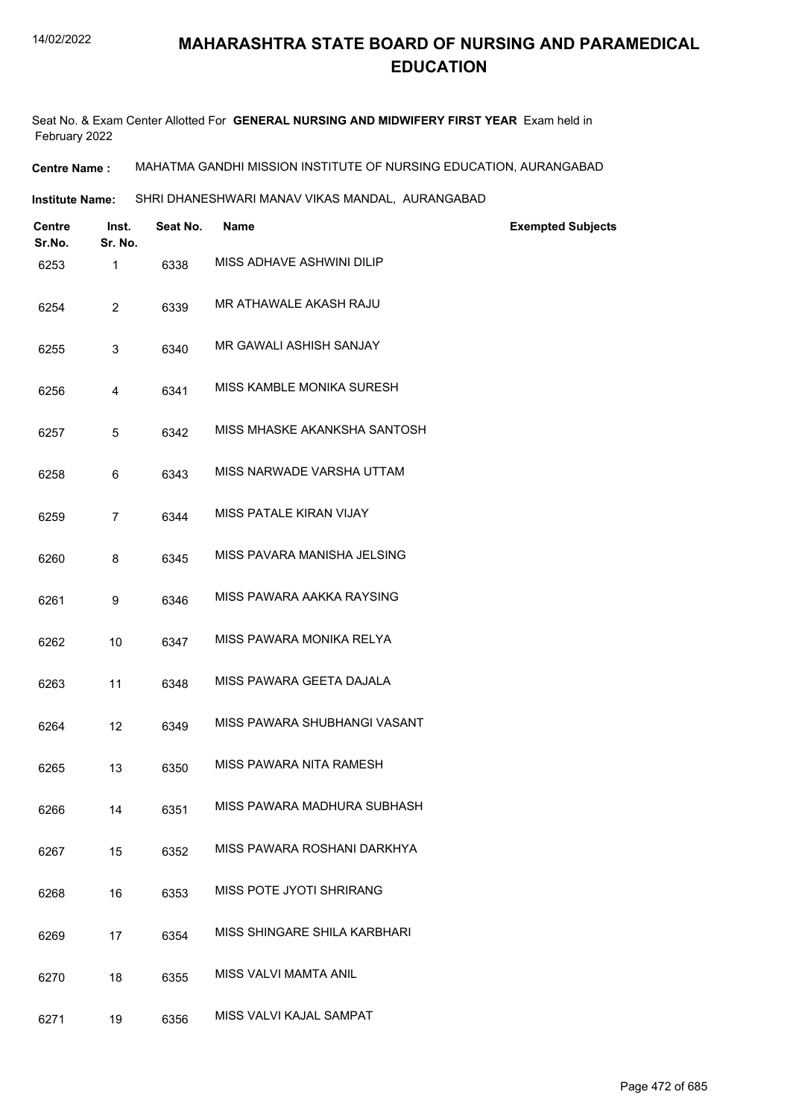Seat No. & Exam Center Allotted For **GENERAL NURSING AND MIDWIFERY FIRST YEAR** Exam held in February 2022

**Centre Name :** MAHATMA GANDHI MISSION INSTITUTE OF NURSING EDUCATION, AURANGABAD

**Institute Name:** SHRI DHANESHWARI MANAV VIKAS MANDAL, AURANGABAD

| Centre<br>Sr.No. | Inst.<br>Sr. No. | Seat No. | Name                         | <b>Exempted Subjects</b> |
|------------------|------------------|----------|------------------------------|--------------------------|
| 6253             | 1                | 6338     | MISS ADHAVE ASHWINI DILIP    |                          |
| 6254             | $\overline{2}$   | 6339     | MR ATHAWALE AKASH RAJU       |                          |
| 6255             | 3                | 6340     | MR GAWALI ASHISH SANJAY      |                          |
| 6256             | 4                | 6341     | MISS KAMBLE MONIKA SURESH    |                          |
| 6257             | 5                | 6342     | MISS MHASKE AKANKSHA SANTOSH |                          |
| 6258             | 6                | 6343     | MISS NARWADE VARSHA UTTAM    |                          |
| 6259             | 7                | 6344     | MISS PATALE KIRAN VIJAY      |                          |
| 6260             | 8                | 6345     | MISS PAVARA MANISHA JELSING  |                          |
| 6261             | 9                | 6346     | MISS PAWARA AAKKA RAYSING    |                          |
| 6262             | 10               | 6347     | MISS PAWARA MONIKA RELYA     |                          |
| 6263             | 11               | 6348     | MISS PAWARA GEETA DAJALA     |                          |
| 6264             | 12               | 6349     | MISS PAWARA SHUBHANGI VASANT |                          |
| 6265             | 13               | 6350     | MISS PAWARA NITA RAMESH      |                          |
| 6266             | 14               | 6351     | MISS PAWARA MADHURA SUBHASH  |                          |
| 6267             | 15               | 6352     | MISS PAWARA ROSHANI DARKHYA  |                          |
| 6268             | 16               | 6353     | MISS POTE JYOTI SHRIRANG     |                          |
| 6269             | 17               | 6354     | MISS SHINGARE SHILA KARBHARI |                          |
| 6270             | 18               | 6355     | MISS VALVI MAMTA ANIL        |                          |
| 6271             | 19               | 6356     | MISS VALVI KAJAL SAMPAT      |                          |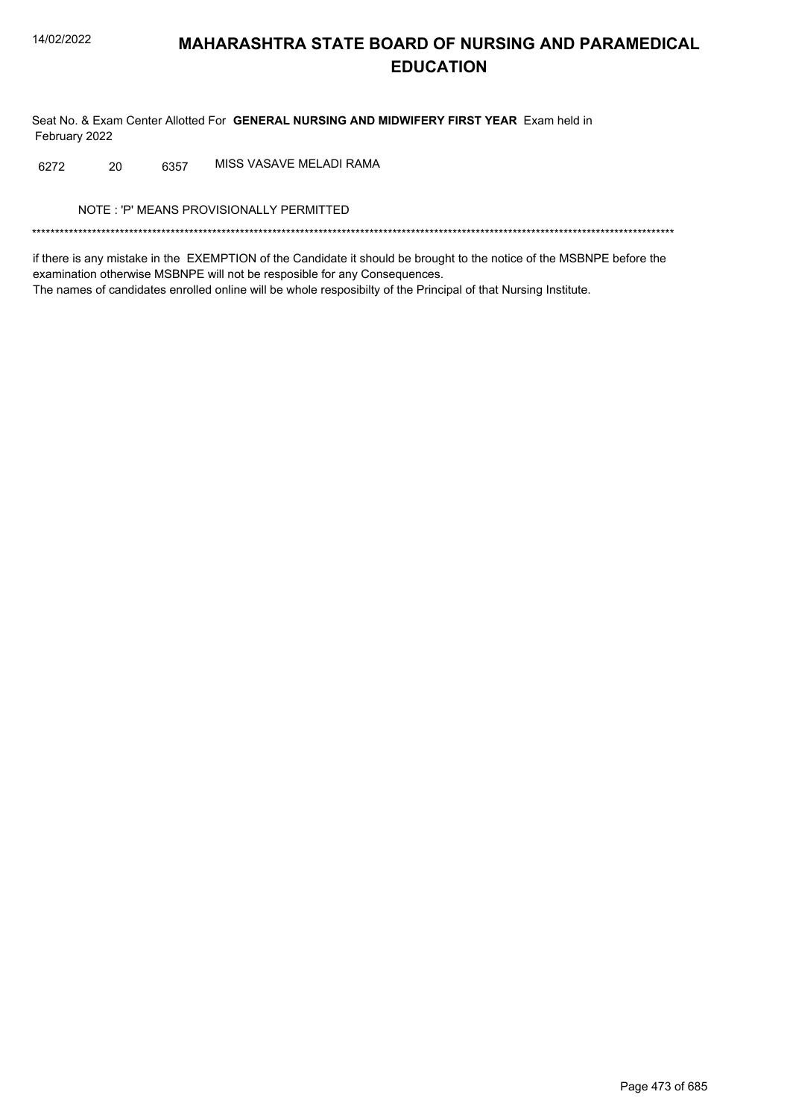Seat No. & Exam Center Allotted For GENERAL NURSING AND MIDWIFERY FIRST YEAR Exam held in February 2022

MISS VASAVE MELADI RAMA 20 6357 6272

NOTE: 'P' MEANS PROVISIONALLY PERMITTED

if there is any mistake in the EXEMPTION of the Candidate it should be brought to the notice of the MSBNPE before the examination otherwise MSBNPE will not be resposible for any Consequences. The names of candidates enrolled online will be whole resposibilty of the Principal of that Nursing Institute.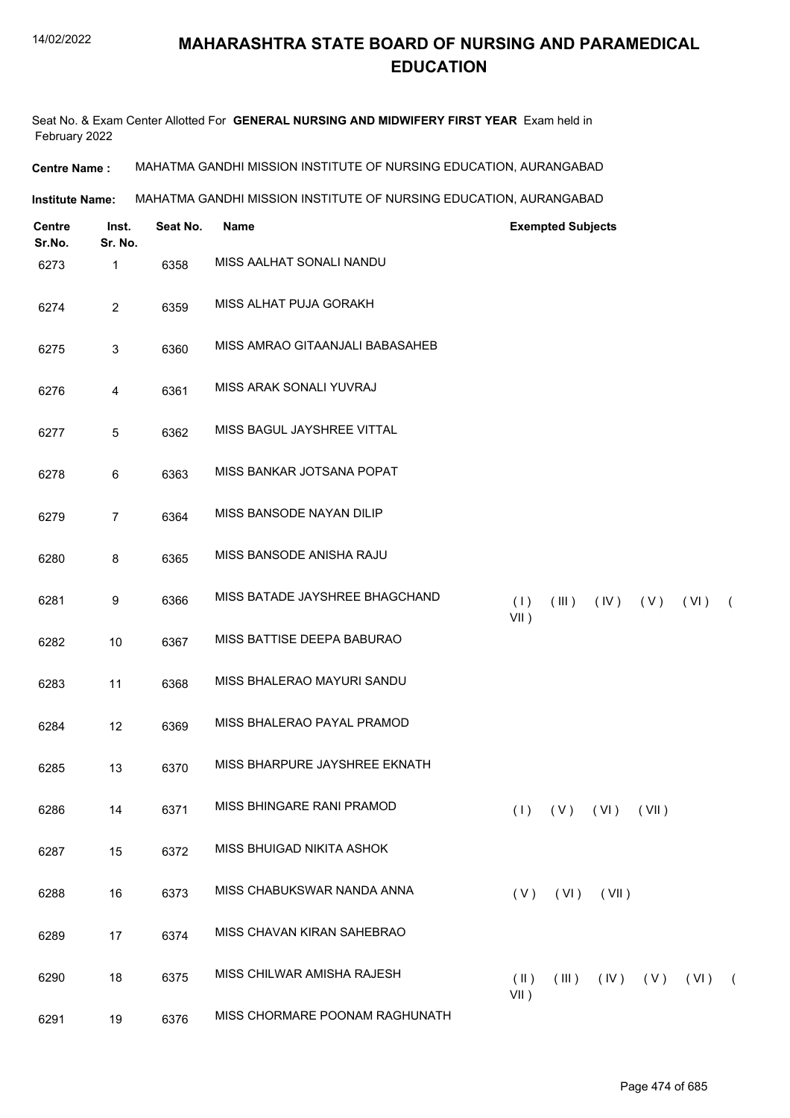Seat No. & Exam Center Allotted For **GENERAL NURSING AND MIDWIFERY FIRST YEAR** Exam held in February 2022

**Centre Name :** MAHATMA GANDHI MISSION INSTITUTE OF NURSING EDUCATION, AURANGABAD

**Institute Name:** MAHATMA GANDHI MISSION INSTITUTE OF NURSING EDUCATION, AURANGABAD

| <b>Centre</b><br>Sr.No. | Inst.<br>Sr. No. | Seat No. | <b>Name</b>                     |                          | <b>Exempted Subjects</b> |      |              |      |            |
|-------------------------|------------------|----------|---------------------------------|--------------------------|--------------------------|------|--------------|------|------------|
| 6273                    | 1                | 6358     | MISS AALHAT SONALI NANDU        |                          |                          |      |              |      |            |
| 6274                    | $\overline{2}$   | 6359     | MISS ALHAT PUJA GORAKH          |                          |                          |      |              |      |            |
| 6275                    | 3                | 6360     | MISS AMRAO GITAANJALI BABASAHEB |                          |                          |      |              |      |            |
| 6276                    | 4                | 6361     | MISS ARAK SONALI YUVRAJ         |                          |                          |      |              |      |            |
| 6277                    | 5                | 6362     | MISS BAGUL JAYSHREE VITTAL      |                          |                          |      |              |      |            |
| 6278                    | $\,6\,$          | 6363     | MISS BANKAR JOTSANA POPAT       |                          |                          |      |              |      |            |
| 6279                    | $\overline{7}$   | 6364     | MISS BANSODE NAYAN DILIP        |                          |                          |      |              |      |            |
| 6280                    | 8                | 6365     | MISS BANSODE ANISHA RAJU        |                          |                          |      |              |      |            |
| 6281                    | 9                | 6366     | MISS BATADE JAYSHREE BHAGCHAND  | (1)<br>$VII$ )           | (III)                    | (IV) | (V)          | (VI) | $\sqrt{2}$ |
| 6282                    | 10               | 6367     | MISS BATTISE DEEPA BABURAO      |                          |                          |      |              |      |            |
| 6283                    | 11               | 6368     | MISS BHALERAO MAYURI SANDU      |                          |                          |      |              |      |            |
| 6284                    | 12               | 6369     | MISS BHALERAO PAYAL PRAMOD      |                          |                          |      |              |      |            |
| 6285                    | 13               | 6370     | MISS BHARPURE JAYSHREE EKNATH   |                          |                          |      |              |      |            |
| 6286                    | 14               | 6371     | MISS BHINGARE RANI PRAMOD       |                          | $(1)$ $(V)$ $(V1)$       |      | (VII)        |      |            |
| 6287                    | 15               | 6372     | MISS BHUIGAD NIKITA ASHOK       |                          |                          |      |              |      |            |
| 6288                    | 16               | 6373     | MISS CHABUKSWAR NANDA ANNA      |                          | $(V)$ $(VI)$ $(VII)$     |      |              |      |            |
| 6289                    | 17               | 6374     | MISS CHAVAN KIRAN SAHEBRAO      |                          |                          |      |              |      |            |
| 6290                    | 18               | 6375     | MISS CHILWAR AMISHA RAJESH      | $(\parallel)$<br>$VII$ ) | (III)                    |      | $(IV)$ $(V)$ | (VI) | $\sqrt{2}$ |
| 6291                    | 19               | 6376     | MISS CHORMARE POONAM RAGHUNATH  |                          |                          |      |              |      |            |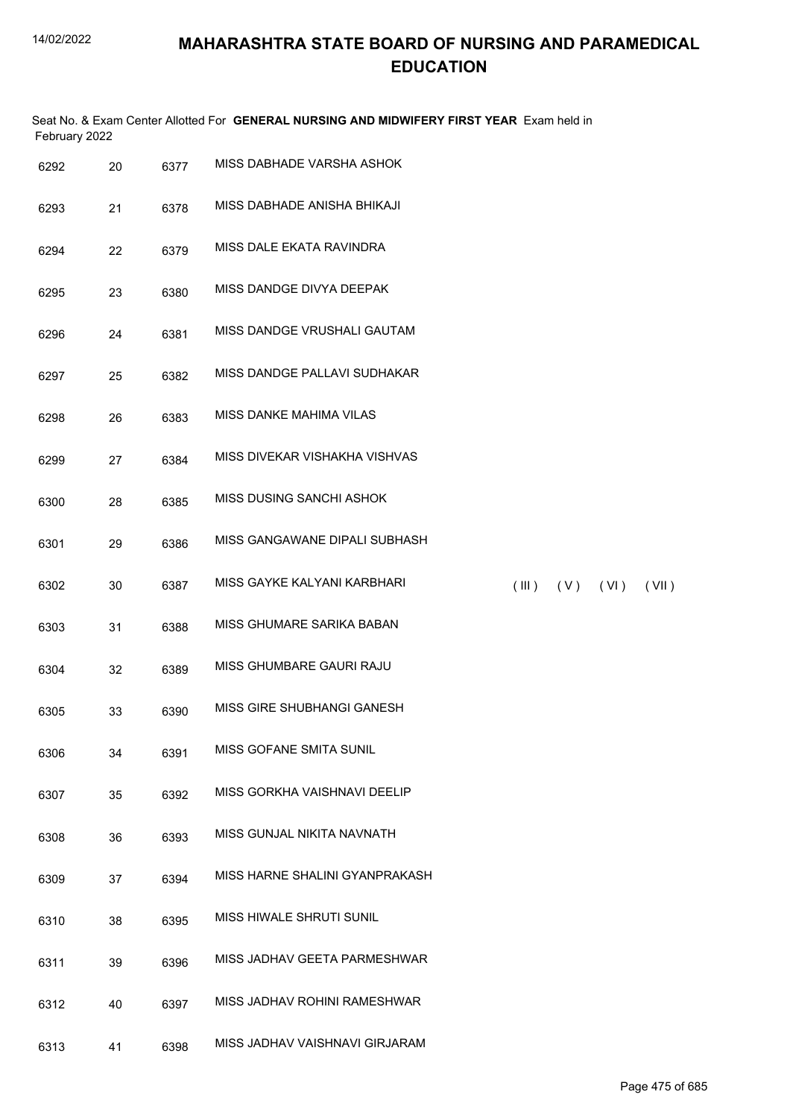| February 2022 |    |      | Seat No. & Exam Center Allotted For GENERAL NURSING AND MIDWIFERY FIRST YEAR Exam held in |             |     |      |       |
|---------------|----|------|-------------------------------------------------------------------------------------------|-------------|-----|------|-------|
| 6292          | 20 | 6377 | MISS DABHADE VARSHA ASHOK                                                                 |             |     |      |       |
| 6293          | 21 | 6378 | MISS DABHADE ANISHA BHIKAJI                                                               |             |     |      |       |
| 6294          | 22 | 6379 | MISS DALE EKATA RAVINDRA                                                                  |             |     |      |       |
| 6295          | 23 | 6380 | MISS DANDGE DIVYA DEEPAK                                                                  |             |     |      |       |
| 6296          | 24 | 6381 | MISS DANDGE VRUSHALI GAUTAM                                                               |             |     |      |       |
| 6297          | 25 | 6382 | MISS DANDGE PALLAVI SUDHAKAR                                                              |             |     |      |       |
| 6298          | 26 | 6383 | MISS DANKE MAHIMA VILAS                                                                   |             |     |      |       |
| 6299          | 27 | 6384 | MISS DIVEKAR VISHAKHA VISHVAS                                                             |             |     |      |       |
| 6300          | 28 | 6385 | MISS DUSING SANCHI ASHOK                                                                  |             |     |      |       |
| 6301          | 29 | 6386 | MISS GANGAWANE DIPALI SUBHASH                                                             |             |     |      |       |
| 6302          | 30 | 6387 | MISS GAYKE KALYANI KARBHARI                                                               | $($ III $)$ | (V) | (VI) | (VII) |
| 6303          | 31 | 6388 | MISS GHUMARE SARIKA BABAN                                                                 |             |     |      |       |
| 6304          | 32 | 6389 | MISS GHUMBARE GAURI RAJU                                                                  |             |     |      |       |
| 6305          | 33 | 6390 | MISS GIRE SHUBHANGI GANESH                                                                |             |     |      |       |
| 6306          | 34 | 6391 | MISS GOFANE SMITA SUNIL                                                                   |             |     |      |       |
| 6307          | 35 | 6392 | MISS GORKHA VAISHNAVI DEELIP                                                              |             |     |      |       |
| 6308          | 36 | 6393 | MISS GUNJAL NIKITA NAVNATH                                                                |             |     |      |       |
| 6309          | 37 | 6394 | MISS HARNE SHALINI GYANPRAKASH                                                            |             |     |      |       |
| 6310          | 38 | 6395 | MISS HIWALE SHRUTI SUNIL                                                                  |             |     |      |       |
| 6311          | 39 | 6396 | MISS JADHAV GEETA PARMESHWAR                                                              |             |     |      |       |
| 6312          | 40 | 6397 | MISS JADHAV ROHINI RAMESHWAR                                                              |             |     |      |       |
| 6313          | 41 | 6398 | MISS JADHAV VAISHNAVI GIRJARAM                                                            |             |     |      |       |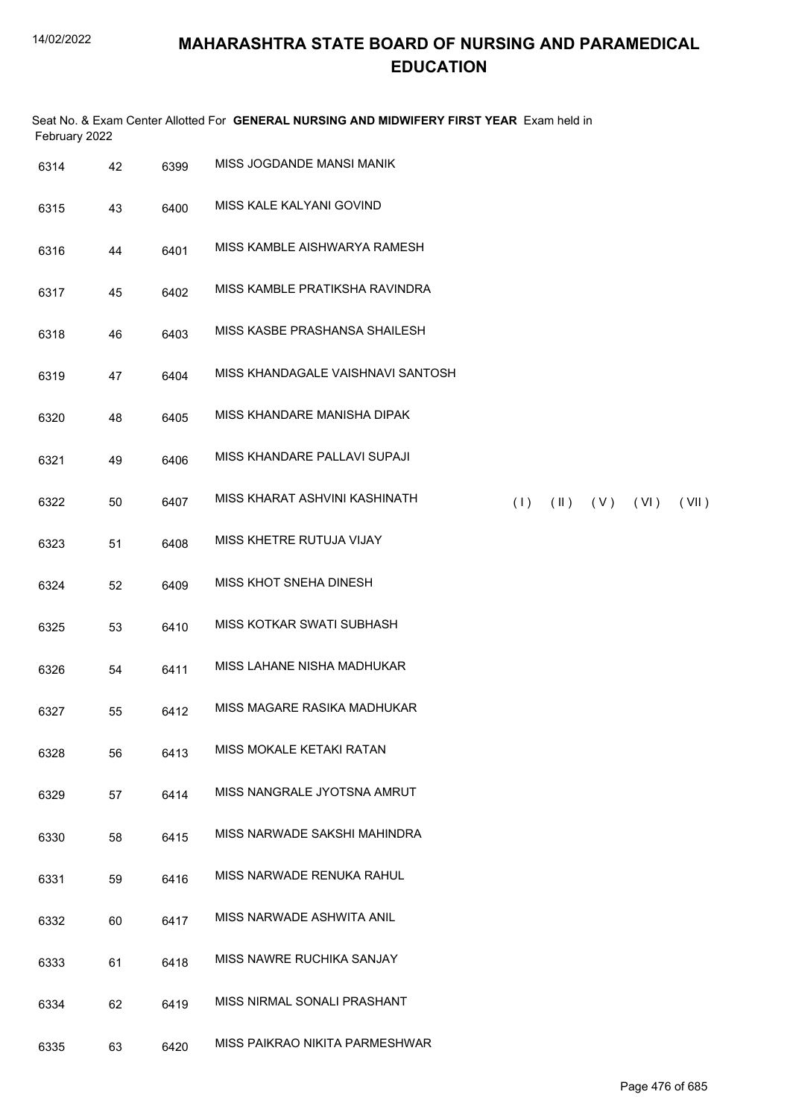| February 2022 |    |      | Seat No. & Exam Center Allotted For GENERAL NURSING AND MIDWIFERY FIRST YEAR Exam held in |
|---------------|----|------|-------------------------------------------------------------------------------------------|
| 6314          | 42 | 6399 | MISS JOGDANDE MANSI MANIK                                                                 |
| 6315          | 43 | 6400 | MISS KALE KALYANI GOVIND                                                                  |
| 6316          | 44 | 6401 | MISS KAMBLE AISHWARYA RAMESH                                                              |
| 6317          | 45 | 6402 | MISS KAMBLE PRATIKSHA RAVINDRA                                                            |
| 6318          | 46 | 6403 | MISS KASBE PRASHANSA SHAILESH                                                             |
| 6319          | 47 | 6404 | MISS KHANDAGALE VAISHNAVI SANTOSH                                                         |
| 6320          | 48 | 6405 | MISS KHANDARE MANISHA DIPAK                                                               |
| 6321          | 49 | 6406 | MISS KHANDARE PALLAVI SUPAJI                                                              |
| 6322          | 50 | 6407 | MISS KHARAT ASHVINI KASHINATH<br>(1)<br>$(II)$ $(V)$ $(VI)$<br>(VII)                      |
| 6323          | 51 | 6408 | MISS KHETRE RUTUJA VIJAY                                                                  |
| 6324          | 52 | 6409 | MISS KHOT SNEHA DINESH                                                                    |
| 6325          | 53 | 6410 | MISS KOTKAR SWATI SUBHASH                                                                 |
| 6326          | 54 | 6411 | MISS LAHANE NISHA MADHUKAR                                                                |
| 6327          | 55 | 6412 | MISS MAGARE RASIKA MADHUKAR                                                               |
| 6328          | 56 | 6413 | MISS MOKALE KETAKI RATAN                                                                  |
| 6329          | 57 | 6414 | MISS NANGRALE JYOTSNA AMRUT                                                               |
| 6330          | 58 | 6415 | MISS NARWADE SAKSHI MAHINDRA                                                              |
| 6331          | 59 | 6416 | MISS NARWADE RENUKA RAHUL                                                                 |
| 6332          | 60 | 6417 | MISS NARWADE ASHWITA ANIL                                                                 |
| 6333          | 61 | 6418 | MISS NAWRE RUCHIKA SANJAY                                                                 |
| 6334          | 62 | 6419 | MISS NIRMAL SONALI PRASHANT                                                               |
| 6335          | 63 | 6420 | MISS PAIKRAO NIKITA PARMESHWAR                                                            |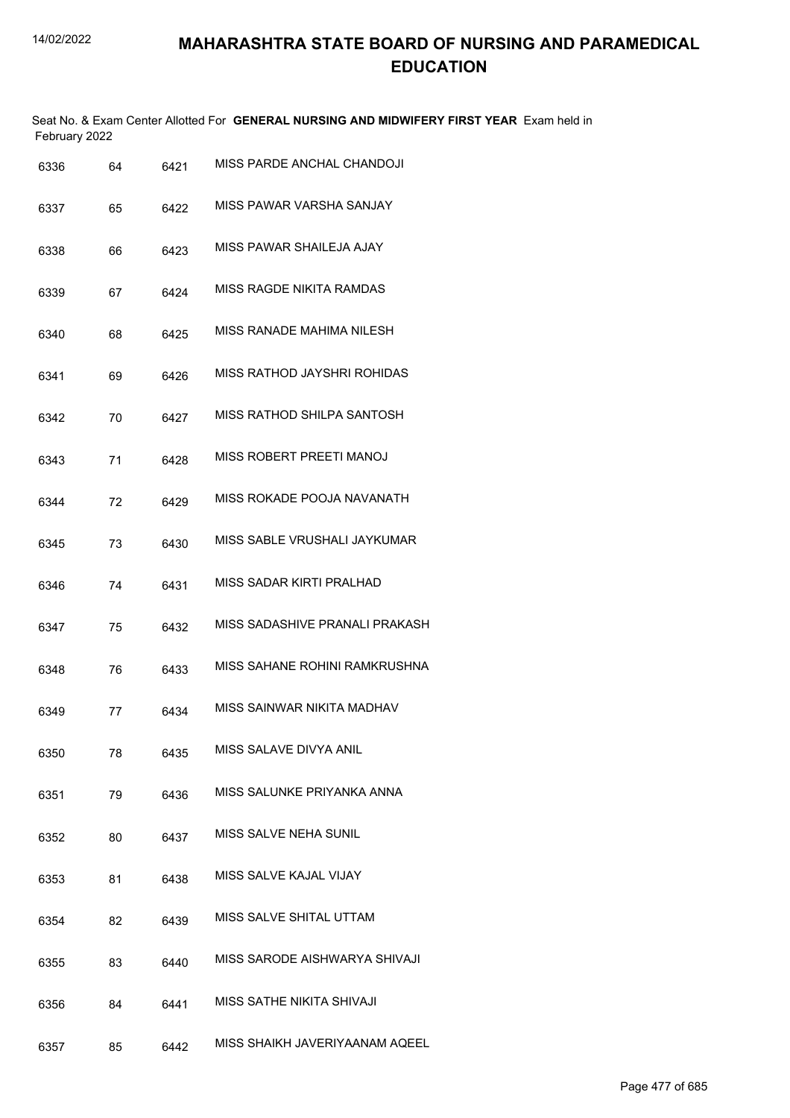Seat No. & Exam Center Allotted For **GENERAL NURSING AND MIDWIFERY FIRST YEAR** Exam held in February 2022

| 6336 | 64 | 6421 | MISS PARDE ANCHAL CHANDOJI        |
|------|----|------|-----------------------------------|
| 6337 | 65 | 6422 | MISS PAWAR VARSHA SANJAY          |
| 6338 | 66 | 6423 | MISS PAWAR SHAILEJA AJAY          |
| 6339 | 67 | 6424 | MISS RAGDE NIKITA RAMDAS          |
| 6340 | 68 | 6425 | MISS RANADE MAHIMA NILESH         |
| 6341 | 69 | 6426 | MISS RATHOD JAYSHRI ROHIDAS       |
| 6342 | 70 | 6427 | <b>MISS RATHOD SHILPA SANTOSH</b> |
| 6343 | 71 | 6428 | MISS ROBERT PREETI MANOJ          |
| 6344 | 72 | 6429 | MISS ROKADE POOJA NAVANATH        |
| 6345 | 73 | 6430 | MISS SABLE VRUSHALI JAYKUMAR      |
| 6346 | 74 | 6431 | MISS SADAR KIRTI PRALHAD          |
| 6347 | 75 | 6432 | MISS SADASHIVE PRANALI PRAKASH    |
| 6348 | 76 | 6433 | MISS SAHANE ROHINI RAMKRUSHNA     |
| 6349 | 77 | 6434 | MISS SAINWAR NIKITA MADHAV        |
| 6350 | 78 | 6435 | MISS SALAVE DIVYA ANIL            |
| 6351 | 79 | 6436 | MISS SALUNKE PRIYANKA ANNA        |
| 6352 | 80 | 6437 | MISS SALVE NEHA SUNIL             |
| 6353 | 81 | 6438 | MISS SALVE KAJAL VIJAY            |
| 6354 | 82 | 6439 | MISS SALVE SHITAL UTTAM           |
| 6355 | 83 | 6440 | MISS SARODE AISHWARYA SHIVAJI     |
| 6356 | 84 | 6441 | MISS SATHE NIKITA SHIVAJI         |
| 6357 | 85 | 6442 | MISS SHAIKH JAVERIYAANAM AQEEL    |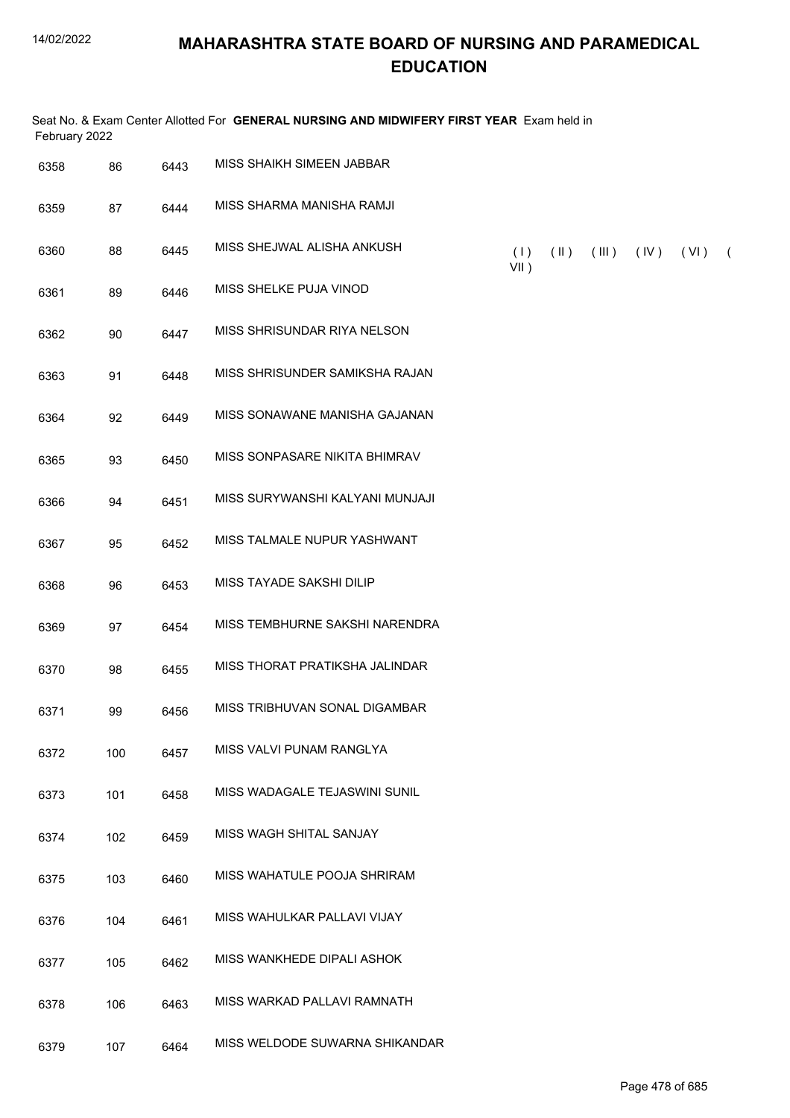| February 2022 |     |      | Seat No. & Exam Center Allotted For GENERAL NURSING AND MIDWIFERY FIRST YEAR Exam held in |                |               |                         |      |      |            |
|---------------|-----|------|-------------------------------------------------------------------------------------------|----------------|---------------|-------------------------|------|------|------------|
| 6358          | 86  | 6443 | MISS SHAIKH SIMEEN JABBAR                                                                 |                |               |                         |      |      |            |
| 6359          | 87  | 6444 | MISS SHARMA MANISHA RAMJI                                                                 |                |               |                         |      |      |            |
| 6360          | 88  | 6445 | MISS SHEJWAL ALISHA ANKUSH                                                                | (1)<br>$VII$ ) | $(\parallel)$ | $(\parallel \parallel)$ | (IV) | (VI) | $\sqrt{2}$ |
| 6361          | 89  | 6446 | MISS SHELKE PUJA VINOD                                                                    |                |               |                         |      |      |            |
| 6362          | 90  | 6447 | MISS SHRISUNDAR RIYA NELSON                                                               |                |               |                         |      |      |            |
| 6363          | 91  | 6448 | MISS SHRISUNDER SAMIKSHA RAJAN                                                            |                |               |                         |      |      |            |
| 6364          | 92  | 6449 | MISS SONAWANE MANISHA GAJANAN                                                             |                |               |                         |      |      |            |
| 6365          | 93  | 6450 | MISS SONPASARE NIKITA BHIMRAV                                                             |                |               |                         |      |      |            |
| 6366          | 94  | 6451 | MISS SURYWANSHI KALYANI MUNJAJI                                                           |                |               |                         |      |      |            |
| 6367          | 95  | 6452 | MISS TALMALE NUPUR YASHWANT                                                               |                |               |                         |      |      |            |
| 6368          | 96  | 6453 | MISS TAYADE SAKSHI DILIP                                                                  |                |               |                         |      |      |            |
| 6369          | 97  | 6454 | MISS TEMBHURNE SAKSHI NARENDRA                                                            |                |               |                         |      |      |            |
| 6370          | 98  | 6455 | MISS THORAT PRATIKSHA JALINDAR                                                            |                |               |                         |      |      |            |
| 6371          | 99  | 6456 | MISS TRIBHUVAN SONAL DIGAMBAR                                                             |                |               |                         |      |      |            |
| 6372          | 100 | 6457 | MISS VALVI PUNAM RANGLYA                                                                  |                |               |                         |      |      |            |
| 6373          | 101 | 6458 | MISS WADAGALE TEJASWINI SUNIL                                                             |                |               |                         |      |      |            |
| 6374          | 102 | 6459 | MISS WAGH SHITAL SANJAY                                                                   |                |               |                         |      |      |            |
| 6375          | 103 | 6460 | MISS WAHATULE POOJA SHRIRAM                                                               |                |               |                         |      |      |            |
| 6376          | 104 | 6461 | MISS WAHULKAR PALLAVI VIJAY                                                               |                |               |                         |      |      |            |
| 6377          | 105 | 6462 | MISS WANKHEDE DIPALI ASHOK                                                                |                |               |                         |      |      |            |
| 6378          | 106 | 6463 | MISS WARKAD PALLAVI RAMNATH                                                               |                |               |                         |      |      |            |
| 6379          | 107 | 6464 | MISS WELDODE SUWARNA SHIKANDAR                                                            |                |               |                         |      |      |            |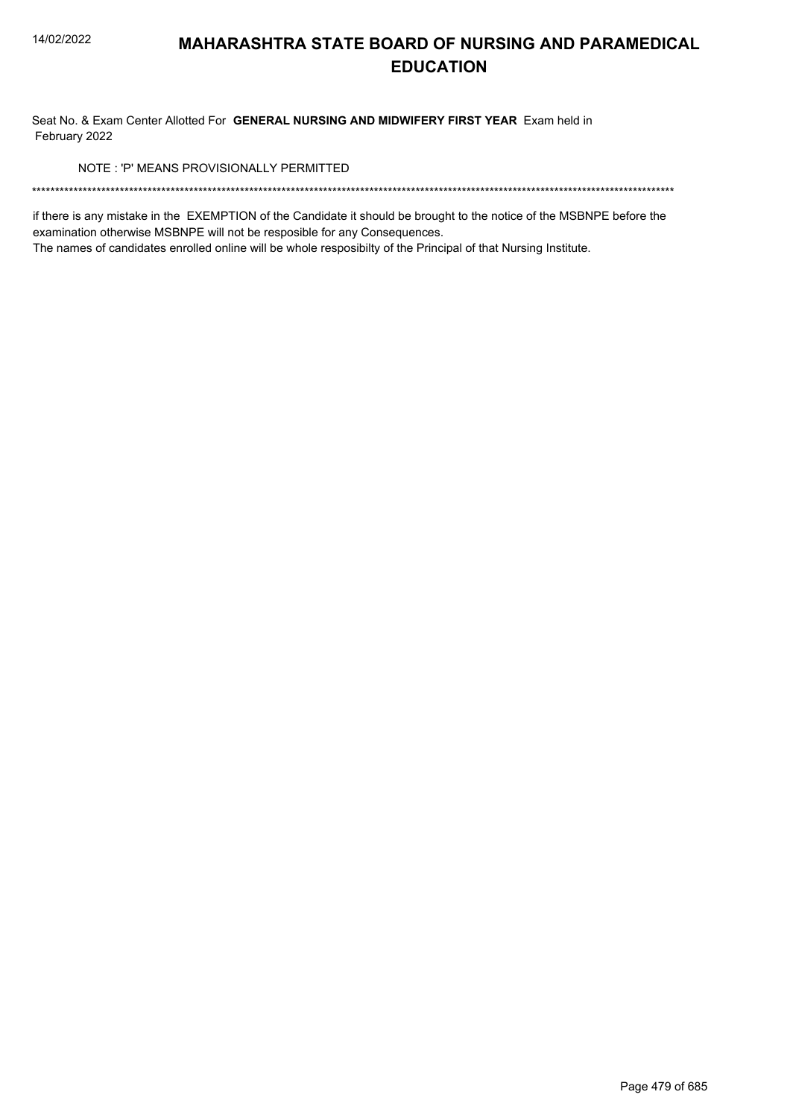Seat No. & Exam Center Allotted For GENERAL NURSING AND MIDWIFERY FIRST YEAR Exam held in February 2022

NOTE: 'P' MEANS PROVISIONALLY PERMITTED

if there is any mistake in the EXEMPTION of the Candidate it should be brought to the notice of the MSBNPE before the examination otherwise MSBNPE will not be resposible for any Consequences.

The names of candidates enrolled online will be whole resposibilty of the Principal of that Nursing Institute.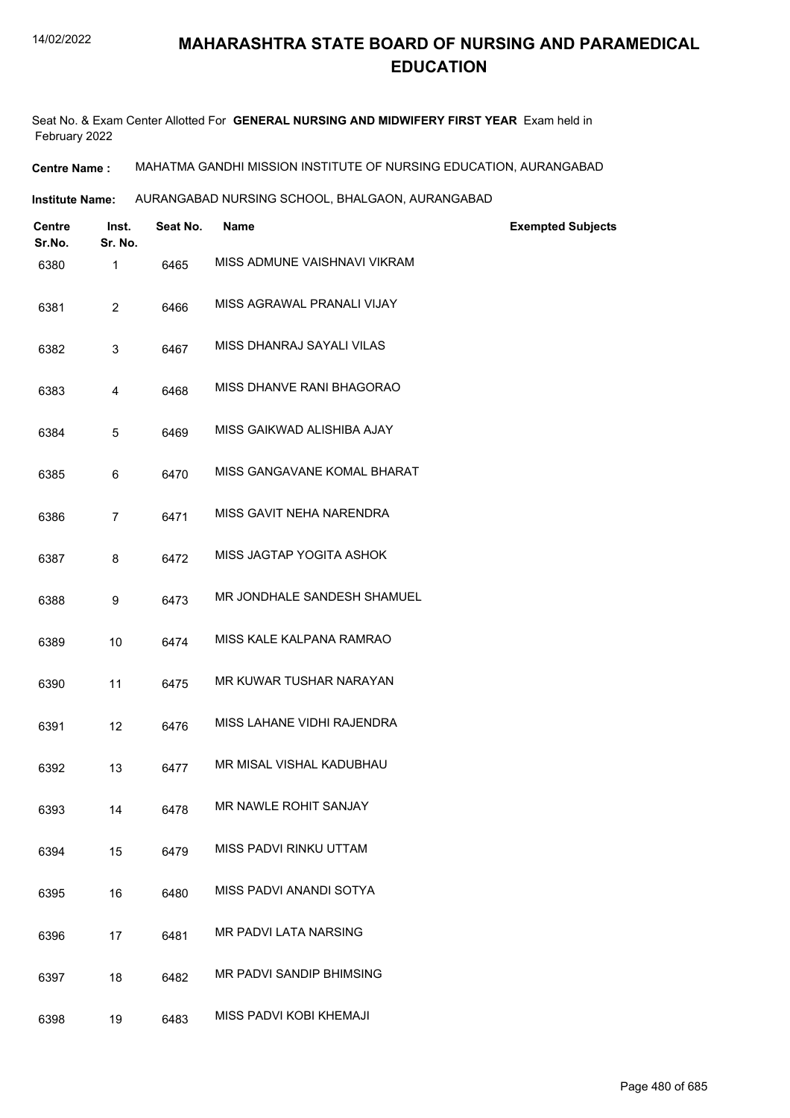Seat No. & Exam Center Allotted For **GENERAL NURSING AND MIDWIFERY FIRST YEAR** Exam held in February 2022

**Centre Name :** MAHATMA GANDHI MISSION INSTITUTE OF NURSING EDUCATION, AURANGABAD

**Institute Name: AURANGABAD NURSING SCHOOL, BHALGAON, AURANGABAD** 

| <b>Centre</b><br>Sr.No. | Inst.<br>Sr. No. | Seat No. | <b>Name</b>                  | <b>Exempted Subjects</b> |
|-------------------------|------------------|----------|------------------------------|--------------------------|
| 6380                    | $\mathbf{1}$     | 6465     | MISS ADMUNE VAISHNAVI VIKRAM |                          |
| 6381                    | 2                | 6466     | MISS AGRAWAL PRANALI VIJAY   |                          |
| 6382                    | 3                | 6467     | MISS DHANRAJ SAYALI VILAS    |                          |
| 6383                    | 4                | 6468     | MISS DHANVE RANI BHAGORAO    |                          |
| 6384                    | 5                | 6469     | MISS GAIKWAD ALISHIBA AJAY   |                          |
| 6385                    | 6                | 6470     | MISS GANGAVANE KOMAL BHARAT  |                          |
| 6386                    | $\overline{7}$   | 6471     | MISS GAVIT NEHA NARENDRA     |                          |
| 6387                    | 8                | 6472     | MISS JAGTAP YOGITA ASHOK     |                          |
| 6388                    | 9                | 6473     | MR JONDHALE SANDESH SHAMUEL  |                          |
| 6389                    | 10               | 6474     | MISS KALE KALPANA RAMRAO     |                          |
| 6390                    | 11               | 6475     | MR KUWAR TUSHAR NARAYAN      |                          |
| 6391                    | 12               | 6476     | MISS LAHANE VIDHI RAJENDRA   |                          |
| 6392                    | 13               | 6477     | MR MISAL VISHAL KADUBHAU     |                          |
| 6393                    | 14               | 6478     | MR NAWLE ROHIT SANJAY        |                          |
| 6394                    | 15               | 6479     | MISS PADVI RINKU UTTAM       |                          |
| 6395                    | 16               | 6480     | MISS PADVI ANANDI SOTYA      |                          |
| 6396                    | 17               | 6481     | MR PADVI LATA NARSING        |                          |
| 6397                    | 18               | 6482     | MR PADVI SANDIP BHIMSING     |                          |
| 6398                    | 19               | 6483     | MISS PADVI KOBI KHEMAJI      |                          |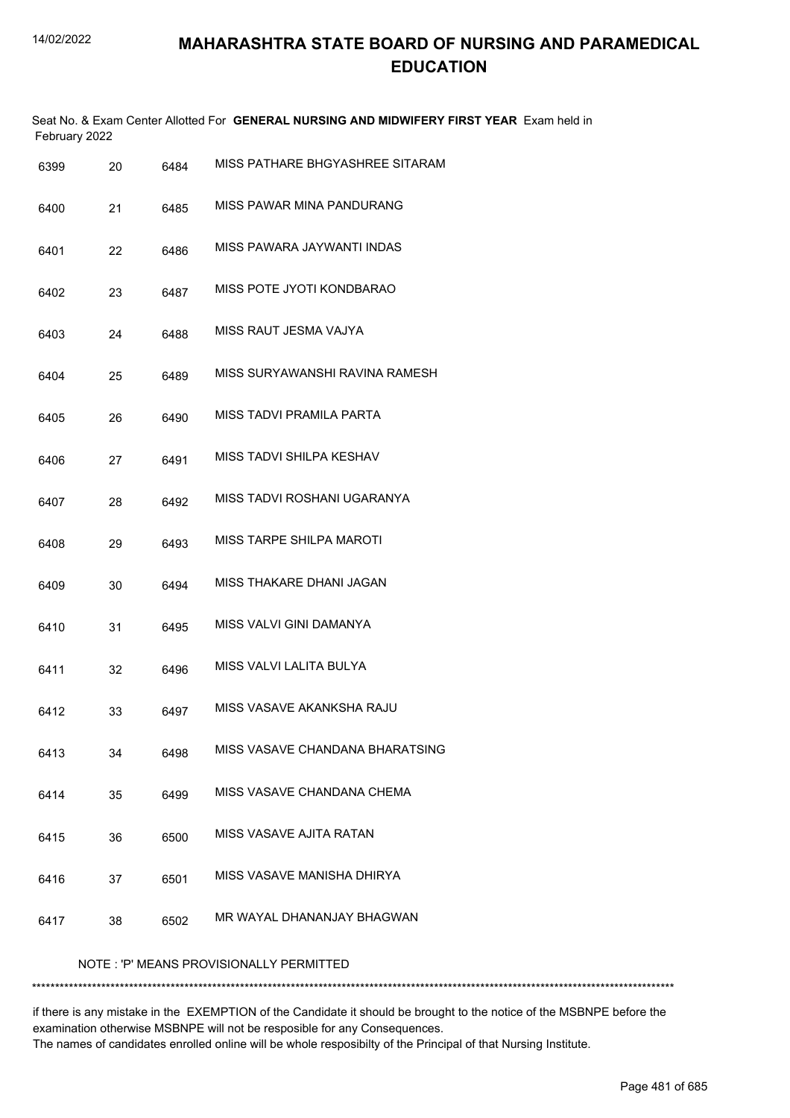|      | February 2022 |      | Seat No. & Exam Center Allotted For GENERAL NURSING AND MIDWIFERY FIRST YEAR Exam held in |
|------|---------------|------|-------------------------------------------------------------------------------------------|
| 6399 | 20            | 6484 | MISS PATHARE BHGYASHREE SITARAM                                                           |
| 6400 | 21            | 6485 | MISS PAWAR MINA PANDURANG                                                                 |
| 6401 | 22            | 6486 | MISS PAWARA JAYWANTI INDAS                                                                |
| 6402 | 23            | 6487 | MISS POTE JYOTI KONDBARAO                                                                 |
| 6403 | 24            | 6488 | MISS RAUT JESMA VAJYA                                                                     |
| 6404 | 25            | 6489 | MISS SURYAWANSHI RAVINA RAMESH                                                            |
| 6405 | 26            | 6490 | MISS TADVI PRAMILA PARTA                                                                  |
| 6406 | 27            | 6491 | MISS TADVI SHILPA KESHAV                                                                  |
| 6407 | 28            | 6492 | MISS TADVI ROSHANI UGARANYA                                                               |
| 6408 | 29            | 6493 | <b>MISS TARPE SHILPA MAROTI</b>                                                           |
| 6409 | 30            | 6494 | MISS THAKARE DHANI JAGAN                                                                  |
| 6410 | 31            | 6495 | MISS VALVI GINI DAMANYA                                                                   |
| 6411 | 32            | 6496 | MISS VALVI LALITA BULYA                                                                   |
| 6412 | 33            | 6497 | MISS VASAVE AKANKSHA RAJU                                                                 |
| 6413 | 34            | 6498 | MISS VASAVE CHANDANA BHARATSING                                                           |
| 6414 | 35            | 6499 | MISS VASAVE CHANDANA CHEMA                                                                |
| 6415 | 36            | 6500 | MISS VASAVE AJITA RATAN                                                                   |
| 6416 | 37            | 6501 | MISS VASAVE MANISHA DHIRYA                                                                |
| 6417 | 38            | 6502 | MR WAYAL DHANANJAY BHAGWAN                                                                |
|      |               |      | NOTE: 'P' MEANS PROVISIONALLY PERMITTED                                                   |

\*\*\*\*\*\*\*\*\*\*\*\*\*\*\*\*\*\*\*\*\*\*\*\*\*\*\*\*\*\*\*\*\*\*\*\*\*\*\*\*\*\*\*\*\*\*\*\*\*\*\*\*\*\*\*\*\*\*\*\*\*\*\*\*\*\*\*\*\*\*\*\*\*\*\*\*\*\*\*\*\*\*\*\*\*\*\*\*\*\*\*\*\*\*\*\*\*\*\*\*\*\*\*\*\*\*\*\*\*\*\*\*\*\*\*\*\*\*\*\*\*\*\*\*\*\*\*\*\*\*\*\*\*\*\*\*\*\*\*

if there is any mistake in the EXEMPTION of the Candidate it should be brought to the notice of the MSBNPE before the examination otherwise MSBNPE will not be resposible for any Consequences. The names of candidates enrolled online will be whole resposibilty of the Principal of that Nursing Institute.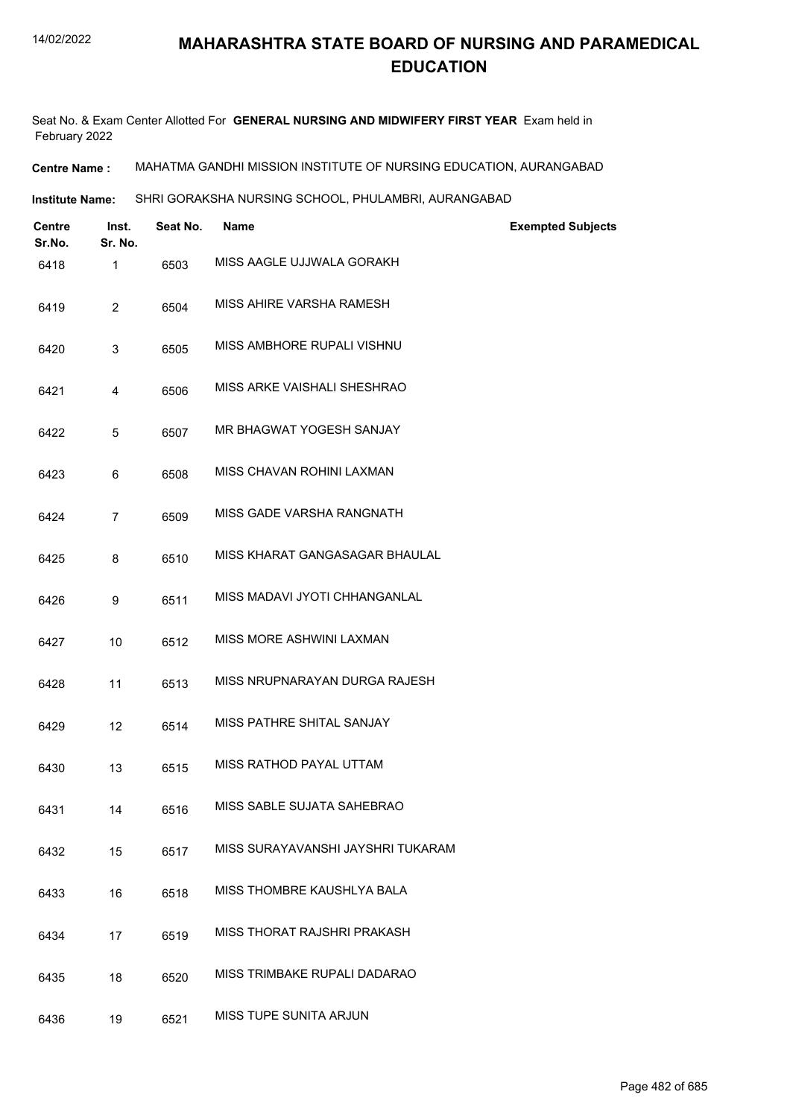Seat No. & Exam Center Allotted For **GENERAL NURSING AND MIDWIFERY FIRST YEAR** Exam held in February 2022

**Centre Name :** MAHATMA GANDHI MISSION INSTITUTE OF NURSING EDUCATION, AURANGABAD

**Institute Name: SHRI GORAKSHA NURSING SCHOOL, PHULAMBRI, AURANGABAD** 

| <b>Centre</b><br>Sr.No. | Inst.<br>Sr. No. | Seat No. | Name                              | <b>Exempted Subjects</b> |
|-------------------------|------------------|----------|-----------------------------------|--------------------------|
| 6418                    | 1                | 6503     | MISS AAGLE UJJWALA GORAKH         |                          |
| 6419                    | $\overline{2}$   | 6504     | MISS AHIRE VARSHA RAMESH          |                          |
| 6420                    | 3                | 6505     | MISS AMBHORE RUPALI VISHNU        |                          |
| 6421                    | 4                | 6506     | MISS ARKE VAISHALI SHESHRAO       |                          |
| 6422                    | 5                | 6507     | MR BHAGWAT YOGESH SANJAY          |                          |
| 6423                    | 6                | 6508     | MISS CHAVAN ROHINI LAXMAN         |                          |
| 6424                    | $\overline{7}$   | 6509     | MISS GADE VARSHA RANGNATH         |                          |
| 6425                    | 8                | 6510     | MISS KHARAT GANGASAGAR BHAULAL    |                          |
| 6426                    | 9                | 6511     | MISS MADAVI JYOTI CHHANGANLAL     |                          |
| 6427                    | 10               | 6512     | MISS MORE ASHWINI LAXMAN          |                          |
| 6428                    | 11               | 6513     | MISS NRUPNARAYAN DURGA RAJESH     |                          |
| 6429                    | 12               | 6514     | MISS PATHRE SHITAL SANJAY         |                          |
| 6430                    | 13               | 6515     | MISS RATHOD PAYAL UTTAM           |                          |
| 6431                    | 14               | 6516     | MISS SABLE SUJATA SAHEBRAO        |                          |
| 6432                    | 15               | 6517     | MISS SURAYAVANSHI JAYSHRI TUKARAM |                          |
| 6433                    | 16               | 6518     | MISS THOMBRE KAUSHLYA BALA        |                          |
| 6434                    | 17               | 6519     | MISS THORAT RAJSHRI PRAKASH       |                          |
| 6435                    | 18               | 6520     | MISS TRIMBAKE RUPALI DADARAO      |                          |
| 6436                    | 19               | 6521     | MISS TUPE SUNITA ARJUN            |                          |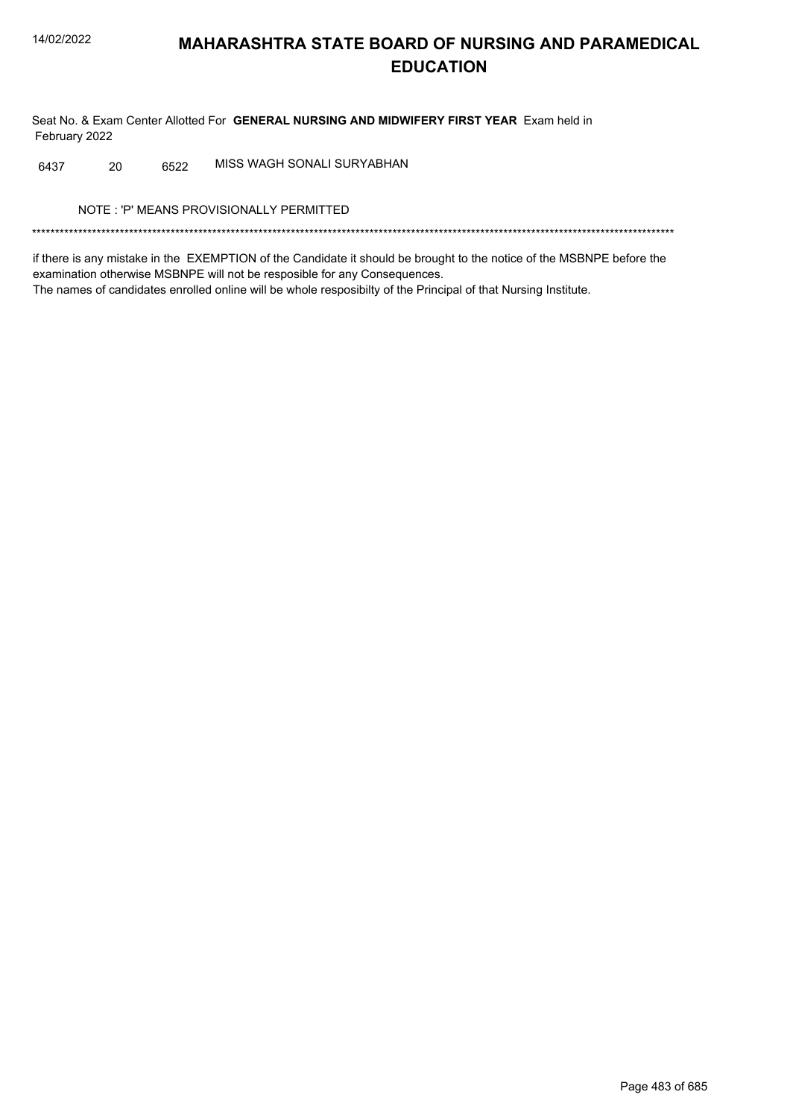Seat No. & Exam Center Allotted For GENERAL NURSING AND MIDWIFERY FIRST YEAR Exam held in February 2022

MISS WAGH SONALI SURYABHAN 20 6522 6437

NOTE: 'P' MEANS PROVISIONALLY PERMITTED

if there is any mistake in the EXEMPTION of the Candidate it should be brought to the notice of the MSBNPE before the examination otherwise MSBNPE will not be resposible for any Consequences. The names of candidates enrolled online will be whole resposibilty of the Principal of that Nursing Institute.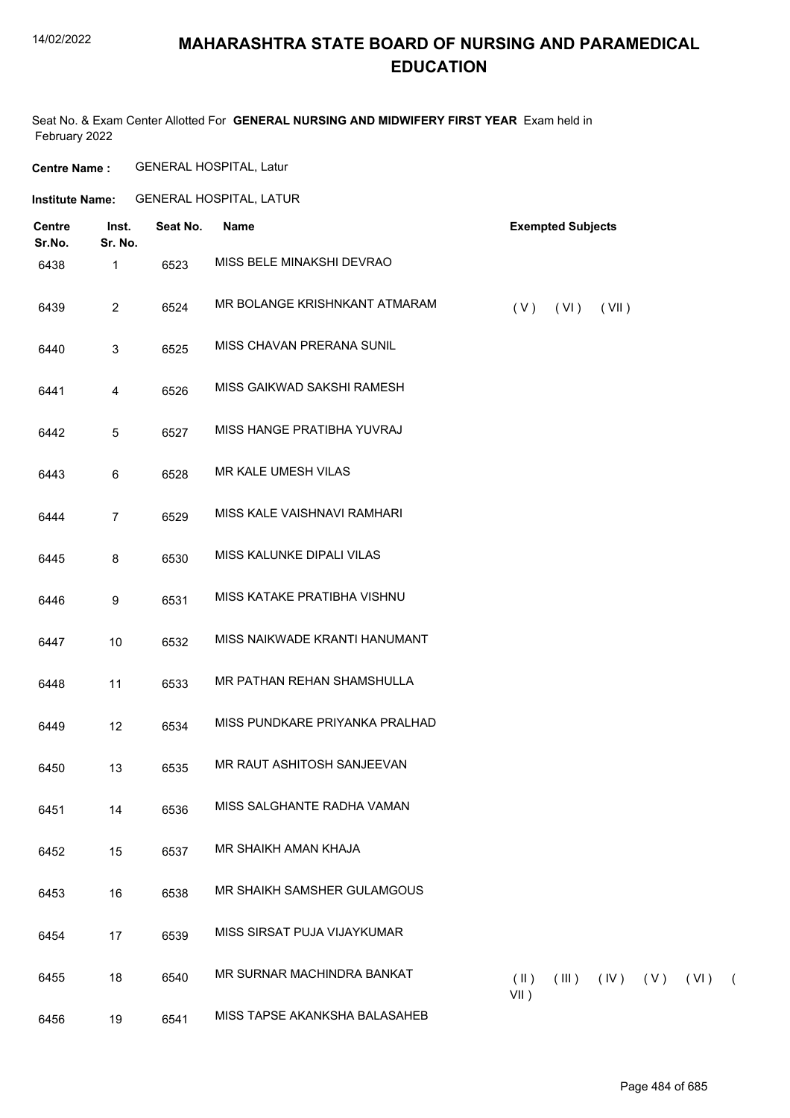#### 14/02/2022

### **MAHARASHTRA STATE BOARD OF NURSING AND PARAMEDICAL EDUCATION**

Seat No. & Exam Center Allotted For **GENERAL NURSING AND MIDWIFERY FIRST YEAR** Exam held in February 2022

**Centre Name :** GENERAL HOSPITAL, Latur

**Institute Name:** GENERAL HOSPITAL, LATUR

| <b>Centre</b><br>Sr.No. | Inst.<br>Sr. No. | Seat No. | Name                           |                          | <b>Exempted Subjects</b> |       |             |      |            |
|-------------------------|------------------|----------|--------------------------------|--------------------------|--------------------------|-------|-------------|------|------------|
| 6438                    | 1                | 6523     | MISS BELE MINAKSHI DEVRAO      |                          |                          |       |             |      |            |
| 6439                    | $\overline{2}$   | 6524     | MR BOLANGE KRISHNKANT ATMARAM  | (V)                      | (VI)                     | (VII) |             |      |            |
| 6440                    | $\mathbf{3}$     | 6525     | MISS CHAVAN PRERANA SUNIL      |                          |                          |       |             |      |            |
| 6441                    | $\overline{4}$   | 6526     | MISS GAIKWAD SAKSHI RAMESH     |                          |                          |       |             |      |            |
| 6442                    | 5                | 6527     | MISS HANGE PRATIBHA YUVRAJ     |                          |                          |       |             |      |            |
| 6443                    | $\,6\,$          | 6528     | MR KALE UMESH VILAS            |                          |                          |       |             |      |            |
| 6444                    | $\overline{7}$   | 6529     | MISS KALE VAISHNAVI RAMHARI    |                          |                          |       |             |      |            |
| 6445                    | $\bf 8$          | 6530     | MISS KALUNKE DIPALI VILAS      |                          |                          |       |             |      |            |
| 6446                    | 9                | 6531     | MISS KATAKE PRATIBHA VISHNU    |                          |                          |       |             |      |            |
| 6447                    | $10$             | 6532     | MISS NAIKWADE KRANTI HANUMANT  |                          |                          |       |             |      |            |
| 6448                    | 11               | 6533     | MR PATHAN REHAN SHAMSHULLA     |                          |                          |       |             |      |            |
| 6449                    | 12               | 6534     | MISS PUNDKARE PRIYANKA PRALHAD |                          |                          |       |             |      |            |
| 6450                    | 13               | 6535     | MR RAUT ASHITOSH SANJEEVAN     |                          |                          |       |             |      |            |
| 6451                    | 14               | 6536     | MISS SALGHANTE RADHA VAMAN     |                          |                          |       |             |      |            |
| 6452                    | 15               | 6537     | MR SHAIKH AMAN KHAJA           |                          |                          |       |             |      |            |
| 6453                    | 16               | 6538     | MR SHAIKH SAMSHER GULAMGOUS    |                          |                          |       |             |      |            |
| 6454                    | 17               | 6539     | MISS SIRSAT PUJA VIJAYKUMAR    |                          |                          |       |             |      |            |
| 6455                    | 18               | 6540     | MR SURNAR MACHINDRA BANKAT     | $(\parallel)$<br>$VII$ ) | (III)                    |       | $(V)$ $(V)$ | (VI) | $\sqrt{2}$ |
| 6456                    | 19               | 6541     | MISS TAPSE AKANKSHA BALASAHEB  |                          |                          |       |             |      |            |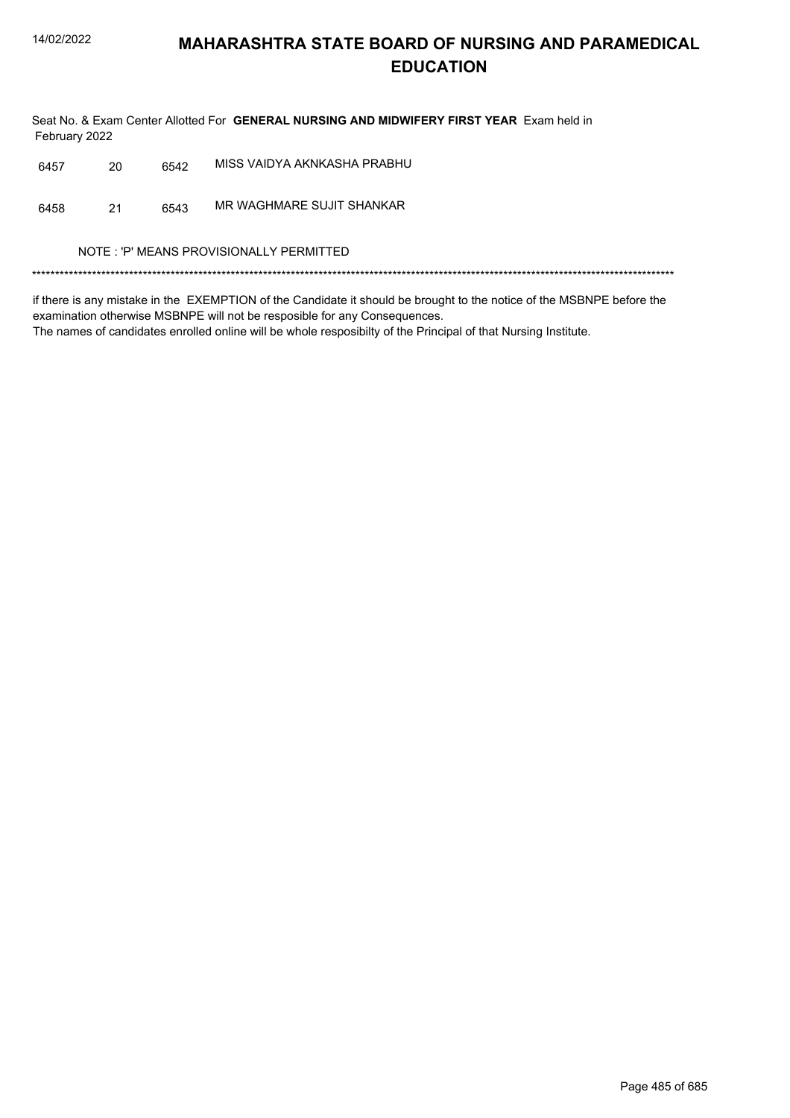Seat No. & Exam Center Allotted For GENERAL NURSING AND MIDWIFERY FIRST YEAR Exam held in February 2022

| 6457 | 20 | 6542 | MISS VAIDYA AKNKASHA PRABHU |
|------|----|------|-----------------------------|
|      |    |      |                             |

MR WAGHMARE SUJIT SHANKAR 6458  $21$ 6543

NOTE : 'P' MEANS PROVISIONALLY PERMITTED

if there is any mistake in the EXEMPTION of the Candidate it should be brought to the notice of the MSBNPE before the examination otherwise MSBNPE will not be resposible for any Consequences.

The names of candidates enrolled online will be whole resposibilty of the Principal of that Nursing Institute.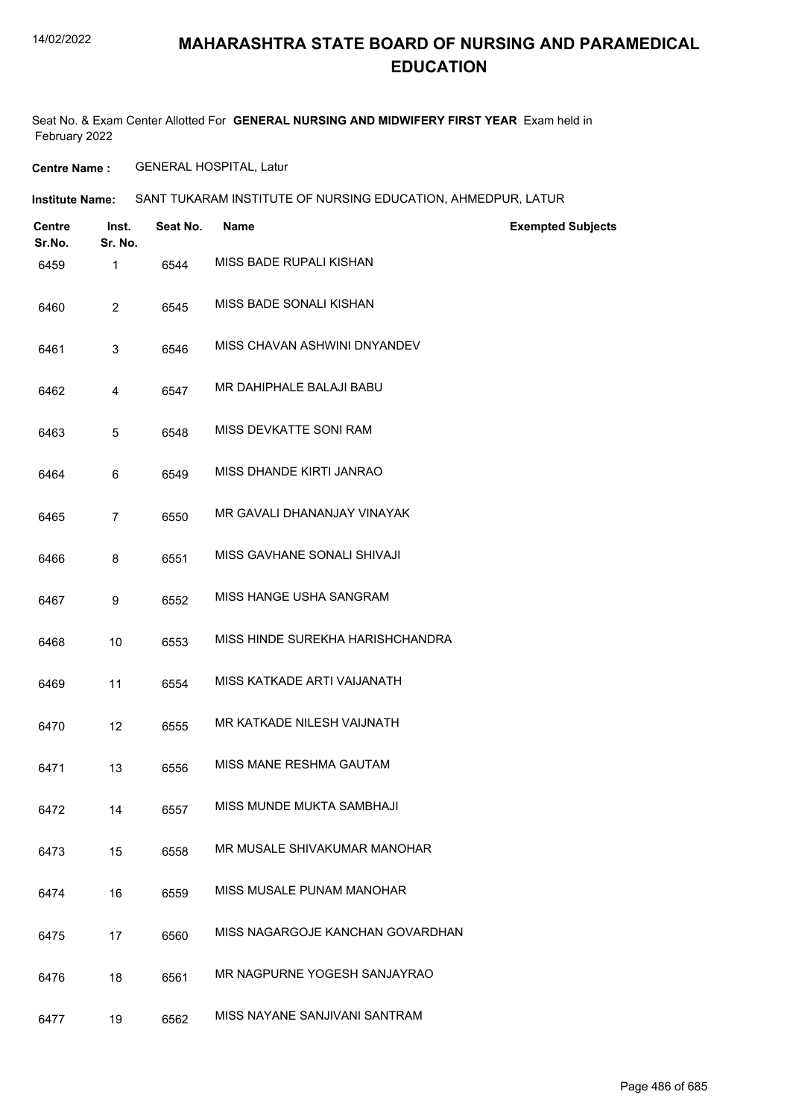#### 14/02/2022

#### **MAHARASHTRA STATE BOARD OF NURSING AND PARAMEDICAL EDUCATION**

Seat No. & Exam Center Allotted For **GENERAL NURSING AND MIDWIFERY FIRST YEAR** Exam held in February 2022

**Centre Name :** GENERAL HOSPITAL, Latur

**Institute Name: SANT TUKARAM INSTITUTE OF NURSING EDUCATION, AHMEDPUR, LATUR** 

| <b>Centre</b><br>Sr.No. | Inst.<br>Sr. No. | Seat No. | <b>Name</b>                      | <b>Exempted Subjects</b> |
|-------------------------|------------------|----------|----------------------------------|--------------------------|
| 6459                    | 1                | 6544     | MISS BADE RUPALI KISHAN          |                          |
| 6460                    | $\overline{2}$   | 6545     | MISS BADE SONALI KISHAN          |                          |
| 6461                    | 3                | 6546     | MISS CHAVAN ASHWINI DNYANDEV     |                          |
| 6462                    | 4                | 6547     | MR DAHIPHALE BALAJI BABU         |                          |
| 6463                    | 5                | 6548     | MISS DEVKATTE SONI RAM           |                          |
| 6464                    | 6                | 6549     | MISS DHANDE KIRTI JANRAO         |                          |
| 6465                    | $\overline{7}$   | 6550     | MR GAVALI DHANANJAY VINAYAK      |                          |
| 6466                    | 8                | 6551     | MISS GAVHANE SONALI SHIVAJI      |                          |
| 6467                    | 9                | 6552     | MISS HANGE USHA SANGRAM          |                          |
| 6468                    | 10               | 6553     | MISS HINDE SUREKHA HARISHCHANDRA |                          |
| 6469                    | 11               | 6554     | MISS KATKADE ARTI VAIJANATH      |                          |
| 6470                    | 12               | 6555     | MR KATKADE NILESH VAIJNATH       |                          |
| 6471                    | 13               | 6556     | MISS MANE RESHMA GAUTAM          |                          |
| 6472                    | 14               | 6557     | MISS MUNDE MUKTA SAMBHAJI        |                          |
| 6473                    | 15               | 6558     | MR MUSALE SHIVAKUMAR MANOHAR     |                          |
| 6474                    | 16               | 6559     | MISS MUSALE PUNAM MANOHAR        |                          |
| 6475                    | 17               | 6560     | MISS NAGARGOJE KANCHAN GOVARDHAN |                          |
| 6476                    | 18               | 6561     | MR NAGPURNE YOGESH SANJAYRAO     |                          |
| 6477                    | 19               | 6562     | MISS NAYANE SANJIVANI SANTRAM    |                          |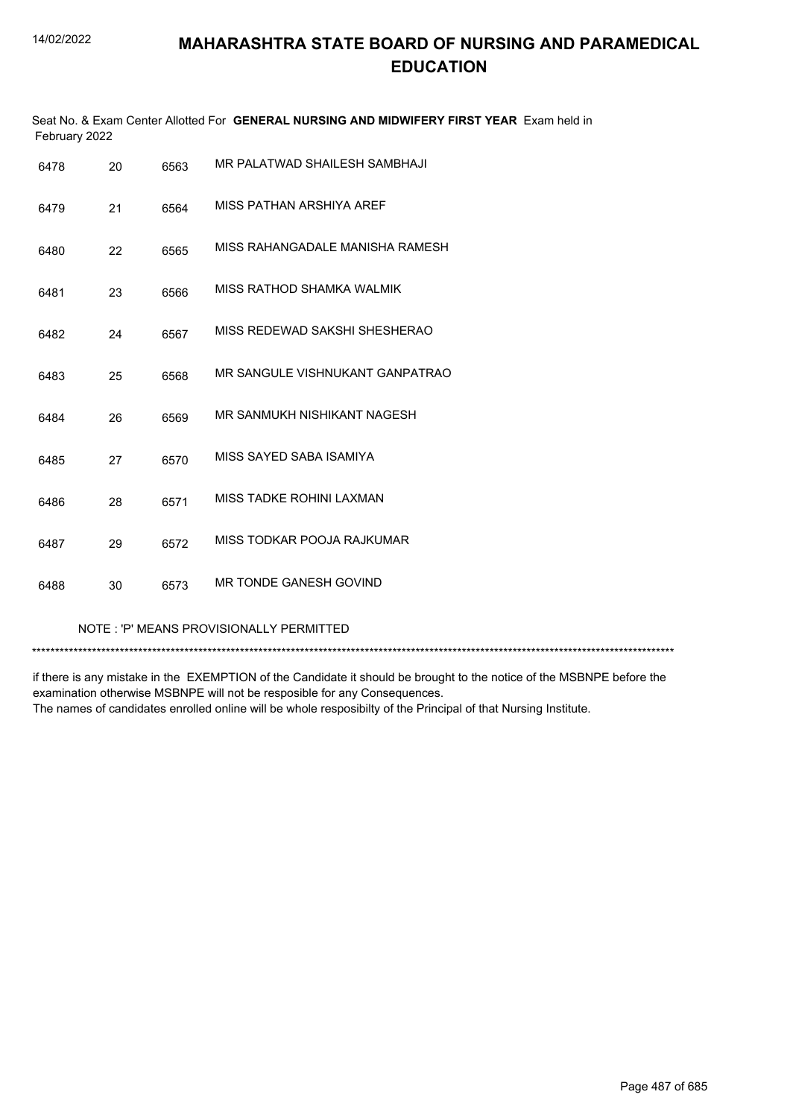| February 2022 |    |      | Seat No. & Exam Center Allotted For GENERAL NURSING AND MIDWIFERY FIRST YEAR Exam held in |
|---------------|----|------|-------------------------------------------------------------------------------------------|
| 6478          | 20 | 6563 | MR PALATWAD SHAILESH SAMBHAJI                                                             |
| 6479          | 21 | 6564 | MISS PATHAN ARSHIYA AREF                                                                  |
| 6480          | 22 | 6565 | MISS RAHANGADALE MANISHA RAMESH                                                           |
| 6481          | 23 | 6566 | MISS RATHOD SHAMKA WALMIK                                                                 |
| 6482          | 24 | 6567 | MISS REDEWAD SAKSHI SHESHERAO                                                             |
| 6483          | 25 | 6568 | MR SANGULE VISHNUKANT GANPATRAO                                                           |
| 6484          | 26 | 6569 | MR SANMUKH NISHIKANT NAGESH                                                               |
| 6485          | 27 | 6570 | MISS SAYED SABA ISAMIYA                                                                   |
| 6486          | 28 | 6571 | MISS TADKE ROHINI LAXMAN                                                                  |
| 6487          | 29 | 6572 | MISS TODKAR POOJA RAJKUMAR                                                                |
| 6488          | 30 | 6573 | MR TONDE GANESH GOVIND                                                                    |
|               |    |      |                                                                                           |

NOTE : 'P' MEANS PROVISIONALLY PERMITTED

\*\*\*\*\*\*\*\*\*\*\*\*\*\*\*\*\*\*\*\*\*\*\*\*\*\*\*\*\*\*\*\*\*\*\*\*\*\*\*\*\*\*\*\*\*\*\*\*\*\*\*\*\*\*\*\*\*\*\*\*\*\*\*\*\*\*\*\*\*\*\*\*\*\*\*\*\*\*\*\*\*\*\*\*\*\*\*\*\*\*\*\*\*\*\*\*\*\*\*\*\*\*\*\*\*\*\*\*\*\*\*\*\*\*\*\*\*\*\*\*\*\*\*\*\*\*\*\*\*\*\*\*\*\*\*\*\*\*\*

if there is any mistake in the EXEMPTION of the Candidate it should be brought to the notice of the MSBNPE before the examination otherwise MSBNPE will not be resposible for any Consequences. The names of candidates enrolled online will be whole resposibilty of the Principal of that Nursing Institute.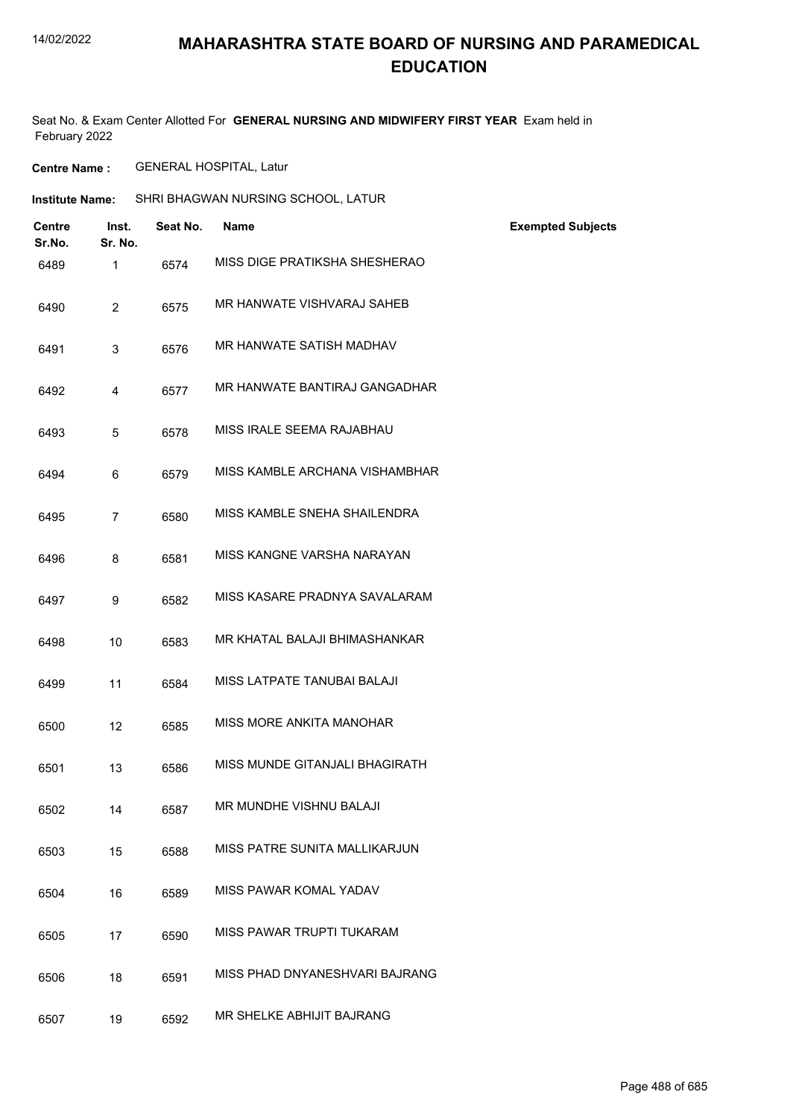#### 14/02/2022

### **MAHARASHTRA STATE BOARD OF NURSING AND PARAMEDICAL EDUCATION**

Seat No. & Exam Center Allotted For **GENERAL NURSING AND MIDWIFERY FIRST YEAR** Exam held in February 2022

**Centre Name :** GENERAL HOSPITAL, Latur

| <b>Institute Name:</b>                      |          | SHRI BHAGWAN NURSING SCHOOL, LATUR |                          |
|---------------------------------------------|----------|------------------------------------|--------------------------|
| <b>Centre</b><br>Inst.<br>Sr. No.<br>Sr.No. | Seat No. | <b>Name</b>                        | <b>Exempted Subjects</b> |
| $\mathbf{1}$<br>6489                        | 6574     | MISS DIGE PRATIKSHA SHESHERAO      |                          |
| $\overline{2}$<br>6490                      | 6575     | MR HANWATE VISHVARAJ SAHEB         |                          |
| 3<br>6491                                   | 6576     | MR HANWATE SATISH MADHAV           |                          |
| $\overline{4}$<br>6492                      | 6577     | MR HANWATE BANTIRAJ GANGADHAR      |                          |
| $\sqrt{5}$<br>6493                          | 6578     | MISS IRALE SEEMA RAJABHAU          |                          |
| 6<br>6494                                   | 6579     | MISS KAMBLE ARCHANA VISHAMBHAR     |                          |
| $\overline{7}$<br>6495                      | 6580     | MISS KAMBLE SNEHA SHAILENDRA       |                          |
| 8<br>6496                                   | 6581     | MISS KANGNE VARSHA NARAYAN         |                          |
| 9<br>6497                                   | 6582     | MISS KASARE PRADNYA SAVALARAM      |                          |
| 10<br>6498                                  | 6583     | MR KHATAL BALAJI BHIMASHANKAR      |                          |
| 11<br>6499                                  | 6584     | MISS LATPATE TANUBAI BALAJI        |                          |
| 6500<br>12                                  | 6585     | MISS MORE ANKITA MANOHAR           |                          |
| 13<br>6501                                  | 6586     | MISS MUNDE GITANJALI BHAGIRATH     |                          |
| 14<br>6502                                  | 6587     | MR MUNDHE VISHNU BALAJI            |                          |
| 15<br>6503                                  | 6588     | MISS PATRE SUNITA MALLIKARJUN      |                          |
| 6504<br>16                                  | 6589     | MISS PAWAR KOMAL YADAV             |                          |
| 17<br>6505                                  | 6590     | MISS PAWAR TRUPTI TUKARAM          |                          |
| 18<br>6506                                  | 6591     | MISS PHAD DNYANESHVARI BAJRANG     |                          |
| 6507<br>19                                  | 6592     | MR SHELKE ABHIJIT BAJRANG          |                          |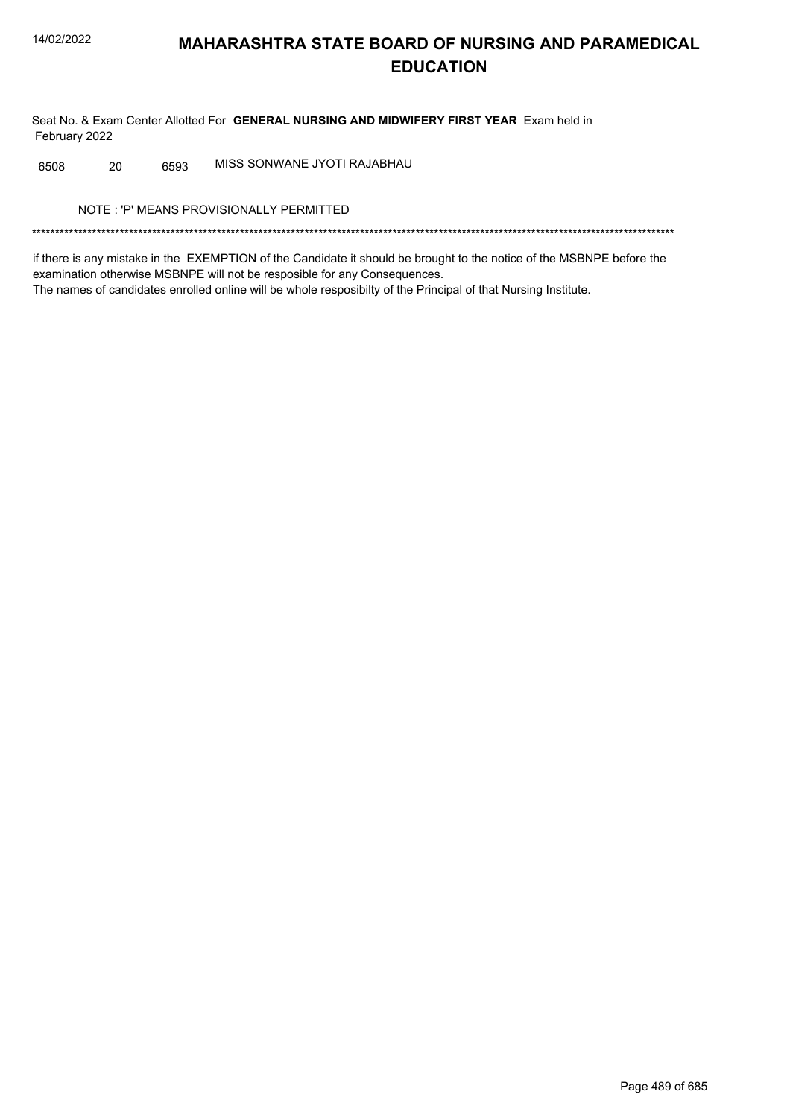Seat No. & Exam Center Allotted For GENERAL NURSING AND MIDWIFERY FIRST YEAR Exam held in February 2022

MISS SONWANE JYOTI RAJABHAU 6508 20 6593

NOTE: 'P' MEANS PROVISIONALLY PERMITTED

if there is any mistake in the EXEMPTION of the Candidate it should be brought to the notice of the MSBNPE before the examination otherwise MSBNPE will not be resposible for any Consequences. The names of candidates enrolled online will be whole resposibilty of the Principal of that Nursing Institute.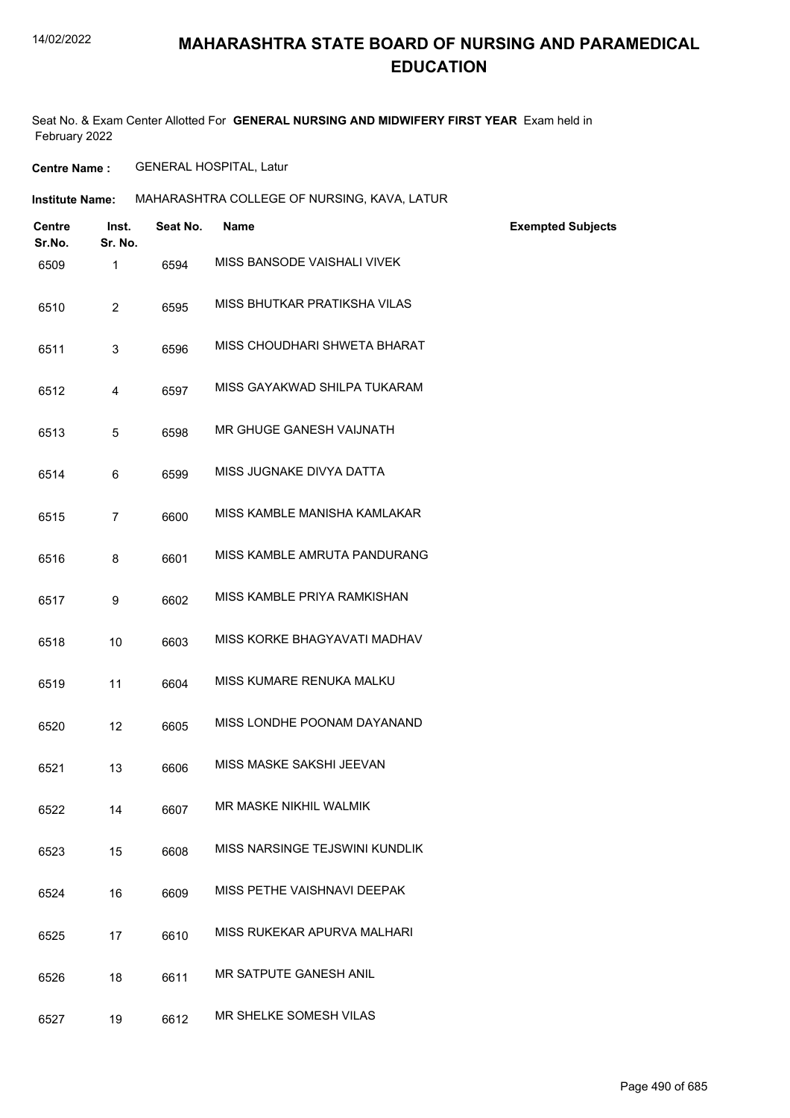#### 14/02/2022

### **MAHARASHTRA STATE BOARD OF NURSING AND PARAMEDICAL EDUCATION**

Seat No. & Exam Center Allotted For **GENERAL NURSING AND MIDWIFERY FIRST YEAR** Exam held in February 2022

**Centre Name :** GENERAL HOSPITAL, Latur

| <b>Institute Name:</b> | MAHARASHTRA COLLEGE OF NURSING, KAVA, LATUR |
|------------------------|---------------------------------------------|
|                        |                                             |

| Centre<br>Sr.No. | Inst.<br>Sr. No. | Seat No. | <b>Name</b>                    | <b>Exempted Subjects</b> |
|------------------|------------------|----------|--------------------------------|--------------------------|
| 6509             | $\mathbf{1}$     | 6594     | MISS BANSODE VAISHALI VIVEK    |                          |
| 6510             | $\overline{2}$   | 6595     | MISS BHUTKAR PRATIKSHA VILAS   |                          |
| 6511             | 3                | 6596     | MISS CHOUDHARI SHWETA BHARAT   |                          |
| 6512             | 4                | 6597     | MISS GAYAKWAD SHILPA TUKARAM   |                          |
| 6513             | 5                | 6598     | MR GHUGE GANESH VAIJNATH       |                          |
| 6514             | 6                | 6599     | MISS JUGNAKE DIVYA DATTA       |                          |
| 6515             | $\overline{7}$   | 6600     | MISS KAMBLE MANISHA KAMLAKAR   |                          |
| 6516             | 8                | 6601     | MISS KAMBLE AMRUTA PANDURANG   |                          |
| 6517             | 9                | 6602     | MISS KAMBLE PRIYA RAMKISHAN    |                          |
| 6518             | 10               | 6603     | MISS KORKE BHAGYAVATI MADHAV   |                          |
| 6519             | 11               | 6604     | MISS KUMARE RENUKA MALKU       |                          |
| 6520             | 12               | 6605     | MISS LONDHE POONAM DAYANAND    |                          |
| 6521             | 13               | 6606     | MISS MASKE SAKSHI JEEVAN       |                          |
| 6522             | 14               | 6607     | MR MASKE NIKHIL WALMIK         |                          |
| 6523             | 15               | 6608     | MISS NARSINGE TEJSWINI KUNDLIK |                          |
| 6524             | 16               | 6609     | MISS PETHE VAISHNAVI DEEPAK    |                          |
| 6525             | 17               | 6610     | MISS RUKEKAR APURVA MALHARI    |                          |
| 6526             | 18               | 6611     | MR SATPUTE GANESH ANIL         |                          |
| 6527             | 19               | 6612     | MR SHELKE SOMESH VILAS         |                          |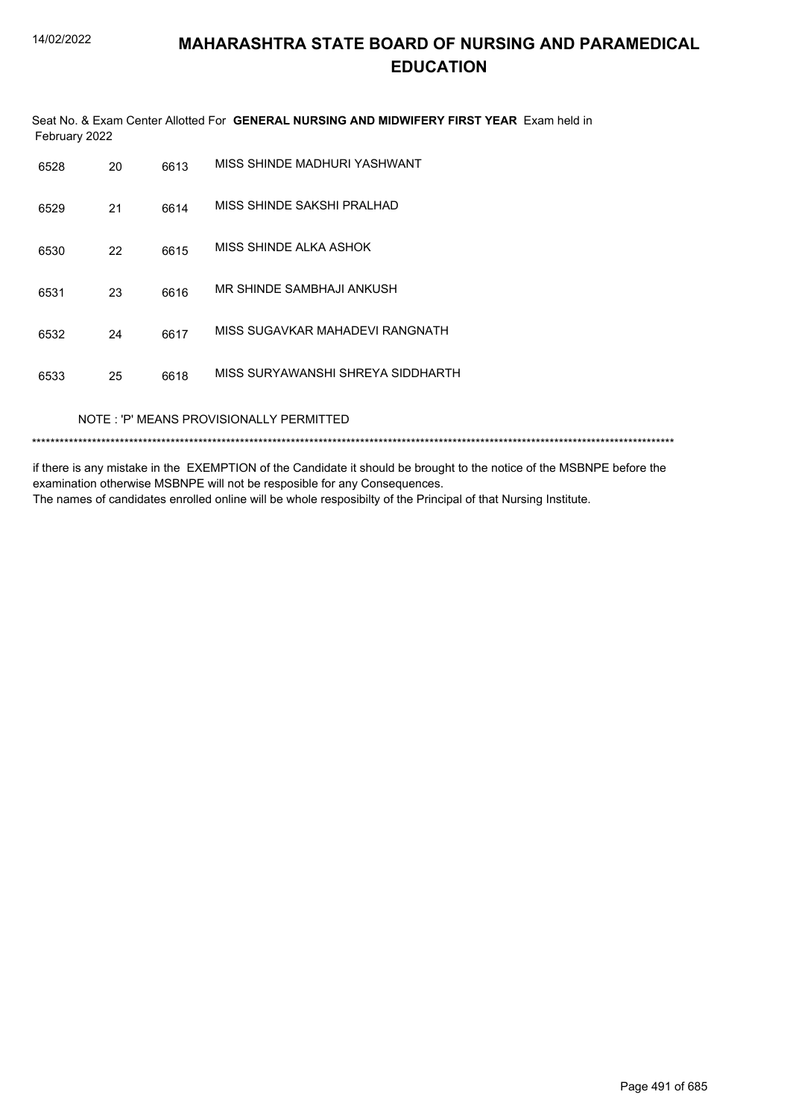Seat No. & Exam Center Allotted For **GENERAL NURSING AND MIDWIFERY FIRST YEAR** Exam held in February 2022

| 6528 | 20 | 6613 | MISS SHINDE MADHURI YASHWANT      |
|------|----|------|-----------------------------------|
| 6529 | 21 | 6614 | MISS SHINDE SAKSHI PRALHAD        |
| 6530 | 22 | 6615 | MISS SHINDE ALKA ASHOK            |
| 6531 | 23 | 6616 | MR SHINDE SAMBHAJI ANKUSH         |
| 6532 | 24 | 6617 | MISS SUGAVKAR MAHADEVI RANGNATH   |
| 6533 | 25 | 6618 | MISS SURYAWANSHI SHREYA SIDDHARTH |
|      |    |      |                                   |

NOTE : 'P' MEANS PROVISIONALLY PERMITTED

\*\*\*\*\*\*\*\*\*\*\*\*\*\*\*\*\*\*\*\*\*\*\*\*\*\*\*\*\*\*\*\*\*\*\*\*\*\*\*\*\*\*\*\*\*\*\*\*\*\*\*\*\*\*\*\*\*\*\*\*\*\*\*\*\*\*\*\*\*\*\*\*\*\*\*\*\*\*\*\*\*\*\*\*\*\*\*\*\*\*\*\*\*\*\*\*\*\*\*\*\*\*\*\*\*\*\*\*\*\*\*\*\*\*\*\*\*\*\*\*\*\*\*\*\*\*\*\*\*\*\*\*\*\*\*\*\*\*\*

if there is any mistake in the EXEMPTION of the Candidate it should be brought to the notice of the MSBNPE before the examination otherwise MSBNPE will not be resposible for any Consequences.

The names of candidates enrolled online will be whole resposibilty of the Principal of that Nursing Institute.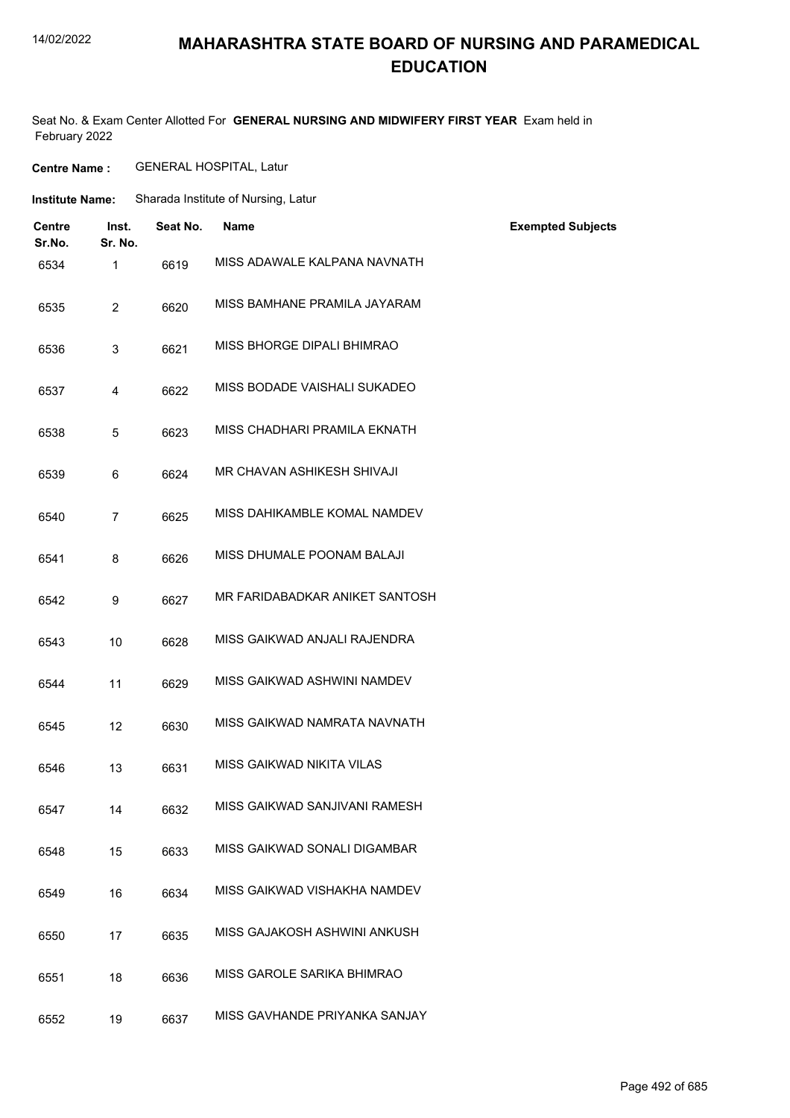#### 14/02/2022

### **MAHARASHTRA STATE BOARD OF NURSING AND PARAMEDICAL EDUCATION**

Seat No. & Exam Center Allotted For **GENERAL NURSING AND MIDWIFERY FIRST YEAR** Exam held in February 2022

**Centre Name :** GENERAL HOSPITAL, Latur

| <b>Institute Name:</b> | Sharada Institute of Nursing, Latur |
|------------------------|-------------------------------------|
|------------------------|-------------------------------------|

| <b>Centre</b><br>Sr.No. | Inst.<br>Sr. No. | Seat No. | <b>Name</b>                    | <b>Exempted Subjects</b> |
|-------------------------|------------------|----------|--------------------------------|--------------------------|
| 6534                    | 1                | 6619     | MISS ADAWALE KALPANA NAVNATH   |                          |
| 6535                    | $\overline{2}$   | 6620     | MISS BAMHANE PRAMILA JAYARAM   |                          |
| 6536                    | 3                | 6621     | MISS BHORGE DIPALI BHIMRAO     |                          |
| 6537                    | 4                | 6622     | MISS BODADE VAISHALI SUKADEO   |                          |
| 6538                    | 5                | 6623     | MISS CHADHARI PRAMILA EKNATH   |                          |
| 6539                    | 6                | 6624     | MR CHAVAN ASHIKESH SHIVAJI     |                          |
| 6540                    | $\overline{7}$   | 6625     | MISS DAHIKAMBLE KOMAL NAMDEV   |                          |
| 6541                    | 8                | 6626     | MISS DHUMALE POONAM BALAJI     |                          |
| 6542                    | 9                | 6627     | MR FARIDABADKAR ANIKET SANTOSH |                          |
| 6543                    | 10               | 6628     | MISS GAIKWAD ANJALI RAJENDRA   |                          |
| 6544                    | 11               | 6629     | MISS GAIKWAD ASHWINI NAMDEV    |                          |
| 6545                    | 12               | 6630     | MISS GAIKWAD NAMRATA NAVNATH   |                          |
| 6546                    | 13               | 6631     | MISS GAIKWAD NIKITA VILAS      |                          |
| 6547                    | 14               | 6632     | MISS GAIKWAD SANJIVANI RAMESH  |                          |
| 6548                    | 15               | 6633     | MISS GAIKWAD SONALI DIGAMBAR   |                          |
| 6549                    | 16               | 6634     | MISS GAIKWAD VISHAKHA NAMDEV   |                          |
| 6550                    | 17               | 6635     | MISS GAJAKOSH ASHWINI ANKUSH   |                          |
| 6551                    | 18               | 6636     | MISS GAROLE SARIKA BHIMRAO     |                          |
| 6552                    | 19               | 6637     | MISS GAVHANDE PRIYANKA SANJAY  |                          |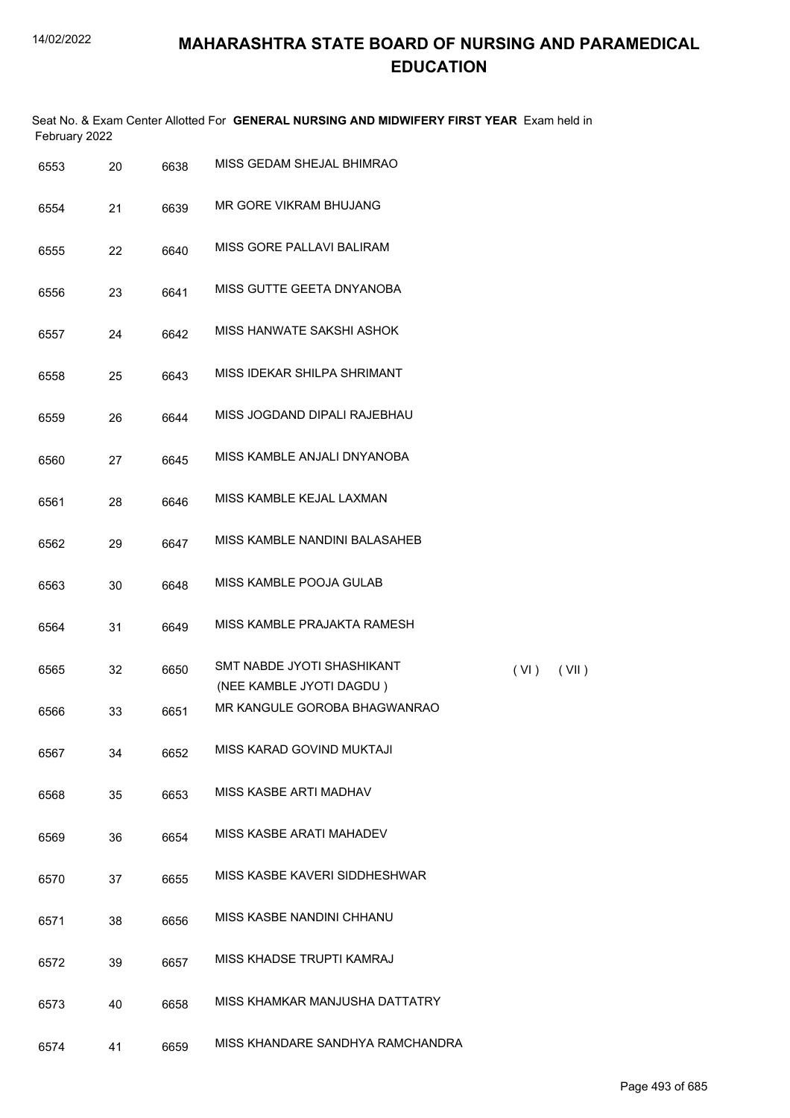|               | Seat No. & Exam Center Allotted For GENERAL NURSING AND MIDWIFERY FIRST YEAR Exam held in |  |
|---------------|-------------------------------------------------------------------------------------------|--|
| February 2022 |                                                                                           |  |

| 6553 | 20 | 6638 | MISS GEDAM SHEJAL BHIMRAO                              |      |       |
|------|----|------|--------------------------------------------------------|------|-------|
| 6554 | 21 | 6639 | MR GORE VIKRAM BHUJANG                                 |      |       |
| 6555 | 22 | 6640 | MISS GORE PALLAVI BALIRAM                              |      |       |
| 6556 | 23 | 6641 | MISS GUTTE GEETA DNYANOBA                              |      |       |
| 6557 | 24 | 6642 | MISS HANWATE SAKSHI ASHOK                              |      |       |
| 6558 | 25 | 6643 | MISS IDEKAR SHILPA SHRIMANT                            |      |       |
| 6559 | 26 | 6644 | MISS JOGDAND DIPALI RAJEBHAU                           |      |       |
| 6560 | 27 | 6645 | MISS KAMBLE ANJALI DNYANOBA                            |      |       |
| 6561 | 28 | 6646 | MISS KAMBLE KEJAL LAXMAN                               |      |       |
| 6562 | 29 | 6647 | MISS KAMBLE NANDINI BALASAHEB                          |      |       |
| 6563 | 30 | 6648 | MISS KAMBLE POOJA GULAB                                |      |       |
| 6564 | 31 | 6649 | MISS KAMBLE PRAJAKTA RAMESH                            |      |       |
| 6565 | 32 | 6650 | SMT NABDE JYOTI SHASHIKANT<br>(NEE KAMBLE JYOTI DAGDU) | (VI) | (VII) |
| 6566 | 33 | 6651 | MR KANGULE GOROBA BHAGWANRAO                           |      |       |
| 6567 | 34 | 6652 | MISS KARAD GOVIND MUKTAJI                              |      |       |
| 6568 | 35 | 6653 | MISS KASBE ARTI MADHAV                                 |      |       |
| 6569 | 36 | 6654 | MISS KASBE ARATI MAHADEV                               |      |       |
| 6570 | 37 | 6655 | MISS KASBE KAVERI SIDDHESHWAR                          |      |       |
| 6571 | 38 | 6656 | MISS KASBE NANDINI CHHANU                              |      |       |
| 6572 | 39 | 6657 | MISS KHADSE TRUPTI KAMRAJ                              |      |       |
| 6573 | 40 | 6658 | MISS KHAMKAR MANJUSHA DATTATRY                         |      |       |
| 6574 | 41 | 6659 | MISS KHANDARE SANDHYA RAMCHANDRA                       |      |       |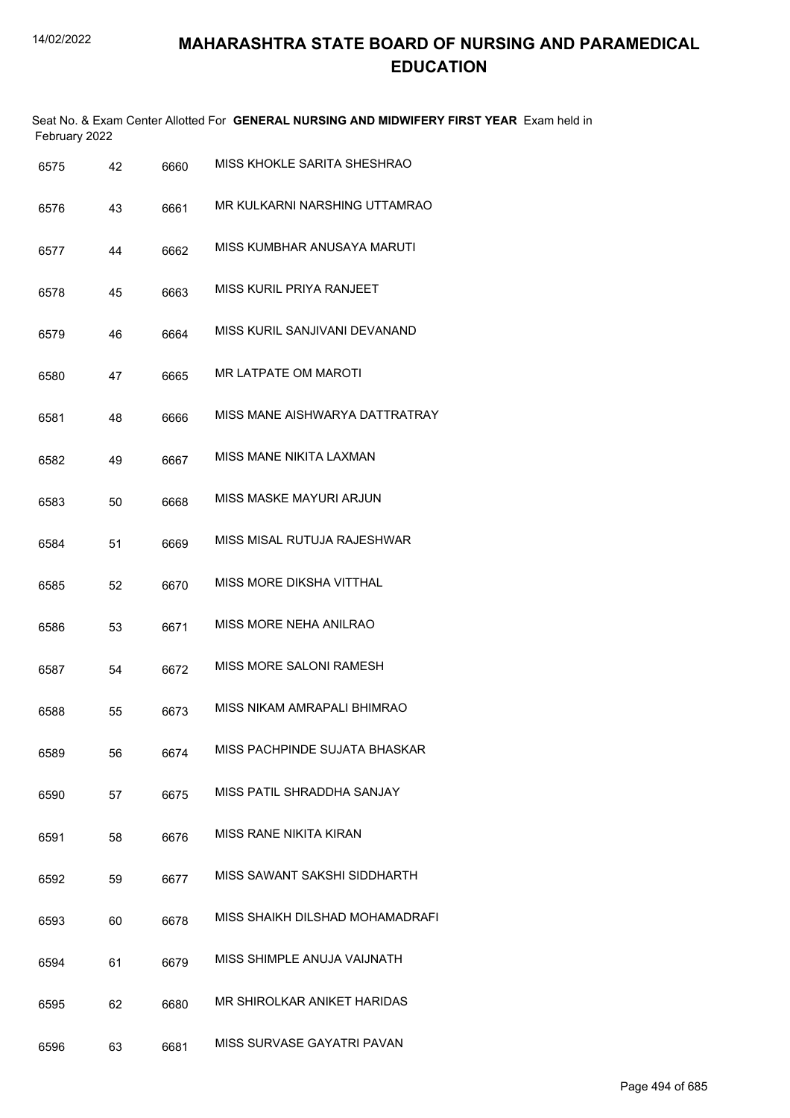| February 2022 |    |      | Seat No. & Exam Center Allotted For GENERAL NURSING AND MIDWIFERY FIRST YEAR Exam held in |
|---------------|----|------|-------------------------------------------------------------------------------------------|
| 6575          | 42 | 6660 | MISS KHOKLE SARITA SHESHRAO                                                               |
| 6576          | 43 | 6661 | MR KULKARNI NARSHING UTTAMRAO                                                             |
| 6577          | 44 | 6662 | MISS KUMBHAR ANUSAYA MARUTI                                                               |
| 6578          | 45 | 6663 | MISS KURIL PRIYA RANJEET                                                                  |
| 6579          | 46 | 6664 | MISS KURIL SANJIVANI DEVANAND                                                             |
| 6580          | 47 | 6665 | MR LATPATE OM MAROTI                                                                      |
| 6581          | 48 | 6666 | MISS MANE AISHWARYA DATTRATRAY                                                            |
| 6582          | 49 | 6667 | MISS MANE NIKITA LAXMAN                                                                   |
| 6583          | 50 | 6668 | MISS MASKE MAYURI ARJUN                                                                   |
| 6584          | 51 | 6669 | MISS MISAL RUTUJA RAJESHWAR                                                               |
| 6585          | 52 | 6670 | MISS MORE DIKSHA VITTHAL                                                                  |
| 6586          | 53 | 6671 | MISS MORE NEHA ANILRAO                                                                    |
| 6587          | 54 | 6672 | MISS MORE SALONI RAMESH                                                                   |
| 6588          | 55 | 6673 | MISS NIKAM AMRAPALI BHIMRAO                                                               |
| 6589          | 56 | 6674 | MISS PACHPINDE SUJATA BHASKAR                                                             |
| 6590          | 57 | 6675 | MISS PATIL SHRADDHA SANJAY                                                                |
| 6591          | 58 | 6676 | <b>MISS RANE NIKITA KIRAN</b>                                                             |
| 6592          | 59 | 6677 | MISS SAWANT SAKSHI SIDDHARTH                                                              |
| 6593          | 60 | 6678 | MISS SHAIKH DILSHAD MOHAMADRAFI                                                           |
| 6594          | 61 | 6679 | MISS SHIMPLE ANUJA VAIJNATH                                                               |
| 6595          | 62 | 6680 | MR SHIROLKAR ANIKET HARIDAS                                                               |
| 6596          | 63 | 6681 | MISS SURVASE GAYATRI PAVAN                                                                |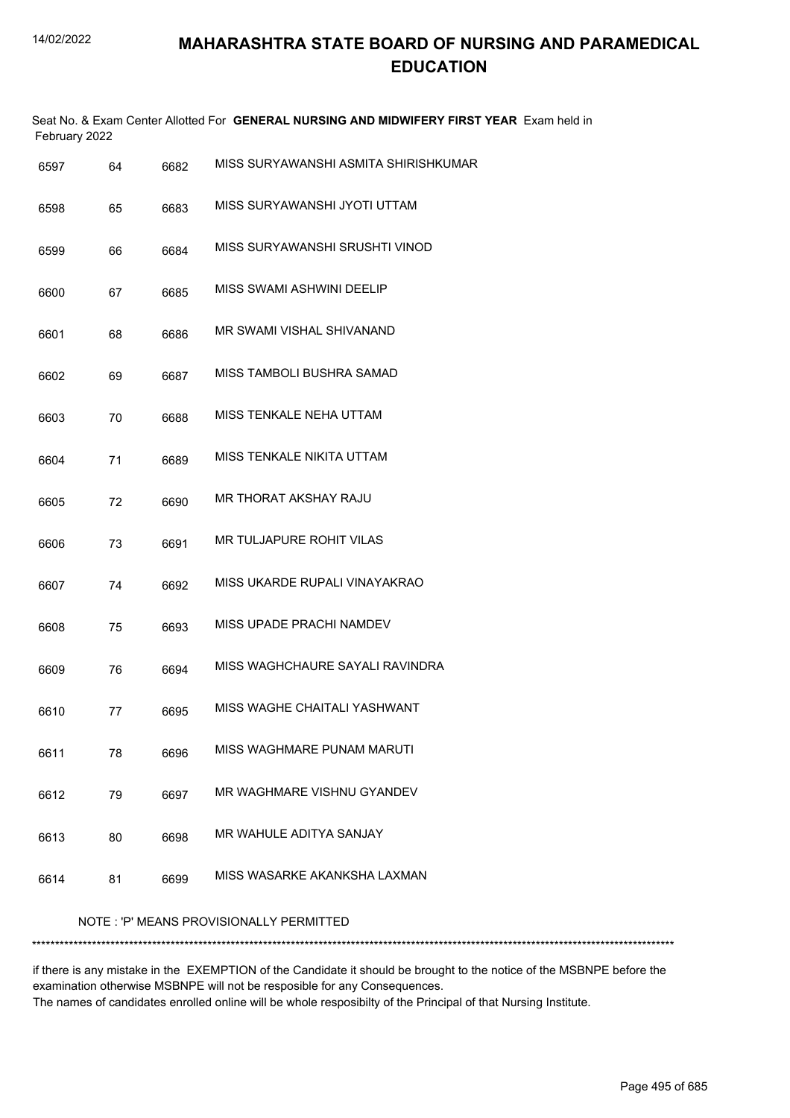|      | February 2022 |      | Seat No. & Exam Center Allotted For GENERAL NURSING AND MIDWIFERY FIRST YEAR Exam held in |
|------|---------------|------|-------------------------------------------------------------------------------------------|
| 6597 | 64            | 6682 | MISS SURYAWANSHI ASMITA SHIRISHKUMAR                                                      |
| 6598 | 65            | 6683 | MISS SURYAWANSHI JYOTI UTTAM                                                              |
| 6599 | 66            | 6684 | MISS SURYAWANSHI SRUSHTI VINOD                                                            |
| 6600 | 67            | 6685 | MISS SWAMI ASHWINI DEELIP                                                                 |
| 6601 | 68            | 6686 | MR SWAMI VISHAL SHIVANAND                                                                 |
| 6602 | 69            | 6687 | MISS TAMBOLI BUSHRA SAMAD                                                                 |
| 6603 | 70            | 6688 | MISS TENKALE NEHA UTTAM                                                                   |
| 6604 | 71            | 6689 | MISS TENKALE NIKITA UTTAM                                                                 |
| 6605 | 72            | 6690 | MR THORAT AKSHAY RAJU                                                                     |
| 6606 | 73            | 6691 | MR TULJAPURE ROHIT VILAS                                                                  |
| 6607 | 74            | 6692 | MISS UKARDE RUPALI VINAYAKRAO                                                             |
| 6608 | 75            | 6693 | MISS UPADE PRACHI NAMDEV                                                                  |
| 6609 | 76            | 6694 | MISS WAGHCHAURE SAYALI RAVINDRA                                                           |
| 6610 | 77            | 6695 | MISS WAGHE CHAITALI YASHWANT                                                              |
| 6611 | 78            | 6696 | MISS WAGHMARE PUNAM MARUTI                                                                |
| 6612 | 79            | 6697 | MR WAGHMARE VISHNU GYANDEV                                                                |
| 6613 | 80            | 6698 | MR WAHULE ADITYA SANJAY                                                                   |
| 6614 | 81            | 6699 | MISS WASARKE AKANKSHA LAXMAN                                                              |
|      |               |      | NOTE: 'P' MEANS PROVISIONALLY PERMITTED                                                   |
|      |               |      |                                                                                           |

if there is any mistake in the EXEMPTION of the Candidate it should be brought to the notice of the MSBNPE before the examination otherwise MSBNPE will not be resposible for any Consequences. The names of candidates enrolled online will be whole resposibilty of the Principal of that Nursing Institute.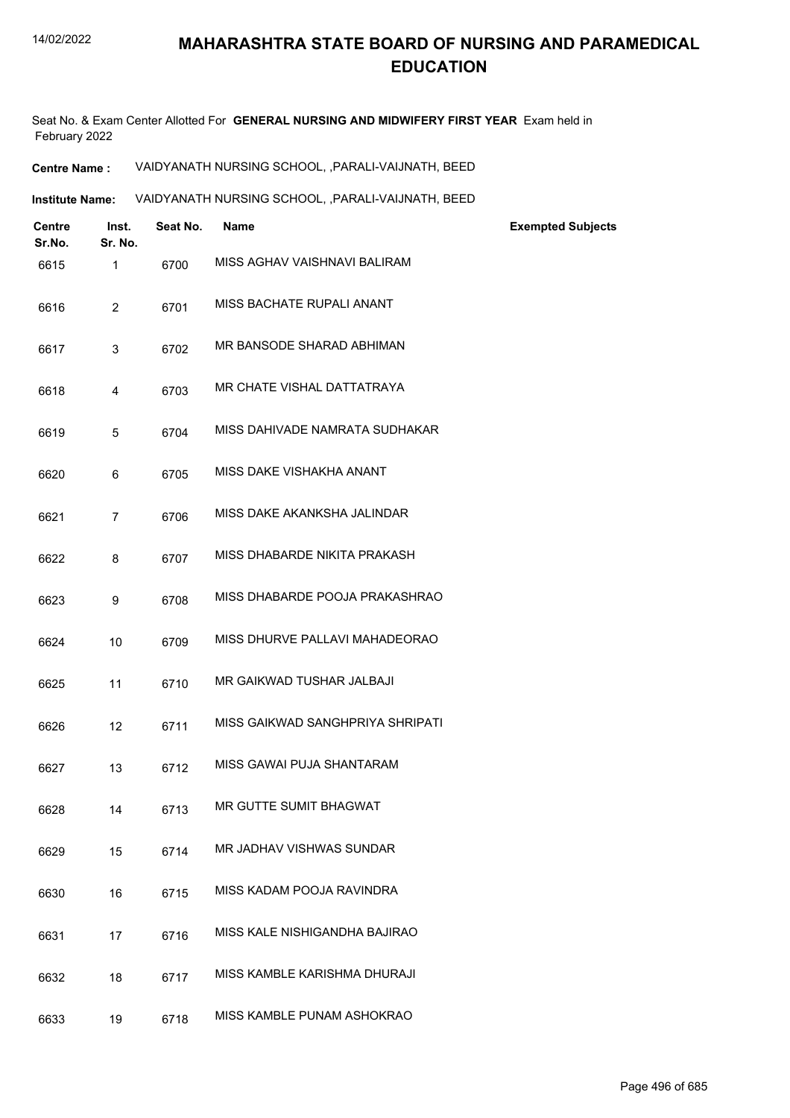Seat No. & Exam Center Allotted For **GENERAL NURSING AND MIDWIFERY FIRST YEAR** Exam held in February 2022

**Centre Name :** VAIDYANATH NURSING SCHOOL, ,PARALI-VAIJNATH, BEED

VAIDYANATH NURSING SCHOOL, ,PARALI-VAIJNATH, BEED **Institute Name:**

| <b>Centre</b><br>Sr.No. | Inst.<br>Sr. No. | Seat No. | <b>Name</b>                      | <b>Exempted Subjects</b> |
|-------------------------|------------------|----------|----------------------------------|--------------------------|
| 6615                    | 1                | 6700     | MISS AGHAV VAISHNAVI BALIRAM     |                          |
| 6616                    | $\overline{2}$   | 6701     | MISS BACHATE RUPALI ANANT        |                          |
| 6617                    | 3                | 6702     | MR BANSODE SHARAD ABHIMAN        |                          |
| 6618                    | $\overline{4}$   | 6703     | MR CHATE VISHAL DATTATRAYA       |                          |
| 6619                    | 5                | 6704     | MISS DAHIVADE NAMRATA SUDHAKAR   |                          |
| 6620                    | 6                | 6705     | MISS DAKE VISHAKHA ANANT         |                          |
| 6621                    | $\overline{7}$   | 6706     | MISS DAKE AKANKSHA JALINDAR      |                          |
| 6622                    | 8                | 6707     | MISS DHABARDE NIKITA PRAKASH     |                          |
| 6623                    | 9                | 6708     | MISS DHABARDE POOJA PRAKASHRAO   |                          |
| 6624                    | 10               | 6709     | MISS DHURVE PALLAVI MAHADEORAO   |                          |
| 6625                    | 11               | 6710     | MR GAIKWAD TUSHAR JALBAJI        |                          |
| 6626                    | 12               | 6711     | MISS GAIKWAD SANGHPRIYA SHRIPATI |                          |
| 6627                    | 13               | 6712     | MISS GAWAI PUJA SHANTARAM        |                          |
| 6628                    | 14               | 6713     | MR GUTTE SUMIT BHAGWAT           |                          |
| 6629                    | 15               | 6714     | MR JADHAV VISHWAS SUNDAR         |                          |
| 6630                    | 16               | 6715     | MISS KADAM POOJA RAVINDRA        |                          |
| 6631                    | 17               | 6716     | MISS KALE NISHIGANDHA BAJIRAO    |                          |
| 6632                    | 18               | 6717     | MISS KAMBLE KARISHMA DHURAJI     |                          |
| 6633                    | 19               | 6718     | MISS KAMBLE PUNAM ASHOKRAO       |                          |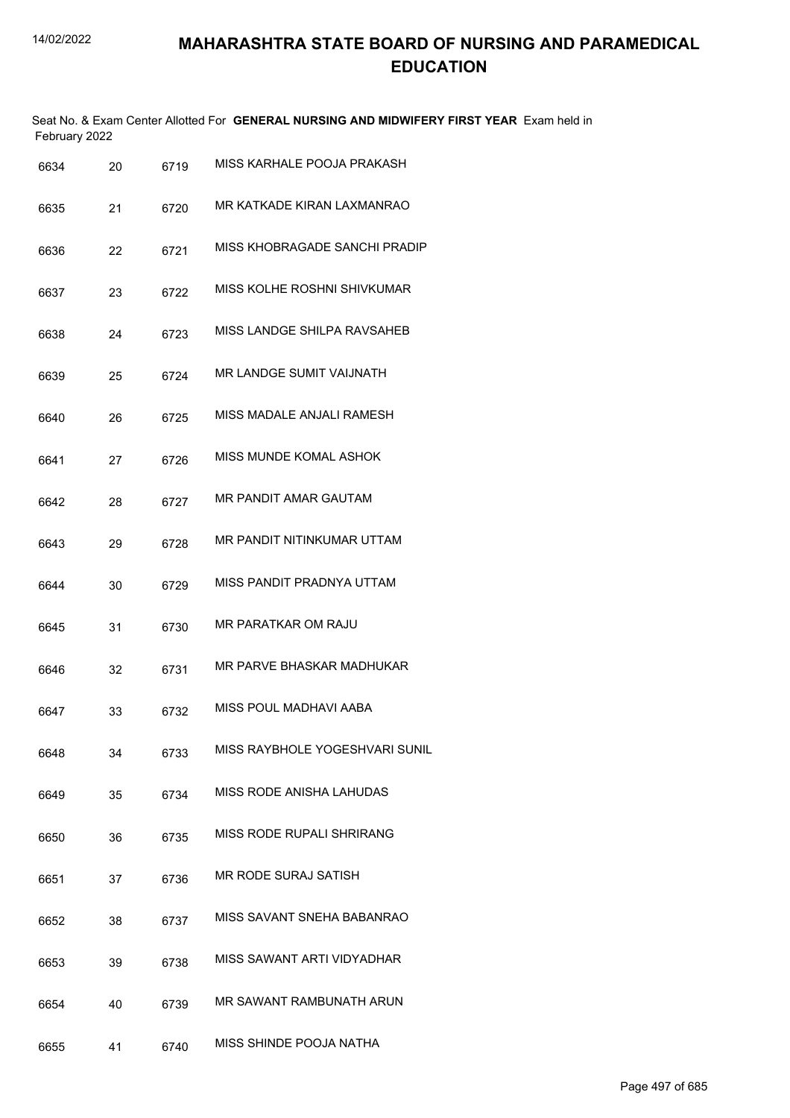| February 2022 |    |      | Seat No. & Exam Center Allotted For GENERAL NURSING AND MIDWIFERY FIRST YEAR Exam held in |
|---------------|----|------|-------------------------------------------------------------------------------------------|
| 6634          | 20 | 6719 | MISS KARHALE POOJA PRAKASH                                                                |
| 6635          | 21 | 6720 | MR KATKADE KIRAN LAXMANRAO                                                                |
| 6636          | 22 | 6721 | MISS KHOBRAGADE SANCHI PRADIP                                                             |
| 6637          | 23 | 6722 | MISS KOLHE ROSHNI SHIVKUMAR                                                               |
| 6638          | 24 | 6723 | MISS LANDGE SHILPA RAVSAHEB                                                               |
| 6639          | 25 | 6724 | MR LANDGE SUMIT VAIJNATH                                                                  |
| 6640          | 26 | 6725 | MISS MADALE ANJALI RAMESH                                                                 |
| 6641          | 27 | 6726 | MISS MUNDE KOMAL ASHOK                                                                    |
| 6642          | 28 | 6727 | MR PANDIT AMAR GAUTAM                                                                     |
| 6643          | 29 | 6728 | MR PANDIT NITINKUMAR UTTAM                                                                |
| 6644          | 30 | 6729 | MISS PANDIT PRADNYA UTTAM                                                                 |
| 6645          | 31 | 6730 | MR PARATKAR OM RAJU                                                                       |
| 6646          | 32 | 6731 | MR PARVE BHASKAR MADHUKAR                                                                 |
| 6647          | 33 | 6732 | MISS POUL MADHAVI AABA                                                                    |
| 6648          | 34 | 6733 | MISS RAYBHOLE YOGESHVARI SUNIL                                                            |
| 6649          | 35 | 6734 | MISS RODE ANISHA LAHUDAS                                                                  |
| 6650          | 36 | 6735 | MISS RODE RUPALI SHRIRANG                                                                 |
| 6651          | 37 | 6736 | MR RODE SURAJ SATISH                                                                      |
| 6652          | 38 | 6737 | MISS SAVANT SNEHA BABANRAO                                                                |
| 6653          | 39 | 6738 | MISS SAWANT ARTI VIDYADHAR                                                                |
| 6654          | 40 | 6739 | MR SAWANT RAMBUNATH ARUN                                                                  |
| 6655          | 41 | 6740 | MISS SHINDE POOJA NATHA                                                                   |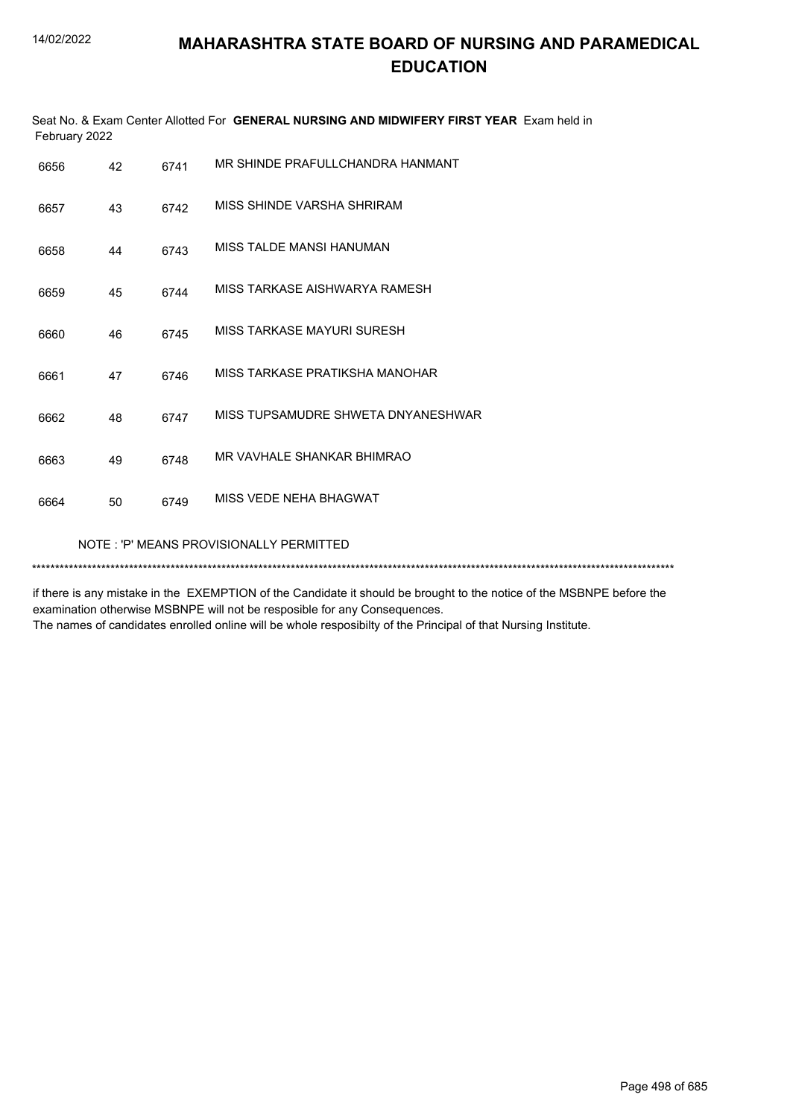|      | Seat No. & Exam Center Allotted For GENERAL NURSING AND MIDWIFERY FIRST YEAR Exam held in<br>February 2022 |      |                                    |  |  |  |
|------|------------------------------------------------------------------------------------------------------------|------|------------------------------------|--|--|--|
| 6656 | 42                                                                                                         | 6741 | MR SHINDE PRAFULLCHANDRA HANMANT   |  |  |  |
| 6657 | 43                                                                                                         | 6742 | MISS SHINDE VARSHA SHRIRAM         |  |  |  |
| 6658 | 44                                                                                                         | 6743 | MISS TALDE MANSI HANUMAN           |  |  |  |
| 6659 | 45                                                                                                         | 6744 | MISS TARKASE AISHWARYA RAMESH      |  |  |  |
| 6660 | 46                                                                                                         | 6745 | MISS TARKASE MAYURI SURESH         |  |  |  |
| 6661 | 47                                                                                                         | 6746 | MISS TARKASE PRATIKSHA MANOHAR     |  |  |  |
| 6662 | 48                                                                                                         | 6747 | MISS TUPSAMUDRE SHWETA DNYANESHWAR |  |  |  |
| 6663 | 49                                                                                                         | 6748 | MR VAVHALE SHANKAR BHIMRAO         |  |  |  |
| 6664 | 50                                                                                                         | 6749 | MISS VEDE NEHA BHAGWAT             |  |  |  |
|      | NOTE: 'P' MEANS PROVISIONALLY PERMITTED                                                                    |      |                                    |  |  |  |
|      |                                                                                                            |      |                                    |  |  |  |

if there is any mistake in the EXEMPTION of the Candidate it should be brought to the notice of the MSBNPE before the examination otherwise MSBNPE will not be resposible for any Consequences. The names of candidates enrolled online will be whole resposibilty of the Principal of that Nursing Institute.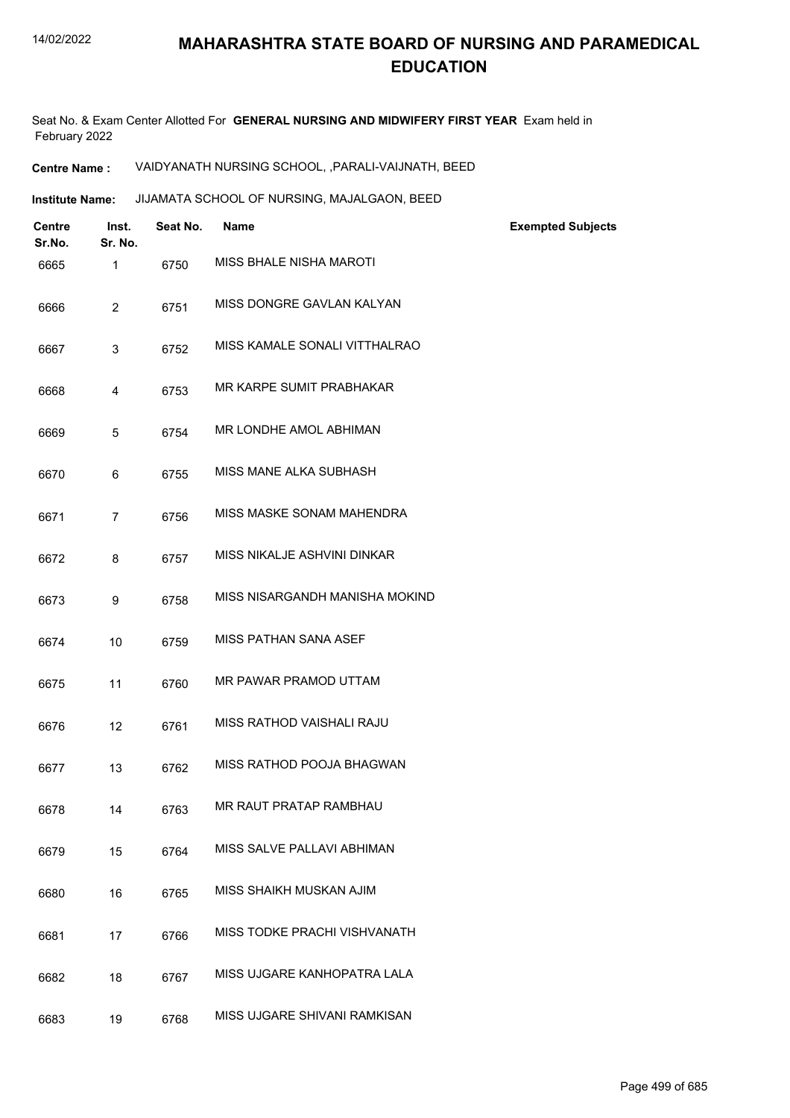Seat No. & Exam Center Allotted For **GENERAL NURSING AND MIDWIFERY FIRST YEAR** Exam held in February 2022

**Centre Name :** VAIDYANATH NURSING SCHOOL, ,PARALI-VAIJNATH, BEED

**Institute Name: JIJAMATA SCHOOL OF NURSING, MAJALGAON, BEED** 

| <b>Centre</b><br>Sr.No. | Inst.<br>Sr. No. | Seat No. | <b>Name</b>                    | <b>Exempted Subjects</b> |
|-------------------------|------------------|----------|--------------------------------|--------------------------|
| 6665                    | 1                | 6750     | MISS BHALE NISHA MAROTI        |                          |
| 6666                    | $\overline{2}$   | 6751     | MISS DONGRE GAVLAN KALYAN      |                          |
| 6667                    | 3                | 6752     | MISS KAMALE SONALI VITTHALRAO  |                          |
| 6668                    | 4                | 6753     | MR KARPE SUMIT PRABHAKAR       |                          |
| 6669                    | 5                | 6754     | MR LONDHE AMOL ABHIMAN         |                          |
| 6670                    | 6                | 6755     | MISS MANE ALKA SUBHASH         |                          |
| 6671                    | $\overline{7}$   | 6756     | MISS MASKE SONAM MAHENDRA      |                          |
| 6672                    | 8                | 6757     | MISS NIKALJE ASHVINI DINKAR    |                          |
| 6673                    | 9                | 6758     | MISS NISARGANDH MANISHA MOKIND |                          |
| 6674                    | 10               | 6759     | <b>MISS PATHAN SANA ASEF</b>   |                          |
| 6675                    | 11               | 6760     | MR PAWAR PRAMOD UTTAM          |                          |
| 6676                    | 12               | 6761     | MISS RATHOD VAISHALI RAJU      |                          |
| 6677                    | 13               | 6762     | MISS RATHOD POOJA BHAGWAN      |                          |
| 6678                    | 14               | 6763     | MR RAUT PRATAP RAMBHAU         |                          |
| 6679                    | 15               | 6764     | MISS SALVE PALLAVI ABHIMAN     |                          |
| 6680                    | 16               | 6765     | MISS SHAIKH MUSKAN AJIM        |                          |
| 6681                    | 17               | 6766     | MISS TODKE PRACHI VISHVANATH   |                          |
| 6682                    | 18               | 6767     | MISS UJGARE KANHOPATRA LALA    |                          |
| 6683                    | 19               | 6768     | MISS UJGARE SHIVANI RAMKISAN   |                          |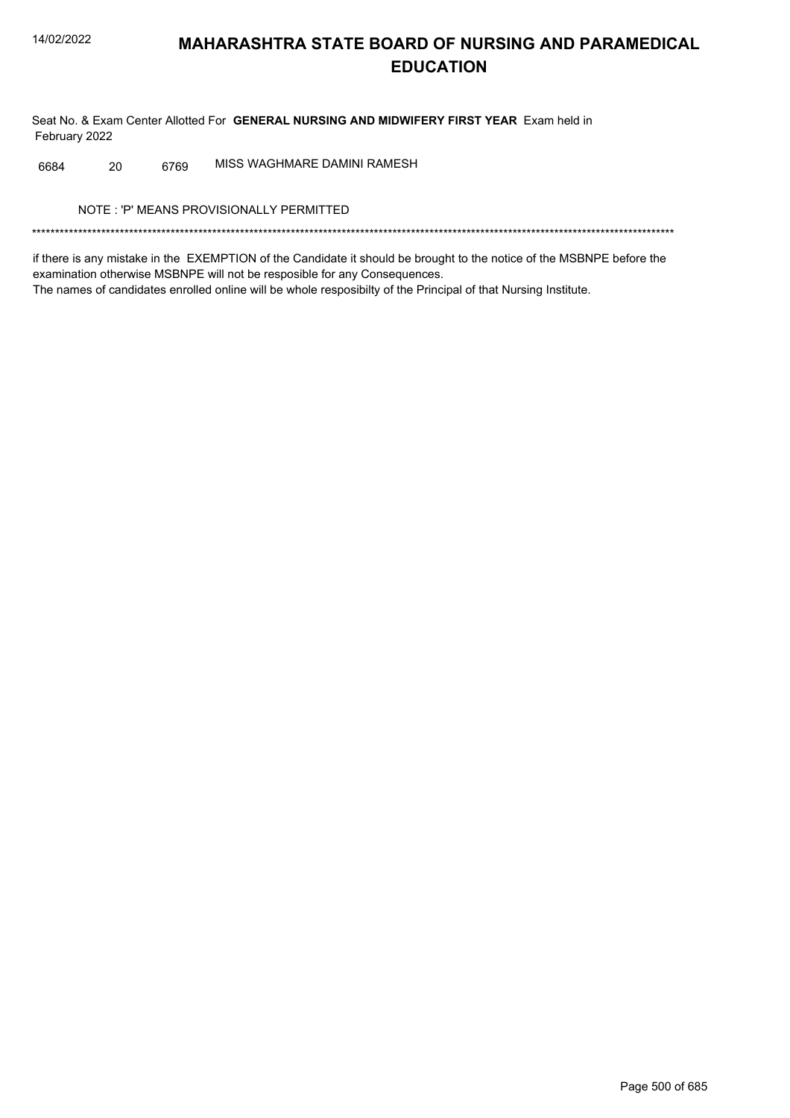Seat No. & Exam Center Allotted For GENERAL NURSING AND MIDWIFERY FIRST YEAR Exam held in February 2022

MISS WAGHMARE DAMINI RAMESH 6684 20 6769

NOTE: 'P' MEANS PROVISIONALLY PERMITTED

if there is any mistake in the EXEMPTION of the Candidate it should be brought to the notice of the MSBNPE before the examination otherwise MSBNPE will not be resposible for any Consequences. The names of candidates enrolled online will be whole resposibilty of the Principal of that Nursing Institute.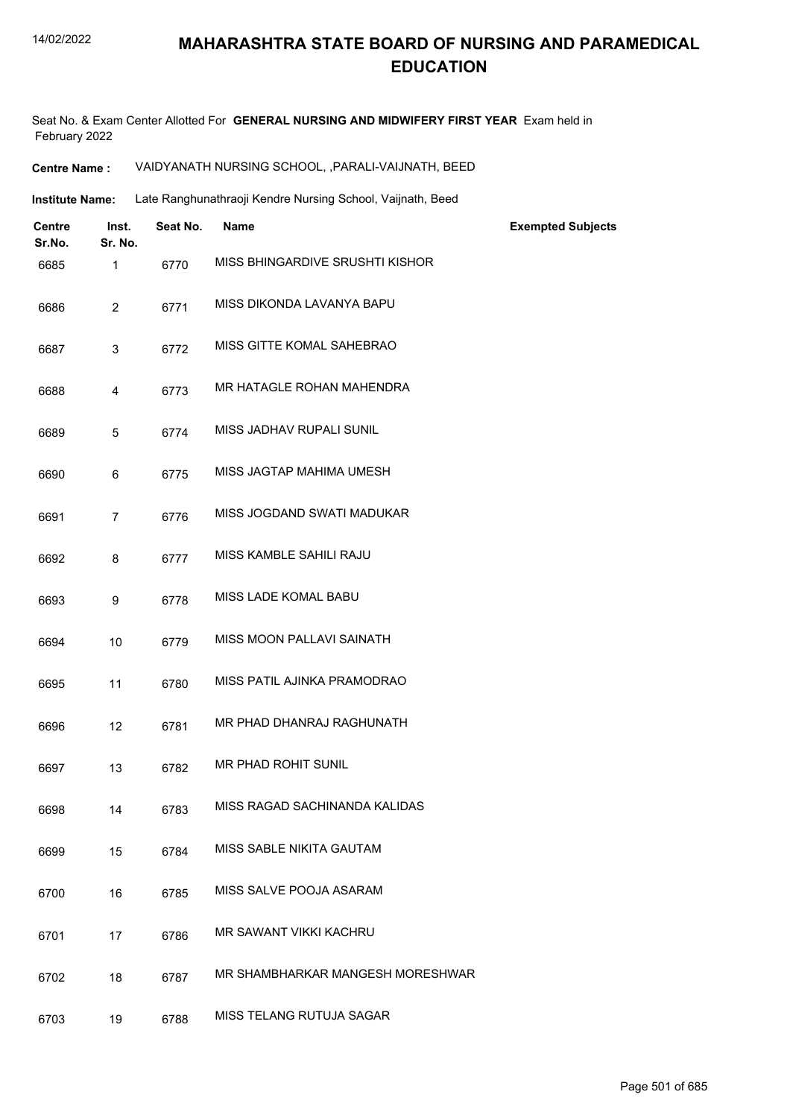Seat No. & Exam Center Allotted For **GENERAL NURSING AND MIDWIFERY FIRST YEAR** Exam held in February 2022

| VAIDYANATH NURSING SCHOOL, , PARALI-VAIJNATH, BEED |
|----------------------------------------------------|
|                                                    |

| <b>Institute Name:</b> | Late Ranghunathraoji Kendre Nursing School, Vaijnath, Beed |
|------------------------|------------------------------------------------------------|
|------------------------|------------------------------------------------------------|

| <b>Centre</b><br>Sr.No. | Inst.<br>Sr. No. | Seat No. | <b>Name</b>                      | <b>Exempted Subjects</b> |
|-------------------------|------------------|----------|----------------------------------|--------------------------|
| 6685                    | 1                | 6770     | MISS BHINGARDIVE SRUSHTI KISHOR  |                          |
| 6686                    | $\overline{2}$   | 6771     | MISS DIKONDA LAVANYA BAPU        |                          |
| 6687                    | 3                | 6772     | MISS GITTE KOMAL SAHEBRAO        |                          |
| 6688                    | 4                | 6773     | MR HATAGLE ROHAN MAHENDRA        |                          |
| 6689                    | 5                | 6774     | MISS JADHAV RUPALI SUNIL         |                          |
| 6690                    | 6                | 6775     | MISS JAGTAP MAHIMA UMESH         |                          |
| 6691                    | 7                | 6776     | MISS JOGDAND SWATI MADUKAR       |                          |
| 6692                    | 8                | 6777     | MISS KAMBLE SAHILI RAJU          |                          |
| 6693                    | 9                | 6778     | MISS LADE KOMAL BABU             |                          |
| 6694                    | 10               | 6779     | MISS MOON PALLAVI SAINATH        |                          |
| 6695                    | 11               | 6780     | MISS PATIL AJINKA PRAMODRAO      |                          |
| 6696                    | 12               | 6781     | MR PHAD DHANRAJ RAGHUNATH        |                          |
| 6697                    | 13               | 6782     | MR PHAD ROHIT SUNIL              |                          |
| 6698                    | 14               | 6783     | MISS RAGAD SACHINANDA KALIDAS    |                          |
| 6699                    | 15               | 6784     | MISS SABLE NIKITA GAUTAM         |                          |
| 6700                    | 16               | 6785     | MISS SALVE POOJA ASARAM          |                          |
| 6701                    | 17               | 6786     | MR SAWANT VIKKI KACHRU           |                          |
| 6702                    | 18               | 6787     | MR SHAMBHARKAR MANGESH MORESHWAR |                          |
| 6703                    | 19               | 6788     | MISS TELANG RUTUJA SAGAR         |                          |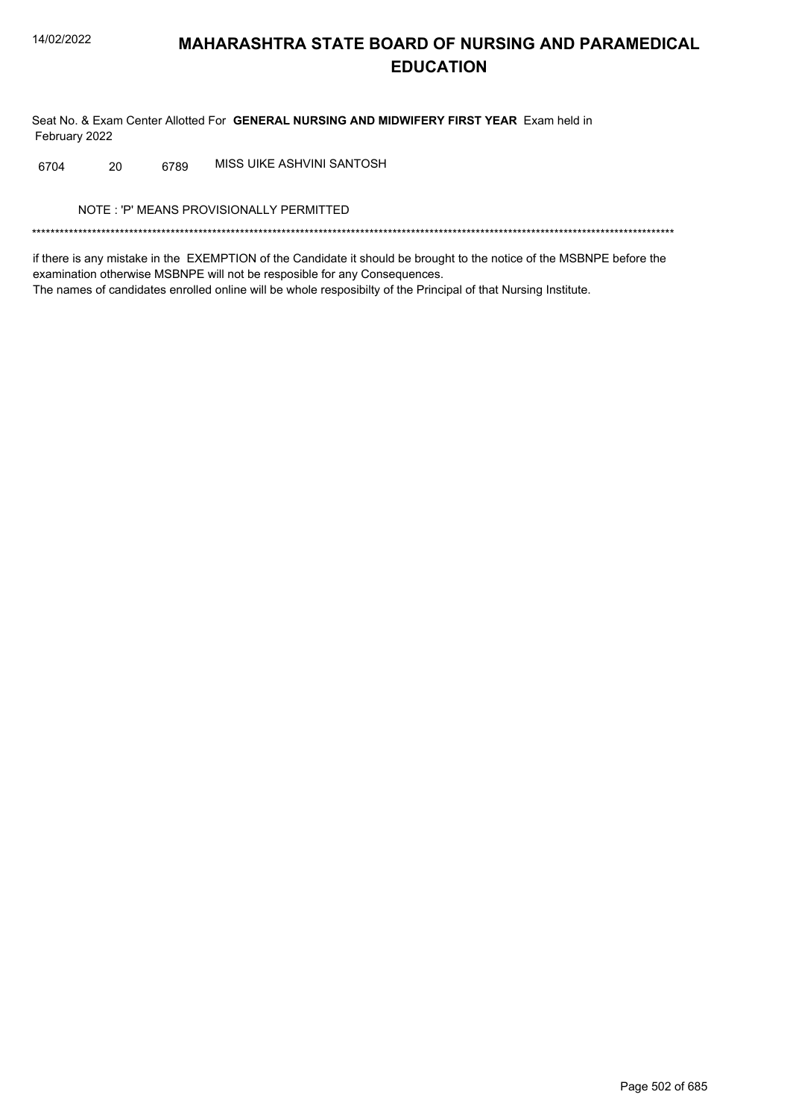Seat No. & Exam Center Allotted For GENERAL NURSING AND MIDWIFERY FIRST YEAR Exam held in February 2022

MISS UIKE ASHVINI SANTOSH 6704 20 6789

NOTE: 'P' MEANS PROVISIONALLY PERMITTED

if there is any mistake in the EXEMPTION of the Candidate it should be brought to the notice of the MSBNPE before the examination otherwise MSBNPE will not be resposible for any Consequences. The names of candidates enrolled online will be whole resposibilty of the Principal of that Nursing Institute.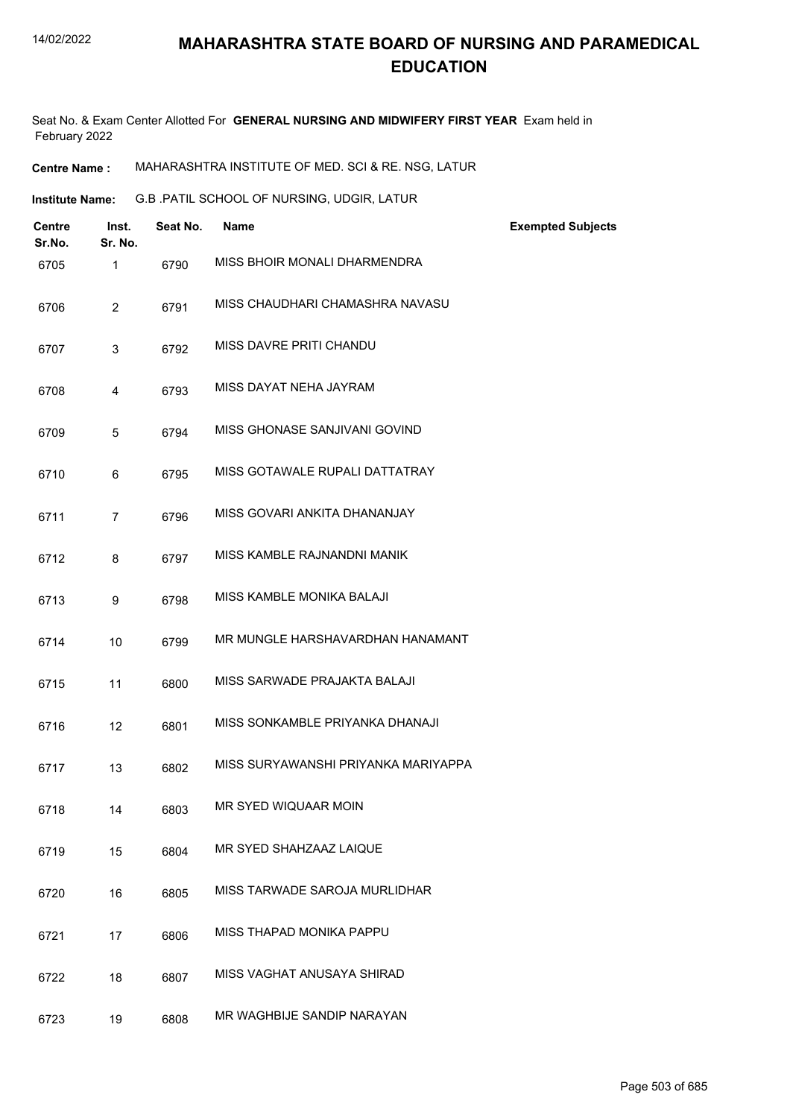Seat No. & Exam Center Allotted For **GENERAL NURSING AND MIDWIFERY FIRST YEAR** Exam held in February 2022

**Centre Name :** MAHARASHTRA INSTITUTE OF MED. SCI & RE. NSG, LATUR

G.B .PATIL SCHOOL OF NURSING, UDGIR, LATUR **Institute Name:**

| <b>Centre</b><br>Sr.No. | Inst.<br>Sr. No. | Seat No. | <b>Name</b>                         | <b>Exempted Subjects</b> |
|-------------------------|------------------|----------|-------------------------------------|--------------------------|
| 6705                    | $\mathbf{1}$     | 6790     | MISS BHOIR MONALI DHARMENDRA        |                          |
| 6706                    | $\overline{2}$   | 6791     | MISS CHAUDHARI CHAMASHRA NAVASU     |                          |
| 6707                    | 3                | 6792     | MISS DAVRE PRITI CHANDU             |                          |
| 6708                    | 4                | 6793     | MISS DAYAT NEHA JAYRAM              |                          |
| 6709                    | 5                | 6794     | MISS GHONASE SANJIVANI GOVIND       |                          |
| 6710                    | 6                | 6795     | MISS GOTAWALE RUPALI DATTATRAY      |                          |
| 6711                    | $\overline{7}$   | 6796     | MISS GOVARI ANKITA DHANANJAY        |                          |
| 6712                    | 8                | 6797     | MISS KAMBLE RAJNANDNI MANIK         |                          |
| 6713                    | 9                | 6798     | MISS KAMBLE MONIKA BALAJI           |                          |
| 6714                    | 10               | 6799     | MR MUNGLE HARSHAVARDHAN HANAMANT    |                          |
| 6715                    | 11               | 6800     | MISS SARWADE PRAJAKTA BALAJI        |                          |
| 6716                    | 12               | 6801     | MISS SONKAMBLE PRIYANKA DHANAJI     |                          |
| 6717                    | 13               | 6802     | MISS SURYAWANSHI PRIYANKA MARIYAPPA |                          |
| 6718                    | 14               | 6803     | MR SYED WIQUAAR MOIN                |                          |
| 6719                    | 15               | 6804     | MR SYED SHAHZAAZ LAIQUE             |                          |
| 6720                    | 16               | 6805     | MISS TARWADE SAROJA MURLIDHAR       |                          |
| 6721                    | 17               | 6806     | MISS THAPAD MONIKA PAPPU            |                          |
| 6722                    | 18               | 6807     | MISS VAGHAT ANUSAYA SHIRAD          |                          |
| 6723                    | 19               | 6808     | MR WAGHBIJE SANDIP NARAYAN          |                          |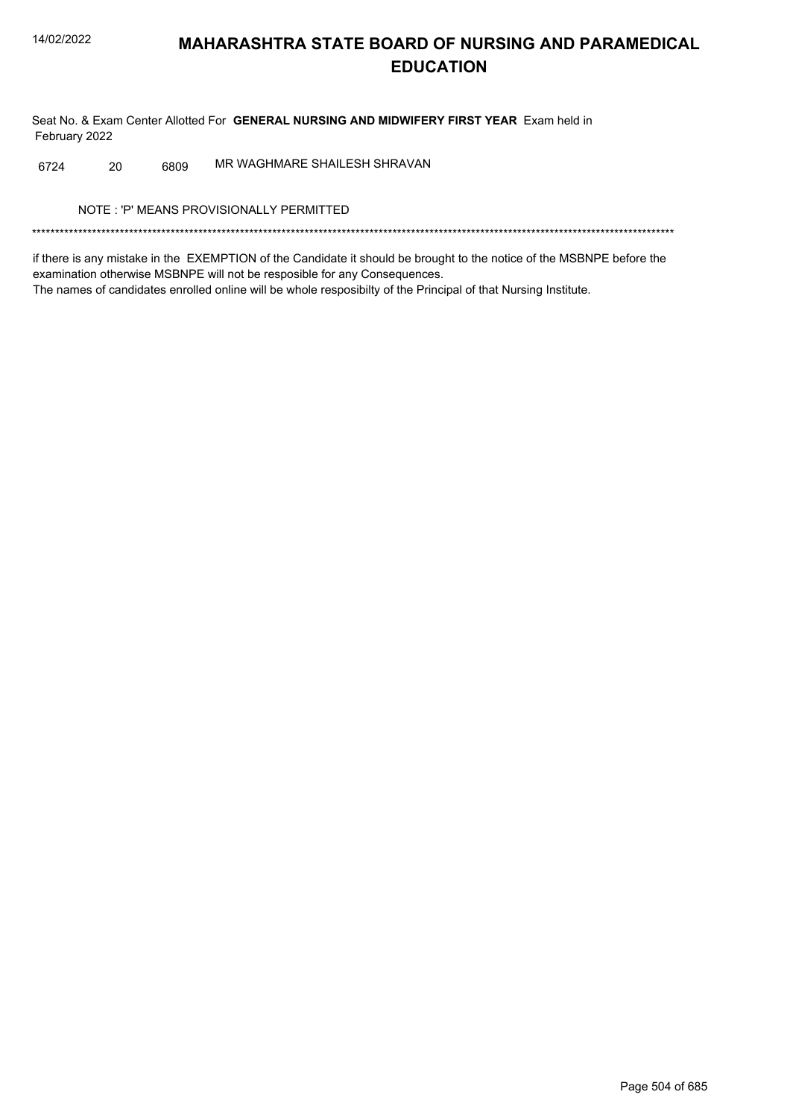Seat No. & Exam Center Allotted For GENERAL NURSING AND MIDWIFERY FIRST YEAR Exam held in February 2022

MR WAGHMARE SHAILESH SHRAVAN 20 6809 6724

NOTE: 'P' MEANS PROVISIONALLY PERMITTED

if there is any mistake in the EXEMPTION of the Candidate it should be brought to the notice of the MSBNPE before the examination otherwise MSBNPE will not be resposible for any Consequences. The names of candidates enrolled online will be whole resposibilty of the Principal of that Nursing Institute.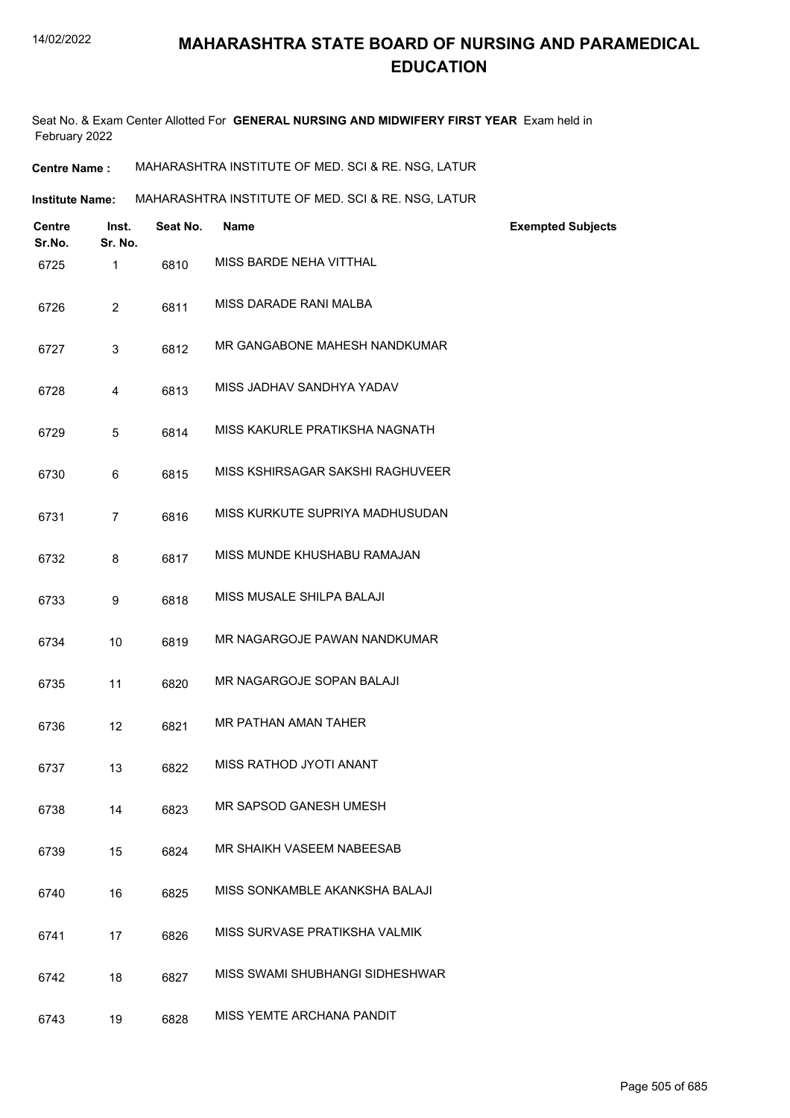Seat No. & Exam Center Allotted For **GENERAL NURSING AND MIDWIFERY FIRST YEAR** Exam held in February 2022

**Centre Name :** MAHARASHTRA INSTITUTE OF MED. SCI & RE. NSG, LATUR

**Institute Name:** MAHARASHTRA INSTITUTE OF MED. SCI & RE. NSG, LATUR

| <b>Centre</b><br>Sr.No. | Inst.<br>Sr. No. | Seat No. | <b>Name</b>                      | <b>Exempted Subjects</b> |
|-------------------------|------------------|----------|----------------------------------|--------------------------|
| 6725                    | 1                | 6810     | MISS BARDE NEHA VITTHAL          |                          |
| 6726                    | $\overline{2}$   | 6811     | MISS DARADE RANI MAI BA          |                          |
| 6727                    | 3                | 6812     | MR GANGABONE MAHESH NANDKUMAR    |                          |
| 6728                    | $\overline{4}$   | 6813     | MISS JADHAV SANDHYA YADAV        |                          |
| 6729                    | 5                | 6814     | MISS KAKURLE PRATIKSHA NAGNATH   |                          |
| 6730                    | 6                | 6815     | MISS KSHIRSAGAR SAKSHI RAGHUVEER |                          |
| 6731                    | $\overline{7}$   | 6816     | MISS KURKUTE SUPRIYA MADHUSUDAN  |                          |
| 6732                    | 8                | 6817     | MISS MUNDE KHUSHABU RAMAJAN      |                          |
| 6733                    | 9                | 6818     | MISS MUSALE SHILPA BALAJI        |                          |
| 6734                    | 10               | 6819     | MR NAGARGOJE PAWAN NANDKUMAR     |                          |
| 6735                    | 11               | 6820     | MR NAGARGOJE SOPAN BALAJI        |                          |
| 6736                    | 12               | 6821     | MR PATHAN AMAN TAHER             |                          |
| 6737                    | 13               | 6822     | MISS RATHOD JYOTI ANANT          |                          |
| 6738                    | 14               | 6823     | MR SAPSOD GANESH UMESH           |                          |
| 6739                    | 15               | 6824     | MR SHAIKH VASEEM NABEESAB        |                          |
| 6740                    | 16               | 6825     | MISS SONKAMBLE AKANKSHA BALAJI   |                          |
| 6741                    | 17               | 6826     | MISS SURVASE PRATIKSHA VALMIK    |                          |
| 6742                    | 18               | 6827     | MISS SWAMI SHUBHANGI SIDHESHWAR  |                          |
| 6743                    | 19               | 6828     | MISS YEMTE ARCHANA PANDIT        |                          |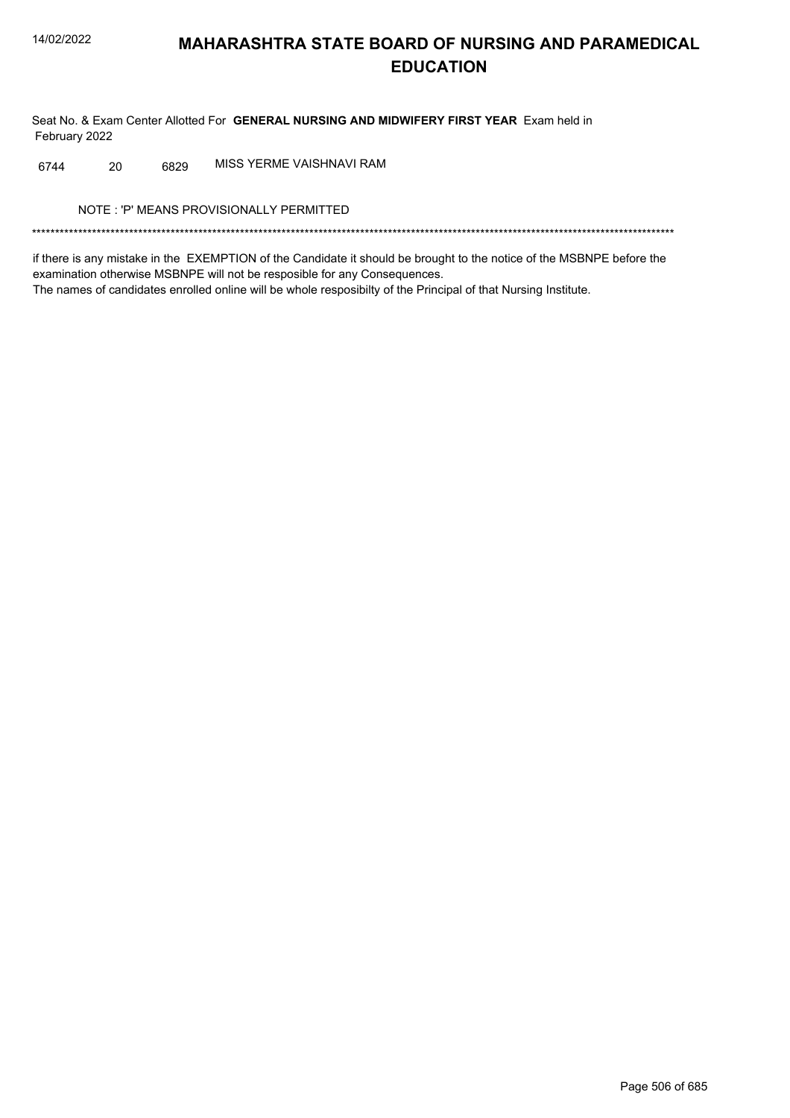Seat No. & Exam Center Allotted For GENERAL NURSING AND MIDWIFERY FIRST YEAR Exam held in February 2022

MISS YERME VAISHNAVI RAM 6744 20 6829

NOTE: 'P' MEANS PROVISIONALLY PERMITTED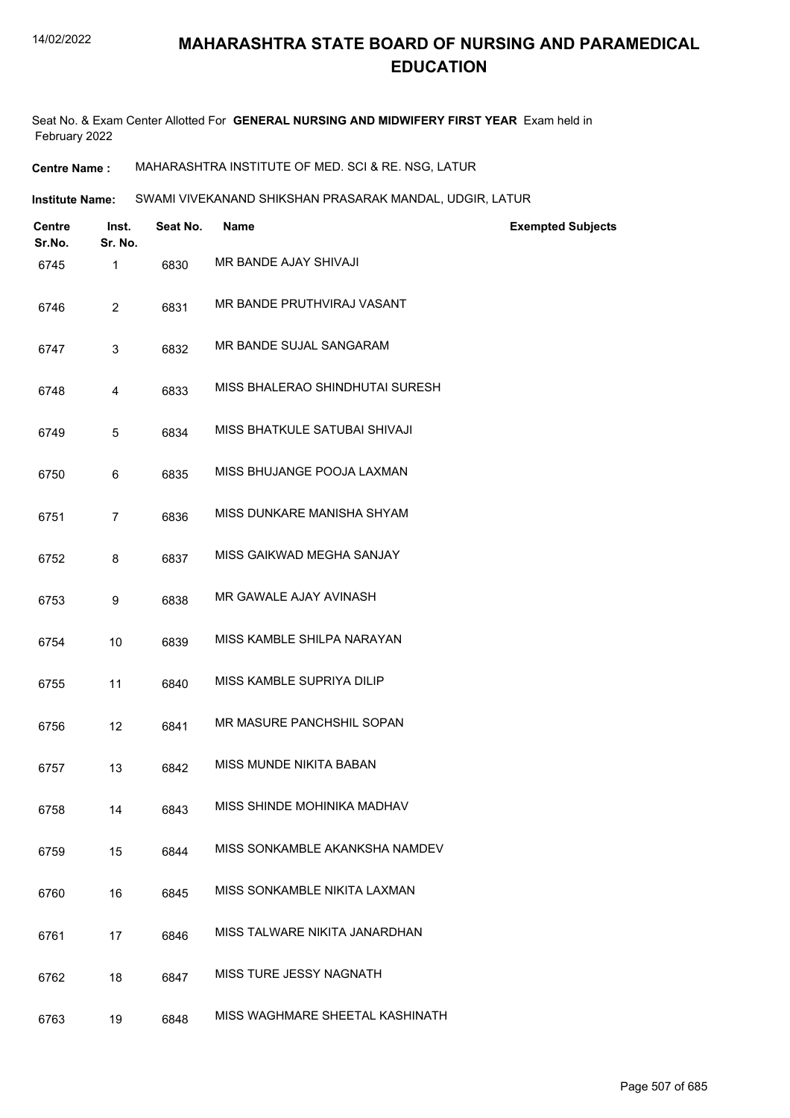Seat No. & Exam Center Allotted For **GENERAL NURSING AND MIDWIFERY FIRST YEAR** Exam held in February 2022

**Centre Name :** MAHARASHTRA INSTITUTE OF MED. SCI & RE. NSG, LATUR

**Institute Name:** SWAMI VIVEKANAND SHIKSHAN PRASARAK MANDAL, UDGIR, LATUR

| <b>Centre</b><br>Sr.No. | Inst.<br>Sr. No. | Seat No. | <b>Name</b>                     | <b>Exempted Subjects</b> |
|-------------------------|------------------|----------|---------------------------------|--------------------------|
| 6745                    | $\mathbf{1}$     | 6830     | <b>MR BANDE AJAY SHIVAJI</b>    |                          |
| 6746                    | 2                | 6831     | MR BANDE PRUTHVIRAJ VASANT      |                          |
| 6747                    | 3                | 6832     | MR BANDE SUJAL SANGARAM         |                          |
| 6748                    | 4                | 6833     | MISS BHALERAO SHINDHUTAI SURESH |                          |
| 6749                    | 5                | 6834     | MISS BHATKULE SATUBAI SHIVAJI   |                          |
| 6750                    | 6                | 6835     | MISS BHUJANGE POOJA LAXMAN      |                          |
| 6751                    | $\overline{7}$   | 6836     | MISS DUNKARE MANISHA SHYAM      |                          |
| 6752                    | 8                | 6837     | MISS GAIKWAD MEGHA SANJAY       |                          |
| 6753                    | 9                | 6838     | MR GAWALE AJAY AVINASH          |                          |
| 6754                    | 10               | 6839     | MISS KAMBLE SHILPA NARAYAN      |                          |
| 6755                    | 11               | 6840     | MISS KAMBLE SUPRIYA DILIP       |                          |
| 6756                    | 12               | 6841     | MR MASURE PANCHSHIL SOPAN       |                          |
| 6757                    | 13               | 6842     | MISS MUNDE NIKITA BABAN         |                          |
| 6758                    | 14               | 6843     | MISS SHINDE MOHINIKA MADHAV     |                          |
| 6759                    | 15               | 6844     | MISS SONKAMBLE AKANKSHA NAMDEV  |                          |
| 6760                    | 16               | 6845     | MISS SONKAMBLE NIKITA LAXMAN    |                          |
| 6761                    | 17               | 6846     | MISS TALWARE NIKITA JANARDHAN   |                          |
| 6762                    | 18               | 6847     | MISS TURE JESSY NAGNATH         |                          |
| 6763                    | 19               | 6848     | MISS WAGHMARE SHEETAL KASHINATH |                          |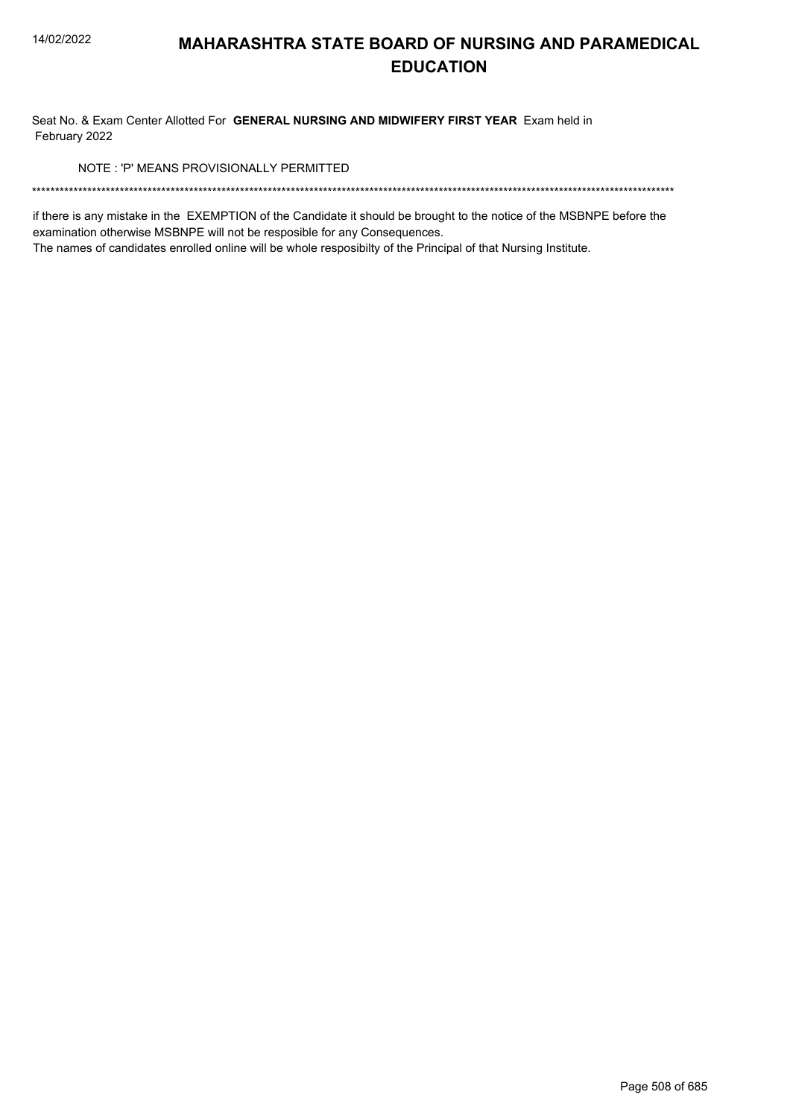Seat No. & Exam Center Allotted For GENERAL NURSING AND MIDWIFERY FIRST YEAR Exam held in February 2022

NOTE: 'P' MEANS PROVISIONALLY PERMITTED

if there is any mistake in the EXEMPTION of the Candidate it should be brought to the notice of the MSBNPE before the examination otherwise MSBNPE will not be resposible for any Consequences.

The names of candidates enrolled online will be whole resposibilty of the Principal of that Nursing Institute.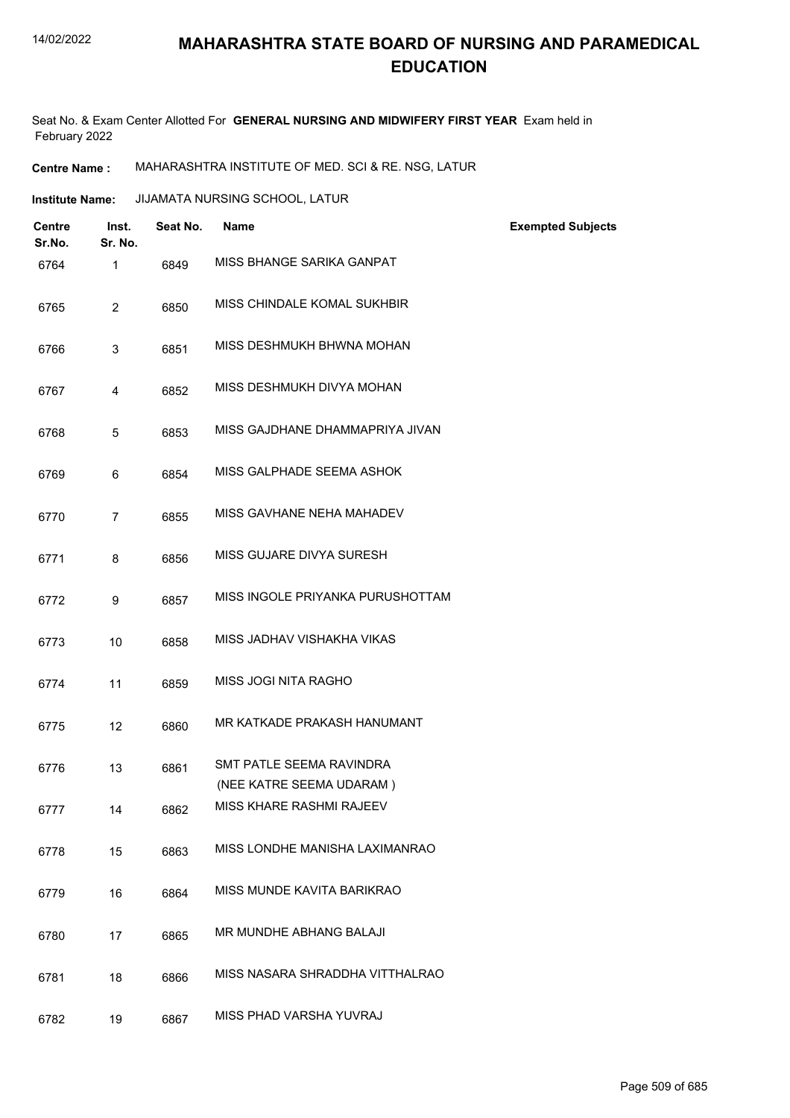Seat No. & Exam Center Allotted For **GENERAL NURSING AND MIDWIFERY FIRST YEAR** Exam held in February 2022

**Centre Name :** MAHARASHTRA INSTITUTE OF MED. SCI & RE. NSG, LATUR

| <b>Centre</b><br>Sr.No. | Inst.<br>Sr. No. | Seat No. | Name                                                 | <b>Exempted Subjects</b> |
|-------------------------|------------------|----------|------------------------------------------------------|--------------------------|
| 6764                    | $\mathbf{1}$     | 6849     | MISS BHANGE SARIKA GANPAT                            |                          |
| 6765                    | $\overline{2}$   | 6850     | MISS CHINDALE KOMAL SUKHBIR                          |                          |
| 6766                    | 3                | 6851     | MISS DESHMUKH BHWNA MOHAN                            |                          |
| 6767                    | 4                | 6852     | MISS DESHMUKH DIVYA MOHAN                            |                          |
| 6768                    | 5                | 6853     | MISS GAJDHANE DHAMMAPRIYA JIVAN                      |                          |
| 6769                    | 6                | 6854     | MISS GALPHADE SEEMA ASHOK                            |                          |
| 6770                    | $\overline{7}$   | 6855     | MISS GAVHANE NEHA MAHADEV                            |                          |
| 6771                    | 8                | 6856     | MISS GUJARE DIVYA SURESH                             |                          |
| 6772                    | 9                | 6857     | MISS INGOLE PRIYANKA PURUSHOTTAM                     |                          |
| 6773                    | 10               | 6858     | MISS JADHAV VISHAKHA VIKAS                           |                          |
| 6774                    | 11               | 6859     | MISS JOGI NITA RAGHO                                 |                          |
| 6775                    | 12               | 6860     | MR KATKADE PRAKASH HANUMANT                          |                          |
| 6776                    | 13               | 6861     | SMT PATLE SEEMA RAVINDRA                             |                          |
| 6777                    | 14               | 6862     | (NEE KATRE SEEMA UDARAM)<br>MISS KHARE RASHMI RAJEEV |                          |
| 6778                    | 15               | 6863     | MISS LONDHE MANISHA LAXIMANRAO                       |                          |
| 6779                    | 16               | 6864     | MISS MUNDE KAVITA BARIKRAO                           |                          |
| 6780                    | 17               | 6865     | MR MUNDHE ABHANG BALAJI                              |                          |
| 6781                    | 18               | 6866     | MISS NASARA SHRADDHA VITTHALRAO                      |                          |
| 6782                    | 19               | 6867     | MISS PHAD VARSHA YUVRAJ                              |                          |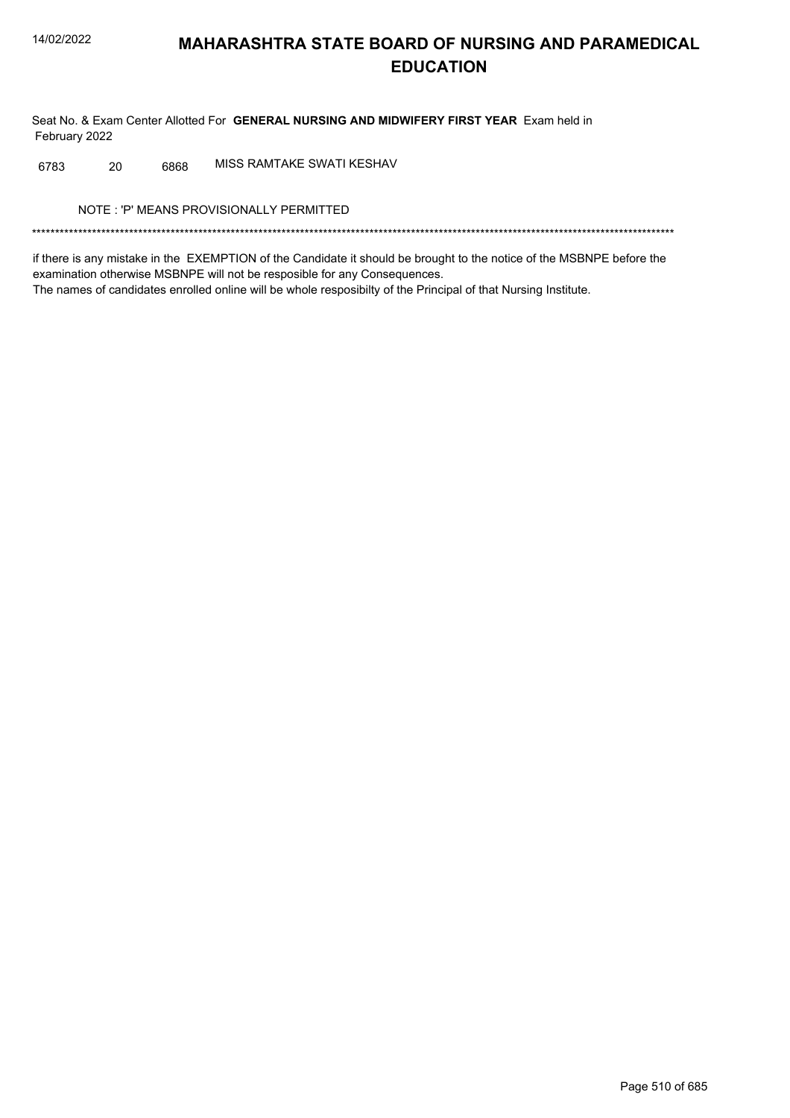Seat No. & Exam Center Allotted For GENERAL NURSING AND MIDWIFERY FIRST YEAR Exam held in February 2022

MISS RAMTAKE SWATI KESHAV 6783 20 6868

NOTE: 'P' MEANS PROVISIONALLY PERMITTED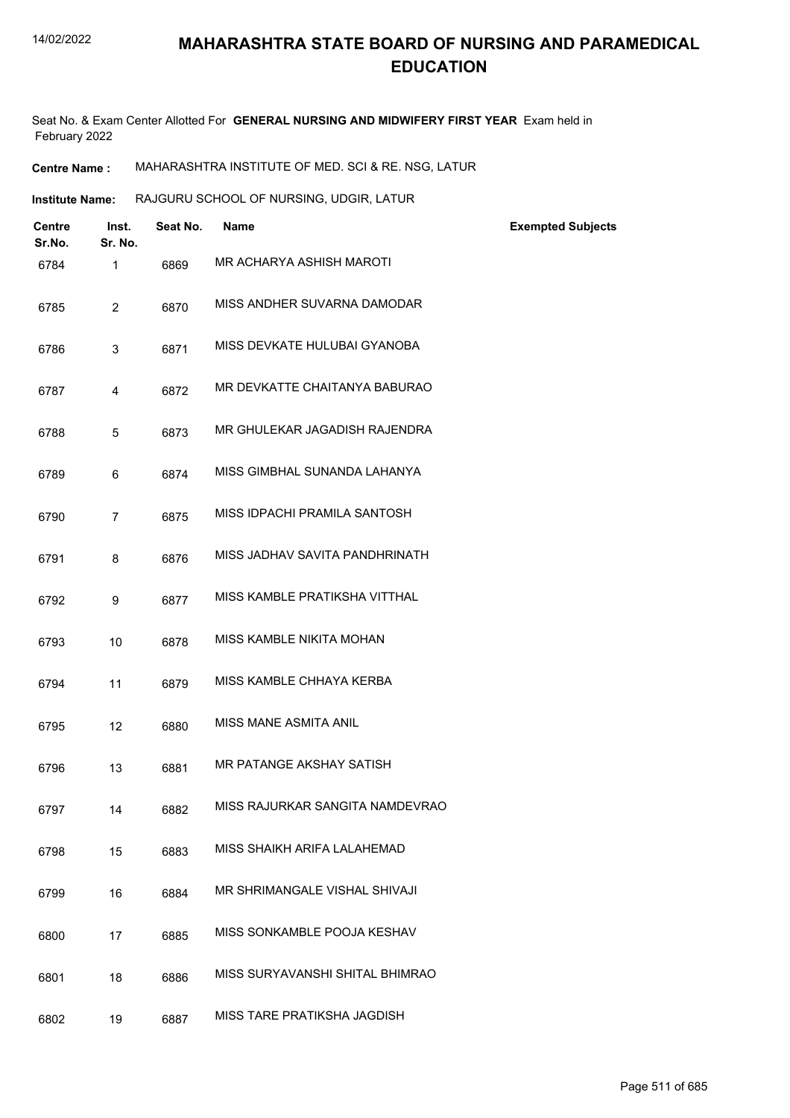Seat No. & Exam Center Allotted For **GENERAL NURSING AND MIDWIFERY FIRST YEAR** Exam held in February 2022

**Centre Name :** MAHARASHTRA INSTITUTE OF MED. SCI & RE. NSG, LATUR

**Institute Name:** RAJGURU SCHOOL OF NURSING, UDGIR, LATUR

| <b>Centre</b><br>Sr.No. | Inst.<br>Sr. No. | Seat No. | <b>Name</b>                     | <b>Exempted Subjects</b> |
|-------------------------|------------------|----------|---------------------------------|--------------------------|
| 6784                    | 1                | 6869     | MR ACHARYA ASHISH MAROTI        |                          |
| 6785                    | 2                | 6870     | MISS ANDHER SUVARNA DAMODAR     |                          |
| 6786                    | 3                | 6871     | MISS DEVKATE HULUBAI GYANOBA    |                          |
| 6787                    | 4                | 6872     | MR DEVKATTE CHAITANYA BABURAO   |                          |
| 6788                    | 5                | 6873     | MR GHULEKAR JAGADISH RAJENDRA   |                          |
| 6789                    | 6                | 6874     | MISS GIMBHAL SUNANDA LAHANYA    |                          |
| 6790                    | $\overline{7}$   | 6875     | MISS IDPACHI PRAMILA SANTOSH    |                          |
| 6791                    | 8                | 6876     | MISS JADHAV SAVITA PANDHRINATH  |                          |
| 6792                    | 9                | 6877     | MISS KAMBLE PRATIKSHA VITTHAL   |                          |
| 6793                    | 10               | 6878     | MISS KAMBLE NIKITA MOHAN        |                          |
| 6794                    | 11               | 6879     | MISS KAMBLE CHHAYA KERBA        |                          |
| 6795                    | 12               | 6880     | <b>MISS MANE ASMITA ANIL</b>    |                          |
| 6796                    | 13               | 6881     | MR PATANGE AKSHAY SATISH        |                          |
| 6797                    | 14               | 6882     | MISS RAJURKAR SANGITA NAMDEVRAO |                          |
| 6798                    | 15               | 6883     | MISS SHAIKH ARIFA LALAHEMAD     |                          |
| 6799                    | 16               | 6884     | MR SHRIMANGALE VISHAL SHIVAJI   |                          |
| 6800                    | 17               | 6885     | MISS SONKAMBLE POOJA KESHAV     |                          |
| 6801                    | 18               | 6886     | MISS SURYAVANSHI SHITAL BHIMRAO |                          |
| 6802                    | 19               | 6887     | MISS TARE PRATIKSHA JAGDISH     |                          |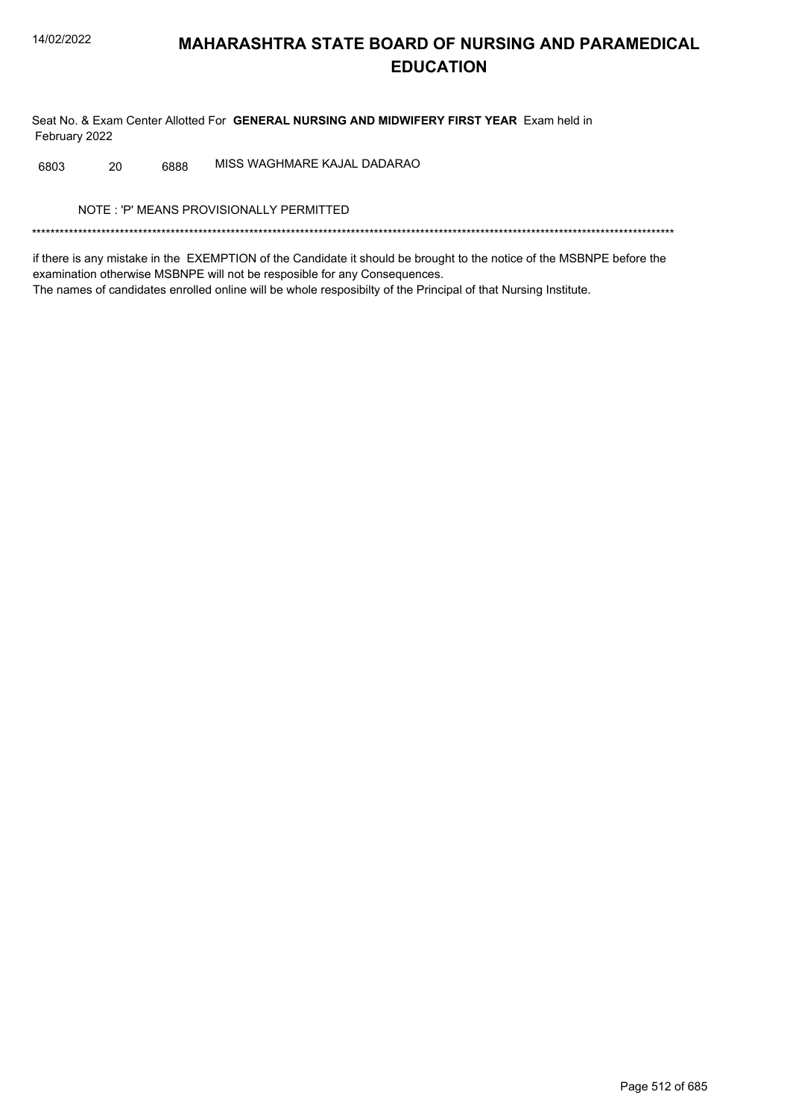Seat No. & Exam Center Allotted For GENERAL NURSING AND MIDWIFERY FIRST YEAR Exam held in February 2022

MISS WAGHMARE KAJAL DADARAO 6803 20 6888

NOTE: 'P' MEANS PROVISIONALLY PERMITTED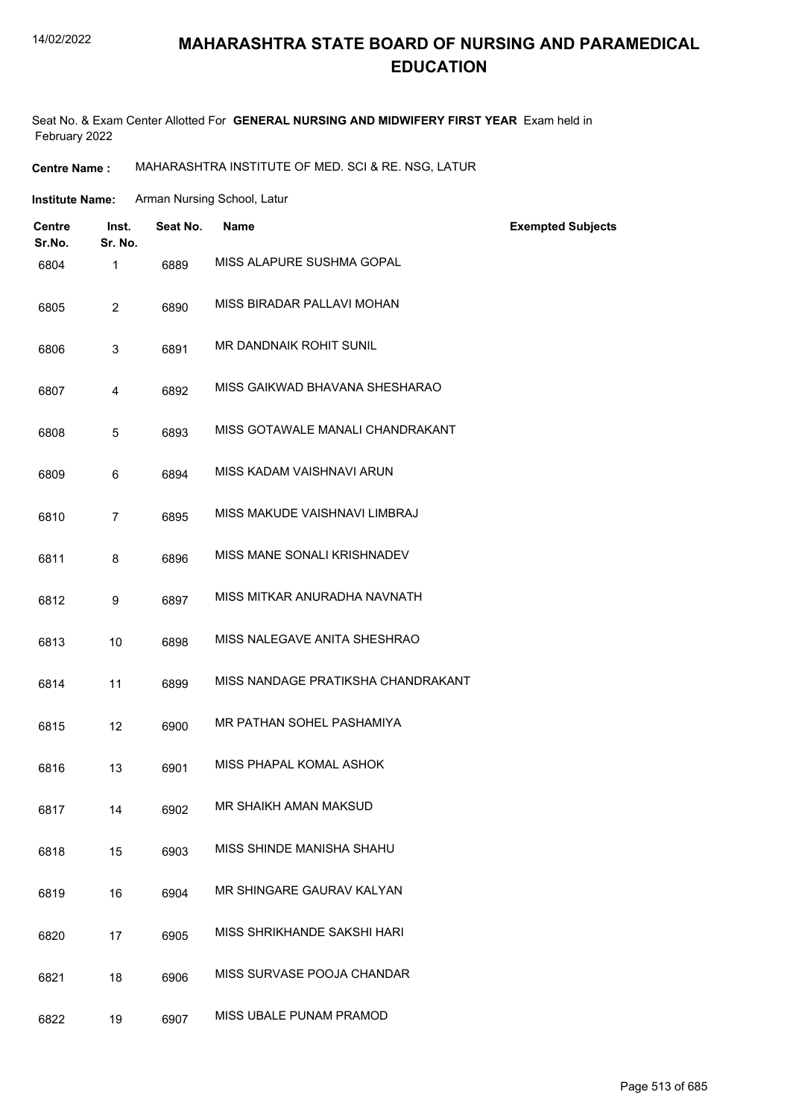## **MAHARASHTRA STATE BOARD OF NURSING AND PARAMEDICAL EDUCATION**

Seat No. & Exam Center Allotted For **GENERAL NURSING AND MIDWIFERY FIRST YEAR** Exam held in February 2022

**Centre Name :** MAHARASHTRA INSTITUTE OF MED. SCI & RE. NSG, LATUR

| <b>Institute Name:</b> | Arman Nursing School, Latur |
|------------------------|-----------------------------|
|------------------------|-----------------------------|

| Centre<br>Sr.No. | Inst.<br>Sr. No. | Seat No. | <b>Name</b>                        | <b>Exempted Subjects</b> |
|------------------|------------------|----------|------------------------------------|--------------------------|
| 6804             | 1                | 6889     | MISS ALAPURE SUSHMA GOPAL          |                          |
| 6805             | $\overline{2}$   | 6890     | MISS BIRADAR PALLAVI MOHAN         |                          |
| 6806             | 3                | 6891     | MR DANDNAIK ROHIT SUNIL            |                          |
| 6807             | 4                | 6892     | MISS GAIKWAD BHAVANA SHESHARAO     |                          |
| 6808             | 5                | 6893     | MISS GOTAWALE MANALI CHANDRAKANT   |                          |
| 6809             | 6                | 6894     | MISS KADAM VAISHNAVI ARUN          |                          |
| 6810             | $\overline{7}$   | 6895     | MISS MAKUDE VAISHNAVI LIMBRAJ      |                          |
| 6811             | 8                | 6896     | MISS MANE SONALI KRISHNADEV        |                          |
| 6812             | 9                | 6897     | MISS MITKAR ANURADHA NAVNATH       |                          |
| 6813             | 10               | 6898     | MISS NALEGAVE ANITA SHESHRAO       |                          |
| 6814             | 11               | 6899     | MISS NANDAGE PRATIKSHA CHANDRAKANT |                          |
| 6815             | 12               | 6900     | MR PATHAN SOHEL PASHAMIYA          |                          |
| 6816             | 13               | 6901     | MISS PHAPAL KOMAL ASHOK            |                          |
| 6817             | 14               | 6902     | MR SHAIKH AMAN MAKSUD              |                          |
| 6818             | 15               | 6903     | MISS SHINDE MANISHA SHAHU          |                          |
| 6819             | 16               | 6904     | MR SHINGARE GAURAV KALYAN          |                          |
| 6820             | 17               | 6905     | MISS SHRIKHANDE SAKSHI HARI        |                          |
| 6821             | 18               | 6906     | MISS SURVASE POOJA CHANDAR         |                          |
| 6822             | 19               | 6907     | MISS UBALE PUNAM PRAMOD            |                          |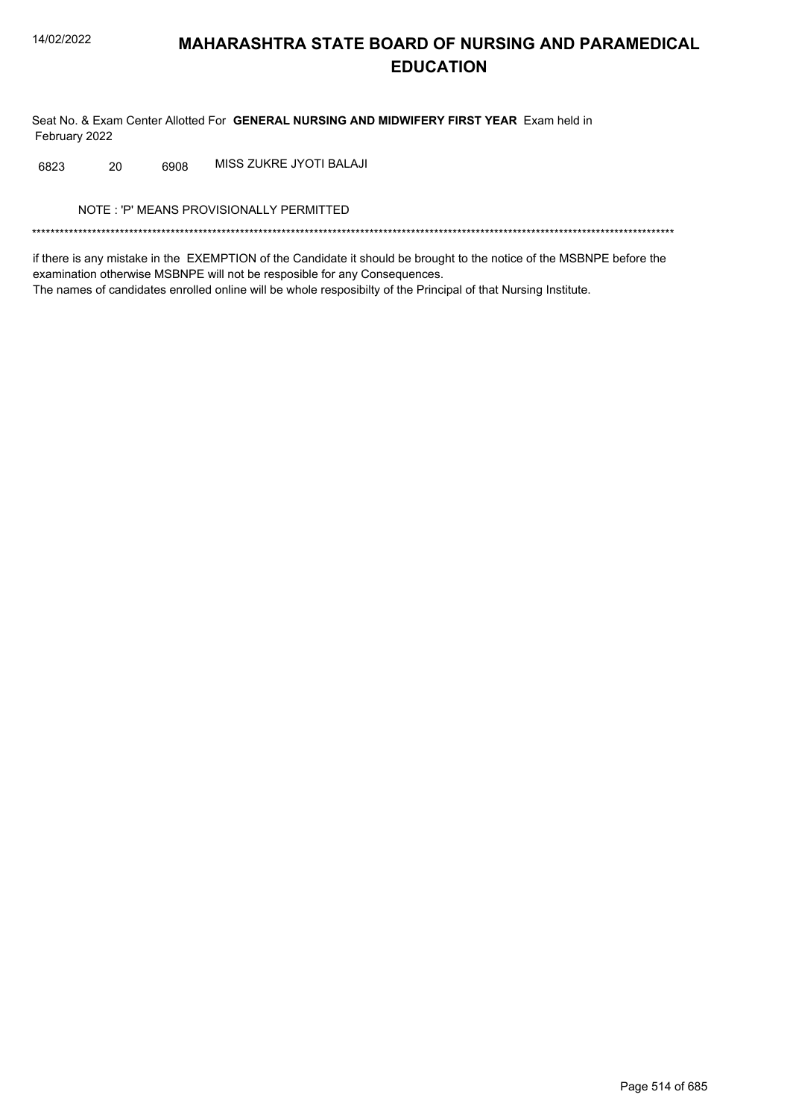Seat No. & Exam Center Allotted For GENERAL NURSING AND MIDWIFERY FIRST YEAR Exam held in February 2022

MISS ZUKRE JYOTI BALAJI 6823 20 6908

NOTE: 'P' MEANS PROVISIONALLY PERMITTED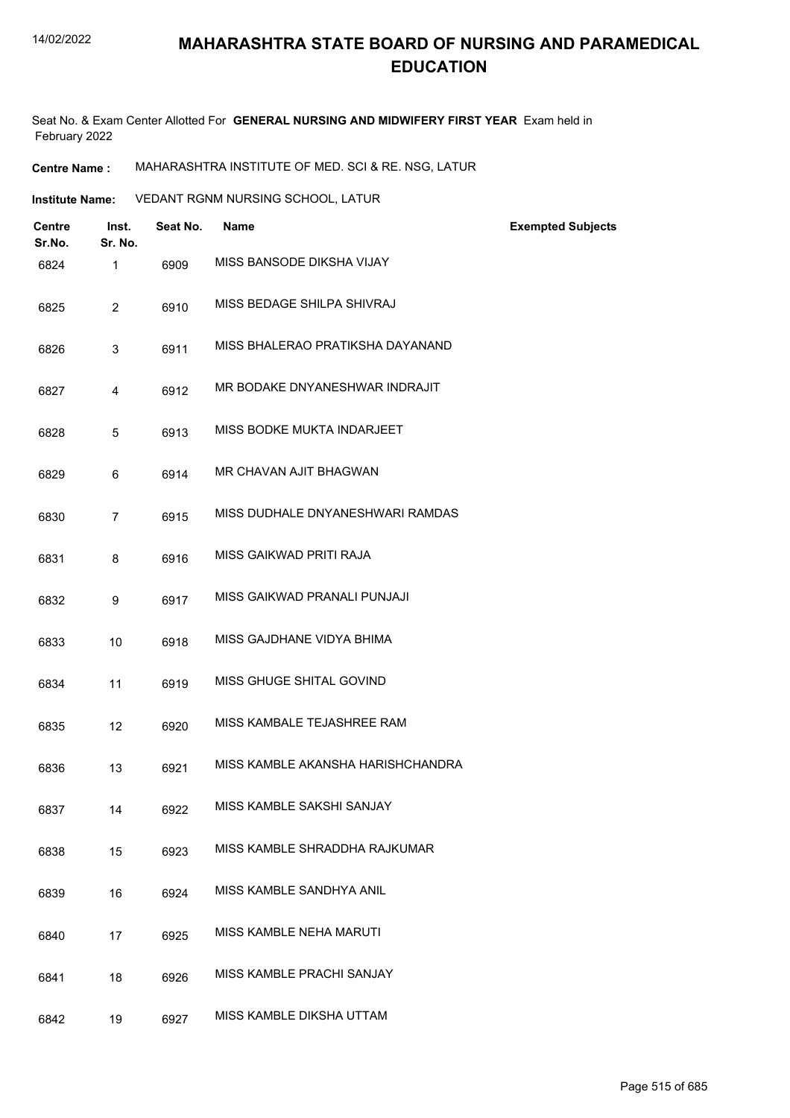Seat No. & Exam Center Allotted For **GENERAL NURSING AND MIDWIFERY FIRST YEAR** Exam held in February 2022

**Centre Name :** MAHARASHTRA INSTITUTE OF MED. SCI & RE. NSG, LATUR

| <b>Institute Name:</b> | VEDANT RGNM NURSING SCHOOL, LATUR |
|------------------------|-----------------------------------|
|                        |                                   |

| <b>Centre</b><br>Sr.No. | Inst.<br>Sr. No. | Seat No. | <b>Name</b>                       | <b>Exempted Subjects</b> |
|-------------------------|------------------|----------|-----------------------------------|--------------------------|
| 6824                    | 1                | 6909     | MISS BANSODE DIKSHA VIJAY         |                          |
| 6825                    | $\overline{2}$   | 6910     | MISS BEDAGE SHILPA SHIVRAJ        |                          |
| 6826                    | 3                | 6911     | MISS BHALERAO PRATIKSHA DAYANAND  |                          |
| 6827                    | 4                | 6912     | MR BODAKE DNYANESHWAR INDRAJIT    |                          |
| 6828                    | 5                | 6913     | MISS BODKE MUKTA INDARJEET        |                          |
| 6829                    | 6                | 6914     | MR CHAVAN AJIT BHAGWAN            |                          |
| 6830                    | $\overline{7}$   | 6915     | MISS DUDHALE DNYANESHWARI RAMDAS  |                          |
| 6831                    | 8                | 6916     | MISS GAIKWAD PRITI RAJA           |                          |
| 6832                    | 9                | 6917     | MISS GAIKWAD PRANALI PUNJAJI      |                          |
| 6833                    | 10               | 6918     | MISS GAJDHANE VIDYA BHIMA         |                          |
| 6834                    | 11               | 6919     | MISS GHUGE SHITAL GOVIND          |                          |
| 6835                    | 12               | 6920     | MISS KAMBALE TEJASHREE RAM        |                          |
| 6836                    | 13               | 6921     | MISS KAMBLE AKANSHA HARISHCHANDRA |                          |
| 6837                    | 14               | 6922     | MISS KAMBLE SAKSHI SANJAY         |                          |
| 6838                    | 15               | 6923     | MISS KAMBLE SHRADDHA RAJKUMAR     |                          |
| 6839                    | 16               | 6924     | MISS KAMBLE SANDHYA ANIL          |                          |
| 6840                    | 17               | 6925     | MISS KAMBLE NEHA MARUTI           |                          |
| 6841                    | 18               | 6926     | MISS KAMBLE PRACHI SANJAY         |                          |
| 6842                    | 19               | 6927     | MISS KAMBLE DIKSHA UTTAM          |                          |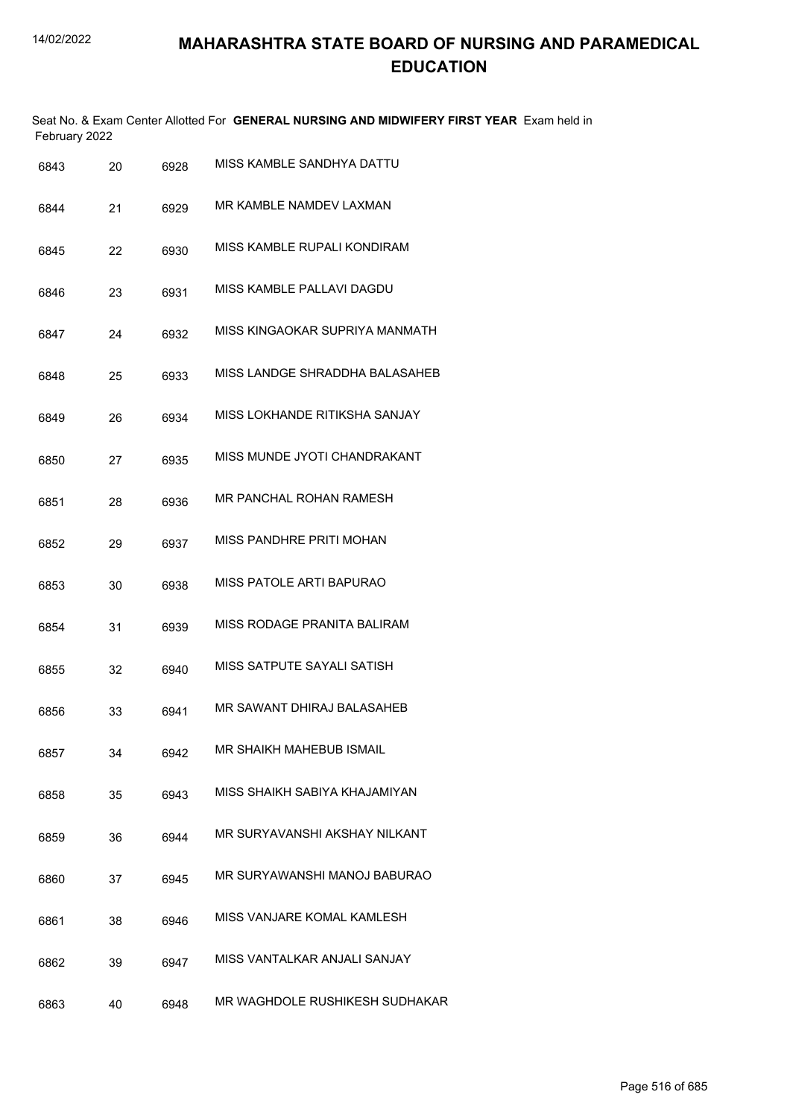|               | Seat No. & Exam Center Allotted For GENERAL NURSING AND MIDWIFERY FIRST YEAR Exam held in |  |
|---------------|-------------------------------------------------------------------------------------------|--|
| February 2022 |                                                                                           |  |

| 6843 | 20 | 6928 | MISS KAMBLE SANDHYA DATTU       |
|------|----|------|---------------------------------|
| 6844 | 21 | 6929 | MR KAMBLE NAMDEV LAXMAN         |
| 6845 | 22 | 6930 | MISS KAMBLE RUPALI KONDIRAM     |
| 6846 | 23 | 6931 | MISS KAMBLE PALLAVI DAGDU       |
| 6847 | 24 | 6932 | MISS KINGAOKAR SUPRIYA MANMATH  |
| 6848 | 25 | 6933 | MISS LANDGE SHRADDHA BALASAHEB  |
| 6849 | 26 | 6934 | MISS LOKHANDE RITIKSHA SANJAY   |
| 6850 | 27 | 6935 | MISS MUNDE JYOTI CHANDRAKANT    |
| 6851 | 28 | 6936 | MR PANCHAL ROHAN RAMESH         |
| 6852 | 29 | 6937 | MISS PANDHRE PRITI MOHAN        |
| 6853 | 30 | 6938 | <b>MISS PATOLE ARTI BAPURAO</b> |
| 6854 | 31 | 6939 | MISS RODAGE PRANITA BALIRAM     |
| 6855 | 32 | 6940 | MISS SATPUTE SAYALI SATISH      |
| 6856 | 33 | 6941 | MR SAWANT DHIRAJ BALASAHEB      |
| 6857 | 34 | 6942 | MR SHAIKH MAHEBUB ISMAIL        |
| 6858 | 35 | 6943 | MISS SHAIKH SABIYA KHAJAMIYAN   |
| 6859 | 36 | 6944 | MR SURYAVANSHI AKSHAY NILKANT   |
| 6860 | 37 | 6945 | MR SURYAWANSHI MANOJ BABURAO    |
| 6861 | 38 | 6946 | MISS VANJARE KOMAL KAMLESH      |
| 6862 | 39 | 6947 | MISS VANTALKAR ANJALI SANJAY    |
| 6863 | 40 | 6948 | MR WAGHDOLE RUSHIKESH SUDHAKAR  |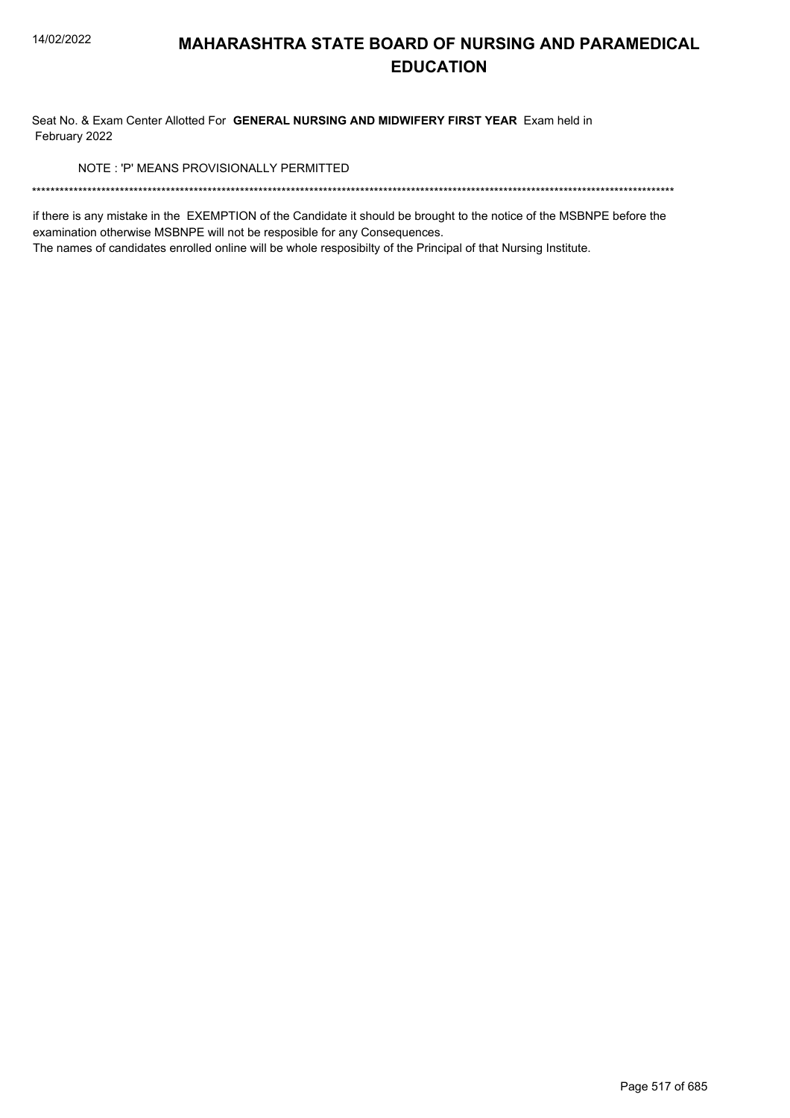Seat No. & Exam Center Allotted For GENERAL NURSING AND MIDWIFERY FIRST YEAR Exam held in February 2022

NOTE: 'P' MEANS PROVISIONALLY PERMITTED

if there is any mistake in the EXEMPTION of the Candidate it should be brought to the notice of the MSBNPE before the examination otherwise MSBNPE will not be resposible for any Consequences.

The names of candidates enrolled online will be whole resposibilty of the Principal of that Nursing Institute.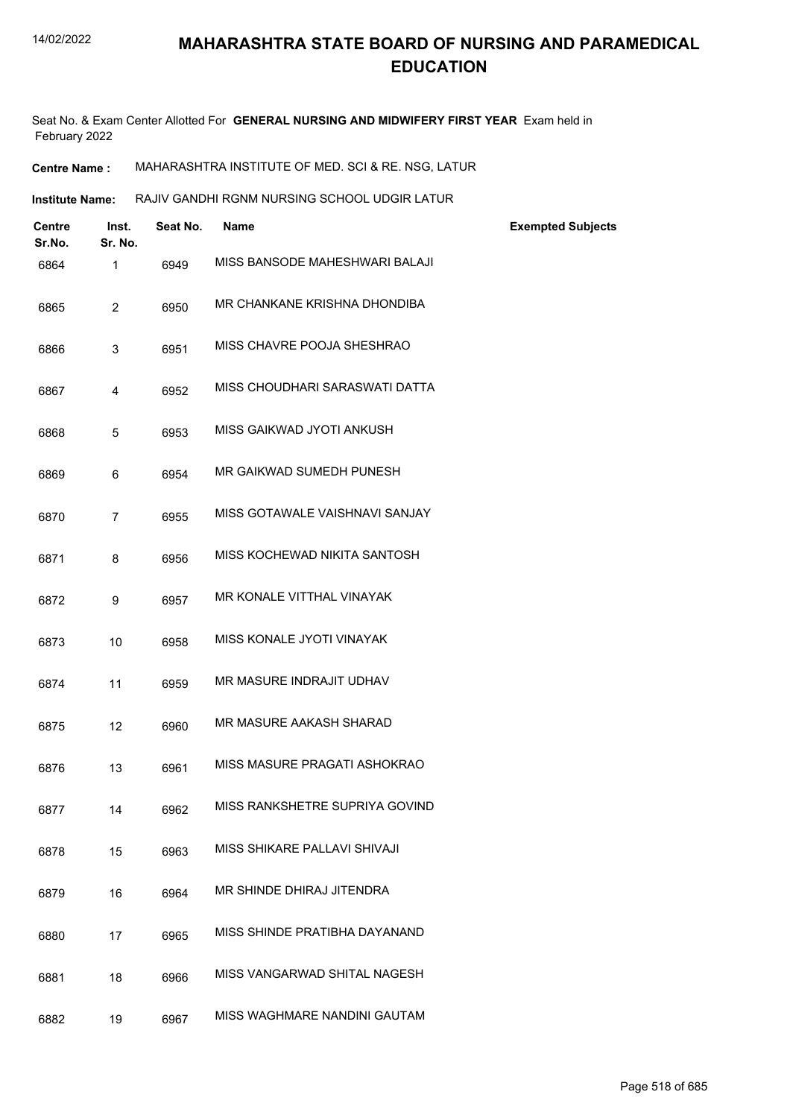Seat No. & Exam Center Allotted For **GENERAL NURSING AND MIDWIFERY FIRST YEAR** Exam held in February 2022

**Centre Name :** MAHARASHTRA INSTITUTE OF MED. SCI & RE. NSG, LATUR

| <b>Institute Name:</b> |                  |          | RAJIV GANDHI RGNM NURSING SCHOOL UDGIR LATUR |                          |
|------------------------|------------------|----------|----------------------------------------------|--------------------------|
| Centre<br>Sr.No.       | Inst.<br>Sr. No. | Seat No. | <b>Name</b>                                  | <b>Exempted Subjects</b> |
| 6864                   | $\mathbf{1}$     | 6949     | MISS BANSODE MAHESHWARI BALAJI               |                          |
| 6865                   | $\overline{2}$   | 6950     | MR CHANKANE KRISHNA DHONDIBA                 |                          |
| 6866                   | 3                | 6951     | MISS CHAVRE POOJA SHESHRAO                   |                          |
| 6867                   | 4                | 6952     | MISS CHOUDHARI SARASWATI DATTA               |                          |
| 6868                   | 5                | 6953     | MISS GAIKWAD JYOTI ANKUSH                    |                          |
| 6869                   | 6                | 6954     | MR GAIKWAD SUMEDH PUNESH                     |                          |
| 6870                   | $\overline{7}$   | 6955     | MISS GOTAWALE VAISHNAVI SANJAY               |                          |
| 6871                   | 8                | 6956     | MISS KOCHEWAD NIKITA SANTOSH                 |                          |
| 6872                   | 9                | 6957     | MR KONALE VITTHAL VINAYAK                    |                          |
| 6873                   | 10               | 6958     | MISS KONALE JYOTI VINAYAK                    |                          |
| 6874                   | 11               | 6959     | MR MASURE INDRAJIT UDHAV                     |                          |
| 6875                   | 12               | 6960     | MR MASURE AAKASH SHARAD                      |                          |
| 6876                   | 13               | 6961     | MISS MASURE PRAGATI ASHOKRAO                 |                          |
| 6877                   | 14               | 6962     | MISS RANKSHETRE SUPRIYA GOVIND               |                          |
| 6878                   | 15               | 6963     | MISS SHIKARE PALLAVI SHIVAJI                 |                          |
| 6879                   | 16               | 6964     | MR SHINDE DHIRAJ JITENDRA                    |                          |
| 6880                   | 17               | 6965     | MISS SHINDE PRATIBHA DAYANAND                |                          |
| 6881                   | 18               | 6966     | MISS VANGARWAD SHITAL NAGESH                 |                          |
| 6882                   | 19               | 6967     | MISS WAGHMARE NANDINI GAUTAM                 |                          |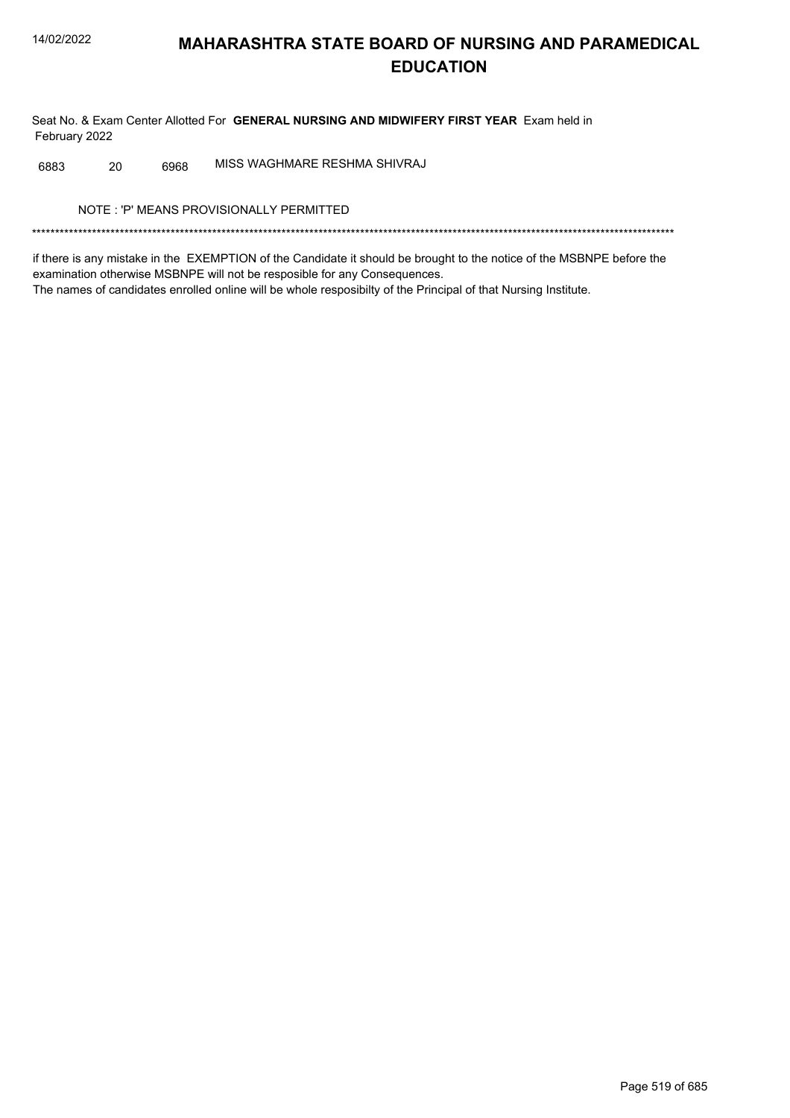Seat No. & Exam Center Allotted For GENERAL NURSING AND MIDWIFERY FIRST YEAR Exam held in February 2022

MISS WAGHMARE RESHMA SHIVRAJ 6883 20 6968

NOTE: 'P' MEANS PROVISIONALLY PERMITTED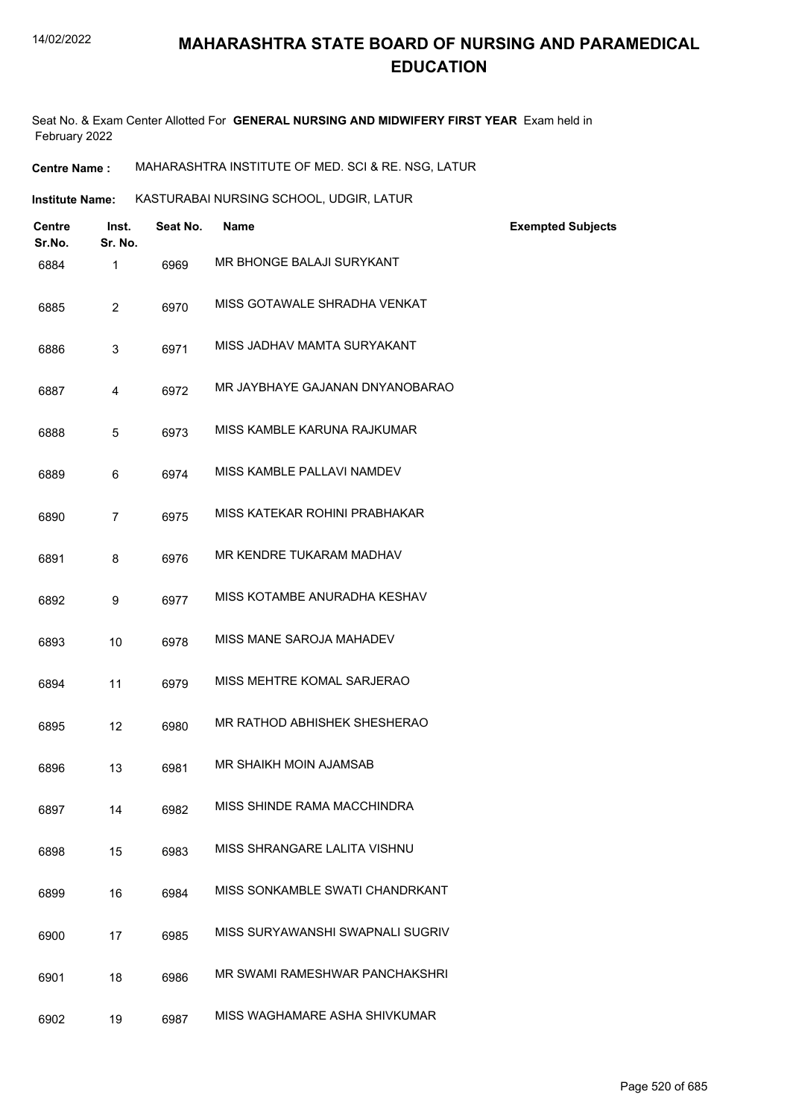Seat No. & Exam Center Allotted For **GENERAL NURSING AND MIDWIFERY FIRST YEAR** Exam held in February 2022

**Centre Name :** MAHARASHTRA INSTITUTE OF MED. SCI & RE. NSG, LATUR

| <b>Centre</b><br>Sr.No. | Inst.<br>Sr. No. | Seat No. | <b>Name</b>                      | <b>Exempted Subjects</b> |
|-------------------------|------------------|----------|----------------------------------|--------------------------|
| 6884                    | $\mathbf{1}$     | 6969     | MR BHONGE BALAJI SURYKANT        |                          |
| 6885                    | $\overline{2}$   | 6970     | MISS GOTAWALE SHRADHA VENKAT     |                          |
| 6886                    | 3                | 6971     | MISS JADHAV MAMTA SURYAKANT      |                          |
| 6887                    | 4                | 6972     | MR JAYBHAYE GAJANAN DNYANOBARAO  |                          |
| 6888                    | 5                | 6973     | MISS KAMBLE KARUNA RAJKUMAR      |                          |
| 6889                    | 6                | 6974     | MISS KAMBLE PALLAVI NAMDEV       |                          |
| 6890                    | $\overline{7}$   | 6975     | MISS KATEKAR ROHINI PRABHAKAR    |                          |
| 6891                    | 8                | 6976     | MR KENDRE TUKARAM MADHAV         |                          |
| 6892                    | 9                | 6977     | MISS KOTAMBE ANURADHA KESHAV     |                          |
| 6893                    | 10               | 6978     | MISS MANE SAROJA MAHADEV         |                          |
| 6894                    | 11               | 6979     | MISS MEHTRE KOMAL SARJERAO       |                          |
| 6895                    | 12               | 6980     | MR RATHOD ABHISHEK SHESHERAO     |                          |
| 6896                    | 13               | 6981     | MR SHAIKH MOIN AJAMSAB           |                          |
| 6897                    | 14               | 6982     | MISS SHINDE RAMA MACCHINDRA      |                          |
| 6898                    | 15               | 6983     | MISS SHRANGARE LALITA VISHNU     |                          |
| 6899                    | 16               | 6984     | MISS SONKAMBLE SWATI CHANDRKANT  |                          |
| 6900                    | 17               | 6985     | MISS SURYAWANSHI SWAPNALI SUGRIV |                          |
| 6901                    | 18               | 6986     | MR SWAMI RAMESHWAR PANCHAKSHRI   |                          |
| 6902                    | 19               | 6987     | MISS WAGHAMARE ASHA SHIVKUMAR    |                          |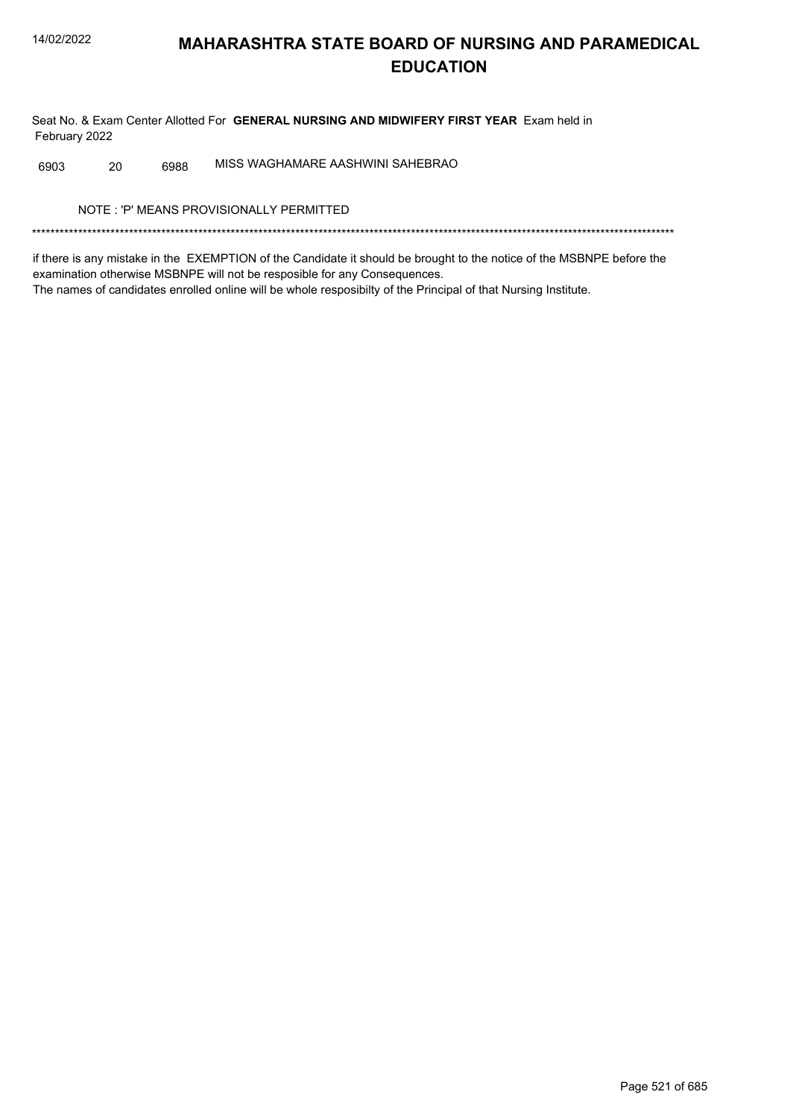Seat No. & Exam Center Allotted For GENERAL NURSING AND MIDWIFERY FIRST YEAR Exam held in February 2022

MISS WAGHAMARE AASHWINI SAHEBRAO 6903 20 6988

NOTE: 'P' MEANS PROVISIONALLY PERMITTED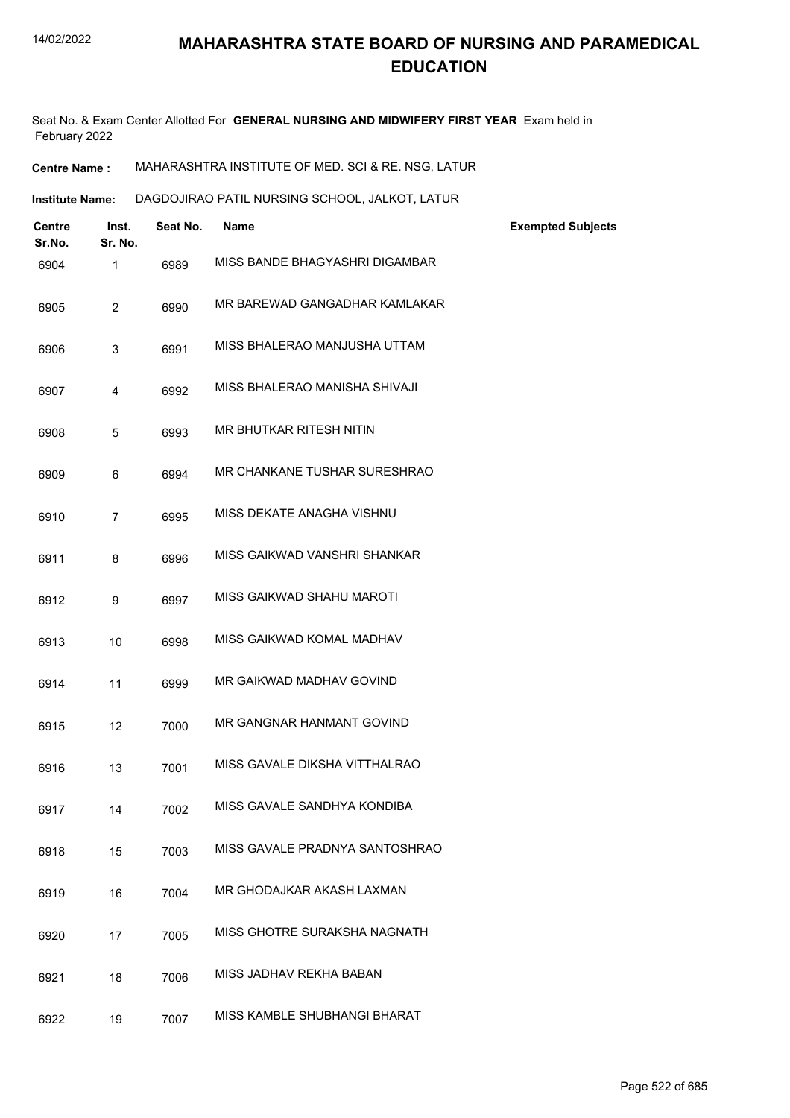Seat No. & Exam Center Allotted For **GENERAL NURSING AND MIDWIFERY FIRST YEAR** Exam held in February 2022

| <b>Centre Name :</b> | MAHARASHTRA INSTITUTE OF MED. SCI & RE. NSG. LATUR |
|----------------------|----------------------------------------------------|
|----------------------|----------------------------------------------------|

| Institute Name:         |                  | DAGDOJIRAO PATIL NURSING SCHOOL, JALKOT, LATUR |                                |                          |
|-------------------------|------------------|------------------------------------------------|--------------------------------|--------------------------|
| <b>Centre</b><br>Sr.No. | Inst.<br>Sr. No. | Seat No.                                       | <b>Name</b>                    | <b>Exempted Subjects</b> |
| 6904                    | 1                | 6989                                           | MISS BANDE BHAGYASHRI DIGAMBAR |                          |
| 6905                    | 2                | 6990                                           | MR BAREWAD GANGADHAR KAMLAKAR  |                          |
| 6906                    | 3                | 6991                                           | MISS BHALERAO MANJUSHA UTTAM   |                          |
| 6907                    | 4                | 6992                                           | MISS BHALERAO MANISHA SHIVAJI  |                          |
| 6908                    | 5                | 6993                                           | MR BHUTKAR RITESH NITIN        |                          |
| 6909                    | 6                | 6994                                           | MR CHANKANE TUSHAR SURESHRAO   |                          |

| 6910 | 6995 | MISS DEKATE ANAGHA VISHNU |
|------|------|---------------------------|
|      |      |                           |

| 6911 | 6996 | MISS GAIKWAD VANSHRI SHANKAR |
|------|------|------------------------------|
|      |      |                              |

- 6912 9 6997 MISS GAIKWAD SHAHU MAROTI
- 6913 10 6998 MISS GAIKWAD KOMAL MADHAV
- 6914 11 6999 MR GAIKWAD MADHAV GOVIND
- 6915 12 7000 MR GANGNAR HANMANT GOVIND
- 6916 13 7001 MISS GAVALE DIKSHA VITTHALRAO
- 6917 14 7002 MISS GAVALE SANDHYA KONDIBA
- 6918 15 7003 MISS GAVALE PRADNYA SANTOSHRAO
- 6919 16 7004 MR GHODAJKAR AKASH LAXMAN
- 6920 17 7005 MISS GHOTRE SURAKSHA NAGNATH
- 6921 18 7006 MISS JADHAV REKHA BABAN
- 6922 19 7007 MISS KAMBLE SHUBHANGI BHARAT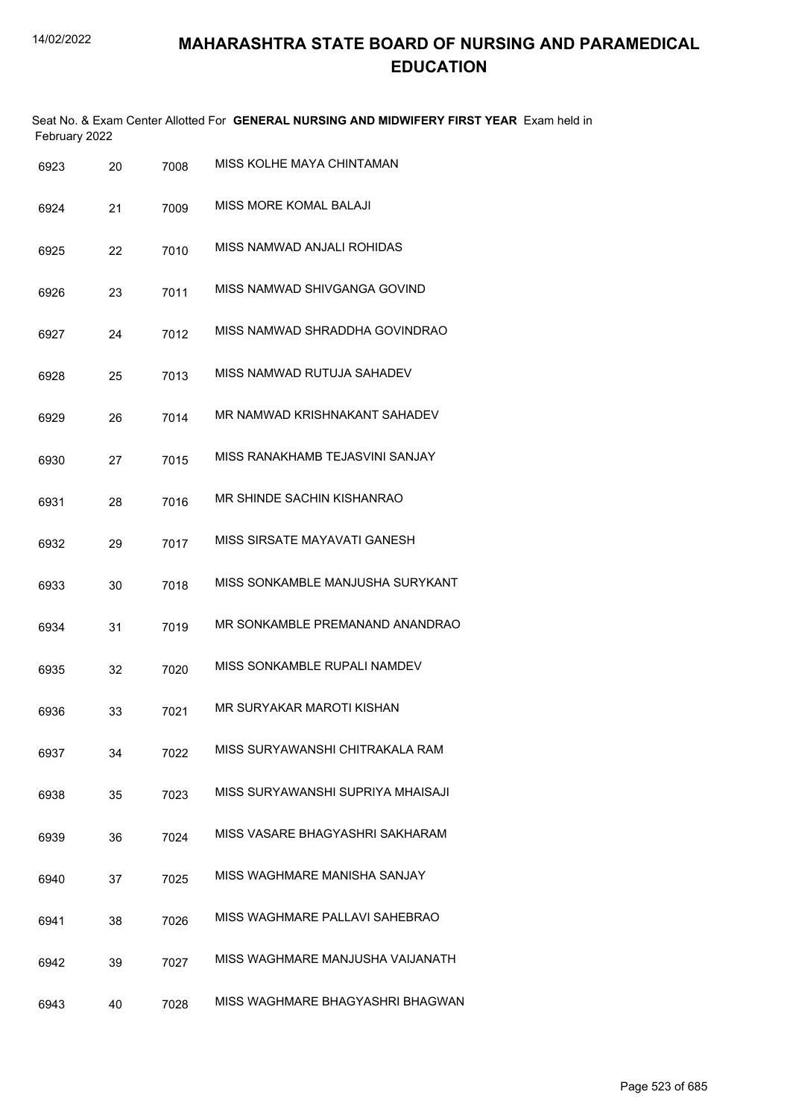| February 2022 |     |      | Seat No. & Exam Center Allotted For GENERAL NURSING AND MIDWIFERY FIRST YEAR Exam held in |
|---------------|-----|------|-------------------------------------------------------------------------------------------|
| 6923          | 20. | 7008 | MISS KOLHE MAYA CHINTAMAN                                                                 |

| 6924 | 21 | 7009 | <b>MISS MORE KOMAL BALAJI</b>     |
|------|----|------|-----------------------------------|
| 6925 | 22 | 7010 | MISS NAMWAD ANJALI ROHIDAS        |
| 6926 | 23 | 7011 | MISS NAMWAD SHIVGANGA GOVIND      |
| 6927 | 24 | 7012 | MISS NAMWAD SHRADDHA GOVINDRAO    |
| 6928 | 25 | 7013 | MISS NAMWAD RUTUJA SAHADEV        |
| 6929 | 26 | 7014 | MR NAMWAD KRISHNAKANT SAHADEV     |
| 6930 | 27 | 7015 | MISS RANAKHAMB TEJASVINI SANJAY   |
| 6931 | 28 | 7016 | MR SHINDE SACHIN KISHANRAO        |
| 6932 | 29 | 7017 | MISS SIRSATE MAYAVATI GANESH      |
| 6933 | 30 | 7018 | MISS SONKAMBLE MANJUSHA SURYKANT  |
| 6934 | 31 | 7019 | MR SONKAMBLE PREMANAND ANANDRAO   |
| 6935 | 32 | 7020 | MISS SONKAMBLE RUPALI NAMDEV      |
| 6936 | 33 | 7021 | MR SURYAKAR MAROTI KISHAN         |
| 6937 | 34 | 7022 | MISS SURYAWANSHI CHITRAKALA RAM   |
| 6938 | 35 | 7023 | MISS SURYAWANSHI SUPRIYA MHAISAJI |
| 6939 | 36 | 7024 | MISS VASARE BHAGYASHRI SAKHARAM   |
| 6940 | 37 | 7025 | MISS WAGHMARE MANISHA SANJAY      |
| 6941 | 38 | 7026 | MISS WAGHMARE PALLAVI SAHEBRAO    |
| 6942 | 39 | 7027 | MISS WAGHMARE MANJUSHA VAIJANATH  |
| 6943 | 40 | 7028 | MISS WAGHMARE BHAGYASHRI BHAGWAN  |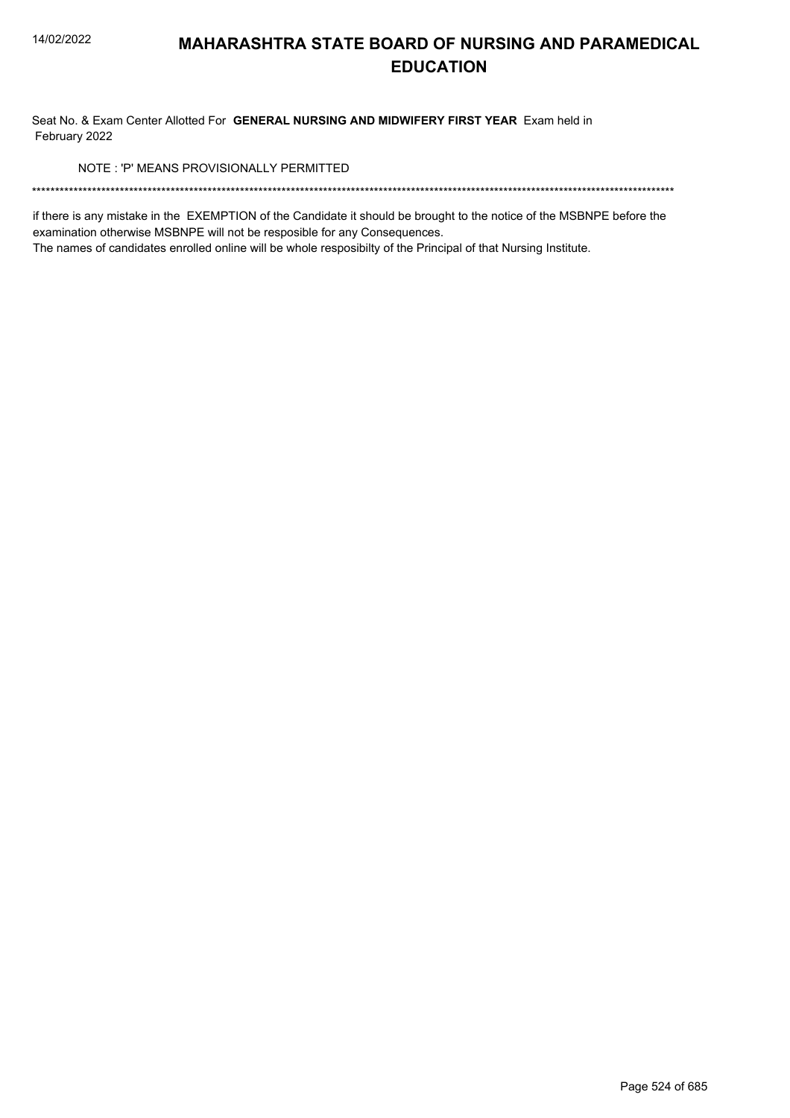Seat No. & Exam Center Allotted For GENERAL NURSING AND MIDWIFERY FIRST YEAR Exam held in February 2022

NOTE: 'P' MEANS PROVISIONALLY PERMITTED

if there is any mistake in the EXEMPTION of the Candidate it should be brought to the notice of the MSBNPE before the examination otherwise MSBNPE will not be resposible for any Consequences.

The names of candidates enrolled online will be whole resposibilty of the Principal of that Nursing Institute.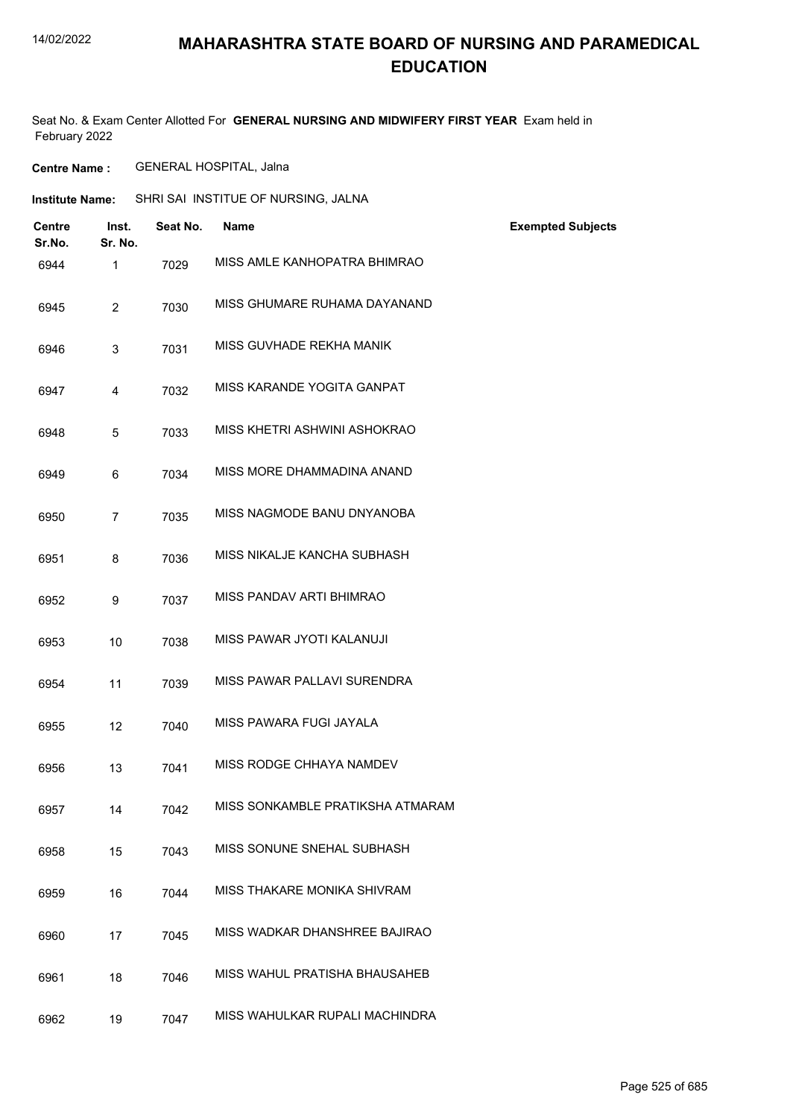## **MAHARASHTRA STATE BOARD OF NURSING AND PARAMEDICAL EDUCATION**

Seat No. & Exam Center Allotted For **GENERAL NURSING AND MIDWIFERY FIRST YEAR** Exam held in February 2022

**Centre Name :** GENERAL HOSPITAL, Jalna

| <b>Institute Name:</b>  |                         | SHRI SAI INSTITUE OF NURSING, JALNA |                                  |                          |
|-------------------------|-------------------------|-------------------------------------|----------------------------------|--------------------------|
| <b>Centre</b><br>Sr.No. | Inst.<br>Sr. No.        | Seat No.                            | <b>Name</b>                      | <b>Exempted Subjects</b> |
| 6944                    | $\mathbf{1}$            | 7029                                | MISS AMLE KANHOPATRA BHIMRAO     |                          |
| 6945                    | $\overline{2}$          | 7030                                | MISS GHUMARE RUHAMA DAYANAND     |                          |
| 6946                    | 3                       | 7031                                | MISS GUVHADE REKHA MANIK         |                          |
| 6947                    | $\overline{\mathbf{4}}$ | 7032                                | MISS KARANDE YOGITA GANPAT       |                          |
| 6948                    | 5                       | 7033                                | MISS KHETRI ASHWINI ASHOKRAO     |                          |
| 6949                    | 6                       | 7034                                | MISS MORE DHAMMADINA ANAND       |                          |
| 6950                    | $\overline{7}$          | 7035                                | MISS NAGMODE BANU DNYANOBA       |                          |
| 6951                    | 8                       | 7036                                | MISS NIKALJE KANCHA SUBHASH      |                          |
| 6952                    | 9                       | 7037                                | MISS PANDAV ARTI BHIMRAO         |                          |
| 6953                    | 10                      | 7038                                | MISS PAWAR JYOTI KALANUJI        |                          |
| 6954                    | 11                      | 7039                                | MISS PAWAR PALLAVI SURENDRA      |                          |
| 6955                    | 12                      | 7040                                | MISS PAWARA FUGI JAYALA          |                          |
| 6956                    | 13                      | 7041                                | MISS RODGE CHHAYA NAMDEV         |                          |
| 6957                    | 14                      | 7042                                | MISS SONKAMBLE PRATIKSHA ATMARAM |                          |
| 6958                    | 15                      | 7043                                | MISS SONUNE SNEHAL SUBHASH       |                          |
| 6959                    | 16                      | 7044                                | MISS THAKARE MONIKA SHIVRAM      |                          |
| 6960                    | 17                      | 7045                                | MISS WADKAR DHANSHREE BAJIRAO    |                          |
| 6961                    | 18                      | 7046                                | MISS WAHUL PRATISHA BHAUSAHEB    |                          |
| 6962                    | 19                      | 7047                                | MISS WAHULKAR RUPALI MACHINDRA   |                          |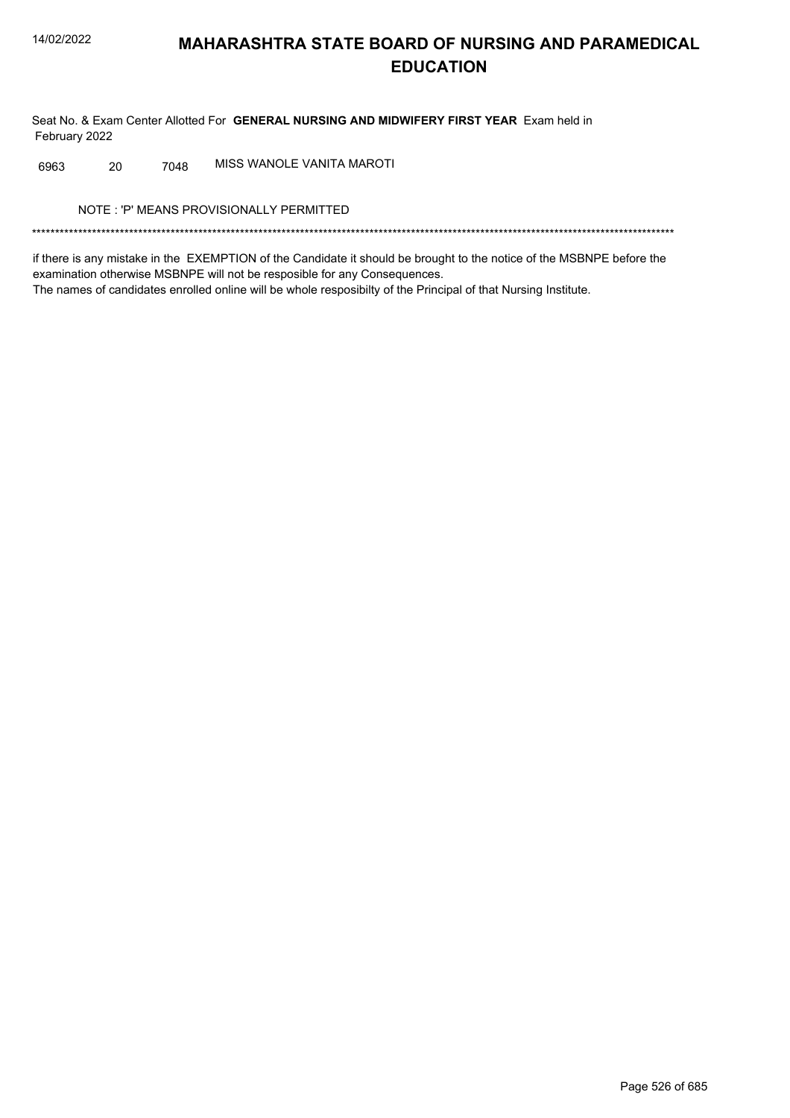Seat No. & Exam Center Allotted For GENERAL NURSING AND MIDWIFERY FIRST YEAR Exam held in February 2022

MISS WANOLE VANITA MAROTI 6963 20 7048

NOTE: 'P' MEANS PROVISIONALLY PERMITTED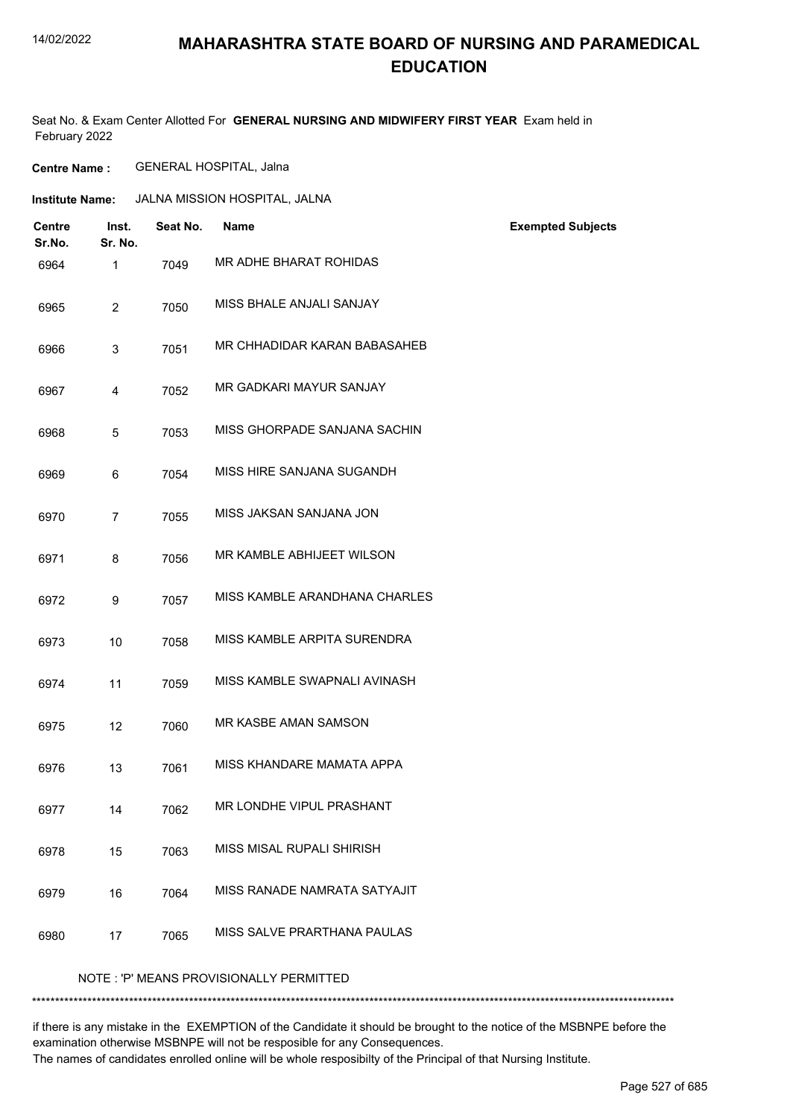## **MAHARASHTRA STATE BOARD OF NURSING AND PARAMEDICAL EDUCATION**

Seat No. & Exam Center Allotted For **GENERAL NURSING AND MIDWIFERY FIRST YEAR** Exam held in February 2022

**Centre Name :** GENERAL HOSPITAL, Jalna

| Institute Name: | JALNA MISSION HOSPITAL, JALNA |
|-----------------|-------------------------------|
|-----------------|-------------------------------|

| <b>Centre</b><br>Sr.No. | Inst.<br>Sr. No.                        | Seat No. | <b>Name</b>                   | <b>Exempted Subjects</b> |  |
|-------------------------|-----------------------------------------|----------|-------------------------------|--------------------------|--|
| 6964                    | 1                                       | 7049     | MR ADHE BHARAT ROHIDAS        |                          |  |
| 6965                    | $\overline{2}$                          | 7050     | MISS BHALE ANJALI SANJAY      |                          |  |
| 6966                    | 3                                       | 7051     | MR CHHADIDAR KARAN BABASAHEB  |                          |  |
| 6967                    | 4                                       | 7052     | MR GADKARI MAYUR SANJAY       |                          |  |
| 6968                    | 5                                       | 7053     | MISS GHORPADE SANJANA SACHIN  |                          |  |
| 6969                    | 6                                       | 7054     | MISS HIRE SANJANA SUGANDH     |                          |  |
| 6970                    | $\overline{7}$                          | 7055     | MISS JAKSAN SANJANA JON       |                          |  |
| 6971                    | 8                                       | 7056     | MR KAMBLE ABHIJEET WILSON     |                          |  |
| 6972                    | 9                                       | 7057     | MISS KAMBLE ARANDHANA CHARLES |                          |  |
| 6973                    | 10                                      | 7058     | MISS KAMBLE ARPITA SURENDRA   |                          |  |
| 6974                    | 11                                      | 7059     | MISS KAMBLE SWAPNALI AVINASH  |                          |  |
| 6975                    | 12                                      | 7060     | <b>MR KASBE AMAN SAMSON</b>   |                          |  |
| 6976                    | 13                                      | 7061     | MISS KHANDARE MAMATA APPA     |                          |  |
| 6977                    | 14                                      | 7062     | MR LONDHE VIPUL PRASHANT      |                          |  |
| 6978                    | 15                                      | 7063     | MISS MISAL RUPALI SHIRISH     |                          |  |
| 6979                    | 16                                      | 7064     | MISS RANADE NAMRATA SATYAJIT  |                          |  |
| 6980                    | 17                                      | 7065     | MISS SALVE PRARTHANA PAULAS   |                          |  |
|                         | NOTE: 'P' MEANS PROVISIONALLY PERMITTED |          |                               |                          |  |

\*\*\*\*\*\*\*\*\*\*\*\*\*\*\*\*\*\*\*\*\*\*\*\*\*\*\*\*\*\*\*\*\*\*\*\*\*\*\*\*\*\*\*\*\*\*\*\*\*\*\*\*\*\*\*\*\*\*\*\*\*\*\*\*\*\*\*\*\*\*\*\*\*\*\*\*\*\*\*\*\*\*\*\*\*\*\*\*\*\*\*\*\*\*\*\*\*\*\*\*\*\*\*\*\*\*\*\*\*\*\*\*\*\*\*\*\*\*\*\*\*\*\*\*\*\*\*\*\*\*\*\*\*\*\*\*\*\*\*

if there is any mistake in the EXEMPTION of the Candidate it should be brought to the notice of the MSBNPE before the examination otherwise MSBNPE will not be resposible for any Consequences.

The names of candidates enrolled online will be whole resposibilty of the Principal of that Nursing Institute.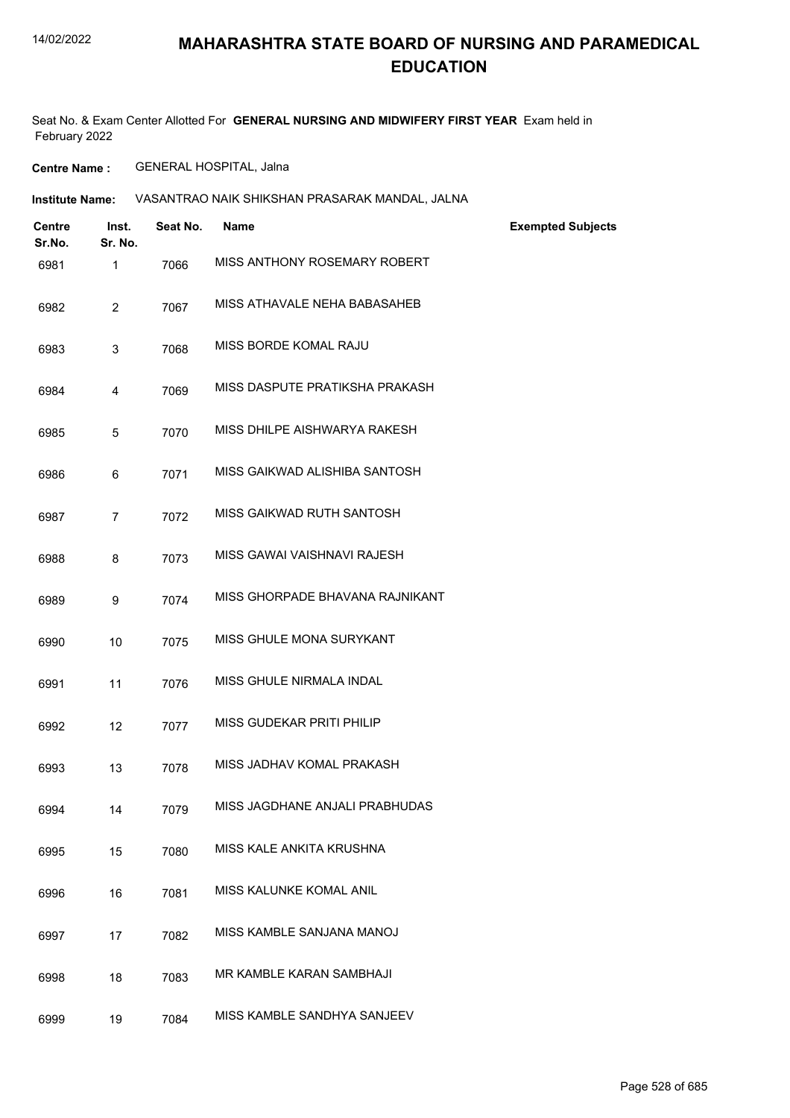### **MAHARASHTRA STATE BOARD OF NURSING AND PARAMEDICAL EDUCATION**

Seat No. & Exam Center Allotted For **GENERAL NURSING AND MIDWIFERY FIRST YEAR** Exam held in February 2022

**Centre Name :** GENERAL HOSPITAL, Jalna

| <b>Institute Name:</b> | VASANTRAO NAIK SHIKSHAN PRASARAK MANDAL. JALNA |  |
|------------------------|------------------------------------------------|--|
|                        |                                                |  |

| <b>Centre</b><br>Sr.No. | Inst.<br>Sr. No. | Seat No. | <b>Name</b>                     | <b>Exempted Subjects</b> |
|-------------------------|------------------|----------|---------------------------------|--------------------------|
| 6981                    | $\mathbf 1$      | 7066     | MISS ANTHONY ROSEMARY ROBERT    |                          |
| 6982                    | $\overline{2}$   | 7067     | MISS ATHAVALE NEHA BABASAHEB    |                          |
| 6983                    | 3                | 7068     | MISS BORDE KOMAL RAJU           |                          |
| 6984                    | 4                | 7069     | MISS DASPUTE PRATIKSHA PRAKASH  |                          |
| 6985                    | 5                | 7070     | MISS DHILPE AISHWARYA RAKESH    |                          |
| 6986                    | 6                | 7071     | MISS GAIKWAD ALISHIBA SANTOSH   |                          |
| 6987                    | 7                | 7072     | MISS GAIKWAD RUTH SANTOSH       |                          |
| 6988                    | 8                | 7073     | MISS GAWAI VAISHNAVI RAJESH     |                          |
| 6989                    | 9                | 7074     | MISS GHORPADE BHAVANA RAJNIKANT |                          |
| 6990                    | 10               | 7075     | MISS GHULE MONA SURYKANT        |                          |
| 6991                    | 11               | 7076     | MISS GHULE NIRMALA INDAL        |                          |
| 6992                    | 12               | 7077     | MISS GUDEKAR PRITI PHILIP       |                          |
| 6993                    | 13               | 7078     | MISS JADHAV KOMAL PRAKASH       |                          |
| 6994                    | 14               | 7079     | MISS JAGDHANE ANJALI PRABHUDAS  |                          |
| 6995                    | 15               | 7080     | MISS KALE ANKITA KRUSHNA        |                          |
| 6996                    | 16               | 7081     | MISS KALUNKE KOMAL ANIL         |                          |
| 6997                    | 17               | 7082     | MISS KAMBLE SANJANA MANOJ       |                          |
| 6998                    | 18               | 7083     | MR KAMBLE KARAN SAMBHAJI        |                          |
| 6999                    | 19               | 7084     | MISS KAMBLE SANDHYA SANJEEV     |                          |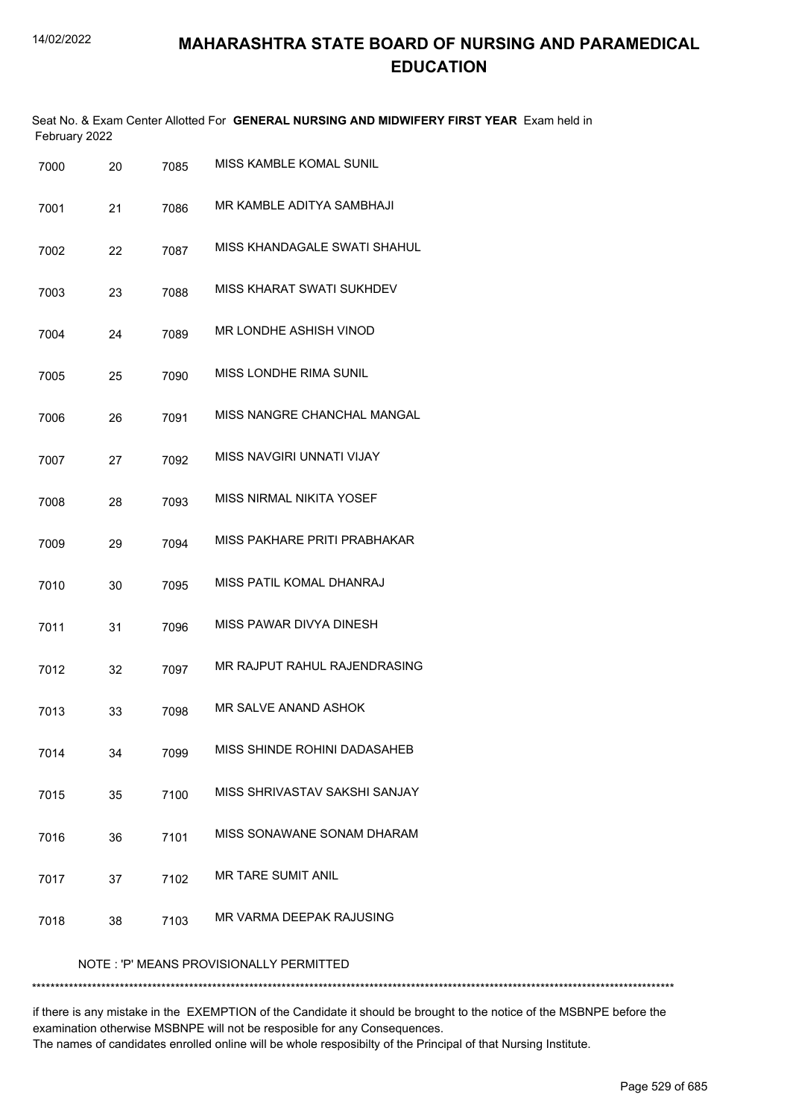| February 2022 |    |      | Seat No. & Exam Center Allotted For GENERAL NURSING AND MIDWIFERY FIRST YEAR Exam held in |
|---------------|----|------|-------------------------------------------------------------------------------------------|
| 7000          | 20 | 7085 | MISS KAMBLE KOMAL SUNIL                                                                   |
| 7001          | 21 | 7086 | MR KAMBLE ADITYA SAMBHAJI                                                                 |
| 7002          | 22 | 7087 | MISS KHANDAGALE SWATI SHAHUL                                                              |
| 7003          | 23 | 7088 | MISS KHARAT SWATI SUKHDEV                                                                 |
| 7004          | 24 | 7089 | MR LONDHE ASHISH VINOD                                                                    |
| 7005          | 25 | 7090 | <b>MISS LONDHE RIMA SUNIL</b>                                                             |
| 7006          | 26 | 7091 | MISS NANGRE CHANCHAL MANGAL                                                               |
| 7007          | 27 | 7092 | MISS NAVGIRI UNNATI VIJAY                                                                 |
| 7008          | 28 | 7093 | MISS NIRMAL NIKITA YOSEF                                                                  |
| 7009          | 29 | 7094 | MISS PAKHARE PRITI PRABHAKAR                                                              |
| 7010          | 30 | 7095 | MISS PATIL KOMAL DHANRAJ                                                                  |
| 7011          | 31 | 7096 | MISS PAWAR DIVYA DINESH                                                                   |
| 7012          | 32 | 7097 | MR RAJPUT RAHUL RAJENDRASING                                                              |
| 7013          | 33 | 7098 | MR SALVE ANAND ASHOK                                                                      |
| 7014          | 34 | 7099 | MISS SHINDE ROHINI DADASAHEB                                                              |
| 7015          | 35 | 7100 | MISS SHRIVASTAV SAKSHI SANJAY                                                             |
| 7016          | 36 | 7101 | MISS SONAWANE SONAM DHARAM                                                                |
| 7017          | 37 | 7102 | MR TARE SUMIT ANIL                                                                        |
| 7018          | 38 | 7103 | MR VARMA DEEPAK RAJUSING                                                                  |
|               |    |      | NOTE: 'P' MEANS PROVISIONALLY PERMITTED                                                   |

\*\*\*\*\*\*\*\*\*\*\*\*\*\*\*\*\*\*\*\*\*\*\*\*\*\*\*\*\*\*\*\*\*\*\*\*\*\*\*\*\*\*\*\*\*\*\*\*\*\*\*\*\*\*\*\*\*\*\*\*\*\*\*\*\*\*\*\*\*\*\*\*\*\*\*\*\*\*\*\*\*\*\*\*\*\*\*\*\*\*\*\*\*\*\*\*\*\*\*\*\*\*\*\*\*\*\*\*\*\*\*\*\*\*\*\*\*\*\*\*\*\*\*\*\*\*\*\*\*\*\*\*\*\*\*\*\*\*\*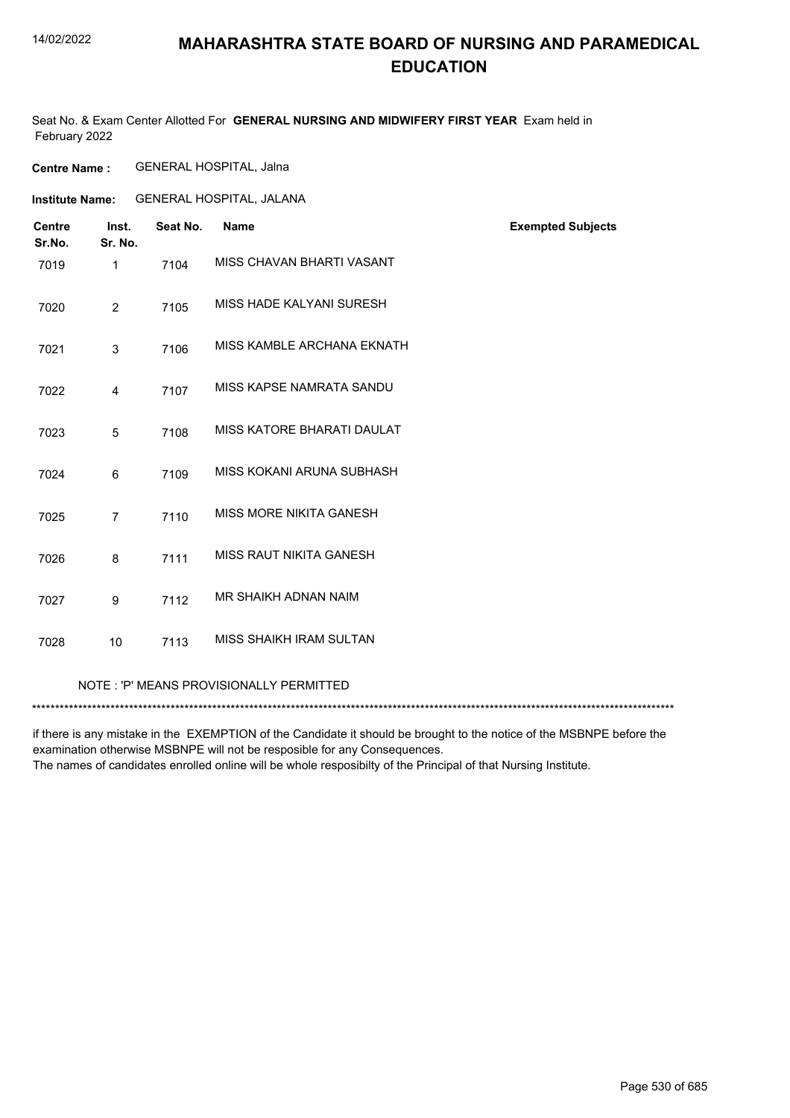## **MAHARASHTRA STATE BOARD OF NURSING AND PARAMEDICAL EDUCATION**

Seat No. & Exam Center Allotted For **GENERAL NURSING AND MIDWIFERY FIRST YEAR** Exam held in February 2022

**Centre Name :** GENERAL HOSPITAL, Jalna

GENERAL HOSPITAL, JALANA **Institute Name:**

| <b>Centre</b><br>Sr.No. | Inst.<br>Sr. No. | Seat No. | <b>Name</b>                    | <b>Exempted Subjects</b> |
|-------------------------|------------------|----------|--------------------------------|--------------------------|
| 7019                    | $\mathbf 1$      | 7104     | MISS CHAVAN BHARTI VASANT      |                          |
| 7020                    | $\overline{2}$   | 7105     | MISS HADE KALYANI SURESH       |                          |
| 7021                    | 3                | 7106     | MISS KAMBLE ARCHANA EKNATH     |                          |
| 7022                    | $\overline{4}$   | 7107     | MISS KAPSE NAMRATA SANDU       |                          |
| 7023                    | 5                | 7108     | MISS KATORE BHARATI DAULAT     |                          |
| 7024                    | 6                | 7109     | MISS KOKANI ARUNA SUBHASH      |                          |
| 7025                    | $\overline{7}$   | 7110     | MISS MORE NIKITA GANESH        |                          |
| 7026                    | 8                | 7111     | MISS RAUT NIKITA GANESH        |                          |
| 7027                    | 9                | 7112     | MR SHAIKH ADNAN NAIM           |                          |
| 7028                    | 10               | 7113     | <b>MISS SHAIKH IRAM SULTAN</b> |                          |
|                         |                  |          |                                |                          |

NOTE : 'P' MEANS PROVISIONALLY PERMITTED

\*\*\*\*\*\*\*\*\*\*\*\*\*\*\*\*\*\*\*\*\*\*\*\*\*\*\*\*\*\*\*\*\*\*\*\*\*\*\*\*\*\*\*\*\*\*\*\*\*\*\*\*\*\*\*\*\*\*\*\*\*\*\*\*\*\*\*\*\*\*\*\*\*\*\*\*\*\*\*\*\*\*\*\*\*\*\*\*\*\*\*\*\*\*\*\*\*\*\*\*\*\*\*\*\*\*\*\*\*\*\*\*\*\*\*\*\*\*\*\*\*\*\*\*\*\*\*\*\*\*\*\*\*\*\*\*\*\*\*

if there is any mistake in the EXEMPTION of the Candidate it should be brought to the notice of the MSBNPE before the examination otherwise MSBNPE will not be resposible for any Consequences.

The names of candidates enrolled online will be whole resposibilty of the Principal of that Nursing Institute.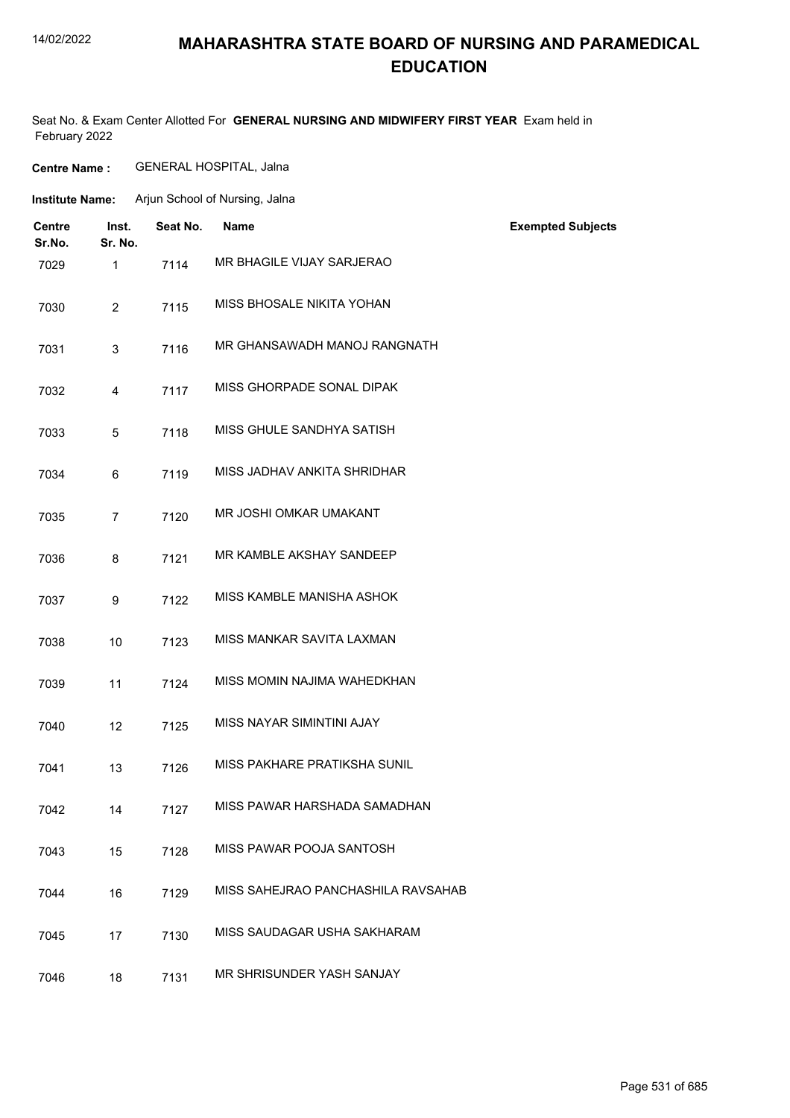## **MAHARASHTRA STATE BOARD OF NURSING AND PARAMEDICAL EDUCATION**

Seat No. & Exam Center Allotted For **GENERAL NURSING AND MIDWIFERY FIRST YEAR** Exam held in February 2022

| <b>Centre Name :</b> | <b>GENERAL HOSPITAL, Jalna</b> |
|----------------------|--------------------------------|
|----------------------|--------------------------------|

| <b>Institute Name:</b> | Arjun School of Nursing, Jalna |  |
|------------------------|--------------------------------|--|
|                        |                                |  |

| <b>Centre</b><br>Sr.No. | Inst.<br>Sr. No. | Seat No. | <b>Name</b>                        | <b>Exempted Subjects</b> |
|-------------------------|------------------|----------|------------------------------------|--------------------------|
| 7029                    | 1                | 7114     | MR BHAGILE VIJAY SARJERAO          |                          |
| 7030                    | 2                | 7115     | MISS BHOSALE NIKITA YOHAN          |                          |
| 7031                    | 3                | 7116     | MR GHANSAWADH MANOJ RANGNATH       |                          |
| 7032                    | 4                | 7117     | MISS GHORPADE SONAL DIPAK          |                          |
| 7033                    | 5                | 7118     | MISS GHULE SANDHYA SATISH          |                          |
| 7034                    | 6                | 7119     | MISS JADHAV ANKITA SHRIDHAR        |                          |
| 7035                    | 7                | 7120     | MR JOSHI OMKAR UMAKANT             |                          |
| 7036                    | 8                | 7121     | MR KAMBLE AKSHAY SANDEEP           |                          |
| 7037                    | 9                | 7122     | MISS KAMBLE MANISHA ASHOK          |                          |
| 7038                    | 10               | 7123     | MISS MANKAR SAVITA LAXMAN          |                          |
| 7039                    | 11               | 7124     | MISS MOMIN NAJIMA WAHEDKHAN        |                          |
| 7040                    | 12               | 7125     | <b>MISS NAYAR SIMINTINI AJAY</b>   |                          |
| 7041                    | 13               | 7126     | MISS PAKHARE PRATIKSHA SUNIL       |                          |
| 7042                    | 14               | 7127     | MISS PAWAR HARSHADA SAMADHAN       |                          |
| 7043                    | 15               | 7128     | MISS PAWAR POOJA SANTOSH           |                          |
| 7044                    | 16               | 7129     | MISS SAHEJRAO PANCHASHILA RAVSAHAB |                          |
| 7045                    | 17               | 7130     | MISS SAUDAGAR USHA SAKHARAM        |                          |
| 7046                    | 18               | 7131     | MR SHRISUNDER YASH SANJAY          |                          |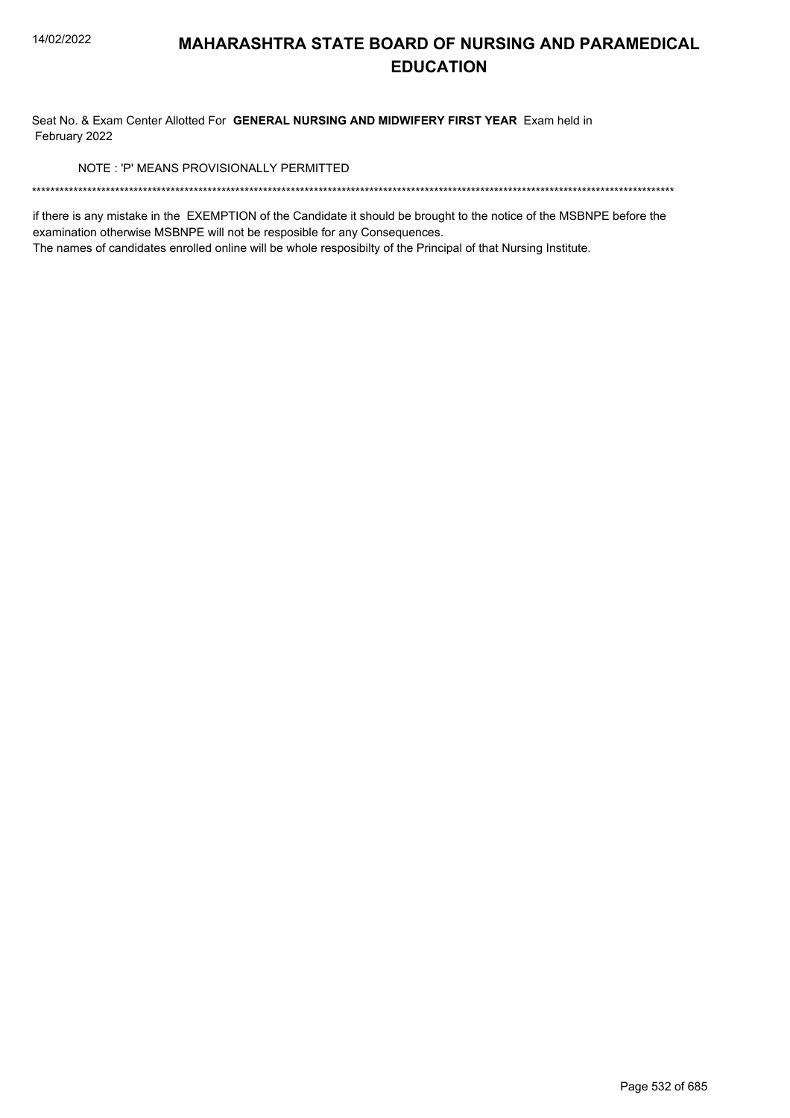Seat No. & Exam Center Allotted For GENERAL NURSING AND MIDWIFERY FIRST YEAR Exam held in February 2022

NOTE: 'P' MEANS PROVISIONALLY PERMITTED

if there is any mistake in the EXEMPTION of the Candidate it should be brought to the notice of the MSBNPE before the examination otherwise MSBNPE will not be resposible for any Consequences.

The names of candidates enrolled online will be whole resposibilty of the Principal of that Nursing Institute.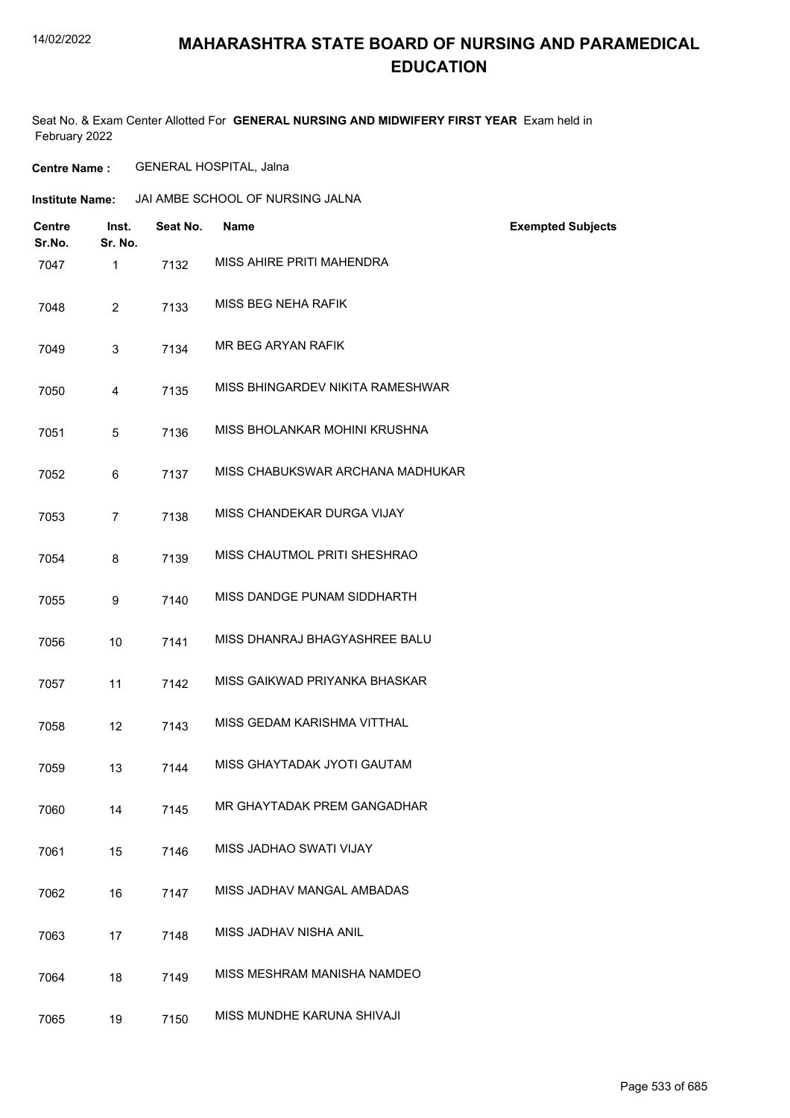## **MAHARASHTRA STATE BOARD OF NURSING AND PARAMEDICAL EDUCATION**

Seat No. & Exam Center Allotted For **GENERAL NURSING AND MIDWIFERY FIRST YEAR** Exam held in February 2022

**Centre Name :** GENERAL HOSPITAL, Jalna

| <b>Centre</b><br>Sr.No. | Inst.<br>Sr. No. | Seat No. | <b>Name</b>                      | <b>Exempted Subjects</b> |
|-------------------------|------------------|----------|----------------------------------|--------------------------|
| 7047                    | $\mathbf{1}$     | 7132     | MISS AHIRE PRITI MAHENDRA        |                          |
| 7048                    | $\overline{2}$   | 7133     | MISS BEG NEHA RAFIK              |                          |
| 7049                    | 3                | 7134     | MR BEG ARYAN RAFIK               |                          |
| 7050                    | 4                | 7135     | MISS BHINGARDEV NIKITA RAMESHWAR |                          |
| 7051                    | 5                | 7136     | MISS BHOLANKAR MOHINI KRUSHNA    |                          |
| 7052                    | 6                | 7137     | MISS CHABUKSWAR ARCHANA MADHUKAR |                          |
| 7053                    | $\overline{7}$   | 7138     | MISS CHANDEKAR DURGA VIJAY       |                          |
| 7054                    | 8                | 7139     | MISS CHAUTMOL PRITI SHESHRAO     |                          |
| 7055                    | 9                | 7140     | MISS DANDGE PUNAM SIDDHARTH      |                          |
| 7056                    | 10               | 7141     | MISS DHANRAJ BHAGYASHREE BALU    |                          |
| 7057                    | 11               | 7142     | MISS GAIKWAD PRIYANKA BHASKAR    |                          |
| 7058                    | 12               | 7143     | MISS GEDAM KARISHMA VITTHAL      |                          |
| 7059                    | 13               | 7144     | MISS GHAYTADAK JYOTI GAUTAM      |                          |
| 7060                    | 14               | 7145     | MR GHAYTADAK PREM GANGADHAR      |                          |
| 7061                    | 15               | 7146     | MISS JADHAO SWATI VIJAY          |                          |
| 7062                    | 16               | 7147     | MISS JADHAV MANGAL AMBADAS       |                          |
| 7063                    | 17               | 7148     | MISS JADHAV NISHA ANIL           |                          |
| 7064                    | 18               | 7149     | MISS MESHRAM MANISHA NAMDEO      |                          |
| 7065                    | 19               | 7150     | MISS MUNDHE KARUNA SHIVAJI       |                          |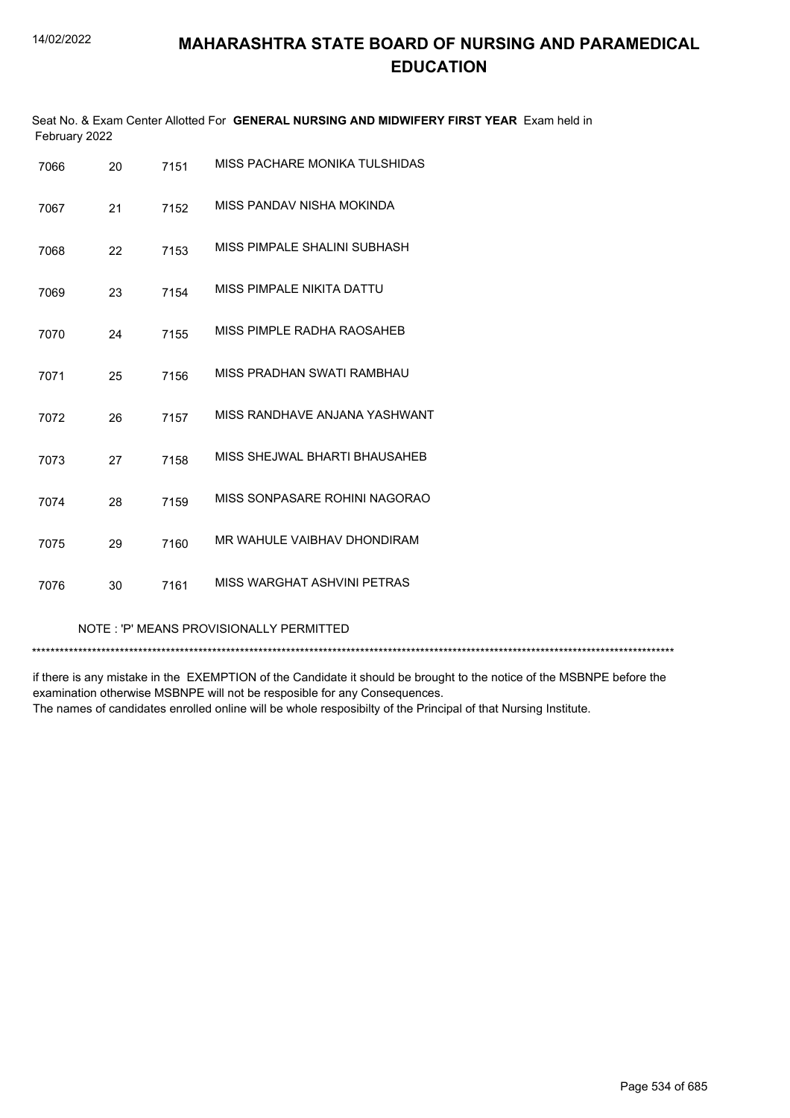| February 2022 |    |      | Seat No. & Exam Center Allotted For GENERAL NURSING AND MIDWIFERY FIRST YEAR Exam held in |
|---------------|----|------|-------------------------------------------------------------------------------------------|
| 7066          | 20 | 7151 | MISS PACHARE MONIKA TULSHIDAS                                                             |
| 7067          | 21 | 7152 | MISS PANDAV NISHA MOKINDA                                                                 |
| 7068          | 22 | 7153 | MISS PIMPALE SHALINI SUBHASH                                                              |
| 7069          | 23 | 7154 | MISS PIMPALE NIKITA DATTU                                                                 |
| 7070          | 24 | 7155 | MISS PIMPLE RADHA RAOSAHEB                                                                |
| 7071          | 25 | 7156 | MISS PRADHAN SWATI RAMBHAU                                                                |
| 7072          | 26 | 7157 | MISS RANDHAVE ANJANA YASHWANT                                                             |
| 7073          | 27 | 7158 | MISS SHEJWAL BHARTI BHAUSAHEB                                                             |
| 7074          | 28 | 7159 | MISS SONPASARE ROHINI NAGORAO                                                             |
| 7075          | 29 | 7160 | MR WAHULE VAIBHAV DHONDIRAM                                                               |
| 7076          | 30 | 7161 | MISS WARGHAT ASHVINI PETRAS                                                               |

NOTE : 'P' MEANS PROVISIONALLY PERMITTED

\*\*\*\*\*\*\*\*\*\*\*\*\*\*\*\*\*\*\*\*\*\*\*\*\*\*\*\*\*\*\*\*\*\*\*\*\*\*\*\*\*\*\*\*\*\*\*\*\*\*\*\*\*\*\*\*\*\*\*\*\*\*\*\*\*\*\*\*\*\*\*\*\*\*\*\*\*\*\*\*\*\*\*\*\*\*\*\*\*\*\*\*\*\*\*\*\*\*\*\*\*\*\*\*\*\*\*\*\*\*\*\*\*\*\*\*\*\*\*\*\*\*\*\*\*\*\*\*\*\*\*\*\*\*\*\*\*\*\*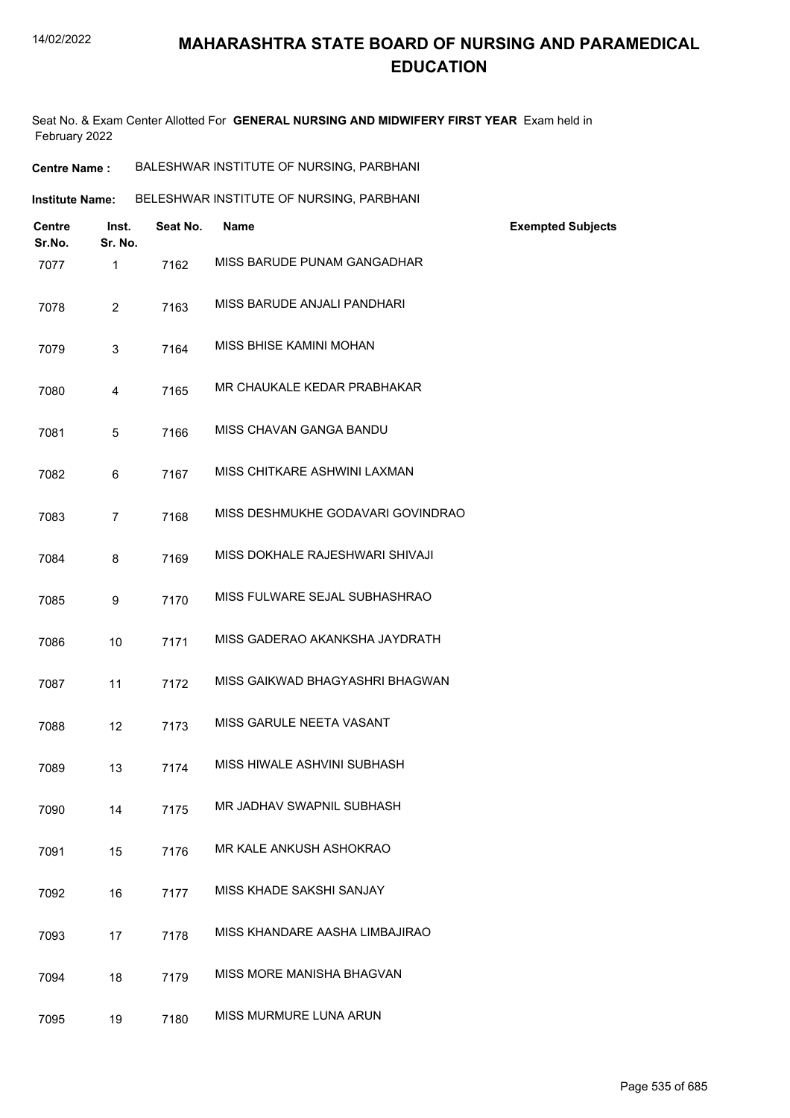Seat No. & Exam Center Allotted For **GENERAL NURSING AND MIDWIFERY FIRST YEAR** Exam held in February 2022

| <b>Institute Name:</b> | BELESHWAR INSTITUTE OF NURSING, PARBHANI |
|------------------------|------------------------------------------|
|------------------------|------------------------------------------|

| <b>Centre</b><br>Sr.No. | Inst.<br>Sr. No. | Seat No. | <b>Name</b>                       | <b>Exempted Subjects</b> |
|-------------------------|------------------|----------|-----------------------------------|--------------------------|
| 7077                    | $\mathbf{1}$     | 7162     | MISS BARUDE PUNAM GANGADHAR       |                          |
| 7078                    | $\overline{2}$   | 7163     | MISS BARUDE ANJALI PANDHARI       |                          |
| 7079                    | 3                | 7164     | MISS BHISE KAMINI MOHAN           |                          |
| 7080                    | 4                | 7165     | MR CHAUKALE KEDAR PRABHAKAR       |                          |
| 7081                    | 5                | 7166     | MISS CHAVAN GANGA BANDU           |                          |
| 7082                    | 6                | 7167     | MISS CHITKARE ASHWINI LAXMAN      |                          |
| 7083                    | $\overline{7}$   | 7168     | MISS DESHMUKHE GODAVARI GOVINDRAO |                          |
| 7084                    | 8                | 7169     | MISS DOKHALE RAJESHWARI SHIVAJI   |                          |
| 7085                    | 9                | 7170     | MISS FULWARE SEJAL SUBHASHRAO     |                          |
| 7086                    | 10               | 7171     | MISS GADERAO AKANKSHA JAYDRATH    |                          |
| 7087                    | 11               | 7172     | MISS GAIKWAD BHAGYASHRI BHAGWAN   |                          |
| 7088                    | 12               | 7173     | MISS GARULE NEETA VASANT          |                          |
| 7089                    | 13               | 7174     | MISS HIWALE ASHVINI SUBHASH       |                          |
| 7090                    | 14               | 7175     | MR JADHAV SWAPNIL SUBHASH         |                          |
| 7091                    | 15               | 7176     | MR KALE ANKUSH ASHOKRAO           |                          |
| 7092                    | 16               | 7177     | MISS KHADE SAKSHI SANJAY          |                          |
| 7093                    | 17               | 7178     | MISS KHANDARE AASHA LIMBAJIRAO    |                          |
| 7094                    | 18               | 7179     | MISS MORE MANISHA BHAGVAN         |                          |
| 7095                    | 19               | 7180     | MISS MURMURE LUNA ARUN            |                          |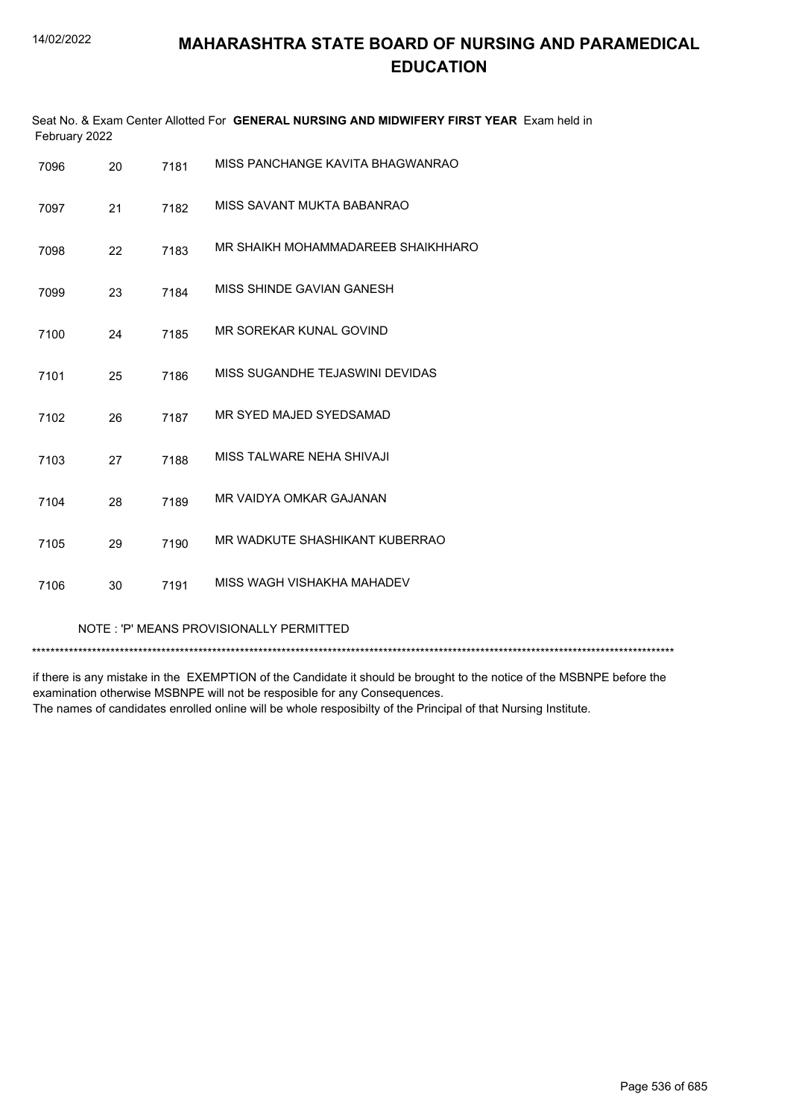| Seat No. & Exam Center Allotted For GENERAL NURSING AND MIDWIFERY FIRST YEAR Exam held in<br>February 2022 |    |      |                                    |
|------------------------------------------------------------------------------------------------------------|----|------|------------------------------------|
| 7096                                                                                                       | 20 | 7181 | MISS PANCHANGE KAVITA BHAGWANRAO   |
| 7097                                                                                                       | 21 | 7182 | MISS SAVANT MUKTA BABANRAO         |
| 7098                                                                                                       | 22 | 7183 | MR SHAIKH MOHAMMADAREEB SHAIKHHARO |
| 7099                                                                                                       | 23 | 7184 | MISS SHINDE GAVIAN GANESH          |
| 7100                                                                                                       | 24 | 7185 | MR SOREKAR KUNAL GOVIND            |
| 7101                                                                                                       | 25 | 7186 | MISS SUGANDHE TEJASWINI DEVIDAS    |
| 7102                                                                                                       | 26 | 7187 | MR SYED MAJED SYEDSAMAD            |
| 7103                                                                                                       | 27 | 7188 | MISS TALWARE NEHA SHIVAJI          |
| 7104                                                                                                       | 28 | 7189 | MR VAIDYA OMKAR GAJANAN            |
| 7105                                                                                                       | 29 | 7190 | MR WADKUTE SHASHIKANT KUBERRAO     |
| 7106                                                                                                       | 30 | 7191 | MISS WAGH VISHAKHA MAHADEV         |

NOTE : 'P' MEANS PROVISIONALLY PERMITTED

\*\*\*\*\*\*\*\*\*\*\*\*\*\*\*\*\*\*\*\*\*\*\*\*\*\*\*\*\*\*\*\*\*\*\*\*\*\*\*\*\*\*\*\*\*\*\*\*\*\*\*\*\*\*\*\*\*\*\*\*\*\*\*\*\*\*\*\*\*\*\*\*\*\*\*\*\*\*\*\*\*\*\*\*\*\*\*\*\*\*\*\*\*\*\*\*\*\*\*\*\*\*\*\*\*\*\*\*\*\*\*\*\*\*\*\*\*\*\*\*\*\*\*\*\*\*\*\*\*\*\*\*\*\*\*\*\*\*\*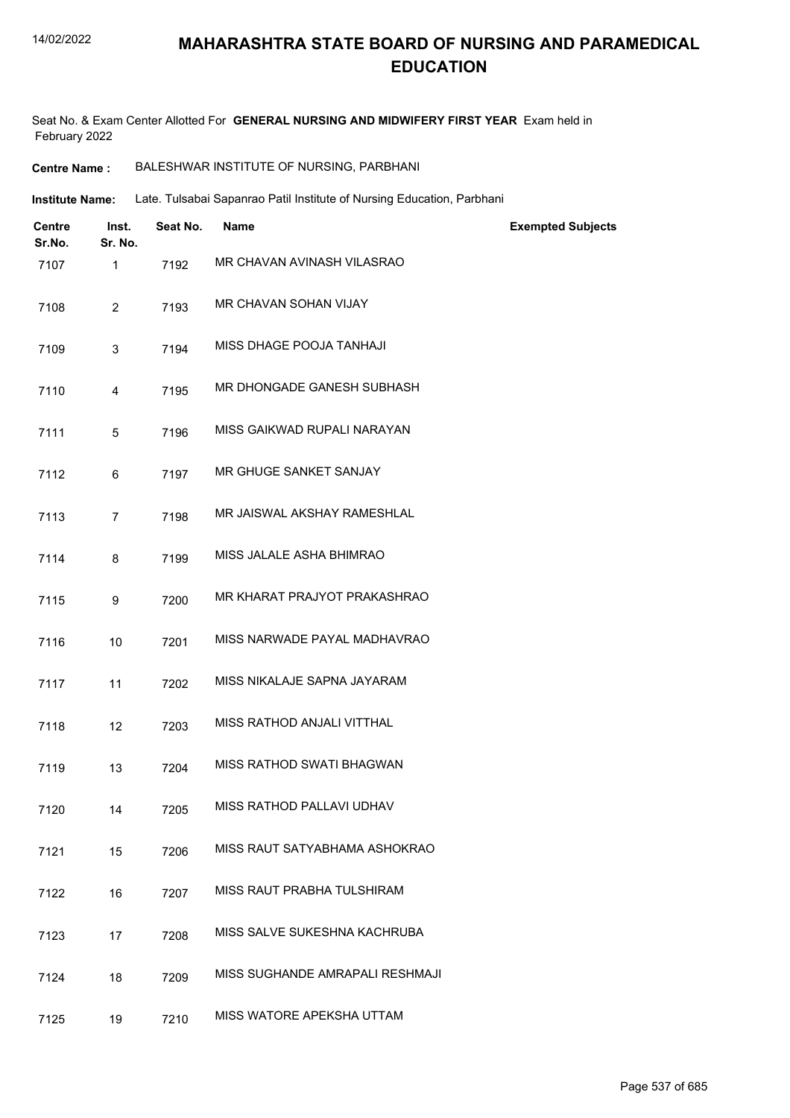### **MAHARASHTRA STATE BOARD OF NURSING AND PARAMEDICAL EDUCATION**

Seat No. & Exam Center Allotted For **GENERAL NURSING AND MIDWIFERY FIRST YEAR** Exam held in February 2022

| <b>Centre Name :</b> | BALESHWAR INSTITUTE OF NURSING, PARBHANI |
|----------------------|------------------------------------------|
|----------------------|------------------------------------------|

**Institute Name:** Late. Tulsabai Sapanrao Patil Institute of Nursing Education, Parbhani

| <b>Centre</b><br>Sr.No. | Inst.<br>Sr. No. | Seat No. | <b>Name</b>                     | <b>Exempted Subjects</b> |
|-------------------------|------------------|----------|---------------------------------|--------------------------|
| 7107                    | 1                | 7192     | MR CHAVAN AVINASH VILASRAO      |                          |
| 7108                    | $\overline{2}$   | 7193     | MR CHAVAN SOHAN VIJAY           |                          |
| 7109                    | 3                | 7194     | MISS DHAGE POOJA TANHAJI        |                          |
| 7110                    | 4                | 7195     | MR DHONGADE GANESH SUBHASH      |                          |
| 7111                    | 5                | 7196     | MISS GAIKWAD RUPALI NARAYAN     |                          |
| 7112                    | 6                | 7197     | MR GHUGE SANKET SANJAY          |                          |
| 7113                    | $\overline{7}$   | 7198     | MR JAISWAL AKSHAY RAMESHLAL     |                          |
| 7114                    | 8                | 7199     | MISS JALALE ASHA BHIMRAO        |                          |
| 7115                    | 9                | 7200     | MR KHARAT PRAJYOT PRAKASHRAO    |                          |
| 7116                    | 10               | 7201     | MISS NARWADE PAYAL MADHAVRAO    |                          |
| 7117                    | 11               | 7202     | MISS NIKALAJE SAPNA JAYARAM     |                          |
| 7118                    | 12               | 7203     | MISS RATHOD ANJALI VITTHAL      |                          |
| 7119                    | 13               | 7204     | MISS RATHOD SWATI BHAGWAN       |                          |
| 7120                    | 14               | 7205     | MISS RATHOD PALLAVI UDHAV       |                          |
| 7121                    | 15               | 7206     | MISS RAUT SATYABHAMA ASHOKRAO   |                          |
| 7122                    | 16               | 7207     | MISS RAUT PRABHA TULSHIRAM      |                          |
| 7123                    | 17               | 7208     | MISS SALVE SUKESHNA KACHRUBA    |                          |
| 7124                    | 18               | 7209     | MISS SUGHANDE AMRAPALI RESHMAJI |                          |
| 7125                    | 19               | 7210     | MISS WATORE APEKSHA UTTAM       |                          |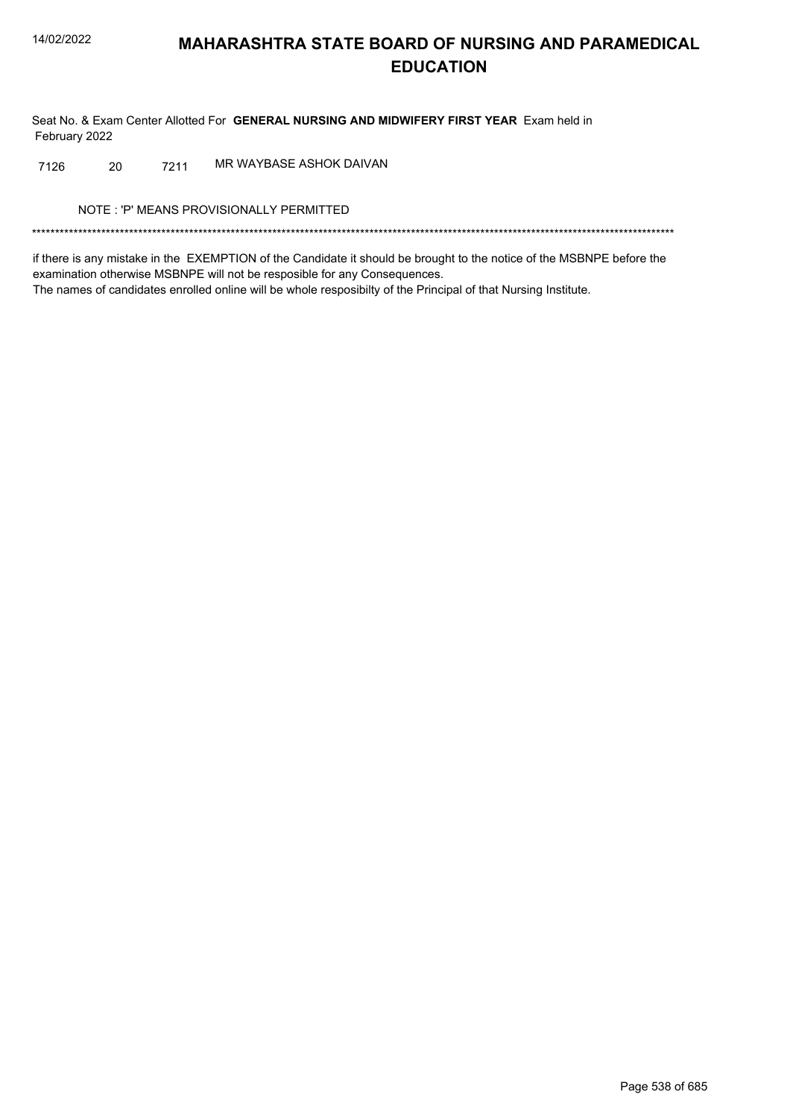Seat No. & Exam Center Allotted For GENERAL NURSING AND MIDWIFERY FIRST YEAR Exam held in February 2022

MR WAYBASE ASHOK DAIVAN 20 7211 7126

NOTE: 'P' MEANS PROVISIONALLY PERMITTED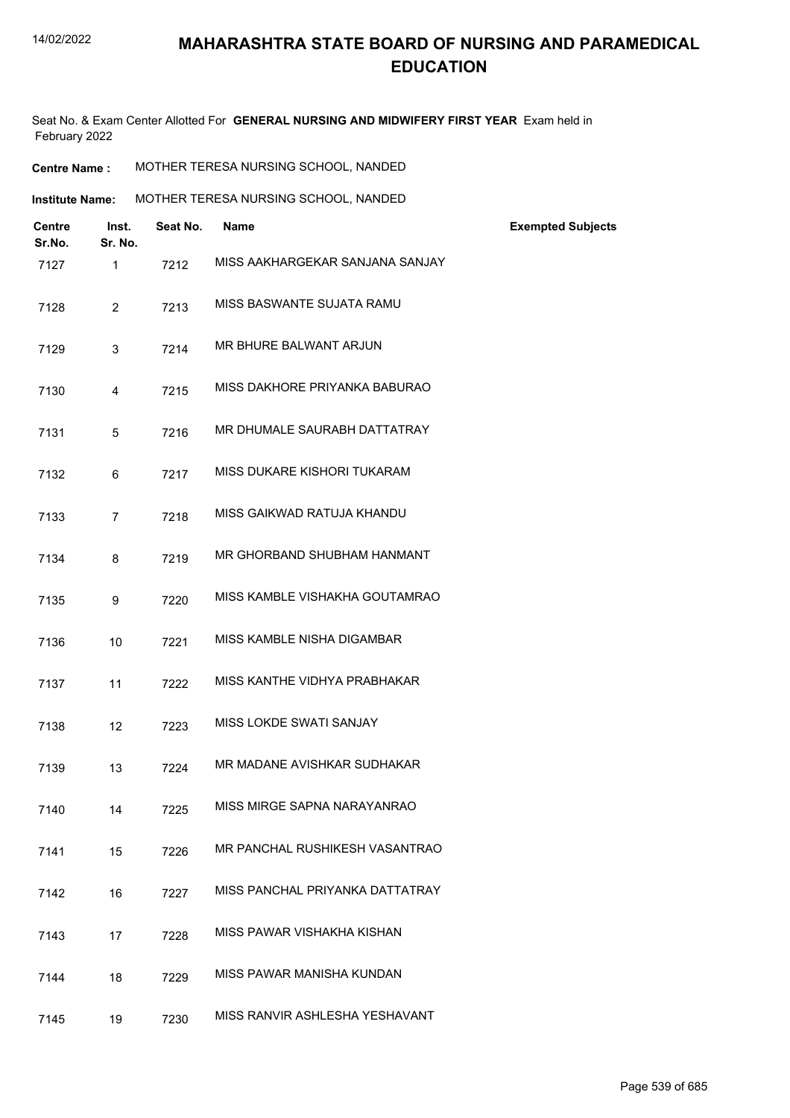Seat No. & Exam Center Allotted For **GENERAL NURSING AND MIDWIFERY FIRST YEAR** Exam held in February 2022

| <b>Centre Name :</b> | MOTHER TERESA NURSING SCHOOL, NANDED |
|----------------------|--------------------------------------|
|----------------------|--------------------------------------|

| <b>Institute Name:</b> | MOTHER TERESA NURSING SCHOOL, NANDED |
|------------------------|--------------------------------------|
|                        |                                      |

| <b>Centre</b><br>Sr.No. | Inst.<br>Sr. No. | Seat No. | <b>Name</b>                     | <b>Exempted Subjects</b> |
|-------------------------|------------------|----------|---------------------------------|--------------------------|
| 7127                    | $\mathbf{1}$     | 7212     | MISS AAKHARGEKAR SANJANA SANJAY |                          |
| 7128                    | $\overline{2}$   | 7213     | MISS BASWANTE SUJATA RAMU       |                          |
| 7129                    | 3                | 7214     | MR BHURE BALWANT ARJUN          |                          |
| 7130                    | 4                | 7215     | MISS DAKHORE PRIYANKA BABURAO   |                          |
| 7131                    | 5                | 7216     | MR DHUMALE SAURABH DATTATRAY    |                          |
| 7132                    | 6                | 7217     | MISS DUKARE KISHORI TUKARAM     |                          |
| 7133                    | $\overline{7}$   | 7218     | MISS GAIKWAD RATUJA KHANDU      |                          |
| 7134                    | 8                | 7219     | MR GHORBAND SHUBHAM HANMANT     |                          |
| 7135                    | 9                | 7220     | MISS KAMBLE VISHAKHA GOUTAMRAO  |                          |
| 7136                    | 10               | 7221     | MISS KAMBLE NISHA DIGAMBAR      |                          |
| 7137                    | 11               | 7222     | MISS KANTHE VIDHYA PRABHAKAR    |                          |
| 7138                    | 12               | 7223     | MISS LOKDE SWATI SANJAY         |                          |
| 7139                    | 13               | 7224     | MR MADANE AVISHKAR SUDHAKAR     |                          |
| 7140                    | 14               | 7225     | MISS MIRGE SAPNA NARAYANRAO     |                          |
| 7141                    | 15               | 7226     | MR PANCHAL RUSHIKESH VASANTRAO  |                          |
| 7142                    | 16               | 7227     | MISS PANCHAL PRIYANKA DATTATRAY |                          |
| 7143                    | 17               | 7228     | MISS PAWAR VISHAKHA KISHAN      |                          |
| 7144                    | 18               | 7229     | MISS PAWAR MANISHA KUNDAN       |                          |
| 7145                    | 19               | 7230     | MISS RANVIR ASHLESHA YESHAVANT  |                          |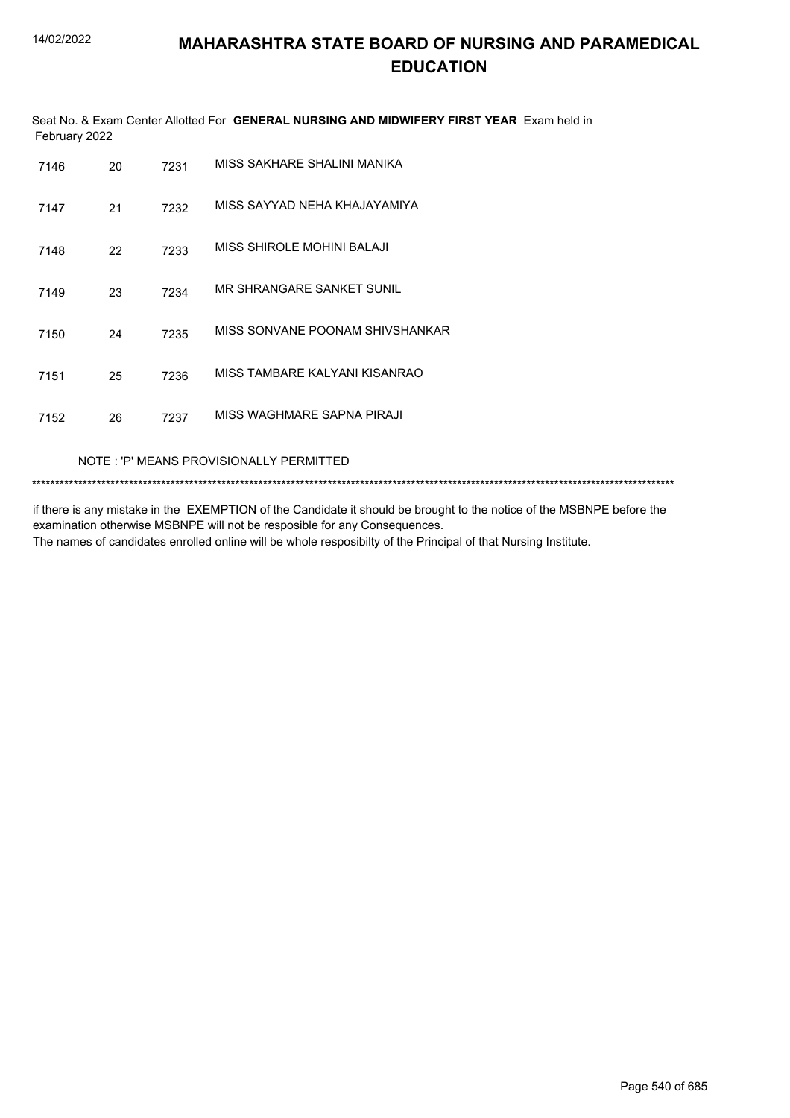Seat No. & Exam Center Allotted For **GENERAL NURSING AND MIDWIFERY FIRST YEAR** Exam held in February 2022

| 7146 | 20 | 7231 | MISS SAKHARE SHALINI MANIKA     |
|------|----|------|---------------------------------|
| 7147 | 21 | 7232 | MISS SAYYAD NEHA KHAJAYAMIYA    |
| 7148 | 22 | 7233 | MISS SHIROLE MOHINI BALAJI      |
| 7149 | 23 | 7234 | MR SHRANGARE SANKET SUNIL       |
| 7150 | 24 | 7235 | MISS SONVANE POONAM SHIVSHANKAR |
| 7151 | 25 | 7236 | MISS TAMBARE KALYANI KISANRAO   |
| 7152 | 26 | 7237 | MISS WAGHMARE SAPNA PIRAJI      |
|      |    |      |                                 |

NOTE : 'P' MEANS PROVISIONALLY PERMITTED

\*\*\*\*\*\*\*\*\*\*\*\*\*\*\*\*\*\*\*\*\*\*\*\*\*\*\*\*\*\*\*\*\*\*\*\*\*\*\*\*\*\*\*\*\*\*\*\*\*\*\*\*\*\*\*\*\*\*\*\*\*\*\*\*\*\*\*\*\*\*\*\*\*\*\*\*\*\*\*\*\*\*\*\*\*\*\*\*\*\*\*\*\*\*\*\*\*\*\*\*\*\*\*\*\*\*\*\*\*\*\*\*\*\*\*\*\*\*\*\*\*\*\*\*\*\*\*\*\*\*\*\*\*\*\*\*\*\*\*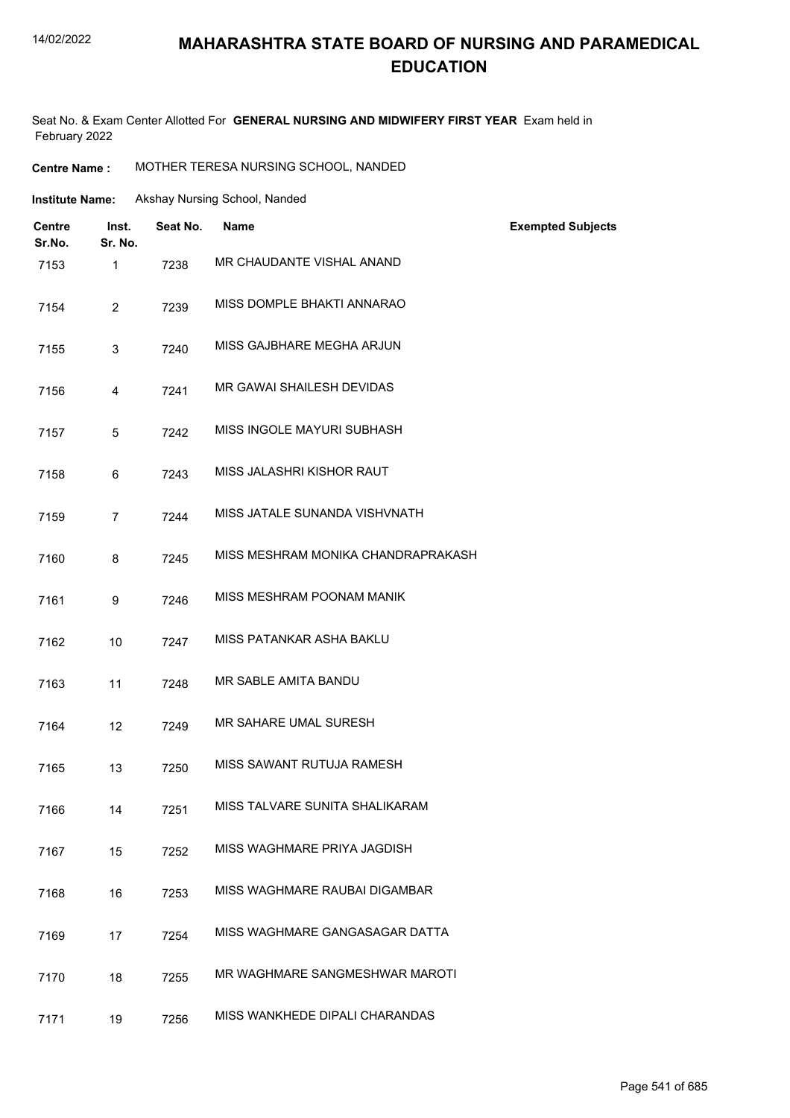#### 14/02/2022

## **MAHARASHTRA STATE BOARD OF NURSING AND PARAMEDICAL EDUCATION**

Seat No. & Exam Center Allotted For **GENERAL NURSING AND MIDWIFERY FIRST YEAR** Exam held in February 2022

**Centre Name :** MOTHER TERESA NURSING SCHOOL, NANDED

| <b>Institute Name:</b> | Akshay Nursing School, Nanded |
|------------------------|-------------------------------|
|                        |                               |

| Centre<br>Sr.No. | Inst.<br>Sr. No. | Seat No. | <b>Name</b>                        | <b>Exempted Subjects</b> |
|------------------|------------------|----------|------------------------------------|--------------------------|
| 7153             | $\mathbf{1}$     | 7238     | MR CHAUDANTE VISHAL ANAND          |                          |
| 7154             | $\overline{2}$   | 7239     | MISS DOMPLE BHAKTI ANNARAO         |                          |
| 7155             | 3                | 7240     | MISS GAJBHARE MEGHA ARJUN          |                          |
| 7156             | 4                | 7241     | MR GAWAI SHAILESH DEVIDAS          |                          |
| 7157             | 5                | 7242     | MISS INGOLE MAYURI SUBHASH         |                          |
| 7158             | 6                | 7243     | MISS JALASHRI KISHOR RAUT          |                          |
| 7159             | $\overline{7}$   | 7244     | MISS JATALE SUNANDA VISHVNATH      |                          |
| 7160             | 8                | 7245     | MISS MESHRAM MONIKA CHANDRAPRAKASH |                          |
| 7161             | 9                | 7246     | MISS MESHRAM POONAM MANIK          |                          |
| 7162             | 10               | 7247     | MISS PATANKAR ASHA BAKLU           |                          |
| 7163             | 11               | 7248     | MR SABLE AMITA BANDU               |                          |
| 7164             | 12               | 7249     | MR SAHARE UMAL SURESH              |                          |
| 7165             | 13               | 7250     | MISS SAWANT RUTUJA RAMESH          |                          |
| 7166             | 14               | 7251     | MISS TALVARE SUNITA SHALIKARAM     |                          |
| 7167             | 15               | 7252     | MISS WAGHMARE PRIYA JAGDISH        |                          |
| 7168             | 16               | 7253     | MISS WAGHMARE RAUBAI DIGAMBAR      |                          |
| 7169             | 17               | 7254     | MISS WAGHMARE GANGASAGAR DATTA     |                          |
| 7170             | 18               | 7255     | MR WAGHMARE SANGMESHWAR MAROTI     |                          |
| 7171             | 19               | 7256     | MISS WANKHEDE DIPALI CHARANDAS     |                          |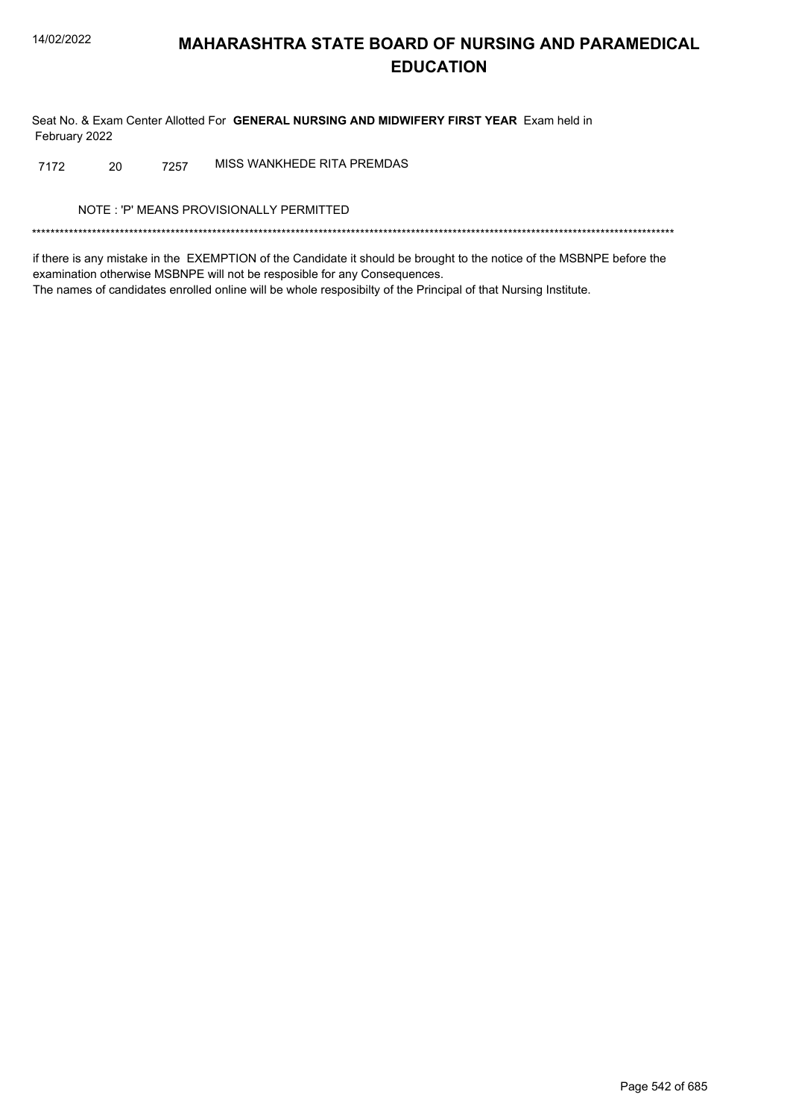Seat No. & Exam Center Allotted For GENERAL NURSING AND MIDWIFERY FIRST YEAR Exam held in February 2022

MISS WANKHEDE RITA PREMDAS 20 7257 7172

NOTE: 'P' MEANS PROVISIONALLY PERMITTED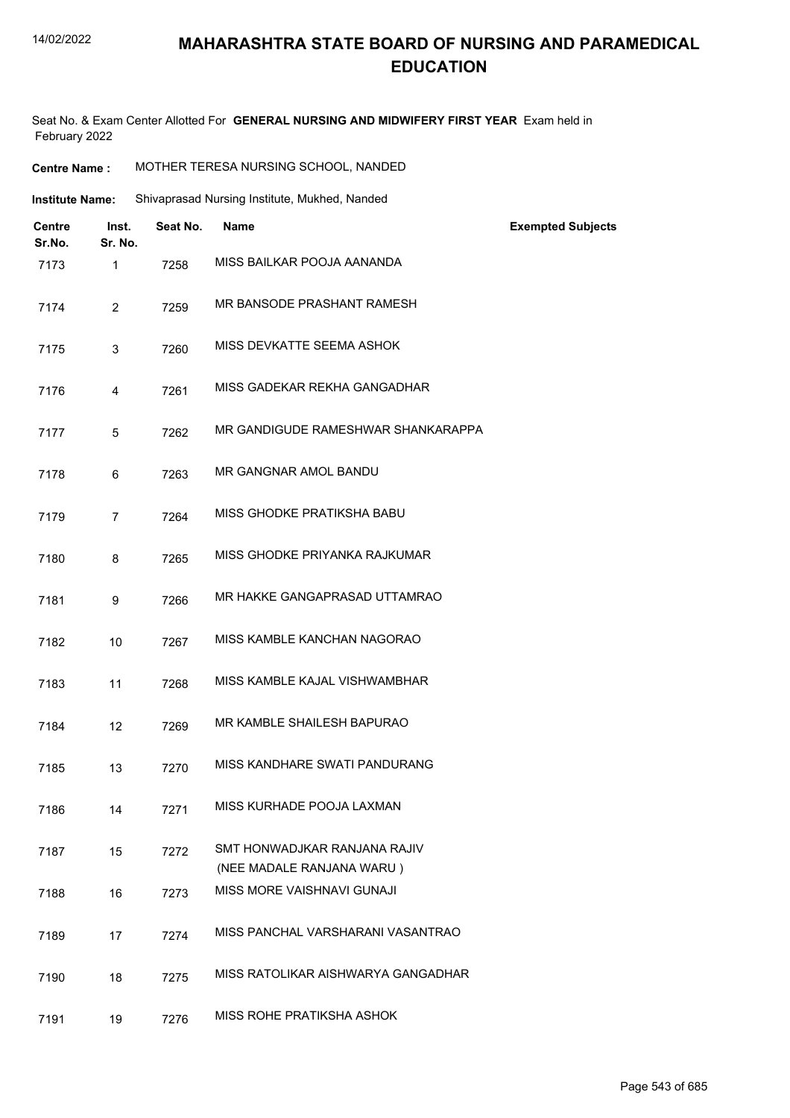|                         | MOTHER TERESA NURSING SCHOOL, NANDED<br><b>Centre Name:</b> |          |                                                           |                          |
|-------------------------|-------------------------------------------------------------|----------|-----------------------------------------------------------|--------------------------|
| <b>Institute Name:</b>  |                                                             |          | Shivaprasad Nursing Institute, Mukhed, Nanded             |                          |
| <b>Centre</b><br>Sr.No. | Inst.<br>Sr. No.                                            | Seat No. | Name                                                      | <b>Exempted Subjects</b> |
| 7173                    | 1                                                           | 7258     | MISS BAILKAR POOJA AANANDA                                |                          |
| 7174                    | $\overline{2}$                                              | 7259     | MR BANSODE PRASHANT RAMESH                                |                          |
| 7175                    | 3                                                           | 7260     | MISS DEVKATTE SEEMA ASHOK                                 |                          |
| 7176                    | 4                                                           | 7261     | MISS GADEKAR REKHA GANGADHAR                              |                          |
| 7177                    | $\overline{5}$                                              | 7262     | MR GANDIGUDE RAMESHWAR SHANKARAPPA                        |                          |
| 7178                    | 6                                                           | 7263     | MR GANGNAR AMOL BANDU                                     |                          |
| 7179                    | 7                                                           | 7264     | MISS GHODKE PRATIKSHA BABU                                |                          |
| 7180                    | 8                                                           | 7265     | MISS GHODKE PRIYANKA RAJKUMAR                             |                          |
| 7181                    | 9                                                           | 7266     | MR HAKKE GANGAPRASAD UTTAMRAO                             |                          |
| 7182                    | 10                                                          | 7267     | MISS KAMBLE KANCHAN NAGORAO                               |                          |
| 7183                    | 11                                                          | 7268     | MISS KAMBLE KAJAL VISHWAMBHAR                             |                          |
| 7184                    | 12                                                          | 7269     | MR KAMBLE SHAILESH BAPURAO                                |                          |
| 7185                    | 13                                                          | 7270     | MISS KANDHARE SWATI PANDURANG                             |                          |
| 7186                    | 14                                                          | 7271     | MISS KURHADE POOJA LAXMAN                                 |                          |
| 7187                    | 15                                                          | 7272     | SMT HONWADJKAR RANJANA RAJIV<br>(NEE MADALE RANJANA WARU) |                          |
| 7188                    | 16                                                          | 7273     | MISS MORE VAISHNAVI GUNAJI                                |                          |
| 7189                    | 17                                                          | 7274     | MISS PANCHAL VARSHARANI VASANTRAO                         |                          |
| 7190                    | 18                                                          | 7275     | MISS RATOLIKAR AISHWARYA GANGADHAR                        |                          |
| 7191                    | 19                                                          | 7276     | <b>MISS ROHE PRATIKSHA ASHOK</b>                          |                          |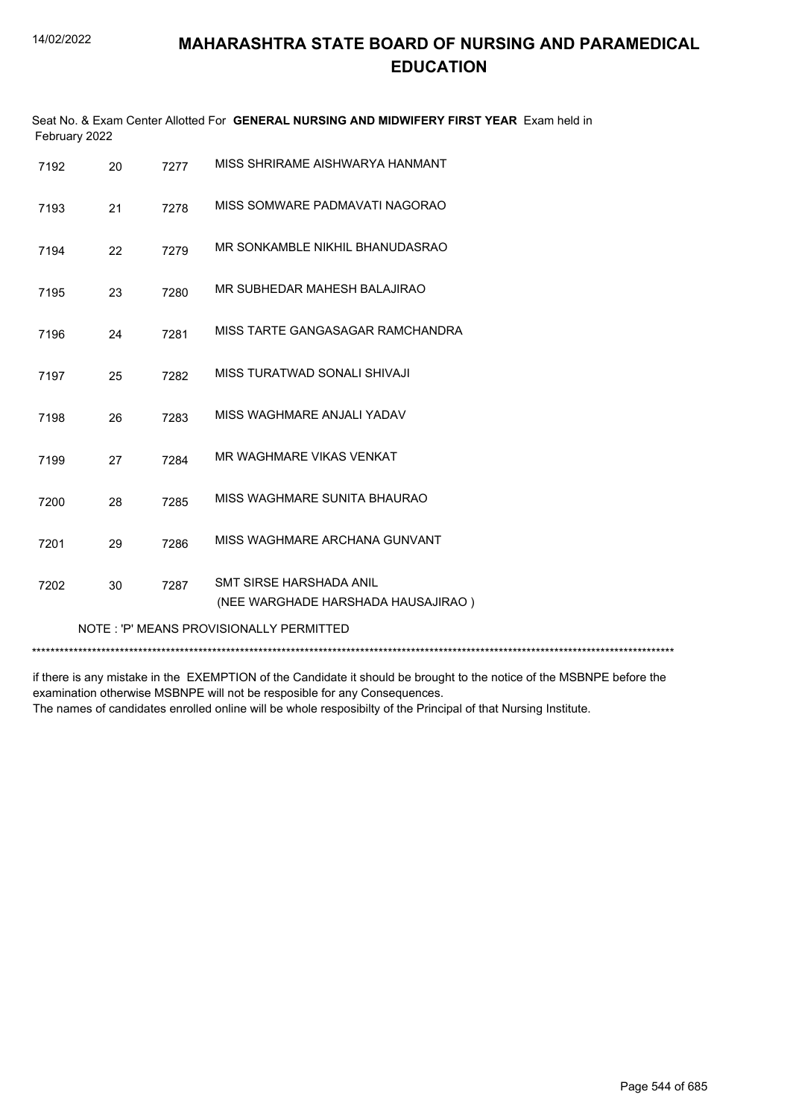|      | Seat No. & Exam Center Allotted For GENERAL NURSING AND MIDWIFERY FIRST YEAR Exam held in<br>February 2022 |      |                                                                      |  |  |
|------|------------------------------------------------------------------------------------------------------------|------|----------------------------------------------------------------------|--|--|
| 7192 | 20                                                                                                         | 7277 | MISS SHRIRAME AISHWARYA HANMANT                                      |  |  |
| 7193 | 21                                                                                                         | 7278 | MISS SOMWARE PADMAVATI NAGORAO                                       |  |  |
| 7194 | 22                                                                                                         | 7279 | MR SONKAMBLE NIKHIL BHANUDASRAO                                      |  |  |
| 7195 | 23                                                                                                         | 7280 | MR SUBHEDAR MAHESH BALAJIRAO                                         |  |  |
| 7196 | 24                                                                                                         | 7281 | MISS TARTE GANGASAGAR RAMCHANDRA                                     |  |  |
| 7197 | 25                                                                                                         | 7282 | MISS TURATWAD SONALI SHIVAJI                                         |  |  |
| 7198 | 26                                                                                                         | 7283 | MISS WAGHMARE ANJALI YADAV                                           |  |  |
| 7199 | 27                                                                                                         | 7284 | MR WAGHMARE VIKAS VENKAT                                             |  |  |
| 7200 | 28                                                                                                         | 7285 | MISS WAGHMARE SUNITA BHAURAO                                         |  |  |
| 7201 | 29                                                                                                         | 7286 | MISS WAGHMARE ARCHANA GUNVANT                                        |  |  |
| 7202 | 30                                                                                                         | 7287 | <b>SMT SIRSE HARSHADA ANIL</b><br>(NEE WARGHADE HARSHADA HAUSAJIRAO) |  |  |
|      |                                                                                                            |      | NOTE: 'P' MEANS PROVISIONALLY PERMITTED                              |  |  |
|      |                                                                                                            |      |                                                                      |  |  |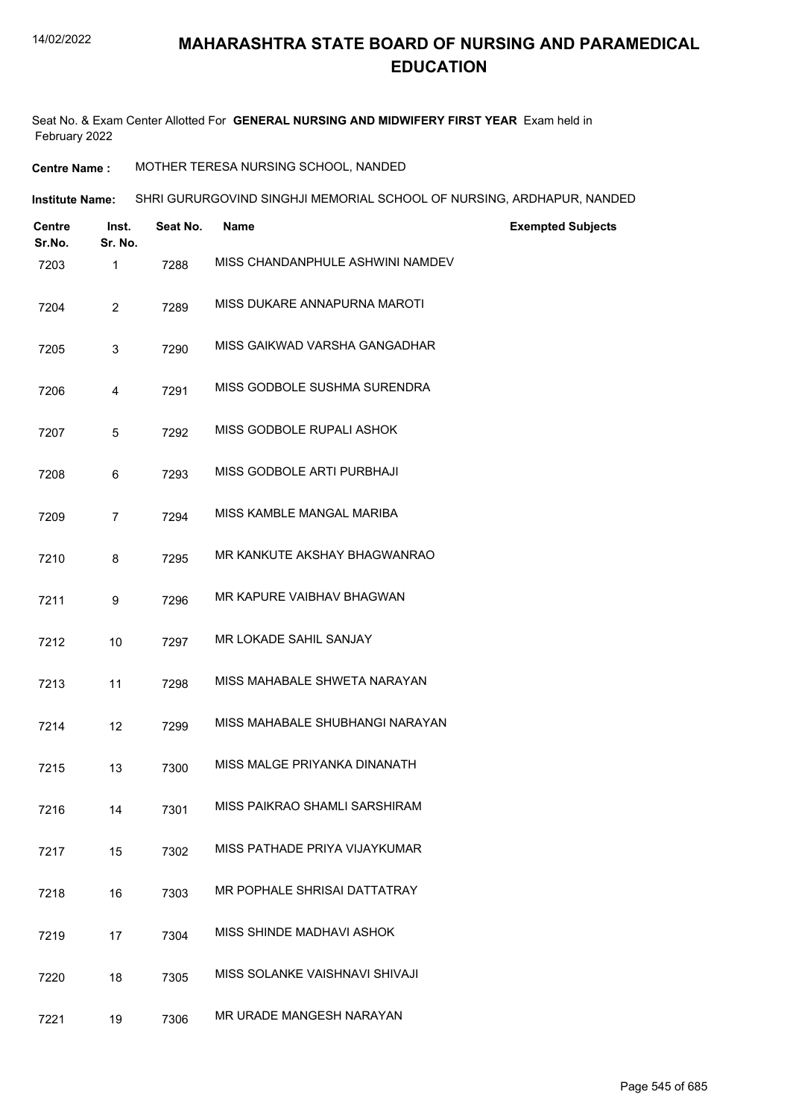Seat No. & Exam Center Allotted For **GENERAL NURSING AND MIDWIFERY FIRST YEAR** Exam held in February 2022

**Centre Name :** MOTHER TERESA NURSING SCHOOL, NANDED

| Institute Name: | SHRI GURURGOVIND SINGHJI MEMORIAL SCHOOL OF NURSING. ARDHAPUR. NANDED |
|-----------------|-----------------------------------------------------------------------|
|                 |                                                                       |

| <b>Centre</b><br>Sr.No. | Inst.<br>Sr. No. | Seat No. | <b>Name</b>                      | <b>Exempted Subjects</b> |
|-------------------------|------------------|----------|----------------------------------|--------------------------|
| 7203                    | $\mathbf{1}$     | 7288     | MISS CHANDANPHULE ASHWINI NAMDEV |                          |
| 7204                    | $\overline{2}$   | 7289     | MISS DUKARE ANNAPURNA MAROTI     |                          |
| 7205                    | 3                | 7290     | MISS GAIKWAD VARSHA GANGADHAR    |                          |
| 7206                    | 4                | 7291     | MISS GODBOLE SUSHMA SURENDRA     |                          |
| 7207                    | 5                | 7292     | MISS GODBOLE RUPALI ASHOK        |                          |
| 7208                    | 6                | 7293     | MISS GODBOLE ARTI PURBHAJI       |                          |
| 7209                    | 7                | 7294     | MISS KAMBLE MANGAL MARIBA        |                          |
| 7210                    | 8                | 7295     | MR KANKUTE AKSHAY BHAGWANRAO     |                          |
| 7211                    | 9                | 7296     | MR KAPURE VAIBHAV BHAGWAN        |                          |
| 7212                    | 10               | 7297     | MR LOKADE SAHIL SANJAY           |                          |
| 7213                    | 11               | 7298     | MISS MAHABALE SHWETA NARAYAN     |                          |
| 7214                    | 12               | 7299     | MISS MAHABALE SHUBHANGI NARAYAN  |                          |
| 7215                    | 13               | 7300     | MISS MALGE PRIYANKA DINANATH     |                          |
| 7216                    | 14               | 7301     | MISS PAIKRAO SHAMLI SARSHIRAM    |                          |
| 7217                    | 15               | 7302     | MISS PATHADE PRIYA VIJAYKUMAR    |                          |
| 7218                    | 16               | 7303     | MR POPHALE SHRISAI DATTATRAY     |                          |
| 7219                    | 17               | 7304     | MISS SHINDE MADHAVI ASHOK        |                          |
| 7220                    | 18               | 7305     | MISS SOLANKE VAISHNAVI SHIVAJI   |                          |
| 7221                    | 19               | 7306     | MR URADE MANGESH NARAYAN         |                          |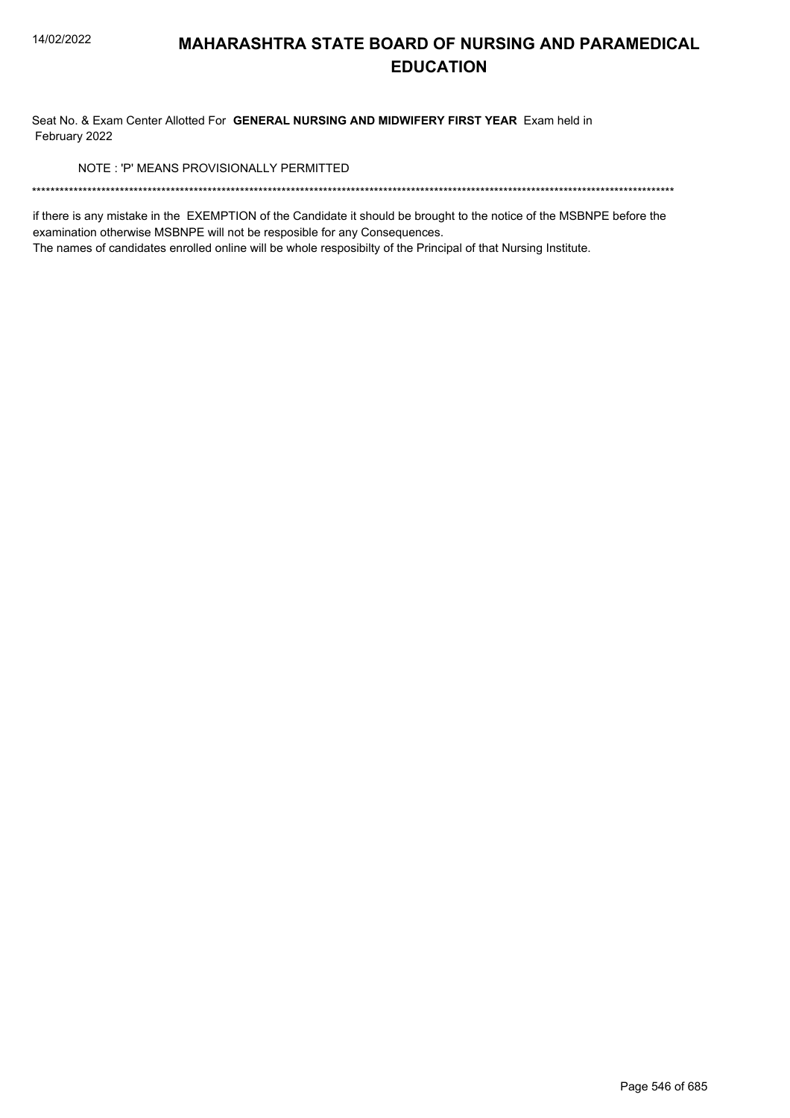Seat No. & Exam Center Allotted For GENERAL NURSING AND MIDWIFERY FIRST YEAR Exam held in February 2022

NOTE: 'P' MEANS PROVISIONALLY PERMITTED

if there is any mistake in the EXEMPTION of the Candidate it should be brought to the notice of the MSBNPE before the examination otherwise MSBNPE will not be resposible for any Consequences.

The names of candidates enrolled online will be whole resposibilty of the Principal of that Nursing Institute.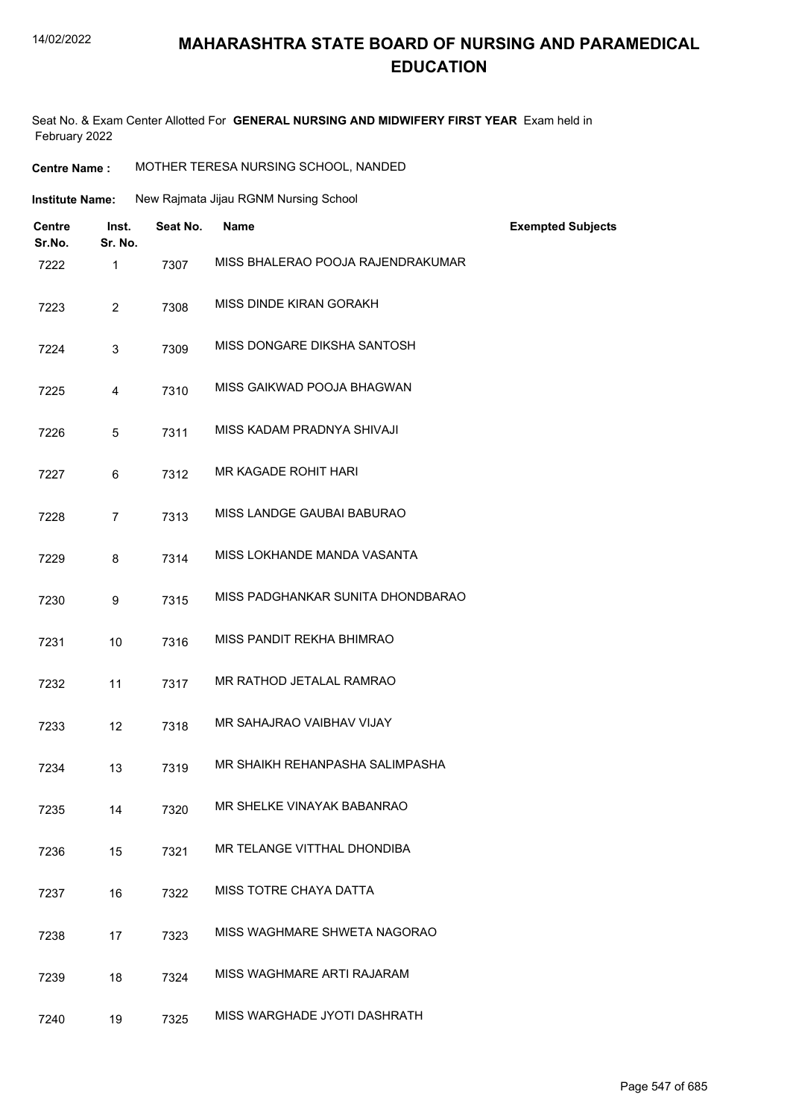Seat No. & Exam Center Allotted For **GENERAL NURSING AND MIDWIFERY FIRST YEAR** Exam held in February 2022

**Centre Name :** MOTHER TERESA NURSING SCHOOL, NANDED

| <b>Institute Name:</b>  |                  |          | New Rajmata Jijau RGNM Nursing School |                          |
|-------------------------|------------------|----------|---------------------------------------|--------------------------|
| <b>Centre</b><br>Sr.No. | Inst.<br>Sr. No. | Seat No. | Name                                  | <b>Exempted Subjects</b> |
| 7222                    | 1                | 7307     | MISS BHALERAO POOJA RAJENDRAKUMAR     |                          |
| 7223                    | $\overline{2}$   | 7308     | MISS DINDE KIRAN GORAKH               |                          |
| 7224                    | 3                | 7309     | MISS DONGARE DIKSHA SANTOSH           |                          |
| 7225                    | 4                | 7310     | MISS GAIKWAD POOJA BHAGWAN            |                          |
| 7226                    | 5                | 7311     | MISS KADAM PRADNYA SHIVAJI            |                          |
| 7227                    | 6                | 7312     | MR KAGADE ROHIT HARI                  |                          |
| 7228                    | $\overline{7}$   | 7313     | MISS LANDGE GAUBAI BABURAO            |                          |
| 7229                    | 8                | 7314     | MISS LOKHANDE MANDA VASANTA           |                          |
| 7230                    | 9                | 7315     | MISS PADGHANKAR SUNITA DHONDBARAO     |                          |
| 7231                    | 10               | 7316     | MISS PANDIT REKHA BHIMRAO             |                          |
| 7232                    | 11               | 7317     | MR RATHOD JETALAL RAMRAO              |                          |
| 7233                    | 12               | 7318     | MR SAHAJRAO VAIBHAV VIJAY             |                          |
| 7234                    | 13               | 7319     | MR SHAIKH REHANPASHA SALIMPASHA       |                          |
| 7235                    | 14               | 7320     | MR SHELKE VINAYAK BABANRAO            |                          |

- 7236 15 7321 MR TELANGE VITTHAL DHONDIBA
- 7237 16 7322 MISS TOTRE CHAYA DATTA
- 7238 17 7323 MISS WAGHMARE SHWETA NAGORAO
- 7239 18 7324 MISS WAGHMARE ARTI RAJARAM
- 7240 19 7325 MISS WARGHADE JYOTI DASHRATH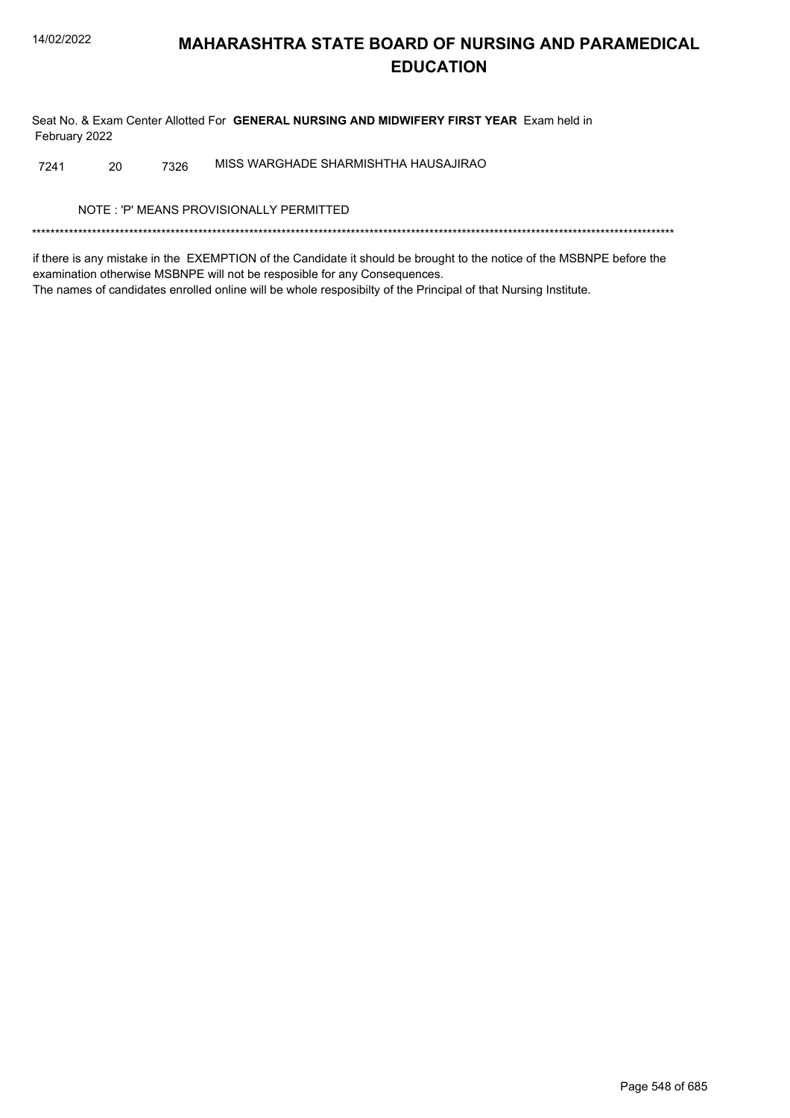Seat No. & Exam Center Allotted For GENERAL NURSING AND MIDWIFERY FIRST YEAR Exam held in February 2022

MISS WARGHADE SHARMISHTHA HAUSAJIRAO 7241 20 7326

NOTE: 'P' MEANS PROVISIONALLY PERMITTED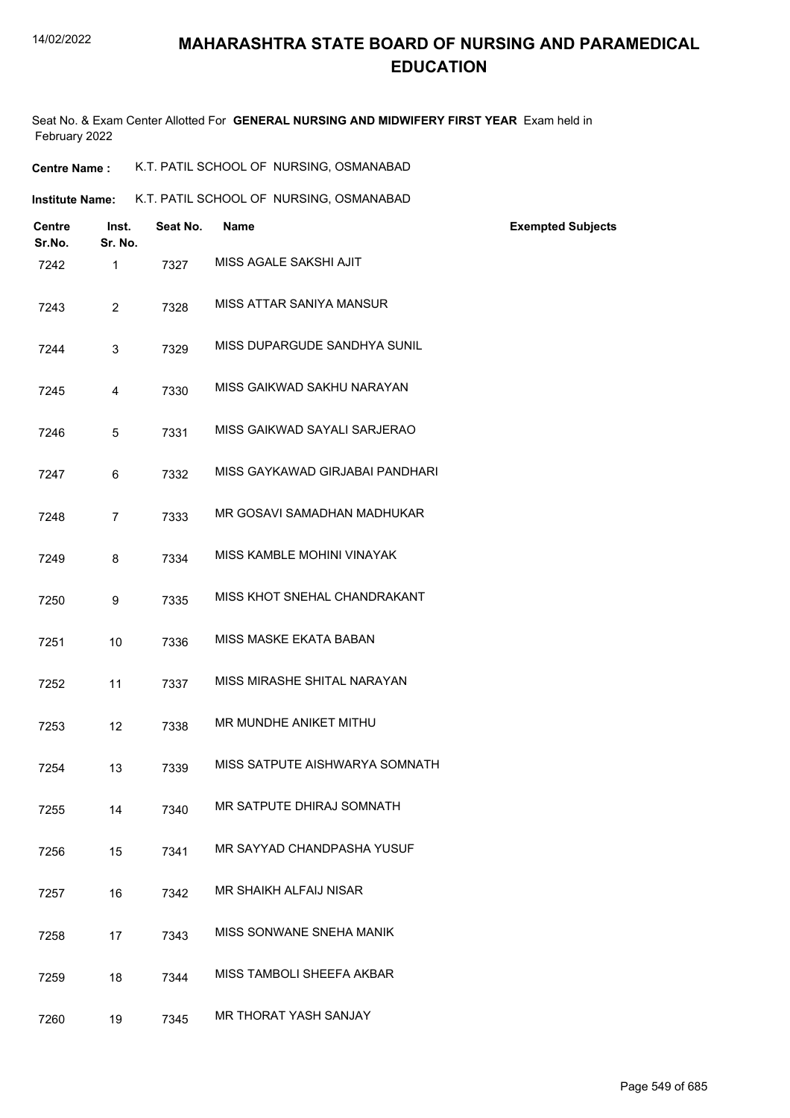#### 14/02/2022

### **MAHARASHTRA STATE BOARD OF NURSING AND PARAMEDICAL EDUCATION**

| <b>Centre Name :</b> | K.T. PATIL SCHOOL OF NURSING, OSMANABAD |
|----------------------|-----------------------------------------|
|----------------------|-----------------------------------------|

| <b>Centre</b><br>Sr.No. | Inst.<br>Sr. No. | Seat No. | <b>Name</b>                     | <b>Exempted Subjects</b> |
|-------------------------|------------------|----------|---------------------------------|--------------------------|
| 7242                    | $\mathbf{1}$     | 7327     | MISS AGALE SAKSHI AJIT          |                          |
| 7243                    | $\overline{2}$   | 7328     | MISS ATTAR SANIYA MANSUR        |                          |
| 7244                    | 3                | 7329     | MISS DUPARGUDE SANDHYA SUNIL    |                          |
| 7245                    | $\overline{4}$   | 7330     | MISS GAIKWAD SAKHU NARAYAN      |                          |
| 7246                    | 5                | 7331     | MISS GAIKWAD SAYALI SARJERAO    |                          |
| 7247                    | 6                | 7332     | MISS GAYKAWAD GIRJABAI PANDHARI |                          |
| 7248                    | $\overline{7}$   | 7333     | MR GOSAVI SAMADHAN MADHUKAR     |                          |
| 7249                    | 8                | 7334     | MISS KAMBLE MOHINI VINAYAK      |                          |
| 7250                    | 9                | 7335     | MISS KHOT SNEHAL CHANDRAKANT    |                          |
| 7251                    | 10               | 7336     | MISS MASKE EKATA BABAN          |                          |
| 7252                    | 11               | 7337     | MISS MIRASHE SHITAL NARAYAN     |                          |
| 7253                    | 12               | 7338     | MR MUNDHE ANIKET MITHU          |                          |
| 7254                    | 13               | 7339     | MISS SATPUTE AISHWARYA SOMNATH  |                          |
| 7255                    | 14               | 7340     | MR SATPUTE DHIRAJ SOMNATH       |                          |
| 7256                    | 15               | 7341     | MR SAYYAD CHANDPASHA YUSUF      |                          |
| 7257                    | 16               | 7342     | MR SHAIKH ALFAIJ NISAR          |                          |
| 7258                    | 17               | 7343     | MISS SONWANE SNEHA MANIK        |                          |
| 7259                    | 18               | 7344     | MISS TAMBOLI SHEEFA AKBAR       |                          |
| 7260                    | 19               | 7345     | MR THORAT YASH SANJAY           |                          |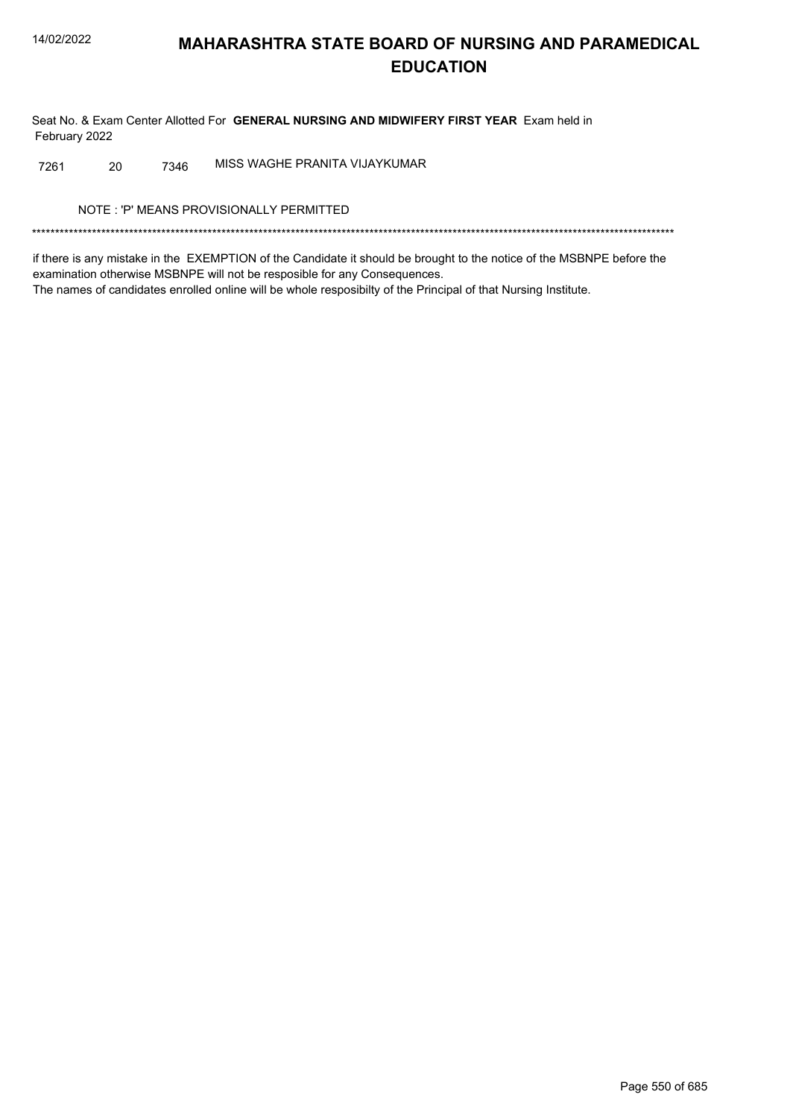Seat No. & Exam Center Allotted For GENERAL NURSING AND MIDWIFERY FIRST YEAR Exam held in February 2022

MISS WAGHE PRANITA VIJAYKUMAR 20 7261 7346

NOTE: 'P' MEANS PROVISIONALLY PERMITTED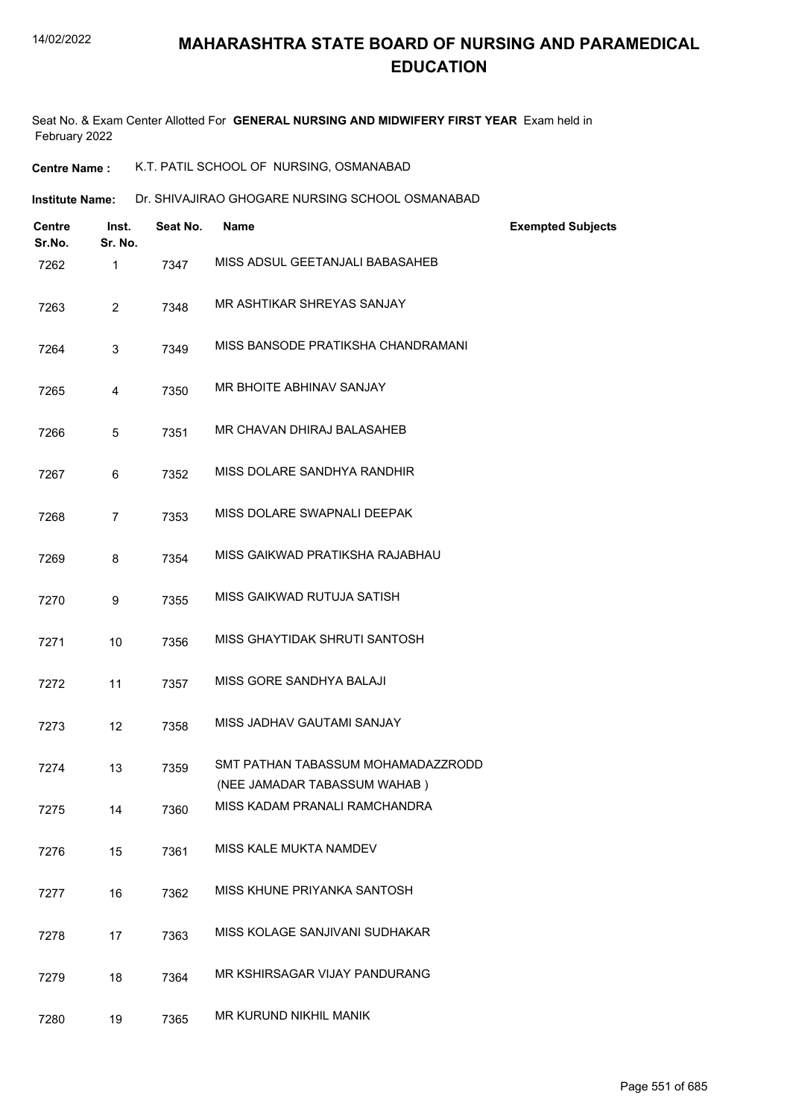- **Centre Name :** K.T. PATIL SCHOOL OF NURSING, OSMANABAD
- **Institute Name: Dr. SHIVAJIRAO GHOGARE NURSING SCHOOL OSMANABAD**

| <b>Centre</b><br>Sr.No. | Inst.<br>Sr. No. | Seat No. | <b>Name</b>                                                        | <b>Exempted Subjects</b> |
|-------------------------|------------------|----------|--------------------------------------------------------------------|--------------------------|
| 7262                    | 1                | 7347     | MISS ADSUL GEETANJALI BABASAHEB                                    |                          |
| 7263                    | $\overline{2}$   | 7348     | MR ASHTIKAR SHREYAS SANJAY                                         |                          |
| 7264                    | 3                | 7349     | MISS BANSODE PRATIKSHA CHANDRAMANI                                 |                          |
| 7265                    | 4                | 7350     | MR BHOITE ABHINAV SANJAY                                           |                          |
| 7266                    | 5                | 7351     | MR CHAVAN DHIRAJ BALASAHEB                                         |                          |
| 7267                    | 6                | 7352     | MISS DOLARE SANDHYA RANDHIR                                        |                          |
| 7268                    | $\overline{7}$   | 7353     | MISS DOLARE SWAPNALI DEEPAK                                        |                          |
| 7269                    | 8                | 7354     | MISS GAIKWAD PRATIKSHA RAJABHAU                                    |                          |
| 7270                    | 9                | 7355     | MISS GAIKWAD RUTUJA SATISH                                         |                          |
| 7271                    | 10               | 7356     | MISS GHAYTIDAK SHRUTI SANTOSH                                      |                          |
| 7272                    | 11               | 7357     | MISS GORE SANDHYA BALAJI                                           |                          |
| 7273                    | 12               | 7358     | MISS JADHAV GAUTAMI SANJAY                                         |                          |
| 7274                    | 13               | 7359     | SMT PATHAN TABASSUM MOHAMADAZZRODD<br>(NEE JAMADAR TABASSUM WAHAB) |                          |
| 7275                    | 14               | 7360     | MISS KADAM PRANALI RAMCHANDRA                                      |                          |
| 7276                    | 15               | 7361     | MISS KALE MUKTA NAMDEV                                             |                          |
| 7277                    | 16               | 7362     | MISS KHUNE PRIYANKA SANTOSH                                        |                          |
| 7278                    | 17               | 7363     | MISS KOLAGE SANJIVANI SUDHAKAR                                     |                          |
| 7279                    | 18               | 7364     | MR KSHIRSAGAR VIJAY PANDURANG                                      |                          |
| 7280                    | 19               | 7365     | MR KURUND NIKHIL MANIK                                             |                          |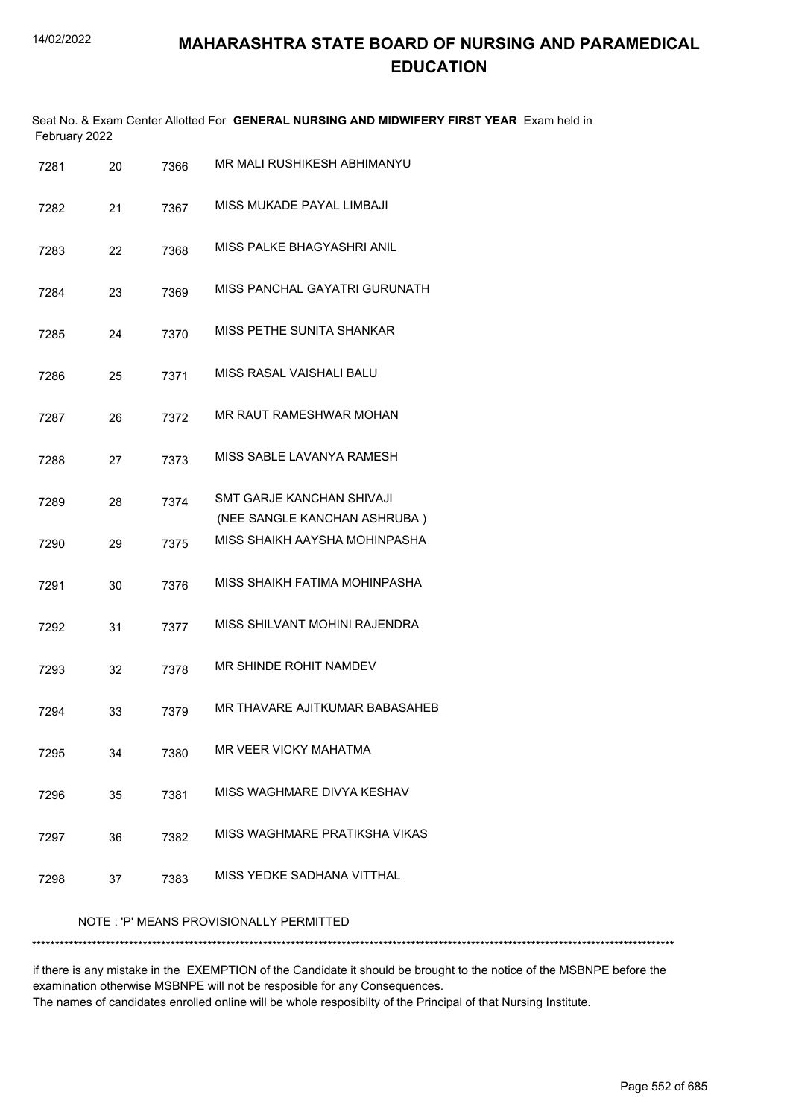|               | Seat No. & Exam Center Allotted For GENERAL NURSING AND MIDWIFERY FIRST YEAR Exam held in |  |
|---------------|-------------------------------------------------------------------------------------------|--|
| February 2022 |                                                                                           |  |

| 7281 | 20 | 7366 | MR MALI RUSHIKESH ABHIMANYU                               |
|------|----|------|-----------------------------------------------------------|
| 7282 | 21 | 7367 | MISS MUKADE PAYAL LIMBAJI                                 |
| 7283 | 22 | 7368 | MISS PALKE BHAGYASHRI ANIL                                |
| 7284 | 23 | 7369 | MISS PANCHAL GAYATRI GURUNATH                             |
| 7285 | 24 | 7370 | <b>MISS PETHE SUNITA SHANKAR</b>                          |
| 7286 | 25 | 7371 | MISS RASAL VAISHALI BALU                                  |
| 7287 | 26 | 7372 | MR RAUT RAMESHWAR MOHAN                                   |
| 7288 | 27 | 7373 | MISS SABLE LAVANYA RAMESH                                 |
| 7289 | 28 | 7374 | SMT GARJE KANCHAN SHIVAJI<br>(NEE SANGLE KANCHAN ASHRUBA) |
| 7290 | 29 | 7375 | MISS SHAIKH AAYSHA MOHINPASHA                             |
| 7291 | 30 | 7376 | MISS SHAIKH FATIMA MOHINPASHA                             |
| 7292 | 31 | 7377 | MISS SHILVANT MOHINI RAJENDRA                             |
| 7293 | 32 | 7378 | MR SHINDE ROHIT NAMDEV                                    |
| 7294 | 33 | 7379 | MR THAVARE AJITKUMAR BABASAHEB                            |
| 7295 | 34 | 7380 | MR VEER VICKY MAHATMA                                     |
| 7296 | 35 | 7381 | MISS WAGHMARE DIVYA KESHAV                                |
| 7297 | 36 | 7382 | MISS WAGHMARE PRATIKSHA VIKAS                             |
| 7298 | 37 | 7383 | MISS YEDKE SADHANA VITTHAL                                |
|      |    |      |                                                           |

#### NOTE : 'P' MEANS PROVISIONALLY PERMITTED

\*\*\*\*\*\*\*\*\*\*\*\*\*\*\*\*\*\*\*\*\*\*\*\*\*\*\*\*\*\*\*\*\*\*\*\*\*\*\*\*\*\*\*\*\*\*\*\*\*\*\*\*\*\*\*\*\*\*\*\*\*\*\*\*\*\*\*\*\*\*\*\*\*\*\*\*\*\*\*\*\*\*\*\*\*\*\*\*\*\*\*\*\*\*\*\*\*\*\*\*\*\*\*\*\*\*\*\*\*\*\*\*\*\*\*\*\*\*\*\*\*\*\*\*\*\*\*\*\*\*\*\*\*\*\*\*\*\*\*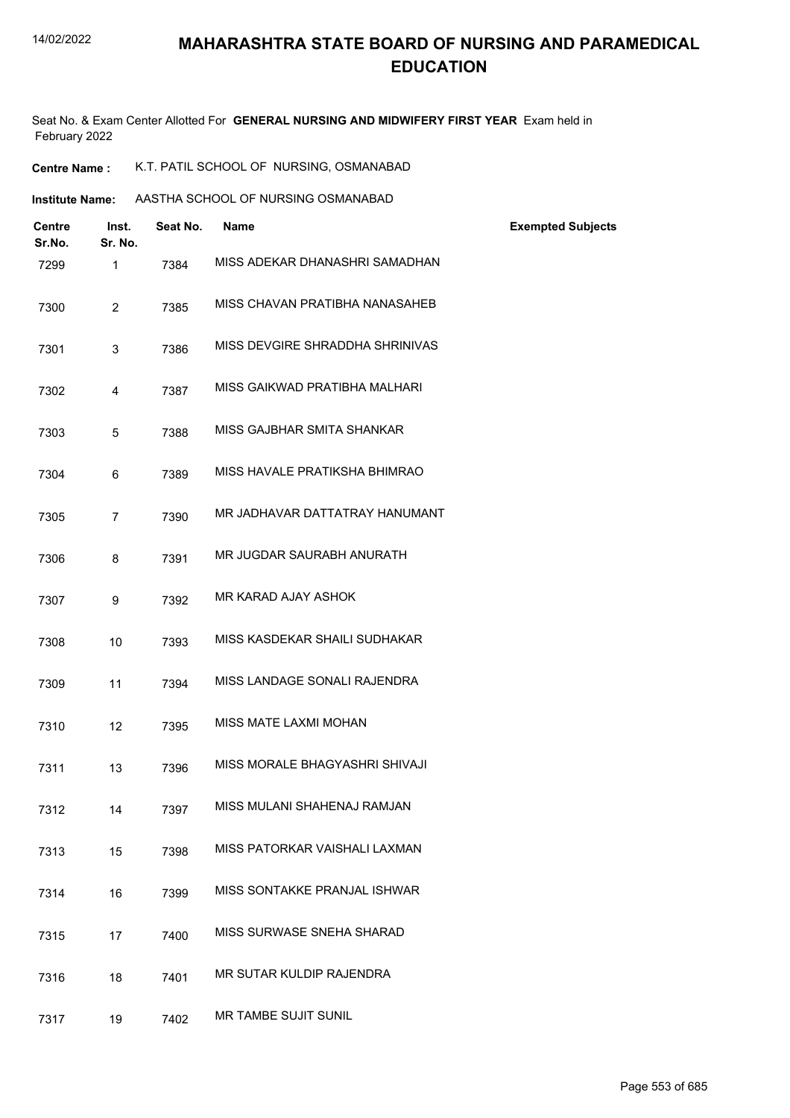| <b>Centre Name :</b> | K.T. PATIL SCHOOL OF NURSING, OSMANABAD |  |  |
|----------------------|-----------------------------------------|--|--|
|----------------------|-----------------------------------------|--|--|

| <b>Institute Name:</b> | AASTHA SCHOOL OF NURSING OSMANABAD |
|------------------------|------------------------------------|
|                        |                                    |

| <b>Centre</b><br>Sr.No. | Inst.<br>Sr. No. | Seat No. | <b>Name</b>                     | <b>Exempted Subjects</b> |
|-------------------------|------------------|----------|---------------------------------|--------------------------|
| 7299                    | 1                | 7384     | MISS ADEKAR DHANASHRI SAMADHAN  |                          |
| 7300                    | $\overline{2}$   | 7385     | MISS CHAVAN PRATIBHA NANASAHEB  |                          |
| 7301                    | $\mathbf{3}$     | 7386     | MISS DEVGIRE SHRADDHA SHRINIVAS |                          |
| 7302                    | $\overline{4}$   | 7387     | MISS GAIKWAD PRATIBHA MALHARI   |                          |
| 7303                    | 5                | 7388     | MISS GAJBHAR SMITA SHANKAR      |                          |
| 7304                    | 6                | 7389     | MISS HAVALE PRATIKSHA BHIMRAO   |                          |
| 7305                    | $\overline{7}$   | 7390     | MR JADHAVAR DATTATRAY HANUMANT  |                          |
| 7306                    | 8                | 7391     | MR JUGDAR SAURABH ANURATH       |                          |
| 7307                    | 9                | 7392     | MR KARAD AJAY ASHOK             |                          |
| 7308                    | 10               | 7393     | MISS KASDEKAR SHAILI SUDHAKAR   |                          |
| 7309                    | 11               | 7394     | MISS LANDAGE SONALI RAJENDRA    |                          |
| 7310                    | 12               | 7395     | MISS MATE LAXMI MOHAN           |                          |
| 7311                    | 13               | 7396     | MISS MORALE BHAGYASHRI SHIVAJI  |                          |
| 7312                    | 14               | 7397     | MISS MULANI SHAHENAJ RAMJAN     |                          |
| 7313                    | 15               | 7398     | MISS PATORKAR VAISHALI LAXMAN   |                          |
| 7314                    | 16               | 7399     | MISS SONTAKKE PRANJAL ISHWAR    |                          |
| 7315                    | 17               | 7400     | MISS SURWASE SNEHA SHARAD       |                          |
| 7316                    | 18               | 7401     | MR SUTAR KULDIP RAJENDRA        |                          |
| 7317                    | 19               | 7402     | MR TAMBE SUJIT SUNIL            |                          |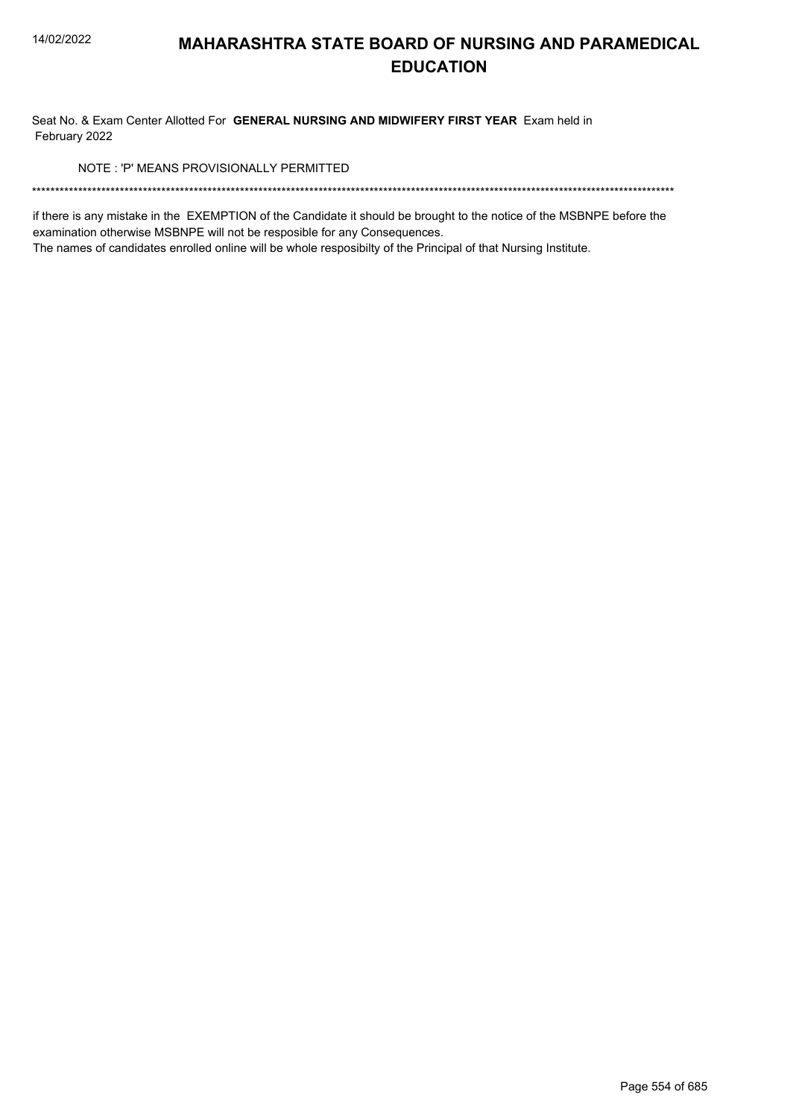Seat No. & Exam Center Allotted For GENERAL NURSING AND MIDWIFERY FIRST YEAR Exam held in February 2022

NOTE: 'P' MEANS PROVISIONALLY PERMITTED

if there is any mistake in the EXEMPTION of the Candidate it should be brought to the notice of the MSBNPE before the examination otherwise MSBNPE will not be resposible for any Consequences.

The names of candidates enrolled online will be whole resposibilty of the Principal of that Nursing Institute.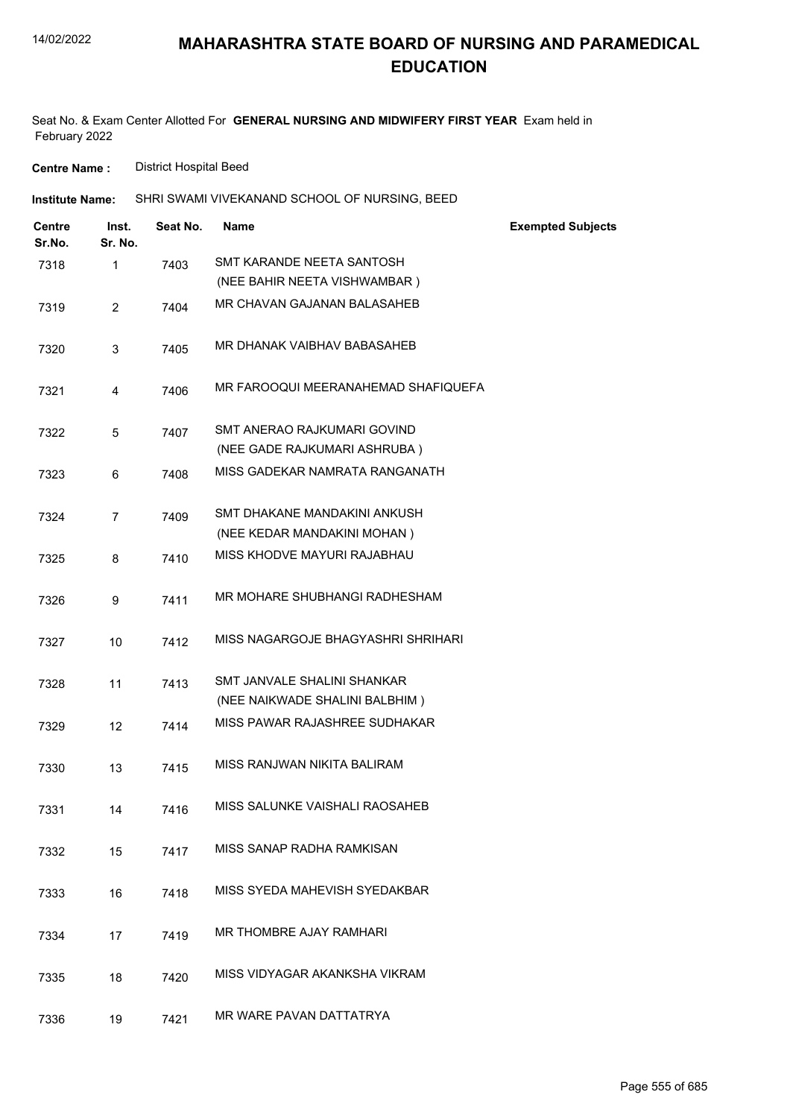Seat No. & Exam Center Allotted For **GENERAL NURSING AND MIDWIFERY FIRST YEAR** Exam held in February 2022

**Centre Name :** District Hospital Beed

| <b>Institute Name:</b>  |                  |          | SHRI SWAMI VIVEKANAND SCHOOL OF NURSING, BEED               |                          |
|-------------------------|------------------|----------|-------------------------------------------------------------|--------------------------|
| <b>Centre</b><br>Sr.No. | Inst.<br>Sr. No. | Seat No. | <b>Name</b>                                                 | <b>Exempted Subjects</b> |
| 7318                    | $\mathbf 1$      | 7403     | SMT KARANDE NEETA SANTOSH                                   |                          |
|                         |                  |          | (NEE BAHIR NEETA VISHWAMBAR)                                |                          |
| 7319                    | $\overline{2}$   | 7404     | MR CHAVAN GAJANAN BALASAHEB                                 |                          |
| 7320                    | 3                | 7405     | MR DHANAK VAIBHAV BABASAHEB                                 |                          |
| 7321                    | $\overline{4}$   | 7406     | MR FAROOQUI MEERANAHEMAD SHAFIQUEFA                         |                          |
| 7322                    | 5                | 7407     | SMT ANERAO RAJKUMARI GOVIND<br>(NEE GADE RAJKUMARI ASHRUBA) |                          |
| 7323                    | 6                | 7408     | MISS GADEKAR NAMRATA RANGANATH                              |                          |
| 7324                    | $\overline{7}$   | 7409     | SMT DHAKANE MANDAKINI ANKUSH                                |                          |
|                         |                  |          | (NEE KEDAR MANDAKINI MOHAN)                                 |                          |
| 7325                    | 8                | 7410     | MISS KHODVE MAYURI RAJABHAU                                 |                          |
| 7326                    | 9                | 7411     | MR MOHARE SHUBHANGI RADHESHAM                               |                          |
| 7327                    | 10               | 7412     | MISS NAGARGOJE BHAGYASHRI SHRIHARI                          |                          |
| 7328                    | 11               | 7413     | SMT JANVALE SHALINI SHANKAR                                 |                          |
|                         |                  |          | (NEE NAIKWADE SHALINI BALBHIM)                              |                          |
| 7329                    | 12               | 7414     | MISS PAWAR RAJASHREE SUDHAKAR                               |                          |
| 7330                    | 13               | 7415     | MISS RANJWAN NIKITA BALIRAM                                 |                          |
| 7331                    | 14               | 7416     | MISS SALUNKE VAISHALI RAOSAHEB                              |                          |
| 7332                    | 15               | 7417     | MISS SANAP RADHA RAMKISAN                                   |                          |
| 7333                    | 16               | 7418     | MISS SYEDA MAHEVISH SYEDAKBAR                               |                          |
| 7334                    | 17               | 7419     | MR THOMBRE AJAY RAMHARI                                     |                          |
| 7335                    | 18               | 7420     | MISS VIDYAGAR AKANKSHA VIKRAM                               |                          |
| 7336                    | 19               | 7421     | MR WARE PAVAN DATTATRYA                                     |                          |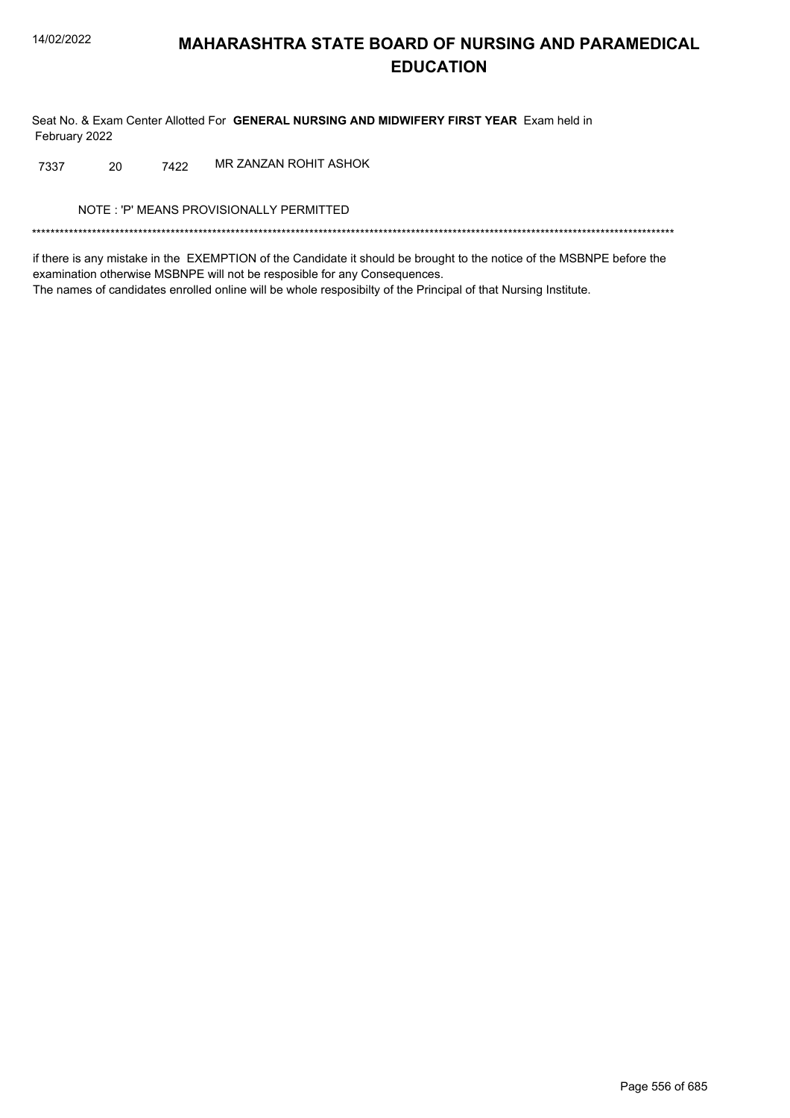Seat No. & Exam Center Allotted For GENERAL NURSING AND MIDWIFERY FIRST YEAR Exam held in February 2022

7422 MR ZANZAN ROHIT ASHOK 7337 20

NOTE: 'P' MEANS PROVISIONALLY PERMITTED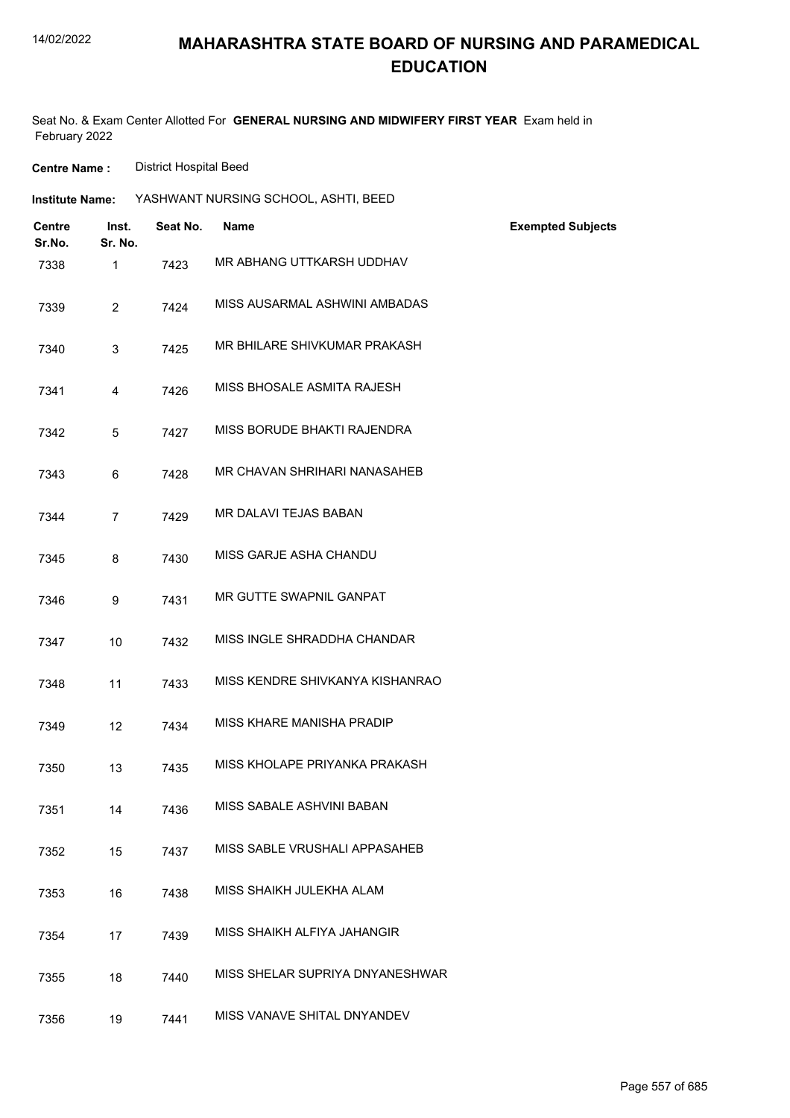Seat No. & Exam Center Allotted For **GENERAL NURSING AND MIDWIFERY FIRST YEAR** Exam held in February 2022

**Centre Name :** District Hospital Beed

| <b>Institute Name:</b>  |                  |          | YASHWANT NURSING SCHOOL, ASHTI, BEED |                          |
|-------------------------|------------------|----------|--------------------------------------|--------------------------|
| <b>Centre</b><br>Sr.No. | Inst.<br>Sr. No. | Seat No. | Name                                 | <b>Exempted Subjects</b> |
| 7338                    | $\mathbf{1}$     | 7423     | MR ABHANG UTTKARSH UDDHAV            |                          |
| 7339                    | $\overline{2}$   | 7424     | MISS AUSARMAL ASHWINI AMBADAS        |                          |
| 7340                    | 3                | 7425     | MR BHILARE SHIVKUMAR PRAKASH         |                          |
| 7341                    | 4                | 7426     | MISS BHOSALE ASMITA RAJESH           |                          |
| 7342                    | 5                | 7427     | MISS BORUDE BHAKTI RAJENDRA          |                          |
| 7343                    | 6                | 7428     | MR CHAVAN SHRIHARI NANASAHEB         |                          |
| 7344                    | $\overline{7}$   | 7429     | MR DALAVI TEJAS BABAN                |                          |
| 7345                    | 8                | 7430     | MISS GARJE ASHA CHANDU               |                          |
| 7346                    | 9                | 7431     | MR GUTTE SWAPNIL GANPAT              |                          |
| 7347                    | 10               | 7432     | MISS INGLE SHRADDHA CHANDAR          |                          |
| 7348                    | 11               | 7433     | MISS KENDRE SHIVKANYA KISHANRAO      |                          |
| 7349                    | 12               | 7434     | MISS KHARE MANISHA PRADIP            |                          |
| 7350                    | 13               | 7435     | MISS KHOLAPE PRIYANKA PRAKASH        |                          |
| 7351                    | 14               | 7436     | MISS SABALE ASHVINI BABAN            |                          |
| 7352                    | 15               | 7437     | MISS SABLE VRUSHALI APPASAHEB        |                          |
| 7353                    | 16               | 7438     | MISS SHAIKH JULEKHA ALAM             |                          |
| 7354                    | 17               | 7439     | MISS SHAIKH ALFIYA JAHANGIR          |                          |
| 7355                    | 18               | 7440     | MISS SHELAR SUPRIYA DNYANESHWAR      |                          |
| 7356                    | 19               | 7441     | MISS VANAVE SHITAL DNYANDEV          |                          |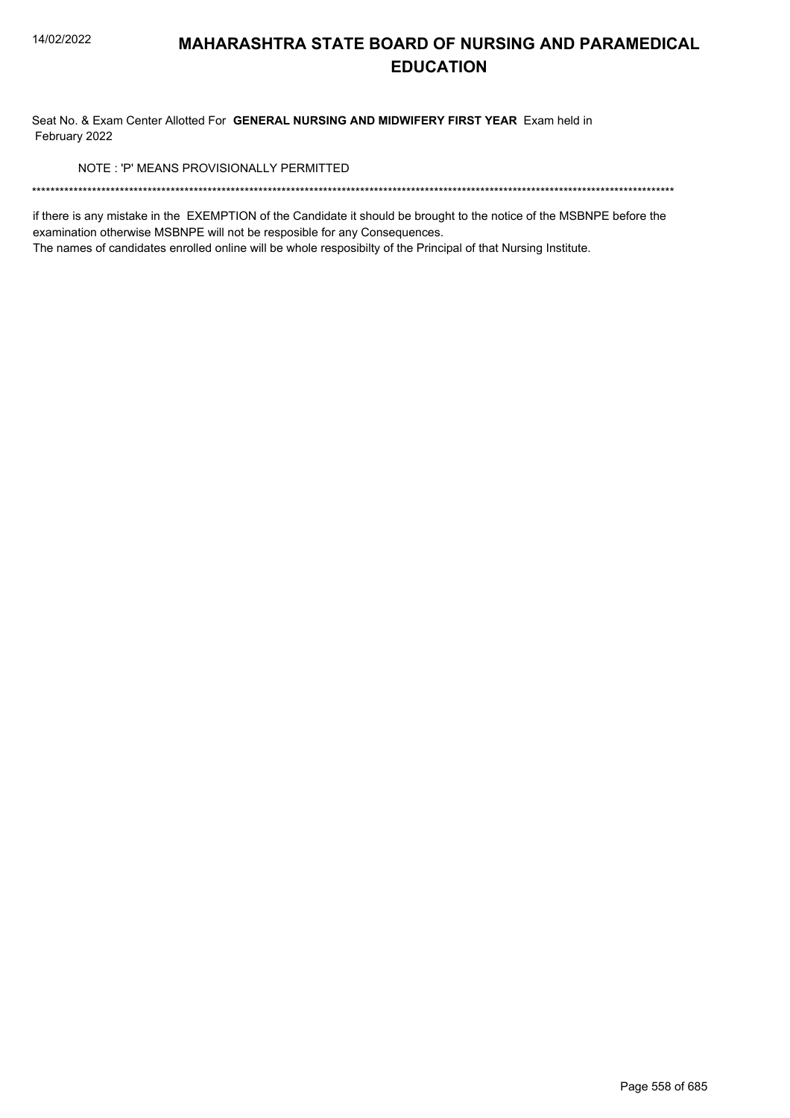Seat No. & Exam Center Allotted For GENERAL NURSING AND MIDWIFERY FIRST YEAR Exam held in February 2022

NOTE: 'P' MEANS PROVISIONALLY PERMITTED

if there is any mistake in the EXEMPTION of the Candidate it should be brought to the notice of the MSBNPE before the examination otherwise MSBNPE will not be resposible for any Consequences.

The names of candidates enrolled online will be whole resposibilty of the Principal of that Nursing Institute.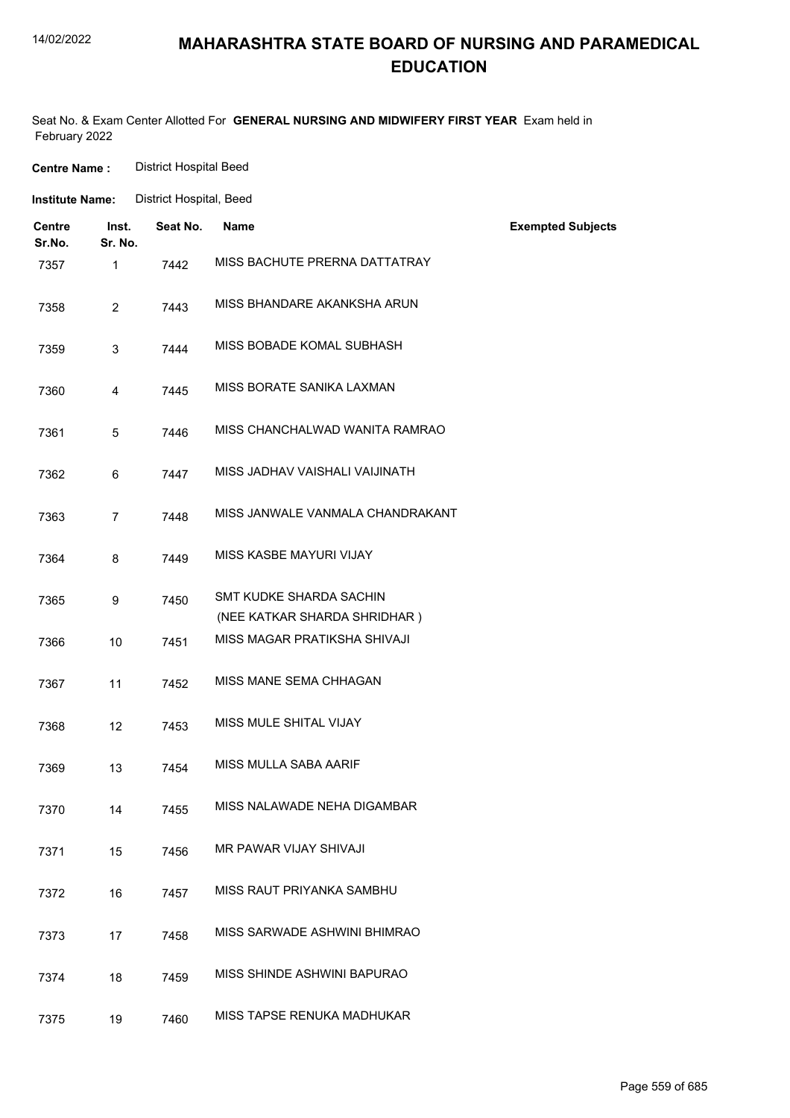| <b>Centre Name:</b>     |                  | <b>District Hospital Beed</b> |                                                         |                          |
|-------------------------|------------------|-------------------------------|---------------------------------------------------------|--------------------------|
| <b>Institute Name:</b>  |                  | District Hospital, Beed       |                                                         |                          |
| <b>Centre</b><br>Sr.No. | Inst.<br>Sr. No. | Seat No.                      | <b>Name</b>                                             | <b>Exempted Subjects</b> |
| 7357                    | 1                | 7442                          | MISS BACHUTE PRERNA DATTATRAY                           |                          |
| 7358                    | $\overline{2}$   | 7443                          | MISS BHANDARE AKANKSHA ARUN                             |                          |
| 7359                    | 3                | 7444                          | MISS BOBADE KOMAL SUBHASH                               |                          |
| 7360                    | 4                | 7445                          | MISS BORATE SANIKA LAXMAN                               |                          |
| 7361                    | 5                | 7446                          | MISS CHANCHALWAD WANITA RAMRAO                          |                          |
| 7362                    | 6                | 7447                          | MISS JADHAV VAISHALI VAIJINATH                          |                          |
| 7363                    | $\overline{7}$   | 7448                          | MISS JANWALE VANMALA CHANDRAKANT                        |                          |
| 7364                    | 8                | 7449                          | MISS KASBE MAYURI VIJAY                                 |                          |
| 7365                    | 9                | 7450                          | SMT KUDKE SHARDA SACHIN<br>(NEE KATKAR SHARDA SHRIDHAR) |                          |
| 7366                    | 10               | 7451                          | MISS MAGAR PRATIKSHA SHIVAJI                            |                          |
| 7367                    | 11               | 7452                          | MISS MANE SEMA CHHAGAN                                  |                          |
| 7368                    | 12               | 7453                          | MISS MULE SHITAL VIJAY                                  |                          |
| 7369                    | 13               | 7454                          | MISS MULLA SABA AARIF                                   |                          |
| 7370                    | 14               | 7455                          | MISS NALAWADE NEHA DIGAMBAR                             |                          |
| 7371                    | 15               | 7456                          | MR PAWAR VIJAY SHIVAJI                                  |                          |
| 7372                    | 16               | 7457                          | MISS RAUT PRIYANKA SAMBHU                               |                          |
| 7373                    | 17               | 7458                          | MISS SARWADE ASHWINI BHIMRAO                            |                          |
| 7374                    | 18               | 7459                          | MISS SHINDE ASHWINI BAPURAO                             |                          |
| 7375                    | 19               | 7460                          | MISS TAPSE RENUKA MADHUKAR                              |                          |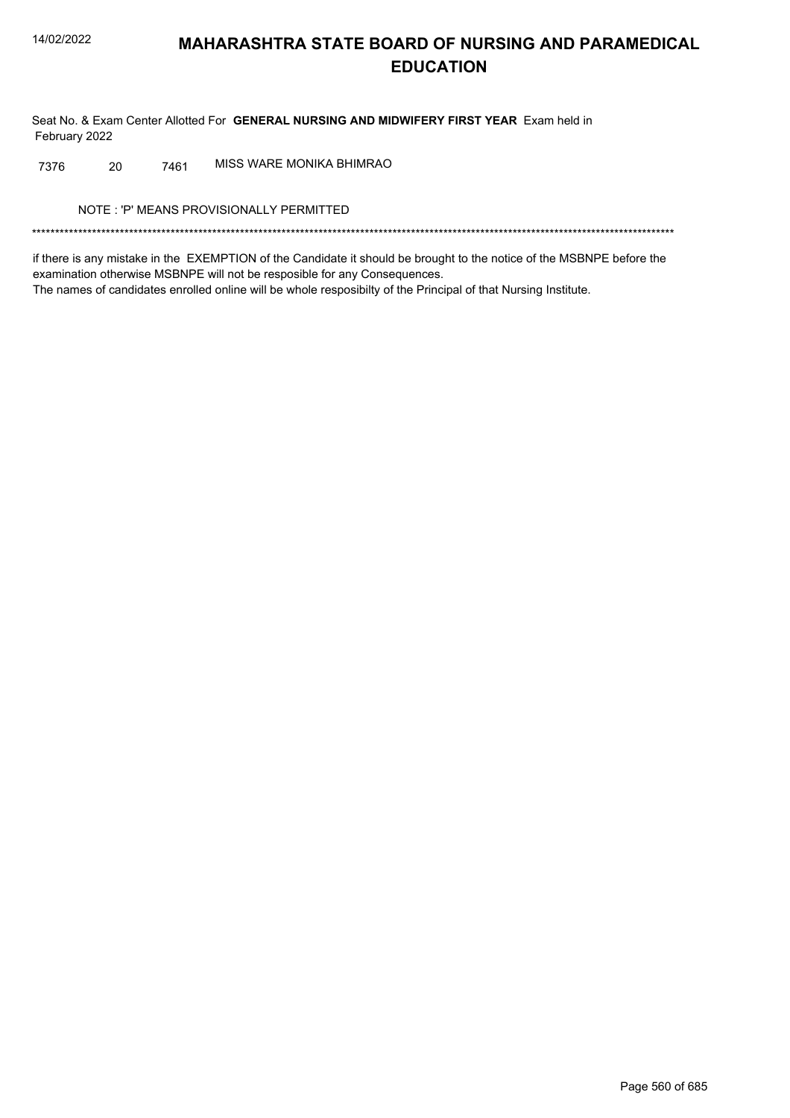Seat No. & Exam Center Allotted For GENERAL NURSING AND MIDWIFERY FIRST YEAR Exam held in February 2022

MISS WARE MONIKA BHIMRAO 20 7461 7376

NOTE: 'P' MEANS PROVISIONALLY PERMITTED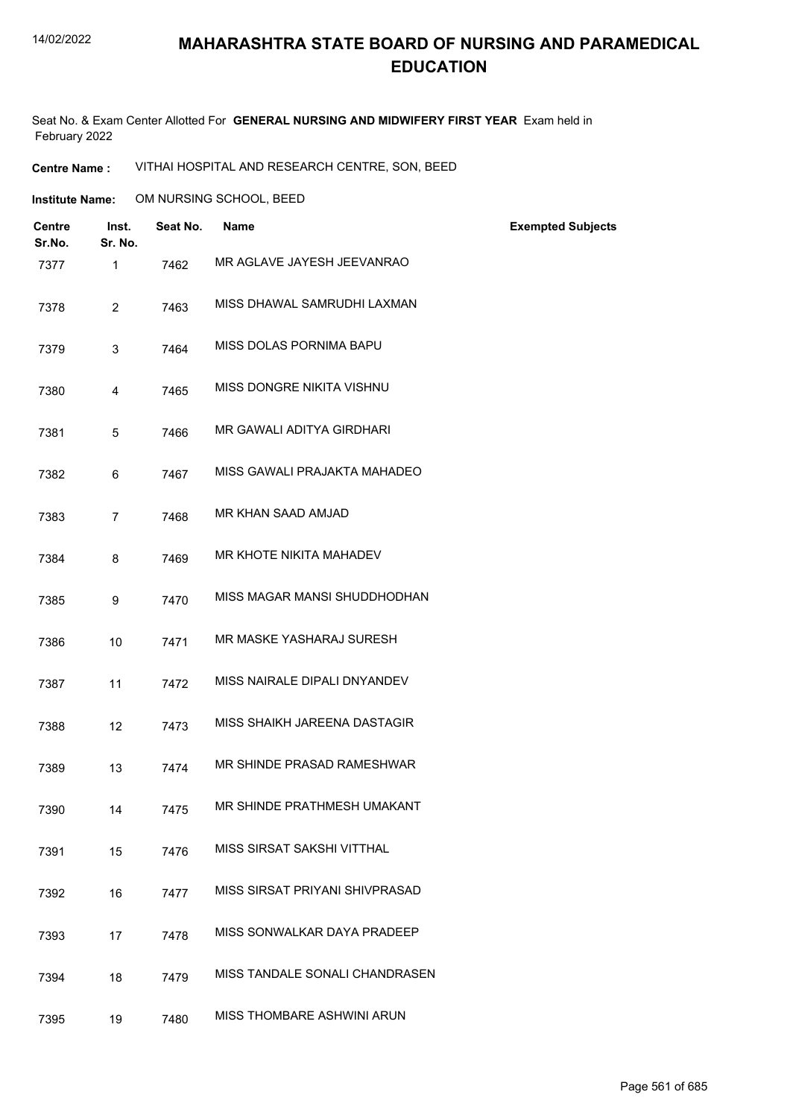#### 14/02/2022

## **MAHARASHTRA STATE BOARD OF NURSING AND PARAMEDICAL EDUCATION**

Seat No. & Exam Center Allotted For **GENERAL NURSING AND MIDWIFERY FIRST YEAR** Exam held in February 2022

**Centre Name :** VITHAI HOSPITAL AND RESEARCH CENTRE, SON, BEED

**Institute Name: COM NURSING SCHOOL, BEED** 

| <b>Centre</b><br>Sr.No. | Inst.<br>Sr. No. | Seat No. | <b>Name</b>                    | <b>Exempted Subjects</b> |
|-------------------------|------------------|----------|--------------------------------|--------------------------|
| 7377                    | 1                | 7462     | MR AGLAVE JAYESH JEEVANRAO     |                          |
| 7378                    | 2                | 7463     | MISS DHAWAL SAMRUDHI LAXMAN    |                          |
| 7379                    | 3                | 7464     | MISS DOLAS PORNIMA BAPU        |                          |
| 7380                    | 4                | 7465     | MISS DONGRE NIKITA VISHNU      |                          |
| 7381                    | 5                | 7466     | MR GAWALI ADITYA GIRDHARI      |                          |
| 7382                    | 6                | 7467     | MISS GAWALI PRAJAKTA MAHADEO   |                          |
| 7383                    | $\overline{7}$   | 7468     | MR KHAN SAAD AMJAD             |                          |
| 7384                    | 8                | 7469     | MR KHOTE NIKITA MAHADEV        |                          |
| 7385                    | 9                | 7470     | MISS MAGAR MANSI SHUDDHODHAN   |                          |
| 7386                    | 10               | 7471     | MR MASKE YASHARAJ SURESH       |                          |
| 7387                    | 11               | 7472     | MISS NAIRALE DIPALI DNYANDEV   |                          |
| 7388                    | 12               | 7473     | MISS SHAIKH JAREENA DASTAGIR   |                          |
| 7389                    | 13               | 7474     | MR SHINDE PRASAD RAMESHWAR     |                          |
| 7390                    | 14               | 7475     | MR SHINDE PRATHMESH UMAKANT    |                          |
| 7391                    | 15               | 7476     | MISS SIRSAT SAKSHI VITTHAL     |                          |
| 7392                    | 16               | 7477     | MISS SIRSAT PRIYANI SHIVPRASAD |                          |
| 7393                    | 17               | 7478     | MISS SONWALKAR DAYA PRADEEP    |                          |
| 7394                    | 18               | 7479     | MISS TANDALE SONALI CHANDRASEN |                          |
| 7395                    | 19               | 7480     | MISS THOMBARE ASHWINI ARUN     |                          |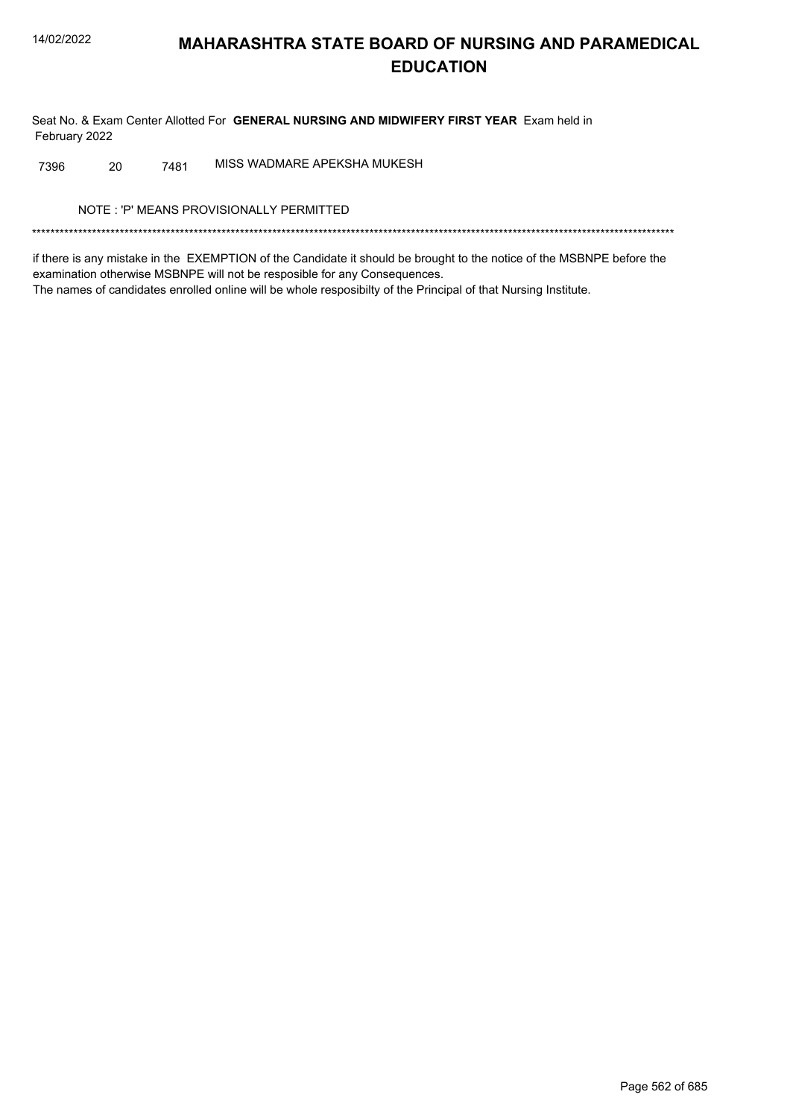Seat No. & Exam Center Allotted For GENERAL NURSING AND MIDWIFERY FIRST YEAR Exam held in February 2022

MISS WADMARE APEKSHA MUKESH 20 7481 7396

NOTE: 'P' MEANS PROVISIONALLY PERMITTED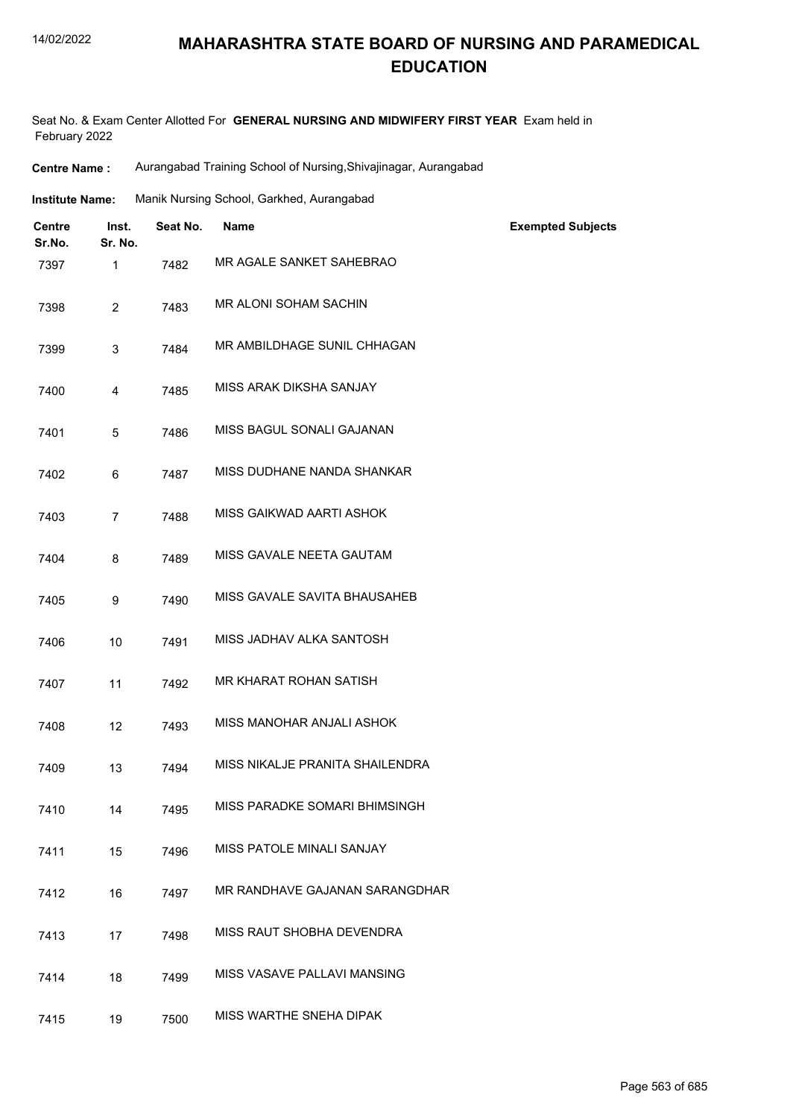#### 14/02/2022

## **MAHARASHTRA STATE BOARD OF NURSING AND PARAMEDICAL EDUCATION**

Seat No. & Exam Center Allotted For **GENERAL NURSING AND MIDWIFERY FIRST YEAR** Exam held in February 2022

**Centre Name :** Aurangabad Training School of Nursing,Shivajinagar, Aurangabad

| <b>Institute Name:</b> | Manik Nursing School, Garkhed, Aurangabad |  |  |
|------------------------|-------------------------------------------|--|--|
|                        |                                           |  |  |

| <b>Centre</b><br>Sr.No. | Inst.<br>Sr. No. | Seat No. | <b>Name</b>                     | <b>Exempted Subjects</b> |
|-------------------------|------------------|----------|---------------------------------|--------------------------|
| 7397                    | 1                | 7482     | MR AGALE SANKET SAHEBRAO        |                          |
| 7398                    | $\overline{c}$   | 7483     | MR ALONI SOHAM SACHIN           |                          |
| 7399                    | 3                | 7484     | MR AMBILDHAGE SUNIL CHHAGAN     |                          |
| 7400                    | 4                | 7485     | MISS ARAK DIKSHA SANJAY         |                          |
| 7401                    | 5                | 7486     | MISS BAGUL SONALI GAJANAN       |                          |
| 7402                    | 6                | 7487     | MISS DUDHANE NANDA SHANKAR      |                          |
| 7403                    | $\overline{7}$   | 7488     | MISS GAIKWAD AARTI ASHOK        |                          |
| 7404                    | 8                | 7489     | MISS GAVALE NEETA GAUTAM        |                          |
| 7405                    | 9                | 7490     | MISS GAVALE SAVITA BHAUSAHEB    |                          |
| 7406                    | 10               | 7491     | MISS JADHAV ALKA SANTOSH        |                          |
| 7407                    | 11               | 7492     | MR KHARAT ROHAN SATISH          |                          |
| 7408                    | 12               | 7493     | MISS MANOHAR ANJALI ASHOK       |                          |
| 7409                    | 13               | 7494     | MISS NIKALJE PRANITA SHAILENDRA |                          |
| 7410                    | 14               | 7495     | MISS PARADKE SOMARI BHIMSINGH   |                          |
| 7411                    | 15               | 7496     | MISS PATOLE MINALI SANJAY       |                          |
| 7412                    | 16               | 7497     | MR RANDHAVE GAJANAN SARANGDHAR  |                          |
| 7413                    | 17               | 7498     | MISS RAUT SHOBHA DEVENDRA       |                          |
| 7414                    | 18               | 7499     | MISS VASAVE PALLAVI MANSING     |                          |
| 7415                    | 19               | 7500     | MISS WARTHE SNEHA DIPAK         |                          |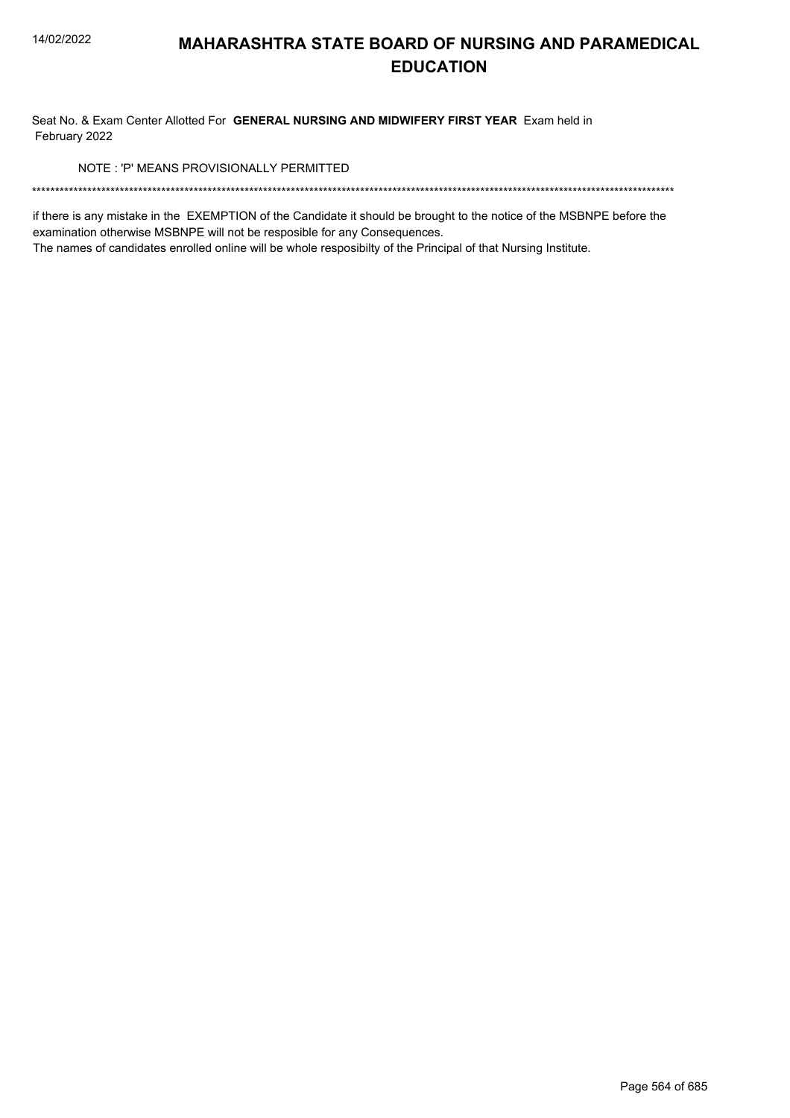Seat No. & Exam Center Allotted For GENERAL NURSING AND MIDWIFERY FIRST YEAR Exam held in February 2022

NOTE: 'P' MEANS PROVISIONALLY PERMITTED

if there is any mistake in the EXEMPTION of the Candidate it should be brought to the notice of the MSBNPE before the examination otherwise MSBNPE will not be resposible for any Consequences.

The names of candidates enrolled online will be whole resposibilty of the Principal of that Nursing Institute.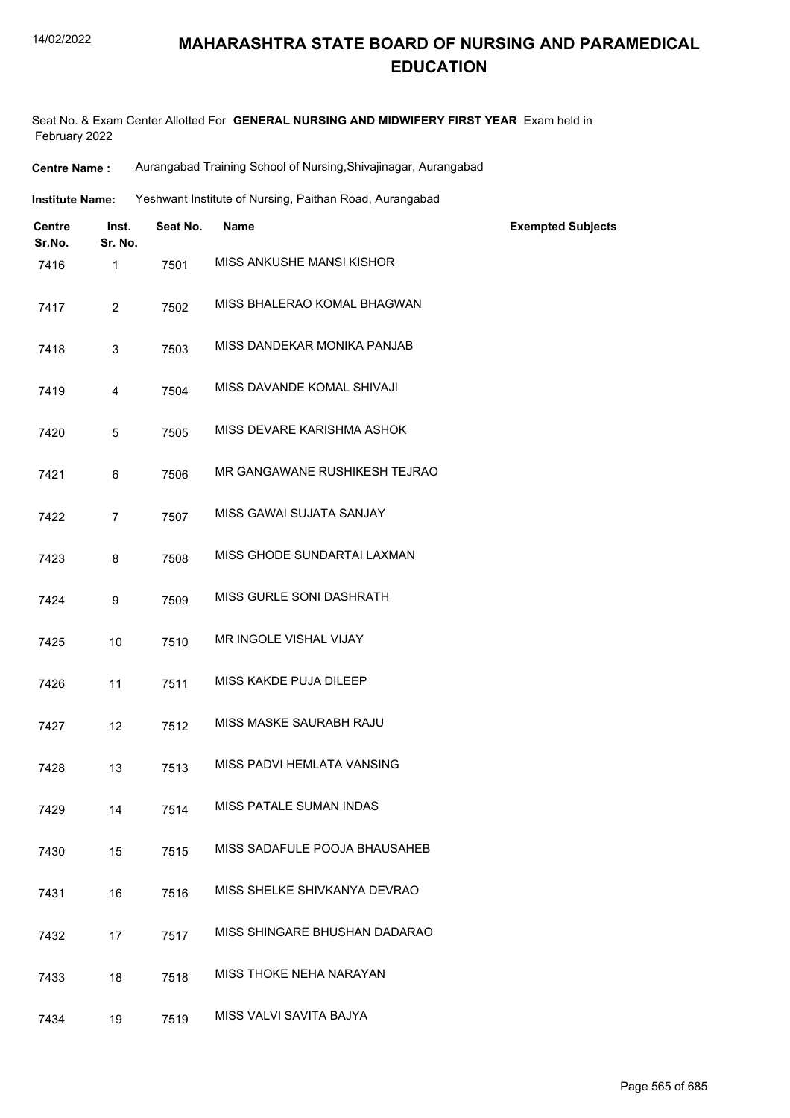| <b>Centre Name:</b> | Aurangabad Training School of Nursing, Shivajinagar, Aurangabad |
|---------------------|-----------------------------------------------------------------|
|---------------------|-----------------------------------------------------------------|

| Yeshwant Institute of Nursing, Paithan Road, Aurangabad<br>Institute Name: |
|----------------------------------------------------------------------------|
|----------------------------------------------------------------------------|

| <b>Centre</b><br>Sr.No. | Inst.<br>Sr. No. | Seat No. | <b>Name</b>                   | <b>Exempted Subjects</b> |
|-------------------------|------------------|----------|-------------------------------|--------------------------|
| 7416                    | 1                | 7501     | MISS ANKUSHE MANSI KISHOR     |                          |
| 7417                    | $\overline{2}$   | 7502     | MISS BHALERAO KOMAL BHAGWAN   |                          |
| 7418                    | 3                | 7503     | MISS DANDEKAR MONIKA PANJAB   |                          |
| 7419                    | $\overline{4}$   | 7504     | MISS DAVANDE KOMAL SHIVAJI    |                          |
| 7420                    | 5                | 7505     | MISS DEVARE KARISHMA ASHOK    |                          |
| 7421                    | 6                | 7506     | MR GANGAWANE RUSHIKESH TEJRAO |                          |
| 7422                    | $\overline{7}$   | 7507     | MISS GAWAI SUJATA SANJAY      |                          |
| 7423                    | 8                | 7508     | MISS GHODE SUNDARTAI LAXMAN   |                          |
| 7424                    | 9                | 7509     | MISS GURLE SONI DASHRATH      |                          |
| 7425                    | 10               | 7510     | MR INGOLE VISHAL VIJAY        |                          |
| 7426                    | 11               | 7511     | MISS KAKDE PUJA DILEEP        |                          |
| 7427                    | 12               | 7512     | MISS MASKE SAURABH RAJU       |                          |
| 7428                    | 13               | 7513     | MISS PADVI HEMLATA VANSING    |                          |
| 7429                    | 14               | 7514     | MISS PATALE SUMAN INDAS       |                          |
| 7430                    | 15               | 7515     | MISS SADAFULE POOJA BHAUSAHEB |                          |
| 7431                    | 16               | 7516     | MISS SHELKE SHIVKANYA DEVRAO  |                          |
| 7432                    | 17               | 7517     | MISS SHINGARE BHUSHAN DADARAO |                          |
| 7433                    | 18               | 7518     | MISS THOKE NEHA NARAYAN       |                          |
| 7434                    | 19               | 7519     | MISS VALVI SAVITA BAJYA       |                          |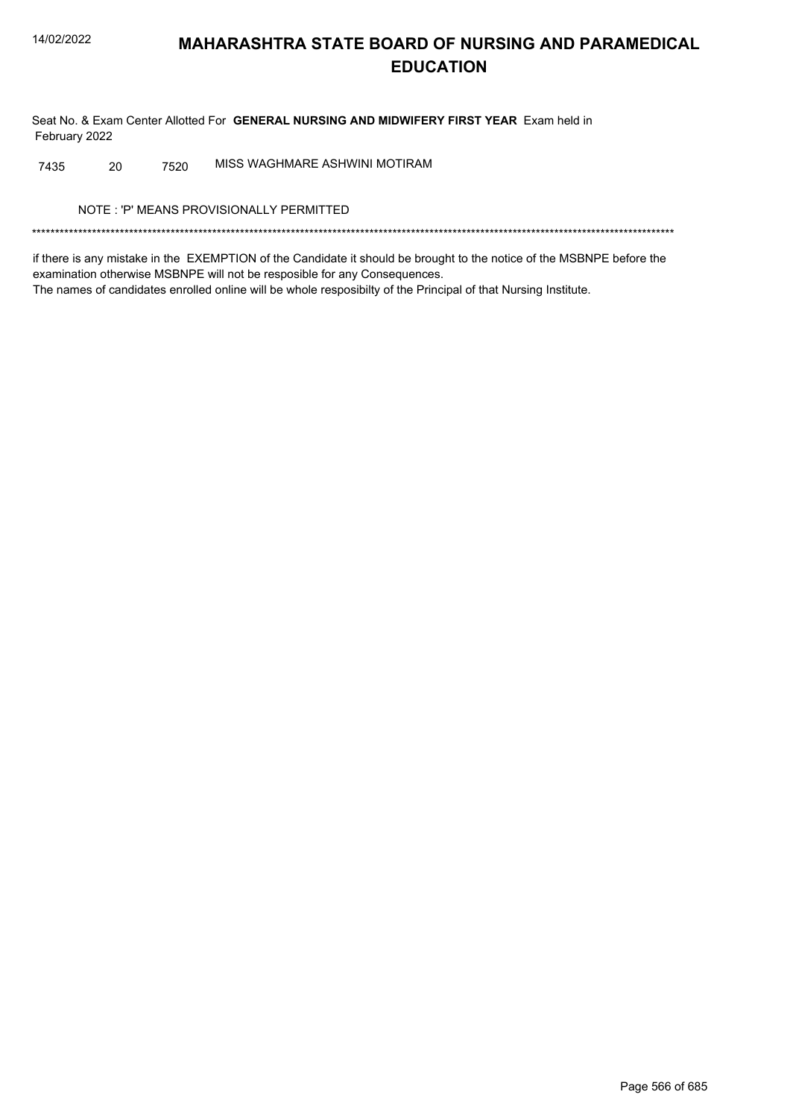Seat No. & Exam Center Allotted For GENERAL NURSING AND MIDWIFERY FIRST YEAR Exam held in February 2022

MISS WAGHMARE ASHWINI MOTIRAM 20 7520 7435

NOTE: 'P' MEANS PROVISIONALLY PERMITTED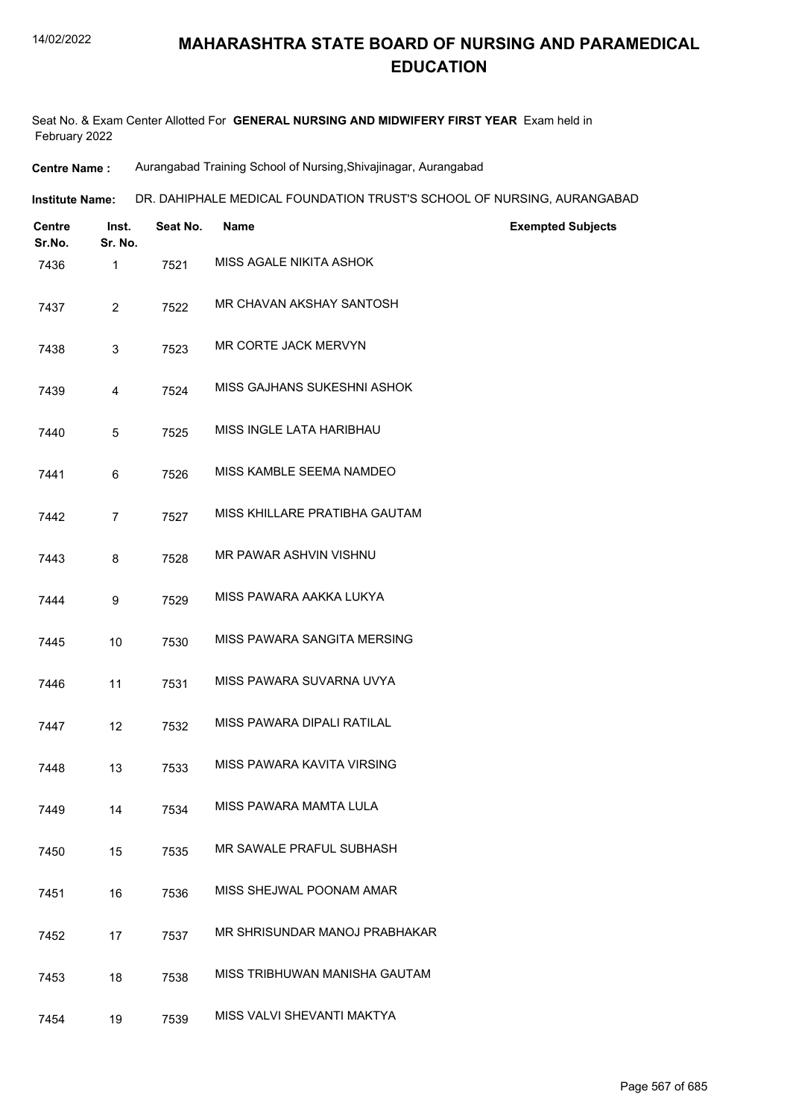Seat No. & Exam Center Allotted For **GENERAL NURSING AND MIDWIFERY FIRST YEAR** Exam held in February 2022

**Centre Name :** Aurangabad Training School of Nursing,Shivajinagar, Aurangabad

| Institute Name: | DR. DAHIPHALE MEDICAL FOUNDATION TRUST'S SCHOOL OF NURSING, AURANGABAD |  |
|-----------------|------------------------------------------------------------------------|--|
|                 |                                                                        |  |

| <b>Centre</b><br>Sr.No. | Inst.<br>Sr. No. | Seat No. | Name                          | <b>Exempted Subjects</b> |
|-------------------------|------------------|----------|-------------------------------|--------------------------|
| 7436                    | $\mathbf{1}$     | 7521     | MISS AGALE NIKITA ASHOK       |                          |
| 7437                    | $\overline{2}$   | 7522     | MR CHAVAN AKSHAY SANTOSH      |                          |
| 7438                    | $\mathbf{3}$     | 7523     | MR CORTE JACK MERVYN          |                          |
| 7439                    | 4                | 7524     | MISS GAJHANS SUKESHNI ASHOK   |                          |
| 7440                    | 5                | 7525     | MISS INGLE LATA HARIBHAU      |                          |
| 7441                    | 6                | 7526     | MISS KAMBLE SEEMA NAMDEO      |                          |
| 7442                    | $\overline{7}$   | 7527     | MISS KHILLARE PRATIBHA GAUTAM |                          |
| 7443                    | 8                | 7528     | MR PAWAR ASHVIN VISHNU        |                          |
| 7444                    | 9                | 7529     | MISS PAWARA AAKKA LUKYA       |                          |
| 7445                    | 10               | 7530     | MISS PAWARA SANGITA MERSING   |                          |
| 7446                    | 11               | 7531     | MISS PAWARA SUVARNA UVYA      |                          |
| 7447                    | 12               | 7532     | MISS PAWARA DIPALI RATILAL    |                          |
| 7448                    | 13               | 7533     | MISS PAWARA KAVITA VIRSING    |                          |
| 7449                    | 14               | 7534     | MISS PAWARA MAMTA LULA        |                          |
| 7450                    | 15               | 7535     | MR SAWALE PRAFUL SUBHASH      |                          |
| 7451                    | 16               | 7536     | MISS SHEJWAL POONAM AMAR      |                          |
| 7452                    | 17               | 7537     | MR SHRISUNDAR MANOJ PRABHAKAR |                          |
| 7453                    | 18               | 7538     | MISS TRIBHUWAN MANISHA GAUTAM |                          |
| 7454                    | 19               | 7539     | MISS VALVI SHEVANTI MAKTYA    |                          |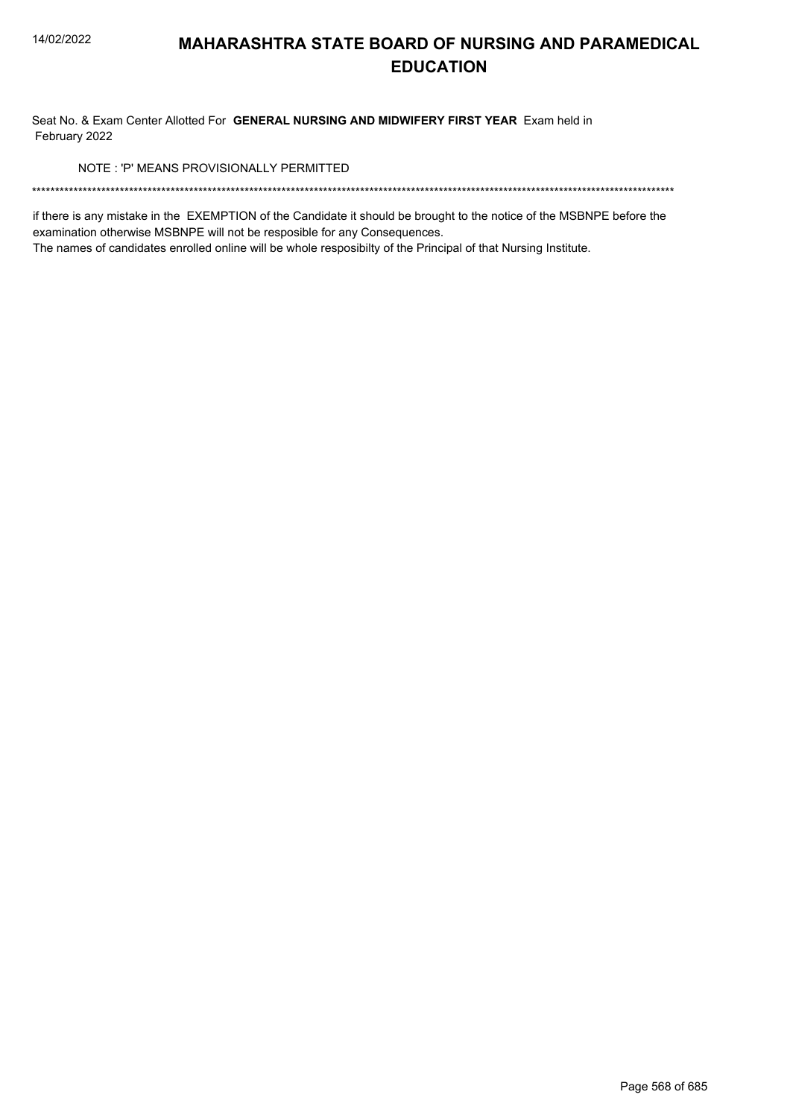Seat No. & Exam Center Allotted For GENERAL NURSING AND MIDWIFERY FIRST YEAR Exam held in February 2022

NOTE: 'P' MEANS PROVISIONALLY PERMITTED

if there is any mistake in the EXEMPTION of the Candidate it should be brought to the notice of the MSBNPE before the examination otherwise MSBNPE will not be resposible for any Consequences.

The names of candidates enrolled online will be whole resposibilty of the Principal of that Nursing Institute.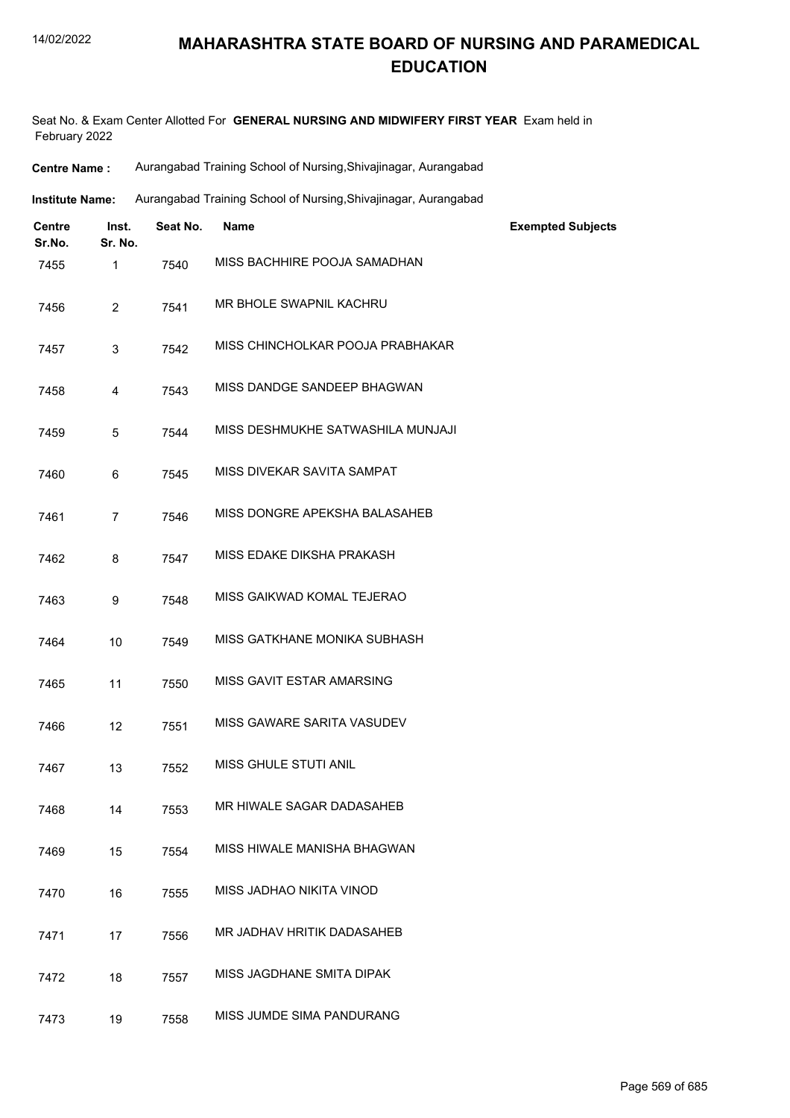| <b>Centre Name :</b> | Aurangabad Training School of Nursing,Shivajinagar, Aurangabad |
|----------------------|----------------------------------------------------------------|
|----------------------|----------------------------------------------------------------|

| Institute Name: | Aurangabad Training School of Nursing, Shivajinagar, Aurangabad |
|-----------------|-----------------------------------------------------------------|
|-----------------|-----------------------------------------------------------------|

| Centre<br>Sr.No. | Inst.<br>Sr. No. | Seat No. | <b>Name</b>                       | <b>Exempted Subjects</b> |
|------------------|------------------|----------|-----------------------------------|--------------------------|
| 7455             | $\mathbf{1}$     | 7540     | MISS BACHHIRE POOJA SAMADHAN      |                          |
| 7456             | $\overline{2}$   | 7541     | MR BHOLE SWAPNIL KACHRU           |                          |
| 7457             | 3                | 7542     | MISS CHINCHOLKAR POOJA PRABHAKAR  |                          |
| 7458             | 4                | 7543     | MISS DANDGE SANDEEP BHAGWAN       |                          |
| 7459             | 5                | 7544     | MISS DESHMUKHE SATWASHILA MUNJAJI |                          |
| 7460             | 6                | 7545     | MISS DIVEKAR SAVITA SAMPAT        |                          |
| 7461             | $\overline{7}$   | 7546     | MISS DONGRE APEKSHA BALASAHEB     |                          |
| 7462             | 8                | 7547     | MISS EDAKE DIKSHA PRAKASH         |                          |
| 7463             | 9                | 7548     | MISS GAIKWAD KOMAL TEJERAO        |                          |
| 7464             | 10               | 7549     | MISS GATKHANE MONIKA SUBHASH      |                          |
| 7465             | 11               | 7550     | MISS GAVIT ESTAR AMARSING         |                          |
| 7466             | 12               | 7551     | MISS GAWARE SARITA VASUDEV        |                          |
| 7467             | 13               | 7552     | MISS GHULE STUTI ANIL             |                          |
| 7468             | 14               | 7553     | MR HIWALE SAGAR DADASAHEB         |                          |
| 7469             | 15               | 7554     | MISS HIWALE MANISHA BHAGWAN       |                          |
| 7470             | 16               | 7555     | MISS JADHAO NIKITA VINOD          |                          |
| 7471             | 17               | 7556     | MR JADHAV HRITIK DADASAHEB        |                          |
| 7472             | 18               | 7557     | MISS JAGDHANE SMITA DIPAK         |                          |
| 7473             | 19               | 7558     | MISS JUMDE SIMA PANDURANG         |                          |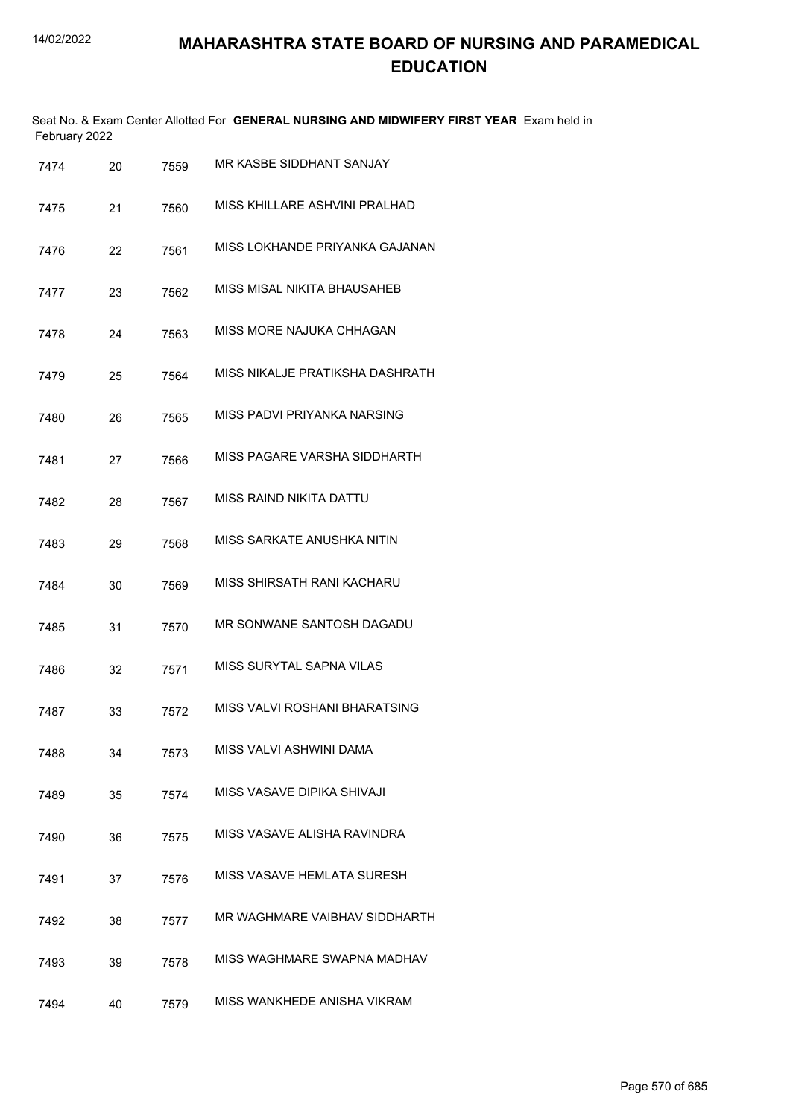|               | Seat No. & Exam Center Allotted For GENERAL NURSING AND MIDWIFERY FIRST YEAR Exam held in |  |
|---------------|-------------------------------------------------------------------------------------------|--|
| February 2022 |                                                                                           |  |

| 7474 | 20 | 7559 | MR KASBE SIDDHANT SANJAY        |
|------|----|------|---------------------------------|
| 7475 | 21 | 7560 | MISS KHILLARE ASHVINI PRALHAD   |
| 7476 | 22 | 7561 | MISS LOKHANDE PRIYANKA GAJANAN  |
| 7477 | 23 | 7562 | MISS MISAL NIKITA BHAUSAHEB     |
| 7478 | 24 | 7563 | MISS MORE NAJUKA CHHAGAN        |
| 7479 | 25 | 7564 | MISS NIKALJE PRATIKSHA DASHRATH |
| 7480 | 26 | 7565 | MISS PADVI PRIYANKA NARSING     |
| 7481 | 27 | 7566 | MISS PAGARE VARSHA SIDDHARTH    |
| 7482 | 28 | 7567 | <b>MISS RAIND NIKITA DATTU</b>  |
| 7483 | 29 | 7568 | MISS SARKATE ANUSHKA NITIN      |
| 7484 | 30 | 7569 | MISS SHIRSATH RANI KACHARU      |
| 7485 | 31 | 7570 | MR SONWANE SANTOSH DAGADU       |
| 7486 | 32 | 7571 | <b>MISS SURYTAL SAPNA VILAS</b> |
| 7487 | 33 | 7572 | MISS VALVI ROSHANI BHARATSING   |
| 7488 | 34 | 7573 | MISS VALVI ASHWINI DAMA         |
| 7489 | 35 | 7574 | MISS VASAVE DIPIKA SHIVAJI      |
| 7490 | 36 | 7575 | MISS VASAVE ALISHA RAVINDRA     |
| 7491 | 37 | 7576 | MISS VASAVE HEMLATA SURESH      |
| 7492 | 38 | 7577 | MR WAGHMARE VAIBHAV SIDDHARTH   |
| 7493 | 39 | 7578 | MISS WAGHMARE SWAPNA MADHAV     |
| 7494 | 40 | 7579 | MISS WANKHEDE ANISHA VIKRAM     |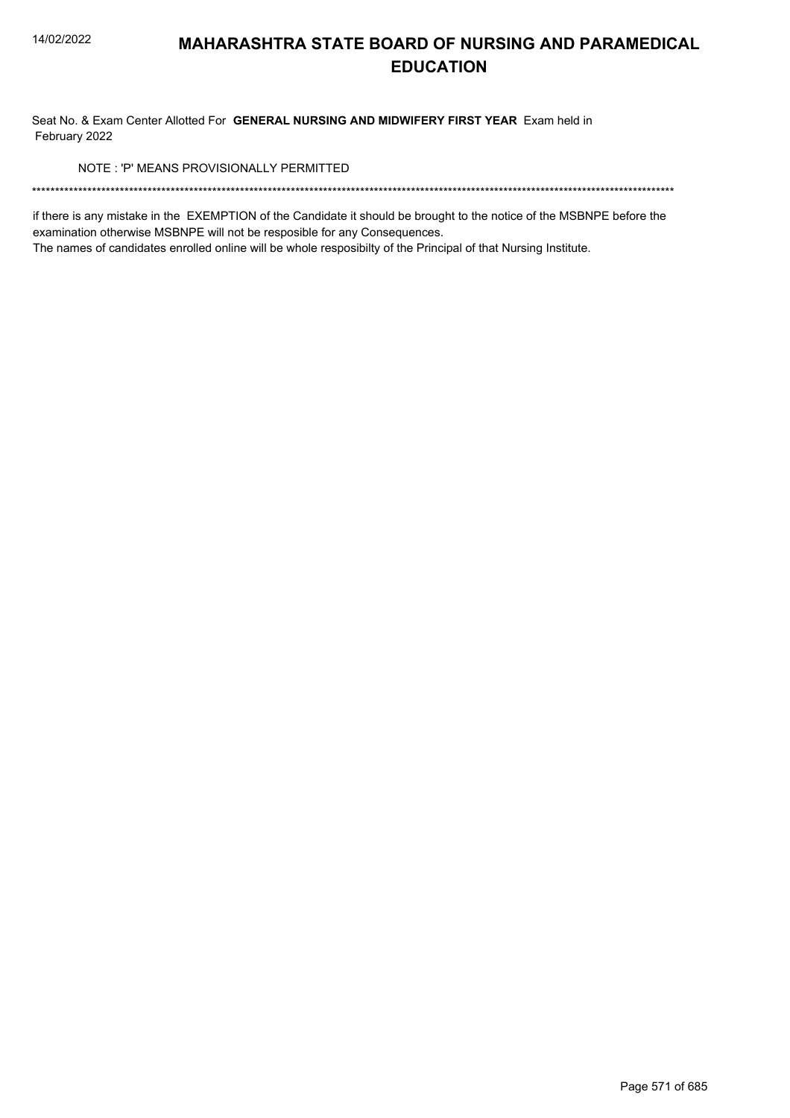Seat No. & Exam Center Allotted For GENERAL NURSING AND MIDWIFERY FIRST YEAR Exam held in February 2022

NOTE: 'P' MEANS PROVISIONALLY PERMITTED

if there is any mistake in the EXEMPTION of the Candidate it should be brought to the notice of the MSBNPE before the examination otherwise MSBNPE will not be resposible for any Consequences.

The names of candidates enrolled online will be whole resposibilty of the Principal of that Nursing Institute.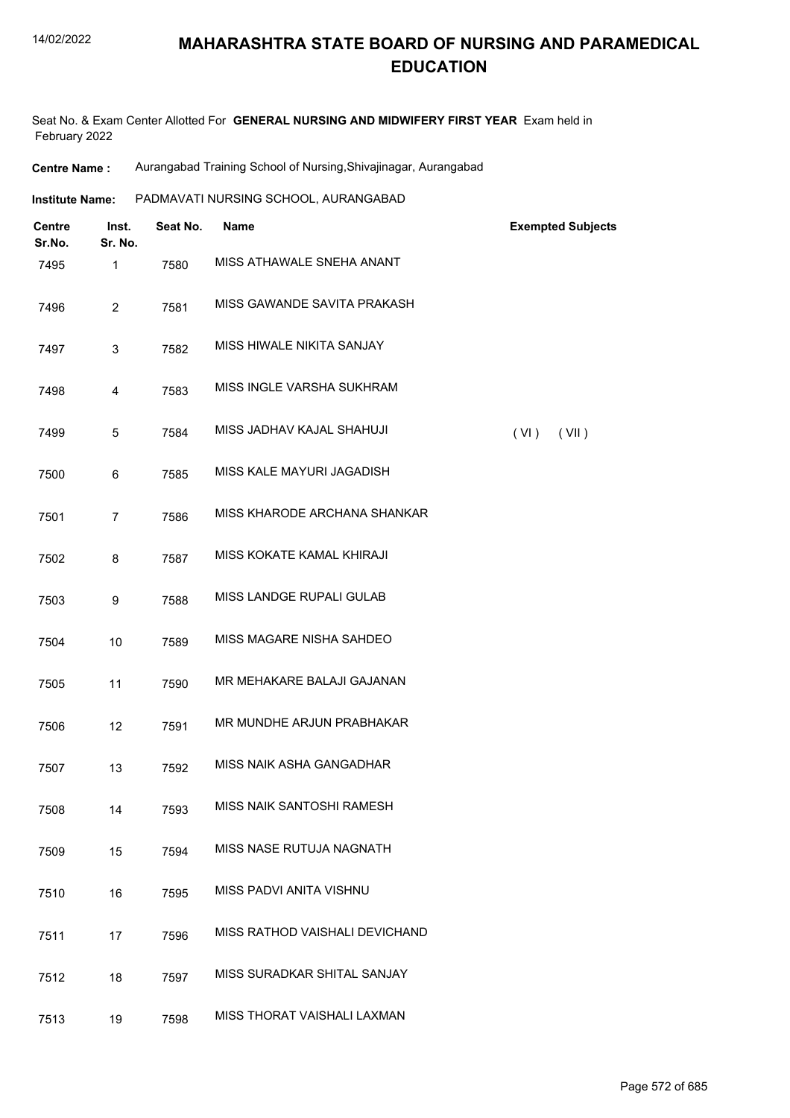| <b>Centre Name:</b> | Aurangabad Training School of Nursing, Shivajinagar, Aurangabad |
|---------------------|-----------------------------------------------------------------|
|---------------------|-----------------------------------------------------------------|

| Institute Name: | PADMAVATI NURSING SCHOOL, AURANGABAD |  |
|-----------------|--------------------------------------|--|
|                 |                                      |  |

| <b>Centre</b><br>Sr.No. | Inst.<br>Sr. No. | Seat No. | <b>Name</b>                    | <b>Exempted Subjects</b> |
|-------------------------|------------------|----------|--------------------------------|--------------------------|
| 7495                    | $\mathbf{1}$     | 7580     | MISS ATHAWALE SNEHA ANANT      |                          |
| 7496                    | $\overline{2}$   | 7581     | MISS GAWANDE SAVITA PRAKASH    |                          |
| 7497                    | 3                | 7582     | MISS HIWALE NIKITA SANJAY      |                          |
| 7498                    | $\overline{4}$   | 7583     | MISS INGLE VARSHA SUKHRAM      |                          |
| 7499                    | 5                | 7584     | MISS JADHAV KAJAL SHAHUJI      | (VI)<br>(VII)            |
| 7500                    | 6                | 7585     | MISS KALE MAYURI JAGADISH      |                          |
| 7501                    | $\overline{7}$   | 7586     | MISS KHARODE ARCHANA SHANKAR   |                          |
| 7502                    | 8                | 7587     | MISS KOKATE KAMAL KHIRAJI      |                          |
| 7503                    | 9                | 7588     | MISS LANDGE RUPALI GULAB       |                          |
| 7504                    | 10               | 7589     | MISS MAGARE NISHA SAHDEO       |                          |
| 7505                    | 11               | 7590     | MR MEHAKARE BALAJI GAJANAN     |                          |
| 7506                    | 12               | 7591     | MR MUNDHE ARJUN PRABHAKAR      |                          |
| 7507                    | 13               | 7592     | MISS NAIK ASHA GANGADHAR       |                          |
| 7508                    | 14               | 7593     | MISS NAIK SANTOSHI RAMESH      |                          |
| 7509                    | 15               | 7594     | MISS NASE RUTUJA NAGNATH       |                          |
| 7510                    | 16               | 7595     | MISS PADVI ANITA VISHNU        |                          |
| 7511                    | 17               | 7596     | MISS RATHOD VAISHALI DEVICHAND |                          |
| 7512                    | 18               | 7597     | MISS SURADKAR SHITAL SANJAY    |                          |
| 7513                    | 19               | 7598     | MISS THORAT VAISHALI LAXMAN    |                          |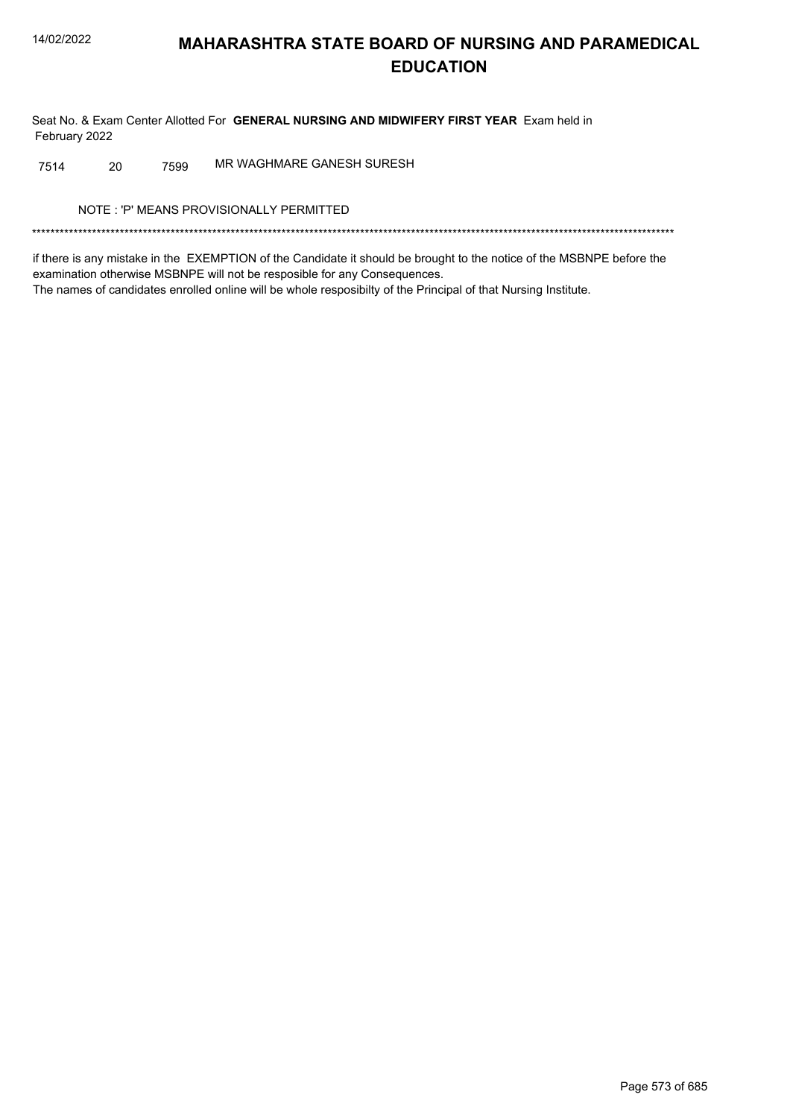Seat No. & Exam Center Allotted For GENERAL NURSING AND MIDWIFERY FIRST YEAR Exam held in February 2022

MR WAGHMARE GANESH SURESH 7514 20 7599

NOTE: 'P' MEANS PROVISIONALLY PERMITTED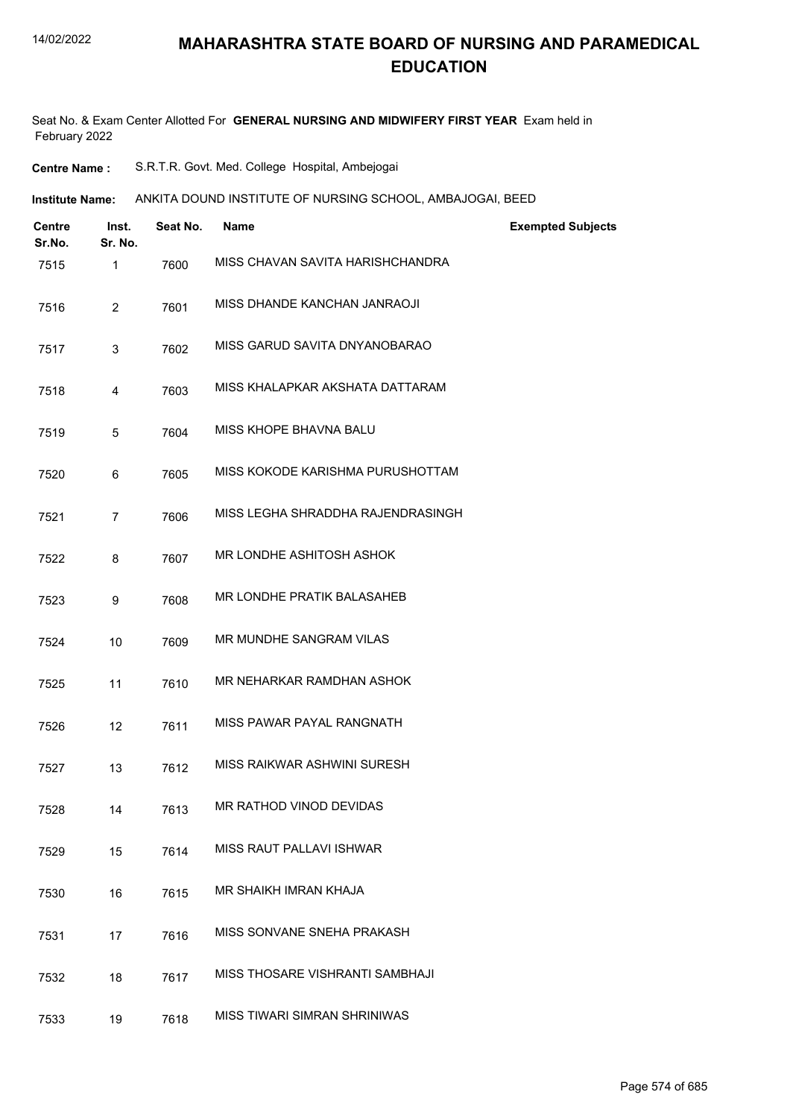Seat No. & Exam Center Allotted For **GENERAL NURSING AND MIDWIFERY FIRST YEAR** Exam held in February 2022

| <b>Centre Name :</b> | S.R.T.R. Govt. Med. College Hospital, Ambejogai |  |
|----------------------|-------------------------------------------------|--|
|----------------------|-------------------------------------------------|--|

**Institute Name:** ANKITA DOUND INSTITUTE OF NURSING SCHOOL, AMBAJOGAI, BEED

| Centre<br>Sr.No. | Inst.<br>Sr. No. | Seat No. | <b>Name</b>                       | <b>Exempted Subjects</b> |
|------------------|------------------|----------|-----------------------------------|--------------------------|
| 7515             | 1                | 7600     | MISS CHAVAN SAVITA HARISHCHANDRA  |                          |
| 7516             | $\overline{2}$   | 7601     | MISS DHANDE KANCHAN JANRAOJI      |                          |
| 7517             | 3                | 7602     | MISS GARUD SAVITA DNYANOBARAO     |                          |
| 7518             | 4                | 7603     | MISS KHALAPKAR AKSHATA DATTARAM   |                          |
| 7519             | 5                | 7604     | MISS KHOPE BHAVNA BALU            |                          |
| 7520             | 6                | 7605     | MISS KOKODE KARISHMA PURUSHOTTAM  |                          |
| 7521             | 7                | 7606     | MISS LEGHA SHRADDHA RAJENDRASINGH |                          |
| 7522             | 8                | 7607     | MR LONDHE ASHITOSH ASHOK          |                          |
| 7523             | 9                | 7608     | MR LONDHE PRATIK BALASAHEB        |                          |
| 7524             | 10               | 7609     | MR MUNDHE SANGRAM VILAS           |                          |
| 7525             | 11               | 7610     | MR NEHARKAR RAMDHAN ASHOK         |                          |
| 7526             | 12               | 7611     | MISS PAWAR PAYAL RANGNATH         |                          |
| 7527             | 13               | 7612     | MISS RAIKWAR ASHWINI SURESH       |                          |
| 7528             | 14               | 7613     | MR RATHOD VINOD DEVIDAS           |                          |
| 7529             | 15               | 7614     | <b>MISS RAUT PALLAVI ISHWAR</b>   |                          |
| 7530             | 16               | 7615     | MR SHAIKH IMRAN KHAJA             |                          |
| 7531             | 17               | 7616     | MISS SONVANE SNEHA PRAKASH        |                          |
| 7532             | 18               | 7617     | MISS THOSARE VISHRANTI SAMBHAJI   |                          |
| 7533             | 19               | 7618     | MISS TIWARI SIMRAN SHRINIWAS      |                          |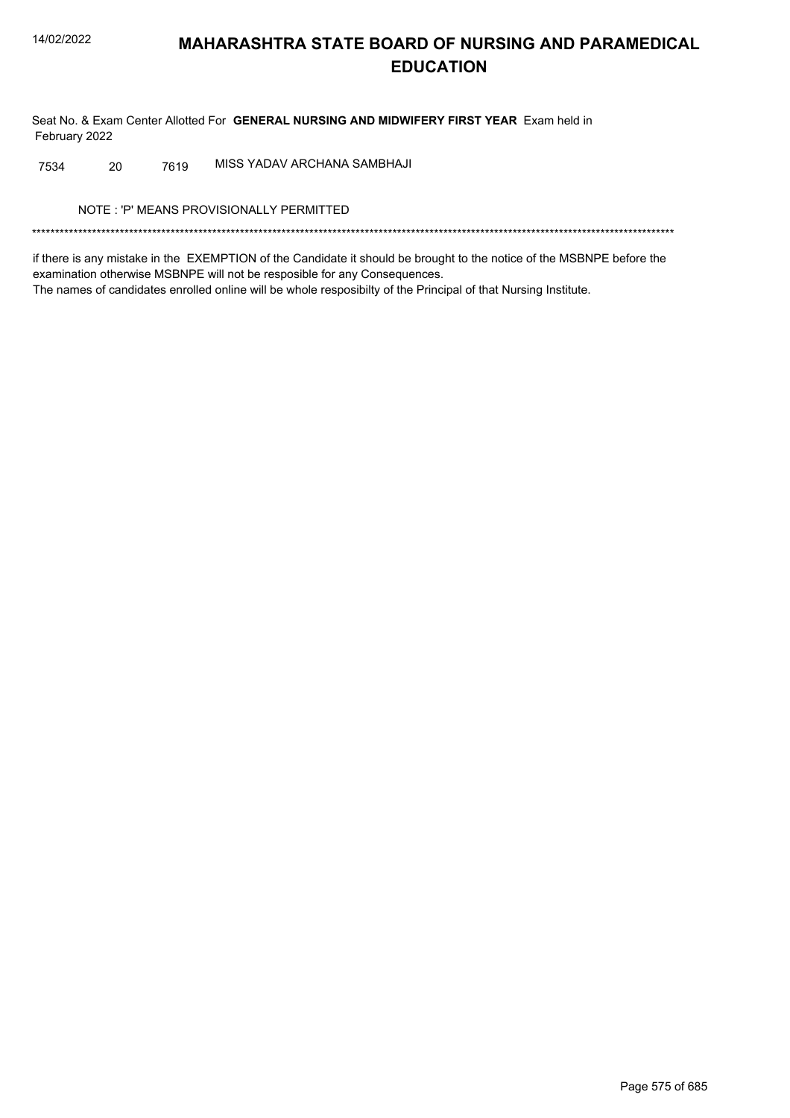Seat No. & Exam Center Allotted For GENERAL NURSING AND MIDWIFERY FIRST YEAR Exam held in February 2022

MISS YADAV ARCHANA SAMBHAJI 7534 20 7619

NOTE: 'P' MEANS PROVISIONALLY PERMITTED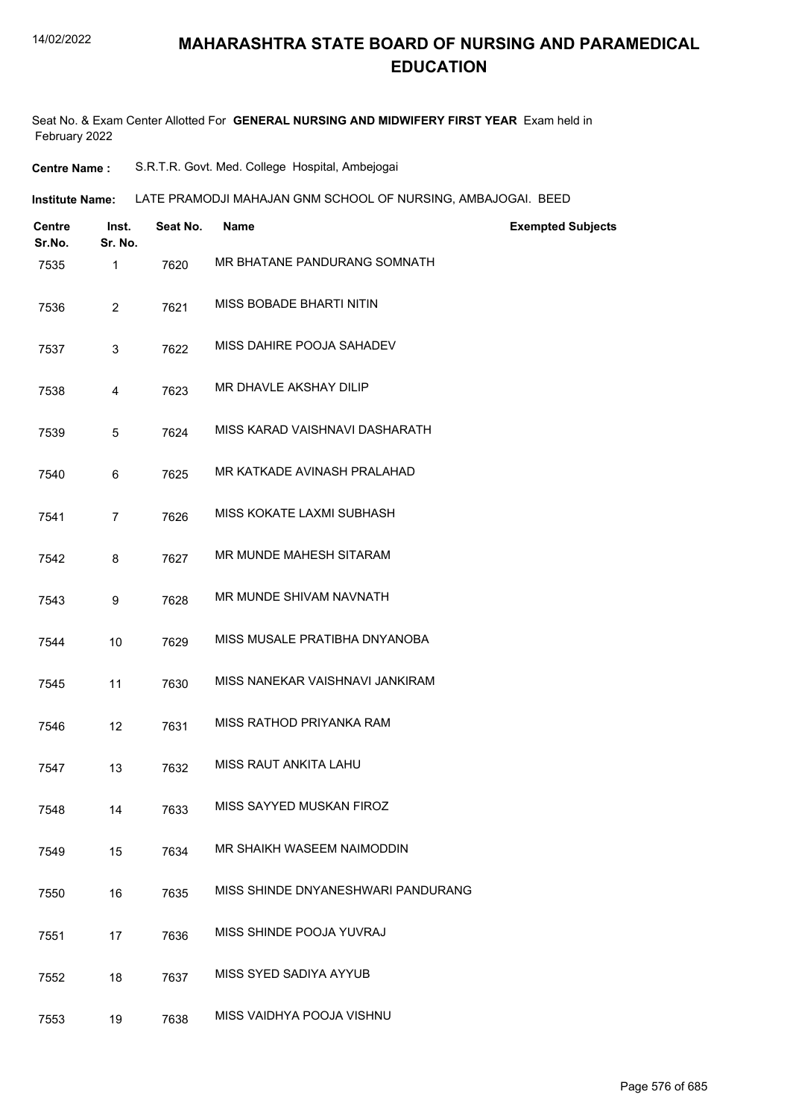| <b>Centre Name :</b> |  |  | S.R.T.R. Govt. Med. College Hospital, Ambejogai |
|----------------------|--|--|-------------------------------------------------|
|----------------------|--|--|-------------------------------------------------|

| Institute Name: | LATE PRAMODJI MAHAJAN GNM SCHOOL OF NURSING. AMBAJOGAI. BEED |
|-----------------|--------------------------------------------------------------|
|                 |                                                              |

| Centre<br>Sr.No. | Inst.<br>Sr. No. | Seat No. | <b>Name</b>                        | <b>Exempted Subjects</b> |
|------------------|------------------|----------|------------------------------------|--------------------------|
| 7535             | $\mathbf{1}$     | 7620     | MR BHATANE PANDURANG SOMNATH       |                          |
| 7536             | $\overline{2}$   | 7621     | MISS BOBADE BHARTI NITIN           |                          |
| 7537             | 3                | 7622     | MISS DAHIRE POOJA SAHADEV          |                          |
| 7538             | 4                | 7623     | MR DHAVLE AKSHAY DILIP             |                          |
| 7539             | 5                | 7624     | MISS KARAD VAISHNAVI DASHARATH     |                          |
| 7540             | 6                | 7625     | MR KATKADE AVINASH PRALAHAD        |                          |
| 7541             | $\overline{7}$   | 7626     | MISS KOKATE LAXMI SUBHASH          |                          |
| 7542             | 8                | 7627     | MR MUNDE MAHESH SITARAM            |                          |
| 7543             | 9                | 7628     | MR MUNDE SHIVAM NAVNATH            |                          |
| 7544             | 10               | 7629     | MISS MUSALE PRATIBHA DNYANOBA      |                          |
| 7545             | 11               | 7630     | MISS NANEKAR VAISHNAVI JANKIRAM    |                          |
| 7546             | 12               | 7631     | MISS RATHOD PRIYANKA RAM           |                          |
| 7547             | 13               | 7632     | MISS RAUT ANKITA LAHU              |                          |
| 7548             | 14               | 7633     | MISS SAYYED MUSKAN FIROZ           |                          |
| 7549             | 15               | 7634     | MR SHAIKH WASEEM NAIMODDIN         |                          |
| 7550             | 16               | 7635     | MISS SHINDE DNYANESHWARI PANDURANG |                          |
| 7551             | 17               | 7636     | MISS SHINDE POOJA YUVRAJ           |                          |
| 7552             | 18               | 7637     | MISS SYED SADIYA AYYUB             |                          |
| 7553             | 19               | 7638     | MISS VAIDHYA POOJA VISHNU          |                          |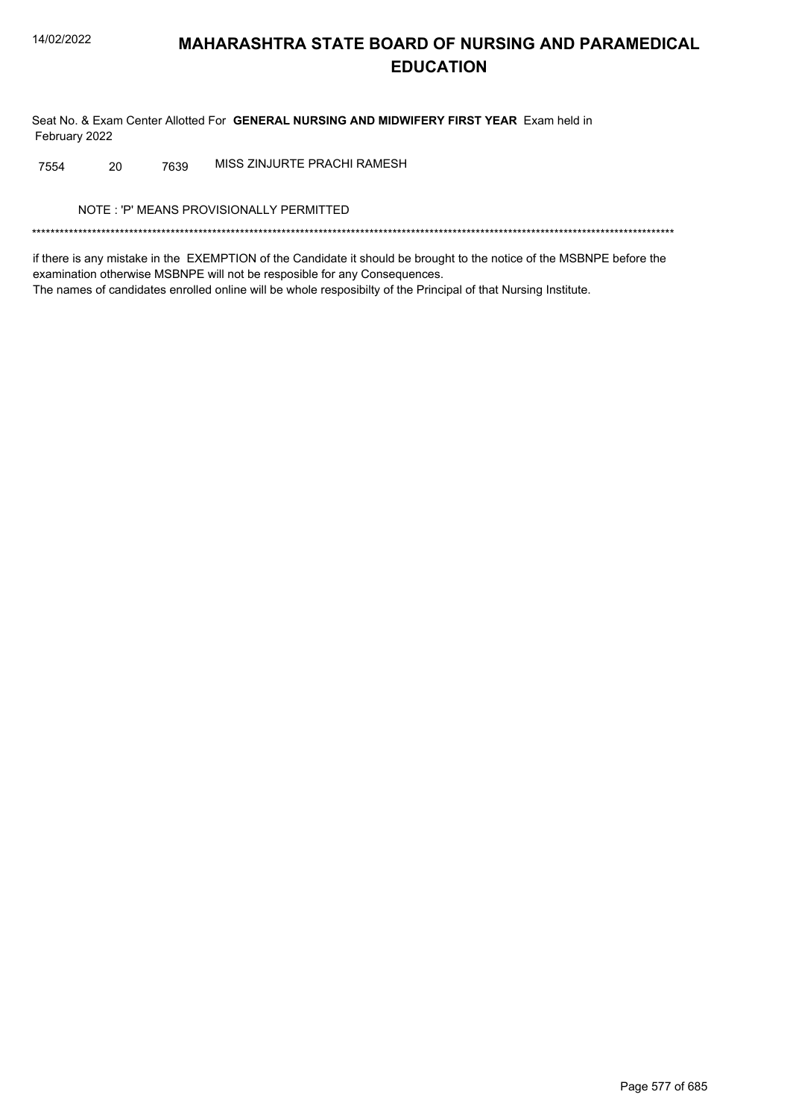Seat No. & Exam Center Allotted For GENERAL NURSING AND MIDWIFERY FIRST YEAR Exam held in February 2022

MISS ZINJURTE PRACHI RAMESH 7554 20 7639

NOTE: 'P' MEANS PROVISIONALLY PERMITTED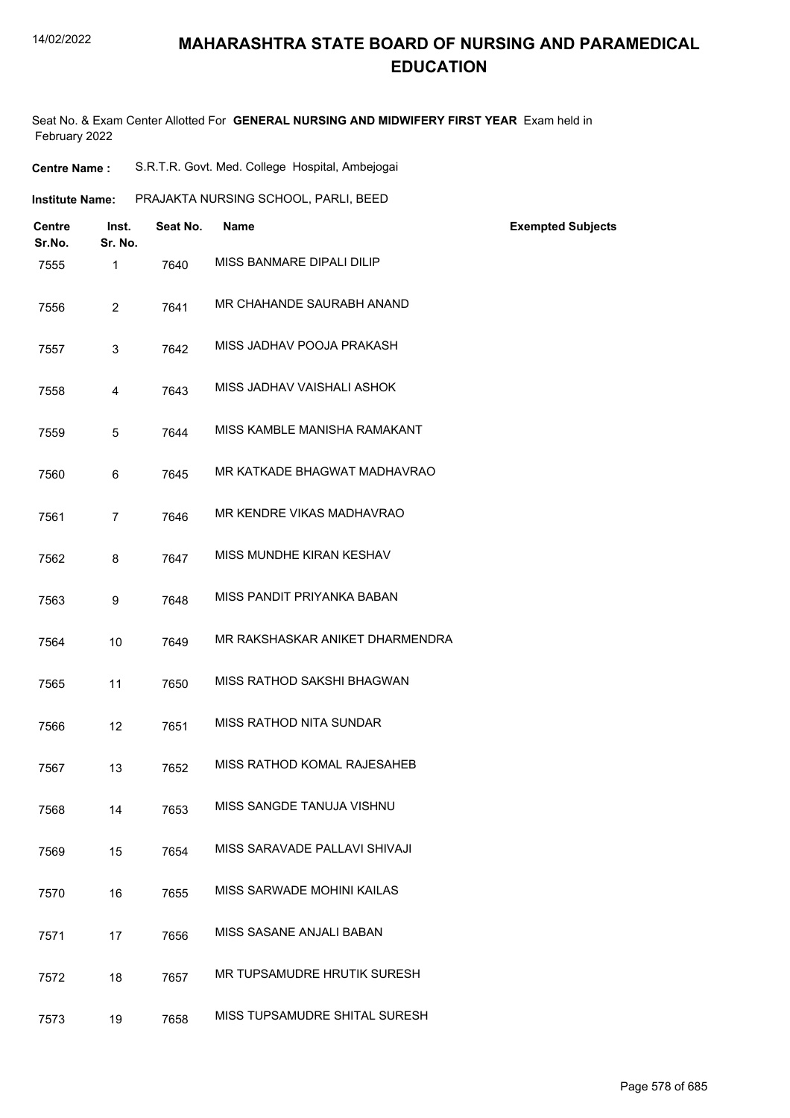## **MAHARASHTRA STATE BOARD OF NURSING AND PARAMEDICAL EDUCATION**

Seat No. & Exam Center Allotted For **GENERAL NURSING AND MIDWIFERY FIRST YEAR** Exam held in February 2022

| <b>Centre Name:</b>    |                  | S.R.T.R. Govt. Med. College Hospital, Ambejogai |                                      |                          |  |
|------------------------|------------------|-------------------------------------------------|--------------------------------------|--------------------------|--|
| <b>Institute Name:</b> |                  |                                                 | PRAJAKTA NURSING SCHOOL, PARLI, BEED |                          |  |
| Centre<br>Sr.No.       | Inst.<br>Sr. No. | Seat No.                                        | <b>Name</b>                          | <b>Exempted Subjects</b> |  |
| 7555                   | $\mathbf{1}$     | 7640                                            | MISS BANMARE DIPALI DILIP            |                          |  |
| 7556                   | $\overline{c}$   | 7641                                            | MR CHAHANDE SAURABH ANAND            |                          |  |
| 7557                   | 3                | 7642                                            | MISS JADHAV POOJA PRAKASH            |                          |  |
| 7558                   | 4                | 7643                                            | MISS JADHAV VAISHALI ASHOK           |                          |  |
| 7559                   | 5                | 7644                                            | MISS KAMBLE MANISHA RAMAKANT         |                          |  |
| 7560                   | 6                | 7645                                            | MR KATKADE BHAGWAT MADHAVRAO         |                          |  |
| 7561                   | $\overline{7}$   | 7646                                            | MR KENDRE VIKAS MADHAVRAO            |                          |  |
| 7562                   | 8                | 7647                                            | MISS MUNDHE KIRAN KESHAV             |                          |  |
| 7563                   | 9                | 7648                                            | MISS PANDIT PRIYANKA BABAN           |                          |  |
| 7564                   | 10               | 7649                                            | MR RAKSHASKAR ANIKET DHARMENDRA      |                          |  |
| 7565                   | 11               | 7650                                            | MISS RATHOD SAKSHI BHAGWAN           |                          |  |
| 7566                   | 12               | 7651                                            | MISS RATHOD NITA SUNDAR              |                          |  |
| 7567                   | 13               | 7652                                            | MISS RATHOD KOMAL RAJESAHEB          |                          |  |
| 7568                   | 14               | 7653                                            | MISS SANGDE TANUJA VISHNU            |                          |  |
| 7569                   | 15               | 7654                                            | MISS SARAVADE PALLAVI SHIVAJI        |                          |  |
| 7570                   | 16               | 7655                                            | MISS SARWADE MOHINI KAILAS           |                          |  |
| 7571                   | 17               | 7656                                            | MISS SASANE ANJALI BABAN             |                          |  |
| 7572                   | 18               | 7657                                            | MR TUPSAMUDRE HRUTIK SURESH          |                          |  |
| 7573                   | 19               | 7658                                            | MISS TUPSAMUDRE SHITAL SURESH        |                          |  |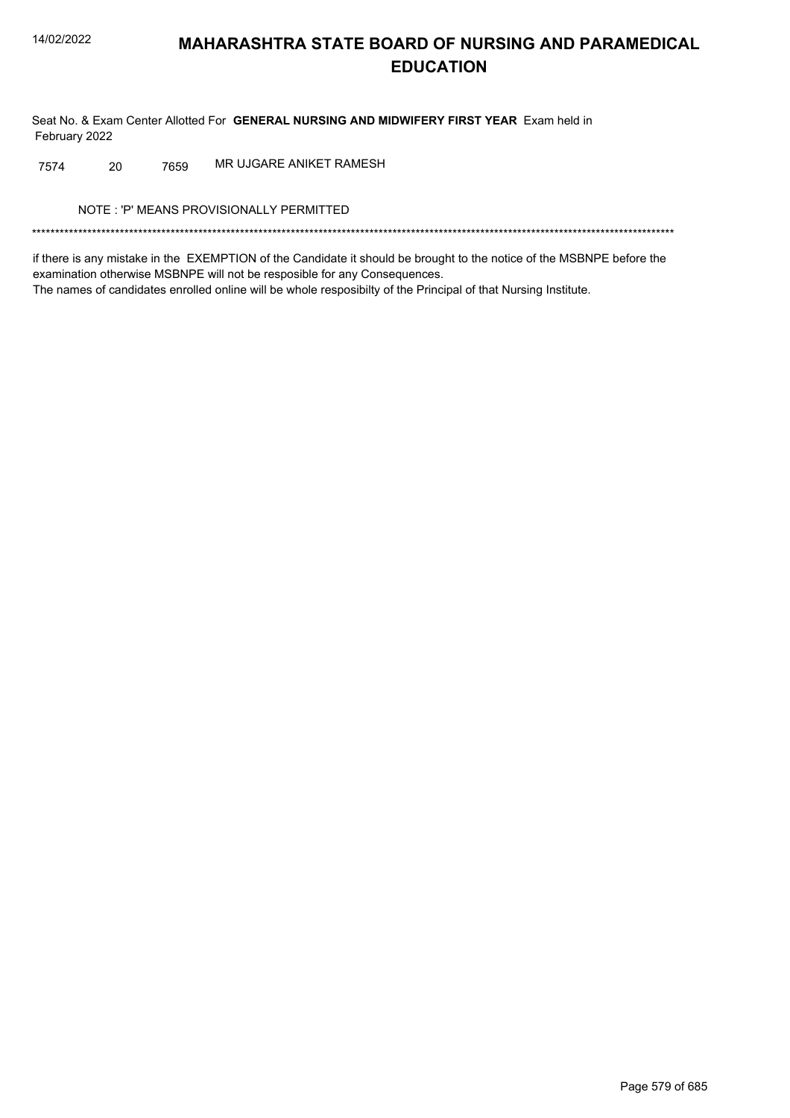Seat No. & Exam Center Allotted For GENERAL NURSING AND MIDWIFERY FIRST YEAR Exam held in February 2022

MR UJGARE ANIKET RAMESH 7574 20 7659

NOTE: 'P' MEANS PROVISIONALLY PERMITTED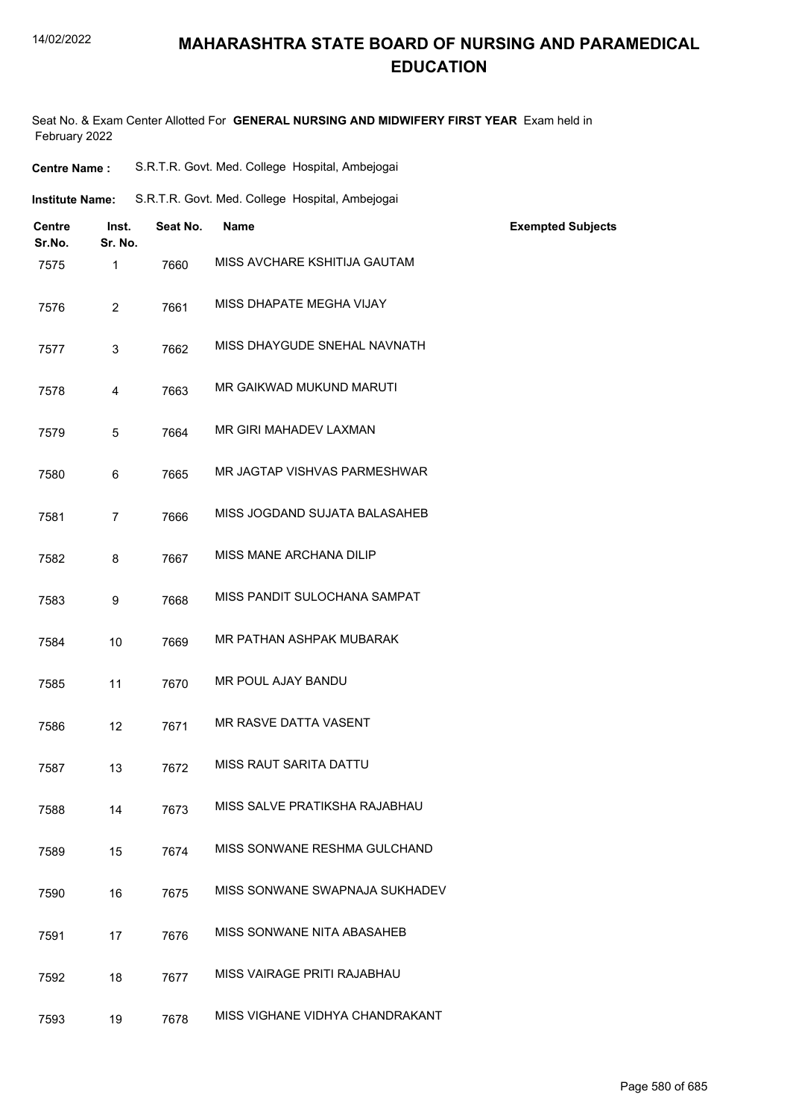## **MAHARASHTRA STATE BOARD OF NURSING AND PARAMEDICAL EDUCATION**

Seat No. & Exam Center Allotted For **GENERAL NURSING AND MIDWIFERY FIRST YEAR** Exam held in February 2022

| <b>Centre Name:</b>     |                  |          | S.R.T.R. Govt. Med. College Hospital, Ambejogai |                          |
|-------------------------|------------------|----------|-------------------------------------------------|--------------------------|
| <b>Institute Name:</b>  |                  |          | S.R.T.R. Govt. Med. College Hospital, Ambejogai |                          |
| <b>Centre</b><br>Sr.No. | Inst.<br>Sr. No. | Seat No. | Name                                            | <b>Exempted Subjects</b> |
| 7575                    | $\mathbf{1}$     | 7660     | MISS AVCHARE KSHITIJA GAUTAM                    |                          |
| 7576                    | 2                | 7661     | MISS DHAPATE MEGHA VIJAY                        |                          |
| 7577                    | 3                | 7662     | MISS DHAYGUDE SNEHAL NAVNATH                    |                          |
| 7578                    | 4                | 7663     | MR GAIKWAD MUKUND MARUTI                        |                          |
| 7579                    | 5                | 7664     | MR GIRI MAHADEV LAXMAN                          |                          |
| 7580                    | 6                | 7665     | MR JAGTAP VISHVAS PARMESHWAR                    |                          |
| 7581                    | $\overline{7}$   | 7666     | MISS JOGDAND SUJATA BALASAHEB                   |                          |
| 7582                    | 8                | 7667     | MISS MANE ARCHANA DILIP                         |                          |
| 7583                    | 9                | 7668     | MISS PANDIT SULOCHANA SAMPAT                    |                          |
| 7584                    | 10               | 7669     | MR PATHAN ASHPAK MUBARAK                        |                          |
| 7585                    | 11               | 7670     | MR POUL AJAY BANDU                              |                          |
| 7586                    | 12               | 7671     | MR RASVE DATTA VASENT                           |                          |
| 7587                    | 13               | 7672     | MISS RAUT SARITA DATTU                          |                          |
| 7588                    | 14               | 7673     | MISS SALVE PRATIKSHA RAJABHAU                   |                          |
| 7589                    | 15               | 7674     | MISS SONWANE RESHMA GULCHAND                    |                          |
| 7590                    | 16               | 7675     | MISS SONWANE SWAPNAJA SUKHADEV                  |                          |
| 7591                    | 17               | 7676     | MISS SONWANE NITA ABASAHEB                      |                          |
| 7592                    | 18               | 7677     | MISS VAIRAGE PRITI RAJABHAU                     |                          |
| 7593                    | 19               | 7678     | MISS VIGHANE VIDHYA CHANDRAKANT                 |                          |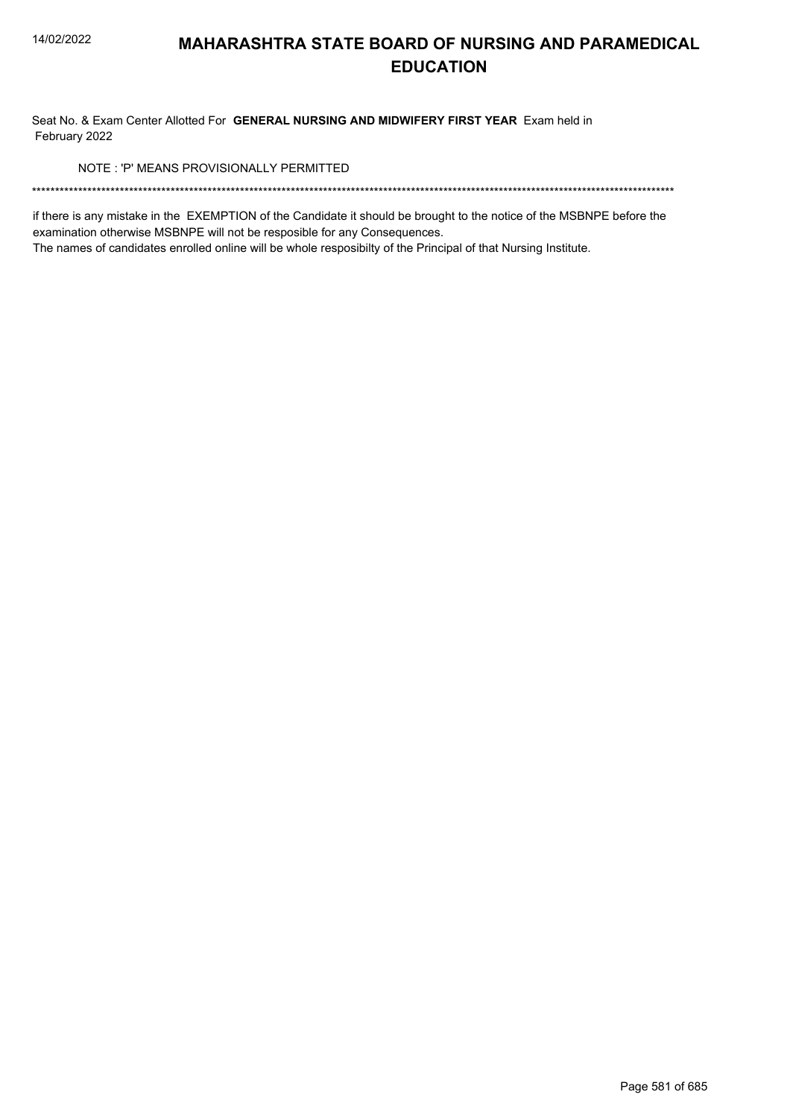Seat No. & Exam Center Allotted For GENERAL NURSING AND MIDWIFERY FIRST YEAR Exam held in February 2022

NOTE: 'P' MEANS PROVISIONALLY PERMITTED

if there is any mistake in the EXEMPTION of the Candidate it should be brought to the notice of the MSBNPE before the examination otherwise MSBNPE will not be resposible for any Consequences.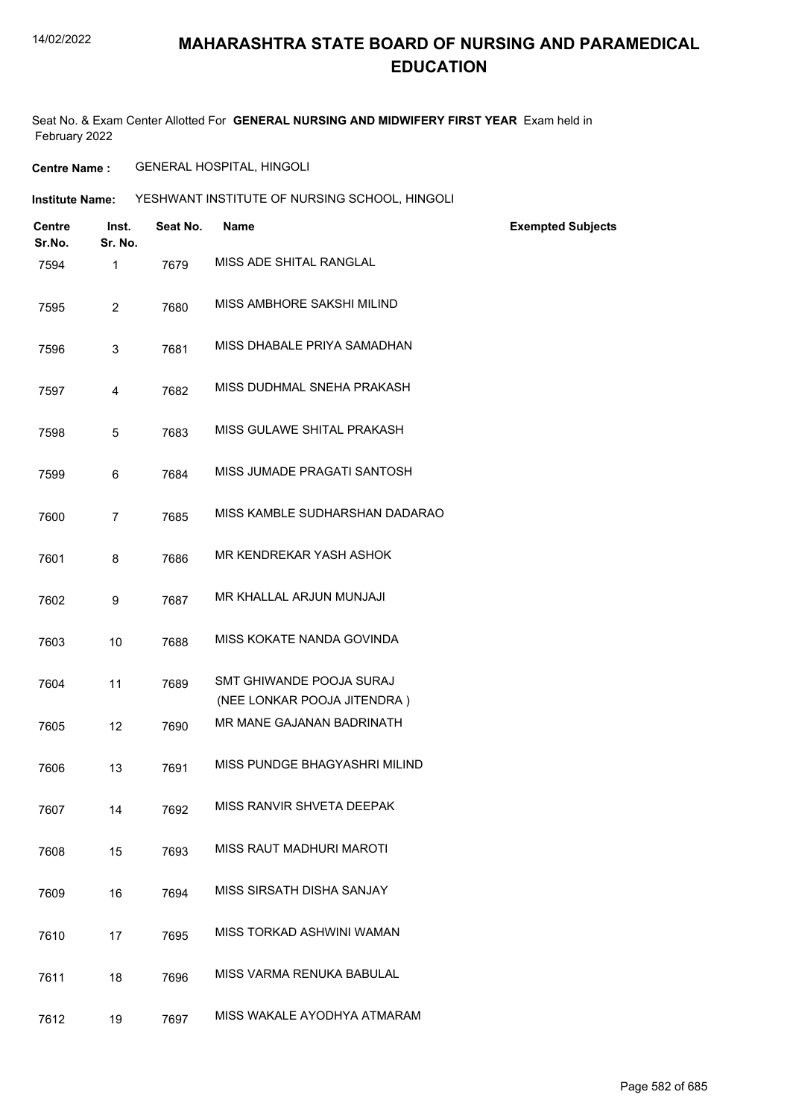## **MAHARASHTRA STATE BOARD OF NURSING AND PARAMEDICAL EDUCATION**

Seat No. & Exam Center Allotted For **GENERAL NURSING AND MIDWIFERY FIRST YEAR** Exam held in February 2022

**Centre Name :** GENERAL HOSPITAL, HINGOLI

**Institute Name: YESHWANT INSTITUTE OF NURSING SCHOOL, HINGOLI** 

| <b>Centre</b><br>Sr.No. | Inst.<br>Sr. No. | Seat No. | <b>Name</b>                                             | <b>Exempted Subjects</b> |
|-------------------------|------------------|----------|---------------------------------------------------------|--------------------------|
| 7594                    | $\mathbf{1}$     | 7679     | MISS ADE SHITAL RANGLAL                                 |                          |
| 7595                    | $\overline{2}$   | 7680     | MISS AMBHORE SAKSHI MILIND                              |                          |
| 7596                    | 3                | 7681     | MISS DHABALE PRIYA SAMADHAN                             |                          |
| 7597                    | 4                | 7682     | MISS DUDHMAL SNEHA PRAKASH                              |                          |
| 7598                    | $\overline{5}$   | 7683     | MISS GULAWE SHITAL PRAKASH                              |                          |
| 7599                    | 6                | 7684     | MISS JUMADE PRAGATI SANTOSH                             |                          |
| 7600                    | $\overline{7}$   | 7685     | MISS KAMBLE SUDHARSHAN DADARAO                          |                          |
| 7601                    | 8                | 7686     | MR KENDREKAR YASH ASHOK                                 |                          |
| 7602                    | 9                | 7687     | MR KHALLAL ARJUN MUNJAJI                                |                          |
| 7603                    | 10               | 7688     | MISS KOKATE NANDA GOVINDA                               |                          |
| 7604                    | 11               | 7689     | SMT GHIWANDE POOJA SURAJ<br>(NEE LONKAR POOJA JITENDRA) |                          |
| 7605                    | 12               | 7690     | MR MANE GAJANAN BADRINATH                               |                          |
| 7606                    | 13               | 7691     | MISS PUNDGE BHAGYASHRI MILIND                           |                          |
| 7607                    | 14               | 7692     | MISS RANVIR SHVETA DEEPAK                               |                          |
| 7608                    | 15               | 7693     | MISS RAUT MADHURI MAROTI                                |                          |
| 7609                    | 16               | 7694     | MISS SIRSATH DISHA SANJAY                               |                          |
| 7610                    | 17               | 7695     | MISS TORKAD ASHWINI WAMAN                               |                          |
| 7611                    | 18               | 7696     | MISS VARMA RENUKA BABULAL                               |                          |
| 7612                    | 19               | 7697     | MISS WAKALE AYODHYA ATMARAM                             |                          |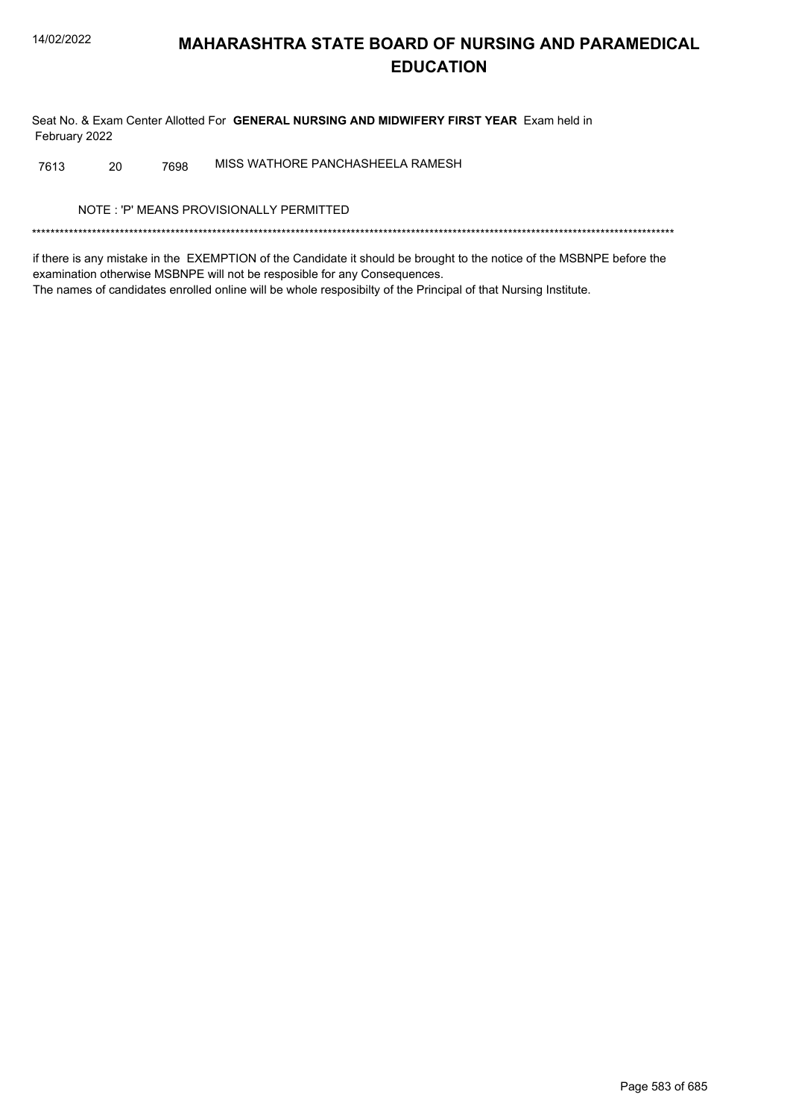Seat No. & Exam Center Allotted For GENERAL NURSING AND MIDWIFERY FIRST YEAR Exam held in February 2022

MISS WATHORE PANCHASHEELA RAMESH 7613 20 7698

NOTE: 'P' MEANS PROVISIONALLY PERMITTED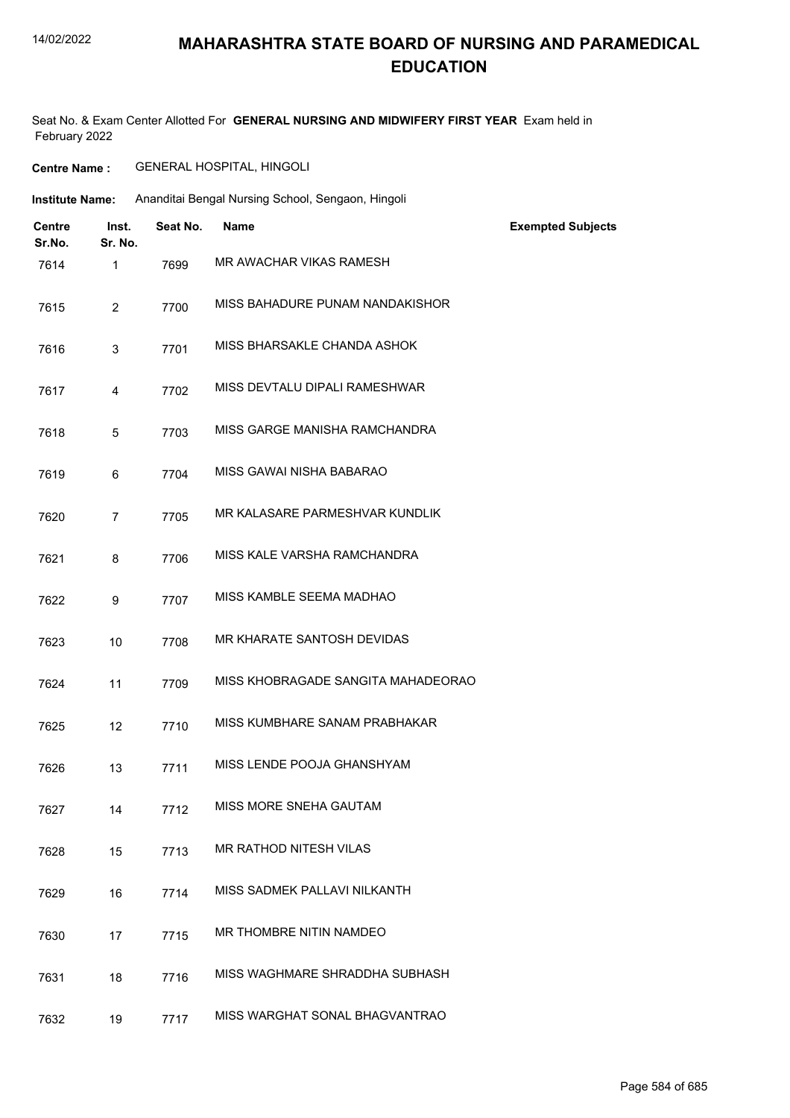## **MAHARASHTRA STATE BOARD OF NURSING AND PARAMEDICAL EDUCATION**

Seat No. & Exam Center Allotted For **GENERAL NURSING AND MIDWIFERY FIRST YEAR** Exam held in February 2022

| <b>GENERAL HOSPITAL, HINGOLI</b><br><b>Centre Name :</b> |
|----------------------------------------------------------|
|----------------------------------------------------------|

| <b>Institute Name:</b> |                         |                  |          | Ananditai Bengal Nursing School, Sengaon, Hingoli |                          |  |  |  |
|------------------------|-------------------------|------------------|----------|---------------------------------------------------|--------------------------|--|--|--|
|                        | <b>Centre</b><br>Sr.No. | Inst.<br>Sr. No. | Seat No. | Name                                              | <b>Exempted Subjects</b> |  |  |  |
|                        | 7614                    | $\mathbf{1}$     | 7699     | MR AWACHAR VIKAS RAMESH                           |                          |  |  |  |
|                        | 7615                    | $\overline{2}$   | 7700     | MISS BAHADURE PUNAM NANDAKISHOR                   |                          |  |  |  |
|                        | 7616                    | 3                | 7701     | MISS BHARSAKLE CHANDA ASHOK                       |                          |  |  |  |
|                        | 7617                    | $\overline{4}$   | 7702     | MISS DEVTALU DIPALI RAMESHWAR                     |                          |  |  |  |
|                        | 7618                    | $\overline{5}$   | 7703     | MISS GARGE MANISHA RAMCHANDRA                     |                          |  |  |  |
|                        | 7619                    | 6                | 7704     | MISS GAWAI NISHA BABARAO                          |                          |  |  |  |
|                        | 7620                    | $\overline{7}$   | 7705     | MR KALASARE PARMESHVAR KUNDLIK                    |                          |  |  |  |
|                        | 7621                    | 8                | 7706     | MISS KALE VARSHA RAMCHANDRA                       |                          |  |  |  |
|                        | 7622                    | 9                | 7707     | MISS KAMBLE SEEMA MADHAO                          |                          |  |  |  |
|                        | 7623                    | 10               | 7708     | MR KHARATE SANTOSH DEVIDAS                        |                          |  |  |  |
|                        | 7624                    | 11               | 7709     | MISS KHOBRAGADE SANGITA MAHADEORAO                |                          |  |  |  |
|                        | 7625                    | 12               | 7710     | MISS KUMBHARE SANAM PRABHAKAR                     |                          |  |  |  |
|                        | 7626                    | 13               | 7711     | MISS LENDE POOJA GHANSHYAM                        |                          |  |  |  |
|                        | 7627                    | 14               | 7712     | MISS MORE SNEHA GAUTAM                            |                          |  |  |  |
|                        | 7628                    | 15               | 7713     | MR RATHOD NITESH VILAS                            |                          |  |  |  |
|                        | 7629                    | 16               | 7714     | MISS SADMEK PALLAVI NILKANTH                      |                          |  |  |  |
|                        | 7630                    | 17               | 7715     | MR THOMBRE NITIN NAMDEO                           |                          |  |  |  |
|                        | 7631                    | 18               | 7716     | MISS WAGHMARE SHRADDHA SUBHASH                    |                          |  |  |  |
|                        | 7632                    | 19               | 7717     | MISS WARGHAT SONAL BHAGVANTRAO                    |                          |  |  |  |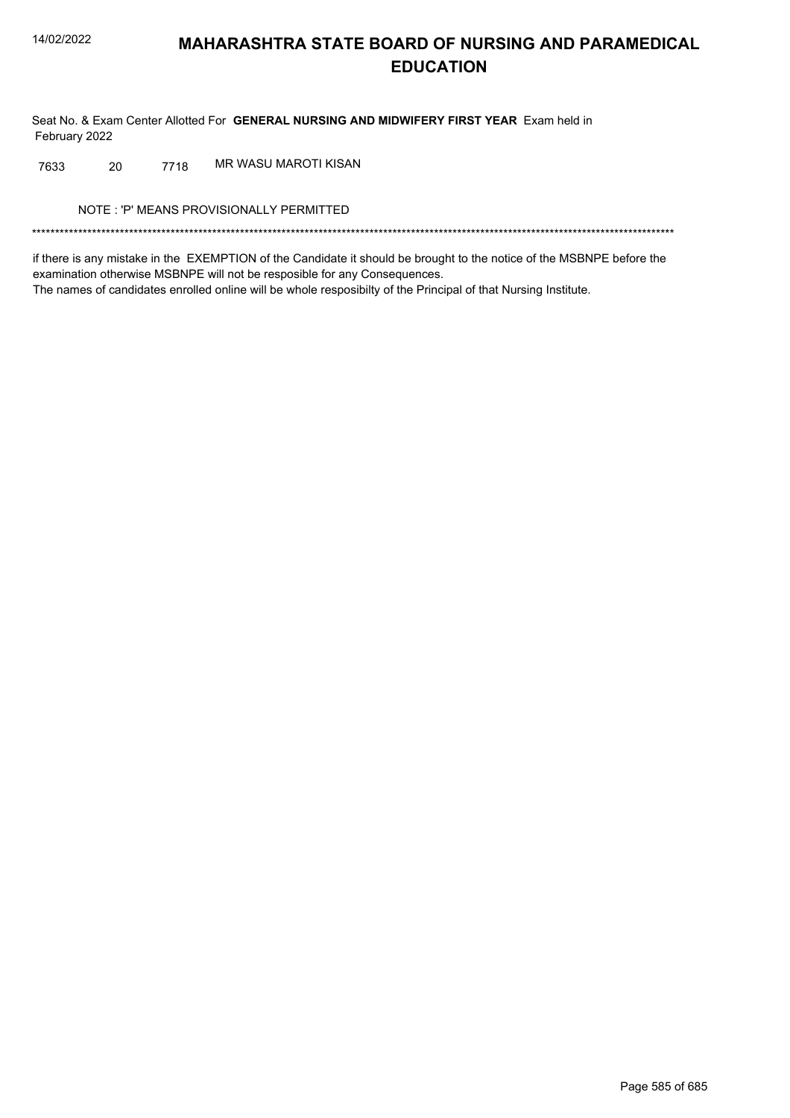Seat No. & Exam Center Allotted For GENERAL NURSING AND MIDWIFERY FIRST YEAR Exam held in February 2022

7718 MR WASU MAROTI KISAN 7633 20

NOTE: 'P' MEANS PROVISIONALLY PERMITTED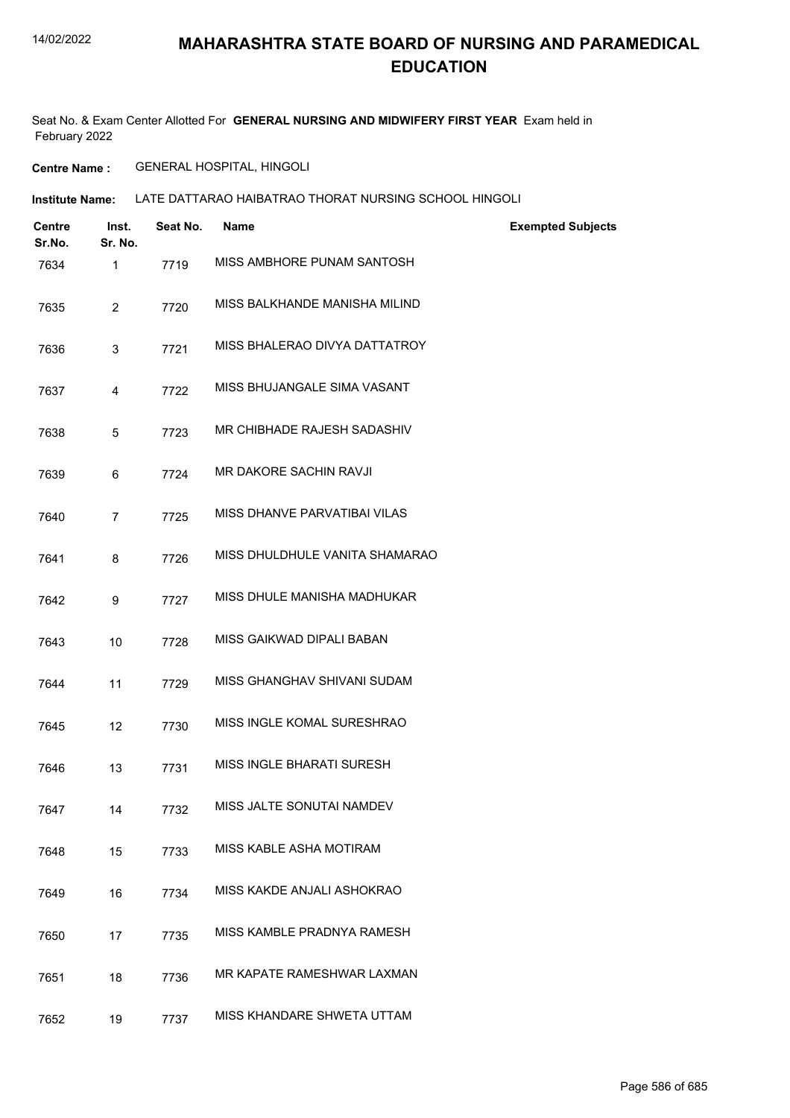Seat No. & Exam Center Allotted For **GENERAL NURSING AND MIDWIFERY FIRST YEAR** Exam held in February 2022

**Centre Name :** GENERAL HOSPITAL, HINGOLI

**Institute Name: LATE DATTARAO HAIBATRAO THORAT NURSING SCHOOL HINGOLI** 

| Centre<br>Sr.No. | Inst.<br>Sr. No. | Seat No. | <b>Name</b>                    | <b>Exempted Subjects</b> |
|------------------|------------------|----------|--------------------------------|--------------------------|
| 7634             | $\mathbf{1}$     | 7719     | MISS AMBHORE PUNAM SANTOSH     |                          |
| 7635             | $\overline{2}$   | 7720     | MISS BALKHANDE MANISHA MILIND  |                          |
| 7636             | 3                | 7721     | MISS BHALERAO DIVYA DATTATROY  |                          |
| 7637             | 4                | 7722     | MISS BHUJANGALE SIMA VASANT    |                          |
| 7638             | 5                | 7723     | MR CHIBHADE RAJESH SADASHIV    |                          |
| 7639             | 6                | 7724     | MR DAKORE SACHIN RAVJI         |                          |
| 7640             | 7                | 7725     | MISS DHANVE PARVATIBAI VILAS   |                          |
| 7641             | 8                | 7726     | MISS DHULDHULE VANITA SHAMARAO |                          |
| 7642             | 9                | 7727     | MISS DHULE MANISHA MADHUKAR    |                          |
| 7643             | 10               | 7728     | MISS GAIKWAD DIPALI BABAN      |                          |
| 7644             | 11               | 7729     | MISS GHANGHAV SHIVANI SUDAM    |                          |
| 7645             | 12               | 7730     | MISS INGLE KOMAL SURESHRAO     |                          |
| 7646             | 13               | 7731     | MISS INGLE BHARATI SURESH      |                          |
| 7647             | 14               | 7732     | MISS JALTE SONUTAI NAMDEV      |                          |
| 7648             | 15               | 7733     | MISS KABLE ASHA MOTIRAM        |                          |
| 7649             | 16               | 7734     | MISS KAKDE ANJALI ASHOKRAO     |                          |
| 7650             | 17               | 7735     | MISS KAMBLE PRADNYA RAMESH     |                          |
| 7651             | 18               | 7736     | MR KAPATE RAMESHWAR LAXMAN     |                          |
| 7652             | 19               | 7737     | MISS KHANDARE SHWETA UTTAM     |                          |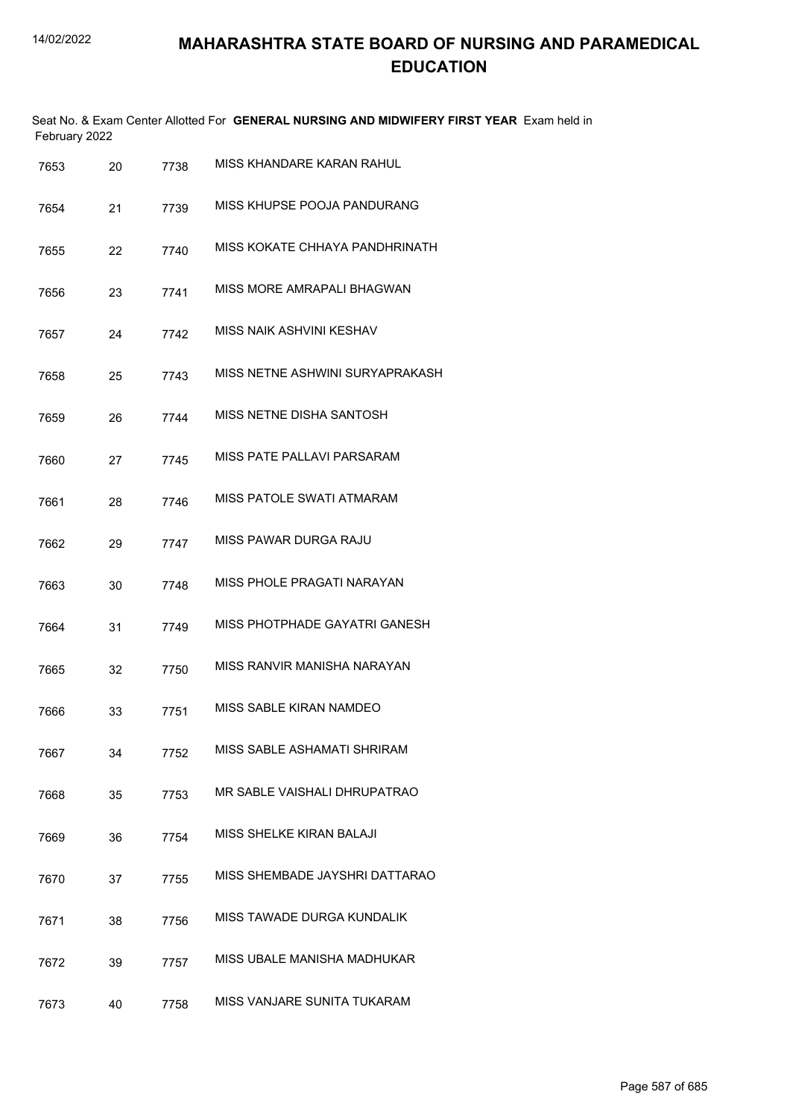|      | February 2022 |    |      | Seat No. & Exam Center Allotted For GENERAL NURSING AND MIDWIFERY FIRST YEAR Exam held in |
|------|---------------|----|------|-------------------------------------------------------------------------------------------|
| 7653 |               | 20 | 7738 | MISS KHANDARE KARAN RAHUL                                                                 |
| 7654 |               | 21 | 7739 | MISS KHUPSE POOJA PANDURANG                                                               |
| 7655 |               | 22 | 7740 | MISS KOKATE CHHAYA PANDHRINATH                                                            |
| 7656 |               | 23 | 7741 | MISS MORE AMRAPALI BHAGWAN                                                                |
| 7657 |               | 24 | 7742 | MISS NAIK ASHVINI KESHAV                                                                  |
| 7658 |               | 25 | 7743 | MISS NETNE ASHWINI SURYAPRAKASH                                                           |
| 7659 |               | 26 | 7744 | MISS NETNE DISHA SANTOSH                                                                  |
| 7660 |               | 27 | 7745 | MISS PATE PALLAVI PARSARAM                                                                |
| 7661 |               | 28 | 7746 | MISS PATOLE SWATI ATMARAM                                                                 |
| 7662 |               | 29 | 7747 | MISS PAWAR DURGA RAJU                                                                     |
| 7663 |               | 30 | 7748 | MISS PHOLE PRAGATI NARAYAN                                                                |
| 7664 |               | 31 | 7749 | MISS PHOTPHADE GAYATRI GANESH                                                             |
| 7665 |               | 32 | 7750 | MISS RANVIR MANISHA NARAYAN                                                               |
| 7666 |               | 33 | 7751 | MISS SABLE KIRAN NAMDEO                                                                   |
| 7667 |               | 34 | 7752 | MISS SABLE ASHAMATI SHRIRAM                                                               |
| 7668 |               | 35 | 7753 | MR SABLE VAISHALI DHRUPATRAO                                                              |
| 7669 |               | 36 | 7754 | MISS SHELKE KIRAN BALAJI                                                                  |
| 7670 |               | 37 | 7755 | MISS SHEMBADE JAYSHRI DATTARAO                                                            |
| 7671 |               | 38 | 7756 | MISS TAWADE DURGA KUNDALIK                                                                |
| 7672 |               | 39 | 7757 | MISS UBALE MANISHA MADHUKAR                                                               |
| 7673 |               | 40 | 7758 | MISS VANJARE SUNITA TUKARAM                                                               |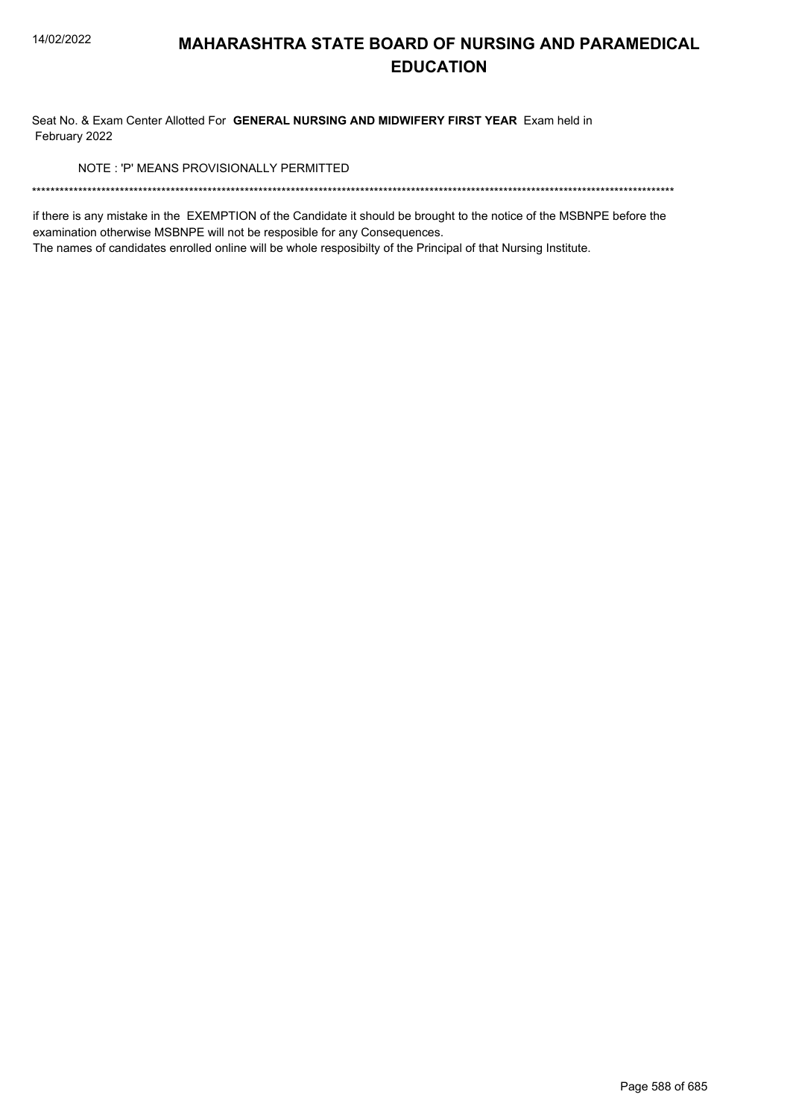Seat No. & Exam Center Allotted For GENERAL NURSING AND MIDWIFERY FIRST YEAR Exam held in February 2022

NOTE: 'P' MEANS PROVISIONALLY PERMITTED

if there is any mistake in the EXEMPTION of the Candidate it should be brought to the notice of the MSBNPE before the examination otherwise MSBNPE will not be resposible for any Consequences.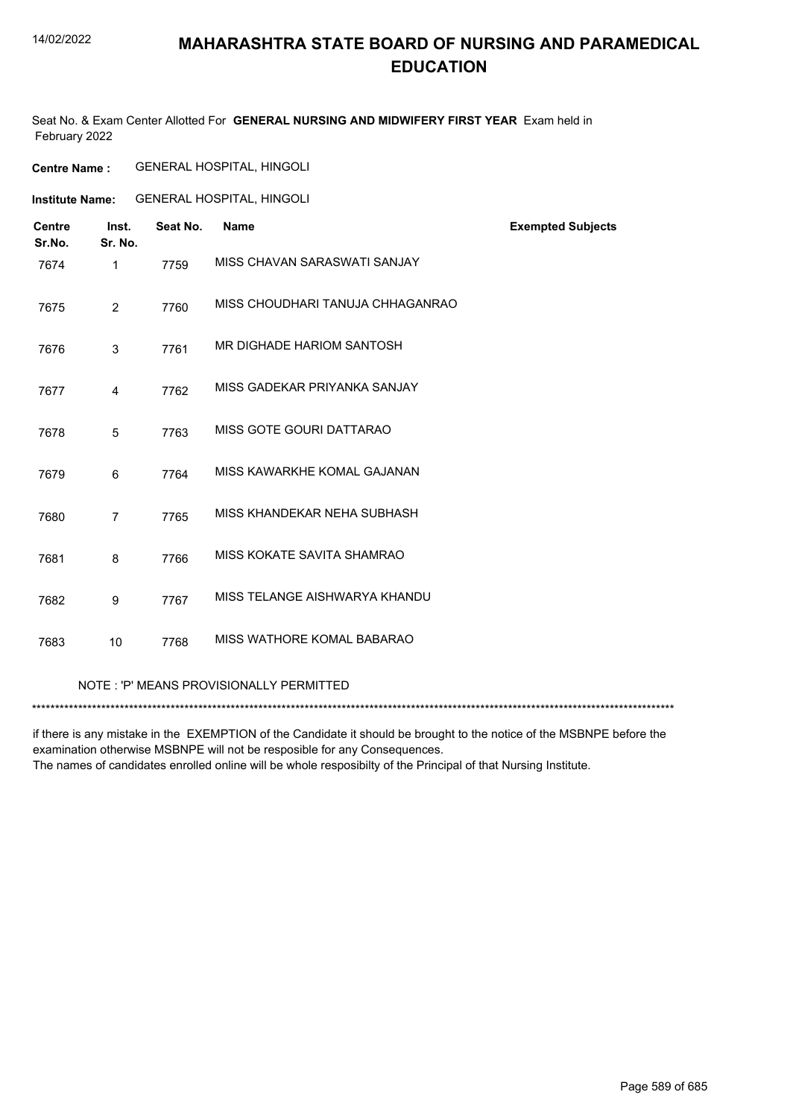## **MAHARASHTRA STATE BOARD OF NURSING AND PARAMEDICAL EDUCATION**

Seat No. & Exam Center Allotted For **GENERAL NURSING AND MIDWIFERY FIRST YEAR** Exam held in February 2022

**Institute Name:** GENERAL HOSPITAL, HINGOLI

| <b>Centre</b><br>Sr.No. | Inst.<br>Sr. No. | Seat No. | <b>Name</b>                      | <b>Exempted Subjects</b> |
|-------------------------|------------------|----------|----------------------------------|--------------------------|
| 7674                    | $\mathbf{1}$     | 7759     | MISS CHAVAN SARASWATI SANJAY     |                          |
| 7675                    | 2                | 7760     | MISS CHOUDHARI TANUJA CHHAGANRAO |                          |
| 7676                    | 3                | 7761     | MR DIGHADE HARIOM SANTOSH        |                          |
| 7677                    | 4                | 7762     | MISS GADEKAR PRIYANKA SANJAY     |                          |
| 7678                    | 5                | 7763     | MISS GOTE GOURI DATTARAO         |                          |
| 7679                    | 6                | 7764     | MISS KAWARKHE KOMAL GAJANAN      |                          |
| 7680                    | $\overline{7}$   | 7765     | MISS KHANDEKAR NEHA SUBHASH      |                          |
| 7681                    | 8                | 7766     | MISS KOKATE SAVITA SHAMRAO       |                          |
| 7682                    | 9                | 7767     | MISS TELANGE AISHWARYA KHANDU    |                          |
| 7683                    | 10               | 7768     | MISS WATHORE KOMAL BABARAO       |                          |

NOTE : 'P' MEANS PROVISIONALLY PERMITTED

\*\*\*\*\*\*\*\*\*\*\*\*\*\*\*\*\*\*\*\*\*\*\*\*\*\*\*\*\*\*\*\*\*\*\*\*\*\*\*\*\*\*\*\*\*\*\*\*\*\*\*\*\*\*\*\*\*\*\*\*\*\*\*\*\*\*\*\*\*\*\*\*\*\*\*\*\*\*\*\*\*\*\*\*\*\*\*\*\*\*\*\*\*\*\*\*\*\*\*\*\*\*\*\*\*\*\*\*\*\*\*\*\*\*\*\*\*\*\*\*\*\*\*\*\*\*\*\*\*\*\*\*\*\*\*\*\*\*\*

if there is any mistake in the EXEMPTION of the Candidate it should be brought to the notice of the MSBNPE before the examination otherwise MSBNPE will not be resposible for any Consequences.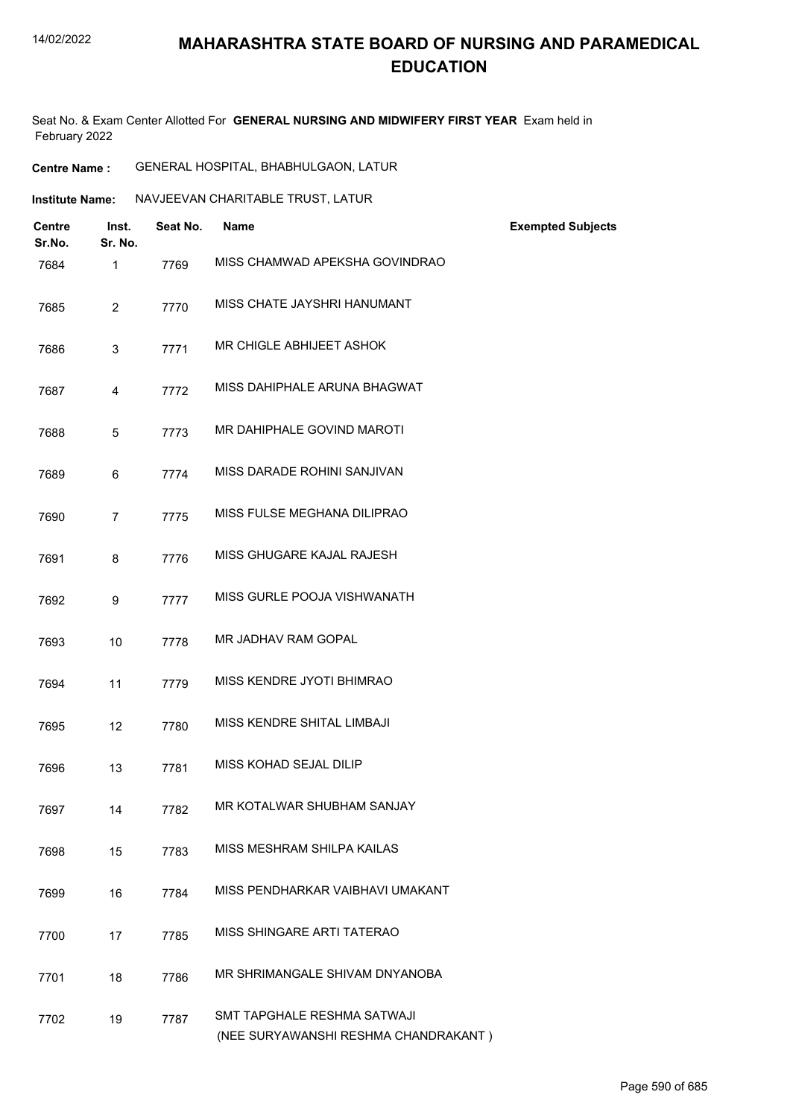## **MAHARASHTRA STATE BOARD OF NURSING AND PARAMEDICAL EDUCATION**

Seat No. & Exam Center Allotted For **GENERAL NURSING AND MIDWIFERY FIRST YEAR** Exam held in February 2022

| <b>Centre Name :</b> | GENERAL HOSPITAL, BHABHULGAON, LATUR |  |
|----------------------|--------------------------------------|--|
|----------------------|--------------------------------------|--|

| Institute Name: | NAVJEEVAN CHARITABLE TRUST, LATUR |
|-----------------|-----------------------------------|
|                 |                                   |

| <b>Centre</b><br>Sr.No. | Inst.<br>Sr. No. | Seat No. | <b>Name</b>                                                         | <b>Exempted Subjects</b> |
|-------------------------|------------------|----------|---------------------------------------------------------------------|--------------------------|
| 7684                    | 1                | 7769     | MISS CHAMWAD APEKSHA GOVINDRAO                                      |                          |
| 7685                    | $\overline{2}$   | 7770     | MISS CHATE JAYSHRI HANUMANT                                         |                          |
| 7686                    | 3                | 7771     | MR CHIGLE ABHIJEET ASHOK                                            |                          |
| 7687                    | 4                | 7772     | MISS DAHIPHALE ARUNA BHAGWAT                                        |                          |
| 7688                    | 5                | 7773     | MR DAHIPHALE GOVIND MAROTI                                          |                          |
| 7689                    | 6                | 7774     | MISS DARADE ROHINI SANJIVAN                                         |                          |
| 7690                    | $\overline{7}$   | 7775     | MISS FULSE MEGHANA DILIPRAO                                         |                          |
| 7691                    | 8                | 7776     | MISS GHUGARE KAJAL RAJESH                                           |                          |
| 7692                    | 9                | 7777     | MISS GURLE POOJA VISHWANATH                                         |                          |
| 7693                    | 10               | 7778     | MR JADHAV RAM GOPAL                                                 |                          |
| 7694                    | 11               | 7779     | MISS KENDRE JYOTI BHIMRAO                                           |                          |
| 7695                    | 12               | 7780     | MISS KENDRE SHITAL LIMBAJI                                          |                          |
| 7696                    | 13               | 7781     | MISS KOHAD SEJAL DILIP                                              |                          |
| 7697                    | 14               | 7782     | MR KOTALWAR SHUBHAM SANJAY                                          |                          |
| 7698                    | 15               | 7783     | MISS MESHRAM SHILPA KAILAS                                          |                          |
| 7699                    | 16               | 7784     | MISS PENDHARKAR VAIBHAVI UMAKANT                                    |                          |
| 7700                    | 17               | 7785     | MISS SHINGARE ARTI TATERAO                                          |                          |
| 7701                    | 18               | 7786     | MR SHRIMANGALE SHIVAM DNYANOBA                                      |                          |
| 7702                    | 19               | 7787     | SMT TAPGHALE RESHMA SATWAJI<br>(NEE SURYAWANSHI RESHMA CHANDRAKANT) |                          |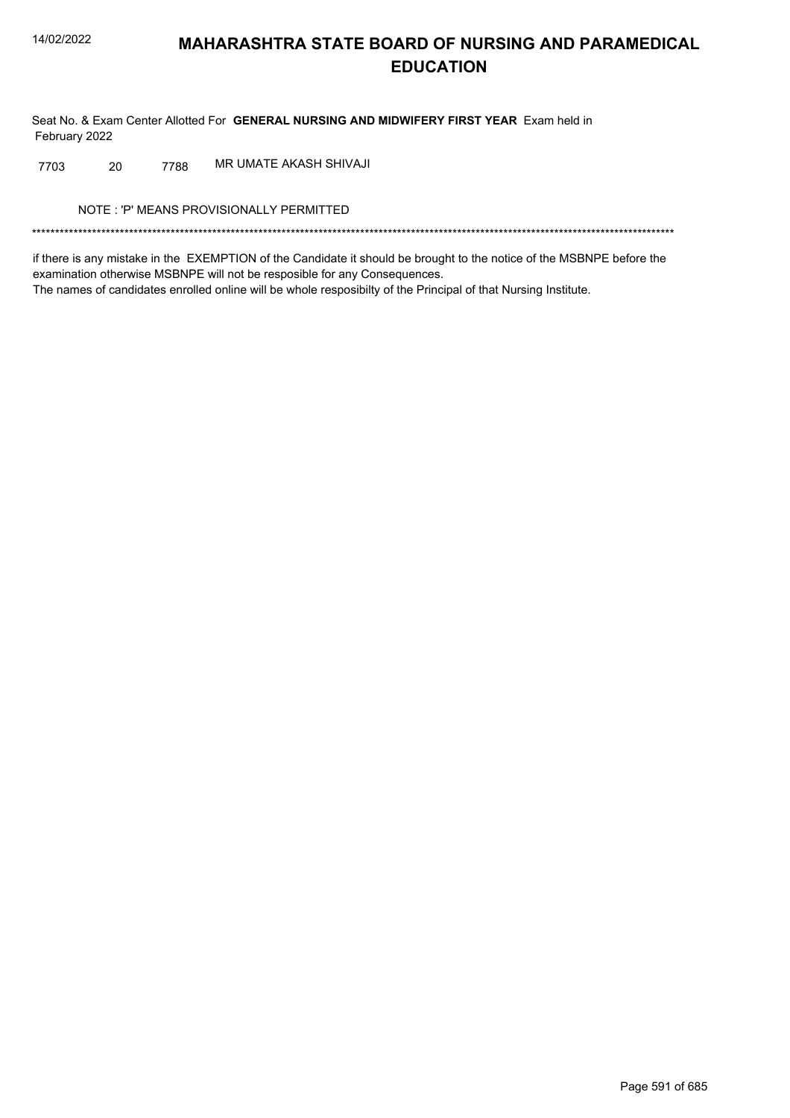Seat No. & Exam Center Allotted For GENERAL NURSING AND MIDWIFERY FIRST YEAR Exam held in February 2022

MR UMATE AKASH SHIVAJI 7703 20 7788

NOTE: 'P' MEANS PROVISIONALLY PERMITTED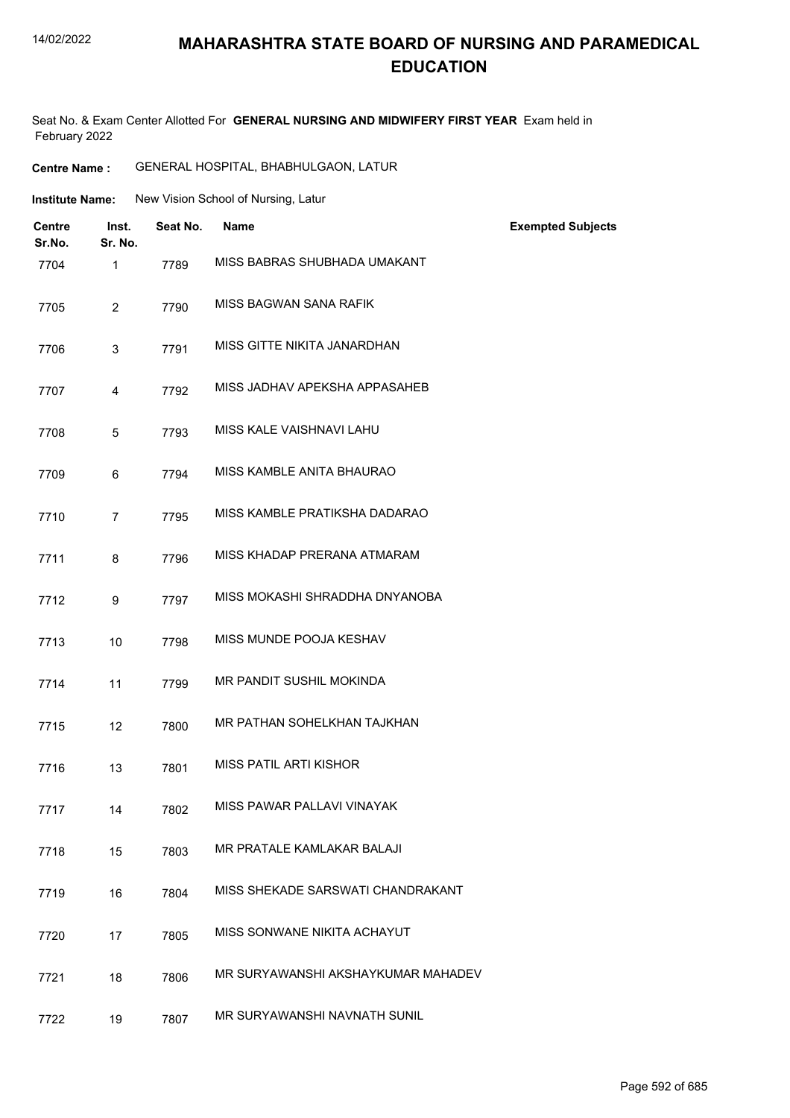## **MAHARASHTRA STATE BOARD OF NURSING AND PARAMEDICAL EDUCATION**

Seat No. & Exam Center Allotted For **GENERAL NURSING AND MIDWIFERY FIRST YEAR** Exam held in February 2022

**Centre Name :** GENERAL HOSPITAL, BHABHULGAON, LATUR

| <b>Institute Name:</b> | New Vision School of Nursing, Latur |  |  |
|------------------------|-------------------------------------|--|--|
|                        |                                     |  |  |

| <b>Centre</b><br>Sr.No. | Inst.<br>Sr. No. | Seat No. | <b>Name</b>                        | <b>Exempted Subjects</b> |
|-------------------------|------------------|----------|------------------------------------|--------------------------|
| 7704                    | 1                | 7789     | MISS BABRAS SHUBHADA UMAKANT       |                          |
| 7705                    | $\overline{2}$   | 7790     | MISS BAGWAN SANA RAFIK             |                          |
| 7706                    | 3                | 7791     | MISS GITTE NIKITA JANARDHAN        |                          |
| 7707                    | 4                | 7792     | MISS JADHAV APEKSHA APPASAHEB      |                          |
| 7708                    | 5                | 7793     | MISS KALE VAISHNAVI LAHU           |                          |
| 7709                    | 6                | 7794     | MISS KAMBLE ANITA BHAURAO          |                          |
| 7710                    | $\overline{7}$   | 7795     | MISS KAMBLE PRATIKSHA DADARAO      |                          |
| 7711                    | 8                | 7796     | MISS KHADAP PRERANA ATMARAM        |                          |
| 7712                    | 9                | 7797     | MISS MOKASHI SHRADDHA DNYANOBA     |                          |
| 7713                    | 10               | 7798     | MISS MUNDE POOJA KESHAV            |                          |
| 7714                    | 11               | 7799     | MR PANDIT SUSHIL MOKINDA           |                          |
| 7715                    | 12               | 7800     | MR PATHAN SOHELKHAN TAJKHAN        |                          |
| 7716                    | 13               | 7801     | <b>MISS PATIL ARTI KISHOR</b>      |                          |
| 7717                    | 14               | 7802     | MISS PAWAR PALLAVI VINAYAK         |                          |
| 7718                    | 15               | 7803     | MR PRATALE KAMLAKAR BALAJI         |                          |
| 7719                    | 16               | 7804     | MISS SHEKADE SARSWATI CHANDRAKANT  |                          |
| 7720                    | 17               | 7805     | MISS SONWANE NIKITA ACHAYUT        |                          |
| 7721                    | 18               | 7806     | MR SURYAWANSHI AKSHAYKUMAR MAHADEV |                          |
| 7722                    | 19               | 7807     | MR SURYAWANSHI NAVNATH SUNIL       |                          |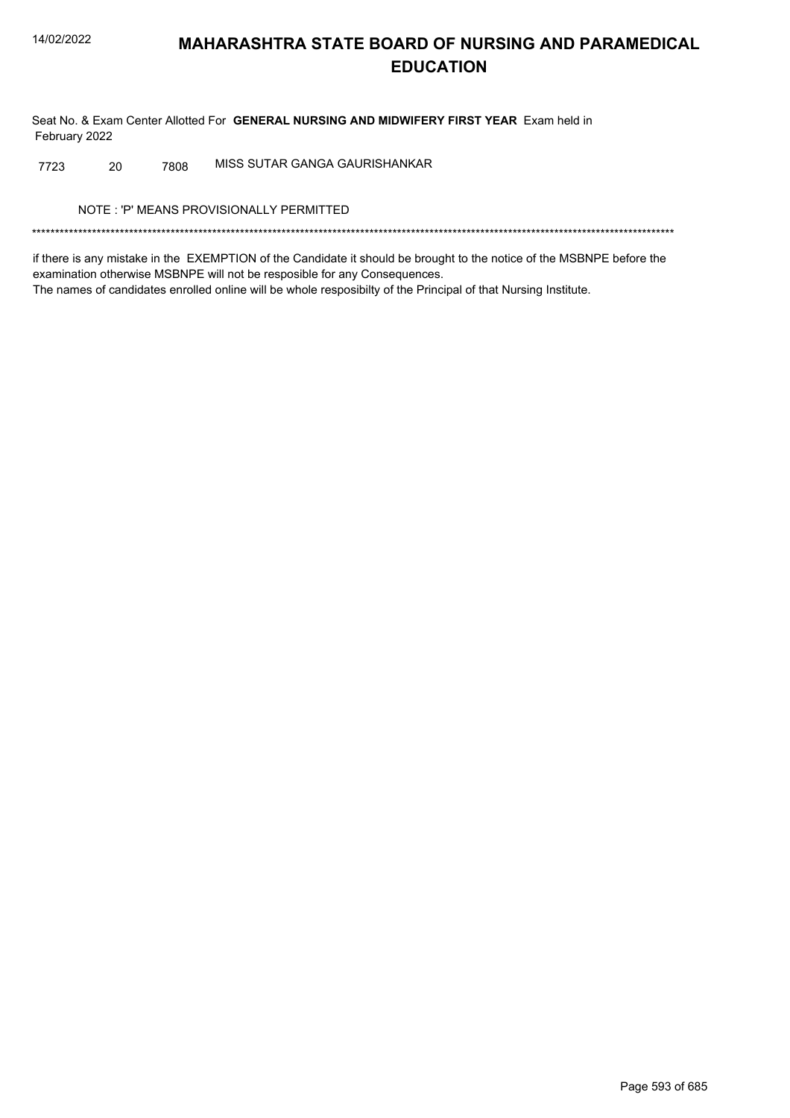Seat No. & Exam Center Allotted For GENERAL NURSING AND MIDWIFERY FIRST YEAR Exam held in February 2022

MISS SUTAR GANGA GAURISHANKAR 20 7808 7723

NOTE: 'P' MEANS PROVISIONALLY PERMITTED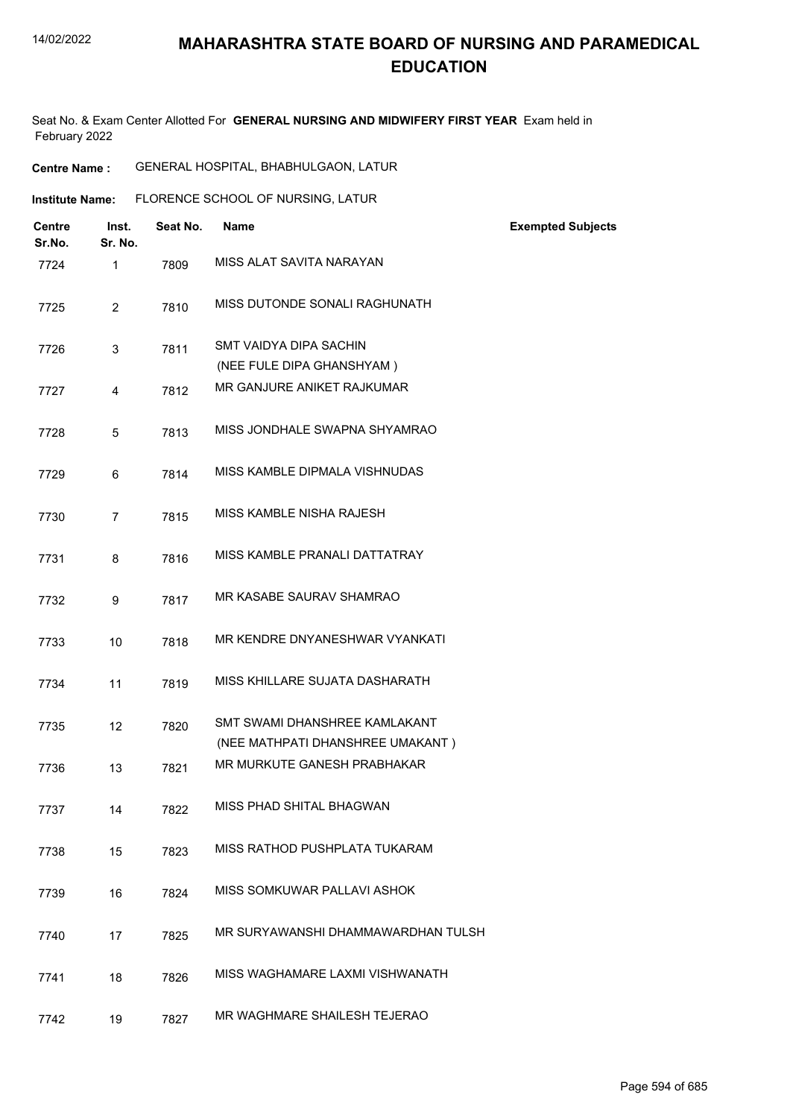Seat No. & Exam Center Allotted For **GENERAL NURSING AND MIDWIFERY FIRST YEAR** Exam held in February 2022

**Centre Name :** GENERAL HOSPITAL, BHABHULGAON, LATUR

| <b>Institute Name:</b> |                  |          | FLORENCE SCHOOL OF NURSING, LATUR                                 |                          |
|------------------------|------------------|----------|-------------------------------------------------------------------|--------------------------|
| Centre<br>Sr.No.       | Inst.<br>Sr. No. | Seat No. | <b>Name</b>                                                       | <b>Exempted Subjects</b> |
| 7724                   | $\mathbf{1}$     | 7809     | MISS ALAT SAVITA NARAYAN                                          |                          |
| 7725                   | $\overline{2}$   | 7810     | MISS DUTONDE SONALI RAGHUNATH                                     |                          |
| 7726                   | 3                | 7811     | SMT VAIDYA DIPA SACHIN<br>(NEE FULE DIPA GHANSHYAM)               |                          |
| 7727                   | 4                | 7812     | MR GANJURE ANIKET RAJKUMAR                                        |                          |
| 7728                   | 5                | 7813     | MISS JONDHALE SWAPNA SHYAMRAO                                     |                          |
| 7729                   | 6                | 7814     | MISS KAMBLE DIPMALA VISHNUDAS                                     |                          |
| 7730                   | $\overline{7}$   | 7815     | MISS KAMBLE NISHA RAJESH                                          |                          |
| 7731                   | 8                | 7816     | MISS KAMBLE PRANALI DATTATRAY                                     |                          |
| 7732                   | 9                | 7817     | MR KASABE SAURAV SHAMRAO                                          |                          |
| 7733                   | 10               | 7818     | MR KENDRE DNYANESHWAR VYANKATI                                    |                          |
| 7734                   | 11               | 7819     | MISS KHILLARE SUJATA DASHARATH                                    |                          |
| 7735                   | 12               | 7820     | SMT SWAMI DHANSHREE KAMLAKANT<br>(NEE MATHPATI DHANSHREE UMAKANT) |                          |
| 7736                   | 13               | 7821     | MR MURKUTE GANESH PRABHAKAR                                       |                          |
| 7737                   | 14               | 7822     | MISS PHAD SHITAL BHAGWAN                                          |                          |
| 7738                   | 15               | 7823     | MISS RATHOD PUSHPLATA TUKARAM                                     |                          |
| 7739                   | 16               | 7824     | MISS SOMKUWAR PALLAVI ASHOK                                       |                          |
| 7740                   | 17               | 7825     | MR SURYAWANSHI DHAMMAWARDHAN TULSH                                |                          |
| 7741                   | 18               | 7826     | MISS WAGHAMARE LAXMI VISHWANATH                                   |                          |
| 7742                   | 19               | 7827     | MR WAGHMARE SHAILESH TEJERAO                                      |                          |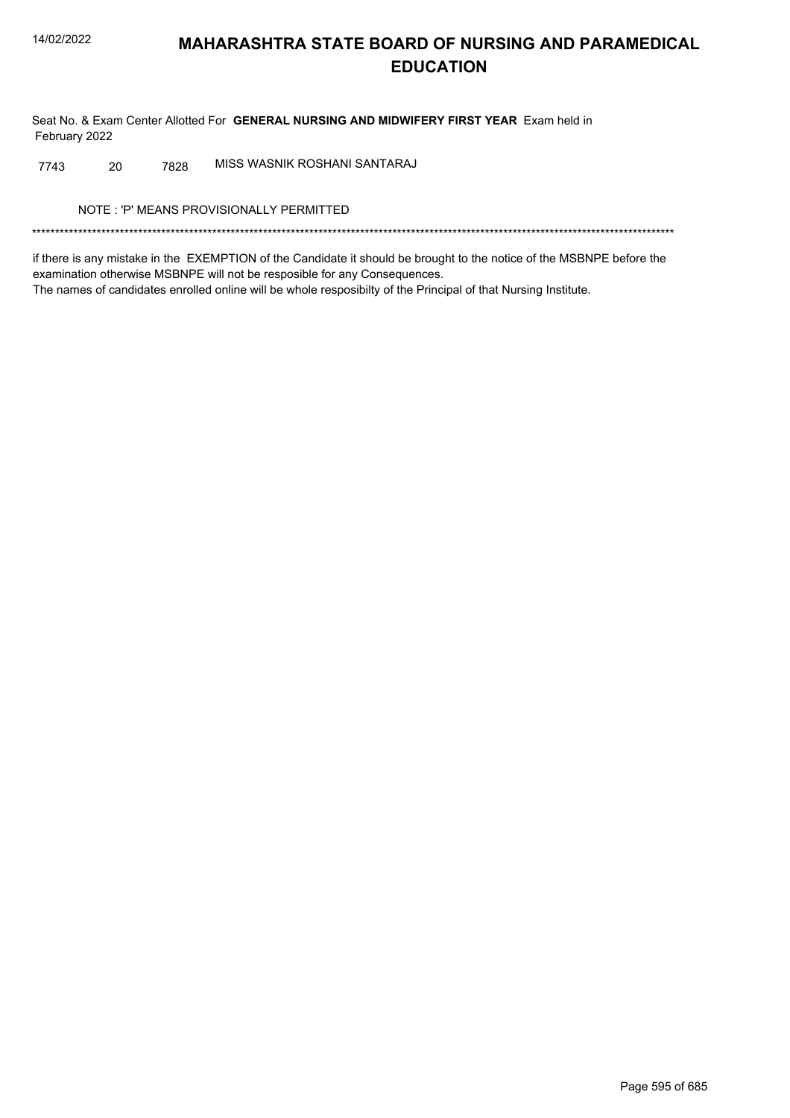Seat No. & Exam Center Allotted For GENERAL NURSING AND MIDWIFERY FIRST YEAR Exam held in February 2022

7743 MISS WASNIK ROSHANI SANTARAJ 20 7828

NOTE: 'P' MEANS PROVISIONALLY PERMITTED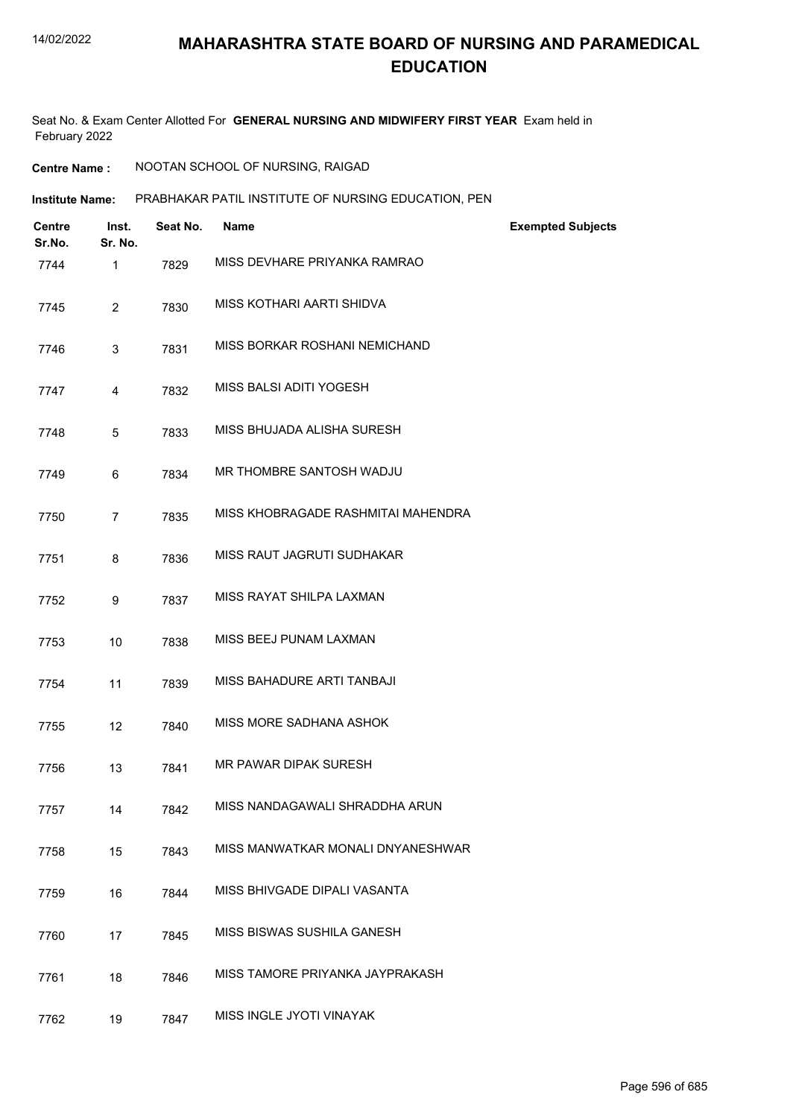Seat No. & Exam Center Allotted For **GENERAL NURSING AND MIDWIFERY FIRST YEAR** Exam held in February 2022

| <b>Centre Name :</b> | NOOTAN SCHOOL OF NURSING, RAIGAD |
|----------------------|----------------------------------|
|                      |                                  |

PRABHAKAR PATIL INSTITUTE OF NURSING EDUCATION, PEN **Institute Name:**

| <b>Centre</b><br>Sr.No. | Inst.<br>Sr. No. | Seat No. | <b>Name</b>                        | <b>Exempted Subjects</b> |
|-------------------------|------------------|----------|------------------------------------|--------------------------|
| 7744                    | 1                | 7829     | MISS DEVHARE PRIYANKA RAMRAO       |                          |
| 7745                    | $\overline{2}$   | 7830     | MISS KOTHARI AARTI SHIDVA          |                          |
| 7746                    | 3                | 7831     | MISS BORKAR ROSHANI NEMICHAND      |                          |
| 7747                    | 4                | 7832     | MISS BALSI ADITI YOGESH            |                          |
| 7748                    | 5                | 7833     | MISS BHUJADA ALISHA SURESH         |                          |
| 7749                    | 6                | 7834     | MR THOMBRE SANTOSH WADJU           |                          |
| 7750                    | $\overline{7}$   | 7835     | MISS KHOBRAGADE RASHMITAI MAHENDRA |                          |
| 7751                    | 8                | 7836     | MISS RAUT JAGRUTI SUDHAKAR         |                          |
| 7752                    | 9                | 7837     | MISS RAYAT SHILPA LAXMAN           |                          |
| 7753                    | 10               | 7838     | MISS BEEJ PUNAM LAXMAN             |                          |
| 7754                    | 11               | 7839     | MISS BAHADURE ARTI TANBAJI         |                          |
| 7755                    | 12               | 7840     | MISS MORE SADHANA ASHOK            |                          |
| 7756                    | 13               | 7841     | MR PAWAR DIPAK SURESH              |                          |
| 7757                    | 14               | 7842     | MISS NANDAGAWALI SHRADDHA ARUN     |                          |
| 7758                    | 15               | 7843     | MISS MANWATKAR MONALI DNYANESHWAR  |                          |
| 7759                    | 16               | 7844     | MISS BHIVGADE DIPALI VASANTA       |                          |
| 7760                    | 17               | 7845     | MISS BISWAS SUSHILA GANESH         |                          |
| 7761                    | 18               | 7846     | MISS TAMORE PRIYANKA JAYPRAKASH    |                          |
| 7762                    | 19               | 7847     | MISS INGLE JYOTI VINAYAK           |                          |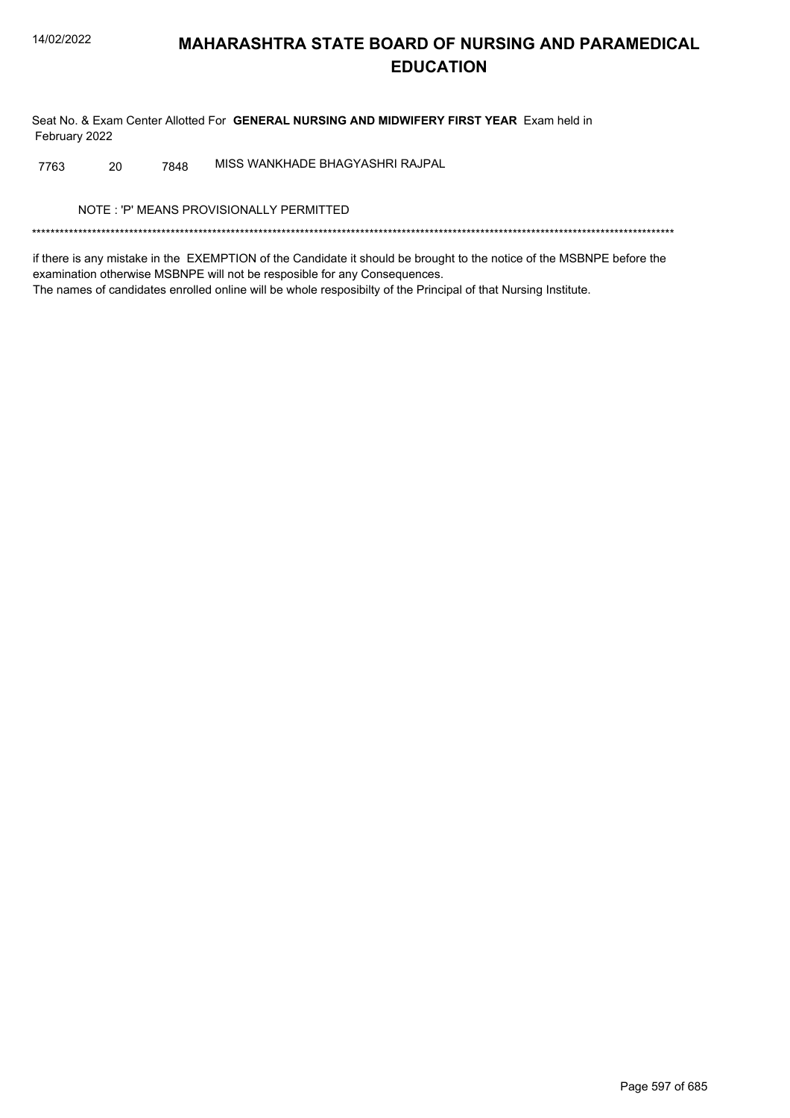Seat No. & Exam Center Allotted For GENERAL NURSING AND MIDWIFERY FIRST YEAR Exam held in February 2022

MISS WANKHADE BHAGYASHRI RAJPAL 7763 20 7848

NOTE: 'P' MEANS PROVISIONALLY PERMITTED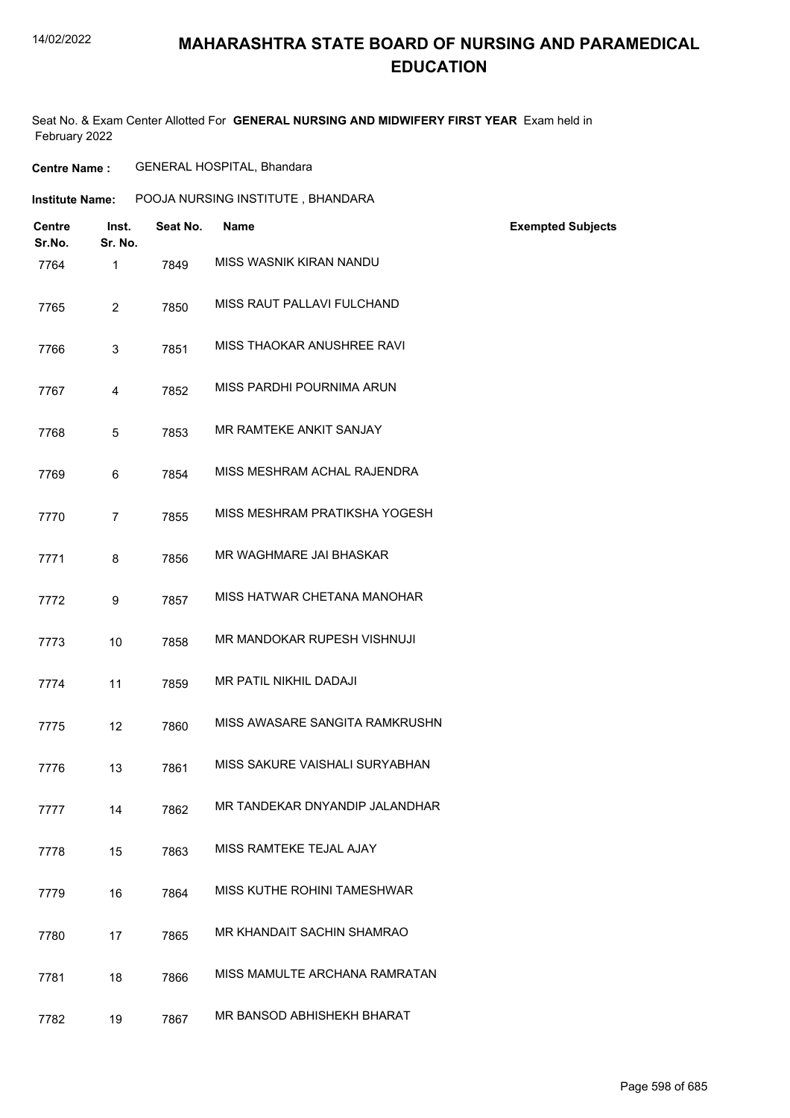## **MAHARASHTRA STATE BOARD OF NURSING AND PARAMEDICAL EDUCATION**

Seat No. & Exam Center Allotted For **GENERAL NURSING AND MIDWIFERY FIRST YEAR** Exam held in February 2022

| Seat No. | <b>Name</b>                    | <b>Exempted Subjects</b>          |  |
|----------|--------------------------------|-----------------------------------|--|
| 7849     | MISS WASNIK KIRAN NANDU        |                                   |  |
| 7850     | MISS RAUT PALLAVI FULCHAND     |                                   |  |
| 7851     | MISS THAOKAR ANUSHREE RAVI     |                                   |  |
| 7852     | MISS PARDHI POURNIMA ARUN      |                                   |  |
| 7853     | MR RAMTEKE ANKIT SANJAY        |                                   |  |
| 7854     | MISS MESHRAM ACHAL RAJENDRA    |                                   |  |
| 7855     | MISS MESHRAM PRATIKSHA YOGESH  |                                   |  |
| 7856     | MR WAGHMARE JAI BHASKAR        |                                   |  |
| 7857     | MISS HATWAR CHETANA MANOHAR    |                                   |  |
| 7858     | MR MANDOKAR RUPESH VISHNUJI    |                                   |  |
| 7859     | MR PATIL NIKHIL DADAJI         |                                   |  |
| 7860     | MISS AWASARE SANGITA RAMKRUSHN |                                   |  |
| 7861     | MISS SAKURE VAISHALI SURYABHAN |                                   |  |
| 7862     | MR TANDEKAR DNYANDIP JALANDHAR |                                   |  |
| 7863     | MISS RAMTEKE TEJAL AJAY        |                                   |  |
| 7864     | MISS KUTHE ROHINI TAMESHWAR    |                                   |  |
| 7865     | MR KHANDAIT SACHIN SHAMRAO     |                                   |  |
| 7866     | MISS MAMULTE ARCHANA RAMRATAN  |                                   |  |
| 7867     | MR BANSOD ABHISHEKH BHARAT     |                                   |  |
|          |                                | POOJA NURSING INSTITUTE, BHANDARA |  |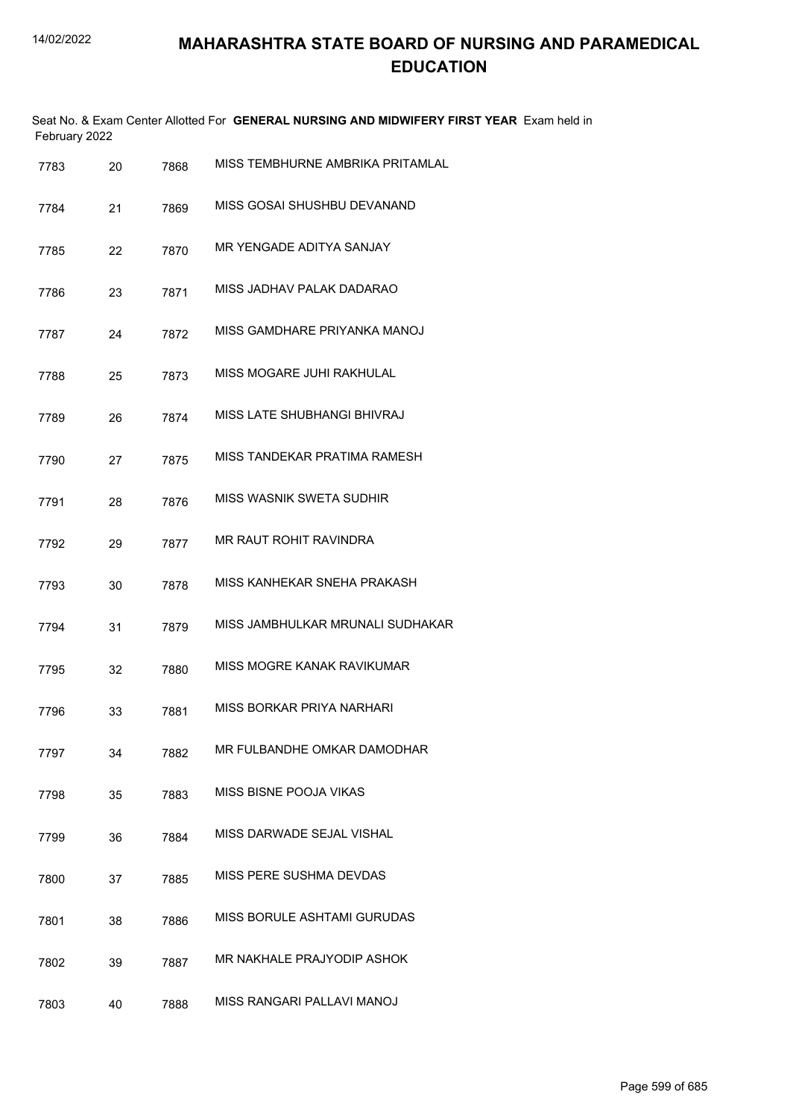|      | February 2022 |      | Seat No. & Exam Center Allotted For GENERAL NURSING AND MIDWIFERY FIRST YEAR Exam held in |
|------|---------------|------|-------------------------------------------------------------------------------------------|
| 7783 | 20            | 7868 | MISS TEMBHURNE AMBRIKA PRITAMLAL                                                          |
| 7784 | 21            | 7869 | MISS GOSAI SHUSHBU DEVANAND                                                               |
| 7785 | 22            | 7870 | MR YENGADE ADITYA SANJAY                                                                  |
| 7786 | 23            | 7871 | MISS JADHAV PALAK DADARAO                                                                 |
| 7787 | 24            | 7872 | MISS GAMDHARE PRIYANKA MANOJ                                                              |
| 7788 | 25            | 7873 | MISS MOGARE JUHI RAKHULAL                                                                 |
| 7789 | 26            | 7874 | MISS LATE SHUBHANGI BHIVRAJ                                                               |
| 7790 | 27            | 7875 | MISS TANDEKAR PRATIMA RAMESH                                                              |
| 7791 | 28            | 7876 | MISS WASNIK SWETA SUDHIR                                                                  |
| 7792 | 29            | 7877 | MR RAUT ROHIT RAVINDRA                                                                    |
| 7793 | 30            | 7878 | MISS KANHEKAR SNEHA PRAKASH                                                               |
| 7794 | 31            | 7879 | MISS JAMBHULKAR MRUNALI SUDHAKAR                                                          |
| 7795 | 32            | 7880 | MISS MOGRE KANAK RAVIKUMAR                                                                |
| 7796 | 33            | 7881 | MISS BORKAR PRIYA NARHARI                                                                 |
| 7797 | 34            | 7882 | MR FULBANDHE OMKAR DAMODHAR                                                               |
| 7798 | 35            | 7883 | MISS BISNE POOJA VIKAS                                                                    |
| 7799 | 36            | 7884 | MISS DARWADE SEJAL VISHAL                                                                 |
| 7800 | 37            | 7885 | MISS PERE SUSHMA DEVDAS                                                                   |
| 7801 | 38            | 7886 | MISS BORULE ASHTAMI GURUDAS                                                               |
| 7802 | 39            | 7887 | MR NAKHALE PRAJYODIP ASHOK                                                                |
| 7803 | 40            | 7888 | MISS RANGARI PALLAVI MANOJ                                                                |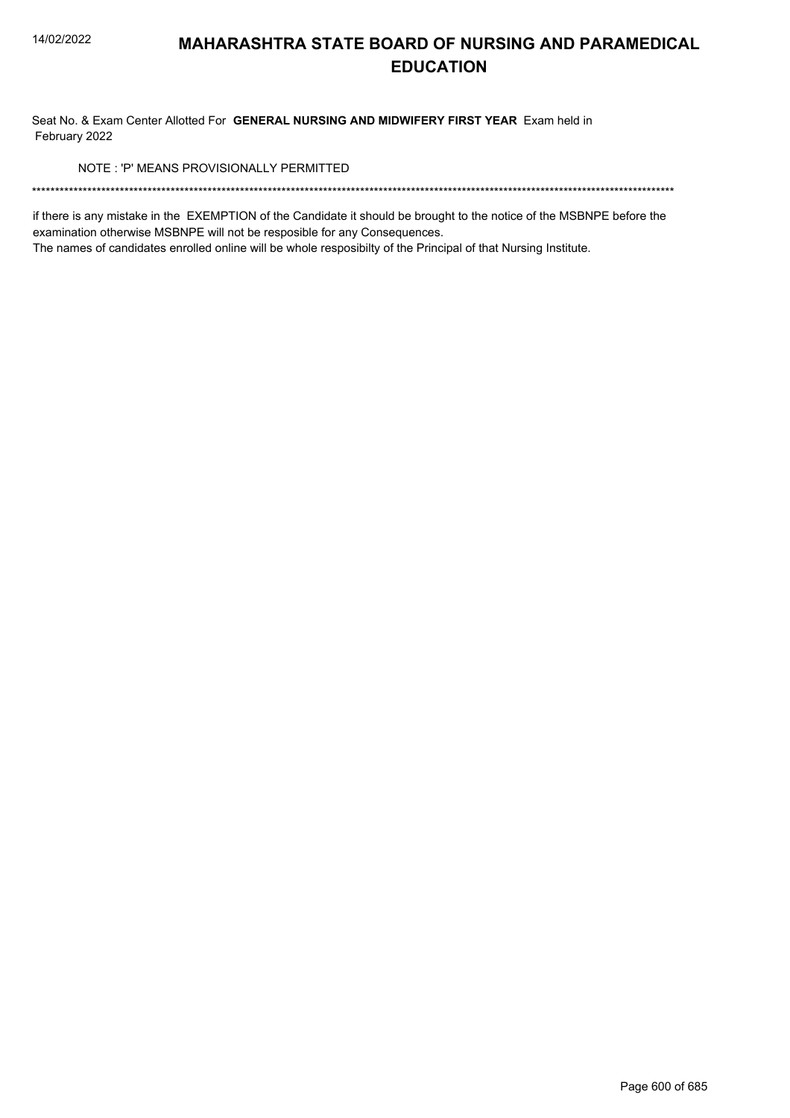Seat No. & Exam Center Allotted For GENERAL NURSING AND MIDWIFERY FIRST YEAR Exam held in February 2022

NOTE: 'P' MEANS PROVISIONALLY PERMITTED

if there is any mistake in the EXEMPTION of the Candidate it should be brought to the notice of the MSBNPE before the examination otherwise MSBNPE will not be resposible for any Consequences.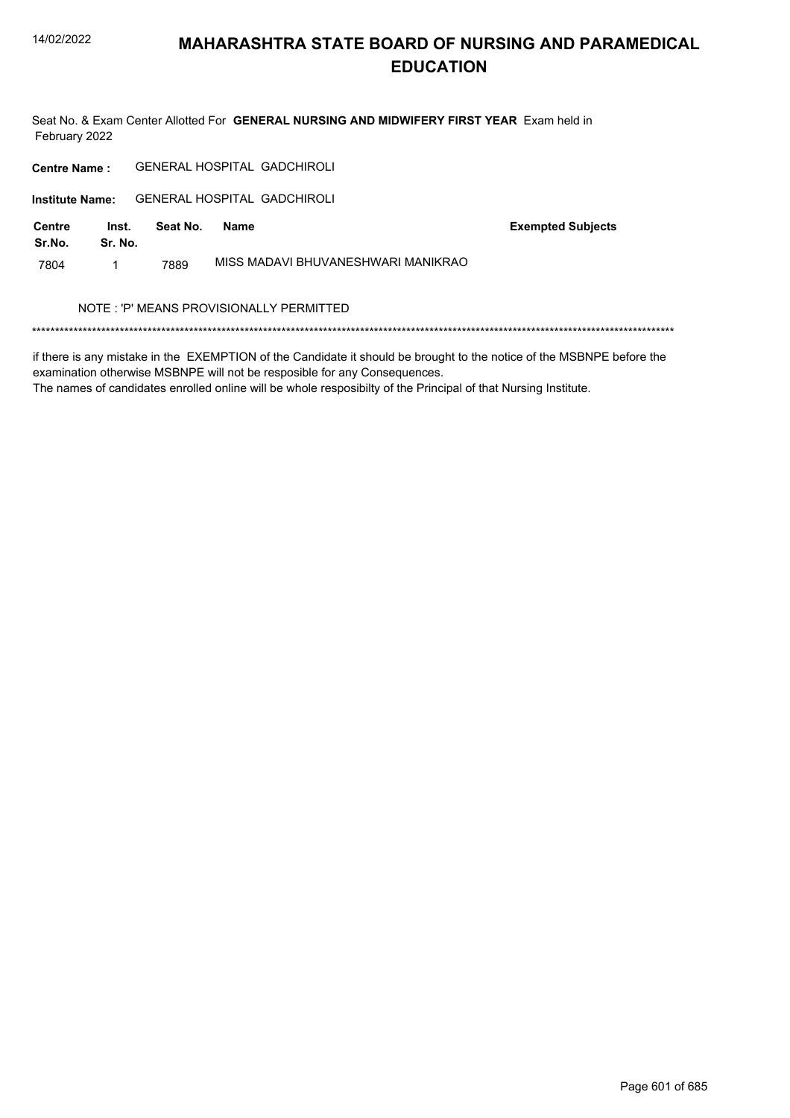Seat No. & Exam Center Allotted For GENERAL NURSING AND MIDWIFERY FIRST YEAR Exam held in February 2022

| <b>Centre Name:</b>    |                  |          |      | <b>GENERAL HOSPITAL GADCHIROLI</b>       |
|------------------------|------------------|----------|------|------------------------------------------|
| <b>Institute Name:</b> |                  |          |      | GENERAI HOSPITAI GADCHIROI I             |
| Centre<br>Sr.No.       | Inst.<br>Sr. No. | Seat No. | Name | <b>Exempted Subjects</b>                 |
| 7804                   |                  | 7889     |      | MISS MADAVI BHUVANESHWARI MANIKRAO       |
|                        |                  |          |      | NOTE : 'P' MEANS PROVISIONALLY PERMITTED |
|                        |                  |          |      |                                          |

if there is any mistake in the EXEMPTION of the Candidate it should be brought to the notice of the MSBNPE before the examination otherwise MSBNPE will not be resposible for any Consequences.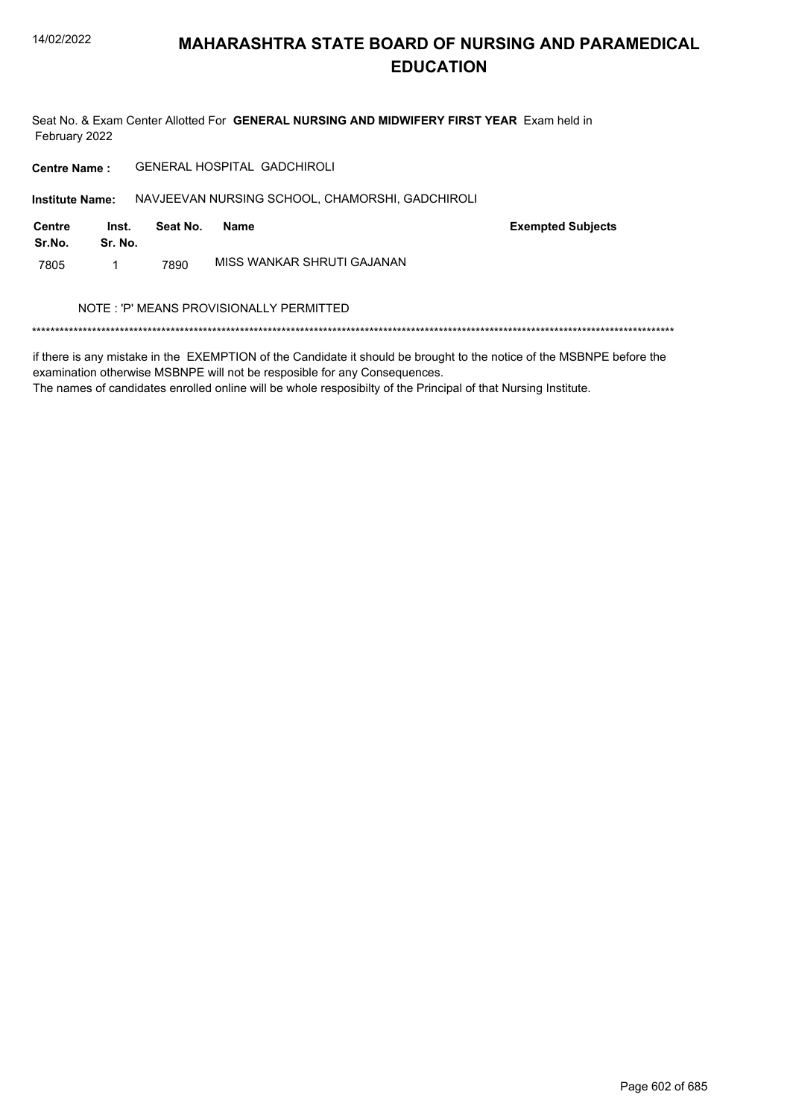Seat No. & Exam Center Allotted For GENERAL NURSING AND MIDWIFERY FIRST YEAR Exam held in February 2022

GENERAL HOSPITAL GADCHIROLI **Centre Name:** 

Institute Name: NAVJEEVAN NURSING SCHOOL, CHAMORSHI, GADCHIROLI

| Centre<br>Sr.No. | Inst.<br>Sr. No. | Seat No. | Name                       | <b>Exempted Subjects</b> |
|------------------|------------------|----------|----------------------------|--------------------------|
| 7805             |                  | 7890     | MISS WANKAR SHRUTI GAJANAN |                          |

#### NOTE : 'P' MEANS PROVISIONALLY PERMITTED

if there is any mistake in the EXEMPTION of the Candidate it should be brought to the notice of the MSBNPE before the examination otherwise MSBNPE will not be resposible for any Consequences.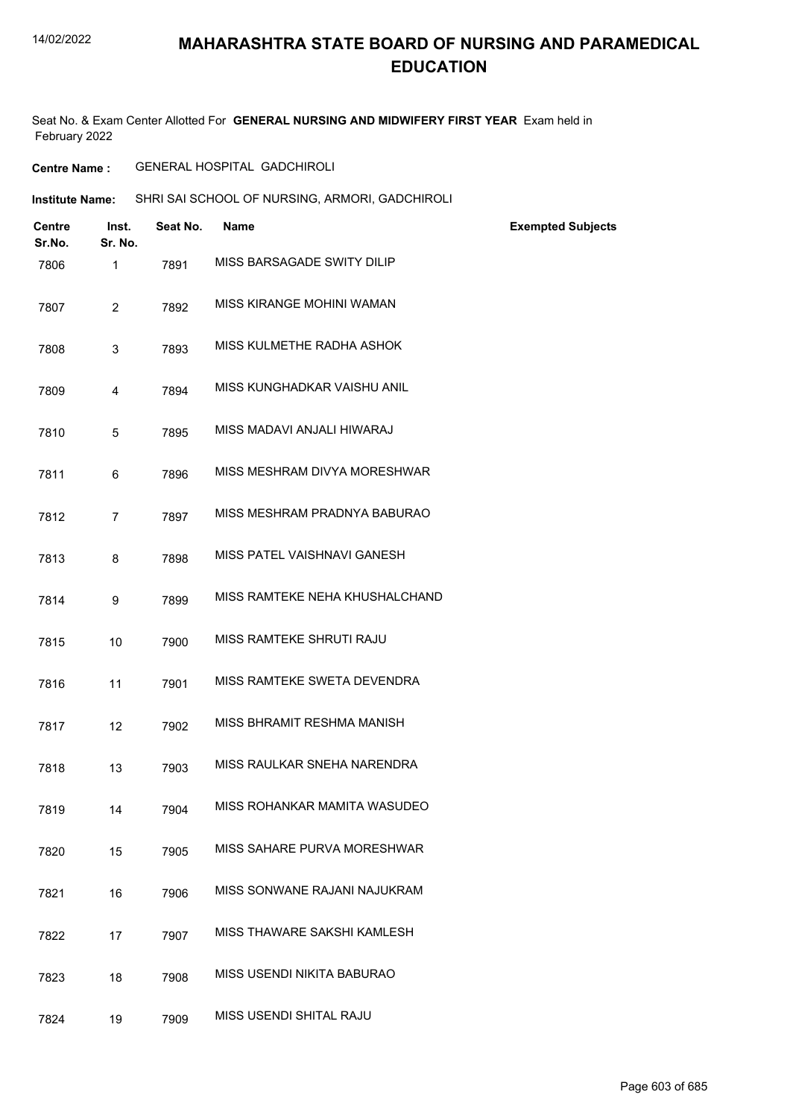### **MAHARASHTRA STATE BOARD OF NURSING AND PARAMEDICAL EDUCATION**

Seat No. & Exam Center Allotted For **GENERAL NURSING AND MIDWIFERY FIRST YEAR** Exam held in February 2022

**Centre Name :** GENERAL HOSPITAL GADCHIROLI

**Institute Name:** SHRI SAI SCHOOL OF NURSING, ARMORI, GADCHIROLI

| <b>Centre</b><br>Sr.No. | Inst.<br>Sr. No. | Seat No. | <b>Name</b>                    | <b>Exempted Subjects</b> |
|-------------------------|------------------|----------|--------------------------------|--------------------------|
| 7806                    | 1                | 7891     | MISS BARSAGADE SWITY DILIP     |                          |
| 7807                    | $\overline{2}$   | 7892     | MISS KIRANGE MOHINI WAMAN      |                          |
| 7808                    | 3                | 7893     | MISS KULMETHE RADHA ASHOK      |                          |
| 7809                    | $\overline{4}$   | 7894     | MISS KUNGHADKAR VAISHU ANIL    |                          |
| 7810                    | 5                | 7895     | MISS MADAVI ANJALI HIWARAJ     |                          |
| 7811                    | 6                | 7896     | MISS MESHRAM DIVYA MORESHWAR   |                          |
| 7812                    | $\overline{7}$   | 7897     | MISS MESHRAM PRADNYA BABURAO   |                          |
| 7813                    | 8                | 7898     | MISS PATEL VAISHNAVI GANESH    |                          |
| 7814                    | 9                | 7899     | MISS RAMTEKE NEHA KHUSHALCHAND |                          |
| 7815                    | 10               | 7900     | MISS RAMTEKE SHRUTI RAJU       |                          |
| 7816                    | 11               | 7901     | MISS RAMTEKE SWETA DEVENDRA    |                          |
| 7817                    | 12               | 7902     | MISS BHRAMIT RESHMA MANISH     |                          |
| 7818                    | 13               | 7903     | MISS RAULKAR SNEHA NARENDRA    |                          |
| 7819                    | 14               | 7904     | MISS ROHANKAR MAMITA WASUDEO   |                          |
| 7820                    | 15               | 7905     | MISS SAHARE PURVA MORESHWAR    |                          |
| 7821                    | 16               | 7906     | MISS SONWANE RAJANI NAJUKRAM   |                          |
| 7822                    | 17               | 7907     | MISS THAWARE SAKSHI KAMLESH    |                          |
| 7823                    | 18               | 7908     | MISS USENDI NIKITA BABURAO     |                          |
| 7824                    | 19               | 7909     | MISS USENDI SHITAL RAJU        |                          |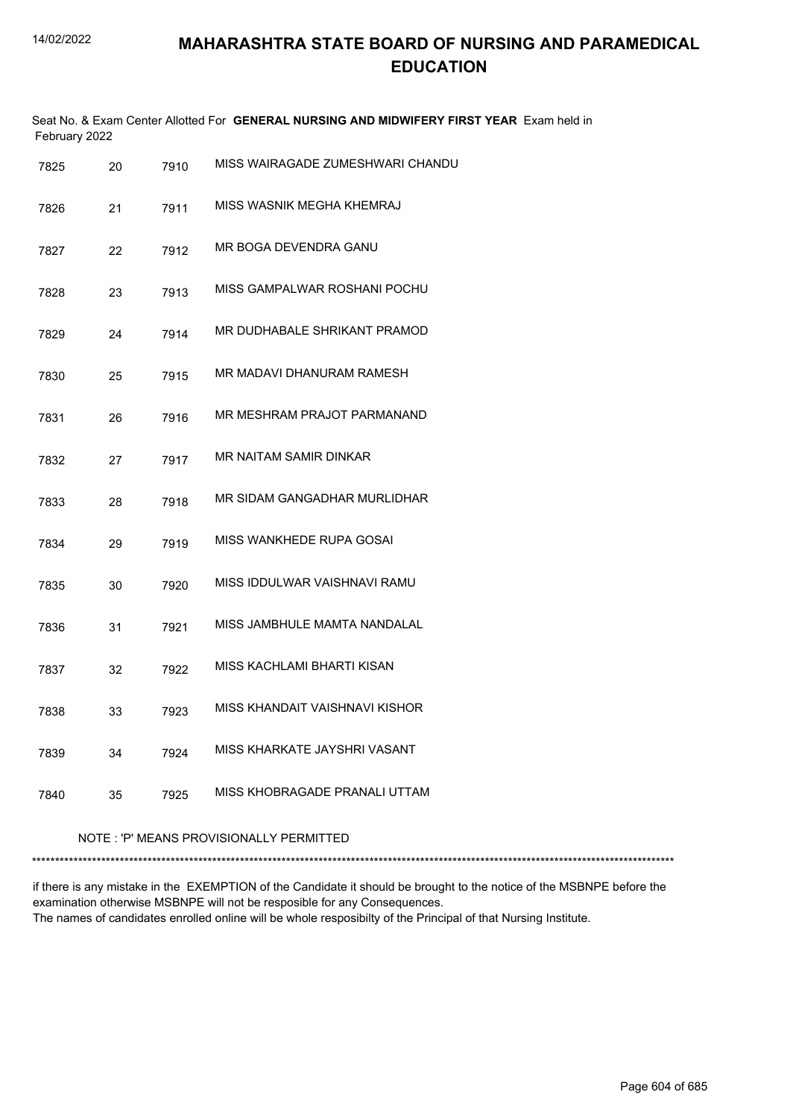| February 2022 |    |      | Seat No. & Exam Center Allotted For GENERAL NURSING AND MIDWIFERY FIRST YEAR Exam held in |
|---------------|----|------|-------------------------------------------------------------------------------------------|
| 7825          | 20 | 7910 | MISS WAIRAGADE ZUMESHWARI CHANDU                                                          |
| 7826          | 21 | 7911 | MISS WASNIK MEGHA KHEMRAJ                                                                 |
| 7827          | 22 | 7912 | MR BOGA DEVENDRA GANU                                                                     |
| 7828          | 23 | 7913 | MISS GAMPALWAR ROSHANI POCHU                                                              |
| 7829          | 24 | 7914 | MR DUDHABALE SHRIKANT PRAMOD                                                              |
| 7830          | 25 | 7915 | MR MADAVI DHANURAM RAMESH                                                                 |
| 7831          | 26 | 7916 | MR MESHRAM PRAJOT PARMANAND                                                               |
| 7832          | 27 | 7917 | MR NAITAM SAMIR DINKAR                                                                    |
| 7833          | 28 | 7918 | MR SIDAM GANGADHAR MURLIDHAR                                                              |
| 7834          | 29 | 7919 | MISS WANKHEDE RUPA GOSAI                                                                  |
| 7835          | 30 | 7920 | MISS IDDULWAR VAISHNAVI RAMU                                                              |
| 7836          | 31 | 7921 | MISS JAMBHULE MAMTA NANDALAL                                                              |
| 7837          | 32 | 7922 | MISS KACHLAMI BHARTI KISAN                                                                |
| 7838          | 33 | 7923 | MISS KHANDAIT VAISHNAVI KISHOR                                                            |
| 7839          | 34 | 7924 | MISS KHARKATE JAYSHRI VASANT                                                              |
| 7840          | 35 | 7925 | MISS KHOBRAGADE PRANALI UTTAM                                                             |

#### NOTE : 'P' MEANS PROVISIONALLY PERMITTED

\*\*\*\*\*\*\*\*\*\*\*\*\*\*\*\*\*\*\*\*\*\*\*\*\*\*\*\*\*\*\*\*\*\*\*\*\*\*\*\*\*\*\*\*\*\*\*\*\*\*\*\*\*\*\*\*\*\*\*\*\*\*\*\*\*\*\*\*\*\*\*\*\*\*\*\*\*\*\*\*\*\*\*\*\*\*\*\*\*\*\*\*\*\*\*\*\*\*\*\*\*\*\*\*\*\*\*\*\*\*\*\*\*\*\*\*\*\*\*\*\*\*\*\*\*\*\*\*\*\*\*\*\*\*\*\*\*\*\*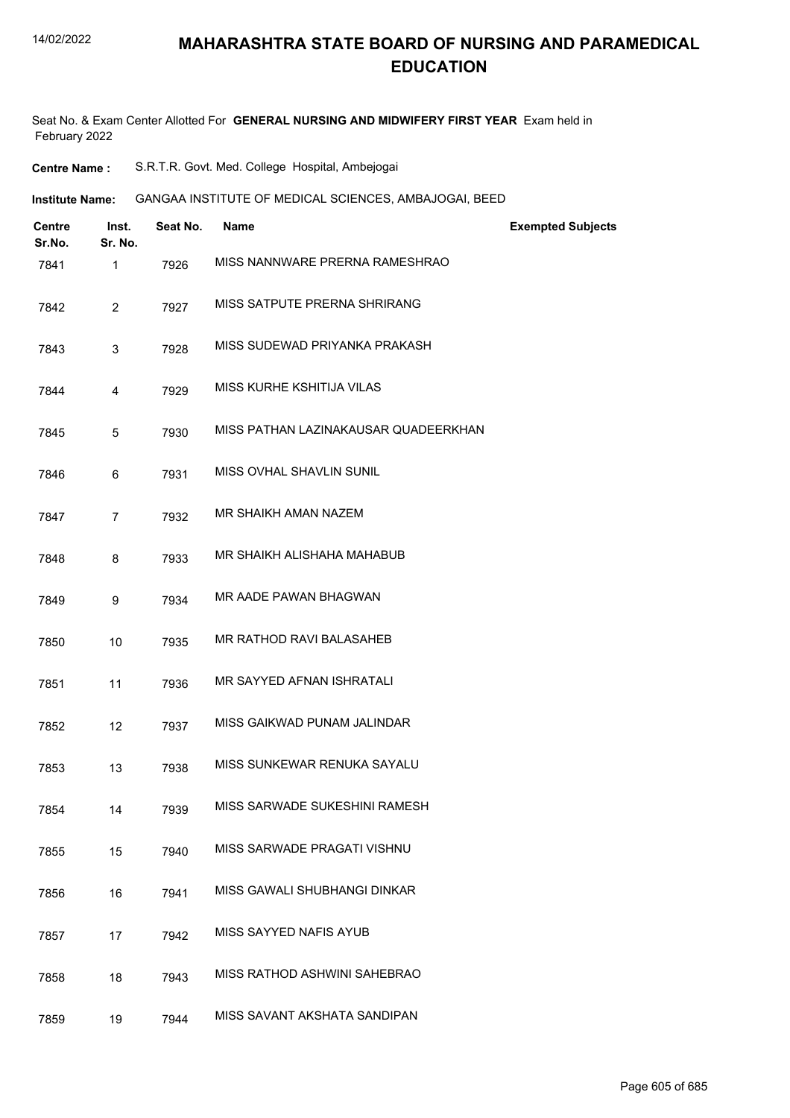Seat No. & Exam Center Allotted For **GENERAL NURSING AND MIDWIFERY FIRST YEAR** Exam held in February 2022

| <b>Centre Name :</b> |  |  | S.R.T.R. Govt. Med. College Hospital, Ambejogai |
|----------------------|--|--|-------------------------------------------------|
|----------------------|--|--|-------------------------------------------------|

**Institute Name: GANGAA INSTITUTE OF MEDICAL SCIENCES, AMBAJOGAI, BEED** 

| <b>Centre</b><br>Sr.No. | Inst.<br>Sr. No. | Seat No. | <b>Name</b>                          | <b>Exempted Subjects</b> |
|-------------------------|------------------|----------|--------------------------------------|--------------------------|
| 7841                    | 1                | 7926     | MISS NANNWARE PRERNA RAMESHRAO       |                          |
| 7842                    | $\overline{2}$   | 7927     | MISS SATPUTE PRERNA SHRIRANG         |                          |
| 7843                    | 3                | 7928     | MISS SUDEWAD PRIYANKA PRAKASH        |                          |
| 7844                    | 4                | 7929     | MISS KURHE KSHITIJA VILAS            |                          |
| 7845                    | 5                | 7930     | MISS PATHAN LAZINAKAUSAR QUADEERKHAN |                          |
| 7846                    | 6                | 7931     | MISS OVHAL SHAVLIN SUNIL             |                          |
| 7847                    | $\overline{7}$   | 7932     | MR SHAIKH AMAN NAZEM                 |                          |
| 7848                    | 8                | 7933     | MR SHAIKH ALISHAHA MAHABUB           |                          |
| 7849                    | 9                | 7934     | MR AADE PAWAN BHAGWAN                |                          |
| 7850                    | 10               | 7935     | MR RATHOD RAVI BALASAHEB             |                          |
| 7851                    | 11               | 7936     | MR SAYYED AFNAN ISHRATALI            |                          |
| 7852                    | 12               | 7937     | MISS GAIKWAD PUNAM JALINDAR          |                          |
| 7853                    | 13               | 7938     | MISS SUNKEWAR RENUKA SAYALU          |                          |
| 7854                    | 14               | 7939     | MISS SARWADE SUKESHINI RAMESH        |                          |
| 7855                    | 15               | 7940     | MISS SARWADE PRAGATI VISHNU          |                          |
| 7856                    | 16               | 7941     | MISS GAWALI SHUBHANGI DINKAR         |                          |
| 7857                    | 17               | 7942     | MISS SAYYED NAFIS AYUB               |                          |
| 7858                    | 18               | 7943     | MISS RATHOD ASHWINI SAHEBRAO         |                          |
| 7859                    | 19               | 7944     | MISS SAVANT AKSHATA SANDIPAN         |                          |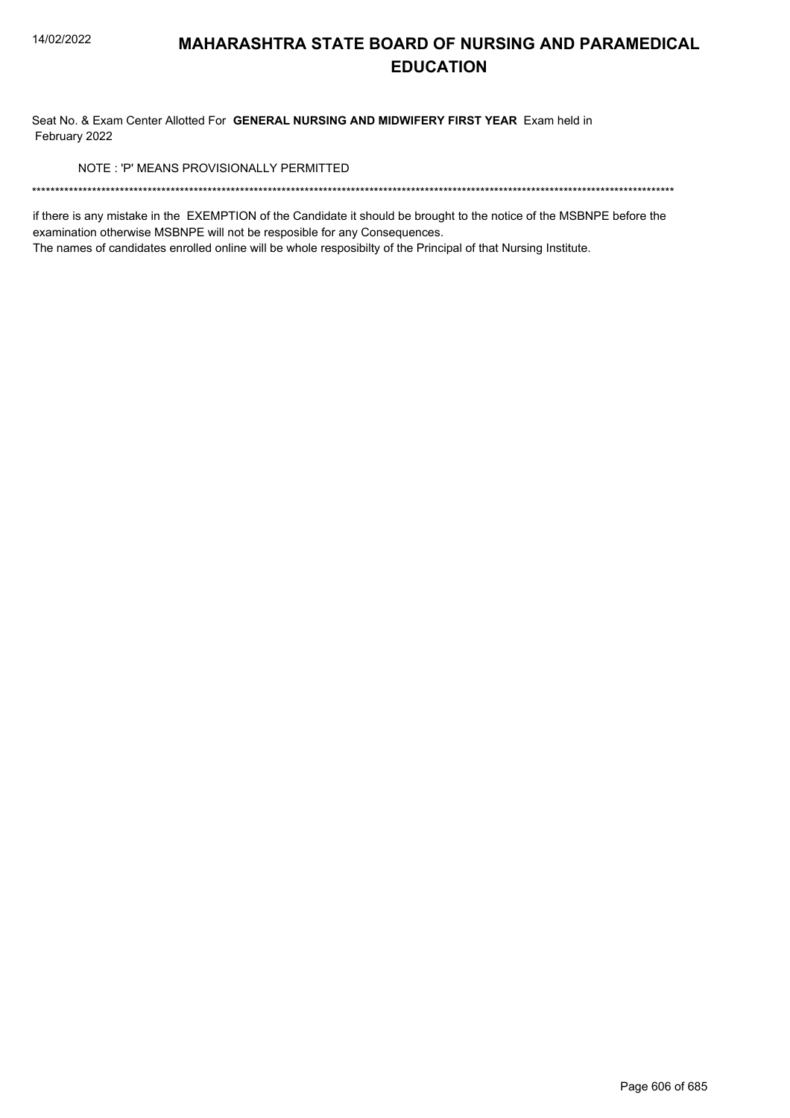Seat No. & Exam Center Allotted For GENERAL NURSING AND MIDWIFERY FIRST YEAR Exam held in February 2022

NOTE: 'P' MEANS PROVISIONALLY PERMITTED

if there is any mistake in the EXEMPTION of the Candidate it should be brought to the notice of the MSBNPE before the examination otherwise MSBNPE will not be resposible for any Consequences.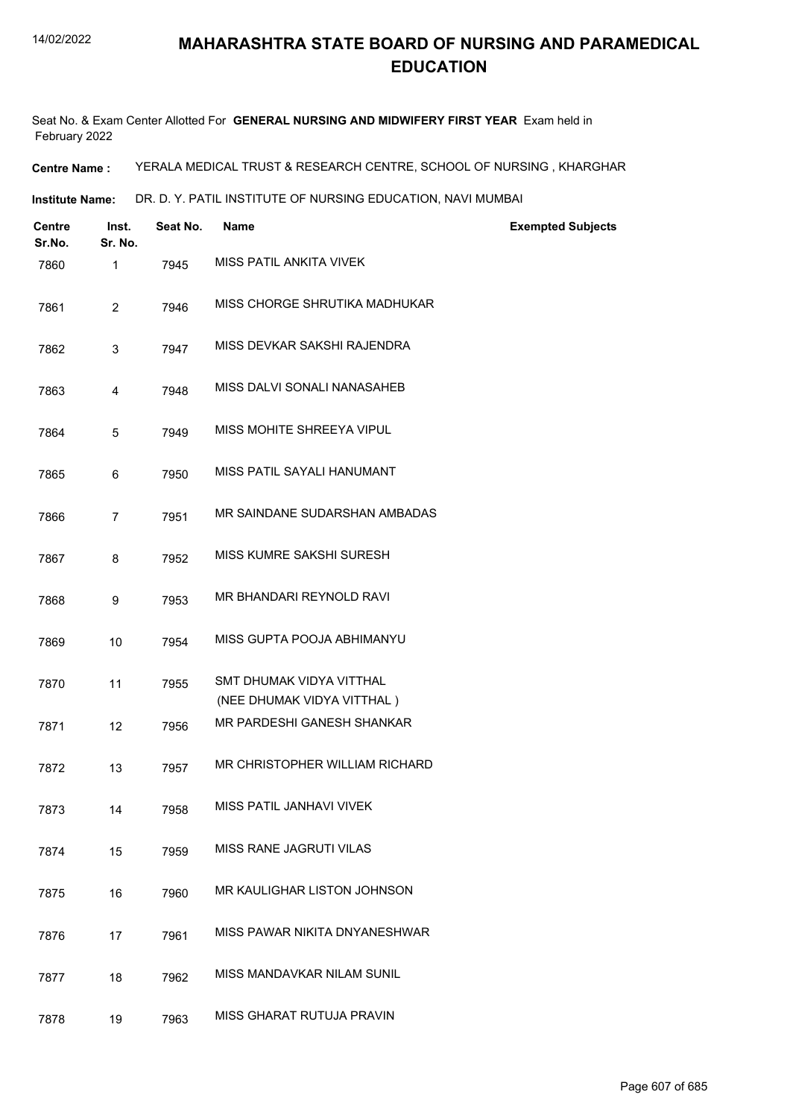Seat No. & Exam Center Allotted For **GENERAL NURSING AND MIDWIFERY FIRST YEAR** Exam held in February 2022

**Centre Name :** YERALA MEDICAL TRUST & RESEARCH CENTRE, SCHOOL OF NURSING , KHARGHAR

**Institute Name:** DR. D. Y. PATIL INSTITUTE OF NURSING EDUCATION, NAVI MUMBAI

| Centre<br>Sr.No. | Inst.<br>Sr. No. | Seat No. | <b>Name</b>                                            | <b>Exempted Subjects</b> |
|------------------|------------------|----------|--------------------------------------------------------|--------------------------|
| 7860             | 1                | 7945     | MISS PATIL ANKITA VIVEK                                |                          |
| 7861             | $\overline{2}$   | 7946     | MISS CHORGE SHRUTIKA MADHUKAR                          |                          |
| 7862             | 3                | 7947     | MISS DEVKAR SAKSHI RAJENDRA                            |                          |
| 7863             | 4                | 7948     | MISS DALVI SONALI NANASAHEB                            |                          |
| 7864             | 5                | 7949     | MISS MOHITE SHREEYA VIPUL                              |                          |
| 7865             | 6                | 7950     | MISS PATIL SAYALI HANUMANT                             |                          |
| 7866             | $\overline{7}$   | 7951     | MR SAINDANE SUDARSHAN AMBADAS                          |                          |
| 7867             | 8                | 7952     | MISS KUMRE SAKSHI SURESH                               |                          |
| 7868             | 9                | 7953     | MR BHANDARI REYNOLD RAVI                               |                          |
| 7869             | 10               | 7954     | MISS GUPTA POOJA ABHIMANYU                             |                          |
| 7870             | 11               | 7955     | SMT DHUMAK VIDYA VITTHAL<br>(NEE DHUMAK VIDYA VITTHAL) |                          |
| 7871             | 12               | 7956     | MR PARDESHI GANESH SHANKAR                             |                          |
| 7872             | 13               | 7957     | MR CHRISTOPHER WILLIAM RICHARD                         |                          |
| 7873             | 14               | 7958     | MISS PATIL JANHAVI VIVEK                               |                          |
| 7874             | 15               | 7959     | MISS RANE JAGRUTI VILAS                                |                          |
| 7875             | 16               | 7960     | MR KAULIGHAR LISTON JOHNSON                            |                          |
| 7876             | 17               | 7961     | MISS PAWAR NIKITA DNYANESHWAR                          |                          |
| 7877             | 18               | 7962     | MISS MANDAVKAR NILAM SUNIL                             |                          |
| 7878             | 19               | 7963     | MISS GHARAT RUTUJA PRAVIN                              |                          |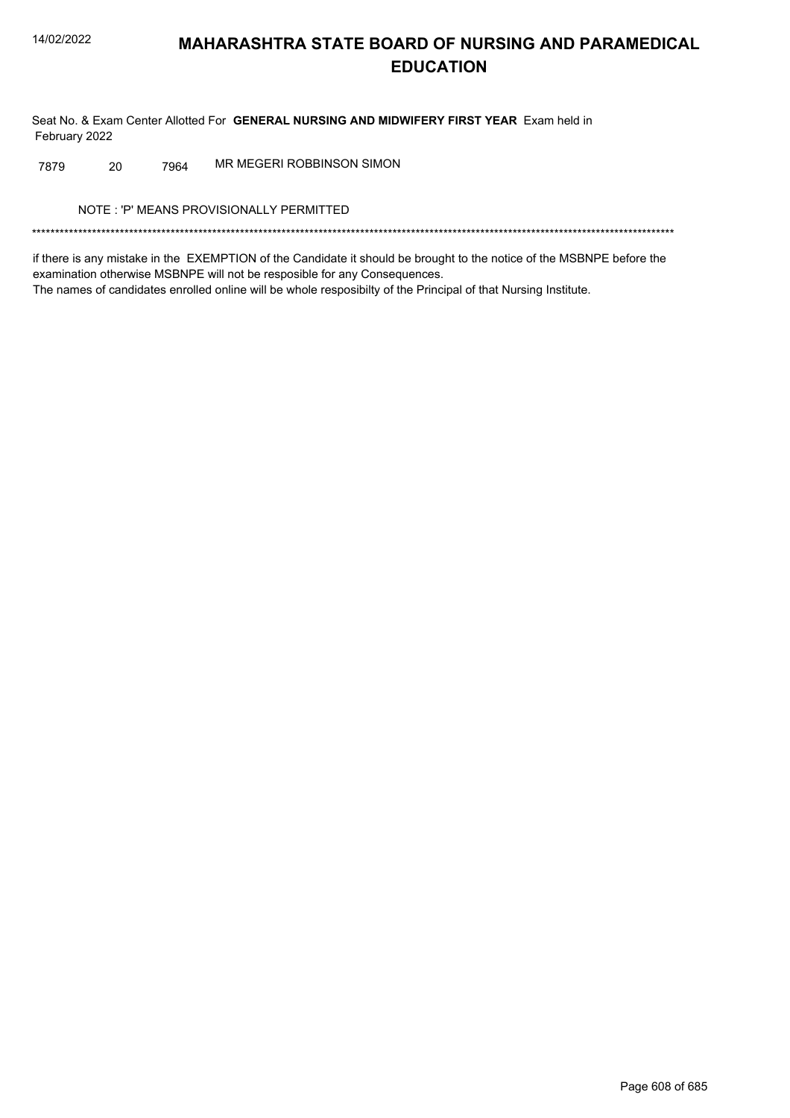Seat No. & Exam Center Allotted For GENERAL NURSING AND MIDWIFERY FIRST YEAR Exam held in February 2022

MR MEGERI ROBBINSON SIMON 7879 20 7964

NOTE: 'P' MEANS PROVISIONALLY PERMITTED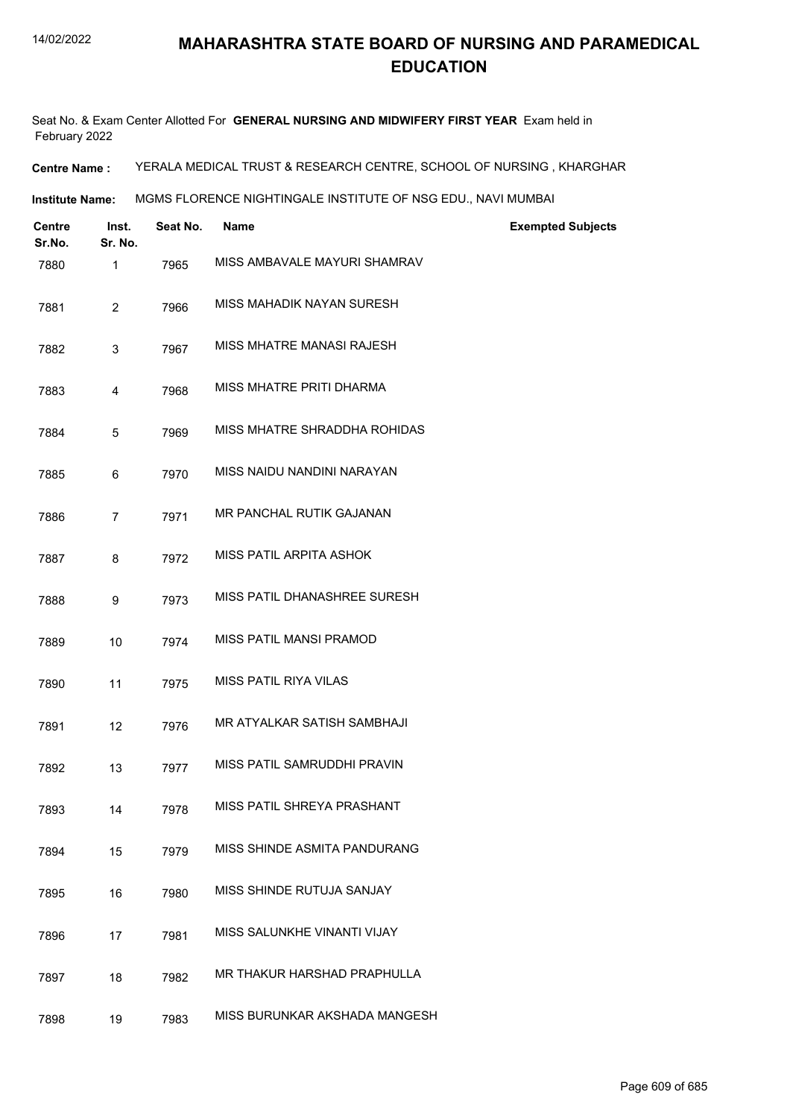Seat No. & Exam Center Allotted For **GENERAL NURSING AND MIDWIFERY FIRST YEAR** Exam held in February 2022

**Centre Name :** YERALA MEDICAL TRUST & RESEARCH CENTRE, SCHOOL OF NURSING , KHARGHAR

**Institute Name: MGMS FLORENCE NIGHTINGALE INSTITUTE OF NSG EDU., NAVI MUMBAI** 

| <b>Centre</b><br>Sr.No. | Inst.<br>Sr. No. | Seat No. | <b>Name</b>                   | <b>Exempted Subjects</b> |
|-------------------------|------------------|----------|-------------------------------|--------------------------|
| 7880                    | 1                | 7965     | MISS AMBAVALE MAYURI SHAMRAV  |                          |
| 7881                    | $\overline{2}$   | 7966     | MISS MAHADIK NAYAN SURESH     |                          |
| 7882                    | 3                | 7967     | MISS MHATRE MANASI RAJESH     |                          |
| 7883                    | 4                | 7968     | MISS MHATRE PRITI DHARMA      |                          |
| 7884                    | 5                | 7969     | MISS MHATRE SHRADDHA ROHIDAS  |                          |
| 7885                    | 6                | 7970     | MISS NAIDU NANDINI NARAYAN    |                          |
| 7886                    | $\overline{7}$   | 7971     | MR PANCHAL RUTIK GAJANAN      |                          |
| 7887                    | 8                | 7972     | MISS PATIL ARPITA ASHOK       |                          |
| 7888                    | 9                | 7973     | MISS PATIL DHANASHREE SURESH  |                          |
| 7889                    | 10               | 7974     | MISS PATIL MANSI PRAMOD       |                          |
| 7890                    | 11               | 7975     | MISS PATIL RIYA VILAS         |                          |
| 7891                    | 12               | 7976     | MR ATYALKAR SATISH SAMBHAJI   |                          |
| 7892                    | 13               | 7977     | MISS PATIL SAMRUDDHI PRAVIN   |                          |
| 7893                    | 14               | 7978     | MISS PATIL SHREYA PRASHANT    |                          |
| 7894                    | 15               | 7979     | MISS SHINDE ASMITA PANDURANG  |                          |
| 7895                    | 16               | 7980     | MISS SHINDE RUTUJA SANJAY     |                          |
| 7896                    | 17               | 7981     | MISS SALUNKHE VINANTI VIJAY   |                          |
| 7897                    | 18               | 7982     | MR THAKUR HARSHAD PRAPHULLA   |                          |
| 7898                    | 19               | 7983     | MISS BURUNKAR AKSHADA MANGESH |                          |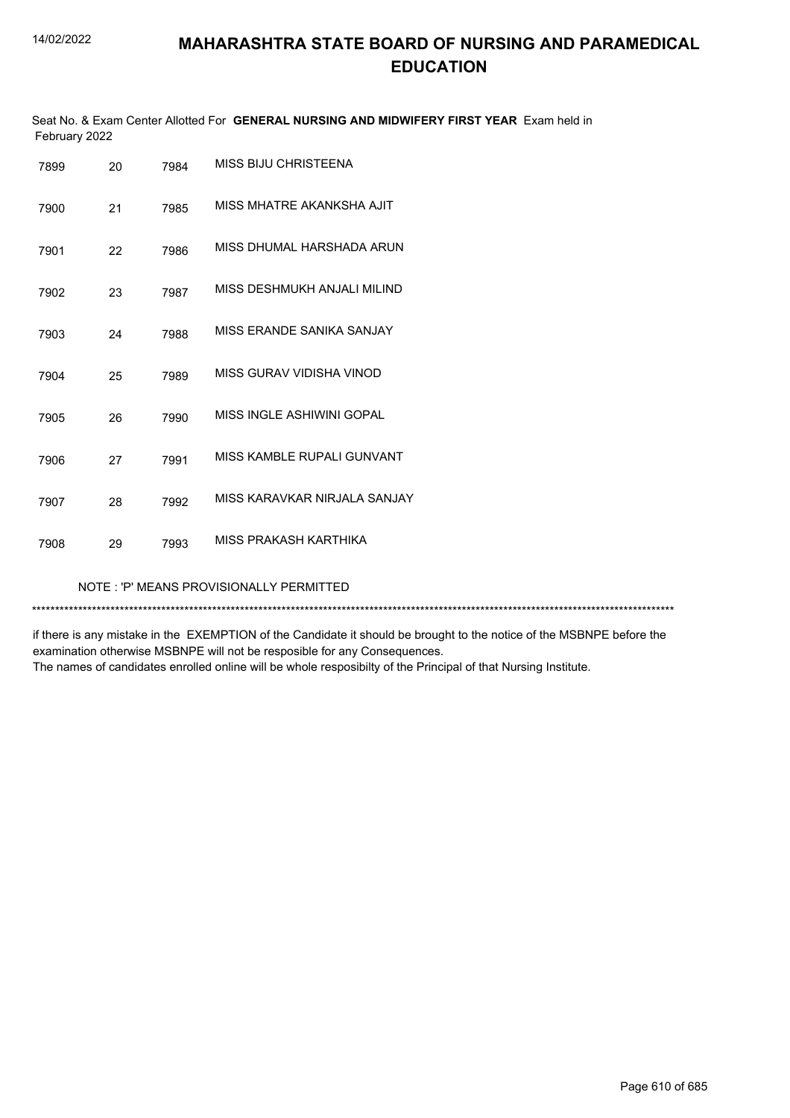Seat No. & Exam Center Allotted For **GENERAL NURSING AND MIDWIFERY FIRST YEAR** Exam held in February 2022

| 7899 | 20                                      | 7984 | MISS BIJU CHRISTEENA         |  |
|------|-----------------------------------------|------|------------------------------|--|
| 7900 | 21                                      | 7985 | MISS MHATRE AKANKSHA AJIT    |  |
| 7901 | 22                                      | 7986 | MISS DHUMAL HARSHADA ARUN    |  |
| 7902 | 23                                      | 7987 | MISS DESHMUKH ANJALI MILIND  |  |
| 7903 | 24                                      | 7988 | MISS ERANDE SANIKA SANJAY    |  |
| 7904 | 25                                      | 7989 | MISS GURAV VIDISHA VINOD     |  |
| 7905 | 26                                      | 7990 | MISS INGLE ASHIWINI GOPAL    |  |
| 7906 | 27                                      | 7991 | MISS KAMBLE RUPALI GUNVANT   |  |
| 7907 | 28                                      | 7992 | MISS KARAVKAR NIRJALA SANJAY |  |
| 7908 | 29                                      | 7993 | MISS PRAKASH KARTHIKA        |  |
|      | NOTE: 'P' MEANS PROVISIONALLY PERMITTED |      |                              |  |

\*\*\*\*\*\*\*\*\*\*\*\*\*\*\*\*\*\*\*\*\*\*\*\*\*\*\*\*\*\*\*\*\*\*\*\*\*\*\*\*\*\*\*\*\*\*\*\*\*\*\*\*\*\*\*\*\*\*\*\*\*\*\*\*\*\*\*\*\*\*\*\*\*\*\*\*\*\*\*\*\*\*\*\*\*\*\*\*\*\*\*\*\*\*\*\*\*\*\*\*\*\*\*\*\*\*\*\*\*\*\*\*\*\*\*\*\*\*\*\*\*\*\*\*\*\*\*\*\*\*\*\*\*\*\*\*\*\*\*

if there is any mistake in the EXEMPTION of the Candidate it should be brought to the notice of the MSBNPE before the examination otherwise MSBNPE will not be resposible for any Consequences.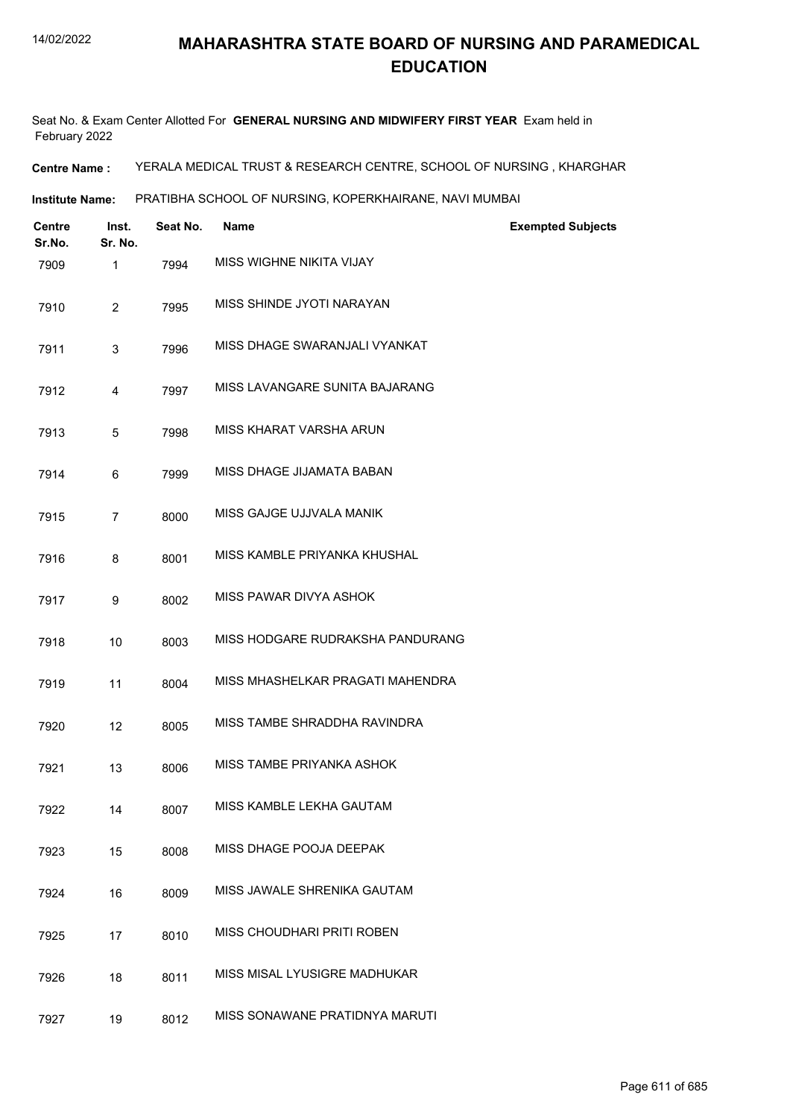Seat No. & Exam Center Allotted For **GENERAL NURSING AND MIDWIFERY FIRST YEAR** Exam held in February 2022

**Centre Name :** YERALA MEDICAL TRUST & RESEARCH CENTRE, SCHOOL OF NURSING , KHARGHAR

**Institute Name: PRATIBHA SCHOOL OF NURSING, KOPERKHAIRANE, NAVI MUMBAI** 

| <b>Centre</b><br>Sr.No. | Inst.<br>Sr. No. | Seat No. | <b>Name</b>                      | <b>Exempted Subjects</b> |
|-------------------------|------------------|----------|----------------------------------|--------------------------|
| 7909                    | 1                | 7994     | MISS WIGHNE NIKITA VIJAY         |                          |
| 7910                    | 2                | 7995     | MISS SHINDE JYOTI NARAYAN        |                          |
| 7911                    | 3                | 7996     | MISS DHAGE SWARANJALI VYANKAT    |                          |
| 7912                    | 4                | 7997     | MISS LAVANGARE SUNITA BAJARANG   |                          |
| 7913                    | 5                | 7998     | MISS KHARAT VARSHA ARUN          |                          |
| 7914                    | 6                | 7999     | MISS DHAGE JIJAMATA BABAN        |                          |
| 7915                    | 7                | 8000     | MISS GAJGE UJJVALA MANIK         |                          |
| 7916                    | 8                | 8001     | MISS KAMBLE PRIYANKA KHUSHAL     |                          |
| 7917                    | 9                | 8002     | MISS PAWAR DIVYA ASHOK           |                          |
| 7918                    | 10               | 8003     | MISS HODGARE RUDRAKSHA PANDURANG |                          |
| 7919                    | 11               | 8004     | MISS MHASHELKAR PRAGATI MAHENDRA |                          |
| 7920                    | 12               | 8005     | MISS TAMBE SHRADDHA RAVINDRA     |                          |
| 7921                    | 13               | 8006     | MISS TAMBE PRIYANKA ASHOK        |                          |
| 7922                    | 14               | 8007     | MISS KAMBLE LEKHA GAUTAM         |                          |
| 7923                    | 15               | 8008     | MISS DHAGE POOJA DEEPAK          |                          |
| 7924                    | 16               | 8009     | MISS JAWALE SHRENIKA GAUTAM      |                          |
| 7925                    | 17               | 8010     | MISS CHOUDHARI PRITI ROBEN       |                          |
| 7926                    | 18               | 8011     | MISS MISAL LYUSIGRE MADHUKAR     |                          |
| 7927                    | 19               | 8012     | MISS SONAWANE PRATIDNYA MARUTI   |                          |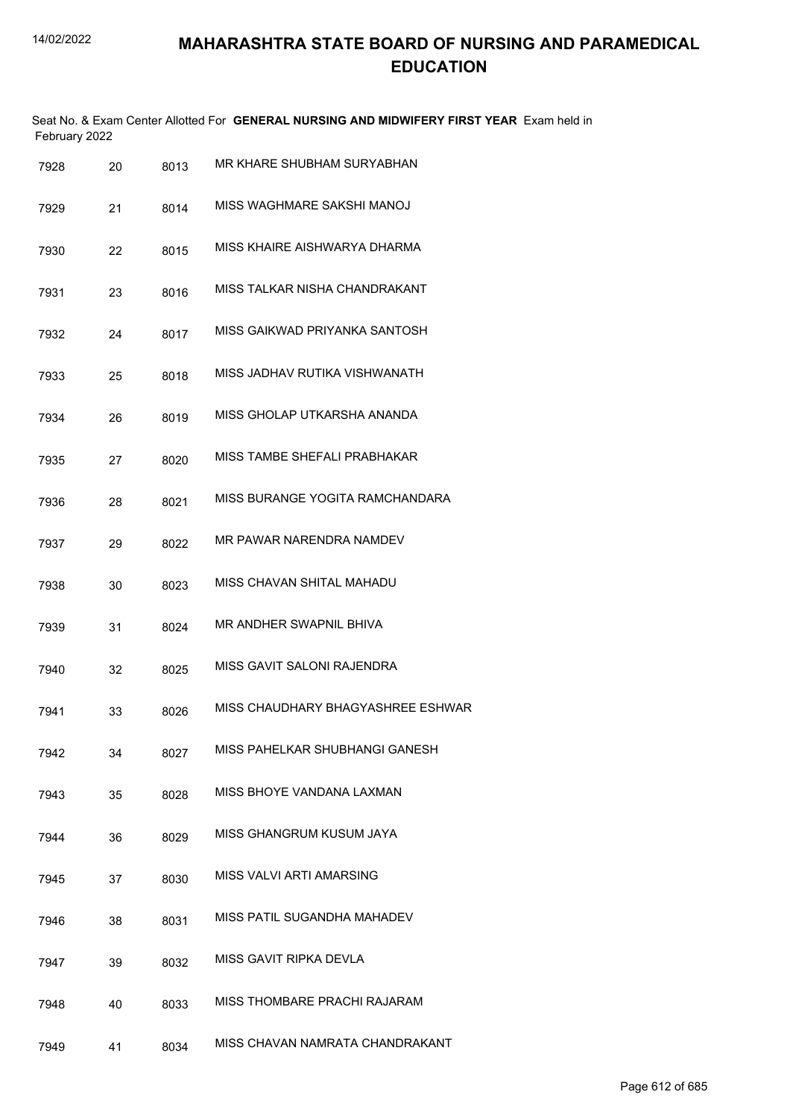|               | Seat No. & Exam Center Allotted For GENERAL NURSING AND MIDWIFERY FIRST YEAR Exam held in |  |
|---------------|-------------------------------------------------------------------------------------------|--|
| February 2022 |                                                                                           |  |

| 7928 | 20 | 8013 | MR KHARE SHUBHAM SURYABHAN        |
|------|----|------|-----------------------------------|
| 7929 | 21 | 8014 | MISS WAGHMARE SAKSHI MANOJ        |
| 7930 | 22 | 8015 | MISS KHAIRE AISHWARYA DHARMA      |
| 7931 | 23 | 8016 | MISS TALKAR NISHA CHANDRAKANT     |
| 7932 | 24 | 8017 | MISS GAIKWAD PRIYANKA SANTOSH     |
| 7933 | 25 | 8018 | MISS JADHAV RUTIKA VISHWANATH     |
| 7934 | 26 | 8019 | MISS GHOLAP UTKARSHA ANANDA       |
| 7935 | 27 | 8020 | MISS TAMBE SHEFALI PRABHAKAR      |
| 7936 | 28 | 8021 | MISS BURANGE YOGITA RAMCHANDARA   |
| 7937 | 29 | 8022 | MR PAWAR NARENDRA NAMDEV          |
| 7938 | 30 | 8023 | MISS CHAVAN SHITAL MAHADU         |
| 7939 | 31 | 8024 | MR ANDHER SWAPNIL BHIVA           |
| 7940 | 32 | 8025 | MISS GAVIT SALONI RAJENDRA        |
| 7941 | 33 | 8026 | MISS CHAUDHARY BHAGYASHREE ESHWAR |
| 7942 | 34 | 8027 | MISS PAHELKAR SHUBHANGI GANESH    |
| 7943 | 35 | 8028 | MISS BHOYE VANDANA LAXMAN         |
| 7944 | 36 | 8029 | MISS GHANGRUM KUSUM JAYA          |
| 7945 | 37 | 8030 | MISS VALVI ARTI AMARSING          |
| 7946 | 38 | 8031 | MISS PATIL SUGANDHA MAHADEV       |
| 7947 | 39 | 8032 | MISS GAVIT RIPKA DEVLA            |
| 7948 | 40 | 8033 | MISS THOMBARE PRACHI RAJARAM      |
| 7949 | 41 | 8034 | MISS CHAVAN NAMRATA CHANDRAKANT   |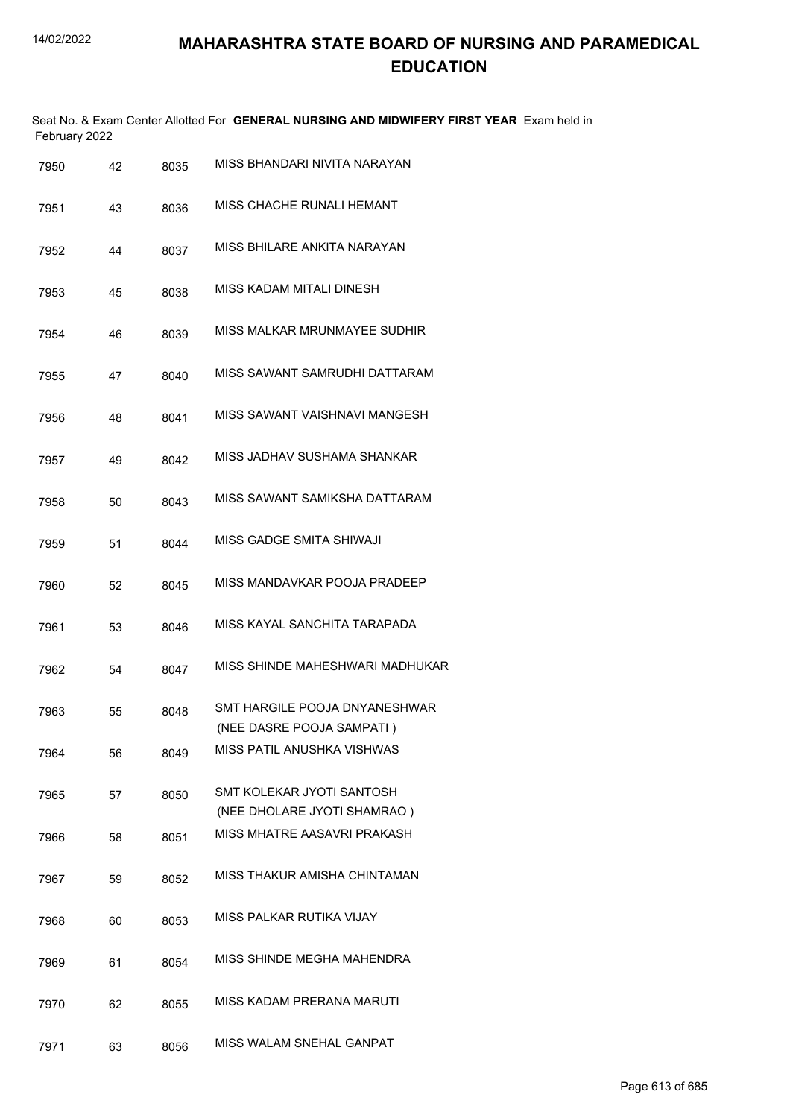Seat No. & Exam Center Allotted For **GENERAL NURSING AND MIDWIFERY FIRST YEAR** Exam held in February 2022

| 7950 | 42 | 8035 | MISS BHANDARI NIVITA NARAYAN                               |
|------|----|------|------------------------------------------------------------|
| 7951 | 43 | 8036 | MISS CHACHE RUNALI HEMANT                                  |
| 7952 | 44 | 8037 | MISS BHILARE ANKITA NARAYAN                                |
| 7953 | 45 | 8038 | MISS KADAM MITALI DINESH                                   |
| 7954 | 46 | 8039 | MISS MALKAR MRUNMAYEE SUDHIR                               |
| 7955 | 47 | 8040 | MISS SAWANT SAMRUDHI DATTARAM                              |
| 7956 | 48 | 8041 | MISS SAWANT VAISHNAVI MANGESH                              |
| 7957 | 49 | 8042 | MISS JADHAV SUSHAMA SHANKAR                                |
| 7958 | 50 | 8043 | MISS SAWANT SAMIKSHA DATTARAM                              |
| 7959 | 51 | 8044 | MISS GADGE SMITA SHIWAJI                                   |
| 7960 | 52 | 8045 | MISS MANDAVKAR POOJA PRADEEP                               |
| 7961 | 53 | 8046 | MISS KAYAL SANCHITA TARAPADA                               |
| 7962 | 54 | 8047 | MISS SHINDE MAHESHWARI MADHUKAR                            |
| 7963 | 55 | 8048 | SMT HARGILE POOJA DNYANESHWAR<br>(NEE DASRE POOJA SAMPATI) |
| 7964 | 56 | 8049 | MISS PATIL ANUSHKA VISHWAS                                 |
| 7965 | 57 | 8050 | SMT KOLEKAR JYOTI SANTOSH<br>(NEE DHOLARE JYOTI SHAMRAO)   |
| 7966 | 58 | 8051 | MISS MHATRE AASAVRI PRAKASH                                |
| 7967 | 59 | 8052 | MISS THAKUR AMISHA CHINTAMAN                               |
| 7968 | 60 | 8053 | MISS PALKAR RUTIKA VIJAY                                   |
| 7969 | 61 | 8054 | MISS SHINDE MEGHA MAHENDRA                                 |
| 7970 | 62 | 8055 | <b>MISS KADAM PRERANA MARUTI</b>                           |
| 7971 | 63 | 8056 | MISS WALAM SNEHAL GANPAT                                   |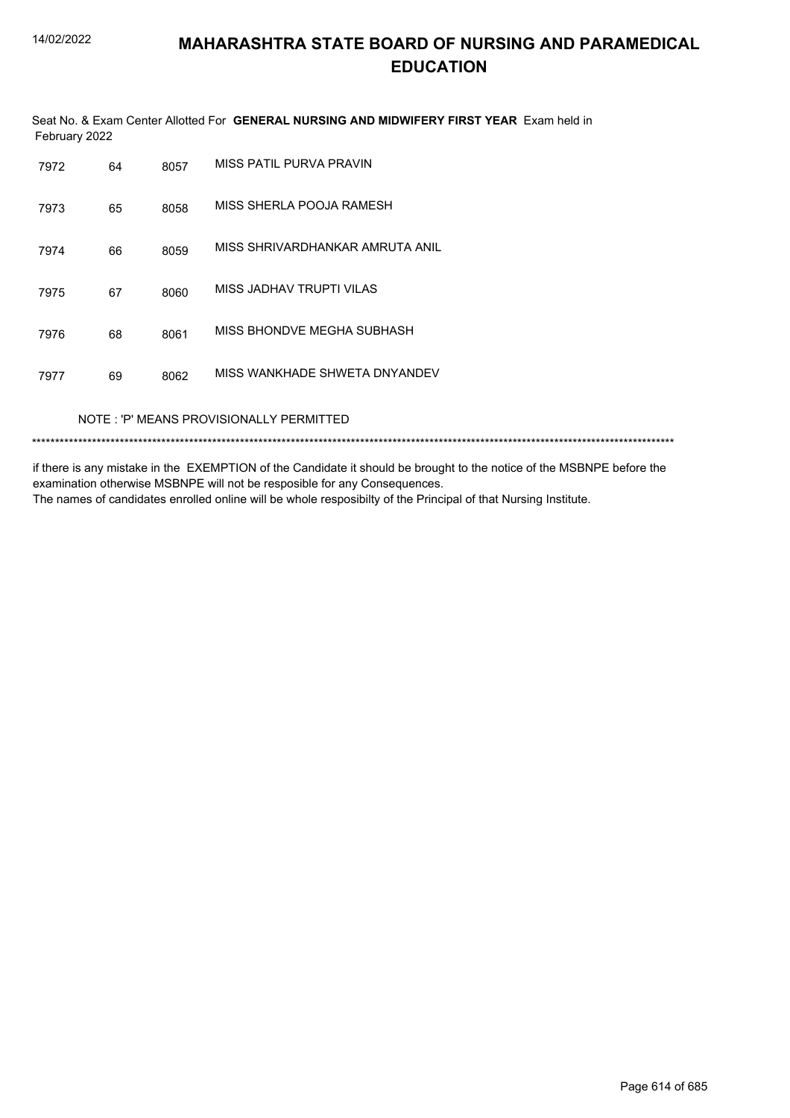Seat No. & Exam Center Allotted For **GENERAL NURSING AND MIDWIFERY FIRST YEAR** Exam held in February 2022

| 7972 | 64 | 8057 | MISS PATIL PURVA PRAVIN         |
|------|----|------|---------------------------------|
| 7973 | 65 | 8058 | MISS SHERLA POOJA RAMESH        |
| 7974 | 66 | 8059 | MISS SHRIVARDHANKAR AMRUTA ANIL |
| 7975 | 67 | 8060 | MISS JADHAV TRUPTI VILAS        |
| 7976 | 68 | 8061 | MISS BHONDVE MEGHA SUBHASH      |
| 7977 | 69 | 8062 | MISS WANKHADE SHWETA DNYANDEV   |
|      |    |      |                                 |

#### NOTE : 'P' MEANS PROVISIONALLY PERMITTED

\*\*\*\*\*\*\*\*\*\*\*\*\*\*\*\*\*\*\*\*\*\*\*\*\*\*\*\*\*\*\*\*\*\*\*\*\*\*\*\*\*\*\*\*\*\*\*\*\*\*\*\*\*\*\*\*\*\*\*\*\*\*\*\*\*\*\*\*\*\*\*\*\*\*\*\*\*\*\*\*\*\*\*\*\*\*\*\*\*\*\*\*\*\*\*\*\*\*\*\*\*\*\*\*\*\*\*\*\*\*\*\*\*\*\*\*\*\*\*\*\*\*\*\*\*\*\*\*\*\*\*\*\*\*\*\*\*\*\*

if there is any mistake in the EXEMPTION of the Candidate it should be brought to the notice of the MSBNPE before the examination otherwise MSBNPE will not be resposible for any Consequences.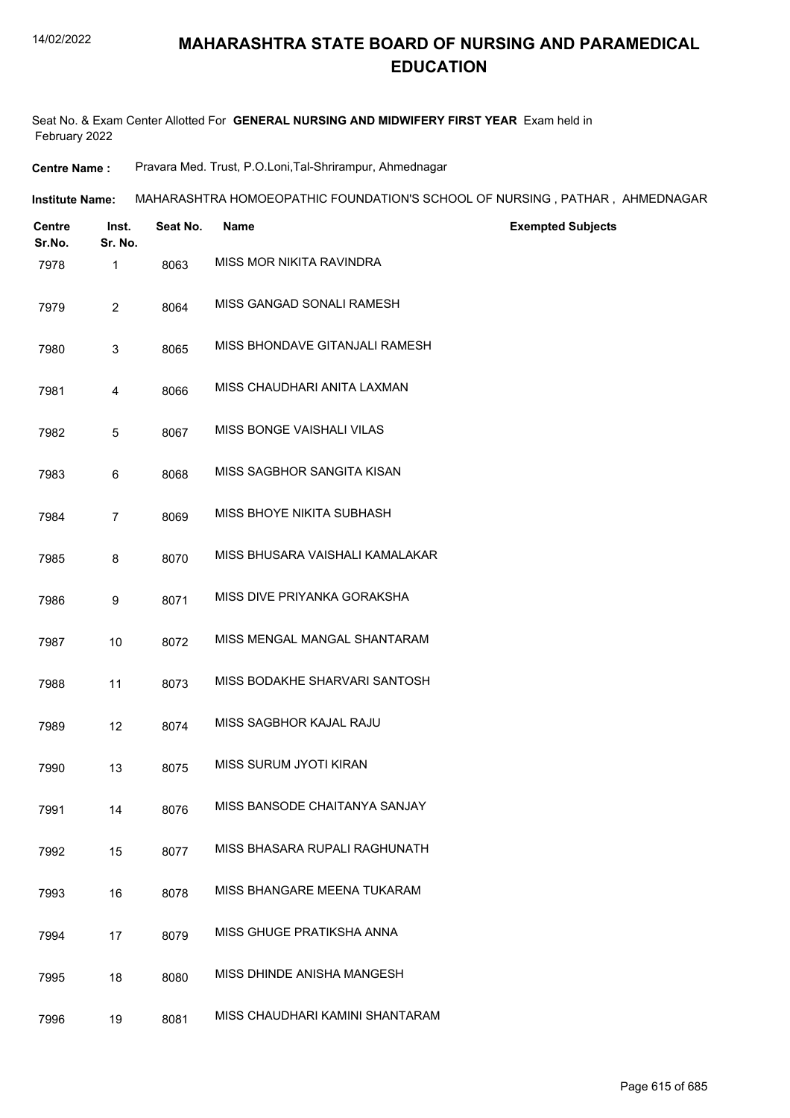Seat No. & Exam Center Allotted For **GENERAL NURSING AND MIDWIFERY FIRST YEAR** Exam held in February 2022

**Centre Name :** Pravara Med. Trust, P.O.Loni,Tal-Shrirampur, Ahmednagar

| <b>Institute Name:</b> | MAHARASHTRA HOMOEOPATHIC FOUNDATION'S SCHOOL OF NURSING , PATHAR , AHMEDNAGAR |  |
|------------------------|-------------------------------------------------------------------------------|--|
|                        |                                                                               |  |

| <b>Centre</b><br>Sr.No. | Inst.<br>Sr. No. | Seat No. | Name                            | <b>Exempted Subjects</b> |
|-------------------------|------------------|----------|---------------------------------|--------------------------|
| 7978                    | 1                | 8063     | MISS MOR NIKITA RAVINDRA        |                          |
| 7979                    | $\overline{2}$   | 8064     | MISS GANGAD SONALI RAMESH       |                          |
| 7980                    | 3                | 8065     | MISS BHONDAVE GITANJALI RAMESH  |                          |
| 7981                    | 4                | 8066     | MISS CHAUDHARI ANITA LAXMAN     |                          |
| 7982                    | $\sqrt{5}$       | 8067     | MISS BONGE VAISHALI VILAS       |                          |
| 7983                    | 6                | 8068     | MISS SAGBHOR SANGITA KISAN      |                          |
| 7984                    | $\overline{7}$   | 8069     | MISS BHOYE NIKITA SUBHASH       |                          |
| 7985                    | 8                | 8070     | MISS BHUSARA VAISHALI KAMALAKAR |                          |
| 7986                    | 9                | 8071     | MISS DIVE PRIYANKA GORAKSHA     |                          |
| 7987                    | 10               | 8072     | MISS MENGAL MANGAL SHANTARAM    |                          |
| 7988                    | 11               | 8073     | MISS BODAKHE SHARVARI SANTOSH   |                          |
| 7989                    | 12               | 8074     | MISS SAGBHOR KAJAL RAJU         |                          |
| 7990                    | 13               | 8075     | MISS SURUM JYOTI KIRAN          |                          |
| 7991                    | 14               | 8076     | MISS BANSODE CHAITANYA SANJAY   |                          |
| 7992                    | 15               | 8077     | MISS BHASARA RUPALI RAGHUNATH   |                          |
| 7993                    | 16               | 8078     | MISS BHANGARE MEENA TUKARAM     |                          |
| 7994                    | 17               | 8079     | MISS GHUGE PRATIKSHA ANNA       |                          |
| 7995                    | 18               | 8080     | MISS DHINDE ANISHA MANGESH      |                          |
| 7996                    | 19               | 8081     | MISS CHAUDHARI KAMINI SHANTARAM |                          |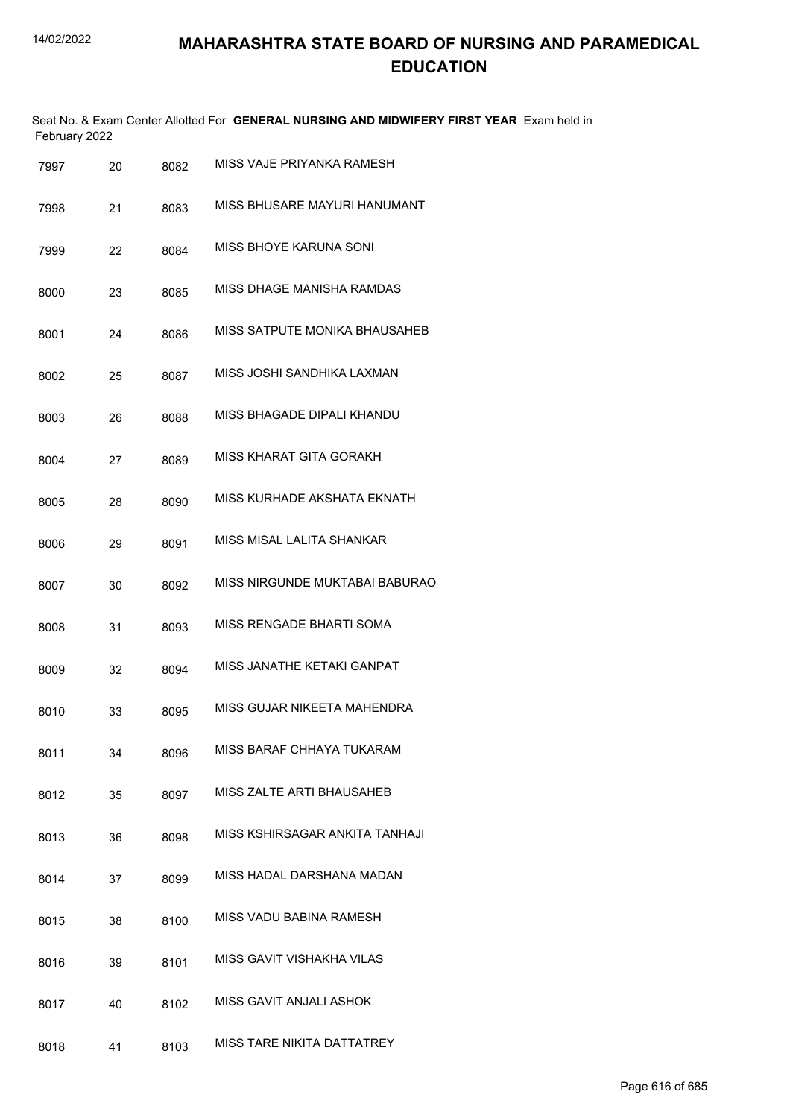| February 2022 |    |      | Seat No. & Exam Center Allotted For GENERAL NURSING AND MIDWIFERY FIRST YEAR Exam held in |
|---------------|----|------|-------------------------------------------------------------------------------------------|
| 7997          | 20 | 8082 | MISS VAJE PRIYANKA RAMESH                                                                 |
| 7998          | 21 | 8083 | MISS BHUSARE MAYURI HANUMANT                                                              |
| 7999          | 22 | 8084 | MISS BHOYE KARUNA SONI                                                                    |
| 8000          | 23 | 8085 | MISS DHAGE MANISHA RAMDAS                                                                 |
| 8001          | 24 | 8086 | MISS SATPUTE MONIKA BHAUSAHEB                                                             |
| 8002          | 25 | 8087 | MISS JOSHI SANDHIKA LAXMAN                                                                |
| 8003          | 26 | 8088 | MISS BHAGADE DIPALI KHANDU                                                                |
| 8004          | 27 | 8089 | MISS KHARAT GITA GORAKH                                                                   |
| 8005          | 28 | 8090 | MISS KURHADE AKSHATA EKNATH                                                               |
| 8006          | 29 | 8091 | MISS MISAL LALITA SHANKAR                                                                 |
| 8007          | 30 | 8092 | MISS NIRGUNDE MUKTABAI BABURAO                                                            |
| 8008          | 31 | 8093 | MISS RENGADE BHARTI SOMA                                                                  |
| 8009          | 32 | 8094 | MISS JANATHE KETAKI GANPAT                                                                |
| 8010          | 33 | 8095 | MISS GUJAR NIKEETA MAHENDRA                                                               |
| 8011          | 34 | 8096 | MISS BARAF CHHAYA TUKARAM                                                                 |
| 8012          | 35 | 8097 | MISS ZALTE ARTI BHAUSAHEB                                                                 |
| 8013          | 36 | 8098 | MISS KSHIRSAGAR ANKITA TANHAJI                                                            |
| 8014          | 37 | 8099 | MISS HADAL DARSHANA MADAN                                                                 |
| 8015          | 38 | 8100 | MISS VADU BABINA RAMESH                                                                   |
| 8016          | 39 | 8101 | MISS GAVIT VISHAKHA VILAS                                                                 |
| 8017          | 40 | 8102 | MISS GAVIT ANJALI ASHOK                                                                   |
| 8018          | 41 | 8103 | MISS TARE NIKITA DATTATREY                                                                |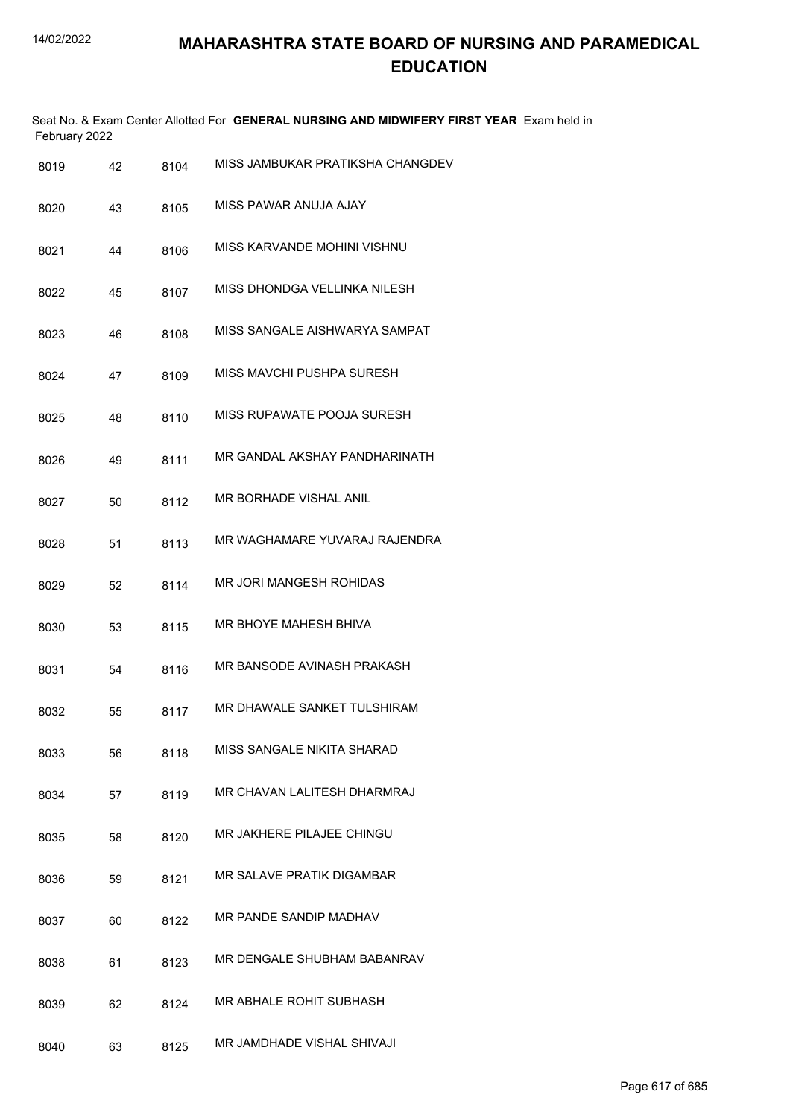|      | February 2022 |    |      | Seat No. & Exam Center Allotted For GENERAL NURSING AND MIDWIFERY FIRST YEAR Exam held in |
|------|---------------|----|------|-------------------------------------------------------------------------------------------|
| 8019 |               | 42 | 8104 | MISS JAMBUKAR PRATIKSHA CHANGDEV                                                          |
| 8020 |               | 43 | 8105 | MISS PAWAR ANUJA AJAY                                                                     |
| 8021 |               | 44 | 8106 | MISS KARVANDE MOHINI VISHNU                                                               |
| 8022 |               | 45 | 8107 | MISS DHONDGA VELLINKA NILESH                                                              |
| 8023 |               | 46 | 8108 | MISS SANGALE AISHWARYA SAMPAT                                                             |
| 8024 |               | 47 | 8109 | MISS MAVCHI PUSHPA SURESH                                                                 |
| 8025 |               | 48 | 8110 | MISS RUPAWATE POOJA SURESH                                                                |
| 8026 |               | 49 | 8111 | MR GANDAL AKSHAY PANDHARINATH                                                             |
| 8027 |               | 50 | 8112 | MR BORHADE VISHAL ANIL                                                                    |
| 8028 |               | 51 | 8113 | MR WAGHAMARE YUVARAJ RAJENDRA                                                             |
| 8029 |               | 52 | 8114 | MR JORI MANGESH ROHIDAS                                                                   |
| 8030 |               | 53 | 8115 | MR BHOYE MAHESH BHIVA                                                                     |
| 8031 |               | 54 | 8116 | MR BANSODE AVINASH PRAKASH                                                                |
| 8032 |               | 55 | 8117 | MR DHAWALE SANKET TULSHIRAM                                                               |
| 8033 |               | 56 | 8118 | MISS SANGALE NIKITA SHARAD                                                                |
| 8034 |               | 57 | 8119 | MR CHAVAN LALITESH DHARMRAJ                                                               |
| 8035 |               | 58 | 8120 | MR JAKHERE PILAJEE CHINGU                                                                 |
| 8036 |               | 59 | 8121 | MR SALAVE PRATIK DIGAMBAR                                                                 |
| 8037 |               | 60 | 8122 | MR PANDE SANDIP MADHAV                                                                    |
| 8038 |               | 61 | 8123 | MR DENGALE SHUBHAM BABANRAV                                                               |
| 8039 |               | 62 | 8124 | MR ABHALE ROHIT SUBHASH                                                                   |
| 8040 |               | 63 | 8125 | MR JAMDHADE VISHAL SHIVAJI                                                                |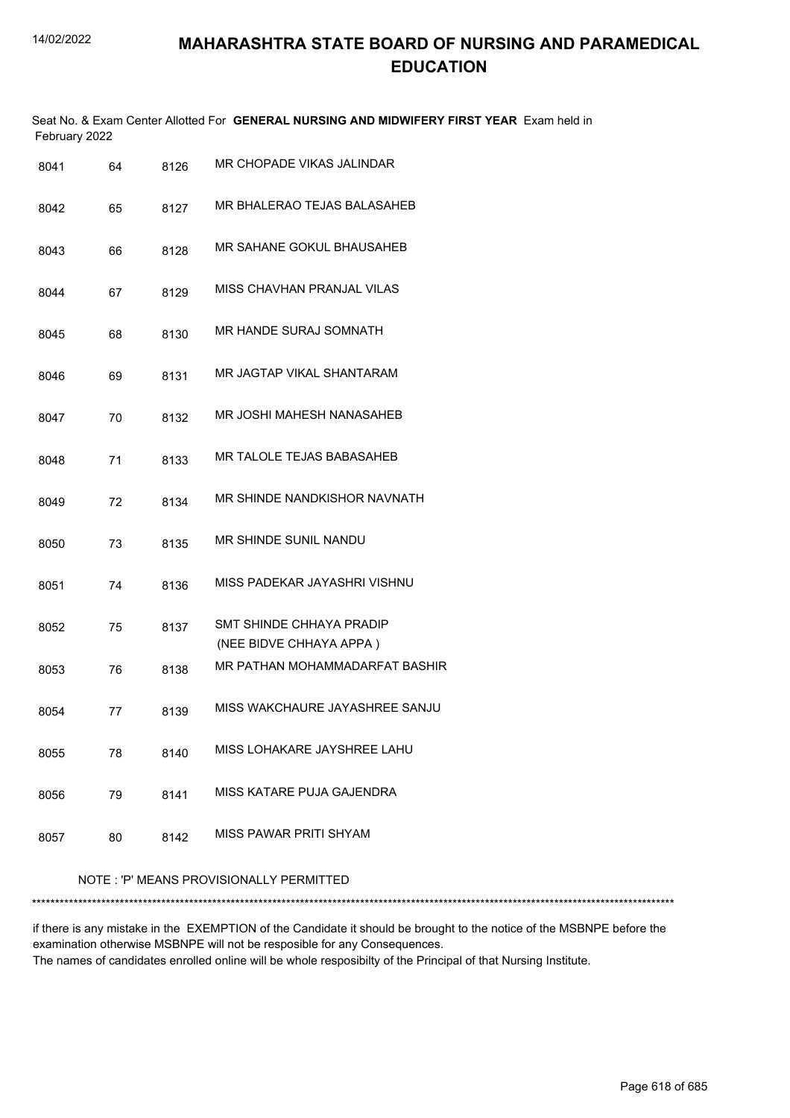|               | Seat No. & Exam Center Allotted For GENERAL NURSING AND MIDWIFERY FIRST YEAR Exam held in |  |
|---------------|-------------------------------------------------------------------------------------------|--|
| February 2022 |                                                                                           |  |

| 8041 | 64 | 8126 | MR CHOPADE VIKAS JALINDAR                           |
|------|----|------|-----------------------------------------------------|
| 8042 | 65 | 8127 | MR BHALERAO TEJAS BALASAHEB                         |
| 8043 | 66 | 8128 | MR SAHANE GOKUL BHAUSAHEB                           |
| 8044 | 67 | 8129 | MISS CHAVHAN PRANJAL VILAS                          |
| 8045 | 68 | 8130 | <b>MR HANDE SURAJ SOMNATH</b>                       |
| 8046 | 69 | 8131 | MR JAGTAP VIKAL SHANTARAM                           |
| 8047 | 70 | 8132 | MR JOSHI MAHESH NANASAHEB                           |
| 8048 | 71 | 8133 | MR TALOLE TEJAS BABASAHEB                           |
| 8049 | 72 | 8134 | MR SHINDE NANDKISHOR NAVNATH                        |
| 8050 | 73 | 8135 | MR SHINDE SUNIL NANDU                               |
| 8051 | 74 | 8136 | MISS PADEKAR JAYASHRI VISHNU                        |
| 8052 | 75 | 8137 | SMT SHINDE CHHAYA PRADIP<br>(NEE BIDVE CHHAYA APPA) |
| 8053 | 76 | 8138 | MR PATHAN MOHAMMADARFAT BASHIR                      |
| 8054 | 77 | 8139 | MISS WAKCHAURE JAYASHREE SANJU                      |
| 8055 | 78 | 8140 | MISS LOHAKARE JAYSHREE LAHU                         |
| 8056 | 79 | 8141 | MISS KATARE PUJA GAJENDRA                           |
| 8057 | 80 | 8142 | MISS PAWAR PRITI SHYAM                              |

#### NOTE : 'P' MEANS PROVISIONALLY PERMITTED

\*\*\*\*\*\*\*\*\*\*\*\*\*\*\*\*\*\*\*\*\*\*\*\*\*\*\*\*\*\*\*\*\*\*\*\*\*\*\*\*\*\*\*\*\*\*\*\*\*\*\*\*\*\*\*\*\*\*\*\*\*\*\*\*\*\*\*\*\*\*\*\*\*\*\*\*\*\*\*\*\*\*\*\*\*\*\*\*\*\*\*\*\*\*\*\*\*\*\*\*\*\*\*\*\*\*\*\*\*\*\*\*\*\*\*\*\*\*\*\*\*\*\*\*\*\*\*\*\*\*\*\*\*\*\*\*\*\*\*

if there is any mistake in the EXEMPTION of the Candidate it should be brought to the notice of the MSBNPE before the examination otherwise MSBNPE will not be resposible for any Consequences.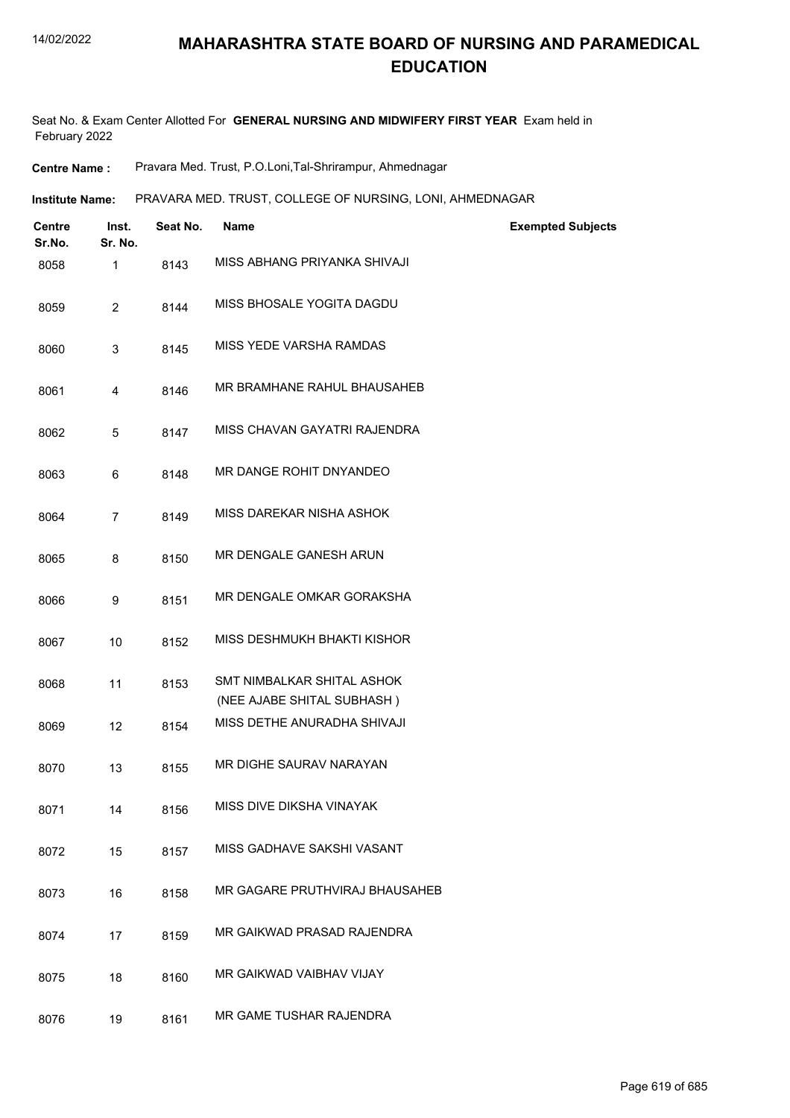Seat No. & Exam Center Allotted For **GENERAL NURSING AND MIDWIFERY FIRST YEAR** Exam held in February 2022

**Centre Name :** Pravara Med. Trust, P.O.Loni,Tal-Shrirampur, Ahmednagar

**Institute Name:** PRAVARA MED. TRUST, COLLEGE OF NURSING, LONI, AHMEDNAGAR

| <b>Centre</b><br>Sr.No. | Inst.<br>Sr. No. | Seat No. | <b>Name</b>                                              | <b>Exempted Subjects</b> |
|-------------------------|------------------|----------|----------------------------------------------------------|--------------------------|
| 8058                    | 1                | 8143     | MISS ABHANG PRIYANKA SHIVAJI                             |                          |
| 8059                    | $\overline{c}$   | 8144     | MISS BHOSALE YOGITA DAGDU                                |                          |
| 8060                    | 3                | 8145     | MISS YEDE VARSHA RAMDAS                                  |                          |
| 8061                    | 4                | 8146     | MR BRAMHANE RAHUL BHAUSAHEB                              |                          |
| 8062                    | 5                | 8147     | MISS CHAVAN GAYATRI RAJENDRA                             |                          |
| 8063                    | 6                | 8148     | MR DANGE ROHIT DNYANDEO                                  |                          |
| 8064                    | 7                | 8149     | MISS DAREKAR NISHA ASHOK                                 |                          |
| 8065                    | 8                | 8150     | MR DENGALE GANESH ARUN                                   |                          |
| 8066                    | 9                | 8151     | MR DENGALE OMKAR GORAKSHA                                |                          |
| 8067                    | 10               | 8152     | MISS DESHMUKH BHAKTI KISHOR                              |                          |
| 8068                    | 11               | 8153     | SMT NIMBALKAR SHITAL ASHOK<br>(NEE AJABE SHITAL SUBHASH) |                          |
| 8069                    | 12               | 8154     | MISS DETHE ANURADHA SHIVAJI                              |                          |
| 8070                    | 13               | 8155     | MR DIGHE SAURAV NARAYAN                                  |                          |
| 8071                    | 14               | 8156     | MISS DIVE DIKSHA VINAYAK                                 |                          |
| 8072                    | 15               | 8157     | MISS GADHAVE SAKSHI VASANT                               |                          |
| 8073                    | 16               | 8158     | MR GAGARE PRUTHVIRAJ BHAUSAHEB                           |                          |
| 8074                    | 17               | 8159     | MR GAIKWAD PRASAD RAJENDRA                               |                          |
| 8075                    | 18               | 8160     | MR GAIKWAD VAIBHAV VIJAY                                 |                          |
| 8076                    | 19               | 8161     | MR GAME TUSHAR RAJENDRA                                  |                          |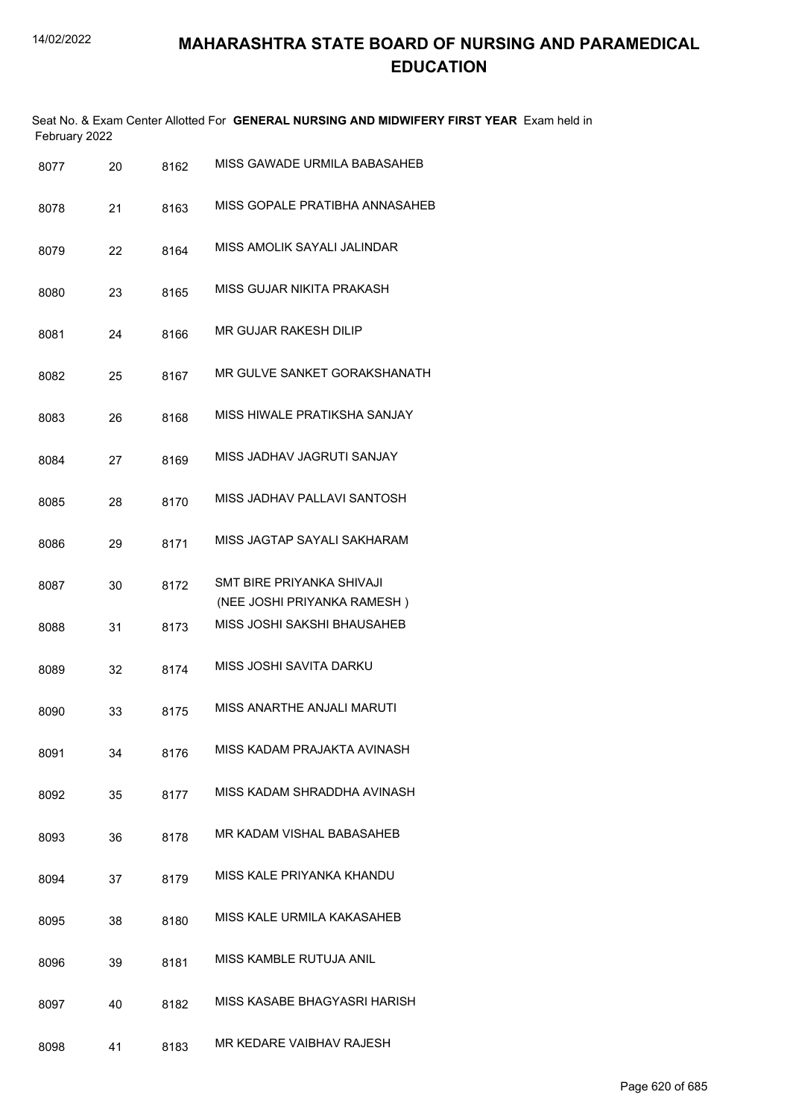| February 2022 |    |      | Seat No. & Exam Center Allotted For GENERAL NURSING AND MIDWIFERY FIRST YEAR Exam held in |
|---------------|----|------|-------------------------------------------------------------------------------------------|
| 8077          | 20 | 8162 | MISS GAWADE URMILA BABASAHEB                                                              |
| 8078          | 21 | 8163 | MISS GOPALE PRATIBHA ANNASAHEB                                                            |
| 8079          | 22 | 8164 | MISS AMOLIK SAYALI JALINDAR                                                               |
| 8080          | 23 | 8165 | MISS GUJAR NIKITA PRAKASH                                                                 |
| 8081          | 24 | 8166 | MR GUJAR RAKESH DILIP                                                                     |
| 8082          | 25 | 8167 | MR GULVE SANKET GORAKSHANATH                                                              |
| 8083          | 26 | 8168 | MISS HIWALE PRATIKSHA SANJAY                                                              |
| 8084          | 27 | 8169 | MISS JADHAV JAGRUTI SANJAY                                                                |
| 8085          | 28 | 8170 | MISS JADHAV PALLAVI SANTOSH                                                               |
| 8086          | 29 | 8171 | MISS JAGTAP SAYALI SAKHARAM                                                               |
| 8087          | 30 | 8172 | SMT BIRE PRIYANKA SHIVAJI<br>(NEE JOSHI PRIYANKA RAMESH)                                  |
| 8088          | 31 | 8173 | MISS JOSHI SAKSHI BHAUSAHEB                                                               |
| 8089          | 32 | 8174 | MISS JOSHI SAVITA DARKU                                                                   |
| 8090          | 33 | 8175 | MISS ANARTHE ANJALI MARUTI                                                                |
| 8091          | 34 | 8176 | MISS KADAM PRAJAKTA AVINASH                                                               |
| 8092          | 35 | 8177 | MISS KADAM SHRADDHA AVINASH                                                               |
| 8093          | 36 | 8178 | MR KADAM VISHAL BABASAHEB                                                                 |
| 8094          | 37 | 8179 | MISS KALE PRIYANKA KHANDU                                                                 |
| 8095          | 38 | 8180 | MISS KALE URMILA KAKASAHEB                                                                |
| 8096          | 39 | 8181 | MISS KAMBLE RUTUJA ANIL                                                                   |
| 8097          | 40 | 8182 | MISS KASABE BHAGYASRI HARISH                                                              |
| 8098          | 41 | 8183 | MR KEDARE VAIBHAV RAJESH                                                                  |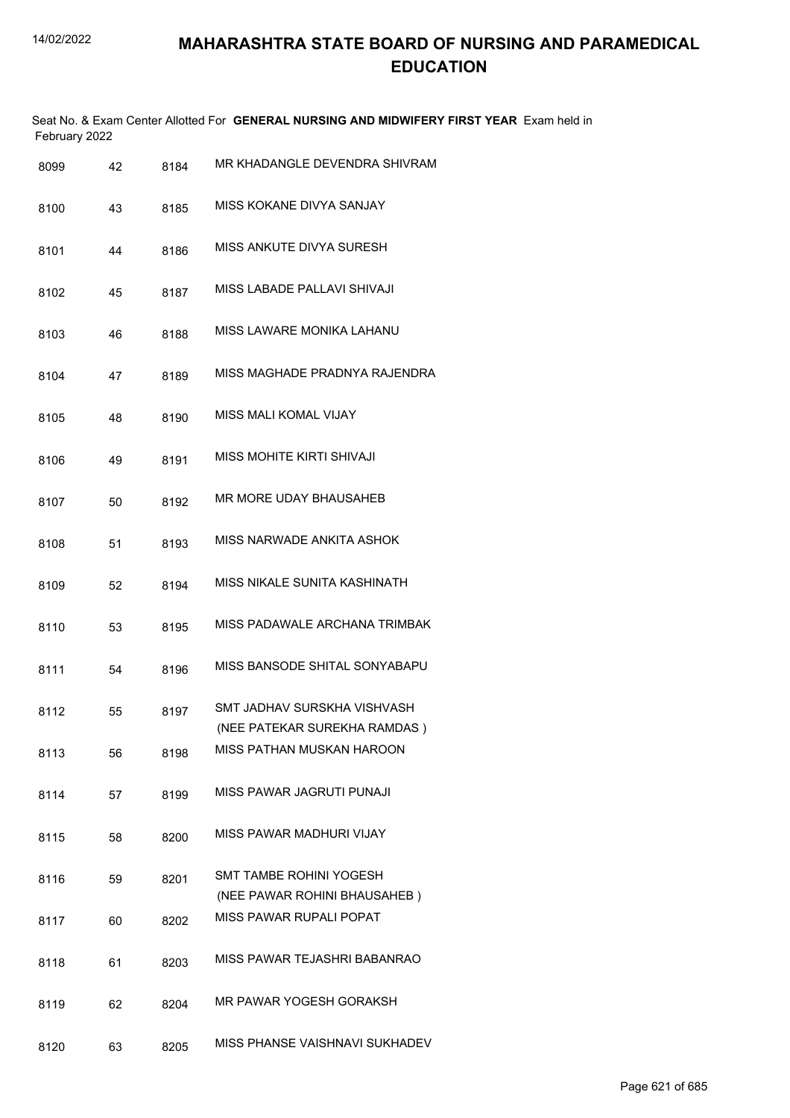| February 2022 |    |      | Seat No. & Exam Center Allotted For GENERAL NURSING AND MIDWIFERY FIRST YEAR Exam held in |
|---------------|----|------|-------------------------------------------------------------------------------------------|
| 8099          | 42 | 8184 | MR KHADANGLE DEVENDRA SHIVRAM                                                             |
| 8100          | 43 | 8185 | MISS KOKANE DIVYA SANJAY                                                                  |
| 8101          | 44 | 8186 | MISS ANKUTE DIVYA SURESH                                                                  |
| 8102          | 45 | 8187 | MISS LABADE PALLAVI SHIVAJI                                                               |
| 8103          | 46 | 8188 | MISS LAWARE MONIKA LAHANU                                                                 |
| 8104          | 47 | 8189 | MISS MAGHADE PRADNYA RAJENDRA                                                             |
| 8105          | 48 | 8190 | <b>MISS MALI KOMAL VIJAY</b>                                                              |
| 8106          | 49 | 8191 | MISS MOHITE KIRTI SHIVAJI                                                                 |
| 8107          | 50 | 8192 | MR MORE UDAY BHAUSAHEB                                                                    |
| 8108          | 51 | 8193 | MISS NARWADE ANKITA ASHOK                                                                 |
| 8109          | 52 | 8194 | MISS NIKALE SUNITA KASHINATH                                                              |
| 8110          | 53 | 8195 | MISS PADAWALE ARCHANA TRIMBAK                                                             |
| 8111          | 54 | 8196 | MISS BANSODE SHITAL SONYABAPU                                                             |
| 8112          | 55 | 8197 | SMT JADHAV SURSKHA VISHVASH<br>(NEE PATEKAR SUREKHA RAMDAS)                               |
| 8113          | 56 | 8198 | MISS PATHAN MUSKAN HAROON                                                                 |
| 8114          | 57 | 8199 | MISS PAWAR JAGRUTI PUNAJI                                                                 |
| 8115          | 58 | 8200 | MISS PAWAR MADHURI VIJAY                                                                  |
| 8116          | 59 | 8201 | <b>SMT TAMBE ROHINI YOGESH</b><br>(NEE PAWAR ROHINI BHAUSAHEB)                            |
| 8117          | 60 | 8202 | MISS PAWAR RUPALI POPAT                                                                   |
| 8118          | 61 | 8203 | MISS PAWAR TEJASHRI BABANRAO                                                              |
| 8119          | 62 | 8204 | MR PAWAR YOGESH GORAKSH                                                                   |
| 8120          | 63 | 8205 | MISS PHANSE VAISHNAVI SUKHADEV                                                            |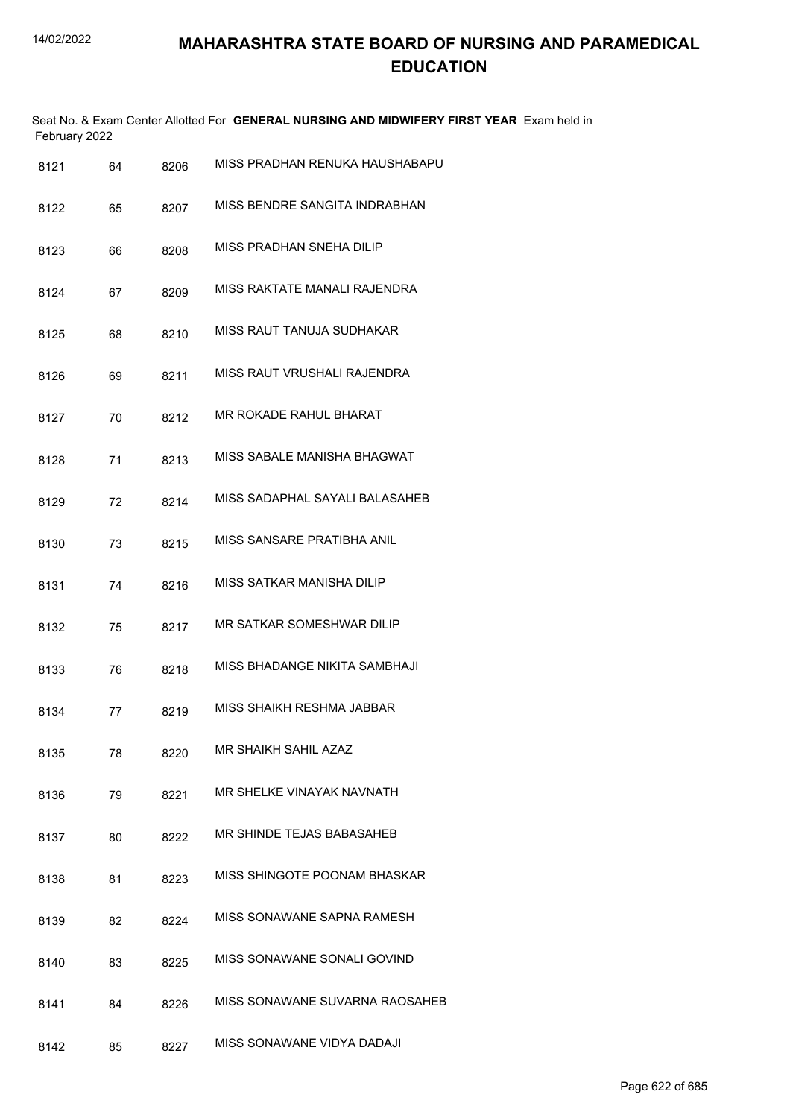| February 2022 |    |      | Seat No. & Exam Center Allotted For GENERAL NURSING AND MIDWIFERY FIRST YEAR Exam held in |
|---------------|----|------|-------------------------------------------------------------------------------------------|
| 8121          | 64 | 8206 | MISS PRADHAN RENUKA HAUSHABAPU                                                            |
| 8122          | 65 | 8207 | MISS BENDRE SANGITA INDRABHAN                                                             |
| 8123          | 66 | 8208 | MISS PRADHAN SNEHA DILIP                                                                  |
| 8124          | 67 | 8209 | MISS RAKTATE MANALI RAJENDRA                                                              |
| 8125          | 68 | 8210 | MISS RAUT TANUJA SUDHAKAR                                                                 |
| 8126          | 69 | 8211 | MISS RAUT VRUSHALI RAJENDRA                                                               |
| 8127          | 70 | 8212 | MR ROKADE RAHUL BHARAT                                                                    |
| 8128          | 71 | 8213 | MISS SABALE MANISHA BHAGWAT                                                               |
| 8129          | 72 | 8214 | MISS SADAPHAL SAYALI BALASAHEB                                                            |
| 8130          | 73 | 8215 | MISS SANSARE PRATIBHA ANIL                                                                |
| 8131          | 74 | 8216 | MISS SATKAR MANISHA DILIP                                                                 |
| 8132          | 75 | 8217 | MR SATKAR SOMESHWAR DILIP                                                                 |
| 8133          | 76 | 8218 | MISS BHADANGE NIKITA SAMBHAJI                                                             |
| 8134          | 77 | 8219 | MISS SHAIKH RESHMA JABBAR                                                                 |
| 8135          | 78 | 8220 | MR SHAIKH SAHIL AZAZ                                                                      |
| 8136          | 79 | 8221 | MR SHELKE VINAYAK NAVNATH                                                                 |
| 8137          | 80 | 8222 | MR SHINDE TEJAS BABASAHEB                                                                 |
| 8138          | 81 | 8223 | MISS SHINGOTE POONAM BHASKAR                                                              |
| 8139          | 82 | 8224 | MISS SONAWANE SAPNA RAMESH                                                                |
| 8140          | 83 | 8225 | MISS SONAWANE SONALI GOVIND                                                               |
| 8141          | 84 | 8226 | MISS SONAWANE SUVARNA RAOSAHEB                                                            |
| 8142          | 85 | 8227 | MISS SONAWANE VIDYA DADAJI                                                                |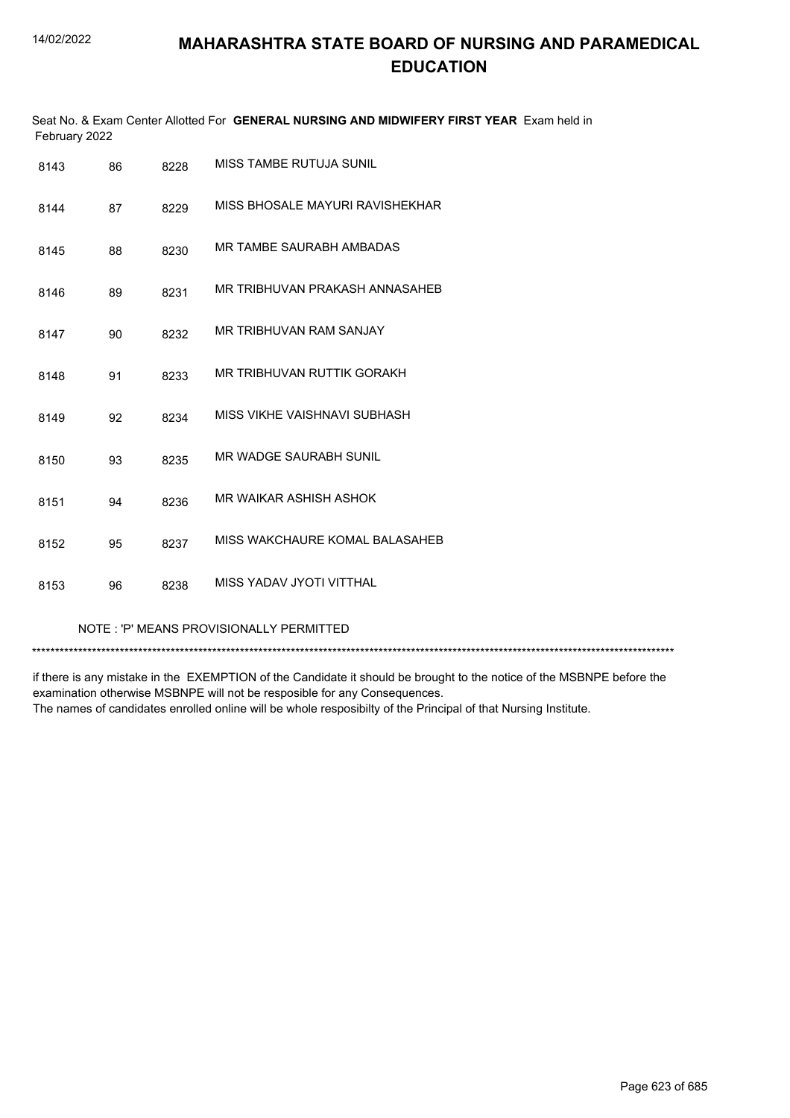| Seat No. & Exam Center Allotted For GENERAL NURSING AND MIDWIFERY FIRST YEAR Exam held in<br>February 2022 |    |      |                                 |  |
|------------------------------------------------------------------------------------------------------------|----|------|---------------------------------|--|
| 8143                                                                                                       | 86 | 8228 | MISS TAMBE RUTUJA SUNIL         |  |
| 8144                                                                                                       | 87 | 8229 | MISS BHOSALE MAYURI RAVISHEKHAR |  |
| 8145                                                                                                       | 88 | 8230 | MR TAMBE SAURABH AMBADAS        |  |
| 8146                                                                                                       | 89 | 8231 | MR TRIBHUVAN PRAKASH ANNASAHEB  |  |
| 8147                                                                                                       | 90 | 8232 | MR TRIBHUVAN RAM SANJAY         |  |
| 8148                                                                                                       | 91 | 8233 | MR TRIBHUVAN RUTTIK GORAKH      |  |
| 8149                                                                                                       | 92 | 8234 | MISS VIKHE VAISHNAVI SUBHASH    |  |
| 8150                                                                                                       | 93 | 8235 | MR WADGE SAURABH SUNIL          |  |
| 8151                                                                                                       | 94 | 8236 | MR WAIKAR ASHISH ASHOK          |  |
| 8152                                                                                                       | 95 | 8237 | MISS WAKCHAURE KOMAL BALASAHEB  |  |
| 8153                                                                                                       | 96 | 8238 | MISS YADAV JYOTI VITTHAL        |  |

#### NOTE : 'P' MEANS PROVISIONALLY PERMITTED

\*\*\*\*\*\*\*\*\*\*\*\*\*\*\*\*\*\*\*\*\*\*\*\*\*\*\*\*\*\*\*\*\*\*\*\*\*\*\*\*\*\*\*\*\*\*\*\*\*\*\*\*\*\*\*\*\*\*\*\*\*\*\*\*\*\*\*\*\*\*\*\*\*\*\*\*\*\*\*\*\*\*\*\*\*\*\*\*\*\*\*\*\*\*\*\*\*\*\*\*\*\*\*\*\*\*\*\*\*\*\*\*\*\*\*\*\*\*\*\*\*\*\*\*\*\*\*\*\*\*\*\*\*\*\*\*\*\*\*

if there is any mistake in the EXEMPTION of the Candidate it should be brought to the notice of the MSBNPE before the examination otherwise MSBNPE will not be resposible for any Consequences. The names of candidates enrolled online will be whole resposibilty of the Principal of that Nursing Institute.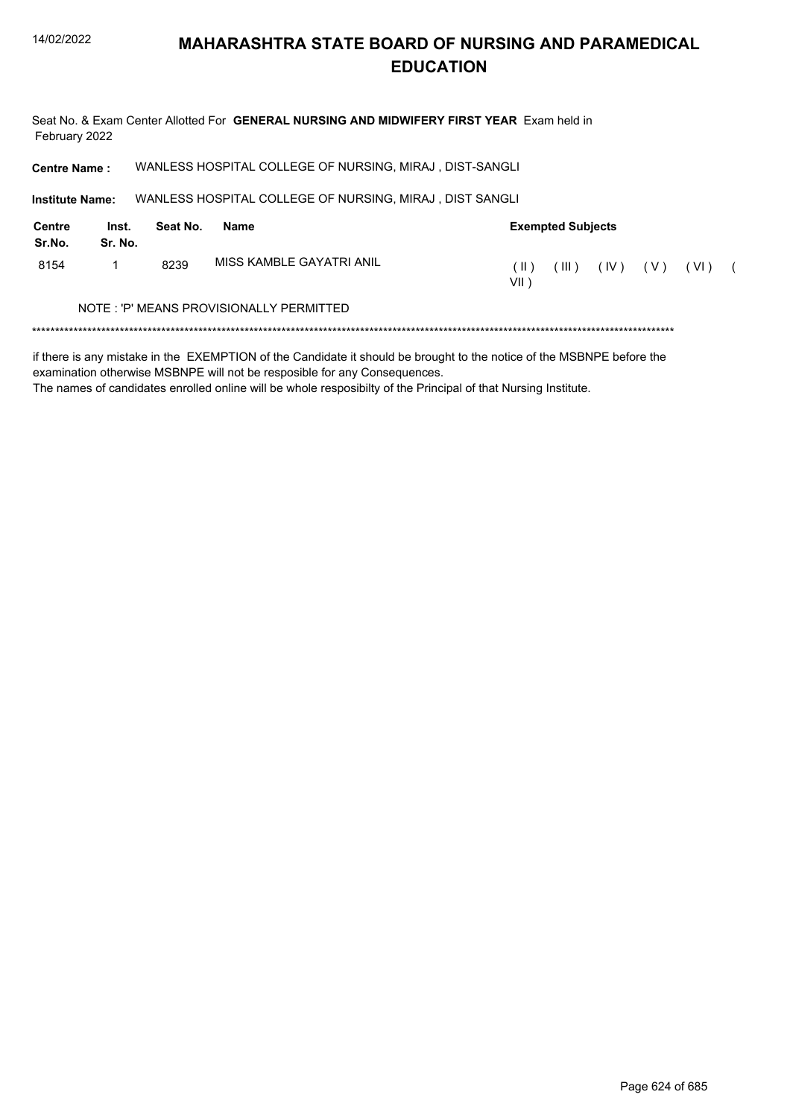Seat No. & Exam Center Allotted For GENERAL NURSING AND MIDWIFERY FIRST YEAR Exam held in February 2022

WANLESS HOSPITAL COLLEGE OF NURSING, MIRAJ, DIST-SANGLI **Centre Name:** 

**Institute Name:** WANLESS HOSPITAL COLLEGE OF NURSING, MIRAJ, DIST SANGLI

| <b>Centre</b><br>Sr.No.                 | Inst.<br>Sr. No. | Seat No. | Name                     |                 | <b>Exempted Subjects</b> |      |       |      |  |
|-----------------------------------------|------------------|----------|--------------------------|-----------------|--------------------------|------|-------|------|--|
| 8154                                    |                  | 8239     | MISS KAMBLE GAYATRI ANIL | $\Box$<br>VII ) | III)                     | (IV) | ( V ) | (VI) |  |
| NOTE: 'P' MEANS PROVISIONALLY PERMITTED |                  |          |                          |                 |                          |      |       |      |  |
|                                         |                  |          |                          |                 |                          |      |       |      |  |

if there is any mistake in the EXEMPTION of the Candidate it should be brought to the notice of the MSBNPE before the examination otherwise MSBNPE will not be resposible for any Consequences.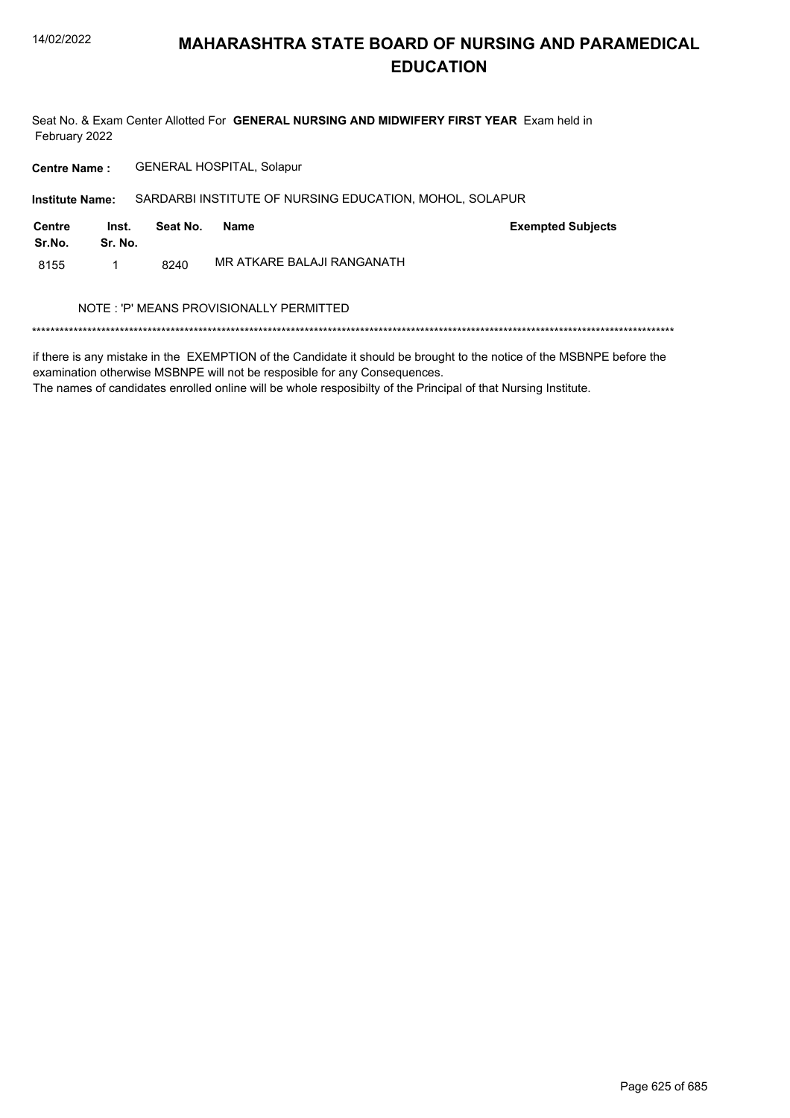Seat No. & Exam Center Allotted For GENERAL NURSING AND MIDWIFERY FIRST YEAR Exam held in February 2022

**GENERAL HOSPITAL, Solapur Centre Name:** 

Institute Name: SARDARBI INSTITUTE OF NURSING EDUCATION, MOHOL, SOLAPUR

| Centre<br>Sr.No. | Inst.<br>Sr. No. | Seat No. | Name                       | <b>Exempted Subjects</b> |
|------------------|------------------|----------|----------------------------|--------------------------|
| 8155             |                  | 8240     | MR ATKARE BALAJI RANGANATH |                          |

#### NOTE : 'P' MEANS PROVISIONALLY PERMITTED

if there is any mistake in the EXEMPTION of the Candidate it should be brought to the notice of the MSBNPE before the examination otherwise MSBNPE will not be resposible for any Consequences.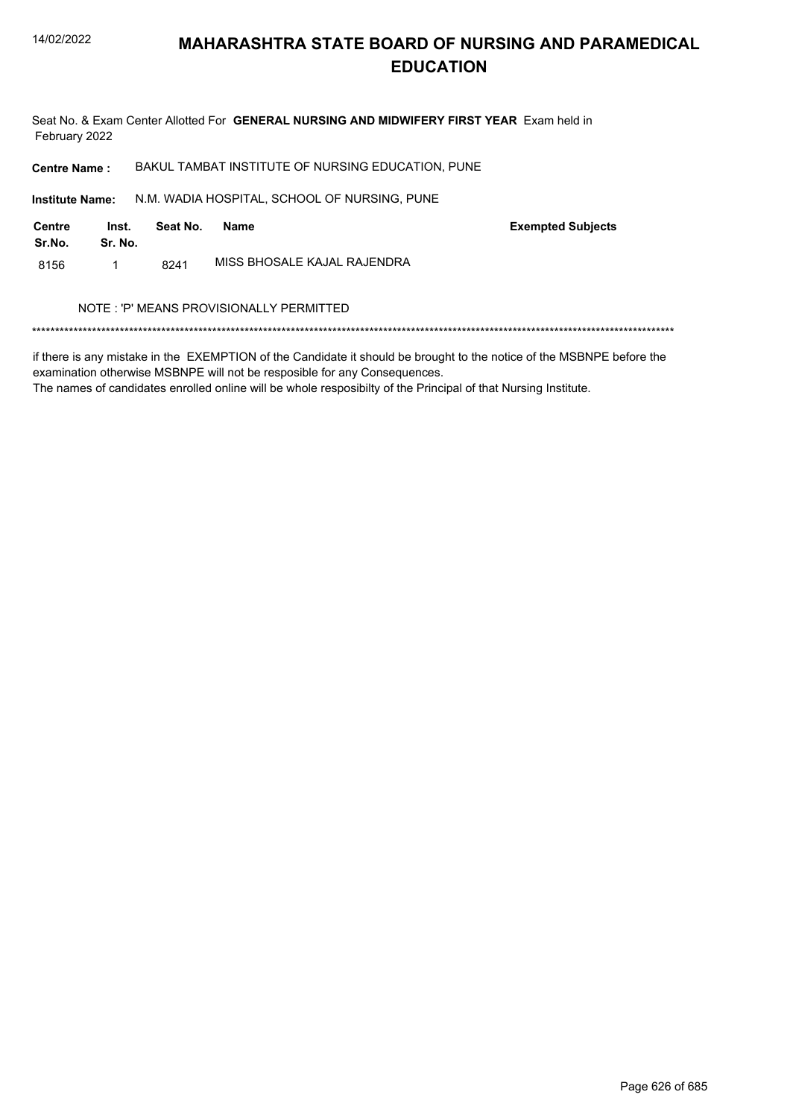

Seat No. & Exam Center Allotted For GENERAL NURSING AND MIDWIFERY FIRST YEAR Exam held in February 2022

BAKUL TAMBAT INSTITUTE OF NURSING EDUCATION, PUNE **Centre Name:** 

N.M. WADIA HOSPITAL, SCHOOL OF NURSING, PUNE **Institute Name:** 

| <b>Centre</b><br>Sr.No. | Inst.<br>Sr. No. | Seat No. | Name                        | <b>Exempted Subjects</b> |
|-------------------------|------------------|----------|-----------------------------|--------------------------|
| 8156                    |                  | 8241     | MISS BHOSALE KAJAL RAJENDRA |                          |

#### NOTE : 'P' MEANS PROVISIONALLY PERMITTED

if there is any mistake in the EXEMPTION of the Candidate it should be brought to the notice of the MSBNPE before the examination otherwise MSBNPE will not be resposible for any Consequences.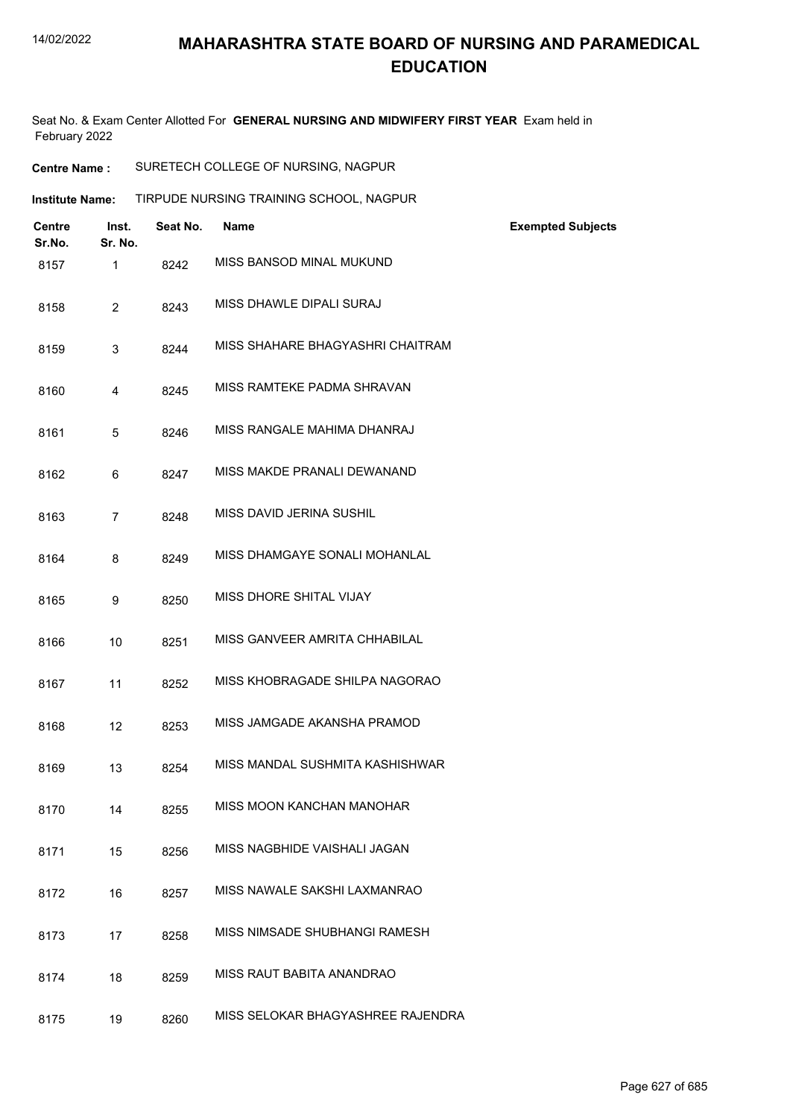Seat No. & Exam Center Allotted For **GENERAL NURSING AND MIDWIFERY FIRST YEAR** Exam held in February 2022

**Centre Name :** SURETECH COLLEGE OF NURSING, NAGPUR

| <b>Institute Name:</b> |                         |                  |          | TIRPUDE NURSING TRAINING SCHOOL, NAGPUR |                          |
|------------------------|-------------------------|------------------|----------|-----------------------------------------|--------------------------|
|                        | <b>Centre</b><br>Sr.No. | Inst.<br>Sr. No. | Seat No. | <b>Name</b>                             | <b>Exempted Subjects</b> |
|                        | 8157                    | $\mathbf{1}$     | 8242     | MISS BANSOD MINAL MUKUND                |                          |
|                        | 8158                    | $\overline{2}$   | 8243     | MISS DHAWLE DIPALI SURAJ                |                          |
|                        | 8159                    | 3                | 8244     | MISS SHAHARE BHAGYASHRI CHAITRAM        |                          |
|                        | 8160                    | 4                | 8245     | MISS RAMTEKE PADMA SHRAVAN              |                          |
|                        | 8161                    | 5                | 8246     | MISS RANGALE MAHIMA DHANRAJ             |                          |
|                        | 8162                    | 6                | 8247     | MISS MAKDE PRANALI DEWANAND             |                          |
|                        | 8163                    | $\overline{7}$   | 8248     | MISS DAVID JERINA SUSHIL                |                          |
|                        | 8164                    | 8                | 8249     | MISS DHAMGAYE SONALI MOHANLAL           |                          |
|                        | 8165                    | 9                | 8250     | MISS DHORE SHITAL VIJAY                 |                          |
|                        | 8166                    | 10               | 8251     | MISS GANVEER AMRITA CHHABILAL           |                          |
|                        | 8167                    | 11               | 8252     | MISS KHOBRAGADE SHILPA NAGORAO          |                          |
|                        | 8168                    | 12               | 8253     | MISS JAMGADE AKANSHA PRAMOD             |                          |
|                        | 8169                    | 13               | 8254     | MISS MANDAL SUSHMITA KASHISHWAR         |                          |
|                        | 8170                    | 14               | 8255     | MISS MOON KANCHAN MANOHAR               |                          |
|                        | 8171                    | 15               | 8256     | MISS NAGBHIDE VAISHALI JAGAN            |                          |
|                        | 8172                    | 16               | 8257     | MISS NAWALE SAKSHI LAXMANRAO            |                          |
|                        | 8173                    | 17               | 8258     | MISS NIMSADE SHUBHANGI RAMESH           |                          |
|                        | 8174                    | 18               | 8259     | MISS RAUT BABITA ANANDRAO               |                          |
|                        | 8175                    | 19               | 8260     | MISS SELOKAR BHAGYASHREE RAJENDRA       |                          |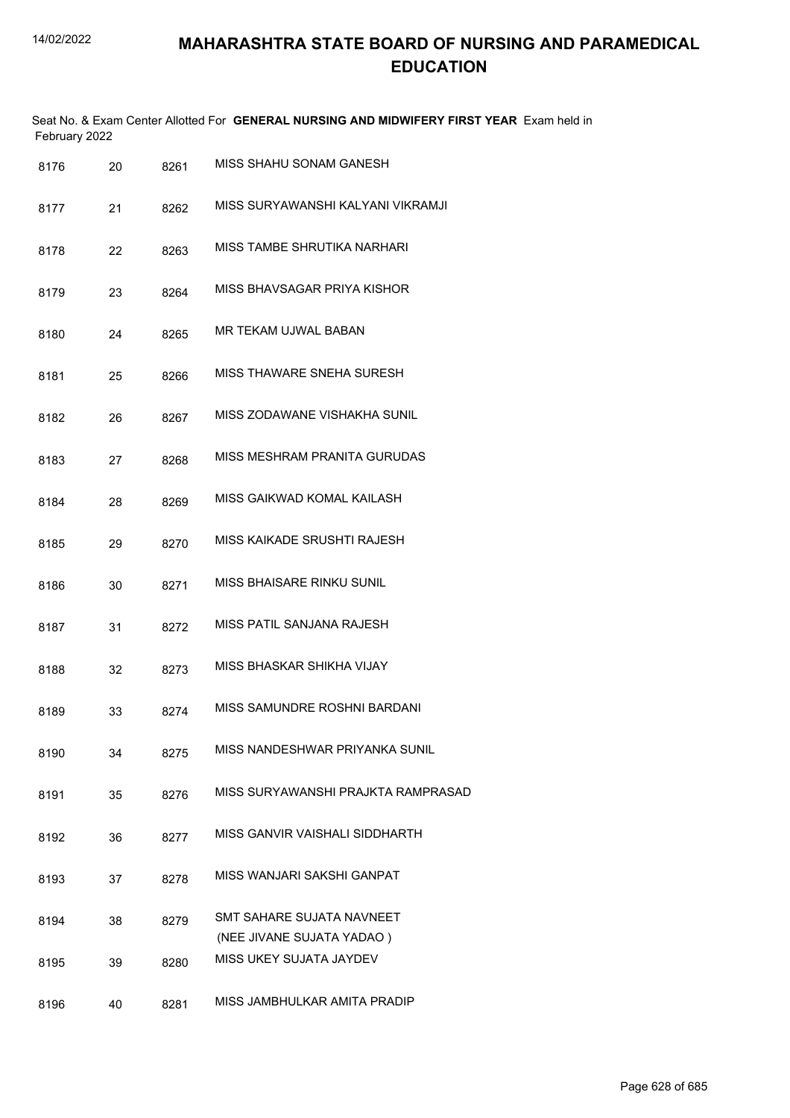| February 2022 |    |      | Seat No. & Exam Center Allotted For GENERAL NURSING AND MIDWIFERY FIRST YEAR Exam held in |
|---------------|----|------|-------------------------------------------------------------------------------------------|
| 8176          | 20 | 8261 | MISS SHAHU SONAM GANESH                                                                   |
| 8177          | 21 | 8262 | MISS SURYAWANSHI KALYANI VIKRAMJI                                                         |
| 8178          | 22 | 8263 | MISS TAMBE SHRUTIKA NARHARI                                                               |
| 8179          | 23 | 8264 | MISS BHAVSAGAR PRIYA KISHOR                                                               |
| 8180          | 24 | 8265 | MR TEKAM UJWAL BABAN                                                                      |
| 8181          | 25 | 8266 | MISS THAWARE SNEHA SURESH                                                                 |
| 8182          | 26 | 8267 | MISS ZODAWANE VISHAKHA SUNIL                                                              |
| 8183          | 27 | 8268 | MISS MESHRAM PRANITA GURUDAS                                                              |
| 8184          | 28 | 8269 | MISS GAIKWAD KOMAL KAILASH                                                                |
| 8185          | 29 | 8270 | MISS KAIKADE SRUSHTI RAJESH                                                               |
| 8186          | 30 | 8271 | MISS BHAISARE RINKU SUNIL                                                                 |
| 8187          | 31 | 8272 | MISS PATIL SANJANA RAJESH                                                                 |
| 8188          | 32 | 8273 | MISS BHASKAR SHIKHA VIJAY                                                                 |
| 8189          | 33 | 8274 | MISS SAMUNDRE ROSHNI BARDANI                                                              |
| 8190          | 34 | 8275 | MISS NANDESHWAR PRIYANKA SUNIL                                                            |
| 8191          | 35 | 8276 | MISS SURYAWANSHI PRAJKTA RAMPRASAD                                                        |
| 8192          | 36 | 8277 | MISS GANVIR VAISHALI SIDDHARTH                                                            |
| 8193          | 37 | 8278 | MISS WANJARI SAKSHI GANPAT                                                                |
| 8194          | 38 | 8279 | SMT SAHARE SUJATA NAVNEET<br>(NEE JIVANE SUJATA YADAO)                                    |
| 8195          | 39 | 8280 | MISS UKEY SUJATA JAYDEV                                                                   |
| 8196          | 40 | 8281 | MISS JAMBHULKAR AMITA PRADIP                                                              |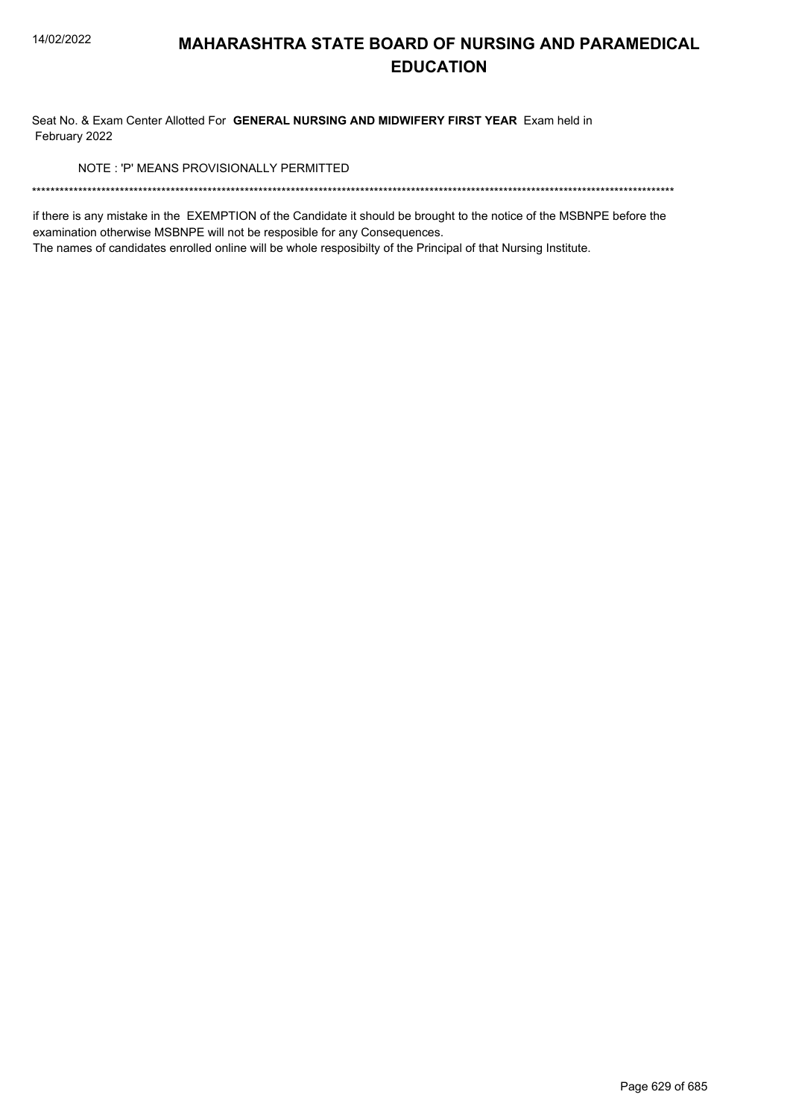Seat No. & Exam Center Allotted For GENERAL NURSING AND MIDWIFERY FIRST YEAR Exam held in February 2022

NOTE: 'P' MEANS PROVISIONALLY PERMITTED

if there is any mistake in the EXEMPTION of the Candidate it should be brought to the notice of the MSBNPE before the examination otherwise MSBNPE will not be resposible for any Consequences.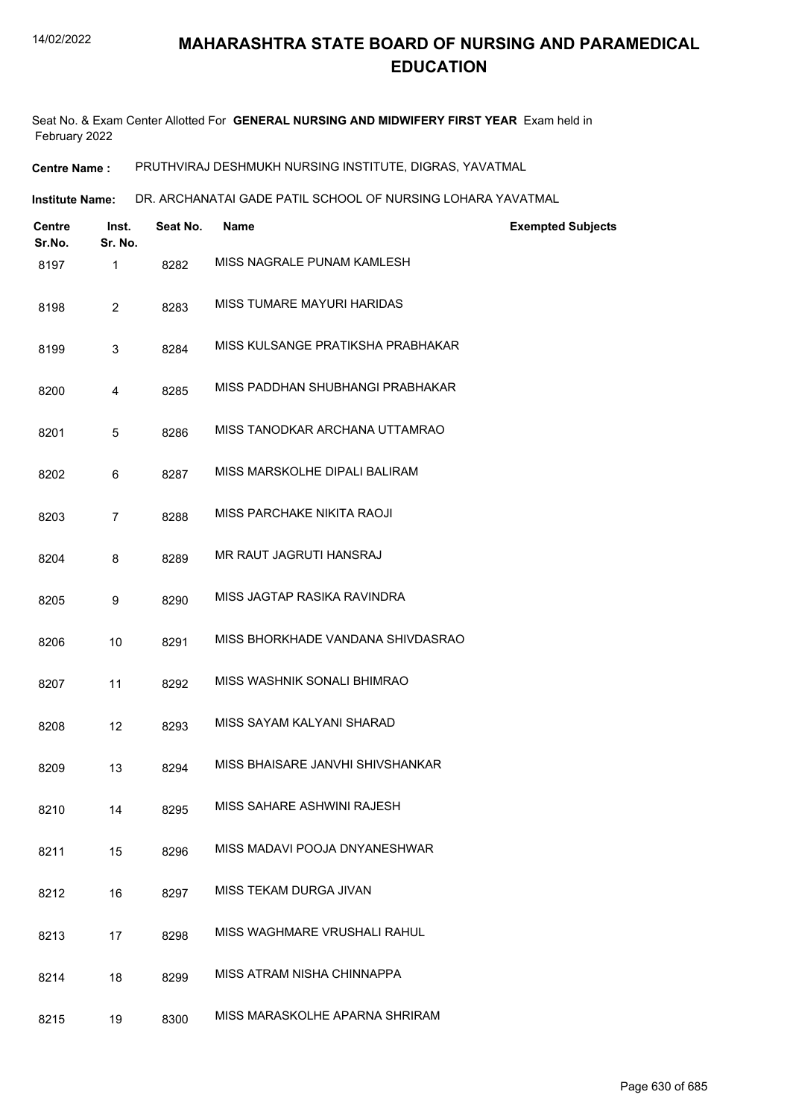Seat No. & Exam Center Allotted For **GENERAL NURSING AND MIDWIFERY FIRST YEAR** Exam held in February 2022

**Centre Name :** PRUTHVIRAJ DESHMUKH NURSING INSTITUTE, DIGRAS, YAVATMAL

DR. ARCHANATAI GADE PATIL SCHOOL OF NURSING LOHARA YAVATMAL **Institute Name:**

| Centre<br>Sr.No. | Inst.<br>Sr. No. | Seat No. | <b>Name</b>                       | <b>Exempted Subjects</b> |
|------------------|------------------|----------|-----------------------------------|--------------------------|
| 8197             | 1                | 8282     | MISS NAGRALE PUNAM KAMLESH        |                          |
| 8198             | $\overline{2}$   | 8283     | MISS TUMARE MAYURI HARIDAS        |                          |
| 8199             | 3                | 8284     | MISS KULSANGE PRATIKSHA PRABHAKAR |                          |
| 8200             | 4                | 8285     | MISS PADDHAN SHUBHANGI PRABHAKAR  |                          |
| 8201             | 5                | 8286     | MISS TANODKAR ARCHANA UTTAMRAO    |                          |
| 8202             | 6                | 8287     | MISS MARSKOLHE DIPALI BALIRAM     |                          |
| 8203             | $\overline{7}$   | 8288     | MISS PARCHAKE NIKITA RAOJI        |                          |
| 8204             | 8                | 8289     | MR RAUT JAGRUTI HANSRAJ           |                          |
| 8205             | 9                | 8290     | MISS JAGTAP RASIKA RAVINDRA       |                          |
| 8206             | 10               | 8291     | MISS BHORKHADE VANDANA SHIVDASRAO |                          |
| 8207             | 11               | 8292     | MISS WASHNIK SONALI BHIMRAO       |                          |
| 8208             | 12               | 8293     | MISS SAYAM KALYANI SHARAD         |                          |
| 8209             | 13               | 8294     | MISS BHAISARE JANVHI SHIVSHANKAR  |                          |
| 8210             | 14               | 8295     | MISS SAHARE ASHWINI RAJESH        |                          |
| 8211             | 15               | 8296     | MISS MADAVI POOJA DNYANESHWAR     |                          |
| 8212             | 16               | 8297     | MISS TEKAM DURGA JIVAN            |                          |
| 8213             | 17               | 8298     | MISS WAGHMARE VRUSHALI RAHUL      |                          |
| 8214             | 18               | 8299     | MISS ATRAM NISHA CHINNAPPA        |                          |
| 8215             | 19               | 8300     | MISS MARASKOLHE APARNA SHRIRAM    |                          |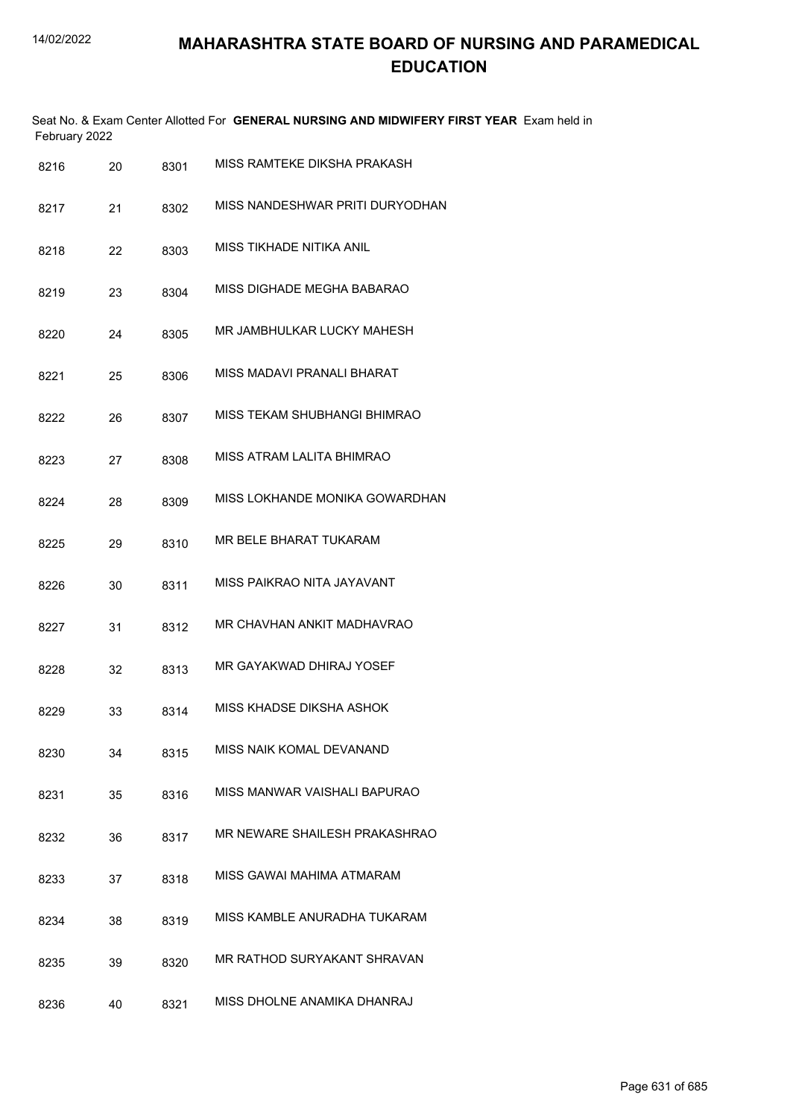| February 2022 |    |      | Seat No. & Exam Center Allotted For GENERAL NURSING AND MIDWIFERY FIRST YEAR Exam held in |
|---------------|----|------|-------------------------------------------------------------------------------------------|
| 8216          | 20 | 8301 | MISS RAMTEKE DIKSHA PRAKASH                                                               |
| 8217          | 21 | 8302 | MISS NANDESHWAR PRITI DURYODHAN                                                           |
| 8218          | 22 | 8303 | MISS TIKHADE NITIKA ANIL                                                                  |
| 8219          | 23 | 8304 | MISS DIGHADE MEGHA BABARAO                                                                |
| 8220          | 24 | 8305 | MR JAMBHULKAR LUCKY MAHESH                                                                |
| 8221          | 25 | 8306 | MISS MADAVI PRANALI BHARAT                                                                |
| 8222          | 26 | 8307 | MISS TEKAM SHUBHANGI BHIMRAO                                                              |
| 8223          | 27 | 8308 | MISS ATRAM LALITA BHIMRAO                                                                 |
| 8224          | 28 | 8309 | MISS LOKHANDE MONIKA GOWARDHAN                                                            |
| 8225          | 29 | 8310 | MR BELE BHARAT TUKARAM                                                                    |
| 8226          | 30 | 8311 | MISS PAIKRAO NITA JAYAVANT                                                                |
| 8227          | 31 | 8312 | MR CHAVHAN ANKIT MADHAVRAO                                                                |
| 8228          | 32 | 8313 | MR GAYAKWAD DHIRAJ YOSEF                                                                  |
| 8229          | 33 | 8314 | MISS KHADSE DIKSHA ASHOK                                                                  |
| 8230          | 34 | 8315 | MISS NAIK KOMAL DEVANAND                                                                  |
| 8231          | 35 | 8316 | MISS MANWAR VAISHALI BAPURAO                                                              |
| 8232          | 36 | 8317 | MR NEWARE SHAILESH PRAKASHRAO                                                             |
| 8233          | 37 | 8318 | MISS GAWAI MAHIMA ATMARAM                                                                 |
| 8234          | 38 | 8319 | MISS KAMBLE ANURADHA TUKARAM                                                              |
| 8235          | 39 | 8320 | MR RATHOD SURYAKANT SHRAVAN                                                               |
| 8236          | 40 | 8321 | MISS DHOLNE ANAMIKA DHANRAJ                                                               |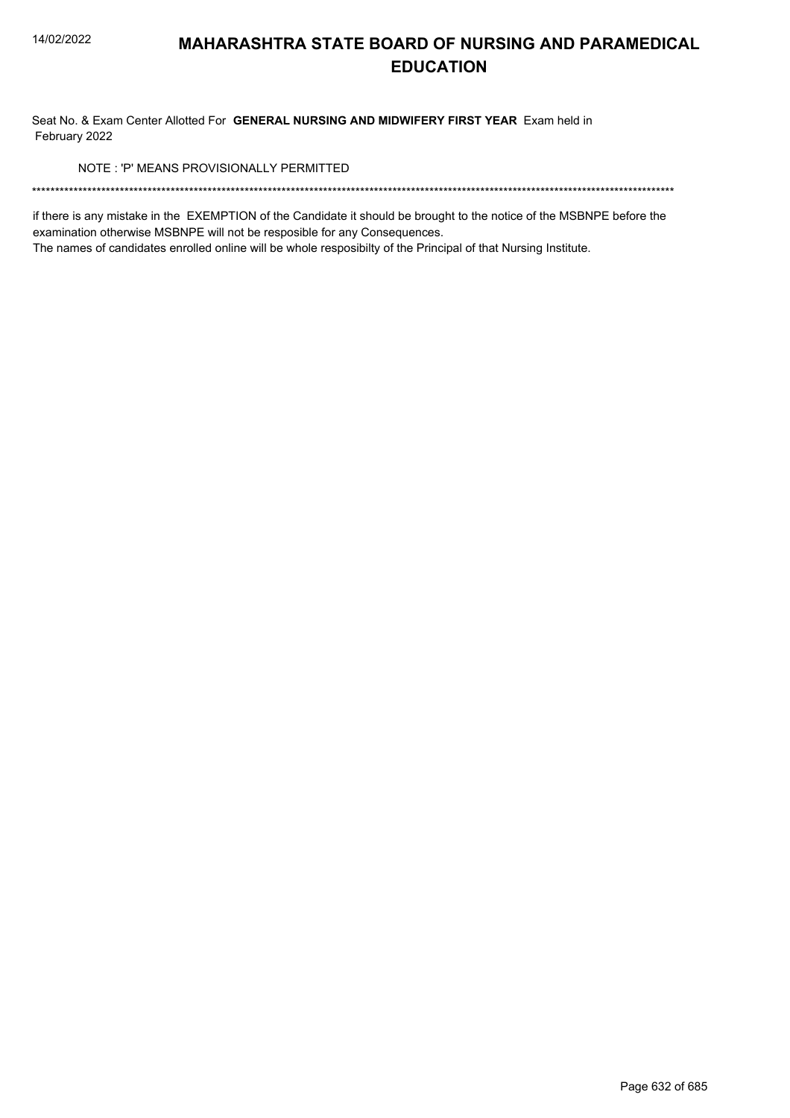Seat No. & Exam Center Allotted For GENERAL NURSING AND MIDWIFERY FIRST YEAR Exam held in February 2022

NOTE: 'P' MEANS PROVISIONALLY PERMITTED

if there is any mistake in the EXEMPTION of the Candidate it should be brought to the notice of the MSBNPE before the examination otherwise MSBNPE will not be resposible for any Consequences.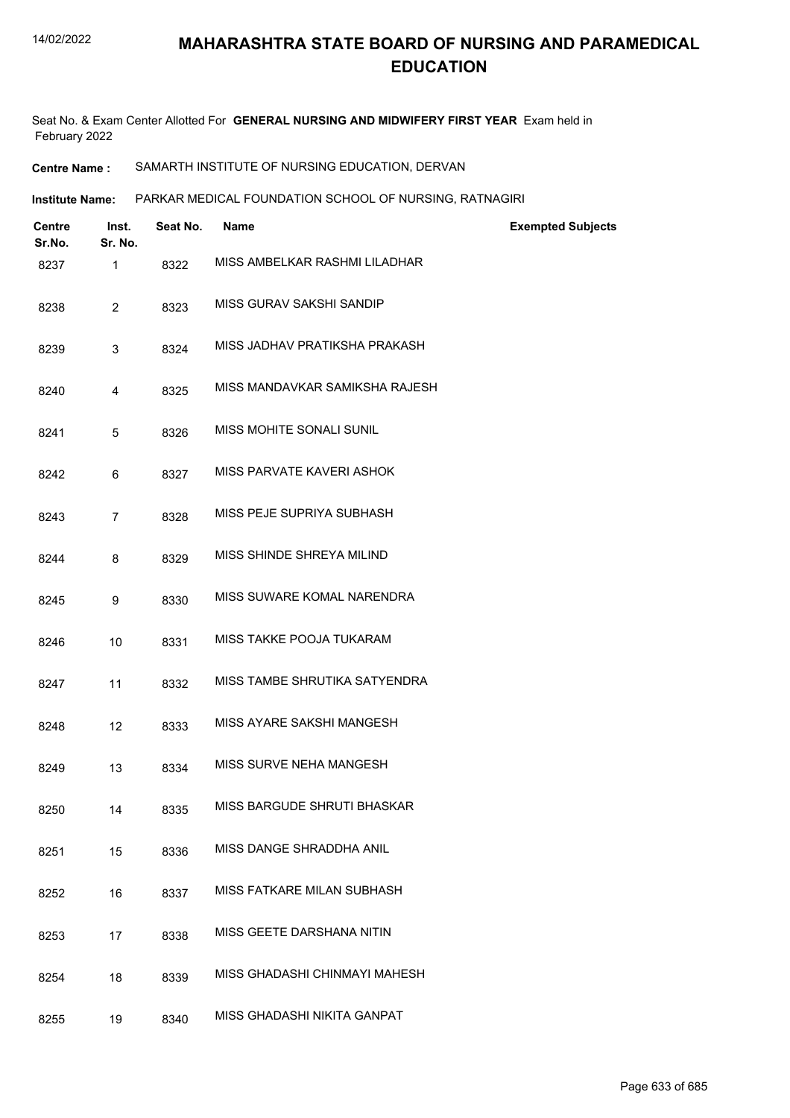Seat No. & Exam Center Allotted For **GENERAL NURSING AND MIDWIFERY FIRST YEAR** Exam held in February 2022

**Centre Name :** SAMARTH INSTITUTE OF NURSING EDUCATION, DERVAN

**Institute Name: PARKAR MEDICAL FOUNDATION SCHOOL OF NURSING, RATNAGIRI** 

| <b>Centre</b><br>Sr.No. | Inst.<br>Sr. No. | Seat No. | Name                           | <b>Exempted Subjects</b> |
|-------------------------|------------------|----------|--------------------------------|--------------------------|
| 8237                    | 1                | 8322     | MISS AMBELKAR RASHMI LILADHAR  |                          |
| 8238                    | $\overline{c}$   | 8323     | MISS GURAV SAKSHI SANDIP       |                          |
| 8239                    | 3                | 8324     | MISS JADHAV PRATIKSHA PRAKASH  |                          |
| 8240                    | 4                | 8325     | MISS MANDAVKAR SAMIKSHA RAJESH |                          |
| 8241                    | 5                | 8326     | MISS MOHITE SONALI SUNIL       |                          |
| 8242                    | 6                | 8327     | MISS PARVATE KAVERI ASHOK      |                          |
| 8243                    | $\overline{7}$   | 8328     | MISS PEJE SUPRIYA SUBHASH      |                          |
| 8244                    | 8                | 8329     | MISS SHINDE SHREYA MILIND      |                          |
| 8245                    | 9                | 8330     | MISS SUWARE KOMAL NARENDRA     |                          |
| 8246                    | 10               | 8331     | MISS TAKKE POOJA TUKARAM       |                          |
| 8247                    | 11               | 8332     | MISS TAMBE SHRUTIKA SATYENDRA  |                          |
| 8248                    | 12               | 8333     | MISS AYARE SAKSHI MANGESH      |                          |
| 8249                    | 13               | 8334     | MISS SURVE NEHA MANGESH        |                          |
| 8250                    | 14               | 8335     | MISS BARGUDE SHRUTI BHASKAR    |                          |
| 8251                    | 15               | 8336     | MISS DANGE SHRADDHA ANIL       |                          |
| 8252                    | 16               | 8337     | MISS FATKARE MILAN SUBHASH     |                          |
| 8253                    | 17               | 8338     | MISS GEETE DARSHANA NITIN      |                          |
| 8254                    | 18               | 8339     | MISS GHADASHI CHINMAYI MAHESH  |                          |
| 8255                    | 19               | 8340     | MISS GHADASHI NIKITA GANPAT    |                          |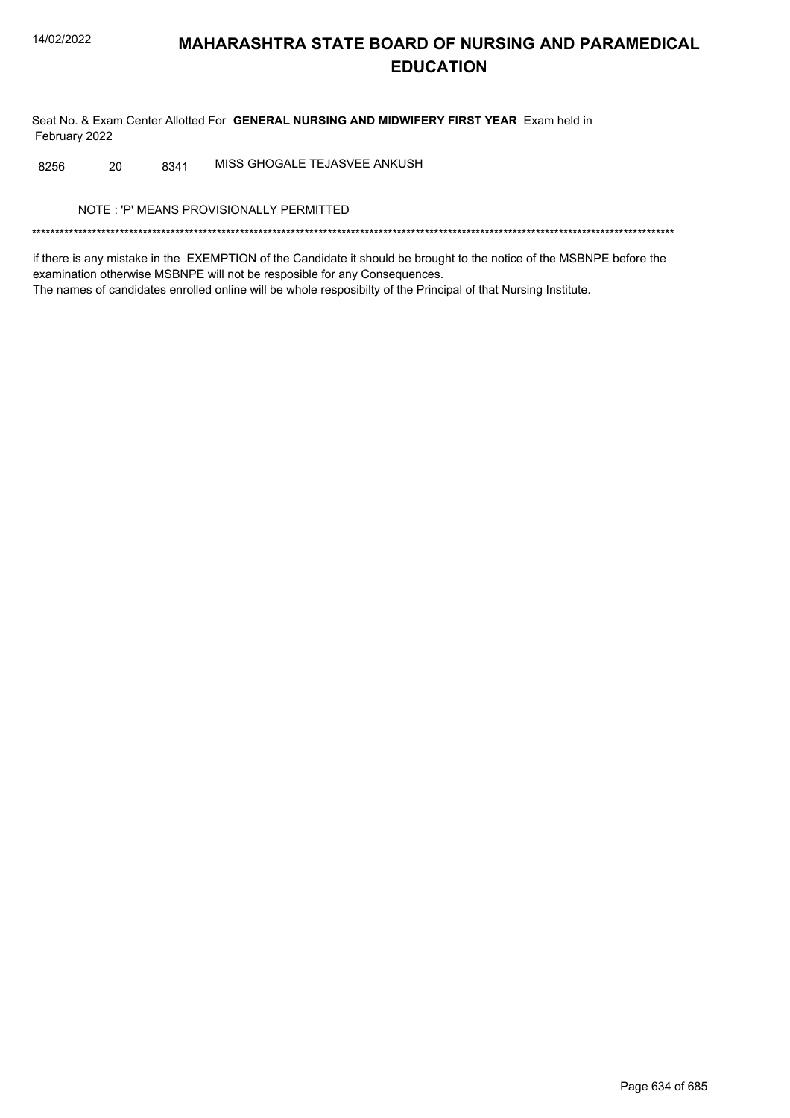Seat No. & Exam Center Allotted For GENERAL NURSING AND MIDWIFERY FIRST YEAR Exam held in February 2022

MISS GHOGALE TEJASVEE ANKUSH 8256 20 8341

NOTE: 'P' MEANS PROVISIONALLY PERMITTED

if there is any mistake in the EXEMPTION of the Candidate it should be brought to the notice of the MSBNPE before the examination otherwise MSBNPE will not be resposible for any Consequences. The names of candidates enrolled online will be whole resposibilty of the Principal of that Nursing Institute.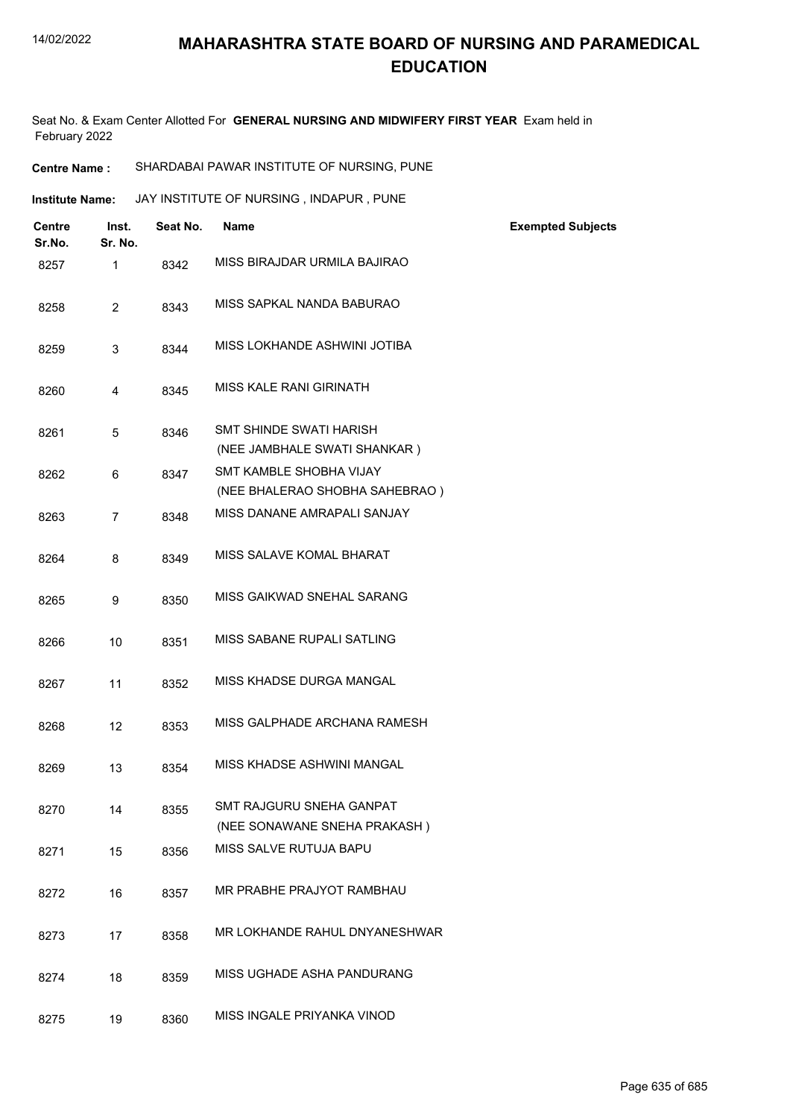Seat No. & Exam Center Allotted For **GENERAL NURSING AND MIDWIFERY FIRST YEAR** Exam held in February 2022

- **Centre Name :** SHARDABAI PAWAR INSTITUTE OF NURSING, PUNE
- **Institute Name: ANY INSTITUTE OF NURSING, INDAPUR, PUNE**

| <b>Centre</b><br>Sr.No. | Inst.<br>Sr. No. | Seat No. | <b>Name</b>                                                    | <b>Exempted Subjects</b> |
|-------------------------|------------------|----------|----------------------------------------------------------------|--------------------------|
| 8257                    | $\mathbf{1}$     | 8342     | MISS BIRAJDAR URMILA BAJIRAO                                   |                          |
| 8258                    | $\overline{2}$   | 8343     | MISS SAPKAL NANDA BABURAO                                      |                          |
| 8259                    | 3                | 8344     | MISS LOKHANDE ASHWINI JOTIBA                                   |                          |
| 8260                    | 4                | 8345     | <b>MISS KALE RANI GIRINATH</b>                                 |                          |
| 8261                    | 5                | 8346     | <b>SMT SHINDE SWATI HARISH</b><br>(NEE JAMBHALE SWATI SHANKAR) |                          |
| 8262                    | 6                | 8347     | <b>SMT KAMBLE SHOBHA VIJAY</b>                                 |                          |
|                         |                  |          | (NEE BHALERAO SHOBHA SAHEBRAO)                                 |                          |
| 8263                    | $\overline{7}$   | 8348     | MISS DANANE AMRAPALI SANJAY                                    |                          |
| 8264                    | 8                | 8349     | MISS SALAVE KOMAL BHARAT                                       |                          |
| 8265                    | 9                | 8350     | MISS GAIKWAD SNEHAL SARANG                                     |                          |
| 8266                    | 10               | 8351     | MISS SABANE RUPALI SATLING                                     |                          |
| 8267                    | 11               | 8352     | MISS KHADSE DURGA MANGAL                                       |                          |
| 8268                    | 12               | 8353     | MISS GALPHADE ARCHANA RAMESH                                   |                          |
| 8269                    | 13               | 8354     | MISS KHADSE ASHWINI MANGAL                                     |                          |
| 8270                    | 14               | 8355     | SMT RAJGURU SNEHA GANPAT                                       |                          |
|                         |                  |          | (NEE SONAWANE SNEHA PRAKASH)                                   |                          |
| 8271                    | 15               | 8356     | MISS SALVE RUTUJA BAPU                                         |                          |
| 8272                    | 16               | 8357     | MR PRABHE PRAJYOT RAMBHAU                                      |                          |
| 8273                    | 17               | 8358     | MR LOKHANDE RAHUL DNYANESHWAR                                  |                          |
| 8274                    | 18               | 8359     | MISS UGHADE ASHA PANDURANG                                     |                          |
| 8275                    | 19               | 8360     | MISS INGALE PRIYANKA VINOD                                     |                          |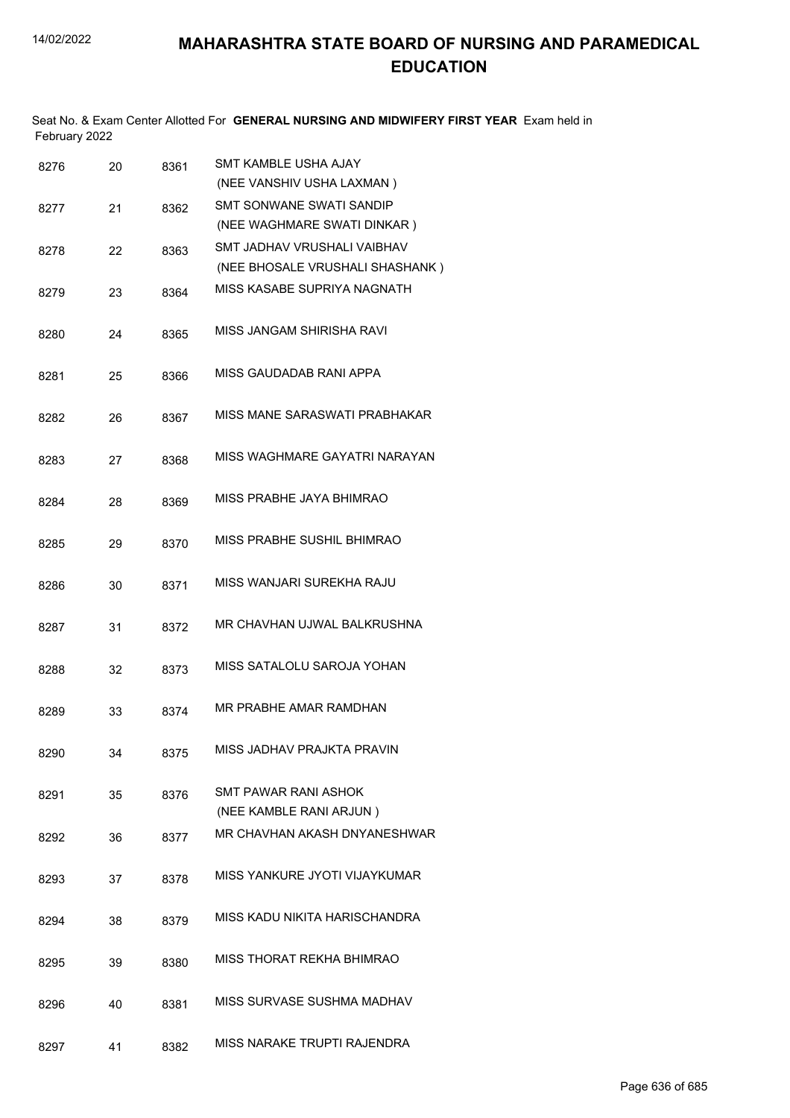Seat No. & Exam Center Allotted For **GENERAL NURSING AND MIDWIFERY FIRST YEAR** Exam held in February 2022

| 8276 | 20 | 8361 | <b>SMT KAMBLE USHA AJAY</b><br>(NEE VANSHIV USHA LAXMAN) |
|------|----|------|----------------------------------------------------------|
| 8277 | 21 | 8362 | <b>SMT SONWANE SWATI SANDIP</b>                          |
|      |    |      | (NEE WAGHMARE SWATI DINKAR)                              |
| 8278 | 22 | 8363 | SMT JADHAV VRUSHALI VAIBHAV                              |
|      |    |      | (NEE BHOSALE VRUSHALI SHASHANK)                          |
| 8279 | 23 | 8364 | MISS KASABE SUPRIYA NAGNATH                              |
| 8280 | 24 | 8365 | MISS JANGAM SHIRISHA RAVI                                |
| 8281 | 25 | 8366 | MISS GAUDADAB RANI APPA                                  |
| 8282 | 26 | 8367 | MISS MANE SARASWATI PRABHAKAR                            |
| 8283 | 27 | 8368 | MISS WAGHMARF GAYATRI NARAYAN                            |
| 8284 | 28 | 8369 | MISS PRABHE JAYA BHIMRAO                                 |
| 8285 | 29 | 8370 | MISS PRABHE SUSHIL BHIMRAO                               |
| 8286 | 30 | 8371 | MISS WANJARI SUREKHA RAJU                                |
| 8287 | 31 | 8372 | MR CHAVHAN UJWAL BALKRUSHNA                              |
| 8288 | 32 | 8373 | MISS SATALOLU SAROJA YOHAN                               |
| 8289 | 33 | 8374 | MR PRABHE AMAR RAMDHAN                                   |
| 8290 | 34 | 8375 | MISS JADHAV PRAJKTA PRAVIN                               |
| 8291 | 35 | 8376 | <b>SMT PAWAR RANI ASHOK</b><br>(NEE KAMBLE RANI ARJUN)   |
| 8292 | 36 | 8377 | MR CHAVHAN AKASH DNYANESHWAR                             |
| 8293 | 37 | 8378 | MISS YANKURE JYOTI VIJAYKUMAR                            |
| 8294 | 38 | 8379 | MISS KADU NIKITA HARISCHANDRA                            |
| 8295 | 39 | 8380 | MISS THORAT REKHA BHIMRAO                                |
| 8296 | 40 | 8381 | MISS SURVASE SUSHMA MADHAV                               |
| 8297 | 41 | 8382 | MISS NARAKE TRUPTI RAJENDRA                              |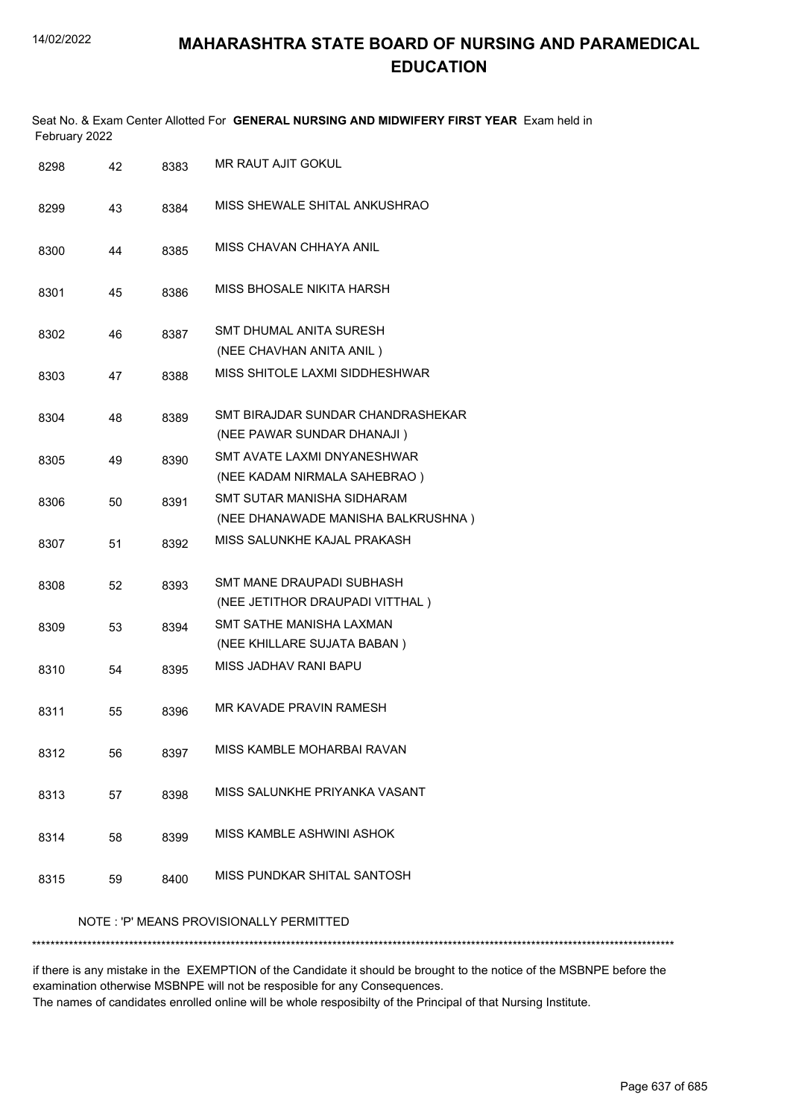| February 2022 |    |      | Seat No. & Exam Center Allotted For GENERAL NURSING AND MIDWIFERY FIRST YEAR Exam held in |  |  |  |
|---------------|----|------|-------------------------------------------------------------------------------------------|--|--|--|
| 8298          | 42 | 8383 | MR RAUT AJIT GOKUL                                                                        |  |  |  |
| 8299          | 43 | 8384 | MISS SHEWALE SHITAL ANKUSHRAO                                                             |  |  |  |
| 8300          | 44 | 8385 | MISS CHAVAN CHHAYA ANIL                                                                   |  |  |  |
| 8301          | 45 | 8386 | MISS BHOSALE NIKITA HARSH                                                                 |  |  |  |
| 8302          | 46 | 8387 | SMT DHUMAL ANITA SURESH<br>(NEE CHAVHAN ANITA ANIL)                                       |  |  |  |
| 8303          | 47 | 8388 | MISS SHITOLE LAXMI SIDDHESHWAR                                                            |  |  |  |
| 8304          | 48 | 8389 | SMT BIRAJDAR SUNDAR CHANDRASHEKAR<br>(NEE PAWAR SUNDAR DHANAJI)                           |  |  |  |
| 8305          | 49 | 8390 | SMT AVATE LAXMI DNYANESHWAR<br>(NEE KADAM NIRMALA SAHEBRAO)                               |  |  |  |
| 8306          | 50 | 8391 | SMT SUTAR MANISHA SIDHARAM<br>(NEE DHANAWADE MANISHA BALKRUSHNA)                          |  |  |  |
| 8307          | 51 | 8392 | MISS SALUNKHE KAJAL PRAKASH                                                               |  |  |  |
| 8308          | 52 | 8393 | SMT MANE DRAUPADI SUBHASH<br>(NEE JETITHOR DRAUPADI VITTHAL)                              |  |  |  |
| 8309          | 53 | 8394 | SMT SATHE MANISHA LAXMAN<br>(NEE KHILLARE SUJATA BABAN)                                   |  |  |  |
| 8310          | 54 | 8395 | MISS JADHAV RANI BAPU                                                                     |  |  |  |
| 8311          | 55 | 8396 | MR KAVADE PRAVIN RAMESH                                                                   |  |  |  |
| 8312          | 56 | 8397 | MISS KAMBLE MOHARBAI RAVAN                                                                |  |  |  |
| 8313          | 57 | 8398 | MISS SALUNKHE PRIYANKA VASANT                                                             |  |  |  |
| 8314          | 58 | 8399 | MISS KAMBLE ASHWINI ASHOK                                                                 |  |  |  |
| 8315          | 59 | 8400 | MISS PUNDKAR SHITAL SANTOSH                                                               |  |  |  |
|               |    |      | NOTE: 'P' MEANS PROVISIONALLY PERMITTED                                                   |  |  |  |
|               |    |      |                                                                                           |  |  |  |

if there is any mistake in the EXEMPTION of the Candidate it should be brought to the notice of the MSBNPE before the examination otherwise MSBNPE will not be resposible for any Consequences. The names of candidates enrolled online will be whole resposibilty of the Principal of that Nursing Institute.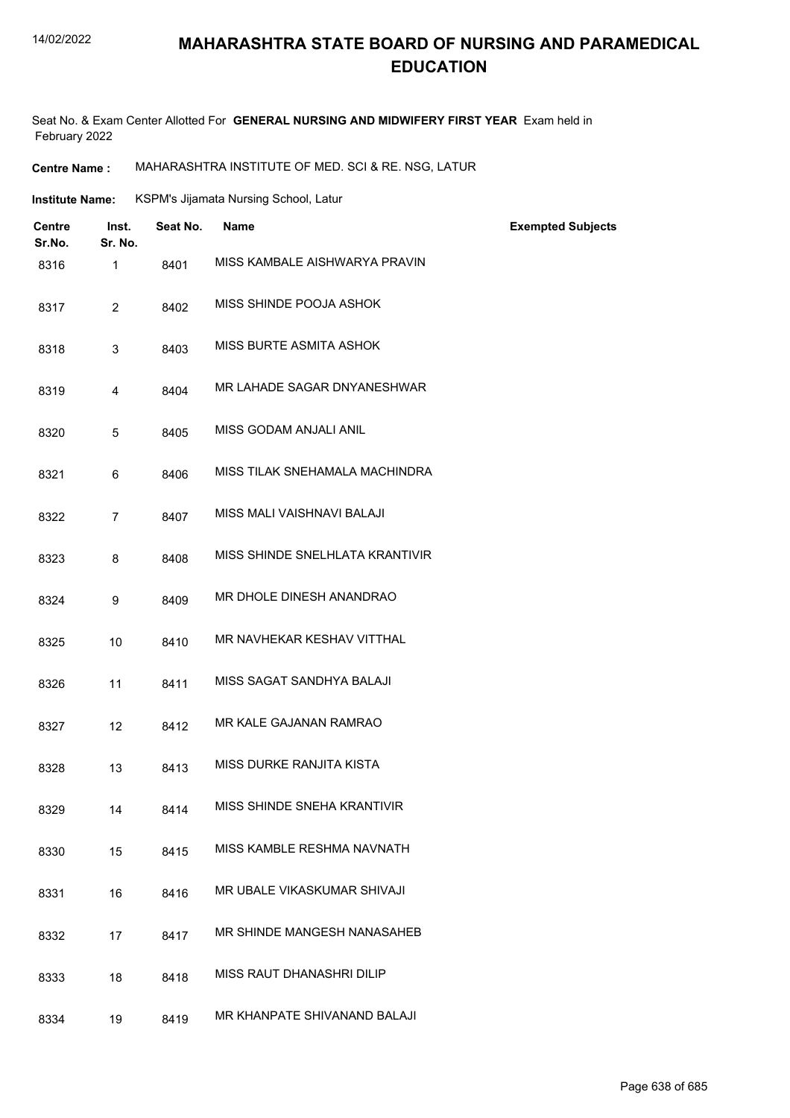#### 14/02/2022

## **MAHARASHTRA STATE BOARD OF NURSING AND PARAMEDICAL EDUCATION**

Seat No. & Exam Center Allotted For **GENERAL NURSING AND MIDWIFERY FIRST YEAR** Exam held in February 2022

**Centre Name :** MAHARASHTRA INSTITUTE OF MED. SCI & RE. NSG, LATUR

| <b>Institute Name:</b> |                         |                  | KSPM's Jijamata Nursing School, Latur |                                 |                          |
|------------------------|-------------------------|------------------|---------------------------------------|---------------------------------|--------------------------|
|                        | <b>Centre</b><br>Sr.No. | Inst.<br>Sr. No. | Seat No.                              | <b>Name</b>                     | <b>Exempted Subjects</b> |
|                        | 8316                    | $\mathbf{1}$     | 8401                                  | MISS KAMBALE AISHWARYA PRAVIN   |                          |
|                        | 8317                    | $\overline{2}$   | 8402                                  | MISS SHINDE POOJA ASHOK         |                          |
|                        | 8318                    | 3                | 8403                                  | MISS BURTE ASMITA ASHOK         |                          |
|                        | 8319                    | 4                | 8404                                  | MR LAHADE SAGAR DNYANESHWAR     |                          |
|                        | 8320                    | 5                | 8405                                  | MISS GODAM ANJALI ANIL          |                          |
|                        | 8321                    | 6                | 8406                                  | MISS TILAK SNEHAMALA MACHINDRA  |                          |
|                        | 8322                    | $\overline{7}$   | 8407                                  | MISS MALI VAISHNAVI BALAJI      |                          |
|                        | 8323                    | 8                | 8408                                  | MISS SHINDE SNELHLATA KRANTIVIR |                          |
|                        | 8324                    | 9                | 8409                                  | MR DHOLE DINESH ANANDRAO        |                          |
|                        | 8325                    | 10               | 8410                                  | MR NAVHEKAR KESHAV VITTHAL      |                          |
|                        | 8326                    | 11               | 8411                                  | MISS SAGAT SANDHYA BALAJI       |                          |
|                        | 8327                    | 12               | 8412                                  | MR KALE GAJANAN RAMRAO          |                          |
|                        | 8328                    | 13               | 8413                                  | MISS DURKE RANJITA KISTA        |                          |
|                        | 8329                    | 14               | 8414                                  | MISS SHINDE SNEHA KRANTIVIR     |                          |
|                        | 8330                    | 15               | 8415                                  | MISS KAMBLE RESHMA NAVNATH      |                          |
|                        | 8331                    | 16               | 8416                                  | MR UBALE VIKASKUMAR SHIVAJI     |                          |
|                        | 8332                    | 17               | 8417                                  | MR SHINDE MANGESH NANASAHEB     |                          |
|                        | 8333                    | 18               | 8418                                  | MISS RAUT DHANASHRI DILIP       |                          |
|                        | 8334                    | 19               | 8419                                  | MR KHANPATE SHIVANAND BALAJI    |                          |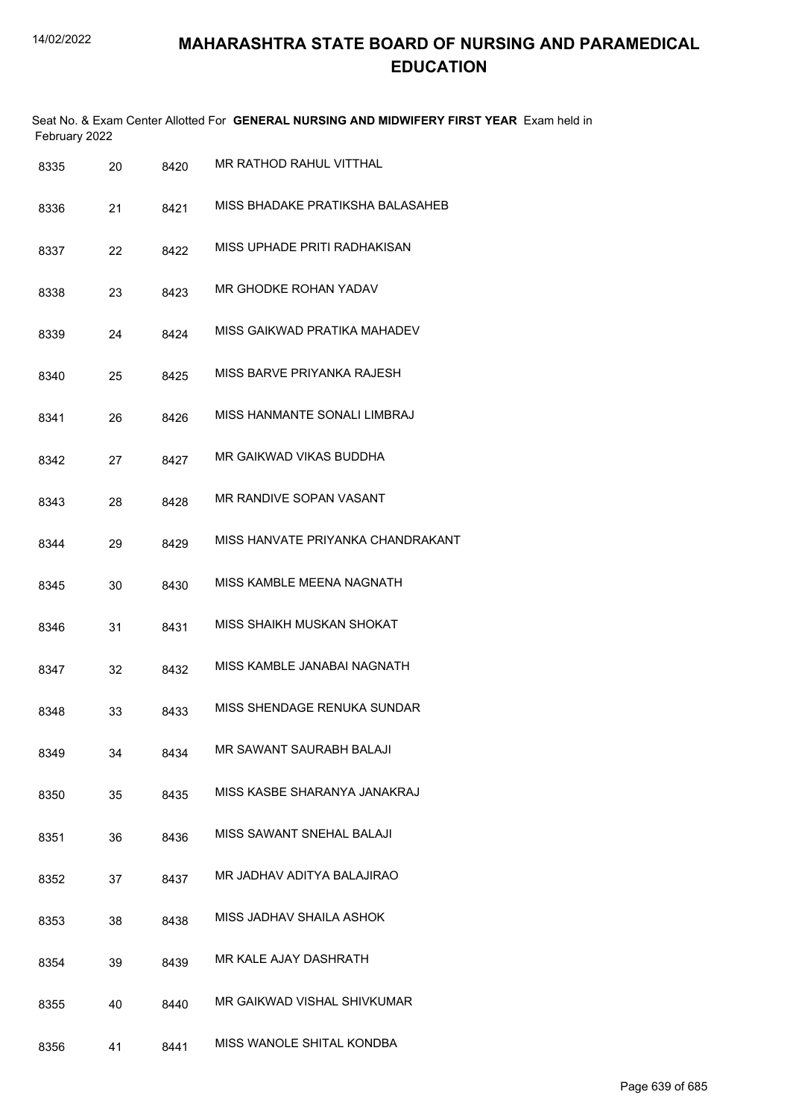|      | February 2022 |      | Seat No. & Exam Center Allotted For GENERAL NURSING AND MIDWIFERY FIRST YEAR Exam held in |
|------|---------------|------|-------------------------------------------------------------------------------------------|
| 8335 | 20            | 8420 | MR RATHOD RAHUL VITTHAL                                                                   |
| 8336 | 21            | 8421 | MISS BHADAKE PRATIKSHA BALASAHEB                                                          |
| 8337 | 22            | 8422 | MISS UPHADE PRITI RADHAKISAN                                                              |
| 8338 | 23            | 8423 | MR GHODKE ROHAN YADAV                                                                     |
| 8339 | 24            | 8424 | MISS GAIKWAD PRATIKA MAHADEV                                                              |
| 8340 | 25            | 8425 | MISS BARVE PRIYANKA RAJESH                                                                |
| 8341 | 26            | 8426 | MISS HANMANTE SONALI LIMBRAJ                                                              |
| 8342 | 27            | 8427 | MR GAIKWAD VIKAS BUDDHA                                                                   |
| 8343 | 28            | 8428 | MR RANDIVE SOPAN VASANT                                                                   |
| 8344 | 29            | 8429 | MISS HANVATE PRIYANKA CHANDRAKANT                                                         |
| 8345 | 30            | 8430 | MISS KAMBLE MEENA NAGNATH                                                                 |
| 8346 | 31            | 8431 | MISS SHAIKH MUSKAN SHOKAT                                                                 |
| 8347 | 32            | 8432 | MISS KAMBLE JANABAI NAGNATH                                                               |
| 8348 | 33            | 8433 | MISS SHENDAGE RENUKA SUNDAR                                                               |
| 8349 | 34            | 8434 | MR SAWANT SAURABH BALAJI                                                                  |
| 8350 | 35            | 8435 | MISS KASBE SHARANYA JANAKRAJ                                                              |
| 8351 | 36            | 8436 | MISS SAWANT SNEHAL BALAJI                                                                 |
| 8352 | 37            | 8437 | MR JADHAV ADITYA BALAJIRAO                                                                |
| 8353 | 38            | 8438 | MISS JADHAV SHAILA ASHOK                                                                  |
| 8354 | 39            | 8439 | MR KALE AJAY DASHRATH                                                                     |
| 8355 | 40            | 8440 | MR GAIKWAD VISHAL SHIVKUMAR                                                               |
| 8356 | 41            | 8441 | MISS WANOLE SHITAL KONDBA                                                                 |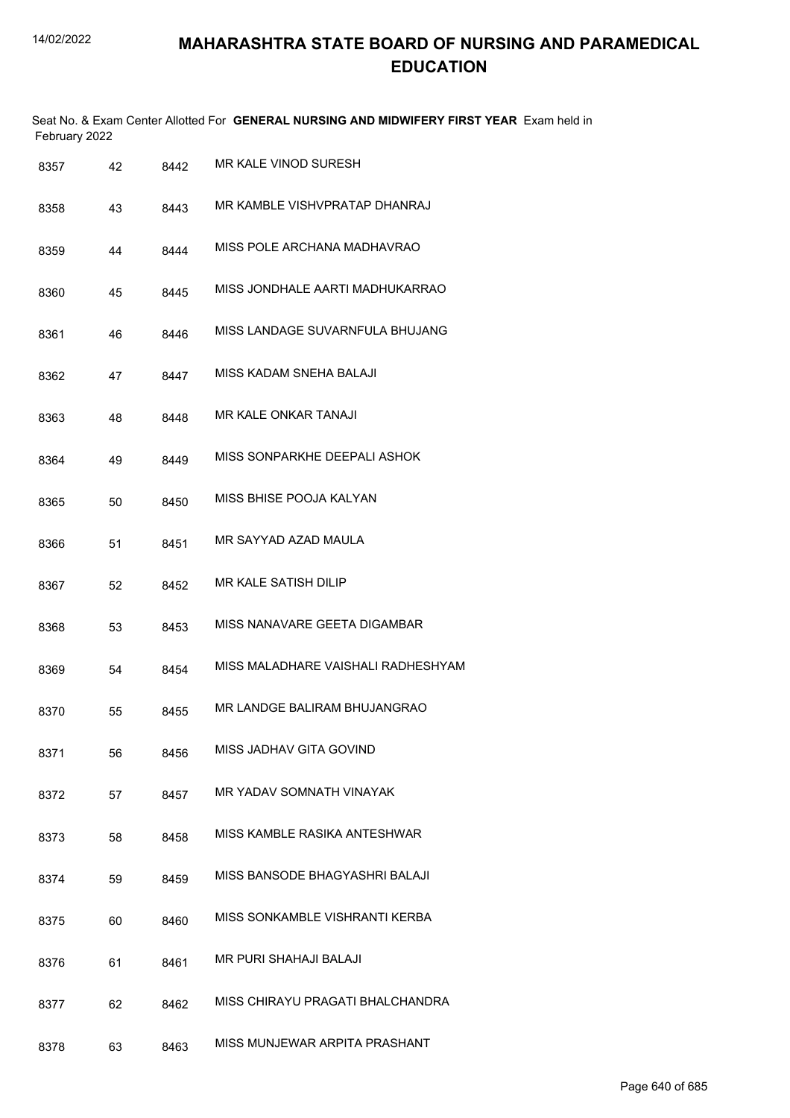|      | February 2022 |    |      | Seat No. & Exam Center Allotted For GENERAL NURSING AND MIDWIFERY FIRST YEAR Exam held in |
|------|---------------|----|------|-------------------------------------------------------------------------------------------|
| 8357 |               | 42 | 8442 | MR KALE VINOD SURESH                                                                      |
| 8358 |               | 43 | 8443 | MR KAMBI F VISHVPRATAP DHANRAJ                                                            |
| 8359 |               | 44 | 8444 | MISS POLE ARCHANA MADHAVRAO                                                               |
| 8360 |               | 45 | 8445 | MISS JONDHALE AARTI MADHUKARRAO                                                           |
| 8361 |               | 46 | 8446 | MISS LANDAGE SUVARNFULA BHUJANG                                                           |
| 8362 |               | 47 | 8447 | MISS KADAM SNEHA BALAJI                                                                   |
| 8363 |               | 48 | 8448 | MR KALE ONKAR TANAJI                                                                      |
| 8364 |               | 49 | 8449 | MISS SONPARKHE DEEPALI ASHOK                                                              |
| 8365 |               | 50 | 8450 | MISS BHISE POOJA KALYAN                                                                   |
| 8366 |               | 51 | 8451 | MR SAYYAD AZAD MAULA                                                                      |
| 8367 |               | 52 | 8452 | MR KALE SATISH DILIP                                                                      |
| 8368 |               | 53 | 8453 | MISS NANAVARE GEETA DIGAMBAR                                                              |
| 8369 |               | 54 | 8454 | MISS MALADHARE VAISHALI RADHESHYAM                                                        |
| 8370 |               | 55 | 8455 | MR LANDGE BALIRAM BHUJANGRAO                                                              |
| 8371 |               | 56 | 8456 | MISS JADHAV GITA GOVIND                                                                   |
| 8372 |               | 57 | 8457 | MR YADAV SOMNATH VINAYAK                                                                  |
| 8373 |               | 58 | 8458 | MISS KAMBLE RASIKA ANTESHWAR                                                              |
| 8374 |               | 59 | 8459 | MISS BANSODE BHAGYASHRI BALAJI                                                            |
| 8375 |               | 60 | 8460 | MISS SONKAMBLE VISHRANTI KERBA                                                            |
| 8376 |               | 61 | 8461 | MR PURI SHAHAJI BALAJI                                                                    |
| 8377 |               | 62 | 8462 | MISS CHIRAYU PRAGATI BHALCHANDRA                                                          |
| 8378 |               | 63 | 8463 | MISS MUNJEWAR ARPITA PRASHANT                                                             |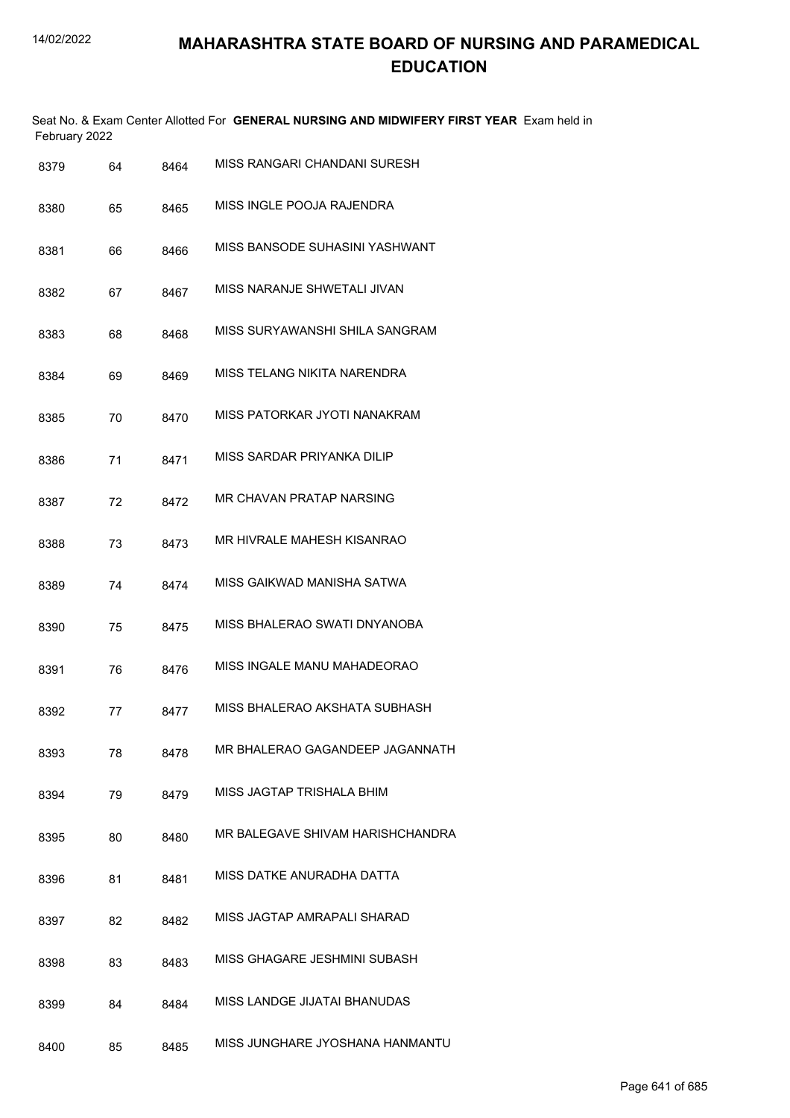|               |    |      | Seat No. & Exam Center Allotted For GENERAL NURSING AND MIDWIFERY FIRST YEAR Exam held in |  |
|---------------|----|------|-------------------------------------------------------------------------------------------|--|
| February 2022 |    |      |                                                                                           |  |
| 8370          | 64 | 8464 | MISS RANGARI CHANDANI SURESH                                                              |  |

| ບບ / ອ | v+ | <b>0404</b> |                                   |
|--------|----|-------------|-----------------------------------|
| 8380   | 65 | 8465        | MISS INGLE POOJA RAJENDRA         |
| 8381   | 66 | 8466        | MISS BANSODE SUHASINI YASHWANT    |
| 8382   | 67 | 8467        | MISS NARANJE SHWETALI JIVAN       |
| 8383   | 68 | 8468        | MISS SURYAWANSHI SHILA SANGRAM    |
| 8384   | 69 | 8469        | MISS TELANG NIKITA NARENDRA       |
| 8385   | 70 | 8470        | MISS PATORKAR JYOTI NANAKRAM      |
| 8386   | 71 | 8471        | MISS SARDAR PRIYANKA DILIP        |
| 8387   | 72 | 8472        | MR CHAVAN PRATAP NARSING          |
| 8388   | 73 | 8473        | MR HIVRALE MAHESH KISANRAO        |
| 8389   | 74 | 8474        | MISS GAIKWAD MANISHA SATWA        |
| 8390   | 75 | 8475        | MISS BHALERAO SWATI DNYANOBA      |
| 8391   | 76 | 8476        | MISS INGALE MANU MAHADEORAO       |
| 8392   | 77 | 8477        | MISS BHALERAO AKSHATA SUBHASH     |
| 8393   | 78 | 8478        | MR BHALERAO GAGANDEEP JAGANNATH   |
| 8394   | 79 | 8479        | MISS JAGTAP TRISHALA BHIM         |
| 8395   | 80 | 8480        | MR BAI FGAVE SHIVAM HARISHCHANDRA |
| 8396   | 81 | 8481        | MISS DATKE ANURADHA DATTA         |
| 8397   | 82 | 8482        | MISS JAGTAP AMRAPALI SHARAD       |
| 8398   | 83 | 8483        | MISS GHAGARE JESHMINI SUBASH      |
| 8399   | 84 | 8484        | MISS LANDGE JIJATAI BHANUDAS      |
| 8400   | 85 | 8485        | MISS JUNGHARE JYOSHANA HANMANTU   |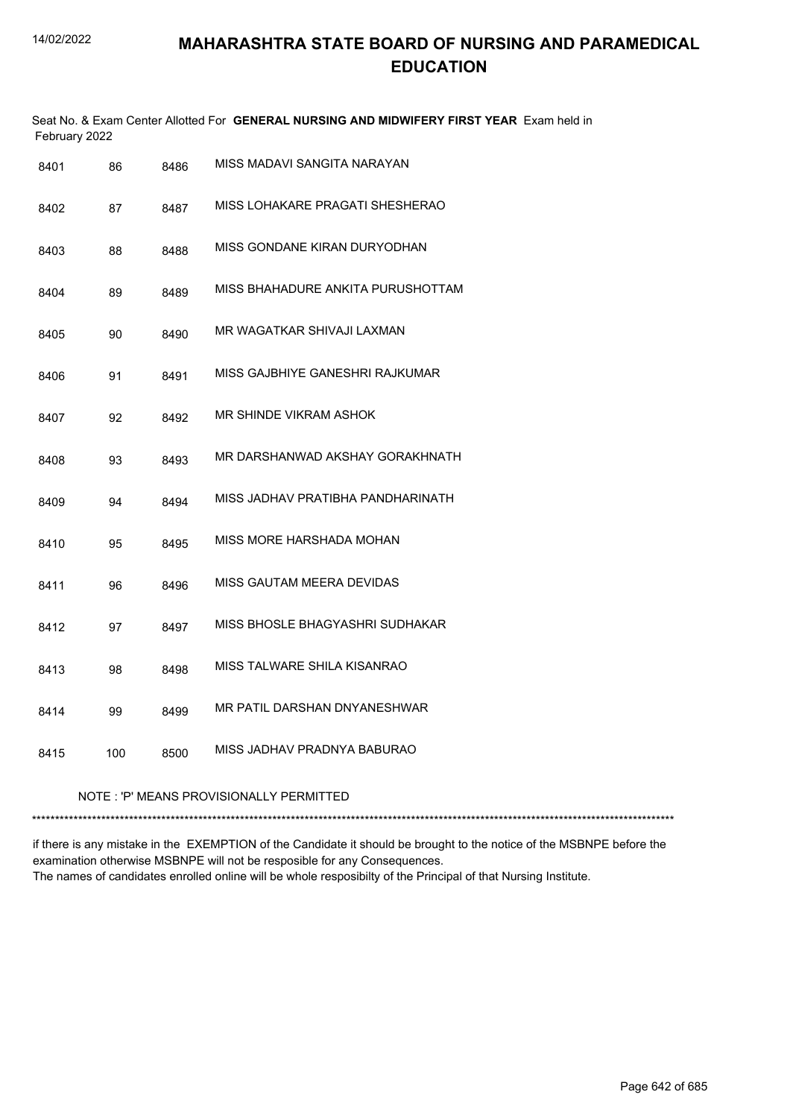| Seat No. & Exam Center Allotted For GENERAL NURSING AND MIDWIFERY FIRST YEAR Exam held in<br>February 2022 |      |                                   |  |  |  |  |
|------------------------------------------------------------------------------------------------------------|------|-----------------------------------|--|--|--|--|
| 86                                                                                                         | 8486 | MISS MADAVI SANGITA NARAYAN       |  |  |  |  |
| 87                                                                                                         | 8487 | MISS LOHAKARE PRAGATI SHESHERAO   |  |  |  |  |
| 88                                                                                                         | 8488 | MISS GONDANE KIRAN DURYODHAN      |  |  |  |  |
| 89                                                                                                         | 8489 | MISS BHAHADURE ANKITA PURUSHOTTAM |  |  |  |  |
| 90                                                                                                         | 8490 | MR WAGATKAR SHIVAJI LAXMAN        |  |  |  |  |
| 91                                                                                                         | 8491 | MISS GAJBHIYE GANESHRI RAJKUMAR   |  |  |  |  |
| 92                                                                                                         | 8492 | MR SHINDE VIKRAM ASHOK            |  |  |  |  |
| 93                                                                                                         | 8493 | MR DARSHANWAD AKSHAY GORAKHNATH   |  |  |  |  |
| 94                                                                                                         | 8494 | MISS JADHAV PRATIBHA PANDHARINATH |  |  |  |  |
| 95                                                                                                         | 8495 | MISS MORE HARSHADA MOHAN          |  |  |  |  |
| 96                                                                                                         | 8496 | MISS GAUTAM MEERA DEVIDAS         |  |  |  |  |
| 97                                                                                                         | 8497 | MISS BHOSLE BHAGYASHRI SUDHAKAR   |  |  |  |  |
| 98                                                                                                         | 8498 | MISS TALWARE SHILA KISANRAO       |  |  |  |  |
| 99                                                                                                         | 8499 | MR PATIL DARSHAN DNYANESHWAR      |  |  |  |  |
| 100                                                                                                        | 8500 | MISS JADHAV PRADNYA BABURAO       |  |  |  |  |
| NOTE: 'P' MEANS PROVISIONALLY PERMITTED                                                                    |      |                                   |  |  |  |  |
|                                                                                                            |      |                                   |  |  |  |  |

if there is any mistake in the EXEMPTION of the Candidate it should be brought to the notice of the MSBNPE before the examination otherwise MSBNPE will not be resposible for any Consequences. The names of candidates enrolled online will be whole resposibilty of the Principal of that Nursing Institute.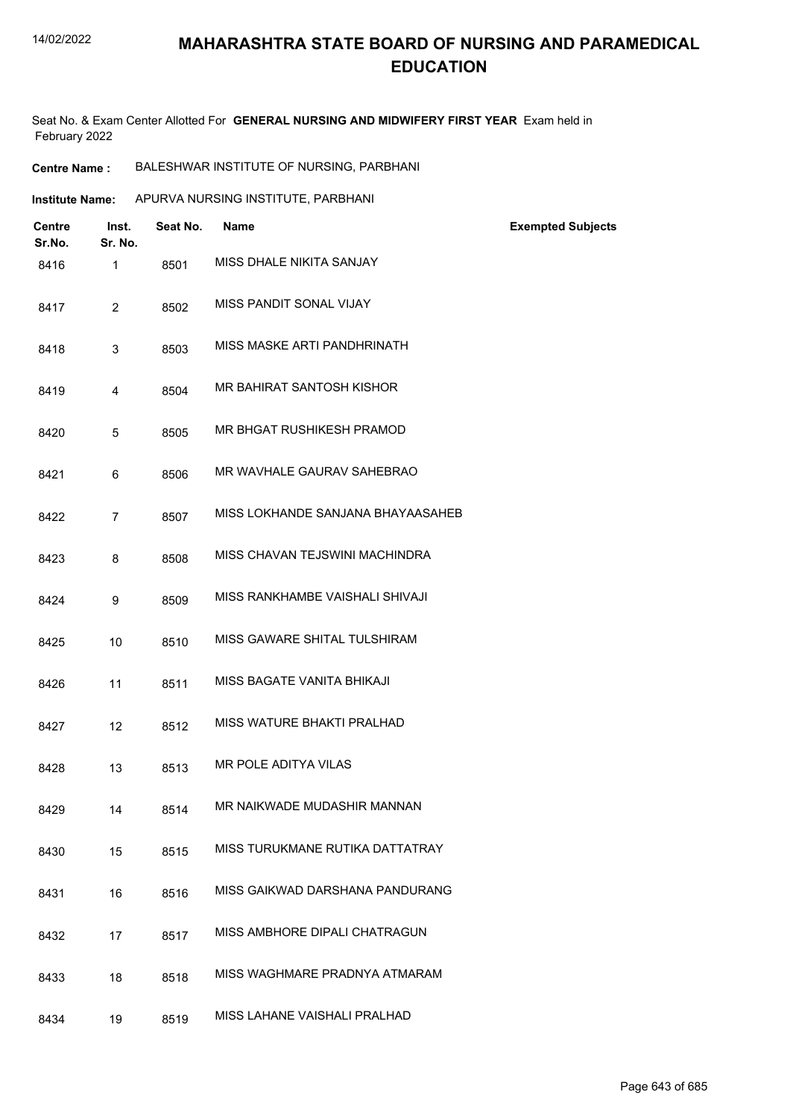Seat No. & Exam Center Allotted For **GENERAL NURSING AND MIDWIFERY FIRST YEAR** Exam held in February 2022

- **Centre Name :** BALESHWAR INSTITUTE OF NURSING, PARBHANI
- **Institute Name:** APURVA NURSING INSTITUTE, PARBHANI

| <b>Centre</b><br>Sr.No. | Inst.<br>Sr. No. | Seat No. | <b>Name</b>                       | <b>Exempted Subjects</b> |
|-------------------------|------------------|----------|-----------------------------------|--------------------------|
| 8416                    | $\mathbf{1}$     | 8501     | MISS DHALE NIKITA SANJAY          |                          |
| 8417                    | $\overline{2}$   | 8502     | MISS PANDIT SONAL VIJAY           |                          |
| 8418                    | 3                | 8503     | MISS MASKE ARTI PANDHRINATH       |                          |
| 8419                    | 4                | 8504     | MR BAHIRAT SANTOSH KISHOR         |                          |
| 8420                    | 5                | 8505     | MR BHGAT RUSHIKESH PRAMOD         |                          |
| 8421                    | 6                | 8506     | MR WAVHALE GAURAV SAHEBRAO        |                          |
| 8422                    | $\overline{7}$   | 8507     | MISS LOKHANDE SANJANA BHAYAASAHEB |                          |
| 8423                    | 8                | 8508     | MISS CHAVAN TEJSWINI MACHINDRA    |                          |
| 8424                    | 9                | 8509     | MISS RANKHAMBE VAISHALI SHIVAJI   |                          |
| 8425                    | 10               | 8510     | MISS GAWARE SHITAL TULSHIRAM      |                          |
| 8426                    | 11               | 8511     | MISS BAGATE VANITA BHIKAJI        |                          |
| 8427                    | 12               | 8512     | MISS WATURE BHAKTI PRALHAD        |                          |
| 8428                    | 13               | 8513     | MR POLE ADITYA VILAS              |                          |
| 8429                    | 14               | 8514     | MR NAIKWADE MUDASHIR MANNAN       |                          |
| 8430                    | 15               | 8515     | MISS TURUKMANE RUTIKA DATTATRAY   |                          |
| 8431                    | 16               | 8516     | MISS GAIKWAD DARSHANA PANDURANG   |                          |
| 8432                    | 17               | 8517     | MISS AMBHORE DIPALI CHATRAGUN     |                          |
| 8433                    | 18               | 8518     | MISS WAGHMARE PRADNYA ATMARAM     |                          |
| 8434                    | 19               | 8519     | MISS LAHANE VAISHALI PRALHAD      |                          |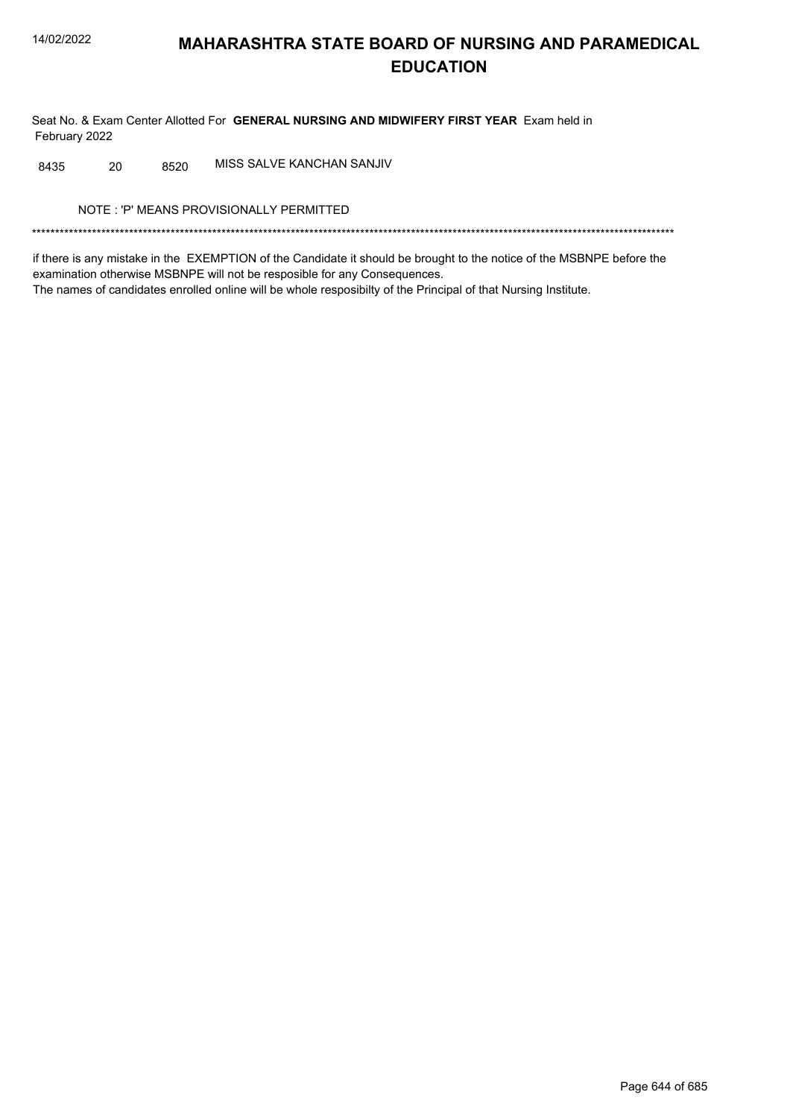Seat No. & Exam Center Allotted For GENERAL NURSING AND MIDWIFERY FIRST YEAR Exam held in February 2022

MISS SALVE KANCHAN SANJIV 8435 20 8520

NOTE: 'P' MEANS PROVISIONALLY PERMITTED

if there is any mistake in the EXEMPTION of the Candidate it should be brought to the notice of the MSBNPE before the examination otherwise MSBNPE will not be resposible for any Consequences. The names of candidates enrolled online will be whole resposibilty of the Principal of that Nursing Institute.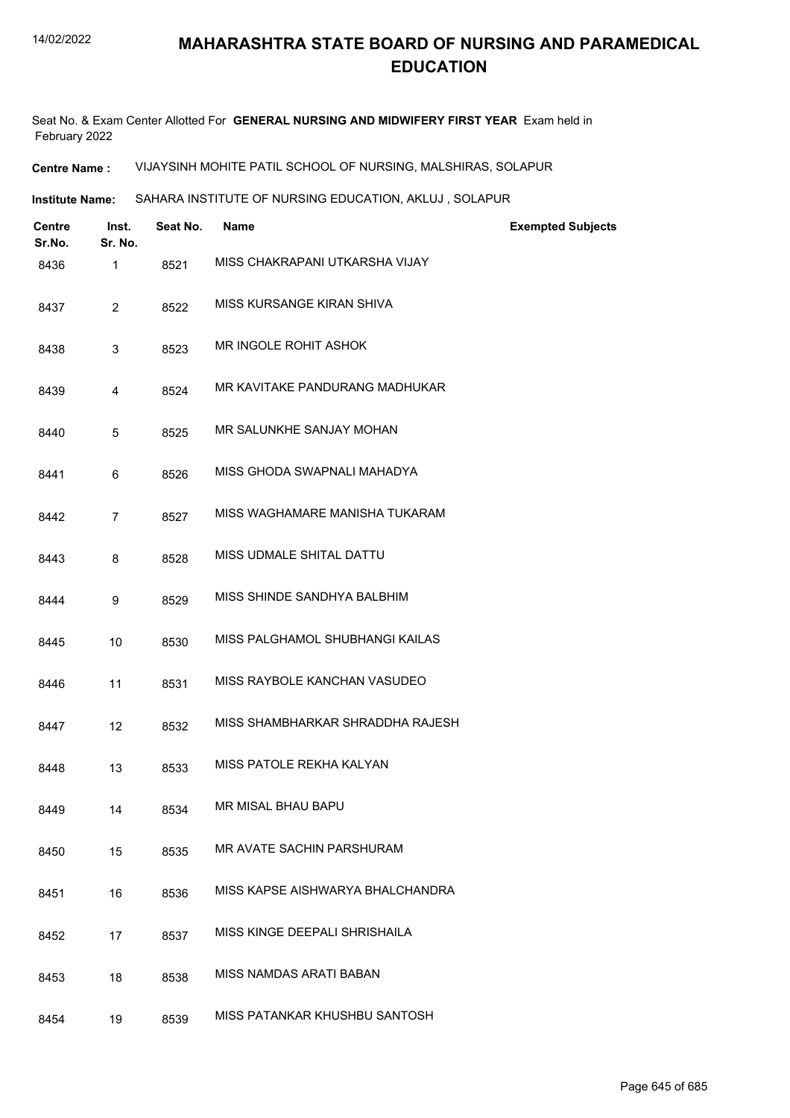Seat No. & Exam Center Allotted For **GENERAL NURSING AND MIDWIFERY FIRST YEAR** Exam held in February 2022

**Centre Name :** VIJAYSINH MOHITE PATIL SCHOOL OF NURSING, MALSHIRAS, SOLAPUR

**Institute Name: SAHARA INSTITUTE OF NURSING EDUCATION, AKLUJ , SOLAPUR** 

| <b>Centre</b><br>Sr.No. | Inst.<br>Sr. No. | Seat No. | <b>Name</b>                      | <b>Exempted Subjects</b> |
|-------------------------|------------------|----------|----------------------------------|--------------------------|
| 8436                    | 1                | 8521     | MISS CHAKRAPANI UTKARSHA VIJAY   |                          |
| 8437                    | $\overline{2}$   | 8522     | MISS KURSANGE KIRAN SHIVA        |                          |
| 8438                    | 3                | 8523     | MR INGOLE ROHIT ASHOK            |                          |
| 8439                    | 4                | 8524     | MR KAVITAKE PANDURANG MADHUKAR   |                          |
| 8440                    | 5                | 8525     | MR SALUNKHE SANJAY MOHAN         |                          |
| 8441                    | 6                | 8526     | MISS GHODA SWAPNALI MAHADYA      |                          |
| 8442                    | $\overline{7}$   | 8527     | MISS WAGHAMARE MANISHA TUKARAM   |                          |
| 8443                    | 8                | 8528     | MISS UDMALE SHITAL DATTU         |                          |
| 8444                    | 9                | 8529     | MISS SHINDE SANDHYA BALBHIM      |                          |
| 8445                    | 10               | 8530     | MISS PALGHAMOL SHUBHANGI KAILAS  |                          |
| 8446                    | 11               | 8531     | MISS RAYBOLE KANCHAN VASUDEO     |                          |
| 8447                    | 12               | 8532     | MISS SHAMBHARKAR SHRADDHA RAJESH |                          |
| 8448                    | 13               | 8533     | MISS PATOLE REKHA KALYAN         |                          |
| 8449                    | 14               | 8534     | MR MISAL BHAU BAPU               |                          |
| 8450                    | 15               | 8535     | MR AVATE SACHIN PARSHURAM        |                          |
| 8451                    | 16               | 8536     | MISS KAPSE AISHWARYA BHALCHANDRA |                          |
| 8452                    | 17               | 8537     | MISS KINGE DEEPALI SHRISHAILA    |                          |
| 8453                    | 18               | 8538     | MISS NAMDAS ARATI BABAN          |                          |
| 8454                    | 19               | 8539     | MISS PATANKAR KHUSHBU SANTOSH    |                          |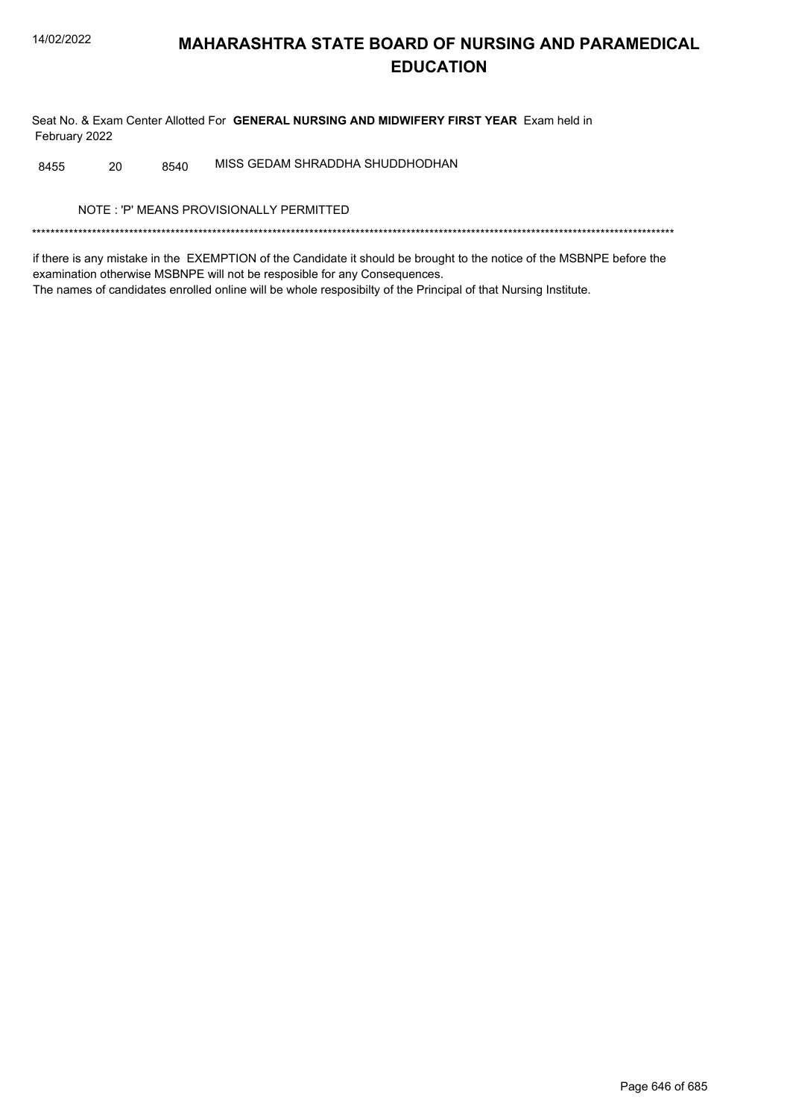Seat No. & Exam Center Allotted For GENERAL NURSING AND MIDWIFERY FIRST YEAR Exam held in February 2022

MISS GEDAM SHRADDHA SHUDDHODHAN 8455 20 8540

NOTE: 'P' MEANS PROVISIONALLY PERMITTED

if there is any mistake in the EXEMPTION of the Candidate it should be brought to the notice of the MSBNPE before the examination otherwise MSBNPE will not be resposible for any Consequences. The names of candidates enrolled online will be whole resposibilty of the Principal of that Nursing Institute.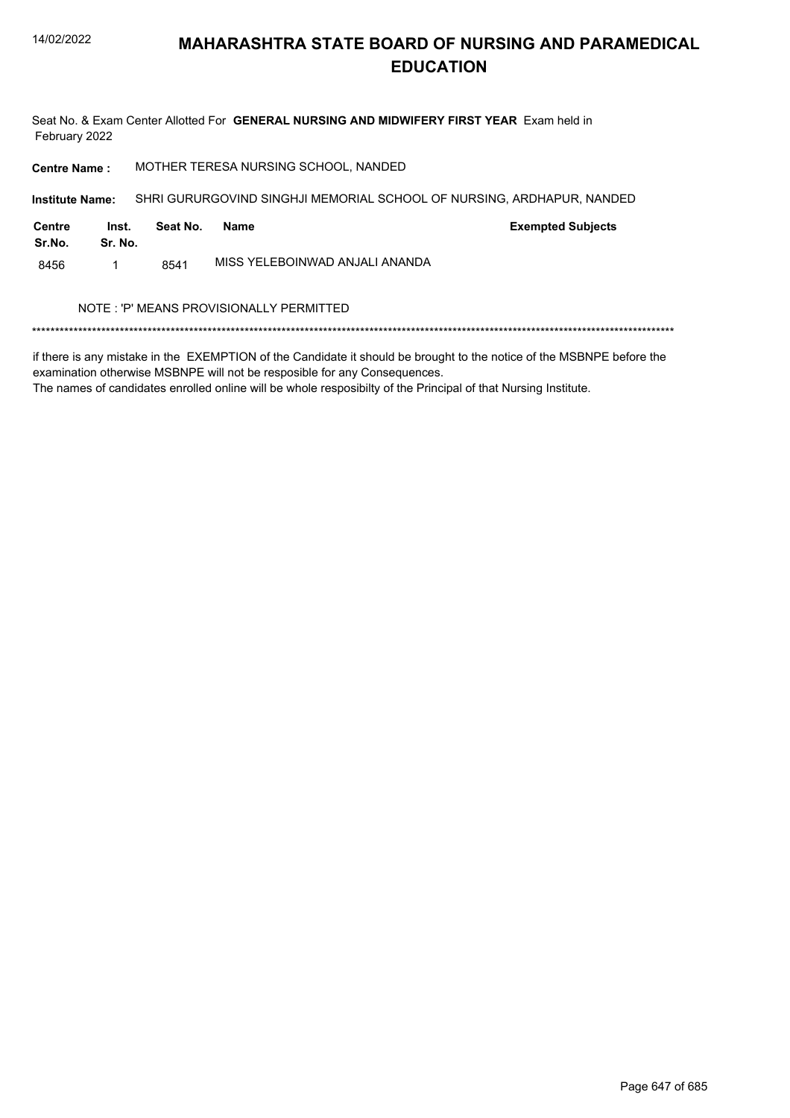

Seat No. & Exam Center Allotted For GENERAL NURSING AND MIDWIFERY FIRST YEAR Exam held in February 2022

MOTHER TERESA NURSING SCHOOL, NANDED **Centre Name:** 

Institute Name: SHRI GURURGOVIND SINGHJI MEMORIAL SCHOOL OF NURSING, ARDHAPUR, NANDED

| Centre<br>Sr.No. | Inst.<br>Sr. No. | Seat No. | Name                           | <b>Exempted Subjects</b> |
|------------------|------------------|----------|--------------------------------|--------------------------|
| 8456             |                  | 8541     | MISS YELEBOINWAD ANJALI ANANDA |                          |

#### NOTE : 'P' MEANS PROVISIONALLY PERMITTED

if there is any mistake in the EXEMPTION of the Candidate it should be brought to the notice of the MSBNPE before the examination otherwise MSBNPE will not be resposible for any Consequences.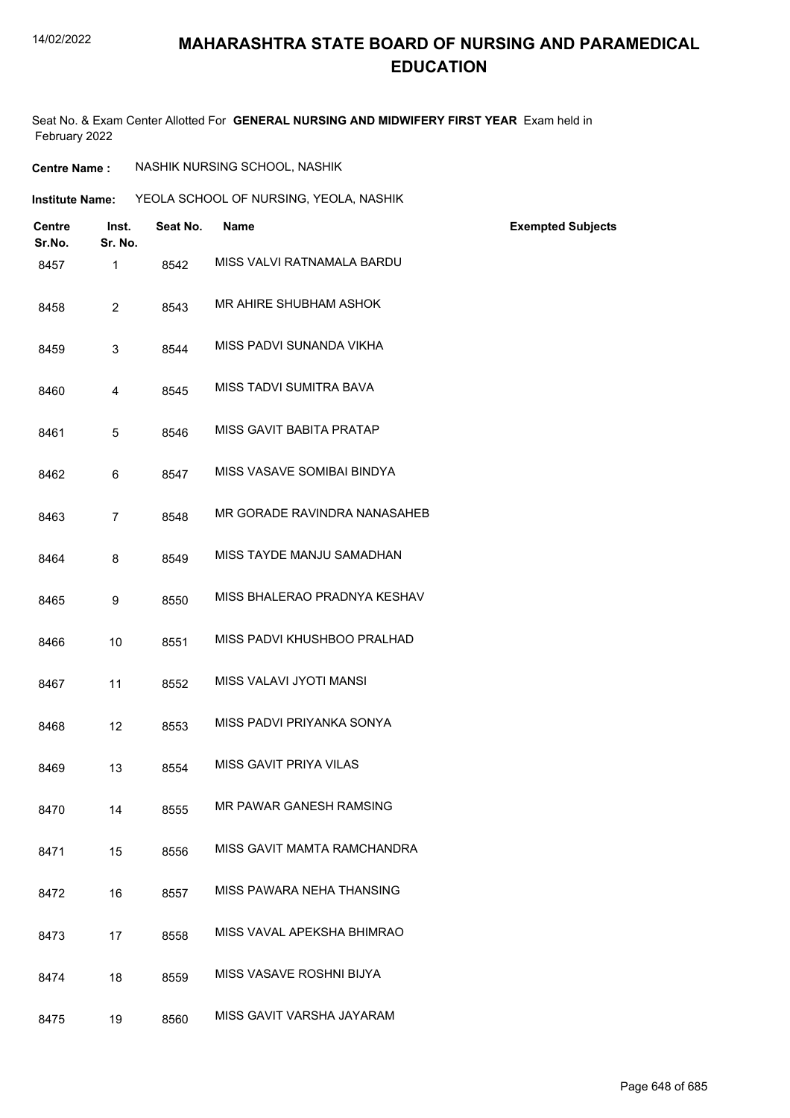#### 14/02/2022

## **MAHARASHTRA STATE BOARD OF NURSING AND PARAMEDICAL EDUCATION**

Seat No. & Exam Center Allotted For **GENERAL NURSING AND MIDWIFERY FIRST YEAR** Exam held in February 2022

| <b>Centre Name :</b> | NASHIK NURSING SCHOOL, NASHIK |  |
|----------------------|-------------------------------|--|
|                      |                               |  |

| <b>Institute Name:</b> |                         |                  | YEOLA SCHOOL OF NURSING, YEOLA, NASHIK |                              |                          |
|------------------------|-------------------------|------------------|----------------------------------------|------------------------------|--------------------------|
|                        | <b>Centre</b><br>Sr.No. | Inst.<br>Sr. No. | Seat No.                               | <b>Name</b>                  | <b>Exempted Subjects</b> |
|                        | 8457                    | $\mathbf{1}$     | 8542                                   | MISS VALVI RATNAMALA BARDU   |                          |
|                        | 8458                    | $\overline{2}$   | 8543                                   | MR AHIRE SHUBHAM ASHOK       |                          |
|                        | 8459                    | 3                | 8544                                   | MISS PADVI SUNANDA VIKHA     |                          |
|                        | 8460                    | 4                | 8545                                   | MISS TADVI SUMITRA BAVA      |                          |
|                        | 8461                    | 5                | 8546                                   | MISS GAVIT BABITA PRATAP     |                          |
|                        | 8462                    | 6                | 8547                                   | MISS VASAVE SOMIBAI BINDYA   |                          |
|                        | 8463                    | $\overline{7}$   | 8548                                   | MR GORADE RAVINDRA NANASAHEB |                          |
|                        | 8464                    | 8                | 8549                                   | MISS TAYDE MANJU SAMADHAN    |                          |
|                        | 8465                    | 9                | 8550                                   | MISS BHALERAO PRADNYA KESHAV |                          |
|                        | 8466                    | 10               | 8551                                   | MISS PADVI KHUSHBOO PRALHAD  |                          |
|                        | 8467                    | 11               | 8552                                   | MISS VALAVI JYOTI MANSI      |                          |
|                        | 8468                    | 12               | 8553                                   | MISS PADVI PRIYANKA SONYA    |                          |
|                        | 8469                    | 13               | 8554                                   | MISS GAVIT PRIYA VILAS       |                          |
|                        | 8470                    | 14               | 8555                                   | MR PAWAR GANESH RAMSING      |                          |
|                        | 8471                    | 15               | 8556                                   | MISS GAVIT MAMTA RAMCHANDRA  |                          |
|                        | 8472                    | 16               | 8557                                   | MISS PAWARA NEHA THANSING    |                          |
|                        | 8473                    | 17               | 8558                                   | MISS VAVAL APEKSHA BHIMRAO   |                          |
|                        | 8474                    | 18               | 8559                                   | MISS VASAVE ROSHNI BIJYA     |                          |
|                        | 8475                    | 19               | 8560                                   | MISS GAVIT VARSHA JAYARAM    |                          |
|                        |                         |                  |                                        |                              |                          |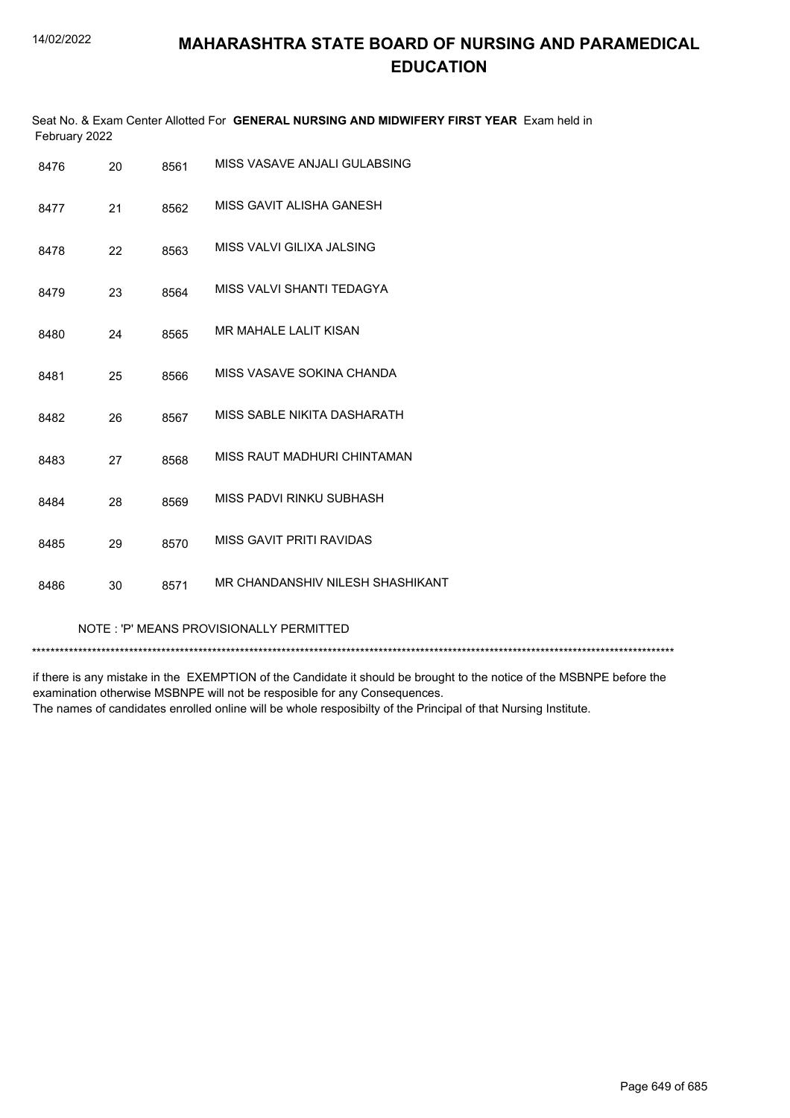|               | Seat No. & Exam Center Allotted For GENERAL NURSING AND MIDWIFERY FIRST YEAR Exam held in |
|---------------|-------------------------------------------------------------------------------------------|
| February 2022 |                                                                                           |

| 20 | 8561 | MISS VASAVE ANJALI GULABSING     |
|----|------|----------------------------------|
| 21 | 8562 | MISS GAVIT ALISHA GANESH         |
| 22 | 8563 | MISS VALVI GILIXA JALSING        |
| 23 | 8564 | MISS VALVI SHANTI TEDAGYA        |
| 24 | 8565 | <b>MR MAHALE LALIT KISAN</b>     |
| 25 | 8566 | MISS VASAVE SOKINA CHANDA        |
| 26 | 8567 | MISS SABLE NIKITA DASHARATH      |
| 27 | 8568 | MISS RAUT MADHURI CHINTAMAN      |
| 28 | 8569 | MISS PADVI RINKU SUBHASH         |
| 29 | 8570 | MISS GAVIT PRITI RAVIDAS         |
| 30 | 8571 | MR CHANDANSHIV NILESH SHASHIKANT |
|    |      |                                  |

#### NOTE : 'P' MEANS PROVISIONALLY PERMITTED

\*\*\*\*\*\*\*\*\*\*\*\*\*\*\*\*\*\*\*\*\*\*\*\*\*\*\*\*\*\*\*\*\*\*\*\*\*\*\*\*\*\*\*\*\*\*\*\*\*\*\*\*\*\*\*\*\*\*\*\*\*\*\*\*\*\*\*\*\*\*\*\*\*\*\*\*\*\*\*\*\*\*\*\*\*\*\*\*\*\*\*\*\*\*\*\*\*\*\*\*\*\*\*\*\*\*\*\*\*\*\*\*\*\*\*\*\*\*\*\*\*\*\*\*\*\*\*\*\*\*\*\*\*\*\*\*\*\*\*

if there is any mistake in the EXEMPTION of the Candidate it should be brought to the notice of the MSBNPE before the examination otherwise MSBNPE will not be resposible for any Consequences. The names of candidates enrolled online will be whole resposibilty of the Principal of that Nursing Institute.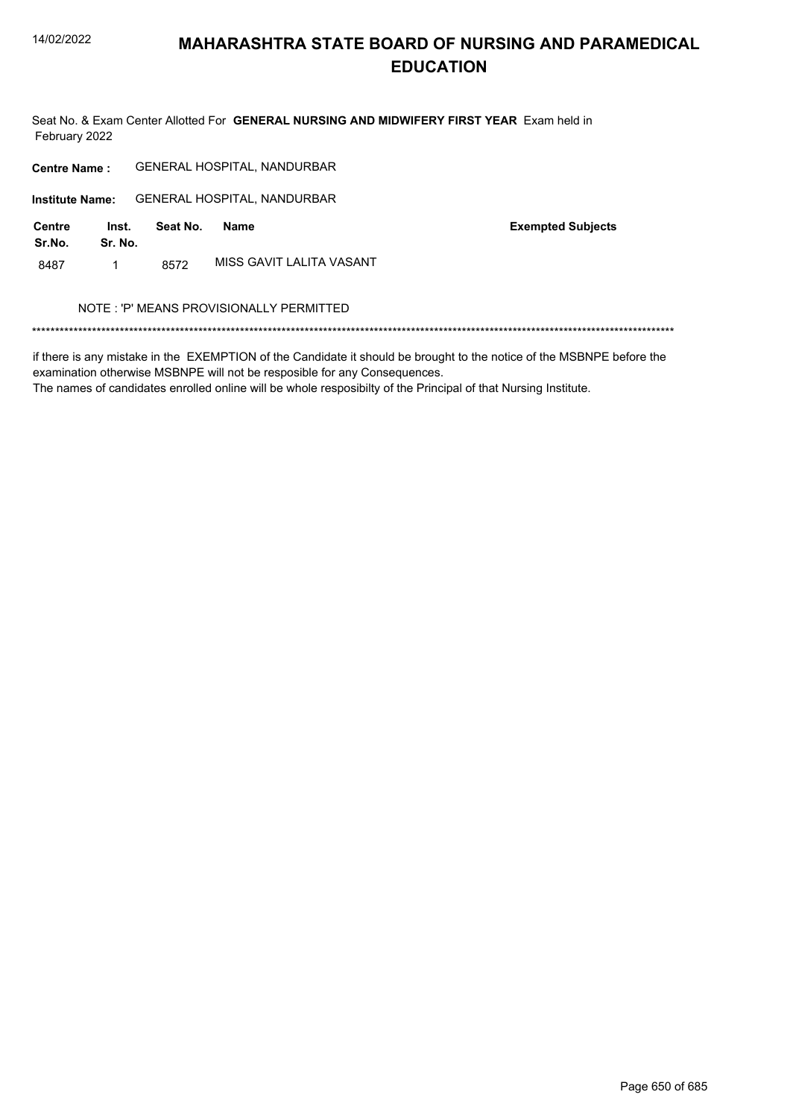Seat No. & Exam Center Allotted For GENERAL NURSING AND MIDWIFERY FIRST YEAR Exam held in February 2022

GENERAL HOSPITAL, NANDURBAR **Centre Name: GENERAL HOSPITAL, NANDURBAR Institute Name: Centre** Inst. **Exempted Subjects** Seat No. **Name** Sr.No. Sr. No. MISS GAVIT LALITA VASANT 8487  $\mathbf{1}$ 8572 NOTE : 'P' MEANS PROVISIONALLY PERMITTED 

if there is any mistake in the EXEMPTION of the Candidate it should be brought to the notice of the MSBNPE before the examination otherwise MSBNPE will not be resposible for any Consequences.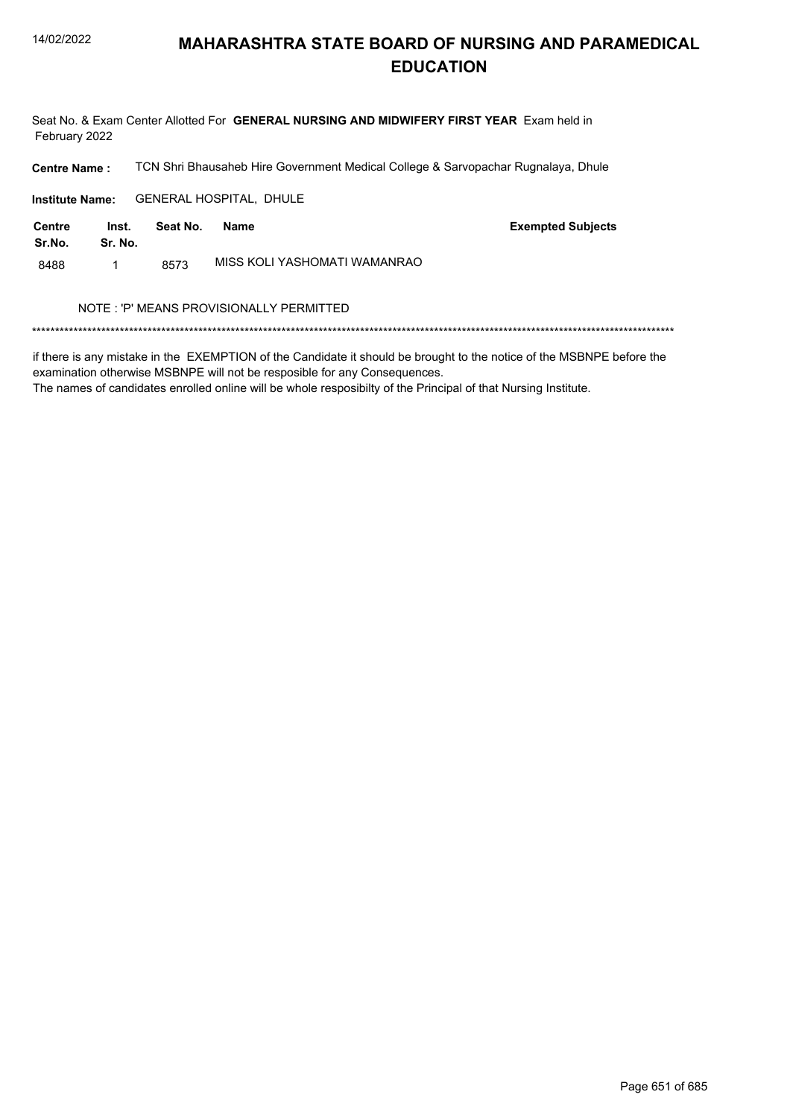Seat No. & Exam Center Allotted For GENERAL NURSING AND MIDWIFERY FIRST YEAR Exam held in February 2022

TCN Shri Bhausaheb Hire Government Medical College & Sarvopachar Rugnalaya, Dhule **Centre Name:** 

Institute Name: GENERAL HOSPITAL, DHULE

| <b>Centre</b><br>Sr.No. | Inst.<br>Sr. No. | Seat No. | Name                         | <b>Exempted Subjects</b> |
|-------------------------|------------------|----------|------------------------------|--------------------------|
| 8488                    |                  | 8573     | MISS KOLI YASHOMATI WAMANRAO |                          |

#### NOTE : 'P' MEANS PROVISIONALLY PERMITTED

if there is any mistake in the EXEMPTION of the Candidate it should be brought to the notice of the MSBNPE before the examination otherwise MSBNPE will not be resposible for any Consequences.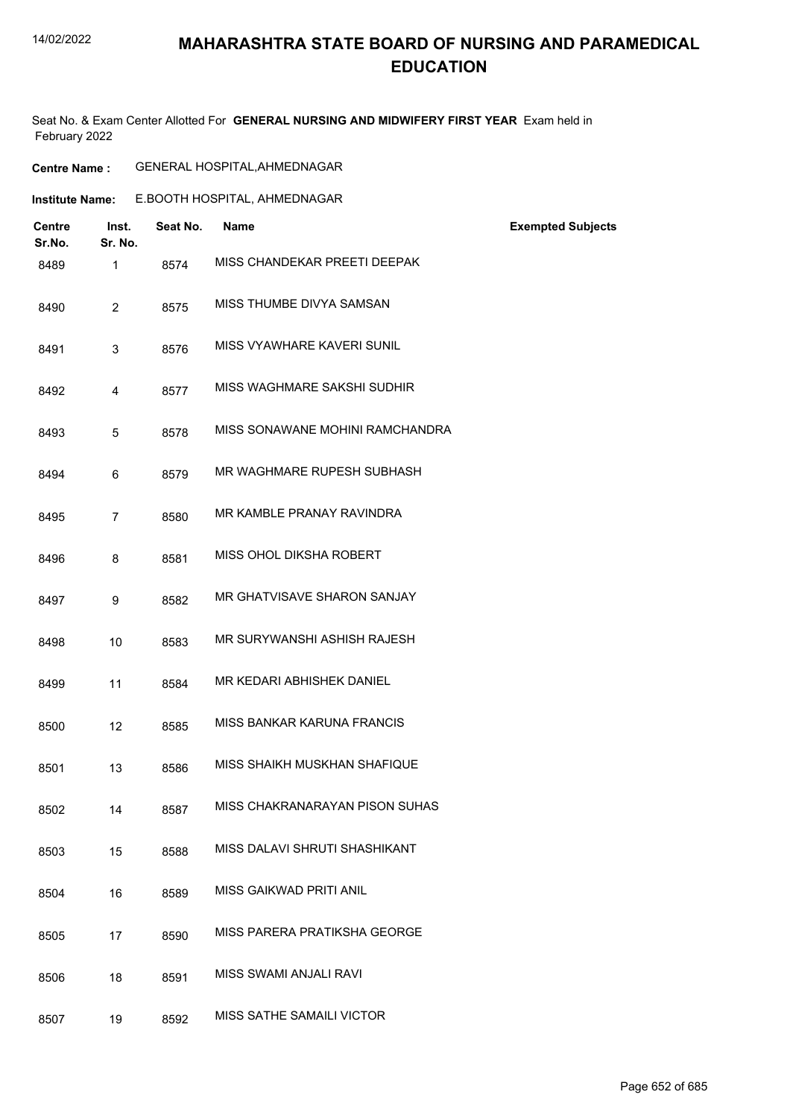#### 14/02/2022

## **MAHARASHTRA STATE BOARD OF NURSING AND PARAMEDICAL EDUCATION**

Seat No. & Exam Center Allotted For **GENERAL NURSING AND MIDWIFERY FIRST YEAR** Exam held in February 2022

**Centre Name :** GENERAL HOSPITAL,AHMEDNAGAR

| <b>Institute Name:</b> |                  |          | E.BOOTH HOSPITAL, AHMEDNAGAR    |                          |
|------------------------|------------------|----------|---------------------------------|--------------------------|
| Centre<br>Sr.No.       | Inst.<br>Sr. No. | Seat No. | <b>Name</b>                     | <b>Exempted Subjects</b> |
| 8489                   | $\mathbf{1}$     | 8574     | MISS CHANDEKAR PREETI DEEPAK    |                          |
| 8490                   | $\overline{2}$   | 8575     | MISS THUMBE DIVYA SAMSAN        |                          |
| 8491                   | 3                | 8576     | MISS VYAWHARE KAVERI SUNIL      |                          |
| 8492                   | 4                | 8577     | MISS WAGHMARE SAKSHI SUDHIR     |                          |
| 8493                   | 5                | 8578     | MISS SONAWANE MOHINI RAMCHANDRA |                          |
| 8494                   | 6                | 8579     | MR WAGHMARE RUPESH SUBHASH      |                          |
| 8495                   | $\overline{7}$   | 8580     | MR KAMBLE PRANAY RAVINDRA       |                          |
| 8496                   | 8                | 8581     | MISS OHOL DIKSHA ROBERT         |                          |
| 8497                   | 9                | 8582     | MR GHATVISAVE SHARON SANJAY     |                          |
| 8498                   | 10               | 8583     | MR SURYWANSHI ASHISH RAJESH     |                          |
| 8499                   | 11               | 8584     | MR KEDARI ABHISHEK DANIEL       |                          |
| 8500                   | 12               | 8585     | MISS BANKAR KARUNA FRANCIS      |                          |
| 8501                   | 13               | 8586     | MISS SHAIKH MUSKHAN SHAFIQUE    |                          |
| 8502                   | 14               | 8587     | MISS CHAKRANARAYAN PISON SUHAS  |                          |
| 8503                   | 15               | 8588     | MISS DALAVI SHRUTI SHASHIKANT   |                          |
| 8504                   | 16               | 8589     | MISS GAIKWAD PRITI ANIL         |                          |
| 8505                   | 17               | 8590     | MISS PARERA PRATIKSHA GEORGE    |                          |
| 8506                   | 18               | 8591     | MISS SWAMI ANJALI RAVI          |                          |
| 8507                   | 19               | 8592     | MISS SATHE SAMAILI VICTOR       |                          |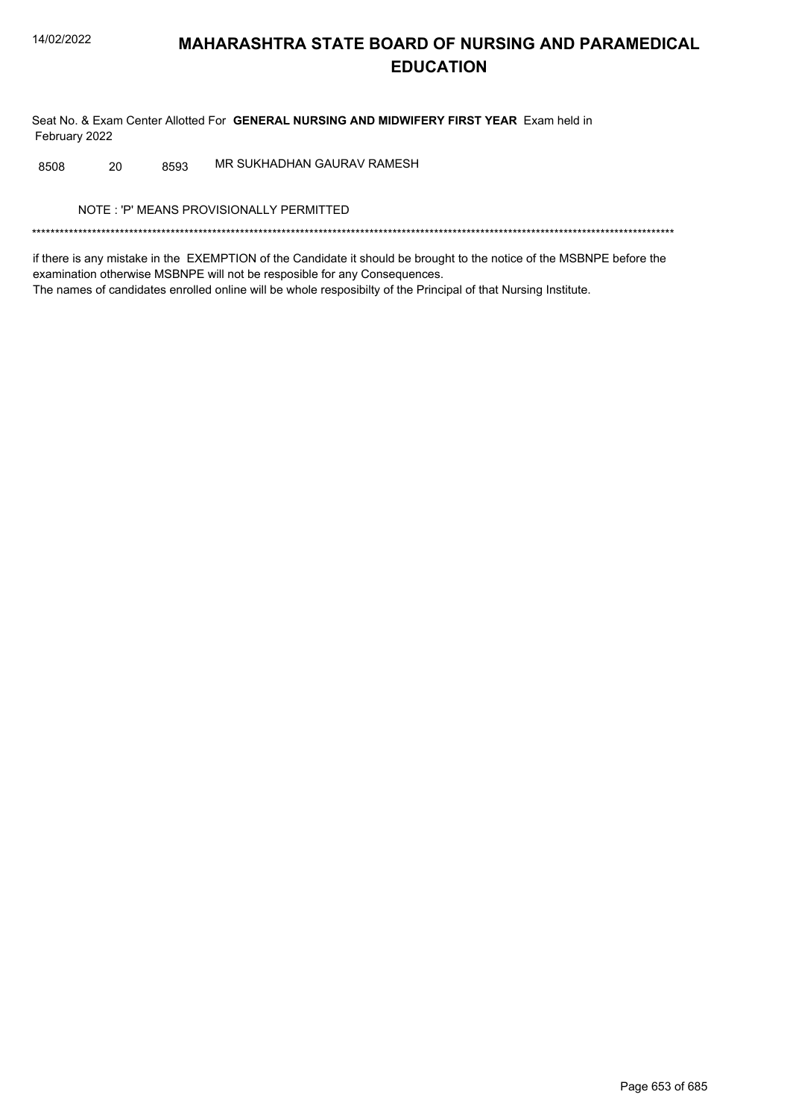Seat No. & Exam Center Allotted For GENERAL NURSING AND MIDWIFERY FIRST YEAR Exam held in February 2022

MR SUKHADHAN GAURAV RAMESH 8508 20 8593

NOTE: 'P' MEANS PROVISIONALLY PERMITTED

if there is any mistake in the EXEMPTION of the Candidate it should be brought to the notice of the MSBNPE before the examination otherwise MSBNPE will not be resposible for any Consequences. The names of candidates enrolled online will be whole resposibilty of the Principal of that Nursing Institute.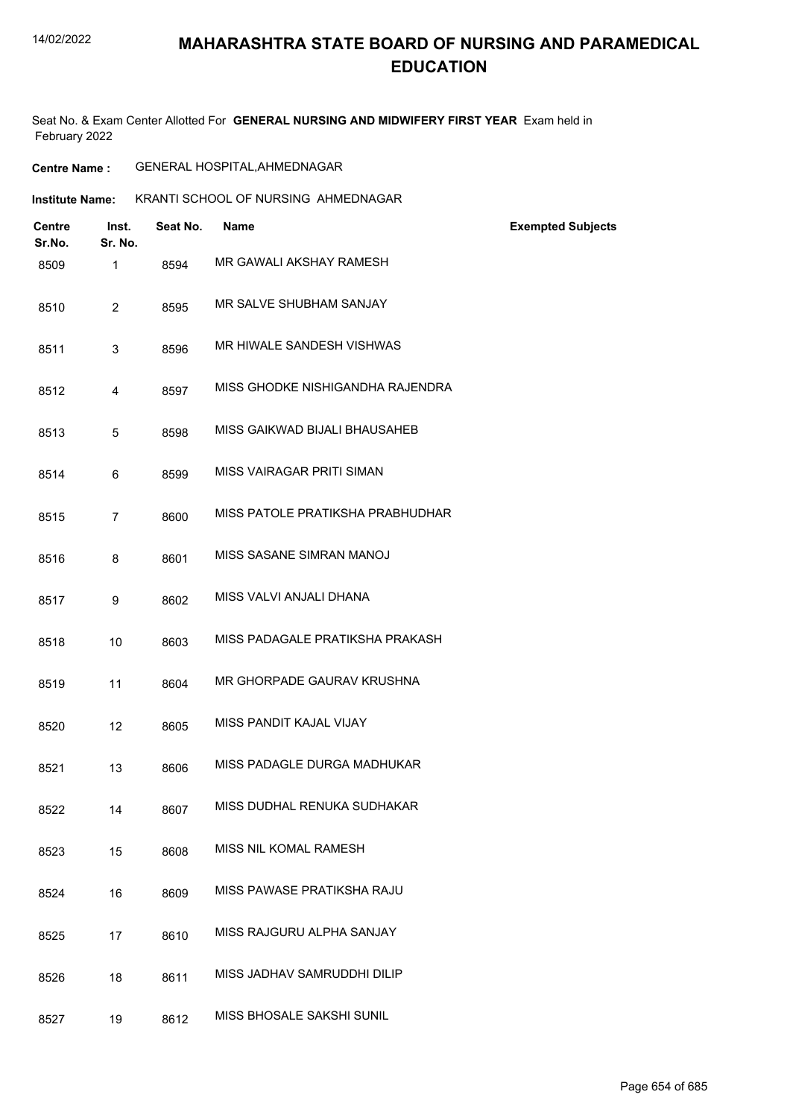#### 14/02/2022

## **MAHARASHTRA STATE BOARD OF NURSING AND PARAMEDICAL EDUCATION**

Seat No. & Exam Center Allotted For **GENERAL NURSING AND MIDWIFERY FIRST YEAR** Exam held in February 2022

| <b>Centre Name :</b> | <b>GENERAL HOSPITAL, AHMEDNAGAR</b> |  |
|----------------------|-------------------------------------|--|
|----------------------|-------------------------------------|--|

| <b>Institute Name:</b> | KRANTI SCHOOL OF NURSING AHMEDNAGAR |  |
|------------------------|-------------------------------------|--|
|                        |                                     |  |

| <b>Centre</b><br>Sr.No. | Inst.<br>Sr. No. | Seat No. | Name                             | <b>Exempted Subjects</b> |
|-------------------------|------------------|----------|----------------------------------|--------------------------|
| 8509                    | 1                | 8594     | MR GAWALI AKSHAY RAMESH          |                          |
| 8510                    | $\overline{2}$   | 8595     | MR SALVE SHUBHAM SANJAY          |                          |
| 8511                    | 3                | 8596     | MR HIWALE SANDESH VISHWAS        |                          |
| 8512                    | 4                | 8597     | MISS GHODKE NISHIGANDHA RAJENDRA |                          |
| 8513                    | 5                | 8598     | MISS GAIKWAD BIJALI BHAUSAHEB    |                          |
| 8514                    | 6                | 8599     | MISS VAIRAGAR PRITI SIMAN        |                          |
| 8515                    | $\overline{7}$   | 8600     | MISS PATOLE PRATIKSHA PRABHUDHAR |                          |
| 8516                    | 8                | 8601     | MISS SASANE SIMRAN MANOJ         |                          |
| 8517                    | 9                | 8602     | MISS VALVI ANJALI DHANA          |                          |
| 8518                    | 10               | 8603     | MISS PADAGALE PRATIKSHA PRAKASH  |                          |
| 8519                    | 11               | 8604     | MR GHORPADE GAURAV KRUSHNA       |                          |
| 8520                    | 12               | 8605     | MISS PANDIT KAJAL VIJAY          |                          |
| 8521                    | 13               | 8606     | MISS PADAGLE DURGA MADHUKAR      |                          |
| 8522                    | 14               | 8607     | MISS DUDHAL RENUKA SUDHAKAR      |                          |
| 8523                    | 15               | 8608     | MISS NIL KOMAL RAMESH            |                          |
| 8524                    | 16               | 8609     | MISS PAWASE PRATIKSHA RAJU       |                          |
| 8525                    | 17               | 8610     | MISS RAJGURU ALPHA SANJAY        |                          |
| 8526                    | 18               | 8611     | MISS JADHAV SAMRUDDHI DILIP      |                          |
| 8527                    | 19               | 8612     | MISS BHOSALE SAKSHI SUNIL        |                          |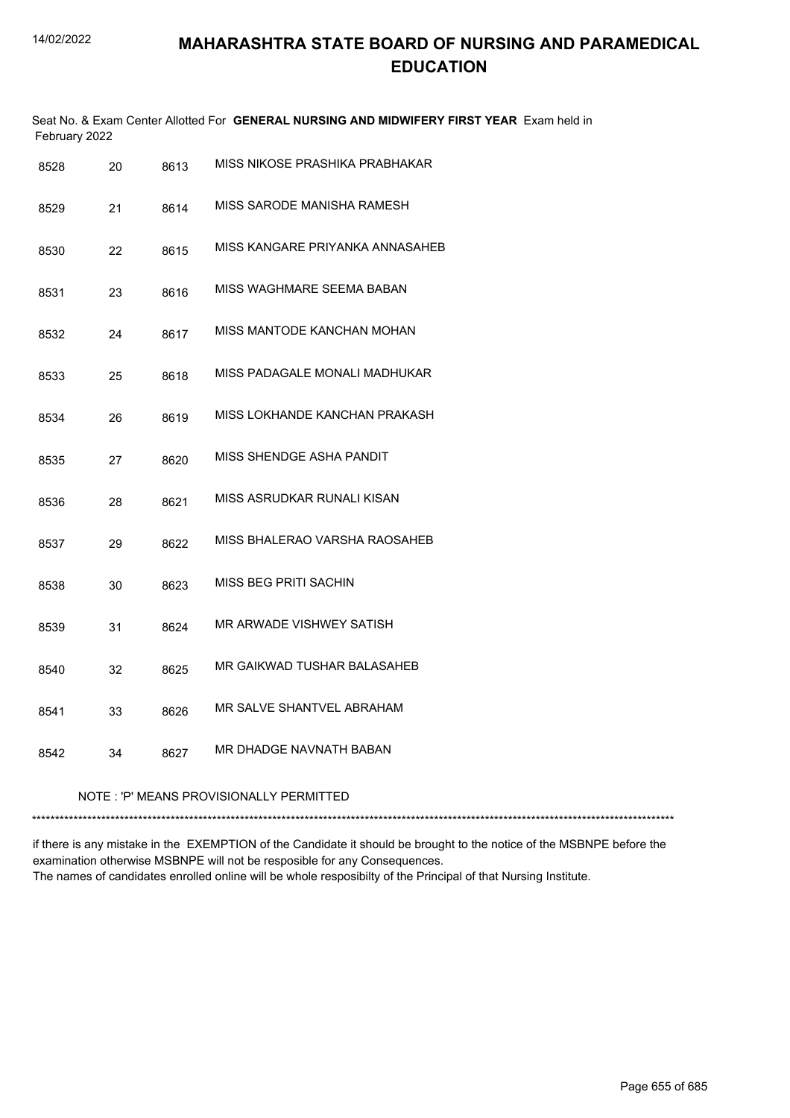| February 2022 |                                         |      | Seat No. & Exam Center Allotted For GENERAL NURSING AND MIDWIFERY FIRST YEAR Exam held in |  |  |
|---------------|-----------------------------------------|------|-------------------------------------------------------------------------------------------|--|--|
| 8528          | 20                                      | 8613 | MISS NIKOSE PRASHIKA PRABHAKAR                                                            |  |  |
| 8529          | 21                                      | 8614 | MISS SARODE MANISHA RAMESH                                                                |  |  |
| 8530          | 22                                      | 8615 | MISS KANGARE PRIYANKA ANNASAHEB                                                           |  |  |
| 8531          | 23                                      | 8616 | MISS WAGHMARE SEEMA BABAN                                                                 |  |  |
| 8532          | 24                                      | 8617 | MISS MANTODE KANCHAN MOHAN                                                                |  |  |
| 8533          | 25                                      | 8618 | MISS PADAGALE MONALI MADHUKAR                                                             |  |  |
| 8534          | 26                                      | 8619 | MISS LOKHANDE KANCHAN PRAKASH                                                             |  |  |
| 8535          | 27                                      | 8620 | MISS SHENDGE ASHA PANDIT                                                                  |  |  |
| 8536          | 28                                      | 8621 | MISS ASRUDKAR RUNALI KISAN                                                                |  |  |
| 8537          | 29                                      | 8622 | MISS BHALERAO VARSHA RAOSAHEB                                                             |  |  |
| 8538          | 30                                      | 8623 | MISS BEG PRITI SACHIN                                                                     |  |  |
| 8539          | 31                                      | 8624 | MR ARWADE VISHWEY SATISH                                                                  |  |  |
| 8540          | 32                                      | 8625 | MR GAIKWAD TUSHAR BALASAHEB                                                               |  |  |
| 8541          | 33                                      | 8626 | MR SALVE SHANTVEL ABRAHAM                                                                 |  |  |
| 8542          | 34                                      | 8627 | MR DHADGE NAVNATH BABAN                                                                   |  |  |
|               | NOTE: 'P' MEANS PROVISIONALLY PERMITTED |      |                                                                                           |  |  |
|               |                                         |      |                                                                                           |  |  |

if there is any mistake in the EXEMPTION of the Candidate it should be brought to the notice of the MSBNPE before the examination otherwise MSBNPE will not be resposible for any Consequences. The names of candidates enrolled online will be whole resposibilty of the Principal of that Nursing Institute.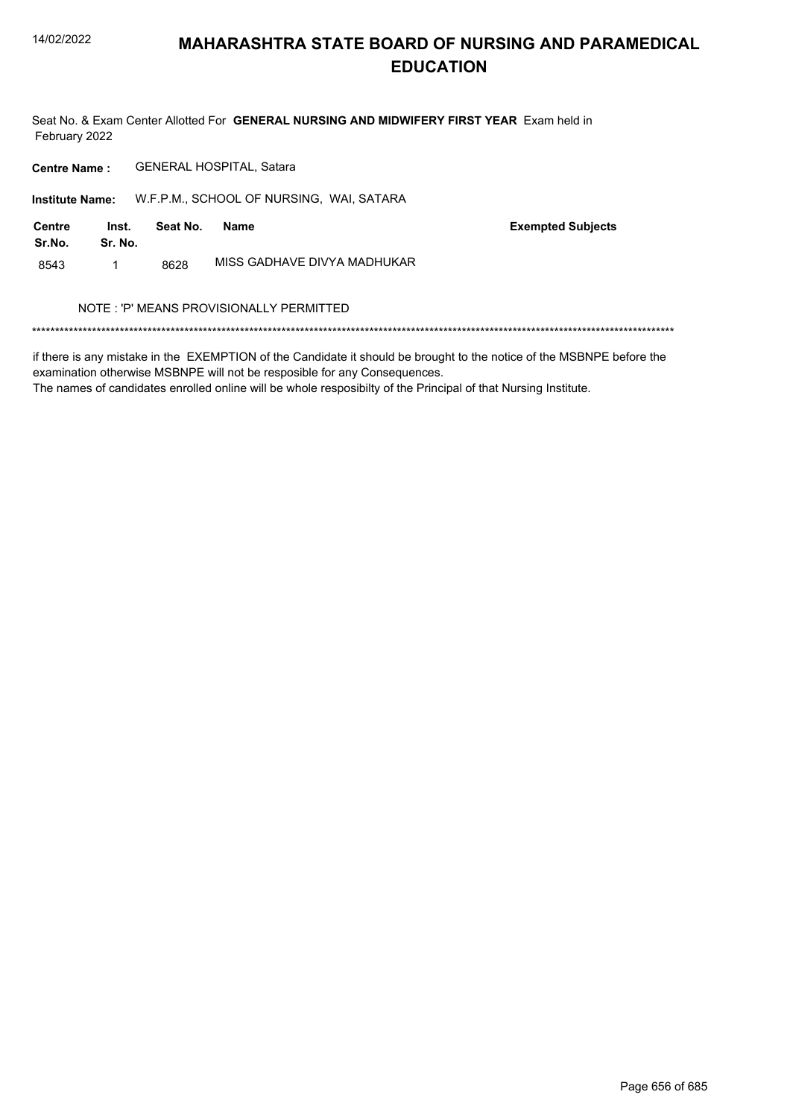Seat No. & Exam Center Allotted For GENERAL NURSING AND MIDWIFERY FIRST YEAR Exam held in February 2022

GENERAL HOSPITAL, Satara **Centre Name:** 

Institute Name: W.F.P.M., SCHOOL OF NURSING, WAI, SATARA

| Centre<br>Sr.No. | lnst.<br>Sr. No. | Seat No. | Name                        | <b>Exempted Subjects</b> |
|------------------|------------------|----------|-----------------------------|--------------------------|
| 8543             |                  | 8628     | MISS GADHAVE DIVYA MADHUKAR |                          |

#### NOTE : 'P' MEANS PROVISIONALLY PERMITTED

if there is any mistake in the EXEMPTION of the Candidate it should be brought to the notice of the MSBNPE before the examination otherwise MSBNPE will not be resposible for any Consequences.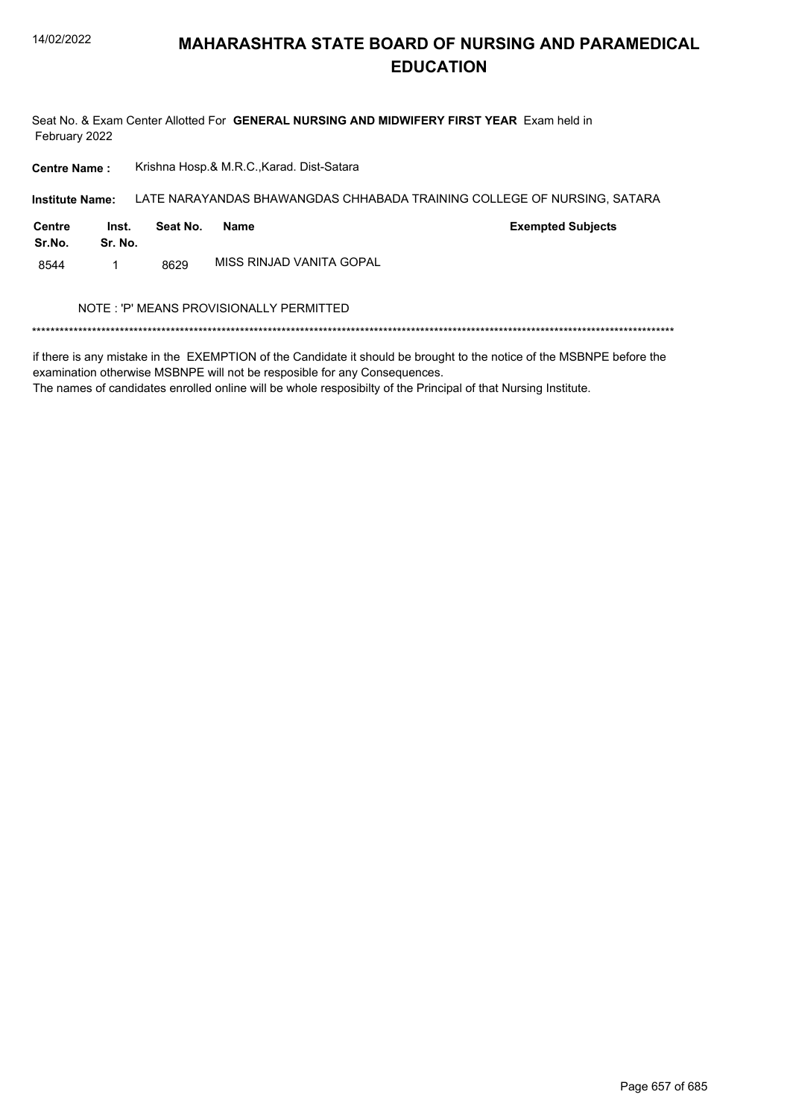Seat No. & Exam Center Allotted For GENERAL NURSING AND MIDWIFERY FIRST YEAR Exam held in February 2022

Krishna Hosp.& M.R.C., Karad. Dist-Satara **Centre Name:** 

LATE NARAYANDAS BHAWANGDAS CHHABADA TRAINING COLLEGE OF NURSING, SATARA **Institute Name: Centre** Inst. Seat No. **Name Exempted Subjects** Sr.No. Sr. No.

MISS RINJAD VANITA GOPAL 8544  $\mathbf{1}$ 8629

#### NOTE: 'P' MEANS PROVISIONALLY PERMITTED

if there is any mistake in the EXEMPTION of the Candidate it should be brought to the notice of the MSBNPE before the examination otherwise MSBNPE will not be resposible for any Consequences.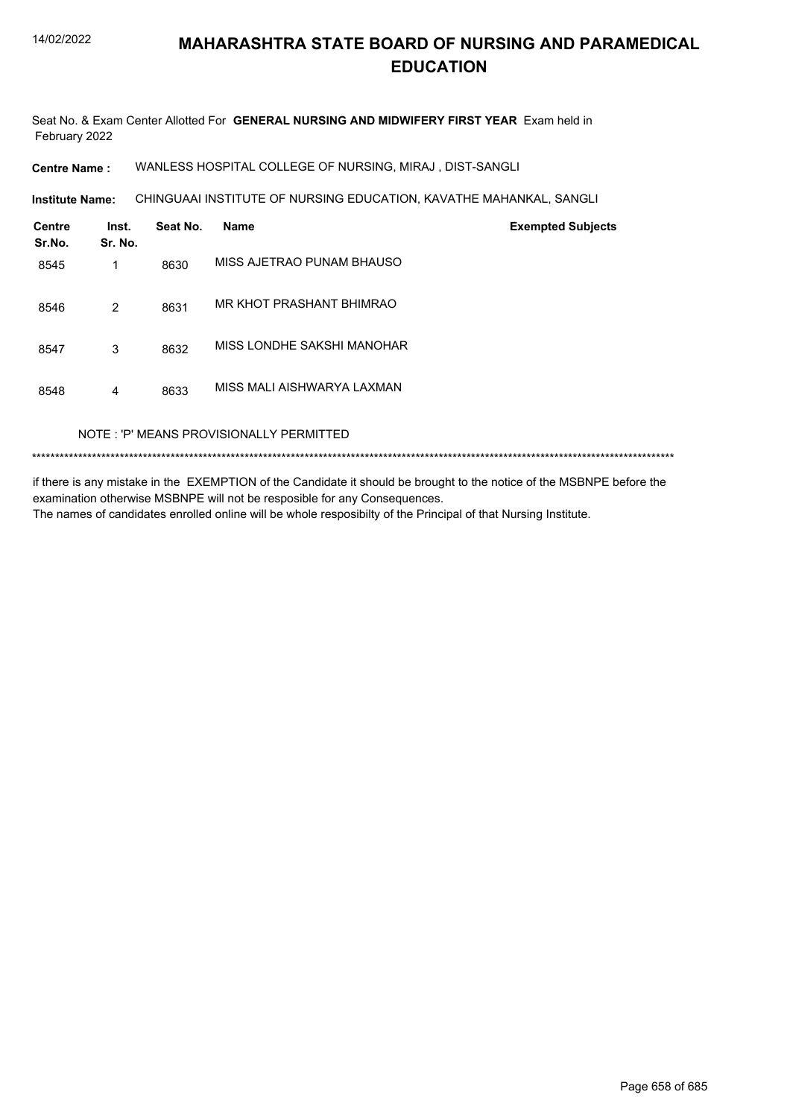Seat No. & Exam Center Allotted For **GENERAL NURSING AND MIDWIFERY FIRST YEAR** Exam held in February 2022

**Centre Name :** WANLESS HOSPITAL COLLEGE OF NURSING, MIRAJ , DIST-SANGLI

**Institute Name: CHINGUAAI INSTITUTE OF NURSING EDUCATION, KAVATHE MAHANKAL, SANGLI** 

| <b>Centre</b><br>Sr.No. | Inst.<br>Sr. No.                        | Seat No. | <b>Name</b>                | <b>Exempted Subjects</b> |  |  |
|-------------------------|-----------------------------------------|----------|----------------------------|--------------------------|--|--|
| 8545                    | 1                                       | 8630     | MISS AJETRAO PUNAM BHAUSO  |                          |  |  |
| 8546                    | 2                                       | 8631     | MR KHOT PRASHANT BHIMRAO   |                          |  |  |
| 8547                    | 3                                       | 8632     | MISS LONDHE SAKSHI MANOHAR |                          |  |  |
| 8548                    | 4                                       | 8633     | MISS MALI AISHWARYA LAXMAN |                          |  |  |
|                         | NOTE: 'P' MEANS PROVISIONALLY PERMITTED |          |                            |                          |  |  |

\*\*\*\*\*\*\*\*\*\*\*\*\*\*\*\*\*\*\*\*\*\*\*\*\*\*\*\*\*\*\*\*\*\*\*\*\*\*\*\*\*\*\*\*\*\*\*\*\*\*\*\*\*\*\*\*\*\*\*\*\*\*\*\*\*\*\*\*\*\*\*\*\*\*\*\*\*\*\*\*\*\*\*\*\*\*\*\*\*\*\*\*\*\*\*\*\*\*\*\*\*\*\*\*\*\*\*\*\*\*\*\*\*\*\*\*\*\*\*\*\*\*\*\*\*\*\*\*\*\*\*\*\*\*\*\*\*\*\*

if there is any mistake in the EXEMPTION of the Candidate it should be brought to the notice of the MSBNPE before the examination otherwise MSBNPE will not be resposible for any Consequences. The names of candidates enrolled online will be whole resposibilty of the Principal of that Nursing Institute.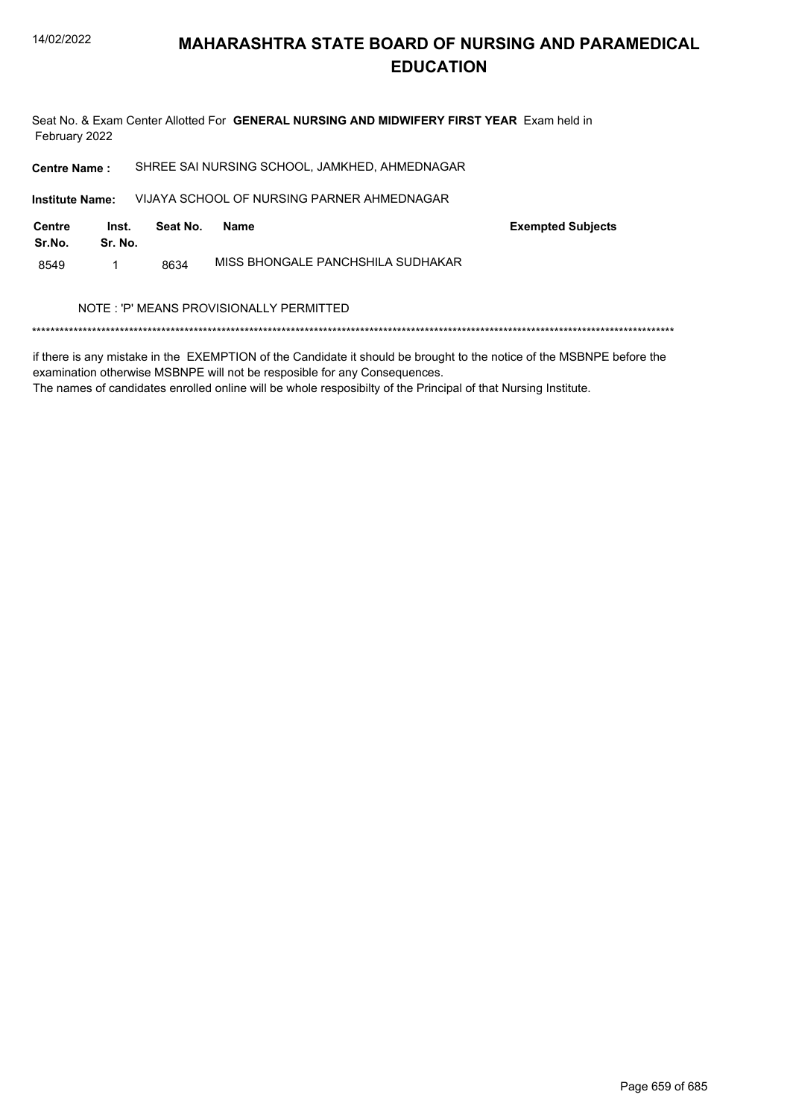

Seat No. & Exam Center Allotted For GENERAL NURSING AND MIDWIFERY FIRST YEAR Exam held in February 2022

| <b>Centre Name:</b>                     |                  |          | SHREE SAI NURSING SCHOOL, JAMKHED, AHMEDNAGAR |                          |
|-----------------------------------------|------------------|----------|-----------------------------------------------|--------------------------|
| <b>Institute Name:</b>                  |                  |          | VIJAYA SCHOOL OF NURSING PARNER AHMEDNAGAR    |                          |
| Centre<br>Sr.No.                        | Inst.<br>Sr. No. | Seat No. | <b>Name</b>                                   | <b>Exempted Subjects</b> |
| 8549                                    | 1                | 8634     | MISS BHONGALE PANCHSHILA SUDHAKAR             |                          |
| NOTE: 'P' MEANS PROVISIONALLY PERMITTED |                  |          |                                               |                          |

if there is any mistake in the EXEMPTION of the Candidate it should be brought to the notice of the MSBNPE before the examination otherwise MSBNPE will not be resposible for any Consequences.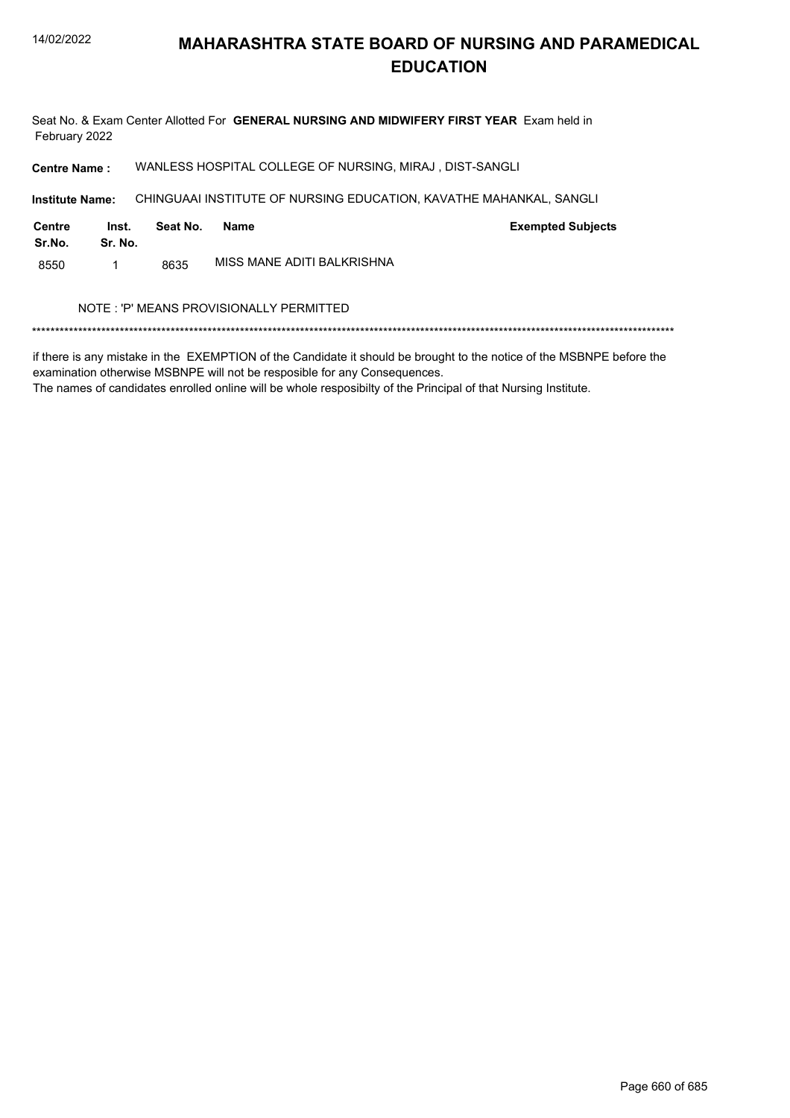Seat No. & Exam Center Allotted For GENERAL NURSING AND MIDWIFERY FIRST YEAR Exam held in February 2022

WANLESS HOSPITAL COLLEGE OF NURSING, MIRAJ, DIST-SANGLI **Centre Name:** 

**Institute Name:** CHINGUAAI INSTITUTE OF NURSING EDUCATION, KAVATHE MAHANKAL, SANGLI

| Centre<br>Sr.No. | Inst.<br>Sr. No. | Seat No. | Name                       | <b>Exempted Subjects</b> |
|------------------|------------------|----------|----------------------------|--------------------------|
| 8550             |                  | 8635     | MISS MANE ADITI BALKRISHNA |                          |

#### NOTE : 'P' MEANS PROVISIONALLY PERMITTED

if there is any mistake in the EXEMPTION of the Candidate it should be brought to the notice of the MSBNPE before the examination otherwise MSBNPE will not be resposible for any Consequences.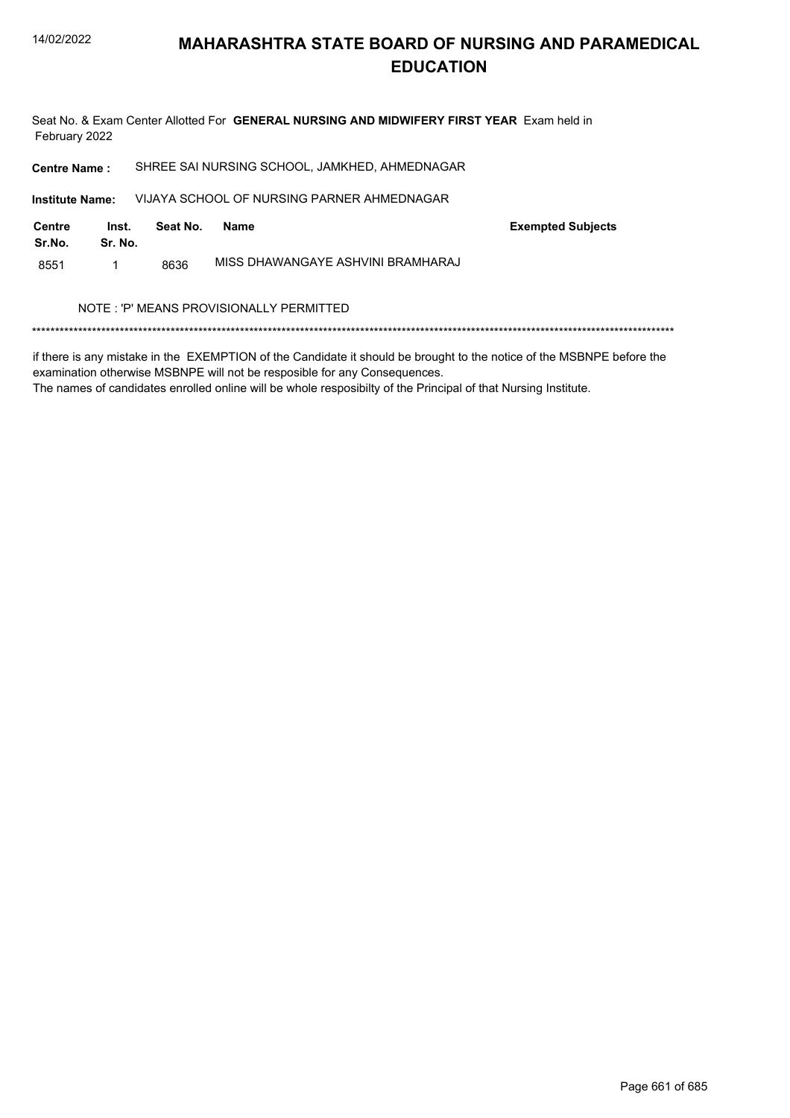

Seat No. & Exam Center Allotted For GENERAL NURSING AND MIDWIFERY FIRST YEAR Exam held in February 2022

| <b>Centre Name:</b>                     |                  |          | SHREE SAI NURSING SCHOOL, JAMKHED, AHMEDNAGAR |                          |  |
|-----------------------------------------|------------------|----------|-----------------------------------------------|--------------------------|--|
| <b>Institute Name:</b>                  |                  |          | VIJAYA SCHOOL OF NURSING PARNER AHMEDNAGAR    |                          |  |
| <b>Centre</b><br>Sr.No.                 | Inst.<br>Sr. No. | Seat No. | <b>Name</b>                                   | <b>Exempted Subjects</b> |  |
| 8551                                    |                  | 8636     | MISS DHAWANGAYE ASHVINI BRAMHARAJ             |                          |  |
| NOTE: 'P' MEANS PROVISIONALLY PERMITTED |                  |          |                                               |                          |  |
|                                         |                  |          |                                               |                          |  |

if there is any mistake in the EXEMPTION of the Candidate it should be brought to the notice of the MSBNPE before the examination otherwise MSBNPE will not be resposible for any Consequences.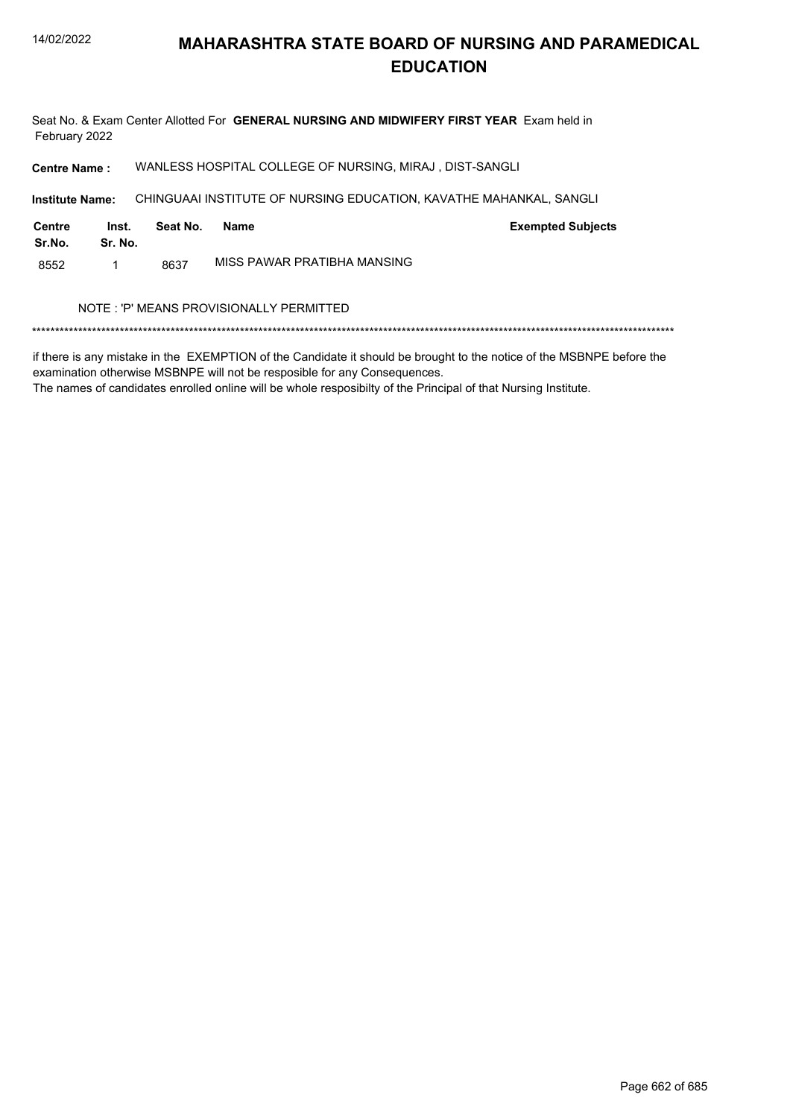Seat No. & Exam Center Allotted For GENERAL NURSING AND MIDWIFERY FIRST YEAR Exam held in February 2022

WANLESS HOSPITAL COLLEGE OF NURSING, MIRAJ, DIST-SANGLI **Centre Name:** 

**Institute Name:** CHINGUAAI INSTITUTE OF NURSING EDUCATION, KAVATHE MAHANKAL, SANGLI

| Centre<br>Sr.No. | Inst.<br>Sr. No. | Seat No. | Name                        | <b>Exempted Subjects</b> |
|------------------|------------------|----------|-----------------------------|--------------------------|
| 8552             |                  | 8637     | MISS PAWAR PRATIBHA MANSING |                          |

#### NOTE : 'P' MEANS PROVISIONALLY PERMITTED

if there is any mistake in the EXEMPTION of the Candidate it should be brought to the notice of the MSBNPE before the examination otherwise MSBNPE will not be resposible for any Consequences.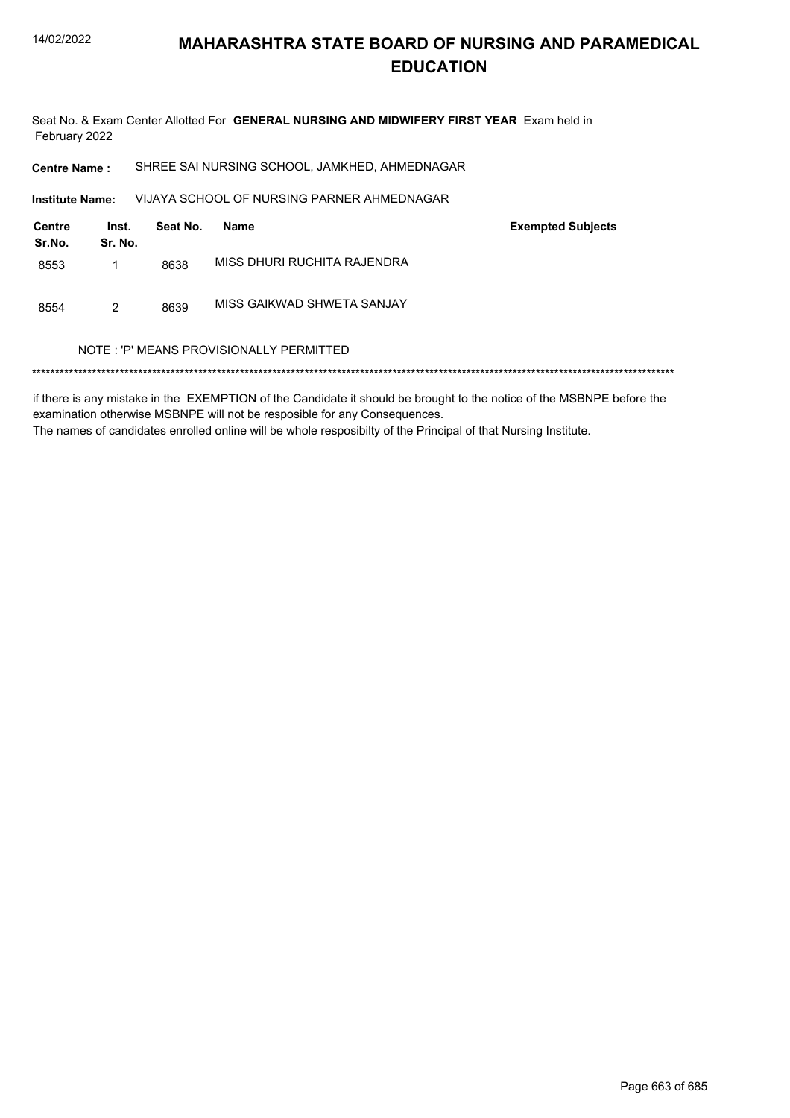

Seat No. & Exam Center Allotted For GENERAL NURSING AND MIDWIFERY FIRST YEAR Exam held in February 2022

SHREE SAI NURSING SCHOOL, JAMKHED, AHMEDNAGAR **Centre Name:** 

VIJAYA SCHOOL OF NURSING PARNER AHMEDNAGAR Institute Name:

| <b>Centre</b><br>Sr.No. | Inst.<br>Sr. No. | Seat No. | Name                        | <b>Exempted Subjects</b> |
|-------------------------|------------------|----------|-----------------------------|--------------------------|
| 8553                    |                  | 8638     | MISS DHURI RUCHITA RAJENDRA |                          |
| 8554                    | 2                | 8639     | MISS GAIKWAD SHWETA SANJAY  |                          |

#### NOTE: 'P' MEANS PROVISIONALLY PERMITTED

if there is any mistake in the EXEMPTION of the Candidate it should be brought to the notice of the MSBNPE before the examination otherwise MSBNPE will not be resposible for any Consequences. The names of candidates enrolled online will be whole resposibilty of the Principal of that Nursing Institute.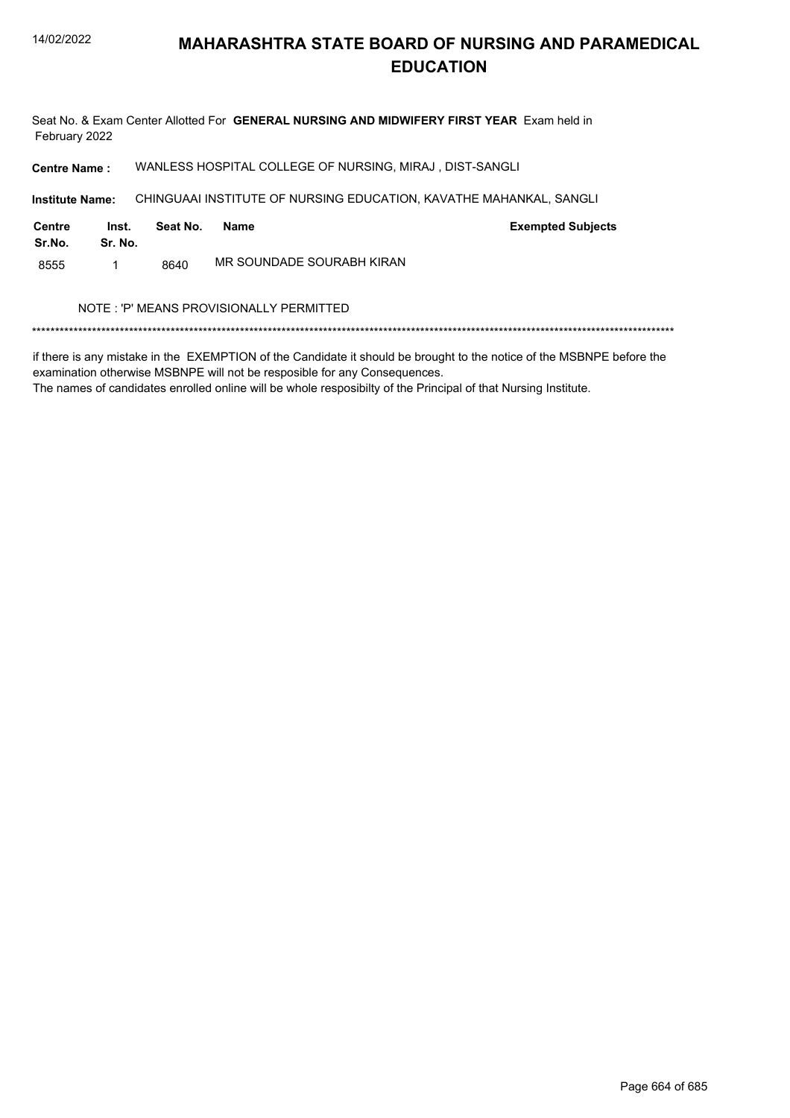Seat No. & Exam Center Allotted For GENERAL NURSING AND MIDWIFERY FIRST YEAR Exam held in February 2022

WANLESS HOSPITAL COLLEGE OF NURSING, MIRAJ, DIST-SANGLI **Centre Name:** 

**Institute Name:** CHINGUAAI INSTITUTE OF NURSING EDUCATION, KAVATHE MAHANKAL, SANGLI

| Centre<br>Sr.No. | Inst.<br>Sr. No. | Seat No. | Name                      | <b>Exempted Subjects</b> |
|------------------|------------------|----------|---------------------------|--------------------------|
| 8555             |                  | 8640     | MR SOUNDADE SOURABH KIRAN |                          |

#### NOTE : 'P' MEANS PROVISIONALLY PERMITTED

if there is any mistake in the EXEMPTION of the Candidate it should be brought to the notice of the MSBNPE before the examination otherwise MSBNPE will not be resposible for any Consequences.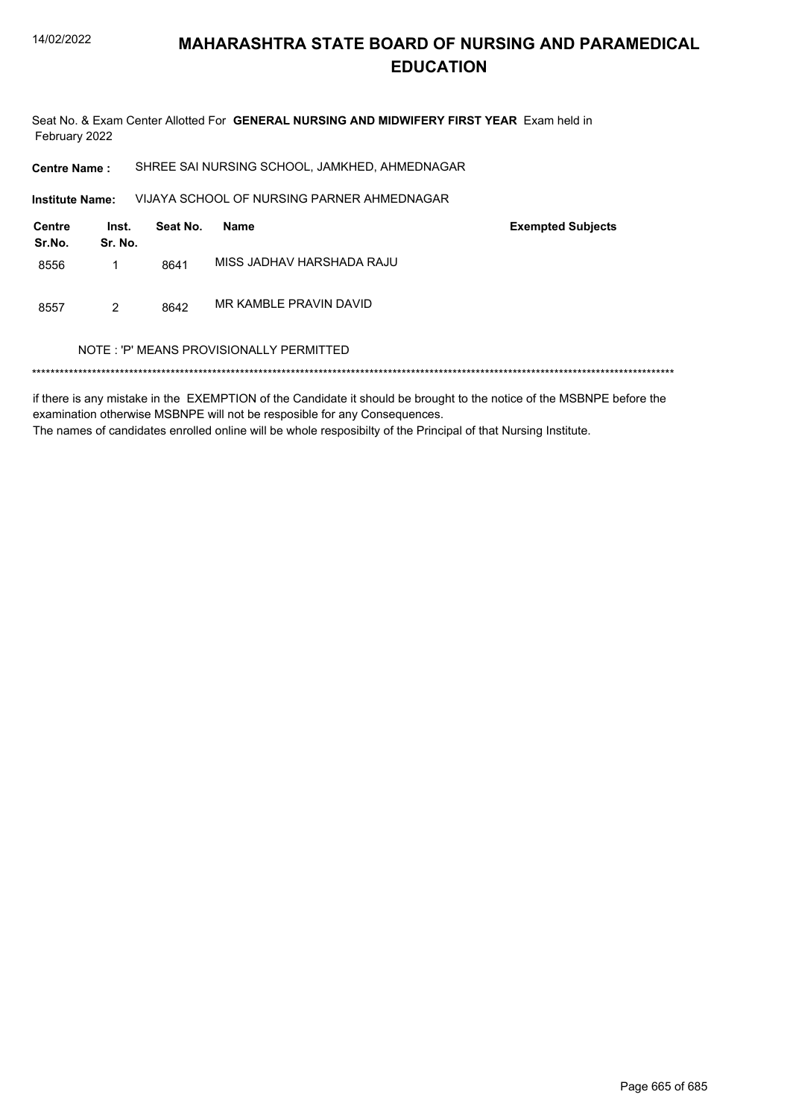

Seat No. & Exam Center Allotted For GENERAL NURSING AND MIDWIFERY FIRST YEAR Exam held in February 2022

SHREE SAI NURSING SCHOOL, JAMKHED, AHMEDNAGAR **Centre Name:** 

VIJAYA SCHOOL OF NURSING PARNER AHMEDNAGAR Institute Name:

| <b>Centre</b><br>Sr.No. | Inst.<br>Sr. No. | Seat No. | Name                      | <b>Exempted Subjects</b> |
|-------------------------|------------------|----------|---------------------------|--------------------------|
| 8556                    |                  | 8641     | MISS JADHAV HARSHADA RAJU |                          |
| 8557                    | 2                | 8642     | MR KAMBLE PRAVIN DAVID    |                          |

#### NOTE: 'P' MEANS PROVISIONALLY PERMITTED

if there is any mistake in the EXEMPTION of the Candidate it should be brought to the notice of the MSBNPE before the examination otherwise MSBNPE will not be resposible for any Consequences. The names of candidates enrolled online will be whole resposibilty of the Principal of that Nursing Institute.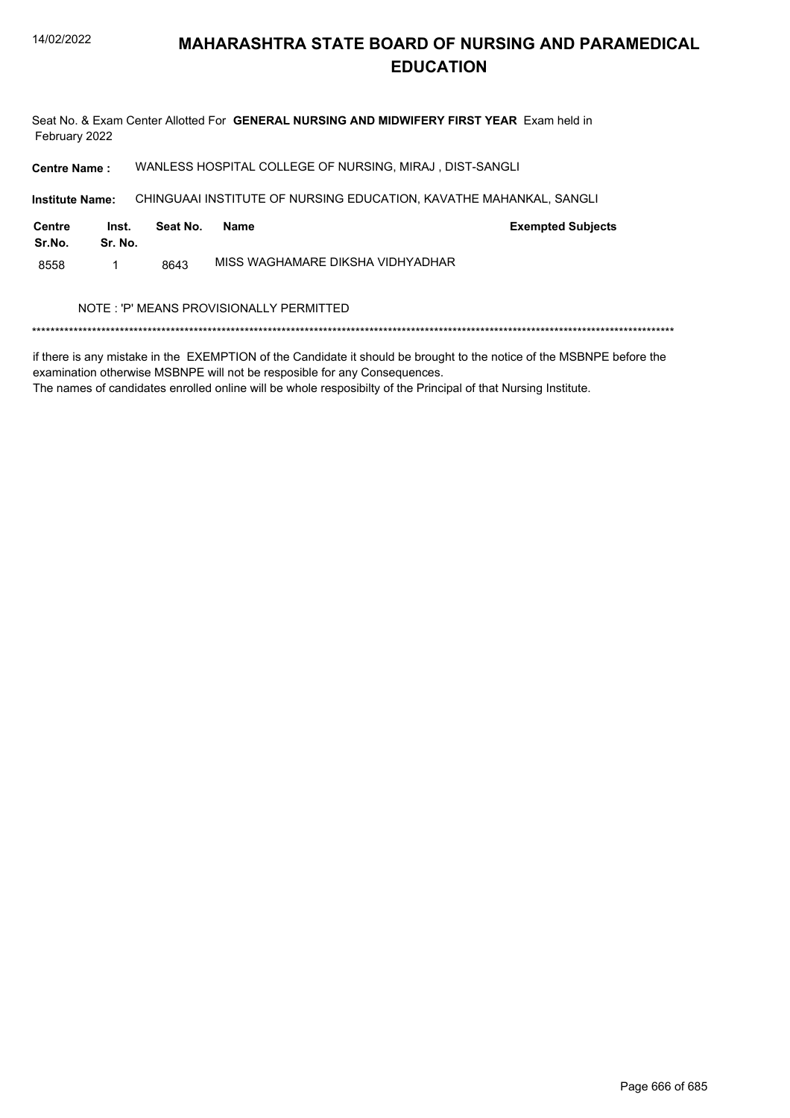Seat No. & Exam Center Allotted For GENERAL NURSING AND MIDWIFERY FIRST YEAR Exam held in February 2022

WANLESS HOSPITAL COLLEGE OF NURSING, MIRAJ, DIST-SANGLI **Centre Name:** 

**Institute Name:** CHINGUAAI INSTITUTE OF NURSING EDUCATION, KAVATHE MAHANKAL, SANGLI

| Centre<br>Sr.No. | Inst.<br>Sr. No. | Seat No. | Name                             | <b>Exempted Subjects</b> |
|------------------|------------------|----------|----------------------------------|--------------------------|
| 8558             |                  | 8643     | MISS WAGHAMARE DIKSHA VIDHYADHAR |                          |

#### NOTE : 'P' MEANS PROVISIONALLY PERMITTED

if there is any mistake in the EXEMPTION of the Candidate it should be brought to the notice of the MSBNPE before the examination otherwise MSBNPE will not be resposible for any Consequences.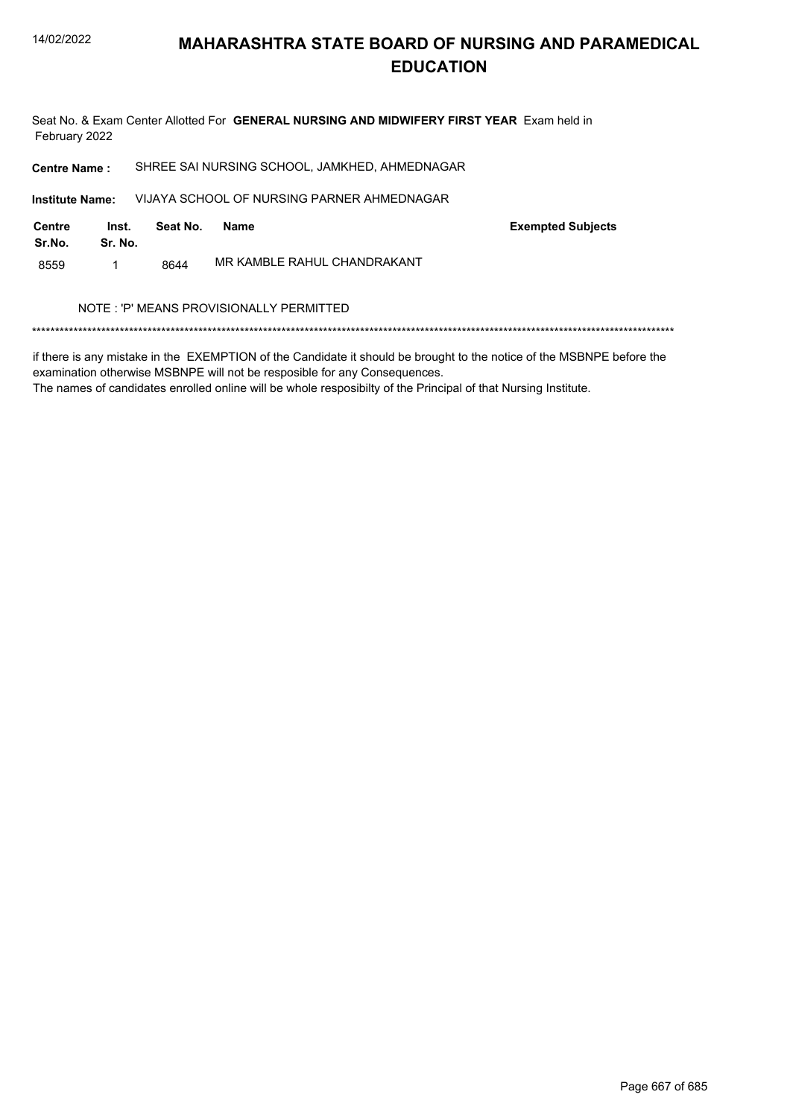

Seat No. & Exam Center Allotted For GENERAL NURSING AND MIDWIFERY FIRST YEAR Exam held in February 2022

SHREE SAI NURSING SCHOOL, JAMKHED, AHMEDNAGAR **Centre Name:** VIJAYA SCHOOL OF NURSING PARNER AHMEDNAGAR **Institute Name:** 

**Centre** Inst. **Exempted Subjects** Seat No. **Name** Sr.No. Sr. No. MR KAMBLE RAHUL CHANDRAKANT 8559  $\mathbf{1}$ 8644

#### NOTE: 'P' MEANS PROVISIONALLY PERMITTED

if there is any mistake in the EXEMPTION of the Candidate it should be brought to the notice of the MSBNPE before the examination otherwise MSBNPE will not be resposible for any Consequences.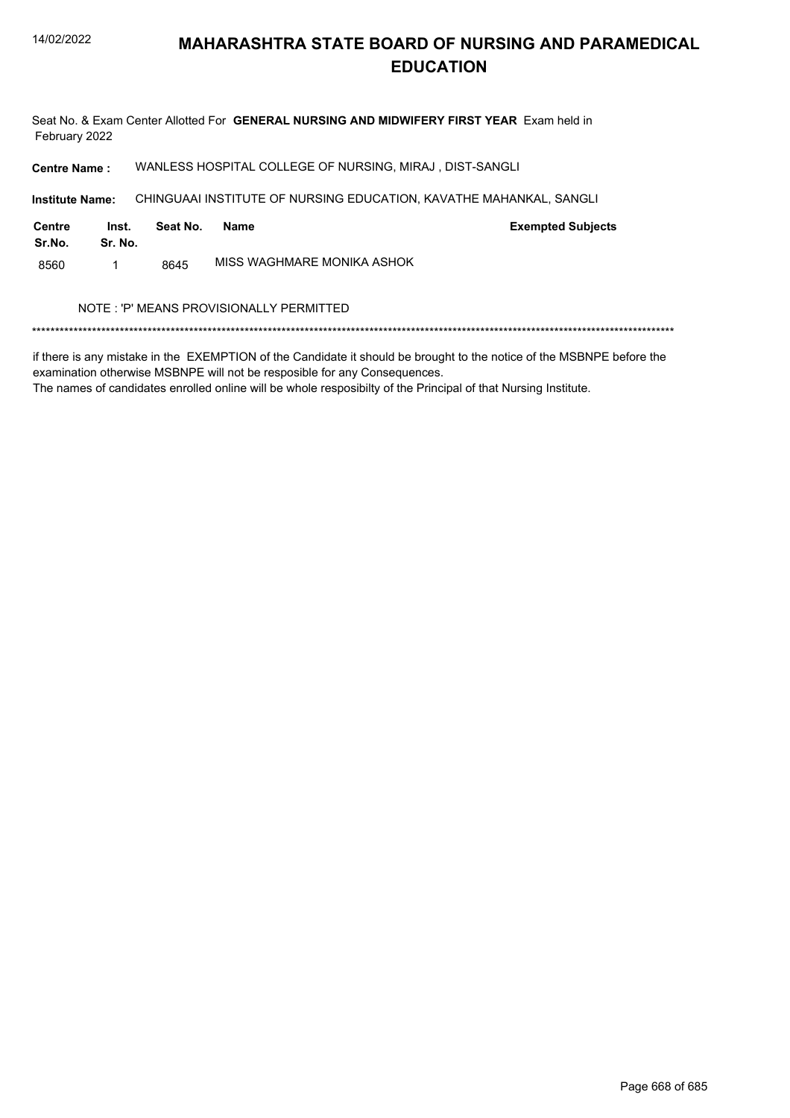Seat No. & Exam Center Allotted For GENERAL NURSING AND MIDWIFERY FIRST YEAR Exam held in February 2022

WANLESS HOSPITAL COLLEGE OF NURSING, MIRAJ, DIST-SANGLI **Centre Name:** 

**Institute Name:** CHINGUAAI INSTITUTE OF NURSING EDUCATION, KAVATHE MAHANKAL, SANGLI

| Centre<br>Sr.No. | Inst.<br>Sr. No. | Seat No. | Name                       | <b>Exempted Subjects</b> |
|------------------|------------------|----------|----------------------------|--------------------------|
| 8560             |                  | 8645     | MISS WAGHMARE MONIKA ASHOK |                          |

#### NOTE : 'P' MEANS PROVISIONALLY PERMITTED

if there is any mistake in the EXEMPTION of the Candidate it should be brought to the notice of the MSBNPE before the examination otherwise MSBNPE will not be resposible for any Consequences.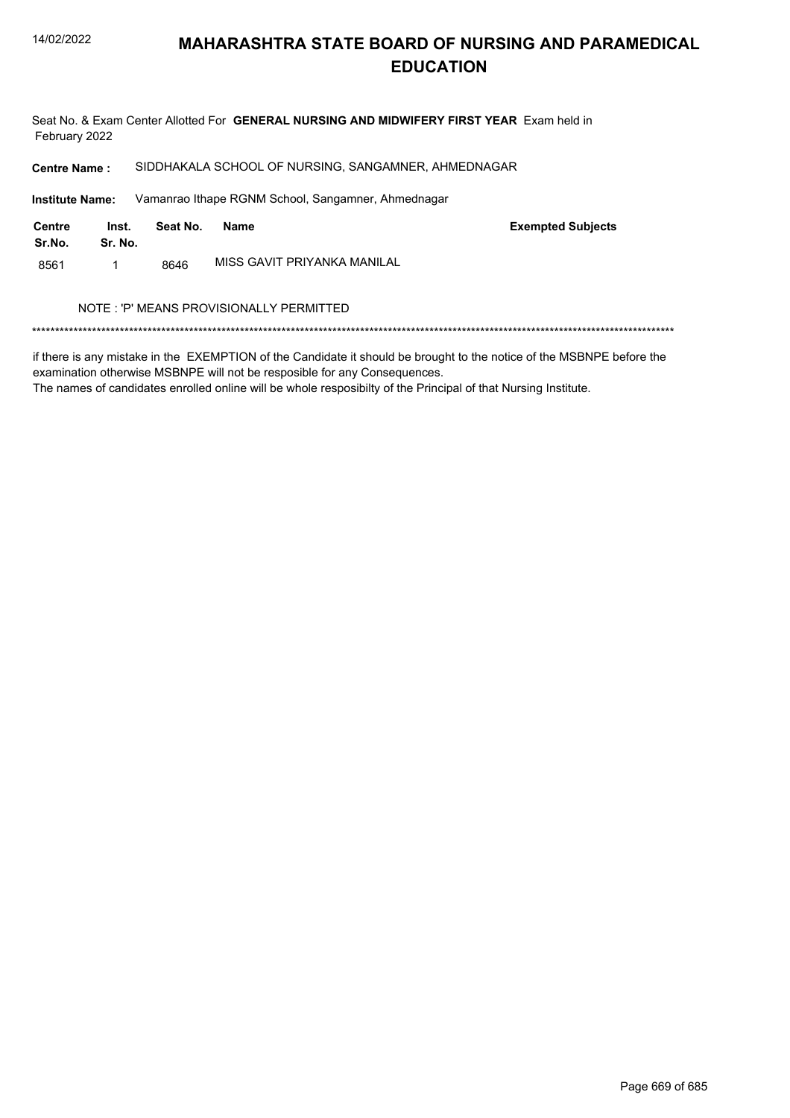Seat No. & Exam Center Allotted For GENERAL NURSING AND MIDWIFERY FIRST YEAR Exam held in February 2022

SIDDHAKALA SCHOOL OF NURSING, SANGAMNER, AHMEDNAGAR **Centre Name:** 

**Institute Name:** Vamanrao Ithape RGNM School, Sangamner, Ahmednagar

| Centre<br>Sr.No. | Inst.<br>Sr. No. | Seat No. | Name                        | <b>Exempted Subjects</b> |
|------------------|------------------|----------|-----------------------------|--------------------------|
| 8561             |                  | 8646     | MISS GAVIT PRIYANKA MANILAL |                          |

#### NOTE : 'P' MEANS PROVISIONALLY PERMITTED

if there is any mistake in the EXEMPTION of the Candidate it should be brought to the notice of the MSBNPE before the examination otherwise MSBNPE will not be resposible for any Consequences.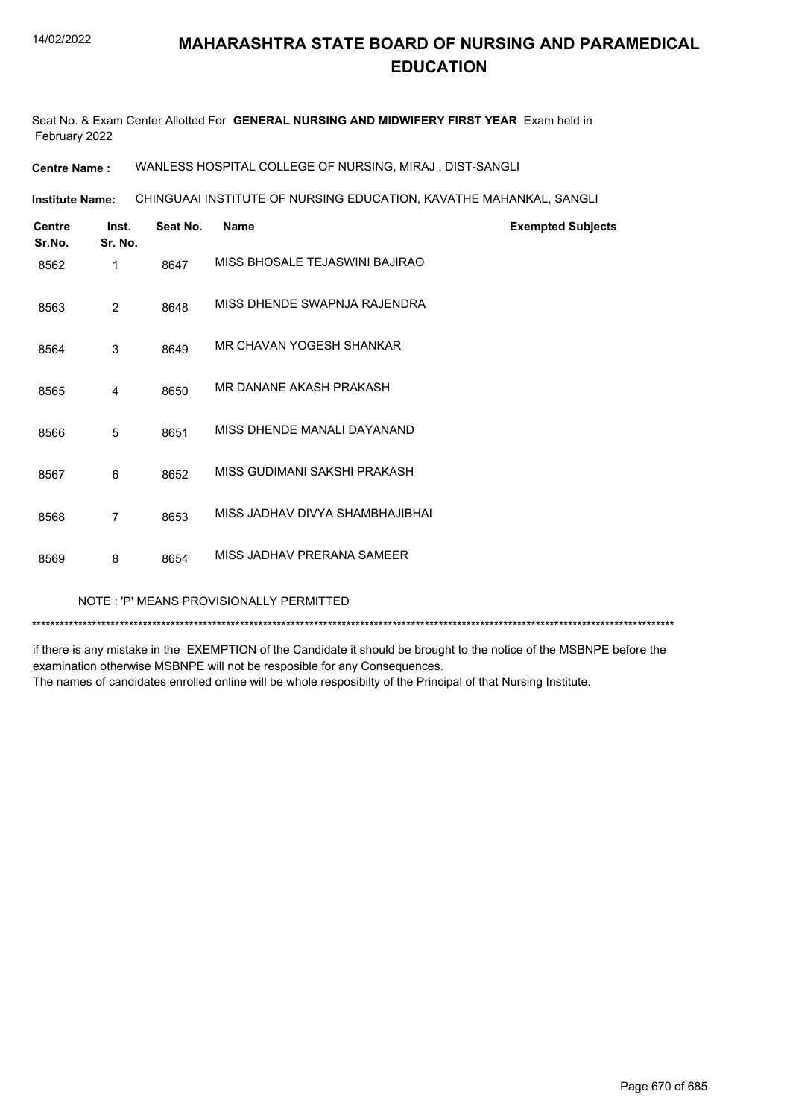Seat No. & Exam Center Allotted For **GENERAL NURSING AND MIDWIFERY FIRST YEAR** Exam held in February 2022

**Centre Name :** WANLESS HOSPITAL COLLEGE OF NURSING, MIRAJ , DIST-SANGLI

CHINGUAAI INSTITUTE OF NURSING EDUCATION, KAVATHE MAHANKAL, SANGLI **Institute Name:**

| <b>Centre</b><br>Sr.No. | Inst.<br>Sr. No. | Seat No. | <b>Name</b>                     | <b>Exempted Subjects</b> |
|-------------------------|------------------|----------|---------------------------------|--------------------------|
| 8562                    | 1                | 8647     | MISS BHOSALE TEJASWINI BAJIRAO  |                          |
| 8563                    | $\overline{2}$   | 8648     | MISS DHENDE SWAPNJA RAJENDRA    |                          |
| 8564                    | 3                | 8649     | MR CHAVAN YOGESH SHANKAR        |                          |
| 8565                    | $\overline{4}$   | 8650     | MR DANANE AKASH PRAKASH         |                          |
| 8566                    | 5                | 8651     | MISS DHENDE MANALI DAYANAND     |                          |
| 8567                    | 6                | 8652     | MISS GUDIMANI SAKSHI PRAKASH    |                          |
| 8568                    | $\overline{7}$   | 8653     | MISS JADHAV DIVYA SHAMBHAJIBHAI |                          |
| 8569                    | 8                | 8654     | MISS JADHAV PRERANA SAMEER      |                          |
|                         |                  |          |                                 |                          |

NOTE : 'P' MEANS PROVISIONALLY PERMITTED

\*\*\*\*\*\*\*\*\*\*\*\*\*\*\*\*\*\*\*\*\*\*\*\*\*\*\*\*\*\*\*\*\*\*\*\*\*\*\*\*\*\*\*\*\*\*\*\*\*\*\*\*\*\*\*\*\*\*\*\*\*\*\*\*\*\*\*\*\*\*\*\*\*\*\*\*\*\*\*\*\*\*\*\*\*\*\*\*\*\*\*\*\*\*\*\*\*\*\*\*\*\*\*\*\*\*\*\*\*\*\*\*\*\*\*\*\*\*\*\*\*\*\*\*\*\*\*\*\*\*\*\*\*\*\*\*\*\*\*

if there is any mistake in the EXEMPTION of the Candidate it should be brought to the notice of the MSBNPE before the examination otherwise MSBNPE will not be resposible for any Consequences.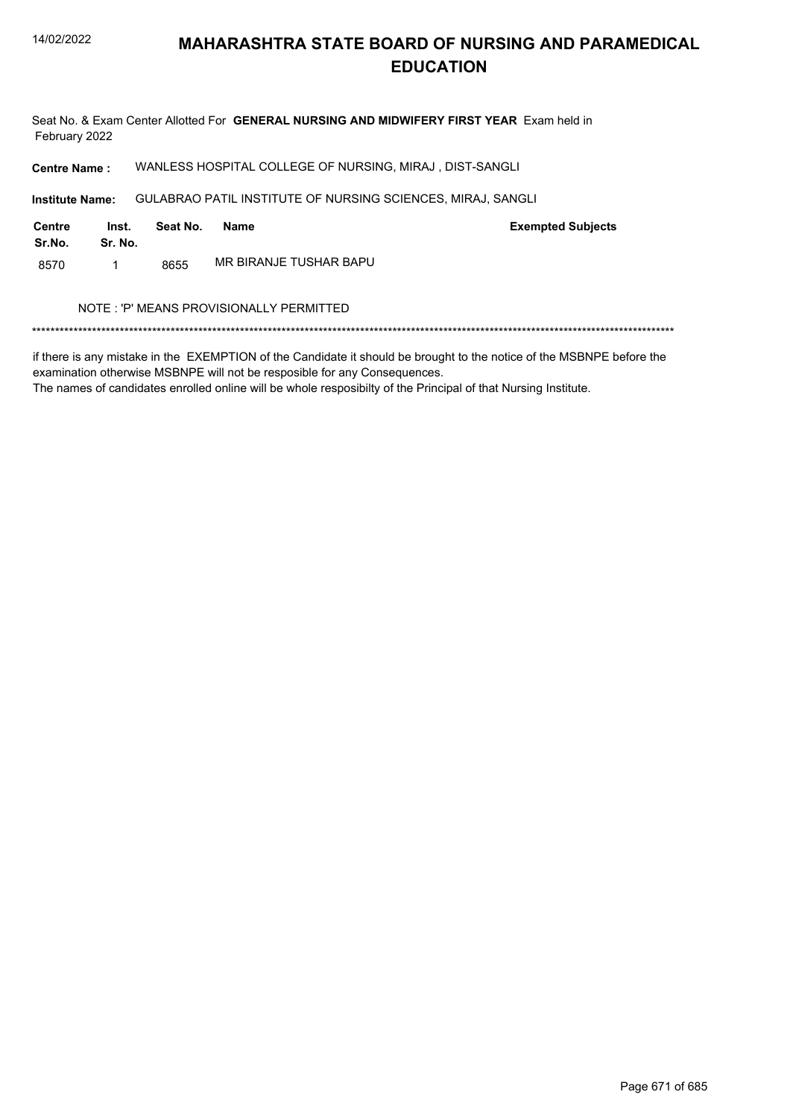Seat No. & Exam Center Allotted For GENERAL NURSING AND MIDWIFERY FIRST YEAR Exam held in February 2022

WANLESS HOSPITAL COLLEGE OF NURSING, MIRAJ, DIST-SANGLI **Centre Name:** 

**Institute Name:** GULABRAO PATIL INSTITUTE OF NURSING SCIENCES, MIRAJ, SANGLI

| Centre<br>Sr.No. | Inst.<br>Sr. No. | Seat No. | Name                   | <b>Exempted Subjects</b> |
|------------------|------------------|----------|------------------------|--------------------------|
| 8570             |                  | 8655     | MR BIRANJE TUSHAR BAPU |                          |

#### NOTE : 'P' MEANS PROVISIONALLY PERMITTED

if there is any mistake in the EXEMPTION of the Candidate it should be brought to the notice of the MSBNPE before the examination otherwise MSBNPE will not be resposible for any Consequences.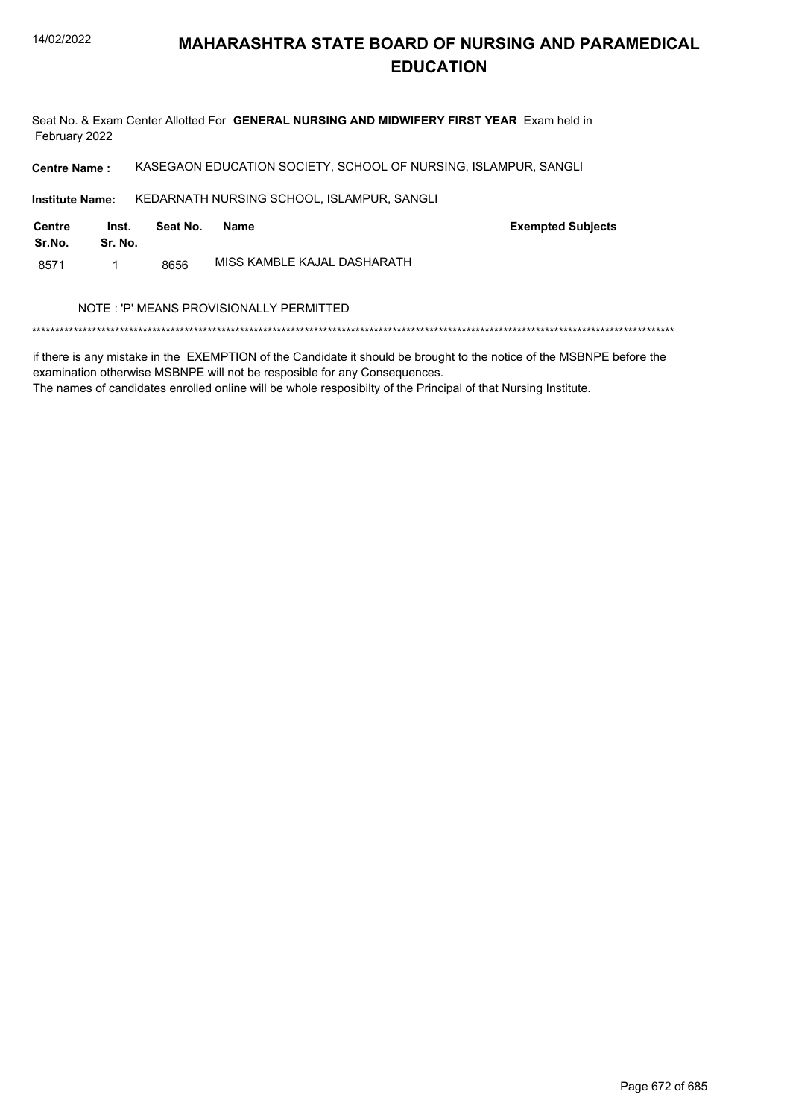Seat No. & Exam Center Allotted For GENERAL NURSING AND MIDWIFERY FIRST YEAR Exam held in February 2022

KASEGAON EDUCATION SOCIETY, SCHOOL OF NURSING, ISLAMPUR, SANGLI **Centre Name:** 

Institute Name: KEDARNATH NURSING SCHOOL, ISLAMPUR, SANGLI

| <b>Centre</b><br>Sr.No. | Inst.<br>Sr. No. | Seat No. | Name                        | <b>Exempted Subjects</b> |
|-------------------------|------------------|----------|-----------------------------|--------------------------|
| 8571                    |                  | 8656     | MISS KAMBLE KAJAL DASHARATH |                          |

#### NOTE : 'P' MEANS PROVISIONALLY PERMITTED

if there is any mistake in the EXEMPTION of the Candidate it should be brought to the notice of the MSBNPE before the examination otherwise MSBNPE will not be resposible for any Consequences.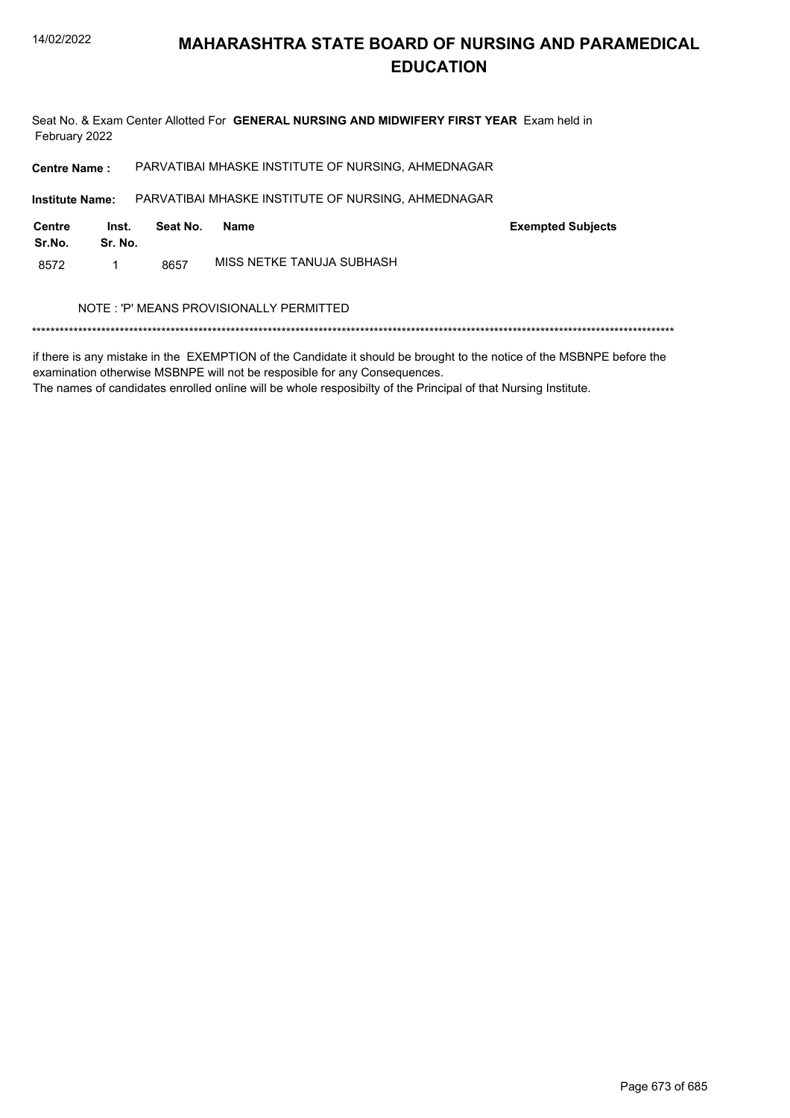Seat No. & Exam Center Allotted For GENERAL NURSING AND MIDWIFERY FIRST YEAR Exam held in February 2022

PARVATIBAI MHASKE INSTITUTE OF NURSING, AHMEDNAGAR **Centre Name:** PARVATIBAI MHASKE INSTITUTE OF NURSING, AHMEDNAGAR **Institute Name: Centre** Inst. **Exempted Subjects** Seat No. **Name** Sr.No. Sr. No. MISS NETKE TANUJA SUBHASH 8572  $\mathbf{1}$ 8657 NOTE: 'P' MEANS PROVISIONALLY PERMITTED 

if there is any mistake in the EXEMPTION of the Candidate it should be brought to the notice of the MSBNPE before the examination otherwise MSBNPE will not be resposible for any Consequences.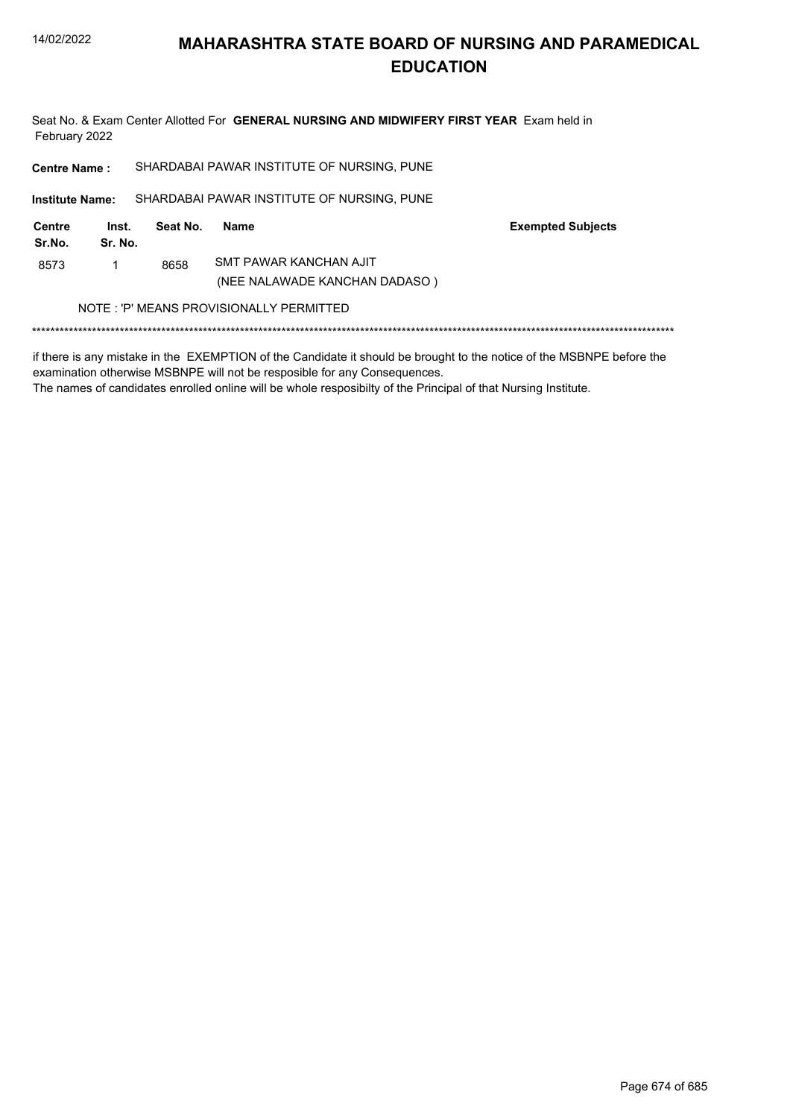

Seat No. & Exam Center Allotted For GENERAL NURSING AND MIDWIFERY FIRST YEAR Exam held in February 2022

| <b>Centre Name:</b>                     |                  |          | SHARDABAI PAWAR INSTITUTE OF NURSING, PUNE              |                          |  |
|-----------------------------------------|------------------|----------|---------------------------------------------------------|--------------------------|--|
| <b>Institute Name:</b>                  |                  |          | SHARDABAI PAWAR INSTITUTE OF NURSING, PUNE              |                          |  |
| Centre<br>Sr.No.                        | Inst.<br>Sr. No. | Seat No. | Name                                                    | <b>Exempted Subjects</b> |  |
| 8573                                    |                  | 8658     | SMT PAWAR KANCHAN AJIT<br>(NEE NALAWADE KANCHAN DADASO) |                          |  |
| NOTE: 'P' MEANS PROVISIONALLY PERMITTED |                  |          |                                                         |                          |  |

if there is any mistake in the EXEMPTION of the Candidate it should be brought to the notice of the MSBNPE before the examination otherwise MSBNPE will not be resposible for any Consequences.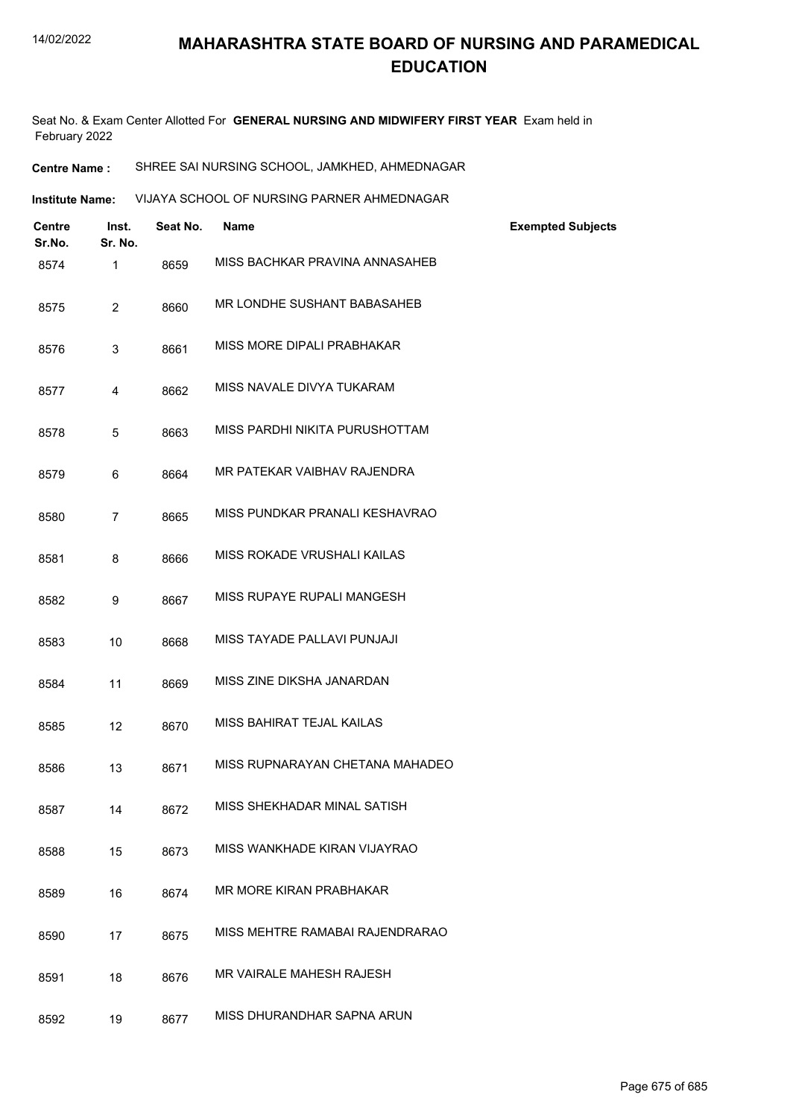Seat No. & Exam Center Allotted For **GENERAL NURSING AND MIDWIFERY FIRST YEAR** Exam held in February 2022

| <b>Centre Name :</b> | SHREE SAI NURSING SCHOOL, JAMKHED, AHMEDNAGAR |
|----------------------|-----------------------------------------------|
|----------------------|-----------------------------------------------|

| <b>Institute Name:</b> | VIJAYA SCHOOL OF NURSING PARNER AHMEDNAGAR |
|------------------------|--------------------------------------------|
|                        |                                            |

| <b>Centre</b><br>Sr.No. | Inst.<br>Sr. No. | Seat No. | <b>Name</b>                     | <b>Exempted Subjects</b> |
|-------------------------|------------------|----------|---------------------------------|--------------------------|
| 8574                    | 1                | 8659     | MISS BACHKAR PRAVINA ANNASAHEB  |                          |
| 8575                    | $\overline{2}$   | 8660     | MR LONDHE SUSHANT BABASAHEB     |                          |
| 8576                    | 3                | 8661     | MISS MORE DIPALI PRABHAKAR      |                          |
| 8577                    | 4                | 8662     | MISS NAVALE DIVYA TUKARAM       |                          |
| 8578                    | 5                | 8663     | MISS PARDHI NIKITA PURUSHOTTAM  |                          |
| 8579                    | 6                | 8664     | MR PATEKAR VAIBHAV RAJENDRA     |                          |
| 8580                    | 7                | 8665     | MISS PUNDKAR PRANALI KESHAVRAO  |                          |
| 8581                    | 8                | 8666     | MISS ROKADE VRUSHALI KAILAS     |                          |
| 8582                    | 9                | 8667     | MISS RUPAYE RUPALI MANGESH      |                          |
| 8583                    | 10               | 8668     | MISS TAYADE PALLAVI PUNJAJI     |                          |
| 8584                    | 11               | 8669     | MISS ZINE DIKSHA JANARDAN       |                          |
| 8585                    | 12               | 8670     | MISS BAHIRAT TEJAL KAILAS       |                          |
| 8586                    | 13               | 8671     | MISS RUPNARAYAN CHETANA MAHADEO |                          |
| 8587                    | 14               | 8672     | MISS SHEKHADAR MINAL SATISH     |                          |
| 8588                    | 15               | 8673     | MISS WANKHADE KIRAN VIJAYRAO    |                          |
| 8589                    | 16               | 8674     | MR MORE KIRAN PRABHAKAR         |                          |
| 8590                    | 17               | 8675     | MISS MEHTRE RAMABAI RAJENDRARAO |                          |
| 8591                    | 18               | 8676     | <b>MR VAIRALE MAHESH RAJESH</b> |                          |
| 8592                    | 19               | 8677     | MISS DHURANDHAR SAPNA ARUN      |                          |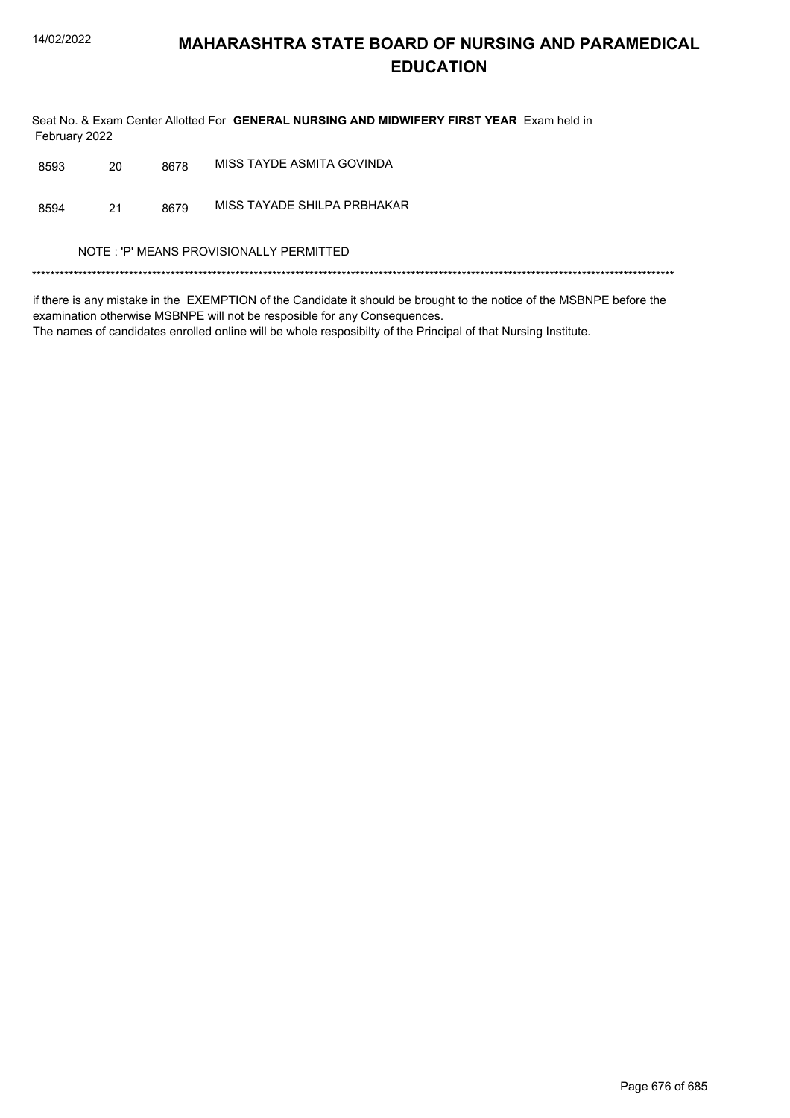Seat No. & Exam Center Allotted For GENERAL NURSING AND MIDWIFERY FIRST YEAR Exam held in February 2022

| 8593 | 20 | 8678 | MISS TAYDE ASMITA GOVINDA               |
|------|----|------|-----------------------------------------|
| 8594 | 21 | 8679 | MISS TAYADE SHILPA PRBHAKAR             |
|      |    |      | NOTE: 'P' MEANS PROVISIONALLY PERMITTED |
|      |    |      |                                         |

if there is any mistake in the EXEMPTION of the Candidate it should be brought to the notice of the MSBNPE before the examination otherwise MSBNPE will not be resposible for any Consequences.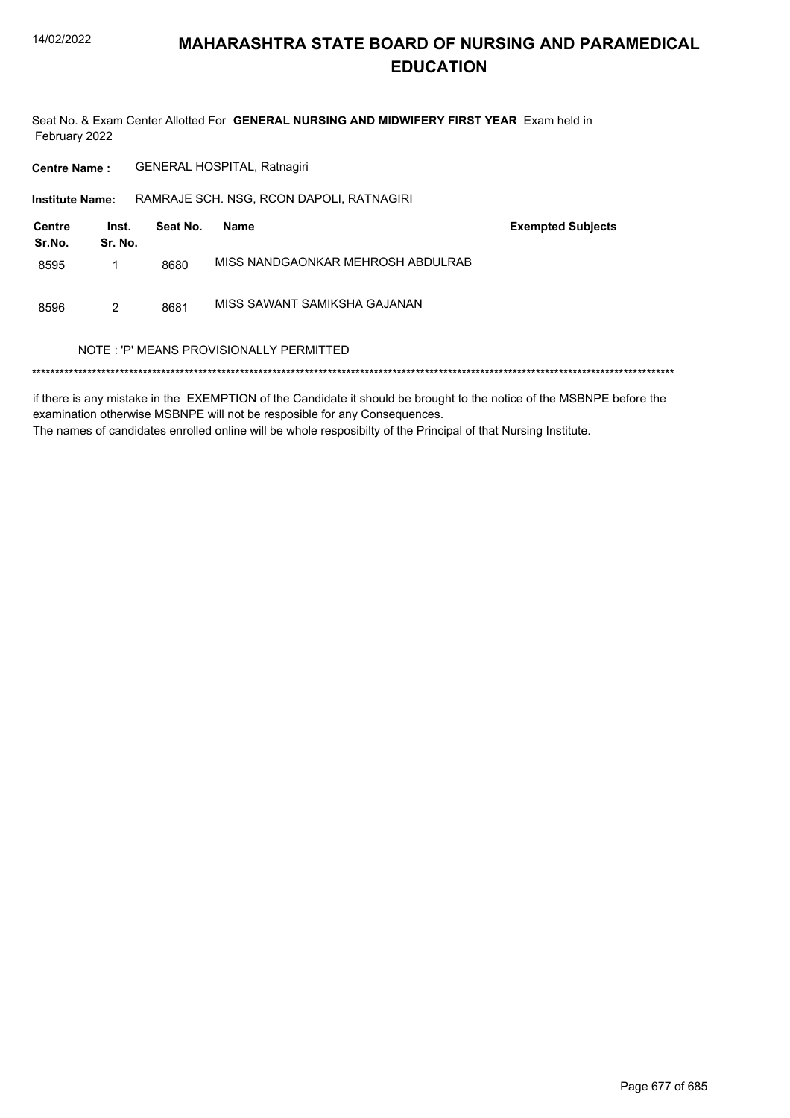

Seat No. & Exam Center Allotted For GENERAL NURSING AND MIDWIFERY FIRST YEAR Exam held in February 2022

GENERAL HOSPITAL, Ratnagiri **Centre Name:** 

Institute Name: RAMRAJE SCH. NSG, RCON DAPOLI, RATNAGIRI

| Centre<br>Sr.No. | Inst.<br>Sr. No. | Seat No. | Name                              | <b>Exempted Subjects</b> |
|------------------|------------------|----------|-----------------------------------|--------------------------|
| 8595             |                  | 8680     | MISS NANDGAONKAR MEHROSH ABDULRAB |                          |
| 8596             | 2                | 8681     | MISS SAWANT SAMIKSHA GAJANAN      |                          |

#### NOTE: 'P' MEANS PROVISIONALLY PERMITTED

if there is any mistake in the EXEMPTION of the Candidate it should be brought to the notice of the MSBNPE before the examination otherwise MSBNPE will not be resposible for any Consequences. The names of candidates enrolled online will be whole resposibilty of the Principal of that Nursing Institute.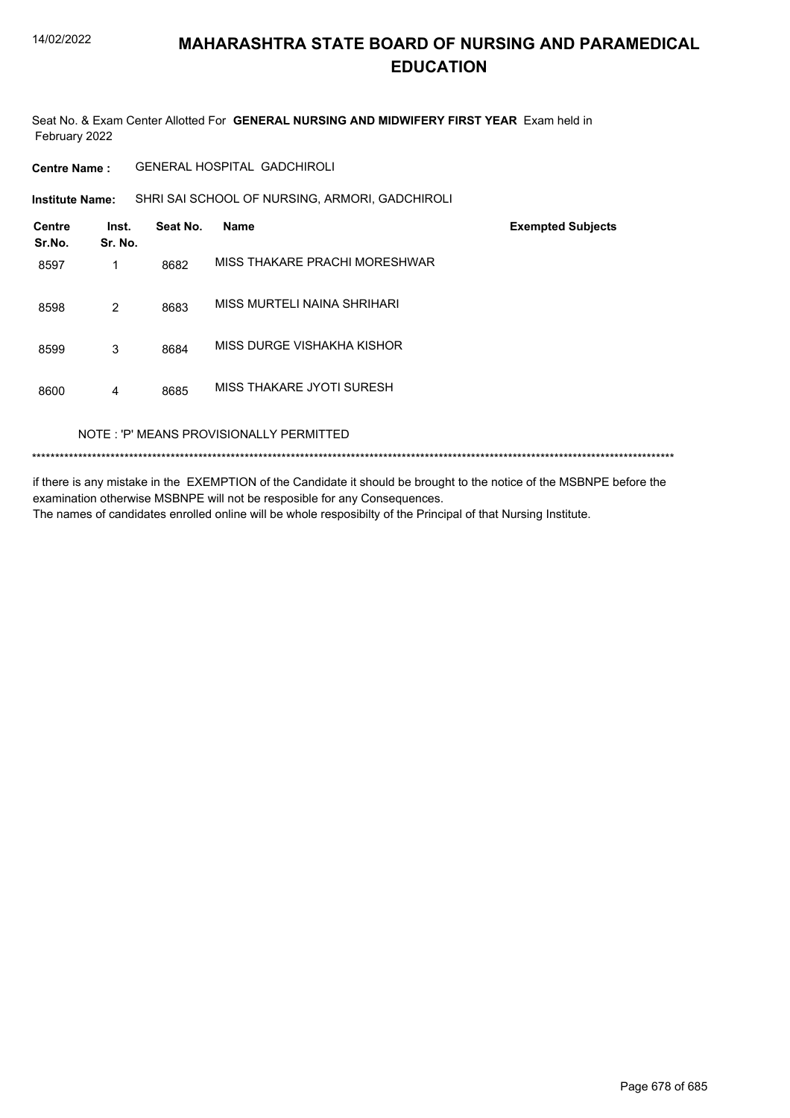Seat No. & Exam Center Allotted For **GENERAL NURSING AND MIDWIFERY FIRST YEAR** Exam held in February 2022

**Centre Name :** GENERAL HOSPITAL GADCHIROLI

**Institute Name:** SHRI SAI SCHOOL OF NURSING, ARMORI, GADCHIROLI

| <b>Centre</b><br>Sr.No. | Inst.<br>Sr. No. | Seat No. | <b>Name</b>                             | <b>Exempted Subjects</b> |
|-------------------------|------------------|----------|-----------------------------------------|--------------------------|
| 8597                    |                  | 8682     | MISS THAKARE PRACHI MORESHWAR           |                          |
| 8598                    | $\overline{2}$   | 8683     | MISS MURTELI NAINA SHRIHARI             |                          |
| 8599                    | 3                | 8684     | MISS DURGE VISHAKHA KISHOR              |                          |
| 8600                    | 4                | 8685     | MISS THAKARE JYOTI SURESH               |                          |
|                         |                  |          | NOTE: 'P' MEANS PROVISIONALLY PERMITTED |                          |

\*\*\*\*\*\*\*\*\*\*\*\*\*\*\*\*\*\*\*\*\*\*\*\*\*\*\*\*\*\*\*\*\*\*\*\*\*\*\*\*\*\*\*\*\*\*\*\*\*\*\*\*\*\*\*\*\*\*\*\*\*\*\*\*\*\*\*\*\*\*\*\*\*\*\*\*\*\*\*\*\*\*\*\*\*\*\*\*\*\*\*\*\*\*\*\*\*\*\*\*\*\*\*\*\*\*\*\*\*\*\*\*\*\*\*\*\*\*\*\*\*\*\*\*\*\*\*\*\*\*\*\*\*\*\*\*\*\*\*

if there is any mistake in the EXEMPTION of the Candidate it should be brought to the notice of the MSBNPE before the examination otherwise MSBNPE will not be resposible for any Consequences. The names of candidates enrolled online will be whole resposibilty of the Principal of that Nursing Institute.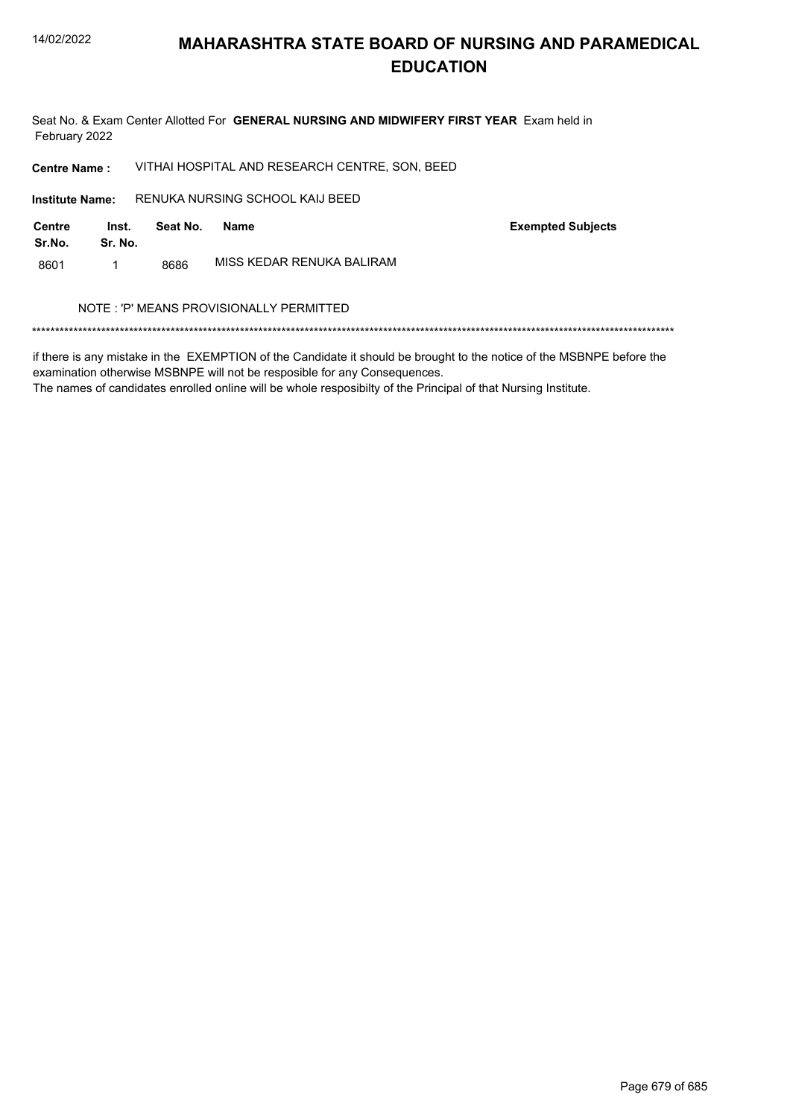Seat No. & Exam Center Allotted For GENERAL NURSING AND MIDWIFERY FIRST YEAR Exam held in February 2022

VITHAI HOSPITAL AND RESEARCH CENTRE, SON, BEED **Centre Name:** 

RENUKA NURSING SCHOOL KAIJ BEED **Institute Name:** 

**Centre** Inst. Seat No. **Name** Sr.No. Sr. No. MISS KEDAR RENUKA BALIRAM 8601  $\mathbf{1}$ 8686

**Exempted Subjects** 

#### NOTE: 'P' MEANS PROVISIONALLY PERMITTED

if there is any mistake in the EXEMPTION of the Candidate it should be brought to the notice of the MSBNPE before the examination otherwise MSBNPE will not be resposible for any Consequences.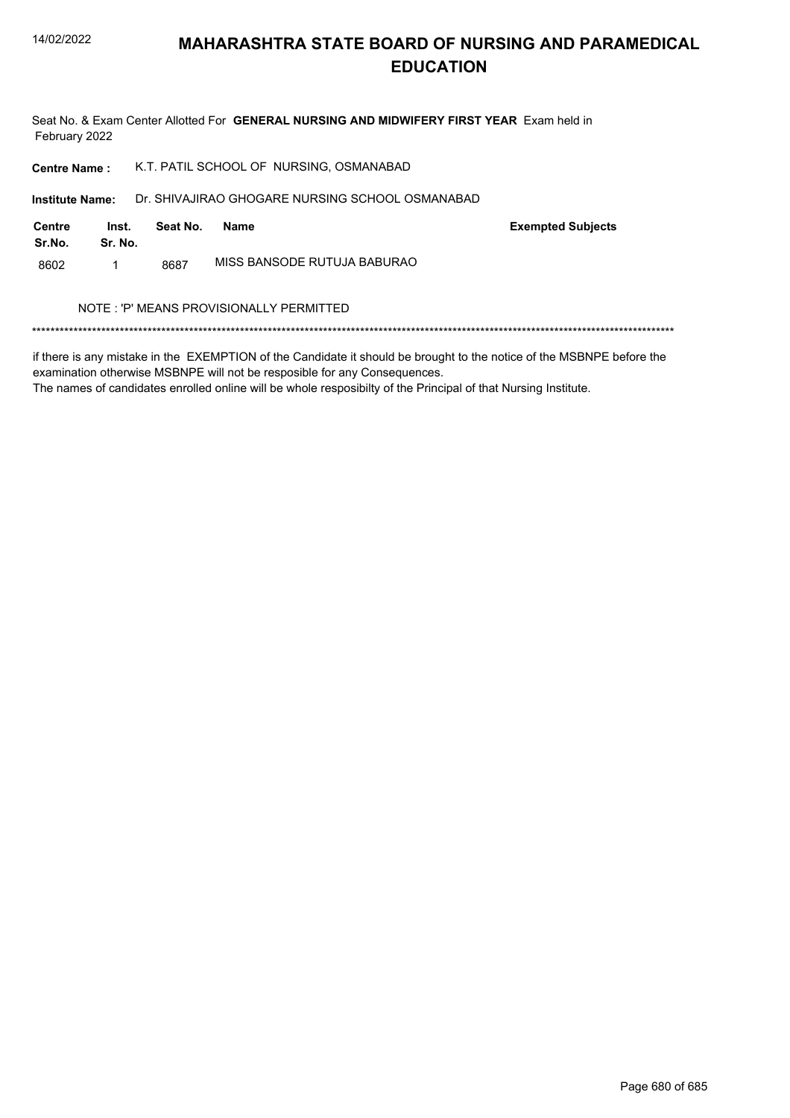

Seat No. & Exam Center Allotted For GENERAL NURSING AND MIDWIFERY FIRST YEAR Exam held in February 2022

| <b>Centre Name:</b>    |                  | K.T. PATIL SCHOOL OF NURSING, OSMANABAD |                                                 |                          |  |
|------------------------|------------------|-----------------------------------------|-------------------------------------------------|--------------------------|--|
| <b>Institute Name:</b> |                  |                                         | Dr. SHIVAJIRAO GHOGARE NURSING SCHOOL OSMANABAD |                          |  |
| Centre<br>Sr.No.       | Inst.<br>Sr. No. | Seat No.                                | Name                                            | <b>Exempted Subjects</b> |  |
| 8602                   | 1                | 8687                                    | MISS BANSODE RUTUJA BABURAO                     |                          |  |
|                        |                  |                                         | NOTE : 'P' MEANS PROVISIONALLY PERMITTED        |                          |  |
|                        |                  |                                         |                                                 |                          |  |

if there is any mistake in the EXEMPTION of the Candidate it should be brought to the notice of the MSBNPE before the examination otherwise MSBNPE will not be resposible for any Consequences.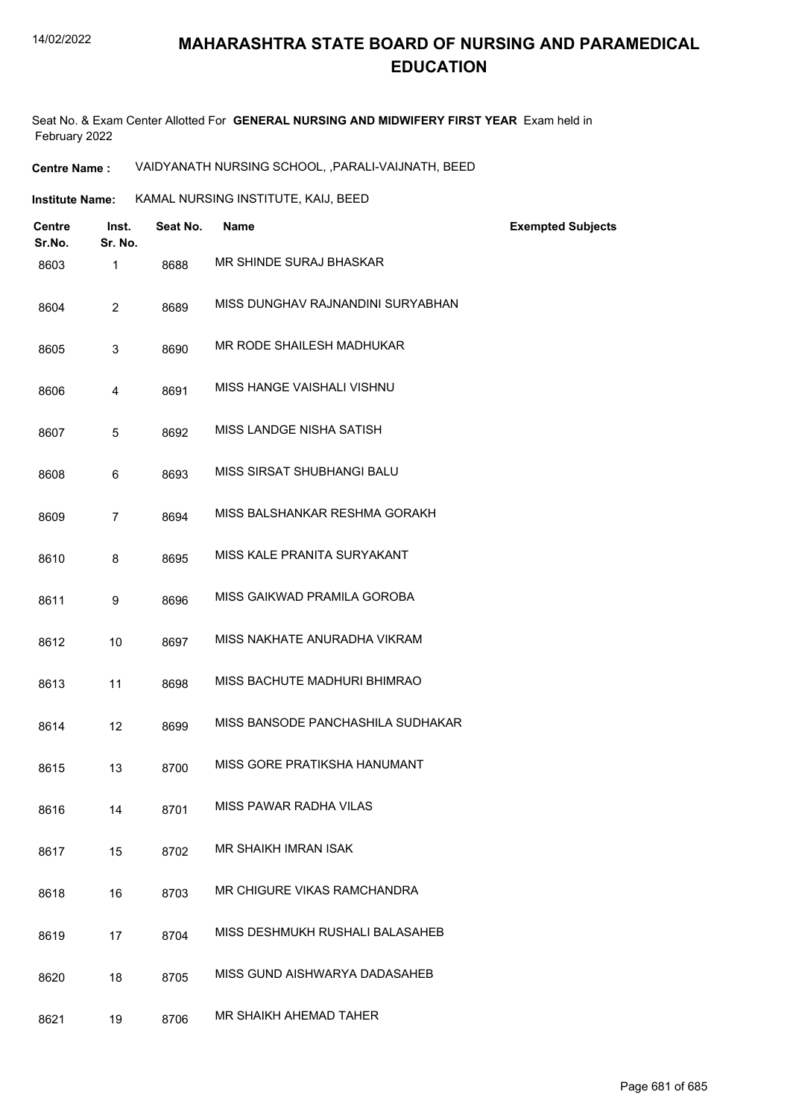Seat No. & Exam Center Allotted For **GENERAL NURSING AND MIDWIFERY FIRST YEAR** Exam held in February 2022

**Centre Name :** VAIDYANATH NURSING SCHOOL, ,PARALI-VAIJNATH, BEED

**Institute Name: KAMAL NURSING INSTITUTE, KAIJ, BEED** 

| <b>Centre</b><br>Sr.No. | Inst.<br>Sr. No. | Seat No. | <b>Name</b>                       | <b>Exempted Subjects</b> |
|-------------------------|------------------|----------|-----------------------------------|--------------------------|
| 8603                    | $\mathbf{1}$     | 8688     | MR SHINDE SURAJ BHASKAR           |                          |
| 8604                    | $\overline{2}$   | 8689     | MISS DUNGHAV RAJNANDINI SURYABHAN |                          |
| 8605                    | 3                | 8690     | MR RODE SHAILESH MADHUKAR         |                          |
| 8606                    | 4                | 8691     | MISS HANGE VAISHALI VISHNU        |                          |
| 8607                    | 5                | 8692     | MISS LANDGE NISHA SATISH          |                          |
| 8608                    | 6                | 8693     | <b>MISS SIRSAT SHUBHANGI BALU</b> |                          |
| 8609                    | 7                | 8694     | MISS BALSHANKAR RESHMA GORAKH     |                          |
| 8610                    | 8                | 8695     | MISS KALE PRANITA SURYAKANT       |                          |
| 8611                    | 9                | 8696     | MISS GAIKWAD PRAMILA GOROBA       |                          |
| 8612                    | 10               | 8697     | MISS NAKHATE ANURADHA VIKRAM      |                          |
| 8613                    | 11               | 8698     | MISS BACHUTE MADHURI BHIMRAO      |                          |
| 8614                    | 12               | 8699     | MISS BANSODE PANCHASHILA SUDHAKAR |                          |
| 8615                    | 13               | 8700     | MISS GORE PRATIKSHA HANUMANT      |                          |
| 8616                    | 14               | 8701     | MISS PAWAR RADHA VILAS            |                          |
| 8617                    | 15               | 8702     | <b>MR SHAIKH IMRAN ISAK</b>       |                          |
| 8618                    | 16               | 8703     | MR CHIGURE VIKAS RAMCHANDRA       |                          |
| 8619                    | 17               | 8704     | MISS DESHMUKH RUSHALI BALASAHEB   |                          |
| 8620                    | 18               | 8705     | MISS GUND AISHWARYA DADASAHEB     |                          |
| 8621                    | 19               | 8706     | MR SHAIKH AHEMAD TAHER            |                          |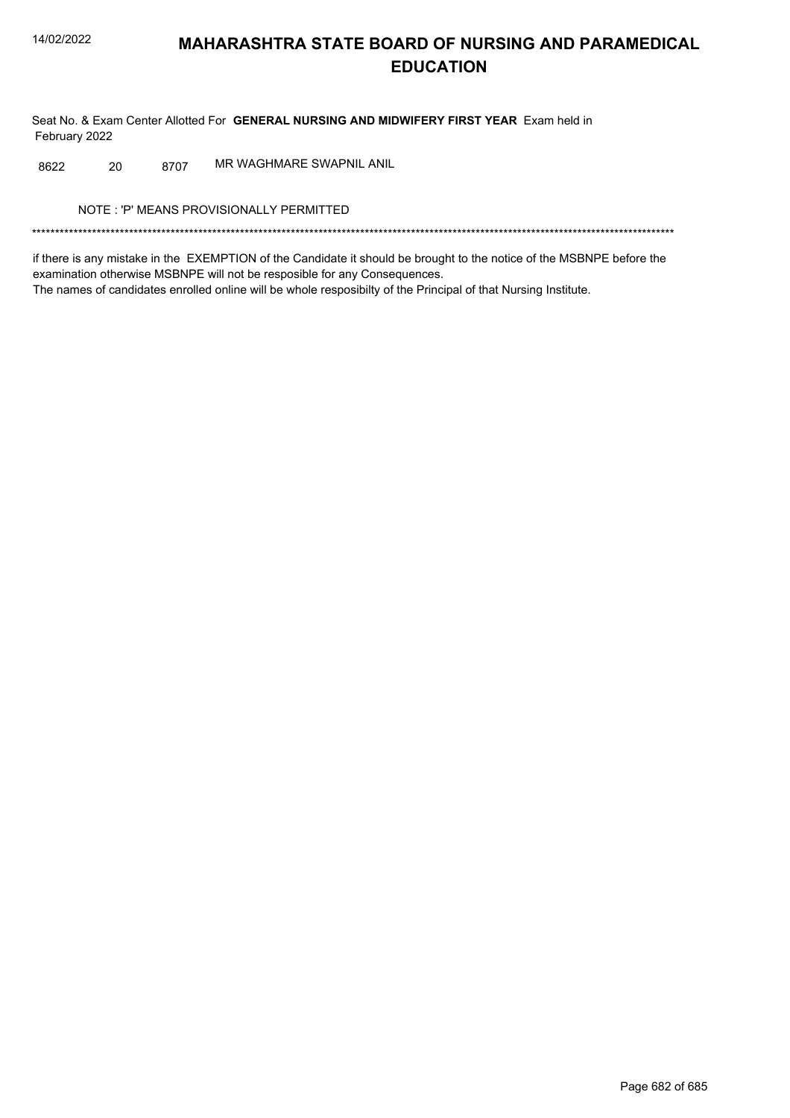Seat No. & Exam Center Allotted For GENERAL NURSING AND MIDWIFERY FIRST YEAR Exam held in February 2022

MR WAGHMARE SWAPNIL ANIL 8622 20 8707

NOTE: 'P' MEANS PROVISIONALLY PERMITTED

if there is any mistake in the EXEMPTION of the Candidate it should be brought to the notice of the MSBNPE before the examination otherwise MSBNPE will not be resposible for any Consequences. The names of candidates enrolled online will be whole resposibilty of the Principal of that Nursing Institute.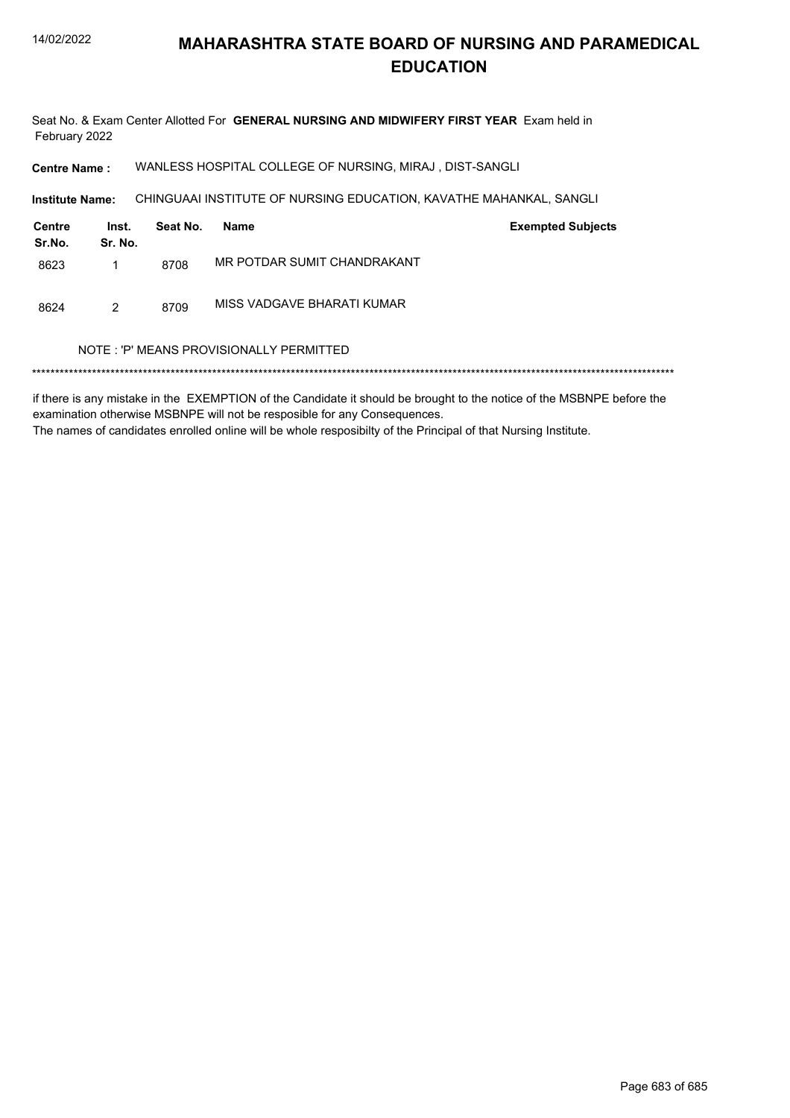Seat No. & Exam Center Allotted For GENERAL NURSING AND MIDWIFERY FIRST YEAR Exam held in February 2022

WANLESS HOSPITAL COLLEGE OF NURSING, MIRAJ, DIST-SANGLI **Centre Name:** 

Institute Name: CHINGUAAI INSTITUTE OF NURSING EDUCATION, KAVATHE MAHANKAL, SANGLI

| Centre<br>Sr.No. | Inst.<br>Sr. No. | Seat No. | Name                        | <b>Exempted Subjects</b> |
|------------------|------------------|----------|-----------------------------|--------------------------|
| 8623             |                  | 8708     | MR POTDAR SUMIT CHANDRAKANT |                          |
| 8624             | 2                | 8709     | MISS VADGAVE BHARATI KUMAR  |                          |

#### NOTE: 'P' MEANS PROVISIONALLY PERMITTED

if there is any mistake in the EXEMPTION of the Candidate it should be brought to the notice of the MSBNPE before the examination otherwise MSBNPE will not be resposible for any Consequences. The names of candidates enrolled online will be whole resposibilty of the Principal of that Nursing Institute.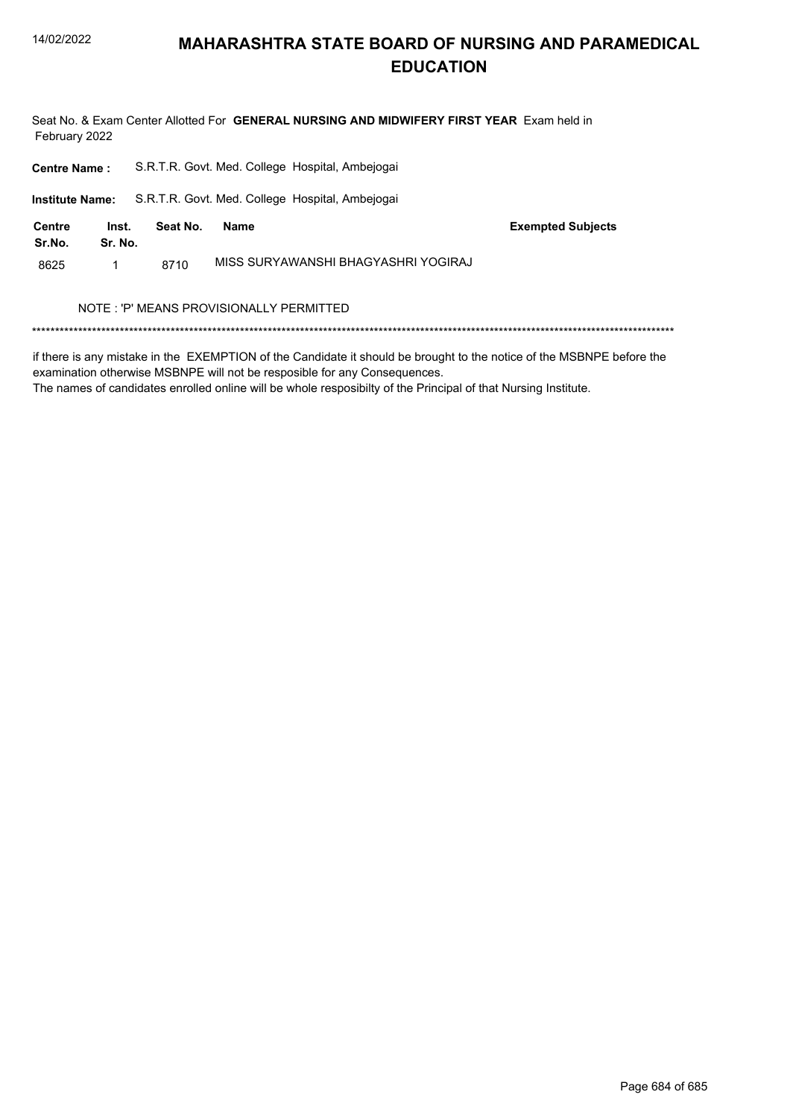

Seat No. & Exam Center Allotted For GENERAL NURSING AND MIDWIFERY FIRST YEAR Exam held in February 2022

| <b>Centre Name:</b>    |                  |          | S.R.T.R. Govt. Med. College Hospital, Ambejogai |                          |
|------------------------|------------------|----------|-------------------------------------------------|--------------------------|
| <b>Institute Name:</b> |                  |          | S.R.T.R. Govt. Med. College Hospital, Ambejogai |                          |
| Centre<br>Sr.No.       | Inst.<br>Sr. No. | Seat No. | <b>Name</b>                                     | <b>Exempted Subjects</b> |
| 8625                   | 1                | 8710     | MISS SURYAWANSHI BHAGYASHRI YOGIRAJ             |                          |
|                        |                  |          | NOTE: 'P' MEANS PROVISIONALLY PERMITTED         |                          |

if there is any mistake in the EXEMPTION of the Candidate it should be brought to the notice of the MSBNPE before the examination otherwise MSBNPE will not be resposible for any Consequences.